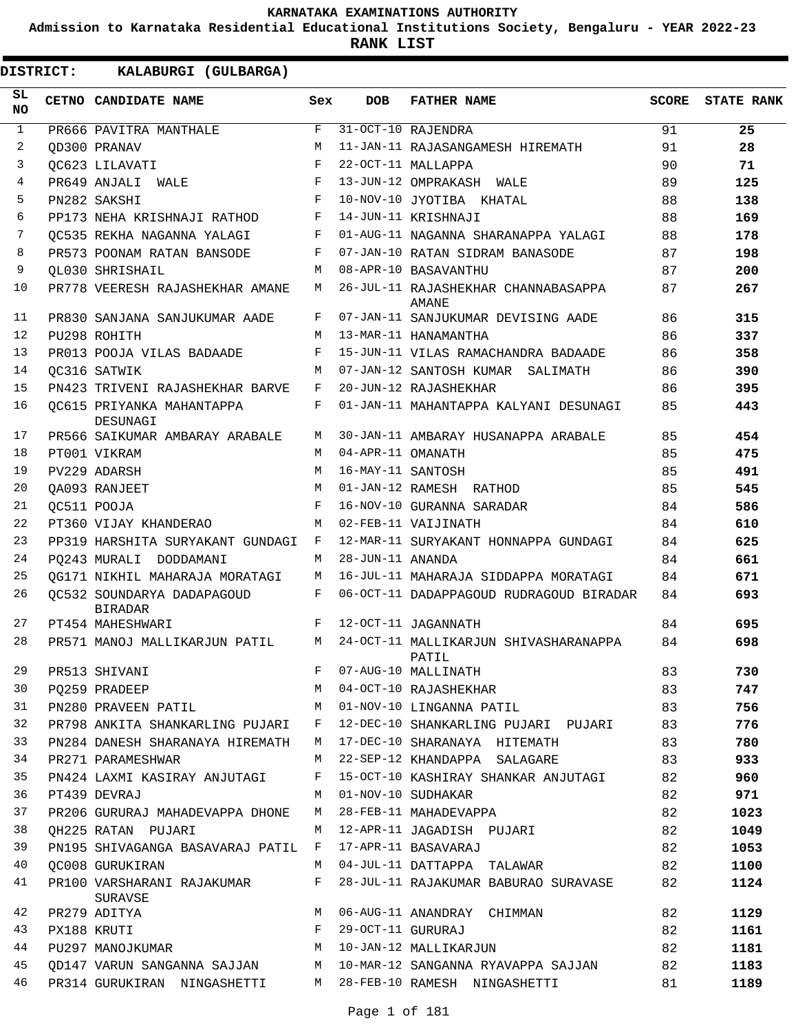**Admission to Karnataka Residential Educational Institutions Society, Bengaluru - YEAR 2022-23**

**RANK LIST**

| SL<br><b>NO</b> | CETNO CANDIDATE NAME                                     | Sex        | <b>DOB</b>        | <b>FATHER NAME</b>                                                              | SCORE    | <b>STATE RANK</b> |
|-----------------|----------------------------------------------------------|------------|-------------------|---------------------------------------------------------------------------------|----------|-------------------|
| $\mathbf{1}$    | PR666 PAVITRA MANTHALE                                   | F          |                   | 31-OCT-10 RAJENDRA                                                              | 91       | 25                |
| 2               | OD300 PRANAV                                             | M          |                   | 11-JAN-11 RAJASANGAMESH HIREMATH                                                | 91       | 28                |
| 3               | OC623 LILAVATI                                           | F          |                   | 22-OCT-11 MALLAPPA                                                              | 90       | 71                |
| 4               | PR649 ANJALI WALE                                        | F          |                   | 13-JUN-12 OMPRAKASH WALE                                                        | 89       | 125               |
| 5               | PN282 SAKSHI                                             | F          |                   | 10-NOV-10 JYOTIBA KHATAL                                                        | 88       | 138               |
| 6               | PP173 NEHA KRISHNAJI RATHOD                              | F          |                   | 14-JUN-11 KRISHNAJI                                                             | 88       | 169               |
| 7               | OC535 REKHA NAGANNA YALAGI                               | F          |                   | 01-AUG-11 NAGANNA SHARANAPPA YALAGI                                             | 88       | 178               |
| 8               | PR573 POONAM RATAN BANSODE                               | F          |                   | 07-JAN-10 RATAN SIDRAM BANASODE                                                 | 87       | 198               |
| 9               | OL030 SHRISHAIL                                          | М          |                   | 08-APR-10 BASAVANTHU                                                            | 87       | 200               |
| 10              | PR778 VEERESH RAJASHEKHAR AMANE                          | M          |                   | 26-JUL-11 RAJASHEKHAR CHANNABASAPPA<br>AMANE                                    | 87       | 267               |
| 11              | PR830 SANJANA SANJUKUMAR AADE                            | F          |                   | 07-JAN-11 SANJUKUMAR DEVISING AADE                                              | 86       | 315               |
| 12              | PU298 ROHITH                                             | M          |                   | 13-MAR-11 HANAMANTHA                                                            | 86       | 337               |
| 13              | PR013 POOJA VILAS BADAADE                                | $_{\rm F}$ |                   | 15-JUN-11 VILAS RAMACHANDRA BADAADE                                             | 86       | 358               |
| 14              | OC316 SATWIK                                             | M          |                   | 07-JAN-12 SANTOSH KUMAR SALIMATH                                                | 86       | 390               |
| 15              | PN423 TRIVENI RAJASHEKHAR BARVE                          | F          |                   | 20-JUN-12 RAJASHEKHAR                                                           | 86       | 395               |
| 16              | OC615 PRIYANKA MAHANTAPPA<br>DESUNAGI                    | F          |                   | 01-JAN-11 MAHANTAPPA KALYANI DESUNAGI                                           | 85       | 443               |
| 17              | PR566 SAIKUMAR AMBARAY ARABALE                           | M          |                   | 30-JAN-11 AMBARAY HUSANAPPA ARABALE                                             | 85       | 454               |
| 18              | PT001 VIKRAM                                             | M          | 04-APR-11 OMANATH |                                                                                 | 85       | 475               |
| 19              | PV229 ADARSH                                             | M          | 16-MAY-11 SANTOSH |                                                                                 | 85       | 491               |
| 20              | OA093 RANJEET                                            | M          |                   | 01-JAN-12 RAMESH RATHOD                                                         | 85       | 545               |
| 21              | OC511 POOJA                                              | F          |                   | 16-NOV-10 GURANNA SARADAR                                                       | 84       | 586               |
| 22<br>23        | PT360 VIJAY KHANDERAO                                    | M          |                   | 02-FEB-11 VAIJINATH                                                             | 84       | 610               |
| 24              | PP319 HARSHITA SURYAKANT GUNDAGI F                       |            |                   | 12-MAR-11 SURYAKANT HONNAPPA GUNDAGI                                            | 84       | 625               |
| 25              | PO243 MURALI DODDAMANI<br>OG171 NIKHIL MAHARAJA MORATAGI | M<br>M     | 28-JUN-11 ANANDA  |                                                                                 | 84<br>84 | 661<br>671        |
| 26              | OC532 SOUNDARYA DADAPAGOUD                               | F          |                   | 16-JUL-11 MAHARAJA SIDDAPPA MORATAGI<br>06-OCT-11 DADAPPAGOUD RUDRAGOUD BIRADAR | 84       | 693               |
|                 | <b>BIRADAR</b>                                           |            |                   |                                                                                 |          |                   |
| 27              | PT454 MAHESHWARI                                         | F          |                   | 12-OCT-11 JAGANNATH                                                             | 84       | 695               |
| 28              | PR571 MANOJ MALLIKARJUN PATIL                            | M          |                   | 24-OCT-11 MALLIKARJUN SHIVASHARANAPPA<br>PATIL                                  | 84       | 698               |
| 29              | PR513 SHIVANI                                            | F          |                   | 07-AUG-10 MALLINATH                                                             | 83       | 730               |
| 30              | PO259 PRADEEP                                            | М          |                   | 04-OCT-10 RAJASHEKHAR                                                           | 83       | 747               |
| 31              | PN280 PRAVEEN PATIL                                      | M          |                   | 01-NOV-10 LINGANNA PATIL                                                        | 83       | 756               |
| 32              | PR798 ANKITA SHANKARLING PUJARI F                        |            |                   | 12-DEC-10 SHANKARLING PUJARI PUJARI                                             | 83       | 776               |
| 33              | PN284 DANESH SHARANAYA HIREMATH M                        |            |                   | 17-DEC-10 SHARANAYA HITEMATH                                                    | 83       | 780               |
| 34              | PR271 PARAMESHWAR                                        | M          |                   | 22-SEP-12 KHANDAPPA SALAGARE                                                    | 83       | 933               |
| 35              | PN424 LAXMI KASIRAY ANJUTAGI                             | F          |                   | 15-OCT-10 KASHIRAY SHANKAR ANJUTAGI                                             | 82       | 960               |
| 36              | PT439 DEVRAJ                                             | M          |                   | 01-NOV-10 SUDHAKAR                                                              | 82       | 971               |
| 37              | PR206 GURURAJ MAHADEVAPPA DHONE                          | M          |                   | 28-FEB-11 MAHADEVAPPA                                                           | 82       | 1023              |
| 38              | OH225 RATAN PUJARI                                       | M          |                   | 12-APR-11 JAGADISH PUJARI                                                       | 82       | 1049              |
| 39<br>40        | PN195 SHIVAGANGA BASAVARAJ PATIL F                       | M          |                   | 17-APR-11 BASAVARAJ                                                             | 82       | 1053              |
| 41              | OC008 GURUKIRAN<br>PR100 VARSHARANI RAJAKUMAR            | F          |                   | 04-JUL-11 DATTAPPA TALAWAR<br>28-JUL-11 RAJAKUMAR BABURAO SURAVASE              | 82<br>82 | 1100<br>1124      |
| 42              | SURAVSE<br>PR279 ADITYA                                  | M          |                   | 06-AUG-11 ANANDRAY CHIMMAN                                                      | 82       | 1129              |
| 43              | $\mathbf{F}$<br>PX188 KRUTI                              |            |                   | 29-OCT-11 GURURAJ                                                               | 82       | 1161              |
| 44              | PU297 MANOJKUMAR                                         |            |                   | M 10-JAN-12 MALLIKARJUN                                                         | 82       | 1181              |
| 45              |                                                          |            |                   | QD147 VARUN SANGANNA SAJJAN     M  10-MAR-12 SANGANNA RYAVAPPA SAJJAN           | 82       | 1183              |
| 46              |                                                          |            |                   | PR314 GURUKIRAN NINGASHETTI M 28-FEB-10 RAMESH NINGASHETTI                      | 81       | 1189              |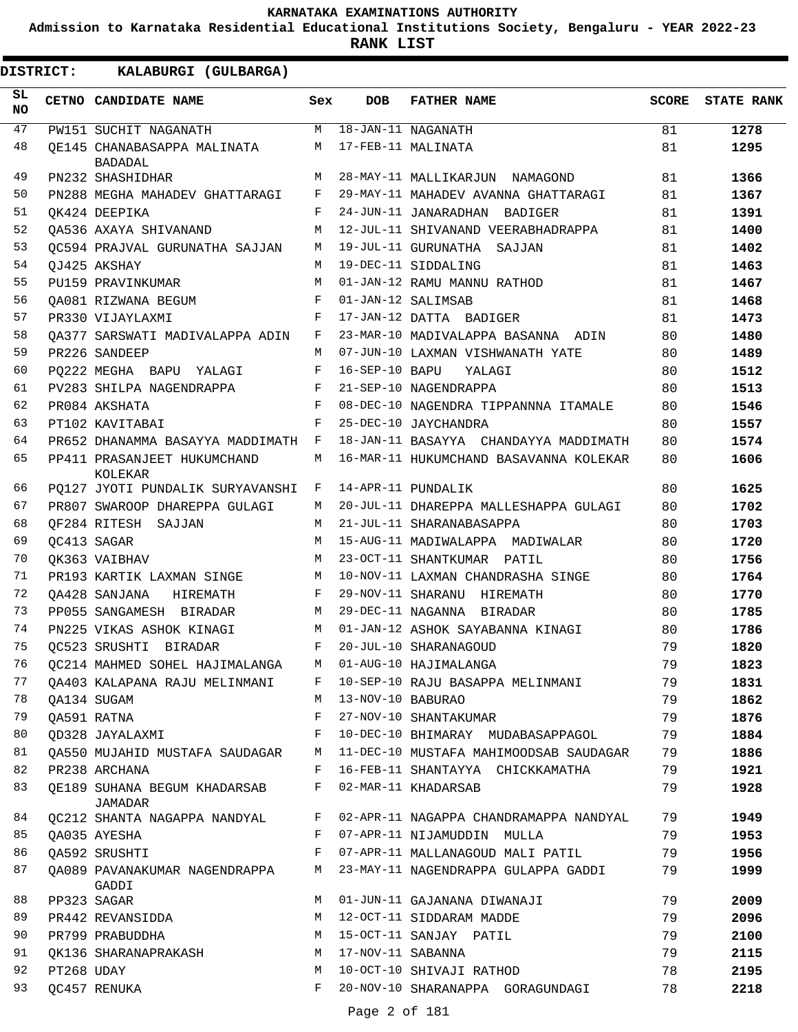**Admission to Karnataka Residential Educational Institutions Society, Bengaluru - YEAR 2022-23**

**RANK LIST**

| SL<br>NO. |            | CETNO CANDIDATE NAME                                          | Sex          | DOB                | <b>FATHER NAME</b>                                                    | SCORE | <b>STATE RANK</b> |
|-----------|------------|---------------------------------------------------------------|--------------|--------------------|-----------------------------------------------------------------------|-------|-------------------|
| 47        |            | PW151 SUCHIT NAGANATH                                         |              |                    | M 18-JAN-11 NAGANATH                                                  | 81    | 1278              |
| 48        |            | OE145 CHANABASAPPA MALINATA<br><b>BADADAL</b>                 |              |                    | M 17-FEB-11 MALINATA                                                  | 81    | 1295              |
| 49        |            | PN232 SHASHIDHAR                                              | M            |                    | 28-MAY-11 MALLIKARJUN NAMAGOND                                        | 81    | 1366              |
| 50        |            | PN288 MEGHA MAHADEV GHATTARAGI                                | F            |                    | 29-MAY-11 MAHADEV AVANNA GHATTARAGI                                   | 81    | 1367              |
| 51        |            | OK424 DEEPIKA                                                 | F            |                    | 24-JUN-11 JANARADHAN BADIGER                                          | 81    | 1391              |
| 52        |            | OA536 AXAYA SHIVANAND                                         | M            |                    | 12-JUL-11 SHIVANAND VEERABHADRAPPA                                    | 81    | 1400              |
| 53        |            | OC594 PRAJVAL GURUNATHA SAJJAN                                | M            |                    | 19-JUL-11 GURUNATHA SAJJAN                                            | 81    | 1402              |
| 54        |            | QJ425 AKSHAY                                                  | M            |                    | 19-DEC-11 SIDDALING                                                   | 81    | 1463              |
| 55        |            | PU159 PRAVINKUMAR                                             | M            |                    | 01-JAN-12 RAMU MANNU RATHOD                                           | 81    | 1467              |
| 56        |            | OA081 RIZWANA BEGUM                                           | F            |                    | 01-JAN-12 SALIMSAB                                                    | 81    | 1468              |
| 57        |            | PR330 VIJAYLAXMI                                              | F            |                    | 17-JAN-12 DATTA BADIGER                                               | 81    | 1473              |
| 58        |            | OA377 SARSWATI MADIVALAPPA ADIN                               | F            |                    | 23-MAR-10 MADIVALAPPA BASANNA ADIN                                    | 80    | 1480              |
| 59        |            | PR226 SANDEEP                                                 | М            |                    | 07-JUN-10 LAXMAN VISHWANATH YATE                                      | 80    | 1489              |
| 60        |            | PO222 MEGHA BAPU YALAGI                                       | F            | $16 - SEP-10$ BAPU | YALAGI                                                                | 80    | 1512              |
| 61        |            | PV283 SHILPA NAGENDRAPPA                                      | F            |                    | 21-SEP-10 NAGENDRAPPA                                                 | 80    | 1513              |
| 62        |            | PR084 AKSHATA                                                 | F            |                    | 08-DEC-10 NAGENDRA TIPPANNNA ITAMALE                                  | 80    | 1546              |
| 63        |            | PT102 KAVITABAI                                               | F            |                    | 25-DEC-10 JAYCHANDRA                                                  | 80    | 1557              |
| 64        |            | PR652 DHANAMMA BASAYYA MADDIMATH F                            |              |                    | 18-JAN-11 BASAYYA CHANDAYYA MADDIMATH                                 | 80    | 1574              |
| 65        |            | PP411 PRASANJEET HUKUMCHAND<br>KOLEKAR                        | M            |                    | 16-MAR-11 HUKUMCHAND BASAVANNA KOLEKAR                                | 80    | 1606              |
| 66        |            | PQ127 JYOTI PUNDALIK SURYAVANSHI                              | F            |                    | 14-APR-11 PUNDALIK                                                    | 80    | 1625              |
| 67        |            | PR807 SWAROOP DHAREPPA GULAGI                                 | M            |                    | 20-JUL-11 DHAREPPA MALLESHAPPA GULAGI                                 | 80    | 1702              |
| 68        |            | OF284 RITESH SAJJAN                                           | M            |                    | 21-JUL-11 SHARANABASAPPA                                              | 80    | 1703              |
| 69        |            | OC413 SAGAR                                                   | M            |                    | 15-AUG-11 MADIWALAPPA MADIWALAR                                       | 80    | 1720              |
| 70        |            | OK363 VAIBHAV                                                 | M            |                    | 23-OCT-11 SHANTKUMAR PATIL                                            | 80    | 1756              |
| 71        |            | PR193 KARTIK LAXMAN SINGE                                     | M            |                    | 10-NOV-11 LAXMAN CHANDRASHA SINGE                                     | 80    | 1764              |
| 72        |            | OA428 SANJANA<br>HIREMATH                                     | F            |                    | 29-NOV-11 SHARANU HIREMATH                                            | 80    | 1770              |
| 73        |            | PP055 SANGAMESH BIRADAR                                       | M            |                    | 29-DEC-11 NAGANNA BIRADAR                                             | 80    | 1785              |
| 74        |            | PN225 VIKAS ASHOK KINAGI                                      | M            |                    | 01-JAN-12 ASHOK SAYABANNA KINAGI                                      | 80    | 1786              |
| 75        |            | OC523 SRUSHTI BIRADAR                                         | $\mathbf{F}$ |                    | 20-JUL-10 SHARANAGOUD                                                 | 79    | 1820              |
| 76        |            | QC214 MAHMED SOHEL HAJIMALANGA                                | М            |                    | 01-AUG-10 HAJIMALANGA                                                 | 79    | 1823              |
| 77        |            | QA403 KALAPANA RAJU MELINMANI                                 | F            |                    | 10-SEP-10 RAJU BASAPPA MELINMANI                                      | 79    | 1831              |
| 78        |            | QA134 SUGAM                                                   | M            | 13-NOV-10 BABURAO  |                                                                       | 79    | 1862              |
| 79        |            | QA591 RATNA                                                   | F            |                    | 27-NOV-10 SHANTAKUMAR                                                 | 79    | 1876              |
| 80        |            | QD328 JAYALAXMI                                               | F            |                    | 10-DEC-10 BHIMARAY MUDABASAPPAGOL                                     | 79    | 1884              |
| 81        |            | OA550 MUJAHID MUSTAFA SAUDAGAR M                              |              |                    | 11-DEC-10 MUSTAFA MAHIMOODSAB SAUDAGAR                                | 79    | 1886              |
| 82        |            | PR238 ARCHANA                                                 | $\mathbf{F}$ |                    | 16-FEB-11 SHANTAYYA CHICKKAMATHA                                      | 79    | 1921              |
| 83        |            | QE189 SUHANA BEGUM KHADARSAB F 02-MAR-11 KHADARSAB<br>JAMADAR |              |                    |                                                                       | 79    | 1928              |
| 84        |            |                                                               |              |                    | QC212 SHANTA NAGAPPA NANDYAL F 02-APR-11 NAGAPPA CHANDRAMAPPA NANDYAL | 79    | 1949              |
| 85        |            | QA035 AYESHA                                                  | F            |                    | 07-APR-11 NIJAMUDDIN MULLA                                            | 79    | 1953              |
| 86        |            | QA592 SRUSHTI                                                 | F            |                    | 07-APR-11 MALLANAGOUD MALI PATIL                                      | 79    | 1956              |
| 87        |            | QA089 PAVANAKUMAR NAGENDRAPPA<br>GADDI                        |              |                    | M 23-MAY-11 NAGENDRAPPA GULAPPA GADDI                                 | 79    | 1999              |
| 88        |            | PP323 SAGAR                                                   | M            |                    | 01-JUN-11 GAJANANA DIWANAJI                                           | 79    | 2009              |
| 89        |            | PR442 REVANSIDDA                                              | M            |                    | 12-OCT-11 SIDDARAM MADDE                                              | 79    | 2096              |
| 90        |            | PR799 PRABUDDHA                                               |              |                    | M 15-OCT-11 SANJAY PATIL                                              | 79    | 2100              |
| 91        |            | OK136 SHARANAPRAKASH                                          | M            |                    | 17-NOV-11 SABANNA                                                     | 79    | 2115              |
| 92        | PT268 UDAY |                                                               | M            |                    | 10-OCT-10 SHIVAJI RATHOD                                              | 78    | 2195              |
| 93        |            | QC457 RENUKA                                                  | F            |                    | 20-NOV-10 SHARANAPPA GORAGUNDAGI                                      | 78    | 2218              |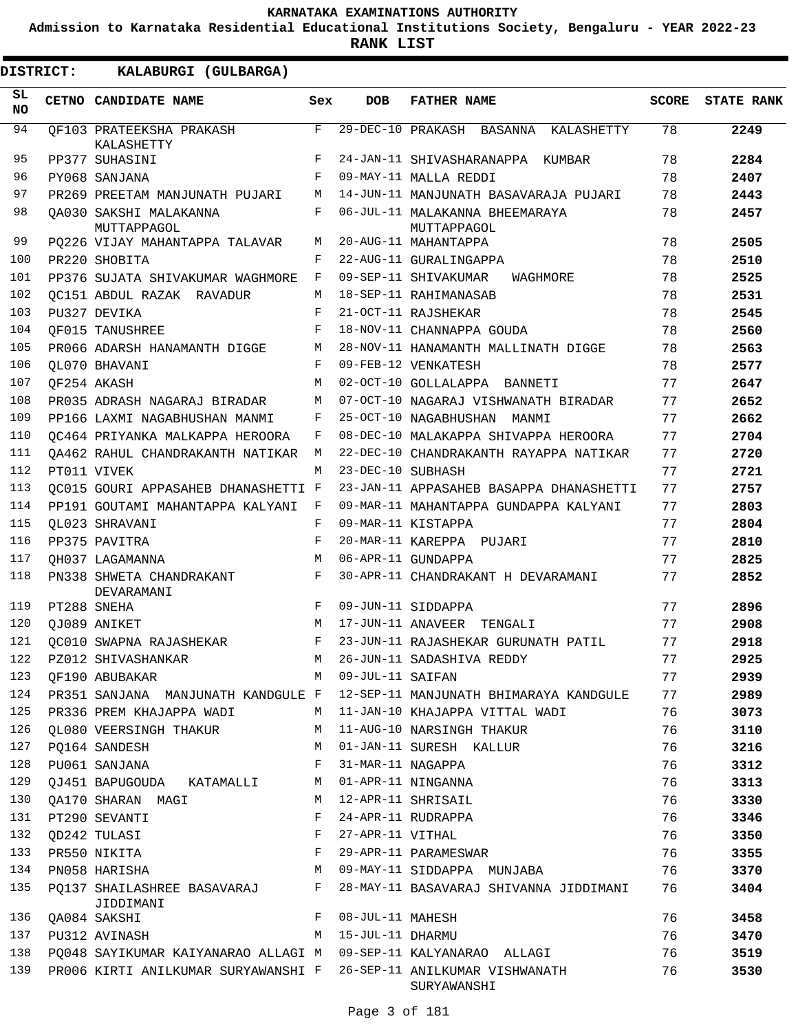**Admission to Karnataka Residential Educational Institutions Society, Bengaluru - YEAR 2022-23**

**RANK LIST**

| SL.<br><b>NO</b> | CETNO CANDIDATE NAME                     | Sex          | <b>DOB</b>        | <b>FATHER NAME</b>                            | <b>SCORE</b> | <b>STATE RANK</b> |
|------------------|------------------------------------------|--------------|-------------------|-----------------------------------------------|--------------|-------------------|
| 94               | OF103 PRATEEKSHA PRAKASH<br>KALASHETTY   | F            |                   | 29-DEC-10 PRAKASH BASANNA KALASHETTY          | 78           | 2249              |
| 95               | PP377 SUHASINI                           | F            |                   | 24-JAN-11 SHIVASHARANAPPA KUMBAR              | 78           | 2284              |
| 96               | PY068 SANJANA                            | F            |                   | 09-MAY-11 MALLA REDDI                         | 78           | 2407              |
| 97               | PR269 PREETAM MANJUNATH PUJARI           | М            |                   | 14-JUN-11 MANJUNATH BASAVARAJA PUJARI         | 78           | 2443              |
| 98               | OA030 SAKSHI MALAKANNA<br>MUTTAPPAGOL    | F            |                   | 06-JUL-11 MALAKANNA BHEEMARAYA<br>MUTTAPPAGOL | 78           | 2457              |
| 99               | PO226 VIJAY MAHANTAPPA TALAVAR           | M            |                   | 20-AUG-11 MAHANTAPPA                          | 78           | 2505              |
| 100              | PR220 SHOBITA                            | F            |                   | 22-AUG-11 GURALINGAPPA                        | 78           | 2510              |
| 101              | PP376 SUJATA SHIVAKUMAR WAGHMORE         | F            |                   | 09-SEP-11 SHIVAKUMAR<br>WAGHMORE              | 78           | 2525              |
| 102              | OC151 ABDUL RAZAK RAVADUR                | M            |                   | 18-SEP-11 RAHIMANASAB                         | 78           | 2531              |
| 103              | PU327 DEVIKA                             | $_{\rm F}$   |                   | 21-OCT-11 RAJSHEKAR                           | 78           | 2545              |
| 104              | QF015 TANUSHREE                          | $_{\rm F}$   |                   | 18-NOV-11 CHANNAPPA GOUDA                     | 78           | 2560              |
| 105              | PR066 ADARSH HANAMANTH DIGGE             | M            |                   | 28-NOV-11 HANAMANTH MALLINATH DIGGE           | 78           | 2563              |
| 106              | OL070 BHAVANI                            | F            |                   | 09-FEB-12 VENKATESH                           | 78           | 2577              |
| 107              | OF254 AKASH                              | M            |                   | 02-OCT-10 GOLLALAPPA BANNETI                  | 77           | 2647              |
| 108              | PR035 ADRASH NAGARAJ BIRADAR             | M            |                   | 07-OCT-10 NAGARAJ VISHWANATH BIRADAR          | 77           | 2652              |
| 109              | PP166 LAXMI NAGABHUSHAN MANMI            | F            |                   | 25-OCT-10 NAGABHUSHAN MANMI                   | 77           | 2662              |
| 110              | OC464 PRIYANKA MALKAPPA HEROORA          | F            |                   | 08-DEC-10 MALAKAPPA SHIVAPPA HEROORA          | 77           | 2704              |
| 111              | OA462 RAHUL CHANDRAKANTH NATIKAR         | М            |                   | 22-DEC-10 CHANDRAKANTH RAYAPPA NATIKAR        | 77           | 2720              |
| 112              | PT011 VIVEK                              | M            | 23-DEC-10 SUBHASH |                                               | 77           | 2721              |
| 113              | OC015 GOURI APPASAHEB DHANASHETTI F      |              |                   | 23-JAN-11 APPASAHEB BASAPPA DHANASHETTI       | 77           | 2757              |
| 114              | PP191 GOUTAMI MAHANTAPPA KALYANI         | $\mathbf{F}$ |                   | 09-MAR-11 MAHANTAPPA GUNDAPPA KALYANI         | 77           | 2803              |
| 115              | OL023 SHRAVANI                           | F            |                   | 09-MAR-11 KISTAPPA                            | 77           | 2804              |
| 116              | PP375 PAVITRA                            | $_{\rm F}$   |                   | 20-MAR-11 KAREPPA PUJARI                      | 77           | 2810              |
| 117              | OH037 LAGAMANNA                          | M            |                   | 06-APR-11 GUNDAPPA                            | 77           | 2825              |
| 118              | PN338 SHWETA CHANDRAKANT<br>DEVARAMANI   | F            |                   | 30-APR-11 CHANDRAKANT H DEVARAMANI            | 77           | 2852              |
| 119              | PT288 SNEHA                              | F            |                   | 09-JUN-11 SIDDAPPA                            | 77           | 2896              |
| 120              | OJ089 ANIKET                             | M            |                   | 17-JUN-11 ANAVEER TENGALI                     | 77           | 2908              |
| 121              | OC010 SWAPNA RAJASHEKAR                  | F            |                   | 23-JUN-11 RAJASHEKAR GURUNATH PATIL           | 77           | 2918              |
| 122              | PZ012 SHIVASHANKAR                       | M            |                   | 26-JUN-11 SADASHIVA REDDY                     | 77           | 2925              |
| 123              | QF190 ABUBAKAR                           | М            | 09-JUL-11 SAIFAN  |                                               | 77           | 2939              |
| 124              | PR351 SANJANA MANJUNATH KANDGULE F       |              |                   | 12-SEP-11 MANJUNATH BHIMARAYA KANDGULE        | 77           | 2989              |
| 125              | PR336 PREM KHAJAPPA WADI                 | M            |                   | 11-JAN-10 KHAJAPPA VITTAL WADI                | 76           | 3073              |
| 126              | QL080 VEERSINGH THAKUR                   | M            |                   | 11-AUG-10 NARSINGH THAKUR                     | 76           | 3110              |
| 127              | PQ164 SANDESH                            | М            |                   | 01-JAN-11 SURESH KALLUR                       | 76           | 3216              |
| 128              | PU061 SANJANA                            | F            | 31-MAR-11 NAGAPPA |                                               | 76           | 3312              |
| 129              | QJ451 BAPUGOUDA KATAMALLI                | M            |                   | 01-APR-11 NINGANNA                            | 76           | 3313              |
| 130              | QA170 SHARAN MAGI                        | М            |                   | 12-APR-11 SHRISAIL                            | 76           | 3330              |
| 131              | PT290 SEVANTI                            | F            |                   | 24-APR-11 RUDRAPPA                            | 76           | 3346              |
| 132              | QD242 TULASI                             | F            | 27-APR-11 VITHAL  |                                               | 76           | 3350              |
| 133              | PR550 NIKITA                             | F            |                   | 29-APR-11 PARAMESWAR                          | 76           | 3355              |
| 134              | PN058 HARISHA                            | М            |                   | 09-MAY-11 SIDDAPPA MUNJABA                    | 76           | 3370              |
| 135              | PQ137 SHAILASHREE BASAVARAJ<br>JIDDIMANI | F            |                   | 28-MAY-11 BASAVARAJ SHIVANNA JIDDIMANI        | 76           | 3404              |
| 136              | QA084 SAKSHI                             | F            | 08-JUL-11 MAHESH  |                                               | 76           | 3458              |
| 137              | PU312 AVINASH                            | М            | 15-JUL-11 DHARMU  |                                               | 76           | 3470              |
| 138              | PQ048 SAYIKUMAR KAIYANARAO ALLAGI M      |              |                   | 09-SEP-11 KALYANARAO ALLAGI                   | 76           | 3519              |
| 139              | PR006 KIRTI ANILKUMAR SURYAWANSHI F      |              |                   | 26-SEP-11 ANILKUMAR VISHWANATH<br>SURYAWANSHI | 76           | 3530              |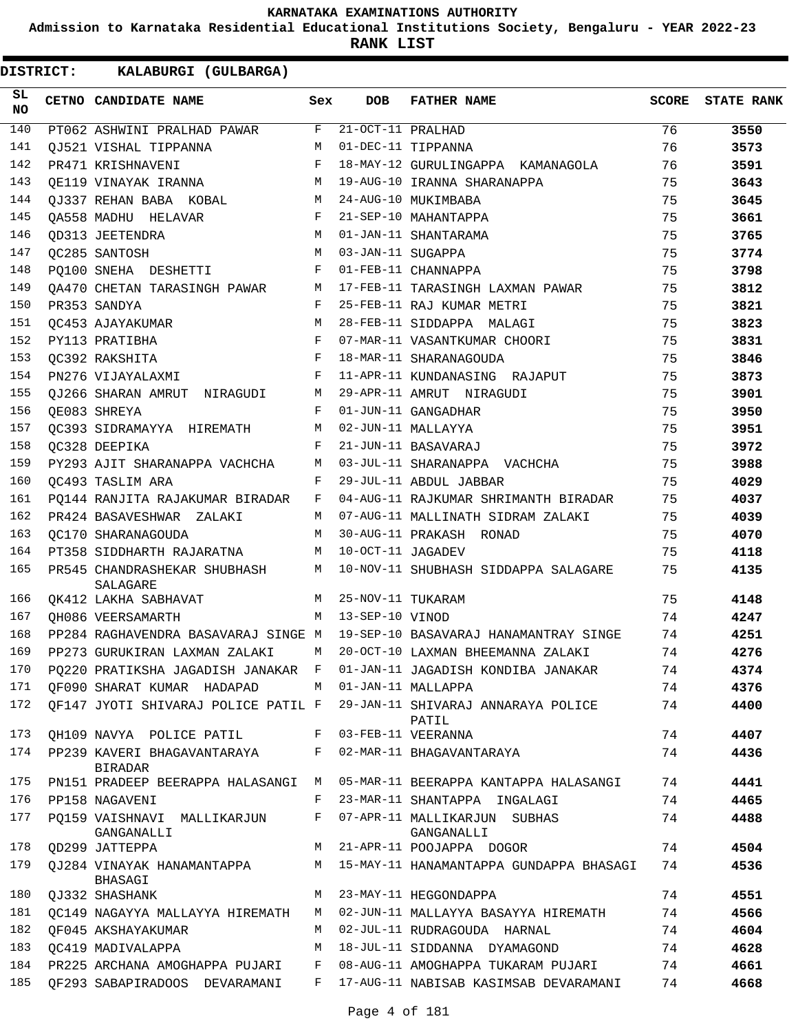**Admission to Karnataka Residential Educational Institutions Society, Bengaluru - YEAR 2022-23**

| <b>DISTRICT:</b> |  | KALABURGI (GULBARGA)                                              |              |                     |                                                                           |       |                   |
|------------------|--|-------------------------------------------------------------------|--------------|---------------------|---------------------------------------------------------------------------|-------|-------------------|
| SL.<br>NO        |  | CETNO CANDIDATE NAME                                              | Sex          | <b>DOB</b>          | <b>FATHER NAME</b>                                                        | SCORE | <b>STATE RANK</b> |
| 140              |  | PT062 ASHWINI PRALHAD PAWAR                                       | F            | 21-OCT-11 PRALHAD   |                                                                           | 76    | 3550              |
| 141              |  | QJ521 VISHAL TIPPANNA                                             | M            |                     | 01-DEC-11 TIPPANNA                                                        | 76    | 3573              |
| 142              |  | PR471 KRISHNAVENI                                                 | F            |                     | 18-MAY-12 GURULINGAPPA KAMANAGOLA                                         | 76    | 3591              |
| 143              |  | OE119 VINAYAK IRANNA                                              | M            |                     | 19-AUG-10 IRANNA SHARANAPPA                                               | 75    | 3643              |
| 144              |  | OJ337 REHAN BABA KOBAL                                            | M            |                     | 24-AUG-10 MUKIMBABA                                                       | 75    | 3645              |
| 145              |  | OA558 MADHU HELAVAR                                               | $\mathbf{F}$ |                     | 21-SEP-10 MAHANTAPPA                                                      | 75    | 3661              |
| 146              |  | OD313 JEETENDRA                                                   | M            |                     | 01-JAN-11 SHANTARAMA                                                      | 75    | 3765              |
| 147              |  | OC285 SANTOSH                                                     | M            | 03-JAN-11 SUGAPPA   |                                                                           | 75    | 3774              |
| 148              |  | PO100 SNEHA DESHETTI                                              | F            |                     | 01-FEB-11 CHANNAPPA                                                       | 75    | 3798              |
| 149              |  | OA470 CHETAN TARASINGH PAWAR                                      | M            |                     | 17-FEB-11 TARASINGH LAXMAN PAWAR                                          | 75    | 3812              |
| 150              |  | PR353 SANDYA                                                      | F            |                     | 25-FEB-11 RAJ KUMAR METRI                                                 | 75    | 3821              |
| 151              |  | OC453 AJAYAKUMAR                                                  | M            |                     | 28-FEB-11 SIDDAPPA MALAGI                                                 | 75    | 3823              |
| 152              |  | PY113 PRATIBHA                                                    | $\mathbf{F}$ |                     | 07-MAR-11 VASANTKUMAR CHOORI                                              | 75    | 3831              |
| 153              |  | OC392 RAKSHITA                                                    | $\mathbf{F}$ |                     | 18-MAR-11 SHARANAGOUDA                                                    | 75    | 3846              |
| 154              |  | PN276 VIJAYALAXMI                                                 | $\mathbf{F}$ |                     | 11-APR-11 KUNDANASING RAJAPUT                                             | 75    | 3873              |
| 155              |  | OJ266 SHARAN AMRUT NIRAGUDI                                       | M            |                     | 29-APR-11 AMRUT NIRAGUDI                                                  | 75    | 3901              |
| 156              |  | OE083 SHREYA                                                      | F            |                     | 01-JUN-11 GANGADHAR                                                       | 75    | 3950              |
| 157              |  | OC393 SIDRAMAYYA HIREMATH                                         | М            |                     | 02-JUN-11 MALLAYYA                                                        | 75    | 3951              |
| 158              |  | OC328 DEEPIKA                                                     | F            |                     | 21-JUN-11 BASAVARAJ                                                       | 75    | 3972              |
| 159              |  | PY293 AJIT SHARANAPPA VACHCHA                                     | М            |                     | 03-JUL-11 SHARANAPPA VACHCHA                                              | 75    | 3988              |
| 160              |  | OC493 TASLIM ARA                                                  | F            |                     | 29-JUL-11 ABDUL JABBAR                                                    | 75    | 4029              |
| 161              |  | PQ144 RANJITA RAJAKUMAR BIRADAR                                   | F            |                     | 04-AUG-11 RAJKUMAR SHRIMANTH BIRADAR                                      | 75    | 4037              |
| 162              |  | PR424 BASAVESHWAR ZALAKI                                          | M            |                     | 07-AUG-11 MALLINATH SIDRAM ZALAKI                                         | 75    | 4039              |
| 163              |  | OC170 SHARANAGOUDA                                                | M            |                     | 30-AUG-11 PRAKASH RONAD                                                   | 75    | 4070              |
| 164              |  | PT358 SIDDHARTH RAJARATNA                                         | М            | 10-OCT-11 JAGADEV   |                                                                           | 75    | 4118              |
| 165              |  | PR545 CHANDRASHEKAR SHUBHASH<br>SALAGARE                          | M            |                     | 10-NOV-11 SHUBHASH SIDDAPPA SALAGARE                                      | 75    | 4135              |
| 166              |  | QK412 LAKHA SABHAVAT                                              |              | M 25-NOV-11 TUKARAM |                                                                           | 75    | 4148              |
| 167              |  | QH086 VEERSAMARTH                                                 |              | M 13-SEP-10 VINOD   |                                                                           | 74    | 4247              |
| 168              |  |                                                                   |              |                     | PP284 RAGHAVENDRA BASAVARAJ SINGE M 19-SEP-10 BASAVARAJ HANAMANTRAY SINGE | 74    | 4251              |
| 169              |  | PP273 GURUKIRAN LAXMAN ZALAKI M 20-OCT-10 LAXMAN BHEEMANNA ZALAKI |              |                     |                                                                           | 74    | 4276              |
| 170              |  | PQ220 PRATIKSHA JAGADISH JANAKAR F                                |              |                     | 01-JAN-11 JAGADISH KONDIBA JANAKAR                                        | 74    | 4374              |
| 171              |  | QF090 SHARAT KUMAR HADAPAD                                        | M            |                     | 01-JAN-11 MALLAPPA                                                        | 74    | 4376              |
| 172              |  | QF147 JYOTI SHIVARAJ POLICE PATIL F                               |              |                     | 29-JAN-11 SHIVARAJ ANNARAYA POLICE<br>PATIL                               | 74    | 4400              |
| 173              |  | QH109 NAVYA POLICE PATIL                                          | F            |                     | 03-FEB-11 VEERANNA                                                        | 74    | 4407              |
| 174              |  | PP239 KAVERI BHAGAVANTARAYA<br>BIRADAR                            | F            |                     | 02-MAR-11 BHAGAVANTARAYA                                                  | 74    | 4436              |
| 175              |  | PN151 PRADEEP BEERAPPA HALASANGI                                  | M            |                     | 05-MAR-11 BEERAPPA KANTAPPA HALASANGI                                     | 74    | 4441              |
| 176              |  | PP158 NAGAVENI                                                    | F            |                     | 23-MAR-11 SHANTAPPA INGALAGI                                              | 74    | 4465              |
| 177              |  | PO159 VAISHNAVI MALLIKARJUN<br>GANGANALLI                         | F            |                     | 07-APR-11 MALLIKARJUN SUBHAS<br>GANGANALLI                                | 74    | 4488              |
| 178              |  | QD299 JATTEPPA                                                    | M            |                     | 21-APR-11 POOJAPPA DOGOR                                                  | 74    | 4504              |
| 179              |  | QJ284 VINAYAK HANAMANTAPPA<br>BHASAGI                             | М            |                     | 15-MAY-11 HANAMANTAPPA GUNDAPPA BHASAGI                                   | 74    | 4536              |
| 180              |  | QJ332 SHASHANK                                                    | M            |                     | 23-MAY-11 HEGGONDAPPA                                                     | 74    | 4551              |
| 181              |  | OC149 NAGAYYA MALLAYYA HIREMATH                                   | M            |                     | 02-JUN-11 MALLAYYA BASAYYA HIREMATH                                       | 74    | 4566              |
| 182              |  | OF045 AKSHAYAKUMAR                                                | M            |                     | 02-JUL-11 RUDRAGOUDA HARNAL                                               | 74    | 4604              |
| 183              |  | OC419 MADIVALAPPA                                                 | M            |                     | 18-JUL-11 SIDDANNA DYAMAGOND                                              | 74    | 4628              |
| 184              |  | PR225 ARCHANA AMOGHAPPA PUJARI                                    | F            |                     | 08-AUG-11 AMOGHAPPA TUKARAM PUJARI                                        | 74    | 4661              |
| 185              |  | OF293 SABAPIRADOOS DEVARAMANI                                     | F            |                     | 17-AUG-11 NABISAB KASIMSAB DEVARAMANI                                     | 74    | 4668              |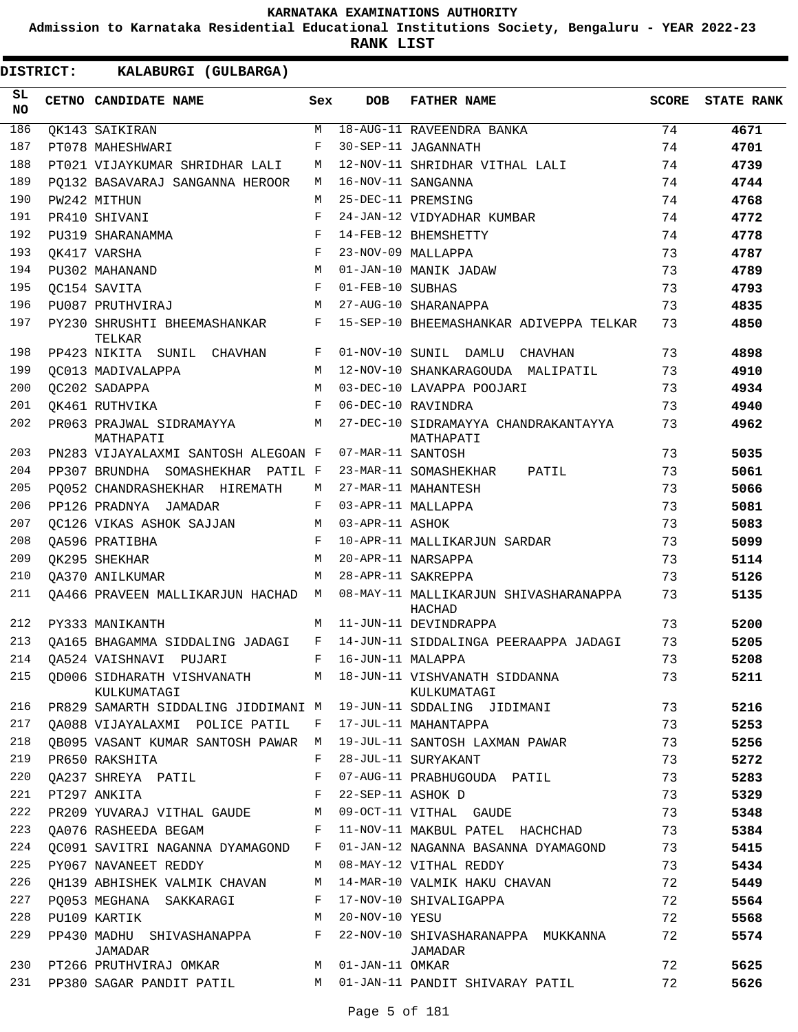**Admission to Karnataka Residential Educational Institutions Society, Bengaluru - YEAR 2022-23**

**RANK LIST**

| SL<br><b>NO</b> | CETNO CANDIDATE NAME                              | Sex          | <b>DOB</b>        | <b>FATHER NAME</b>                                              | SCORE | <b>STATE RANK</b> |
|-----------------|---------------------------------------------------|--------------|-------------------|-----------------------------------------------------------------|-------|-------------------|
| 186             | OK143 SAIKIRAN                                    | M            |                   | 18-AUG-11 RAVEENDRA BANKA                                       | 74    | 4671              |
| 187             | PT078 MAHESHWARI                                  | F            |                   | 30-SEP-11 JAGANNATH                                             | 74    | 4701              |
| 188             | PT021 VIJAYKUMAR SHRIDHAR LALI                    | М            |                   | 12-NOV-11 SHRIDHAR VITHAL LALI                                  | 74    | 4739              |
| 189             | PO132 BASAVARAJ SANGANNA HEROOR                   | M            |                   | 16-NOV-11 SANGANNA                                              | 74    | 4744              |
| 190             | PW242 MITHUN                                      | M            |                   | 25-DEC-11 PREMSING                                              | 74    | 4768              |
| 191             | PR410 SHIVANI                                     | F            |                   | 24-JAN-12 VIDYADHAR KUMBAR                                      | 74    | 4772              |
| 192             | PU319 SHARANAMMA                                  | F            |                   | 14-FEB-12 BHEMSHETTY                                            | 74    | 4778              |
| 193             | OK417 VARSHA                                      | F            |                   | 23-NOV-09 MALLAPPA                                              | 73    | 4787              |
| 194             | PU302 MAHANAND                                    | M            |                   | 01-JAN-10 MANIK JADAW                                           | 73    | 4789              |
| 195             | OC154 SAVITA                                      | F            | 01-FEB-10 SUBHAS  |                                                                 | 73    | 4793              |
| 196             | PU087 PRUTHVIRAJ                                  | M            |                   | 27-AUG-10 SHARANAPPA                                            | 73    | 4835              |
| 197             | PY230 SHRUSHTI BHEEMASHANKAR<br>TELKAR            | F            |                   | 15-SEP-10 BHEEMASHANKAR ADIVEPPA TELKAR                         | 73    | 4850              |
| 198             | PP423 NIKITA SUNIL CHAVHAN                        | F            |                   | 01-NOV-10 SUNIL DAMLU CHAVHAN                                   | 73    | 4898              |
| 199             | OC013 MADIVALAPPA                                 | M            |                   | 12-NOV-10 SHANKARAGOUDA MALIPATIL                               | 73    | 4910              |
| 200             | OC202 SADAPPA                                     | M            |                   | 03-DEC-10 LAVAPPA POOJARI                                       | 73    | 4934              |
| 201             | OK461 RUTHVIKA                                    | F            |                   | 06-DEC-10 RAVINDRA                                              | 73    | 4940              |
| 202             | PR063 PRAJWAL SIDRAMAYYA<br><b>M</b><br>MATHAPATI |              |                   | 27-DEC-10 SIDRAMAYYA CHANDRAKANTAYYA<br>MATHAPATI               | 73    | 4962              |
| 203             | PN283 VIJAYALAXMI SANTOSH ALEGOAN F               |              | 07-MAR-11 SANTOSH |                                                                 | 73    | 5035              |
| 204             | PP307 BRUNDHA SOMASHEKHAR PATIL F                 |              |                   | 23-MAR-11 SOMASHEKHAR<br>PATIL                                  | 73    | 5061              |
| 205             | PO052 CHANDRASHEKHAR HIREMATH                     | M            |                   | 27-MAR-11 MAHANTESH                                             | 73    | 5066              |
| 206             | PP126 PRADNYA JAMADAR                             | F            |                   | 03-APR-11 MALLAPPA                                              | 73    | 5081              |
| 207             | OC126 VIKAS ASHOK SAJJAN                          | M            | 03-APR-11 ASHOK   |                                                                 | 73    | 5083              |
| 208             | OA596 PRATIBHA                                    | F            |                   | 10-APR-11 MALLIKARJUN SARDAR                                    | 73    | 5099              |
| 209             | OK295 SHEKHAR                                     | M            |                   | 20-APR-11 NARSAPPA                                              | 73    | 5114              |
| 210             | <b>QA370 ANILKUMAR</b>                            | М            |                   | 28-APR-11 SAKREPPA                                              | 73    | 5126              |
| 211             | OA466 PRAVEEN MALLIKARJUN HACHAD M                |              |                   | 08-MAY-11 MALLIKARJUN SHIVASHARANAPPA<br>HACHAD                 | 73    | 5135              |
| 212             | PY333 MANIKANTH                                   | М            |                   | 11-JUN-11 DEVINDRAPPA                                           | 73    | 5200              |
| 213             | QA165 BHAGAMMA SIDDALING JADAGI                   | F            |                   | 14-JUN-11 SIDDALINGA PEERAAPPA JADAGI                           | 73    | 5205              |
| 214             | OA524 VAISHNAVI PUJARI                            | $_{\rm F}$   | 16-JUN-11 MALAPPA |                                                                 | 73    | 5208              |
| 215             | QD006 SIDHARATH VISHVANATH<br>KULKUMATAGI         |              |                   | M 18-JUN-11 VISHVANATH SIDDANNA<br>KULKUMATAGI                  | 73    | 5211              |
| 216             |                                                   |              |                   | PR829 SAMARTH SIDDALING JIDDIMANI M 19-JUN-11 SDDALING JIDIMANI | 73    | 5216              |
| 217             | QA088 VIJAYALAXMI POLICE PATIL                    | F            |                   | 17-JUL-11 MAHANTAPPA                                            | 73    | 5253              |
| 218             | QB095 VASANT KUMAR SANTOSH PAWAR M                |              |                   | 19-JUL-11 SANTOSH LAXMAN PAWAR                                  | 73    | 5256              |
| 219             | PR650 RAKSHITA                                    | F            |                   | 28-JUL-11 SURYAKANT                                             | 73    | 5272              |
| 220             | QA237 SHREYA PATIL                                | F            |                   | 07-AUG-11 PRABHUGOUDA PATIL                                     | 73    | 5283              |
| 221             | PT297 ANKITA                                      | F            | 22-SEP-11 ASHOK D |                                                                 | 73    | 5329              |
| 222             | PR209 YUVARAJ VITHAL GAUDE                        | M            |                   | 09-OCT-11 VITHAL GAUDE                                          | 73    | 5348              |
| 223             | QA076 RASHEEDA BEGAM                              | $\mathbf{F}$ |                   | 11-NOV-11 MAKBUL PATEL HACHCHAD                                 | 73    | 5384              |
| 224             | QC091 SAVITRI NAGANNA DYAMAGOND                   | F            |                   | 01-JAN-12 NAGANNA BASANNA DYAMAGOND                             | 73    | 5415              |
| 225             | PY067 NAVANEET REDDY                              | M            |                   | 08-MAY-12 VITHAL REDDY                                          | 73    | 5434              |
| 226             | OH139 ABHISHEK VALMIK CHAVAN                      | M            |                   | 14-MAR-10 VALMIK HAKU CHAVAN                                    | 72    | 5449              |
| 227             | PO053 MEGHANA SAKKARAGI                           | F            |                   | 17-NOV-10 SHIVALIGAPPA                                          | 72    | 5564              |
| 228             | PU109 KARTIK                                      | M            | 20-NOV-10 YESU    |                                                                 | 72    | 5568              |
| 229             | PP430 MADHU SHIVASHANAPPA<br>JAMADAR              | F            |                   | 22-NOV-10 SHIVASHARANAPPA MUKKANNA<br>JAMADAR                   | 72    | 5574              |
| 230             | PT266 PRUTHVIRAJ OMKAR                            |              | M 01-JAN-11 OMKAR |                                                                 | 72    | 5625              |
| 231             | PP380 SAGAR PANDIT PATIL                          |              |                   | M 01-JAN-11 PANDIT SHIVARAY PATIL                               | 72    | 5626              |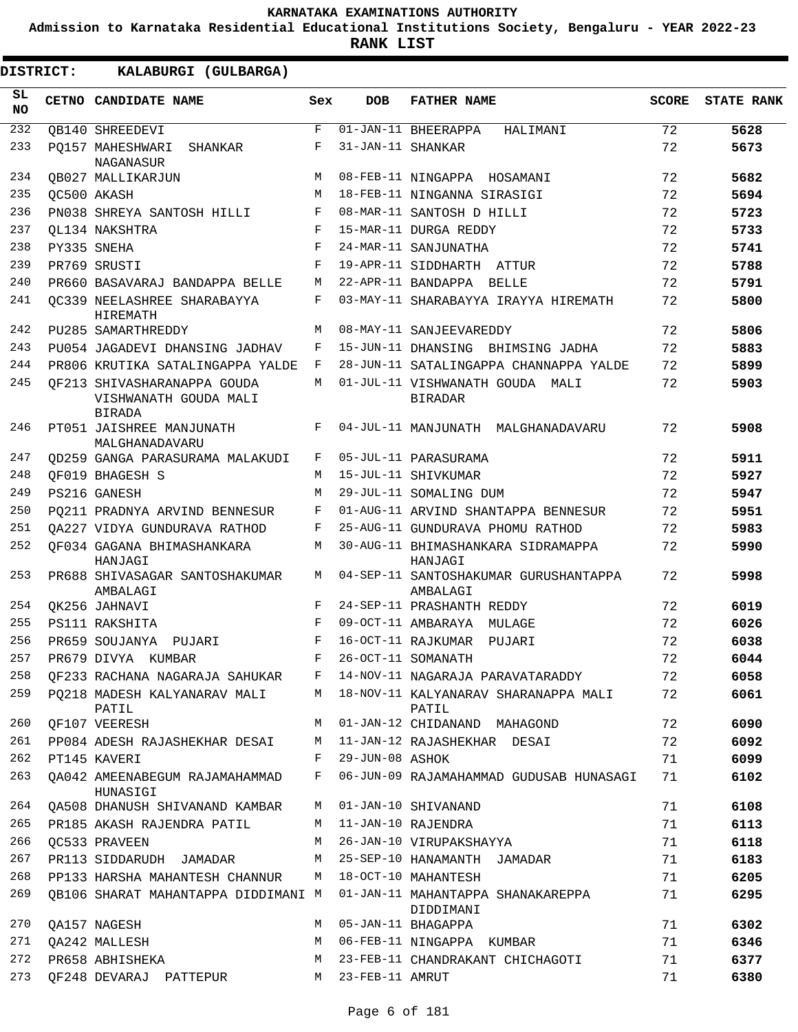**Admission to Karnataka Residential Educational Institutions Society, Bengaluru - YEAR 2022-23**

**RANK LIST**

| SL<br><b>NO</b> | CETNO CANDIDATE NAME                                                  | Sex        | DOB               | <b>FATHER NAME</b>                                | <b>SCORE</b> | <b>STATE RANK</b> |
|-----------------|-----------------------------------------------------------------------|------------|-------------------|---------------------------------------------------|--------------|-------------------|
| 232             | OB140 SHREEDEVI                                                       | F          |                   | $\overline{01}$ -JAN-11 BHEERAPPA<br>HALIMANI     | 72           | 5628              |
| 233             | PO157 MAHESHWARI<br>SHANKAR<br>NAGANASUR                              | F          | 31-JAN-11 SHANKAR |                                                   | 72           | 5673              |
| 234             | OB027 MALLIKARJUN                                                     | M          |                   | 08-FEB-11 NINGAPPA HOSAMANI                       | 72           | 5682              |
| 235             | OC500 AKASH                                                           | M          |                   | 18-FEB-11 NINGANNA SIRASIGI                       | 72           | 5694              |
| 236             | PN038 SHREYA SANTOSH HILLI                                            | F          |                   | 08-MAR-11 SANTOSH D HILLI                         | 72           | 5723              |
| 237             | OL134 NAKSHTRA                                                        | F          |                   | 15-MAR-11 DURGA REDDY                             | 72           | 5733              |
| 238             | PY335 SNEHA                                                           | $_{\rm F}$ |                   | 24-MAR-11 SANJUNATHA                              | 72           | 5741              |
| 239             | PR769 SRUSTI                                                          | F          |                   | 19-APR-11 SIDDHARTH ATTUR                         | 72           | 5788              |
| 240             | PR660 BASAVARAJ BANDAPPA BELLE                                        | М          |                   | 22-APR-11 BANDAPPA BELLE                          | 72           | 5791              |
| 241             | OC339 NEELASHREE SHARABAYYA<br>HIREMATH                               | F          |                   | 03-MAY-11 SHARABAYYA IRAYYA HIREMATH              | 72           | 5800              |
| 242             | PU285 SAMARTHREDDY                                                    | M          |                   | 08-MAY-11 SANJEEVAREDDY                           | 72           | 5806              |
| 243             | PU054 JAGADEVI DHANSING JADHAV                                        | F          |                   | 15-JUN-11 DHANSING BHIMSING JADHA                 | 72           | 5883              |
| 244             | PR806 KRUTIKA SATALINGAPPA YALDE                                      | F          |                   | 28-JUN-11 SATALINGAPPA CHANNAPPA YALDE            | 72           | 5899              |
| 245             | OF213 SHIVASHARANAPPA GOUDA<br>VISHWANATH GOUDA MALI<br><b>BIRADA</b> | М          |                   | 01-JUL-11 VISHWANATH GOUDA MALI<br><b>BIRADAR</b> | 72           | 5903              |
| 246             | PT051 JAISHREE MANJUNATH<br>MALGHANADAVARU                            | F          |                   | 04-JUL-11 MANJUNATH MALGHANADAVARU                | 72           | 5908              |
| 247             | OD259 GANGA PARASURAMA MALAKUDI                                       | F          |                   | 05-JUL-11 PARASURAMA                              | 72           | 5911              |
| 248             | OF019 BHAGESH S                                                       | М          |                   | 15-JUL-11 SHIVKUMAR                               | 72           | 5927              |
| 249             | PS216 GANESH                                                          | М          |                   | 29-JUL-11 SOMALING DUM                            | 72           | 5947              |
| 250             | PO211 PRADNYA ARVIND BENNESUR                                         | F          |                   | 01-AUG-11 ARVIND SHANTAPPA BENNESUR               | 72           | 5951              |
| 251             | OA227 VIDYA GUNDURAVA RATHOD                                          | F          |                   | 25-AUG-11 GUNDURAVA PHOMU RATHOD                  | 72           | 5983              |
| 252             | OF034 GAGANA BHIMASHANKARA<br>HANJAGI                                 | М          |                   | 30-AUG-11 BHIMASHANKARA SIDRAMAPPA<br>HANJAGI     | 72           | 5990              |
| 253             | PR688 SHIVASAGAR SANTOSHAKUMAR<br>AMBALAGI                            | М          |                   | 04-SEP-11 SANTOSHAKUMAR GURUSHANTAPPA<br>AMBALAGI | 72           | 5998              |
| 254             | OK256 JAHNAVI                                                         | F          |                   | 24-SEP-11 PRASHANTH REDDY                         | 72           | 6019              |
| 255             | PS111 RAKSHITA                                                        | F          |                   | 09-OCT-11 AMBARAYA<br>MULAGE                      | 72           | 6026              |
| 256             | PR659 SOUJANYA<br>PUJARI                                              | F          |                   | 16-OCT-11 RAJKUMAR<br>PUJARI                      | 72           | 6038              |
| 257             | PR679 DIVYA KUMBAR                                                    | F          |                   | 26-OCT-11 SOMANATH                                | 72           | 6044              |
| 258             | QF233 RACHANA NAGARAJA SAHUKAR                                        | F          |                   | 14-NOV-11 NAGARAJA PARAVATARADDY                  | 72           | 6058              |
| 259             | PO218 MADESH KALYANARAV MALI<br>PATIL                                 | M          |                   | 18-NOV-11 KALYANARAV SHARANAPPA MALI<br>PATIL     | 72           | 6061              |
| 260             | QF107 VEERESH                                                         | M          |                   | 01-JAN-12 CHIDANAND MAHAGOND                      | 72           | 6090              |
| 261             | PP084 ADESH RAJASHEKHAR DESAI                                         | М          |                   | 11-JAN-12 RAJASHEKHAR DESAI                       | 72           | 6092              |
| 262             | PT145 KAVERI                                                          | F          | 29-JUN-08 ASHOK   |                                                   | 71           | 6099              |
| 263             | OA042 AMEENABEGUM RAJAMAHAMMAD<br>HUNASIGI                            | F          |                   | 06-JUN-09 RAJAMAHAMMAD GUDUSAB HUNASAGI           | 71           | 6102              |
| 264             | OA508 DHANUSH SHIVANAND KAMBAR                                        | М          |                   | 01-JAN-10 SHIVANAND                               | 71           | 6108              |
| 265             | PR185 AKASH RAJENDRA PATIL                                            | М          |                   | 11-JAN-10 RAJENDRA                                | 71           | 6113              |
| 266             | OC533 PRAVEEN                                                         | M          |                   | 26-JAN-10 VIRUPAKSHAYYA                           | 71           | 6118              |
| 267             | PR113 SIDDARUDH JAMADAR                                               | М          |                   | 25-SEP-10 HANAMANTH JAMADAR                       | 71           | 6183              |
| 268             | PP133 HARSHA MAHANTESH CHANNUR                                        | М          |                   | 18-OCT-10 MAHANTESH                               | 71           | 6205              |
| 269             | QB106 SHARAT MAHANTAPPA DIDDIMANI M                                   |            |                   | 01-JAN-11 MAHANTAPPA SHANAKAREPPA<br>DIDDIMANI    | 71           | 6295              |
| 270             | QA157 NAGESH                                                          | М          |                   | 05-JAN-11 BHAGAPPA                                | 71           | 6302              |
| 271             | QA242 MALLESH                                                         | M          |                   | 06-FEB-11 NINGAPPA KUMBAR                         | 71           | 6346              |
| 272             | PR658 ABHISHEKA                                                       | М          |                   | 23-FEB-11 CHANDRAKANT CHICHAGOTI                  | 71           | 6377              |
| 273             | QF248 DEVARAJ PATTEPUR                                                | M          | 23-FEB-11 AMRUT   |                                                   | 71           | 6380              |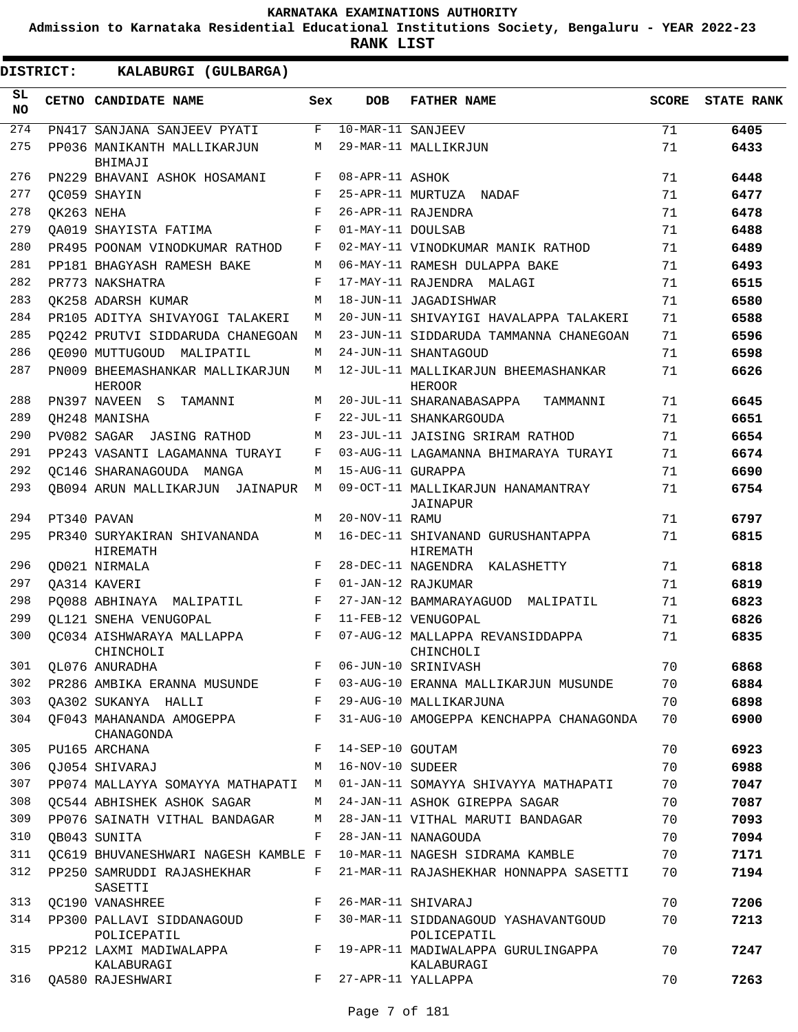**Admission to Karnataka Residential Educational Institutions Society, Bengaluru - YEAR 2022-23**

**RANK LIST**

| SL<br><b>NO</b> |            | CETNO CANDIDATE NAME                             | Sex | <b>DOB</b>        | <b>FATHER NAME</b>                                 | <b>SCORE</b> | <b>STATE RANK</b> |
|-----------------|------------|--------------------------------------------------|-----|-------------------|----------------------------------------------------|--------------|-------------------|
| 274             |            | PN417 SANJANA SANJEEV PYATI                      | F   | 10-MAR-11 SANJEEV |                                                    | 71           | 6405              |
| 275             |            | PP036 MANIKANTH MALLIKARJUN<br>BHIMAJI           | М   |                   | 29-MAR-11 MALLIKRJUN                               | 71           | 6433              |
| 276             |            | PN229 BHAVANI ASHOK HOSAMANI                     | F   | 08-APR-11 ASHOK   |                                                    | 71           | 6448              |
| 277             |            | OC059 SHAYIN                                     | F   |                   | 25-APR-11 MURTUZA NADAF                            | 71           | 6477              |
| 278             | OK263 NEHA |                                                  | F   |                   | 26-APR-11 RAJENDRA                                 | 71           | 6478              |
| 279             |            | QA019 SHAYISTA FATIMA                            | F   | 01-MAY-11 DOULSAB |                                                    | 71           | 6488              |
| 280             |            | PR495 POONAM VINODKUMAR RATHOD                   | F   |                   | 02-MAY-11 VINODKUMAR MANIK RATHOD                  | 71           | 6489              |
| 281             |            | PP181 BHAGYASH RAMESH BAKE                       | М   |                   | 06-MAY-11 RAMESH DULAPPA BAKE                      | 71           | 6493              |
| 282             |            | PR773 NAKSHATRA                                  | F   |                   | 17-MAY-11 RAJENDRA MALAGI                          | 71           | 6515              |
| 283             |            | OK258 ADARSH KUMAR                               | М   |                   | 18-JUN-11 JAGADISHWAR                              | 71           | 6580              |
| 284             |            | PR105 ADITYA SHIVAYOGI TALAKERI                  | М   |                   | 20-JUN-11 SHIVAYIGI HAVALAPPA TALAKERI             | 71           | 6588              |
| 285             |            | PO242 PRUTVI SIDDARUDA CHANEGOAN                 | М   |                   | 23-JUN-11 SIDDARUDA TAMMANNA CHANEGOAN             | 71           | 6596              |
| 286             |            | OE090 MUTTUGOUD MALIPATIL                        | М   |                   | 24-JUN-11 SHANTAGOUD                               | 71           | 6598              |
| 287             |            | PN009 BHEEMASHANKAR MALLIKARJUN<br><b>HEROOR</b> | М   |                   | 12-JUL-11 MALLIKARJUN BHEEMASHANKAR<br>HEROOR      | 71           | 6626              |
| 288             |            | PN397 NAVEEN S<br>TAMANNI                        | М   |                   | 20-JUL-11 SHARANABASAPPA<br>TAMMANNI               | 71           | 6645              |
| 289             |            | OH248 MANISHA                                    | F   |                   | 22-JUL-11 SHANKARGOUDA                             | 71           | 6651              |
| 290             |            | PV082 SAGAR JASING RATHOD                        | М   |                   | 23-JUL-11 JAISING SRIRAM RATHOD                    | 71           | 6654              |
| 291             |            | PP243 VASANTI LAGAMANNA TURAYI                   | F   |                   | 03-AUG-11 LAGAMANNA BHIMARAYA TURAYI               | 71           | 6674              |
| 292             |            | OC146 SHARANAGOUDA MANGA                         | M   | 15-AUG-11 GURAPPA |                                                    | 71           | 6690              |
| 293             |            | <b>QB094 ARUN MALLIKARJUN</b><br>JAINAPUR        | M   |                   | 09-OCT-11 MALLIKARJUN HANAMANTRAY<br>JAINAPUR      | 71           | 6754              |
| 294             |            | PT340 PAVAN                                      | M   | 20-NOV-11 RAMU    |                                                    | 71           | 6797              |
| 295             |            | PR340 SURYAKIRAN SHIVANANDA<br>HIREMATH          | М   |                   | 16-DEC-11 SHIVANAND GURUSHANTAPPA<br>HIREMATH      | 71           | 6815              |
| 296             |            | <b>QD021 NIRMALA</b>                             | F   |                   | 28-DEC-11 NAGENDRA KALASHETTY                      | 71           | 6818              |
| 297             |            | OA314 KAVERI                                     | F   |                   | 01-JAN-12 RAJKUMAR                                 | 71           | 6819              |
| 298             |            | PO088 ABHINAYA MALIPATIL                         | F   |                   | 27-JAN-12 BAMMARAYAGUOD MALIPATIL                  | 71           | 6823              |
| 299             |            | OL121 SNEHA VENUGOPAL                            | F   |                   | 11-FEB-12 VENUGOPAL                                | 71           | 6826              |
| 300             |            | OC034 AISHWARAYA MALLAPPA<br>CHINCHOLI           | F   |                   | 07-AUG-12 MALLAPPA REVANSIDDAPPA<br>CHINCHOLI      | 71           | 6835              |
| 301             |            | QL076 ANURADHA                                   | F   |                   | 06-JUN-10 SRINIVASH                                | 70           | 6868              |
| 302             |            | PR286 AMBIKA ERANNA MUSUNDE                      | F   |                   | 03-AUG-10 ERANNA MALLIKARJUN MUSUNDE               | 70           | 6884              |
| 303             |            | QA302 SUKANYA HALLI                              | F   |                   | 29-AUG-10 MALLIKARJUNA                             | 70           | 6898              |
| 304             |            | QF043 MAHANANDA AMOGEPPA<br>CHANAGONDA           | F   |                   | 31-AUG-10 AMOGEPPA KENCHAPPA CHANAGONDA            | 70           | 6900              |
| 305             |            | PU165 ARCHANA                                    | F   | 14-SEP-10 GOUTAM  |                                                    | 70           | 6923              |
| 306             |            | OJ054 SHIVARAJ                                   | М   | 16-NOV-10 SUDEER  |                                                    | 70           | 6988              |
| 307             |            | PP074 MALLAYYA SOMAYYA MATHAPATI                 | M   |                   | 01-JAN-11 SOMAYYA SHIVAYYA MATHAPATI               | 70           | 7047              |
| 308             |            | OC544 ABHISHEK ASHOK SAGAR                       | М   |                   | 24-JAN-11 ASHOK GIREPPA SAGAR                      | 70           | 7087              |
| 309             |            | PP076 SAINATH VITHAL BANDAGAR                    | М   |                   | 28-JAN-11 VITHAL MARUTI BANDAGAR                   | 70           | 7093              |
| 310             |            | OB043 SUNITA                                     | F   |                   | 28-JAN-11 NANAGOUDA                                | 70           | 7094              |
| 311             |            | QC619 BHUVANESHWARI NAGESH KAMBLE F              |     |                   | 10-MAR-11 NAGESH SIDRAMA KAMBLE                    | 70           | 7171              |
| 312             |            | PP250 SAMRUDDI RAJASHEKHAR<br>SASETTI            | F   |                   | 21-MAR-11 RAJASHEKHAR HONNAPPA SASETTI             | 70           | 7194              |
| 313             |            | QC190 VANASHREE                                  | F   |                   | 26-MAR-11 SHIVARAJ                                 | 70           | 7206              |
| 314             |            | PP300 PALLAVI SIDDANAGOUD<br>POLICEPATIL         | F   |                   | 30-MAR-11 SIDDANAGOUD YASHAVANTGOUD<br>POLICEPATIL | 70           | 7213              |
| 315             |            | PP212 LAXMI MADIWALAPPA<br>KALABURAGI            | F   |                   | 19-APR-11 MADIWALAPPA GURULINGAPPA<br>KALABURAGI   | 70           | 7247              |
| 316             |            | QA580 RAJESHWARI                                 | F   |                   | 27-APR-11 YALLAPPA                                 | 70           | 7263              |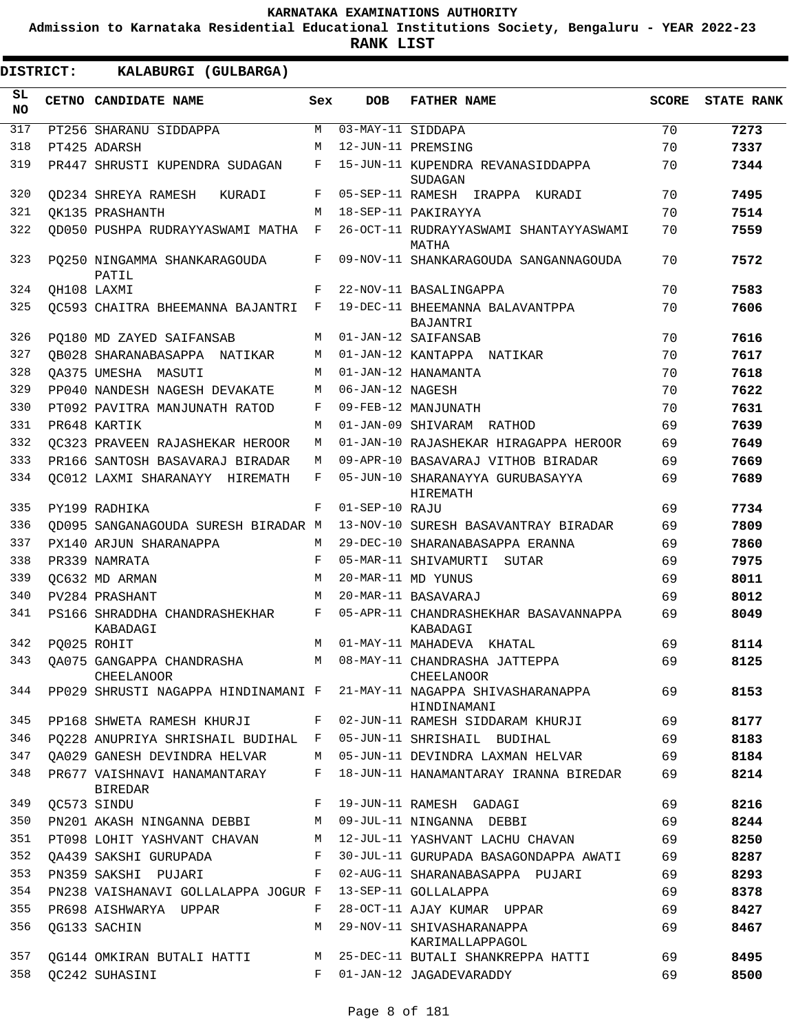**Admission to Karnataka Residential Educational Institutions Society, Bengaluru - YEAR 2022-23**

**RANK LIST**

| SL<br><b>NO</b> | CETNO CANDIDATE NAME                                     | Sex        | <b>DOB</b>        | <b>FATHER NAME</b>                                                                   | <b>SCORE</b> | <b>STATE RANK</b> |
|-----------------|----------------------------------------------------------|------------|-------------------|--------------------------------------------------------------------------------------|--------------|-------------------|
| 317             | PT256 SHARANU SIDDAPPA                                   | М          | 03-MAY-11 SIDDAPA |                                                                                      | 70           | 7273              |
| 318             | PT425 ADARSH                                             | M          |                   | 12-JUN-11 PREMSING                                                                   | 70           | 7337              |
| 319             | PR447 SHRUSTI KUPENDRA SUDAGAN                           | F          |                   | 15-JUN-11 KUPENDRA REVANASIDDAPPA<br><b>SUDAGAN</b>                                  | 70           | 7344              |
| 320             | OD234 SHREYA RAMESH<br>KURADI                            | F          |                   | 05-SEP-11 RAMESH IRAPPA KURADI                                                       | 70           | 7495              |
| 321             | OK135 PRASHANTH                                          | M          |                   | 18-SEP-11 PAKIRAYYA                                                                  | 70           | 7514              |
| 322             | OD050 PUSHPA RUDRAYYASWAMI MATHA                         | F          |                   | 26-OCT-11 RUDRAYYASWAMI SHANTAYYASWAMI<br>MATHA                                      | 70           | 7559              |
| 323             | PO250 NINGAMMA SHANKARAGOUDA<br>PATIL                    | F          |                   | 09-NOV-11 SHANKARAGOUDA SANGANNAGOUDA                                                | 70           | 7572              |
| 324             | OH108 LAXMI                                              | F          |                   | 22-NOV-11 BASALINGAPPA                                                               | 70           | 7583              |
| 325             | OC593 CHAITRA BHEEMANNA BAJANTRI                         | $_{\rm F}$ |                   | 19-DEC-11 BHEEMANNA BALAVANTPPA<br>BAJANTRI                                          | 70           | 7606              |
| 326             | PO180 MD ZAYED SAIFANSAB                                 | М          |                   | 01-JAN-12 SAIFANSAB                                                                  | 70           | 7616              |
| 327             | QB028 SHARANABASAPPA NATIKAR                             | М          |                   | 01-JAN-12 KANTAPPA NATIKAR                                                           | 70           | 7617              |
| 328             | OA375 UMESHA MASUTI                                      | M          |                   | 01-JAN-12 HANAMANTA                                                                  | 70           | 7618              |
| 329             | PP040 NANDESH NAGESH DEVAKATE                            | M          | 06-JAN-12 NAGESH  |                                                                                      | 70           | 7622              |
| 330             | PT092 PAVITRA MANJUNATH RATOD                            | F          |                   | 09-FEB-12 MANJUNATH                                                                  | 70           | 7631              |
| 331             | PR648 KARTIK                                             | М          |                   | 01-JAN-09 SHIVARAM RATHOD                                                            | 69           | 7639              |
| 332             | OC323 PRAVEEN RAJASHEKAR HEROOR                          | М          |                   | 01-JAN-10 RAJASHEKAR HIRAGAPPA HEROOR                                                | 69           | 7649              |
| 333             | PR166 SANTOSH BASAVARAJ BIRADAR                          | M          |                   | 09-APR-10 BASAVARAJ VITHOB BIRADAR                                                   | 69           | 7669              |
| 334             | OC012 LAXMI SHARANAYY HIREMATH                           | F          |                   | 05-JUN-10 SHARANAYYA GURUBASAYYA<br>HIREMATH                                         | 69           | 7689              |
| 335             | PY199 RADHIKA                                            | F          | 01-SEP-10 RAJU    |                                                                                      | 69           | 7734              |
| 336             | OD095 SANGANAGOUDA SURESH BIRADAR M                      |            |                   | 13-NOV-10 SURESH BASAVANTRAY BIRADAR                                                 | 69           | 7809              |
| 337             | PX140 ARJUN SHARANAPPA                                   | М          |                   | 29-DEC-10 SHARANABASAPPA ERANNA                                                      | 69           | 7860              |
| 338             | PR339 NAMRATA                                            | F          |                   | 05-MAR-11 SHIVAMURTI<br>SUTAR                                                        | 69           | 7975              |
| 339             | OC632 MD ARMAN                                           | M          |                   | 20-MAR-11 MD YUNUS                                                                   | 69           | 8011              |
| 340             | PV284 PRASHANT                                           | M          |                   | 20-MAR-11 BASAVARAJ                                                                  | 69           | 8012              |
| 341             | PS166 SHRADDHA CHANDRASHEKHAR<br>KABADAGI                | F          |                   | 05-APR-11 CHANDRASHEKHAR BASAVANNAPPA<br>KABADAGI                                    | 69           | 8049              |
| 342             | PO025 ROHIT                                              | M          |                   | 01-MAY-11 MAHADEVA KHATAL                                                            | 69           | 8114              |
| 343             | OA075 GANGAPPA CHANDRASHA<br><b>CHEELANOOR</b>           | M          |                   | 08-MAY-11 CHANDRASHA JATTEPPA<br><b>CHEELANOOR</b>                                   | 69           | 8125              |
| 344             |                                                          |            |                   | PP029 SHRUSTI NAGAPPA HINDINAMANI F 21-MAY-11 NAGAPPA SHIVASHARANAPPA<br>HINDINAMANI | 69           | 8153              |
| 345             |                                                          |            |                   | PP168 SHWETA RAMESH KHURJI F 02-JUN-11 RAMESH SIDDARAM KHURJI 69                     |              | 8177              |
| 346             |                                                          |            |                   | PQ228 ANUPRIYA SHRISHAIL BUDIHAL F 05-JUN-11 SHRISHAIL BUDIHAL                       | 69           | 8183              |
| 347             |                                                          |            |                   | QA029 GANESH DEVINDRA HELVAR     M   05-JUN-11 DEVINDRA LAXMAN HELVAR                | 69           | 8184              |
| 348             | BIREDAR                                                  |            |                   | PR677 VAISHNAVI HANAMANTARAY F 18-JUN-11 HANAMANTARAY IRANNA BIREDAR                 | 69           | 8214              |
| 349             | QC573 SINDU                                              |            |                   | F 19-JUN-11 RAMESH GADAGI                                                            | 69           | 8216              |
| 350             | PN201 AKASH NINGANNA DEBBI M 09-JUL-11 NINGANNA DEBBI    |            |                   |                                                                                      | 69           | 8244              |
| 351             |                                                          |            |                   | PT098 LOHIT YASHVANT CHAVAN M 12-JUL-11 YASHVANT LACHU CHAVAN                        | 69           | 8250              |
| 352             |                                                          |            |                   | QA439 SAKSHI GURUPADA               F   30-JUL-11 GURUPADA BASAGONDAPPA AWATI        | 69           | 8287              |
| 353             |                                                          |            |                   | PN359 SAKSHI PUJARI         F   02-AUG-11 SHARANABASAPPA  PUJARI                     | 69           | 8293              |
| 354             | PN238 VAISHANAVI GOLLALAPPA JOGUR F 13-SEP-11 GOLLALAPPA |            |                   |                                                                                      | 69           | 8378              |
| 355             | PR698 AISHWARYA UPPAR                                    |            |                   | F 28-OCT-11 AJAY KUMAR UPPAR                                                         | 69           | 8427              |
| 356             | QG133 SACHIN                                             |            |                   | M 29-NOV-11 SHIVASHARANAPPA<br>KARIMALLAPPAGOL                                       | 69           | 8467              |
| 357             |                                                          |            |                   | QG144 OMKIRAN BUTALI HATTI MARTI 25-DEC-11 BUTALI SHANKREPPA HATTI                   | 69           | 8495              |
| 358             | QC242 SUHASINI                                           |            |                   | F 01-JAN-12 JAGADEVARADDY                                                            | 69           | 8500              |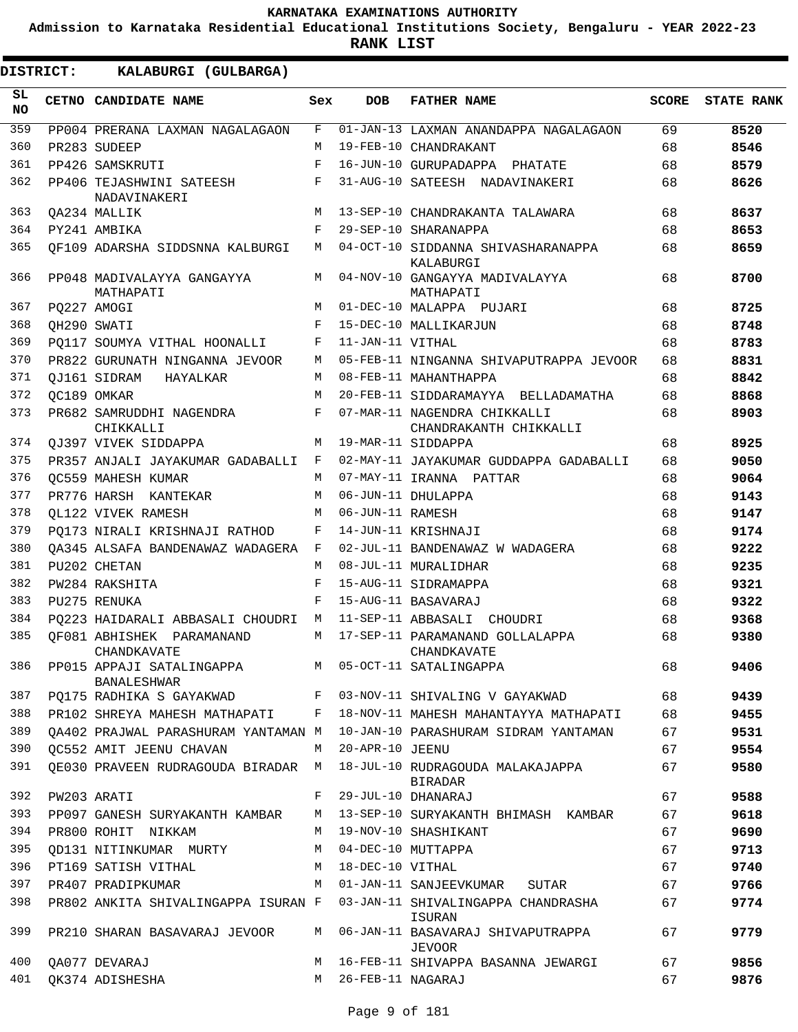**Admission to Karnataka Residential Educational Institutions Society, Bengaluru - YEAR 2022-23**

**RANK LIST**

ı

| <b>DISTRICT:</b> |  | KALABURGI (GULBARGA)                                                     |     |                   |                                                        |              |                   |
|------------------|--|--------------------------------------------------------------------------|-----|-------------------|--------------------------------------------------------|--------------|-------------------|
| SL.<br><b>NO</b> |  | CETNO CANDIDATE NAME                                                     | Sex | <b>DOB</b>        | <b>FATHER NAME</b>                                     | <b>SCORE</b> | <b>STATE RANK</b> |
| 359              |  | PP004 PRERANA LAXMAN NAGALAGAON                                          | F   |                   | 01-JAN-13 LAXMAN ANANDAPPA NAGALAGAON                  | 69           | 8520              |
| 360              |  | PR283 SUDEEP                                                             | M   |                   | 19-FEB-10 CHANDRAKANT                                  | 68           | 8546              |
| 361              |  | PP426 SAMSKRUTI                                                          | F   |                   | 16-JUN-10 GURUPADAPPA PHATATE                          | 68           | 8579              |
| 362              |  | PP406 TEJASHWINI SATEESH<br>NADAVINAKERI                                 | F   |                   | 31-AUG-10 SATEESH NADAVINAKERI                         | 68           | 8626              |
| 363              |  | OA234 MALLIK                                                             | M   |                   | 13-SEP-10 CHANDRAKANTA TALAWARA                        | 68           | 8637              |
| 364              |  | PY241 AMBIKA                                                             | F   |                   | 29-SEP-10 SHARANAPPA                                   | 68           | 8653              |
| 365              |  | OF109 ADARSHA SIDDSNNA KALBURGI                                          | M   |                   | 04-OCT-10 SIDDANNA SHIVASHARANAPPA<br>KALABURGI        | 68           | 8659              |
| 366              |  | PP048 MADIVALAYYA GANGAYYA<br>MATHAPATI                                  | М   |                   | 04-NOV-10 GANGAYYA MADIVALAYYA<br>MATHAPATI            | 68           | 8700              |
| 367              |  | PO227 AMOGI                                                              | M   |                   | 01-DEC-10 MALAPPA PUJARI                               | 68           | 8725              |
| 368              |  | OH290 SWATI                                                              | F   |                   | 15-DEC-10 MALLIKARJUN                                  | 68           | 8748              |
| 369              |  | PO117 SOUMYA VITHAL HOONALLI                                             | F   | 11-JAN-11 VITHAL  |                                                        | 68           | 8783              |
| 370              |  | PR822 GURUNATH NINGANNA JEVOOR                                           | М   |                   | 05-FEB-11 NINGANNA SHIVAPUTRAPPA JEVOOR                | 68           | 8831              |
| 371              |  | OJ161 SIDRAM HAYALKAR                                                    | М   |                   | 08-FEB-11 MAHANTHAPPA                                  | 68           | 8842              |
| 372              |  | OC189 OMKAR                                                              | М   |                   | 20-FEB-11 SIDDARAMAYYA BELLADAMATHA                    | 68           | 8868              |
| 373              |  | PR682 SAMRUDDHI NAGENDRA<br>CHIKKALLI                                    | F   |                   | 07-MAR-11 NAGENDRA CHIKKALLI<br>CHANDRAKANTH CHIKKALLI | 68           | 8903              |
| 374              |  | OJ397 VIVEK SIDDAPPA                                                     | M   |                   | 19-MAR-11 SIDDAPPA                                     | 68           | 8925              |
| 375              |  | PR357 ANJALI JAYAKUMAR GADABALLI F                                       |     |                   | 02-MAY-11 JAYAKUMAR GUDDAPPA GADABALLI                 | 68           | 9050              |
| 376              |  | OC559 MAHESH KUMAR                                                       | M   |                   | 07-MAY-11 IRANNA PATTAR                                | 68           | 9064              |
| 377              |  | PR776 HARSH KANTEKAR                                                     | M   |                   | 06-JUN-11 DHULAPPA                                     | 68           | 9143              |
| 378              |  | OL122 VIVEK RAMESH                                                       | M   | 06-JUN-11 RAMESH  |                                                        | 68           | 9147              |
| 379              |  | PO173 NIRALI KRISHNAJI RATHOD                                            | F   |                   | 14-JUN-11 KRISHNAJI                                    | 68           | 9174              |
| 380              |  | QA345 ALSAFA BANDENAWAZ WADAGERA F                                       |     |                   | 02-JUL-11 BANDENAWAZ W WADAGERA                        | 68           | 9222              |
| 381              |  | PU202 CHETAN                                                             | M   |                   | 08-JUL-11 MURALIDHAR                                   | 68           | 9235              |
| 382              |  | PW284 RAKSHITA                                                           | F   |                   | 15-AUG-11 SIDRAMAPPA                                   | 68           | 9321              |
| 383              |  | PU275 RENUKA                                                             | F   |                   | 15-AUG-11 BASAVARAJ                                    | 68           | 9322              |
| 384              |  | PQ223 HAIDARALI ABBASALI CHOUDRI                                         | M   |                   | 11-SEP-11 ABBASALI CHOUDRI                             | 68           | 9368              |
| 385              |  | OF081 ABHISHEK PARAMANAND<br>CHANDKAVATE                                 | M   |                   | 17-SEP-11 PARAMANAND GOLLALAPPA<br>CHANDKAVATE         | 68           | 9380              |
| 386              |  | PP015 APPAJI SATALINGAPPA M 05-OCT-11 SATALINGAPPA<br><b>BANALESHWAR</b> |     |                   |                                                        | 68           | 9406              |
| 387              |  | PQ175 RADHIKA S GAYAKWAD                                                 | F   |                   | 03-NOV-11 SHIVALING V GAYAKWAD                         | 68           | 9439              |
| 388              |  | PR102 SHREYA MAHESH MATHAPATI                                            | F   |                   | 18-NOV-11 MAHESH MAHANTAYYA MATHAPATI                  | 68           | 9455              |
| 389              |  | OA402 PRAJWAL PARASHURAM YANTAMAN M                                      |     |                   | 10-JAN-10 PARASHURAM SIDRAM YANTAMAN                   | 67           | 9531              |
| 390              |  | QC552 AMIT JEENU CHAVAN                                                  | M   | 20-APR-10 JEENU   |                                                        | 67           | 9554              |
| 391              |  | QE030 PRAVEEN RUDRAGOUDA BIRADAR M                                       |     |                   | 18-JUL-10 RUDRAGOUDA MALAKAJAPPA<br>BIRADAR            | 67           | 9580              |
| 392              |  | PW203 ARATI                                                              | F   |                   | 29-JUL-10 DHANARAJ                                     | 67           | 9588              |
| 393              |  | PP097 GANESH SURYAKANTH KAMBAR                                           | M   |                   | 13-SEP-10 SURYAKANTH BHIMASH KAMBAR                    | 67           | 9618              |
| 394              |  | PR800 ROHIT NIKKAM                                                       | M   |                   | 19-NOV-10 SHASHIKANT                                   | 67           | 9690              |
| 395              |  | OD131 NITINKUMAR MURTY                                                   | М   |                   | 04-DEC-10 MUTTAPPA                                     | 67           | 9713              |
| 396              |  | PT169 SATISH VITHAL                                                      | M   | 18-DEC-10 VITHAL  |                                                        | 67           | 9740              |
| 397              |  | PR407 PRADIPKUMAR                                                        | M   |                   | 01-JAN-11 SANJEEVKUMAR<br>SUTAR                        | 67           | 9766              |
| 398              |  | PR802 ANKITA SHIVALINGAPPA ISURAN F                                      |     |                   | 03-JAN-11 SHIVALINGAPPA CHANDRASHA<br>ISURAN           | 67           | 9774              |
| 399              |  | PR210 SHARAN BASAVARAJ JEVOOR                                            | M   |                   | 06-JAN-11 BASAVARAJ SHIVAPUTRAPPA<br><b>JEVOOR</b>     | 67           | 9779              |
| 400              |  | QA077 DEVARAJ                                                            | М   |                   | 16-FEB-11 SHIVAPPA BASANNA JEWARGI                     | 67           | 9856              |
| 401              |  | QK374 ADISHESHA                                                          | M   | 26-FEB-11 NAGARAJ |                                                        | 67           | 9876              |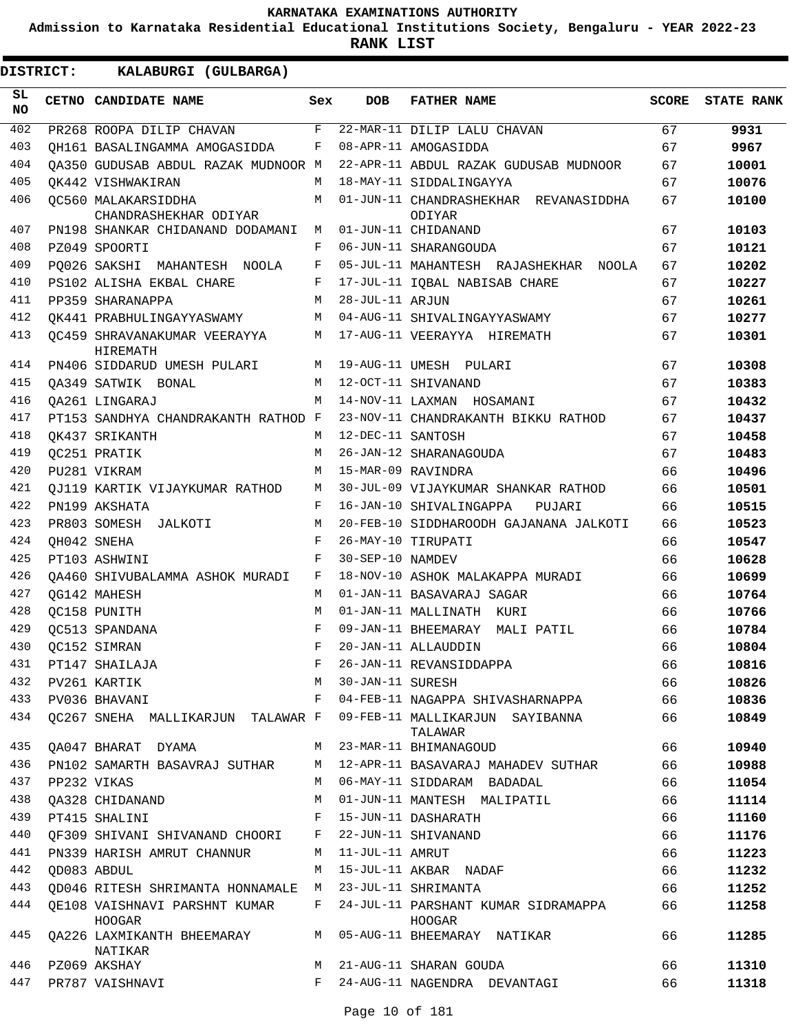**Admission to Karnataka Residential Educational Institutions Society, Bengaluru - YEAR 2022-23**

**RANK LIST**

 $\blacksquare$ 

| <b>DISTRICT:</b> | KALABURGI (GULBARGA)                                                |     |                    |                                                                    |              |                   |
|------------------|---------------------------------------------------------------------|-----|--------------------|--------------------------------------------------------------------|--------------|-------------------|
| SL<br><b>NO</b>  | CETNO CANDIDATE NAME                                                | Sex | <b>DOB</b>         | <b>FATHER NAME</b>                                                 | <b>SCORE</b> | <b>STATE RANK</b> |
| 402              | PR268 ROOPA DILIP CHAVAN                                            | F   |                    | 22-MAR-11 DILIP LALU CHAVAN                                        | 67           | 9931              |
| 403              | OH161 BASALINGAMMA AMOGASIDDA                                       | F   |                    | 08-APR-11 AMOGASIDDA                                               | 67           | 9967              |
| 404              | OA350 GUDUSAB ABDUL RAZAK MUDNOOR M                                 |     |                    | 22-APR-11 ABDUL RAZAK GUDUSAB MUDNOOR                              | 67           | 10001             |
| 405              | OK442 VISHWAKIRAN                                                   | М   |                    | 18-MAY-11 SIDDALINGAYYA                                            | 67           | 10076             |
| 406              | OC560 MALAKARSIDDHA<br>CHANDRASHEKHAR ODIYAR                        | M   |                    | 01-JUN-11 CHANDRASHEKHAR REVANASIDDHA<br>ODIYAR                    | 67           | 10100             |
| 407              | PN198 SHANKAR CHIDANAND DODAMANI                                    | M   |                    | 01-JUN-11 CHIDANAND                                                | 67           | 10103             |
| 408              | PZ049 SPOORTI                                                       | F   |                    | 06-JUN-11 SHARANGOUDA                                              | 67           | 10121             |
| 409              | PQ026 SAKSHI MAHANTESH NOOLA                                        | F   |                    | 05-JUL-11 MAHANTESH RAJASHEKHAR NOOLA                              | 67           | 10202             |
| 410              | PS102 ALISHA EKBAL CHARE                                            | F   |                    | 17-JUL-11 IQBAL NABISAB CHARE                                      | 67           | 10227             |
| 411              | PP359 SHARANAPPA                                                    | М   | 28-JUL-11 ARJUN    |                                                                    | 67           | 10261             |
| 412              | OK441 PRABHULINGAYYASWAMY                                           | М   |                    | 04-AUG-11 SHIVALINGAYYASWAMY                                       | 67           | 10277             |
| 413              | OC459 SHRAVANAKUMAR VEERAYYA<br><b>HIREMATH</b>                     | M   |                    | 17-AUG-11 VEERAYYA HIREMATH                                        | 67           | 10301             |
| 414              | PN406 SIDDARUD UMESH PULARI                                         | M   |                    | 19-AUG-11 UMESH PULARI                                             | 67           | 10308             |
| 415              | QA349 SATWIK BONAL                                                  | M   |                    | 12-OCT-11 SHIVANAND                                                | 67           | 10383             |
| 416              | OA261 LINGARAJ                                                      | M   |                    | 14-NOV-11 LAXMAN HOSAMANI                                          | 67           | 10432             |
| 417              | PT153 SANDHYA CHANDRAKANTH RATHOD F                                 |     |                    | 23-NOV-11 CHANDRAKANTH BIKKU RATHOD                                | 67           | 10437             |
| 418              | OK437 SRIKANTH                                                      | М   | 12-DEC-11 SANTOSH  |                                                                    | 67           | 10458             |
| 419              | QC251 PRATIK                                                        | М   |                    | 26-JAN-12 SHARANAGOUDA                                             | 67           | 10483             |
| 420              | PU281 VIKRAM                                                        | M   | 15-MAR-09 RAVINDRA |                                                                    | 66           | 10496             |
| 421              | OJ119 KARTIK VIJAYKUMAR RATHOD                                      | М   |                    | 30-JUL-09 VIJAYKUMAR SHANKAR RATHOD                                | 66           | 10501             |
| 422              | PN199 AKSHATA                                                       | F   |                    | 16-JAN-10 SHIVALINGAPPA<br>PUJARI                                  | 66           | 10515             |
| 423              | PR803 SOMESH JALKOTI                                                | M   |                    | 20-FEB-10 SIDDHAROODH GAJANANA JALKOTI                             | 66           | 10523             |
| 424              | OH042 SNEHA                                                         | F   |                    | 26-MAY-10 TIRUPATI                                                 | 66           | 10547             |
| 425              | PT103 ASHWINI                                                       | F   | 30-SEP-10 NAMDEV   |                                                                    | 66           | 10628             |
| 426              | 0A460 SHIVUBALAMMA ASHOK MURADI                                     | F   |                    | 18-NOV-10 ASHOK MALAKAPPA MURADI                                   | 66           | 10699             |
| 427              | QG142 MAHESH                                                        | M   |                    | 01-JAN-11 BASAVARAJ SAGAR                                          | 66           | 10764             |
| 428              | <b>OC158 PUNITH</b>                                                 | М   |                    | 01-JAN-11 MALLINATH KURI                                           | 66           | 10766             |
| 429              | OC513 SPANDANA                                                      | F   |                    | 09-JAN-11 BHEEMARAY MALI PATIL                                     | 66           | 10784             |
| 430              | QC152 SIMRAN                                                        | F   |                    | 20-JAN-11 ALLAUDDIN                                                | 66           | 10804             |
| 431              | -<br>PT147 SHAILAJA<br>PV261 KARTIK                                 |     |                    | F 26-JAN-11 REVANSIDDAPPA                                          | 66           | 10816             |
| 432              | PV261 KARTIK                                                        | M   | 30-JAN-11 SURESH   |                                                                    | 66           | 10826             |
| 433              | PV036 BHAVANI F                                                     |     |                    | 04-FEB-11 NAGAPPA SHIVASHARNAPPA 66                                |              | 10836             |
| 434              | QC267 SNEHA MALLIKARJUN TALAWAR F                                   |     |                    | 09-FEB-11 MALLIKARJUN SAYIBANNA<br>TALAWAR                         | 66           | 10849             |
| 435              |                                                                     |     |                    |                                                                    | 66           | 10940             |
| 436              |                                                                     |     |                    | PN102 SAMARTH BASAVRAJ SUTHAR M 12-APR-11 BASAVARAJ MAHADEV SUTHAR | 66           | 10988             |
| 437              | PP232 VIKAS                                                         | M   |                    | 06-MAY-11 SIDDARAM BADADAL                                         | 66           | 11054             |
| 438              | QA328 CHIDANAND                                                     | M   |                    | 01-JUN-11 MANTESH MALIPATIL                                        | 66           | 11114             |
| 439              | PT415 SHALINI                                                       |     |                    | F 15-JUN-11 DASHARATH                                              | 66           | 11160             |
| 440              | QF309 SHIVANI SHIVANAND CHOORI F 22-JUN-11 SHIVANAND                |     |                    |                                                                    | 66           | 11176             |
| 441              | PN339 HARISH AMRUT CHANNUR M 11-JUL-11 AMRUT                        |     |                    |                                                                    | 66           | 11223             |
| 442              | QD083 ABDUL                                                         |     |                    | M 15-JUL-11 AKBAR NADAF                                            | 66           | 11232             |
| 443              | QD046 RITESH SHRIMANTA HONNAMALE M 23-JUL-11 SHRIMANTA              |     |                    |                                                                    | 66           | 11252             |
| 444              | QE108 VAISHNAVI PARSHNT KUMAR<br>HOOGAR                             |     |                    | F 24-JUL-11 PARSHANT KUMAR SIDRAMAPPA<br>HOOGAR                    | 66           | 11258             |
| 445              | QA226 LAXMIKANTH BHEEMARAY M 05-AUG-11 BHEEMARAY NATIKAR<br>NATIKAR |     |                    |                                                                    | 66           | 11285             |
| 446              | PZ069 AKSHAY                                                        |     |                    | M 21-AUG-11 SHARAN GOUDA                                           | 66           | 11310             |
| 447              | PR787 VAISHNAVI                                                     |     |                    | F 24-AUG-11 NAGENDRA DEVANTAGI                                     | 66           | 11318             |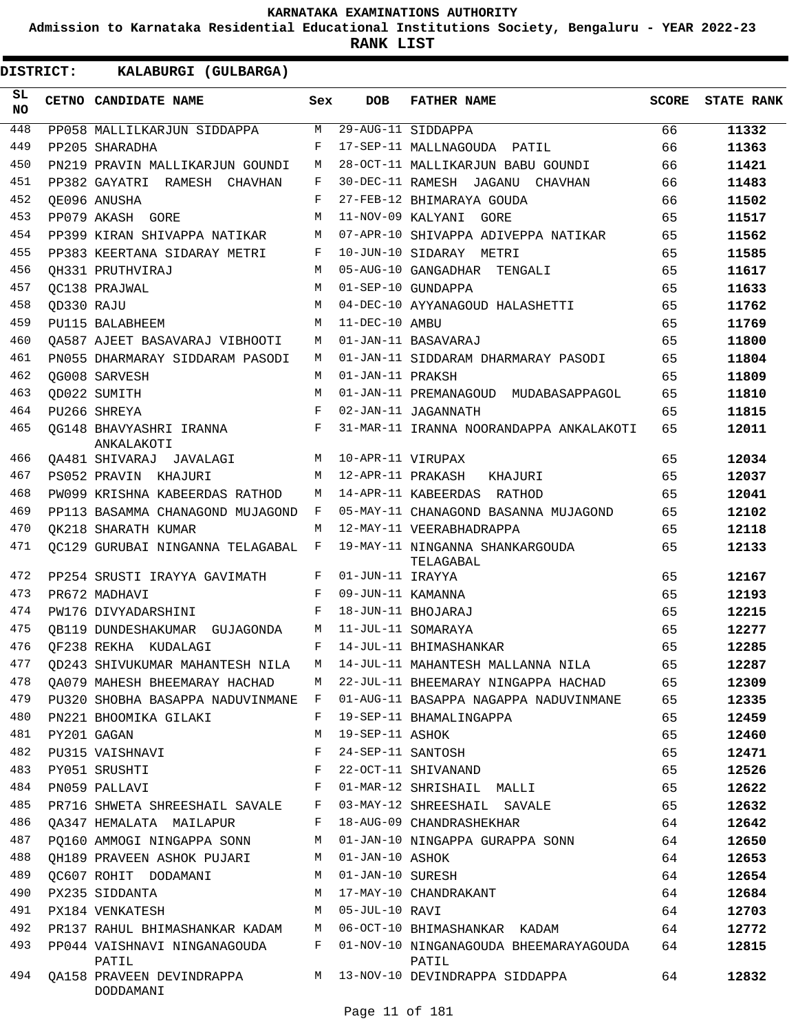**Admission to Karnataka Residential Educational Institutions Society, Bengaluru - YEAR 2022-23**

**RANK LIST**

 $\blacksquare$ 

| <b>DISTRICT:</b> |            | KALABURGI (GULBARGA)                         |     |                   |                                                                                   |              |                   |
|------------------|------------|----------------------------------------------|-----|-------------------|-----------------------------------------------------------------------------------|--------------|-------------------|
| SL<br><b>NO</b>  |            | CETNO CANDIDATE NAME                         | Sex | <b>DOB</b>        | <b>FATHER NAME</b>                                                                | <b>SCORE</b> | <b>STATE RANK</b> |
| 448              |            | PP058 MALLILKARJUN SIDDAPPA                  | М   |                   | 29-AUG-11 SIDDAPPA                                                                | 66           | 11332             |
| 449              |            | PP205 SHARADHA                               | F   |                   | 17-SEP-11 MALLNAGOUDA PATIL                                                       | 66           | 11363             |
| 450              |            | PN219 PRAVIN MALLIKARJUN GOUNDI              | М   |                   | 28-OCT-11 MALLIKARJUN BABU GOUNDI                                                 | 66           | 11421             |
| 451              |            | PP382 GAYATRI RAMESH CHAVHAN                 | F   |                   | 30-DEC-11 RAMESH JAGANU CHAVHAN                                                   | 66           | 11483             |
| 452              |            | OE096 ANUSHA                                 | F   |                   | 27-FEB-12 BHIMARAYA GOUDA                                                         | 66           | 11502             |
| 453              |            | PP079 AKASH GORE                             | M   |                   | 11-NOV-09 KALYANI GORE                                                            | 65           | 11517             |
| 454              |            | PP399 KIRAN SHIVAPPA NATIKAR                 | M   |                   | 07-APR-10 SHIVAPPA ADIVEPPA NATIKAR                                               | 65           | 11562             |
| 455              |            | PP383 KEERTANA SIDARAY METRI                 | F   |                   | 10-JUN-10 SIDARAY METRI                                                           | 65           | 11585             |
| 456              |            | OH331 PRUTHVIRAJ                             | M   |                   | 05-AUG-10 GANGADHAR TENGALI                                                       | 65           | 11617             |
| 457              |            | OC138 PRAJWAL                                | M   |                   | 01-SEP-10 GUNDAPPA                                                                | 65           | 11633             |
| 458              | OD330 RAJU |                                              | M   |                   | 04-DEC-10 AYYANAGOUD HALASHETTI                                                   | 65           | 11762             |
| 459              |            | PU115 BALABHEEM                              | M   | 11-DEC-10 AMBU    |                                                                                   | 65           | 11769             |
| 460              |            | OA587 AJEET BASAVARAJ VIBHOOTI               | М   |                   | 01-JAN-11 BASAVARAJ                                                               | 65           | 11800             |
| 461              |            | PN055 DHARMARAY SIDDARAM PASODI              | М   |                   | 01-JAN-11 SIDDARAM DHARMARAY PASODI                                               | 65           | 11804             |
| 462              |            | QG008 SARVESH                                | M   | 01-JAN-11 PRAKSH  |                                                                                   | 65           | 11809             |
| 463              |            | OD022 SUMITH                                 | M   |                   | 01-JAN-11 PREMANAGOUD MUDABASAPPAGOL                                              | 65           | 11810             |
| 464              |            | PU266 SHREYA                                 | F   |                   | 02-JAN-11 JAGANNATH                                                               | 65           | 11815             |
| 465              |            | OG148 BHAVYASHRI IRANNA<br>ANKALAKOTI        | F   |                   | 31-MAR-11 IRANNA NOORANDAPPA ANKALAKOTI                                           | 65           | 12011             |
| 466              |            | QA481 SHIVARAJ JAVALAGI                      | M   | 10-APR-11 VIRUPAX |                                                                                   | 65           | 12034             |
| 467              |            | PS052 PRAVIN KHAJURI                         | M   | 12-APR-11 PRAKASH | KHAJURI                                                                           | 65           | 12037             |
| 468              |            | PW099 KRISHNA KABEERDAS RATHOD               | М   |                   | 14-APR-11 KABEERDAS RATHOD                                                        | 65           | 12041             |
| 469              |            | PP113 BASAMMA CHANAGOND MUJAGOND             | F   |                   | 05-MAY-11 CHANAGOND BASANNA MUJAGOND                                              | 65           | 12102             |
| 470              |            | OK218 SHARATH KUMAR                          | М   |                   | 12-MAY-11 VEERABHADRAPPA                                                          | 65           | 12118             |
| 471              |            | OC129 GURUBAI NINGANNA TELAGABAL             | F   |                   | 19-MAY-11 NINGANNA SHANKARGOUDA<br>TELAGABAL                                      | 65           | 12133             |
| 472              |            | PP254 SRUSTI IRAYYA GAVIMATH                 | F   | 01-JUN-11 IRAYYA  |                                                                                   | 65           | 12167             |
| 473              |            | PR672 MADHAVI                                | F   | 09-JUN-11 KAMANNA |                                                                                   | 65           | 12193             |
| 474              |            | PW176 DIVYADARSHINI                          | F   |                   | 18-JUN-11 BHOJARAJ                                                                | 65           | 12215             |
| 475              |            | OB119 DUNDESHAKUMAR GUJAGONDA                | M   |                   | 11-JUL-11 SOMARAYA                                                                | 65           | 12277             |
| 476              |            | QF238 REKHA KUDALAGI                         | F   |                   | 14-JUL-11 BHIMASHANKAR                                                            | 65           | 12285             |
| 477              |            |                                              |     |                   | QD243 SHIVUKUMAR MAHANTESH NILA M 14-JUL-11 MAHANTESH MALLANNA NILA 65            |              | 12287             |
| 478              |            |                                              |     |                   | QA079 MAHESH BHEEMARAY HACHAD M 22-JUL-11 BHEEMARAY NINGAPPA HACHAD 65            |              | 12309             |
| 479              |            |                                              |     |                   | PU320 SHOBHA BASAPPA NADUVINMANE F 01-AUG-11 BASAPPA NAGAPPA NADUVINMANE 65       |              | 12335             |
| 480              |            | PN221 BHOOMIKA GILAKI F                      |     |                   | 19-SEP-11 BHAMALINGAPPA                                                           | 65           | 12459             |
| 481              |            | PY201 GAGAN                                  | M   | 19-SEP-11 ASHOK   |                                                                                   | 65           | 12460             |
| 482              |            | PU315 VAISHNAVI                              |     |                   | F 24-SEP-11 SANTOSH                                                               | 65           | 12471             |
| 483              |            | PY051 SRUSHTI                                |     |                   | F 22-OCT-11 SHIVANAND                                                             | 65           | 12526             |
| 484              |            |                                              |     |                   |                                                                                   | 65           | 12622             |
| 485              |            |                                              |     |                   | PR716 SHWETA SHREESHAIL SAVALE F 03-MAY-12 SHREESHAIL SAVALE 65                   |              | 12632             |
| 486              |            |                                              |     |                   | QA347 HEMALATA MAILAPUR F 18-AUG-09 CHANDRASHEKHAR                                | 64           | 12642             |
| 487              |            |                                              |     |                   | PQ160 AMMOGI NINGAPPA SONN M 01-JAN-10 NINGAPPA GURAPPA SONN 64                   |              | 12650             |
| 488              |            | QH189 PRAVEEN ASHOK PUJARI M 01-JAN-10 ASHOK |     |                   |                                                                                   | 64           | 12653             |
| 489              |            | QC607 ROHIT DODAMANI M 01-JAN-10 SURESH      |     |                   |                                                                                   | 64           | 12654             |
| 490              |            | PX235 SIDDANTA                               |     |                   | M 17-MAY-10 CHANDRAKANT                                                           | 64           | 12684             |
| 491              |            | PX184 VENKATESH M 05-JUL-10 RAVI             |     |                   |                                                                                   | 64           | 12703             |
| 492              |            |                                              |     |                   | PR137 RAHUL BHIMASHANKAR KADAM M 06-OCT-10 BHIMASHANKAR KADAM 64                  |              | 12772             |
| 493              |            | PATIL                                        |     |                   | PP044 VAISHNAVI NINGANAGOUDA F 01-NOV-10 NINGANAGOUDA BHEEMARAYAGOUDA 64<br>PATIL |              | 12815             |
| 494              |            | DODDAMANI                                    |     |                   | QA158 PRAVEEN DEVINDRAPPA M 13-NOV-10 DEVINDRAPPA SIDDAPPA                        |              | 12832             |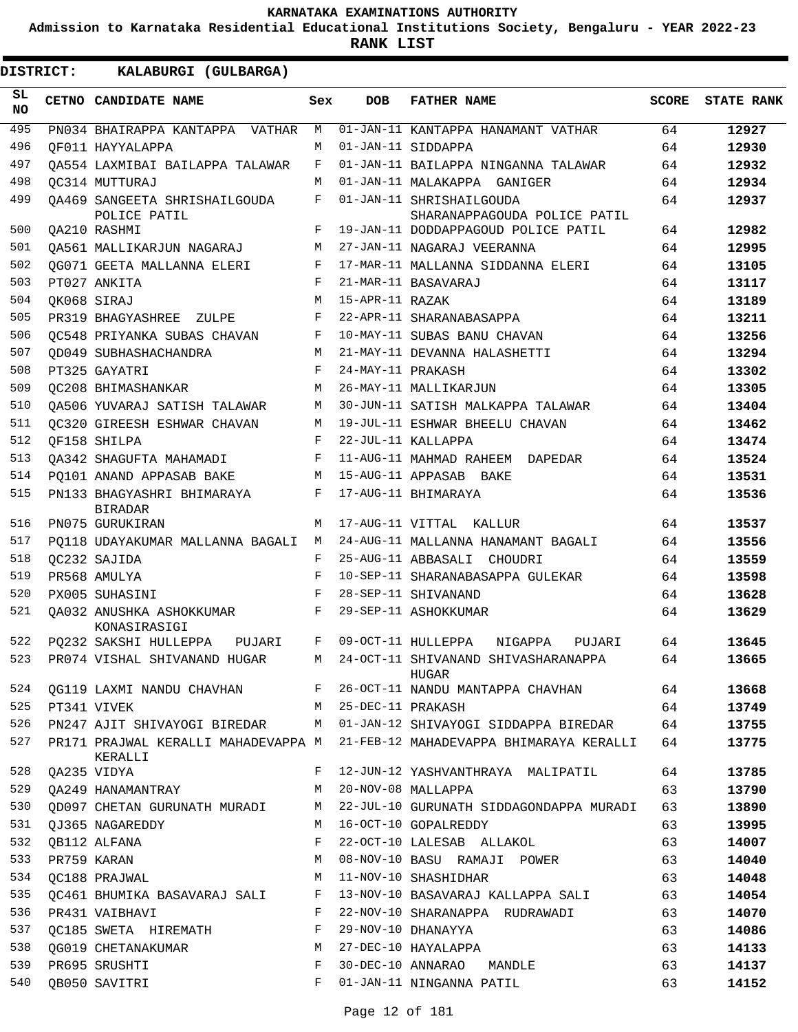**Admission to Karnataka Residential Educational Institutions Society, Bengaluru - YEAR 2022-23**

**RANK LIST**

 $\blacksquare$ 

| SL<br><b>NO</b> | CETNO CANDIDATE NAME                          | Sex | <b>DOB</b>          | <b>FATHER NAME</b>                                                          | <b>SCORE</b> | <b>STATE RANK</b> |
|-----------------|-----------------------------------------------|-----|---------------------|-----------------------------------------------------------------------------|--------------|-------------------|
| 495             | PN034 BHAIRAPPA KANTAPPA VATHAR               | М   |                     | 01-JAN-11 KANTAPPA HANAMANT VATHAR                                          | 64           | 12927             |
| 496             | OF011 HAYYALAPPA                              | М   |                     | 01-JAN-11 SIDDAPPA                                                          | 64           | 12930             |
| 497             | OA554 LAXMIBAI BAILAPPA TALAWAR               | F   |                     | 01-JAN-11 BAILAPPA NINGANNA TALAWAR                                         | 64           | 12932             |
| 498             | OC314 MUTTURAJ                                | М   |                     | 01-JAN-11 MALAKAPPA GANIGER                                                 | 64           | 12934             |
| 499             | OA469 SANGEETA SHRISHAILGOUDA<br>POLICE PATIL | F   |                     | 01-JAN-11 SHRISHAILGOUDA<br>SHARANAPPAGOUDA POLICE PATIL                    | 64           | 12937             |
| 500             | OA210 RASHMI                                  | F   |                     | 19-JAN-11 DODDAPPAGOUD POLICE PATIL                                         | 64           | 12982             |
| 501             | OA561 MALLIKARJUN NAGARAJ                     | M   |                     | 27-JAN-11 NAGARAJ VEERANNA                                                  | 64           | 12995             |
| 502             | QG071 GEETA MALLANNA ELERI                    | F   |                     | 17-MAR-11 MALLANNA SIDDANNA ELERI                                           | 64           | 13105             |
| 503             | PT027 ANKITA                                  | F   |                     | 21-MAR-11 BASAVARAJ                                                         | 64           | 13117             |
| 504             | QK068 SIRAJ                                   | М   | 15-APR-11 RAZAK     |                                                                             | 64           | 13189             |
| 505             | PR319 BHAGYASHREE<br>ZULPE                    | F   |                     | 22-APR-11 SHARANABASAPPA                                                    | 64           | 13211             |
| 506             | OC548 PRIYANKA SUBAS CHAVAN                   | F   |                     | 10-MAY-11 SUBAS BANU CHAVAN                                                 | 64           | 13256             |
| 507             | OD049 SUBHASHACHANDRA                         | M   |                     | 21-MAY-11 DEVANNA HALASHETTI                                                | 64           | 13294             |
| 508             | PT325 GAYATRI                                 | F   | 24-MAY-11 PRAKASH   |                                                                             | 64           | 13302             |
| 509             | OC208 BHIMASHANKAR                            | M   |                     | 26-MAY-11 MALLIKARJUN                                                       | 64           | 13305             |
| 510             | OA506 YUVARAJ SATISH TALAWAR                  | M   |                     | 30-JUN-11 SATISH MALKAPPA TALAWAR                                           | 64           | 13404             |
| 511             | OC320 GIREESH ESHWAR CHAVAN                   | М   |                     | 19-JUL-11 ESHWAR BHEELU CHAVAN                                              | 64           | 13462             |
| 512             | OF158 SHILPA                                  | F   |                     | 22-JUL-11 KALLAPPA                                                          | 64           | 13474             |
| 513             | OA342 SHAGUFTA MAHAMADI                       | F   |                     | 11-AUG-11 MAHMAD RAHEEM<br>DAPEDAR                                          | 64           | 13524             |
| 514             | PQ101 ANAND APPASAB BAKE                      | M   |                     | 15-AUG-11 APPASAB BAKE                                                      | 64           | 13531             |
| 515             | PN133 BHAGYASHRI BHIMARAYA                    | F   |                     | 17-AUG-11 BHIMARAYA                                                         | 64           | 13536             |
| 516             | <b>BIRADAR</b>                                | M   |                     |                                                                             |              |                   |
|                 | PN075 GURUKIRAN                               |     |                     | 17-AUG-11 VITTAL KALLUR                                                     | 64           | 13537             |
| 517             | PO118 UDAYAKUMAR MALLANNA BAGALI              | M   |                     | 24-AUG-11 MALLANNA HANAMANT BAGALI                                          | 64           | 13556             |
| 518             | OC232 SAJIDA                                  | F   |                     | 25-AUG-11 ABBASALI CHOUDRI                                                  | 64           | 13559             |
| 519             | PR568 AMULYA                                  | F   |                     | 10-SEP-11 SHARANABASAPPA GULEKAR                                            | 64           | 13598             |
| 520             | PX005 SUHASINI                                | F   |                     | 28-SEP-11 SHIVANAND                                                         | 64           | 13628             |
| 521             | OA032 ANUSHKA ASHOKKUMAR<br>KONASIRASIGI      | F   |                     | 29-SEP-11 ASHOKKUMAR                                                        | 64           | 13629             |
| 522             | PQ232 SAKSHI HULLEPPA PUJARI                  | F   |                     | 09-OCT-11 HULLEPPA<br>NIGAPPA<br>PUJARI                                     | 64           | 13645             |
| 523             | PR074 VISHAL SHIVANAND HUGAR                  | М   |                     | 24-OCT-11 SHIVANAND SHIVASHARANAPPA<br>HUGAR                                | 64           | 13665             |
| 524             |                                               |     |                     | QG119 LAXMI NANDU CHAVHAN F 26-OCT-11 NANDU MANTAPPA CHAVHAN                | 64           | 13668             |
| 525             | PT341 VIVEK                                   |     | M 25-DEC-11 PRAKASH |                                                                             | 64           | 13749             |
| 526             |                                               |     |                     | PN247 AJIT SHIVAYOGI BIREDAR M 01-JAN-12 SHIVAYOGI SIDDAPPA BIREDAR         | 64           | 13755             |
| 527             | KERALLI                                       |     |                     | PR171 PRAJWAL KERALLI MAHADEVAPPA M 21-FEB-12 MAHADEVAPPA BHIMARAYA KERALLI | 64           | 13775             |
| 528             | QA235 VIDYA                                   | F   |                     | 12-JUN-12 YASHVANTHRAYA MALIPATIL                                           | 64           | 13785             |
| 529             | QA249 HANAMANTRAY                             | M   |                     | 20-NOV-08 MALLAPPA                                                          | 63           | 13790             |
| 530             | QD097 CHETAN GURUNATH MURADI                  |     |                     | M 22-JUL-10 GURUNATH SIDDAGONDAPPA MURADI                                   | 63           | 13890             |
| 531             | OJ365 NAGAREDDY                               | M   |                     | 16-OCT-10 GOPALREDDY                                                        | 63           | 13995             |
| 532             | QB112 ALFANA                                  | F   |                     | 22-OCT-10 LALESAB ALLAKOL                                                   | 63           | 14007             |
| 533             | PR759 KARAN                                   | M   |                     | 08-NOV-10 BASU RAMAJI POWER                                                 | 63           | 14040             |
| 534             | OC188 PRAJWAL                                 | M   |                     | 11-NOV-10 SHASHIDHAR                                                        | 63           | 14048             |
| 535             | QC461 BHUMIKA BASAVARAJ SALI                  | F   |                     | 13-NOV-10 BASAVARAJ KALLAPPA SALI                                           | 63           | 14054             |
| 536             | PR431 VAIBHAVI                                | F   |                     | 22-NOV-10 SHARANAPPA RUDRAWADI                                              | 63           | 14070             |
| 537             | OC185 SWETA HIREMATH                          | F   |                     | 29-NOV-10 DHANAYYA                                                          | 63           | 14086             |
| 538             | QG019 CHETANAKUMAR                            | M   |                     | 27-DEC-10 HAYALAPPA                                                         | 63           | 14133             |
| 539             | PR695 SRUSHTI                                 | F   | 30-DEC-10 ANNARAO   | MANDLE                                                                      | 63           | 14137             |
| 540             | QB050 SAVITRI                                 | F   |                     | 01-JAN-11 NINGANNA PATIL                                                    | 63           | 14152             |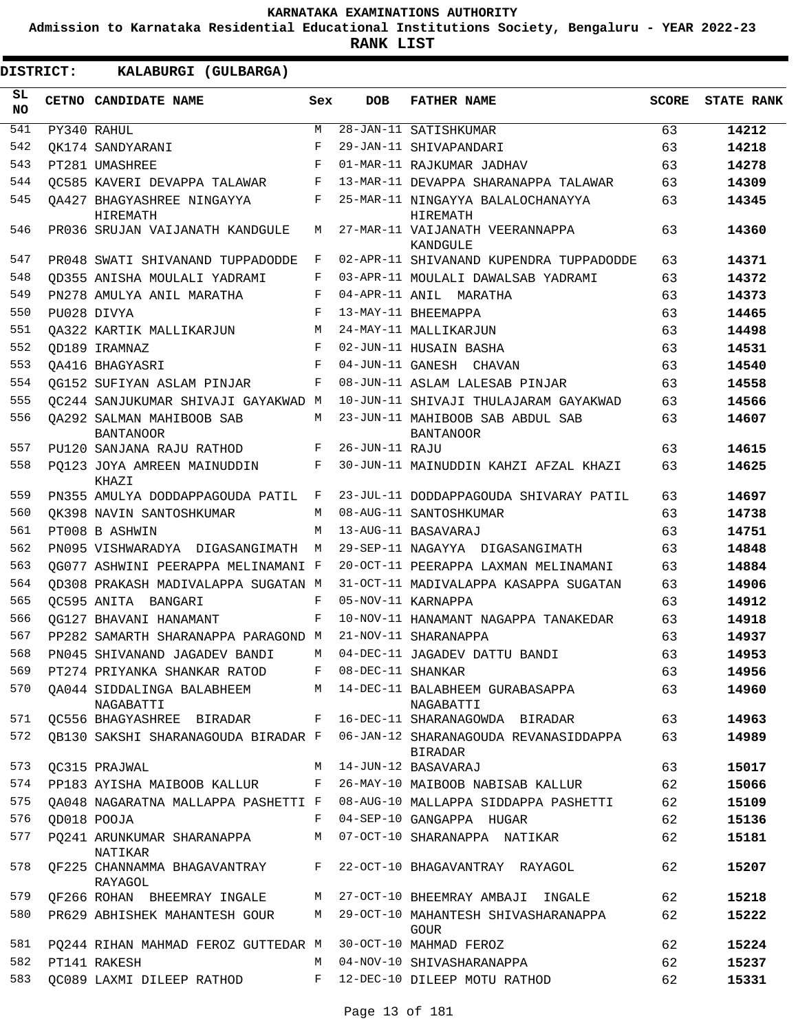**Admission to Karnataka Residential Educational Institutions Society, Bengaluru - YEAR 2022-23**

| DISTRICT:        |  | KALABURGI (GULBARGA)                                       |            |                   |                                                                                      |              |                   |
|------------------|--|------------------------------------------------------------|------------|-------------------|--------------------------------------------------------------------------------------|--------------|-------------------|
| SL.<br><b>NO</b> |  | CETNO CANDIDATE NAME                                       | Sex        | <b>DOB</b>        | <b>FATHER NAME</b>                                                                   | <b>SCORE</b> | <b>STATE RANK</b> |
| 541              |  | PY340 RAHUL                                                | M          |                   | 28-JAN-11 SATISHKUMAR                                                                | 63           | 14212             |
| 542              |  | OK174 SANDYARANI                                           | F          |                   | 29-JAN-11 SHIVAPANDARI                                                               | 63           | 14218             |
| 543              |  | PT281 UMASHREE                                             | $_{\rm F}$ |                   | 01-MAR-11 RAJKUMAR JADHAV                                                            | 63           | 14278             |
| 544              |  | OC585 KAVERI DEVAPPA TALAWAR                               | F          |                   | 13-MAR-11 DEVAPPA SHARANAPPA TALAWAR                                                 | 63           | 14309             |
| 545              |  | OA427 BHAGYASHREE NINGAYYA<br>HIREMATH                     | F          |                   | 25-MAR-11 NINGAYYA BALALOCHANAYYA<br>HIREMATH                                        | 63           | 14345             |
| 546              |  | PR036 SRUJAN VALJANATH KANDGULE                            | М          |                   | 27-MAR-11 VAIJANATH VEERANNAPPA<br>KANDGULE                                          | 63           | 14360             |
| 547              |  | PR048 SWATI SHIVANAND TUPPADODDE                           | F          |                   | 02-APR-11 SHIVANAND KUPENDRA TUPPADODDE                                              | 63           | 14371             |
| 548              |  | OD355 ANISHA MOULALI YADRAMI                               | F          |                   | 03-APR-11 MOULALI DAWALSAB YADRAMI                                                   | 63           | 14372             |
| 549              |  | PN278 AMULYA ANIL MARATHA                                  | F          |                   | 04-APR-11 ANIL MARATHA                                                               | 63           | 14373             |
| 550              |  | PU028 DIVYA                                                | F          |                   | 13-MAY-11 BHEEMAPPA                                                                  | 63           | 14465             |
| 551              |  | OA322 KARTIK MALLIKARJUN                                   | М          |                   | 24-MAY-11 MALLIKARJUN                                                                | 63           | 14498             |
| 552              |  | OD189 IRAMNAZ                                              | F          |                   | 02-JUN-11 HUSAIN BASHA                                                               | 63           | 14531             |
| 553              |  | OA416 BHAGYASRI                                            | F          |                   | 04-JUN-11 GANESH CHAVAN                                                              | 63           | 14540             |
| 554              |  | OG152 SUFIYAN ASLAM PINJAR                                 | F          |                   | 08-JUN-11 ASLAM LALESAB PINJAR                                                       | 63           | 14558             |
| 555              |  | OC244 SANJUKUMAR SHIVAJI GAYAKWAD M                        |            |                   | 10-JUN-11 SHIVAJI THULAJARAM GAYAKWAD                                                | 63           | 14566             |
| 556              |  | OA292 SALMAN MAHIBOOB SAB<br><b>BANTANOOR</b>              | M          |                   | 23-JUN-11 MAHIBOOB SAB ABDUL SAB<br><b>BANTANOOR</b>                                 | 63           | 14607             |
| 557              |  | PU120 SANJANA RAJU RATHOD                                  | F          | 26-JUN-11 RAJU    |                                                                                      | 63           | 14615             |
| 558              |  | PQ123 JOYA AMREEN MAINUDDIN<br>KHAZI                       | F          |                   | 30-JUN-11 MAINUDDIN KAHZI AFZAL KHAZI                                                | 63           | 14625             |
| 559              |  | PN355 AMULYA DODDAPPAGOUDA PATIL                           | F          |                   | 23-JUL-11 DODDAPPAGOUDA SHIVARAY PATIL                                               | 63           | 14697             |
| 560              |  | OK398 NAVIN SANTOSHKUMAR                                   | М          |                   | 08-AUG-11 SANTOSHKUMAR                                                               | 63           | 14738             |
| 561              |  | PT008 B ASHWIN                                             | M          |                   | 13-AUG-11 BASAVARAJ                                                                  | 63           | 14751             |
| 562              |  | PN095 VISHWARADYA DIGASANGIMATH                            | M          |                   | 29-SEP-11 NAGAYYA DIGASANGIMATH                                                      | 63           | 14848             |
| 563              |  | OG077 ASHWINI PEERAPPA MELINAMANI F                        |            |                   | 20-OCT-11 PEERAPPA LAXMAN MELINAMANI                                                 | 63           | 14884             |
| 564              |  | OD308 PRAKASH MADIVALAPPA SUGATAN M                        |            |                   | 31-OCT-11 MADIVALAPPA KASAPPA SUGATAN                                                | 63           | 14906             |
| 565              |  | OC595 ANITA BANGARI                                        | F          |                   | 05-NOV-11 KARNAPPA                                                                   | 63           | 14912             |
| 566              |  | OG127 BHAVANI HANAMANT                                     | F          |                   | 10-NOV-11 HANAMANT NAGAPPA TANAKEDAR                                                 | 63           | 14918             |
| 567              |  | PP282 SAMARTH SHARANAPPA PARAGOND M                        |            |                   | 21-NOV-11 SHARANAPPA                                                                 | 63           | 14937             |
| 568              |  | PN045 SHIVANAND JAGADEV BANDI                              | M          |                   | 04-DEC-11 JAGADEV DATTU BANDI                                                        | 63           | 14953             |
| 569              |  | PT274 PRIYANKA SHANKAR RATOD                               | $F -$      | 08-DEC-11 SHANKAR |                                                                                      | 63           | 14956             |
| 570              |  | OA044 SIDDALINGA BALABHEEM<br>NAGABATTI                    | M          |                   | 14-DEC-11 BALABHEEM GURABASAPPA<br>NAGABATTI                                         | 63           | 14960             |
| 571              |  | QC556 BHAGYASHREE BIRADAR                                  | F          |                   | 16-DEC-11 SHARANAGOWDA BIRADAR                                                       | 63           | 14963             |
| 572              |  |                                                            |            |                   | QB130 SAKSHI SHARANAGOUDA BIRADAR F 06-JAN-12 SHARANAGOUDA REVANASIDDAPPA<br>BIRADAR | 63           | 14989             |
| 573              |  | <b>QC315 PRAJWAL</b>                                       | M          |                   | 14-JUN-12 BASAVARAJ                                                                  | 63           | 15017             |
| 574              |  | PP183 AYISHA MAIBOOB KALLUR                                |            |                   | F 26-MAY-10 MAIBOOB NABISAB KALLUR                                                   | 62           | 15066             |
| 575              |  | OA048 NAGARATNA MALLAPPA PASHETTI F                        |            |                   | 08-AUG-10 MALLAPPA SIDDAPPA PASHETTI                                                 | 62           | 15109             |
| 576              |  | OD018 POOJA                                                | F          |                   | 04-SEP-10 GANGAPPA HUGAR                                                             | 62           | 15136             |
| 577              |  | PQ241 ARUNKUMAR SHARANAPPA<br>NATIKAR                      | М          |                   | 07-OCT-10 SHARANAPPA NATIKAR                                                         | 62           | 15181             |
| 578              |  | QF225 CHANNAMMA BHAGAVANTRAY<br>RAYAGOL                    | F          |                   | 22-OCT-10 BHAGAVANTRAY RAYAGOL                                                       | 62           | 15207             |
| 579              |  | QF266 ROHAN BHEEMRAY INGALE                                | M          |                   | 27-OCT-10 BHEEMRAY AMBAJI INGALE                                                     | 62           | 15218             |
| 580              |  | PR629 ABHISHEK MAHANTESH GOUR                              | M          |                   | 29-OCT-10 MAHANTESH SHIVASHARANAPPA<br>GOUR                                          | 62           | 15222             |
| 581              |  | PQ244 RIHAN MAHMAD FEROZ GUTTEDAR M 30-OCT-10 MAHMAD FEROZ |            |                   |                                                                                      | 62           | 15224             |
| 582              |  | PT141 RAKESH                                               | M          |                   | 04-NOV-10 SHIVASHARANAPPA                                                            | 62           | 15237             |
| 583              |  | QC089 LAXMI DILEEP RATHOD                                  | F          |                   | 12-DEC-10 DILEEP MOTU RATHOD                                                         | 62           | 15331             |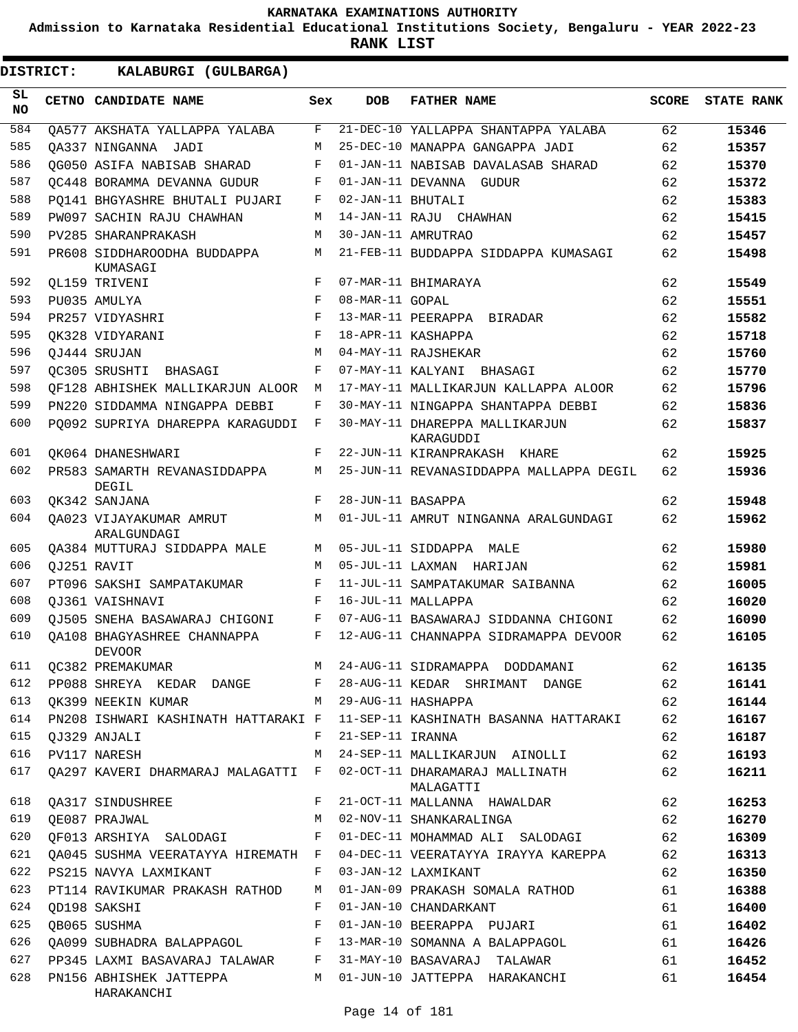**Admission to Karnataka Residential Educational Institutions Society, Bengaluru - YEAR 2022-23**

| <b>DISTRICT:</b> | KALABURGI (GULBARGA)                                    |     |                   |                                                           |              |                   |
|------------------|---------------------------------------------------------|-----|-------------------|-----------------------------------------------------------|--------------|-------------------|
| SL<br><b>NO</b>  | CETNO CANDIDATE NAME                                    | Sex | <b>DOB</b>        | <b>FATHER NAME</b>                                        | <b>SCORE</b> | <b>STATE RANK</b> |
| 584              | OA577 AKSHATA YALLAPPA YALABA                           | F   |                   | 21-DEC-10 YALLAPPA SHANTAPPA YALABA                       | 62           | 15346             |
| 585              | OA337 NINGANNA JADI                                     | М   |                   | 25-DEC-10 MANAPPA GANGAPPA JADI                           | 62           | 15357             |
| 586              | QG050 ASIFA NABISAB SHARAD                              | F   |                   | 01-JAN-11 NABISAB DAVALASAB SHARAD                        | 62           | 15370             |
| 587              | OC448 BORAMMA DEVANNA GUDUR                             | F   |                   | 01-JAN-11 DEVANNA GUDUR                                   | 62           | 15372             |
| 588              | PO141 BHGYASHRE BHUTALI PUJARI                          | F   | 02-JAN-11 BHUTALI |                                                           | 62           | 15383             |
| 589              | PW097 SACHIN RAJU CHAWHAN                               | М   |                   | 14-JAN-11 RAJU CHAWHAN                                    | 62           | 15415             |
| 590              | PV285 SHARANPRAKASH                                     | М   |                   | 30-JAN-11 AMRUTRAO                                        | 62           | 15457             |
| 591              | PR608 SIDDHAROODHA BUDDAPPA<br>KUMASAGI                 | М   |                   | 21-FEB-11 BUDDAPPA SIDDAPPA KUMASAGI                      | 62           | 15498             |
| 592              | QL159 TRIVENI                                           | F   |                   | 07-MAR-11 BHIMARAYA                                       | 62           | 15549             |
| 593              | PU035 AMULYA                                            | F   | 08-MAR-11 GOPAL   |                                                           | 62           | 15551             |
| 594              | PR257 VIDYASHRI                                         | F   |                   | 13-MAR-11 PEERAPPA BIRADAR                                | 62           | 15582             |
| 595              | OK328 VIDYARANI                                         | F   |                   | 18-APR-11 KASHAPPA                                        | 62           | 15718             |
| 596              | OJ444 SRUJAN                                            | M   |                   | 04-MAY-11 RAJSHEKAR                                       | 62           | 15760             |
| 597              | OC305 SRUSHTI BHASAGI                                   | F   |                   | 07-MAY-11 KALYANI BHASAGI                                 | 62           | 15770             |
| 598              | OF128 ABHISHEK MALLIKARJUN ALOOR                        | М   |                   | 17-MAY-11 MALLIKARJUN KALLAPPA ALOOR                      | 62           | 15796             |
| 599              | PN220 SIDDAMMA NINGAPPA DEBBI                           | F   |                   | 30-MAY-11 NINGAPPA SHANTAPPA DEBBI                        | 62           | 15836             |
| 600              | PQ092 SUPRIYA DHAREPPA KARAGUDDI                        | F   |                   | 30-MAY-11 DHAREPPA MALLIKARJUN<br>KARAGUDDI               | 62           | 15837             |
| 601              | OK064 DHANESHWARI                                       | F   |                   | 22-JUN-11 KIRANPRAKASH KHARE                              | 62           | 15925             |
| 602              | PR583 SAMARTH REVANASIDDAPPA<br>DEGIL                   | М   |                   | 25-JUN-11 REVANASIDDAPPA MALLAPPA DEGIL                   | 62           | 15936             |
| 603              | QK342 SANJANA                                           | F   | 28-JUN-11 BASAPPA |                                                           | 62           | 15948             |
| 604              | OA023 VIJAYAKUMAR AMRUT<br>ARALGUNDAGI                  | М   |                   | 01-JUL-11 AMRUT NINGANNA ARALGUNDAGI                      | 62           | 15962             |
| 605              | <b>QA384 MUTTURAJ SIDDAPPA MALE</b>                     | М   |                   | 05-JUL-11 SIDDAPPA MALE                                   | 62           | 15980             |
| 606              | OJ251 RAVIT                                             | М   |                   | 05-JUL-11 LAXMAN HARIJAN                                  | 62           | 15981             |
| 607              | PT096 SAKSHI SAMPATAKUMAR                               | F   |                   | 11-JUL-11 SAMPATAKUMAR SAIBANNA                           | 62           | 16005             |
| 608              | QJ361 VAISHNAVI                                         | F   |                   | 16-JUL-11 MALLAPPA                                        | 62           | 16020             |
| 609              | QJ505 SNEHA BASAWARAJ CHIGONI                           | F   |                   | 07-AUG-11 BASAWARAJ SIDDANNA CHIGONI                      | 62           | 16090             |
| 610              | OA108 BHAGYASHREE CHANNAPPA<br><b>DEVOOR</b>            | F   |                   | 12-AUG-11 CHANNAPPA SIDRAMAPPA DEVOOR                     | 62           | 16105             |
| 611              | OC382 PREMAKUMAR                                        |     |                   | M 24-AUG-11 SIDRAMAPPA DODDAMANI                          | 62           | 16135             |
| 612              |                                                         |     |                   | PP088 SHREYA KEDAR DANGE F 28-AUG-11 KEDAR SHRIMANT DANGE | 62           | 16141             |
| 613              | QK399 NEEKIN KUMAR M 29-AUG-11 HASHAPPA                 |     |                   |                                                           | 62           | 16144             |
| 614              | PN208 ISHWARI KASHINATH HATTARAKI F                     |     |                   | 11-SEP-11 KASHINATH BASANNA HATTARAKI                     | 62           | 16167             |
| 615              | OJ329 ANJALI                                            | F   | 21-SEP-11 IRANNA  |                                                           | 62           | 16187             |
| 616              | PV117 NARESH                                            | M   |                   | 24-SEP-11 MALLIKARJUN AINOLLI                             | 62           | 16193             |
| 617              | QA297 KAVERI DHARMARAJ MALAGATTI F                      |     |                   | 02-OCT-11 DHARAMARAJ MALLINATH<br>MALAGATTI               | 62           | 16211             |
| 618              | QA317 SINDUSHREE                                        | F   |                   | 21-OCT-11 MALLANNA HAWALDAR                               | 62           | 16253             |
| 619              | QE087 PRAJWAL                                           | M   |                   | 02-NOV-11 SHANKARALINGA                                   | 62           | 16270             |
| 620              | QF013 ARSHIYA SALODAGI F                                |     |                   | 01-DEC-11 MOHAMMAD ALI SALODAGI                           | 62           | 16309             |
| 621              | QA045 SUSHMA VEERATAYYA HIREMATH F                      |     |                   | 04-DEC-11 VEERATAYYA IRAYYA KAREPPA                       | 62           | 16313             |
| 622              | PS215 NAVYA LAXMIKANT                                   | F   |                   | 03-JAN-12 LAXMIKANT                                       | 62           | 16350             |
| 623              | PT114 RAVIKUMAR PRAKASH RATHOD                          | M   |                   | 01-JAN-09 PRAKASH SOMALA RATHOD                           | 61           | 16388             |
| 624              | OD198 SAKSHI                                            | F   |                   | 01-JAN-10 CHANDARKANT                                     | 61           | 16400             |
| 625              | QB065 SUSHMA                                            | F   |                   | 01-JAN-10 BEERAPPA PUJARI                                 | 61           | 16402             |
| 626              | QA099 SUBHADRA BALAPPAGOL F                             |     |                   | 13-MAR-10 SOMANNA A BALAPPAGOL                            | 61           | 16426             |
| 627              | PP345 LAXMI BASAVARAJ TALAWAR F                         |     |                   | 31-MAY-10 BASAVARAJ TALAWAR                               | 61           | 16452             |
| 628              | PN156 ABHISHEK JATTEPPA<br>M <sub>1</sub><br>HARAKANCHI |     |                   | 01-JUN-10 JATTEPPA HARAKANCHI                             | 61           | 16454             |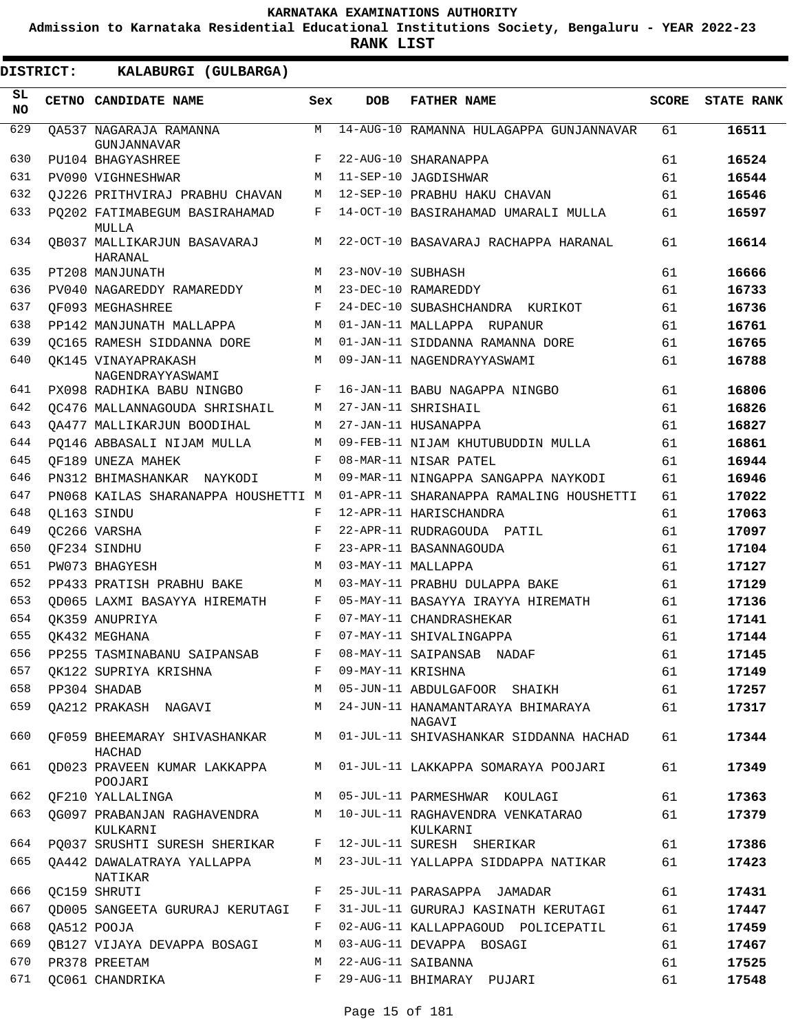**Admission to Karnataka Residential Educational Institutions Society, Bengaluru - YEAR 2022-23**

**RANK LIST**

 $\blacksquare$ 

| <b>DISTRICT:</b> | KALABURGI (GULBARGA)                                                  |     |                   |                                                    |              |                   |
|------------------|-----------------------------------------------------------------------|-----|-------------------|----------------------------------------------------|--------------|-------------------|
| SL<br>NO.        | CETNO CANDIDATE NAME                                                  | Sex | <b>DOB</b>        | <b>FATHER NAME</b>                                 | <b>SCORE</b> | <b>STATE RANK</b> |
| 629              | OA537 NAGARAJA RAMANNA<br>GUNJANNAVAR                                 | M   |                   | 14-AUG-10 RAMANNA HULAGAPPA GUNJANNAVAR            | 61           | 16511             |
| 630              | PU104 BHAGYASHREE                                                     | F   |                   | 22-AUG-10 SHARANAPPA                               | 61           | 16524             |
| 631              | <b>PV090 VIGHNESHWAR</b>                                              | M   |                   | 11-SEP-10 JAGDISHWAR                               | 61           | 16544             |
| 632              | OJ226 PRITHVIRAJ PRABHU CHAVAN                                        | М   |                   | 12-SEP-10 PRABHU HAKU CHAVAN                       | 61           | 16546             |
| 633              | PO202 FATIMABEGUM BASIRAHAMAD<br>MULLA                                | F   |                   | 14-OCT-10 BASIRAHAMAD UMARALI MULLA                | 61           | 16597             |
| 634              | OB037 MALLIKARJUN BASAVARAJ<br>HARANAL                                | M   |                   | 22-OCT-10 BASAVARAJ RACHAPPA HARANAL               | 61           | 16614             |
| 635              | PT208 MANJUNATH                                                       | М   | 23-NOV-10 SUBHASH |                                                    | 61           | 16666             |
| 636              | PV040 NAGAREDDY RAMAREDDY                                             | М   |                   | 23-DEC-10 RAMAREDDY                                | 61           | 16733             |
| 637              | OF093 MEGHASHREE                                                      | F   |                   | 24-DEC-10 SUBASHCHANDRA KURIKOT                    | 61           | 16736             |
| 638              | PP142 MANJUNATH MALLAPPA                                              | М   |                   | 01-JAN-11 MALLAPPA RUPANUR                         | 61           | 16761             |
| 639              | OC165 RAMESH SIDDANNA DORE                                            | М   |                   | 01-JAN-11 SIDDANNA RAMANNA DORE                    | 61           | 16765             |
| 640              | OK145 VINAYAPRAKASH<br>NAGENDRAYYASWAMI                               | М   |                   | 09-JAN-11 NAGENDRAYYASWAMI                         | 61           | 16788             |
| 641              | PX098 RADHIKA BABU NINGBO                                             | F   |                   | 16-JAN-11 BABU NAGAPPA NINGBO                      | 61           | 16806             |
| 642              | OC476 MALLANNAGOUDA SHRISHAIL                                         | M   |                   | 27-JAN-11 SHRISHAIL                                | 61           | 16826             |
| 643              | OA477 MALLIKARJUN BOODIHAL                                            | М   |                   | 27-JAN-11 HUSANAPPA                                | 61           | 16827             |
| 644              | PO146 ABBASALI NIJAM MULLA                                            | М   |                   | 09-FEB-11 NIJAM KHUTUBUDDIN MULLA                  | 61           | 16861             |
| 645              | OF189 UNEZA MAHEK                                                     | F   |                   | 08-MAR-11 NISAR PATEL                              | 61           | 16944             |
| 646              | PN312 BHIMASHANKAR NAYKODI                                            | М   |                   | 09-MAR-11 NINGAPPA SANGAPPA NAYKODI                | 61           | 16946             |
| 647              | PN068 KAILAS SHARANAPPA HOUSHETTI M                                   |     |                   | 01-APR-11 SHARANAPPA RAMALING HOUSHETTI            | 61           | 17022             |
| 648              | OL163 SINDU                                                           | F   |                   | 12-APR-11 HARISCHANDRA                             | 61           | 17063             |
| 649              | OC266 VARSHA                                                          | F   |                   | 22-APR-11 RUDRAGOUDA PATIL                         | 61           | 17097             |
| 650              | OF234 SINDHU                                                          | F   |                   | 23-APR-11 BASANNAGOUDA                             | 61           | 17104             |
| 651              | PW073 BHAGYESH                                                        | M   |                   | 03-MAY-11 MALLAPPA                                 | 61           | 17127             |
| 652              | PP433 PRATISH PRABHU BAKE                                             | M   |                   | 03-MAY-11 PRABHU DULAPPA BAKE                      | 61           | 17129             |
| 653              | OD065 LAXMI BASAYYA HIREMATH                                          | F   |                   | 05-MAY-11 BASAYYA IRAYYA HIREMATH                  | 61           | 17136             |
| 654              | OK359 ANUPRIYA                                                        | F   |                   | 07-MAY-11 CHANDRASHEKAR                            | 61           | 17141             |
| 655              | OK432 MEGHANA                                                         | F   |                   | 07-MAY-11 SHIVALINGAPPA                            | 61           | 17144             |
| 656              | PP255 TASMINABANU SAIPANSAB                                           | F   |                   | 08-MAY-11 SAIPANSAB NADAF                          | 61           | 17145             |
| 657              | OK122 SUPRIYA KRISHNA                                                 | F   | 09-MAY-11 KRISHNA |                                                    | 61           | 17149             |
| 658              | PP304 SHADAB                                                          | M   |                   | 05-JUN-11 ABDULGAFOOR SHAIKH                       | 61           | 17257             |
| 659              | QA212 PRAKASH NAGAVI                                                  |     |                   | M 24-JUN-11 HANAMANTARAYA BHIMARAYA                | 61           | 17317             |
| 660              | OF059 BHEEMARAY SHIVASHANKAR                                          |     |                   | NAGAVI<br>M 01-JUL-11 SHIVASHANKAR SIDDANNA HACHAD | 61           | 17344             |
| 661              | HACHAD<br>OD023 PRAVEEN KUMAR LAKKAPPA                                |     |                   | M 01-JUL-11 LAKKAPPA SOMARAYA POOJARI              | 61           | 17349             |
| 662              | POOJARI<br>OF210 YALLALINGA                                           | M   |                   | 05-JUL-11 PARMESHWAR KOULAGI                       | 61           | 17363             |
| 663              | OG097 PRABANJAN RAGHAVENDRA                                           |     |                   | M 10-JUL-11 RAGHAVENDRA VENKATARAO                 | 61           | 17379             |
| 664              | KULKARNI<br>PQ037 SRUSHTI SURESH SHERIKAR F 12-JUL-11 SURESH SHERIKAR |     |                   | KULKARNI                                           | 61           | 17386             |
| 665              | OA442 DAWALATRAYA YALLAPPA                                            | M   |                   | 23-JUL-11 YALLAPPA SIDDAPPA NATIKAR                | 61           | 17423             |
| 666              | NATIKAR<br>QC159 SHRUTI                                               | F   |                   | 25-JUL-11 PARASAPPA JAMADAR                        | 61           | 17431             |
| 667              | OD005 SANGEETA GURURAJ KERUTAGI                                       | F   |                   | 31-JUL-11 GURURAJ KASINATH KERUTAGI                | 61           | 17447             |
| 668              | QA512 POOJA                                                           | F   |                   | 02-AUG-11 KALLAPPAGOUD POLICEPATIL                 | 61           | 17459             |
| 669              |                                                                       | M   |                   | 03-AUG-11 DEVAPPA BOSAGI                           |              |                   |
| 670              | OB127 VIJAYA DEVAPPA BOSAGI                                           |     |                   |                                                    | 61           | 17467             |
|                  | PR378 PREETAM                                                         | M   |                   | 22-AUG-11 SAIBANNA                                 | 61           | 17525             |
| 671              | OC061 CHANDRIKA                                                       | F   |                   | 29-AUG-11 BHIMARAY PUJARI                          | 61           | 17548             |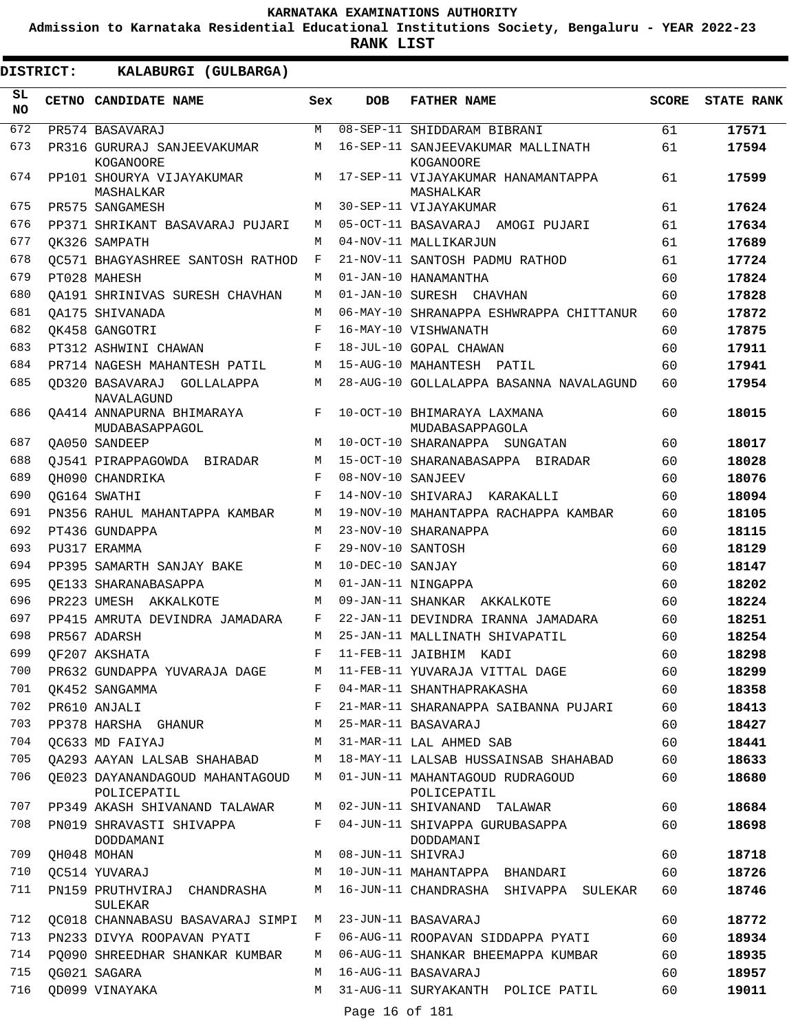**Admission to Karnataka Residential Educational Institutions Society, Bengaluru - YEAR 2022-23**

**RANK LIST**

| SL<br><b>NO</b> | CETNO CANDIDATE NAME                            | Sex        | <b>DOB</b>        | <b>FATHER NAME</b>                              | <b>SCORE</b> | <b>STATE RANK</b> |
|-----------------|-------------------------------------------------|------------|-------------------|-------------------------------------------------|--------------|-------------------|
| 672             | PR574 BASAVARAJ                                 | М          |                   | 08-SEP-11 SHIDDARAM BIBRANI                     | 61           | 17571             |
| 673             | PR316 GURURAJ SANJEEVAKUMAR<br>KOGANOORE        | M          |                   | 16-SEP-11 SANJEEVAKUMAR MALLINATH<br>KOGANOORE  | 61           | 17594             |
| 674             | PP101 SHOURYA VIJAYAKUMAR<br>MASHALKAR          | M          |                   | 17-SEP-11 VIJAYAKUMAR HANAMANTAPPA<br>MASHALKAR | 61           | 17599             |
| 675             | PR575 SANGAMESH                                 | M          |                   | 30-SEP-11 VIJAYAKUMAR                           | 61           | 17624             |
| 676             | PP371 SHRIKANT BASAVARAJ PUJARI                 | М          |                   | 05-OCT-11 BASAVARAJ AMOGI PUJARI                | 61           | 17634             |
| 677             | OK326 SAMPATH                                   | М          |                   | 04-NOV-11 MALLIKARJUN                           | 61           | 17689             |
| 678             | OC571 BHAGYASHREE SANTOSH RATHOD                | F          |                   | 21-NOV-11 SANTOSH PADMU RATHOD                  | 61           | 17724             |
| 679             | PT028 MAHESH                                    | М          |                   | 01-JAN-10 HANAMANTHA                            | 60           | 17824             |
| 680             | OA191 SHRINIVAS SURESH CHAVHAN                  | М          |                   | 01-JAN-10 SURESH CHAVHAN                        | 60           | 17828             |
| 681             | OA175 SHIVANADA                                 | М          |                   | 06-MAY-10 SHRANAPPA ESHWRAPPA CHITTANUR         | 60           | 17872             |
| 682             | OK458 GANGOTRI                                  | F          |                   | 16-MAY-10 VISHWANATH                            | 60           | 17875             |
| 683             | PT312 ASHWINI CHAWAN                            | F          |                   | 18-JUL-10 GOPAL CHAWAN                          | 60           | 17911             |
| 684             | PR714 NAGESH MAHANTESH PATIL                    | М          |                   | 15-AUG-10 MAHANTESH PATIL                       | 60           | 17941             |
| 685             | OD320 BASAVARAJ GOLLALAPPA<br><b>NAVALAGUND</b> | М          |                   | 28-AUG-10 GOLLALAPPA BASANNA NAVALAGUND         | 60           | 17954             |
| 686             | OA414 ANNAPURNA BHIMARAYA<br>MUDABASAPPAGOL     | F          |                   | 10-OCT-10 BHIMARAYA LAXMANA<br>MUDABASAPPAGOLA  | 60           | 18015             |
| 687             | OA050 SANDEEP                                   | M          |                   | 10-OCT-10 SHARANAPPA SUNGATAN                   | 60           | 18017             |
| 688             | OJ541 PIRAPPAGOWDA BIRADAR                      | M          |                   | 15-OCT-10 SHARANABASAPPA BIRADAR                | 60           | 18028             |
| 689             | OH090 CHANDRIKA                                 | F          | 08-NOV-10 SANJEEV |                                                 | 60           | 18076             |
| 690             | OG164 SWATHI                                    | $_{\rm F}$ |                   | 14-NOV-10 SHIVARAJ<br>KARAKALLI                 | 60           | 18094             |
| 691             | PN356 RAHUL MAHANTAPPA KAMBAR                   | М          |                   | 19-NOV-10 MAHANTAPPA RACHAPPA KAMBAR            | 60           | 18105             |
| 692             | PT436 GUNDAPPA                                  | M          |                   | 23-NOV-10 SHARANAPPA                            | 60           | 18115             |
| 693             | PU317 ERAMMA                                    | F          | 29-NOV-10 SANTOSH |                                                 | 60           | 18129             |
| 694             | PP395 SAMARTH SANJAY BAKE                       | М          | 10-DEC-10 SANJAY  |                                                 | 60           | 18147             |
| 695             | OE133 SHARANABASAPPA                            | М          |                   | 01-JAN-11 NINGAPPA                              | 60           | 18202             |
| 696             | PR223 UMESH AKKALKOTE                           | М          | 09-JAN-11 SHANKAR | AKKALKOTE                                       | 60           | 18224             |
| 697             | PP415 AMRUTA DEVINDRA JAMADARA                  | F          |                   | 22-JAN-11 DEVINDRA IRANNA JAMADARA              | 60           | 18251             |
| 698             | PR567 ADARSH                                    | М          |                   | 25-JAN-11 MALLINATH SHIVAPATIL                  | 60           | 18254             |
| 699             | OF207 AKSHATA                                   | F          | 11-FEB-11 JAIBHIM | KADI                                            | 60           | 18298             |
| 700             | PR632 GUNDAPPA YUVARAJA DAGE                    | M          |                   | 11-FEB-11 YUVARAJA VITTAL DAGE                  | 60           | 18299             |
| 701             | OK452 SANGAMMA                                  | F          |                   | 04-MAR-11 SHANTHAPRAKASHA                       | 60           | 18358             |
| 702             | PR610 ANJALI                                    | F          |                   | 21-MAR-11 SHARANAPPA SAIBANNA PUJARI            | 60           | 18413             |
| 703             | PP378 HARSHA GHANUR                             | М          |                   | 25-MAR-11 BASAVARAJ                             | 60           | 18427             |
| 704             | OC633 MD FAIYAJ                                 | M          |                   | 31-MAR-11 LAL AHMED SAB                         | 60           | 18441             |
| 705             | OA293 AAYAN LALSAB SHAHABAD                     | М          |                   | 18-MAY-11 LALSAB HUSSAINSAB SHAHABAD            | 60           | 18633             |
| 706             | OE023 DAYANANDAGOUD MAHANTAGOUD<br>POLICEPATIL  | M          |                   | 01-JUN-11 MAHANTAGOUD RUDRAGOUD<br>POLICEPATIL  | 60           | 18680             |
| 707             | PP349 AKASH SHIVANAND TALAWAR                   | М          |                   | 02-JUN-11 SHIVANAND TALAWAR                     | 60           | 18684             |
| 708             | PN019 SHRAVASTI SHIVAPPA<br>DODDAMANI           | F          |                   | 04-JUN-11 SHIVAPPA GURUBASAPPA<br>DODDAMANI     | 60           | 18698             |
| 709             | QH048 MOHAN                                     | М          | 08-JUN-11 SHIVRAJ |                                                 | 60           | 18718             |
| 710             | QC514 YUVARAJ                                   | М          |                   | 10-JUN-11 MAHANTAPPA BHANDARI                   | 60           | 18726             |
| 711             | PN159 PRUTHVIRAJ<br>CHANDRASHA<br>SULEKAR       | М          |                   | 16-JUN-11 CHANDRASHA SHIVAPPA SULEKAR           | 60           | 18746             |
| 712             | QC018 CHANNABASU BASAVARAJ SIMPI                | М          |                   | 23-JUN-11 BASAVARAJ                             | 60           | 18772             |
| 713             | PN233 DIVYA ROOPAVAN PYATI                      | F          |                   | 06-AUG-11 ROOPAVAN SIDDAPPA PYATI               | 60           | 18934             |
| 714             | PO090 SHREEDHAR SHANKAR KUMBAR                  | М          |                   | 06-AUG-11 SHANKAR BHEEMAPPA KUMBAR              | 60           | 18935             |
| 715             | OG021 SAGARA                                    | M          |                   | 16-AUG-11 BASAVARAJ                             | 60           | 18957             |
| 716             | QD099 VINAYAKA                                  | M          | Page 16 of 181    | 31-AUG-11 SURYAKANTH POLICE PATIL               | 60           | 19011             |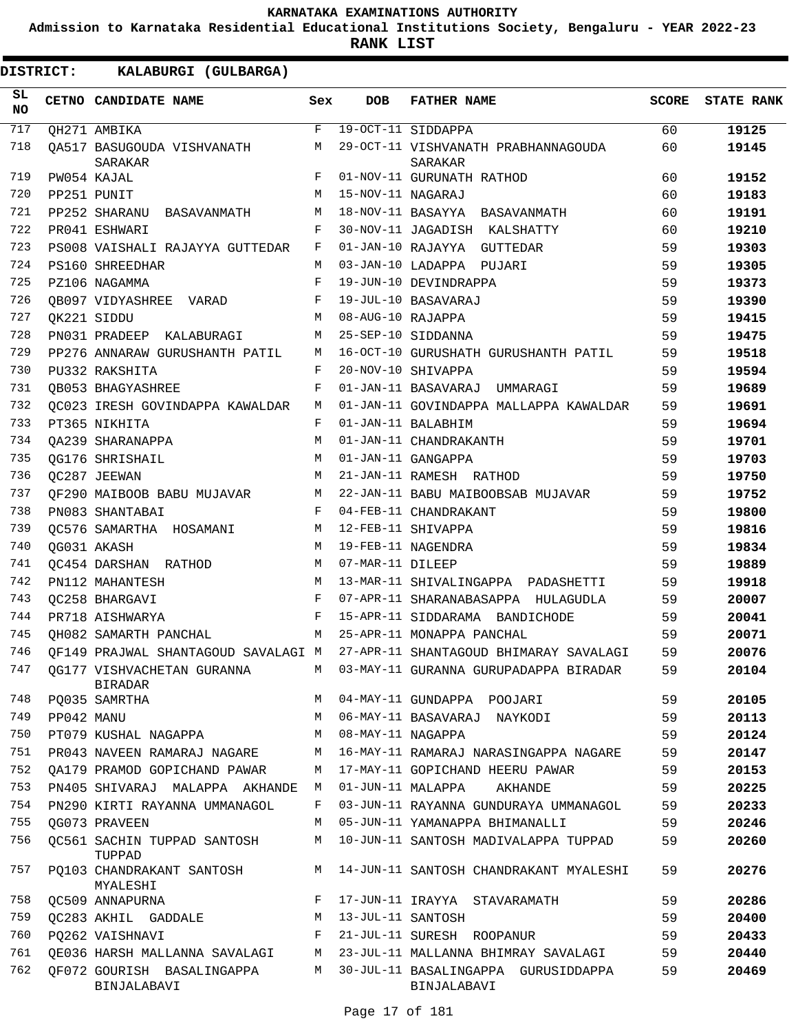**Admission to Karnataka Residential Educational Institutions Society, Bengaluru - YEAR 2022-23**

**RANK LIST**

| SL<br>NO |            | CETNO CANDIDATE NAME                      | Sex | <b>DOB</b>        | <b>FATHER NAME</b>                                                         | <b>SCORE</b> | <b>STATE RANK</b> |
|----------|------------|-------------------------------------------|-----|-------------------|----------------------------------------------------------------------------|--------------|-------------------|
| 717      |            | OH271 AMBIKA                              | F   |                   | 19-OCT-11 SIDDAPPA                                                         | 60           | 19125             |
| 718      |            | QA517 BASUGOUDA VISHVANATH<br>SARAKAR     | М   |                   | 29-OCT-11 VISHVANATH PRABHANNAGOUDA<br>SARAKAR                             | 60           | 19145             |
| 719      |            | PW054 KAJAL                               | F   |                   | 01-NOV-11 GURUNATH RATHOD                                                  | 60           | 19152             |
| 720      |            | PP251 PUNIT                               | M   | 15-NOV-11 NAGARAJ |                                                                            | 60           | 19183             |
| 721      |            | PP252 SHARANU BASAVANMATH                 | М   |                   | 18-NOV-11 BASAYYA BASAVANMATH                                              | 60           | 19191             |
| 722      |            | PR041 ESHWARI                             | F   |                   | 30-NOV-11 JAGADISH KALSHATTY                                               | 60           | 19210             |
| 723      |            | PS008 VAISHALI RAJAYYA GUTTEDAR           | F   |                   | 01-JAN-10 RAJAYYA GUTTEDAR                                                 | 59           | 19303             |
| 724      |            | PS160 SHREEDHAR                           | M   |                   | 03-JAN-10 LADAPPA PUJARI                                                   | 59           | 19305             |
| 725      |            | PZ106 NAGAMMA                             | F   |                   | 19-JUN-10 DEVINDRAPPA                                                      | 59           | 19373             |
| 726      |            | OB097 VIDYASHREE VARAD                    | F   |                   | 19-JUL-10 BASAVARAJ                                                        | 59           | 19390             |
| 727      |            | QK221 SIDDU                               | M   | 08-AUG-10 RAJAPPA |                                                                            | 59           | 19415             |
| 728      |            | PN031 PRADEEP KALABURAGI                  | М   |                   | 25-SEP-10 SIDDANNA                                                         | 59           | 19475             |
| 729      |            | PP276 ANNARAW GURUSHANTH PATIL            | М   |                   | 16-OCT-10 GURUSHATH GURUSHANTH PATIL                                       | 59           | 19518             |
| 730      |            | PU332 RAKSHITA                            | F   |                   | 20-NOV-10 SHIVAPPA                                                         | 59           | 19594             |
| 731      |            | OB053 BHAGYASHREE                         | F   |                   | 01-JAN-11 BASAVARAJ UMMARAGI                                               | 59           | 19689             |
| 732      |            | QC023 IRESH GOVINDAPPA KAWALDAR           | M   |                   | 01-JAN-11 GOVINDAPPA MALLAPPA KAWALDAR                                     | 59           | 19691             |
| 733      |            | PT365 NIKHITA                             | F   |                   | 01-JAN-11 BALABHIM                                                         | 59           | 19694             |
| 734      |            | OA239 SHARANAPPA                          | M   |                   | 01-JAN-11 CHANDRAKANTH                                                     | 59           | 19701             |
| 735      |            | OG176 SHRISHAIL                           | М   |                   | 01-JAN-11 GANGAPPA                                                         | 59           | 19703             |
| 736      |            | OC287 JEEWAN                              | M   |                   | 21-JAN-11 RAMESH RATHOD                                                    | 59           | 19750             |
| 737      |            | QF290 MAIBOOB BABU MUJAVAR                | M   |                   | 22-JAN-11 BABU MAIBOOBSAB MUJAVAR                                          | 59           | 19752             |
| 738      |            | PN083 SHANTABAI                           | F   |                   | 04-FEB-11 CHANDRAKANT                                                      | 59           | 19800             |
| 739      |            | QC576 SAMARTHA HOSAMANI                   | M   |                   | 12-FEB-11 SHIVAPPA                                                         | 59           | 19816             |
| 740      |            | QG031 AKASH                               | M   |                   | 19-FEB-11 NAGENDRA                                                         | 59           | 19834             |
| 741      |            | OC454 DARSHAN RATHOD                      | М   | 07-MAR-11 DILEEP  |                                                                            | 59           | 19889             |
| 742      |            | PN112 MAHANTESH                           | M   |                   | 13-MAR-11 SHIVALINGAPPA PADASHETTI                                         | 59           | 19918             |
| 743      |            | OC258 BHARGAVI                            | F   |                   | 07-APR-11 SHARANABASAPPA HULAGUDLA                                         | 59           | 20007             |
| 744      |            | PR718 AISHWARYA                           | F   |                   | 15-APR-11 SIDDARAMA BANDICHODE                                             | 59           | 20041             |
| 745      |            | QH082 SAMARTH PANCHAL                     |     |                   | M 25-APR-11 MONAPPA PANCHAL                                                | 59           | 20071             |
| 746      |            |                                           |     |                   | OF149 PRAJWAL SHANTAGOUD SAVALAGI M 27-APR-11 SHANTAGOUD BHIMARAY SAVALAGI | 59           | 20076             |
|          |            | 747 QG177 VISHVACHETAN GURANNA<br>BIRADAR |     |                   | M 03-MAY-11 GURANNA GURUPADAPPA BIRADAR                                    | 59           | 20104             |
| 748      |            | PQ035 SAMRTHA                             | M   |                   | 04-MAY-11 GUNDAPPA POOJARI                                                 | 59           | 20105             |
| 749      | PP042 MANU |                                           | M   |                   | 06-MAY-11 BASAVARAJ NAYKODI                                                | 59           | 20113             |
| 750      |            | PT079 KUSHAL NAGAPPA                      | М   | 08-MAY-11 NAGAPPA |                                                                            | 59           | 20124             |
| 751      |            | PR043 NAVEEN RAMARAJ NAGARE               | М   |                   | 16-MAY-11 RAMARAJ NARASINGAPPA NAGARE                                      | 59           | 20147             |
| 752      |            | OA179 PRAMOD GOPICHAND PAWAR              | М   |                   | 17-MAY-11 GOPICHAND HEERU PAWAR                                            | 59           | 20153             |
| 753      |            | PN405 SHIVARAJ MALAPPA AKHANDE            | М   | 01-JUN-11 MALAPPA | AKHANDE                                                                    | 59           | 20225             |
| 754      |            | PN290 KIRTI RAYANNA UMMANAGOL             | F   |                   | 03-JUN-11 RAYANNA GUNDURAYA UMMANAGOL                                      | 59           | 20233             |
| 755      |            | OG073 PRAVEEN                             | М   |                   | 05-JUN-11 YAMANAPPA BHIMANALLI                                             | 59           | 20246             |
| 756      |            | QC561 SACHIN TUPPAD SANTOSH<br>TUPPAD     | М   |                   | 10-JUN-11 SANTOSH MADIVALAPPA TUPPAD                                       | 59           | 20260             |
| 757      |            | PQ103 CHANDRAKANT SANTOSH<br>MYALESHI     | М   |                   | 14-JUN-11 SANTOSH CHANDRAKANT MYALESHI                                     | 59           | 20276             |
| 758      |            | QC509 ANNAPURNA                           | F   |                   | 17-JUN-11 IRAYYA STAVARAMATH                                               | 59           | 20286             |
| 759      |            | OC283 AKHIL GADDALE                       | М   | 13-JUL-11 SANTOSH |                                                                            | 59           | 20400             |
| 760      |            | PQ262 VAISHNAVI                           | F   |                   | 21-JUL-11 SURESH ROOPANUR                                                  | 59           | 20433             |
| 761      |            | QE036 HARSH MALLANNA SAVALAGI             | М   |                   | 23-JUL-11 MALLANNA BHIMRAY SAVALAGI                                        | 59           | 20440             |
| 762      |            | QF072 GOURISH BASALINGAPPA<br>BINJALABAVI | М   |                   | 30-JUL-11 BASALINGAPPA GURUSIDDAPPA<br>BINJALABAVI                         | 59           | 20469             |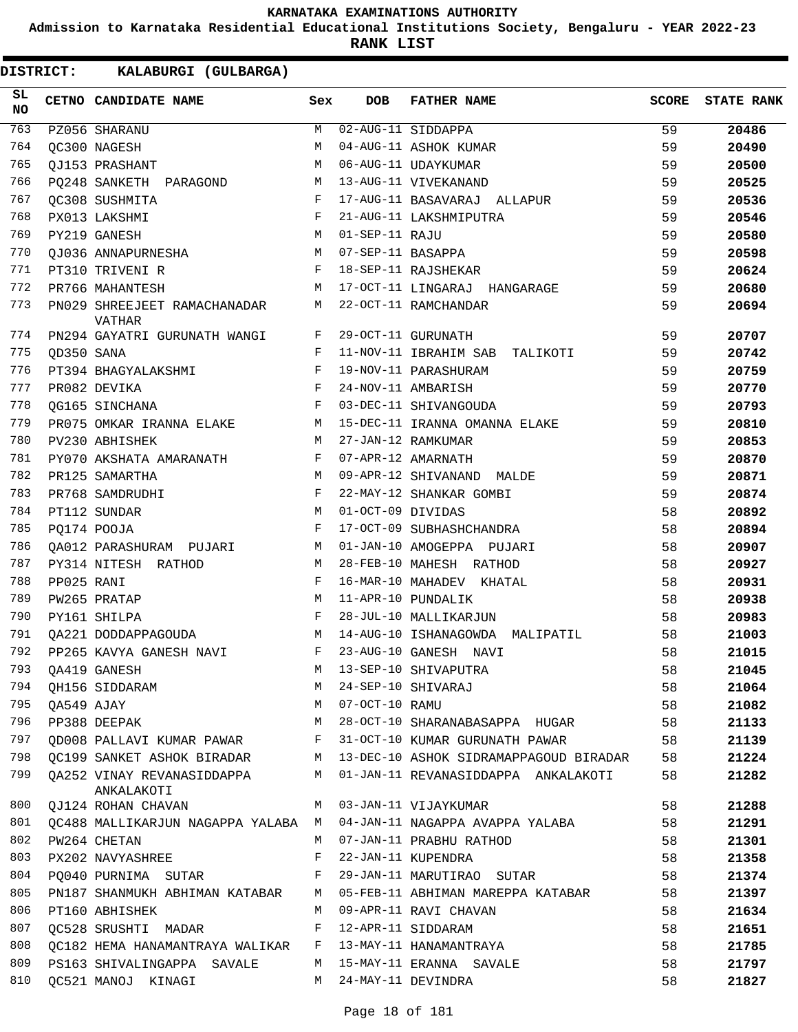**Admission to Karnataka Residential Educational Institutions Society, Bengaluru - YEAR 2022-23**

**RANK LIST**

| SL<br><b>NO</b> |            | CETNO CANDIDATE NAME                     | Sex        | <b>DOB</b>        | <b>FATHER NAME</b>                     | <b>SCORE</b> | <b>STATE RANK</b> |
|-----------------|------------|------------------------------------------|------------|-------------------|----------------------------------------|--------------|-------------------|
| 763             |            | PZ056 SHARANU                            | M          |                   | 02-AUG-11 SIDDAPPA                     | 59           | 20486             |
| 764             |            | QC300 NAGESH                             | M          |                   | 04-AUG-11 ASHOK KUMAR                  | 59           | 20490             |
| 765             |            | QJ153 PRASHANT                           | М          |                   | 06-AUG-11 UDAYKUMAR                    | 59           | 20500             |
| 766             |            | PQ248 SANKETH PARAGOND                   | М          |                   | 13-AUG-11 VIVEKANAND                   | 59           | 20525             |
| 767             |            | OC308 SUSHMITA                           | $_{\rm F}$ |                   | 17-AUG-11 BASAVARAJ ALLAPUR            | 59           | 20536             |
| 768             |            | PX013 LAKSHMI                            | F          |                   | 21-AUG-11 LAKSHMIPUTRA                 | 59           | 20546             |
| 769             |            | PY219 GANESH                             | М          | 01-SEP-11 RAJU    |                                        | 59           | 20580             |
| 770             |            | OJ036 ANNAPURNESHA                       | М          | 07-SEP-11 BASAPPA |                                        | 59           | 20598             |
| 771             |            | PT310 TRIVENI R                          | F          |                   | 18-SEP-11 RAJSHEKAR                    | 59           | 20624             |
| 772             |            | PR766 MAHANTESH                          | М          |                   | 17-OCT-11 LINGARAJ HANGARAGE           | 59           | 20680             |
| 773             |            | PN029 SHREEJEET RAMACHANADAR<br>VATHAR   | М          |                   | 22-OCT-11 RAMCHANDAR                   | 59           | 20694             |
| 774             |            | PN294 GAYATRI GURUNATH WANGI             | F          |                   | 29-OCT-11 GURUNATH                     | 59           | 20707             |
| 775             | OD350 SANA |                                          | F          |                   | 11-NOV-11 IBRAHIM SAB<br>TALIKOTI      | 59           | 20742             |
| 776             |            | PT394 BHAGYALAKSHMI                      | $_{\rm F}$ |                   | 19-NOV-11 PARASHURAM                   | 59           | 20759             |
| 777             |            | PR082 DEVIKA                             | $_{\rm F}$ |                   | 24-NOV-11 AMBARISH                     | 59           | 20770             |
| 778             |            | OG165 SINCHANA                           | F          |                   | 03-DEC-11 SHIVANGOUDA                  | 59           | 20793             |
| 779             |            | PR075 OMKAR IRANNA ELAKE                 | M          |                   | 15-DEC-11 IRANNA OMANNA ELAKE          | 59           | 20810             |
| 780             |            | PV230 ABHISHEK                           | M          |                   | 27-JAN-12 RAMKUMAR                     | 59           | 20853             |
| 781             |            | PY070 AKSHATA AMARANATH                  | F          |                   | 07-APR-12 AMARNATH                     | 59           | 20870             |
| 782             |            | PR125 SAMARTHA                           | M          |                   | 09-APR-12 SHIVANAND MALDE              | 59           | 20871             |
| 783             |            | PR768 SAMDRUDHI                          | F          |                   | 22-MAY-12 SHANKAR GOMBI                | 59           | 20874             |
| 784             |            | PT112 SUNDAR                             | M          | 01-OCT-09 DIVIDAS |                                        | 58           | 20892             |
| 785             |            | PQ174 POOJA                              | F          |                   | 17-OCT-09 SUBHASHCHANDRA               | 58           | 20894             |
| 786             |            | QA012 PARASHURAM PUJARI                  | М          |                   | 01-JAN-10 AMOGEPPA PUJARI              | 58           | 20907             |
| 787             |            | PY314 NITESH RATHOD                      | М          |                   | 28-FEB-10 MAHESH RATHOD                | 58           | 20927             |
| 788             | PP025 RANI |                                          | $_{\rm F}$ |                   | 16-MAR-10 MAHADEV KHATAL               | 58           | 20931             |
| 789             |            | PW265 PRATAP                             | M          |                   | 11-APR-10 PUNDALIK                     | 58           | 20938             |
| 790             |            | PY161 SHILPA                             | F          |                   | 28-JUL-10 MALLIKARJUN                  | 58           | 20983             |
| 791             |            | QA221 DODDAPPAGOUDA                      | М          |                   | 14-AUG-10 ISHANAGOWDA MALIPATIL        | 58           | 21003             |
| 792             |            | PP265 KAVYA GANESH NAVI                  | F          |                   | 23-AUG-10 GANESH NAVI                  | 58           | 21015             |
| 793             |            | QA419 GANESH                             | M          |                   | 13-SEP-10 SHIVAPUTRA                   | 58           | 21045             |
| 794             |            | OH156 SIDDARAM                           | М          |                   | 24-SEP-10 SHIVARAJ                     | 58           | 21064             |
| 795             | QA549 AJAY |                                          | М          | 07-OCT-10 RAMU    |                                        | 58           | 21082             |
| 796             |            | PP388 DEEPAK                             | M          |                   | 28-OCT-10 SHARANABASAPPA HUGAR         | 58           | 21133             |
| 797             |            | OD008 PALLAVI KUMAR PAWAR                | F          |                   | 31-OCT-10 KUMAR GURUNATH PAWAR         | 58           | 21139             |
| 798             |            | OC199 SANKET ASHOK BIRADAR               | М          |                   | 13-DEC-10 ASHOK SIDRAMAPPAGOUD BIRADAR | 58           | 21224             |
| 799             |            | OA252 VINAY REVANASIDDAPPA<br>ANKALAKOTI | М          |                   | 01-JAN-11 REVANASIDDAPPA ANKALAKOTI    | 58           | 21282             |
| 800             |            | QJ124 ROHAN CHAVAN                       | М          |                   | 03-JAN-11 VIJAYKUMAR                   | 58           | 21288             |
| 801             |            | QC488 MALLIKARJUN NAGAPPA YALABA M       |            |                   | 04-JAN-11 NAGAPPA AVAPPA YALABA        | 58           | 21291             |
| 802             |            | PW264 CHETAN                             | М          |                   | 07-JAN-11 PRABHU RATHOD                | 58           | 21301             |
| 803             |            | PX202 NAVYASHREE                         | F          |                   | 22-JAN-11 KUPENDRA                     | 58           | 21358             |
| 804             |            | PO040 PURNIMA SUTAR                      | F          |                   | 29-JAN-11 MARUTIRAO SUTAR              | 58           | 21374             |
| 805             |            | PN187 SHANMUKH ABHIMAN KATABAR           | M          |                   | 05-FEB-11 ABHIMAN MAREPPA KATABAR      | 58           | 21397             |
| 806             |            | PT160 ABHISHEK                           | М          |                   | 09-APR-11 RAVI CHAVAN                  | 58           | 21634             |
| 807             |            | OC528 SRUSHTI MADAR                      | F          |                   | 12-APR-11 SIDDARAM                     | 58           | 21651             |
| 808             |            | OC182 HEMA HANAMANTRAYA WALIKAR          | F          |                   | 13-MAY-11 HANAMANTRAYA                 | 58           | 21785             |
| 809             |            | PS163 SHIVALINGAPPA SAVALE               | М          |                   | 15-MAY-11 ERANNA SAVALE                | 58           | 21797             |
| 810             |            | QC521 MANOJ KINAGI                       | М          |                   | 24-MAY-11 DEVINDRA                     | 58           | 21827             |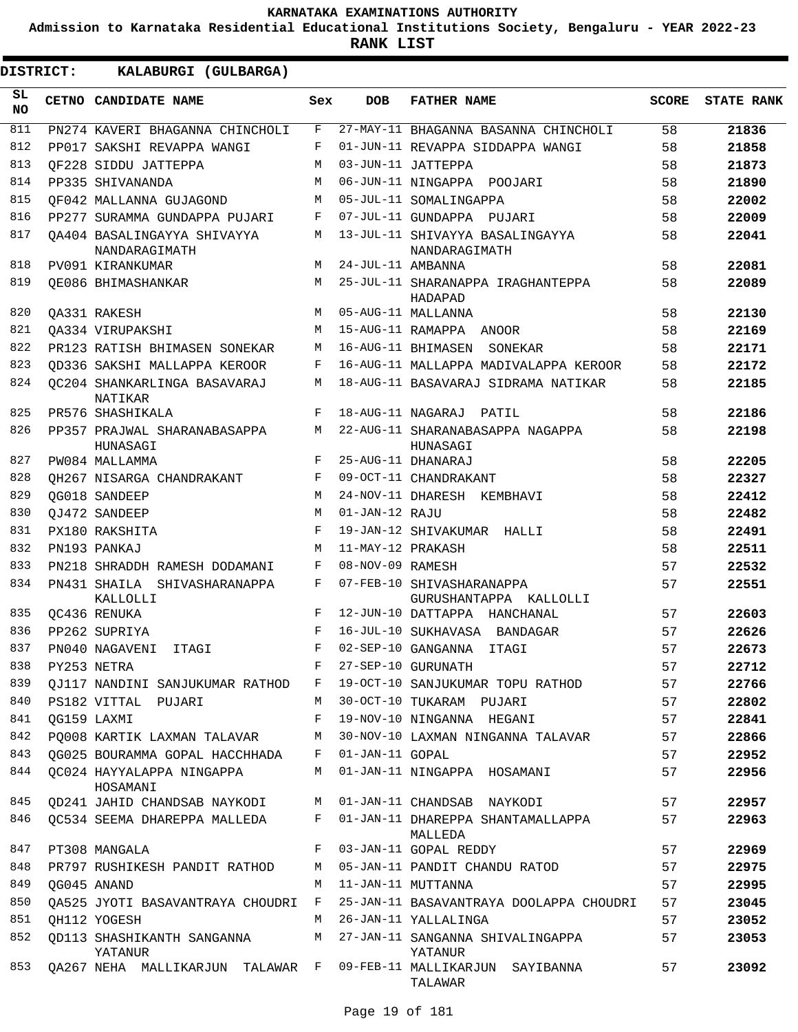**Admission to Karnataka Residential Educational Institutions Society, Bengaluru - YEAR 2022-23**

**RANK LIST**

 $\blacksquare$ 

|                 | <b>DISTRICT:</b> | KALABURGI (GULBARGA)                         |     |                   |                                                     |              |                   |
|-----------------|------------------|----------------------------------------------|-----|-------------------|-----------------------------------------------------|--------------|-------------------|
| SL<br><b>NO</b> |                  | CETNO CANDIDATE NAME                         | Sex | <b>DOB</b>        | <b>FATHER NAME</b>                                  | <b>SCORE</b> | <b>STATE RANK</b> |
| 811             |                  | PN274 KAVERI BHAGANNA CHINCHOLI              | F   |                   | 27-MAY-11 BHAGANNA BASANNA CHINCHOLI                | 58           | 21836             |
| 812             |                  | PP017 SAKSHI REVAPPA WANGI                   | F   |                   | 01-JUN-11 REVAPPA SIDDAPPA WANGI                    | 58           | 21858             |
| 813             |                  | OF228 SIDDU JATTEPPA                         | M   |                   | 03-JUN-11 JATTEPPA                                  | 58           | 21873             |
| 814             |                  | PP335 SHIVANANDA                             | M   |                   | 06-JUN-11 NINGAPPA POOJARI                          | 58           | 21890             |
| 815             |                  | OF042 MALLANNA GUJAGOND                      | M   |                   | 05-JUL-11 SOMALINGAPPA                              | 58           | 22002             |
| 816             |                  | PP277 SURAMMA GUNDAPPA PUJARI                | F   |                   | 07-JUL-11 GUNDAPPA PUJARI                           | 58           | 22009             |
| 817             |                  | QA404 BASALINGAYYA SHIVAYYA<br>NANDARAGIMATH | M   |                   | 13-JUL-11 SHIVAYYA BASALINGAYYA<br>NANDARAGIMATH    | 58           | 22041             |
| 818             |                  | PV091 KIRANKUMAR                             | M   | 24-JUL-11 AMBANNA |                                                     | 58           | 22081             |
| 819             |                  | OE086 BHIMASHANKAR                           | M   |                   | 25-JUL-11 SHARANAPPA IRAGHANTEPPA<br>HADAPAD        | 58           | 22089             |
| 820             |                  | QA331 RAKESH                                 | M   |                   | 05-AUG-11 MALLANNA                                  | 58           | 22130             |
| 821             |                  | OA334 VIRUPAKSHI                             | M   |                   | 15-AUG-11 RAMAPPA ANOOR                             | 58           | 22169             |
| 822             |                  | PR123 RATISH BHIMASEN SONEKAR                | M   |                   | 16-AUG-11 BHIMASEN<br>SONEKAR                       | 58           | 22171             |
| 823             |                  | OD336 SAKSHI MALLAPPA KEROOR                 | F   |                   | 16-AUG-11 MALLAPPA MADIVALAPPA KEROOR               | 58           | 22172             |
| 824             |                  | OC204 SHANKARLINGA BASAVARAJ<br>NATIKAR      | M   |                   | 18-AUG-11 BASAVARAJ SIDRAMA NATIKAR                 | 58           | 22185             |
| 825             |                  | PR576 SHASHIKALA                             | F   |                   | 18-AUG-11 NAGARAJ PATIL                             | 58           | 22186             |
| 826             |                  | PP357 PRAJWAL SHARANABASAPPA<br>HUNASAGI     | M   |                   | 22-AUG-11 SHARANABASAPPA NAGAPPA<br>HUNASAGI        | 58           | 22198             |
| 827             |                  | PW084 MALLAMMA                               | F   |                   | 25-AUG-11 DHANARAJ                                  | 58           | 22205             |
| 828             |                  | OH267 NISARGA CHANDRAKANT                    | F   |                   | 09-OCT-11 CHANDRAKANT                               | 58           | 22327             |
| 829             |                  | OG018 SANDEEP                                | M   |                   | 24-NOV-11 DHARESH KEMBHAVI                          | 58           | 22412             |
| 830             |                  | OJ472 SANDEEP                                | M   | 01-JAN-12 RAJU    |                                                     | 58           | 22482             |
| 831             |                  | PX180 RAKSHITA                               | F   |                   | 19-JAN-12 SHIVAKUMAR HALLI                          | 58           | 22491             |
| 832             |                  | PN193 PANKAJ                                 | M   | 11-MAY-12 PRAKASH |                                                     | 58           | 22511             |
| 833             |                  | PN218 SHRADDH RAMESH DODAMANI                | F   | 08-NOV-09 RAMESH  |                                                     | 57           | 22532             |
| 834             |                  | PN431 SHAILA SHIVASHARANAPPA<br>KALLOLLI     | F   |                   | 07-FEB-10 SHIVASHARANAPPA<br>GURUSHANTAPPA KALLOLLI | 57           | 22551             |
| 835             |                  | OC436 RENUKA                                 | F   |                   | 12-JUN-10 DATTAPPA HANCHANAL                        | 57           | 22603             |
| 836             |                  | PP262 SUPRIYA                                | F   |                   | 16-JUL-10 SUKHAVASA BANDAGAR                        | 57           | 22626             |
| 837             |                  | PN040 NAGAVENI ITAGI                         | F   |                   | 02-SEP-10 GANGANNA ITAGI                            | 57           | 22673             |
| 838             |                  | PY253 NETRA                                  | F   |                   | 27-SEP-10 GURUNATH                                  | 57           | 22712             |
| 839             |                  | QJ117 NANDINI SANJUKUMAR RATHOD F            |     |                   | 19-OCT-10 SANJUKUMAR TOPU RATHOD                    | 57           | 22766             |
| 840             |                  | PS182 VITTAL PUJARI                          | M   |                   | 30-OCT-10 TUKARAM PUJARI                            | 57           | 22802             |
| 841             |                  | QG159 LAXMI                                  | F   |                   | 19-NOV-10 NINGANNA HEGANI                           | 57           | 22841             |
| 842             |                  | PQ008 KARTIK LAXMAN TALAVAR                  | M   |                   | 30-NOV-10 LAXMAN NINGANNA TALAVAR                   | 57           | 22866             |
| 843             |                  | QG025 BOURAMMA GOPAL HACCHHADA F             |     | 01-JAN-11 GOPAL   |                                                     | 57           | 22952             |
| 844             |                  | OC024 HAYYALAPPA NINGAPPA<br>HOSAMANI        | M   |                   | 01-JAN-11 NINGAPPA HOSAMANI                         | 57           | 22956             |
| 845             |                  | QD241 JAHID CHANDSAB NAYKODI                 | М   |                   | 01-JAN-11 CHANDSAB NAYKODI                          | 57           | 22957             |
| 846             |                  | QC534 SEEMA DHAREPPA MALLEDA                 | F   |                   | 01-JAN-11 DHAREPPA SHANTAMALLAPPA<br>MALLEDA        | 57           | 22963             |
| 847             |                  | PT308 MANGALA                                | F   |                   | 03-JAN-11 GOPAL REDDY                               | 57           | 22969             |
| 848             |                  | PR797 RUSHIKESH PANDIT RATHOD                | M   |                   | 05-JAN-11 PANDIT CHANDU RATOD                       | 57           | 22975             |
| 849             |                  | QG045 ANAND                                  | M   |                   | 11-JAN-11 MUTTANNA                                  | 57           | 22995             |
| 850             |                  | QA525 JYOTI BASAVANTRAYA CHOUDRI             | F   |                   | 25-JAN-11 BASAVANTRAYA DOOLAPPA CHOUDRI             | 57           | 23045             |
| 851             |                  | QH112 YOGESH                                 | М   |                   | 26-JAN-11 YALLALINGA                                | 57           | 23052             |
| 852             |                  | QD113 SHASHIKANTH SANGANNA<br>YATANUR        | M   |                   | 27-JAN-11 SANGANNA SHIVALINGAPPA<br>YATANUR         | 57           | 23053             |
| 853             |                  | QA267 NEHA MALLIKARJUN TALAWAR F             |     |                   | 09-FEB-11 MALLIKARJUN SAYIBANNA<br>TALAWAR          | 57           | 23092             |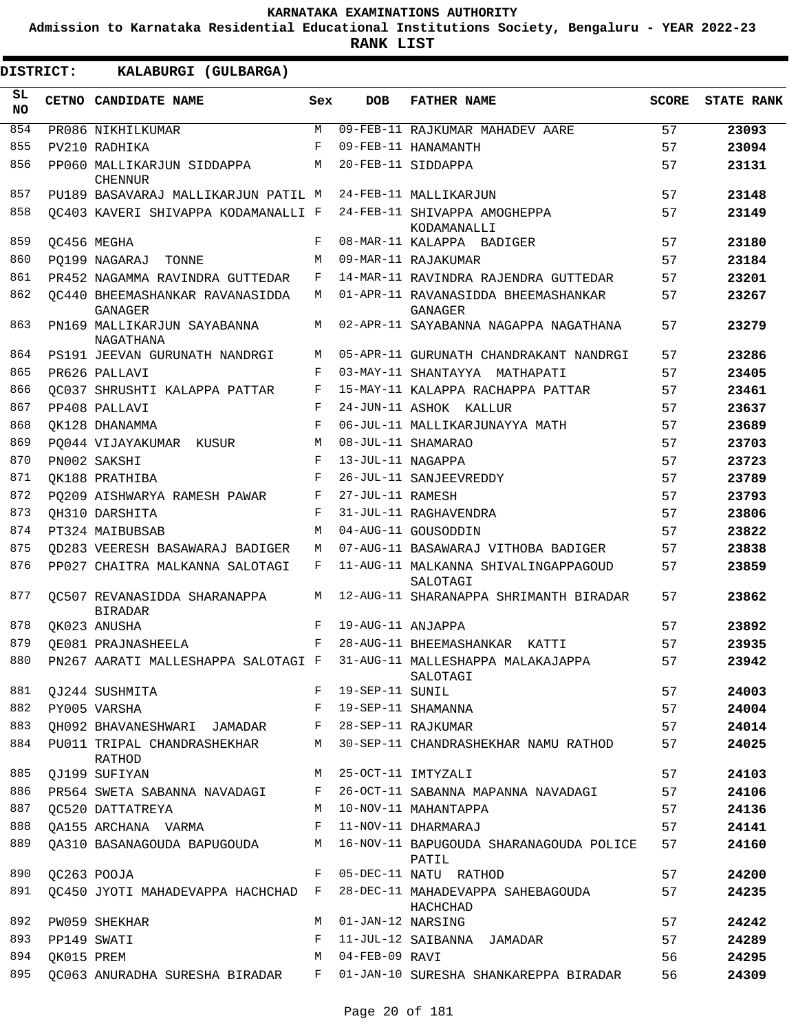**Admission to Karnataka Residential Educational Institutions Society, Bengaluru - YEAR 2022-23**

**RANK LIST**

ı

| <b>DISTRICT:</b> |            | KALABURGI (GULBARGA)                           |     |                   |                                                                                   |              |                   |
|------------------|------------|------------------------------------------------|-----|-------------------|-----------------------------------------------------------------------------------|--------------|-------------------|
| SL<br><b>NO</b>  |            | CETNO CANDIDATE NAME                           | Sex | <b>DOB</b>        | <b>FATHER NAME</b>                                                                | <b>SCORE</b> | <b>STATE RANK</b> |
| 854              |            | PR086 NIKHILKUMAR                              | M   |                   | 09-FEB-11 RAJKUMAR MAHADEV AARE                                                   | 57           | 23093             |
| 855              |            | PV210 RADHIKA                                  | F   |                   | 09-FEB-11 HANAMANTH                                                               | 57           | 23094             |
| 856              |            | PP060 MALLIKARJUN SIDDAPPA<br><b>CHENNUR</b>   | М   |                   | 20-FEB-11 SIDDAPPA                                                                | 57           | 23131             |
| 857              |            | PU189 BASAVARAJ MALLIKARJUN PATIL M            |     |                   | 24-FEB-11 MALLIKARJUN                                                             | 57           | 23148             |
| 858              |            | OC403 KAVERI SHIVAPPA KODAMANALLI F            |     |                   | 24-FEB-11 SHIVAPPA AMOGHEPPA<br>KODAMANALLI                                       | 57           | 23149             |
| 859              |            | QC456 MEGHA                                    | F   |                   | 08-MAR-11 KALAPPA BADIGER                                                         | 57           | 23180             |
| 860              |            | PO199 NAGARAJ TONNE                            | M   |                   | 09-MAR-11 RAJAKUMAR                                                               | 57           | 23184             |
| 861              |            | PR452 NAGAMMA RAVINDRA GUTTEDAR                | F   |                   | 14-MAR-11 RAVINDRA RAJENDRA GUTTEDAR                                              | 57           | 23201             |
| 862              |            | OC440 BHEEMASHANKAR RAVANASIDDA<br>GANAGER     | М   |                   | 01-APR-11 RAVANASIDDA BHEEMASHANKAR<br><b>GANAGER</b>                             | 57           | 23267             |
| 863              |            | PN169 MALLIKARJUN SAYABANNA<br>NAGATHANA       | М   |                   | 02-APR-11 SAYABANNA NAGAPPA NAGATHANA                                             | 57           | 23279             |
| 864              |            | PS191 JEEVAN GURUNATH NANDRGI                  | М   |                   | 05-APR-11 GURUNATH CHANDRAKANT NANDRGI                                            | 57           | 23286             |
| 865              |            | PR626 PALLAVI                                  | F   |                   | 03-MAY-11 SHANTAYYA MATHAPATI                                                     | 57           | 23405             |
| 866              |            | OC037 SHRUSHTI KALAPPA PATTAR                  | F   |                   | 15-MAY-11 KALAPPA RACHAPPA PATTAR                                                 | 57           | 23461             |
| 867              |            | PP408 PALLAVI                                  | F   |                   | 24-JUN-11 ASHOK KALLUR                                                            | 57           | 23637             |
| 868              |            | OK128 DHANAMMA                                 | F   |                   | 06-JUL-11 MALLIKARJUNAYYA MATH                                                    | 57           | 23689             |
| 869              |            | PO044 VIJAYAKUMAR KUSUR                        | М   |                   | 08-JUL-11 SHAMARAO                                                                | 57           | 23703             |
| 870              |            | PN002 SAKSHI                                   | F   | 13-JUL-11 NAGAPPA |                                                                                   | 57           | 23723             |
| 871              |            | OK188 PRATHIBA                                 | F   |                   | 26-JUL-11 SANJEEVREDDY                                                            | 57           | 23789             |
| 872              |            | PO209 AISHWARYA RAMESH PAWAR                   | F   | 27-JUL-11 RAMESH  |                                                                                   | 57           | 23793             |
| 873              |            | OH310 DARSHITA                                 | F   |                   | 31-JUL-11 RAGHAVENDRA                                                             | 57           | 23806             |
| 874              |            | PT324 MAIBUBSAB                                | M   |                   | 04-AUG-11 GOUSODDIN                                                               | 57           | 23822             |
| 875              |            | QD283 VEERESH BASAWARAJ BADIGER                | М   |                   | 07-AUG-11 BASAWARAJ VITHOBA BADIGER                                               | 57           | 23838             |
| 876              |            | PP027 CHAITRA MALKANNA SALOTAGI                | F   |                   | 11-AUG-11 MALKANNA SHIVALINGAPPAGOUD<br>SALOTAGI                                  | 57           | 23859             |
| 877              |            | OC507 REVANASIDDA SHARANAPPA<br><b>BIRADAR</b> | M   |                   | 12-AUG-11 SHARANAPPA SHRIMANTH BIRADAR                                            | 57           | 23862             |
| 878              |            | QK023 ANUSHA                                   | F   | 19-AUG-11 ANJAPPA |                                                                                   | 57           | 23892             |
| 879              |            | OE081 PRAJNASHEELA                             | F   |                   | 28-AUG-11 BHEEMASHANKAR<br>KATTI                                                  | 57           | 23935             |
| 880              |            |                                                |     |                   | PN267 AARATI MALLESHAPPA SALOTAGI F 31-AUG-11 MALLESHAPPA MALAKAJAPPA<br>SALOTAGI | 57           | 23942             |
| 881              |            | QJ244 SUSHMITA                                 |     | F 19-SEP-11 SUNIL |                                                                                   | 57           | 24003             |
| 882              |            | PY005 VARSHA                                   | F   |                   | 19-SEP-11 SHAMANNA                                                                | 57           | 24004             |
| 883              |            | QH092 BHAVANESHWARI JAMADAR F                  |     |                   | 28-SEP-11 RAJKUMAR                                                                | 57           | 24014             |
| 884              |            | PU011 TRIPAL CHANDRASHEKHAR<br>RATHOD          | M   |                   | 30-SEP-11 CHANDRASHEKHAR NAMU RATHOD                                              | 57           | 24025             |
| 885              |            | QJ199 SUFIYAN                                  | M   |                   | 25-OCT-11 IMTYZALI                                                                | 57           | 24103             |
| 886              |            | PR564 SWETA SABANNA NAVADAGI                   | F   |                   | 26-OCT-11 SABANNA MAPANNA NAVADAGI                                                | 57           | 24106             |
| 887              |            | QC520 DATTATREYA                               | M   |                   | 10-NOV-11 MAHANTAPPA                                                              | 57           | 24136             |
| 888              |            | QA155 ARCHANA VARMA F                          |     |                   | 11-NOV-11 DHARMARAJ                                                               | 57           | 24141             |
| 889              |            | QA310 BASANAGOUDA BAPUGOUDA                    | M   |                   | 16-NOV-11 BAPUGOUDA SHARANAGOUDA POLICE<br>PATIL                                  | 57           | 24160             |
| 890              |            | QC263 POOJA                                    | F   |                   | 05-DEC-11 NATU RATHOD                                                             | 57           | 24200             |
| 891              |            | QC450 JYOTI MAHADEVAPPA HACHCHAD F             |     |                   | 28-DEC-11 MAHADEVAPPA SAHEBAGOUDA<br>HACHCHAD                                     | 57           | 24235             |
| 892              |            | PW059 SHEKHAR                                  | M   | 01-JAN-12 NARSING |                                                                                   | 57           | 24242             |
| 893              |            | PP149 SWATI                                    | F   |                   | 11-JUL-12 SAIBANNA JAMADAR                                                        | 57           | 24289             |
| 894              | QK015 PREM |                                                | M   | 04-FEB-09 RAVI    |                                                                                   | 56           | 24295             |
| 895              |            | QC063 ANURADHA SURESHA BIRADAR F               |     |                   | 01-JAN-10 SURESHA SHANKAREPPA BIRADAR                                             | 56           | 24309             |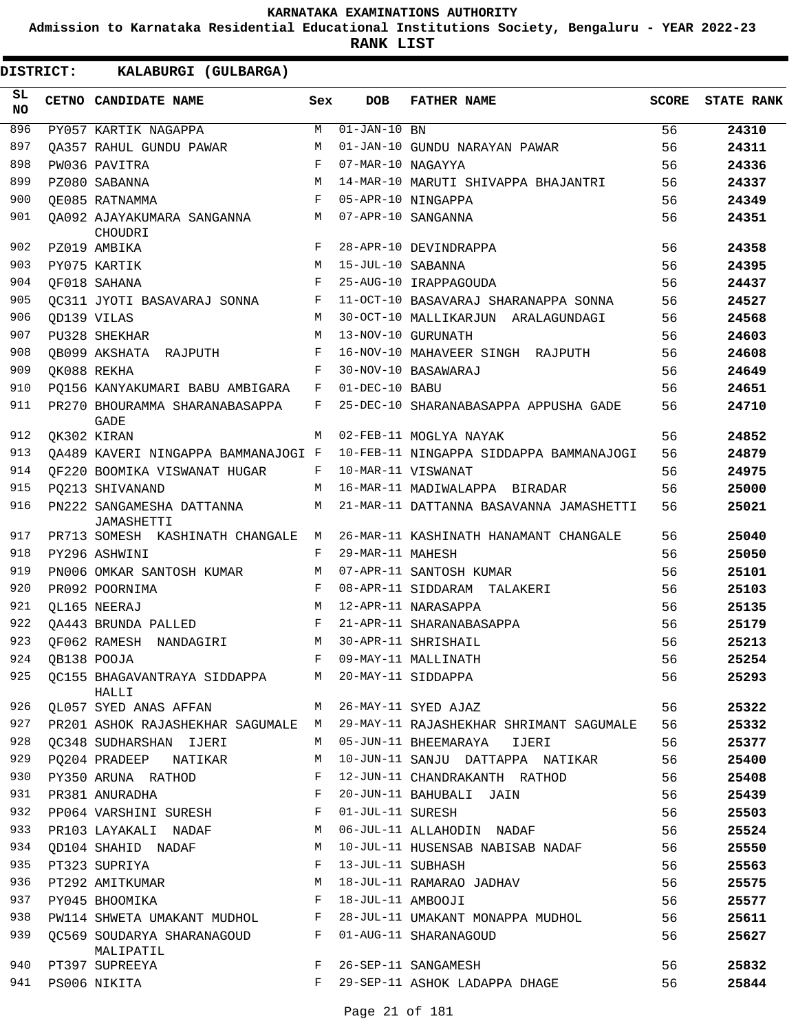**Admission to Karnataka Residential Educational Institutions Society, Bengaluru - YEAR 2022-23**

**RANK LIST**

| SL<br><b>NO</b> | CETNO CANDIDATE NAME                          | Sex        | DOB                       | <b>FATHER NAME</b>                      | SCORE | <b>STATE RANK</b> |
|-----------------|-----------------------------------------------|------------|---------------------------|-----------------------------------------|-------|-------------------|
| 896             | PY057 KARTIK NAGAPPA                          | M          | $\overline{01-JAN}-10$ BN |                                         | 56    | 24310             |
| 897             | QA357 RAHUL GUNDU PAWAR                       | M          |                           | 01-JAN-10 GUNDU NARAYAN PAWAR           | 56    | 24311             |
| 898             | PW036 PAVITRA                                 | F          | 07-MAR-10 NAGAYYA         |                                         | 56    | 24336             |
| 899             | PZ080 SABANNA                                 | M          |                           | 14-MAR-10 MARUTI SHIVAPPA BHAJANTRI     | 56    | 24337             |
| 900             | OE085 RATNAMMA                                | F          |                           | 05-APR-10 NINGAPPA                      | 56    | 24349             |
| 901             | OA092 AJAYAKUMARA SANGANNA<br>CHOUDRI         | М          |                           | 07-APR-10 SANGANNA                      | 56    | 24351             |
| 902             | PZ019 AMBIKA                                  | F          |                           | 28-APR-10 DEVINDRAPPA                   | 56    | 24358             |
| 903             | PY075 KARTIK                                  | M          | 15-JUL-10 SABANNA         |                                         | 56    | 24395             |
| 904             | OF018 SAHANA                                  | $_{\rm F}$ |                           | 25-AUG-10 IRAPPAGOUDA                   | 56    | 24437             |
| 905             | OC311 JYOTI BASAVARAJ SONNA                   | F          |                           | 11-OCT-10 BASAVARAJ SHARANAPPA SONNA    | 56    | 24527             |
| 906             | OD139 VILAS                                   | M          |                           | 30-OCT-10 MALLIKARJUN ARALAGUNDAGI      | 56    | 24568             |
| 907             | PU328 SHEKHAR                                 | M          |                           | 13-NOV-10 GURUNATH                      | 56    | 24603             |
| 908             | OB099 AKSHATA RAJPUTH                         | F          |                           | 16-NOV-10 MAHAVEER SINGH RAJPUTH        | 56    | 24608             |
| 909             | OK088 REKHA                                   | F          |                           | 30-NOV-10 BASAWARAJ                     | 56    | 24649             |
| 910             | PO156 KANYAKUMARI BABU AMBIGARA               | F          | 01-DEC-10 BABU            |                                         | 56    | 24651             |
| 911             | PR270 BHOURAMMA SHARANABASAPPA<br><b>GADE</b> | F          |                           | 25-DEC-10 SHARANABASAPPA APPUSHA GADE   | 56    | 24710             |
| 912             | OK302 KIRAN                                   | М          |                           | 02-FEB-11 MOGLYA NAYAK                  | 56    | 24852             |
| 913             | OA489 KAVERI NINGAPPA BAMMANAJOGI F           |            |                           | 10-FEB-11 NINGAPPA SIDDAPPA BAMMANAJOGI | 56    | 24879             |
| 914             | OF220 BOOMIKA VISWANAT HUGAR                  | F          |                           | 10-MAR-11 VISWANAT                      | 56    | 24975             |
| 915             | PO213 SHIVANAND                               | M          |                           | 16-MAR-11 MADIWALAPPA BIRADAR           | 56    | 25000             |
| 916             | PN222 SANGAMESHA DATTANNA<br>JAMASHETTI       | М          |                           | 21-MAR-11 DATTANNA BASAVANNA JAMASHETTI | 56    | 25021             |
| 917             | PR713 SOMESH KASHINATH CHANGALE               | M          |                           | 26-MAR-11 KASHINATH HANAMANT CHANGALE   | 56    | 25040             |
| 918             | PY296 ASHWINI                                 | F          | 29-MAR-11 MAHESH          |                                         | 56    | 25050             |
| 919             | PN006 OMKAR SANTOSH KUMAR                     | М          |                           | 07-APR-11 SANTOSH KUMAR                 | 56    | 25101             |
| 920             | PR092 POORNIMA                                | F          |                           | 08-APR-11 SIDDARAM TALAKERI             | 56    | 25103             |
| 921             | OL165 NEERAJ                                  | M          |                           | 12-APR-11 NARASAPPA                     | 56    | 25135             |
| 922             | OA443 BRUNDA PALLED                           | F          |                           | 21-APR-11 SHARANABASAPPA                | 56    | 25179             |
| 923             | OF062 RAMESH NANDAGIRI                        | М          |                           | 30-APR-11 SHRISHAIL                     | 56    | 25213             |
| 924             | OB138 POOJA                                   | F          |                           | 09-MAY-11 MALLINATH                     | 56    | 25254             |
| 925             | OC155 BHAGAVANTRAYA SIDDAPPA<br>HALLI         | M          |                           | 20-MAY-11 SIDDAPPA                      | 56    | 25293             |
| 926             | QL057 SYED ANAS AFFAN                         | M          |                           | 26-MAY-11 SYED AJAZ                     | 56    | 25322             |
| 927             | PR201 ASHOK RAJASHEKHAR SAGUMALE              | M          |                           | 29-MAY-11 RAJASHEKHAR SHRIMANT SAGUMALE | 56    | 25332             |
| 928             | QC348 SUDHARSHAN IJERI                        | M          |                           | 05-JUN-11 BHEEMARAYA<br>IJERI           | 56    | 25377             |
| 929             | PQ204 PRADEEP NATIKAR                         | М          |                           | 10-JUN-11 SANJU DATTAPPA NATIKAR        | 56    | 25400             |
| 930             | PY350 ARUNA RATHOD                            | F          |                           | 12-JUN-11 CHANDRAKANTH RATHOD           | 56    | 25408             |
| 931             | PR381 ANURADHA                                | F          |                           | 20-JUN-11 BAHUBALI JAIN                 | 56    | 25439             |
| 932             | PP064 VARSHINI SURESH                         | F          | 01-JUL-11 SURESH          |                                         | 56    | 25503             |
| 933             | PR103 LAYAKALI NADAF                          | М          |                           | 06-JUL-11 ALLAHODIN NADAF               | 56    | 25524             |
| 934             | <b>OD104 SHAHID NADAF</b>                     | М          |                           | 10-JUL-11 HUSENSAB NABISAB NADAF        | 56    | 25550             |
| 935             | PT323 SUPRIYA                                 | F          | 13-JUL-11 SUBHASH         |                                         | 56    | 25563             |
| 936             | PT292 AMITKUMAR                               | М          |                           | 18-JUL-11 RAMARAO JADHAV                | 56    | 25575             |
| 937             | PY045 BHOOMIKA                                | F          | 18-JUL-11 AMBOOJI         |                                         | 56    | 25577             |
| 938             | PW114 SHWETA UMAKANT MUDHOL                   | F          |                           | 28-JUL-11 UMAKANT MONAPPA MUDHOL        | 56    | 25611             |
| 939             | QC569 SOUDARYA SHARANAGOUD<br>MALIPATIL       | F          |                           | 01-AUG-11 SHARANAGOUD                   | 56    | 25627             |
| 940             | PT397 SUPREEYA                                | F          |                           | 26-SEP-11 SANGAMESH                     | 56    | 25832             |
| 941             | PS006 NIKITA                                  | F          |                           | 29-SEP-11 ASHOK LADAPPA DHAGE           | 56    | 25844             |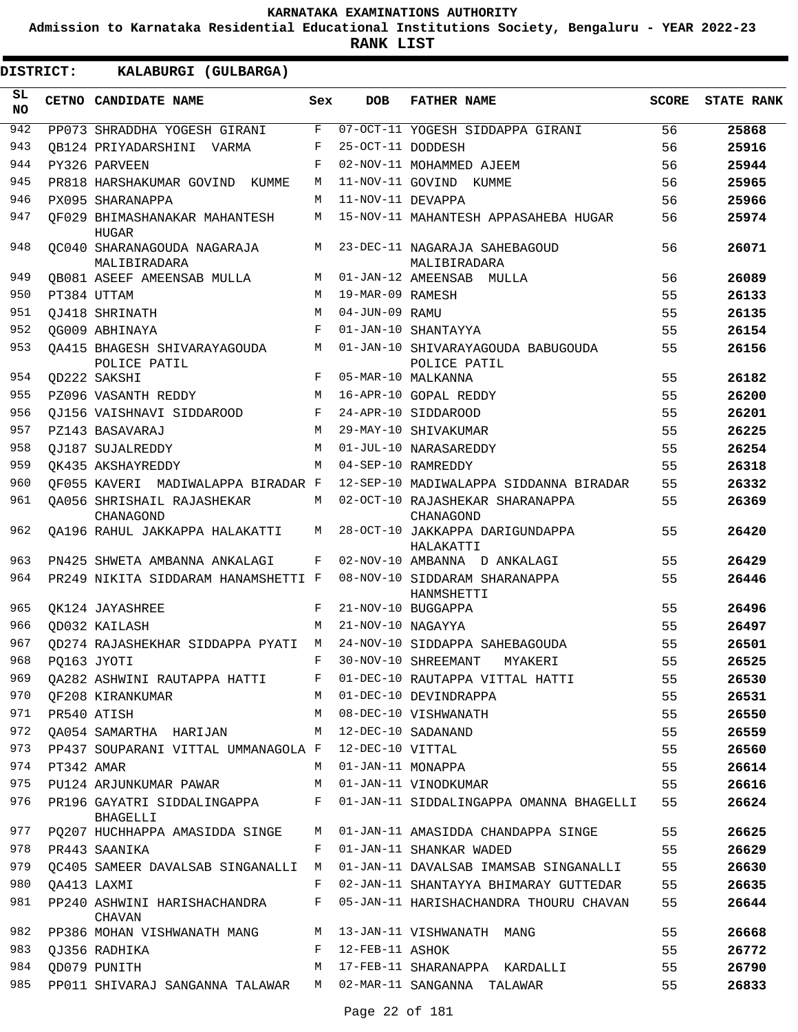**Admission to Karnataka Residential Educational Institutions Society, Bengaluru - YEAR 2022-23**

**RANK LIST**

 $\blacksquare$ 

| DISTRICT: |            | KALABURGI (GULBARGA)                          |     |                   |                                                    |              |                   |
|-----------|------------|-----------------------------------------------|-----|-------------------|----------------------------------------------------|--------------|-------------------|
| SL<br>NO  |            | CETNO CANDIDATE NAME                          | Sex | <b>DOB</b>        | <b>FATHER NAME</b>                                 | <b>SCORE</b> | <b>STATE RANK</b> |
| 942       |            | PP073 SHRADDHA YOGESH GIRANI                  | F   |                   | 07-OCT-11 YOGESH SIDDAPPA GIRANI                   | 56           | 25868             |
| 943       |            | OB124 PRIYADARSHINI VARMA                     | F   | 25-OCT-11 DODDESH |                                                    | 56           | 25916             |
| 944       |            | PY326 PARVEEN                                 | F   |                   | 02-NOV-11 MOHAMMED AJEEM                           | 56           | 25944             |
| 945       |            | PR818 HARSHAKUMAR GOVIND KUMME                | M   |                   | 11-NOV-11 GOVIND KUMME                             | 56           | 25965             |
| 946       |            | PX095 SHARANAPPA                              | M   | 11-NOV-11 DEVAPPA |                                                    | 56           | 25966             |
| 947       |            | OF029 BHIMASHANAKAR MAHANTESH<br><b>HUGAR</b> | М   |                   | 15-NOV-11 MAHANTESH APPASAHEBA HUGAR               | 56           | 25974             |
| 948       |            | OC040 SHARANAGOUDA NAGARAJA<br>MALIBIRADARA   | M   |                   | 23-DEC-11 NAGARAJA SAHEBAGOUD<br>MALIBIRADARA      | 56           | 26071             |
| 949       |            | <b>OB081 ASEEF AMEENSAB MULLA</b>             | M   |                   | 01-JAN-12 AMEENSAB MULLA                           | 56           | 26089             |
| 950       |            | PT384 UTTAM                                   | M   | 19-MAR-09 RAMESH  |                                                    | 55           | 26133             |
| 951       |            | OJ418 SHRINATH                                | M   | 04-JUN-09 RAMU    |                                                    | 55           | 26135             |
| 952       |            | OG009 ABHINAYA                                | F   |                   | 01-JAN-10 SHANTAYYA                                | 55           | 26154             |
| 953       |            | OA415 BHAGESH SHIVARAYAGOUDA<br>POLICE PATIL  | М   |                   | 01-JAN-10 SHIVARAYAGOUDA BABUGOUDA<br>POLICE PATIL | 55           | 26156             |
| 954       |            | OD222 SAKSHI                                  | F   |                   | 05-MAR-10 MALKANNA                                 | 55           | 26182             |
| 955       |            | PZ096 VASANTH REDDY                           | M   |                   | 16-APR-10 GOPAL REDDY                              | 55           | 26200             |
| 956       |            | OJ156 VAISHNAVI SIDDAROOD                     | F   |                   | 24-APR-10 SIDDAROOD                                | 55           | 26201             |
| 957       |            | PZ143 BASAVARAJ                               | M   |                   | 29-MAY-10 SHIVAKUMAR                               | 55           | 26225             |
| 958       |            | OJ187 SUJALREDDY                              | M   |                   | 01-JUL-10 NARASAREDDY                              | 55           | 26254             |
| 959       |            | OK435 AKSHAYREDDY                             | M   |                   | 04-SEP-10 RAMREDDY                                 | 55           | 26318             |
| 960       |            | OF055 KAVERI MADIWALAPPA BIRADAR F            |     |                   | 12-SEP-10 MADIWALAPPA SIDDANNA BIRADAR             | 55           | 26332             |
| 961       |            | QA056 SHRISHAIL RAJASHEKAR<br>CHANAGOND       | М   |                   | 02-OCT-10 RAJASHEKAR SHARANAPPA<br>CHANAGOND       | 55           | 26369             |
| 962       |            | QA196 RAHUL JAKKAPPA HALAKATTI                | М   |                   | 28-OCT-10 JAKKAPPA DARIGUNDAPPA<br>HALAKATTI       | 55           | 26420             |
| 963       |            | PN425 SHWETA AMBANNA ANKALAGI                 | F   |                   | 02-NOV-10 AMBANNA D ANKALAGI                       | 55           | 26429             |
| 964       |            | PR249 NIKITA SIDDARAM HANAMSHETTI F           |     |                   | 08-NOV-10 SIDDARAM SHARANAPPA<br>HANMSHETTI        | 55           | 26446             |
| 965       |            | OK124 JAYASHREE                               | F   |                   | 21-NOV-10 BUGGAPPA                                 | 55           | 26496             |
| 966       |            | OD032 KAILASH                                 | M   | 21-NOV-10 NAGAYYA |                                                    | 55           | 26497             |
| 967       |            | OD274 RAJASHEKHAR SIDDAPPA PYATI              | M   |                   | 24-NOV-10 SIDDAPPA SAHEBAGOUDA                     | 55           | 26501             |
| 968       |            | PQ163 JYOTI                                   | F   |                   | 30-NOV-10 SHREEMANT<br>MYAKERI                     | 55           | 26525             |
| 969       |            | QA282 ASHWINI RAUTAPPA HATTI F                |     |                   | 01-DEC-10 RAUTAPPA VITTAL HATTI                    | 55           | 26530             |
| 970       |            | OF208 KIRANKUMAR                              | M   |                   | 01-DEC-10 DEVINDRAPPA                              | 55           | 26531             |
| 971       |            | PR540 ATISH                                   | M   |                   | 08-DEC-10 VISHWANATH                               | 55           | 26550             |
| 972       |            | QA054 SAMARTHA HARIJAN                        | M   |                   | 12-DEC-10 SADANAND                                 | 55           | 26559             |
| 973       |            | PP437 SOUPARANI VITTAL UMMANAGOLA F           |     | 12-DEC-10 VITTAL  |                                                    | 55           | 26560             |
| 974       | PT342 AMAR |                                               | M   | 01-JAN-11 MONAPPA |                                                    | 55           | 26614             |
| 975       |            | PU124 ARJUNKUMAR PAWAR                        | M   |                   | 01-JAN-11 VINODKUMAR                               | 55           | 26616             |
| 976       |            | PR196 GAYATRI SIDDALINGAPPA<br>BHAGELLI       | F   |                   | 01-JAN-11 SIDDALINGAPPA OMANNA BHAGELLI            | 55           | 26624             |
| 977       |            | PQ207 HUCHHAPPA AMASIDDA SINGE                | M   |                   | 01-JAN-11 AMASIDDA CHANDAPPA SINGE                 | 55           | 26625             |
| 978       |            | PR443 SAANIKA                                 | F   |                   | 01-JAN-11 SHANKAR WADED                            | 55           | 26629             |
| 979       |            | OC405 SAMEER DAVALSAB SINGANALLI M            |     |                   | 01-JAN-11 DAVALSAB IMAMSAB SINGANALLI              | 55           | 26630             |
| 980       |            | QA413 LAXMI                                   | F   |                   | 02-JAN-11 SHANTAYYA BHIMARAY GUTTEDAR              | 55           | 26635             |
| 981       |            | PP240 ASHWINI HARISHACHANDRA<br><b>CHAVAN</b> | F   |                   | 05-JAN-11 HARISHACHANDRA THOURU CHAVAN             | 55           | 26644             |
| 982       |            | PP386 MOHAN VISHWANATH MANG                   |     |                   | M 13-JAN-11 VISHWANATH MANG                        | 55           | 26668             |
| 983       |            | QJ356 RADHIKA                                 | F   | 12-FEB-11 ASHOK   |                                                    | 55           | 26772             |
| 984       |            | QD079 PUNITH                                  | M   |                   | 17-FEB-11 SHARANAPPA KARDALLI                      | 55           | 26790             |
| 985       |            | PP011 SHIVARAJ SANGANNA TALAWAR M             |     |                   | 02-MAR-11 SANGANNA TALAWAR                         | 55           | 26833             |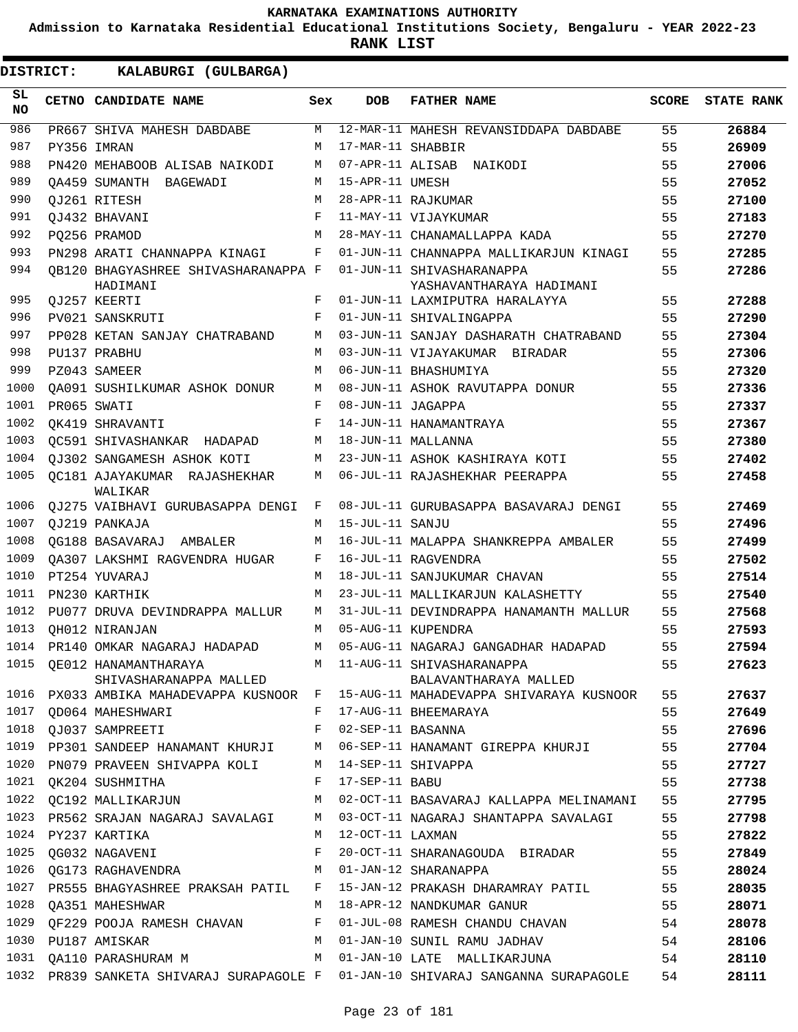**Admission to Karnataka Residential Educational Institutions Society, Bengaluru - YEAR 2022-23**

**RANK LIST**

| SL<br>NO. | CETNO CANDIDATE NAME                                  | Sex        | <b>DOB</b>        | <b>FATHER NAME</b>                                                                                    | SCORE | <b>STATE RANK</b> |
|-----------|-------------------------------------------------------|------------|-------------------|-------------------------------------------------------------------------------------------------------|-------|-------------------|
| 986       | PR667 SHIVA MAHESH DABDABE                            | M          |                   | 12-MAR-11 MAHESH REVANSIDDAPA DABDABE                                                                 | 55    | 26884             |
| 987       | PY356 IMRAN                                           | M          | 17-MAR-11 SHABBIR |                                                                                                       | 55    | 26909             |
| 988       | PN420 MEHABOOB ALISAB NAIKODI                         | М          |                   | 07-APR-11 ALISAB NAIKODI                                                                              | 55    | 27006             |
| 989       | OA459 SUMANTH BAGEWADI                                | М          | 15-APR-11 UMESH   |                                                                                                       | 55    | 27052             |
| 990       | QJ261 RITESH                                          | M          |                   | 28-APR-11 RAJKUMAR                                                                                    | 55    | 27100             |
| 991       | OJ432 BHAVANI                                         | $_{\rm F}$ |                   | 11-MAY-11 VIJAYKUMAR                                                                                  | 55    | 27183             |
| 992       | PO256 PRAMOD                                          | M          |                   | 28-MAY-11 CHANAMALLAPPA KADA                                                                          | 55    | 27270             |
| 993       | PN298 ARATI CHANNAPPA KINAGI                          | F          |                   | 01-JUN-11 CHANNAPPA MALLIKARJUN KINAGI                                                                | 55    | 27285             |
| 994       | OB120 BHAGYASHREE SHIVASHARANAPPA F<br>HADIMANI       |            |                   | 01-JUN-11 SHIVASHARANAPPA<br>YASHAVANTHARAYA HADIMANI                                                 | 55    | 27286             |
| 995       | QJ257 KEERTI                                          | F          |                   | 01-JUN-11 LAXMIPUTRA HARALAYYA                                                                        | 55    | 27288             |
| 996       | PV021 SANSKRUTI                                       | F          |                   | 01-JUN-11 SHIVALINGAPPA                                                                               | 55    | 27290             |
| 997       | PP028 KETAN SANJAY CHATRABAND                         | M          |                   | 03-JUN-11 SANJAY DASHARATH CHATRABAND                                                                 | 55    | 27304             |
| 998       | PU137 PRABHU                                          | M          |                   | 03-JUN-11 VIJAYAKUMAR BIRADAR                                                                         | 55    | 27306             |
| 999       | PZ043 SAMEER                                          | M          |                   | 06-JUN-11 BHASHUMIYA                                                                                  | 55    | 27320             |
| 1000      | OA091 SUSHILKUMAR ASHOK DONUR                         | М          |                   | 08-JUN-11 ASHOK RAVUTAPPA DONUR                                                                       | 55    | 27336             |
| 1001      | PR065 SWATI                                           | F          | 08-JUN-11 JAGAPPA |                                                                                                       | 55    | 27337             |
| 1002      | OK419 SHRAVANTI                                       | F          |                   | 14-JUN-11 HANAMANTRAYA                                                                                | 55    | 27367             |
| 1003      | OC591 SHIVASHANKAR HADAPAD                            | М          |                   | 18-JUN-11 MALLANNA                                                                                    | 55    | 27380             |
| 1004      | QJ302 SANGAMESH ASHOK KOTI                            | М          |                   | 23-JUN-11 ASHOK KASHIRAYA KOTI                                                                        | 55    | 27402             |
| 1005      | OC181 AJAYAKUMAR RAJASHEKHAR<br>WALIKAR               | М          |                   | 06-JUL-11 RAJASHEKHAR PEERAPPA                                                                        | 55    | 27458             |
| 1006      | QJ275 VAIBHAVI GURUBASAPPA DENGI                      | F          |                   | 08-JUL-11 GURUBASAPPA BASAVARAJ DENGI                                                                 | 55    | 27469             |
| 1007      | OJ219 PANKAJA                                         | M          | 15-JUL-11 SANJU   |                                                                                                       | 55    | 27496             |
| 1008      | OG188 BASAVARAJ AMBALER                               | M          |                   | 16-JUL-11 MALAPPA SHANKREPPA AMBALER                                                                  | 55    | 27499             |
| 1009      | OA307 LAKSHMI RAGVENDRA HUGAR                         | F          |                   | 16-JUL-11 RAGVENDRA                                                                                   | 55    | 27502             |
| 1010      | PT254 YUVARAJ                                         | M          |                   | 18-JUL-11 SANJUKUMAR CHAVAN                                                                           | 55    | 27514             |
| 1011      | PN230 KARTHIK                                         | M          |                   | 23-JUL-11 MALLIKARJUN KALASHETTY                                                                      | 55    | 27540             |
| 1012      | PU077 DRUVA DEVINDRAPPA MALLUR                        | М          |                   | 31-JUL-11 DEVINDRAPPA HANAMANTH MALLUR                                                                | 55    | 27568             |
| 1013      | OH012 NIRANJAN                                        | M          |                   | 05-AUG-11 KUPENDRA                                                                                    | 55    | 27593             |
| 1014      | PR140 OMKAR NAGARAJ HADAPAD                           | M          |                   | 05-AUG-11 NAGARAJ GANGADHAR HADAPAD                                                                   | 55    | 27594             |
| 1015      | QE012 HANAMANTHARAYA<br>SHIVASHARANAPPA MALLED        |            |                   | M 11-AUG-11 SHIVASHARANAPPA<br>BALAVANTHARAYA MALLED                                                  | 55    | 27623             |
|           |                                                       |            |                   | 1016 PX033 AMBIKA MAHADEVAPPA KUSNOOR F 15-AUG-11 MAHADEVAPPA SHIVARAYA KUSNOOR 55                    |       | 27637             |
|           | 1017 QD064 MAHESHWARI F 17-AUG-11 BHEEMARAYA          |            |                   |                                                                                                       | 55    | 27649             |
|           | 1018 QJ037 SAMPREETI F 02-SEP-11 BASANNA              |            |                   |                                                                                                       | 55    | 27696             |
|           |                                                       |            |                   | 1019 PP301 SANDEEP HANAMANT KHURJI M 06-SEP-11 HANAMANT GIREPPA KHURJI 55                             |       | 27704             |
|           | 1020 PN079 PRAVEEN SHIVAPPA KOLI M 14-SEP-11 SHIVAPPA |            |                   |                                                                                                       |       | 27727             |
|           | 1021 QK204 SUSHMITHA F 17-SEP-11 BABU                 |            |                   | $\overline{55}$                                                                                       |       | 27738             |
|           |                                                       |            |                   | 1022 QC192 MALLIKARJUN M 02-OCT-11 BASAVARAJ KALLAPPA MELINAMANI 55                                   |       | 27795             |
|           |                                                       |            |                   | 1023 PR562 SRAJAN NAGARAJ SAVALAGI M 03-OCT-11 NAGARAJ SHANTAPPA SAVALAGI 55                          |       | 27798             |
|           | 1024 PY237 KARTIKA                                    |            |                   | M 12-OCT-11 LAXMAN                                                                                    | 55    | 27822             |
|           |                                                       |            |                   | 1025 QG032 NAGAVENI                                 F  20-OCT-11 SHARANAGOUDA BIRADAR              55 |       | 27849             |
|           | 1026 QG173 RAGHAVENDRA M 01-JAN-12 SHARANAPPA         |            |                   |                                                                                                       | 55    | 28024             |
|           |                                                       |            |                   | 1027 PR555 BHAGYASHREE PRAKSAH PATIL F 15-JAN-12 PRAKASH DHARAMRAY PATIL 55                           |       | 28035             |
|           |                                                       |            |                   |                                                                                                       |       | 28071             |
|           |                                                       |            |                   | 1029 QF229 POOJA RAMESH CHAVAN F 01-JUL-08 RAMESH CHANDU CHAVAN 54                                    |       | 28078             |
|           |                                                       |            |                   | 1030 PU187 AMISKAR M 01-JAN-10 SUNIL RAMU JADHAV                                                      | 54    | 28106             |
|           |                                                       |            |                   | 1031 QA110 PARASHURAM M M O1-JAN-10 LATE MALLIKARJUNA 54                                              |       | 28110             |
|           |                                                       |            |                   | 1032 PR839 SANKETA SHIVARAJ SURAPAGOLE F 01-JAN-10 SHIVARAJ SANGANNA SURAPAGOLE 54                    |       | 28111             |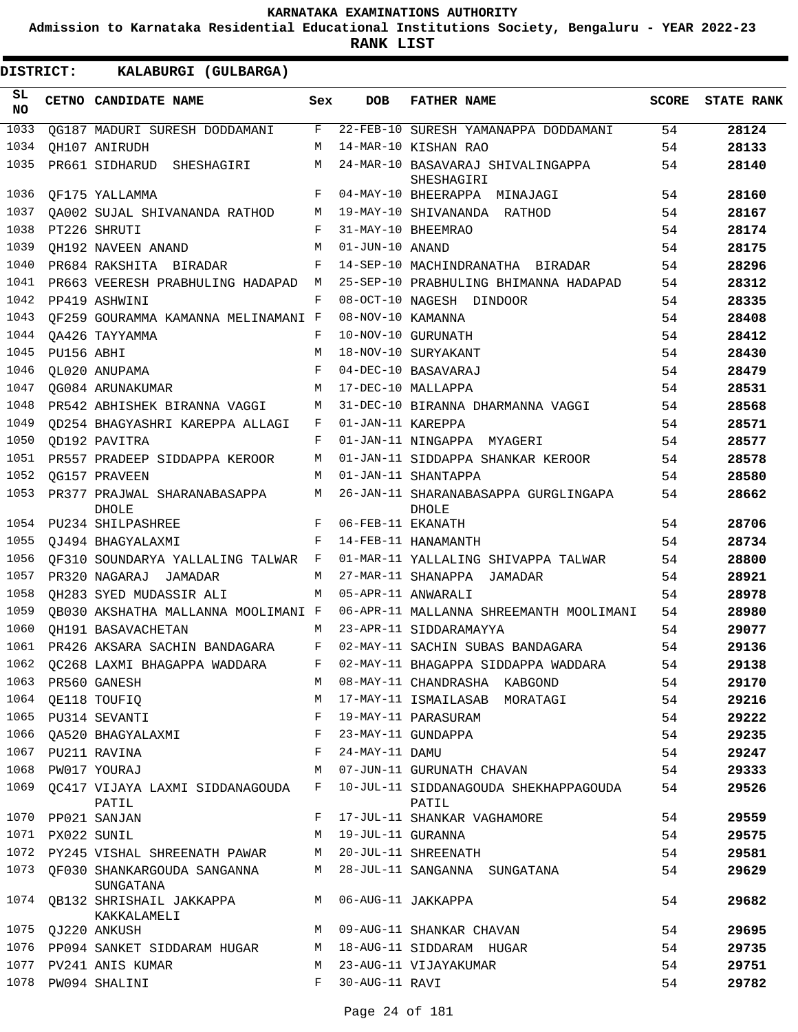**Admission to Karnataka Residential Educational Institutions Society, Bengaluru - YEAR 2022-23**

**RANK LIST**

| SL<br><b>NO</b> |                  | CETNO CANDIDATE NAME                                                            | Sex        | <b>DOB</b>        | <b>FATHER NAME</b>                                                           |    | SCORE STATE RANK |
|-----------------|------------------|---------------------------------------------------------------------------------|------------|-------------------|------------------------------------------------------------------------------|----|------------------|
| 1033            |                  | QG187 MADURI SURESH DODDAMANI F                                                 |            |                   | 22-FEB-10 SURESH YAMANAPPA DODDAMANI                                         | 54 | 28124            |
| 1034            |                  | OH107 ANIRUDH                                                                   | M          |                   | 14-MAR-10 KISHAN RAO                                                         | 54 | 28133            |
| 1035            |                  | PR661 SIDHARUD SHESHAGIRI                                                       | M          |                   | 24-MAR-10 BASAVARAJ SHIVALINGAPPA<br>SHESHAGIRI                              | 54 | 28140            |
| 1036            |                  | QF175 YALLAMMA                                                                  | F          |                   | 04-MAY-10 BHEERAPPA MINAJAGI                                                 | 54 | 28160            |
| 1037            |                  | OA002 SUJAL SHIVANANDA RATHOD                                                   | M          |                   | 19-MAY-10 SHIVANANDA RATHOD                                                  | 54 | 28167            |
| 1038            |                  | PT226 SHRUTI                                                                    | $_{\rm F}$ |                   | 31-MAY-10 BHEEMRAO                                                           | 54 | 28174            |
| 1039            |                  | OH192 NAVEEN ANAND                                                              | M          | 01-JUN-10 ANAND   |                                                                              | 54 | 28175            |
| 1040            |                  | PR684 RAKSHITA BIRADAR                                                          | F          |                   | 14-SEP-10 MACHINDRANATHA BIRADAR                                             | 54 | 28296            |
| 1041            |                  | PR663 VEERESH PRABHULING HADAPAD                                                | M          |                   | 25-SEP-10 PRABHULING BHIMANNA HADAPAD                                        | 54 | 28312            |
| 1042            |                  | PP419 ASHWINI                                                                   | F          |                   | 08-OCT-10 NAGESH DINDOOR                                                     | 54 | 28335            |
| 1043            |                  | QF259 GOURAMMA KAMANNA MELINAMANI F                                             |            | 08-NOV-10 KAMANNA |                                                                              | 54 | 28408            |
| 1044            |                  | OA426 TAYYAMMA                                                                  | F          |                   | 10-NOV-10 GURUNATH                                                           | 54 | 28412            |
| 1045            | PU156 ABHI       |                                                                                 | M          |                   | 18-NOV-10 SURYAKANT                                                          | 54 | 28430            |
| 1046            |                  | QL020 ANUPAMA                                                                   | F          |                   | 04-DEC-10 BASAVARAJ                                                          | 54 | 28479            |
| 1047            |                  | OG084 ARUNAKUMAR                                                                | M          |                   | 17-DEC-10 MALLAPPA                                                           | 54 | 28531            |
| 1048            |                  | PR542 ABHISHEK BIRANNA VAGGI                                                    | М          |                   | 31-DEC-10 BIRANNA DHARMANNA VAGGI                                            | 54 | 28568            |
| 1049            |                  | QD254 BHAGYASHRI KAREPPA ALLAGI                                                 | F          | 01-JAN-11 KAREPPA |                                                                              | 54 | 28571            |
| 1050            |                  | QD192 PAVITRA                                                                   | F          |                   | 01-JAN-11 NINGAPPA MYAGERI                                                   | 54 | 28577            |
| 1051            |                  | PR557 PRADEEP SIDDAPPA KEROOR                                                   | M          |                   | 01-JAN-11 SIDDAPPA SHANKAR KEROOR                                            | 54 | 28578            |
| 1052            |                  | OG157 PRAVEEN                                                                   | M          |                   | 01-JAN-11 SHANTAPPA                                                          | 54 | 28580            |
| 1053            |                  | PR377 PRAJWAL SHARANABASAPPA<br>DHOLE                                           | M          |                   | 26-JAN-11 SHARANABASAPPA GURGLINGAPA<br><b>DHOLE</b>                         | 54 | 28662            |
| 1054            |                  | PU234 SHILPASHREE                                                               | F          | 06-FEB-11 EKANATH |                                                                              | 54 | 28706            |
| 1055            |                  | OJ494 BHAGYALAXMI                                                               | F          |                   | 14-FEB-11 HANAMANTH                                                          | 54 | 28734            |
| 1056            |                  | OF310 SOUNDARYA YALLALING TALWAR F                                              |            |                   | 01-MAR-11 YALLALING SHIVAPPA TALWAR                                          | 54 | 28800            |
| 1057            |                  | PR320 NAGARAJ JAMADAR                                                           | M          |                   | 27-MAR-11 SHANAPPA JAMADAR                                                   | 54 | 28921            |
| 1058            |                  | OH283 SYED MUDASSIR ALI                                                         | M          |                   | 05-APR-11 ANWARALI                                                           | 54 | 28978            |
| 1059            |                  | OB030 AKSHATHA MALLANNA MOOLIMANI F                                             |            |                   | 06-APR-11 MALLANNA SHREEMANTH MOOLIMANI                                      | 54 | 28980            |
| 1060            |                  | OH191 BASAVACHETAN                                                              | M          |                   | 23-APR-11 SIDDARAMAYYA                                                       | 54 | 29077            |
| 1061            |                  | PR426 AKSARA SACHIN BANDAGARA F                                                 |            |                   | 02-MAY-11 SACHIN SUBAS BANDAGARA                                             | 54 | 29136            |
| 1062            |                  | OC268 LAXMI BHAGAPPA WADDARA                                                    | F          |                   | 02-MAY-11 BHAGAPPA SIDDAPPA WADDARA                                          | 54 | 29138            |
|                 |                  | 1063 PR560 GANESH                                                               | M          |                   | 08-MAY-11 CHANDRASHA KABGOND                                                 | 54 | 29170            |
|                 |                  | 1064 QE118 TOUFIQ                                                               | M          |                   | 17-MAY-11 ISMAILASAB MORATAGI                                                | 54 | 29216            |
|                 |                  | 1065 PU314 SEVANTI                                                              | F          |                   | 19-MAY-11 PARASURAM                                                          | 54 | 29222            |
| 1066            |                  | QA520 BHAGYALAXMI                                                               | F          |                   | 23-MAY-11 GUNDAPPA                                                           | 54 | 29235            |
|                 |                  | 1067 PU211 RAVINA                                                               | F          | 24-MAY-11 DAMU    |                                                                              | 54 | 29247            |
|                 |                  | 1068 PW017 YOURAJ                                                               | M          |                   | 07-JUN-11 GURUNATH CHAVAN                                                    | 54 | 29333            |
|                 |                  |                                                                                 |            |                   | 1069 QC417 VIJAYA LAXMI SIDDANAGOUDA F 10-JUL-11 SIDDANAGOUDA SHEKHAPPAGOUDA | 54 | 29526            |
|                 |                  | PATIL                                                                           |            |                   | PATIL                                                                        |    |                  |
|                 |                  | 1070 PP021 SANJAN                                                               | F          |                   | 17-JUL-11 SHANKAR VAGHAMORE                                                  | 54 | 29559            |
|                 | 1071 PX022 SUNIL |                                                                                 | M          | 19-JUL-11 GURANNA |                                                                              | 54 | 29575            |
|                 |                  | 1072 PY245 VISHAL SHREENATH PAWAR                                               |            |                   | M 20-JUL-11 SHREENATH                                                        | 54 | 29581            |
|                 |                  | 1073 QF030 SHANKARGOUDA SANGANNA MANA 28-JUL-11 SANGANNA SUNGATANA<br>SUNGATANA |            |                   |                                                                              | 54 | 29629            |
|                 |                  | 1074 QB132 SHRISHAIL JAKKAPPA<br>KAKKALAMELI                                    |            |                   | M 06-AUG-11 JAKKAPPA                                                         | 54 | 29682            |
| 1075            |                  | QJ220 ANKUSH                                                                    |            |                   | M 09-AUG-11 SHANKAR CHAVAN                                                   | 54 | 29695            |
|                 |                  | 1076 PP094 SANKET SIDDARAM HUGAR M 18-AUG-11 SIDDARAM HUGAR                     |            |                   |                                                                              | 54 | 29735            |
|                 |                  | 1077 PV241 ANIS KUMAR                                                           | M          |                   | 23-AUG-11 VIJAYAKUMAR                                                        | 54 | 29751            |
|                 |                  | 1078 PW094 SHALINI                                                              | F          | 30-AUG-11 RAVI    |                                                                              | 54 | 29782            |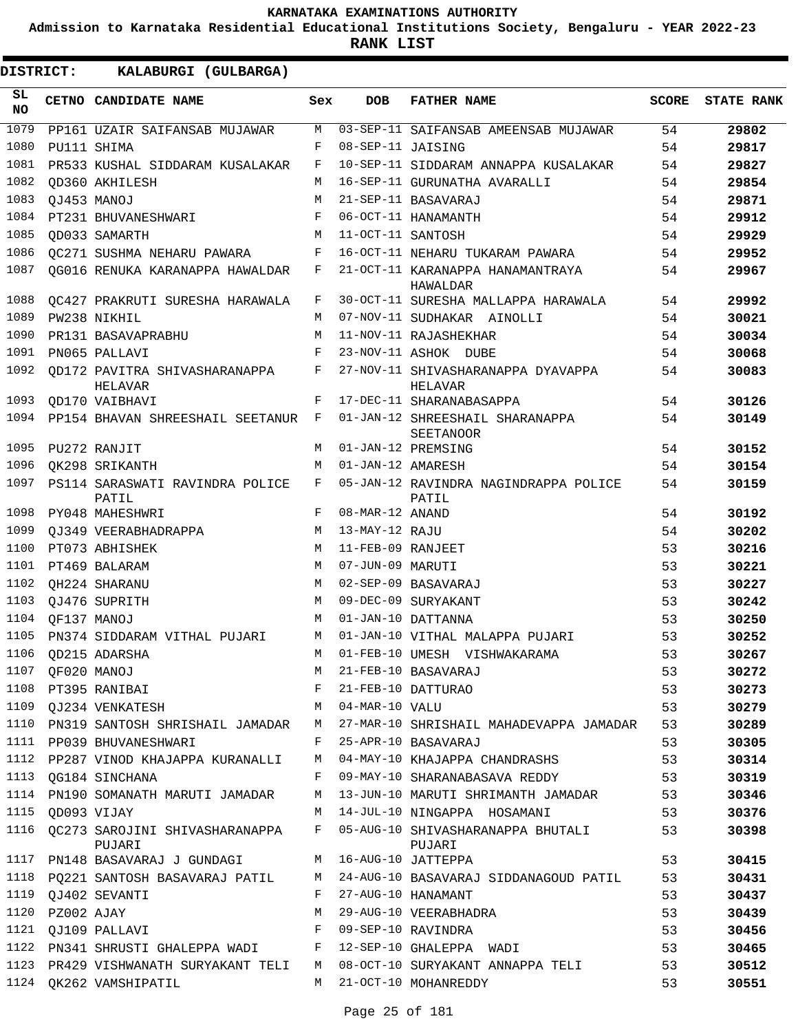**Admission to Karnataka Residential Educational Institutions Society, Bengaluru - YEAR 2022-23**

**RANK LIST**

| SL<br><b>NO</b> |            | CETNO CANDIDATE NAME                                 | Sex    | <b>DOB</b>        | <b>FATHER NAME</b>                                             | <b>SCORE</b> | <b>STATE RANK</b> |
|-----------------|------------|------------------------------------------------------|--------|-------------------|----------------------------------------------------------------|--------------|-------------------|
| 1079            |            | PP161 UZAIR SAIFANSAB MUJAWAR                        | M      |                   | 03-SEP-11 SAIFANSAB AMEENSAB MUJAWAR                           | 54           | 29802             |
| 1080            |            | PU111 SHIMA                                          | F      | 08-SEP-11 JAISING |                                                                | 54           | 29817             |
| 1081            |            | PR533 KUSHAL SIDDARAM KUSALAKAR                      | F      |                   | 10-SEP-11 SIDDARAM ANNAPPA KUSALAKAR                           | 54           | 29827             |
| 1082            |            | OD360 AKHILESH                                       | М      |                   | 16-SEP-11 GURUNATHA AVARALLI                                   | 54           | 29854             |
| 1083            |            | OJ453 MANOJ                                          | М      |                   | 21-SEP-11 BASAVARAJ                                            | 54           | 29871             |
| 1084            |            | PT231 BHUVANESHWARI                                  | F      |                   | 06-OCT-11 HANAMANTH                                            | 54           | 29912             |
| 1085            |            | OD033 SAMARTH                                        | M      | 11-OCT-11 SANTOSH |                                                                | 54           | 29929             |
| 1086            |            | OC271 SUSHMA NEHARU PAWARA                           | F      |                   | 16-OCT-11 NEHARU TUKARAM PAWARA                                | 54           | 29952             |
| 1087            |            | OG016 RENUKA KARANAPPA HAWALDAR                      | F      |                   | 21-OCT-11 KARANAPPA HANAMANTRAYA<br>HAWALDAR                   | 54           | 29967             |
| 1088            |            | OC427 PRAKRUTI SURESHA HARAWALA                      | F      |                   | 30-OCT-11 SURESHA MALLAPPA HARAWALA                            | 54           | 29992             |
| 1089            |            | PW238 NIKHIL                                         | М      |                   | 07-NOV-11 SUDHAKAR AINOLLI                                     | 54           | 30021             |
| 1090            |            | PR131 BASAVAPRABHU                                   | М      |                   | 11-NOV-11 RAJASHEKHAR                                          | 54           | 30034             |
| 1091            |            | PN065 PALLAVI                                        | F      |                   | 23-NOV-11 ASHOK DUBE                                           | 54           | 30068             |
| 1092            |            | OD172 PAVITRA SHIVASHARANAPPA<br>HELAVAR             | F      |                   | 27-NOV-11 SHIVASHARANAPPA DYAVAPPA<br>HELAVAR                  | 54           | 30083             |
| 1093            |            | OD170 VAIBHAVI                                       | F      |                   | 17-DEC-11 SHARANABASAPPA                                       | 54           | 30126             |
| 1094            |            | PP154 BHAVAN SHREESHAIL SEETANUR F                   |        |                   | 01-JAN-12 SHREESHAIL SHARANAPPA<br>SEETANOOR                   | 54           | 30149             |
| 1095            |            | PU272 RANJIT                                         | M      |                   | 01-JAN-12 PREMSING                                             | 54           | 30152             |
| 1096            |            | OK298 SRIKANTH                                       | М      | 01-JAN-12 AMARESH |                                                                | 54           | 30154             |
| 1097            |            | PS114 SARASWATI RAVINDRA POLICE<br>PATIL             | F      |                   | 05-JAN-12 RAVINDRA NAGINDRAPPA POLICE<br>PATIL                 | 54           | 30159             |
| 1098            |            | PY048 MAHESHWRI                                      | F      | 08-MAR-12 ANAND   |                                                                | 54           | 30192             |
| 1099            |            | OJ349 VEERABHADRAPPA                                 | М      | 13-MAY-12 RAJU    |                                                                | 54           | 30202             |
| 1100            |            | PT073 ABHISHEK                                       | M      | 11-FEB-09 RANJEET |                                                                | 53           | 30216             |
| 1101            |            | PT469 BALARAM                                        | M      | 07-JUN-09 MARUTI  |                                                                | 53           | 30221             |
| 1102            |            | OH224 SHARANU                                        | М      |                   | 02-SEP-09 BASAVARAJ                                            | 53           | 30227             |
| 1103            |            | OJ476 SUPRITH                                        | M      |                   | 09-DEC-09 SURYAKANT                                            | 53           | 30242             |
| 1104            |            | OF137 MANOJ                                          | M      |                   | 01-JAN-10 DATTANNA                                             | 53           | 30250             |
| 1105            |            | PN374 SIDDARAM VITHAL PUJARI                         | M      |                   | 01-JAN-10 VITHAL MALAPPA PUJARI                                | 53           | 30252             |
| 1106            |            | OD215 ADARSHA                                        | М      |                   | 01-FEB-10 UMESH VISHWAKARAMA                                   | 53           | 30267             |
| 1107            |            | QF020 MANOJ                                          | М      |                   | 21-FEB-10 BASAVARAJ                                            | 53           | 30272             |
|                 |            | 1108 PT395 RANIBAI                                   | F      |                   | 21-FEB-10 DATTURAO                                             | 53           | 30273             |
|                 |            | 1109 QJ234 VENKATESH                                 | М      | 04-MAR-10 VALU    |                                                                | 53           | 30279             |
|                 |            | 1110 PN319 SANTOSH SHRISHAIL JAMADAR                 | M      |                   | 27-MAR-10 SHRISHAIL MAHADEVAPPA JAMADAR                        | 53           | 30289             |
|                 |            | 1111 PP039 BHUVANESHWARI                             | F      |                   | 25-APR-10 BASAVARAJ                                            | 53           | 30305             |
|                 |            | 1112 PP287 VINOD KHAJAPPA KURANALLI                  | M<br>F |                   | 04-MAY-10 KHAJAPPA CHANDRASHS<br>09-MAY-10 SHARANABASAVA REDDY | 53           | 30314             |
| 1114            |            | 1113 QG184 SINCHANA<br>PN190 SOMANATH MARUTI JAMADAR | М      |                   | 13-JUN-10 MARUTI SHRIMANTH JAMADAR                             | 53<br>53     | 30319<br>30346    |
| 1115            |            | OD093 VIJAY                                          | M      |                   | 14-JUL-10 NINGAPPA HOSAMANI                                    | 53           | 30376             |
|                 |            | 1116 QC273 SAROJINI SHIVASHARANAPPA F<br>PUJARI      |        |                   | 05-AUG-10 SHIVASHARANAPPA BHUTALI                              | 53           | 30398             |
|                 |            | 1117 PN148 BASAVARAJ J GUNDAGI                       |        |                   | PUJARI<br>M 16-AUG-10 JATTEPPA                                 | 53           | 30415             |
|                 |            | 1118 PQ221 SANTOSH BASAVARAJ PATIL                   |        |                   | M 24-AUG-10 BASAVARAJ SIDDANAGOUD PATIL                        | 53           | 30431             |
| 1119            |            | OJ402 SEVANTI                                        | F      |                   | 27-AUG-10 HANAMANT                                             | 53           | 30437             |
| 1120            | PZ002 AJAY |                                                      | М      |                   | 29-AUG-10 VEERABHADRA                                          | 53           | 30439             |
| 1121            |            | QJ109 PALLAVI                                        | F      |                   | 09-SEP-10 RAVINDRA                                             | 53           | 30456             |
|                 |            | 1122 PN341 SHRUSTI GHALEPPA WADI F                   |        |                   | 12-SEP-10 GHALEPPA WADI                                        | 53           | 30465             |
|                 |            | 1123 PR429 VISHWANATH SURYAKANT TELI                 |        |                   | M 08-OCT-10 SURYAKANT ANNAPPA TELI                             | 53           | 30512             |
|                 |            | 1124 QK262 VAMSHIPATIL                               |        |                   | M 21-OCT-10 MOHANREDDY                                         | 53           | 30551             |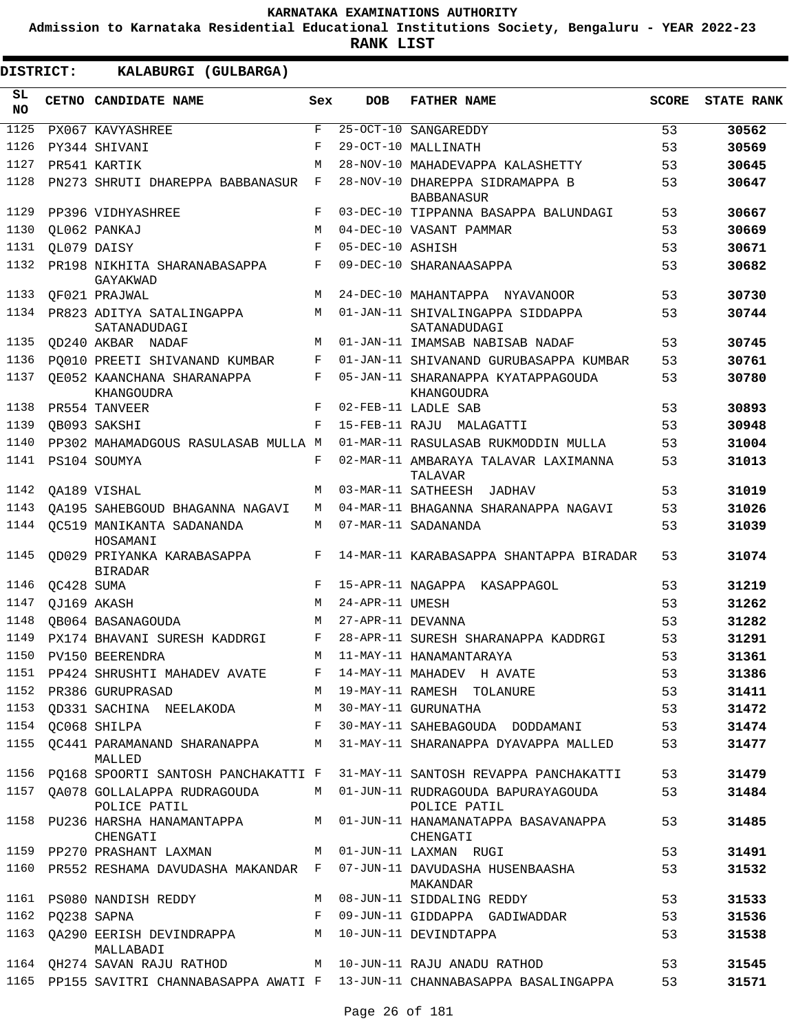**Admission to Karnataka Residential Educational Institutions Society, Bengaluru - YEAR 2022-23**

**RANK LIST**

| SL<br><b>NO</b> |                  | CETNO CANDIDATE NAME                             | Sex          | <b>DOB</b>        | <b>FATHER NAME</b>                                                            | <b>SCORE</b> | <b>STATE RANK</b> |
|-----------------|------------------|--------------------------------------------------|--------------|-------------------|-------------------------------------------------------------------------------|--------------|-------------------|
| 1125            |                  | PX067 KAVYASHREE                                 | $\mathbf{F}$ |                   | 25-OCT-10 SANGAREDDY                                                          | 53           | 30562             |
| 1126            |                  | PY344 SHIVANI                                    | F            |                   | 29-OCT-10 MALLINATH                                                           | 53           | 30569             |
| 1127            |                  | PR541 KARTIK                                     | M            |                   | 28-NOV-10 MAHADEVAPPA KALASHETTY                                              | 53           | 30645             |
| 1128            |                  | PN273 SHRUTI DHAREPPA BABBANASUR                 | F            |                   | 28-NOV-10 DHAREPPA SIDRAMAPPA B<br><b>BABBANASUR</b>                          | 53           | 30647             |
| 1129            |                  | PP396 VIDHYASHREE                                | F            |                   | 03-DEC-10 TIPPANNA BASAPPA BALUNDAGI                                          | 53           | 30667             |
| 1130            |                  | OL062 PANKAJ                                     | M            |                   | 04-DEC-10 VASANT PAMMAR                                                       | 53           | 30669             |
| 1131            |                  | QL079 DAISY                                      | F            | 05-DEC-10 ASHISH  |                                                                               | 53           | 30671             |
| 1132            |                  | PR198 NIKHITA SHARANABASAPPA<br>GAYAKWAD         | F            |                   | 09-DEC-10 SHARANAASAPPA                                                       | 53           | 30682             |
| 1133            |                  | OF021 PRAJWAL                                    | M            |                   | 24-DEC-10 MAHANTAPPA NYAVANOOR                                                | 53           | 30730             |
| 1134            |                  | PR823 ADITYA SATALINGAPPA<br>SATANADUDAGI        | M            |                   | 01-JAN-11 SHIVALINGAPPA SIDDAPPA<br>SATANADUDAGI                              | 53           | 30744             |
| 1135            |                  | OD240 AKBAR NADAF                                | М            |                   | 01-JAN-11 IMAMSAB NABISAB NADAF                                               | 53           | 30745             |
| 1136            |                  | PO010 PREETI SHIVANAND KUMBAR                    | F            |                   | 01-JAN-11 SHIVANAND GURUBASAPPA KUMBAR                                        | 53           | 30761             |
| 1137            |                  | OE052 KAANCHANA SHARANAPPA<br>KHANGOUDRA         | F            |                   | 05-JAN-11 SHARANAPPA KYATAPPAGOUDA<br>KHANGOUDRA                              | 53           | 30780             |
| 1138            |                  | PR554 TANVEER                                    | F            |                   | 02-FEB-11 LADLE SAB                                                           | 53           | 30893             |
| 1139            |                  | OB093 SAKSHI                                     | F            |                   | 15-FEB-11 RAJU MALAGATTI                                                      | 53           | 30948             |
| 1140            |                  | PP302 MAHAMADGOUS RASULASAB MULLA M              |              |                   | 01-MAR-11 RASULASAB RUKMODDIN MULLA                                           | 53           | 31004             |
| 1141            |                  | PS104 SOUMYA                                     | F            |                   | 02-MAR-11 AMBARAYA TALAVAR LAXIMANNA<br>TALAVAR                               | 53           | 31013             |
| 1142            |                  | OA189 VISHAL                                     | M            |                   | 03-MAR-11 SATHEESH<br>JADHAV                                                  | 53           | 31019             |
| 1143            |                  | OA195 SAHEBGOUD BHAGANNA NAGAVI                  | M            |                   | 04-MAR-11 BHAGANNA SHARANAPPA NAGAVI                                          | 53           | 31026             |
| 1144            |                  | OC519 MANIKANTA SADANANDA<br>HOSAMANI            | M            |                   | 07-MAR-11 SADANANDA                                                           | 53           | 31039             |
| 1145            |                  | OD029 PRIYANKA KARABASAPPA<br><b>BIRADAR</b>     | F            |                   | 14-MAR-11 KARABASAPPA SHANTAPPA BIRADAR                                       | 53           | 31074             |
| 1146            | QC428 SUMA       |                                                  | F            |                   | 15-APR-11 NAGAPPA KASAPPAGOL                                                  | 53           | 31219             |
| 1147            |                  | OJ169 AKASH                                      | M            | 24-APR-11 UMESH   |                                                                               | 53           | 31262             |
| 1148            |                  | OB064 BASANAGOUDA                                | M            | 27-APR-11 DEVANNA |                                                                               | 53           | 31282             |
| 1149            |                  | PX174 BHAVANI SURESH KADDRGI                     | F            |                   | 28-APR-11 SURESH SHARANAPPA KADDRGI                                           | 53           | 31291             |
| 1150            |                  | <b>PV150 BEERENDRA</b>                           | М            |                   | 11-MAY-11 HANAMANTARAYA                                                       | 53           | 31361             |
|                 |                  | 1151 PP424 SHRUSHTI MAHADEV AVATE                | F            |                   | 14-MAY-11 MAHADEV H AVATE                                                     | 53           | 31386             |
|                 |                  | 1152 PR386 GURUPRASAD                            | M            |                   | 19-MAY-11 RAMESH TOLANURE                                                     | 53           | 31411             |
| 1153            |                  | QD331 SACHINA NEELAKODA                          | M            |                   | 30-MAY-11 GURUNATHA                                                           | 53           | 31472             |
| 1154            |                  | OC068 SHILPA                                     | F            |                   | 30-MAY-11 SAHEBAGOUDA DODDAMANI                                               | 53           | 31474             |
|                 |                  | 1155 QC441 PARAMANAND SHARANAPPA<br>MALLED       | M            |                   | 31-MAY-11 SHARANAPPA DYAVAPPA MALLED                                          | 53           | 31477             |
|                 |                  | 1156 PQ168 SPOORTI SANTOSH PANCHAKATTI F         |              |                   | 31-MAY-11 SANTOSH REVAPPA PANCHAKATTI                                         | 53           | 31479             |
|                 |                  | 1157 QA078 GOLLALAPPA RUDRAGOUDA<br>POLICE PATIL |              |                   | M 01-JUN-11 RUDRAGOUDA BAPURAYAGOUDA<br>POLICE PATIL                          | 53           | 31484             |
|                 |                  | 1158 PU236 HARSHA HANAMANTAPPA<br>CHENGATI       | M            |                   | 01-JUN-11 HANAMANATAPPA BASAVANAPPA<br>CHENGATI                               | 53           | 31485             |
|                 |                  | 1159 PP270 PRASHANT LAXMAN                       | M            |                   | 01-JUN-11 LAXMAN RUGI                                                         | 53           | 31491             |
|                 |                  | 1160 PR552 RESHAMA DAVUDASHA MAKANDAR F          |              |                   | 07-JUN-11 DAVUDASHA HUSENBAASHA<br>MAKANDAR                                   | 53           | 31532             |
|                 |                  | 1161 PS080 NANDISH REDDY                         | M            |                   | 08-JUN-11 SIDDALING REDDY                                                     | 53           | 31533             |
|                 | 1162 PQ238 SAPNA |                                                  | F            |                   | 09-JUN-11 GIDDAPPA GADIWADDAR                                                 | 53           | 31536             |
| 1163            |                  | QA290 EERISH DEVINDRAPPA M<br>MALLABADI          |              |                   | 10-JUN-11 DEVINDTAPPA                                                         | 53           | 31538             |
|                 |                  |                                                  |              |                   | 1164 QH274 SAVAN RAJU RATHOD M 10-JUN-11 RAJU ANADU RATHOD                    | 53           | 31545             |
|                 |                  |                                                  |              |                   | 1165 PP155 SAVITRI CHANNABASAPPA AWATI F 13-JUN-11 CHANNABASAPPA BASALINGAPPA | 53           | 31571             |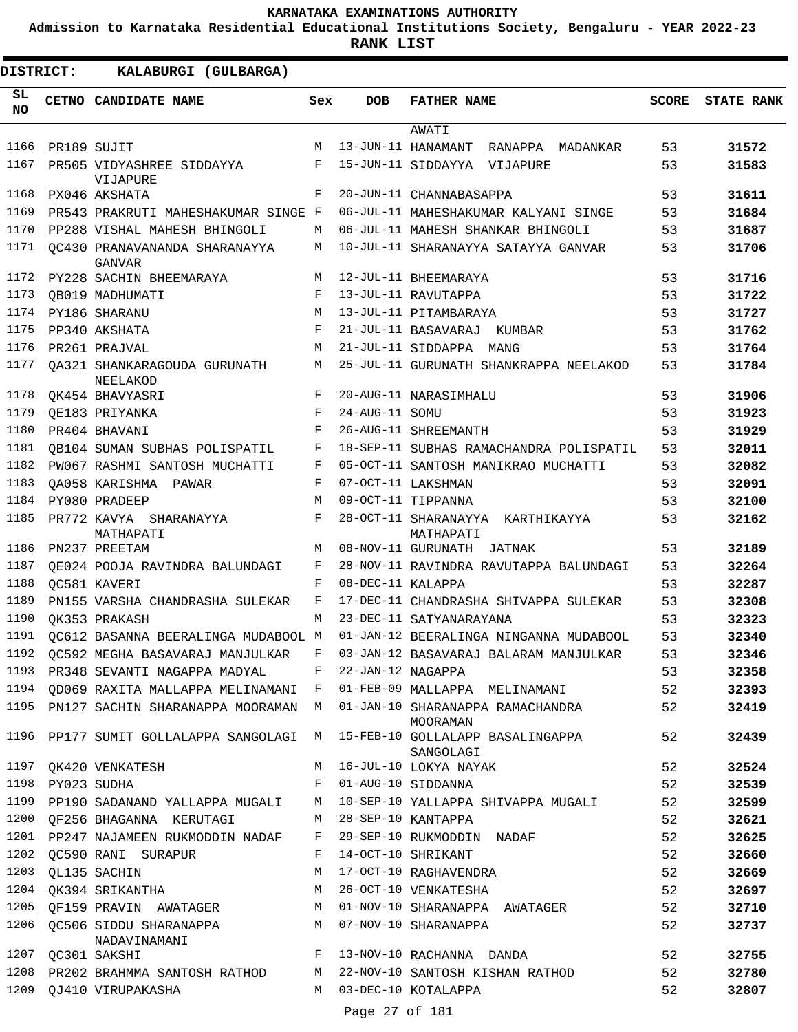**Admission to Karnataka Residential Educational Institutions Society, Bengaluru - YEAR 2022-23**

| DISTRICT:        |                  | KALABURGI (GULBARGA)                                            |              |                   |                                                                                       |              |                   |
|------------------|------------------|-----------------------------------------------------------------|--------------|-------------------|---------------------------------------------------------------------------------------|--------------|-------------------|
| SL.<br><b>NO</b> |                  | CETNO CANDIDATE NAME                                            | Sex          | <b>DOB</b>        | <b>FATHER NAME</b>                                                                    | <b>SCORE</b> | <b>STATE RANK</b> |
|                  |                  |                                                                 |              |                   | AWATI                                                                                 |              |                   |
| 1166             |                  | PR189 SUJIT                                                     | M            |                   | 13-JUN-11 HANAMANT<br>RANAPPA MADANKAR                                                | 53           | 31572             |
| 1167             |                  | PR505 VIDYASHREE SIDDAYYA<br>VIJAPURE                           | F            |                   | 15-JUN-11 SIDDAYYA VIJAPURE                                                           | 53           | 31583             |
| 1168             |                  | PX046 AKSHATA                                                   | F            |                   | 20-JUN-11 CHANNABASAPPA                                                               | 53           | 31611             |
| 1169             |                  | PR543 PRAKRUTI MAHESHAKUMAR SINGE F                             |              |                   | 06-JUL-11 MAHESHAKUMAR KALYANI SINGE                                                  | 53           | 31684             |
| 1170             |                  | PP288 VISHAL MAHESH BHINGOLI                                    | M            |                   | 06-JUL-11 MAHESH SHANKAR BHINGOLI                                                     | 53           | 31687             |
| 1171             |                  | OC430 PRANAVANANDA SHARANAYYA<br>GANVAR                         | M            |                   | 10-JUL-11 SHARANAYYA SATAYYA GANVAR                                                   | 53           | 31706             |
| 1172             |                  | PY228 SACHIN BHEEMARAYA                                         | M            |                   | 12-JUL-11 BHEEMARAYA                                                                  | 53           | 31716             |
| 1173             |                  | OB019 MADHUMATI                                                 | $_{\rm F}$   |                   | 13-JUL-11 RAVUTAPPA                                                                   | 53           | 31722             |
| 1174             |                  | PY186 SHARANU                                                   | M            |                   | 13-JUL-11 PITAMBARAYA                                                                 | 53           | 31727             |
| 1175             |                  | PP340 AKSHATA                                                   | $_{\rm F}$   |                   | 21-JUL-11 BASAVARAJ KUMBAR                                                            | 53           | 31762             |
| 1176             |                  | PR261 PRAJVAL                                                   | M            |                   | 21-JUL-11 SIDDAPPA MANG                                                               | 53           | 31764             |
| 1177             |                  | OA321 SHANKARAGOUDA GURUNATH<br>NEELAKOD                        | M            |                   | 25-JUL-11 GURUNATH SHANKRAPPA NEELAKOD                                                | 53           | 31784             |
| 1178             |                  | OK454 BHAVYASRI                                                 | F            |                   | 20-AUG-11 NARASIMHALU                                                                 | 53           | 31906             |
| 1179             |                  | QE183 PRIYANKA                                                  | $_{\rm F}$   | 24-AUG-11 SOMU    |                                                                                       | 53           | 31923             |
| 1180             |                  | PR404 BHAVANI                                                   | F            |                   | 26-AUG-11 SHREEMANTH                                                                  | 53           | 31929             |
| 1181             |                  | OB104 SUMAN SUBHAS POLISPATIL                                   | F            |                   | 18-SEP-11 SUBHAS RAMACHANDRA POLISPATIL                                               | 53           | 32011             |
| 1182             |                  | PW067 RASHMI SANTOSH MUCHATTI                                   | F            |                   | 05-OCT-11 SANTOSH MANIKRAO MUCHATTI                                                   | 53           | 32082             |
| 1183             |                  | QA058 KARISHMA PAWAR                                            | F            |                   | 07-OCT-11 LAKSHMAN                                                                    | 53           | 32091             |
| 1184             |                  | PY080 PRADEEP                                                   | M            |                   | 09-OCT-11 TIPPANNA                                                                    | 53           | 32100             |
| 1185             |                  | PR772 KAVYA SHARANAYYA<br>MATHAPATI                             | F            |                   | 28-OCT-11 SHARANAYYA KARTHIKAYYA<br>MATHAPATI                                         | 53           | 32162             |
| 1186             |                  | PN237 PREETAM                                                   | M            |                   | 08-NOV-11 GURUNATH JATNAK                                                             | 53           | 32189             |
| 1187             |                  | OE024 POOJA RAVINDRA BALUNDAGI                                  | F            |                   | 28-NOV-11 RAVINDRA RAVUTAPPA BALUNDAGI                                                | 53           | 32264             |
| 1188             |                  | OC581 KAVERI                                                    | F            | 08-DEC-11 KALAPPA |                                                                                       | 53           | 32287             |
| 1189             |                  | PN155 VARSHA CHANDRASHA SULEKAR                                 | F            |                   | 17-DEC-11 CHANDRASHA SHIVAPPA SULEKAR                                                 | 53           | 32308             |
| 1190             |                  | OK353 PRAKASH                                                   | M            |                   | 23-DEC-11 SATYANARAYANA                                                               | 53           | 32323             |
| 1191             |                  | OC612 BASANNA BEERALINGA MUDABOOL M                             |              |                   | 01-JAN-12 BEERALINGA NINGANNA MUDABOOL                                                | 53           | 32340             |
| 1192             |                  | QC592 MEGHA BASAVARAJ MANJULKAR                                 | F            |                   | 03-JAN-12 BASAVARAJ BALARAM MANJULKAR                                                 | 53           | 32346             |
| 1193             |                  | PR348 SEVANTI NAGAPPA MADYAL                                    | F            | 22-JAN-12 NAGAPPA |                                                                                       | 53           | 32358             |
|                  |                  |                                                                 |              |                   | 1194 QD069 RAXITA MALLAPPA MELINAMANI F 01-FEB-09 MALLAPPA MELINAMANI                 | 52           | 32393             |
|                  |                  |                                                                 |              |                   | 1195 PN127 SACHIN SHARANAPPA MOORAMAN M 01-JAN-10 SHARANAPPA RAMACHANDRA<br>MOORAMAN  | 52           | 32419             |
|                  |                  |                                                                 |              |                   | 1196 PP177 SUMIT GOLLALAPPA SANGOLAGI M 15-FEB-10 GOLLALAPP BASALINGAPPA<br>SANGOLAGI | 52           | 32439             |
| 1197             |                  | QK420 VENKATESH                                                 | M            |                   | 16-JUL-10 LOKYA NAYAK                                                                 | 52           | 32524             |
|                  | 1198 PY023 SUDHA |                                                                 | F            |                   | 01-AUG-10 SIDDANNA                                                                    | 52           | 32539             |
| 1199             |                  |                                                                 |              |                   | PP190 SADANAND YALLAPPA MUGALI M 10-SEP-10 YALLAPPA SHIVAPPA MUGALI                   | 52           | 32599             |
| 1200             |                  | QF256 BHAGANNA KERUTAGI<br>$M_{\rm H}$ and $M_{\rm H}$          |              |                   | 28-SEP-10 KANTAPPA                                                                    | 52           | 32621             |
|                  |                  | 1201 PP247 NAJAMEEN RUKMODDIN NADAF F 29-SEP-10 RUKMODDIN NADAF |              |                   |                                                                                       | 52           | 32625             |
| 1202             |                  | QC590 RANI SURAPUR                                              | F            |                   | 14-OCT-10 SHRIKANT                                                                    | 52           | 32660             |
| 1203             |                  | QL135 SACHIN                                                    | M            |                   | 17-OCT-10 RAGHAVENDRA                                                                 | 52           | 32669             |
| 1204             |                  | QK394 SRIKANTHA                                                 | M            |                   | 26-OCT-10 VENKATESHA                                                                  | 52           | 32697             |
| 1205             |                  |                                                                 |              |                   | QF159 PRAVIN AWATAGER M 01-NOV-10 SHARANAPPA AWATAGER                                 | 52           | 32710             |
| 1206             |                  | QC506 SIDDU SHARANAPPA M 07-NOV-10 SHARANAPPA<br>NADAVINAMANI   |              |                   |                                                                                       | 52           | 32737             |
|                  |                  | 1207 QC301 SAKSHI                                               | $\mathbf{F}$ |                   | 13-NOV-10 RACHANNA DANDA                                                              | 52           | 32755             |
| 1208             |                  |                                                                 |              |                   | PR202 BRAHMMA SANTOSH RATHOD M 22-NOV-10 SANTOSH KISHAN RATHOD                        | 52           | 32780             |
| 1209             |                  | QJ410 VIRUPAKASHA                                               |              |                   | M 03-DEC-10 KOTALAPPA                                                                 | 52           | 32807             |
|                  |                  |                                                                 |              | Page 27 of 181    |                                                                                       |              |                   |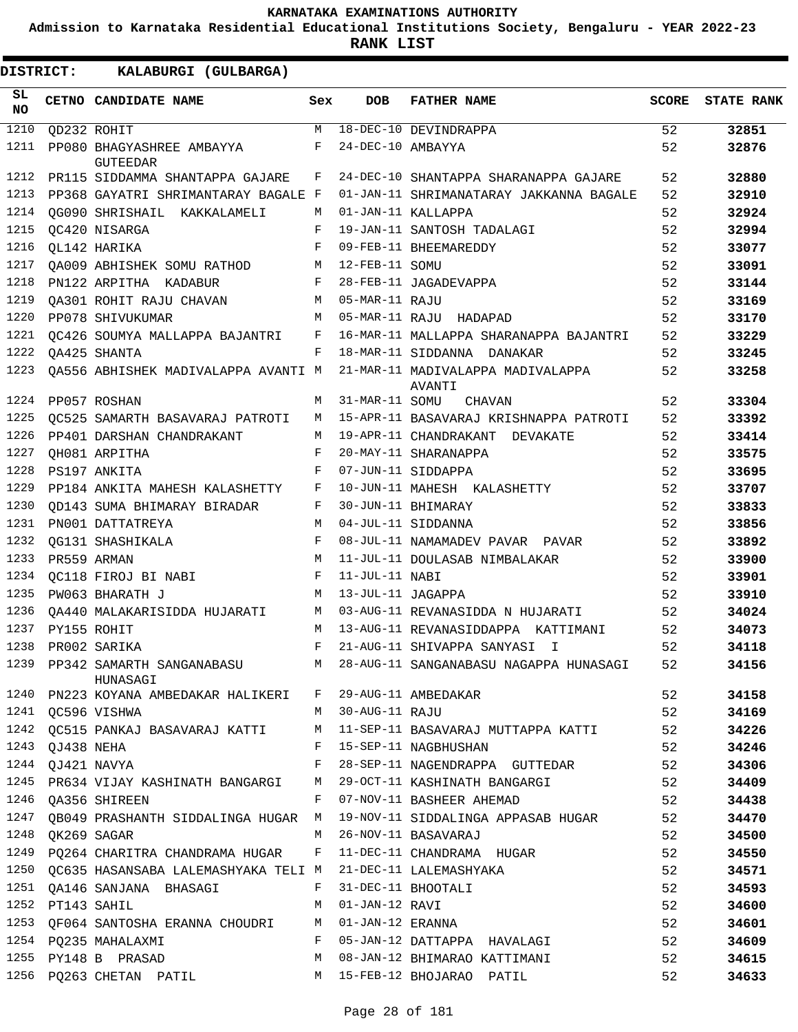**Admission to Karnataka Residential Educational Institutions Society, Bengaluru - YEAR 2022-23**

| <b>DISTRICT:</b> |  | KALABURGI (GULBARGA)                                       |              |                   |                                                                                     |       |                   |
|------------------|--|------------------------------------------------------------|--------------|-------------------|-------------------------------------------------------------------------------------|-------|-------------------|
| SL<br>NO.        |  | CETNO CANDIDATE NAME                                       | Sex          | <b>DOB</b>        | <b>FATHER NAME</b>                                                                  | SCORE | <b>STATE RANK</b> |
| 1210             |  | QD232 ROHIT                                                | M            |                   | 18-DEC-10 DEVINDRAPPA                                                               | 52    | 32851             |
| 1211             |  | PP080 BHAGYASHREE AMBAYYA<br><b>GUTEEDAR</b>               | F            | 24-DEC-10 AMBAYYA |                                                                                     | 52    | 32876             |
| 1212             |  | PR115 SIDDAMMA SHANTAPPA GAJARE                            | F            |                   | 24-DEC-10 SHANTAPPA SHARANAPPA GAJARE                                               | 52    | 32880             |
| 1213             |  | PP368 GAYATRI SHRIMANTARAY BAGALE F                        |              |                   | 01-JAN-11 SHRIMANATARAY JAKKANNA BAGALE                                             | 52    | 32910             |
| 1214             |  | OG090 SHRISHAIL KAKKALAMELI                                | M            |                   | 01-JAN-11 KALLAPPA                                                                  | 52    | 32924             |
| 1215             |  | OC420 NISARGA                                              | F            |                   | 19-JAN-11 SANTOSH TADALAGI                                                          | 52    | 32994             |
| 1216             |  | OL142 HARIKA                                               | F            |                   | 09-FEB-11 BHEEMAREDDY                                                               | 52    | 33077             |
| 1217             |  | QA009 ABHISHEK SOMU RATHOD                                 | M            | 12-FEB-11 SOMU    |                                                                                     | 52    | 33091             |
| 1218             |  | PN122 ARPITHA KADABUR                                      | F            |                   | 28-FEB-11 JAGADEVAPPA                                                               | 52    | 33144             |
| 1219             |  | OA301 ROHIT RAJU CHAVAN                                    | M            | 05-MAR-11 RAJU    |                                                                                     | 52    | 33169             |
| 1220             |  | PP078 SHIVUKUMAR                                           | M            |                   | 05-MAR-11 RAJU HADAPAD                                                              | 52    | 33170             |
| 1221             |  | OC426 SOUMYA MALLAPPA BAJANTRI<br>$\mathbf{F}$             |              |                   | 16-MAR-11 MALLAPPA SHARANAPPA BAJANTRI                                              | 52    | 33229             |
| 1222             |  | OA425 SHANTA                                               | F            |                   | 18-MAR-11 SIDDANNA DANAKAR                                                          | 52    | 33245             |
| 1223             |  |                                                            |              |                   | QA556 ABHISHEK MADIVALAPPA AVANTI Ma $11$ -MAR-11 MADIVALAPPA MADIVALAPPA<br>AVANTI | 52    | 33258             |
| 1224             |  | PP057 ROSHAN                                               | M            | 31-MAR-11 SOMU    | CHAVAN                                                                              | 52    | 33304             |
| 1225             |  | OC525 SAMARTH BASAVARAJ PATROTI                            | M            |                   | 15-APR-11 BASAVARAJ KRISHNAPPA PATROTI                                              | 52    | 33392             |
| 1226             |  | PP401 DARSHAN CHANDRAKANT                                  | M            |                   | 19-APR-11 CHANDRAKANT DEVAKATE                                                      | 52    | 33414             |
| 1227             |  | QH081 ARPITHA                                              | F            |                   | 20-MAY-11 SHARANAPPA                                                                | 52    | 33575             |
| 1228             |  | PS197 ANKITA                                               | F            |                   | 07-JUN-11 SIDDAPPA                                                                  | 52    | 33695             |
| 1229             |  | PP184 ANKITA MAHESH KALASHETTY                             | F            |                   | 10-JUN-11 MAHESH KALASHETTY                                                         | 52    | 33707             |
| 1230             |  | OD143 SUMA BHIMARAY BIRADAR                                | F            |                   | 30-JUN-11 BHIMARAY                                                                  | 52    | 33833             |
| 1231             |  | PN001 DATTATREYA                                           | M            |                   | 04-JUL-11 SIDDANNA                                                                  | 52    | 33856             |
| 1232             |  | OG131 SHASHIKALA                                           | F            |                   | 08-JUL-11 NAMAMADEV PAVAR PAVAR                                                     | 52    | 33892             |
| 1233             |  | PR559 ARMAN                                                | M            |                   | 11-JUL-11 DOULASAB NIMBALAKAR                                                       | 52    | 33900             |
| 1234             |  | QC118 FIROJ BI NABI                                        | $\mathbf{F}$ | 11-JUL-11 NABI    |                                                                                     | 52    | 33901             |
| 1235             |  | PW063 BHARATH J                                            | M            | 13-JUL-11 JAGAPPA |                                                                                     | 52    | 33910             |
| 1236             |  | QA440 MALAKARISIDDA HUJARATI                               | M            |                   | 03-AUG-11 REVANASIDDA N HUJARATI                                                    | 52    | 34024             |
| 1237             |  | PY155 ROHIT                                                | M            |                   | 13-AUG-11 REVANASIDDAPPA KATTIMANI                                                  | 52    | 34073             |
| 1238             |  | PR002 SARIKA                                               |              |                   | F 21-AUG-11 SHIVAPPA SANYASI I                                                      | 52    | 34118             |
|                  |  | HUNASAGI                                                   |              |                   | 1239 PP342 SAMARTH SANGANABASU M 28-AUG-11 SANGANABASU NAGAPPA HUNASAGI 52          |       | 34156             |
|                  |  | 1240 PN223 KOYANA AMBEDAKAR HALIKERI F 29-AUG-11 AMBEDAKAR |              |                   |                                                                                     | 52    | 34158             |
|                  |  | 1241 QC596 VISHWA                                          |              | M 30-AUG-11 RAJU  |                                                                                     | 52    | 34169             |
|                  |  |                                                            |              |                   | 1242 QC515 PANKAJ BASAVARAJ KATTI MATI-SEP-11 BASAVARAJ MUTTAPPA KATTI 52           |       | 34226             |
|                  |  | 1243 QJ438 NEHA                                            |              |                   | F 15-SEP-11 NAGBHUSHAN<br>52                                                        |       | 34246             |
|                  |  | 1244 QJ421 NAVYA                                           |              |                   | F 28-SEP-11 NAGENDRAPPA GUTTEDAR 52                                                 |       | 34306             |
|                  |  |                                                            |              |                   | 1245 PR634 VIJAY KASHINATH BANGARGI M 29-OCT-11 KASHINATH BANGARGI 52               |       | 34409             |
|                  |  | 1246 QA356 SHIREEN                                         |              |                   | F 07-NOV-11 BASHEER AHEMAD 52                                                       |       | 34438             |
|                  |  |                                                            |              |                   | 1247 QB049 PRASHANTH SIDDALINGA HUGAR M 19-NOV-11 SIDDALINGA APPASAB HUGAR 52       |       | 34470             |
|                  |  | 1248 QK269 SAGAR                                           |              |                   | M 26-NOV-11 BASAVARAJ                                                               | 52    | 34500             |
|                  |  |                                                            |              |                   | 1249 PQ264 CHARITRA CHANDRAMA HUGAR F 11-DEC-11 CHANDRAMA HUGAR                     | 52    | 34550             |
|                  |  |                                                            |              |                   | 1250 QC635 HASANSABA LALEMASHYAKA TELI M 21-DEC-11 LALEMASHYAKA                     | 52    | 34571             |
|                  |  | 1251 QA146 SANJANA BHASAGI F 31-DEC-11 BHOOTALI            |              |                   |                                                                                     | 52    | 34593             |
|                  |  | M 01-JAN-12 RAVI<br>1252 PT143 SAHIL                       |              |                   |                                                                                     | 52    | 34600             |
|                  |  | 1253 QF064 SANTOSHA ERANNA CHOUDRI M 01-JAN-12 ERANNA      |              |                   |                                                                                     | 52    | 34601             |
|                  |  |                                                            |              |                   | 1254 PQ235 MAHALAXMI 6 F 05-JAN-12 DATTAPPA HAVALAGI                                | 52    | 34609             |
|                  |  |                                                            |              |                   | 1255 PY148 B PRASAD M 08-JAN-12 BHIMARAO KATTIMANI                                  | 52    | 34615             |
|                  |  | 1256 PQ263 CHETAN PATIL M 15-FEB-12 BHOJARAO PATIL         |              |                   |                                                                                     | 52    | 34633             |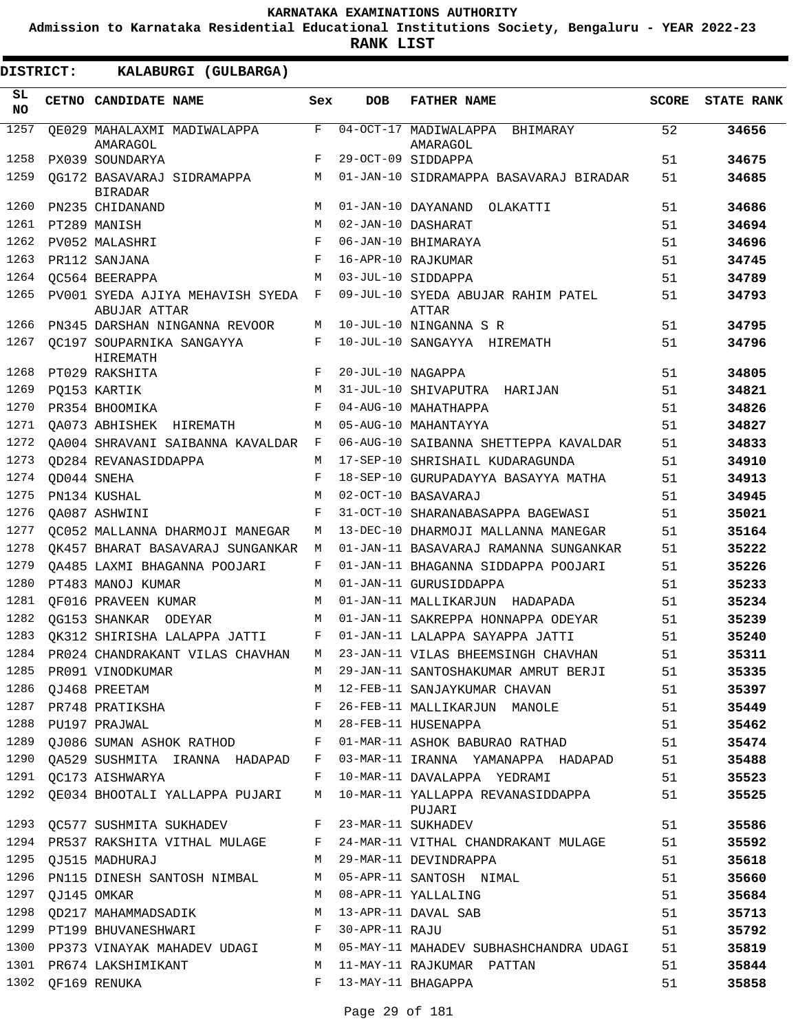**Admission to Karnataka Residential Educational Institutions Society, Bengaluru - YEAR 2022-23**

| <b>DISTRICT:</b> | KALABURGI (GULBARGA)                               |     |                   |                                               |              |                   |
|------------------|----------------------------------------------------|-----|-------------------|-----------------------------------------------|--------------|-------------------|
| SL.<br><b>NO</b> | <b>CETNO CANDIDATE NAME</b>                        | Sex | <b>DOB</b>        | <b>FATHER NAME</b>                            | <b>SCORE</b> | <b>STATE RANK</b> |
| 1257             | OE029 MAHALAXMI MADIWALAPPA<br>AMARAGOL            | F   |                   | 04-OCT-17 MADIWALAPPA<br>BHIMARAY<br>AMARAGOL | 52           | 34656             |
| 1258             | PX039 SOUNDARYA                                    | F   |                   | 29-OCT-09 SIDDAPPA                            | 51           | 34675             |
| 1259             | OG172 BASAVARAJ SIDRAMAPPA<br><b>BIRADAR</b>       | M   |                   | 01-JAN-10 SIDRAMAPPA BASAVARAJ BIRADAR        | 51           | 34685             |
| 1260             | PN235 CHIDANAND                                    | M   |                   | 01-JAN-10 DAYANAND<br>OLAKATTI                | 51           | 34686             |
| 1261             | PT289 MANISH                                       | M   |                   | 02-JAN-10 DASHARAT                            | 51           | 34694             |
| 1262             | PV052 MALASHRI                                     | F   |                   | 06-JAN-10 BHIMARAYA                           | 51           | 34696             |
| 1263             | PR112 SANJANA                                      | F   |                   | 16-APR-10 RAJKUMAR                            | 51           | 34745             |
| 1264             | OC564 BEERAPPA                                     | M   |                   | 03-JUL-10 SIDDAPPA                            | 51           | 34789             |
| 1265             | PV001 SYEDA AJIYA MEHAVISH SYEDA F<br>ABUJAR ATTAR |     |                   | 09-JUL-10 SYEDA ABUJAR RAHIM PATEL<br>ATTAR   | 51           | 34793             |
| 1266             | PN345 DARSHAN NINGANNA REVOOR                      | M   |                   | 10-JUL-10 NINGANNA S R                        | 51           | 34795             |
| 1267             | OC197 SOUPARNIKA SANGAYYA<br>HIREMATH              | F   |                   | 10-JUL-10 SANGAYYA HIREMATH                   | 51           | 34796             |
| 1268             | PT029 RAKSHITA                                     | F   | 20-JUL-10 NAGAPPA |                                               | 51           | 34805             |
| 1269             | PQ153 KARTIK                                       | M   |                   | 31-JUL-10 SHIVAPUTRA HARIJAN                  | 51           | 34821             |
| 1270             | PR354 BHOOMIKA                                     | F   |                   | 04-AUG-10 MAHATHAPPA                          | 51           | 34826             |
| 1271             | OA073 ABHISHEK HIREMATH                            | M   |                   | 05-AUG-10 MAHANTAYYA                          | 51           | 34827             |
| 1272             | OA004 SHRAVANI SAIBANNA KAVALDAR                   | F   |                   | 06-AUG-10 SAIBANNA SHETTEPPA KAVALDAR         | 51           | 34833             |
| 1273             | OD284 REVANASIDDAPPA                               | M   |                   | 17-SEP-10 SHRISHAIL KUDARAGUNDA               | 51           | 34910             |
| 1274             | OD044 SNEHA                                        | F   |                   | 18-SEP-10 GURUPADAYYA BASAYYA MATHA           | 51           | 34913             |
| 1275             | PN134 KUSHAL                                       | M   |                   | 02-OCT-10 BASAVARAJ                           | 51           | 34945             |
| 1276             | OA087 ASHWINI                                      | F   |                   | 31-OCT-10 SHARANABASAPPA BAGEWASI             | 51           | 35021             |
| 1277             | OC052 MALLANNA DHARMOJI MANEGAR                    | М   |                   | 13-DEC-10 DHARMOJI MALLANNA MANEGAR           | 51           | 35164             |
| 1278             | OK457 BHARAT BASAVARAJ SUNGANKAR                   | M   |                   | 01-JAN-11 BASAVARAJ RAMANNA SUNGANKAR         | 51           | 35222             |
| 1279             | OA485 LAXMI BHAGANNA POOJARI                       | F   |                   | 01-JAN-11 BHAGANNA SIDDAPPA POOJARI           | 51           | 35226             |
| 1280             | PT483 MANOJ KUMAR                                  | M   |                   | 01-JAN-11 GURUSIDDAPPA                        | 51           | 35233             |
| 1281             | OF016 PRAVEEN KUMAR                                | M   |                   | 01-JAN-11 MALLIKARJUN HADAPADA                | 51           | 35234             |
| 1282             | OG153 SHANKAR ODEYAR                               | M   |                   | 01-JAN-11 SAKREPPA HONNAPPA ODEYAR            | 51           | 35239             |
| 1283             | OK312 SHIRISHA LALAPPA JATTI                       | F   |                   | 01-JAN-11 LALAPPA SAYAPPA JATTI               | 51           | 35240             |
| 1284             | PR024 CHANDRAKANT VILAS CHAVHAN                    | M   |                   | 23-JAN-11 VILAS BHEEMSINGH CHAVHAN            | 51           | 35311             |
| 1285             | PR091 VINODKUMAR                                   | M   |                   | 29-JAN-11 SANTOSHAKUMAR AMRUT BERJI           | 51           | 35335             |
| 1286             | OJ468 PREETAM                                      | М   |                   | 12-FEB-11 SANJAYKUMAR CHAVAN                  | 51           | 35397             |
| 1287             | PR748 PRATIKSHA                                    | F   |                   | 26-FEB-11 MALLIKARJUN MANOLE                  | 51           | 35449             |
| 1288             | PU197 PRAJWAL                                      | M   |                   | 28-FEB-11 HUSENAPPA                           | 51           | 35462             |
| 1289             | QJ086 SUMAN ASHOK RATHOD                           | F   |                   | 01-MAR-11 ASHOK BABURAO RATHAD                | 51           | 35474             |
|                  | 1290 QA529 SUSHMITA IRANNA HADAPAD                 | F   |                   | 03-MAR-11 IRANNA YAMANAPPA HADAPAD            | 51           | 35488             |
| 1291             | QC173 AISHWARYA                                    | F   |                   | 10-MAR-11 DAVALAPPA YEDRAMI                   | 51           | 35523             |
| 1292             | QE034 BHOOTALI YALLAPPA PUJARI                     | M   |                   | 10-MAR-11 YALLAPPA REVANASIDDAPPA<br>PUJARI   | 51           | 35525             |
|                  | 1293 QC577 SUSHMITA SUKHADEV                       | F   |                   | 23-MAR-11 SUKHADEV                            | 51           | 35586             |
|                  | 1294 PR537 RAKSHITA VITHAL MULAGE                  | F   |                   | 24-MAR-11 VITHAL CHANDRAKANT MULAGE           | 51           | 35592             |
| 1295             | QJ515 MADHURAJ                                     | M   |                   | 29-MAR-11 DEVINDRAPPA                         | 51           | 35618             |
| 1296             | PN115 DINESH SANTOSH NIMBAL                        | M   |                   | 05-APR-11 SANTOSH NIMAL                       | 51           | 35660             |
| 1297             | QJ145 OMKAR                                        | M   |                   | 08-APR-11 YALLALING                           | 51           | 35684             |
| 1298             | QD217 MAHAMMADSADIK                                | M   |                   | 13-APR-11 DAVAL SAB                           | 51           | 35713             |
|                  | 1299 PT199 BHUVANESHWARI                           | F   | 30-APR-11 RAJU    |                                               | 51           | 35792             |
| 1300             | PP373 VINAYAK MAHADEV UDAGI M                      |     |                   | 05-MAY-11 MAHADEV SUBHASHCHANDRA UDAGI        | 51           | 35819             |
|                  | 1301 PR674 LAKSHIMIKANT                            | M   |                   | 11-MAY-11 RAJKUMAR PATTAN                     | 51           | 35844             |
| 1302             | QF169 RENUKA                                       | F   |                   | 13-MAY-11 BHAGAPPA                            | 51           | 35858             |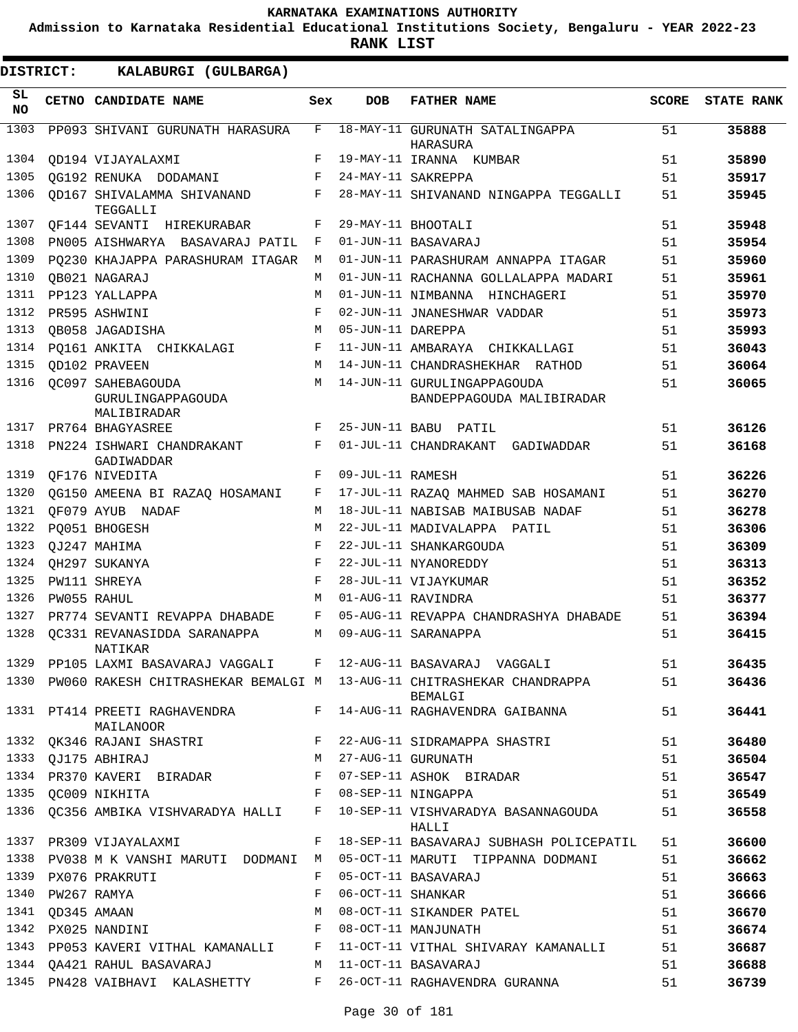**Admission to Karnataka Residential Educational Institutions Society, Bengaluru - YEAR 2022-23**

| <b>DISTRICT:</b> |                  | KALABURGI (GULBARGA)                                         |            |                   |                                                                                          |              |                   |
|------------------|------------------|--------------------------------------------------------------|------------|-------------------|------------------------------------------------------------------------------------------|--------------|-------------------|
| SL.<br>NO.       |                  | CETNO CANDIDATE NAME                                         | Sex        | DOB               | <b>FATHER NAME</b>                                                                       | <b>SCORE</b> | <b>STATE RANK</b> |
| 1303             |                  | PP093 SHIVANI GURUNATH HARASURA                              | F          |                   | 18-MAY-11 GURUNATH SATALINGAPPA<br>HARASURA                                              | 51           | 35888             |
| 1304             |                  | OD194 VIJAYALAXMI                                            | F          |                   | 19-MAY-11 IRANNA KUMBAR                                                                  | 51           | 35890             |
| 1305             |                  | OG192 RENUKA DODAMANI                                        | F          |                   | 24-MAY-11 SAKREPPA                                                                       | 51           | 35917             |
| 1306             |                  | OD167 SHIVALAMMA SHIVANAND<br>TEGGALLI                       | F          |                   | 28-MAY-11 SHIVANAND NINGAPPA TEGGALLI                                                    | 51           | 35945             |
| 1307             |                  | QF144 SEVANTI HIREKURABAR                                    | F          |                   | 29-MAY-11 BHOOTALI                                                                       | 51           | 35948             |
| 1308             |                  | PN005 AISHWARYA BASAVARAJ PATIL                              | F          |                   | 01-JUN-11 BASAVARAJ                                                                      | 51           | 35954             |
| 1309             |                  | PO230 KHAJAPPA PARASHURAM ITAGAR                             | М          |                   | 01-JUN-11 PARASHURAM ANNAPPA ITAGAR                                                      | 51           | 35960             |
| 1310             |                  | OB021 NAGARAJ                                                | M          |                   | 01-JUN-11 RACHANNA GOLLALAPPA MADARI                                                     | 51           | 35961             |
| 1311             |                  | PP123 YALLAPPA                                               | M          |                   | 01-JUN-11 NIMBANNA HINCHAGERI                                                            | 51           | 35970             |
| 1312             |                  | PR595 ASHWINI                                                | F          |                   | 02-JUN-11 JNANESHWAR VADDAR                                                              | 51           | 35973             |
| 1313             |                  | <b>QB058 JAGADISHA</b>                                       | M          | 05-JUN-11 DAREPPA |                                                                                          | 51           | 35993             |
| 1314             |                  | PO161 ANKITA CHIKKALAGI                                      | F          |                   | 11-JUN-11 AMBARAYA CHIKKALLAGI                                                           | 51           | 36043             |
| 1315             |                  | QD102 PRAVEEN                                                | M          |                   | 14-JUN-11 CHANDRASHEKHAR RATHOD                                                          | 51           | 36064             |
| 1316             |                  | <b>OC097 SAHEBAGOUDA</b><br>GURULINGAPPAGOUDA<br>MALIBIRADAR | M          |                   | 14-JUN-11 GURULINGAPPAGOUDA<br>BANDEPPAGOUDA MALIBIRADAR                                 | 51           | 36065             |
| 1317             |                  | PR764 BHAGYASREE                                             | F          |                   | 25-JUN-11 BABU PATIL                                                                     | 51           | 36126             |
| 1318             |                  | PN224 ISHWARI CHANDRAKANT<br>GADIWADDAR                      | F          |                   | 01-JUL-11 CHANDRAKANT GADIWADDAR                                                         | 51           | 36168             |
| 1319             |                  | QF176 NIVEDITA                                               | F          | 09-JUL-11 RAMESH  |                                                                                          | 51           | 36226             |
| 1320             |                  | QG150 AMEENA BI RAZAQ HOSAMANI                               | F          |                   | 17-JUL-11 RAZAQ MAHMED SAB HOSAMANI                                                      | 51           | 36270             |
| 1321             |                  | OF079 AYUB NADAF                                             | M          |                   | 18-JUL-11 NABISAB MAIBUSAB NADAF                                                         | 51           | 36278             |
| 1322             |                  | PQ051 BHOGESH                                                | M          |                   | 22-JUL-11 MADIVALAPPA PATIL                                                              | 51           | 36306             |
| 1323             |                  | QJ247 MAHIMA                                                 | F          |                   | 22-JUL-11 SHANKARGOUDA                                                                   | 51           | 36309             |
| 1324             |                  | OH297 SUKANYA                                                | F          |                   | 22-JUL-11 NYANOREDDY                                                                     | 51           | 36313             |
| 1325             |                  | PW111 SHREYA                                                 | $_{\rm F}$ |                   | 28-JUL-11 VIJAYKUMAR                                                                     | 51           | 36352             |
| 1326             |                  | PW055 RAHUL                                                  | M          |                   | 01-AUG-11 RAVINDRA                                                                       | 51           | 36377             |
| 1327             |                  | PR774 SEVANTI REVAPPA DHABADE                                | F          |                   | 05-AUG-11 REVAPPA CHANDRASHYA DHABADE                                                    | 51           | 36394             |
| 1328             |                  | OC331 REVANASIDDA SARANAPPA<br>NATIKAR                       | M          |                   | 09-AUG-11 SARANAPPA                                                                      | 51           | 36415             |
|                  |                  |                                                              |            |                   | 1329 PP105 LAXMI BASAVARAJ VAGGALI F 12-AUG-11 BASAVARAJ VAGGALI                         | 51           | 36435             |
|                  |                  |                                                              |            |                   | 1330 PW060 RAKESH CHITRASHEKAR BEMALGI M 13-AUG-11 CHITRASHEKAR CHANDRAPPA 51<br>BEMALGI |              | 36436             |
|                  |                  | MAILANOOR                                                    |            |                   | 1331 PT414 PREETI RAGHAVENDRA BARA E 14-AUG-11 RAGHAVENDRA GAIBANNA                      | 51           | 36441             |
|                  |                  | 1332 QK346 RAJANI SHASTRI F                                  |            |                   | 22-AUG-11 SIDRAMAPPA SHASTRI                                                             | 51           | 36480             |
|                  |                  | 1333 QJ175 ABHIRAJ                                           |            |                   | M 27-AUG-11 GURUNATH                                                                     | 51           | 36504             |
|                  |                  |                                                              |            |                   | 1334 PR370 KAVERI BIRADAR F 07-SEP-11 ASHOK BIRADAR                                      | 51           | 36547             |
|                  |                  | 1335 QC009 NIKHITA TARREST BOS-SEP-11 NINGAPPA               |            |                   |                                                                                          | 51           | 36549             |
|                  |                  |                                                              |            |                   | 1336 QC356 AMBIKA VISHVARADYA HALLI F 10-SEP-11 VISHVARADYA BASANNAGOUDA<br>HALLI        | 51           | 36558             |
|                  |                  | 1337 PR309 VIJAYALAXMI                                       | F          |                   | 18-SEP-11 BASAVARAJ SUBHASH POLICEPATIL                                                  | 51           | 36600             |
|                  |                  | 1338 PV038 M K VANSHI MARUTI DODMANI M                       |            |                   | 05-OCT-11 MARUTI TIPPANNA DODMANI                                                        | 51           | 36662             |
|                  |                  | 1339 PX076 PRAKRUTI                                          | F          |                   | 05-OCT-11 BASAVARAJ                                                                      | 51           | 36663             |
| 1340             |                  | PW267 RAMYA                                                  | F          | 06-OCT-11 SHANKAR |                                                                                          | 51           | 36666             |
|                  | 1341 QD345 AMAAN |                                                              |            |                   | M 08-OCT-11 SIKANDER PATEL                                                               | 51           | 36670             |
|                  |                  | F 08-OCT-11 MANJUNATH<br>1342 PX025 NANDINI                  |            |                   |                                                                                          | 51           | 36674             |
|                  |                  |                                                              |            |                   | 1343 PP053 KAVERI VITHAL KAMANALLI B 11-OCT-11 VITHAL SHIVARAY KAMANALLI                 | 51           | 36687             |
|                  |                  | 1344 QA421 RAHUL BASAVARAJ M 11-OCT-11 BASAVARAJ             |            |                   |                                                                                          | 51           | 36688             |
|                  |                  | 1345 PN428 VAIBHAVI KALASHETTY F                             |            |                   | 26-OCT-11 RAGHAVENDRA GURANNA                                                            | 51           | 36739             |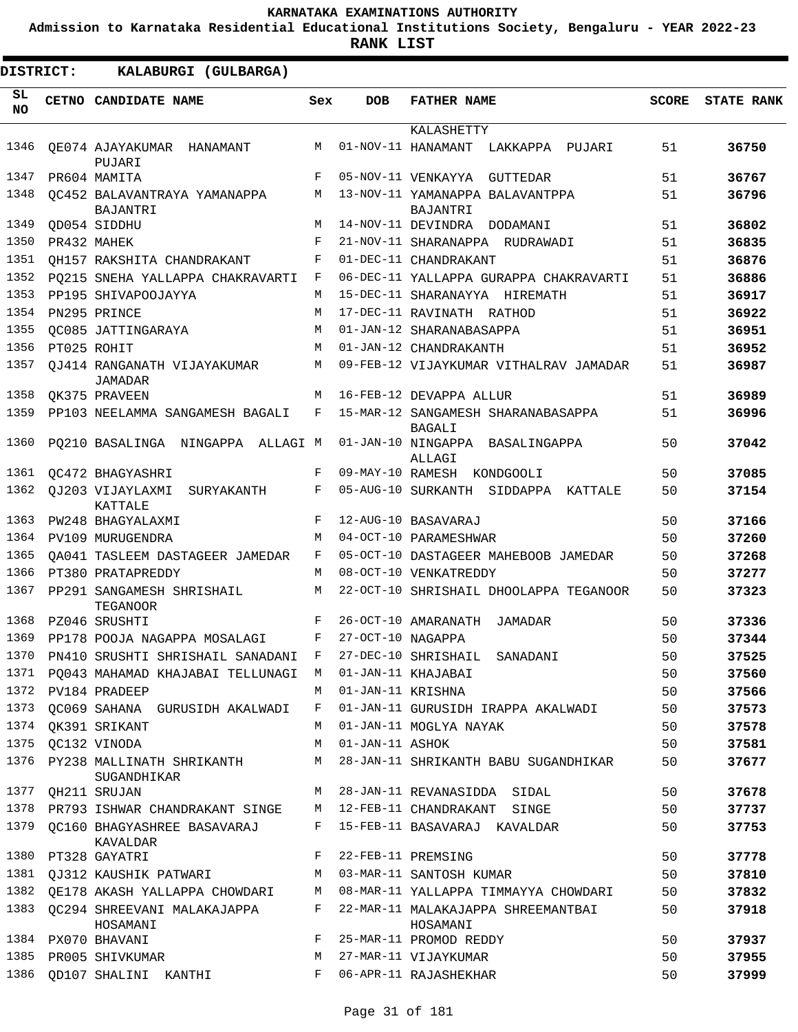**Admission to Karnataka Residential Educational Institutions Society, Bengaluru - YEAR 2022-23**

| <b>DISTRICT:</b> | KALABURGI (GULBARGA)                          |     |                   |                                                |              |                   |
|------------------|-----------------------------------------------|-----|-------------------|------------------------------------------------|--------------|-------------------|
| SL.<br><b>NO</b> | CETNO CANDIDATE NAME                          | Sex | <b>DOB</b>        | <b>FATHER NAME</b>                             | <b>SCORE</b> | <b>STATE RANK</b> |
|                  |                                               |     |                   | KALASHETTY                                     |              |                   |
| 1346             | QE074 AJAYAKUMAR HANAMANT<br>PUJARI           | M   |                   | 01-NOV-11 HANAMANT<br>LAKKAPPA<br>PUJARI       | 51           | 36750             |
| 1347             | PR604 MAMITA                                  | F   |                   | 05-NOV-11 VENKAYYA<br>GUTTEDAR                 | 51           | 36767             |
| 1348             | OC452 BALAVANTRAYA YAMANAPPA                  | M   |                   | 13-NOV-11 YAMANAPPA BALAVANTPPA                | 51           | 36796             |
|                  | <b>BAJANTRI</b>                               |     |                   | BAJANTRI                                       |              |                   |
| 1349             | QD054 SIDDHU                                  | M   |                   | 14-NOV-11 DEVINDRA<br>DODAMANI                 | 51           | 36802             |
| 1350             | PR432 MAHEK                                   | F   |                   | 21-NOV-11 SHARANAPPA RUDRAWADI                 | 51           | 36835             |
| 1351             | OH157 RAKSHITA CHANDRAKANT                    | F   |                   | 01-DEC-11 CHANDRAKANT                          | 51           | 36876             |
| 1352             | PO215 SNEHA YALLAPPA CHAKRAVARTI              | F   |                   | 06-DEC-11 YALLAPPA GURAPPA CHAKRAVARTI         | 51           | 36886             |
| 1353             | PP195 SHIVAPOOJAYYA                           | M   |                   | 15-DEC-11 SHARANAYYA HIREMATH                  | 51           | 36917             |
| 1354             | PN295 PRINCE                                  | M   |                   | 17-DEC-11 RAVINATH RATHOD                      | 51           | 36922             |
| 1355             | OC085 JATTINGARAYA                            | M   |                   | 01-JAN-12 SHARANABASAPPA                       | 51           | 36951             |
| 1356             | PT025 ROHIT                                   | M   |                   | 01-JAN-12 CHANDRAKANTH                         | 51           | 36952             |
| 1357             | OJ414 RANGANATH VIJAYAKUMAR<br><b>JAMADAR</b> | M   |                   | 09-FEB-12 VIJAYKUMAR VITHALRAV JAMADAR         | 51           | 36987             |
| 1358             | QK375 PRAVEEN                                 | M   |                   | 16-FEB-12 DEVAPPA ALLUR                        | 51           | 36989             |
| 1359             | PP103 NEELAMMA SANGAMESH BAGALI               | F   |                   | 15-MAR-12 SANGAMESH SHARANABASAPPA<br>BAGALI   | 51           | 36996             |
| 1360             | PQ210 BASALINGA NINGAPPA ALLAGI M             |     |                   | 01-JAN-10 NINGAPPA BASALINGAPPA<br>ALLAGI      | 50           | 37042             |
| 1361             | OC472 BHAGYASHRI                              | F   | 09-MAY-10 RAMESH  | KONDGOOLI                                      | 50           | 37085             |
| 1362             | OJ203 VIJAYLAXMI<br>SURYAKANTH<br>KATTALE     | F   |                   | 05-AUG-10 SURKANTH SIDDAPPA KATTALE            | 50           | 37154             |
| 1363             | PW248 BHAGYALAXMI                             | F   |                   | 12-AUG-10 BASAVARAJ                            | 50           | 37166             |
| 1364             | PV109 MURUGENDRA                              | M   |                   | 04-OCT-10 PARAMESHWAR                          | 50           | 37260             |
| 1365             | OA041 TASLEEM DASTAGEER JAMEDAR               | F   |                   | 05-OCT-10 DASTAGEER MAHEBOOB JAMEDAR           | 50           | 37268             |
| 1366             | PT380 PRATAPREDDY                             | M   |                   | 08-OCT-10 VENKATREDDY                          | 50           | 37277             |
| 1367             | PP291 SANGAMESH SHRISHAIL<br>TEGANOOR         | М   |                   | 22-OCT-10 SHRISHAIL DHOOLAPPA TEGANOOR         | 50           | 37323             |
| 1368             | PZ046 SRUSHTI                                 | F   |                   | 26-OCT-10 AMARANATH<br>JAMADAR                 | 50           | 37336             |
| 1369             | PP178 POOJA NAGAPPA MOSALAGI                  | F   | 27-OCT-10 NAGAPPA |                                                | 50           | 37344             |
| 1370             | PN410 SRUSHTI SHRISHAIL SANADANI              | F   |                   | 27-DEC-10 SHRISHAIL SANADANI                   | 50           | 37525             |
|                  | 1371 PQ043 MAHAMAD KHAJABAI TELLUNAGI         | М   |                   | 01-JAN-11 KHAJABAI                             | 50           | 37560             |
| 1372             | PV184 PRADEEP                                 | M   | 01-JAN-11 KRISHNA |                                                | 50           | 37566             |
| 1373             | QC069 SAHANA GURUSIDH AKALWADI                | F   |                   | 01-JAN-11 GURUSIDH IRAPPA AKALWADI             | 50           | 37573             |
| 1374             | QK391 SRIKANT                                 | M   |                   | 01-JAN-11 MOGLYA NAYAK                         | 50           | 37578             |
| 1375             | QC132 VINODA                                  | М   | 01-JAN-11 ASHOK   |                                                | 50           | 37581             |
| 1376             | PY238 MALLINATH SHRIKANTH<br>SUGANDHIKAR      | М   |                   | 28-JAN-11 SHRIKANTH BABU SUGANDHIKAR           | 50           | 37677             |
| 1377             | QH211 SRUJAN                                  | M   |                   | 28-JAN-11 REVANASIDDA SIDAL                    | 50           | 37678             |
| 1378             | PR793 ISHWAR CHANDRAKANT SINGE                | М   |                   | 12-FEB-11 CHANDRAKANT SINGE                    | 50           | 37737             |
| 1379             | QC160 BHAGYASHREE BASAVARAJ<br>KAVALDAR       | F   |                   | 15-FEB-11 BASAVARAJ KAVALDAR                   | 50           | 37753             |
| 1380             | PT328 GAYATRI                                 | F   |                   | 22-FEB-11 PREMSING                             | 50           | 37778             |
| 1381             | QJ312 KAUSHIK PATWARI                         | М   |                   | 03-MAR-11 SANTOSH KUMAR                        | 50           | 37810             |
| 1382             | QE178 AKASH YALLAPPA CHOWDARI                 | M   |                   | 08-MAR-11 YALLAPPA TIMMAYYA CHOWDARI           | 50           | 37832             |
| 1383             | OC294 SHREEVANI MALAKAJAPPA<br>HOSAMANI       | F   |                   | 22-MAR-11 MALAKAJAPPA SHREEMANTBAI<br>HOSAMANI | 50           | 37918             |
|                  | 1384 PX070 BHAVANI                            | F   |                   | 25-MAR-11 PROMOD REDDY                         | 50           | 37937             |
| 1385             | PR005 SHIVKUMAR                               | М   |                   | 27-MAR-11 VIJAYKUMAR                           | 50           | 37955             |
| 1386             | QD107 SHALINI KANTHI                          | F   |                   | 06-APR-11 RAJASHEKHAR                          | 50           | 37999             |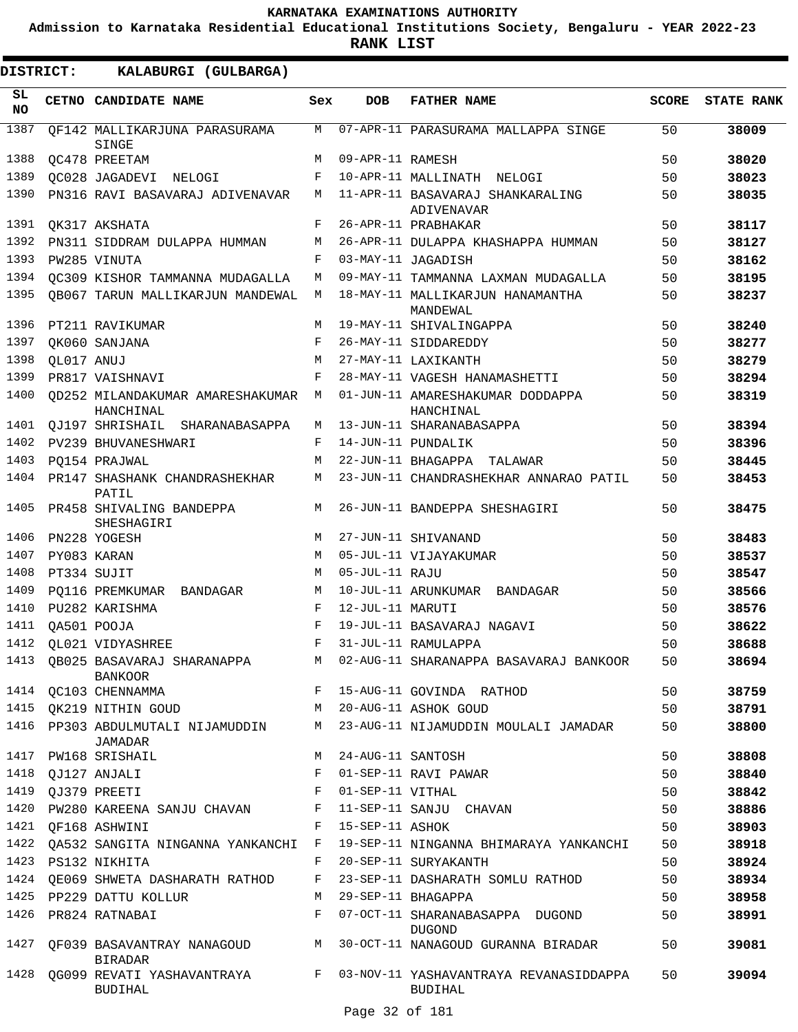**Admission to Karnataka Residential Educational Institutions Society, Bengaluru - YEAR 2022-23**

| DISTRICT:       |            | KALABURGI (GULBARGA)                          |                    |                   |                                                            |              |                   |
|-----------------|------------|-----------------------------------------------|--------------------|-------------------|------------------------------------------------------------|--------------|-------------------|
| SL<br><b>NO</b> |            | CETNO CANDIDATE NAME                          | Sex                | <b>DOB</b>        | <b>FATHER NAME</b>                                         | <b>SCORE</b> | <b>STATE RANK</b> |
| 1387            |            | OF142 MALLIKARJUNA PARASURAMA<br>SINGE        | M                  |                   | 07-APR-11 PARASURAMA MALLAPPA SINGE                        | 50           | 38009             |
| 1388            |            | OC478 PREETAM                                 | M                  | 09-APR-11 RAMESH  |                                                            | 50           | 38020             |
| 1389            |            | OC028 JAGADEVI NELOGI                         | F                  |                   | 10-APR-11 MALLINATH NELOGI                                 | 50           | 38023             |
| 1390            |            | PN316 RAVI BASAVARAJ ADIVENAVAR               | M                  |                   | 11-APR-11 BASAVARAJ SHANKARALING<br>ADIVENAVAR             | 50           | 38035             |
| 1391            |            | QK317 AKSHATA                                 | F                  |                   | 26-APR-11 PRABHAKAR                                        | 50           | 38117             |
| 1392            |            | PN311 SIDDRAM DULAPPA HUMMAN                  | М                  |                   | 26-APR-11 DULAPPA KHASHAPPA HUMMAN                         | 50           | 38127             |
| 1393            |            | PW285 VINUTA                                  | F                  |                   | 03-MAY-11 JAGADISH                                         | 50           | 38162             |
| 1394            |            | OC309 KISHOR TAMMANNA MUDAGALLA               | М                  |                   | 09-MAY-11 TAMMANNA LAXMAN MUDAGALLA                        | 50           | 38195             |
| 1395            |            | QB067 TARUN MALLIKARJUN MANDEWAL              | M                  |                   | 18-MAY-11 MALLIKARJUN HANAMANTHA<br>MANDEWAL               | 50           | 38237             |
| 1396            |            | PT211 RAVIKUMAR                               | M                  |                   | 19-MAY-11 SHIVALINGAPPA                                    | 50           | 38240             |
| 1397            |            | QK060 SANJANA                                 | F                  |                   | 26-MAY-11 SIDDAREDDY                                       | 50           | 38277             |
| 1398            | QL017 ANUJ |                                               | М                  |                   | 27-MAY-11 LAXIKANTH                                        | 50           | 38279             |
| 1399            |            | PR817 VAISHNAVI                               | F                  |                   | 28-MAY-11 VAGESH HANAMASHETTI                              | 50           | 38294             |
| 1400            |            | OD252 MILANDAKUMAR AMARESHAKUMAR<br>HANCHINAL | М                  |                   | 01-JUN-11 AMARESHAKUMAR DODDAPPA<br>HANCHINAL              | 50           | 38319             |
| 1401            |            | OJ197 SHRISHAIL SHARANABASAPPA                | M                  |                   | 13-JUN-11 SHARANABASAPPA                                   | 50           | 38394             |
| 1402            |            | PV239 BHUVANESHWARI                           | F                  |                   | 14-JUN-11 PUNDALIK                                         | 50           | 38396             |
| 1403            |            | PO154 PRAJWAL                                 | M                  |                   | 22-JUN-11 BHAGAPPA TALAWAR                                 | 50           | 38445             |
| 1404            |            | PR147 SHASHANK CHANDRASHEKHAR<br>PATIL        | М                  |                   | 23-JUN-11 CHANDRASHEKHAR ANNARAO PATIL                     | 50           | 38453             |
| 1405            |            | PR458 SHIVALING BANDEPPA<br>SHESHAGIRI        | M                  |                   | 26-JUN-11 BANDEPPA SHESHAGIRI                              | 50           | 38475             |
| 1406            |            | PN228 YOGESH                                  | M                  |                   | 27-JUN-11 SHIVANAND                                        | 50           | 38483             |
| 1407            |            | PY083 KARAN                                   | M                  |                   | 05-JUL-11 VIJAYAKUMAR                                      | 50           | 38537             |
| 1408            |            | PT334 SUJIT                                   | M                  | 05-JUL-11 RAJU    |                                                            | 50           | 38547             |
| 1409            |            | PO116 PREMKUMAR BANDAGAR                      | М                  |                   | 10-JUL-11 ARUNKUMAR BANDAGAR                               | 50           | 38566             |
| 1410            |            | PU282 KARISHMA                                | F                  | 12-JUL-11 MARUTI  |                                                            | 50           | 38576             |
| 1411            |            | QA501 POOJA                                   | $\mathbf{F}% _{0}$ |                   | 19-JUL-11 BASAVARAJ NAGAVI                                 | 50           | 38622             |
| 1412            |            | <b>QL021 VIDYASHREE</b>                       | $\mathbf{F}% _{0}$ |                   | 31-JUL-11 RAMULAPPA                                        | 50           | 38688             |
| 1413            |            | OB025 BASAVARAJ SHARANAPPA<br><b>BANKOOR</b>  |                    |                   | M 02-AUG-11 SHARANAPPA BASAVARAJ BANKOOR                   | 50           | 38694             |
|                 |            | 1414 QC103 CHENNAMMA                          | $F$ –              |                   | 15-AUG-11 GOVINDA RATHOD                                   | 50           | 38759             |
| 1415            |            | QK219 NITHIN GOUD                             |                    |                   | M 20-AUG-11 ASHOK GOUD                                     | 50           | 38791             |
| 1416            |            | PP303 ABDULMUTALI NIJAMUDDIN<br>JAMADAR       | M                  |                   | 23-AUG-11 NIJAMUDDIN MOULALI JAMADAR                       | 50           | 38800             |
| 1417            |            | PW168 SRISHAIL                                | M                  | 24-AUG-11 SANTOSH |                                                            | 50           | 38808             |
|                 |            | 1418 QJ127 ANJALI                             | F                  |                   | 01-SEP-11 RAVI PAWAR                                       | 50           | 38840             |
| 1419            |            | QJ379 PREETI                                  | F                  | 01-SEP-11 VITHAL  |                                                            | 50           | 38842             |
| 1420            |            | PW280 KAREENA SANJU CHAVAN                    | F                  |                   | 11-SEP-11 SANJU CHAVAN                                     | 50           | 38886             |
|                 |            | 1421 QF168 ASHWINI                            | F                  | 15-SEP-11 ASHOK   |                                                            | 50           | 38903             |
|                 |            | 1422 QA532 SANGITA NINGANNA YANKANCHI F       |                    |                   | 19-SEP-11 NINGANNA BHIMARAYA YANKANCHI                     | 50           | 38918             |
|                 |            | 1423 PS132 NIKHITA                            | F                  |                   | 20-SEP-11 SURYAKANTH                                       | 50           | 38924             |
|                 |            | 1424 QE069 SHWETA DASHARATH RATHOD            | F                  |                   | 23-SEP-11 DASHARATH SOMLU RATHOD                           | 50           | 38934             |
| 1425            |            | PP229 DATTU KOLLUR                            | M                  |                   | 29-SEP-11 BHAGAPPA                                         | 50           | 38958             |
| 1426            |            | PR824 RATNABAI                                | F                  |                   | 07-OCT-11 SHARANABASAPPA DUGOND<br><b>DUGOND</b>           | 50           | 38991             |
| 1427            |            | QF039 BASAVANTRAY NANAGOUD<br><b>BIRADAR</b>  | M                  |                   | 30-OCT-11 NANAGOUD GURANNA BIRADAR                         | 50           | 39081             |
| 1428            |            | QG099 REVATI YASHAVANTRAYA<br><b>BUDIHAL</b>  |                    |                   | F 03-NOV-11 YASHAVANTRAYA REVANASIDDAPPA<br><b>BUDIHAL</b> | 50           | 39094             |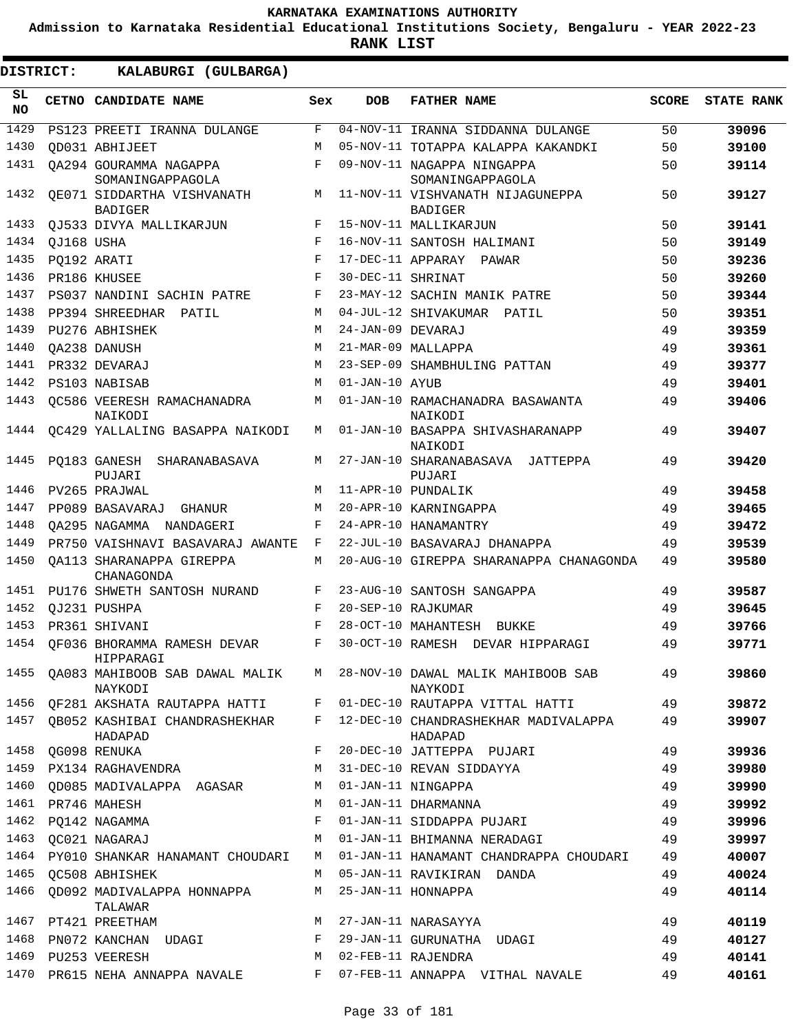**Admission to Karnataka Residential Educational Institutions Society, Bengaluru - YEAR 2022-23**

**RANK LIST**

| SL<br><b>NO</b> |             | CETNO CANDIDATE NAME                             | Sex        | <b>DOB</b>        | <b>FATHER NAME</b>                                 | <b>SCORE</b> | <b>STATE RANK</b> |
|-----------------|-------------|--------------------------------------------------|------------|-------------------|----------------------------------------------------|--------------|-------------------|
| 1429            |             | PS123 PREETI IRANNA DULANGE                      | F          |                   | 04-NOV-11 IRANNA SIDDANNA DULANGE                  | 50           | 39096             |
| 1430            |             | OD031 ABHIJEET                                   | M          |                   | 05-NOV-11 TOTAPPA KALAPPA KAKANDKI                 | 50           | 39100             |
| 1431            |             | OA294 GOURAMMA NAGAPPA<br>SOMANINGAPPAGOLA       | F          |                   | 09-NOV-11 NAGAPPA NINGAPPA<br>SOMANINGAPPAGOLA     | 50           | 39114             |
| 1432            |             | OE071 SIDDARTHA VISHVANATH<br><b>BADIGER</b>     | M          |                   | 11-NOV-11 VISHVANATH NIJAGUNEPPA<br><b>BADIGER</b> | 50           | 39127             |
| 1433            |             | OJ533 DIVYA MALLIKARJUN                          | F          |                   | 15-NOV-11 MALLIKARJUN                              | 50           | 39141             |
| 1434            | OJ168 USHA  |                                                  | $_{\rm F}$ |                   | 16-NOV-11 SANTOSH HALIMANI                         | 50           | 39149             |
| 1435            | PO192 ARATI |                                                  | F          |                   | 17-DEC-11 APPARAY PAWAR                            | 50           | 39236             |
| 1436            |             | PR186 KHUSEE                                     | $_{\rm F}$ | 30-DEC-11 SHRINAT |                                                    | 50           | 39260             |
| 1437            |             | PS037 NANDINI SACHIN PATRE                       | F          |                   | 23-MAY-12 SACHIN MANIK PATRE                       | 50           | 39344             |
| 1438            |             | PP394 SHREEDHAR PATIL                            | M          |                   | 04-JUL-12 SHIVAKUMAR<br>PATIL                      | 50           | 39351             |
| 1439            |             | PU276 ABHISHEK                                   | M          | 24-JAN-09 DEVARAJ |                                                    | 49           | 39359             |
| 1440            |             | OA238 DANUSH                                     | M          |                   | 21-MAR-09 MALLAPPA                                 | 49           | 39361             |
| 1441            |             | PR332 DEVARAJ                                    | M          |                   | 23-SEP-09 SHAMBHULING PATTAN                       | 49           | 39377             |
| 1442            |             | PS103 NABISAB                                    | M          | 01-JAN-10 AYUB    |                                                    | 49           | 39401             |
| 1443            |             | OC586 VEERESH RAMACHANADRA<br>NAIKODI            | M          |                   | 01-JAN-10 RAMACHANADRA BASAWANTA<br>NAIKODI        | 49           | 39406             |
| 1444            |             | OC429 YALLALING BASAPPA NAIKODI                  | M          |                   | 01-JAN-10 BASAPPA SHIVASHARANAPP<br>NAIKODI        | 49           | 39407             |
| 1445            |             | PO183 GANESH SHARANABASAVA<br>PUJARI             | М          |                   | 27-JAN-10 SHARANABASAVA JATTEPPA<br>PUJARI         | 49           | 39420             |
| 1446            |             | PV265 PRAJWAL                                    | М          |                   | 11-APR-10 PUNDALIK                                 | 49           | 39458             |
| 1447            |             | PP089 BASAVARAJ GHANUR                           | M          |                   | 20-APR-10 KARNINGAPPA                              | 49           | 39465             |
| 1448            |             | OA295 NAGAMMA NANDAGERI                          | F          |                   | 24-APR-10 HANAMANTRY                               | 49           | 39472             |
| 1449            |             | PR750 VAISHNAVI BASAVARAJ AWANTE                 | F          |                   | 22-JUL-10 BASAVARAJ DHANAPPA                       | 49           | 39539             |
| 1450            |             | OA113 SHARANAPPA GIREPPA<br>CHANAGONDA           | М          |                   | 20-AUG-10 GIREPPA SHARANAPPA CHANAGONDA            | 49           | 39580             |
| 1451            |             | PU176 SHWETH SANTOSH NURAND                      | F          |                   | 23-AUG-10 SANTOSH SANGAPPA                         | 49           | 39587             |
| 1452            |             | OJ231 PUSHPA                                     | F          |                   | 20-SEP-10 RAJKUMAR                                 | 49           | 39645             |
| 1453            |             | PR361 SHIVANI                                    | $_{\rm F}$ |                   | 28-OCT-10 MAHANTESH<br>BUKKE                       | 49           | 39766             |
| 1454            |             | OF036 BHORAMMA RAMESH DEVAR<br>HIPPARAGI         | F          |                   | 30-OCT-10 RAMESH DEVAR HIPPARAGI                   | 49           | 39771             |
|                 |             | 1455 QA083 MAHIBOOB SAB DAWAL MALIK M<br>NAYKODI |            |                   | 28-NOV-10 DAWAL MALIK MAHIBOOB SAB<br>NAYKODI      | 49           | 39860             |
| 1456            |             | QF281 AKSHATA RAUTAPPA HATTI F                   |            |                   | 01-DEC-10 RAUTAPPA VITTAL HATTI                    | 49           | 39872             |
|                 |             | 1457 QB052 KASHIBAI CHANDRASHEKHAR F<br>HADAPAD  |            |                   | 12-DEC-10 CHANDRASHEKHAR MADIVALAPPA<br>HADAPAD    | 49           | 39907             |
| 1458            |             | QG098 RENUKA                                     | F          |                   | 20-DEC-10 JATTEPPA PUJARI                          | 49           | 39936             |
| 1459            |             | PX134 RAGHAVENDRA                                | М          |                   | 31-DEC-10 REVAN SIDDAYYA                           | 49           | 39980             |
| 1460            |             | QD085 MADIVALAPPA AGASAR                         | M          |                   | 01-JAN-11 NINGAPPA                                 | 49           | 39990             |
|                 |             | 1461 PR746 MAHESH                                | M          |                   | 01-JAN-11 DHARMANNA                                | 49           | 39992             |
|                 |             | 1462 PQ142 NAGAMMA                               | F          |                   | 01-JAN-11 SIDDAPPA PUJARI                          | 49           | 39996             |
|                 |             | 1463 QC021 NAGARAJ                               | М          |                   | 01-JAN-11 BHIMANNA NERADAGI                        | 49           | 39997             |
| 1464            |             | PY010 SHANKAR HANAMANT CHOUDARI                  | M          |                   | 01-JAN-11 HANAMANT CHANDRAPPA CHOUDARI             | 49           | 40007             |
| 1465            |             | OC508 ABHISHEK                                   | M          |                   | 05-JAN-11 RAVIKIRAN DANDA                          | 49           | 40024             |
|                 |             | 1466 QD092 MADIVALAPPA HONNAPPA<br>TALAWAR       | M          |                   | 25-JAN-11 HONNAPPA                                 | 49           | 40114             |
|                 |             | 1467 PT421 PREETHAM                              | M          |                   | 27-JAN-11 NARASAYYA                                | 49           | 40119             |
|                 |             | 1468 PN072 KANCHAN UDAGI                         | F          |                   | 29-JAN-11 GURUNATHA UDAGI                          | 49           | 40127             |
|                 |             | 1469 PU253 VEERESH                               | М          |                   | 02-FEB-11 RAJENDRA                                 | 49           | 40141             |
|                 |             | 1470 PR615 NEHA ANNAPPA NAVALE                   | $F -$      |                   | 07-FEB-11 ANNAPPA VITHAL NAVALE                    | 49           | 40161             |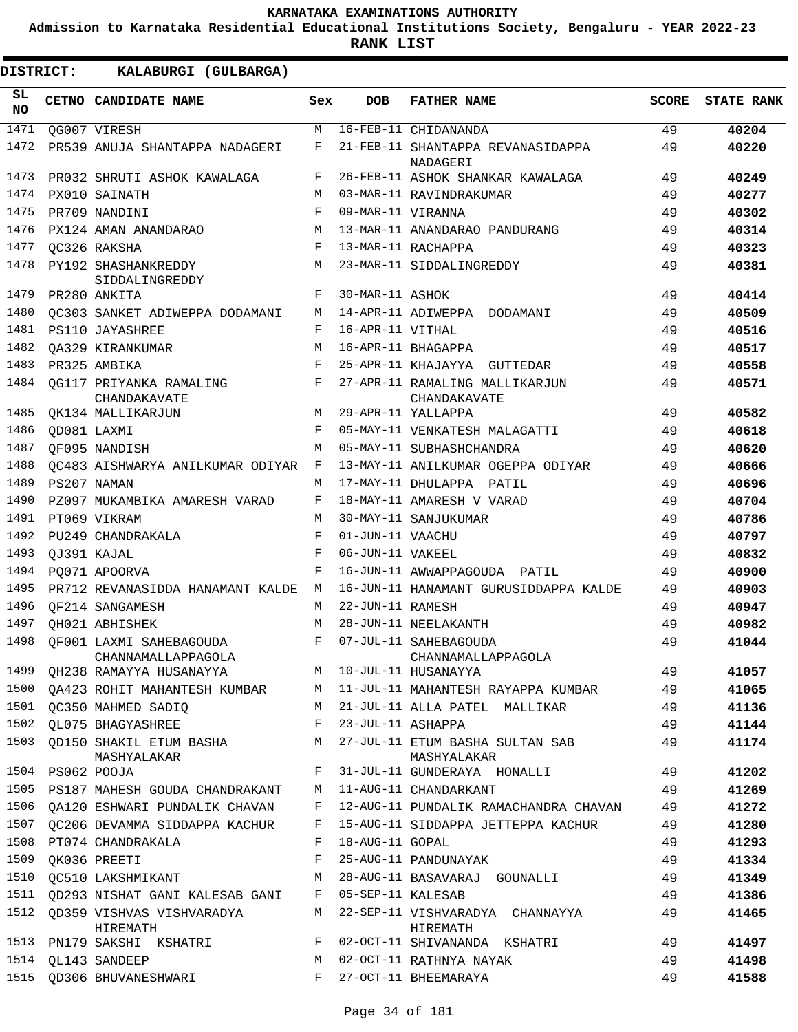**Admission to Karnataka Residential Educational Institutions Society, Bengaluru - YEAR 2022-23**

**RANK LIST**

| SL<br><b>NO</b> | CETNO CANDIDATE NAME                          | Sex | <b>DOB</b>        | <b>FATHER NAME</b>                             | <b>SCORE</b> | <b>STATE RANK</b> |
|-----------------|-----------------------------------------------|-----|-------------------|------------------------------------------------|--------------|-------------------|
| 1471            | QG007 VIRESH                                  | M   |                   | 16-FEB-11 CHIDANANDA                           | 49           | 40204             |
| 1472            | PR539 ANUJA SHANTAPPA NADAGERI                | F   |                   | 21-FEB-11 SHANTAPPA REVANASIDAPPA<br>NADAGERI  | 49           | 40220             |
| 1473            | PR032 SHRUTI ASHOK KAWALAGA                   | F   |                   | 26-FEB-11 ASHOK SHANKAR KAWALAGA               | 49           | 40249             |
| 1474            | PX010 SAINATH                                 | M   |                   | 03-MAR-11 RAVINDRAKUMAR                        | 49           | 40277             |
| 1475            | PR709 NANDINI                                 | F   | 09-MAR-11 VIRANNA |                                                | 49           | 40302             |
| 1476            | PX124 AMAN ANANDARAO                          | M   |                   | 13-MAR-11 ANANDARAO PANDURANG                  | 49           | 40314             |
| 1477            | OC326 RAKSHA                                  | F   |                   | 13-MAR-11 RACHAPPA                             | 49           | 40323             |
| 1478            | PY192 SHASHANKREDDY<br>SIDDALINGREDDY         | M   |                   | 23-MAR-11 SIDDALINGREDDY                       | 49           | 40381             |
| 1479            | PR280 ANKITA                                  | F   | 30-MAR-11 ASHOK   |                                                | 49           | 40414             |
| 1480            | OC303 SANKET ADIWEPPA DODAMANI                | M   |                   | 14-APR-11 ADIWEPPA DODAMANI                    | 49           | 40509             |
| 1481            | PS110 JAYASHREE                               | F   | 16-APR-11 VITHAL  |                                                | 49           | 40516             |
| 1482            | OA329 KIRANKUMAR                              | M   |                   | 16-APR-11 BHAGAPPA                             | 49           | 40517             |
| 1483            | PR325 AMBIKA                                  | F   |                   | 25-APR-11 KHAJAYYA<br>GUTTEDAR                 | 49           | 40558             |
| 1484            | OG117 PRIYANKA RAMALING<br>CHANDAKAVATE       | F   |                   | 27-APR-11 RAMALING MALLIKARJUN<br>CHANDAKAVATE | 49           | 40571             |
| 1485            | <b>OK134 MALLIKARJUN</b>                      | M   |                   | 29-APR-11 YALLAPPA                             | 49           | 40582             |
| 1486            | QD081 LAXMI                                   | F   |                   | 05-MAY-11 VENKATESH MALAGATTI                  | 49           | 40618             |
| 1487            | OF095 NANDISH                                 | M   |                   | 05-MAY-11 SUBHASHCHANDRA                       | 49           | 40620             |
| 1488            | OC483 AISHWARYA ANILKUMAR ODIYAR              | F   |                   | 13-MAY-11 ANILKUMAR OGEPPA ODIYAR              | 49           | 40666             |
| 1489            | PS207 NAMAN                                   | М   |                   | 17-MAY-11 DHULAPPA PATIL                       | 49           | 40696             |
| 1490            | PZ097 MUKAMBIKA AMARESH VARAD                 | F   |                   | 18-MAY-11 AMARESH V VARAD                      | 49           | 40704             |
| 1491            | PT069 VIKRAM                                  | M   |                   | 30-MAY-11 SANJUKUMAR                           | 49           | 40786             |
| 1492            | PU249 CHANDRAKALA                             | F   | 01-JUN-11 VAACHU  |                                                | 49           | 40797             |
| 1493            | OJ391 KAJAL                                   | F   | 06-JUN-11 VAKEEL  |                                                | 49           | 40832             |
| 1494            | PO071 APOORVA                                 | F   |                   | 16-JUN-11 AWWAPPAGOUDA PATIL                   | 49           | 40900             |
| 1495            | PR712 REVANASIDDA HANAMANT KALDE              | М   |                   | 16-JUN-11 HANAMANT GURUSIDDAPPA KALDE          | 49           | 40903             |
| 1496            | OF214 SANGAMESH                               | М   | 22-JUN-11 RAMESH  |                                                | 49           | 40947             |
| 1497            | <b>QH021 ABHISHEK</b>                         | M   |                   | 28-JUN-11 NEELAKANTH                           | 49           | 40982             |
| 1498            | OF001 LAXMI SAHEBAGOUDA<br>CHANNAMALLAPPAGOLA | F   |                   | 07-JUL-11 SAHEBAGOUDA<br>CHANNAMALLAPPAGOLA    | 49           | 41044             |
| 1499            | QH238 RAMAYYA HUSANAYYA                       | М   |                   | 10-JUL-11 HUSANAYYA                            | 49           | 41057             |
|                 | 1500 QA423 ROHIT MAHANTESH KUMBAR             | M   |                   | 11-JUL-11 MAHANTESH RAYAPPA KUMBAR             | 49           | 41065             |
| 1501            | OC350 MAHMED SADIQ                            | M   |                   | 21-JUL-11 ALLA PATEL MALLIKAR                  | 49           | 41136             |
| 1502            | QL075 BHAGYASHREE                             | F   | 23-JUL-11 ASHAPPA |                                                | 49           | 41144             |
| 1503            | QD150 SHAKIL ETUM BASHA<br>MASHYALAKAR        | М   |                   | 27-JUL-11 ETUM BASHA SULTAN SAB<br>MASHYALAKAR | 49           | 41174             |
| 1504            | PS062 POOJA                                   | F   |                   | 31-JUL-11 GUNDERAYA HONALLI                    | 49           | 41202             |
| 1505            | PS187 MAHESH GOUDA CHANDRAKANT                | М   |                   | 11-AUG-11 CHANDARKANT                          | 49           | 41269             |
| 1506            | QA120 ESHWARI PUNDALIK CHAVAN                 | F   |                   | 12-AUG-11 PUNDALIK RAMACHANDRA CHAVAN          | 49           | 41272             |
| 1507            | OC206 DEVAMMA SIDDAPPA KACHUR                 | F   |                   | 15-AUG-11 SIDDAPPA JETTEPPA KACHUR             | 49           | 41280             |
| 1508            | PT074 CHANDRAKALA                             | F   | 18-AUG-11 GOPAL   |                                                | 49           | 41293             |
| 1509            | QK036 PREETI                                  | F   |                   | 25-AUG-11 PANDUNAYAK                           | 49           | 41334             |
| 1510            | QC510 LAKSHMIKANT                             | М   |                   | 28-AUG-11 BASAVARAJ GOUNALLI                   | 49           | 41349             |
| 1511            | QD293 NISHAT GANI KALESAB GANI                | F   | 05-SEP-11 KALESAB |                                                | 49           | 41386             |
| 1512            | QD359 VISHVAS VISHVARADYA<br>HIREMATH         | М   |                   | 22-SEP-11 VISHVARADYA CHANNAYYA<br>HIREMATH    | 49           | 41465             |
| 1513            | PN179 SAKSHI KSHATRI                          | F   |                   | 02-OCT-11 SHIVANANDA KSHATRI                   | 49           | 41497             |
| 1514            | QL143 SANDEEP                                 | М   |                   | 02-OCT-11 RATHNYA NAYAK                        | 49           | 41498             |
|                 | 1515 QD306 BHUVANESHWARI                      | F   |                   | 27-OCT-11 BHEEMARAYA                           | 49           | 41588             |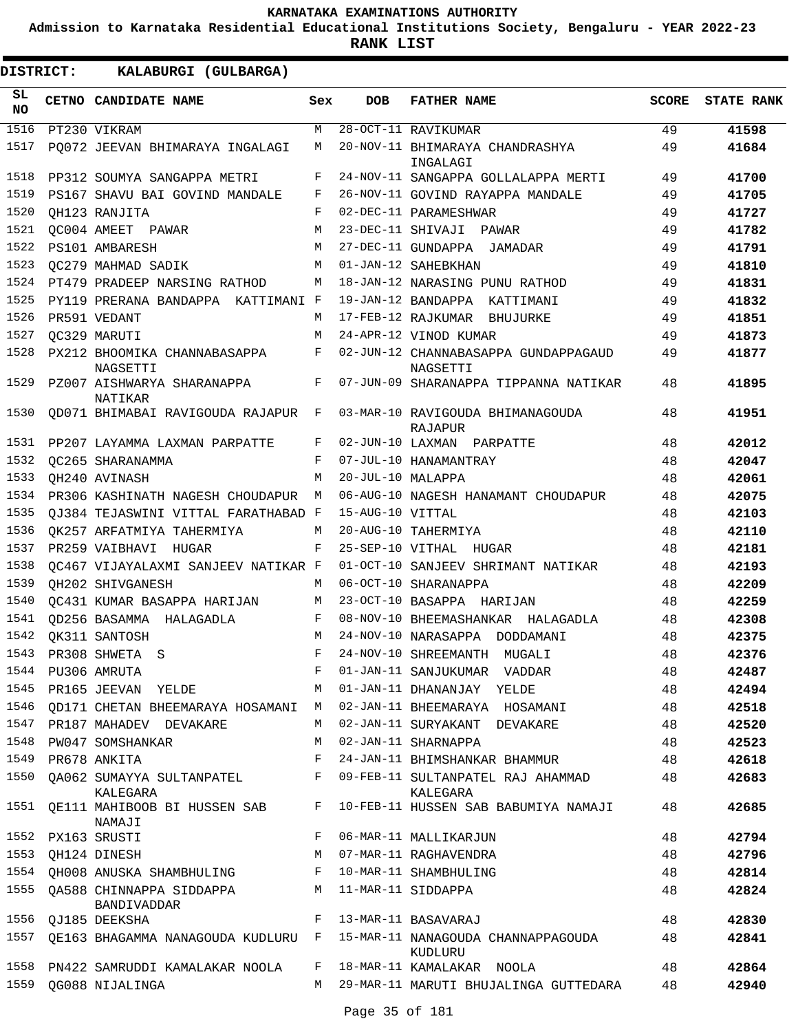**Admission to Karnataka Residential Educational Institutions Society, Bengaluru - YEAR 2022-23**

**RANK LIST**

| SL<br><b>NO</b> | CETNO CANDIDATE NAME                     | Sex | <b>DOB</b>        | <b>FATHER NAME</b>                               | <b>SCORE</b> | <b>STATE RANK</b> |
|-----------------|------------------------------------------|-----|-------------------|--------------------------------------------------|--------------|-------------------|
| 1516            | PT230 VIKRAM                             | М   |                   | 28-OCT-11 RAVIKUMAR                              | 49           | 41598             |
| 1517            | PO072 JEEVAN BHIMARAYA INGALAGI          | М   |                   | 20-NOV-11 BHIMARAYA CHANDRASHYA<br>INGALAGI      | 49           | 41684             |
| 1518            | PP312 SOUMYA SANGAPPA METRI              | F   |                   | 24-NOV-11 SANGAPPA GOLLALAPPA MERTI              | 49           | 41700             |
| 1519            | PS167 SHAVU BAI GOVIND MANDALE           | F   |                   | 26-NOV-11 GOVIND RAYAPPA MANDALE                 | 49           | 41705             |
| 1520            | OH123 RANJITA                            | F   |                   | 02-DEC-11 PARAMESHWAR                            | 49           | 41727             |
| 1521            | OC004 AMEET PAWAR                        | M   | 23-DEC-11 SHIVAJI | PAWAR                                            | 49           | 41782             |
| 1522            | PS101 AMBARESH                           | M   |                   | 27-DEC-11 GUNDAPPA JAMADAR                       | 49           | 41791             |
| 1523            | OC279 MAHMAD SADIK                       | M   |                   | 01-JAN-12 SAHEBKHAN                              | 49           | 41810             |
| 1524            | PT479 PRADEEP NARSING RATHOD             | М   |                   | 18-JAN-12 NARASING PUNU RATHOD                   | 49           | 41831             |
| 1525            | PY119 PRERANA BANDAPPA KATTIMANI F       |     |                   | 19-JAN-12 BANDAPPA KATTIMANI                     | 49           | 41832             |
| 1526            | PR591 VEDANT                             | М   |                   | 17-FEB-12 RAJKUMAR BHUJURKE                      | 49           | 41851             |
| 1527            | OC329 MARUTI                             | М   |                   | 24-APR-12 VINOD KUMAR                            | 49           | 41873             |
| 1528            | PX212 BHOOMIKA CHANNABASAPPA<br>NAGSETTI | F   |                   | 02-JUN-12 CHANNABASAPPA GUNDAPPAGAUD<br>NAGSETTI | 49           | 41877             |
| 1529            | PZ007 AISHWARYA SHARANAPPA<br>NATIKAR    | F   |                   | 07-JUN-09 SHARANAPPA TIPPANNA NATIKAR            | 48           | 41895             |
| 1530            | QD071 BHIMABAI RAVIGOUDA RAJAPUR         | F   |                   | 03-MAR-10 RAVIGOUDA BHIMANAGOUDA<br>RAJAPUR      | 48           | 41951             |
| 1531            | PP207 LAYAMMA LAXMAN PARPATTE            | F   |                   | 02-JUN-10 LAXMAN PARPATTE                        | 48           | 42012             |
| 1532            | OC265 SHARANAMMA                         | F   |                   | 07-JUL-10 HANAMANTRAY                            | 48           | 42047             |
| 1533            | OH240 AVINASH                            | М   | 20-JUL-10 MALAPPA |                                                  | 48           | 42061             |
| 1534            | PR306 KASHINATH NAGESH CHOUDAPUR         | M   |                   | 06-AUG-10 NAGESH HANAMANT CHOUDAPUR              | 48           | 42075             |
| 1535            | QJ384 TEJASWINI VITTAL FARATHABAD F      |     | 15-AUG-10 VITTAL  |                                                  | 48           | 42103             |
| 1536            | OK257 ARFATMIYA TAHERMIYA                | М   |                   | 20-AUG-10 TAHERMIYA                              | 48           | 42110             |
| 1537            | PR259 VAIBHAVI<br>HUGAR                  | F   | 25-SEP-10 VITHAL  | HUGAR                                            | 48           | 42181             |
| 1538            | OC467 VIJAYALAXMI SANJEEV NATIKAR F      |     |                   | 01-OCT-10 SANJEEV SHRIMANT NATIKAR               | 48           | 42193             |
| 1539            | OH202 SHIVGANESH                         | М   |                   | 06-OCT-10 SHARANAPPA                             | 48           | 42209             |
| 1540            | OC431 KUMAR BASAPPA HARIJAN              | М   |                   | 23-OCT-10 BASAPPA HARIJAN                        | 48           | 42259             |
| 1541            | OD256 BASAMMA HALAGADLA                  | F   |                   | 08-NOV-10 BHEEMASHANKAR HALAGADLA                | 48           | 42308             |
| 1542            | OK311 SANTOSH                            | M   |                   | 24-NOV-10 NARASAPPA DODDAMANI                    | 48           | 42375             |
| 1543            | PR308 SHWETA<br>- S                      | F   |                   | 24-NOV-10 SHREEMANTH<br>MUGALI                   | 48           | 42376             |
| 1544            | PU306 AMRUTA                             |     |                   | 01-JAN-11 SANJUKUMAR<br>VADDAR                   | 48           | 42487             |
| 1545            | PR165 JEEVAN<br>YELDE                    | М   |                   | 01-JAN-11 DHANANJAY<br>YELDE                     | 48           | 42494             |
| 1546            | QD171 CHETAN BHEEMARAYA HOSAMANI         | M   |                   | 02-JAN-11 BHEEMARAYA HOSAMANI                    | 48           | 42518             |
| 1547            | PR187 MAHADEV DEVAKARE                   | М   |                   | 02-JAN-11 SURYAKANT DEVAKARE                     | 48           | 42520             |
| 1548            | PW047 SOMSHANKAR                         | М   |                   | 02-JAN-11 SHARNAPPA                              | 48           | 42523             |
| 1549            | PR678 ANKITA                             | F   |                   | 24-JAN-11 BHIMSHANKAR BHAMMUR                    | 48           | 42618             |
| 1550            | QA062 SUMAYYA SULTANPATEL<br>KALEGARA    | F   |                   | 09-FEB-11 SULTANPATEL RAJ AHAMMAD<br>KALEGARA    | 48           | 42683             |
| 1551            | QE111 MAHIBOOB BI HUSSEN SAB<br>NAMAJI   | F   |                   | 10-FEB-11 HUSSEN SAB BABUMIYA NAMAJI             | 48           | 42685             |
| 1552            | PX163 SRUSTI                             | F   |                   | 06-MAR-11 MALLIKARJUN                            | 48           | 42794             |
| 1553            | QH124 DINESH                             | М   |                   | 07-MAR-11 RAGHAVENDRA                            | 48           | 42796             |
| 1554            | OH008 ANUSKA SHAMBHULING                 | F   |                   | 10-MAR-11 SHAMBHULING                            | 48           | 42814             |
| 1555            | QA588 CHINNAPPA SIDDAPPA<br>BANDIVADDAR  | М   |                   | 11-MAR-11 SIDDAPPA                               | 48           | 42824             |
| 1556            | QJ185 DEEKSHA                            | F   |                   | 13-MAR-11 BASAVARAJ                              | 48           | 42830             |
| 1557            | QE163 BHAGAMMA NANAGOUDA KUDLURU         | F   |                   | 15-MAR-11 NANAGOUDA CHANNAPPAGOUDA<br>KUDLURU    | 48           | 42841             |
| 1558            | PN422 SAMRUDDI KAMALAKAR NOOLA           | F   |                   | 18-MAR-11 KAMALAKAR NOOLA                        | 48           | 42864             |
| 1559            | QG088 NIJALINGA                          | М   |                   | 29-MAR-11 MARUTI BHUJALINGA GUTTEDARA            | 48           | 42940             |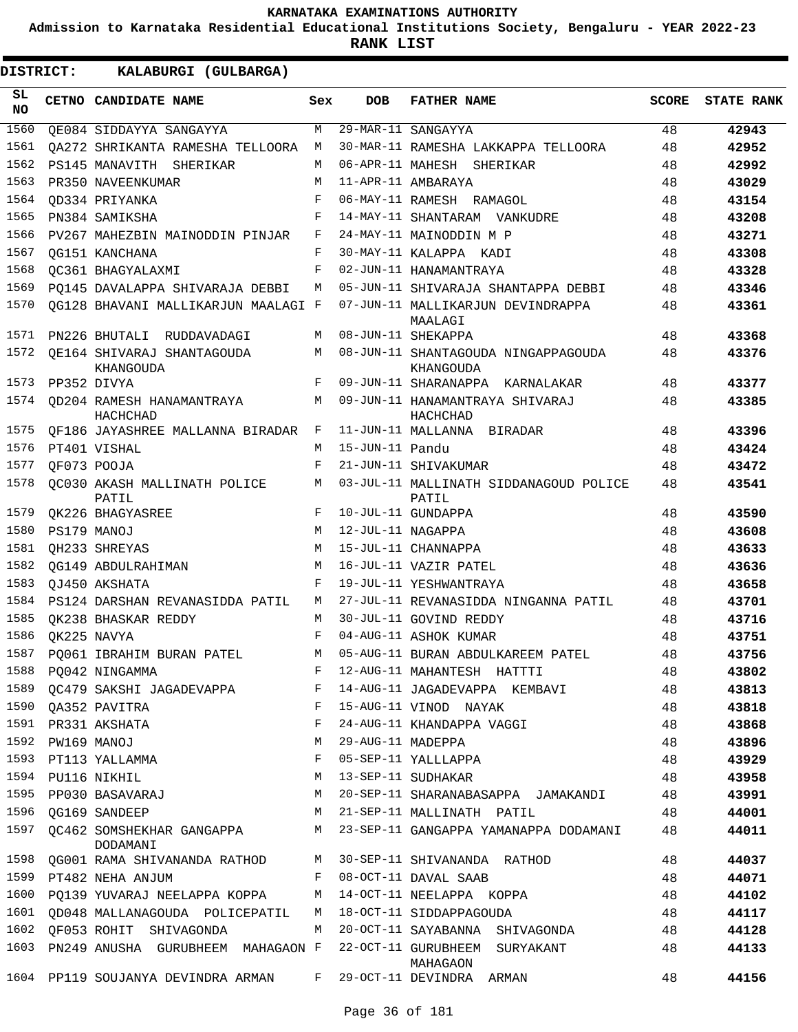**Admission to Karnataka Residential Educational Institutions Society, Bengaluru - YEAR 2022-23**

| <b>DISTRICT:</b> | KALABURGI (GULBARGA)                                       |     |                   |                                                  |              |                   |
|------------------|------------------------------------------------------------|-----|-------------------|--------------------------------------------------|--------------|-------------------|
| SL<br><b>NO</b>  | CETNO CANDIDATE NAME                                       | Sex | <b>DOB</b>        | <b>FATHER NAME</b>                               | <b>SCORE</b> | <b>STATE RANK</b> |
| 1560             | OE084 SIDDAYYA SANGAYYA                                    | M   |                   | 29-MAR-11 SANGAYYA                               | 48           | 42943             |
| 1561             | OA272 SHRIKANTA RAMESHA TELLOORA                           | M   |                   | 30-MAR-11 RAMESHA LAKKAPPA TELLOORA              | 48           | 42952             |
| 1562             | PS145 MANAVITH SHERIKAR                                    | M   |                   | 06-APR-11 MAHESH SHERIKAR                        | 48           | 42992             |
| 1563             | PR350 NAVEENKUMAR                                          | M   |                   | 11-APR-11 AMBARAYA                               | 48           | 43029             |
| 1564             | OD334 PRIYANKA                                             | F   |                   | 06-MAY-11 RAMESH RAMAGOL                         | 48           | 43154             |
| 1565             | PN384 SAMIKSHA                                             | F   |                   | 14-MAY-11 SHANTARAM VANKUDRE                     | 48           | 43208             |
| 1566             | PV267 MAHEZBIN MAINODDIN PINJAR                            | F   |                   | 24-MAY-11 MAINODDIN M P                          | 48           | 43271             |
| 1567             | OG151 KANCHANA                                             | F   |                   | 30-MAY-11 KALAPPA KADI                           | 48           | 43308             |
| 1568             | OC361 BHAGYALAXMI                                          | F   |                   | 02-JUN-11 HANAMANTRAYA                           | 48           | 43328             |
| 1569             | PO145 DAVALAPPA SHIVARAJA DEBBI                            | М   |                   | 05-JUN-11 SHIVARAJA SHANTAPPA DEBBI              | 48           | 43346             |
| 1570             | QG128 BHAVANI MALLIKARJUN MAALAGI F                        |     |                   | 07-JUN-11 MALLIKARJUN DEVINDRAPPA<br>MAALAGI     | 48           | 43361             |
| 1571             | PN226 BHUTALI RUDDAVADAGI                                  | M   |                   | 08-JUN-11 SHEKAPPA                               | 48           | 43368             |
| 1572             | OE164 SHIVARAJ SHANTAGOUDA<br>KHANGOUDA                    | M   |                   | 08-JUN-11 SHANTAGOUDA NINGAPPAGOUDA<br>KHANGOUDA | 48           | 43376             |
| 1573             | PP352 DIVYA                                                | F   |                   | 09-JUN-11 SHARANAPPA KARNALAKAR                  | 48           | 43377             |
| 1574             | OD204 RAMESH HANAMANTRAYA<br>HACHCHAD                      | M   |                   | 09-JUN-11 HANAMANTRAYA SHIVARAJ<br>HACHCHAD      | 48           | 43385             |
| 1575             | OF186 JAYASHREE MALLANNA BIRADAR                           | F   |                   | 11-JUN-11 MALLANNA BIRADAR                       | 48           | 43396             |
| 1576             | PT401 VISHAL                                               | M   | 15-JUN-11 Pandu   |                                                  | 48           | 43424             |
| 1577             | OF073 POOJA                                                | F   |                   | 21-JUN-11 SHIVAKUMAR                             | 48           | 43472             |
| 1578             | OC030 AKASH MALLINATH POLICE<br>PATIL                      | М   |                   | 03-JUL-11 MALLINATH SIDDANAGOUD POLICE<br>PATIL  | 48           | 43541             |
| 1579             | QK226 BHAGYASREE                                           | F   |                   | 10-JUL-11 GUNDAPPA                               | 48           | 43590             |
| 1580             | PS179 MANOJ                                                | M   | 12-JUL-11 NAGAPPA |                                                  | 48           | 43608             |
| 1581             | OH233 SHREYAS                                              | M   |                   | 15-JUL-11 CHANNAPPA                              | 48           | 43633             |
| 1582             | OG149 ABDULRAHIMAN                                         | M   |                   | 16-JUL-11 VAZIR PATEL                            | 48           | 43636             |
| 1583             | OJ450 AKSHATA                                              | F   |                   | 19-JUL-11 YESHWANTRAYA                           | 48           | 43658             |
| 1584             | PS124 DARSHAN REVANASIDDA PATIL                            | М   |                   | 27-JUL-11 REVANASIDDA NINGANNA PATIL             | 48           | 43701             |
| 1585             | OK238 BHASKAR REDDY                                        | M   |                   | 30-JUL-11 GOVIND REDDY                           | 48           | 43716             |
| 1586             | QK225 NAVYA                                                | F   |                   | 04-AUG-11 ASHOK KUMAR                            | 48           | 43751             |
| 1587             | PQ061 IBRAHIM BURAN PATEL                                  |     |                   | 05-AUG-11 BURAN ABDULKAREEM PATEL                | 48           | 43756             |
| 1588             | PQ042 NINGAMMA                                             | F   |                   | 12-AUG-11 MAHANTESH HATTTI                       | 48           | 43802             |
| 1589             | QC479 SAKSHI JAGADEVAPPA F                                 |     |                   | 14-AUG-11 JAGADEVAPPA KEMBAVI                    | 48           | 43813             |
| 1590             | QA352 PAVITRA                                              | F   |                   | 15-AUG-11 VINOD NAYAK                            | 48           | 43818             |
| 1591             | PR331 AKSHATA                                              | F   |                   | 24-AUG-11 KHANDAPPA VAGGI                        | 48           | 43868             |
| 1592             | PW169 MANOJ                                                | М   | 29-AUG-11 MADEPPA |                                                  | 48           | 43896             |
|                  | 1593 PT113 YALLAMMA                                        | F   |                   | 05-SEP-11 YALLLAPPA                              | 48           | 43929             |
| 1594             | PU116 NIKHIL                                               | М   |                   | 13-SEP-11 SUDHAKAR                               | 48           | 43958             |
| 1595             | PP030 BASAVARAJ                                            | М   |                   | 20-SEP-11 SHARANABASAPPA JAMAKANDI               | 48           | 43991             |
| 1596             | QG169 SANDEEP                                              | M   |                   | 21-SEP-11 MALLINATH PATIL                        | 48           | 44001             |
| 1597             | QC462 SOMSHEKHAR GANGAPPA<br>DODAMANI                      |     |                   | M 23-SEP-11 GANGAPPA YAMANAPPA DODAMANI          | 48           | 44011             |
| 1598             | QG001 RAMA SHIVANANDA RATHOD M 30-SEP-11 SHIVANANDA RATHOD |     |                   |                                                  | 48           | 44037             |
| 1599             | PT482 NEHA ANJUM                                           | F   |                   | 08-OCT-11 DAVAL SAAB                             | 48           | 44071             |
| 1600             | PQ139 YUVARAJ NEELAPPA KOPPA                               | M   |                   | 14-OCT-11 NEELAPPA KOPPA                         | 48           | 44102             |
| 1601             | QD048 MALLANAGOUDA POLICEPATIL                             | M   |                   | 18-OCT-11 SIDDAPPAGOUDA                          | 48           | 44117             |
|                  | 1602 QF053 ROHIT SHIVAGONDA                                | M   |                   | 20-OCT-11 SAYABANNA SHIVAGONDA                   | 48           | 44128             |
| 1603             | PN249 ANUSHA GURUBHEEM MAHAGAON F                          |     |                   | 22-OCT-11 GURUBHEEM SURYAKANT<br>MAHAGAON        | 48           | 44133             |
|                  | 1604 PP119 SOUJANYA DEVINDRA ARMAN                         | F   |                   | 29-OCT-11 DEVINDRA ARMAN                         | 48           | 44156             |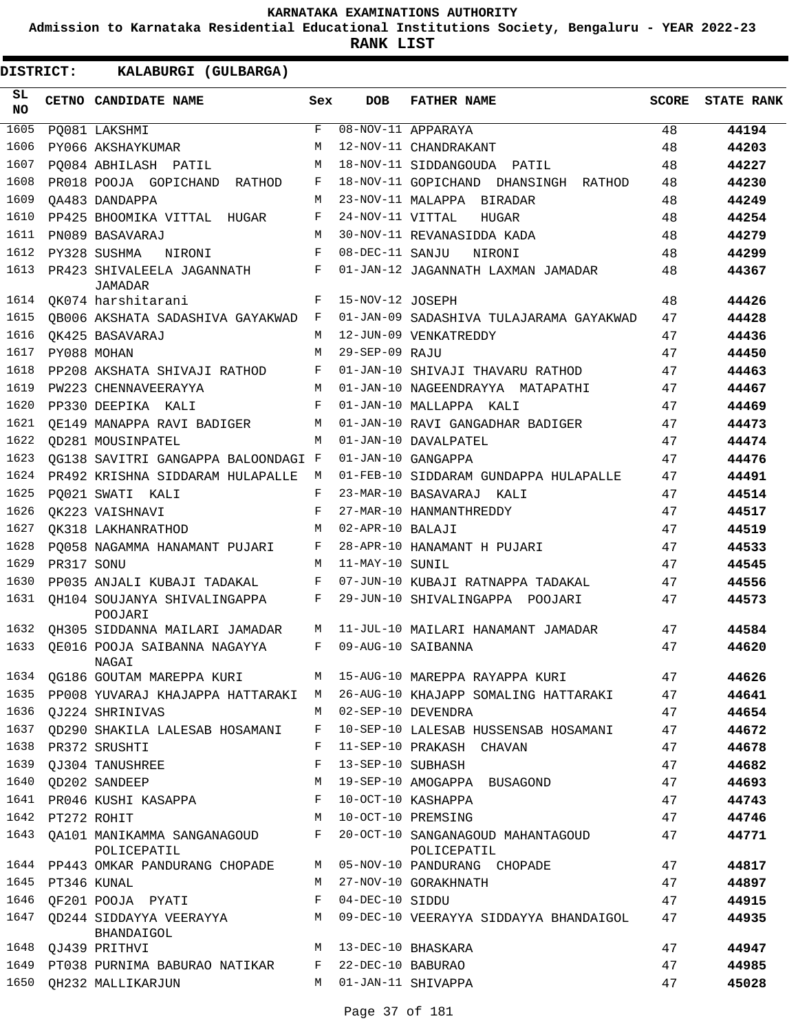**Admission to Karnataka Residential Educational Institutions Society, Bengaluru - YEAR 2022-23**

**RANK LIST**

| SL<br><b>NO</b> |                  | CETNO CANDIDATE NAME                       | Sex          | <b>DOB</b>          | <b>FATHER NAME</b>                               | <b>SCORE</b> | <b>STATE RANK</b> |
|-----------------|------------------|--------------------------------------------|--------------|---------------------|--------------------------------------------------|--------------|-------------------|
| 1605            |                  | PQ081 LAKSHMI                              | $\mathbf{F}$ |                     | 08-NOV-11 APPARAYA                               | 48           | 44194             |
| 1606            |                  | PY066 AKSHAYKUMAR                          | М            |                     | 12-NOV-11 CHANDRAKANT                            | 48           | 44203             |
| 1607            |                  | PO084 ABHILASH PATIL                       | M            |                     | 18-NOV-11 SIDDANGOUDA PATIL                      | 48           | 44227             |
| 1608            |                  | PR018 POOJA GOPICHAND<br>RATHOD            | F            |                     | 18-NOV-11 GOPICHAND DHANSINGH RATHOD             | 48           | 44230             |
| 1609            |                  | OA483 DANDAPPA                             | М            |                     | 23-NOV-11 MALAPPA BIRADAR                        | 48           | 44249             |
| 1610            |                  | PP425 BHOOMIKA VITTAL HUGAR                | F            | 24-NOV-11 VITTAL    | HUGAR                                            | 48           | 44254             |
| 1611            |                  | PN089 BASAVARAJ                            | М            |                     | 30-NOV-11 REVANASIDDA KADA                       | 48           | 44279             |
| 1612            |                  | PY328 SUSHMA<br>NIRONI                     | F            | 08-DEC-11 SANJU     | NIRONI                                           | 48           | 44299             |
| 1613            |                  | PR423 SHIVALEELA JAGANNATH<br>JAMADAR      | F            |                     | 01-JAN-12 JAGANNATH LAXMAN JAMADAR               | 48           | 44367             |
| 1614            |                  | OK074 harshitarani                         | F            | 15-NOV-12 JOSEPH    |                                                  | 48           | 44426             |
| 1615            |                  | OB006 AKSHATA SADASHIVA GAYAKWAD           | F            |                     | 01-JAN-09 SADASHIVA TULAJARAMA GAYAKWAD          | 47           | 44428             |
| 1616            |                  | OK425 BASAVARAJ                            | М            |                     | 12-JUN-09 VENKATREDDY                            | 47           | 44436             |
| 1617            |                  | PY088 MOHAN                                | М            | 29-SEP-09 RAJU      |                                                  | 47           | 44450             |
| 1618            |                  | PP208 AKSHATA SHIVAJI RATHOD               | F            |                     | 01-JAN-10 SHIVAJI THAVARU RATHOD                 | 47           | 44463             |
| 1619            |                  | PW223 CHENNAVEERAYYA                       | M            |                     | 01-JAN-10 NAGEENDRAYYA MATAPATHI                 | 47           | 44467             |
| 1620            |                  | PP330 DEEPIKA KALI                         | F            |                     | 01-JAN-10 MALLAPPA KALI                          | 47           | 44469             |
| 1621            |                  | OE149 MANAPPA RAVI BADIGER                 | М            |                     | 01-JAN-10 RAVI GANGADHAR BADIGER                 | 47           | 44473             |
| 1622            |                  | OD281 MOUSINPATEL                          | M            |                     | 01-JAN-10 DAVALPATEL                             | 47           | 44474             |
| 1623            |                  | OG138 SAVITRI GANGAPPA BALOONDAGI F        |              |                     | 01-JAN-10 GANGAPPA                               | 47           | 44476             |
| 1624            |                  | PR492 KRISHNA SIDDARAM HULAPALLE           | М            |                     | 01-FEB-10 SIDDARAM GUNDAPPA HULAPALLE            | 47           | 44491             |
| 1625            |                  | PO021 SWATI KALI                           | F            |                     | 23-MAR-10 BASAVARAJ KALI                         | 47           | 44514             |
| 1626            |                  | OK223 VAISHNAVI                            | F            |                     | 27-MAR-10 HANMANTHREDDY                          | 47           | 44517             |
| 1627            |                  | OK318 LAKHANRATHOD                         | М            | 02-APR-10 BALAJI    |                                                  | 47           | 44519             |
| 1628            |                  | PO058 NAGAMMA HANAMANT PUJARI              | F            |                     | 28-APR-10 HANAMANT H PUJARI                      | 47           | 44533             |
| 1629            | PR317 SONU       |                                            | M            | 11-MAY-10 SUNIL     |                                                  | 47           | 44545             |
| 1630            |                  | PP035 ANJALI KUBAJI TADAKAL                | F            |                     | 07-JUN-10 KUBAJI RATNAPPA TADAKAL                | 47           | 44556             |
| 1631            |                  | OH104 SOUJANYA SHIVALINGAPPA<br>POOJARI    | F            |                     | 29-JUN-10 SHIVALINGAPPA POOJARI                  | 47           | 44573             |
| 1632            |                  | QH305 SIDDANNA MAILARI JAMADAR             | M            |                     | 11-JUL-10 MAILARI HANAMANT JAMADAR               | 47           | 44584             |
| 1633            |                  | OE016 POOJA SAIBANNA NAGAYYA<br>NAGAI      | F            |                     | 09-AUG-10 SAIBANNA                               | 47           | 44620             |
| 1634            |                  | <b>QG186 GOUTAM MAREPPA KURI</b>           | M            |                     | 15-AUG-10 MAREPPA RAYAPPA KURI                   | 47           | 44626             |
| 1635            |                  | PP008 YUVARAJ KHAJAPPA HATTARAKI M         |              |                     | 26-AUG-10 KHAJAPP SOMALING HATTARAKI             | 47           | 44641             |
| 1636            |                  | OJ224 SHRINIVAS                            | M            |                     | 02-SEP-10 DEVENDRA                               | 47           | 44654             |
| 1637            |                  | QD290 SHAKILA LALESAB HOSAMANI             | F            |                     | 10-SEP-10 LALESAB HUSSENSAB HOSAMANI             | 47           | 44672             |
| 1638            |                  | PR372 SRUSHTI                              | F            |                     | 11-SEP-10 PRAKASH CHAVAN                         | 47           | 44678             |
| 1639            |                  | QJ304 TANUSHREE                            | F            | 13-SEP-10 SUBHASH   |                                                  | 47           | 44682             |
| 1640            |                  | QD202 SANDEEP                              | М            |                     | 19-SEP-10 AMOGAPPA BUSAGOND                      | 47           | 44693             |
|                 |                  | 1641 PR046 KUSHI KASAPPA                   | F            |                     | 10-OCT-10 KASHAPPA                               | 47           | 44743             |
|                 | 1642 PT272 ROHIT |                                            | M            |                     | 10-OCT-10 PREMSING                               | 47           | 44746             |
| 1643            |                  | QA101 MANIKAMMA SANGANAGOUD<br>POLICEPATIL | F            |                     | 20-OCT-10 SANGANAGOUD MAHANTAGOUD<br>POLICEPATIL | 47           | 44771             |
|                 |                  | 1644 PP443 OMKAR PANDURANG CHOPADE         | M            |                     | 05-NOV-10 PANDURANG CHOPADE                      | 47           | 44817             |
| 1645            | PT346 KUNAL      |                                            | M            |                     | 27-NOV-10 GORAKHNATH                             | 47           | 44897             |
| 1646            |                  | QF201 POOJA PYATI                          | F            | 04-DEC-10 SIDDU     |                                                  | 47           | 44915             |
| 1647            |                  | QD244 SIDDAYYA VEERAYYA<br>BHANDAIGOL      | M            |                     | 09-DEC-10 VEERAYYA SIDDAYYA BHANDAIGOL           | 47           | 44935             |
|                 |                  | 1648 QJ439 PRITHVI                         | M            |                     | 13-DEC-10 BHASKARA                               | 47           | 44947             |
|                 |                  | 1649 PT038 PURNIMA BABURAO NATIKAR         |              | F 22-DEC-10 BABURAO |                                                  | 47           | 44985             |
|                 |                  | 1650 QH232 MALLIKARJUN                     | M            |                     | 01-JAN-11 SHIVAPPA                               | 47           | 45028             |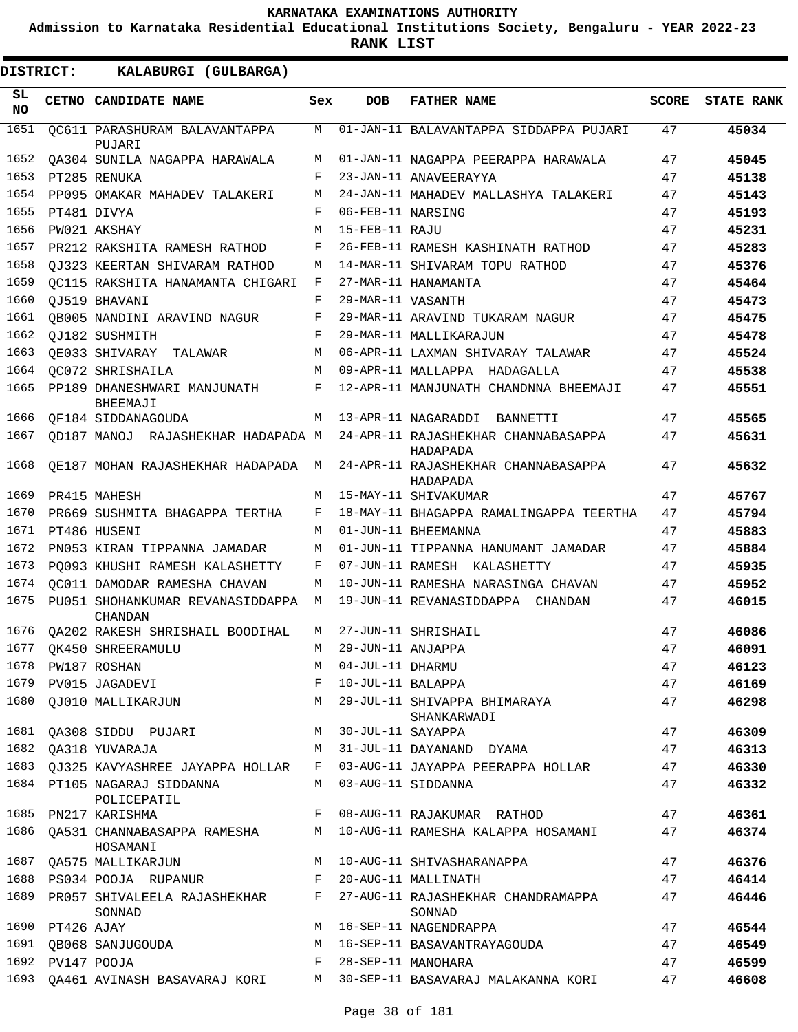**Admission to Karnataka Residential Educational Institutions Society, Bengaluru - YEAR 2022-23**

| DISTRICT:       |                  | KALABURGI (GULBARGA)                                          |     |                     |                                                                          |              |                   |
|-----------------|------------------|---------------------------------------------------------------|-----|---------------------|--------------------------------------------------------------------------|--------------|-------------------|
| SL<br><b>NO</b> |                  | CETNO CANDIDATE NAME                                          | Sex | <b>DOB</b>          | <b>FATHER NAME</b>                                                       | <b>SCORE</b> | <b>STATE RANK</b> |
| 1651            |                  | OC611 PARASHURAM BALAVANTAPPA<br>PUJARI                       | М   |                     | 01-JAN-11 BALAVANTAPPA SIDDAPPA PUJARI                                   | 47           | 45034             |
| 1652            |                  | OA304 SUNILA NAGAPPA HARAWALA                                 | M   |                     | 01-JAN-11 NAGAPPA PEERAPPA HARAWALA                                      | 47           | 45045             |
| 1653            |                  | PT285 RENUKA                                                  | F   |                     | 23-JAN-11 ANAVEERAYYA                                                    | 47           | 45138             |
| 1654            |                  | PP095 OMAKAR MAHADEV TALAKERI                                 | М   |                     | 24-JAN-11 MAHADEV MALLASHYA TALAKERI                                     | 47           | 45143             |
| 1655            |                  | PT481 DIVYA                                                   | F   | 06-FEB-11 NARSING   |                                                                          | 47           | 45193             |
| 1656            |                  | PW021 AKSHAY                                                  | M   | 15-FEB-11 RAJU      |                                                                          | 47           | 45231             |
| 1657            |                  | PR212 RAKSHITA RAMESH RATHOD                                  | F   |                     | 26-FEB-11 RAMESH KASHINATH RATHOD                                        | 47           | 45283             |
| 1658            |                  | OJ323 KEERTAN SHIVARAM RATHOD                                 | М   |                     | 14-MAR-11 SHIVARAM TOPU RATHOD                                           | 47           | 45376             |
| 1659            |                  | OC115 RAKSHITA HANAMANTA CHIGARI                              | F   |                     | 27-MAR-11 HANAMANTA                                                      | 47           | 45464             |
| 1660            |                  | OJ519 BHAVANI                                                 | F   | 29-MAR-11 VASANTH   |                                                                          | 47           | 45473             |
| 1661            |                  | OB005 NANDINI ARAVIND NAGUR                                   | F   |                     | 29-MAR-11 ARAVIND TUKARAM NAGUR                                          | 47           | 45475             |
| 1662            |                  | OJ182 SUSHMITH                                                | F   |                     | 29-MAR-11 MALLIKARAJUN                                                   | 47           | 45478             |
| 1663            |                  | OE033 SHIVARAY TALAWAR                                        | М   |                     | 06-APR-11 LAXMAN SHIVARAY TALAWAR                                        | 47           | 45524             |
| 1664            |                  | OC072 SHRISHAILA                                              | М   |                     | 09-APR-11 MALLAPPA HADAGALLA                                             | 47           | 45538             |
| 1665            |                  | PP189 DHANESHWARI MANJUNATH<br><b>BHEEMAJI</b>                | F   |                     | 12-APR-11 MANJUNATH CHANDNNA BHEEMAJI                                    | 47           | 45551             |
| 1666            |                  | OF184 SIDDANAGOUDA                                            | M   |                     | 13-APR-11 NAGARADDI BANNETTI                                             | 47           | 45565             |
| 1667            |                  | OD187 MANOJ RAJASHEKHAR HADAPADA M                            |     |                     | 24-APR-11 RAJASHEKHAR CHANNABASAPPA<br>HADAPADA                          | 47           | 45631             |
| 1668            |                  | OE187 MOHAN RAJASHEKHAR HADAPADA                              | M   |                     | 24-APR-11 RAJASHEKHAR CHANNABASAPPA<br>HADAPADA                          | 47           | 45632             |
| 1669            |                  | PR415 MAHESH                                                  | М   |                     | 15-MAY-11 SHIVAKUMAR                                                     | 47           | 45767             |
| 1670            |                  | PR669 SUSHMITA BHAGAPPA TERTHA                                | F   |                     | 18-MAY-11 BHAGAPPA RAMALINGAPPA TEERTHA                                  | 47           | 45794             |
| 1671            |                  | PT486 HUSENI                                                  | M   |                     | 01-JUN-11 BHEEMANNA                                                      | 47           | 45883             |
| 1672            |                  | PN053 KIRAN TIPPANNA JAMADAR                                  | M   |                     | 01-JUN-11 TIPPANNA HANUMANT JAMADAR                                      | 47           | 45884             |
| 1673            |                  | PQ093 KHUSHI RAMESH KALASHETTY                                | F   |                     | 07-JUN-11 RAMESH KALASHETTY                                              | 47           | 45935             |
| 1674            |                  | OC011 DAMODAR RAMESHA CHAVAN                                  | М   |                     | 10-JUN-11 RAMESHA NARASINGA CHAVAN                                       | 47           | 45952             |
| 1675            |                  | PU051 SHOHANKUMAR REVANASIDDAPPA<br><b>CHANDAN</b>            | М   |                     | 19-JUN-11 REVANASIDDAPPA CHANDAN                                         | 47           | 46015             |
| 1676            |                  | OA202 RAKESH SHRISHAIL BOODIHAL                               | М   |                     | 27-JUN-11 SHRISHAIL                                                      | 47           | 46086             |
|                 |                  | 1677 QK450 SHREERAMULU                                        | M   | 29-JUN-11 ANJAPPA   |                                                                          | 47           | 46091             |
|                 |                  | 1678 PW187 ROSHAN<br>1678 PW187 ROSHAN<br>1679 PV015 JAGADEVI | M   | 04-JUL-11 DHARMU    |                                                                          | 47           | 46123             |
|                 |                  |                                                               | F   | 10-JUL-11 BALAPPA   |                                                                          | 47           | 46169             |
|                 |                  | 1680 QJ010 MALLIKARJUN                                        |     |                     | M 29-JUL-11 SHIVAPPA BHIMARAYA<br>SHANKARWADI                            | 47           | 46298             |
|                 |                  | 1681 QA308 SIDDU PUJARI                                       |     | M 30-JUL-11 SAYAPPA |                                                                          | 47           | 46309             |
|                 |                  | 1682 QA318 YUVARAJA                                           |     |                     | M 31-JUL-11 DAYANAND DYAMA                                               | 47           | 46313             |
|                 |                  |                                                               |     |                     | 1683 QJ325 KAVYASHREE JAYAPPA HOLLAR F 03-AUG-11 JAYAPPA PEERAPPA HOLLAR | 47           | 46330             |
|                 |                  | 1684 PT105 NAGARAJ SIDDANNA<br>POLICEPATIL                    |     |                     | M 03-AUG-11 SIDDANNA                                                     | 47           | 46332             |
|                 |                  | 1685 PN217 KARISHMA                                           |     |                     | F 08-AUG-11 RAJAKUMAR RATHOD                                             | 47           | 46361             |
|                 |                  | 1686 QA531 CHANNABASAPPA RAMESHA<br>HOSAMANI                  |     |                     | M 10-AUG-11 RAMESHA KALAPPA HOSAMANI                                     | 47           | 46374             |
|                 |                  | 1687 QA575 MALLIKARJUN                                        |     |                     | M 10-AUG-11 SHIVASHARANAPPA                                              | 47           | 46376             |
|                 |                  | 1688 PS034 POOJA RUPANUR NE 20-AUG-11 MALLINATH               |     |                     |                                                                          | 47           | 46414             |
|                 |                  | 1689 PR057 SHIVALEELA RAJASHEKHAR<br>SONNAD                   |     |                     | F 27-AUG-11 RAJASHEKHAR CHANDRAMAPPA<br>SONNAD                           | 47           | 46446             |
|                 | 1690 PT426 AJAY  |                                                               |     |                     | M 16-SEP-11 NAGENDRAPPA                                                  | 47           | 46544             |
|                 |                  | 1691 QB068 SANJUGOUDA                                         |     |                     | M 16-SEP-11 BASAVANTRAYAGOUDA                                            | 47           | 46549             |
|                 | 1692 PV147 POOJA |                                                               | F   |                     | 28-SEP-11 MANOHARA                                                       | 47           | 46599             |
| 1693            |                  | QA461 AVINASH BASAVARAJ KORI                                  |     |                     | M 30-SEP-11 BASAVARAJ MALAKANNA KORI                                     | 47           | 46608             |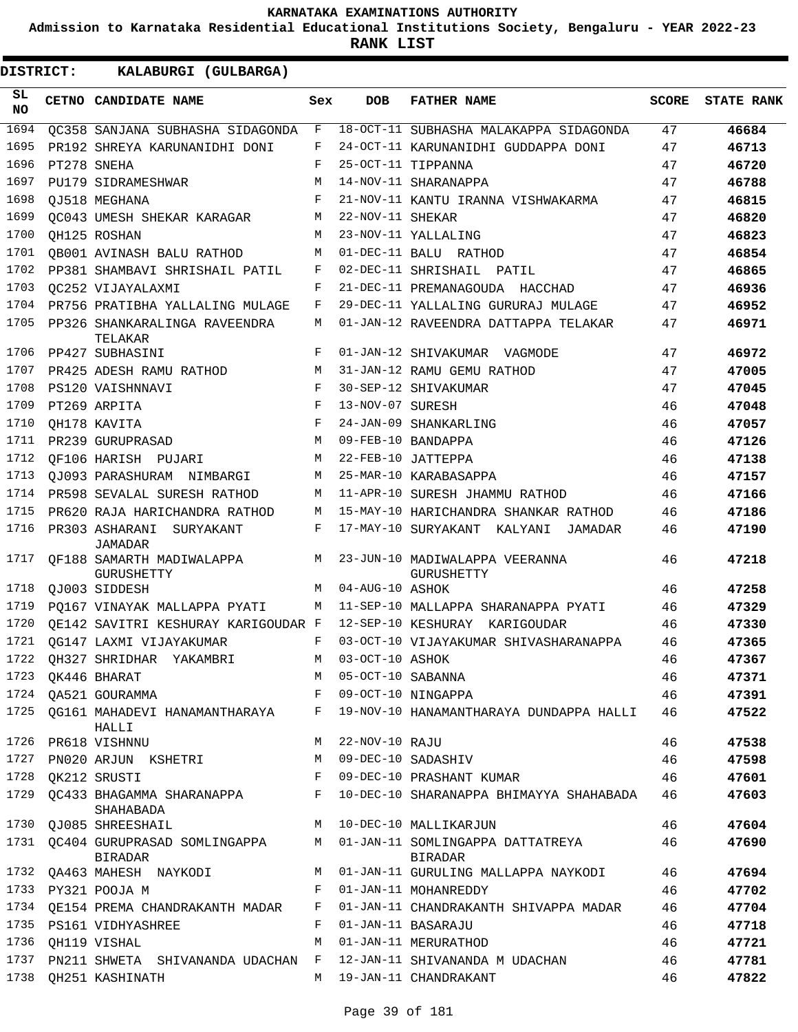**Admission to Karnataka Residential Educational Institutions Society, Bengaluru - YEAR 2022-23**

**RANK LIST**

ı

| DISTRICT:        | KALABURGI (GULBARGA)                                  |              |                   |                                                     |              |                   |
|------------------|-------------------------------------------------------|--------------|-------------------|-----------------------------------------------------|--------------|-------------------|
| SL.<br><b>NO</b> | CETNO CANDIDATE NAME                                  | Sex          | DOB               | <b>FATHER NAME</b>                                  | <b>SCORE</b> | <b>STATE RANK</b> |
| 1694             | OC358 SANJANA SUBHASHA SIDAGONDA                      | F            |                   | 18-OCT-11 SUBHASHA MALAKAPPA SIDAGONDA              | 47           | 46684             |
| 1695             | PR192 SHREYA KARUNANIDHI DONI                         | F            |                   | 24-OCT-11 KARUNANIDHI GUDDAPPA DONI                 | 47           | 46713             |
| 1696             | PT278 SNEHA                                           | F            |                   | 25-OCT-11 TIPPANNA                                  | 47           | 46720             |
| 1697             | PU179 SIDRAMESHWAR                                    | M            |                   | 14-NOV-11 SHARANAPPA                                | 47           | 46788             |
| 1698             | OJ518 MEGHANA                                         | F            |                   | 21-NOV-11 KANTU IRANNA VISHWAKARMA                  | 47           | 46815             |
| 1699             | OC043 UMESH SHEKAR KARAGAR                            | М            | 22-NOV-11 SHEKAR  |                                                     | 47           | 46820             |
| 1700             | OH125 ROSHAN                                          | M            |                   | 23-NOV-11 YALLALING                                 | 47           | 46823             |
| 1701             | QB001 AVINASH BALU RATHOD                             | M            |                   | 01-DEC-11 BALU RATHOD                               | 47           | 46854             |
| 1702             | PP381 SHAMBAVI SHRISHAIL PATIL                        | F            |                   | 02-DEC-11 SHRISHAIL PATIL                           | 47           | 46865             |
| 1703             | OC252 VIJAYALAXMI                                     | F            |                   | 21-DEC-11 PREMANAGOUDA HACCHAD                      | 47           | 46936             |
| 1704             | PR756 PRATIBHA YALLALING MULAGE                       | F            |                   | 29-DEC-11 YALLALING GURURAJ MULAGE                  | 47           | 46952             |
| 1705             | PP326 SHANKARALINGA RAVEENDRA<br>TELAKAR              | M            |                   | 01-JAN-12 RAVEENDRA DATTAPPA TELAKAR                | 47           | 46971             |
| 1706             | PP427 SUBHASINI                                       | F            |                   | 01-JAN-12 SHIVAKUMAR VAGMODE                        | 47           | 46972             |
| 1707             | PR425 ADESH RAMU RATHOD                               | M            |                   | 31-JAN-12 RAMU GEMU RATHOD                          | 47           | 47005             |
| 1708             | PS120 VAISHNNAVI                                      | F            |                   | 30-SEP-12 SHIVAKUMAR                                | 47           | 47045             |
| 1709             | PT269 ARPITA                                          | F            | 13-NOV-07 SURESH  |                                                     | 46           | 47048             |
| 1710             | QH178 KAVITA                                          | F            |                   | 24-JAN-09 SHANKARLING                               | 46           | 47057             |
| 1711             | PR239 GURUPRASAD                                      | M            |                   | 09-FEB-10 BANDAPPA                                  | 46           | 47126             |
| 1712             | OF106 HARISH PUJARI                                   | М            |                   | 22-FEB-10 JATTEPPA                                  | 46           | 47138             |
| 1713             | OJ093 PARASHURAM NIMBARGI                             | M            |                   | 25-MAR-10 KARABASAPPA                               | 46           | 47157             |
| 1714             | PR598 SEVALAL SURESH RATHOD                           | M            |                   | 11-APR-10 SURESH JHAMMU RATHOD                      | 46           | 47166             |
| 1715             | PR620 RAJA HARICHANDRA RATHOD                         | M            |                   | 15-MAY-10 HARICHANDRA SHANKAR RATHOD                | 46           | 47186             |
| 1716             | PR303 ASHARANI<br>SURYAKANT<br>JAMADAR                | F            |                   | 17-MAY-10 SURYAKANT KALYANI<br>JAMADAR              | 46           | 47190             |
| 1717             | OF188 SAMARTH MADIWALAPPA<br>GURUSHETTY               | M            |                   | 23-JUN-10 MADIWALAPPA VEERANNA<br><b>GURUSHETTY</b> | 46           | 47218             |
| 1718             | OJ003 SIDDESH                                         | M            | 04-AUG-10 ASHOK   |                                                     | 46           | 47258             |
| 1719             | PO167 VINAYAK MALLAPPA PYATI                          | М            |                   | 11-SEP-10 MALLAPPA SHARANAPPA PYATI                 | 46           | 47329             |
| 1720             | OE142 SAVITRI KESHURAY KARIGOUDAR F                   |              |                   | 12-SEP-10 KESHURAY KARIGOUDAR                       | 46           | 47330             |
| 1721             | OG147 LAXMI VIJAYAKUMAR                               | F            |                   | 03-OCT-10 VIJAYAKUMAR SHIVASHARANAPPA               | 46           | 47365             |
| 1722             | QH327 SHRIDHAR YAKAMBRI                               | M            | 03-OCT-10 ASHOK   |                                                     | 46           | 47367             |
| 1723             | QK446 BHARAT                                          | M            | 05-OCT-10 SABANNA |                                                     | 46           | 47371             |
| 1724             | OA521 GOURAMMA                                        | F            |                   | 09-OCT-10 NINGAPPA                                  | 46           | 47391             |
| 1725             | QG161 MAHADEVI HANAMANTHARAYA F<br>HALLI              |              |                   | 19-NOV-10 HANAMANTHARAYA DUNDAPPA HALLI             | 46           | 47522             |
| 1726             | PR618 VISHNNU                                         | M            | 22-NOV-10 RAJU    |                                                     | 46           | 47538             |
| 1727             | PN020 ARJUN KSHETRI                                   | M            |                   | 09-DEC-10 SADASHIV                                  | 46           | 47598             |
| 1728             | QK212 SRUSTI                                          | F            |                   | 09-DEC-10 PRASHANT KUMAR                            | 46           | 47601             |
| 1729             | QC433 BHAGAMMA SHARANAPPA<br>SHAHABADA                | F            |                   | 10-DEC-10 SHARANAPPA BHIMAYYA SHAHABADA             | 46           | 47603             |
| 1730             | QJ085 SHREESHAIL                                      | M            |                   | 10-DEC-10 MALLIKARJUN                               | 46           | 47604             |
| 1731             | <b>QC404 GURUPRASAD SOMLINGAPPA</b><br><b>BIRADAR</b> | M            |                   | 01-JAN-11 SOMLINGAPPA DATTATREYA<br>BIRADAR         | 46           | 47690             |
| 1732             | QA463 MAHESH NAYKODI                                  | M            |                   | 01-JAN-11 GURULING MALLAPPA NAYKODI                 | 46           | 47694             |
|                  | 1733 PY321 POOJA M                                    | $\mathbf{F}$ |                   | 01-JAN-11 MOHANREDDY                                | 46           | 47702             |
| 1734             | QE154 PREMA CHANDRAKANTH MADAR F                      |              |                   | 01-JAN-11 CHANDRAKANTH SHIVAPPA MADAR               | 46           | 47704             |
| 1735             | PS161 VIDHYASHREE                                     | F            |                   | 01-JAN-11 BASARAJU                                  | 46           | 47718             |
| 1736             | QH119 VISHAL                                          | M            |                   | 01-JAN-11 MERURATHOD                                | 46           | 47721             |
| 1737             | PN211 SHWETA SHIVANANDA UDACHAN F                     |              |                   | 12-JAN-11 SHIVANANDA M UDACHAN                      | 46           | 47781             |
| 1738             | QH251 KASHINATH                                       | M            |                   | 19-JAN-11 CHANDRAKANT                               | 46           | 47822             |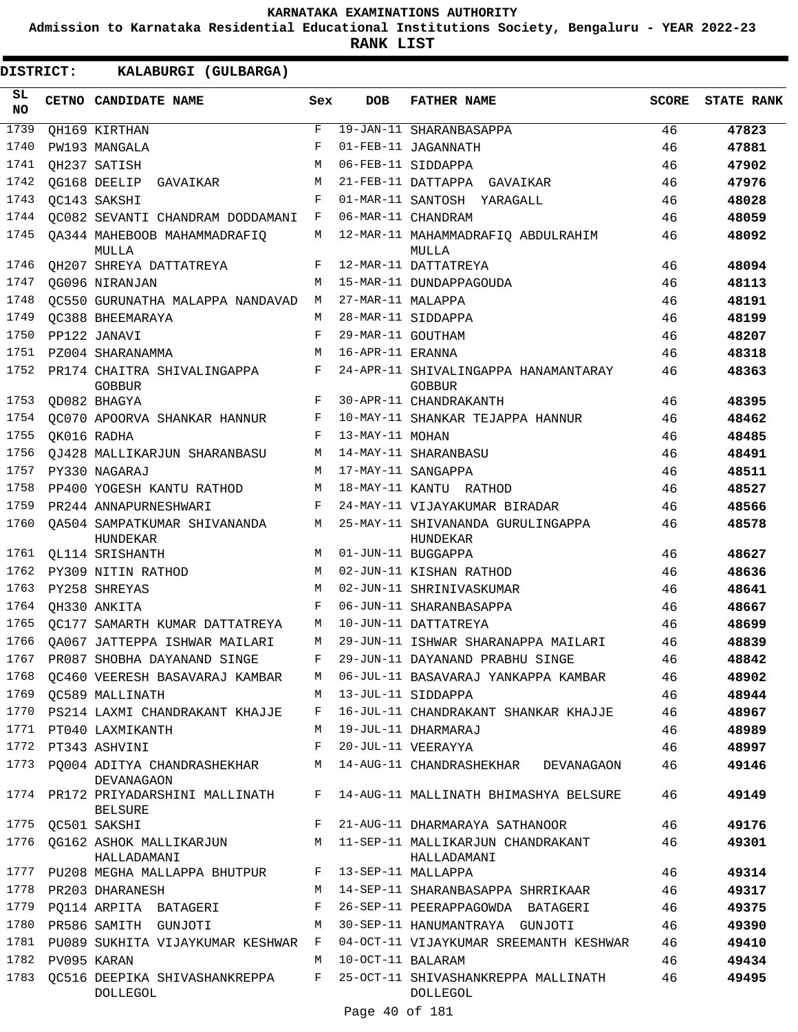**Admission to Karnataka Residential Educational Institutions Society, Bengaluru - YEAR 2022-23**

**RANK LIST**

**DISTRICT:** KK **KALABURGI (GULBARGA)**

| SL<br><b>NO</b> | CETNO CANDIDATE NAME                            | Sex        | <b>DOB</b>        | <b>FATHER NAME</b>                                    | <b>SCORE</b> | <b>STATE RANK</b> |
|-----------------|-------------------------------------------------|------------|-------------------|-------------------------------------------------------|--------------|-------------------|
| 1739            | QH169 KIRTHAN                                   | $_{\rm F}$ |                   | 19-JAN-11 SHARANBASAPPA                               | 46           | 47823             |
| 1740            | PW193 MANGALA                                   | F          |                   | 01-FEB-11 JAGANNATH                                   | 46           | 47881             |
| 1741            | OH237 SATISH                                    | M          |                   | 06-FEB-11 SIDDAPPA                                    | 46           | 47902             |
| 1742            | QG168 DEELIP GAVAIKAR                           | M          |                   | 21-FEB-11 DATTAPPA GAVAIKAR                           | 46           | 47976             |
| 1743            | QC143 SAKSHI                                    | F          |                   | 01-MAR-11 SANTOSH YARAGALL                            | 46           | 48028             |
| 1744            | OC082 SEVANTI CHANDRAM DODDAMANI                | F          |                   | 06-MAR-11 CHANDRAM                                    | 46           | 48059             |
| 1745            | QA344 MAHEBOOB MAHAMMADRAFIQ<br>MULLA           | M          |                   | 12-MAR-11 MAHAMMADRAFIQ ABDULRAHIM<br>MULLA           | 46           | 48092             |
| 1746            | QH207 SHREYA DATTATREYA                         | F          |                   | 12-MAR-11 DATTATREYA                                  | 46           | 48094             |
| 1747            | QG096 NIRANJAN                                  | M          |                   | 15-MAR-11 DUNDAPPAGOUDA                               | 46           | 48113             |
| 1748            | OC550 GURUNATHA MALAPPA NANDAVAD                | M          | 27-MAR-11 MALAPPA |                                                       | 46           | 48191             |
| 1749            | OC388 BHEEMARAYA                                | М          |                   | 28-MAR-11 SIDDAPPA                                    | 46           | 48199             |
| 1750            | PP122 JANAVI                                    | F          | 29-MAR-11 GOUTHAM |                                                       | 46           | 48207             |
| 1751            | PZ004 SHARANAMMA                                | M          | 16-APR-11 ERANNA  |                                                       | 46           | 48318             |
| 1752            | PR174 CHAITRA SHIVALINGAPPA<br><b>GOBBUR</b>    | F          |                   | 24-APR-11 SHIVALINGAPPA HANAMANTARAY<br><b>GOBBUR</b> | 46           | 48363             |
| 1753            | OD082 BHAGYA                                    | F          |                   | 30-APR-11 CHANDRAKANTH                                | 46           | 48395             |
| 1754            | OC070 APOORVA SHANKAR HANNUR                    | F          |                   | 10-MAY-11 SHANKAR TEJAPPA HANNUR                      | 46           | 48462             |
| 1755            | OK016 RADHA                                     | F          | 13-MAY-11 MOHAN   |                                                       | 46           | 48485             |
| 1756            | QJ428 MALLIKARJUN SHARANBASU                    | М          |                   | 14-MAY-11 SHARANBASU                                  | 46           | 48491             |
| 1757            | PY330 NAGARAJ                                   | M          |                   | 17-MAY-11 SANGAPPA                                    | 46           | 48511             |
| 1758            | PP400 YOGESH KANTU RATHOD                       | M          |                   | 18-MAY-11 KANTU RATHOD                                | 46           | 48527             |
| 1759            | PR244 ANNAPURNESHWARI                           | F          |                   | 24-MAY-11 VIJAYAKUMAR BIRADAR                         | 46           | 48566             |
| 1760            | OA504 SAMPATKUMAR SHIVANANDA<br>HUNDEKAR        | M          |                   | 25-MAY-11 SHIVANANDA GURULINGAPPA<br>HUNDEKAR         | 46           | 48578             |
| 1761            | <b>QL114 SRISHANTH</b>                          | M          |                   | 01-JUN-11 BUGGAPPA                                    | 46           | 48627             |
| 1762            | PY309 NITIN RATHOD                              | M          |                   | 02-JUN-11 KISHAN RATHOD                               | 46           | 48636             |
| 1763            | PY258 SHREYAS                                   | M          |                   | 02-JUN-11 SHRINIVASKUMAR                              | 46           | 48641             |
| 1764            | QH330 ANKITA                                    | F          |                   | 06-JUN-11 SHARANBASAPPA                               | 46           | 48667             |
| 1765            | OC177 SAMARTH KUMAR DATTATREYA                  | М          |                   | 10-JUN-11 DATTATREYA                                  | 46           | 48699             |
| 1766            | OA067 JATTEPPA ISHWAR MAILARI                   | M          |                   | 29-JUN-11 ISHWAR SHARANAPPA MAILARI                   | 46           | 48839             |
| 1767            | PR087 SHOBHA DAYANAND SINGE                     | F          |                   | 29-JUN-11 DAYANAND PRABHU SINGE                       | 46           | 48842             |
| 1768            | QC460 VEERESH BASAVARAJ KAMBAR                  | M          |                   | 06-JUL-11 BASAVARAJ YANKAPPA KAMBAR                   | 46           | 48902             |
| 1769            | OC589 MALLINATH                                 | M          |                   | 13-JUL-11 SIDDAPPA                                    | 46           | 48944             |
|                 | 1770 PS214 LAXMI CHANDRAKANT KHAJJE             | F          |                   | 16-JUL-11 CHANDRAKANT SHANKAR KHAJJE                  | 46           | 48967             |
| 1771            | PT040 LAXMIKANTH                                | M          |                   | 19-JUL-11 DHARMARAJ                                   | 46           | 48989             |
| 1772            | PT343 ASHVINI                                   | F          |                   | 20-JUL-11 VEERAYYA                                    | 46           | 48997             |
| 1773            | PO004 ADITYA CHANDRASHEKHAR<br>DEVANAGAON       | М          |                   | 14-AUG-11 CHANDRASHEKHAR<br>DEVANAGAON                | 46           | 49146             |
| 1774            | PR172 PRIYADARSHINI MALLINATH<br><b>BELSURE</b> | F          |                   | 14-AUG-11 MALLINATH BHIMASHYA BELSURE                 | 46           | 49149             |
| 1775            | OC501 SAKSHI                                    | F          |                   | 21-AUG-11 DHARMARAYA SATHANOOR                        | 46           | 49176             |
| 1776            | QG162 ASHOK MALLIKARJUN<br>HALLADAMANI          | M          |                   | 11-SEP-11 MALLIKARJUN CHANDRAKANT<br>HALLADAMANI      | 46           | 49301             |
|                 | 1777 PU208 MEGHA MALLAPPA BHUTPUR               | F          |                   | 13-SEP-11 MALLAPPA                                    | 46           | 49314             |
| 1778            | PR203 DHARANESH                                 | М          |                   | 14-SEP-11 SHARANBASAPPA SHRRIKAAR                     | 46           | 49317             |
| 1779            | PQ114 ARPITA BATAGERI                           | F          |                   | 26-SEP-11 PEERAPPAGOWDA BATAGERI                      | 46           | 49375             |
| 1780            | PR586 SAMITH GUNJOTI                            | М          |                   | 30-SEP-11 HANUMANTRAYA GUNJOTI                        | 46           | 49390             |
| 1781            | PU089 SUKHITA VIJAYKUMAR KESHWAR F              |            |                   | 04-OCT-11 VIJAYKUMAR SREEMANTH KESHWAR                | 46           | 49410             |
| 1782            | PV095 KARAN                                     | M          | 10-OCT-11 BALARAM |                                                       | 46           | 49434             |
| 1783            | QC516 DEEPIKA SHIVASHANKREPPA<br>DOLLEGOL       | F          |                   | 25-OCT-11 SHIVASHANKREPPA MALLINATH<br>DOLLEGOL       | 46           | 49495             |
|                 |                                                 |            |                   |                                                       |              |                   |

Page 40 of 181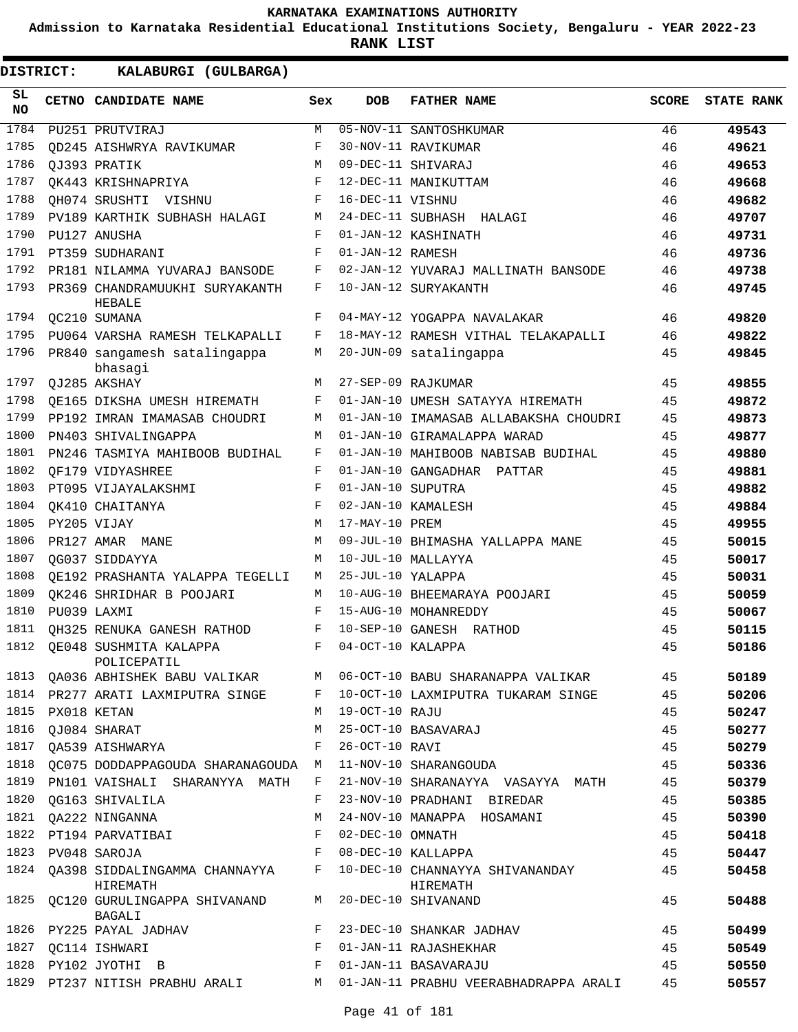**Admission to Karnataka Residential Educational Institutions Society, Bengaluru - YEAR 2022-23**

**RANK LIST**

| SL<br><b>NO</b> | <b>CETNO CANDIDATE NAME</b>               | Sex | DOB               | <b>FATHER NAME</b>                          | <b>SCORE</b> | <b>STATE RANK</b> |
|-----------------|-------------------------------------------|-----|-------------------|---------------------------------------------|--------------|-------------------|
| 1784            | PU251 PRUTVIRAJ                           | M   |                   | 05-NOV-11 SANTOSHKUMAR                      | 46           | 49543             |
| 1785            | OD245 AISHWRYA RAVIKUMAR                  | F   |                   | 30-NOV-11 RAVIKUMAR                         | 46           | 49621             |
| 1786            | QJ393 PRATIK                              | M   |                   | 09-DEC-11 SHIVARAJ                          | 46           | 49653             |
| 1787            | OK443 KRISHNAPRIYA                        | F   |                   | 12-DEC-11 MANIKUTTAM                        | 46           | 49668             |
| 1788            | OH074 SRUSHTI VISHNU                      | F   | 16-DEC-11 VISHNU  |                                             | 46           | 49682             |
| 1789            | PV189 KARTHIK SUBHASH HALAGI              | М   |                   | 24-DEC-11 SUBHASH HALAGI                    | 46           | 49707             |
| 1790            | PU127 ANUSHA                              | F   |                   | 01-JAN-12 KASHINATH                         | 46           | 49731             |
| 1791            | PT359 SUDHARANI                           | F   | 01-JAN-12 RAMESH  |                                             | 46           | 49736             |
| 1792            | PR181 NILAMMA YUVARAJ BANSODE             | F   |                   | 02-JAN-12 YUVARAJ MALLINATH BANSODE         | 46           | 49738             |
| 1793            | PR369 CHANDRAMUUKHI SURYAKANTH<br>HEBALE  | F   |                   | 10-JAN-12 SURYAKANTH                        | 46           | 49745             |
| 1794            | OC210 SUMANA                              | F   |                   | 04-MAY-12 YOGAPPA NAVALAKAR                 | 46           | 49820             |
| 1795            | PU064 VARSHA RAMESH TELKAPALLI            | F   |                   | 18-MAY-12 RAMESH VITHAL TELAKAPALLI         | 46           | 49822             |
| 1796            | PR840 sangamesh satalingappa<br>bhasagi   | М   |                   | 20-JUN-09 satalingappa                      | 45           | 49845             |
| 1797            | OJ285 AKSHAY                              | М   |                   | 27-SEP-09 RAJKUMAR                          | 45           | 49855             |
| 1798            | OE165 DIKSHA UMESH HIREMATH               | F   |                   | 01-JAN-10 UMESH SATAYYA HIREMATH            | 45           | 49872             |
| 1799            | PP192 IMRAN IMAMASAB CHOUDRI              | M   |                   | 01-JAN-10 IMAMASAB ALLABAKSHA CHOUDRI       | 45           | 49873             |
| 1800            | PN403 SHIVALINGAPPA                       | M   |                   | 01-JAN-10 GIRAMALAPPA WARAD                 | 45           | 49877             |
| 1801            | PN246 TASMIYA MAHIBOOB BUDIHAL            | F   |                   | 01-JAN-10 MAHIBOOB NABISAB BUDIHAL          | 45           | 49880             |
| 1802            | QF179 VIDYASHREE                          | F   |                   | 01-JAN-10 GANGADHAR PATTAR                  | 45           | 49881             |
| 1803            | PT095 VIJAYALAKSHMI                       | F   | 01-JAN-10 SUPUTRA |                                             | 45           | 49882             |
| 1804            | OK410 CHAITANYA                           | F   |                   | 02-JAN-10 KAMALESH                          | 45           | 49884             |
| 1805            | PY205 VIJAY                               | М   | 17-MAY-10 PREM    |                                             | 45           | 49955             |
| 1806            | PR127 AMAR MANE                           | M   |                   | 09-JUL-10 BHIMASHA YALLAPPA MANE            | 45           | 50015             |
| 1807            | OG037 SIDDAYYA                            | M   |                   | 10-JUL-10 MALLAYYA                          | 45           | 50017             |
| 1808            | QE192 PRASHANTA YALAPPA TEGELLI           | M   | 25-JUL-10 YALAPPA |                                             | 45           | 50031             |
| 1809            | OK246 SHRIDHAR B POOJARI                  | M   |                   | 10-AUG-10 BHEEMARAYA POOJARI                | 45           | 50059             |
| 1810            | PU039 LAXMI                               | F   |                   | 15-AUG-10 MOHANREDDY                        | 45           | 50067             |
| 1811            | QH325 RENUKA GANESH RATHOD                | F   |                   | 10-SEP-10 GANESH RATHOD                     | 45           | 50115             |
| 1812            | OE048 SUSHMITA KALAPPA<br>POLICEPATIL     | F   | 04-OCT-10 KALAPPA |                                             | 45           | 50186             |
| 1813            | QA036 ABHISHEK BABU VALIKAR               | М   |                   | 06-OCT-10 BABU SHARANAPPA VALIKAR           | 45           | 50189             |
| 1814            | PR277 ARATI LAXMIPUTRA SINGE              | F   |                   | 10-OCT-10 LAXMIPUTRA TUKARAM SINGE          | 45           | 50206             |
| 1815            | PX018 KETAN                               | M   | 19-OCT-10 RAJU    |                                             | 45           | 50247             |
| 1816            | QJ084 SHARAT                              | М   |                   | 25-OCT-10 BASAVARAJ                         | 45           | 50277             |
| 1817            | <b>QA539 AISHWARYA</b>                    | F   | 26-OCT-10 RAVI    |                                             | 45           | 50279             |
| 1818            | QC075 DODDAPPAGOUDA SHARANAGOUDA M        |     |                   | 11-NOV-10 SHARANGOUDA                       | 45           | 50336             |
| 1819            | PN101 VAISHALI SHARANYYA MATH             | F   |                   | 21-NOV-10 SHARANAYYA VASAYYA MATH           | 45           | 50379             |
| 1820            | OG163 SHIVALILA                           | F   |                   | 23-NOV-10 PRADHANI BIREDAR                  | 45           | 50385             |
| 1821            | QA222 NINGANNA                            | М   |                   | 24-NOV-10 MANAPPA HOSAMANI                  | 45           | 50390             |
| 1822            | PT194 PARVATIBAI                          | F   | 02-DEC-10 OMNATH  |                                             | 45           | 50418             |
| 1823            | PV048 SAROJA                              | F   |                   | 08-DEC-10 KALLAPPA                          | 45           | 50447             |
| 1824            | QA398 SIDDALINGAMMA CHANNAYYA<br>HIREMATH | F   |                   | 10-DEC-10 CHANNAYYA SHIVANANDAY<br>HIREMATH | 45           | 50458             |
| 1825            | QC120 GURULINGAPPA SHIVANAND<br>BAGALI    | M   |                   | 20-DEC-10 SHIVANAND                         | 45           | 50488             |
| 1826            | PY225 PAYAL JADHAV                        | F   |                   | 23-DEC-10 SHANKAR JADHAV                    | 45           | 50499             |
| 1827            | QC114 ISHWARI                             | F   |                   | 01-JAN-11 RAJASHEKHAR                       | 45           | 50549             |
| 1828            | PY102 JYOTHI B                            | F   |                   | 01-JAN-11 BASAVARAJU                        | 45           | 50550             |
| 1829            | PT237 NITISH PRABHU ARALI                 | M   |                   | 01-JAN-11 PRABHU VEERABHADRAPPA ARALI       | 45           | 50557             |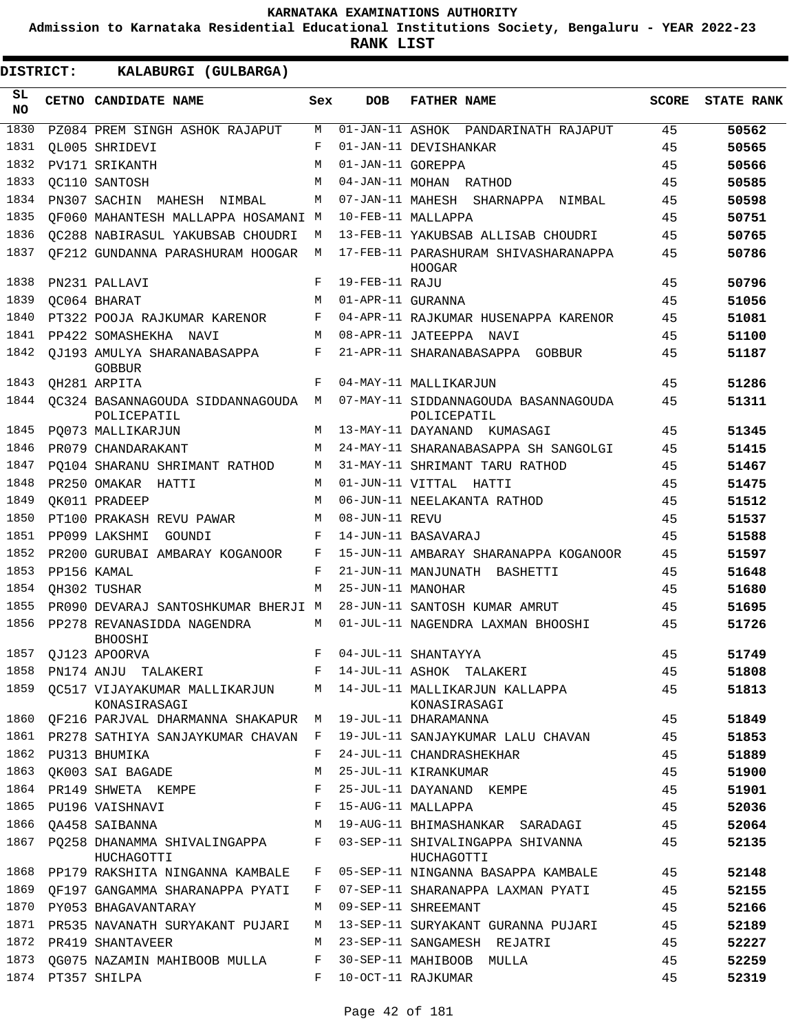**Admission to Karnataka Residential Educational Institutions Society, Bengaluru - YEAR 2022-23**

ı

| DISTRICT:        | KALABURGI (GULBARGA)                                                                                                                   |              |                   |                                                     |              |                   |
|------------------|----------------------------------------------------------------------------------------------------------------------------------------|--------------|-------------------|-----------------------------------------------------|--------------|-------------------|
| SL.<br><b>NO</b> | CETNO CANDIDATE NAME                                                                                                                   | Sex          | <b>DOB</b>        | <b>FATHER NAME</b>                                  | <b>SCORE</b> | <b>STATE RANK</b> |
| 1830             | PZ084 PREM SINGH ASHOK RAJAPUT                                                                                                         | M            |                   | 01-JAN-11 ASHOK PANDARINATH RAJAPUT                 | 45           | 50562             |
| 1831             | OL005 SHRIDEVI                                                                                                                         | F            |                   | 01-JAN-11 DEVISHANKAR                               | 45           | 50565             |
| 1832             | PV171 SRIKANTH                                                                                                                         | M            | 01-JAN-11 GOREPPA |                                                     | 45           | 50566             |
| 1833             | OC110 SANTOSH                                                                                                                          | M            |                   | 04-JAN-11 MOHAN RATHOD                              | 45           | 50585             |
| 1834             | PN307 SACHIN MAHESH NIMBAL                                                                                                             | М            |                   | 07-JAN-11 MAHESH SHARNAPPA NIMBAL                   | 45           | 50598             |
| 1835             | OF060 MAHANTESH MALLAPPA HOSAMANI M                                                                                                    |              |                   | 10-FEB-11 MALLAPPA                                  | 45           | 50751             |
| 1836             | OC288 NABIRASUL YAKUBSAB CHOUDRI                                                                                                       | M            |                   | 13-FEB-11 YAKUBSAB ALLISAB CHOUDRI                  | 45           | 50765             |
| 1837             | OF212 GUNDANNA PARASHURAM HOOGAR                                                                                                       | M            |                   | 17-FEB-11 PARASHURAM SHIVASHARANAPPA<br>HOOGAR      | 45           | 50786             |
| 1838             | PN231 PALLAVI                                                                                                                          | F            | 19-FEB-11 RAJU    |                                                     | 45           | 50796             |
| 1839             | OC064 BHARAT                                                                                                                           | M            | 01-APR-11 GURANNA |                                                     | 45           | 51056             |
| 1840             | PT322 POOJA RAJKUMAR KARENOR                                                                                                           | F            |                   | 04-APR-11 RAJKUMAR HUSENAPPA KARENOR                | 45           | 51081             |
| 1841             | PP422 SOMASHEKHA NAVI                                                                                                                  | M            |                   | 08-APR-11 JATEEPPA NAVI                             | 45           | 51100             |
| 1842             | OJ193 AMULYA SHARANABASAPPA<br><b>GOBBUR</b>                                                                                           | F            |                   | 21-APR-11 SHARANABASAPPA GOBBUR                     | 45           | 51187             |
| 1843             | OH281 ARPITA                                                                                                                           | F            |                   | 04-MAY-11 MALLIKARJUN                               | 45           | 51286             |
| 1844             | OC324 BASANNAGOUDA SIDDANNAGOUDA M<br>POLICEPATIL                                                                                      |              |                   | 07-MAY-11 SIDDANNAGOUDA BASANNAGOUDA<br>POLICEPATIL | 45           | 51311             |
| 1845             | PO073 MALLIKARJUN                                                                                                                      | M            |                   | 13-MAY-11 DAYANAND KUMASAGI                         | 45           | 51345             |
| 1846             | PR079 CHANDARAKANT                                                                                                                     | M            |                   | 24-MAY-11 SHARANABASAPPA SH SANGOLGI                | 45           | 51415             |
| 1847             | PO104 SHARANU SHRIMANT RATHOD                                                                                                          | М            |                   | 31-MAY-11 SHRIMANT TARU RATHOD                      | 45           | 51467             |
| 1848             | PR250 OMAKAR HATTI                                                                                                                     | M            |                   | 01-JUN-11 VITTAL HATTI                              | 45           | 51475             |
| 1849             | QK011 PRADEEP                                                                                                                          | M            |                   | 06-JUN-11 NEELAKANTA RATHOD                         | 45           | 51512             |
| 1850             | PT100 PRAKASH REVU PAWAR                                                                                                               | M            | 08-JUN-11 REVU    |                                                     | 45           | 51537             |
| 1851             | PP099 LAKSHMI<br>GOUNDI                                                                                                                | F            |                   | 14-JUN-11 BASAVARAJ                                 | 45           | 51588             |
| 1852             | PR200 GURUBAI AMBARAY KOGANOOR                                                                                                         | F            |                   | 15-JUN-11 AMBARAY SHARANAPPA KOGANOOR               | 45           | 51597             |
| 1853             | PP156 KAMAL                                                                                                                            | F            |                   | 21-JUN-11 MANJUNATH BASHETTI                        | 45           | 51648             |
| 1854             | QH302 TUSHAR                                                                                                                           | М            | 25-JUN-11 MANOHAR |                                                     | 45           | 51680             |
| 1855             | PR090 DEVARAJ SANTOSHKUMAR BHERJI M                                                                                                    |              |                   | 28-JUN-11 SANTOSH KUMAR AMRUT                       | 45           | 51695             |
| 1856             | PP278 REVANASIDDA NAGENDRA<br><b>BHOOSHI</b>                                                                                           | М            |                   | 01-JUL-11 NAGENDRA LAXMAN BHOOSHI                   | 45           | 51726             |
| 1857             | QJ123 APOORVA                                                                                                                          | F            |                   | 04-JUL-11 SHANTAYYA                                 | 45           | 51749             |
| 1858             | PN174 ANJU TALAKERI<br>and the state of the state of the state of the state of the state of the state of the state of the state of the |              |                   | 14-JUL-11 ASHOK TALAKERI                            | 45           | 51808             |
| 1859             | QC517 VIJAYAKUMAR MALLIKARJUN M<br>KONASIRASAGI                                                                                        |              |                   | 14-JUL-11 MALLIKARJUN KALLAPPA<br>KONASIRASAGI      | 45           | 51813             |
| 1860             | QF216 PARJVAL DHARMANNA SHAKAPUR M                                                                                                     |              |                   | 19-JUL-11 DHARAMANNA                                | 45           | 51849             |
|                  | 1861 PR278 SATHIYA SANJAYKUMAR CHAVAN                                                                                                  | $\mathbf{F}$ |                   | 19-JUL-11 SANJAYKUMAR LALU CHAVAN                   | 45           | 51853             |
| 1862             | PU313 BHUMIKA                                                                                                                          | F            |                   | 24-JUL-11 CHANDRASHEKHAR                            | 45           | 51889             |
| 1863             | QK003 SAI BAGADE                                                                                                                       | M            |                   | 25-JUL-11 KIRANKUMAR                                | 45           | 51900             |
| 1864             | PR149 SHWETA KEMPE                                                                                                                     | F            |                   | 25-JUL-11 DAYANAND KEMPE                            | 45           | 51901             |
| 1865             | PU196 VAISHNAVI                                                                                                                        | F            |                   | 15-AUG-11 MALLAPPA                                  | 45           | 52036             |
| 1866             | OA458 SAIBANNA                                                                                                                         | M            |                   | 19-AUG-11 BHIMASHANKAR SARADAGI                     | 45           | 52064             |
| 1867             | PO258 DHANAMMA SHIVALINGAPPA<br>HUCHAGOTTI                                                                                             | F            |                   | 03-SEP-11 SHIVALINGAPPA SHIVANNA<br>HUCHAGOTTI      | 45           | 52135             |
| 1868             | PP179 RAKSHITA NINGANNA KAMBALE                                                                                                        | F            |                   | 05-SEP-11 NINGANNA BASAPPA KAMBALE                  | 45           | 52148             |
| 1869             | OF197 GANGAMMA SHARANAPPA PYATI                                                                                                        | F            |                   | 07-SEP-11 SHARANAPPA LAXMAN PYATI                   | 45           | 52155             |
| 1870             | PY053 BHAGAVANTARAY                                                                                                                    | М            |                   | 09-SEP-11 SHREEMANT                                 | 45           | 52166             |
| 1871             | PR535 NAVANATH SURYAKANT PUJARI                                                                                                        | M            |                   | 13-SEP-11 SURYAKANT GURANNA PUJARI                  | 45           | 52189             |
| 1872             | PR419 SHANTAVEER                                                                                                                       | M            |                   | 23-SEP-11 SANGAMESH REJATRI                         | 45           | 52227             |
| 1873             | OG075 NAZAMIN MAHIBOOB MULLA                                                                                                           | F            |                   | 30-SEP-11 MAHIBOOB MULLA                            | 45           | 52259             |
|                  | 1874 PT357 SHILPA                                                                                                                      | F            |                   | 10-OCT-11 RAJKUMAR                                  | 45           | 52319             |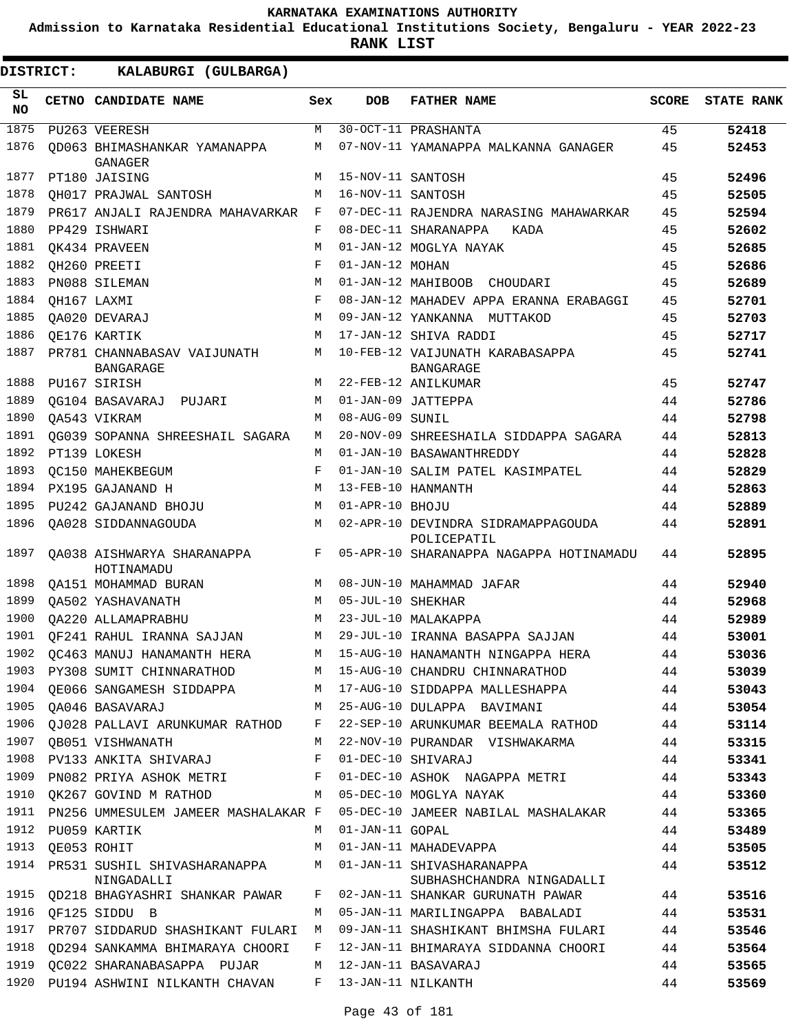**Admission to Karnataka Residential Educational Institutions Society, Bengaluru - YEAR 2022-23**

| <b>DISTRICT:</b> |             | KALABURGI (GULBARGA)                                      |              |                   |                                                          |              |                   |
|------------------|-------------|-----------------------------------------------------------|--------------|-------------------|----------------------------------------------------------|--------------|-------------------|
| SL.<br><b>NO</b> |             | CETNO CANDIDATE NAME                                      | Sex          | <b>DOB</b>        | <b>FATHER NAME</b>                                       | <b>SCORE</b> | <b>STATE RANK</b> |
| 1875             |             | PU263 VEERESH                                             | M            |                   | 30-OCT-11 PRASHANTA                                      | 45           | 52418             |
| 1876             |             | OD063 BHIMASHANKAR YAMANAPPA<br>GANAGER                   | М            |                   | 07-NOV-11 YAMANAPPA MALKANNA GANAGER                     | 45           | 52453             |
| 1877             |             | PT180 JAISING                                             | М            | 15-NOV-11 SANTOSH |                                                          | 45           | 52496             |
| 1878             |             | OH017 PRAJWAL SANTOSH                                     | M            | 16-NOV-11 SANTOSH |                                                          | 45           | 52505             |
| 1879             |             | PR617 ANJALI RAJENDRA MAHAVARKAR                          | $\mathbf{F}$ |                   | 07-DEC-11 RAJENDRA NARASING MAHAWARKAR                   | 45           | 52594             |
| 1880             |             | PP429 ISHWARI                                             | F            |                   | 08-DEC-11 SHARANAPPA<br>KADA                             | 45           | 52602             |
| 1881             |             | OK434 PRAVEEN                                             | M            |                   | 01-JAN-12 MOGLYA NAYAK                                   | 45           | 52685             |
| 1882             |             | QH260 PREETI                                              | F            | 01-JAN-12 MOHAN   |                                                          | 45           | 52686             |
| 1883             |             | PN088 SILEMAN                                             | M            |                   | 01-JAN-12 MAHIBOOB CHOUDARI                              | 45           | 52689             |
| 1884             | OH167 LAXMI |                                                           | F            |                   | 08-JAN-12 MAHADEV APPA ERANNA ERABAGGI                   | 45           | 52701             |
| 1885             |             | OA020 DEVARAJ                                             | M            |                   | 09-JAN-12 YANKANNA MUTTAKOD                              | 45           | 52703             |
| 1886             |             | OE176 KARTIK                                              | M            |                   | 17-JAN-12 SHIVA RADDI                                    | 45           | 52717             |
| 1887             |             | PR781 CHANNABASAV VAIJUNATH<br><b>BANGARAGE</b>           | M            |                   | 10-FEB-12 VAIJUNATH KARABASAPPA<br>BANGARAGE             | 45           | 52741             |
| 1888             |             | PU167 SIRISH                                              | M            |                   | 22-FEB-12 ANILKUMAR                                      | 45           | 52747             |
| 1889             |             | OG104 BASAVARAJ PUJARI                                    | M            |                   | 01-JAN-09 JATTEPPA                                       | 44           | 52786             |
| 1890             |             | OA543 VIKRAM                                              | M            | 08-AUG-09 SUNIL   |                                                          | 44           | 52798             |
| 1891             |             | OG039 SOPANNA SHREESHAIL SAGARA                           | М            |                   | 20-NOV-09 SHREESHAILA SIDDAPPA SAGARA                    | 44           | 52813             |
| 1892             |             | PT139 LOKESH                                              | М            |                   | 01-JAN-10 BASAWANTHREDDY                                 | 44           | 52828             |
| 1893             |             | OC150 MAHEKBEGUM                                          | F            |                   | 01-JAN-10 SALIM PATEL KASIMPATEL                         | 44           | 52829             |
| 1894             |             | PX195 GAJANAND H                                          | M            |                   | 13-FEB-10 HANMANTH                                       | 44           | 52863             |
| 1895             |             | PU242 GAJANAND BHOJU                                      | M            | 01-APR-10 BHOJU   |                                                          | 44           | 52889             |
| 1896             |             | OA028 SIDDANNAGOUDA                                       | M            |                   | 02-APR-10 DEVINDRA SIDRAMAPPAGOUDA<br>POLICEPATIL        | 44           | 52891             |
| 1897             |             | OA038 AISHWARYA SHARANAPPA<br>HOTINAMADU                  | F            |                   | 05-APR-10 SHARANAPPA NAGAPPA HOTINAMADU                  | 44           | 52895             |
| 1898             |             | QA151 MOHAMMAD BURAN                                      | M            |                   | 08-JUN-10 MAHAMMAD JAFAR                                 | 44           | 52940             |
| 1899             |             | QA502 YASHAVANATH                                         | M            | 05-JUL-10 SHEKHAR |                                                          | 44           | 52968             |
| 1900             |             | OA220 ALLAMAPRABHU                                        | M            |                   | 23-JUL-10 MALAKAPPA                                      | 44           | 52989             |
| 1901             |             | OF241 RAHUL IRANNA SAJJAN                                 | M            |                   | 29-JUL-10 IRANNA BASAPPA SAJJAN                          | 44           | 53001             |
| 1902             |             | QC463 MANUJ HANAMANTH HERA                                | М            |                   | 15-AUG-10 HANAMANTH NINGAPPA HERA                        | 44           | 53036             |
| 1903             |             | PY308 SUMIT CHINNARATHOD M 15-AUG-10 CHANDRU CHINNARATHOD |              |                   |                                                          | 44           | 53039             |
| 1904             |             | QE066 SANGAMESH SIDDAPPA M                                |              |                   | 17-AUG-10 SIDDAPPA MALLESHAPPA                           | 44           | 53043             |
| 1905             |             | QA046 BASAVARAJ                                           | M            |                   | 25-AUG-10 DULAPPA BAVIMANI                               | 44           | 53054             |
| 1906             |             | QJ028 PALLAVI ARUNKUMAR RATHOD F                          |              |                   | 22-SEP-10 ARUNKUMAR BEEMALA RATHOD                       | 44           | 53114             |
| 1907             |             | QB051 VISHWANATH                                          | M            |                   | 22-NOV-10 PURANDAR VISHWAKARMA                           | 44           | 53315             |
|                  |             | 1908 PV133 ANKITA SHIVARAJ                                | $\mathbf{F}$ |                   | 01-DEC-10 SHIVARAJ                                       | 44           | 53341             |
| 1909             |             | PN082 PRIYA ASHOK METRI F                                 |              |                   | 01-DEC-10 ASHOK NAGAPPA METRI                            | 44           | 53343             |
| 1910             |             | QK267 GOVIND M RATHOD                                     | M            |                   | 05-DEC-10 MOGLYA NAYAK                                   | 44           | 53360             |
| 1911             |             | PN256 UMMESULEM JAMEER MASHALAKAR F                       |              |                   | 05-DEC-10 JAMEER NABILAL MASHALAKAR                      | 44           | 53365             |
|                  |             | 1912 PU059 KARTIK                                         | M            | 01-JAN-11 GOPAL   |                                                          | 44           | 53489             |
| 1913             |             | OE053 ROHIT                                               | M            |                   | 01-JAN-11 MAHADEVAPPA                                    | 44           | 53505             |
| 1914             |             | PR531 SUSHIL SHIVASHARANAPPA<br>NINGADALLI                |              |                   | M 01-JAN-11 SHIVASHARANAPPA<br>SUBHASHCHANDRA NINGADALLI | 44           | 53512             |
| 1915             |             | QD218 BHAGYASHRI SHANKAR PAWAR                            | F            |                   | 02-JAN-11 SHANKAR GURUNATH PAWAR                         | 44           | 53516             |
| 1916             |             | QF125 SIDDU B                                             | M            |                   | 05-JAN-11 MARILINGAPPA BABALADI                          | 44           | 53531             |
| 1917             |             | PR707 SIDDARUD SHASHIKANT FULARI M                        |              |                   | 09-JAN-11 SHASHIKANT BHIMSHA FULARI                      | 44           | 53546             |
| 1918             |             | QD294 SANKAMMA BHIMARAYA CHOORI                           | F            |                   | 12-JAN-11 BHIMARAYA SIDDANNA CHOORI                      | 44           | 53564             |
| 1919             |             | QC022 SHARANABASAPPA PUJAR                                | M            |                   | 12-JAN-11 BASAVARAJ                                      | 44           | 53565             |
| 1920             |             | PU194 ASHWINI NILKANTH CHAVAN                             | F            |                   | 13-JAN-11 NILKANTH                                       | 44           | 53569             |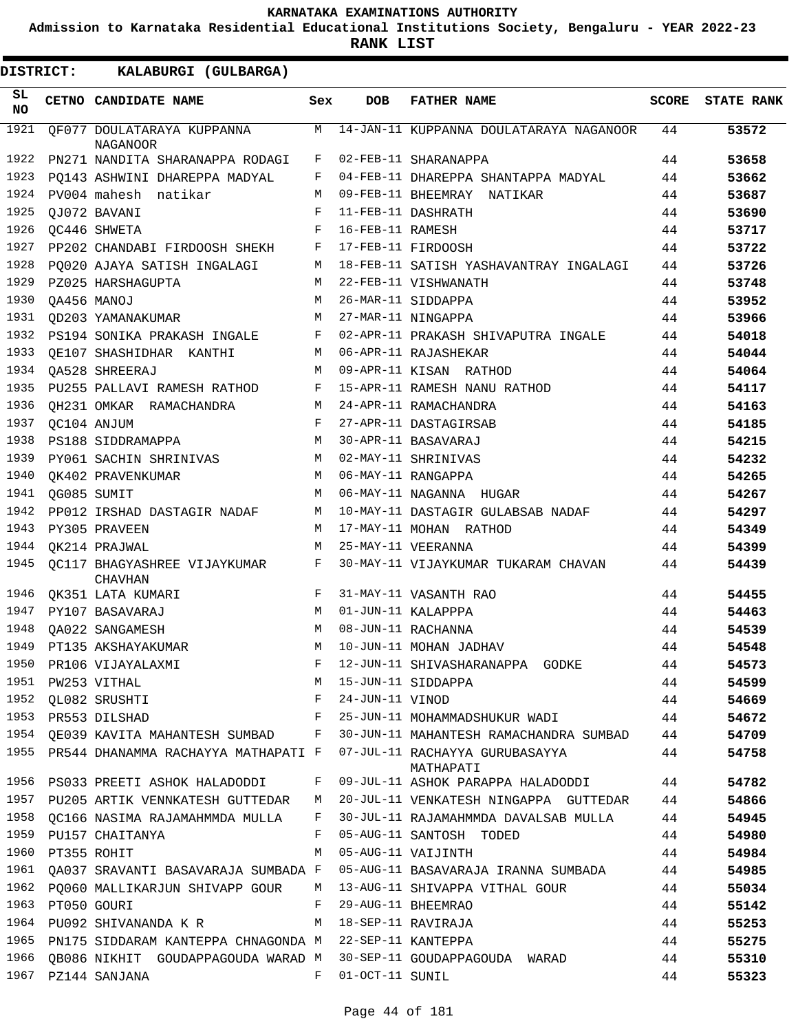**Admission to Karnataka Residential Educational Institutions Society, Bengaluru - YEAR 2022-23**

| <b>DISTRICT:</b> |             | KALABURGI (GULBARGA)                                   |              |                  |                                                                                                                                            |              |                   |
|------------------|-------------|--------------------------------------------------------|--------------|------------------|--------------------------------------------------------------------------------------------------------------------------------------------|--------------|-------------------|
| SL<br><b>NO</b>  |             | CETNO CANDIDATE NAME                                   | Sex          | <b>DOB</b>       | <b>FATHER NAME</b>                                                                                                                         | <b>SCORE</b> | <b>STATE RANK</b> |
| 1921             |             | OF077 DOULATARAYA KUPPANNA<br><b>NAGANOOR</b>          | M            |                  | 14-JAN-11 KUPPANNA DOULATARAYA NAGANOOR                                                                                                    | 44           | 53572             |
| 1922             |             | PN271 NANDITA SHARANAPPA RODAGI                        | F            |                  | 02-FEB-11 SHARANAPPA                                                                                                                       | 44           | 53658             |
| 1923             |             | PQ143 ASHWINI DHAREPPA MADYAL                          | F            |                  | 04-FEB-11 DHAREPPA SHANTAPPA MADYAL                                                                                                        | 44           | 53662             |
| 1924             |             | PV004 mahesh natikar                                   | M            |                  | 09-FEB-11 BHEEMRAY NATIKAR                                                                                                                 | 44           | 53687             |
| 1925             |             | OJ072 BAVANI                                           | F            |                  | 11-FEB-11 DASHRATH                                                                                                                         | 44           | 53690             |
| 1926             |             | OC446 SHWETA                                           | F            | 16-FEB-11 RAMESH |                                                                                                                                            | 44           | 53717             |
| 1927             |             | PP202 CHANDABI FIRDOOSH SHEKH                          | F            |                  | 17-FEB-11 FIRDOOSH                                                                                                                         | 44           | 53722             |
| 1928             |             | PQ020 AJAYA SATISH INGALAGI                            | М            |                  | 18-FEB-11 SATISH YASHAVANTRAY INGALAGI                                                                                                     | 44           | 53726             |
| 1929             |             | PZ025 HARSHAGUPTA                                      | M            |                  | 22-FEB-11 VISHWANATH                                                                                                                       | 44           | 53748             |
| 1930             |             | OA456 MANOJ                                            | M            |                  | 26-MAR-11 SIDDAPPA                                                                                                                         | 44           | 53952             |
| 1931             |             | OD203 YAMANAKUMAR                                      | M            |                  | 27-MAR-11 NINGAPPA                                                                                                                         | 44           | 53966             |
| 1932             |             | PS194 SONIKA PRAKASH INGALE                            | F            |                  | 02-APR-11 PRAKASH SHIVAPUTRA INGALE                                                                                                        | 44           | 54018             |
| 1933             |             | OE107 SHASHIDHAR KANTHI                                | М            |                  | 06-APR-11 RAJASHEKAR                                                                                                                       | 44           | 54044             |
| 1934             |             | OA528 SHREERAJ                                         | M            |                  | 09-APR-11 KISAN RATHOD                                                                                                                     | 44           | 54064             |
| 1935             |             | PU255 PALLAVI RAMESH RATHOD                            | F            |                  | 15-APR-11 RAMESH NANU RATHOD                                                                                                               | 44           | 54117             |
| 1936             |             | QH231 OMKAR RAMACHANDRA                                | M            |                  | 24-APR-11 RAMACHANDRA                                                                                                                      | 44           | 54163             |
| 1937             |             | QC104 ANJUM                                            | F            |                  | 27-APR-11 DASTAGIRSAB                                                                                                                      | 44           | 54185             |
| 1938             |             | PS188 SIDDRAMAPPA                                      | M            |                  | 30-APR-11 BASAVARAJ                                                                                                                        | 44           | 54215             |
| 1939             |             | PY061 SACHIN SHRINIVAS                                 | M            |                  | 02-MAY-11 SHRINIVAS                                                                                                                        | 44           | 54232             |
| 1940             |             | QK402 PRAVENKUMAR                                      | M            |                  | 06-MAY-11 RANGAPPA                                                                                                                         | 44           | 54265             |
| 1941             |             | QG085 SUMIT                                            | M            |                  | 06-MAY-11 NAGANNA HUGAR                                                                                                                    | 44           | 54267             |
| 1942             |             | PP012 IRSHAD DASTAGIR NADAF                            | М            |                  | 10-MAY-11 DASTAGIR GULABSAB NADAF                                                                                                          | 44           | 54297             |
| 1943             |             | PY305 PRAVEEN                                          | M            |                  | 17-MAY-11 MOHAN RATHOD                                                                                                                     | 44           | 54349             |
| 1944             |             | QK214 PRAJWAL                                          | M            |                  | 25-MAY-11 VEERANNA                                                                                                                         | 44           | 54399             |
| 1945             |             | QC117 BHAGYASHREE VIJAYKUMAR<br>CHAVHAN                | F            |                  | 30-MAY-11 VIJAYKUMAR TUKARAM CHAVAN                                                                                                        | 44           | 54439             |
| 1946             |             | QK351 LATA KUMARI                                      | F            |                  | 31-MAY-11 VASANTH RAO                                                                                                                      | 44           | 54455             |
| 1947             |             | PY107 BASAVARAJ                                        | M            |                  | 01-JUN-11 KALAPPPA                                                                                                                         | 44           | 54463             |
| 1948             |             | OA022 SANGAMESH                                        | M            |                  | 08-JUN-11 RACHANNA                                                                                                                         | 44           | 54539             |
|                  |             | 1949 PT135 AKSHAYAKUMAR                                |              |                  | M 10-JUN-11 MOHAN JADHAV                                                                                                                   | 44           | 54548             |
|                  |             |                                                        |              |                  |                                                                                                                                            | 44           | 54573             |
|                  |             |                                                        |              |                  |                                                                                                                                            | 44           | 54599             |
|                  |             |                                                        |              |                  | 1950 PR106 VIJAYALAXMI F 12-JUN-11 SHIVASHARANAPPA GODKE<br>1951 PW253 VITHAL M 15-JUN-11 SIDDAPPA<br>1952 QL082 SRUSHTI F 24-JUN-11 VINOD | 44           | 54669             |
|                  |             |                                                        |              |                  | 1953 PR553 DILSHAD TE 25-JUN-11 MOHAMMADSHUKUR WADI                                                                                        |              | 54672             |
|                  |             |                                                        |              |                  | 1954 QE039 KAVITA MAHANTESH SUMBAD F 30-JUN-11 MAHANTESH RAMACHANDRA SUMBAD 44                                                             |              | 54709             |
|                  |             |                                                        |              |                  | 1955 PR544 DHANAMMA RACHAYYA MATHAPATI F 07-JUL-11 RACHAYYA GURUBASAYYA<br>MATHAPATI                                                       | 44           | 54758             |
|                  |             | 1956 PS033 PREETI ASHOK HALADODDI                      | F            |                  | 09-JUL-11 ASHOK PARAPPA HALADODDI 44                                                                                                       |              | 54782             |
|                  |             | 1957 PU205 ARTIK VENNKATESH GUTTEDAR                   |              |                  | M 20-JUL-11 VENKATESH NINGAPPA GUTTEDAR                                                                                                    | 44           | 54866             |
| 1958             |             |                                                        |              |                  | QC166 NASIMA RAJAMAHMMDA MULLA F 30-JUL-11 RAJAMAHMMDA DAVALSAB MULLA                                                                      | 44           | 54945             |
|                  |             | 1959 PU157 CHAITANYA                                   | F            |                  | 05-AUG-11 SANTOSH TODED                                                                                                                    | 44           | 54980             |
| 1960             | PT355 ROHIT |                                                        |              |                  | M 05-AUG-11 VAIJINTH                                                                                                                       | 44           | 54984             |
| 1961             |             | QA037 SRAVANTI BASAVARAJA SUMBADA F                    |              |                  | 05-AUG-11 BASAVARAJA IRANNA SUMBADA                                                                                                        | 44           | 54985             |
| 1962             |             |                                                        |              |                  | PQ060 MALLIKARJUN SHIVAPP GOUR M 13-AUG-11 SHIVAPPA VITHAL GOUR                                                                            | 44           | 55034             |
| 1963             |             | PT050 GOURI                                            | $\mathbf{F}$ |                  | 29-AUG-11 BHEEMRAO                                                                                                                         | 44           | 55142             |
|                  |             | 1964 PU092 SHIVANANDA K R                              |              |                  | M 18-SEP-11 RAVIRAJA                                                                                                                       | 44           | 55253             |
| 1965             |             | PN175 SIDDARAM KANTEPPA CHNAGONDA M 22-SEP-11 KANTEPPA |              |                  |                                                                                                                                            | 44           | 55275             |
|                  |             |                                                        |              |                  | 1966 QB086 NIKHIT GOUDAPPAGOUDA WARAD M 30-SEP-11 GOUDAPPAGOUDA WARAD                                                                      | 44           | 55310             |
|                  |             | 1967 PZ144 SANJANA                                     | F            | 01-OCT-11 SUNIL  |                                                                                                                                            | 44           | 55323             |
|                  |             |                                                        |              |                  |                                                                                                                                            |              |                   |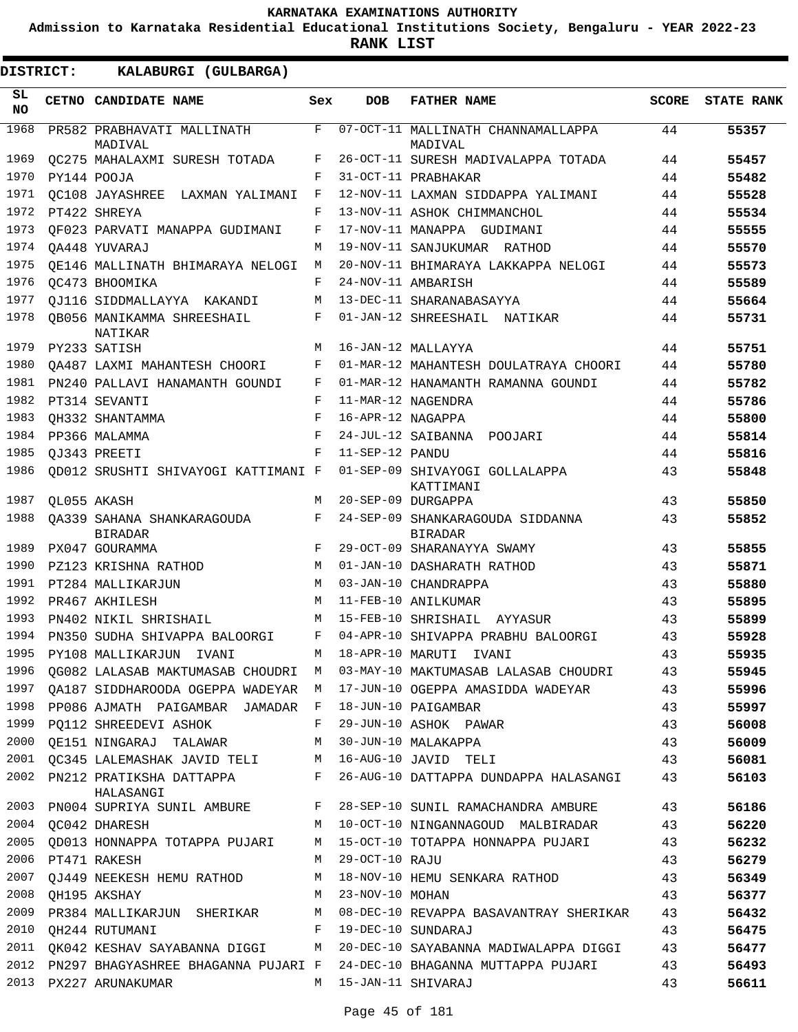**Admission to Karnataka Residential Educational Institutions Society, Bengaluru - YEAR 2022-23**

**RANK LIST**

| SL<br><b>NO</b> | CETNO CANDIDATE NAME                         | Sex | <b>DOB</b>        | <b>FATHER NAME</b>                                                           | <b>SCORE</b> | <b>STATE RANK</b> |
|-----------------|----------------------------------------------|-----|-------------------|------------------------------------------------------------------------------|--------------|-------------------|
| 1968            | PR582 PRABHAVATI MALLINATH<br>MADIVAL        | F   |                   | 07-OCT-11 MALLINATH CHANNAMALLAPPA<br>MADIVAL                                | 44           | 55357             |
| 1969            | QC275 MAHALAXMI SURESH TOTADA                | F   |                   | 26-OCT-11 SURESH MADIVALAPPA TOTADA                                          | 44           | 55457             |
| 1970            | PY144 POOJA                                  | F   |                   | 31-OCT-11 PRABHAKAR                                                          | 44           | 55482             |
| 1971            | OC108 JAYASHREE LAXMAN YALIMANI              | F   |                   | 12-NOV-11 LAXMAN SIDDAPPA YALIMANI                                           | 44           | 55528             |
| 1972            | PT422 SHREYA                                 | F   |                   | 13-NOV-11 ASHOK CHIMMANCHOL                                                  | 44           | 55534             |
| 1973            | OF023 PARVATI MANAPPA GUDIMANI               | F   |                   | 17-NOV-11 MANAPPA GUDIMANI                                                   | 44           | 55555             |
| 1974            | OA448 YUVARAJ                                | М   |                   | 19-NOV-11 SANJUKUMAR RATHOD                                                  | 44           | 55570             |
| 1975            | OE146 MALLINATH BHIMARAYA NELOGI             | M   |                   | 20-NOV-11 BHIMARAYA LAKKAPPA NELOGI                                          | 44           | 55573             |
| 1976            | OC473 BHOOMIKA                               | F   |                   | 24-NOV-11 AMBARISH                                                           | 44           | 55589             |
| 1977            | OJ116 SIDDMALLAYYA KAKANDI                   | М   |                   | 13-DEC-11 SHARANABASAYYA                                                     | 44           | 55664             |
| 1978            | OB056 MANIKAMMA SHREESHAIL<br>NATIKAR        | F   |                   | 01-JAN-12 SHREESHAIL<br>NATIKAR                                              | 44           | 55731             |
| 1979            | PY233 SATISH                                 | M   |                   | 16-JAN-12 MALLAYYA                                                           | 44           | 55751             |
| 1980            | OA487 LAXMI MAHANTESH CHOORI                 | F   |                   | 01-MAR-12 MAHANTESH DOULATRAYA CHOORI                                        | 44           | 55780             |
| 1981            | PN240 PALLAVI HANAMANTH GOUNDI               | F   |                   | 01-MAR-12 HANAMANTH RAMANNA GOUNDI                                           | 44           | 55782             |
| 1982            | PT314 SEVANTI                                | F   |                   | 11-MAR-12 NAGENDRA                                                           | 44           | 55786             |
| 1983            | OH332 SHANTAMMA                              | F   | 16-APR-12 NAGAPPA |                                                                              | 44           | 55800             |
| 1984            | PP366 MALAMMA                                | F   |                   | 24-JUL-12 SAIBANNA POOJARI                                                   | 44           | 55814             |
| 1985            | OJ343 PREETI                                 | F   | 11-SEP-12 PANDU   |                                                                              | 44           | 55816             |
| 1986            | QD012 SRUSHTI SHIVAYOGI KATTIMANI F          |     |                   | 01-SEP-09 SHIVAYOGI GOLLALAPPA<br>KATTIMANI                                  | 43           | 55848             |
| 1987            | OL055 AKASH                                  | M   |                   | 20-SEP-09 DURGAPPA                                                           | 43           | 55850             |
| 1988            | OA339 SAHANA SHANKARAGOUDA<br><b>BIRADAR</b> | F   |                   | 24-SEP-09 SHANKARAGOUDA SIDDANNA<br><b>BIRADAR</b>                           | 43           | 55852             |
| 1989            | PX047 GOURAMMA                               | F   |                   | 29-OCT-09 SHARANAYYA SWAMY                                                   | 43           | 55855             |
| 1990            | PZ123 KRISHNA RATHOD                         | M   |                   | 01-JAN-10 DASHARATH RATHOD                                                   | 43           | 55871             |
| 1991            | PT284 MALLIKARJUN                            | M   |                   | 03-JAN-10 CHANDRAPPA                                                         | 43           | 55880             |
| 1992            | PR467 AKHILESH                               | M   |                   | 11-FEB-10 ANILKUMAR                                                          | 43           | 55895             |
| 1993            | PN402 NIKIL SHRISHAIL                        | M   |                   | 15-FEB-10 SHRISHAIL<br>AYYASUR                                               | 43           | 55899             |
| 1994            | PN350 SUDHA SHIVAPPA BALOORGI                | F   |                   | 04-APR-10 SHIVAPPA PRABHU BALOORGI                                           | 43           | 55928             |
| 1995            | PY108 MALLIKARJUN<br>IVANI                   | М   | 18-APR-10 MARUTI  | IVANI                                                                        | 43           | 55935             |
| 1996            | QG082 LALASAB MAKTUMASAB CHOUDRI M           |     |                   | 03-MAY-10 MAKTUMASAB LALASAB CHOUDRI                                         | 43           | 55945             |
| 1997            | OA187 SIDDHAROODA OGEPPA WADEYAR M           |     |                   | 17-JUN-10 OGEPPA AMASIDDA WADEYAR                                            | 43           | 55996             |
| 1998            | PP086 AJMATH PAIGAMBAR JAMADAR F             |     |                   | 18-JUN-10 PAIGAMBAR                                                          | 43           | 55997             |
| 1999            | PO112 SHREEDEVI ASHOK                        | F   |                   | 29-JUN-10 ASHOK PAWAR                                                        | 43           | 56008             |
| 2000            | OE151 NINGARAJ TALAWAR                       | M   |                   | 30-JUN-10 MALAKAPPA                                                          | 43           | 56009             |
|                 | 2001 QC345 LALEMASHAK JAVID TELI M           |     |                   | 16-AUG-10 JAVID TELI                                                         | 43           | 56081             |
| 2002            | PN212 PRATIKSHA DATTAPPA<br>HALASANGI        | F   |                   | 26-AUG-10 DATTAPPA DUNDAPPA HALASANGI                                        | 43           | 56103             |
|                 |                                              |     |                   | 2003 PN004 SUPRIYA SUNIL AMBURE F 28-SEP-10 SUNIL RAMACHANDRA AMBURE         | 43           | 56186             |
|                 | 2004 QC042 DHARESH                           |     |                   | M 10-OCT-10 NINGANNAGOUD MALBIRADAR                                          | 43           | 56220             |
| 2005            | QD013 HONNAPPA TOTAPPA PUJARI                | М   |                   | 15-OCT-10 TOTAPPA HONNAPPA PUJARI                                            | 43           | 56232             |
| 2006            | PT471 RAKESH                                 | М   | 29-OCT-10 RAJU    |                                                                              | 43           | 56279             |
|                 | 2007 QJ449 NEEKESH HEMU RATHOD               | М   |                   | 18-NOV-10 HEMU SENKARA RATHOD                                                | 43           | 56349             |
| 2008            | QH195 AKSHAY                                 | М   | 23-NOV-10 MOHAN   |                                                                              | 43           | 56377             |
| 2009            | PR384 MALLIKARJUN SHERIKAR                   | М   |                   | 08-DEC-10 REVAPPA BASAVANTRAY SHERIKAR                                       | 43           | 56432             |
| 2010            | QH244 RUTUMANI                               | F   |                   | 19-DEC-10 SUNDARAJ                                                           | 43           | 56475             |
|                 |                                              |     |                   | 2011 QK042 KESHAV SAYABANNA DIGGI MATA 20-DEC-10 SAYABANNA MADIWALAPPA DIGGI | 43           | 56477             |
| 2012            |                                              |     |                   | PN297 BHAGYASHREE BHAGANNA PUJARI F  24-DEC-10 BHAGANNA MUTTAPPA PUJARI      | 43           | 56493             |
| 2013            | PX227 ARUNAKUMAR                             | M   |                   | 15-JAN-11 SHIVARAJ                                                           | 43           | 56611             |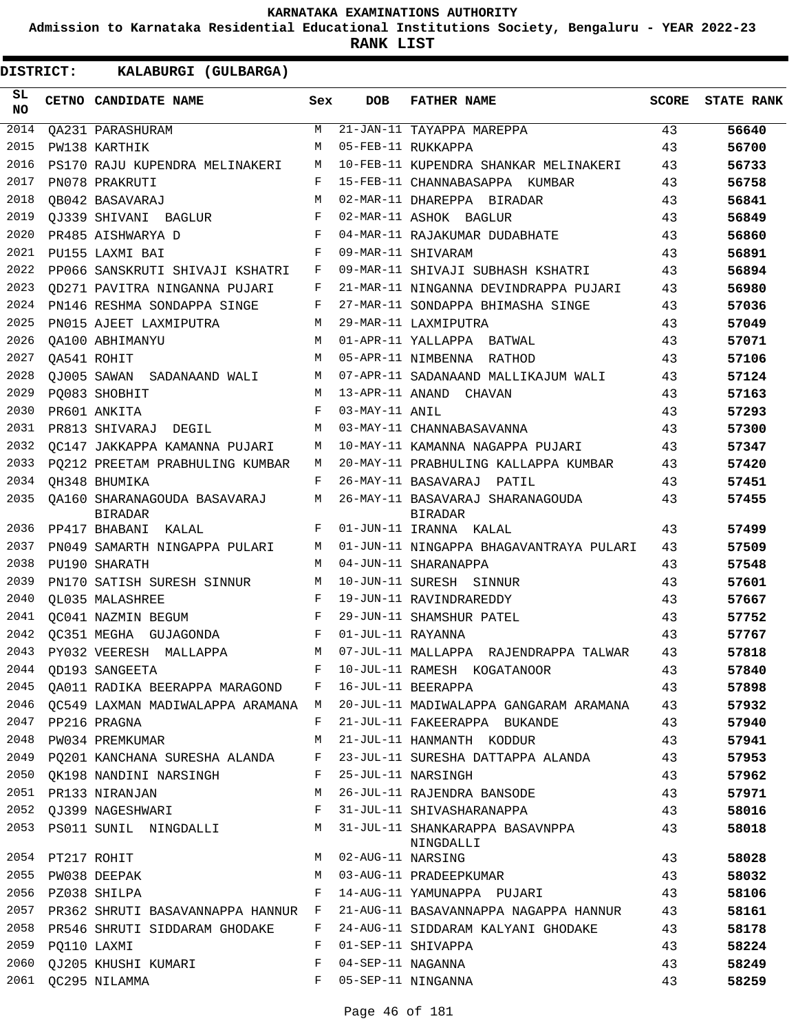**Admission to Karnataka Residential Educational Institutions Society, Bengaluru - YEAR 2022-23**

**RANK LIST**

| SL<br><b>NO</b> |                  | CETNO CANDIDATE NAME                           | Sex | <b>DOB</b>        | <b>FATHER NAME</b>                                 | <b>SCORE</b> | <b>STATE RANK</b> |
|-----------------|------------------|------------------------------------------------|-----|-------------------|----------------------------------------------------|--------------|-------------------|
| 2014            |                  | QA231 PARASHURAM                               | М   |                   | 21-JAN-11 TAYAPPA MAREPPA                          | 43           | 56640             |
| 2015            |                  | PW138 KARTHIK                                  | М   |                   | 05-FEB-11 RUKKAPPA                                 | 43           | 56700             |
| 2016            |                  | PS170 RAJU KUPENDRA MELINAKERI                 | М   |                   | 10-FEB-11 KUPENDRA SHANKAR MELINAKERI              | 43           | 56733             |
| 2017            |                  | PN078 PRAKRUTI                                 | F   |                   | 15-FEB-11 CHANNABASAPPA KUMBAR                     | 43           | 56758             |
| 2018            |                  | OB042 BASAVARAJ                                | M   |                   | 02-MAR-11 DHAREPPA BIRADAR                         | 43           | 56841             |
| 2019            |                  | OJ339 SHIVANI BAGLUR                           | F   |                   | 02-MAR-11 ASHOK BAGLUR                             | 43           | 56849             |
| 2020            |                  | PR485 AISHWARYA D                              | F   |                   | 04-MAR-11 RAJAKUMAR DUDABHATE                      | 43           | 56860             |
| 2021            |                  | PU155 LAXMI BAI                                | F   |                   | 09-MAR-11 SHIVARAM                                 | 43           | 56891             |
| 2022            |                  | PP066 SANSKRUTI SHIVAJI KSHATRI                | F   |                   | 09-MAR-11 SHIVAJI SUBHASH KSHATRI                  | 43           | 56894             |
| 2023            |                  | OD271 PAVITRA NINGANNA PUJARI                  | F   |                   | 21-MAR-11 NINGANNA DEVINDRAPPA PUJARI              | 43           | 56980             |
| 2024            |                  | PN146 RESHMA SONDAPPA SINGE                    | F   |                   | 27-MAR-11 SONDAPPA BHIMASHA SINGE                  | 43           | 57036             |
| 2025            |                  | PN015 AJEET LAXMIPUTRA                         | М   |                   | 29-MAR-11 LAXMIPUTRA                               | 43           | 57049             |
| 2026            |                  | OA100 ABHIMANYU                                | M   |                   | 01-APR-11 YALLAPPA BATWAL                          | 43           | 57071             |
| 2027            |                  | QA541 ROHIT                                    | M   |                   | 05-APR-11 NIMBENNA RATHOD                          | 43           | 57106             |
| 2028            |                  | OJ005 SAWAN<br>SADANAAND WALI                  | M   |                   | 07-APR-11 SADANAAND MALLIKAJUM WALI                | 43           | 57124             |
| 2029            |                  | PO083 SHOBHIT                                  | M   | 13-APR-11 ANAND   | CHAVAN                                             | 43           | 57163             |
| 2030            |                  | PR601 ANKITA                                   | F   | 03-MAY-11 ANIL    |                                                    | 43           | 57293             |
| 2031            |                  | PR813 SHIVARAJ DEGIL                           | M   |                   | 03-MAY-11 CHANNABASAVANNA                          | 43           | 57300             |
| 2032            |                  | OC147 JAKKAPPA KAMANNA PUJARI                  | М   |                   | 10-MAY-11 KAMANNA NAGAPPA PUJARI                   | 43           | 57347             |
| 2033            |                  | PO212 PREETAM PRABHULING KUMBAR                | М   |                   | 20-MAY-11 PRABHULING KALLAPPA KUMBAR               | 43           | 57420             |
| 2034            |                  | OH348 BHUMIKA                                  | F   |                   | 26-MAY-11 BASAVARAJ PATIL                          | 43           | 57451             |
| 2035            |                  | OA160 SHARANAGOUDA BASAVARAJ<br><b>BIRADAR</b> | M   |                   | 26-MAY-11 BASAVARAJ SHARANAGOUDA<br><b>BIRADAR</b> | 43           | 57455             |
| 2036            |                  | PP417 BHABANI KALAL                            | F   |                   | 01-JUN-11 IRANNA KALAL                             | 43           | 57499             |
| 2037            |                  | PN049 SAMARTH NINGAPPA PULARI                  | М   |                   | 01-JUN-11 NINGAPPA BHAGAVANTRAYA PULARI            | 43           | 57509             |
| 2038            |                  | PU190 SHARATH                                  | M   |                   | 04-JUN-11 SHARANAPPA                               | 43           | 57548             |
| 2039            |                  | PN170 SATISH SURESH SINNUR                     | М   |                   | 10-JUN-11 SURESH SINNUR                            | 43           | 57601             |
| 2040            |                  | OL035 MALASHREE                                | F   |                   | 19-JUN-11 RAVINDRAREDDY                            | 43           | 57667             |
| 2041            |                  | <b>QC041 NAZMIN BEGUM</b>                      | F   |                   | 29-JUN-11 SHAMSHUR PATEL                           | 43           | 57752             |
| 2042            |                  | OC351 MEGHA GUJAGONDA                          | F   | 01-JUL-11 RAYANNA |                                                    | 43           | 57767             |
| 2043            |                  | PY032 VEERESH MALLAPPA                         | M   |                   | 07-JUL-11 MALLAPPA RAJENDRAPPA TALWAR              | 43           | 57818             |
| 2044            |                  | QD193 SANGEETA                                 | F   |                   | 10-JUL-11 RAMESH KOGATANOOR                        | 43           | 57840             |
| 2045            |                  | QA011 RADIKA BEERAPPA MARAGOND                 | F   |                   | 16-JUL-11 BEERAPPA                                 | 43           | 57898             |
| 2046            |                  | OC549 LAXMAN MADIWALAPPA ARAMANA M             |     |                   | 20-JUL-11 MADIWALAPPA GANGARAM ARAMANA             | 43           | 57932             |
| 2047            |                  | PP216 PRAGNA                                   | F   |                   | 21-JUL-11 FAKEERAPPA BUKANDE                       | 43           | 57940             |
| 2048            |                  | PW034 PREMKUMAR                                | М   |                   | 21-JUL-11 HANMANTH KODDUR                          | 43           | 57941             |
| 2049            |                  | PO201 KANCHANA SURESHA ALANDA                  | F   |                   | 23-JUL-11 SURESHA DATTAPPA ALANDA                  | 43           | 57953             |
| 2050            |                  | OK198 NANDINI NARSINGH                         | F   |                   | 25-JUL-11 NARSINGH                                 | 43           | 57962             |
| 2051            |                  | PR133 NIRANJAN                                 | М   |                   | 26-JUL-11 RAJENDRA BANSODE                         | 43           | 57971             |
| 2052            |                  | QJ399 NAGESHWARI                               | F   |                   | 31-JUL-11 SHIVASHARANAPPA                          | 43           | 58016             |
| 2053            |                  | PS011 SUNIL NINGDALLI                          | М   |                   | 31-JUL-11 SHANKARAPPA BASAVNPPA<br>NINGDALLI       | 43           | 58018             |
|                 | 2054 PT217 ROHIT |                                                | М   | 02-AUG-11 NARSING |                                                    | 43           | 58028             |
| 2055            |                  | PW038 DEEPAK                                   | М   |                   | 03-AUG-11 PRADEEPKUMAR                             | 43           | 58032             |
| 2056            |                  | PZ038 SHILPA                                   | F   |                   | 14-AUG-11 YAMUNAPPA PUJARI                         | 43           | 58106             |
| 2057            |                  | PR362 SHRUTI BASAVANNAPPA HANNUR               | F   |                   | 21-AUG-11 BASAVANNAPPA NAGAPPA HANNUR              | 43           | 58161             |
| 2058            |                  | PR546 SHRUTI SIDDARAM GHODAKE                  | F   |                   | 24-AUG-11 SIDDARAM KALYANI GHODAKE                 | 43           | 58178             |
| 2059            | PO110 LAXMI      |                                                | F   |                   | 01-SEP-11 SHIVAPPA                                 | 43           | 58224             |
| 2060            |                  | QJ205 KHUSHI KUMARI                            | F   | 04-SEP-11 NAGANNA |                                                    | 43           | 58249             |
| 2061            |                  | QC295 NILAMMA                                  | F   |                   | 05-SEP-11 NINGANNA                                 | 43           | 58259             |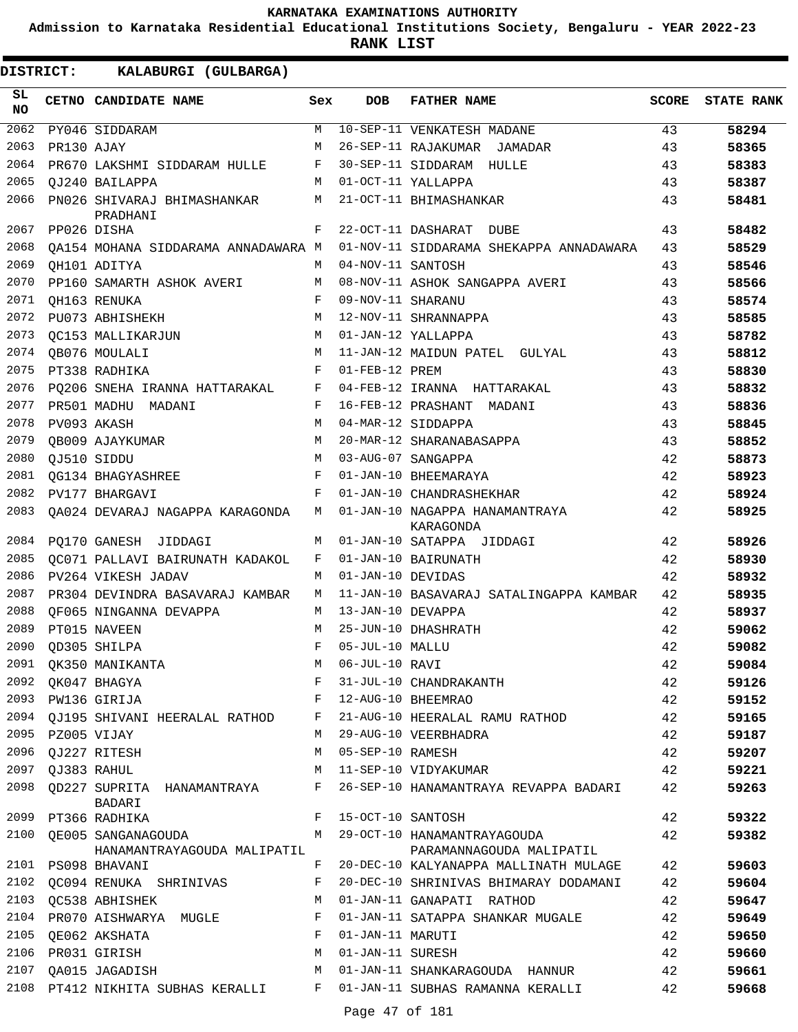**Admission to Karnataka Residential Educational Institutions Society, Bengaluru - YEAR 2022-23**

**RANK LIST**

| SL<br><b>NO</b> |                  | CETNO CANDIDATE NAME                                                                       | Sex | <b>DOB</b>          | <b>FATHER NAME</b>                                                                | <b>SCORE</b> | <b>STATE RANK</b> |
|-----------------|------------------|--------------------------------------------------------------------------------------------|-----|---------------------|-----------------------------------------------------------------------------------|--------------|-------------------|
| 2062            |                  | PY046 SIDDARAM                                                                             | M   |                     | 10-SEP-11 VENKATESH MADANE                                                        | 43           | 58294             |
| 2063            | PR130 AJAY       |                                                                                            | M   |                     | 26-SEP-11 RAJAKUMAR JAMADAR                                                       | 43           | 58365             |
| 2064            |                  | PR670 LAKSHMI SIDDARAM HULLE                                                               | F   |                     | 30-SEP-11 SIDDARAM HULLE                                                          | 43           | 58383             |
| 2065            |                  | OJ240 BAILAPPA                                                                             | M   |                     | 01-OCT-11 YALLAPPA                                                                | 43           | 58387             |
| 2066            |                  | PN026 SHIVARAJ BHIMASHANKAR<br>PRADHANI                                                    | М   |                     | 21-OCT-11 BHIMASHANKAR                                                            | 43           | 58481             |
| 2067            |                  | PP026 DISHA                                                                                | F   |                     | 22-OCT-11 DASHARAT DUBE                                                           | 43           | 58482             |
| 2068            |                  | OA154 MOHANA SIDDARAMA ANNADAWARA M                                                        |     |                     | 01-NOV-11 SIDDARAMA SHEKAPPA ANNADAWARA                                           | 43           | 58529             |
| 2069            |                  | QH101 ADITYA                                                                               | M   | 04-NOV-11 SANTOSH   |                                                                                   | 43           | 58546             |
| 2070            |                  | PP160 SAMARTH ASHOK AVERI                                                                  | M   |                     | 08-NOV-11 ASHOK SANGAPPA AVERI                                                    | 43           | 58566             |
| 2071            |                  | OH163 RENUKA                                                                               | F   | 09-NOV-11 SHARANU   |                                                                                   | 43           | 58574             |
| 2072            |                  | PU073 ABHISHEKH                                                                            | М   |                     | 12-NOV-11 SHRANNAPPA                                                              | 43           | 58585             |
| 2073            |                  | OC153 MALLIKARJUN                                                                          | M   |                     | 01-JAN-12 YALLAPPA                                                                | 43           | 58782             |
| 2074            |                  | OB076 MOULALI                                                                              | М   |                     | 11-JAN-12 MAIDUN PATEL GULYAL                                                     | 43           | 58812             |
| 2075            |                  | PT338 RADHIKA                                                                              | F   | 01-FEB-12 PREM      |                                                                                   | 43           | 58830             |
| 2076            |                  | PQ206 SNEHA IRANNA HATTARAKAL                                                              | F   |                     | 04-FEB-12 IRANNA HATTARAKAL                                                       | 43           | 58832             |
| 2077            |                  | PR501 MADHU MADANI                                                                         | F   |                     | 16-FEB-12 PRASHANT MADANI                                                         | 43           | 58836             |
| 2078            |                  | PV093 AKASH                                                                                | M   |                     | 04-MAR-12 SIDDAPPA                                                                | 43           | 58845             |
| 2079            |                  | QB009 AJAYKUMAR                                                                            | M   |                     | 20-MAR-12 SHARANABASAPPA                                                          | 43           | 58852             |
| 2080            |                  | QJ510 SIDDU                                                                                | M   |                     | 03-AUG-07 SANGAPPA                                                                | 42           | 58873             |
| 2081            |                  | QG134 BHAGYASHREE                                                                          | F   |                     | 01-JAN-10 BHEEMARAYA                                                              | 42           | 58923             |
| 2082            |                  | PV177 BHARGAVI                                                                             | F   |                     | 01-JAN-10 CHANDRASHEKHAR                                                          | 42           | 58924             |
| 2083            |                  | QA024 DEVARAJ NAGAPPA KARAGONDA                                                            | M   |                     | 01-JAN-10 NAGAPPA HANAMANTRAYA<br>KARAGONDA                                       | 42           | 58925             |
| 2084            |                  | PQ170 GANESH JIDDAGI                                                                       | M   |                     | 01-JAN-10 SATAPPA JIDDAGI                                                         | 42           | 58926             |
| 2085            |                  | QC071 PALLAVI BAIRUNATH KADAKOL                                                            | F   |                     | 01-JAN-10 BAIRUNATH                                                               | 42           | 58930             |
| 2086            |                  | PV264 VIKESH JADAV                                                                         | M   | 01-JAN-10 DEVIDAS   |                                                                                   | 42           | 58932             |
| 2087            |                  | PR304 DEVINDRA BASAVARAJ KAMBAR                                                            | M   |                     | 11-JAN-10 BASAVARAJ SATALINGAPPA KAMBAR                                           | 42           | 58935             |
| 2088            |                  | OF065 NINGANNA DEVAPPA                                                                     | M   | 13-JAN-10 DEVAPPA   |                                                                                   | 42           | 58937             |
| 2089            |                  | PT015 NAVEEN                                                                               | M   |                     | 25-JUN-10 DHASHRATH                                                               | 42           | 59062             |
| 2090            |                  | OD305 SHILPA                                                                               | F   | 05-JUL-10 MALLU     |                                                                                   | 42           | 59082             |
| 2091            |                  | QK350 MANIKANTA                                                                            |     | M 06-JUL-10 RAVI    |                                                                                   | 42           | 59084             |
|                 |                  | TA SUBSECTED THE STATE OF SI-JUL-10 CHANDRAKA<br>F 12-AUG-10 BHEEMRAO<br>2092 QK047 BHAGYA |     |                     | F 31-JUL-10 CHANDRAKANTH                                                          | 42           | 59126             |
|                 |                  | 2093 PW136 GIRIJA                                                                          |     |                     |                                                                                   | 42           | 59152             |
|                 |                  |                                                                                            |     |                     | 2094 QJ195 SHIVANI HEERALAL RATHOD F 21-AUG-10 HEERALAL RAMU RATHOD               | 42           | 59165             |
|                 | 2095 PZ005 VIJAY |                                                                                            |     |                     | M 29-AUG-10 VEERBHADRA                                                            | 42           | 59187             |
|                 |                  | 2096 QJ227 RITESH                                                                          |     | M 05-SEP-10 RAMESH  |                                                                                   | 42           | 59207             |
|                 | 2097 QJ383 RAHUL |                                                                                            |     |                     | M 11-SEP-10 VIDYAKUMAR                                                            | 42           | 59221             |
|                 |                  | BADARI                                                                                     |     |                     | 2098  QD227  SUPRITA  HANAMANTRAYA  F  26-SEP-10  HANAMANTRAYA REVAPPA BADARI     | 42           | 59263             |
|                 |                  | 2099 PT366 RADHIKA                                                                         |     | F 15-OCT-10 SANTOSH |                                                                                   | 42           | 59322             |
|                 |                  | HANAMANTRAYAGOUDA MALIPATIL                                                                |     |                     | 2100 OE005 SANGANAGOUDA M 29-OCT-10 HANAMANTRAYAGOUDA<br>PARAMANNAGOUDA MALIPATIL | 42           | 59382             |
|                 |                  | 2101 PS098 BHAVANI                                                                         |     |                     | F 20-DEC-10 KALYANAPPA MALLINATH MULAGE                                           | 42           | 59603             |
| 2102            |                  | QC094 RENUKA SHRINIVAS                                                                     | F   |                     | 20-DEC-10 SHRINIVAS BHIMARAY DODAMANI                                             | 42           | 59604             |
|                 |                  | 2103 QC538 ABHISHEK                                                                        |     |                     | M 01-JAN-11 GANAPATI RATHOD                                                       | 42           | 59647             |
|                 |                  |                                                                                            |     |                     | 2104 PRO70 AISHWARYA MUGLE F 01-JAN-11 SATAPPA SHANKAR MUGALE                     | 42           | 59649             |
| 2105            |                  | QE062 AKSHATA<br>$\mathbf{F}$                                                              |     | 01-JAN-11 MARUTI    |                                                                                   | 42           | 59650             |
| 2106            |                  | PR031 GIRISH                                                                               | M   | 01-JAN-11 SURESH    |                                                                                   | 42           | 59660             |
|                 |                  | <b>M</b><br>2107 QA015 JAGADISH                                                            |     |                     | 01-JAN-11 SHANKARAGOUDA HANNUR                                                    | 42           | 59661             |
|                 |                  |                                                                                            |     |                     | 2108 PT412 NIKHITA SUBHAS KERALLI B P 01-JAN-11 SUBHAS RAMANNA KERALLI            | 42           | 59668             |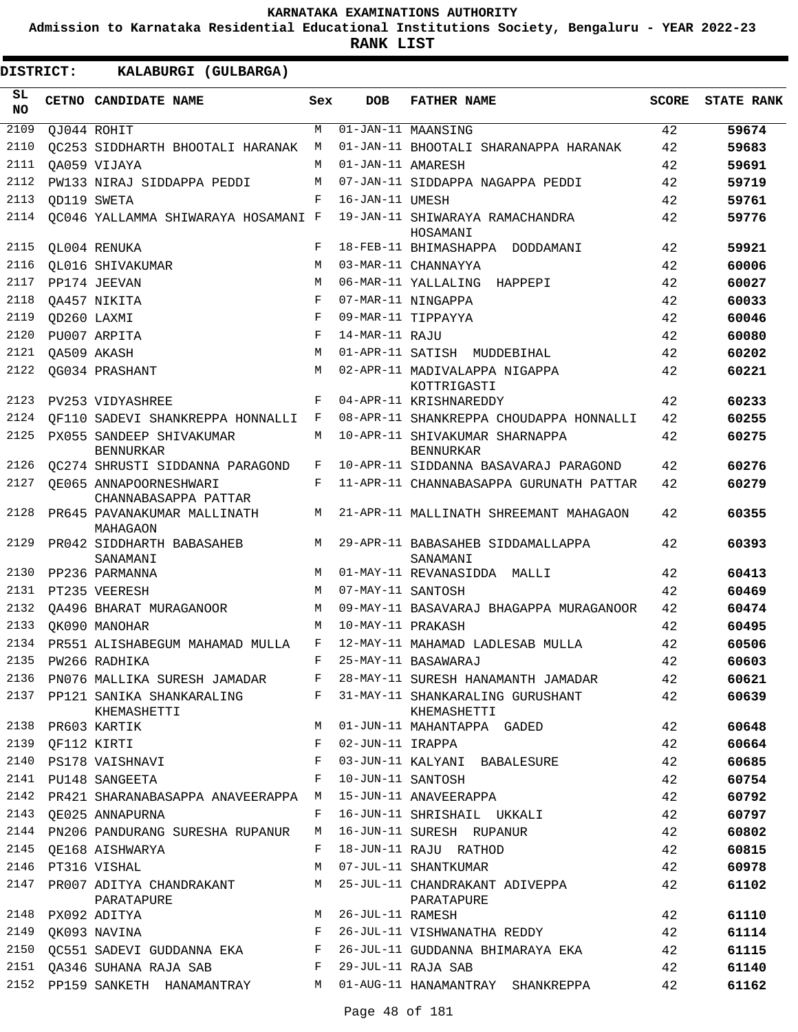**Admission to Karnataka Residential Educational Institutions Society, Bengaluru - YEAR 2022-23**

| DISTRICT:        |             | KALABURGI (GULBARGA)                            |     |                   |                                                 |              |                   |
|------------------|-------------|-------------------------------------------------|-----|-------------------|-------------------------------------------------|--------------|-------------------|
| SL.<br><b>NO</b> |             | CETNO CANDIDATE NAME                            | Sex | <b>DOB</b>        | <b>FATHER NAME</b>                              | <b>SCORE</b> | <b>STATE RANK</b> |
| 2109             |             | QJ044 ROHIT                                     | М   |                   | 01-JAN-11 MAANSING                              | 42           | 59674             |
| 2110             |             | OC253 SIDDHARTH BHOOTALI HARANAK                | M   |                   | 01-JAN-11 BHOOTALI SHARANAPPA HARANAK           | 42           | 59683             |
| 2111             |             | OA059 VIJAYA                                    | M   | 01-JAN-11 AMARESH |                                                 | 42           | 59691             |
| 2112             |             | PW133 NIRAJ SIDDAPPA PEDDI                      | M   |                   | 07-JAN-11 SIDDAPPA NAGAPPA PEDDI                | 42           | 59719             |
| 2113             |             | OD119 SWETA                                     | F   | 16-JAN-11 UMESH   |                                                 | 42           | 59761             |
| 2114             |             | QC046 YALLAMMA SHIWARAYA HOSAMANI F             |     |                   | 19-JAN-11 SHIWARAYA RAMACHANDRA<br>HOSAMANI     | 42           | 59776             |
| 2115             |             | QL004 RENUKA                                    | F   |                   | 18-FEB-11 BHIMASHAPPA DODDAMANI                 | 42           | 59921             |
| 2116             |             | OL016 SHIVAKUMAR                                | M   |                   | 03-MAR-11 CHANNAYYA                             | 42           | 60006             |
| 2117             |             | PP174 JEEVAN                                    | M   |                   | 06-MAR-11 YALLALING HAPPEPI                     | 42           | 60027             |
| 2118             |             | OA457 NIKITA                                    | F   |                   | 07-MAR-11 NINGAPPA                              | 42           | 60033             |
| 2119             | OD260 LAXMI |                                                 | F   |                   | 09-MAR-11 TIPPAYYA                              | 42           | 60046             |
| 2120             |             | PU007 ARPITA                                    | F   | 14-MAR-11 RAJU    |                                                 | 42           | 60080             |
| 2121             | OA509 AKASH |                                                 | M   |                   | 01-APR-11 SATISH MUDDEBIHAL                     | 42           | 60202             |
| 2122             |             | QG034 PRASHANT                                  | M   |                   | 02-APR-11 MADIVALAPPA NIGAPPA                   | 42           | 60221             |
| 2123             |             | PV253 VIDYASHREE                                | F   |                   | KOTTRIGASTI<br>04-APR-11 KRISHNAREDDY           | 42           | 60233             |
| 2124             |             | OF110 SADEVI SHANKREPPA HONNALLI                | F   |                   | 08-APR-11 SHANKREPPA CHOUDAPPA HONNALLI         | 42           | 60255             |
| 2125             |             | PX055 SANDEEP SHIVAKUMAR                        | M   |                   | 10-APR-11 SHIVAKUMAR SHARNAPPA                  | 42           | 60275             |
|                  |             | <b>BENNURKAR</b>                                |     |                   | <b>BENNURKAR</b>                                |              |                   |
| 2126             |             | <b>QC274 SHRUSTI SIDDANNA PARAGOND</b>          | F   |                   | 10-APR-11 SIDDANNA BASAVARAJ PARAGOND           | 42           | 60276             |
| 2127             |             | OE065 ANNAPOORNESHWARI<br>CHANNABASAPPA PATTAR  | F   |                   | 11-APR-11 CHANNABASAPPA GURUNATH PATTAR         | 42           | 60279             |
| 2128             |             | PR645 PAVANAKUMAR MALLINATH<br>MAHAGAON         | М   |                   | 21-APR-11 MALLINATH SHREEMANT MAHAGAON          | 42           | 60355             |
| 2129             |             | PR042 SIDDHARTH BABASAHEB<br>SANAMANI           | M   |                   | 29-APR-11 BABASAHEB SIDDAMALLAPPA<br>SANAMANI   | 42           | 60393             |
| 2130             |             | PP236 PARMANNA                                  | M   |                   | 01-MAY-11 REVANASIDDA MALLI                     | 42           | 60413             |
| 2131             |             | PT235 VEERESH                                   | M   | 07-MAY-11 SANTOSH |                                                 | 42           | 60469             |
| 2132             |             | OA496 BHARAT MURAGANOOR                         | M   |                   | 09-MAY-11 BASAVARAJ BHAGAPPA MURAGANOOR         | 42           | 60474             |
| 2133             |             | OK090 MANOHAR                                   | M   | 10-MAY-11 PRAKASH |                                                 | 42           | 60495             |
| 2134             |             | PR551 ALISHABEGUM MAHAMAD MULLA                 | F   |                   | 12-MAY-11 MAHAMAD LADLESAB MULLA                | 42           | 60506             |
| 2135             |             | PW266 RADHIKA                                   | F   |                   | 25-MAY-11 BASAWARAJ                             | 42           | 60603             |
| 2136             |             | PN076 MALLIKA SURESH JAMADAR F                  |     |                   | 28-MAY-11 SURESH HANAMANTH JAMADAR              | 42           | 60621             |
|                  |             | 2137 PP121 SANIKA SHANKARALING F<br>KHEMASHETTI |     |                   | 31-MAY-11 SHANKARALING GURUSHANT<br>KHEMASHETTI | 42           | 60639             |
| 2138             |             |                                                 | M   |                   | 01-JUN-11 MAHANTAPPA GADED                      | 42           | 60648             |
| 2139             |             |                                                 | F   | 02-JUN-11 IRAPPA  |                                                 | 42           | 60664             |
| 2140             |             | PR603 KARTIK<br>QF112 KIRTI<br>PS178 VAISHNAVI  | F   |                   | 03-JUN-11 KALYANI BABALESURE                    | 42           | 60685             |
| 2141             |             | PU148 SANGEETA                                  | F   |                   | 10-JUN-11 SANTOSH                               | 42           | 60754             |
| 2142             |             | PR421 SHARANABASAPPA ANAVEERAPPA M              |     |                   | 15-JUN-11 ANAVEERAPPA                           | 42           | 60792             |
|                  |             | 2143 QE025 ANNAPURNA                            | F   |                   | 16-JUN-11 SHRISHAIL UKKALI                      | 42           | 60797             |
|                  |             | 2144 PN206 PANDURANG SURESHA RUPANUR            | M   |                   | 16-JUN-11 SURESH RUPANUR                        | 42           | 60802             |
| 2145             |             | OE168 AISHWARYA                                 | F   |                   | 18-JUN-11 RAJU RATHOD                           | 42           | 60815             |
|                  |             | 2146 PT316 VISHAL                               | M   |                   | 07-JUL-11 SHANTKUMAR                            | 42           | 60978             |
| 2147             |             | PR007 ADITYA CHANDRAKANT<br>PARATAPURE          | M   |                   | 25-JUL-11 CHANDRAKANT ADIVEPPA<br>PARATAPURE    | 42           | 61102             |
|                  |             | 2148 PX092 ADITYA                               | M   | 26-JUL-11 RAMESH  |                                                 | 42           | 61110             |
| 2149             |             | QK093 NAVINA                                    | F   |                   | 26-JUL-11 VISHWANATHA REDDY                     | 42           | 61114             |
| 2150             |             | QC551 SADEVI GUDDANNA EKA F                     |     |                   | 26-JUL-11 GUDDANNA BHIMARAYA EKA                | 42           | 61115             |
| 2151             |             | QA346 SUHANA RAJA SAB F                         |     |                   | 29-JUL-11 RAJA SAB                              | 42           | 61140             |
|                  |             | 2152 PP159 SANKETH HANAMANTRAY M                |     |                   | 01-AUG-11 HANAMANTRAY SHANKREPPA                | 42           | 61162             |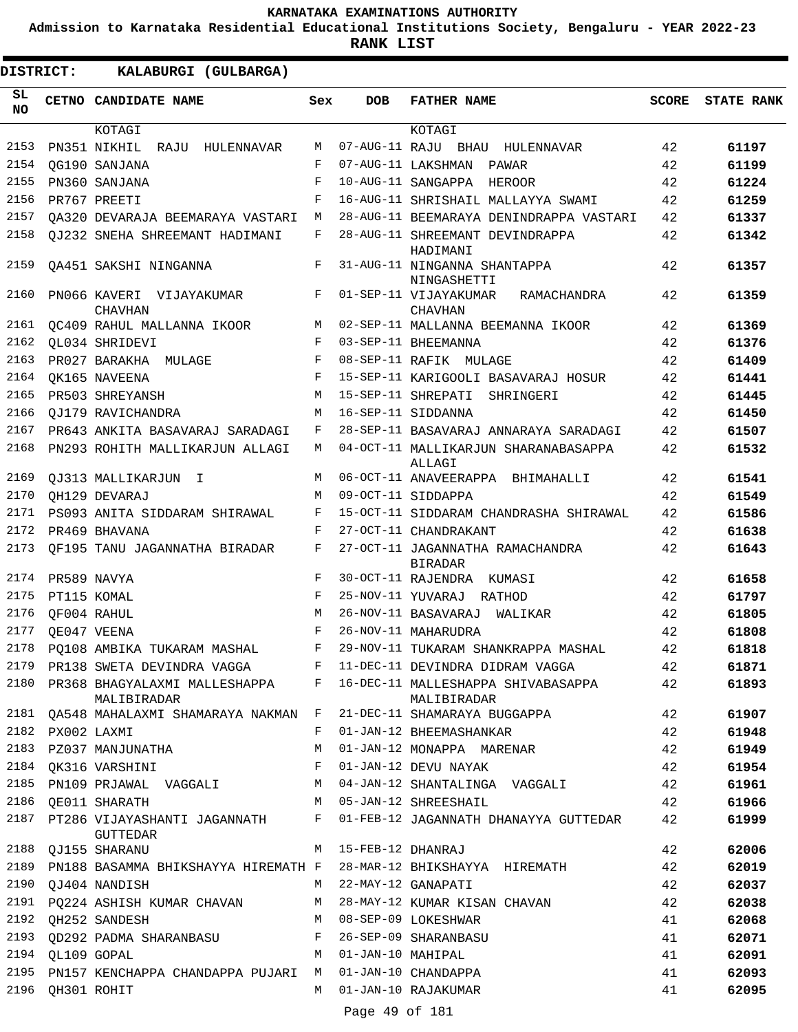**Admission to Karnataka Residential Educational Institutions Society, Bengaluru - YEAR 2022-23**

**RANK LIST**

| <b>DISTRICT:</b> |                  | KALABURGI (GULBARGA)                                              |              |                     |                                                                                        |       |                   |
|------------------|------------------|-------------------------------------------------------------------|--------------|---------------------|----------------------------------------------------------------------------------------|-------|-------------------|
| SL<br><b>NO</b>  |                  | CETNO CANDIDATE NAME                                              | Sex          | DOB                 | <b>FATHER NAME</b>                                                                     | SCORE | <b>STATE RANK</b> |
| 2153             |                  | KOTAGI                                                            | М            |                     | KOTAGI                                                                                 | 42    |                   |
| 2154             |                  | PN351 NIKHIL RAJU HULENNAVAR                                      | F            |                     | 07-AUG-11 RAJU BHAU HULENNAVAR<br>07-AUG-11 LAKSHMAN                                   |       | 61197             |
| 2155             |                  | OG190 SANJANA                                                     |              |                     | PAWAR                                                                                  | 42    | 61199             |
|                  |                  | PN360 SANJANA                                                     | F            |                     | 10-AUG-11 SANGAPPA HEROOR                                                              | 42    | 61224             |
| 2156             |                  | PR767 PREETI                                                      | F            |                     | 16-AUG-11 SHRISHAIL MALLAYYA SWAMI                                                     | 42    | 61259             |
| 2157             |                  | OA320 DEVARAJA BEEMARAYA VASTARI                                  | М            |                     | 28-AUG-11 BEEMARAYA DENINDRAPPA VASTARI                                                | 42    | 61337             |
| 2158             |                  | OJ232 SNEHA SHREEMANT HADIMANI                                    | F            |                     | 28-AUG-11 SHREEMANT DEVINDRAPPA<br>HADIMANI                                            | 42    | 61342             |
| 2159             |                  | OA451 SAKSHI NINGANNA                                             | F            |                     | 31-AUG-11 NINGANNA SHANTAPPA<br>NINGASHETTI                                            | 42    | 61357             |
| 2160             |                  | PN066 KAVERI VIJAYAKUMAR<br><b>CHAVHAN</b>                        | F            |                     | 01-SEP-11 VIJAYAKUMAR<br>RAMACHANDRA<br><b>CHAVHAN</b>                                 | 42    | 61359             |
| 2161             |                  | QC409 RAHUL MALLANNA IKOOR                                        | M            |                     | 02-SEP-11 MALLANNA BEEMANNA IKOOR                                                      | 42    | 61369             |
| 2162             |                  | QL034 SHRIDEVI                                                    | $\mathbf{F}$ |                     | 03-SEP-11 BHEEMANNA                                                                    | 42    | 61376             |
| 2163             |                  | PR027 BARAKHA MULAGE                                              | F            |                     | 08-SEP-11 RAFIK MULAGE                                                                 | 42    | 61409             |
| 2164             |                  | OK165 NAVEENA                                                     | F            |                     | 15-SEP-11 KARIGOOLI BASAVARAJ HOSUR                                                    | 42    | 61441             |
| 2165             |                  | PR503 SHREYANSH                                                   | M            |                     | 15-SEP-11 SHREPATI<br>SHRINGERI                                                        | 42    | 61445             |
| 2166             |                  | OJ179 RAVICHANDRA                                                 | M            |                     | 16-SEP-11 SIDDANNA                                                                     | 42    | 61450             |
| 2167             |                  | PR643 ANKITA BASAVARAJ SARADAGI                                   | F            |                     | 28-SEP-11 BASAVARAJ ANNARAYA SARADAGI                                                  | 42    | 61507             |
| 2168             |                  | PN293 ROHITH MALLIKARJUN ALLAGI                                   | M            |                     | 04-OCT-11 MALLIKARJUN SHARANABASAPPA<br>ALLAGI                                         | 42    | 61532             |
| 2169             |                  | OJ313 MALLIKARJUN I                                               | M            |                     | 06-OCT-11 ANAVEERAPPA BHIMAHALLI                                                       | 42    | 61541             |
| 2170             |                  | OH129 DEVARAJ                                                     | M            |                     | 09-OCT-11 SIDDAPPA                                                                     | 42    | 61549             |
| 2171             |                  | PS093 ANITA SIDDARAM SHIRAWAL                                     | F            |                     | 15-OCT-11 SIDDARAM CHANDRASHA SHIRAWAL                                                 | 42    | 61586             |
| 2172             |                  | PR469 BHAVANA                                                     | F            |                     | 27-OCT-11 CHANDRAKANT                                                                  | 42    | 61638             |
| 2173             |                  | OF195 TANU JAGANNATHA BIRADAR                                     | F            |                     | 27-OCT-11 JAGANNATHA RAMACHANDRA<br><b>BIRADAR</b>                                     | 42    | 61643             |
| 2174             |                  | PR589 NAVYA                                                       | F            |                     | 30-OCT-11 RAJENDRA KUMASI                                                              | 42    | 61658             |
| 2175             |                  | PT115 KOMAL                                                       | $_{\rm F}$   |                     | 25-NOV-11 YUVARAJ RATHOD                                                               | 42    | 61797             |
| 2176             |                  | OF004 RAHUL                                                       | M            |                     | 26-NOV-11 BASAVARAJ<br>WALIKAR                                                         | 42    | 61805             |
| 2177             |                  | OE047 VEENA                                                       | F            |                     | 26-NOV-11 MAHARUDRA                                                                    | 42    | 61808             |
|                  |                  | 2178 PQ108 AMBIKA TUKARAM MASHAL                                  | F            |                     | 29-NOV-11 TUKARAM SHANKRAPPA MASHAL                                                    | 42    | 61818             |
|                  |                  | 2179 PR138 SWETA DEVINDRA VAGGA F 11-DEC-11 DEVINDRA DIDRAM VAGGA |              |                     |                                                                                        | 42    | 61871             |
|                  |                  | MALIBIRADAR                                                       |              |                     | 2180 PR368 BHAGYALAXMI MALLESHAPPA F 16-DEC-11 MALLESHAPPA SHIVABASAPPA<br>MALIBIRADAR | 42    | 61893             |
|                  |                  | 2181 QA548 MAHALAXMI SHAMARAYA NAKMAN F                           |              |                     | 21-DEC-11 SHAMARAYA BUGGAPPA                                                           | 42    | 61907             |
| 2182             |                  | PX002 LAXMI                                                       | F            |                     | 01-JAN-12 BHEEMASHANKAR                                                                | 42    | 61948             |
|                  |                  | 2183 PZ037 MANJUNATHA                                             | M            |                     | 01-JAN-12 MONAPPA MARENAR                                                              | 42    | 61949             |
|                  |                  | 2184 QK316 VARSHINI                                               | $\mathbf{F}$ |                     | 01-JAN-12 DEVU NAYAK                                                                   | 42    | 61954             |
| 2185             |                  | PN109 PRJAWAL VAGGALI M                                           |              |                     | 04-JAN-12 SHANTALINGA VAGGALI                                                          | 42    | 61961             |
| 2186             |                  | OE011 SHARATH<br>M <sub>N</sub>                                   |              |                     | 05-JAN-12 SHREESHAIL                                                                   | 42    | 61966             |
| 2187             |                  | PT286 VIJAYASHANTI JAGANNATH<br><b>GUTTEDAR</b>                   | F            |                     | 01-FEB-12 JAGANNATH DHANAYYA GUTTEDAR                                                  | 42    | 61999             |
|                  |                  | 2188 QJ155 SHARANU                                                | M            | 15-FEB-12 DHANRAJ   |                                                                                        | 42    | 62006             |
| 2189             |                  | PN188 BASAMMA BHIKSHAYYA HIREMATH F                               |              |                     | 28-MAR-12 BHIKSHAYYA HIREMATH                                                          | 42    | 62019             |
|                  |                  | 2190 QJ404 NANDISH                                                |              |                     | M 22-MAY-12 GANAPATI                                                                   | 42    | 62037             |
|                  |                  | 2191 PQ224 ASHISH KUMAR CHAVAN                                    | M            |                     | 28-MAY-12 KUMAR KISAN CHAVAN                                                           | 42    | 62038             |
| 2192             |                  | QH252 SANDESH                                                     |              |                     | M 08-SEP-09 LOKESHWAR                                                                  | 41    | 62068             |
| 2193             |                  | QD292 PADMA SHARANBASU F                                          |              |                     | 26-SEP-09 SHARANBASU                                                                   | 41    | 62071             |
|                  | 2194 QL109 GOPAL |                                                                   |              | M 01-JAN-10 MAHIPAL |                                                                                        | 41    | 62091             |
| 2195             |                  | PN157 KENCHAPPA CHANDAPPA PUJARI M                                |              |                     | 01-JAN-10 CHANDAPPA                                                                    | 41    | 62093             |
|                  |                  | 2196 QH301 ROHIT                                                  |              |                     | M 01-JAN-10 RAJAKUMAR                                                                  | 41    | 62095             |

Page 49 of 181 M 01-JAN-10 RAJAKUMAR

QH301 ROHIT 2196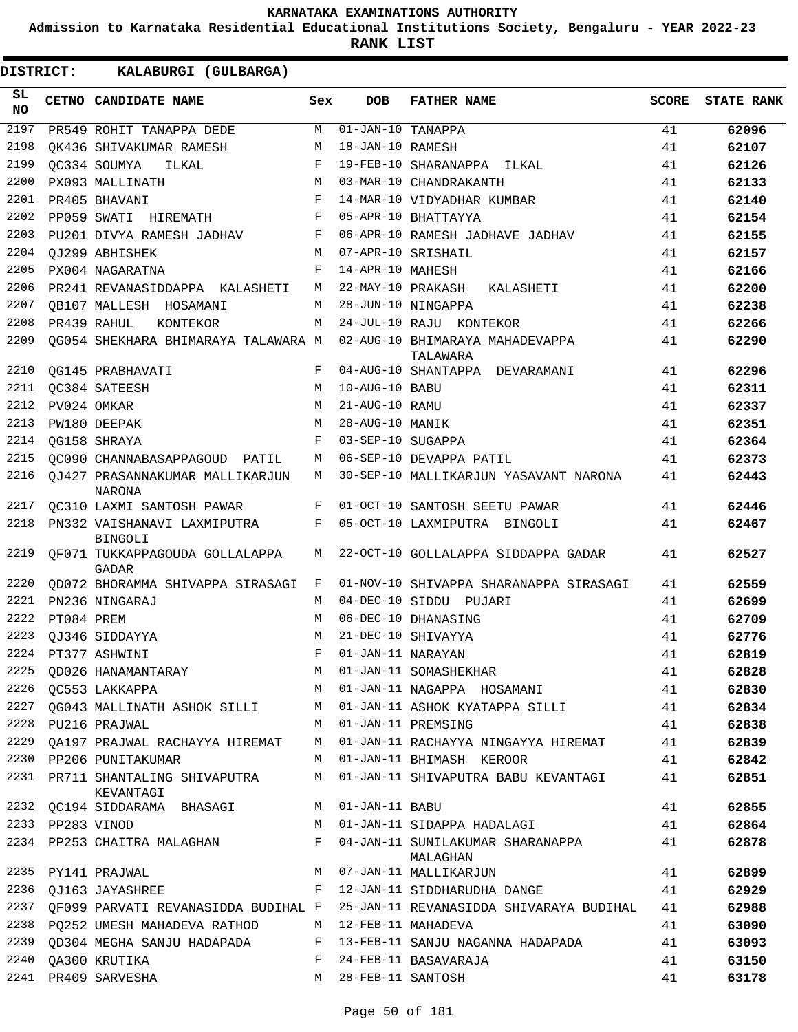**Admission to Karnataka Residential Educational Institutions Society, Bengaluru - YEAR 2022-23**

**RANK LIST**

| SL.<br>NO |                  | CETNO CANDIDATE NAME                             | Sex | <b>DOB</b>                            | <b>FATHER NAME</b>                           | <b>SCORE</b> | <b>STATE RANK</b> |
|-----------|------------------|--------------------------------------------------|-----|---------------------------------------|----------------------------------------------|--------------|-------------------|
| 2197      |                  | PR549 ROHIT TANAPPA DEDE                         | M   | $\overline{01-\text{JAN}}-10$ TANAPPA |                                              | 41           | 62096             |
| 2198      |                  | QK436 SHIVAKUMAR RAMESH                          | М   | 18-JAN-10 RAMESH                      |                                              | 41           | 62107             |
| 2199      |                  | OC334 SOUMYA<br>ILKAL                            | F   |                                       | 19-FEB-10 SHARANAPPA ILKAL                   | 41           | 62126             |
| 2200      |                  | PX093 MALLINATH                                  | М   |                                       | 03-MAR-10 CHANDRAKANTH                       | 41           | 62133             |
| 2201      |                  | PR405 BHAVANI                                    | F   |                                       | 14-MAR-10 VIDYADHAR KUMBAR                   | 41           | 62140             |
| 2202      |                  | PP059 SWATI HIREMATH                             | F   |                                       | 05-APR-10 BHATTAYYA                          | 41           | 62154             |
| 2203      |                  | PU201 DIVYA RAMESH JADHAV                        | F   |                                       | 06-APR-10 RAMESH JADHAVE JADHAV              | 41           | 62155             |
| 2204      |                  | QJ299 ABHISHEK                                   | M   |                                       | 07-APR-10 SRISHAIL                           | 41           | 62157             |
| 2205      |                  | PX004 NAGARATNA                                  | F   | 14-APR-10 MAHESH                      |                                              | 41           | 62166             |
| 2206      |                  | PR241 REVANASIDDAPPA KALASHETI                   | М   | 22-MAY-10 PRAKASH                     | KALASHETI                                    | 41           | 62200             |
| 2207      |                  | OB107 MALLESH HOSAMANI                           | М   |                                       | 28-JUN-10 NINGAPPA                           | 41           | 62238             |
| 2208      |                  | PR439 RAHUL<br>KONTEKOR                          | М   |                                       | 24-JUL-10 RAJU KONTEKOR                      | 41           | 62266             |
| 2209      |                  | QG054 SHEKHARA BHIMARAYA TALAWARA M              |     |                                       | 02-AUG-10 BHIMARAYA MAHADEVAPPA<br>TALAWARA  | 41           | 62290             |
| 2210      |                  | <b>QG145 PRABHAVATI</b>                          | F   |                                       | 04-AUG-10 SHANTAPPA DEVARAMANI               | 41           | 62296             |
| 2211      |                  | OC384 SATEESH                                    | M   | 10-AUG-10 BABU                        |                                              | 41           | 62311             |
| 2212      |                  | PV024 OMKAR                                      | M   | 21-AUG-10 RAMU                        |                                              | 41           | 62337             |
| 2213      |                  | PW180 DEEPAK                                     | M   | 28-AUG-10 MANIK                       |                                              | 41           | 62351             |
| 2214      |                  | QG158 SHRAYA                                     | F   | 03-SEP-10 SUGAPPA                     |                                              | 41           | 62364             |
| 2215      |                  | QC090 CHANNABASAPPAGOUD PATIL                    | М   |                                       | 06-SEP-10 DEVAPPA PATIL                      | 41           | 62373             |
| 2216      |                  | OJ427 PRASANNAKUMAR MALLIKARJUN<br><b>NARONA</b> | М   |                                       | 30-SEP-10 MALLIKARJUN YASAVANT NARONA        | 41           | 62443             |
| 2217      |                  | OC310 LAXMI SANTOSH PAWAR                        | F   |                                       | 01-OCT-10 SANTOSH SEETU PAWAR                | 41           | 62446             |
| 2218      |                  | PN332 VAISHANAVI LAXMIPUTRA<br><b>BINGOLI</b>    | F   |                                       | 05-OCT-10 LAXMIPUTRA BINGOLI                 | 41           | 62467             |
| 2219      |                  | OF071 TUKKAPPAGOUDA GOLLALAPPA<br>GADAR          | М   |                                       | 22-OCT-10 GOLLALAPPA SIDDAPPA GADAR          | 41           | 62527             |
| 2220      |                  | OD072 BHORAMMA SHIVAPPA SIRASAGI                 | F   |                                       | 01-NOV-10 SHIVAPPA SHARANAPPA SIRASAGI       | 41           | 62559             |
| 2221      |                  | PN236 NINGARAJ                                   | М   |                                       | 04-DEC-10 SIDDU PUJARI                       | 41           | 62699             |
| 2222      | PT084 PREM       |                                                  | M   |                                       | 06-DEC-10 DHANASING                          | 41           | 62709             |
| 2223      |                  | OJ346 SIDDAYYA                                   | M   |                                       | 21-DEC-10 SHIVAYYA                           | 41           | 62776             |
|           |                  | 2224 PT377 ASHWINI                               | F   | 01-JAN-11 NARAYAN                     |                                              | 41           | 62819             |
| 2225      |                  | <b>OD026 HANAMANTARAY</b>                        | M   |                                       | 01-JAN-11 SOMASHEKHAR                        | 41           | 62828             |
| 2226      |                  | QC553 LAKKAPPA                                   | M   |                                       | 01-JAN-11 NAGAPPA HOSAMANI                   | 41           | 62830             |
| 2227      |                  | QG043 MALLINATH ASHOK SILLI                      | M   |                                       | 01-JAN-11 ASHOK KYATAPPA SILLI               | 41           | 62834             |
| 2228      |                  | PU216 PRAJWAL                                    | M   |                                       | 01-JAN-11 PREMSING                           | 41           | 62838             |
| 2229      |                  | OA197 PRAJWAL RACHAYYA HIREMAT                   | M   |                                       | 01-JAN-11 RACHAYYA NINGAYYA HIREMAT          | 41           | 62839             |
|           |                  | 2230 PP206 PUNITAKUMAR                           | M   |                                       | 01-JAN-11 BHIMASH KEROOR                     | 41           | 62842             |
|           |                  | 2231 PR711 SHANTALING SHIVAPUTRA<br>KEVANTAGI    | M   |                                       | 01-JAN-11 SHIVAPUTRA BABU KEVANTAGI          | 41           | 62851             |
|           |                  | 2232 QC194 SIDDARAMA BHASAGI                     | M   | 01-JAN-11 BABU                        |                                              | 41           | 62855             |
|           | 2233 PP283 VINOD |                                                  | M   |                                       | 01-JAN-11 SIDAPPA HADALAGI                   | 41           | 62864             |
|           |                  | 2234 PP253 CHAITRA MALAGHAN                      | F   |                                       | 04-JAN-11 SUNILAKUMAR SHARANAPPA<br>MALAGHAN | 41           | 62878             |
| 2235      |                  | PY141 PRAJWAL                                    | M   |                                       | 07-JAN-11 MALLIKARJUN                        | 41           | 62899             |
| 2236      |                  | OJ163 JAYASHREE                                  | F   |                                       | 12-JAN-11 SIDDHARUDHA DANGE                  | 41           | 62929             |
| 2237      |                  | QF099 PARVATI REVANASIDDA BUDIHAL F              |     |                                       | 25-JAN-11 REVANASIDDA SHIVARAYA BUDIHAL      | 41           | 62988             |
|           |                  | 2238 PQ252 UMESH MAHADEVA RATHOD                 | M   |                                       | 12-FEB-11 MAHADEVA                           | 41           | 63090             |
| 2239      |                  | QD304 MEGHA SANJU HADAPADA                       | F   |                                       | 13-FEB-11 SANJU NAGANNA HADAPADA             | 41           | 63093             |
| 2240      |                  | QA300 KRUTIKA                                    | F   |                                       | 24-FEB-11 BASAVARAJA                         | 41           | 63150             |
|           |                  | 2241 PR409 SARVESHA                              | M   | 28-FEB-11 SANTOSH                     |                                              | 41           | 63178             |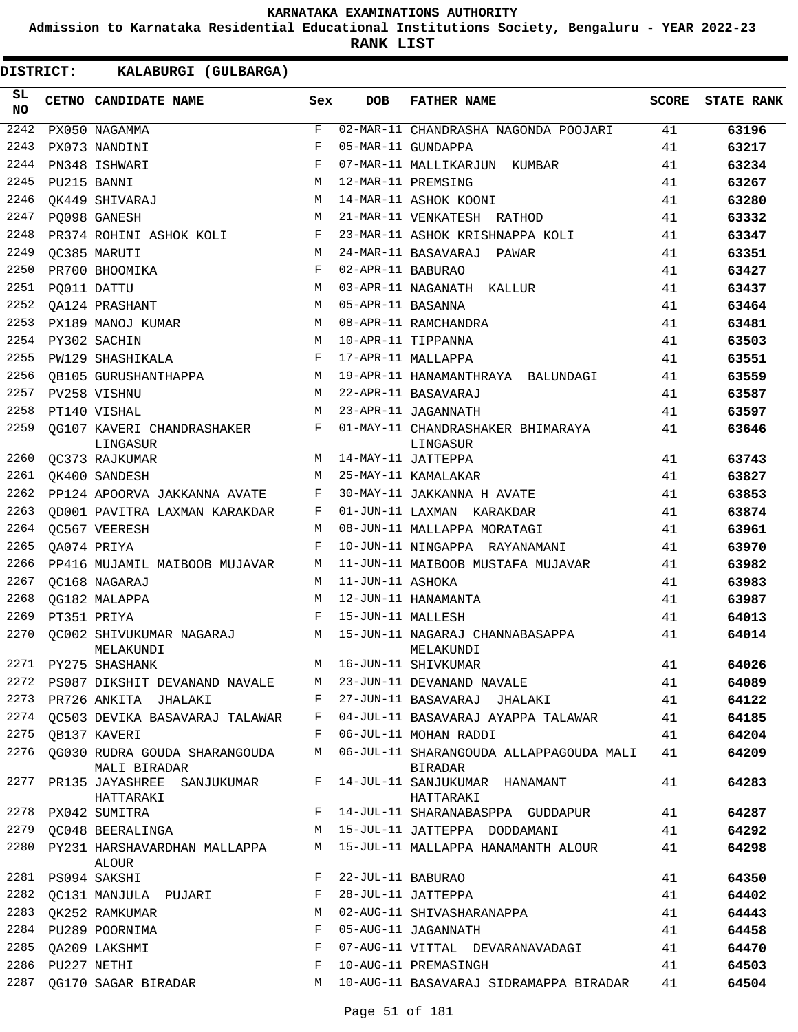**Admission to Karnataka Residential Educational Institutions Society, Bengaluru - YEAR 2022-23**

**RANK LIST**

| SL<br><b>NO</b> |                  | CETNO CANDIDATE NAME                            | Sex          | <b>DOB</b>        | <b>FATHER NAME</b>                                                       | <b>SCORE</b> | <b>STATE RANK</b> |
|-----------------|------------------|-------------------------------------------------|--------------|-------------------|--------------------------------------------------------------------------|--------------|-------------------|
| 2242            |                  | PX050 NAGAMMA                                   | F            |                   | 02-MAR-11 CHANDRASHA NAGONDA POOJARI                                     | 41           | 63196             |
| 2243            |                  | PX073 NANDINI                                   | F            |                   | 05-MAR-11 GUNDAPPA                                                       | 41           | 63217             |
| 2244            |                  | PN348 ISHWARI                                   | F            |                   | 07-MAR-11 MALLIKARJUN KUMBAR                                             | 41           | 63234             |
| 2245            |                  | PU215 BANNI                                     | M            |                   | 12-MAR-11 PREMSING                                                       | 41           | 63267             |
| 2246            |                  | OK449 SHIVARAJ                                  | M            |                   | 14-MAR-11 ASHOK KOONI                                                    | 41           | 63280             |
| 2247            |                  | PO098 GANESH                                    | M            |                   | 21-MAR-11 VENKATESH RATHOD                                               | 41           | 63332             |
| 2248            |                  | PR374 ROHINI ASHOK KOLI                         | F            |                   | 23-MAR-11 ASHOK KRISHNAPPA KOLI                                          | 41           | 63347             |
| 2249            |                  | OC385 MARUTI                                    | M            |                   | 24-MAR-11 BASAVARAJ PAWAR                                                | 41           | 63351             |
| 2250            |                  | PR700 BHOOMIKA                                  | F            | 02-APR-11 BABURAO |                                                                          | 41           | 63427             |
| 2251            |                  | PQ011 DATTU                                     | M            |                   | 03-APR-11 NAGANATH KALLUR                                                | 41           | 63437             |
| 2252            |                  | QA124 PRASHANT                                  | M            | 05-APR-11 BASANNA |                                                                          | 41           | 63464             |
| 2253            |                  | PX189 MANOJ KUMAR                               | M            |                   | 08-APR-11 RAMCHANDRA                                                     | 41           | 63481             |
| 2254            |                  | PY302 SACHIN                                    | M            |                   | 10-APR-11 TIPPANNA                                                       | 41           | 63503             |
| 2255            |                  | PW129 SHASHIKALA                                | F            |                   | 17-APR-11 MALLAPPA                                                       | 41           | 63551             |
| 2256            |                  | OB105 GURUSHANTHAPPA                            | M            |                   | 19-APR-11 HANAMANTHRAYA BALUNDAGI                                        | 41           | 63559             |
| 2257            |                  | PV258 VISHNU                                    | M            |                   | 22-APR-11 BASAVARAJ                                                      | 41           | 63587             |
| 2258            |                  | PT140 VISHAL                                    | M            |                   | 23-APR-11 JAGANNATH                                                      | 41           | 63597             |
| 2259            |                  | QG107 KAVERI CHANDRASHAKER<br>LINGASUR          | F            |                   | 01-MAY-11 CHANDRASHAKER BHIMARAYA<br>LINGASUR                            | 41           | 63646             |
| 2260            |                  | QC373 RAJKUMAR                                  | M            |                   | 14-MAY-11 JATTEPPA                                                       | 41           | 63743             |
| 2261            |                  | OK400 SANDESH                                   | M            |                   | 25-MAY-11 KAMALAKAR                                                      | 41           | 63827             |
| 2262            |                  | PP124 APOORVA JAKKANNA AVATE                    | F            |                   | 30-MAY-11 JAKKANNA H AVATE                                               | 41           | 63853             |
| 2263            |                  | OD001 PAVITRA LAXMAN KARAKDAR                   | F            |                   | 01-JUN-11 LAXMAN KARAKDAR                                                | 41           | 63874             |
| 2264            |                  | OC567 VEERESH                                   | М            |                   | 08-JUN-11 MALLAPPA MORATAGI                                              | 41           | 63961             |
| 2265            |                  | QA074 PRIYA                                     | F            |                   | 10-JUN-11 NINGAPPA RAYANAMANI                                            | 41           | 63970             |
| 2266            |                  | PP416 MUJAMIL MAIBOOB MUJAVAR                   | М            |                   | 11-JUN-11 MAIBOOB MUSTAFA MUJAVAR                                        | 41           | 63982             |
| 2267            |                  | OC168 NAGARAJ                                   | M            | 11-JUN-11 ASHOKA  |                                                                          | 41           | 63983             |
| 2268            |                  | OG182 MALAPPA                                   | М            |                   | 12-JUN-11 HANAMANTA                                                      | 41           | 63987             |
| 2269            |                  | PT351 PRIYA                                     | F            | 15-JUN-11 MALLESH |                                                                          | 41           | 64013             |
| 2270            |                  | OC002 SHIVUKUMAR NAGARAJ<br>MELAKUNDI           |              |                   | M 15-JUN-11 NAGARAJ CHANNABASAPPA<br>MELAKUNDI                           | 41           | 64014             |
|                 |                  | 2271 PY275 SHASHANK                             | M            |                   | 16-JUN-11 SHIVKUMAR                                                      | 41           | 64026             |
|                 |                  | 2272 PS087 DIKSHIT DEVANAND NAVALE M            |              |                   | 23-JUN-11 DEVANAND NAVALE                                                | 41           | 64089             |
|                 |                  | 2273 PR726 ANKITA JHALAKI                       | $\mathbf{F}$ |                   | 27-JUN-11 BASAVARAJ JHALAKI                                              | 41           | 64122             |
|                 |                  |                                                 |              |                   | 2274 QC503 DEVIKA BASAVARAJ TALAWAR F 04-JUL-11 BASAVARAJ AYAPPA TALAWAR | 41           | 64185             |
| 2275            |                  | QB137 KAVERI                                    | F            |                   | 06-JUL-11 MOHAN RADDI                                                    | 41           | 64204             |
| 2276            |                  | QG030 RUDRA GOUDA SHARANGOUDA M<br>MALI BIRADAR |              |                   | 06-JUL-11 SHARANGOUDA ALLAPPAGOUDA MALI<br>BIRADAR                       | 41           | 64209             |
|                 |                  | 2277 PR135 JAYASHREE SANJUKUMAR F<br>HATTARAKI  |              |                   | 14-JUL-11 SANJUKUMAR HANAMANT<br>HATTARAKI                               | 41           | 64283             |
| 2278            |                  | PX042 SUMITRA                                   |              |                   | F 14-JUL-11 SHARANABASPPA GUDDAPUR                                       | 41           | 64287             |
|                 |                  |                                                 |              |                   | 2279 QC048 BEERALINGA M 15-JUL-11 JATTEPPA DODDAMANI                     | 41           | 64292             |
|                 |                  | ALOUR                                           |              |                   | 2280 PY231 HARSHAVARDHAN MALLAPPA M 15-JUL-11 MALLAPPA HANAMANTH ALOUR   | 41           | 64298             |
|                 |                  | 2281 PS094 SAKSHI                               | F            | 22-JUL-11 BABURAO |                                                                          | 41           | 64350             |
|                 |                  | 2282 QC131 MANJULA PUJARI                       | F            |                   | 28-JUL-11 JATTEPPA                                                       | 41           | 64402             |
| 2283            |                  | OK252 RAMKUMAR                                  | М            |                   | 02-AUG-11 SHIVASHARANAPPA                                                | 41           | 64443             |
|                 |                  | 2284 PU289 POORNIMA                             | F            |                   | 05-AUG-11 JAGANNATH                                                      | 41           | 64458             |
| 2285            |                  | QA209 LAKSHMI                                   | F            |                   | 07-AUG-11 VITTAL DEVARANAVADAGI                                          | 41           | 64470             |
|                 | 2286 PU227 NETHI |                                                 | F            |                   | 10-AUG-11 PREMASINGH                                                     | 41           | 64503             |
| 2287            |                  | QG170 SAGAR BIRADAR                             | M            |                   | 10-AUG-11 BASAVARAJ SIDRAMAPPA BIRADAR                                   | 41           | 64504             |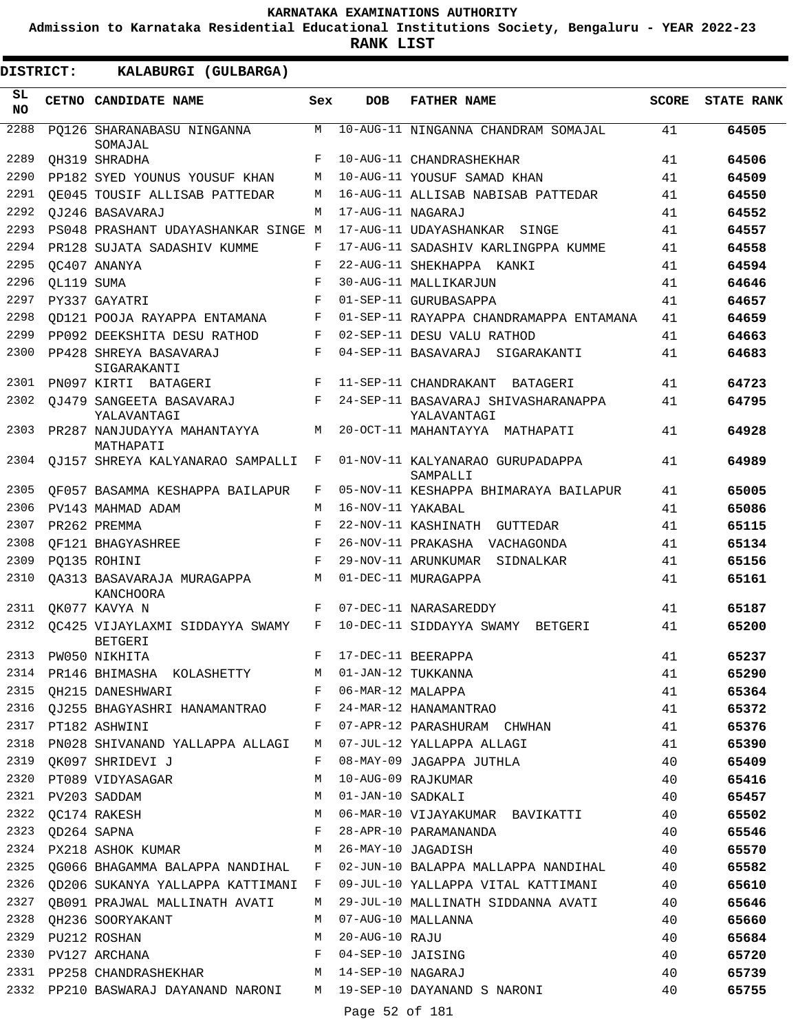**Admission to Karnataka Residential Educational Institutions Society, Bengaluru - YEAR 2022-23**

| DISTRICT:       |            | KALABURGI (GULBARGA)                              |     |                   |                                                    |              |                   |
|-----------------|------------|---------------------------------------------------|-----|-------------------|----------------------------------------------------|--------------|-------------------|
| SL<br><b>NO</b> |            | CETNO CANDIDATE NAME                              | Sex | <b>DOB</b>        | <b>FATHER NAME</b>                                 | <b>SCORE</b> | <b>STATE RANK</b> |
| 2288            |            | PO126 SHARANABASU NINGANNA<br>SOMAJAL             | М   |                   | 10-AUG-11 NINGANNA CHANDRAM SOMAJAL                | 41           | 64505             |
| 2289            |            | OH319 SHRADHA                                     | F   |                   | 10-AUG-11 CHANDRASHEKHAR                           | 41           | 64506             |
| 2290            |            | PP182 SYED YOUNUS YOUSUF KHAN                     | M   |                   | 10-AUG-11 YOUSUF SAMAD KHAN                        | 41           | 64509             |
| 2291            |            | OE045 TOUSIF ALLISAB PATTEDAR                     | М   |                   | 16-AUG-11 ALLISAB NABISAB PATTEDAR                 | 41           | 64550             |
| 2292            |            | OJ246 BASAVARAJ                                   | M   | 17-AUG-11 NAGARAJ |                                                    | 41           | 64552             |
| 2293            |            | PS048 PRASHANT UDAYASHANKAR SINGE M               |     |                   | 17-AUG-11 UDAYASHANKAR SINGE                       | 41           | 64557             |
| 2294            |            | PR128 SUJATA SADASHIV KUMME                       | F   |                   | 17-AUG-11 SADASHIV KARLINGPPA KUMME                | 41           | 64558             |
| 2295            |            | OC407 ANANYA                                      | F   |                   | 22-AUG-11 SHEKHAPPA KANKI                          | 41           | 64594             |
| 2296            | QL119 SUMA |                                                   | F   |                   | 30-AUG-11 MALLIKARJUN                              | 41           | 64646             |
| 2297            |            | PY337 GAYATRI                                     | F   |                   | 01-SEP-11 GURUBASAPPA                              | 41           | 64657             |
| 2298            |            | OD121 POOJA RAYAPPA ENTAMANA                      | F   |                   | 01-SEP-11 RAYAPPA CHANDRAMAPPA ENTAMANA            | 41           | 64659             |
| 2299            |            | PP092 DEEKSHITA DESU RATHOD                       | F   |                   | 02-SEP-11 DESU VALU RATHOD                         | 41           | 64663             |
| 2300            |            | PP428 SHREYA BASAVARAJ<br>SIGARAKANTI             | F   |                   | 04-SEP-11 BASAVARAJ SIGARAKANTI                    | 41           | 64683             |
| 2301            |            | PN097 KIRTI BATAGERI                              | F   |                   | 11-SEP-11 CHANDRAKANT<br>BATAGERI                  | 41           | 64723             |
| 2302            |            | OJ479 SANGEETA BASAVARAJ<br>YALAVANTAGI           | F   |                   | 24-SEP-11 BASAVARAJ SHIVASHARANAPPA<br>YALAVANTAGI | 41           | 64795             |
| 2303            |            | PR287 NANJUDAYYA MAHANTAYYA<br>MATHAPATI          | М   |                   | 20-OCT-11 MAHANTAYYA MATHAPATI                     | 41           | 64928             |
| 2304            |            | OJ157 SHREYA KALYANARAO SAMPALLI                  | F   |                   | 01-NOV-11 KALYANARAO GURUPADAPPA<br>SAMPALLI       | 41           | 64989             |
| 2305            |            | OF057 BASAMMA KESHAPPA BAILAPUR                   | F   |                   | 05-NOV-11 KESHAPPA BHIMARAYA BAILAPUR              | 41           | 65005             |
| 2306            |            | PV143 MAHMAD ADAM                                 | M   | 16-NOV-11 YAKABAL |                                                    | 41           | 65086             |
| 2307            |            | PR262 PREMMA                                      | F   |                   | 22-NOV-11 KASHINATH GUTTEDAR                       | 41           | 65115             |
| 2308            |            | OF121 BHAGYASHREE                                 | F   |                   | 26-NOV-11 PRAKASHA VACHAGONDA                      | 41           | 65134             |
| 2309            |            | PO135 ROHINI                                      | F   |                   | 29-NOV-11 ARUNKUMAR SIDNALKAR                      | 41           | 65156             |
| 2310            |            | OA313 BASAVARAJA MURAGAPPA<br><b>KANCHOORA</b>    | M   |                   | 01-DEC-11 MURAGAPPA                                | 41           | 65161             |
| 2311            |            | QK077 KAVYA N                                     | F   |                   | 07-DEC-11 NARASAREDDY                              | 41           | 65187             |
| 2312            |            | QC425 VIJAYLAXMI SIDDAYYA SWAMY<br><b>BETGERI</b> | F   |                   | 10-DEC-11 SIDDAYYA SWAMY BETGERI                   | 41           | 65200             |
| 2313            |            | PW050 NIKHITA                                     | F   |                   | 17-DEC-11 BEERAPPA                                 | 41           | 65237             |
| 2314            |            | PR146 BHIMASHA KOLASHETTY                         | М   |                   | 01-JAN-12 TUKKANNA                                 | 41           | 65290             |
| 2315            |            | QH215 DANESHWARI                                  | F   | 06-MAR-12 MALAPPA |                                                    | 41           | 65364             |
| 2316            |            | OJ255 BHAGYASHRI HANAMANTRAO                      | F   |                   | 24-MAR-12 HANAMANTRAO                              | 41           | 65372             |
| 2317            |            | PT182 ASHWINI                                     | F   |                   | 07-APR-12 PARASHURAM CHWHAN                        | 41           | 65376             |
| 2318            |            | PN028 SHIVANAND YALLAPPA ALLAGI                   | М   |                   | 07-JUL-12 YALLAPPA ALLAGI                          | 41           | 65390             |
| 2319            |            | QK097 SHRIDEVI J                                  | F   |                   | 08-MAY-09 JAGAPPA JUTHLA                           | 40           | 65409             |
| 2320            |            | PT089 VIDYASAGAR                                  | М   |                   | 10-AUG-09 RAJKUMAR                                 | 40           | 65416             |
| 2321            |            | PV203 SADDAM                                      | М   | 01-JAN-10 SADKALI |                                                    | 40           | 65457             |
| 2322            |            | QC174 RAKESH                                      | М   |                   | 06-MAR-10 VIJAYAKUMAR BAVIKATTI                    | 40           | 65502             |
| 2323            |            | QD264 SAPNA                                       | F   |                   | 28-APR-10 PARAMANANDA                              | 40           | 65546             |
| 2324            |            | PX218 ASHOK KUMAR                                 | М   |                   | 26-MAY-10 JAGADISH                                 | 40           | 65570             |
| 2325            |            | QG066 BHAGAMMA BALAPPA NANDIHAL F                 |     |                   | 02-JUN-10 BALAPPA MALLAPPA NANDIHAL                | 40           | 65582             |
|                 |            | 2326 QD206 SUKANYA YALLAPPA KATTIMANI F           |     |                   | 09-JUL-10 YALLAPPA VITAL KATTIMANI                 | 40           | 65610             |
| 2327            |            | QB091 PRAJWAL MALLINATH AVATI                     | М   |                   | 29-JUL-10 MALLINATH SIDDANNA AVATI                 | 40           | 65646             |
| 2328            |            | QH236 SOORYAKANT                                  | М   |                   | 07-AUG-10 MALLANNA                                 | 40           | 65660             |
| 2329            |            | PU212 ROSHAN                                      | М   | 20-AUG-10 RAJU    |                                                    | 40           | 65684             |
| 2330            |            | PV127 ARCHANA                                     | F   | 04-SEP-10 JAISING |                                                    | 40           | 65720             |
|                 |            | 2331 PP258 CHANDRASHEKHAR                         | M   | 14-SEP-10 NAGARAJ |                                                    | 40           | 65739             |
| 2332            |            | PP210 BASWARAJ DAYANAND NARONI                    | M   |                   | 19-SEP-10 DAYANAND S NARONI                        | 40           | 65755             |
|                 |            |                                                   |     | Page 52 of 181    |                                                    |              |                   |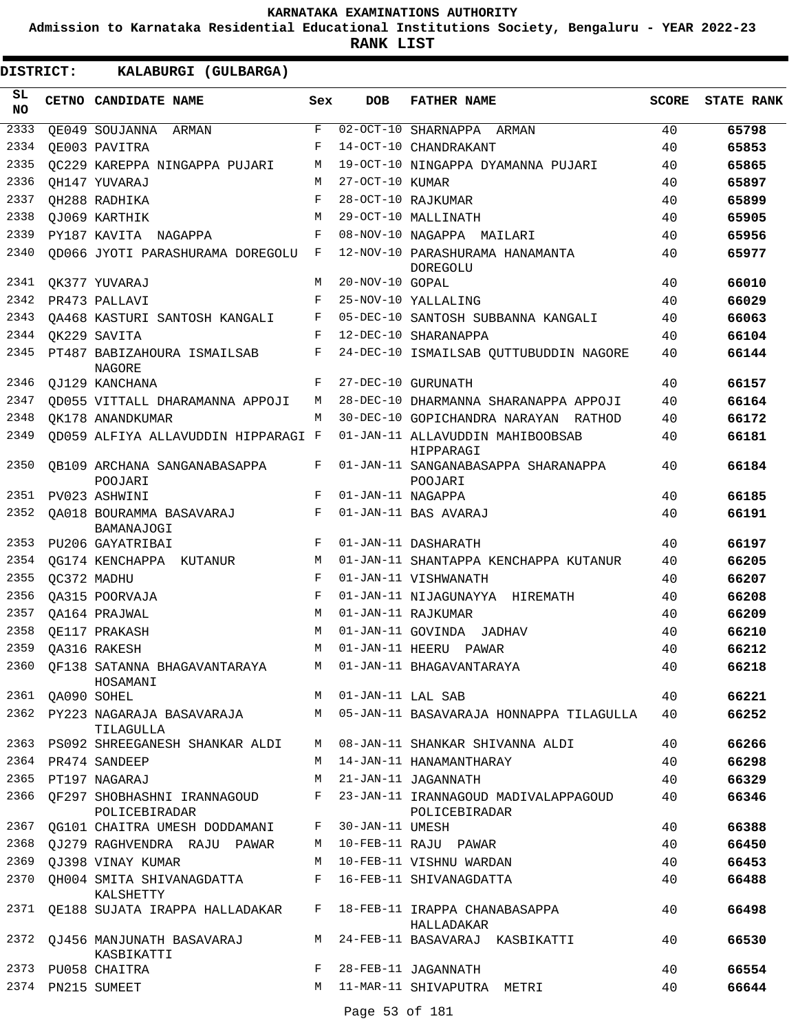**Admission to Karnataka Residential Educational Institutions Society, Bengaluru - YEAR 2022-23**

**RANK LIST**

| SL<br><b>NO</b> |                  | CETNO CANDIDATE NAME                                                  | Sex         | <b>DOB</b>          | <b>FATHER NAME</b>                                                                       | <b>SCORE</b> | <b>STATE RANK</b> |
|-----------------|------------------|-----------------------------------------------------------------------|-------------|---------------------|------------------------------------------------------------------------------------------|--------------|-------------------|
| 2333            |                  | OE049 SOUJANNA ARMAN                                                  | F           |                     | 02-OCT-10 SHARNAPPA ARMAN                                                                | 40           | 65798             |
| 2334            |                  | OE003 PAVITRA                                                         | F           |                     | 14-OCT-10 CHANDRAKANT                                                                    | 40           | 65853             |
| 2335            |                  | OC229 KAREPPA NINGAPPA PUJARI                                         | M           |                     | 19-OCT-10 NINGAPPA DYAMANNA PUJARI                                                       | 40           | 65865             |
| 2336            |                  | OH147 YUVARAJ                                                         | M           | 27-OCT-10 KUMAR     |                                                                                          | 40           | 65897             |
| 2337            |                  | OH288 RADHIKA                                                         | $_{\rm F}$  |                     | 28-OCT-10 RAJKUMAR                                                                       | 40           | 65899             |
| 2338            |                  | OJ069 KARTHIK                                                         | М           |                     | 29-OCT-10 MALLINATH                                                                      | 40           | 65905             |
| 2339            |                  | PY187 KAVITA NAGAPPA                                                  | F           |                     | 08-NOV-10 NAGAPPA MAILARI                                                                | 40           | 65956             |
| 2340            |                  | QD066 JYOTI PARASHURAMA DOREGOLU                                      | $_{\rm F}$  |                     | 12-NOV-10 PARASHURAMA HANAMANTA<br>DOREGOLU                                              | 40           | 65977             |
| 2341            |                  | QK377 YUVARAJ                                                         | М           | 20-NOV-10 GOPAL     |                                                                                          | 40           | 66010             |
| 2342            |                  | PR473 PALLAVI                                                         | F           |                     | 25-NOV-10 YALLALING                                                                      | 40           | 66029             |
| 2343            |                  | OA468 KASTURI SANTOSH KANGALI                                         | F           |                     | 05-DEC-10 SANTOSH SUBBANNA KANGALI                                                       | 40           | 66063             |
| 2344            |                  | OK229 SAVITA                                                          | F           |                     | 12-DEC-10 SHARANAPPA                                                                     | 40           | 66104             |
| 2345            |                  | PT487 BABIZAHOURA ISMAILSAB<br><b>NAGORE</b>                          | F           |                     | 24-DEC-10 ISMAILSAB QUTTUBUDDIN NAGORE                                                   | 40           | 66144             |
| 2346            |                  | OJ129 KANCHANA                                                        | F           |                     | 27-DEC-10 GURUNATH                                                                       | 40           | 66157             |
| 2347            |                  | OD055 VITTALL DHARAMANNA APPOJI                                       | M           |                     | 28-DEC-10 DHARMANNA SHARANAPPA APPOJI                                                    | 40           | 66164             |
| 2348            |                  | OK178 ANANDKUMAR                                                      | M           |                     | 30-DEC-10 GOPICHANDRA NARAYAN RATHOD                                                     | 40           | 66172             |
| 2349            |                  | OD059 ALFIYA ALLAVUDDIN HIPPARAGI F                                   |             |                     | 01-JAN-11 ALLAVUDDIN MAHIBOOBSAB<br>HIPPARAGI                                            | 40           | 66181             |
| 2350            |                  | OB109 ARCHANA SANGANABASAPPA<br>POOJARI                               | F           |                     | 01-JAN-11 SANGANABASAPPA SHARANAPPA<br>POOJARI                                           | 40           | 66184             |
| 2351            |                  | PV023 ASHWINI                                                         | F           | 01-JAN-11 NAGAPPA   |                                                                                          | 40           | 66185             |
| 2352            |                  | OA018 BOURAMMA BASAVARAJ<br>BAMANAJOGI                                | F           |                     | 01-JAN-11 BAS AVARAJ                                                                     | 40           | 66191             |
| 2353            |                  | PU206 GAYATRIBAI                                                      | F           |                     | 01-JAN-11 DASHARATH                                                                      | 40           | 66197             |
| 2354            |                  | OG174 KENCHAPPA KUTANUR                                               | М           |                     | 01-JAN-11 SHANTAPPA KENCHAPPA KUTANUR                                                    | 40           | 66205             |
| 2355            |                  | OC372 MADHU                                                           | F           |                     | 01-JAN-11 VISHWANATH                                                                     | 40           | 66207             |
| 2356            |                  | OA315 POORVAJA                                                        | F           |                     | 01-JAN-11 NIJAGUNAYYA HIREMATH                                                           | 40           | 66208             |
| 2357            |                  | OA164 PRAJWAL                                                         | M           |                     | 01-JAN-11 RAJKUMAR                                                                       | 40           | 66209             |
| 2358            |                  | QE117 PRAKASH                                                         | M           |                     | 01-JAN-11 GOVINDA<br>JADHAV                                                              | 40           | 66210             |
| 2359            |                  | OA316 RAKESH                                                          | M           |                     | 01-JAN-11 HEERU PAWAR                                                                    | 40           | 66212             |
|                 |                  | 2360 OF138 SATANNA BHAGAVANTARAYA<br>HOSAMANI                         |             |                     | M 01-JAN-11 BHAGAVANTARAYA                                                               | 40           | 66218             |
|                 | 2361 QA090 SOHEL |                                                                       |             | M 01-JAN-11 LAL SAB |                                                                                          | 40           | 66221             |
|                 |                  | 2362 PY223 NAGARAJA BASAVARAJA<br>TILAGULLA                           |             |                     | M 05-JAN-11 BASAVARAJA HONNAPPA TILAGULLA                                                | 40           | 66252             |
|                 |                  | 2363 PS092 SHREEGANESH SHANKAR ALDI M 08-JAN-11 SHANKAR SHIVANNA ALDI |             |                     |                                                                                          | 40           | 66266             |
|                 |                  | 2364 PR474 SANDEEP                                                    |             |                     | M 14-JAN-11 HANAMANTHARAY                                                                | 40           | 66298             |
|                 |                  | 2365 PT197 NAGARAJ                                                    |             |                     | M 21-JAN-11 JAGANNATH                                                                    | 40           | 66329             |
|                 |                  | POLICEBIRADAR                                                         |             |                     | 2366 OF297 SHOBHASHNI IRANNAGOUD F 23-JAN-11 IRANNAGOUD MADIVALAPPAGOUD<br>POLICEBIRADAR | 40           | 66346             |
|                 |                  | 2367 QG101 CHAITRA UMESH DODDAMANI F 30-JAN-11 UMESH                  |             |                     |                                                                                          | 40           | 66388             |
|                 |                  | 2368 QJ279 RAGHVENDRA RAJU PAWAR M 10-FEB-11 RAJU PAWAR               |             |                     |                                                                                          | 40           | 66450             |
|                 |                  | 2369 QJ398 VINAY KUMAR                                                |             |                     | M 10-FEB-11 VISHNU WARDAN                                                                | 40           | 66453             |
|                 |                  | 2370 QH004 SMITA SHIVANAGDATTA<br>KALSHETTY                           |             |                     | F 16-FEB-11 SHIVANAGDATTA                                                                | 40           | 66488             |
|                 |                  | 2371 QE188 SUJATA IRAPPA HALLADAKAR F 18-FEB-11 IRAPPA CHANABASAPPA   |             |                     | HALLADAKAR                                                                               | 40           | 66498             |
|                 |                  | 2372 QJ456 MANJUNATH BASAVARAJ<br>KASBIKATTI                          |             |                     | M 24-FEB-11 BASAVARAJ KASBIKATTI                                                         | 40           | 66530             |
|                 |                  | 2373 PU058 CHAITRA                                                    | $F$ and $F$ |                     | 28-FEB-11 JAGANNATH                                                                      | 40           | 66554             |
|                 |                  | 2374 PN215 SUMEET                                                     | M           | Page 53 of 181      | 11-MAR-11 SHIVAPUTRA METRI                                                               | 40           | 66644             |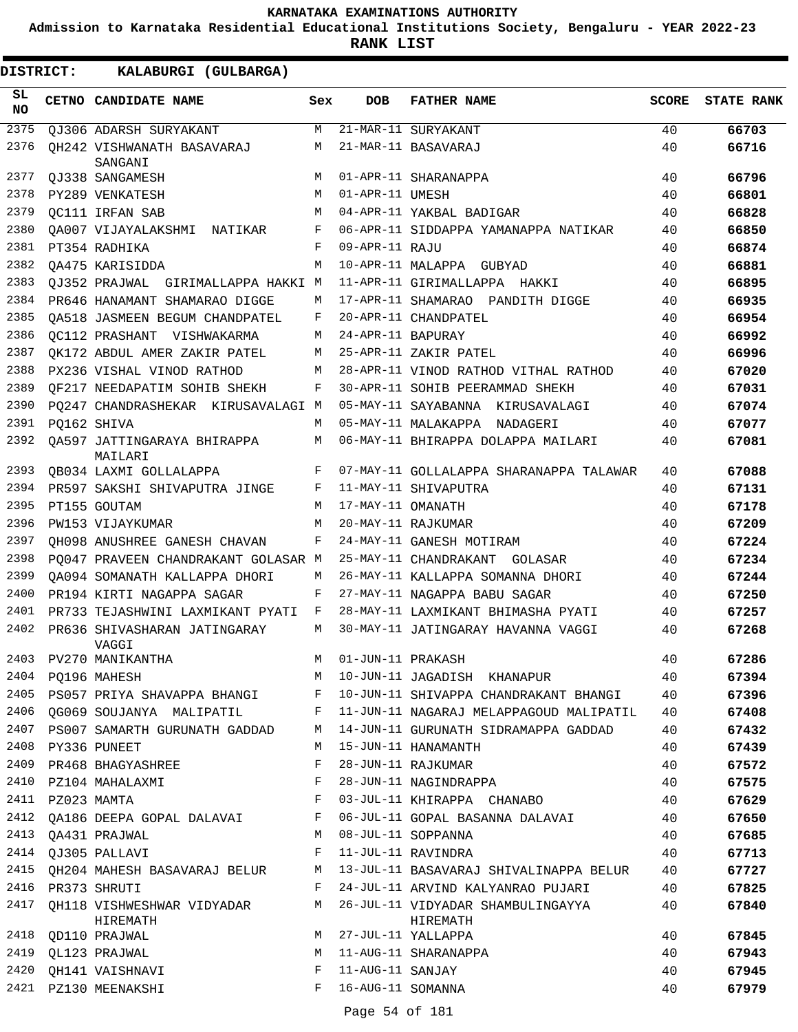**Admission to Karnataka Residential Educational Institutions Society, Bengaluru - YEAR 2022-23**

| <b>DISTRICT:</b> | KALABURGI (GULBARGA)                   |     |                   |                                               |              |                   |
|------------------|----------------------------------------|-----|-------------------|-----------------------------------------------|--------------|-------------------|
| SL.<br><b>NO</b> | CETNO CANDIDATE NAME                   | Sex | <b>DOB</b>        | <b>FATHER NAME</b>                            | <b>SCORE</b> | <b>STATE RANK</b> |
| 2375             | QJ306 ADARSH SURYAKANT                 | М   |                   | 21-MAR-11 SURYAKANT                           | 40           | 66703             |
| 2376             | OH242 VISHWANATH BASAVARAJ<br>SANGANI  | М   |                   | 21-MAR-11 BASAVARAJ                           | 40           | 66716             |
| 2377             | OJ338 SANGAMESH                        | M   |                   | 01-APR-11 SHARANAPPA                          | 40           | 66796             |
| 2378             | PY289 VENKATESH                        | M   | 01-APR-11 UMESH   |                                               | 40           | 66801             |
| 2379             | OC111 IRFAN SAB                        | M   |                   | 04-APR-11 YAKBAL BADIGAR                      | 40           | 66828             |
| 2380             | QA007 VIJAYALAKSHMI<br>NATIKAR         | F   |                   | 06-APR-11 SIDDAPPA YAMANAPPA NATIKAR          | 40           | 66850             |
| 2381             | PT354 RADHIKA                          | F   | 09-APR-11 RAJU    |                                               | 40           | 66874             |
| 2382             | OA475 KARISIDDA                        | M   |                   | 10-APR-11 MALAPPA GUBYAD                      | 40           | 66881             |
| 2383             | OJ352 PRAJWAL GIRIMALLAPPA HAKKI M     |     |                   | 11-APR-11 GIRIMALLAPPA HAKKI                  | 40           | 66895             |
| 2384             | PR646 HANAMANT SHAMARAO DIGGE          | М   |                   | 17-APR-11 SHAMARAO PANDITH DIGGE              | 40           | 66935             |
| 2385             | OA518 JASMEEN BEGUM CHANDPATEL         | F   |                   | 20-APR-11 CHANDPATEL                          | 40           | 66954             |
| 2386             | QC112 PRASHANT VISHWAKARMA             | М   | 24-APR-11 BAPURAY |                                               | 40           | 66992             |
| 2387             | OK172 ABDUL AMER ZAKIR PATEL           | M   |                   | 25-APR-11 ZAKIR PATEL                         | 40           | 66996             |
| 2388             | PX236 VISHAL VINOD RATHOD              | М   |                   | 28-APR-11 VINOD RATHOD VITHAL RATHOD          | 40           | 67020             |
| 2389             | OF217 NEEDAPATIM SOHIB SHEKH           | F   |                   | 30-APR-11 SOHIB PEERAMMAD SHEKH               | 40           | 67031             |
| 2390             | PO247 CHANDRASHEKAR KIRUSAVALAGI M     |     |                   | 05-MAY-11 SAYABANNA KIRUSAVALAGI              | 40           | 67074             |
| 2391             | PO162 SHIVA                            | М   |                   | 05-MAY-11 MALAKAPPA NADAGERI                  | 40           | 67077             |
| 2392             | OA597 JATTINGARAYA BHIRAPPA<br>MAILARI | М   |                   | 06-MAY-11 BHIRAPPA DOLAPPA MAILARI            | 40           | 67081             |
| 2393             | QB034 LAXMI GOLLALAPPA                 | F   |                   | 07-MAY-11 GOLLALAPPA SHARANAPPA TALAWAR       | 40           | 67088             |
| 2394             | PR597 SAKSHI SHIVAPUTRA JINGE          | F   |                   | 11-MAY-11 SHIVAPUTRA                          | 40           | 67131             |
| 2395             | PT155 GOUTAM                           | M   | 17-MAY-11 OMANATH |                                               | 40           | 67178             |
| 2396             | PW153 VIJAYKUMAR                       | M   |                   | 20-MAY-11 RAJKUMAR                            | 40           | 67209             |
| 2397             | OH098 ANUSHREE GANESH CHAVAN           | F   |                   | 24-MAY-11 GANESH MOTIRAM                      | 40           | 67224             |
| 2398             | PQ047 PRAVEEN CHANDRAKANT GOLASAR M    |     |                   | 25-MAY-11 CHANDRAKANT GOLASAR                 | 40           | 67234             |
| 2399             | OA094 SOMANATH KALLAPPA DHORI          | М   |                   | 26-MAY-11 KALLAPPA SOMANNA DHORI              | 40           | 67244             |
| 2400             | PR194 KIRTI NAGAPPA SAGAR              | F   |                   | 27-MAY-11 NAGAPPA BABU SAGAR                  | 40           | 67250             |
| 2401             | PR733 TEJASHWINI LAXMIKANT PYATI       | F   |                   | 28-MAY-11 LAXMIKANT BHIMASHA PYATI            | 40           | 67257             |
| 2402             | PR636 SHIVASHARAN JATINGARAY<br>VAGGI  | М   |                   | 30-MAY-11 JATINGARAY HAVANNA VAGGI            | 40           | 67268             |
| 2403             | PV270 MANIKANTHA                       | М   | 01-JUN-11 PRAKASH |                                               | 40           | 67286             |
| 2404             | PQ196 MAHESH                           | М   |                   | 10-JUN-11 JAGADISH KHANAPUR                   | 40           | 67394             |
| 2405             | PS057 PRIYA SHAVAPPA BHANGI            | F   |                   | 10-JUN-11 SHIVAPPA CHANDRAKANT BHANGI         | 40           | 67396             |
| 2406             | OG069 SOUJANYA MALIPATIL               | F   |                   | 11-JUN-11 NAGARAJ MELAPPAGOUD MALIPATIL       | 40           | 67408             |
| 2407             | PS007 SAMARTH GURUNATH GADDAD          | М   |                   | 14-JUN-11 GURUNATH SIDRAMAPPA GADDAD          | 40           | 67432             |
| 2408             | PY336 PUNEET                           | М   |                   | 15-JUN-11 HANAMANTH                           | 40           | 67439             |
| 2409             | PR468 BHAGYASHREE                      | F   |                   | 28-JUN-11 RAJKUMAR                            | 40           | 67572             |
| 2410             | PZ104 MAHALAXMI                        | F   |                   | 28-JUN-11 NAGINDRAPPA                         | 40           | 67575             |
| 2411             | PZ023 MAMTA                            | F   |                   | 03-JUL-11 KHIRAPPA CHANABO                    | 40           | 67629             |
| 2412             | QA186 DEEPA GOPAL DALAVAI              | F   |                   | 06-JUL-11 GOPAL BASANNA DALAVAI               | 40           | 67650             |
| 2413             | QA431 PRAJWAL                          | М   |                   | 08-JUL-11 SOPPANNA                            | 40           | 67685             |
| 2414             | QJ305 PALLAVI                          | F   |                   | 11-JUL-11 RAVINDRA                            | 40           | 67713             |
| 2415             | OH204 MAHESH BASAVARAJ BELUR           | М   |                   | 13-JUL-11 BASAVARAJ SHIVALINAPPA BELUR        | 40           | 67727             |
| 2416             | PR373 SHRUTI                           | F   |                   | 24-JUL-11 ARVIND KALYANRAO PUJARI             | 40           | 67825             |
| 2417             | QH118 VISHWESHWAR VIDYADAR<br>HIREMATH | М   |                   | 26-JUL-11 VIDYADAR SHAMBULINGAYYA<br>HIREMATH | 40           | 67840             |
| 2418             | QD110 PRAJWAL                          | М   |                   | 27-JUL-11 YALLAPPA                            | 40           | 67845             |
| 2419             | QL123 PRAJWAL                          | М   |                   | 11-AUG-11 SHARANAPPA                          | 40           | 67943             |
| 2420             | OH141 VAISHNAVI                        | F   | 11-AUG-11 SANJAY  |                                               | 40           | 67945             |
| 2421             | PZ130 MEENAKSHI                        | F   | 16-AUG-11 SOMANNA |                                               | 40           | 67979             |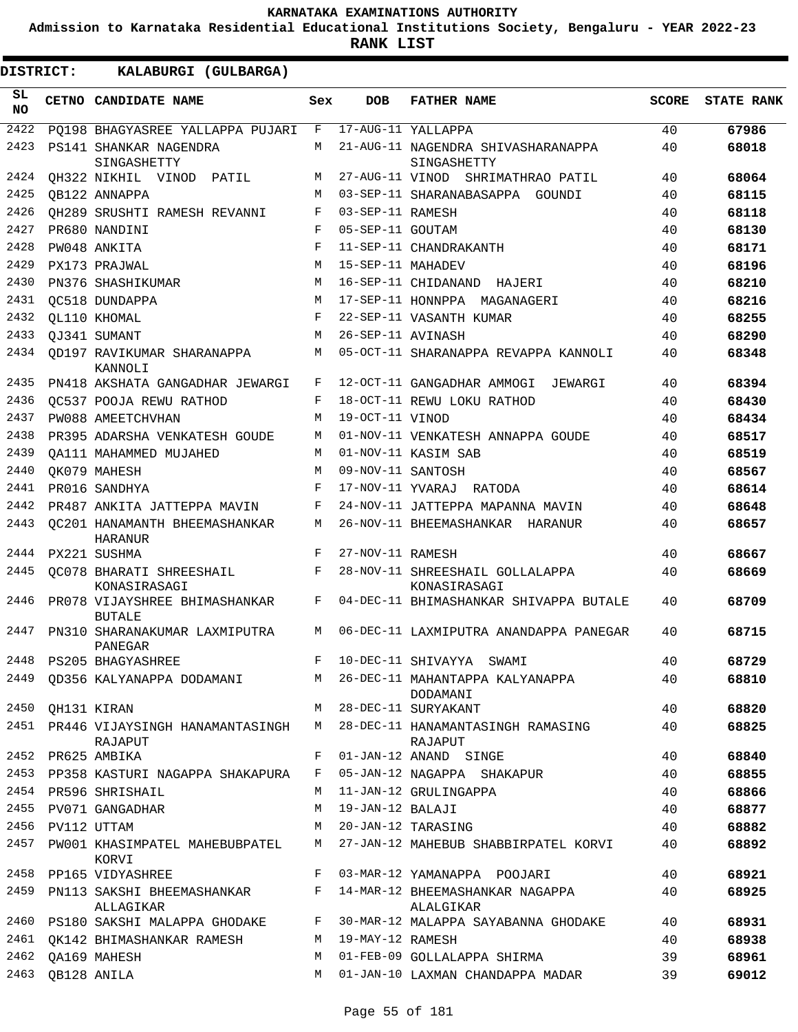**Admission to Karnataka Residential Educational Institutions Society, Bengaluru - YEAR 2022-23**

| <b>DISTRICT:</b> | KALABURGI (GULBARGA)                            |              |                   |                                                   |              |                   |
|------------------|-------------------------------------------------|--------------|-------------------|---------------------------------------------------|--------------|-------------------|
| SL<br><b>NO</b>  | CETNO CANDIDATE NAME                            | Sex          | <b>DOB</b>        | <b>FATHER NAME</b>                                | <b>SCORE</b> | <b>STATE RANK</b> |
| 2422             | PQ198 BHAGYASREE YALLAPPA PUJARI                | F            |                   | 17-AUG-11 YALLAPPA                                | 40           | 67986             |
| 2423             | PS141 SHANKAR NAGENDRA<br>SINGASHETTY           | M            |                   | 21-AUG-11 NAGENDRA SHIVASHARANAPPA<br>SINGASHETTY | 40           | 68018             |
| 2424             | QH322 NIKHIL VINOD PATIL                        | М            |                   | 27-AUG-11 VINOD SHRIMATHRAO PATIL                 | 40           | 68064             |
| 2425             | OB122 ANNAPPA                                   | M            |                   | 03-SEP-11 SHARANABASAPPA GOUNDI                   | 40           | 68115             |
| 2426             | OH289 SRUSHTI RAMESH REVANNI                    | F            | 03-SEP-11 RAMESH  |                                                   | 40           | 68118             |
| 2427             | PR680 NANDINI                                   | F            | 05-SEP-11 GOUTAM  |                                                   | 40           | 68130             |
| 2428             | PW048 ANKITA                                    | F            |                   | 11-SEP-11 CHANDRAKANTH                            | 40           | 68171             |
| 2429             | PX173 PRAJWAL                                   | M            | 15-SEP-11 MAHADEV |                                                   | 40           | 68196             |
| 2430             | PN376 SHASHIKUMAR                               | M            |                   | 16-SEP-11 CHIDANAND HAJERI                        | 40           | 68210             |
| 2431             | OC518 DUNDAPPA                                  | M            |                   | 17-SEP-11 HONNPPA MAGANAGERI                      | 40           | 68216             |
| 2432             | OL110 KHOMAL                                    | F            |                   | 22-SEP-11 VASANTH KUMAR                           | 40           | 68255             |
| 2433             | QJ341 SUMANT                                    | M            | 26-SEP-11 AVINASH |                                                   | 40           | 68290             |
| 2434             | OD197 RAVIKUMAR SHARANAPPA<br>KANNOLI           | M            |                   | 05-OCT-11 SHARANAPPA REVAPPA KANNOLI              | 40           | 68348             |
| 2435             | PN418 AKSHATA GANGADHAR JEWARGI                 | F            |                   | 12-OCT-11 GANGADHAR AMMOGI JEWARGI                | 40           | 68394             |
| 2436             | OC537 POOJA REWU RATHOD                         | F            |                   | 18-OCT-11 REWU LOKU RATHOD                        | 40           | 68430             |
| 2437             | PW088 AMEETCHVHAN                               | M            | 19-OCT-11 VINOD   |                                                   | 40           | 68434             |
| 2438             | PR395 ADARSHA VENKATESH GOUDE                   | M            |                   | 01-NOV-11 VENKATESH ANNAPPA GOUDE                 | 40           | 68517             |
| 2439             | OA111 MAHAMMED MUJAHED                          | M            |                   | 01-NOV-11 KASIM SAB                               | 40           | 68519             |
| 2440             | OK079 MAHESH                                    | M            | 09-NOV-11 SANTOSH |                                                   | 40           | 68567             |
| 2441             | PR016 SANDHYA                                   | F            |                   | 17-NOV-11 YVARAJ RATODA                           | 40           | 68614             |
| 2442             | PR487 ANKITA JATTEPPA MAVIN                     | F            |                   | 24-NOV-11 JATTEPPA MAPANNA MAVIN                  | 40           | 68648             |
| 2443             | OC201 HANAMANTH BHEEMASHANKAR<br><b>HARANUR</b> | M            |                   | 26-NOV-11 BHEEMASHANKAR HARANUR                   | 40           | 68657             |
| 2444             | PX221 SUSHMA                                    | F            | 27-NOV-11 RAMESH  |                                                   | 40           | 68667             |
| 2445             | OC078 BHARATI SHREESHAIL<br>KONASIRASAGI        | F            |                   | 28-NOV-11 SHREESHAIL GOLLALAPPA<br>KONASIRASAGI   | 40           | 68669             |
| 2446             | PR078 VIJAYSHREE BHIMASHANKAR<br><b>BUTALE</b>  | F            |                   | 04-DEC-11 BHIMASHANKAR SHIVAPPA BUTALE            | 40           | 68709             |
| 2447             | PN310 SHARANAKUMAR LAXMIPUTRA<br>PANEGAR        | M            |                   | 06-DEC-11 LAXMIPUTRA ANANDAPPA PANEGAR            | 40           | 68715             |
| 2448             | PS205 BHAGYASHREE                               | F            |                   | 10-DEC-11 SHIVAYYA SWAMI                          | 40           | 68729             |
| 2449             | QD356 KALYANAPPA DODAMANI                       |              |                   | M 26-DEC-11 MAHANTAPPA KALYANAPPA<br>DODAMANI     | 40           | 68810             |
| 2450             | QH131 KIRAN                                     | M            |                   | 28-DEC-11 SURYAKANT                               | 40           | 68820             |
|                  | 2451 PR446 VIJAYSINGH HANAMANTASINGH<br>RAJAPUT | M            |                   | 28-DEC-11 HANAMANTASINGH RAMASING<br>RAJAPUT      | 40           | 68825             |
| 2452             | PR625 AMBIKA                                    | F            |                   | 01-JAN-12 ANAND SINGE                             | 40           | 68840             |
| 2453             | PP358 KASTURI NAGAPPA SHAKAPURA                 | F            |                   | 05-JAN-12 NAGAPPA SHAKAPUR                        | 40           | 68855             |
|                  | 2454 PR596 SHRISHAIL                            | М            |                   | 11-JAN-12 GRULINGAPPA                             | 40           | 68866             |
| 2455             | PV071 GANGADHAR                                 | М            | 19-JAN-12 BALAJI  |                                                   | 40           | 68877             |
| 2456             | PV112 UTTAM                                     | M            |                   | 20-JAN-12 TARASING                                | 40           | 68882             |
| 2457             | PW001 KHASIMPATEL MAHEBUBPATEL<br>KORVI         | М            |                   | 27-JAN-12 MAHEBUB SHABBIRPATEL KORVI              | 40           | 68892             |
| 2458             | PP165 VIDYASHREE                                | F            |                   | 03-MAR-12 YAMANAPPA POOJARI                       | 40           | 68921             |
| 2459             | PN113 SAKSHI BHEEMASHANKAR<br>ALLAGIKAR         | $\mathbf{F}$ |                   | 14-MAR-12 BHEEMASHANKAR NAGAPPA<br>ALALGIKAR      | 40           | 68925             |
|                  | 2460 PS180 SAKSHI MALAPPA GHODAKE               | F            |                   | 30-MAR-12 MALAPPA SAYABANNA GHODAKE               | 40           | 68931             |
|                  | 2461 OK142 BHIMASHANKAR RAMESH                  | M            | 19-MAY-12 RAMESH  |                                                   | 40           | 68938             |
| 2462             | QA169 MAHESH                                    | M            |                   | 01-FEB-09 GOLLALAPPA SHIRMA                       | 39           | 68961             |
| 2463             | QB128 ANILA                                     | M            |                   | 01-JAN-10 LAXMAN CHANDAPPA MADAR                  | 39           | 69012             |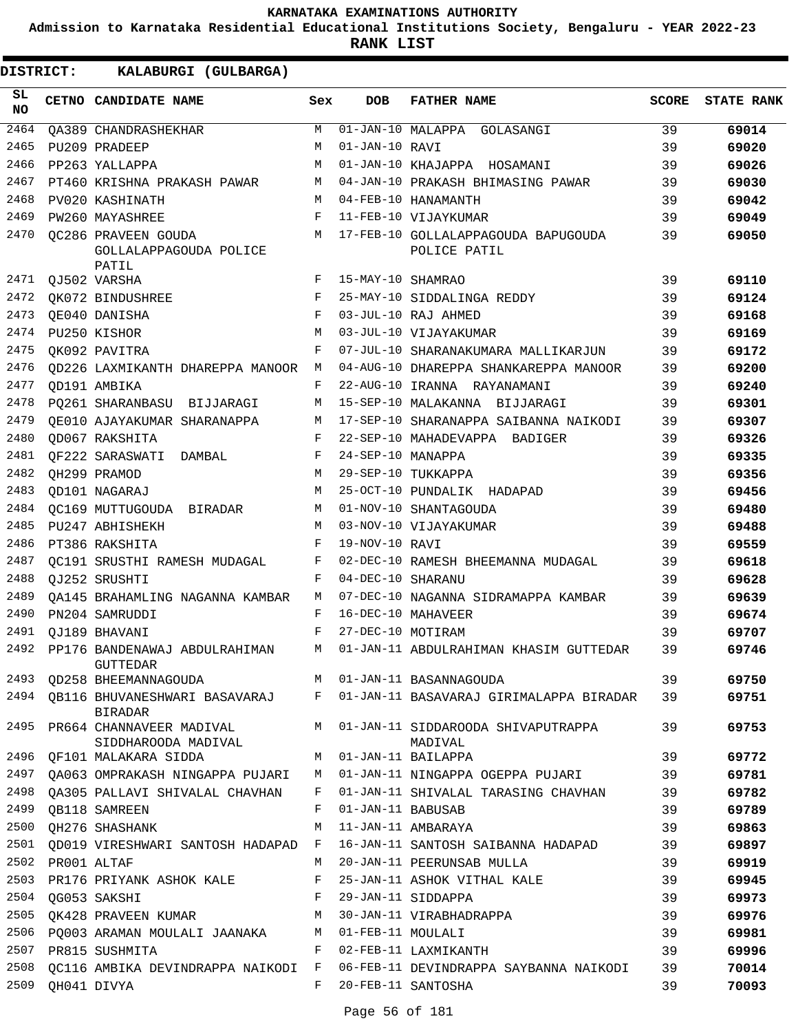**Admission to Karnataka Residential Educational Institutions Society, Bengaluru - YEAR 2022-23**

**RANK LIST**

| SL<br><b>NO</b> | CETNO CANDIDATE NAME                                                         | Sex          | <b>DOB</b>         | <b>FATHER NAME</b>                                                           | <b>SCORE</b> | <b>STATE RANK</b> |
|-----------------|------------------------------------------------------------------------------|--------------|--------------------|------------------------------------------------------------------------------|--------------|-------------------|
| 2464            | <b>OA389 CHANDRASHEKHAR</b>                                                  | M            |                    | 01-JAN-10 MALAPPA GOLASANGI                                                  | 39           | 69014             |
| 2465            | PU209 PRADEEP                                                                | M            | 01-JAN-10 RAVI     |                                                                              | 39           | 69020             |
| 2466            | PP263 YALLAPPA                                                               | M            |                    | 01-JAN-10 KHAJAPPA HOSAMANI                                                  | 39           | 69026             |
| 2467            | PT460 KRISHNA PRAKASH PAWAR                                                  | M            |                    | 04-JAN-10 PRAKASH BHIMASING PAWAR                                            | 39           | 69030             |
| 2468            | PV020 KASHINATH                                                              | M            |                    | 04-FEB-10 HANAMANTH                                                          | 39           | 69042             |
| 2469            | PW260 MAYASHREE                                                              | F            |                    | 11-FEB-10 VIJAYKUMAR                                                         | 39           | 69049             |
| 2470            | OC286 PRAVEEN GOUDA<br>GOLLALAPPAGOUDA POLICE<br>PATIL                       | M            |                    | 17-FEB-10 GOLLALAPPAGOUDA BAPUGOUDA<br>POLICE PATIL                          | 39           | 69050             |
| 2471            | QJ502 VARSHA                                                                 | F            | 15-MAY-10 SHAMRAO  |                                                                              | 39           | 69110             |
| 2472            | QK072 BINDUSHREE                                                             | F            |                    | 25-MAY-10 SIDDALINGA REDDY                                                   | 39           | 69124             |
| 2473            | QE040 DANISHA                                                                | F            |                    | 03-JUL-10 RAJ AHMED                                                          | 39           | 69168             |
| 2474            | PU250 KISHOR                                                                 | M            |                    | 03-JUL-10 VIJAYAKUMAR                                                        | 39           | 69169             |
| 2475            | OK092 PAVITRA                                                                | F            |                    | 07-JUL-10 SHARANAKUMARA MALLIKARJUN                                          | 39           | 69172             |
| 2476            | OD226 LAXMIKANTH DHAREPPA MANOOR                                             | M            |                    | 04-AUG-10 DHAREPPA SHANKAREPPA MANOOR                                        | 39           | 69200             |
| 2477            | OD191 AMBIKA                                                                 | F            |                    | 22-AUG-10 IRANNA RAYANAMANI                                                  | 39           | 69240             |
| 2478            | PO261 SHARANBASU BIJJARAGI                                                   | М            |                    | 15-SEP-10 MALAKANNA BIJJARAGI                                                | 39           | 69301             |
| 2479            | OE010 AJAYAKUMAR SHARANAPPA                                                  | M            |                    | 17-SEP-10 SHARANAPPA SAIBANNA NAIKODI                                        | 39           | 69307             |
| 2480            | OD067 RAKSHITA                                                               | F            |                    | 22-SEP-10 MAHADEVAPPA BADIGER                                                | 39           | 69326             |
| 2481            | OF222 SARASWATI DAMBAL                                                       | F            | 24-SEP-10 MANAPPA  |                                                                              | 39           | 69335             |
| 2482            | OH299 PRAMOD                                                                 | M            |                    | 29-SEP-10 TUKKAPPA                                                           | 39           | 69356             |
| 2483            | OD101 NAGARAJ                                                                | M            |                    | 25-OCT-10 PUNDALIK HADAPAD                                                   | 39           | 69456             |
| 2484            | OC169 MUTTUGOUDA BIRADAR                                                     | M            |                    | 01-NOV-10 SHANTAGOUDA                                                        | 39           | 69480             |
| 2485            | PU247 ABHISHEKH                                                              | M            |                    | 03-NOV-10 VIJAYAKUMAR                                                        | 39           | 69488             |
| 2486            | PT386 RAKSHITA                                                               | F            | 19-NOV-10 RAVI     |                                                                              | 39           | 69559             |
| 2487            | QC191 SRUSTHI RAMESH MUDAGAL                                                 | F            |                    | 02-DEC-10 RAMESH BHEEMANNA MUDAGAL                                           | 39           | 69618             |
| 2488            | OJ252 SRUSHTI                                                                | F            | 04-DEC-10 SHARANU  |                                                                              | 39           | 69628             |
| 2489            | OA145 BRAHAMLING NAGANNA KAMBAR                                              | M            |                    | 07-DEC-10 NAGANNA SIDRAMAPPA KAMBAR                                          | 39           | 69639             |
| 2490            | PN204 SAMRUDDI                                                               | F            | 16-DEC-10 MAHAVEER |                                                                              | 39           | 69674             |
| 2491            | OJ189 BHAVANI                                                                | F            | 27-DEC-10 MOTIRAM  |                                                                              | 39           | 69707             |
| 2492            | PP176 BANDENAWAJ ABDULRAHIMAN<br><b>GUTTEDAR</b>                             | М            |                    | 01-JAN-11 ABDULRAHIMAN KHASIM GUTTEDAR                                       | 39           | 69746             |
|                 | 2493 QD258 BHEEMANNAGOUDA                                                    |              |                    | M 01-JAN-11 BASANNAGOUDA                                                     | 39           | 69750             |
|                 | <b>BIRADAR</b>                                                               |              |                    | 2494 QB116 BHUVANESHWARI BASAVARAJ F 01-JAN-11 BASAVARAJ GIRIMALAPPA BIRADAR | 39           | 69751             |
| 2495            | PR664 CHANNAVEER MADIVAL<br>SIDDHAROODA MADIVAL                              |              |                    | M 01-JAN-11 SIDDAROODA SHIVAPUTRAPPA<br>MADIVAL                              | 39           | 69753             |
| 2496<br>2497    | OF101 MALAKARA SIDDA                                                         | M            |                    | 01-JAN-11 BAILAPPA                                                           | 39           | 69772             |
|                 | QA063 OMPRAKASH NINGAPPA PUJARI M                                            |              |                    | 01-JAN-11 NINGAPPA OGEPPA PUJARI                                             | 39           | 69781             |
| 2499            | 2498 QA305 PALLAVI SHIVALAL CHAVHAN                                          | F<br>F       | 01-JAN-11 BABUSAB  | 01-JAN-11 SHIVALAL TARASING CHAVHAN                                          | 39           | 69782             |
| 2500            | OB118 SAMREEN                                                                | М            |                    | 11-JAN-11 AMBARAYA                                                           | 39           | 69789             |
| 2501            | QH276 SHASHANK                                                               | $\mathbf{F}$ |                    |                                                                              | 39           | 69863             |
| 2502            | QD019 VIRESHWARI SANTOSH HADAPAD                                             |              |                    | 16-JAN-11 SANTOSH SAIBANNA HADAPAD                                           | 39           | 69897             |
| 2503            | PR001 ALTAF                                                                  | M<br>F       |                    | 20-JAN-11 PEERUNSAB MULLA<br>25-JAN-11 ASHOK VITHAL KALE                     | 39<br>39     | 69919             |
| 2504            | PR176 PRIYANK ASHOK KALE                                                     | F            |                    | 29-JAN-11 SIDDAPPA                                                           |              | 69945             |
| 2505            | QG053 SAKSHI                                                                 | M            |                    | 30-JAN-11 VIRABHADRAPPA                                                      | 39<br>39     | 69973             |
|                 | QK428 PRAVEEN KUMAR<br>2506 PQ003 ARAMAN MOULALI JAANAKA M 01-FEB-11 MOULALI |              |                    |                                                                              | 39           | 69976             |
| 2507            | PR815 SUSHMITA                                                               | F            |                    | 02-FEB-11 LAXMIKANTH                                                         | 39           | 69981<br>69996    |
| 2508            | OC116 AMBIKA DEVINDRAPPA NAIKODI F                                           |              |                    | 06-FEB-11 DEVINDRAPPA SAYBANNA NAIKODI                                       | 39           | 70014             |
| 2509            | QH041 DIVYA                                                                  | F            |                    | 20-FEB-11 SANTOSHA                                                           | 39           | 70093             |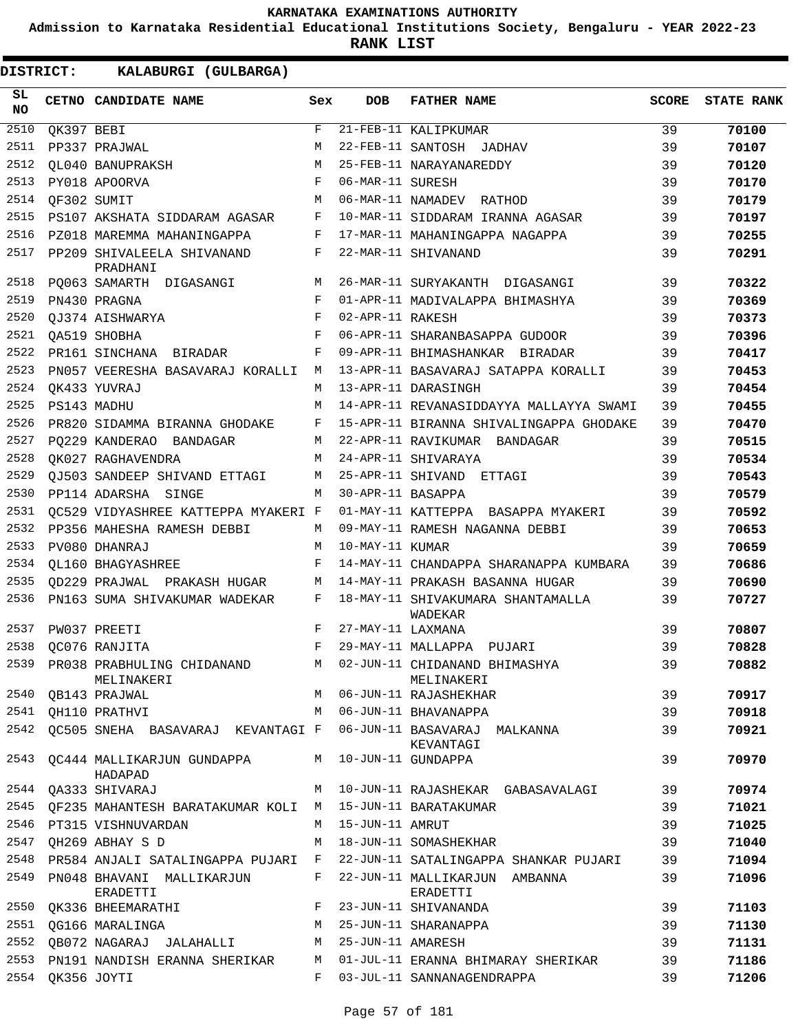**Admission to Karnataka Residential Educational Institutions Society, Bengaluru - YEAR 2022-23**

**RANK LIST**

| SL<br><b>NO</b> |             | CETNO CANDIDATE NAME                                                          | Sex   | DOB               | <b>FATHER NAME</b>                           | SCORE | <b>STATE RANK</b> |
|-----------------|-------------|-------------------------------------------------------------------------------|-------|-------------------|----------------------------------------------|-------|-------------------|
| 2510            | QK397 BEBI  |                                                                               | F     |                   | 21-FEB-11 KALIPKUMAR                         | 39    | 70100             |
| 2511            |             | PP337 PRAJWAL                                                                 | М     |                   | 22-FEB-11 SANTOSH JADHAV                     | 39    | 70107             |
| 2512            |             | OL040 BANUPRAKSH                                                              | M     |                   | 25-FEB-11 NARAYANAREDDY                      | 39    | 70120             |
| 2513            |             | PY018 APOORVA                                                                 | F     | 06-MAR-11 SURESH  |                                              | 39    | 70170             |
| 2514            |             | OF302 SUMIT                                                                   | M     |                   | 06-MAR-11 NAMADEV RATHOD                     | 39    | 70179             |
| 2515            |             | PS107 AKSHATA SIDDARAM AGASAR                                                 | F     |                   | 10-MAR-11 SIDDARAM IRANNA AGASAR             | 39    | 70197             |
| 2516            |             | PZ018 MAREMMA MAHANINGAPPA                                                    | F     |                   | 17-MAR-11 MAHANINGAPPA NAGAPPA               | 39    | 70255             |
| 2517            |             | PP209 SHIVALEELA SHIVANAND<br>PRADHANI                                        | F     |                   | 22-MAR-11 SHIVANAND                          | 39    | 70291             |
| 2518            |             | PQ063 SAMARTH DIGASANGI                                                       | M     |                   | 26-MAR-11 SURYAKANTH DIGASANGI               | 39    | 70322             |
| 2519            |             | PN430 PRAGNA                                                                  | F     |                   | 01-APR-11 MADIVALAPPA BHIMASHYA              | 39    | 70369             |
| 2520            |             | OJ374 AISHWARYA                                                               | F     | 02-APR-11 RAKESH  |                                              | 39    | 70373             |
| 2521            |             | OA519 SHOBHA                                                                  | F     |                   | 06-APR-11 SHARANBASAPPA GUDOOR               | 39    | 70396             |
| 2522            |             | PR161 SINCHANA BIRADAR                                                        | F     |                   | 09-APR-11 BHIMASHANKAR BIRADAR               | 39    | 70417             |
| 2523            |             | PN057 VEERESHA BASAVARAJ KORALLI                                              | M     |                   | 13-APR-11 BASAVARAJ SATAPPA KORALLI          | 39    | 70453             |
| 2524            |             | OK433 YUVRAJ                                                                  | M     |                   | 13-APR-11 DARASINGH                          | 39    | 70454             |
| 2525            |             | PS143 MADHU                                                                   | M     |                   | 14-APR-11 REVANASIDDAYYA MALLAYYA SWAMI      | 39    | 70455             |
| 2526            |             | PR820 SIDAMMA BIRANNA GHODAKE                                                 | F     |                   | 15-APR-11 BIRANNA SHIVALINGAPPA GHODAKE      | 39    | 70470             |
| 2527            |             | PO229 KANDERAO BANDAGAR                                                       | M     |                   | 22-APR-11 RAVIKUMAR BANDAGAR                 | 39    | 70515             |
| 2528            |             | OK027 RAGHAVENDRA                                                             | М     |                   | 24-APR-11 SHIVARAYA                          | 39    | 70534             |
| 2529            |             | OJ503 SANDEEP SHIVAND ETTAGI                                                  | M     |                   | 25-APR-11 SHIVAND ETTAGI                     | 39    | 70543             |
| 2530            |             | PP114 ADARSHA SINGE                                                           | M     | 30-APR-11 BASAPPA |                                              | 39    | 70579             |
| 2531            |             | OC529 VIDYASHREE KATTEPPA MYAKERI F                                           |       |                   | 01-MAY-11 KATTEPPA BASAPPA MYAKERI           | 39    | 70592             |
| 2532            |             | PP356 MAHESHA RAMESH DEBBI                                                    | M     |                   | 09-MAY-11 RAMESH NAGANNA DEBBI               | 39    | 70653             |
| 2533            |             | PV080 DHANRAJ                                                                 | M     | 10-MAY-11 KUMAR   |                                              | 39    | 70659             |
| 2534            |             | OL160 BHAGYASHREE                                                             | F     |                   | 14-MAY-11 CHANDAPPA SHARANAPPA KUMBARA       | 39    | 70686             |
| 2535            |             | OD229 PRAJWAL PRAKASH HUGAR                                                   | M     |                   | 14-MAY-11 PRAKASH BASANNA HUGAR              | 39    | 70690             |
| 2536            |             | PN163 SUMA SHIVAKUMAR WADEKAR                                                 | F     |                   | 18-MAY-11 SHIVAKUMARA SHANTAMALLA<br>WADEKAR | 39    | 70727             |
| 2537            |             | PW037 PREETI                                                                  | F     | 27-MAY-11 LAXMANA |                                              | 39    | 70807             |
| 2538            |             | OC076 RANJITA                                                                 | F     |                   | 29-MAY-11 MALLAPPA PUJARI                    | 39    | 70828             |
|                 |             | 2539 PRO38 PRABHULING CHIDANAND M 02-JUN-11 CHIDANAND BHIMASHYA<br>MELINAKERI |       |                   | MELINAKERI                                   | 39    | 70882             |
|                 |             | 2540 OB143 PRAJWAL                                                            |       |                   | M 06-JUN-11 RAJASHEKHAR                      | 39    | 70917             |
|                 |             | 2541 QH110 PRATHVI                                                            | M     |                   | 06-JUN-11 BHAVANAPPA                         | 39    | 70918             |
| 2542            |             | QC505 SNEHA BASAVARAJ KEVANTAGI F 06-JUN-11 BASAVARAJ MALKANNA                |       |                   | KEVANTAGI                                    | 39    | 70921             |
| 2543            |             | QC444 MALLIKARJUN GUNDAPPA M 10-JUN-11 GUNDAPPA<br>HADAPAD                    |       |                   |                                              | 39    | 70970             |
|                 |             | 2544 QA333 SHIVARAJ                                                           | M     |                   | 10-JUN-11 RAJASHEKAR GABASAVALAGI            | 39    | 70974             |
|                 |             | 2545 QF235 MAHANTESH BARATAKUMAR KOLI M 15-JUN-11 BARATAKUMAR                 |       |                   |                                              | 39    | 71021             |
|                 |             | 2546 PT315 VISHNUVARDAN                                                       | M     | 15-JUN-11 AMRUT   |                                              | 39    | 71025             |
| 2547            |             | QH269 ABHAY S D                                                               | M     |                   | 18-JUN-11 SOMASHEKHAR                        | 39    | 71040             |
| 2548            |             | PR584 ANJALI SATALINGAPPA PUJARI F                                            |       |                   | 22-JUN-11 SATALINGAPPA SHANKAR PUJARI        | 39    | 71094             |
| 2549            |             | PN048 BHAVANI MALLIKARJUN<br>ERADETTI                                         | F     |                   | 22-JUN-11 MALLIKARJUN AMBANNA<br>ERADETTI    | 39    | 71096             |
| 2550            |             | $\mathbf{F}$<br>QK336 BHEEMARATHI                                             |       |                   | 23-JUN-11 SHIVANANDA                         | 39    | 71103             |
|                 |             | 2551 OG166 MARALINGA                                                          | M     |                   | 25-JUN-11 SHARANAPPA                         | 39    | 71130             |
| 2552            |             | QB072 NAGARAJ JALAHALLI                                                       | M     | 25-JUN-11 AMARESH |                                              | 39    | 71131             |
|                 |             | 2553 PN191 NANDISH ERANNA SHERIKAR                                            | M     |                   | 01-JUL-11 ERANNA BHIMARAY SHERIKAR           | 39    | 71186             |
| 2554            | QK356 JOYTI |                                                                               | $F -$ |                   | 03-JUL-11 SANNANAGENDRAPPA                   | 39    | 71206             |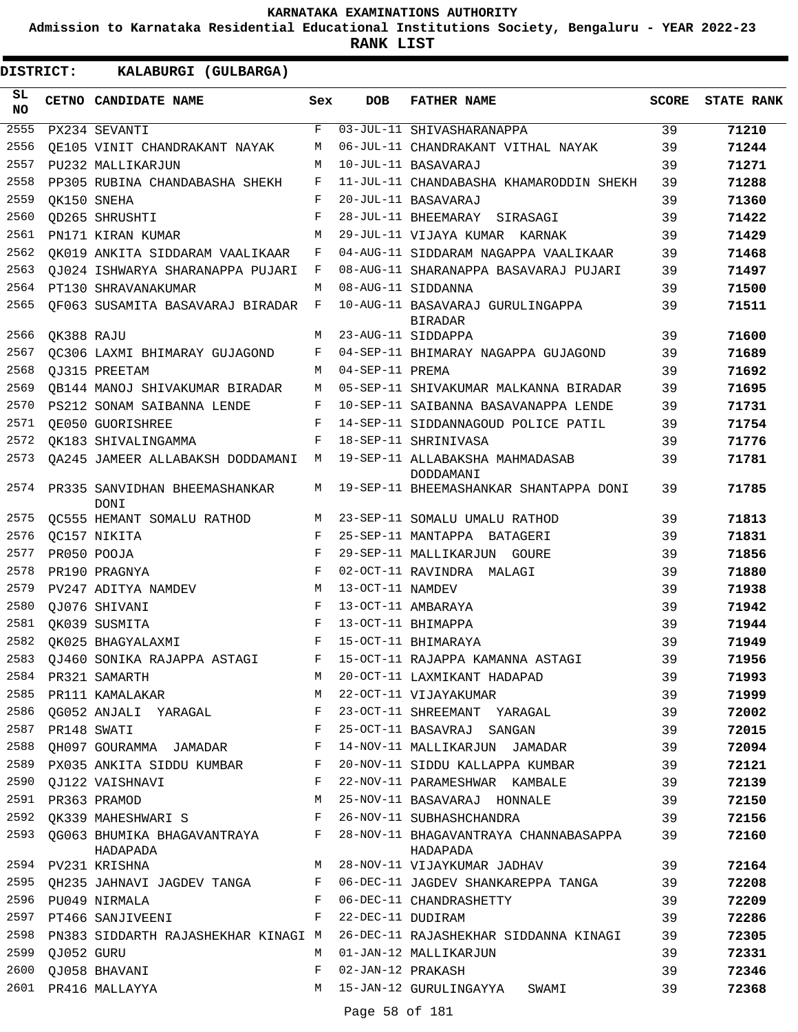**Admission to Karnataka Residential Educational Institutions Society, Bengaluru - YEAR 2022-23**

| <b>DISTRICT:</b> |                  | KALABURGI (GULBARGA)                           |                |                   |                                                    |              |                   |
|------------------|------------------|------------------------------------------------|----------------|-------------------|----------------------------------------------------|--------------|-------------------|
| SL.<br>NO        |                  | CETNO CANDIDATE NAME                           | Sex            | <b>DOB</b>        | <b>FATHER NAME</b>                                 | <b>SCORE</b> | <b>STATE RANK</b> |
| 2555             |                  | PX234 SEVANTI                                  | F              |                   | 03-JUL-11 SHIVASHARANAPPA                          | 39           | 71210             |
| 2556             |                  | OE105 VINIT CHANDRAKANT NAYAK                  | М              |                   | 06-JUL-11 CHANDRAKANT VITHAL NAYAK                 | 39           | 71244             |
| 2557             |                  | PU232 MALLIKARJUN                              | М              |                   | 10-JUL-11 BASAVARAJ                                | 39           | 71271             |
| 2558             |                  | PP305 RUBINA CHANDABASHA SHEKH                 | F              |                   | 11-JUL-11 CHANDABASHA KHAMARODDIN SHEKH            | 39           | 71288             |
| 2559             |                  | OK150 SNEHA                                    | F              |                   | 20-JUL-11 BASAVARAJ                                | 39           | 71360             |
| 2560             |                  | <b>QD265 SHRUSHTI</b>                          | F              |                   | 28-JUL-11 BHEEMARAY SIRASAGI                       | 39           | 71422             |
| 2561             |                  | PN171 KIRAN KUMAR                              | M              |                   | 29-JUL-11 VIJAYA KUMAR KARNAK                      | 39           | 71429             |
| 2562             |                  | QK019 ANKITA SIDDARAM VAALIKAAR                | F              |                   | 04-AUG-11 SIDDARAM NAGAPPA VAALIKAAR               | 39           | 71468             |
| 2563             |                  | OJ024 ISHWARYA SHARANAPPA PUJARI               | F              |                   | 08-AUG-11 SHARANAPPA BASAVARAJ PUJARI              | 39           | 71497             |
| 2564             |                  | PT130 SHRAVANAKUMAR                            | M              |                   | 08-AUG-11 SIDDANNA                                 | 39           | 71500             |
| 2565             |                  | QF063 SUSAMITA BASAVARAJ BIRADAR               | $\mathbf{F}$   |                   | 10-AUG-11 BASAVARAJ GURULINGAPPA<br><b>BIRADAR</b> | 39           | 71511             |
| 2566             | QK388 RAJU       |                                                | М              |                   | 23-AUG-11 SIDDAPPA                                 | 39           | 71600             |
| 2567             |                  | OC306 LAXMI BHIMARAY GUJAGOND                  | F              |                   | 04-SEP-11 BHIMARAY NAGAPPA GUJAGOND                | 39           | 71689             |
| 2568             |                  | QJ315 PREETAM                                  | М              | 04-SEP-11 PREMA   |                                                    | 39           | 71692             |
| 2569             |                  | OB144 MANOJ SHIVAKUMAR BIRADAR                 | М              |                   | 05-SEP-11 SHIVAKUMAR MALKANNA BIRADAR              | 39           | 71695             |
| 2570             |                  | PS212 SONAM SAIBANNA LENDE                     | F              |                   | 10-SEP-11 SAIBANNA BASAVANAPPA LENDE               | 39           | 71731             |
| 2571             |                  | QE050 GUORISHREE                               | F              |                   | 14-SEP-11 SIDDANNAGOUD POLICE PATIL                | 39           | 71754             |
| 2572             |                  | OK183 SHIVALINGAMMA                            | F              |                   | 18-SEP-11 SHRINIVASA                               | 39           | 71776             |
| 2573             |                  | QA245 JAMEER ALLABAKSH DODDAMANI               | М              |                   | 19-SEP-11 ALLABAKSHA MAHMADASAB<br>DODDAMANI       | 39           | 71781             |
| 2574             |                  | PR335 SANVIDHAN BHEEMASHANKAR<br><b>DONI</b>   | М              |                   | 19-SEP-11 BHEEMASHANKAR SHANTAPPA DONI             | 39           | 71785             |
| 2575             |                  | QC555 HEMANT SOMALU RATHOD                     | М              |                   | 23-SEP-11 SOMALU UMALU RATHOD                      | 39           | 71813             |
| 2576             |                  | OC157 NIKITA                                   | F              |                   | 25-SEP-11 MANTAPPA BATAGERI                        | 39           | 71831             |
| 2577             |                  | PR050 POOJA                                    | F              |                   | 29-SEP-11 MALLIKARJUN GOURE                        | 39           | 71856             |
| 2578             |                  | PR190 PRAGNYA                                  | F              |                   | 02-OCT-11 RAVINDRA MALAGI                          | 39           | 71880             |
| 2579             |                  | PV247 ADITYA NAMDEV                            | M              | 13-OCT-11 NAMDEV  |                                                    | 39           | 71938             |
| 2580             |                  | QJ076 SHIVANI                                  | F              |                   | 13-OCT-11 AMBARAYA                                 | 39           | 71942             |
| 2581             |                  | OK039 SUSMITA                                  | F              |                   | 13-OCT-11 BHIMAPPA                                 | 39           | 71944             |
| 2582             |                  | OK025 BHAGYALAXMI                              | F              |                   | 15-OCT-11 BHIMARAYA                                | 39           | 71949             |
| 2583             |                  | QJ460 SONIKA RAJAPPA ASTAGI                    | F              |                   | 15-OCT-11 RAJAPPA KAMANNA ASTAGI                   | 39           | 71956             |
| 2584             |                  | PR321 SAMARTH                                  | M              |                   | 20-OCT-11 LAXMIKANT HADAPAD                        | 39           | 71993             |
| 2585             |                  | PR111 KAMALAKAR                                | M              |                   | 22-OCT-11 VIJAYAKUMAR                              | 39           | 71999             |
|                  |                  | 2586 QG052 ANJALI YARAGAL F                    |                |                   | 23-OCT-11 SHREEMANT YARAGAL                        | 39           | 72002             |
|                  | 2587 PR148 SWATI |                                                | $$\mathbf{F}$$ |                   | 25-OCT-11 BASAVRAJ SANGAN                          | 39           | 72015             |
| 2588             |                  | QH097 GOURAMMA JAMADAR F                       |                |                   | 14-NOV-11 MALLIKARJUN JAMADAR                      | 39           | 72094             |
| 2589             |                  | PX035 ANKITA SIDDU KUMBAR F                    |                |                   | 20-NOV-11 SIDDU KALLAPPA KUMBAR                    | 39           | 72121             |
|                  |                  | 2590 QJ122 VAISHNAVI                           | F              |                   | 22-NOV-11 PARAMESHWAR KAMBALE                      | 39           | 72139             |
|                  |                  | 2591 PR363 PRAMOD                              | М              |                   | 25-NOV-11 BASAVARAJ HONNALE                        | 39           | 72150             |
| 2592             |                  | QK339 MAHESHWARI S F                           |                |                   | 26-NOV-11 SUBHASHCHANDRA                           | 39           | 72156             |
|                  |                  | 2593 QG063 BHUMIKA BHAGAVANTRAYA F<br>HADAPADA |                |                   | 28-NOV-11 BHAGAVANTRAYA CHANNABASAPPA<br>HADAPADA  | 39           | 72160             |
|                  |                  | 2594 PV231 KRISHNA                             | М              |                   | 28-NOV-11 VIJAYKUMAR JADHAV                        | 39           | 72164             |
| 2595             |                  | QH235 JAHNAVI JAGDEV TANGA                     | F              |                   | 06-DEC-11 JAGDEV SHANKAREPPA TANGA                 | 39           | 72208             |
|                  |                  | 2596 PU049 NIRMALA                             | F              |                   | 06-DEC-11 CHANDRASHETTY                            | 39           | 72209             |
| 2597             |                  | PT466 SANJIVEENI                               | F              | 22-DEC-11 DUDIRAM |                                                    | 39           | 72286             |
| 2598             |                  | PN383 SIDDARTH RAJASHEKHAR KINAGI M            |                |                   | 26-DEC-11 RAJASHEKHAR SIDDANNA KINAGI              | 39           | 72305             |
| 2599             | QJ052 GURU       |                                                | M              |                   | 01-JAN-12 MALLIKARJUN                              | 39           | 72331             |
|                  |                  | 2600 QJ058 BHAVANI                             | F              | 02-JAN-12 PRAKASH |                                                    | 39           | 72346             |
|                  |                  | 2601 PR416 MALLAYYA                            | M              |                   | 15-JAN-12 GURULINGAYYA SWAMI                       | 39           | 72368             |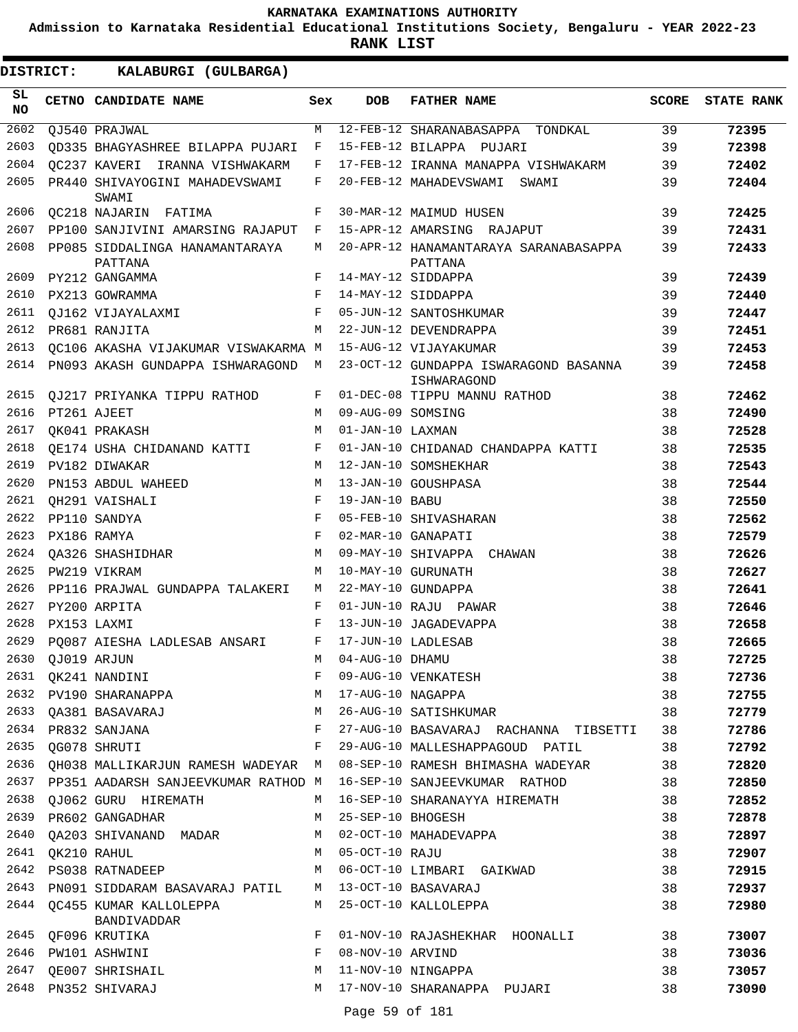**Admission to Karnataka Residential Educational Institutions Society, Bengaluru - YEAR 2022-23**

**RANK LIST**

| DISTRICT:        | KALABURGI (GULBARGA)                      |     |                   |                                                      |              |                   |
|------------------|-------------------------------------------|-----|-------------------|------------------------------------------------------|--------------|-------------------|
| SL.<br><b>NO</b> | CETNO CANDIDATE NAME                      | Sex | <b>DOB</b>        | <b>FATHER NAME</b>                                   | <b>SCORE</b> | <b>STATE RANK</b> |
| 2602             | QJ540 PRAJWAL                             | M   |                   | 12-FEB-12 SHARANABASAPPA TONDKAL                     | 39           | 72395             |
| 2603             | OD335 BHAGYASHREE BILAPPA PUJARI          | F   |                   | 15-FEB-12 BILAPPA PUJARI                             | 39           | 72398             |
| 2604             | QC237 KAVERI IRANNA VISHWAKARM            | F   |                   | 17-FEB-12 IRANNA MANAPPA VISHWAKARM                  | 39           | 72402             |
| 2605             | PR440 SHIVAYOGINI MAHADEVSWAMI<br>SWAMI   | F   |                   | 20-FEB-12 MAHADEVSWAMI SWAMI                         | 39           | 72404             |
| 2606             | OC218 NAJARIN FATIMA                      | F   |                   | 30-MAR-12 MAIMUD HUSEN                               | 39           | 72425             |
| 2607             | PP100 SANJIVINI AMARSING RAJAPUT          | F   |                   | 15-APR-12 AMARSING RAJAPUT                           | 39           | 72431             |
| 2608             | PP085 SIDDALINGA HANAMANTARAYA<br>PATTANA | М   |                   | 20-APR-12 HANAMANTARAYA SARANABASAPPA<br>PATTANA     | 39           | 72433             |
| 2609             | PY212 GANGAMMA                            | F   |                   | 14-MAY-12 SIDDAPPA                                   | 39           | 72439             |
| 2610             | PX213 GOWRAMMA                            | F   |                   | 14-MAY-12 SIDDAPPA                                   | 39           | 72440             |
| 2611             | OJ162 VIJAYALAXMI                         | F   |                   | 05-JUN-12 SANTOSHKUMAR                               | 39           | 72447             |
| 2612             | PR681 RANJITA                             | M   |                   | 22-JUN-12 DEVENDRAPPA                                | 39           | 72451             |
| 2613             | QC106 AKASHA VIJAKUMAR VISWAKARMA M       |     |                   | 15-AUG-12 VIJAYAKUMAR                                | 39           | 72453             |
| 2614             | PN093 AKASH GUNDAPPA ISHWARAGOND M        |     |                   | 23-OCT-12 GUNDAPPA ISWARAGOND BASANNA<br>ISHWARAGOND | 39           | 72458             |
| 2615             | OJ217 PRIYANKA TIPPU RATHOD               | F   |                   | 01-DEC-08 TIPPU MANNU RATHOD                         | 38           | 72462             |
| 2616             | PT261 AJEET                               | M   | 09-AUG-09 SOMSING |                                                      | 38           | 72490             |
| 2617             | OK041 PRAKASH                             | М   | 01-JAN-10 LAXMAN  |                                                      | 38           | 72528             |
| 2618             | OE174 USHA CHIDANAND KATTI                | F   |                   | 01-JAN-10 CHIDANAD CHANDAPPA KATTI                   | 38           | 72535             |
| 2619             | PV182 DIWAKAR                             | M   |                   | 12-JAN-10 SOMSHEKHAR                                 | 38           | 72543             |
| 2620             | PN153 ABDUL WAHEED                        | М   |                   | 13-JAN-10 GOUSHPASA                                  | 38           | 72544             |
| 2621             | OH291 VAISHALI                            | F   | 19-JAN-10 BABU    |                                                      | 38           | 72550             |
| 2622             | PP110 SANDYA                              | F   |                   | 05-FEB-10 SHIVASHARAN                                | 38           | 72562             |
| 2623             | PX186 RAMYA                               | F   |                   | 02-MAR-10 GANAPATI                                   | 38           | 72579             |
| 2624             | <b>OA326 SHASHIDHAR</b>                   | М   |                   | 09-MAY-10 SHIVAPPA CHAWAN                            | 38           | 72626             |
| 2625             | PW219 VIKRAM                              | M   |                   | 10-MAY-10 GURUNATH                                   | 38           | 72627             |
| 2626             | PP116 PRAJWAL GUNDAPPA TALAKERI           | М   |                   | 22-MAY-10 GUNDAPPA                                   | 38           | 72641             |
| 2627             | PY200 ARPITA                              | F   |                   | 01-JUN-10 RAJU PAWAR                                 | 38           | 72646             |
| 2628             | PX153 LAXMI                               | F   |                   | 13-JUN-10 JAGADEVAPPA                                | 38           | 72658             |
| 2629             | PO087 AIESHA LADLESAB ANSARI              | F   |                   | 17-JUN-10 LADLESAB                                   | 38           | 72665             |
| 2630             | QJ019 ARJUN                               | М   | 04-AUG-10 DHAMU   |                                                      | 38           | 72725             |
| 2631             | QK241 NANDINI                             | F   |                   | 09-AUG-10 VENKATESH                                  | 38           | 72736             |
| 2632             | PV190 SHARANAPPA                          | М   | 17-AUG-10 NAGAPPA |                                                      | 38           | 72755             |
| 2633             | QA381 BASAVARAJ                           | М   |                   | 26-AUG-10 SATISHKUMAR                                | 38           | 72779             |
| 2634             | PR832 SANJANA                             | F   |                   | 27-AUG-10 BASAVARAJ RACHANNA TIBSETTI                | 38           | 72786             |
| 2635             | QG078 SHRUTI                              | F   |                   | 29-AUG-10 MALLESHAPPAGOUD PATIL                      | 38           | 72792             |
| 2636             | QH038 MALLIKARJUN RAMESH WADEYAR M        |     |                   | 08-SEP-10 RAMESH BHIMASHA WADEYAR                    | 38           | 72820             |
| 2637             | PP351 AADARSH SANJEEVKUMAR RATHOD M       |     |                   | 16-SEP-10 SANJEEVKUMAR RATHOD                        | 38           | 72850             |
| 2638             | QJ062 GURU HIREMATH                       | М   |                   | 16-SEP-10 SHARANAYYA HIREMATH                        | 38           | 72852             |
| 2639             | PR602 GANGADHAR                           | М   | 25-SEP-10 BHOGESH |                                                      | 38           | 72878             |
| 2640             | QA203 SHIVANAND MADAR                     | М   |                   | 02-OCT-10 MAHADEVAPPA                                | 38           | 72897             |
| 2641             | QK210 RAHUL                               | М   | 05-OCT-10 RAJU    |                                                      | 38           | 72907             |
| 2642             | PS038 RATNADEEP                           | M   |                   | 06-OCT-10 LIMBARI GAIKWAD                            | 38           | 72915             |
| 2643             | PN091 SIDDARAM BASAVARAJ PATIL            | М   |                   | 13-OCT-10 BASAVARAJ                                  | 38           | 72937             |
| 2644             | QC455 KUMAR KALLOLEPPA<br>BANDIVADDAR     | М   |                   | 25-OCT-10 KALLOLEPPA                                 | 38           | 72980             |
| 2645             | QF096 KRUTIKA                             | F   |                   | 01-NOV-10 RAJASHEKHAR HOONALLI                       | 38           | 73007             |
| 2646             | PW101 ASHWINI                             | F   | 08-NOV-10 ARVIND  |                                                      | 38           | 73036             |
| 2647             | QE007 SHRISHAIL                           | М   |                   | 11-NOV-10 NINGAPPA                                   | 38           | 73057             |
| 2648             | PN352 SHIVARAJ                            | М   |                   | 17-NOV-10 SHARANAPPA PUJARI                          | 38           | 73090             |

Page 59 of 181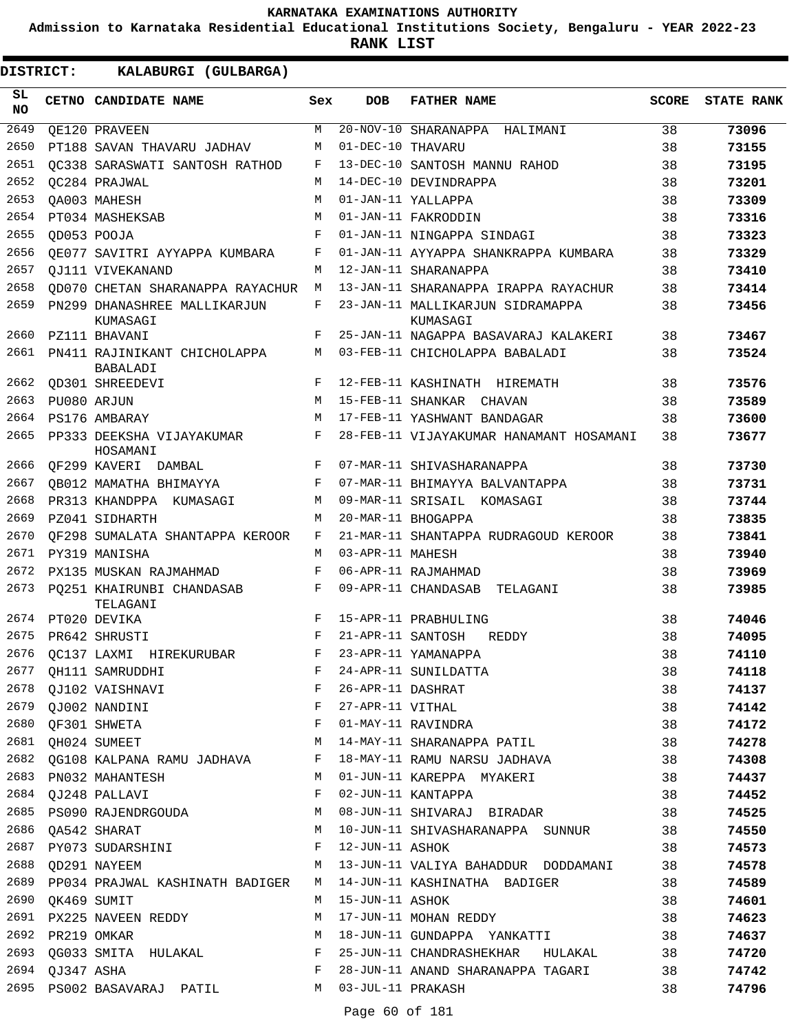**Admission to Karnataka Residential Educational Institutions Society, Bengaluru - YEAR 2022-23**

**RANK LIST**

| SL<br>NO |                  | CETNO CANDIDATE NAME                            | Sex        | <b>DOB</b>        | <b>FATHER NAME</b>                            | <b>SCORE</b> | <b>STATE RANK</b> |
|----------|------------------|-------------------------------------------------|------------|-------------------|-----------------------------------------------|--------------|-------------------|
| 2649     |                  | OE120 PRAVEEN                                   | M          |                   | $\overline{20-NOV-10}$ SHARANAPPA<br>HALIMANI | 38           | 73096             |
| 2650     |                  | PT188 SAVAN THAVARU JADHAV                      | M          | 01-DEC-10 THAVARU |                                               | 38           | 73155             |
| 2651     |                  | OC338 SARASWATI SANTOSH RATHOD                  | F          |                   | 13-DEC-10 SANTOSH MANNU RAHOD                 | 38           | 73195             |
| 2652     |                  | OC284 PRAJWAL                                   | M          |                   | 14-DEC-10 DEVINDRAPPA                         | 38           | 73201             |
| 2653     |                  | OA003 MAHESH                                    | М          |                   | 01-JAN-11 YALLAPPA                            | 38           | 73309             |
| 2654     |                  | PT034 MASHEKSAB                                 | M          |                   | 01-JAN-11 FAKRODDIN                           | 38           | 73316             |
| 2655     |                  | OD053 POOJA                                     | $_{\rm F}$ |                   | 01-JAN-11 NINGAPPA SINDAGI                    | 38           | 73323             |
| 2656     |                  | OE077 SAVITRI AYYAPPA KUMBARA                   | F          |                   | 01-JAN-11 AYYAPPA SHANKRAPPA KUMBARA          | 38           | 73329             |
| 2657     |                  | OJ111 VIVEKANAND                                | M          |                   | 12-JAN-11 SHARANAPPA                          | 38           | 73410             |
| 2658     |                  | OD070 CHETAN SHARANAPPA RAYACHUR                | M          |                   | 13-JAN-11 SHARANAPPA IRAPPA RAYACHUR          | 38           | 73414             |
| 2659     |                  | PN299 DHANASHREE MALLIKARJUN<br>KUMASAGI        | F          |                   | 23-JAN-11 MALLIKARJUN SIDRAMAPPA<br>KUMASAGI  | 38           | 73456             |
| 2660     |                  | PZ111 BHAVANI                                   | F          |                   | 25-JAN-11 NAGAPPA BASAVARAJ KALAKERI          | 38           | 73467             |
| 2661     |                  | PN411 RAJINIKANT CHICHOLAPPA<br><b>BABALADI</b> | M          |                   | 03-FEB-11 CHICHOLAPPA BABALADI                | 38           | 73524             |
| 2662     |                  | OD301 SHREEDEVI                                 | F          |                   | 12-FEB-11 KASHINATH HIREMATH                  | 38           | 73576             |
| 2663     |                  | PU080 ARJUN                                     | M          |                   | 15-FEB-11 SHANKAR<br>CHAVAN                   | 38           | 73589             |
| 2664     |                  | PS176 AMBARAY                                   | M          |                   | 17-FEB-11 YASHWANT BANDAGAR                   | 38           | 73600             |
| 2665     |                  | PP333 DEEKSHA VIJAYAKUMAR<br>HOSAMANI           | F          |                   | 28-FEB-11 VIJAYAKUMAR HANAMANT HOSAMANI       | 38           | 73677             |
| 2666     |                  | OF299 KAVERI DAMBAL                             | F          |                   | 07-MAR-11 SHIVASHARANAPPA                     | 38           | 73730             |
| 2667     |                  | OB012 MAMATHA BHIMAYYA                          | F          |                   | 07-MAR-11 BHIMAYYA BALVANTAPPA                | 38           | 73731             |
| 2668     |                  | PR313 KHANDPPA KUMASAGI                         | M          |                   | 09-MAR-11 SRISAIL KOMASAGI                    | 38           | 73744             |
| 2669     |                  | PZ041 SIDHARTH                                  | M          |                   | 20-MAR-11 BHOGAPPA                            | 38           | 73835             |
| 2670     |                  | OF298 SUMALATA SHANTAPPA KEROOR                 | F          |                   | 21-MAR-11 SHANTAPPA RUDRAGOUD KEROOR          | 38           | 73841             |
| 2671     |                  | PY319 MANISHA                                   | М          | 03-APR-11 MAHESH  |                                               | 38           | 73940             |
| 2672     |                  | PX135 MUSKAN RAJMAHMAD                          | $_{\rm F}$ |                   | 06-APR-11 RAJMAHMAD                           | 38           | 73969             |
| 2673     |                  | PO251 KHAIRUNBI CHANDASAB<br>TELAGANI           | F          |                   | 09-APR-11 CHANDASAB<br>TELAGANI               | 38           | 73985             |
| 2674     |                  | PT020 DEVIKA                                    | F          |                   | 15-APR-11 PRABHULING                          | 38           | 74046             |
| 2675     |                  | PR642 SHRUSTI                                   | $_{\rm F}$ | 21-APR-11 SANTOSH | REDDY                                         | 38           | 74095             |
| 2676     |                  | OC137 LAXMI HIREKURUBAR                         | F          |                   | 23-APR-11 YAMANAPPA                           | 38           | 74110             |
| 2677     |                  | QH111 SAMRUDDHI                                 | F          |                   | 24-APR-11 SUNILDATTA                          | 38           | 74118             |
|          |                  | 2678 QJ102 VAISHNAVI                            | F          | 26-APR-11 DASHRAT |                                               | 38           | 74137             |
| 2679     |                  | QJ002 NANDINI                                   | F          | 27-APR-11 VITHAL  |                                               | 38           | 74142             |
| 2680     |                  | OF301 SHWETA                                    | F          |                   | 01-MAY-11 RAVINDRA                            | 38           | 74172             |
|          |                  | 2681 QH024 SUMEET                               | М          |                   | 14-MAY-11 SHARANAPPA PATIL                    | 38           | 74278             |
|          |                  | 2682 QG108 KALPANA RAMU JADHAVA                 | F          |                   | 18-MAY-11 RAMU NARSU JADHAVA                  | 38           | 74308             |
| 2683     |                  | PN032 MAHANTESH                                 | М          |                   | 01-JUN-11 KAREPPA MYAKERI                     | 38           | 74437             |
| 2684     |                  | QJ248 PALLAVI                                   | F          |                   | 02-JUN-11 KANTAPPA                            | 38           | 74452             |
|          |                  | 2685 PS090 RAJENDRGOUDA                         | М          |                   | 08-JUN-11 SHIVARAJ BIRADAR                    | 38           | 74525             |
| 2686     |                  | QA542 SHARAT                                    | M          |                   | 10-JUN-11 SHIVASHARANAPPA SUNNUR              | 38           | 74550             |
| 2687     |                  | PY073 SUDARSHINI                                | F          | 12-JUN-11 ASHOK   |                                               | 38           | 74573             |
| 2688     |                  | QD291 NAYEEM                                    | М          |                   | 13-JUN-11 VALIYA BAHADDUR DODDAMANI           | 38           | 74578             |
|          |                  | 2689 PP034 PRAJWAL KASHINATH BADIGER            | M          |                   | 14-JUN-11 KASHINATHA BADIGER                  | 38           | 74589             |
|          | 2690 QK469 SUMIT |                                                 | M          | 15-JUN-11 ASHOK   |                                               | 38           | 74601             |
| 2691     |                  | PX225 NAVEEN REDDY                              | М          |                   | 17-JUN-11 MOHAN REDDY                         | 38           | 74623             |
| 2692     |                  | PR219 OMKAR                                     | М          |                   | 18-JUN-11 GUNDAPPA YANKATTI                   | 38           | 74637             |
| 2693     |                  | QG033 SMITA HULAKAL                             | F          |                   | 25-JUN-11 CHANDRASHEKHAR HULAKAL              | 38           | 74720             |
|          | 2694 QJ347 ASHA  |                                                 | F          |                   | 28-JUN-11 ANAND SHARANAPPA TAGARI             | 38           | 74742             |
|          |                  | 2695 PS002 BASAVARAJ PATIL                      | M          | 03-JUL-11 PRAKASH |                                               | 38           | 74796             |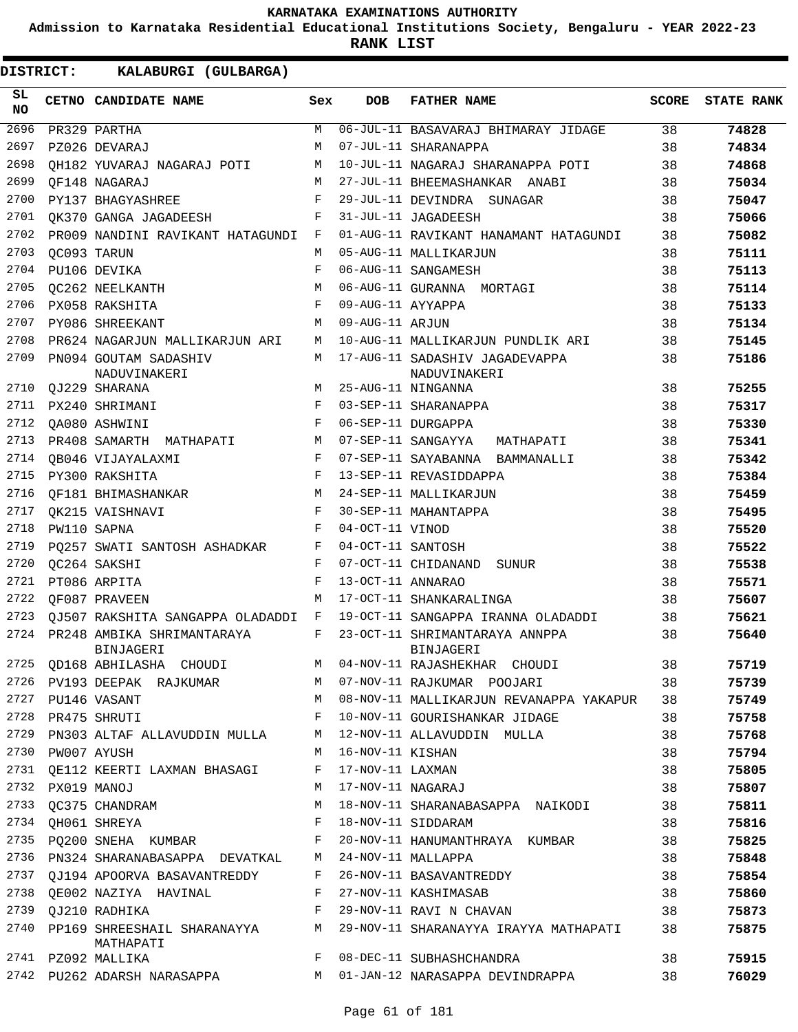**Admission to Karnataka Residential Educational Institutions Society, Bengaluru - YEAR 2022-23**

**RANK LIST**

| SL<br>NO |                  | CETNO CANDIDATE NAME                                       | Sex        | DOB                 | <b>FATHER NAME</b>                                                          | <b>SCORE</b> | <b>STATE RANK</b> |
|----------|------------------|------------------------------------------------------------|------------|---------------------|-----------------------------------------------------------------------------|--------------|-------------------|
| 2696     |                  | PR329 PARTHA                                               | M          |                     | 06-JUL-11 BASAVARAJ BHIMARAY JIDAGE                                         | 38           | 74828             |
| 2697     |                  | PZ026 DEVARAJ                                              | M          |                     | 07-JUL-11 SHARANAPPA                                                        | 38           | 74834             |
| 2698     |                  | OH182 YUVARAJ NAGARAJ POTI                                 | М          |                     | 10-JUL-11 NAGARAJ SHARANAPPA POTI                                           | 38           | 74868             |
| 2699     |                  | OF148 NAGARAJ                                              | M          |                     | 27-JUL-11 BHEEMASHANKAR ANABI                                               | 38           | 75034             |
| 2700     |                  | PY137 BHAGYASHREE                                          | F          |                     | 29-JUL-11 DEVINDRA SUNAGAR                                                  | 38           | 75047             |
| 2701     |                  | OK370 GANGA JAGADEESH                                      | F          |                     | 31-JUL-11 JAGADEESH                                                         | 38           | 75066             |
| 2702     |                  | PR009 NANDINI RAVIKANT HATAGUNDI                           | F          |                     | 01-AUG-11 RAVIKANT HANAMANT HATAGUNDI                                       | 38           | 75082             |
| 2703     |                  | OC093 TARUN                                                | M          |                     | 05-AUG-11 MALLIKARJUN                                                       | 38           | 75111             |
| 2704     |                  | PU106 DEVIKA                                               | $_{\rm F}$ |                     | 06-AUG-11 SANGAMESH                                                         | 38           | 75113             |
| 2705     |                  | OC262 NEELKANTH                                            | M          |                     | 06-AUG-11 GURANNA MORTAGI                                                   | 38           | 75114             |
| 2706     |                  | PX058 RAKSHITA                                             | F          | 09-AUG-11 AYYAPPA   |                                                                             | 38           | 75133             |
| 2707     |                  | PY086 SHREEKANT                                            | М          | 09-AUG-11 ARJUN     |                                                                             | 38           | 75134             |
| 2708     |                  | PR624 NAGARJUN MALLIKARJUN ARI                             | M          |                     | 10-AUG-11 MALLIKARJUN PUNDLIK ARI                                           | 38           | 75145             |
| 2709     |                  | PN094 GOUTAM SADASHIV<br>NADUVINAKERI                      | M          |                     | 17-AUG-11 SADASHIV JAGADEVAPPA<br>NADUVINAKERI                              | 38           | 75186             |
| 2710     |                  | QJ229 SHARANA                                              | M          |                     | 25-AUG-11 NINGANNA                                                          | 38           | 75255             |
| 2711     |                  | PX240 SHRIMANI                                             | F          |                     | 03-SEP-11 SHARANAPPA                                                        | 38           | 75317             |
| 2712     |                  | QA080 ASHWINI                                              | F          |                     | 06-SEP-11 DURGAPPA                                                          | 38           | 75330             |
| 2713     |                  | PR408 SAMARTH MATHAPATI                                    | M          |                     | 07-SEP-11 SANGAYYA MATHAPATI                                                | 38           | 75341             |
| 2714     |                  | OB046 VIJAYALAXMI                                          | F          |                     | 07-SEP-11 SAYABANNA BAMMANALLI                                              | 38           | 75342             |
| 2715     |                  | PY300 RAKSHITA                                             | F          |                     | 13-SEP-11 REVASIDDAPPA                                                      | 38           | 75384             |
| 2716     |                  | QF181 BHIMASHANKAR                                         | M          |                     | 24-SEP-11 MALLIKARJUN                                                       | 38           | 75459             |
| 2717     |                  | OK215 VAISHNAVI                                            | F          |                     | 30-SEP-11 MAHANTAPPA                                                        | 38           | 75495             |
| 2718     |                  | PW110 SAPNA                                                | F          | 04-OCT-11 VINOD     |                                                                             | 38           | 75520             |
| 2719     |                  | PQ257 SWATI SANTOSH ASHADKAR                               | F          | 04-OCT-11 SANTOSH   |                                                                             | 38           | 75522             |
| 2720     |                  | OC264 SAKSHI                                               | $_{\rm F}$ |                     | 07-OCT-11 CHIDANAND SUNUR                                                   | 38           | 75538             |
| 2721     |                  | PT086 ARPITA                                               | $_{\rm F}$ | 13-OCT-11 ANNARAO   |                                                                             | 38           | 75571             |
| 2722     |                  | OF087 PRAVEEN                                              | M          |                     | 17-OCT-11 SHANKARALINGA                                                     | 38           | 75607             |
| 2723     |                  | OJ507 RAKSHITA SANGAPPA OLADADDI                           | F          |                     | 19-OCT-11 SANGAPPA IRANNA OLADADDI                                          | 38           | 75621             |
| 2724     |                  | PR248 AMBIKA SHRIMANTARAYA<br>BINJAGERI                    | F          |                     | 23-OCT-11 SHRIMANTARAYA ANNPPA<br>BINJAGERI                                 | 38           | 75640             |
| 2725     |                  | OD168 ABHILASHA CHOUDI                                     | М          |                     | 04-NOV-11 RAJASHEKHAR CHOUDI                                                | 38           | 75719             |
|          |                  |                                                            |            |                     | 2726 PV193 DEEPAK RAJKUMAR M 07-NOV-11 RAJKUMAR POOJARI 38                  |              | 75739             |
|          |                  | 2727 PU146 VASANT                                          |            |                     | M 08-NOV-11 MALLIKARJUN REVANAPPA YAKAPUR 38                                |              | 75749             |
|          |                  | 2728 PR475 SHRUTI                                          |            |                     | F 10-NOV-11 GOURISHANKAR JIDAGE                                             | 38           | 75758             |
|          |                  |                                                            |            |                     | 2729 PN303 ALTAF ALLAVUDDIN MULLA       M   12-NOV-11 ALLAVUDDIN  MULLA     | 38           | 75768             |
|          | 2730 PW007 AYUSH |                                                            |            | M 16-NOV-11 KISHAN  |                                                                             | 38           | 75794             |
|          |                  | 2731 QE112 KEERTI LAXMAN BHASAGI F 17-NOV-11 LAXMAN        |            |                     |                                                                             | 38           | 75805             |
|          | 2732 PX019 MANOJ |                                                            |            | M 17-NOV-11 NAGARAJ |                                                                             | 38           | 75807             |
|          |                  | 2733 QC375 CHANDRAM                                        |            |                     | M 18-NOV-11 SHARANABASAPPA NAIKODI                                          | 38           | 75811             |
|          |                  | 2734 QH061 SHREYA                                          |            |                     | F 18-NOV-11 SIDDARAM                                                        | 38           | 75816             |
|          |                  |                                                            |            |                     | 2735 PQ200 SNEHA KUMBAR F 20-NOV-11 HANUMANTHRAYA KUMBAR                    | 38           | 75825             |
|          |                  | 2736 PN324 SHARANABASAPPA DEVATKAL M 24-NOV-11 MALLAPPA    |            |                     |                                                                             | 38           | 75848             |
|          |                  | 2737 QJ194 APOORVA BASAVANTREDDY F 26-NOV-11 BASAVANTREDDY |            |                     |                                                                             | 38           | 75854             |
|          |                  | 2738 QE002 NAZIYA HAVINAL NARREY 27-NOV-11 KASHIMASAB      |            |                     |                                                                             | 38           | 75860             |
|          |                  | 2739 QJ210 RADHIKA                                         |            |                     | F 29-NOV-11 RAVI N CHAVAN                                                   | 38           | 75873             |
|          |                  | MATHAPATI                                                  |            |                     | 2740 PP169 SHREESHAIL SHARANAYYA M 29-NOV-11 SHARANAYYA IRAYYA MATHAPATI 38 |              | 75875             |
|          |                  | 2741 PZ092 MALLIKA                                         |            |                     | F 08-DEC-11 SUBHASHCHANDRA                                                  | 38           | 75915             |
|          |                  |                                                            |            |                     | 2742 PU262 ADARSH NARASAPPA M 01-JAN-12 NARASAPPA DEVINDRAPPA 38            |              | 76029             |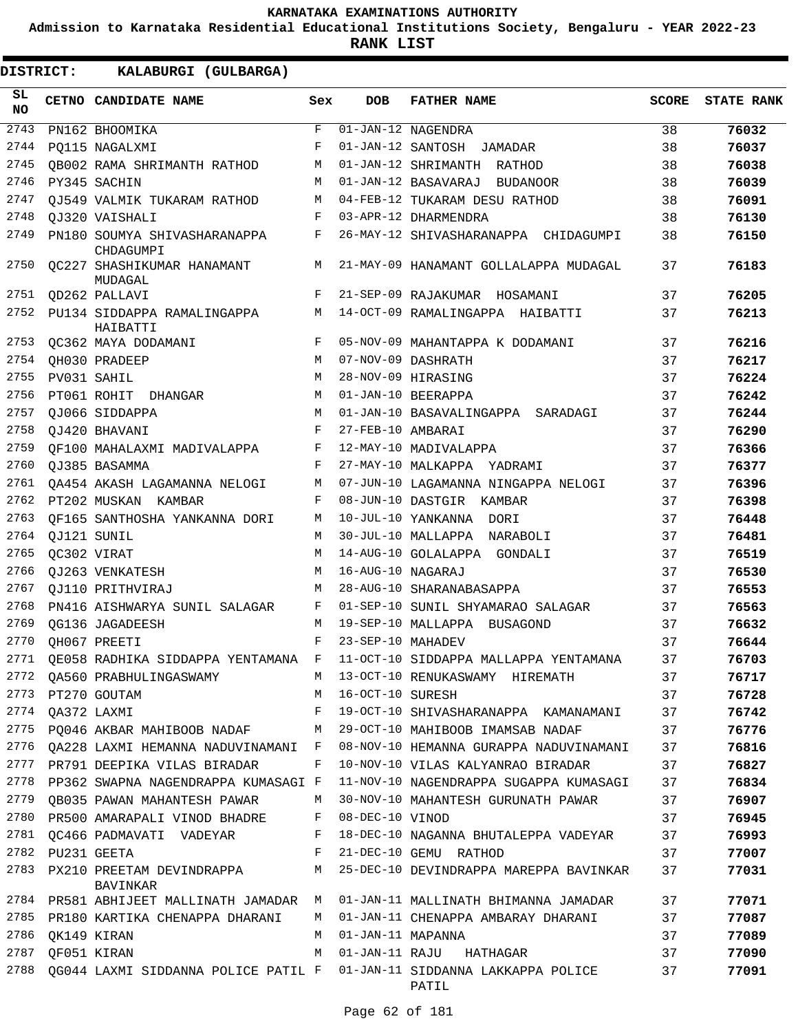**Admission to Karnataka Residential Educational Institutions Society, Bengaluru - YEAR 2022-23**

| DISTRICT:        |                  | KALABURGI (GULBARGA)                         |              |                   |                                                                                 |              |                   |
|------------------|------------------|----------------------------------------------|--------------|-------------------|---------------------------------------------------------------------------------|--------------|-------------------|
| SL.<br><b>NO</b> |                  | CETNO CANDIDATE NAME                         | Sex          | <b>DOB</b>        | <b>FATHER NAME</b>                                                              | <b>SCORE</b> | <b>STATE RANK</b> |
| 2743             |                  | PN162 BHOOMIKA                               | F            |                   | $\overline{01 - JAN - 12}$ NAGENDRA                                             | 38           | 76032             |
| 2744             |                  | PO115 NAGALXMI                               | F            |                   | 01-JAN-12 SANTOSH<br>JAMADAR                                                    | 38           | 76037             |
| 2745             |                  | QB002 RAMA SHRIMANTH RATHOD                  | М            |                   | 01-JAN-12 SHRIMANTH RATHOD                                                      | 38           | 76038             |
| 2746             |                  | PY345 SACHIN                                 | M            |                   | 01-JAN-12 BASAVARAJ BUDANOOR                                                    | 38           | 76039             |
| 2747             |                  | OJ549 VALMIK TUKARAM RATHOD                  | М            |                   | 04-FEB-12 TUKARAM DESU RATHOD                                                   | 38           | 76091             |
| 2748             |                  | OJ320 VAISHALI                               | F            |                   | 03-APR-12 DHARMENDRA                                                            | 38           | 76130             |
| 2749             |                  | PN180 SOUMYA SHIVASHARANAPPA<br>CHDAGUMPI    | F            |                   | 26-MAY-12 SHIVASHARANAPPA CHIDAGUMPI                                            | 38           | 76150             |
| 2750             |                  | <b>QC227 SHASHIKUMAR HANAMANT</b><br>MUDAGAL | М            |                   | 21-MAY-09 HANAMANT GOLLALAPPA MUDAGAL                                           | 37           | 76183             |
| 2751             |                  | QD262 PALLAVI                                | $\mathbf{F}$ |                   | 21-SEP-09 RAJAKUMAR HOSAMANI                                                    | 37           | 76205             |
| 2752             |                  | PU134 SIDDAPPA RAMALINGAPPA<br>HAIBATTI      | M            |                   | 14-OCT-09 RAMALINGAPPA HAIBATTI                                                 | 37           | 76213             |
| 2753             |                  | QC362 MAYA DODAMANI                          | F            |                   | 05-NOV-09 MAHANTAPPA K DODAMANI                                                 | 37           | 76216             |
| 2754             |                  | QH030 PRADEEP                                | M            |                   | 07-NOV-09 DASHRATH                                                              | 37           | 76217             |
| 2755             |                  | PV031 SAHIL                                  | M            |                   | 28-NOV-09 HIRASING                                                              | 37           | 76224             |
| 2756             |                  | PT061 ROHIT DHANGAR                          | M            |                   | 01-JAN-10 BEERAPPA                                                              | 37           | 76242             |
| 2757             |                  | QJ066 SIDDAPPA                               | M            |                   | 01-JAN-10 BASAVALINGAPPA SARADAGI                                               | 37           | 76244             |
| 2758             |                  | QJ420 BHAVANI                                | F            | 27-FEB-10 AMBARAI |                                                                                 | 37           | 76290             |
| 2759             |                  | OF100 MAHALAXMI MADIVALAPPA                  | F            |                   | 12-MAY-10 MADIVALAPPA                                                           | 37           | 76366             |
| 2760             |                  | OJ385 BASAMMA                                | F            |                   | 27-MAY-10 MALKAPPA YADRAMI                                                      | 37           | 76377             |
| 2761             |                  | QA454 AKASH LAGAMANNA NELOGI                 | М            |                   | 07-JUN-10 LAGAMANNA NINGAPPA NELOGI                                             | 37           | 76396             |
| 2762             |                  | PT202 MUSKAN KAMBAR                          | F            |                   | 08-JUN-10 DASTGIR KAMBAR                                                        | 37           | 76398             |
| 2763             |                  | OF165 SANTHOSHA YANKANNA DORI                | М            |                   | 10-JUL-10 YANKANNA DORI                                                         | 37           | 76448             |
| 2764             |                  | QJ121 SUNIL                                  | М            |                   | 30-JUL-10 MALLAPPA NARABOLI                                                     | 37           | 76481             |
| 2765             |                  | QC302 VIRAT                                  | М            |                   | 14-AUG-10 GOLALAPPA GONDALI                                                     | 37           | 76519             |
| 2766             |                  | QJ263 VENKATESH                              | М            | 16-AUG-10 NAGARAJ |                                                                                 | 37           | 76530             |
| 2767             |                  | QJ110 PRITHVIRAJ                             | М            |                   | 28-AUG-10 SHARANABASAPPA                                                        | 37           | 76553             |
| 2768             |                  | PN416 AISHWARYA SUNIL SALAGAR                | F            |                   | 01-SEP-10 SUNIL SHYAMARAO SALAGAR                                               | 37           | 76563             |
| 2769             |                  | OG136 JAGADEESH                              | М            |                   | 19-SEP-10 MALLAPPA BUSAGOND                                                     | 37           | 76632             |
| 2770             |                  | OH067 PREETI                                 | F            | 23-SEP-10 MAHADEV |                                                                                 | 37           | 76644             |
| 2771             |                  | OE058 RADHIKA SIDDAPPA YENTAMANA F           |              |                   | 11-OCT-10 SIDDAPPA MALLAPPA YENTAMANA                                           | 37           | 76703             |
| 2772             |                  | QA560 PRABHULINGASWAMY                       | M            |                   | 13-OCT-10 RENUKASWAMY HIREMATH                                                  | 37           | 76717             |
| 2773             |                  | PT270 GOUTAM                                 | М            | 16-OCT-10 SURESH  |                                                                                 | 37           | 76728             |
|                  | 2774 QA372 LAXMI |                                              | F            |                   | 19-OCT-10 SHIVASHARANAPPA KAMANAMANI                                            | 37           | 76742             |
| 2775             |                  | PQ046 AKBAR MAHIBOOB NADAF                   | M            |                   | 29-OCT-10 MAHIBOOB IMAMSAB NADAF                                                | 37           | 76776             |
| 2776             |                  | QA228 LAXMI HEMANNA NADUVINAMANI F           |              |                   | 08-NOV-10 HEMANNA GURAPPA NADUVINAMANI                                          | 37           | 76816             |
| 2777             |                  | PR791 DEEPIKA VILAS BIRADAR                  | F            |                   | 10-NOV-10 VILAS KALYANRAO BIRADAR                                               | 37           | 76827             |
| 2778             |                  | PP362 SWAPNA NAGENDRAPPA KUMASAGI F          |              |                   | 11-NOV-10 NAGENDRAPPA SUGAPPA KUMASAGI                                          | 37           | 76834             |
| 2779             |                  | OB035 PAWAN MAHANTESH PAWAR                  | М            |                   | 30-NOV-10 MAHANTESH GURUNATH PAWAR                                              | 37           | 76907             |
| 2780             |                  | PR500 AMARAPALI VINOD BHADRE                 | F            | 08-DEC-10 VINOD   |                                                                                 | 37           | 76945             |
| 2781             |                  | QC466 PADMAVATI VADEYAR                      | F            |                   | 18-DEC-10 NAGANNA BHUTALEPPA VADEYAR                                            | 37           | 76993             |
| 2782             |                  | PU231 GEETA                                  | F            |                   | 21-DEC-10 GEMU RATHOD                                                           | 37           | 77007             |
| 2783             |                  | PX210 PREETAM DEVINDRAPPA<br>BAVINKAR        | М            |                   | 25-DEC-10 DEVINDRAPPA MAREPPA BAVINKAR                                          | 37           | 77031             |
|                  |                  | 2784 PR581 ABHIJEET MALLINATH JAMADAR M      |              |                   | 01-JAN-11 MALLINATH BHIMANNA JAMADAR                                            | 37           | 77071             |
| 2785             |                  | PR180 KARTIKA CHENAPPA DHARANI               | М            |                   | 01-JAN-11 CHENAPPA AMBARAY DHARANI                                              | 37           | 77087             |
| 2786             |                  | QK149 KIRAN                                  | М            | 01-JAN-11 MAPANNA |                                                                                 | 37           | 77089             |
| 2787             |                  | QF051 KIRAN                                  | М            |                   | 01-JAN-11 RAJU HATHAGAR                                                         | 37           | 77090             |
| 2788             |                  |                                              |              |                   | QG044 LAXMI SIDDANNA POLICE PATIL F 01-JAN-11 SIDDANNA LAKKAPPA POLICE<br>PATIL | 37           | 77091             |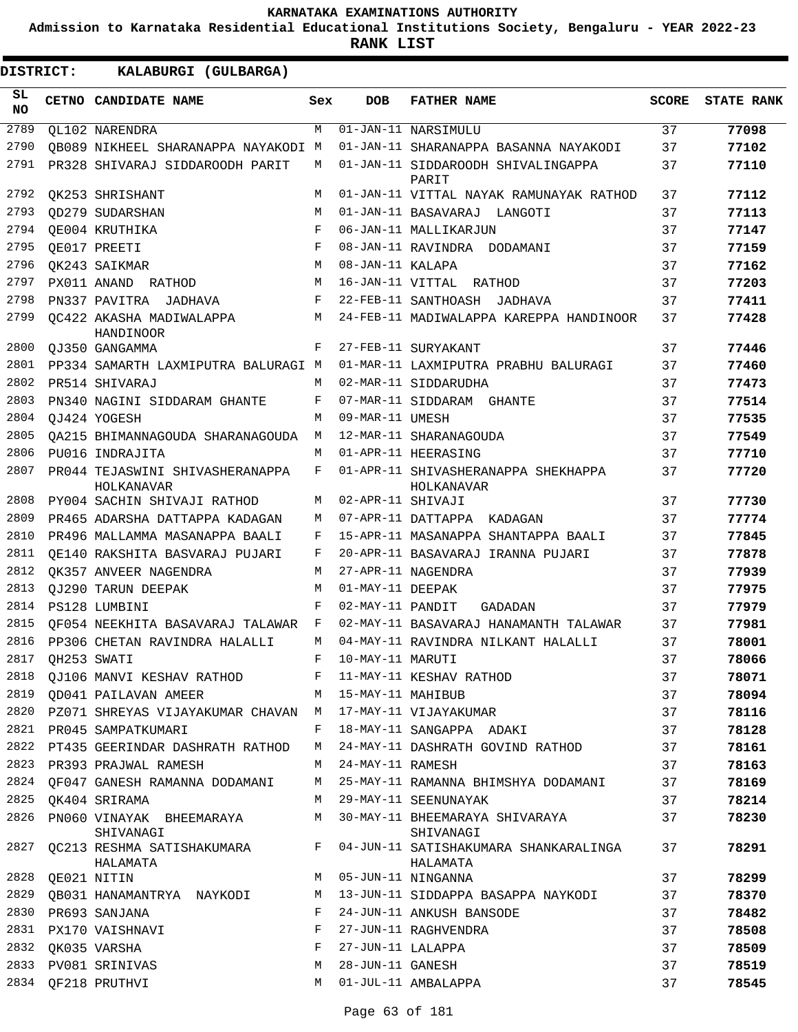**Admission to Karnataka Residential Educational Institutions Society, Bengaluru - YEAR 2022-23**

| DISTRICT:        | KALABURGI (GULBARGA)                                          |     |                     |                                                   |              |                   |
|------------------|---------------------------------------------------------------|-----|---------------------|---------------------------------------------------|--------------|-------------------|
| SL.<br><b>NO</b> | CETNO CANDIDATE NAME                                          | Sex | <b>DOB</b>          | <b>FATHER NAME</b>                                | <b>SCORE</b> | <b>STATE RANK</b> |
| 2789             | OL102 NARENDRA                                                | М   |                     | 01-JAN-11 NARSIMULU                               | 37           | 77098             |
| 2790             | OB089 NIKHEEL SHARANAPPA NAYAKODI M                           |     |                     | 01-JAN-11 SHARANAPPA BASANNA NAYAKODI             | 37           | 77102             |
| 2791             | PR328 SHIVARAJ SIDDAROODH PARIT                               | M   |                     | 01-JAN-11 SIDDAROODH SHIVALINGAPPA<br>PARIT       | 37           | 77110             |
| 2792             | OK253 SHRISHANT                                               | М   |                     | 01-JAN-11 VITTAL NAYAK RAMUNAYAK RATHOD           | 37           | 77112             |
| 2793             | OD279 SUDARSHAN                                               | M   |                     | 01-JAN-11 BASAVARAJ LANGOTI                       | 37           | 77113             |
| 2794             | OE004 KRUTHIKA                                                | F   |                     | 06-JAN-11 MALLIKARJUN                             | 37           | 77147             |
| 2795             | OE017 PREETI                                                  | F   |                     | 08-JAN-11 RAVINDRA DODAMANI                       | 37           | 77159             |
| 2796             | OK243 SAIKMAR                                                 | M   | 08-JAN-11 KALAPA    |                                                   | 37           | 77162             |
| 2797             | PX011 ANAND RATHOD                                            | M   |                     | 16-JAN-11 VITTAL RATHOD                           | 37           | 77203             |
| 2798             | PN337 PAVITRA JADHAVA                                         | F   |                     | 22-FEB-11 SANTHOASH<br>JADHAVA                    | 37           | 77411             |
| 2799             | OC422 AKASHA MADIWALAPPA<br>HANDINOOR                         | М   |                     | 24-FEB-11 MADIWALAPPA KAREPPA HANDINOOR           | 37           | 77428             |
| 2800             | OJ350 GANGAMMA                                                | F   |                     | 27-FEB-11 SURYAKANT                               | 37           | 77446             |
| 2801             | PP334 SAMARTH LAXMIPUTRA BALURAGI M                           |     |                     | 01-MAR-11 LAXMIPUTRA PRABHU BALURAGI              | 37           | 77460             |
| 2802             | PR514 SHIVARAJ                                                | М   |                     | 02-MAR-11 SIDDARUDHA                              | 37           | 77473             |
| 2803             | PN340 NAGINI SIDDARAM GHANTE                                  | F   |                     | 07-MAR-11 SIDDARAM GHANTE                         | 37           | 77514             |
| 2804             | OJ424 YOGESH                                                  | М   | 09-MAR-11 UMESH     |                                                   | 37           | 77535             |
| 2805             | OA215 BHIMANNAGOUDA SHARANAGOUDA                              | M   |                     | 12-MAR-11 SHARANAGOUDA                            | 37           | 77549             |
| 2806             | PU016 INDRAJITA                                               | М   |                     | 01-APR-11 HEERASING                               | 37           | 77710             |
| 2807             | PR044 TEJASWINI SHIVASHERANAPPA<br>HOLKANAVAR                 | F   |                     | 01-APR-11 SHIVASHERANAPPA SHEKHAPPA<br>HOLKANAVAR | 37           | 77720             |
| 2808             | PY004 SACHIN SHIVAJI RATHOD                                   | М   | 02-APR-11 SHIVAJI   |                                                   | 37           | 77730             |
| 2809             | PR465 ADARSHA DATTAPPA KADAGAN                                | М   |                     | 07-APR-11 DATTAPPA KADAGAN                        | 37           | 77774             |
| 2810             | PR496 MALLAMMA MASANAPPA BAALI                                | F   |                     | 15-APR-11 MASANAPPA SHANTAPPA BAALI               | 37           | 77845             |
| 2811             | OE140 RAKSHITA BASVARAJ PUJARI                                | F   |                     | 20-APR-11 BASAVARAJ IRANNA PUJARI                 | 37           | 77878             |
| 2812             | OK357 ANVEER NAGENDRA                                         | М   |                     | 27-APR-11 NAGENDRA                                | 37           | 77939             |
| 2813             | OJ290 TARUN DEEPAK                                            | М   | 01-MAY-11 DEEPAK    |                                                   | 37           | 77975             |
| 2814             | PS128 LUMBINI                                                 | F   | 02-MAY-11 PANDIT    | GADADAN                                           | 37           | 77979             |
| 2815             | QF054 NEEKHITA BASAVARAJ TALAWAR                              | F   |                     | 02-MAY-11 BASAVARAJ HANAMANTH TALAWAR             | 37           | 77981             |
| 2816             | PP306 CHETAN RAVINDRA HALALLI                                 | M   |                     | 04-MAY-11 RAVINDRA NILKANT HALALLI                | 37           | 78001             |
| 2817             | QH253 SWATI                                                   | F   | 10-MAY-11 MARUTI    |                                                   | 37           | 78066             |
| 2818             | QJ106 MANVI KESHAV RATHOD                                     | F   |                     | 11-MAY-11 KESHAV RATHOD                           | 37           | 78071             |
| 2819             | QD041 PAILAVAN AMEER                                          |     | M 15-MAY-11 MAHIBUB |                                                   | 37           | 78094             |
|                  | 2820 PZ071 SHREYAS VIJAYAKUMAR CHAVAN M 17-MAY-11 VIJAYAKUMAR |     |                     |                                                   | 37           | 78116             |
| 2821             | PR045 SAMPATKUMARI                                            | F   |                     | 18-MAY-11 SANGAPPA ADAKI                          | 37           | 78128             |
| 2822             | PT435 GEERINDAR DASHRATH RATHOD                               | М   |                     | 24-MAY-11 DASHRATH GOVIND RATHOD                  | 37           | 78161             |
| 2823             | PR393 PRAJWAL RAMESH                                          | M   | 24-MAY-11 RAMESH    |                                                   | 37           | 78163             |
|                  | 2824 QF047 GANESH RAMANNA DODAMANI                            | М   |                     | 25-MAY-11 RAMANNA BHIMSHYA DODAMANI               | 37           | 78169             |
| 2825             | OK404 SRIRAMA                                                 | М   |                     | 29-MAY-11 SEENUNAYAK                              | 37           | 78214             |
| 2826             | PN060 VINAYAK BHEEMARAYA<br>SHIVANAGI                         | М   |                     | 30-MAY-11 BHEEMARAYA SHIVARAYA<br>SHIVANAGI       | 37           | 78230             |
| 2827             | QC213 RESHMA SATISHAKUMARA<br>HALAMATA                        | F   |                     | 04-JUN-11 SATISHAKUMARA SHANKARALINGA<br>HALAMATA | 37           | 78291             |
| 2828             | QE021 NITIN                                                   | М   |                     | 05-JUN-11 NINGANNA                                | 37           | 78299             |
| 2829             | QB031 HANAMANTRYA NAYKODI                                     | M   |                     | 13-JUN-11 SIDDAPPA BASAPPA NAYKODI                | 37           | 78370             |
| 2830             | PR693 SANJANA                                                 | F   |                     | 24-JUN-11 ANKUSH BANSODE                          | 37           | 78482             |
| 2831             | PX170 VAISHNAVI                                               | F   |                     | 27-JUN-11 RAGHVENDRA                              | 37           | 78508             |
|                  | 2832 QK035 VARSHA                                             | F   | 27-JUN-11 LALAPPA   |                                                   | 37           | 78509             |
| 2833             | PV081 SRINIVAS                                                | М   | 28-JUN-11 GANESH    |                                                   | 37           | 78519             |
| 2834             | QF218 PRUTHVI                                                 | М   |                     | 01-JUL-11 AMBALAPPA                               | 37           | 78545             |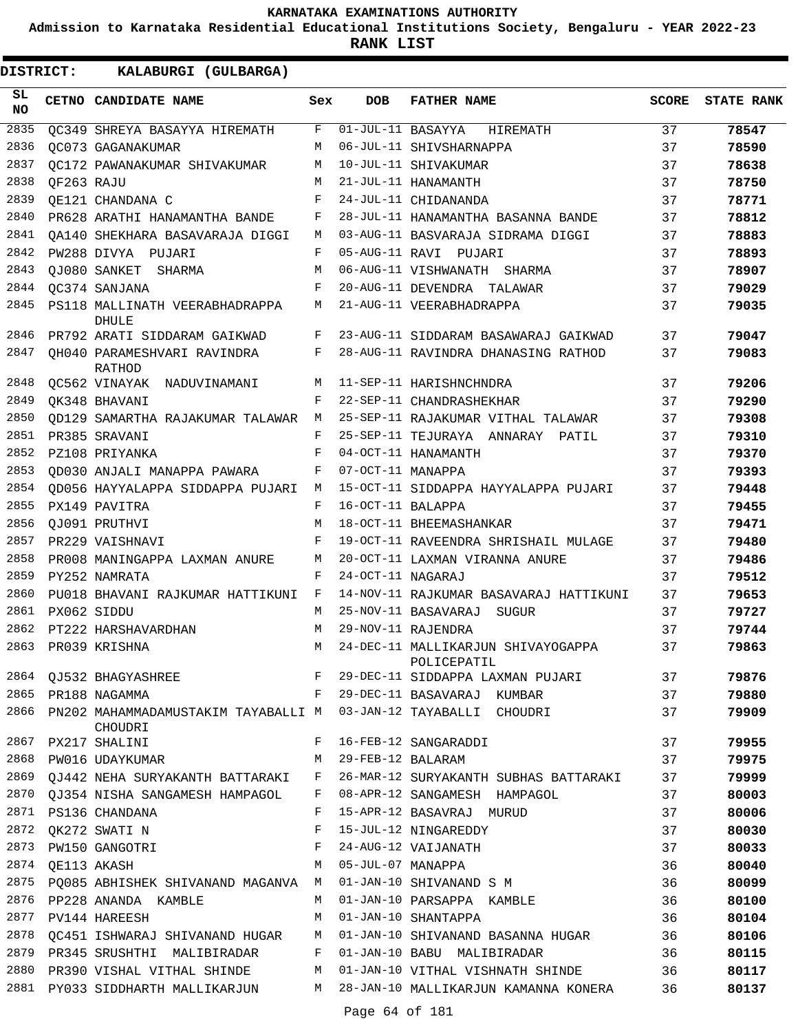**Admission to Karnataka Residential Educational Institutions Society, Bengaluru - YEAR 2022-23**

| <b>DISTRICT:</b> |            | KALABURGI (GULBARGA)                                                            |              |                     |                                                                                                                                           |              |                   |
|------------------|------------|---------------------------------------------------------------------------------|--------------|---------------------|-------------------------------------------------------------------------------------------------------------------------------------------|--------------|-------------------|
| SL.<br><b>NO</b> |            | CETNO CANDIDATE NAME                                                            | Sex          | <b>DOB</b>          | <b>FATHER NAME</b>                                                                                                                        | <b>SCORE</b> | <b>STATE RANK</b> |
| 2835             |            | OC349 SHREYA BASAYYA HIREMATH                                                   | F            | 01-JUL-11 BASAYYA   | HIREMATH                                                                                                                                  | 37           | 78547             |
| 2836             |            | OC073 GAGANAKUMAR                                                               | M            |                     | 06-JUL-11 SHIVSHARNAPPA                                                                                                                   | 37           | 78590             |
| 2837             |            | OC172 PAWANAKUMAR SHIVAKUMAR                                                    | M            |                     | 10-JUL-11 SHIVAKUMAR                                                                                                                      | 37           | 78638             |
| 2838             | OF263 RAJU |                                                                                 | M            |                     | 21-JUL-11 HANAMANTH                                                                                                                       | 37           | 78750             |
| 2839             |            | OE121 CHANDANA C                                                                | F            |                     | 24-JUL-11 CHIDANANDA                                                                                                                      | 37           | 78771             |
| 2840             |            | PR628 ARATHI HANAMANTHA BANDE                                                   | F            |                     | 28-JUL-11 HANAMANTHA BASANNA BANDE                                                                                                        | 37           | 78812             |
| 2841             |            | OA140 SHEKHARA BASAVARAJA DIGGI                                                 | M            |                     | 03-AUG-11 BASVARAJA SIDRAMA DIGGI                                                                                                         | 37           | 78883             |
| 2842             |            | PW288 DIVYA PUJARI                                                              | F            |                     | 05-AUG-11 RAVI PUJARI                                                                                                                     | 37           | 78893             |
| 2843             |            | OJ080 SANKET SHARMA                                                             | М            |                     | 06-AUG-11 VISHWANATH SHARMA                                                                                                               | 37           | 78907             |
| 2844             |            | OC374 SANJANA                                                                   | F            |                     | 20-AUG-11 DEVENDRA TALAWAR                                                                                                                | 37           | 79029             |
| 2845             |            | PS118 MALLINATH VEERABHADRAPPA<br><b>DHULE</b>                                  | М            |                     | 21-AUG-11 VEERABHADRAPPA                                                                                                                  | 37           | 79035             |
| 2846             |            | PR792 ARATI SIDDARAM GAIKWAD                                                    | F            |                     | 23-AUG-11 SIDDARAM BASAWARAJ GAIKWAD                                                                                                      | 37           | 79047             |
| 2847             |            | OH040 PARAMESHVARI RAVINDRA<br>RATHOD                                           | F            |                     | 28-AUG-11 RAVINDRA DHANASING RATHOD                                                                                                       | 37           | 79083             |
| 2848             |            | QC562 VINAYAK NADUVINAMANI                                                      | M            |                     | 11-SEP-11 HARISHNCHNDRA                                                                                                                   | 37           | 79206             |
| 2849             |            | OK348 BHAVANI                                                                   | F            |                     | 22-SEP-11 CHANDRASHEKHAR                                                                                                                  | 37           | 79290             |
| 2850             |            | OD129 SAMARTHA RAJAKUMAR TALAWAR                                                | M            |                     | 25-SEP-11 RAJAKUMAR VITHAL TALAWAR                                                                                                        | 37           | 79308             |
| 2851             |            | PR385 SRAVANI                                                                   | F            |                     | 25-SEP-11 TEJURAYA ANNARAY PATIL                                                                                                          | 37           | 79310             |
| 2852             |            | PZ108 PRIYANKA                                                                  | F            |                     | 04-OCT-11 HANAMANTH                                                                                                                       | 37           | 79370             |
| 2853             |            | QD030 ANJALI MANAPPA PAWARA                                                     | F            | 07-OCT-11 MANAPPA   |                                                                                                                                           | 37           | 79393             |
| 2854             |            | OD056 HAYYALAPPA SIDDAPPA PUJARI                                                | М            |                     | 15-OCT-11 SIDDAPPA HAYYALAPPA PUJARI                                                                                                      | 37           | 79448             |
| 2855             |            | PX149 PAVITRA                                                                   | F            | 16-OCT-11 BALAPPA   |                                                                                                                                           | 37           | 79455             |
| 2856             |            | OJ091 PRUTHVI                                                                   | M            |                     | 18-OCT-11 BHEEMASHANKAR                                                                                                                   | 37           | 79471             |
| 2857             |            | PR229 VAISHNAVI                                                                 | F            |                     | 19-OCT-11 RAVEENDRA SHRISHAIL MULAGE                                                                                                      | 37           | 79480             |
| 2858             |            | PR008 MANINGAPPA LAXMAN ANURE                                                   | М            |                     | 20-OCT-11 LAXMAN VIRANNA ANURE                                                                                                            | 37           | 79486             |
| 2859             |            | PY252 NAMRATA                                                                   | F            | 24-OCT-11 NAGARAJ   |                                                                                                                                           | 37           | 79512             |
| 2860             |            | PU018 BHAVANI RAJKUMAR HATTIKUNI                                                | $\mathbf{F}$ |                     | 14-NOV-11 RAJKUMAR BASAVARAJ HATTIKUNI                                                                                                    | 37           | 79653             |
| 2861             |            | PX062 SIDDU                                                                     | M            |                     | 25-NOV-11 BASAVARAJ SUGUR                                                                                                                 | 37           | 79727             |
| 2862             |            | PT222 HARSHAVARDHAN                                                             | M            |                     | 29-NOV-11 RAJENDRA                                                                                                                        | 37           | 79744             |
| 2863             |            | PR039 KRISHNA                                                                   |              |                     | M 24-DEC-11 MALLIKARJUN SHIVAYOGAPPA<br>2003 PROSS NRISHNA<br>POLICEPATIL<br>2864 QJ532 BHAGYASHREE F 29-DEC-11 SIDDAPPA LAXMAN PUJARI 37 | 37           | 79863             |
|                  |            |                                                                                 |              |                     |                                                                                                                                           |              | 79876             |
|                  |            | 2865 PR188 NAGAMMA                                                              |              |                     | F 29-DEC-11 BASAVARAJ KUMBAR 37                                                                                                           |              | 79880             |
|                  |            | 2866 PN202 MAHAMMADAMUSTAKIM TAYABALLI M 03-JAN-12 TAYABALLI CHOUDRI<br>CHOUDRI |              |                     |                                                                                                                                           | 37           | 79909             |
|                  |            | 2867 PX217 SHALINI                                                              |              |                     | F 16-FEB-12 SANGARADDI                                                                                                                    | 37           | 79955             |
|                  |            | 2868 PW016 UDAYKUMAR                                                            |              | M 29-FEB-12 BALARAM |                                                                                                                                           | 37           | 79975             |
|                  |            |                                                                                 |              |                     | 2869 QJ442 NEHA SURYAKANTH BATTARAKI F 26-MAR-12 SURYAKANTH SUBHAS BATTARAKI 37                                                           |              | 79999             |
|                  |            |                                                                                 |              |                     | 2870 QJ354 NISHA SANGAMESH HAMPAGOL F 08-APR-12 SANGAMESH HAMPAGOL                                                                        | 37           | 80003             |
|                  |            | 2871 PS136 CHANDANA                                                             | $\mathbf{F}$ |                     | 15-APR-12 BASAVRAJ MURUD                                                                                                                  | 37           | 80006             |
|                  |            | 2872 QK272 SWATI N                                                              | F            |                     | 15-JUL-12 NINGAREDDY                                                                                                                      | 37           | 80030             |
| 2873             |            | PW150 GANGOTRI F                                                                |              |                     | 24-AUG-12 VAIJANATH                                                                                                                       | 37           | 80033             |
| 2874             |            | M 05-JUL-07 MANAPPA<br>QE113 AKASH                                              |              |                     |                                                                                                                                           | 36           | 80040             |
|                  |            |                                                                                 |              |                     | 2875 PQ085 ABHISHEK SHIVANAND MAGANVA M 01-JAN-10 SHIVANAND S M                                                                           | 36           | 80099             |
|                  |            | 2876 PP228 ANANDA KAMBLE                                                        |              |                     | M 01-JAN-10 PARSAPPA KAMBLE                                                                                                               | 36           | 80100             |
|                  |            | 2877 PV144 HAREESH                                                              |              |                     | M 01-JAN-10 SHANTAPPA                                                                                                                     | 36           | 80104             |
| 2878             |            |                                                                                 |              |                     | QC451 ISHWARAJ SHIVANAND HUGAR M 01-JAN-10 SHIVANAND BASANNA HUGAR 36                                                                     |              | 80106             |
|                  |            |                                                                                 |              |                     | 2879 PR345 SRUSHTHI MALIBIRADAR F 01-JAN-10 BABU MALIBIRADAR 36                                                                           |              | 80115             |
|                  |            |                                                                                 |              |                     | 2880 PR390 VISHAL VITHAL SHINDE M 01-JAN-10 VITHAL VISHNATH SHINDE 36                                                                     |              | 80117             |
|                  |            |                                                                                 |              |                     | 2881 PY033 SIDDHARTH MALLIKARJUN MANAMANA KONERA 36                                                                                       |              | 80137             |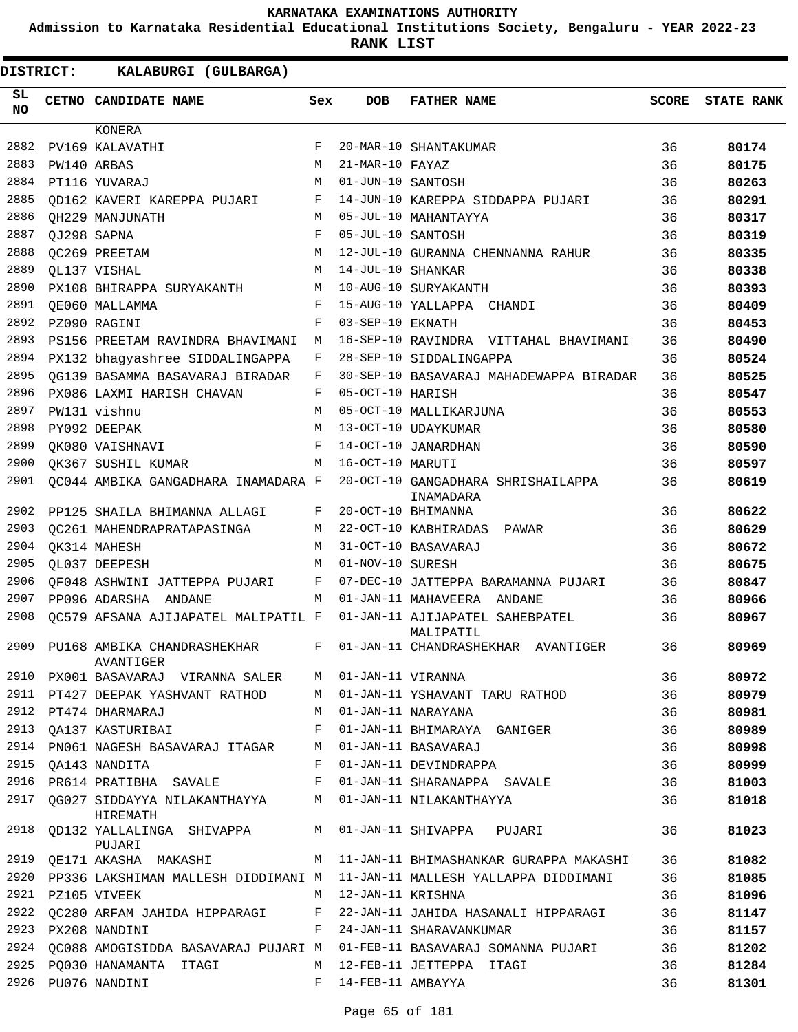**Admission to Karnataka Residential Educational Institutions Society, Bengaluru - YEAR 2022-23**

| DISTRICT:        | KALABURGI (GULBARGA)                                  |         |                     |                                                                                 |              |                   |
|------------------|-------------------------------------------------------|---------|---------------------|---------------------------------------------------------------------------------|--------------|-------------------|
| SL.<br><b>NO</b> | CETNO CANDIDATE NAME                                  | Sex     | <b>DOB</b>          | <b>FATHER NAME</b>                                                              | <b>SCORE</b> | <b>STATE RANK</b> |
|                  | KONERA                                                |         |                     |                                                                                 |              |                   |
| 2882             | PV169 KALAVATHI                                       | F       |                     | 20-MAR-10 SHANTAKUMAR                                                           | 36           | 80174             |
| 2883             | PW140 ARBAS                                           | M       | 21-MAR-10 FAYAZ     |                                                                                 | 36           | 80175             |
| 2884             | PT116 YUVARAJ                                         | M       | 01-JUN-10 SANTOSH   |                                                                                 | 36           | 80263             |
| 2885             | OD162 KAVERI KAREPPA PUJARI                           | F       |                     | 14-JUN-10 KAREPPA SIDDAPPA PUJARI                                               | 36           | 80291             |
| 2886             | OH229 MANJUNATH                                       | M       |                     | 05-JUL-10 MAHANTAYYA                                                            | 36           | 80317             |
| 2887             | QJ298 SAPNA                                           | F       | 05-JUL-10 SANTOSH   |                                                                                 | 36           | 80319             |
| 2888             | OC269 PREETAM                                         | M       |                     | 12-JUL-10 GURANNA CHENNANNA RAHUR                                               | 36           | 80335             |
| 2889             | OL137 VISHAL                                          | M       | 14-JUL-10 SHANKAR   |                                                                                 | 36           | 80338             |
| 2890             | PX108 BHIRAPPA SURYAKANTH                             | М       |                     | 10-AUG-10 SURYAKANTH                                                            | 36           | 80393             |
| 2891             | OE060 MALLAMMA                                        | F       |                     | 15-AUG-10 YALLAPPA CHANDI                                                       | 36           | 80409             |
| 2892             | PZ090 RAGINI                                          | F       | 03-SEP-10 EKNATH    |                                                                                 | 36           | 80453             |
| 2893             | PS156 PREETAM RAVINDRA BHAVIMANI                      | М       |                     | 16-SEP-10 RAVINDRA VITTAHAL BHAVIMANI                                           | 36           | 80490             |
| 2894             | PX132 bhagyashree SIDDALINGAPPA                       | F       |                     | 28-SEP-10 SIDDALINGAPPA                                                         | 36           | 80524             |
| 2895             | OG139 BASAMMA BASAVARAJ BIRADAR                       | F       |                     | 30-SEP-10 BASAVARAJ MAHADEWAPPA BIRADAR                                         | 36           | 80525             |
| 2896             | PX086 LAXMI HARISH CHAVAN                             | F       | 05-OCT-10 HARISH    |                                                                                 | 36           | 80547             |
| 2897             | PW131 vishnu                                          | M       |                     | 05-OCT-10 MALLIKARJUNA                                                          | 36           | 80553             |
| 2898             | PY092 DEEPAK                                          | M       |                     | 13-OCT-10 UDAYKUMAR                                                             | 36           | 80580             |
| 2899             | OK080 VAISHNAVI                                       | F       |                     | 14-OCT-10 JANARDHAN                                                             | 36           | 80590             |
| 2900             | OK367 SUSHIL KUMAR                                    | М       | 16-OCT-10 MARUTI    |                                                                                 | 36           | 80597             |
| 2901             | QC044 AMBIKA GANGADHARA INAMADARA F                   |         |                     | 20-OCT-10 GANGADHARA SHRISHAILAPPA<br>INAMADARA                                 | 36           | 80619             |
| 2902             | PP125 SHAILA BHIMANNA ALLAGI                          | F       |                     | 20-OCT-10 BHIMANNA                                                              | 36           | 80622             |
| 2903             | OC261 MAHENDRAPRATAPASINGA                            | M       |                     | 22-OCT-10 KABHIRADAS PAWAR                                                      | 36           | 80629             |
| 2904             | OK314 MAHESH                                          | M       |                     | 31-OCT-10 BASAVARAJ                                                             | 36           | 80672             |
| 2905             | OL037 DEEPESH                                         | M       | 01-NOV-10 SURESH    |                                                                                 | 36           | 80675             |
| 2906             | OF048 ASHWINI JATTEPPA PUJARI                         | F       |                     | 07-DEC-10 JATTEPPA BARAMANNA PUJARI                                             | 36           | 80847             |
| 2907             | PP096 ADARSHA ANDANE                                  | M       |                     | 01-JAN-11 MAHAVEERA ANDANE                                                      | 36           | 80966             |
| 2908             | QC579 AFSANA AJIJAPATEL MALIPATIL F                   |         |                     | 01-JAN-11 AJIJAPATEL SAHEBPATEL<br>MALIPATIL                                    | 36           | 80967             |
|                  | 2909 PU168 AMBIKA CHANDRASHEKHAR<br>AVANTIGER         | $F$ and |                     | 01-JAN-11 CHANDRASHEKHAR AVANTIGER                                              | 36           | 80969             |
|                  | 2910 PX001 BASAVARAJ VIRANNA SALER M                  |         | 01-JAN-11 VIRANNA   |                                                                                 | 36           | 80972             |
|                  | 2911 PT427 DEEPAK YASHVANT RATHOD M                   |         |                     | 01-JAN-11 YSHAVANT TARU RATHOD                                                  | 36           | 80979             |
|                  | 2912 PT474 DHARMARAJ                                  |         |                     | M 01-JAN-11 NARAYANA                                                            | 36           | 80981             |
|                  | 2913 QA137 KASTURIBAI F                               |         |                     | 01-JAN-11 BHIMARAYA GANIGER                                                     | 36           | 80989             |
| 2914             | PN061 NAGESH BASAVARAJ ITAGAR M                       |         |                     | 01-JAN-11 BASAVARAJ                                                             | 36           | 80998             |
| 2915             | OA143 NANDITA<br>$\mathbf{F}$                         |         |                     | 01-JAN-11 DEVINDRAPPA                                                           | 36           | 80999             |
|                  |                                                       |         |                     | 2916 PR614 PRATIBHA SAVALE F 01-JAN-11 SHARANAPPA SAVALE                        | 36           | 81003             |
|                  | HIREMATH                                              |         |                     | 2917 QG027 SIDDAYYA NILAKANTHAYYA MUMANI-11 NILAKANTHAYYA                       | 36           | 81018             |
|                  | PUJARI                                                |         |                     | 2918 QD132 YALLALINGA SHIVAPPA M 01-JAN-11 SHIVAPPA PUJARI                      | 36           | 81023             |
|                  |                                                       |         |                     | 2919 QE171 AKASHA MAKASHI MARA MARASHI MATI-JAN-11 BHIMASHANKAR GURAPPA MAKASHI | 36           | 81082             |
|                  |                                                       |         |                     | 2920 PP336 LAKSHIMAN MALLESH DIDDIMANI M  11-JAN-11 MALLESH YALLAPPA DIDDIMANI  | 36           | 81085             |
|                  | 2921 PZ105 VIVEEK                                     |         | M 12-JAN-11 KRISHNA |                                                                                 | 36           | 81096             |
|                  |                                                       |         |                     | 2922 QC280 ARFAM JAHIDA HIPPARAGI     F   22-JAN-11 JAHIDA HASANALI HIPPARAGI   | 36           | 81147             |
|                  | 2923 PX208 NANDINI                                    |         |                     | F 24-JAN-11 SHARAVANKUMAR                                                       | 36           | 81157             |
|                  |                                                       |         |                     | 2924 QC088 AMOGISIDDA BASAVARAJ PUJARI M 01-FEB-11 BASAVARAJ SOMANNA PUJARI     | 36           | 81202             |
|                  | 2925 PQ030 HANAMANTA ITAGI M 12-FEB-11 JETTEPPA ITAGI |         |                     |                                                                                 | 36           | 81284             |
|                  | 2926 PU076 NANDINI                                    |         | F 14-FEB-11 AMBAYYA |                                                                                 | 36           | 81301             |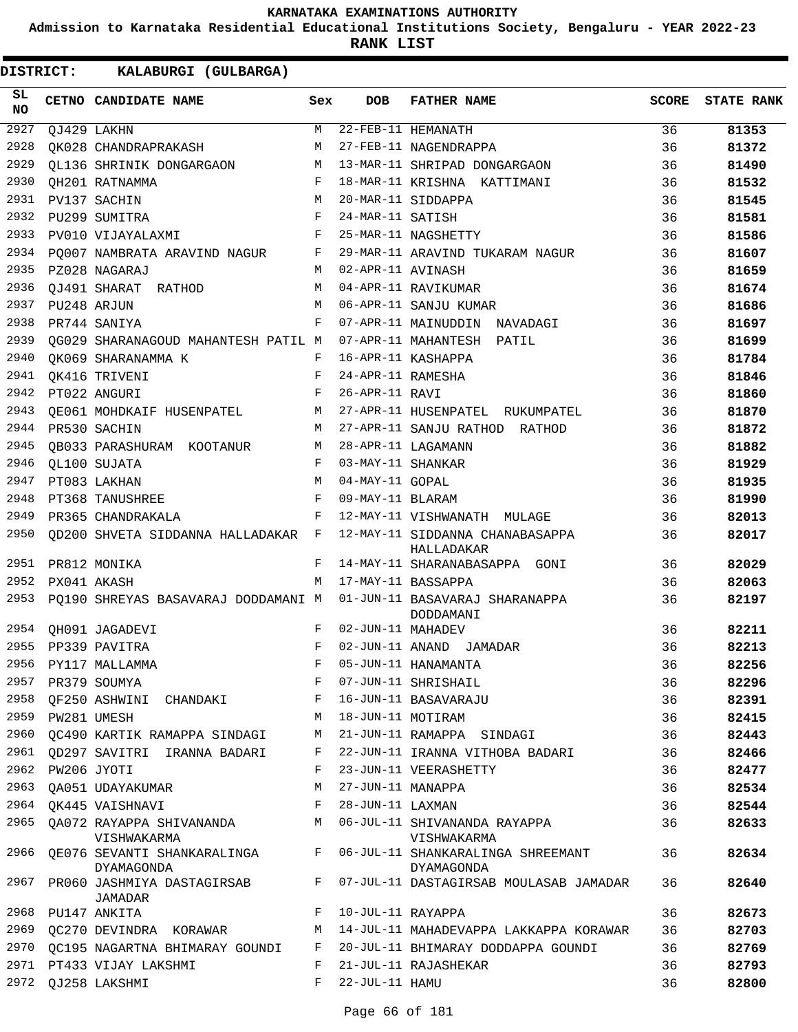**Admission to Karnataka Residential Educational Institutions Society, Bengaluru - YEAR 2022-23**

**RANK LIST**

| SL<br><b>NO</b> |                  | CETNO CANDIDATE NAME                                               | Sex          | DOB                 | <b>FATHER NAME</b>                                                                 | SCORE | <b>STATE RANK</b> |
|-----------------|------------------|--------------------------------------------------------------------|--------------|---------------------|------------------------------------------------------------------------------------|-------|-------------------|
| 2927            |                  | QJ429 LAKHN                                                        | M            |                     | 22-FEB-11 HEMANATH                                                                 | 36    | 81353             |
| 2928            |                  | OK028 CHANDRAPRAKASH                                               | М            |                     | 27-FEB-11 NAGENDRAPPA                                                              | 36    | 81372             |
| 2929            |                  | OL136 SHRINIK DONGARGAON                                           | M            |                     | 13-MAR-11 SHRIPAD DONGARGAON                                                       | 36    | 81490             |
| 2930            |                  | QH201 RATNAMMA                                                     | $\mathbf{F}$ |                     | 18-MAR-11 KRISHNA KATTIMANI                                                        | 36    | 81532             |
| 2931            |                  | PV137 SACHIN                                                       | M            |                     | 20-MAR-11 SIDDAPPA                                                                 | 36    | 81545             |
| 2932            |                  | PU299 SUMITRA                                                      | F            | 24-MAR-11 SATISH    |                                                                                    | 36    | 81581             |
| 2933            |                  | PV010 VIJAYALAXMI                                                  | $\mathbf{F}$ |                     | 25-MAR-11 NAGSHETTY                                                                | 36    | 81586             |
| 2934            |                  | PQ007 NAMBRATA ARAVIND NAGUR F                                     |              |                     | 29-MAR-11 ARAVIND TUKARAM NAGUR                                                    | 36    | 81607             |
| 2935            |                  | PZ028 NAGARAJ                                                      | M            | 02-APR-11 AVINASH   |                                                                                    | 36    | 81659             |
| 2936            |                  | OJ491 SHARAT RATHOD                                                | M            |                     | 04-APR-11 RAVIKUMAR                                                                | 36    | 81674             |
| 2937            | PU248 ARJUN      |                                                                    | M            |                     | 06-APR-11 SANJU KUMAR                                                              | 36    | 81686             |
| 2938            |                  | PR744 SANIYA                                                       | F            |                     | 07-APR-11 MAINUDDIN NAVADAGI                                                       | 36    | 81697             |
| 2939            |                  | QG029 SHARANAGOUD MAHANTESH PATIL M                                |              |                     | 07-APR-11 MAHANTESH PATIL                                                          | 36    | 81699             |
| 2940            |                  | OK069 SHARANAMMA K                                                 | F            |                     | 16-APR-11 KASHAPPA                                                                 | 36    | 81784             |
| 2941            |                  | QK416 TRIVENI                                                      | F            | 24-APR-11 RAMESHA   |                                                                                    | 36    | 81846             |
| 2942            |                  | PT022 ANGURI                                                       | F            | 26-APR-11 RAVI      |                                                                                    | 36    | 81860             |
| 2943            |                  | QE061 MOHDKAIF HUSENPATEL M                                        |              |                     | 27-APR-11 HUSENPATEL RUKUMPATEL                                                    | 36    | 81870             |
| 2944            |                  | PR530 SACHIN                                                       | M            |                     | 27-APR-11 SANJU RATHOD RATHOD                                                      | 36    | 81872             |
| 2945            |                  | OB033 PARASHURAM KOOTANUR                                          | M            |                     | 28-APR-11 LAGAMANN                                                                 | 36    | 81882             |
| 2946            |                  | QL100 SUJATA                                                       | F            | 03-MAY-11 SHANKAR   |                                                                                    | 36    | 81929             |
| 2947            |                  | PT083 LAKHAN                                                       | M            | 04-MAY-11 GOPAL     |                                                                                    | 36    | 81935             |
| 2948            |                  | PT368 TANUSHREE                                                    | F            | 09-MAY-11 BLARAM    |                                                                                    | 36    | 81990             |
| 2949            |                  | PR365 CHANDRAKALA                                                  | $\mathbf{F}$ |                     | 12-MAY-11 VISHWANATH MULAGE                                                        | 36    | 82013             |
| 2950            |                  | QD200 SHVETA SIDDANNA HALLADAKAR F                                 |              |                     | 12-MAY-11 SIDDANNA CHANABASAPPA                                                    | 36    | 82017             |
|                 |                  |                                                                    |              |                     | HALLADAKAR                                                                         |       |                   |
| 2951            |                  | PR812 MONIKA                                                       | F            |                     | 14-MAY-11 SHARANABASAPPA GONI                                                      | 36    | 82029             |
| 2952            |                  | PX041 AKASH                                                        | M            |                     | 17-MAY-11 BASSAPPA                                                                 | 36    | 82063             |
| 2953            |                  | PQ190 SHREYAS BASAVARAJ DODDAMANI M 01-JUN-11 BASAVARAJ SHARANAPPA |              |                     | DODDAMANI                                                                          | 36    | 82197             |
| 2954            |                  | QH091 JAGADEVI                                                     | F            | 02-JUN-11 MAHADEV   |                                                                                    | 36    | 82211             |
| 2955            |                  | PP339 PAVITRA                                                      | F            |                     | 02-JUN-11 ANAND JAMADAR                                                            | 36    | 82213             |
| 2956            |                  | PY117 MALLAMMA                                                     | F            |                     | 05-JUN-11 HANAMANTA                                                                | 36    | 82256             |
|                 |                  | 2957 PR379 SOUMYA                                                  |              |                     | F 07-JUN-11 SHRISHAIL                                                              | 36    | 82296             |
|                 |                  | 2958 QF250 ASHWINI CHANDAKI F 16-JUN-11 BASAVARAJU                 |              |                     |                                                                                    | 36    | 82391             |
|                 | 2959 PW281 UMESH |                                                                    |              |                     | M 18-JUN-11 MOTIRAM                                                                | 36    | 82415             |
|                 |                  | 2960 QC490 KARTIK RAMAPPA SINDAGI M                                |              |                     | 21-JUN-11 RAMAPPA SINDAGI                                                          | 36    | 82443             |
|                 |                  | 2961 OD297 SAVITRI IRANNA BADARI F                                 |              |                     | 22-JUN-11 IRANNA VITHOBA BADARI                                                    | 36    | 82466             |
|                 | 2962 PW206 JYOTI |                                                                    | F            |                     | 23-JUN-11 VEERASHETTY                                                              | 36    | 82477             |
|                 |                  | 2963 QA051 UDAYAKUMAR                                              |              | M 27-JUN-11 MANAPPA |                                                                                    | 36    | 82534             |
|                 |                  | 2964 QK445 VAISHNAVI                                               |              | F 28-JUN-11 LAXMAN  |                                                                                    | 36    | 82544             |
|                 |                  | VISHWAKARMA                                                        |              |                     | 2965 QA072 RAYAPPA SHIVANANDA M 06-JUL-11 SHIVANANDA RAYAPPA<br>VISHWAKARMA        | 36    | 82633             |
|                 |                  | DYAMAGONDA                                                         |              |                     | 2966 QE076 SEVANTI SHANKARALINGA F 06-JUL-11 SHANKARALINGA SHREEMANT<br>DYAMAGONDA | 36    | 82634             |
|                 |                  | JAMADAR                                                            |              |                     | 2967 PR060 JASHMIYA DASTAGIRSAB F 07-JUL-11 DASTAGIRSAB MOULASAB JAMADAR           | 36    | 82640             |
|                 |                  | 2968 PU147 ANKITA                                                  | F            | 10-JUL-11 RAYAPPA   |                                                                                    | 36    | 82673             |
|                 |                  |                                                                    |              |                     | 2969 QC270 DEVINDRA KORAWAR M 14-JUL-11 MAHADEVAPPA LAKKAPPA KORAWAR               | 36    | 82703             |
|                 |                  |                                                                    |              |                     | 2970 QC195 NAGARTNA BHIMARAY GOUNDI F 20-JUL-11 BHIMARAY DODDAPPA GOUNDI           | 36    | 82769             |
|                 |                  | 2971 PT433 VIJAY LAKSHMI                                           | F            |                     | 21-JUL-11 RAJASHEKAR                                                               | 36    | 82793             |
|                 |                  | 2972 QJ258 LAKSHMI                                                 | F            | 22-JUL-11 HAMU      |                                                                                    | 36    | 82800             |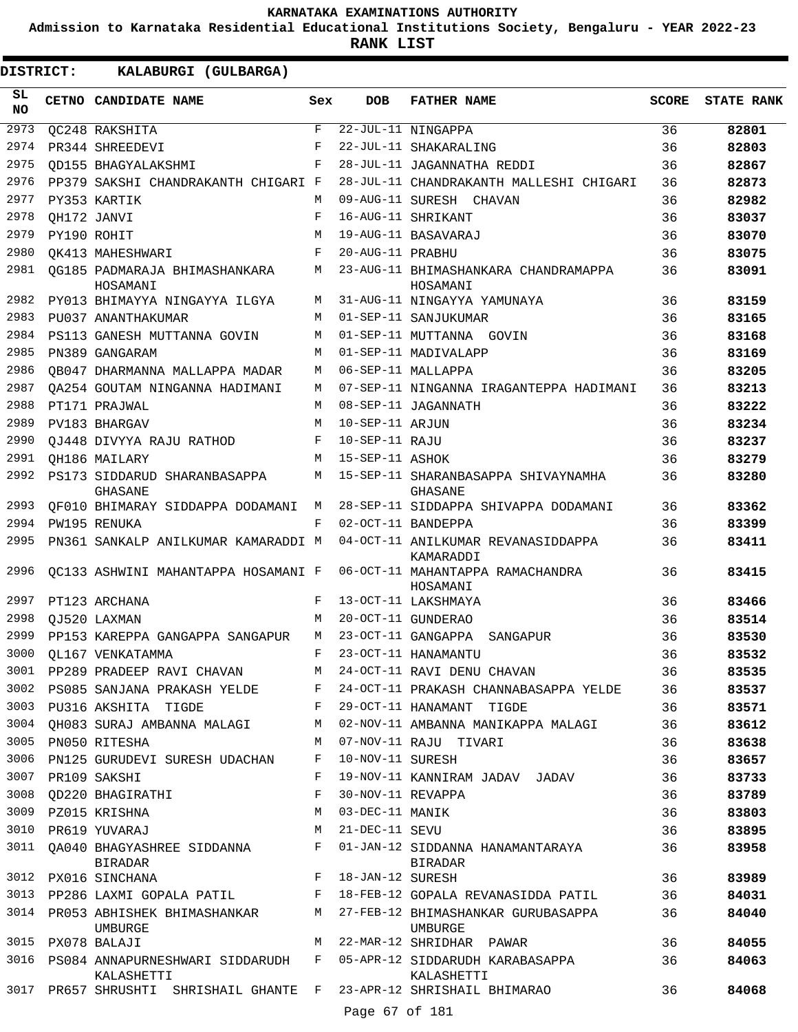**Admission to Karnataka Residential Educational Institutions Society, Bengaluru - YEAR 2022-23**

| SL<br><b>CETNO CANDIDATE NAME</b><br><b>DOB</b><br><b>FATHER NAME</b><br><b>SCORE</b><br>Sex<br><b>NO</b><br>2973<br>$\mathbf{F}$<br>$\overline{22-\overline{JUL}-1}1$ NINGAPPA<br>36<br>QC248 RAKSHITA<br>2974<br>F<br>22-JUL-11 SHAKARALING<br>36<br>PR344 SHREEDEVI<br>2975<br>F<br>28-JUL-11 JAGANNATHA REDDI<br>36<br>OD155 BHAGYALAKSHMI<br>2976<br>28-JUL-11 CHANDRAKANTH MALLESHI CHIGARI<br>PP379 SAKSHI CHANDRAKANTH CHIGARI F<br>36<br>2977<br>PY353 KARTIK<br>09-AUG-11 SURESH CHAVAN<br>36<br>М<br>2978<br>16-AUG-11 SHRIKANT<br>36<br>OH172 JANVI<br>F<br>2979<br>19-AUG-11 BASAVARAJ<br>36<br>PY190 ROHIT<br>M<br>2980<br>20-AUG-11 PRABHU<br>36<br>OK413 MAHESHWARI<br>F<br>2981<br>OG185 PADMARAJA BHIMASHANKARA<br>23-AUG-11 BHIMASHANKARA CHANDRAMAPPA<br>36<br>M<br>HOSAMANI<br>HOSAMANI<br>2982<br>36<br>PY013 BHIMAYYA NINGAYYA ILGYA<br>31-AUG-11 NINGAYYA YAMUNAYA<br>M<br>2983<br>01-SEP-11 SANJUKUMAR<br>PU037 ANANTHAKUMAR<br>36<br>M<br>2984<br>01-SEP-11 MUTTANNA GOVIN<br>36<br>PS113 GANESH MUTTANNA GOVIN<br>M<br>2985<br>01-SEP-11 MADIVALAPP<br>M<br>36<br>PN389 GANGARAM<br>2986<br>06-SEP-11 MALLAPPA<br>36<br>OB047 DHARMANNA MALLAPPA MADAR<br>M<br>2987<br>OA254 GOUTAM NINGANNA HADIMANI<br>М<br>07-SEP-11 NINGANNA IRAGANTEPPA HADIMANI<br>36<br>2988<br>08-SEP-11 JAGANNATH<br>36<br>PT171 PRAJWAL<br>М<br>2989<br>10-SEP-11 ARJUN<br>M<br>36<br>PV183 BHARGAV<br>2990<br>10-SEP-11 RAJU<br>36<br>OJ448 DIVYYA RAJU RATHOD<br>F<br>2991<br>15-SEP-11 ASHOK<br>OH186 MAILARY<br>M<br>36<br>2992<br>PS173 SIDDARUD SHARANBASAPPA<br>15-SEP-11 SHARANBASAPPA SHIVAYNAMHA<br>36<br>М<br>GHASANE<br>GHASANE<br>2993<br>OF010 BHIMARAY SIDDAPPA DODAMANI<br>28-SEP-11 SIDDAPPA SHIVAPPA DODAMANI<br>36<br>М<br>36<br>2994<br>PW195 RENUKA<br>F<br>02-OCT-11 BANDEPPA<br>2995<br>04-OCT-11 ANILKUMAR REVANASIDDAPPA<br>36<br>PN361 SANKALP ANILKUMAR KAMARADDI M<br>KAMARADDI<br>2996<br>06-OCT-11 MAHANTAPPA RAMACHANDRA<br>36<br>OC133 ASHWINI MAHANTAPPA HOSAMANI F<br>HOSAMANI<br>2997<br>13-OCT-11 LAKSHMAYA<br>F<br>36<br>PT123 ARCHANA |                   |
|----------------------------------------------------------------------------------------------------------------------------------------------------------------------------------------------------------------------------------------------------------------------------------------------------------------------------------------------------------------------------------------------------------------------------------------------------------------------------------------------------------------------------------------------------------------------------------------------------------------------------------------------------------------------------------------------------------------------------------------------------------------------------------------------------------------------------------------------------------------------------------------------------------------------------------------------------------------------------------------------------------------------------------------------------------------------------------------------------------------------------------------------------------------------------------------------------------------------------------------------------------------------------------------------------------------------------------------------------------------------------------------------------------------------------------------------------------------------------------------------------------------------------------------------------------------------------------------------------------------------------------------------------------------------------------------------------------------------------------------------------------------------------------------------------------------------------------------------------------------------------------------------------------------------------------------------------------------------------------------------------------------------------------------------------------------------------------|-------------------|
|                                                                                                                                                                                                                                                                                                                                                                                                                                                                                                                                                                                                                                                                                                                                                                                                                                                                                                                                                                                                                                                                                                                                                                                                                                                                                                                                                                                                                                                                                                                                                                                                                                                                                                                                                                                                                                                                                                                                                                                                                                                                                  | <b>STATE RANK</b> |
|                                                                                                                                                                                                                                                                                                                                                                                                                                                                                                                                                                                                                                                                                                                                                                                                                                                                                                                                                                                                                                                                                                                                                                                                                                                                                                                                                                                                                                                                                                                                                                                                                                                                                                                                                                                                                                                                                                                                                                                                                                                                                  | 82801             |
|                                                                                                                                                                                                                                                                                                                                                                                                                                                                                                                                                                                                                                                                                                                                                                                                                                                                                                                                                                                                                                                                                                                                                                                                                                                                                                                                                                                                                                                                                                                                                                                                                                                                                                                                                                                                                                                                                                                                                                                                                                                                                  | 82803             |
|                                                                                                                                                                                                                                                                                                                                                                                                                                                                                                                                                                                                                                                                                                                                                                                                                                                                                                                                                                                                                                                                                                                                                                                                                                                                                                                                                                                                                                                                                                                                                                                                                                                                                                                                                                                                                                                                                                                                                                                                                                                                                  | 82867             |
|                                                                                                                                                                                                                                                                                                                                                                                                                                                                                                                                                                                                                                                                                                                                                                                                                                                                                                                                                                                                                                                                                                                                                                                                                                                                                                                                                                                                                                                                                                                                                                                                                                                                                                                                                                                                                                                                                                                                                                                                                                                                                  | 82873             |
|                                                                                                                                                                                                                                                                                                                                                                                                                                                                                                                                                                                                                                                                                                                                                                                                                                                                                                                                                                                                                                                                                                                                                                                                                                                                                                                                                                                                                                                                                                                                                                                                                                                                                                                                                                                                                                                                                                                                                                                                                                                                                  | 82982             |
|                                                                                                                                                                                                                                                                                                                                                                                                                                                                                                                                                                                                                                                                                                                                                                                                                                                                                                                                                                                                                                                                                                                                                                                                                                                                                                                                                                                                                                                                                                                                                                                                                                                                                                                                                                                                                                                                                                                                                                                                                                                                                  | 83037             |
|                                                                                                                                                                                                                                                                                                                                                                                                                                                                                                                                                                                                                                                                                                                                                                                                                                                                                                                                                                                                                                                                                                                                                                                                                                                                                                                                                                                                                                                                                                                                                                                                                                                                                                                                                                                                                                                                                                                                                                                                                                                                                  | 83070             |
|                                                                                                                                                                                                                                                                                                                                                                                                                                                                                                                                                                                                                                                                                                                                                                                                                                                                                                                                                                                                                                                                                                                                                                                                                                                                                                                                                                                                                                                                                                                                                                                                                                                                                                                                                                                                                                                                                                                                                                                                                                                                                  | 83075             |
|                                                                                                                                                                                                                                                                                                                                                                                                                                                                                                                                                                                                                                                                                                                                                                                                                                                                                                                                                                                                                                                                                                                                                                                                                                                                                                                                                                                                                                                                                                                                                                                                                                                                                                                                                                                                                                                                                                                                                                                                                                                                                  | 83091             |
|                                                                                                                                                                                                                                                                                                                                                                                                                                                                                                                                                                                                                                                                                                                                                                                                                                                                                                                                                                                                                                                                                                                                                                                                                                                                                                                                                                                                                                                                                                                                                                                                                                                                                                                                                                                                                                                                                                                                                                                                                                                                                  | 83159             |
|                                                                                                                                                                                                                                                                                                                                                                                                                                                                                                                                                                                                                                                                                                                                                                                                                                                                                                                                                                                                                                                                                                                                                                                                                                                                                                                                                                                                                                                                                                                                                                                                                                                                                                                                                                                                                                                                                                                                                                                                                                                                                  | 83165             |
|                                                                                                                                                                                                                                                                                                                                                                                                                                                                                                                                                                                                                                                                                                                                                                                                                                                                                                                                                                                                                                                                                                                                                                                                                                                                                                                                                                                                                                                                                                                                                                                                                                                                                                                                                                                                                                                                                                                                                                                                                                                                                  | 83168             |
|                                                                                                                                                                                                                                                                                                                                                                                                                                                                                                                                                                                                                                                                                                                                                                                                                                                                                                                                                                                                                                                                                                                                                                                                                                                                                                                                                                                                                                                                                                                                                                                                                                                                                                                                                                                                                                                                                                                                                                                                                                                                                  | 83169             |
|                                                                                                                                                                                                                                                                                                                                                                                                                                                                                                                                                                                                                                                                                                                                                                                                                                                                                                                                                                                                                                                                                                                                                                                                                                                                                                                                                                                                                                                                                                                                                                                                                                                                                                                                                                                                                                                                                                                                                                                                                                                                                  | 83205             |
|                                                                                                                                                                                                                                                                                                                                                                                                                                                                                                                                                                                                                                                                                                                                                                                                                                                                                                                                                                                                                                                                                                                                                                                                                                                                                                                                                                                                                                                                                                                                                                                                                                                                                                                                                                                                                                                                                                                                                                                                                                                                                  | 83213             |
|                                                                                                                                                                                                                                                                                                                                                                                                                                                                                                                                                                                                                                                                                                                                                                                                                                                                                                                                                                                                                                                                                                                                                                                                                                                                                                                                                                                                                                                                                                                                                                                                                                                                                                                                                                                                                                                                                                                                                                                                                                                                                  | 83222             |
|                                                                                                                                                                                                                                                                                                                                                                                                                                                                                                                                                                                                                                                                                                                                                                                                                                                                                                                                                                                                                                                                                                                                                                                                                                                                                                                                                                                                                                                                                                                                                                                                                                                                                                                                                                                                                                                                                                                                                                                                                                                                                  | 83234             |
|                                                                                                                                                                                                                                                                                                                                                                                                                                                                                                                                                                                                                                                                                                                                                                                                                                                                                                                                                                                                                                                                                                                                                                                                                                                                                                                                                                                                                                                                                                                                                                                                                                                                                                                                                                                                                                                                                                                                                                                                                                                                                  | 83237             |
|                                                                                                                                                                                                                                                                                                                                                                                                                                                                                                                                                                                                                                                                                                                                                                                                                                                                                                                                                                                                                                                                                                                                                                                                                                                                                                                                                                                                                                                                                                                                                                                                                                                                                                                                                                                                                                                                                                                                                                                                                                                                                  | 83279             |
|                                                                                                                                                                                                                                                                                                                                                                                                                                                                                                                                                                                                                                                                                                                                                                                                                                                                                                                                                                                                                                                                                                                                                                                                                                                                                                                                                                                                                                                                                                                                                                                                                                                                                                                                                                                                                                                                                                                                                                                                                                                                                  | 83280             |
|                                                                                                                                                                                                                                                                                                                                                                                                                                                                                                                                                                                                                                                                                                                                                                                                                                                                                                                                                                                                                                                                                                                                                                                                                                                                                                                                                                                                                                                                                                                                                                                                                                                                                                                                                                                                                                                                                                                                                                                                                                                                                  | 83362             |
|                                                                                                                                                                                                                                                                                                                                                                                                                                                                                                                                                                                                                                                                                                                                                                                                                                                                                                                                                                                                                                                                                                                                                                                                                                                                                                                                                                                                                                                                                                                                                                                                                                                                                                                                                                                                                                                                                                                                                                                                                                                                                  | 83399             |
|                                                                                                                                                                                                                                                                                                                                                                                                                                                                                                                                                                                                                                                                                                                                                                                                                                                                                                                                                                                                                                                                                                                                                                                                                                                                                                                                                                                                                                                                                                                                                                                                                                                                                                                                                                                                                                                                                                                                                                                                                                                                                  | 83411             |
|                                                                                                                                                                                                                                                                                                                                                                                                                                                                                                                                                                                                                                                                                                                                                                                                                                                                                                                                                                                                                                                                                                                                                                                                                                                                                                                                                                                                                                                                                                                                                                                                                                                                                                                                                                                                                                                                                                                                                                                                                                                                                  | 83415             |
|                                                                                                                                                                                                                                                                                                                                                                                                                                                                                                                                                                                                                                                                                                                                                                                                                                                                                                                                                                                                                                                                                                                                                                                                                                                                                                                                                                                                                                                                                                                                                                                                                                                                                                                                                                                                                                                                                                                                                                                                                                                                                  | 83466             |
| 2998<br>20-OCT-11 GUNDERAO<br>M<br>36<br>OJ520 LAXMAN                                                                                                                                                                                                                                                                                                                                                                                                                                                                                                                                                                                                                                                                                                                                                                                                                                                                                                                                                                                                                                                                                                                                                                                                                                                                                                                                                                                                                                                                                                                                                                                                                                                                                                                                                                                                                                                                                                                                                                                                                            | 83514             |
| 2999<br>23-OCT-11 GANGAPPA SANGAPUR<br>36<br>PP153 KAREPPA GANGAPPA SANGAPUR<br>M                                                                                                                                                                                                                                                                                                                                                                                                                                                                                                                                                                                                                                                                                                                                                                                                                                                                                                                                                                                                                                                                                                                                                                                                                                                                                                                                                                                                                                                                                                                                                                                                                                                                                                                                                                                                                                                                                                                                                                                                | 83530             |
| 3000<br>23-OCT-11 HANAMANTU<br>OL167 VENKATAMMA<br>F<br>36                                                                                                                                                                                                                                                                                                                                                                                                                                                                                                                                                                                                                                                                                                                                                                                                                                                                                                                                                                                                                                                                                                                                                                                                                                                                                                                                                                                                                                                                                                                                                                                                                                                                                                                                                                                                                                                                                                                                                                                                                       | 83532             |
| 3001 PP289 PRADEEP RAVI CHAVAN M<br>36<br>24-OCT-11 RAVI DENU CHAVAN                                                                                                                                                                                                                                                                                                                                                                                                                                                                                                                                                                                                                                                                                                                                                                                                                                                                                                                                                                                                                                                                                                                                                                                                                                                                                                                                                                                                                                                                                                                                                                                                                                                                                                                                                                                                                                                                                                                                                                                                             | 83535             |
| 3002 PS085 SANJANA PRAKASH YELDE<br>F<br>24-OCT-11 PRAKASH CHANNABASAPPA YELDE<br>36                                                                                                                                                                                                                                                                                                                                                                                                                                                                                                                                                                                                                                                                                                                                                                                                                                                                                                                                                                                                                                                                                                                                                                                                                                                                                                                                                                                                                                                                                                                                                                                                                                                                                                                                                                                                                                                                                                                                                                                             | 83537             |
| 3003<br>PU316 AKSHITA TIGDE<br>F<br>29-OCT-11 HANAMANT TIGDE<br>36                                                                                                                                                                                                                                                                                                                                                                                                                                                                                                                                                                                                                                                                                                                                                                                                                                                                                                                                                                                                                                                                                                                                                                                                                                                                                                                                                                                                                                                                                                                                                                                                                                                                                                                                                                                                                                                                                                                                                                                                               | 83571             |
| 3004<br>OH083 SURAJ AMBANNA MALAGI<br>02-NOV-11 AMBANNA MANIKAPPA MALAGI<br>M<br>36                                                                                                                                                                                                                                                                                                                                                                                                                                                                                                                                                                                                                                                                                                                                                                                                                                                                                                                                                                                                                                                                                                                                                                                                                                                                                                                                                                                                                                                                                                                                                                                                                                                                                                                                                                                                                                                                                                                                                                                              | 83612             |
| 3005 PN050 RITESHA<br>07-NOV-11 RAJU TIVARI<br>36<br>M                                                                                                                                                                                                                                                                                                                                                                                                                                                                                                                                                                                                                                                                                                                                                                                                                                                                                                                                                                                                                                                                                                                                                                                                                                                                                                                                                                                                                                                                                                                                                                                                                                                                                                                                                                                                                                                                                                                                                                                                                           | 83638             |
| 3006<br>F<br>10-NOV-11 SURESH<br>36<br>PN125 GURUDEVI SURESH UDACHAN                                                                                                                                                                                                                                                                                                                                                                                                                                                                                                                                                                                                                                                                                                                                                                                                                                                                                                                                                                                                                                                                                                                                                                                                                                                                                                                                                                                                                                                                                                                                                                                                                                                                                                                                                                                                                                                                                                                                                                                                             | 83657             |
| 3007<br>19-NOV-11 KANNIRAM JADAV JADAV<br>36<br>PR109 SAKSHI<br>F                                                                                                                                                                                                                                                                                                                                                                                                                                                                                                                                                                                                                                                                                                                                                                                                                                                                                                                                                                                                                                                                                                                                                                                                                                                                                                                                                                                                                                                                                                                                                                                                                                                                                                                                                                                                                                                                                                                                                                                                                | 83733             |
| 3008<br>30-NOV-11 REVAPPA<br>OD220 BHAGIRATHI<br>F<br>36                                                                                                                                                                                                                                                                                                                                                                                                                                                                                                                                                                                                                                                                                                                                                                                                                                                                                                                                                                                                                                                                                                                                                                                                                                                                                                                                                                                                                                                                                                                                                                                                                                                                                                                                                                                                                                                                                                                                                                                                                         | 83789             |
| 3009 PZ015 KRISHNA<br>03-DEC-11 MANIK<br>36<br>M                                                                                                                                                                                                                                                                                                                                                                                                                                                                                                                                                                                                                                                                                                                                                                                                                                                                                                                                                                                                                                                                                                                                                                                                                                                                                                                                                                                                                                                                                                                                                                                                                                                                                                                                                                                                                                                                                                                                                                                                                                 | 83803             |
| 3010<br>21-DEC-11 SEVU<br>PR619 YUVARAJ<br>M<br>36                                                                                                                                                                                                                                                                                                                                                                                                                                                                                                                                                                                                                                                                                                                                                                                                                                                                                                                                                                                                                                                                                                                                                                                                                                                                                                                                                                                                                                                                                                                                                                                                                                                                                                                                                                                                                                                                                                                                                                                                                               | 83895             |
| 3011 QA040 BHAGYASHREE SIDDANNA<br>F<br>01-JAN-12 SIDDANNA HANAMANTARAYA<br>36<br><b>BIRADAR</b><br>BIRADAR                                                                                                                                                                                                                                                                                                                                                                                                                                                                                                                                                                                                                                                                                                                                                                                                                                                                                                                                                                                                                                                                                                                                                                                                                                                                                                                                                                                                                                                                                                                                                                                                                                                                                                                                                                                                                                                                                                                                                                      | 83958             |
| 36<br>3012 PX016 SINCHANA<br>F<br>18-JAN-12 SURESH                                                                                                                                                                                                                                                                                                                                                                                                                                                                                                                                                                                                                                                                                                                                                                                                                                                                                                                                                                                                                                                                                                                                                                                                                                                                                                                                                                                                                                                                                                                                                                                                                                                                                                                                                                                                                                                                                                                                                                                                                               | 83989             |
| 3013 PP286 LAXMI GOPALA PATIL<br>36<br>F<br>18-FEB-12 GOPALA REVANASIDDA PATIL                                                                                                                                                                                                                                                                                                                                                                                                                                                                                                                                                                                                                                                                                                                                                                                                                                                                                                                                                                                                                                                                                                                                                                                                                                                                                                                                                                                                                                                                                                                                                                                                                                                                                                                                                                                                                                                                                                                                                                                                   | 84031             |
| 3014 PR053 ABHISHEK BHIMASHANKAR<br>27-FEB-12 BHIMASHANKAR GURUBASAPPA<br>M<br>36<br>UMBURGE<br>UMBURGE                                                                                                                                                                                                                                                                                                                                                                                                                                                                                                                                                                                                                                                                                                                                                                                                                                                                                                                                                                                                                                                                                                                                                                                                                                                                                                                                                                                                                                                                                                                                                                                                                                                                                                                                                                                                                                                                                                                                                                          | 84040             |
| 3015 PX078 BALAJI<br>M<br>22-MAR-12 SHRIDHAR PAWAR<br>36                                                                                                                                                                                                                                                                                                                                                                                                                                                                                                                                                                                                                                                                                                                                                                                                                                                                                                                                                                                                                                                                                                                                                                                                                                                                                                                                                                                                                                                                                                                                                                                                                                                                                                                                                                                                                                                                                                                                                                                                                         | 84055             |
| 3016 PS084 ANNAPURNESHWARI SIDDARUDH<br>05-APR-12 SIDDARUDH KARABASAPPA<br>F<br>36<br>KALASHETTI<br>KALASHETTI                                                                                                                                                                                                                                                                                                                                                                                                                                                                                                                                                                                                                                                                                                                                                                                                                                                                                                                                                                                                                                                                                                                                                                                                                                                                                                                                                                                                                                                                                                                                                                                                                                                                                                                                                                                                                                                                                                                                                                   | 84063             |
| 3017 PR657 SHRUSHTI SHRISHAIL GHANTE F<br>23-APR-12 SHRISHAIL BHIMARAO<br>36<br>Page 67 of 181                                                                                                                                                                                                                                                                                                                                                                                                                                                                                                                                                                                                                                                                                                                                                                                                                                                                                                                                                                                                                                                                                                                                                                                                                                                                                                                                                                                                                                                                                                                                                                                                                                                                                                                                                                                                                                                                                                                                                                                   | 84068             |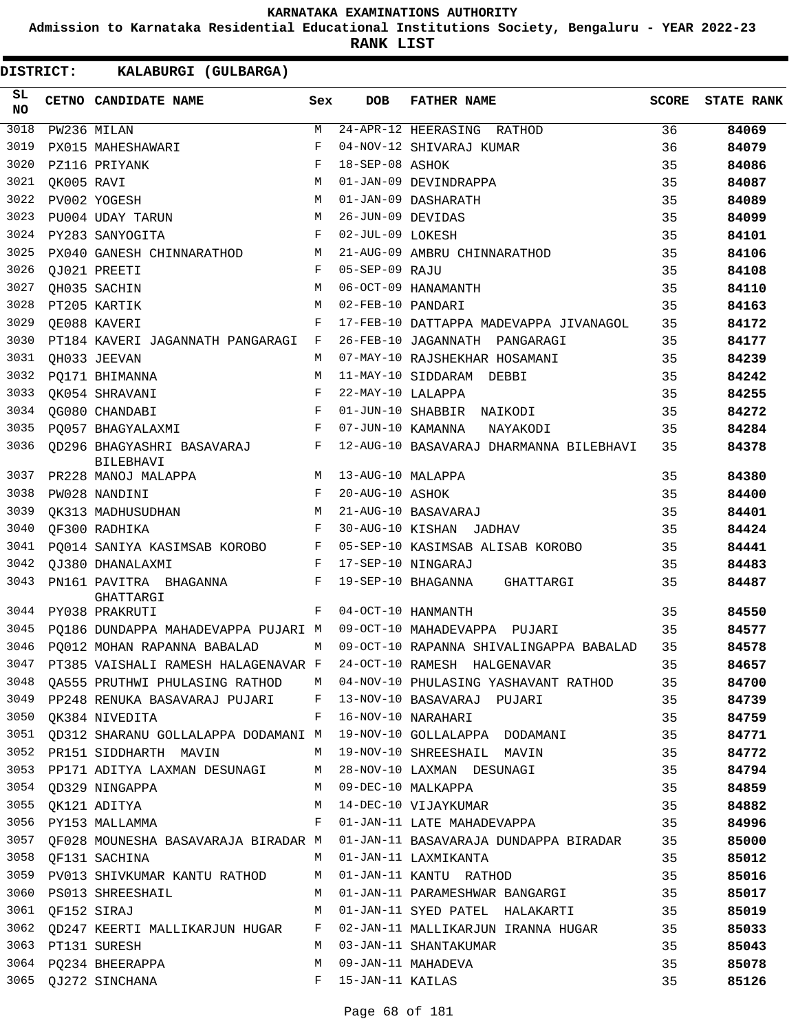**Admission to Karnataka Residential Educational Institutions Society, Bengaluru - YEAR 2022-23**

| DISTRICT: |                  | KALABURGI (GULBARGA)                                             |            |                   |                                                                                   |              |                   |
|-----------|------------------|------------------------------------------------------------------|------------|-------------------|-----------------------------------------------------------------------------------|--------------|-------------------|
| SL.<br>NO |                  | CETNO CANDIDATE NAME                                             | Sex        | <b>DOB</b>        | <b>FATHER NAME</b>                                                                | <b>SCORE</b> | <b>STATE RANK</b> |
| 3018      |                  | PW236 MILAN                                                      | М          |                   | 24-APR-12 HEERASING RATHOD                                                        | 36           | 84069             |
| 3019      |                  | PX015 MAHESHAWARI                                                | F          |                   | 04-NOV-12 SHIVARAJ KUMAR                                                          | 36           | 84079             |
| 3020      |                  | PZ116 PRIYANK                                                    | F          | 18-SEP-08 ASHOK   |                                                                                   | 35           | 84086             |
| 3021      | OK005 RAVI       |                                                                  | M          |                   | 01-JAN-09 DEVINDRAPPA                                                             | 35           | 84087             |
| 3022      |                  | PV002 YOGESH                                                     | M          |                   | 01-JAN-09 DASHARATH                                                               | 35           | 84089             |
| 3023      |                  | PU004 UDAY TARUN                                                 | M          | 26-JUN-09 DEVIDAS |                                                                                   | 35           | 84099             |
| 3024      |                  | PY283 SANYOGITA                                                  | F          | 02-JUL-09 LOKESH  |                                                                                   | 35           | 84101             |
| 3025      |                  | PX040 GANESH CHINNARATHOD                                        | М          |                   | 21-AUG-09 AMBRU CHINNARATHOD                                                      | 35           | 84106             |
| 3026      |                  | OJ021 PREETI                                                     | F          | 05-SEP-09 RAJU    |                                                                                   | 35           | 84108             |
| 3027      |                  | QH035 SACHIN                                                     | M          |                   | 06-OCT-09 HANAMANTH                                                               | 35           | 84110             |
| 3028      |                  | PT205 KARTIK                                                     | M          | 02-FEB-10 PANDARI |                                                                                   | 35           | 84163             |
| 3029      |                  | OE088 KAVERI                                                     | F          |                   | 17-FEB-10 DATTAPPA MADEVAPPA JIVANAGOL                                            | 35           | 84172             |
| 3030      |                  | PT184 KAVERI JAGANNATH PANGARAGI                                 | F          |                   | 26-FEB-10 JAGANNATH PANGARAGI                                                     | 35           | 84177             |
| 3031      |                  | OH033 JEEVAN                                                     | М          |                   | 07-MAY-10 RAJSHEKHAR HOSAMANI                                                     | 35           | 84239             |
| 3032      |                  | PO171 BHIMANNA                                                   | M          |                   | 11-MAY-10 SIDDARAM DEBBI                                                          | 35           | 84242             |
| 3033      |                  | OK054 SHRAVANI                                                   | $_{\rm F}$ | 22-MAY-10 LALAPPA |                                                                                   | 35           | 84255             |
| 3034      |                  | OG080 CHANDABI                                                   | $_{\rm F}$ |                   | 01-JUN-10 SHABBIR NAIKODI                                                         | 35           | 84272             |
| 3035      |                  | PO057 BHAGYALAXMI                                                | F          | 07-JUN-10 KAMANNA | NAYAKODI                                                                          | 35           | 84284             |
| 3036      |                  | OD296 BHAGYASHRI BASAVARAJ<br><b>BILEBHAVI</b>                   | F          |                   | 12-AUG-10 BASAVARAJ DHARMANNA BILEBHAVI                                           | 35           | 84378             |
| 3037      |                  | PR228 MANOJ MALAPPA                                              | M          | 13-AUG-10 MALAPPA |                                                                                   | 35           | 84380             |
| 3038      |                  | PW028 NANDINI                                                    | F          | 20-AUG-10 ASHOK   |                                                                                   | 35           | 84400             |
| 3039      |                  | OK313 MADHUSUDHAN                                                | M          |                   | 21-AUG-10 BASAVARAJ                                                               | 35           | 84401             |
| 3040      |                  | OF300 RADHIKA                                                    | F          |                   | 30-AUG-10 KISHAN JADHAV                                                           | 35           | 84424             |
| 3041      |                  | PO014 SANIYA KASIMSAB KOROBO                                     | F          |                   | 05-SEP-10 KASIMSAB ALISAB KOROBO                                                  | 35           | 84441             |
| 3042      |                  | OJ380 DHANALAXMI                                                 | F          |                   | 17-SEP-10 NINGARAJ                                                                | 35           | 84483             |
| 3043      |                  | PN161 PAVITRA BHAGANNA                                           | F          |                   | 19-SEP-10 BHAGANNA<br>GHATTARGI                                                   | 35           | 84487             |
| 3044      |                  | GHATTARGI<br>PY038 PRAKRUTI                                      | F          |                   | 04-OCT-10 HANMANTH                                                                | 35           | 84550             |
| 3045      |                  | PO186 DUNDAPPA MAHADEVAPPA PUJARI M 09-OCT-10 MAHADEVAPPA PUJARI |            |                   |                                                                                   | 35           | 84577             |
| 3046      |                  | PO012 MOHAN RAPANNA BABALAD M                                    |            |                   | 09-OCT-10 RAPANNA SHIVALINGAPPA BABALAD                                           | 35           | 84578             |
|           |                  |                                                                  |            |                   | 3047 PT385 VAISHALI RAMESH HALAGENAVAR F 24-OCT-10 RAMESH HALGENAVAR              | 35           | 84657             |
|           |                  |                                                                  |            |                   | 3048 QA555 PRUTHWI PHULASING RATHOD M 04-NOV-10 PHULASING YASHAVANT RATHOD 35     |              | 84700             |
|           |                  |                                                                  |            |                   | 3049 PP248 RENUKA BASAVARAJ PUJARI F 13-NOV-10 BASAVARAJ PUJARI 35                |              | 84739             |
|           |                  |                                                                  |            |                   | 35                                                                                |              | 84759             |
|           |                  |                                                                  |            |                   | 3051 QD312 SHARANU GOLLALAPPA DODAMANI M 19-NOV-10 GOLLALAPPA DODAMANI 35         |              | 84771             |
|           |                  |                                                                  |            |                   | 3052 PR151 SIDDHARTH MAVIN M 19-NOV-10 SHREESHAIL MAVIN                           |              | 84772             |
|           |                  |                                                                  |            |                   | 3053 PP171 ADITYA LAXMAN DESUNAGI M 28-NOV-10 LAXMAN DESUNAGI 35                  |              | 84794             |
|           |                  | 3054 QD329 NINGAPPA M M 09-DEC-10 MALKAPPA                       |            |                   | 35                                                                                |              | 84859             |
|           |                  |                                                                  |            |                   | 35                                                                                |              | 84882             |
|           |                  |                                                                  |            |                   |                                                                                   | 35           | 84996             |
|           |                  |                                                                  |            |                   | 3057 QF028 MOUNESHA BASAVARAJA BIRADAR M 01-JAN-11 BASAVARAJA DUNDAPPA BIRADAR 35 |              | 85000             |
|           |                  | 3058 QF131 SACHINA NON MO1-JAN-11 LAXMIKANTA                     |            |                   |                                                                                   | 35           | 85012             |
|           |                  | 3059 PV013 SHIVKUMAR KANTU RATHOD M 01-JAN-11 KANTU RATHOD       |            |                   | 35                                                                                |              | 85016             |
|           |                  |                                                                  |            |                   | 35 3060 PS013 SHREESHAIL M 01-JAN-11 PARAMESHWAR BANGARGI                         |              | 85017             |
|           | 3061 QF152 SIRAJ |                                                                  |            |                   | M 01-JAN-11 SYED PATEL HALAKARTI 35                                               |              | 85019             |
|           |                  |                                                                  |            |                   | 3062 QD247 KEERTI MALLIKARJUN HUGAR F 02-JAN-11 MALLIKARJUN IRANNA HUGAR 35       |              | 85033             |
|           |                  | 3063 PT131 SURESH                                                |            |                   | M 03-JAN-11 SHANTAKUMAR                                                           | 35           | 85043             |
|           |                  | 3064 PQ234 BHEERAPPA                                             |            |                   | M 09-JAN-11 MAHADEVA                                                              | 35           | 85078             |
|           |                  | 3065 QJ272 SINCHANA F 15-JAN-11 KAILAS                           |            |                   |                                                                                   | 35           | 85126             |
|           |                  |                                                                  |            |                   |                                                                                   |              |                   |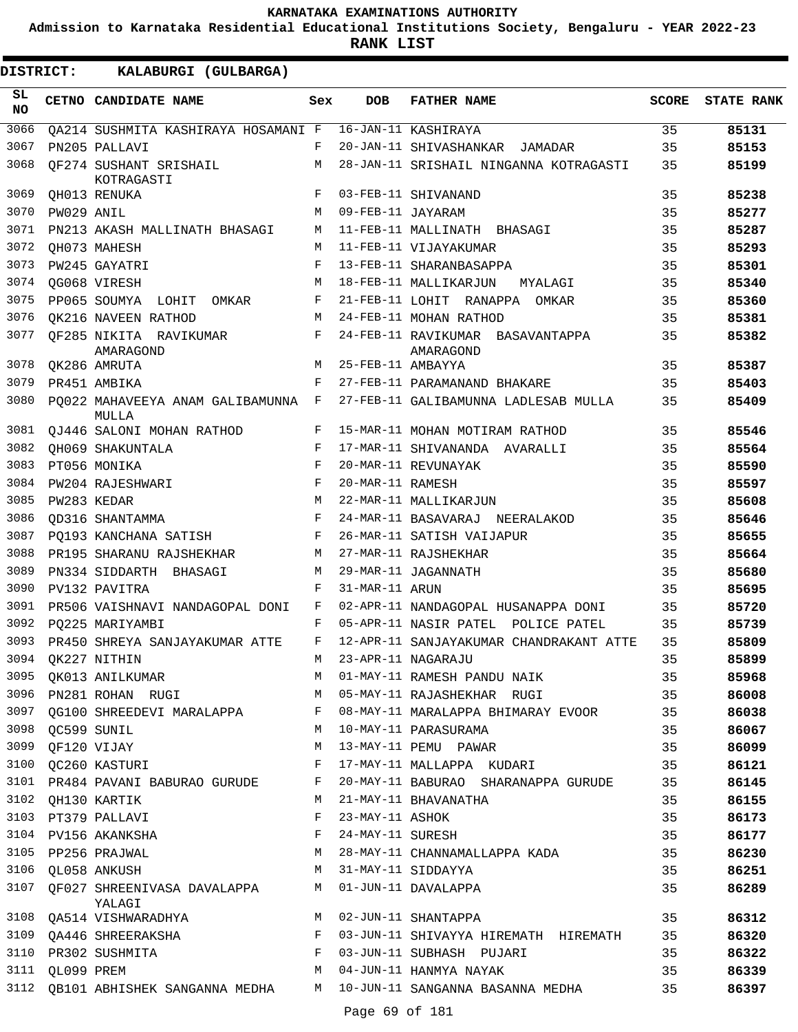**Admission to Karnataka Residential Educational Institutions Society, Bengaluru - YEAR 2022-23**

| <b>DISTRICT:</b> |                 | KALABURGI (GULBARGA)                        |     |                   |                                                                       |              |                   |
|------------------|-----------------|---------------------------------------------|-----|-------------------|-----------------------------------------------------------------------|--------------|-------------------|
| SL.<br><b>NO</b> |                 | CETNO CANDIDATE NAME                        | Sex | <b>DOB</b>        | <b>FATHER NAME</b>                                                    | <b>SCORE</b> | <b>STATE RANK</b> |
| 3066             |                 | OA214 SUSHMITA KASHIRAYA HOSAMANI F         |     |                   | 16-JAN-11 KASHIRAYA                                                   | 35           | 85131             |
| 3067             |                 | PN205 PALLAVI                               | F   |                   | 20-JAN-11 SHIVASHANKAR<br>JAMADAR                                     | 35           | 85153             |
| 3068             |                 | QF274 SUSHANT SRISHAIL<br>KOTRAGASTI        | M   |                   | 28-JAN-11 SRISHAIL NINGANNA KOTRAGASTI                                | 35           | 85199             |
| 3069             |                 | QH013 RENUKA                                | F   |                   | 03-FEB-11 SHIVANAND                                                   | 35           | 85238             |
| 3070             | PW029 ANIL      |                                             | М   | 09-FEB-11 JAYARAM |                                                                       | 35           | 85277             |
| 3071             |                 | PN213 AKASH MALLINATH BHASAGI               | M   |                   | 11-FEB-11 MALLINATH BHASAGI                                           | 35           | 85287             |
| 3072             |                 | OH073 MAHESH                                | M   |                   | 11-FEB-11 VIJAYAKUMAR                                                 | 35           | 85293             |
| 3073             |                 | PW245 GAYATRI                               | F   |                   | 13-FEB-11 SHARANBASAPPA                                               | 35           | 85301             |
| 3074             |                 | QG068 VIRESH                                | М   |                   | 18-FEB-11 MALLIKARJUN<br>MYALAGI                                      | 35           | 85340             |
| 3075             |                 | PP065 SOUMYA LOHIT<br>OMKAR                 | F   |                   | 21-FEB-11 LOHIT RANAPPA OMKAR                                         | 35           | 85360             |
| 3076             |                 | QK216 NAVEEN RATHOD                         | M   |                   | 24-FEB-11 MOHAN RATHOD                                                | 35           | 85381             |
| 3077             |                 | QF285 NIKITA RAVIKUMAR<br>AMARAGOND         | F   |                   | 24-FEB-11 RAVIKUMAR BASAVANTAPPA<br>AMARAGOND                         | 35           | 85382             |
| 3078             |                 | OK286 AMRUTA                                | M   | 25-FEB-11 AMBAYYA |                                                                       | 35           | 85387             |
| 3079             |                 | PR451 AMBIKA                                | F   |                   | 27-FEB-11 PARAMANAND BHAKARE                                          | 35           | 85403             |
| 3080             |                 | PO022 MAHAVEEYA ANAM GALIBAMUNNA F<br>MULLA |     |                   | 27-FEB-11 GALIBAMUNNA LADLESAB MULLA                                  | 35           | 85409             |
| 3081             |                 | OJ446 SALONI MOHAN RATHOD                   | F   |                   | 15-MAR-11 MOHAN MOTIRAM RATHOD                                        | 35           | 85546             |
| 3082             |                 | OH069 SHAKUNTALA                            | F   |                   | 17-MAR-11 SHIVANANDA AVARALLI                                         | 35           | 85564             |
| 3083             |                 | PT056 MONIKA                                | F   |                   | 20-MAR-11 REVUNAYAK                                                   | 35           | 85590             |
| 3084             |                 | <b>PW204 RAJESHWARI</b>                     | F   | 20-MAR-11 RAMESH  |                                                                       | 35           | 85597             |
| 3085             |                 | PW283 KEDAR                                 | M   |                   | 22-MAR-11 MALLIKARJUN                                                 | 35           | 85608             |
| 3086             |                 | OD316 SHANTAMMA                             | F   |                   | 24-MAR-11 BASAVARAJ NEERALAKOD                                        | 35           | 85646             |
| 3087             |                 | PQ193 KANCHANA SATISH                       | F   |                   | 26-MAR-11 SATISH VAIJAPUR                                             | 35           | 85655             |
| 3088             |                 | PR195 SHARANU RAJSHEKHAR                    | М   |                   | 27-MAR-11 RAJSHEKHAR                                                  | 35           | 85664             |
| 3089             |                 | PN334 SIDDARTH BHASAGI                      | М   |                   | 29-MAR-11 JAGANNATH                                                   | 35           | 85680             |
| 3090             |                 | PV132 PAVITRA                               | F   | 31-MAR-11 ARUN    |                                                                       | 35           | 85695             |
| 3091             |                 | PR506 VAISHNAVI NANDAGOPAL DONI             | F   |                   | 02-APR-11 NANDAGOPAL HUSANAPPA DONI                                   | 35           | 85720             |
| 3092             |                 | PQ225 MARIYAMBI                             | F   |                   | 05-APR-11 NASIR PATEL POLICE PATEL                                    | 35           | 85739             |
| 3093             |                 | PR450 SHREYA SANJAYAKUMAR ATTE              | F   |                   | 12-APR-11 SANJAYAKUMAR CHANDRAKANT ATTE                               | 35           | 85809             |
| 3094             |                 | QK227 NITHIN                                | M   |                   | 23-APR-11 NAGARAJU                                                    | 35           | 85899             |
| 3095             |                 | QK013 ANILKUMAR                             | М   |                   | 01-MAY-11 RAMESH PANDU NAIK                                           | 35           | 85968             |
| 3096             |                 | PN281 ROHAN RUGI M                          |     |                   | 05-MAY-11 RAJASHEKHAR RUGI                                            | 35           | 86008             |
|                  |                 | 3097 QG100 SHREEDEVI MARALAPPA F            |     |                   | 08-MAY-11 MARALAPPA BHIMARAY EVOOR                                    | 35           | 86038             |
| 3098             | QC599 SUNIL     |                                             | М   |                   | 10-MAY-11 PARASURAMA                                                  | 35           | 86067             |
| 3099             |                 | OF120 VIJAY                                 | М   |                   | 13-MAY-11 PEMU PAWAR                                                  | 35           | 86099             |
| 3100             |                 | QC260 KASTURI                               | F   |                   | 17-MAY-11 MALLAPPA KUDARI                                             | 35           | 86121             |
| 3101             |                 | PR484 PAVANI BABURAO GURUDE                 | F   |                   | 20-MAY-11 BABURAO SHARANAPPA GURUDE                                   | 35           | 86145             |
| 3102             |                 | QH130 KARTIK                                | М   |                   | 21-MAY-11 BHAVANATHA                                                  | 35           | 86155             |
| 3103             |                 | PT379 PALLAVI                               | F   | 23-MAY-11 ASHOK   |                                                                       | 35           | 86173             |
| 3104             |                 | PV156 AKANKSHA                              | F   | 24-MAY-11 SURESH  |                                                                       | 35           | 86177             |
|                  |                 | 3105 PP256 PRAJWAL                          | M   |                   | 28-MAY-11 CHANNAMALLAPPA KADA                                         | 35           | 86230             |
| 3106             |                 | QL058 ANKUSH                                | М   |                   | 31-MAY-11 SIDDAYYA                                                    | 35           | 86251             |
| 3107             |                 | QF027 SHREENIVASA DAVALAPPA<br>YALAGI       | M   |                   | 01-JUN-11 DAVALAPPA                                                   | 35           | 86289             |
|                  |                 | 3108 QA514 VISHWARADHYA                     | M   |                   | 02-JUN-11 SHANTAPPA                                                   | 35           | 86312             |
|                  |                 | 3109 QA446 SHREERAKSHA                      | F   |                   | 03-JUN-11 SHIVAYYA HIREMATH HIREMATH                                  | 35           | 86320             |
| 3110             |                 | PR302 SUSHMITA                              | F   |                   | 03-JUN-11 SUBHASH PUJARI                                              | 35           | 86322             |
|                  | 3111 QL099 PREM |                                             | М   |                   | 04-JUN-11 HANMYA NAYAK                                                | 35           | 86339             |
|                  |                 |                                             |     |                   | 3112 QB101 ABHISHEK SANGANNA MEDHA M 10-JUN-11 SANGANNA BASANNA MEDHA | 35           | 86397             |
|                  |                 |                                             |     | Page 69 of 181    |                                                                       |              |                   |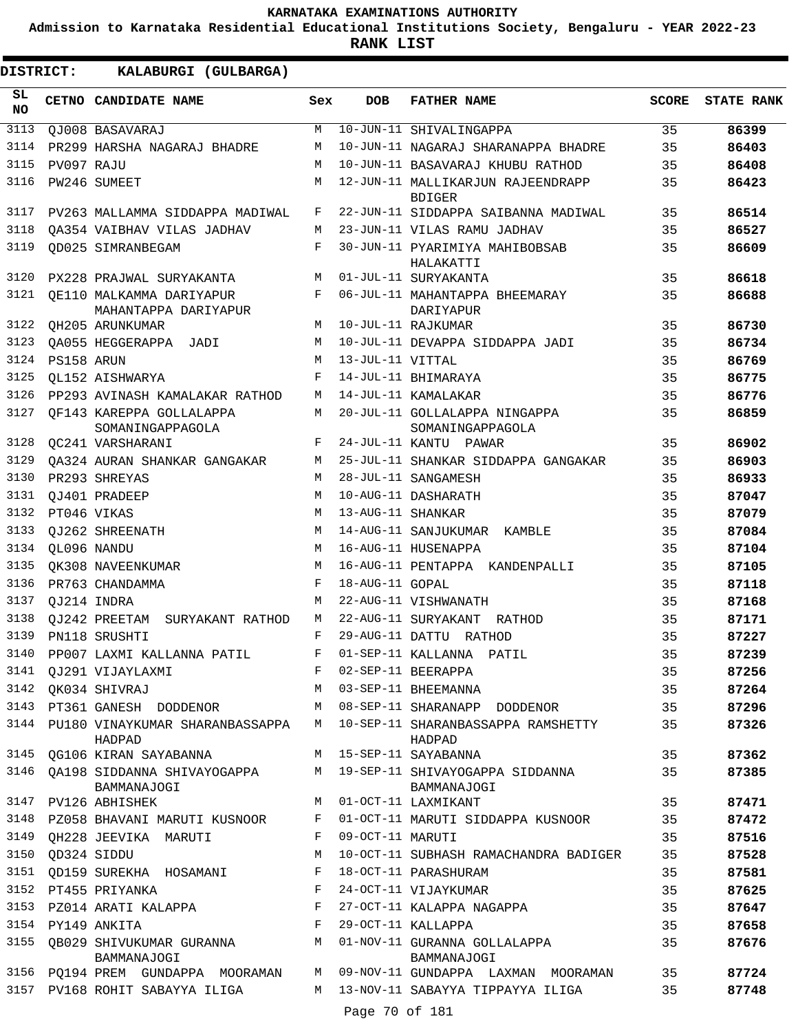**Admission to Karnataka Residential Educational Institutions Society, Bengaluru - YEAR 2022-23**

| <b>DISTRICT:</b> |             | KALABURGI (GULBARGA)                             |     |                   |                                                    |              |                   |
|------------------|-------------|--------------------------------------------------|-----|-------------------|----------------------------------------------------|--------------|-------------------|
| SL.<br>NO        |             | CETNO CANDIDATE NAME                             | Sex | <b>DOB</b>        | <b>FATHER NAME</b>                                 | <b>SCORE</b> | <b>STATE RANK</b> |
| 3113             |             | QJ008 BASAVARAJ                                  | M   |                   | 10-JUN-11 SHIVALINGAPPA                            | 35           | 86399             |
| 3114             |             | PR299 HARSHA NAGARAJ BHADRE                      | M   |                   | 10-JUN-11 NAGARAJ SHARANAPPA BHADRE                | 35           | 86403             |
| 3115             | PV097 RAJU  |                                                  | M   |                   | 10-JUN-11 BASAVARAJ KHUBU RATHOD                   | 35           | 86408             |
| 3116             |             | PW246 SUMEET                                     | М   |                   | 12-JUN-11 MALLIKARJUN RAJEENDRAPP<br><b>BDIGER</b> | 35           | 86423             |
| 3117             |             | PV263 MALLAMMA SIDDAPPA MADIWAL                  | F   |                   | 22-JUN-11 SIDDAPPA SAIBANNA MADIWAL                | 35           | 86514             |
| 3118             |             | OA354 VAIBHAV VILAS JADHAV                       | М   |                   | 23-JUN-11 VILAS RAMU JADHAV                        | 35           | 86527             |
| 3119             |             | <b>QD025 SIMRANBEGAM</b>                         | F   |                   | 30-JUN-11 PYARIMIYA MAHIBOBSAB<br>HALAKATTI        | 35           | 86609             |
| 3120             |             | PX228 PRAJWAL SURYAKANTA                         | M   |                   | 01-JUL-11 SURYAKANTA                               | 35           | 86618             |
| 3121             |             | OE110 MALKAMMA DARIYAPUR<br>MAHANTAPPA DARIYAPUR | F   |                   | 06-JUL-11 MAHANTAPPA BHEEMARAY<br>DARIYAPUR        | 35           | 86688             |
| 3122             |             | QH205 ARUNKUMAR                                  | М   |                   | 10-JUL-11 RAJKUMAR                                 | 35           | 86730             |
| 3123             |             | QA055 HEGGERAPPA JADI                            | M   |                   | 10-JUL-11 DEVAPPA SIDDAPPA JADI                    | 35           | 86734             |
| 3124             | PS158 ARUN  |                                                  | M   | 13-JUL-11 VITTAL  |                                                    | 35           | 86769             |
| 3125             |             | OL152 AISHWARYA                                  | F   |                   | 14-JUL-11 BHIMARAYA                                | 35           | 86775             |
| 3126             |             | PP293 AVINASH KAMALAKAR RATHOD                   | М   |                   | 14-JUL-11 KAMALAKAR                                | 35           | 86776             |
| 3127             |             | OF143 KAREPPA GOLLALAPPA<br>SOMANINGAPPAGOLA     | M   |                   | 20-JUL-11 GOLLALAPPA NINGAPPA<br>SOMANINGAPPAGOLA  | 35           | 86859             |
| 3128             |             | QC241 VARSHARANI                                 | F   |                   | 24-JUL-11 KANTU PAWAR                              | 35           | 86902             |
| 3129             |             | OA324 AURAN SHANKAR GANGAKAR                     | М   |                   | 25-JUL-11 SHANKAR SIDDAPPA GANGAKAR                | 35           | 86903             |
| 3130             |             | PR293 SHREYAS                                    | M   |                   | 28-JUL-11 SANGAMESH                                | 35           | 86933             |
| 3131             |             | QJ401 PRADEEP                                    | M   |                   | 10-AUG-11 DASHARATH                                | 35           | 87047             |
| 3132             | PT046 VIKAS |                                                  | M   | 13-AUG-11 SHANKAR |                                                    | 35           | 87079             |
| 3133             |             | OJ262 SHREENATH                                  | М   |                   | 14-AUG-11 SANJUKUMAR KAMBLE                        | 35           | 87084             |
| 3134             | QL096 NANDU |                                                  | M   |                   | 16-AUG-11 HUSENAPPA                                | 35           | 87104             |
| 3135             |             | OK308 NAVEENKUMAR                                | М   |                   | 16-AUG-11 PENTAPPA KANDENPALLI                     | 35           | 87105             |
| 3136             |             | PR763 CHANDAMMA                                  | F   | 18-AUG-11 GOPAL   |                                                    | 35           | 87118             |
| 3137             | QJ214 INDRA |                                                  | М   |                   | 22-AUG-11 VISHWANATH                               | 35           | 87168             |
| 3138             |             | QJ242 PREETAM SURYAKANT RATHOD                   | M   |                   | 22-AUG-11 SURYAKANT RATHOD                         | 35           | 87171             |
| 3139             |             | PN118 SRUSHTI                                    | F   |                   | 29-AUG-11 DATTU RATHOD                             | 35           | 87227             |
| 3140             |             | PP007 LAXMI KALLANNA PATIL                       |     |                   | 01-SEP-11 KALLANNA PATIL                           | 35           | 87239             |
| 3141             |             | QJ291 VIJAYLAXMI                                 | F   |                   | 02-SEP-11 BEERAPPA                                 | 35           | 87256             |
| 3142             |             | OK034 SHIVRAJ                                    | M   |                   | 03-SEP-11 BHEEMANNA                                | 35           | 87264             |
| 3143             |             | PT361 GANESH DODDENOR                            | M   |                   | 08-SEP-11 SHARANAPP DODDENOR                       | 35           | 87296             |
|                  |             | 3144 PU180 VINAYKUMAR SHARANBASSAPPA<br>HADPAD   |     |                   | M 10-SEP-11 SHARANBASSAPPA RAMSHETTY<br>HADPAD     | 35           | 87326             |
|                  |             | 3145 QG106 KIRAN SAYABANNA                       |     |                   | M 15-SEP-11 SAYABANNA                              | 35           | 87362             |
| 3146             |             | OA198 SIDDANNA SHIVAYOGAPPA<br>BAMMANAJOGI       |     |                   | M 19-SEP-11 SHIVAYOGAPPA SIDDANNA<br>BAMMANAJOGI   | 35           | 87385             |
| 3147             |             | PV126 ABHISHEK                                   |     |                   | M 01-OCT-11 LAXMIKANT                              | 35           | 87471             |
| 3148             |             | PZ058 BHAVANI MARUTI KUSNOOR                     | F   |                   | 01-OCT-11 MARUTI SIDDAPPA KUSNOOR                  | 35           | 87472             |
|                  |             | 3149 QH228 JEEVIKA MARUTI                        | F   | 09-OCT-11 MARUTI  |                                                    | 35           | 87516             |
| 3150             | QD324 SIDDU |                                                  | M   |                   | 10-OCT-11 SUBHASH RAMACHANDRA BADIGER              | 35           | 87528             |
| 3151             |             | QD159 SUREKHA HOSAMANI                           | F   |                   | 18-OCT-11 PARASHURAM                               | 35           | 87581             |
|                  |             | 3152 PT455 PRIYANKA                              | F   |                   | 24-OCT-11 VIJAYKUMAR                               | 35           | 87625             |
|                  |             | 3153 PZ014 ARATI KALAPPA F                       |     |                   | 27-OCT-11 KALAPPA NAGAPPA                          | 35           | 87647             |
|                  |             | 3154 PY149 ANKITA                                | F   |                   | 29-OCT-11 KALLAPPA                                 | 35           | 87658             |
| 3155             |             | QB029 SHIVUKUMAR GURANNA<br>BAMMANAJOGI          |     |                   | M 01-NOV-11 GURANNA GOLLALAPPA<br>BAMMANAJOGI      | 35           | 87676             |
|                  |             | 3156 PQ194 PREM GUNDAPPA MOORAMAN                |     |                   | M 09-NOV-11 GUNDAPPA LAXMAN MOORAMAN               | 35           | 87724             |
|                  |             | 3157 PV168 ROHIT SABAYYA ILIGA                   | M   |                   | 13-NOV-11 SABAYYA TIPPAYYA ILIGA                   | 35           | 87748             |
|                  |             |                                                  |     | Page 70 of 181    |                                                    |              |                   |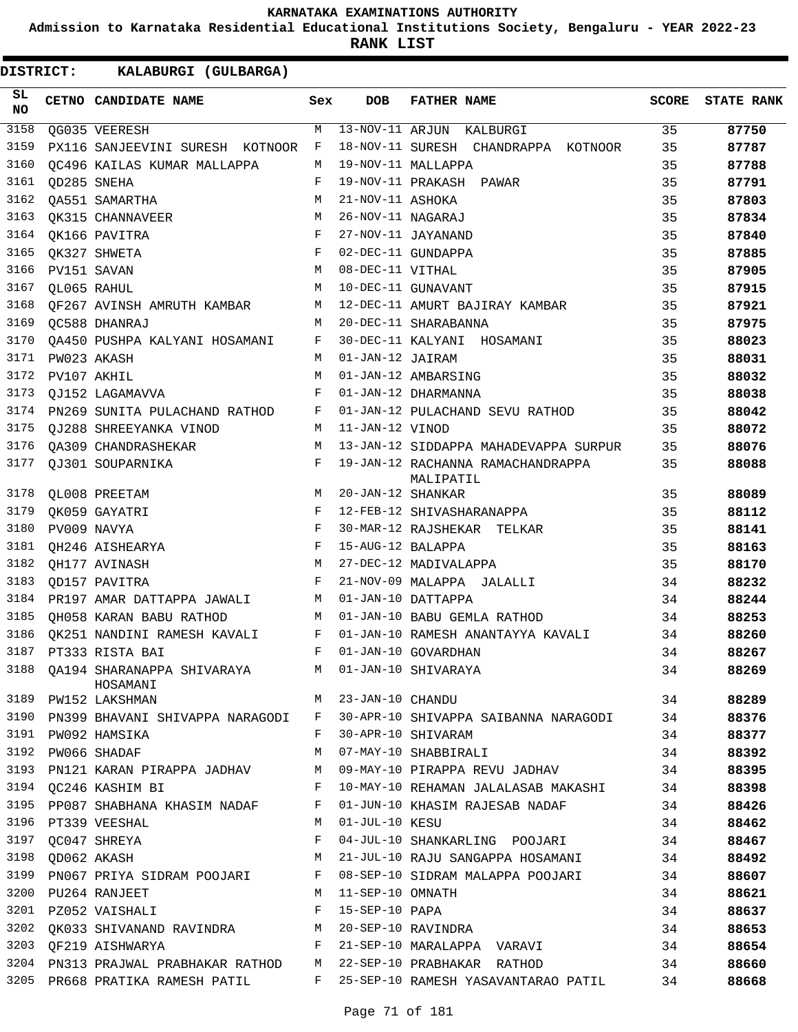**Admission to Karnataka Residential Educational Institutions Society, Bengaluru - YEAR 2022-23**

**RANK LIST**

| SL<br><b>NO</b> | CETNO CANDIDATE NAME                                              | Sex          | <b>DOB</b>         | <b>FATHER NAME</b>                             | <b>SCORE</b> | <b>STATE RANK</b> |
|-----------------|-------------------------------------------------------------------|--------------|--------------------|------------------------------------------------|--------------|-------------------|
| 3158            | QG035 VEERESH                                                     | M            | 13-NOV-11 ARJUN    | KALBURGI                                       | 35           | 87750             |
| 3159            | PX116 SANJEEVINI SURESH KOTNOOR                                   | F            |                    | 18-NOV-11 SURESH CHANDRAPPA KOTNOOR            | 35           | 87787             |
| 3160            | OC496 KAILAS KUMAR MALLAPPA                                       | M            |                    | 19-NOV-11 MALLAPPA                             | 35           | 87788             |
| 3161            | OD285 SNEHA                                                       | F            |                    | 19-NOV-11 PRAKASH PAWAR                        | 35           | 87791             |
| 3162            | <b>QA551 SAMARTHA</b>                                             | M            | 21-NOV-11 ASHOKA   |                                                | 35           | 87803             |
| 3163            | OK315 CHANNAVEER                                                  | М            | 26-NOV-11 NAGARAJ  |                                                | 35           | 87834             |
| 3164            | QK166 PAVITRA                                                     | $_{\rm F}$   |                    | 27-NOV-11 JAYANAND                             | 35           | 87840             |
| 3165            | QK327 SHWETA                                                      | $_{\rm F}$   |                    | 02-DEC-11 GUNDAPPA                             | 35           | 87885             |
| 3166            | PV151 SAVAN                                                       | M            | 08-DEC-11 VITHAL   |                                                | 35           | 87905             |
| 3167            | QL065 RAHUL                                                       | М            |                    | 10-DEC-11 GUNAVANT                             | 35           | 87915             |
| 3168            | QF267 AVINSH AMRUTH KAMBAR                                        | М            |                    | 12-DEC-11 AMURT BAJIRAY KAMBAR                 | 35           | 87921             |
| 3169            | QC588 DHANRAJ                                                     | M            |                    | 20-DEC-11 SHARABANNA                           | 35           | 87975             |
| 3170            | QA450 PUSHPA KALYANI HOSAMANI                                     | F            |                    | 30-DEC-11 KALYANI HOSAMANI                     | 35           | 88023             |
| 3171            | PW023 AKASH                                                       | M            | 01-JAN-12 JAIRAM   |                                                | 35           | 88031             |
| 3172            | PV107 AKHIL                                                       | M            |                    | 01-JAN-12 AMBARSING                            | 35           | 88032             |
| 3173            | <b>OJ152 LAGAMAVVA</b>                                            | F            |                    | 01-JAN-12 DHARMANNA                            | 35           | 88038             |
| 3174            | PN269 SUNITA PULACHAND RATHOD                                     | F            |                    | 01-JAN-12 PULACHAND SEVU RATHOD                | 35           | 88042             |
| 3175            | QJ288 SHREEYANKA VINOD                                            | М            | 11-JAN-12 VINOD    |                                                | 35           | 88072             |
| 3176            | OA309 CHANDRASHEKAR                                               | М            |                    | 13-JAN-12 SIDDAPPA MAHADEVAPPA SURPUR          | 35           | 88076             |
| 3177            | QJ301 SOUPARNIKA                                                  | F            |                    | 19-JAN-12 RACHANNA RAMACHANDRAPPA<br>MALIPATIL | 35           | 88088             |
| 3178            | OL008 PREETAM                                                     | M            | 20-JAN-12 SHANKAR  |                                                | 35           | 88089             |
| 3179            | OK059 GAYATRI                                                     | F            |                    | 12-FEB-12 SHIVASHARANAPPA                      | 35           | 88112             |
| 3180            | PV009 NAVYA                                                       | F            |                    | 30-MAR-12 RAJSHEKAR TELKAR                     | 35           | 88141             |
| 3181            | OH246 AISHEARYA                                                   | F            | 15-AUG-12 BALAPPA  |                                                | 35           | 88163             |
| 3182            | <b>QH177 AVINASH</b>                                              | M            |                    | 27-DEC-12 MADIVALAPPA                          | 35           | 88170             |
| 3183            | OD157 PAVITRA                                                     | F            |                    | 21-NOV-09 MALAPPA JALALLI                      | 34           | 88232             |
| 3184            | PR197 AMAR DATTAPPA JAWALI                                        | M            |                    | 01-JAN-10 DATTAPPA                             | 34           | 88244             |
| 3185            | OH058 KARAN BABU RATHOD                                           | М            |                    | 01-JAN-10 BABU GEMLA RATHOD                    | 34           | 88253             |
| 3186            | QK251 NANDINI RAMESH KAVALI                                       | F            |                    | 01-JAN-10 RAMESH ANANTAYYA KAVALI              | 34           | 88260             |
| 3187            | PT333 RISTA BAI                                                   | F            |                    | 01-JAN-10 GOVARDHAN                            | 34           | 88267             |
|                 | 3188 QA194 SHARANAPPA SHIVARAYA M 01-JAN-10 SHIVARAYA<br>HOSAMANI |              |                    |                                                | 34           | 88269             |
| 3189            | PW152 LAKSHMAN                                                    |              | M 23-JAN-10 CHANDU |                                                | 34           | 88289             |
| 3190            | PN399 BHAVANI SHIVAPPA NARAGODI                                   | F            |                    | 30-APR-10 SHIVAPPA SAIBANNA NARAGODI           | 34           | 88376             |
| 3191            | PW092 HAMSIKA                                                     | F            |                    | 30-APR-10 SHIVARAM                             | 34           | 88377             |
|                 | 3192 PW066 SHADAF                                                 | M            |                    | 07-MAY-10 SHABBIRALI                           | 34           | 88392             |
| 3193            | PN121 KARAN PIRAPPA JADHAV                                        | M            |                    | 09-MAY-10 PIRAPPA REVU JADHAV                  | 34           | 88395             |
|                 | 3194 OC246 KASHIM BI                                              | $\mathbf{F}$ |                    | 10-MAY-10 REHAMAN JALALASAB MAKASHI            | 34           | 88398             |
|                 | 3195 PP087 SHABHANA KHASIM NADAF F                                |              |                    | 01-JUN-10 KHASIM RAJESAB NADAF                 | 34           | 88426             |
|                 | 3196 PT339 VEESHAL                                                | M            | 01-JUL-10 KESU     |                                                | 34           | 88462             |
| 3197            | OC047 SHREYA                                                      | F            |                    | 04-JUL-10 SHANKARLING POOJARI                  | 34           | 88467             |
| 3198            | OD062 AKASH                                                       | М            |                    | 21-JUL-10 RAJU SANGAPPA HOSAMANI               | 34           | 88492             |
| 3199            | PN067 PRIYA SIDRAM POOJARI F                                      |              |                    | 08-SEP-10 SIDRAM MALAPPA POOJARI               | 34           | 88607             |
|                 | 3200 PU264 RANJEET                                                | M            | 11-SEP-10 OMNATH   |                                                | 34           | 88621             |
| 3201            | PZ052 VAISHALI                                                    | F            | 15-SEP-10 PAPA     |                                                | 34           | 88637             |
| 3202            | QK033 SHIVANAND RAVINDRA M 20-SEP-10 RAVINDRA                     |              |                    |                                                | 34           | 88653             |
|                 | 3203 OF219 AISHWARYA                                              | F            |                    | 21-SEP-10 MARALAPPA VARAVI                     | 34           | 88654             |
|                 | 3204 PN313 PRAJWAL PRABHAKAR RATHOD M                             |              |                    | 22-SEP-10 PRABHAKAR RATHOD                     | 34           | 88660             |
|                 | 3205 PR668 PRATIKA RAMESH PATIL                                   | F            |                    | 25-SEP-10 RAMESH YASAVANTARAO PATIL            | 34           | 88668             |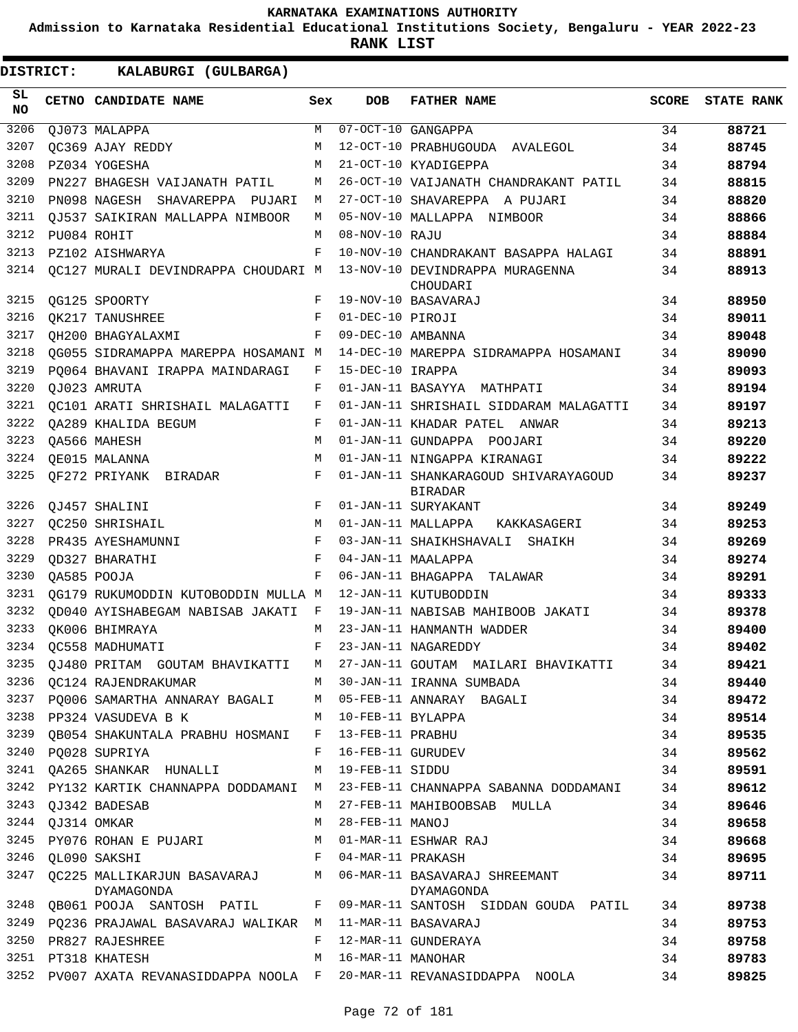**Admission to Karnataka Residential Educational Institutions Society, Bengaluru - YEAR 2022-23**

| DISTRICT:       | KALABURGI (GULBARGA)                                        |     |                   |                                                                                  |              |                   |
|-----------------|-------------------------------------------------------------|-----|-------------------|----------------------------------------------------------------------------------|--------------|-------------------|
| SL<br><b>NO</b> | CETNO CANDIDATE NAME                                        | Sex | <b>DOB</b>        | <b>FATHER NAME</b>                                                               | <b>SCORE</b> | <b>STATE RANK</b> |
| 3206            | QJ073 MALAPPA                                               | M   |                   | 07-OCT-10 GANGAPPA                                                               | 34           | 88721             |
| 3207            | OC369 AJAY REDDY                                            | М   |                   | 12-OCT-10 PRABHUGOUDA AVALEGOL                                                   | 34           | 88745             |
| 3208            | PZ034 YOGESHA                                               | М   |                   | 21-OCT-10 KYADIGEPPA                                                             | 34           | 88794             |
| 3209            | PN227 BHAGESH VAIJANATH PATIL                               | М   |                   | 26-OCT-10 VAIJANATH CHANDRAKANT PATIL                                            | 34           | 88815             |
| 3210            | PN098 NAGESH SHAVAREPPA PUJARI                              | М   |                   | 27-OCT-10 SHAVAREPPA A PUJARI                                                    | 34           | 88820             |
| 3211            | OJ537 SAIKIRAN MALLAPPA NIMBOOR                             | M   |                   | 05-NOV-10 MALLAPPA NIMBOOR                                                       | 34           | 88866             |
| 3212            | PU084 ROHIT                                                 | М   | 08-NOV-10 RAJU    |                                                                                  | 34           | 88884             |
| 3213            | PZ102 AISHWARYA                                             | F   |                   | 10-NOV-10 CHANDRAKANT BASAPPA HALAGI                                             | 34           | 88891             |
| 3214            | QC127 MURALI DEVINDRAPPA CHOUDARI M                         |     |                   | 13-NOV-10 DEVINDRAPPA MURAGENNA<br>CHOUDARI                                      | 34           | 88913             |
| 3215            | QG125 SPOORTY                                               | F   |                   | 19-NOV-10 BASAVARAJ                                                              | 34           | 88950             |
| 3216            | OK217 TANUSHREE                                             | F   | 01-DEC-10 PIROJI  |                                                                                  | 34           | 89011             |
| 3217            | OH200 BHAGYALAXMI                                           | F   | 09-DEC-10 AMBANNA |                                                                                  | 34           | 89048             |
| 3218            | QG055 SIDRAMAPPA MAREPPA HOSAMANI M                         |     |                   | 14-DEC-10 MAREPPA SIDRAMAPPA HOSAMANI                                            | 34           | 89090             |
| 3219            | PO064 BHAVANI IRAPPA MAINDARAGI                             | F   | 15-DEC-10 IRAPPA  |                                                                                  | 34           | 89093             |
| 3220            | OJ023 AMRUTA                                                | F   |                   | 01-JAN-11 BASAYYA MATHPATI                                                       | 34           | 89194             |
| 3221            | QC101 ARATI SHRISHAIL MALAGATTI                             | F   |                   | 01-JAN-11 SHRISHAIL SIDDARAM MALAGATTI                                           | 34           | 89197             |
| 3222            | OA289 KHALIDA BEGUM                                         | F   |                   | 01-JAN-11 KHADAR PATEL ANWAR                                                     | 34           | 89213             |
| 3223            | OA566 MAHESH                                                | M   |                   | 01-JAN-11 GUNDAPPA POOJARI                                                       | 34           | 89220             |
| 3224            | QE015 MALANNA                                               | M   |                   | 01-JAN-11 NINGAPPA KIRANAGI                                                      | 34           | 89222             |
| 3225            | QF272 PRIYANK BIRADAR                                       | F   |                   | 01-JAN-11 SHANKARAGOUD SHIVARAYAGOUD<br><b>BIRADAR</b>                           | 34           | 89237             |
| 3226            | OJ457 SHALINI                                               | F   |                   | 01-JAN-11 SURYAKANT                                                              | 34           | 89249             |
| 3227            | OC250 SHRISHAIL                                             | М   |                   | 01-JAN-11 MALLAPPA<br>KAKKASAGERI                                                | 34           | 89253             |
| 3228            | PR435 AYESHAMUNNI                                           | F   |                   | 03-JAN-11 SHAIKHSHAVALI SHAIKH                                                   | 34           | 89269             |
| 3229            | OD327 BHARATHI                                              | F   |                   | 04-JAN-11 MAALAPPA                                                               | 34           | 89274             |
| 3230            | QA585 POOJA                                                 | F   |                   | 06-JAN-11 BHAGAPPA TALAWAR                                                       | 34           | 89291             |
| 3231            | OG179 RUKUMODDIN KUTOBODDIN MULLA M                         |     |                   | 12-JAN-11 KUTUBODDIN                                                             | 34           | 89333             |
| 3232            | OD040 AYISHABEGAM NABISAB JAKATI F                          |     |                   | 19-JAN-11 NABISAB MAHIBOOB JAKATI                                                | 34           | 89378             |
| 3233            | OK006 BHIMRAYA                                              | M   |                   | 23-JAN-11 HANMANTH WADDER                                                        | 34           | 89400             |
| 3234            | QC558 MADHUMATI                                             | F   |                   | 23-JAN-11 NAGAREDDY                                                              | 34           | 89402             |
|                 |                                                             |     |                   | 3235 QJ480 PRITAM GOUTAM BHAVIKATTI M 27-JAN-11 GOUTAM MAILARI BHAVIKATTI 34     |              | 89421             |
|                 | 3236    QC124    RAJENDRAKUMAR                              |     |                   | M 30-JAN-11 IRANNA SUMBADA                                                       | 34           | 89440             |
|                 |                                                             |     |                   | 3237 PQ006 SAMARTHA ANNARAY BAGALI M 05-FEB-11 ANNARAY BAGALI 34                 |              | 89472             |
|                 | 3238 PP324 VASUDEVA B K M 10-FEB-11 BYLAPPA                 |     |                   |                                                                                  | 34           | 89514             |
|                 | 3239 QB054 SHAKUNTALA PRABHU HOSMANI F 13-FEB-11 PRABHU     |     |                   |                                                                                  | 34           | 89535             |
|                 | 3240 PQ028 SUPRIYA F 16-FEB-11 GURUDEV                      |     |                   |                                                                                  | 34           | 89562             |
|                 | 3241 QA265 SHANKAR HUNALLI M 19-FEB-11 SIDDU                |     |                   |                                                                                  | 34           | 89591             |
|                 |                                                             |     |                   | 3242 PY132 KARTIK CHANNAPPA DODDAMANI M 23-FEB-11 CHANNAPPA SABANNA DODDAMANI 34 |              | 89612             |
|                 | 3243 QJ342 BADESAB                                          |     |                   | M 27-FEB-11 MAHIBOOBSAB MULLA                                                    | 34           | 89646             |
|                 | 3244  QJ314  OMKAR                                          |     |                   | M 28-FEB-11 MANOJ                                                                | 34           | 89658             |
|                 | 3245 PY076 ROHAN E PUJARI M 01-MAR-11 ESHWAR RAJ            |     |                   | 34                                                                               |              | 89668             |
|                 |                                                             |     |                   | 3246 QL090 SAKSHI TARLET RAMAR-11 PRAKASH                                        |              | 89695             |
|                 | DYAMAGONDA                                                  |     |                   | 347 QC225 MALLIKARJUN BASAVARAJ M 06-MAR-11 BASAVARAJ SHREEMANT 34<br>DYAMAGONDA |              | 89711             |
|                 |                                                             |     |                   | 3248 QB061 POOJA SANTOSH PATIL F 09-MAR-11 SANTOSH SIDDAN GOUDA PATIL 34         |              | 89738             |
|                 | 3249 PQ236 PRAJAWAL BASAVARAJ WALIKAR M 11-MAR-11 BASAVARAJ |     |                   |                                                                                  | 34           | 89753             |
|                 | 3250 PR827 RAJESHREE                                        |     |                   | F 12-MAR-11 GUNDERAYA                                                            | 34           | 89758             |
|                 | 3251 PT318 KHATESH NAMOHAR M 16-MAR-11 MANOHAR              |     |                   |                                                                                  | 34           | 89783             |
|                 |                                                             |     |                   | 3252 PV007 AXATA REVANASIDDAPPA NOOLA F 20-MAR-11 REVANASIDDAPPA NOOLA           | 34           | 89825             |
|                 |                                                             |     |                   |                                                                                  |              |                   |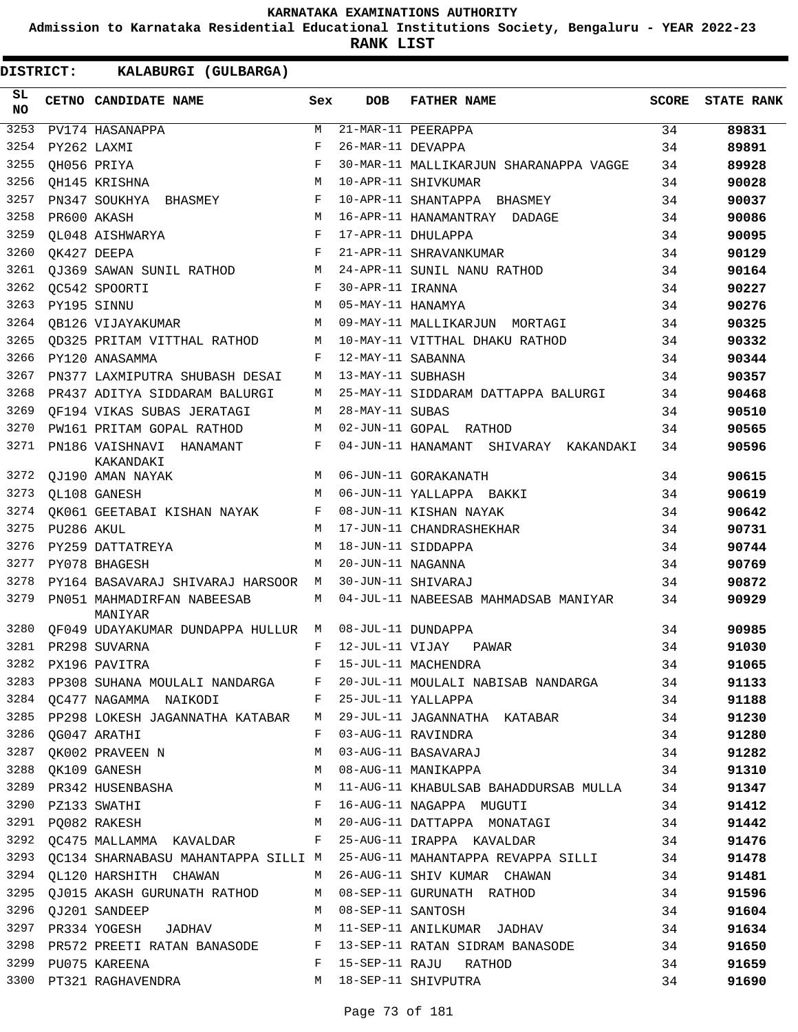**Admission to Karnataka Residential Educational Institutions Society, Bengaluru - YEAR 2022-23**

**RANK LIST**

| SL<br><b>NO</b> |            | CETNO CANDIDATE NAME                            | Sex | DOB               | <b>FATHER NAME</b>                                                                                                                      | <b>SCORE</b> | <b>STATE RANK</b> |
|-----------------|------------|-------------------------------------------------|-----|-------------------|-----------------------------------------------------------------------------------------------------------------------------------------|--------------|-------------------|
| 3253            |            | PV174 HASANAPPA                                 | M   |                   | 21-MAR-11 PEERAPPA                                                                                                                      | 34           | 89831             |
| 3254            |            | PY262 LAXMI                                     | F   | 26-MAR-11 DEVAPPA |                                                                                                                                         | 34           | 89891             |
| 3255            |            | QH056 PRIYA                                     | F   |                   | 30-MAR-11 MALLIKARJUN SHARANAPPA VAGGE                                                                                                  | 34           | 89928             |
| 3256            |            | QH145 KRISHNA                                   | М   |                   | 10-APR-11 SHIVKUMAR                                                                                                                     | 34           | 90028             |
| 3257            |            | PN347 SOUKHYA BHASMEY                           | F   |                   | 10-APR-11 SHANTAPPA BHASMEY                                                                                                             | 34           | 90037             |
| 3258            |            | PR600 AKASH                                     | M   |                   | 16-APR-11 HANAMANTRAY DADAGE                                                                                                            | 34           | 90086             |
| 3259            |            | OL048 AISHWARYA                                 | F   |                   | 17-APR-11 DHULAPPA                                                                                                                      | 34           | 90095             |
| 3260            |            | QK427 DEEPA                                     | F   |                   | 21-APR-11 SHRAVANKUMAR                                                                                                                  | 34           | 90129             |
| 3261            |            | <b>OJ369 SAWAN SUNIL RATHOD</b>                 | М   |                   | 24-APR-11 SUNIL NANU RATHOD                                                                                                             | 34           | 90164             |
| 3262            |            | QC542 SPOORTI                                   | F   | 30-APR-11 IRANNA  |                                                                                                                                         | 34           | 90227             |
| 3263            |            | PY195 SINNU                                     | М   | 05-MAY-11 HANAMYA |                                                                                                                                         | 34           | 90276             |
| 3264            |            | <b>OB126 VIJAYAKUMAR</b>                        | М   |                   | 09-MAY-11 MALLIKARJUN MORTAGI                                                                                                           | 34           | 90325             |
| 3265            |            | QD325 PRITAM VITTHAL RATHOD                     | М   |                   | 10-MAY-11 VITTHAL DHAKU RATHOD                                                                                                          | 34           | 90332             |
| 3266            |            | PY120 ANASAMMA                                  | F   | 12-MAY-11 SABANNA |                                                                                                                                         | 34           | 90344             |
| 3267            |            | PN377 LAXMIPUTRA SHUBASH DESAI                  | M   | 13-MAY-11 SUBHASH |                                                                                                                                         | 34           | 90357             |
| 3268            |            | PR437 ADITYA SIDDARAM BALURGI                   | М   |                   | 25-MAY-11 SIDDARAM DATTAPPA BALURGI                                                                                                     | 34           | 90468             |
| 3269            |            | QF194 VIKAS SUBAS JERATAGI                      | М   | 28-MAY-11 SUBAS   |                                                                                                                                         | 34           | 90510             |
| 3270            |            | PW161 PRITAM GOPAL RATHOD                       | М   |                   | 02-JUN-11 GOPAL RATHOD                                                                                                                  | 34           | 90565             |
| 3271            |            | PN186 VAISHNAVI HANAMANT<br>KAKANDAKI           | F   |                   | 04-JUN-11 HANAMANT SHIVARAY KAKANDAKI                                                                                                   | 34           | 90596             |
| 3272            |            | QJ190 AMAN NAYAK                                | М   |                   | 06-JUN-11 GORAKANATH                                                                                                                    | 34           | 90615             |
| 3273            |            | QL108 GANESH                                    | М   |                   | 06-JUN-11 YALLAPPA BAKKI                                                                                                                | 34           | 90619             |
| 3274            |            | QK061 GEETABAI KISHAN NAYAK                     | F   |                   | 08-JUN-11 KISHAN NAYAK                                                                                                                  | 34           | 90642             |
| 3275            | PU286 AKUL |                                                 | M   |                   | 17-JUN-11 CHANDRASHEKHAR                                                                                                                | 34           | 90731             |
| 3276            |            | PY259 DATTATREYA                                | M   |                   | 18-JUN-11 SIDDAPPA                                                                                                                      | 34           | 90744             |
| 3277            |            | PY078 BHAGESH                                   | M   | 20-JUN-11 NAGANNA |                                                                                                                                         | 34           | 90769             |
| 3278            |            | PY164 BASAVARAJ SHIVARAJ HARSOOR                | М   |                   | 30-JUN-11 SHIVARAJ                                                                                                                      | 34           | 90872             |
| 3279            |            | PN051 MAHMADIRFAN NABEESAB<br>MANIYAR           | М   |                   | 04-JUL-11 NABEESAB MAHMADSAB MANIYAR                                                                                                    | 34           | 90929             |
| 3280            |            | OF049 UDAYAKUMAR DUNDAPPA HULLUR M              |     |                   | 08-JUL-11 DUNDAPPA                                                                                                                      | 34           | 90985             |
| 3281            |            | PR298 SUVARNA                                   | F   | 12-JUL-11 VIJAY   | PAWAR                                                                                                                                   | 34           | 91030             |
| 3282            |            | PX196 PAVITRA                                   | F   |                   | 15-JUL-11 MACHENDRA                                                                                                                     | 34           | 91065             |
|                 |            |                                                 |     |                   | 34 34 34 34 PP308 SUHANA MOULALI NANDARGA F 20-JUL-11 MOULALI NABISAB NANDARGA                                                          |              | 91133             |
|                 |            | 3284 QC477 NAGAMMA NAIKODI F 25-JUL-11 YALLAPPA |     |                   |                                                                                                                                         | 34           | 91188             |
|                 |            |                                                 |     |                   | 3285 PP298 LOKESH JAGANNATHA KATABAR M 29-JUL-11 JAGANNATHA KATABAR 34                                                                  |              | 91230             |
|                 |            | 3286 QG047 ARATHI                               |     |                   | 34<br>F 03-AUG-11 RAVINDRA                                                                                                              |              | 91280             |
|                 |            |                                                 |     |                   |                                                                                                                                         |              | 91282             |
|                 |            |                                                 |     |                   |                                                                                                                                         |              | 91310             |
|                 |            |                                                 |     |                   |                                                                                                                                         |              | 91347             |
|                 |            | 3290 PZ133 SWATHI                               |     |                   | F 16-AUG-11 NAGAPPA MUGUTI                                                                                                              | 34           | 91412             |
|                 |            |                                                 |     |                   | 3291 PQ082 RAKESH M 20-AUG-11 DATTAPPA MONATAGI 34                                                                                      |              | 91442             |
|                 |            |                                                 |     |                   | 3292 QC475 MALLAMMA KAVALDAR F 25-AUG-11 IRAPPA KAVALDAR                                                                                | 34           | 91476             |
|                 |            |                                                 |     |                   | 3293 QC134 SHARNABASU MAHANTAPPA SILLI M 25-AUG-11 MAHANTAPPA REVAPPA SILLI 34                                                          |              | 91478             |
|                 |            |                                                 |     |                   | 3294 QL120 HARSHITH CHAWAN M 26-AUG-11 SHIV KUMAR CHAWAN 34                                                                             |              | 91481             |
|                 |            |                                                 |     |                   |                                                                                                                                         |              | 91596             |
|                 |            |                                                 |     |                   | 3295 QJ015 AKASH GURUNATH RATHOD M 08-SEP-11 GURUNATH RATHOD 34<br>3296 QJ201 SANDEEP M 08-SEP-11 SANTOSH 34<br>$M = 08-SEP-11$ SANTOSH |              | 91604             |
|                 |            |                                                 |     |                   | 3297 PR334 YOGESH JADHAV M 11-SEP-11 ANILKUMAR JADHAV 34                                                                                |              | 91634             |
|                 |            |                                                 |     |                   | 3298 PR572 PREETI RATAN BANASODE F 13-SEP-11 RATAN SIDRAM BANASODE 34                                                                   |              | 91650             |
|                 |            | 3299 PU075 KAREENA                              |     |                   | F 15-SEP-11 RAJU RATHOD                                                                                                                 | 34           | 91659             |
|                 |            | 3300 PT321 RAGHAVENDRA                          |     |                   | M 18-SEP-11 SHIVPUTRA                                                                                                                   | 34           | 91690             |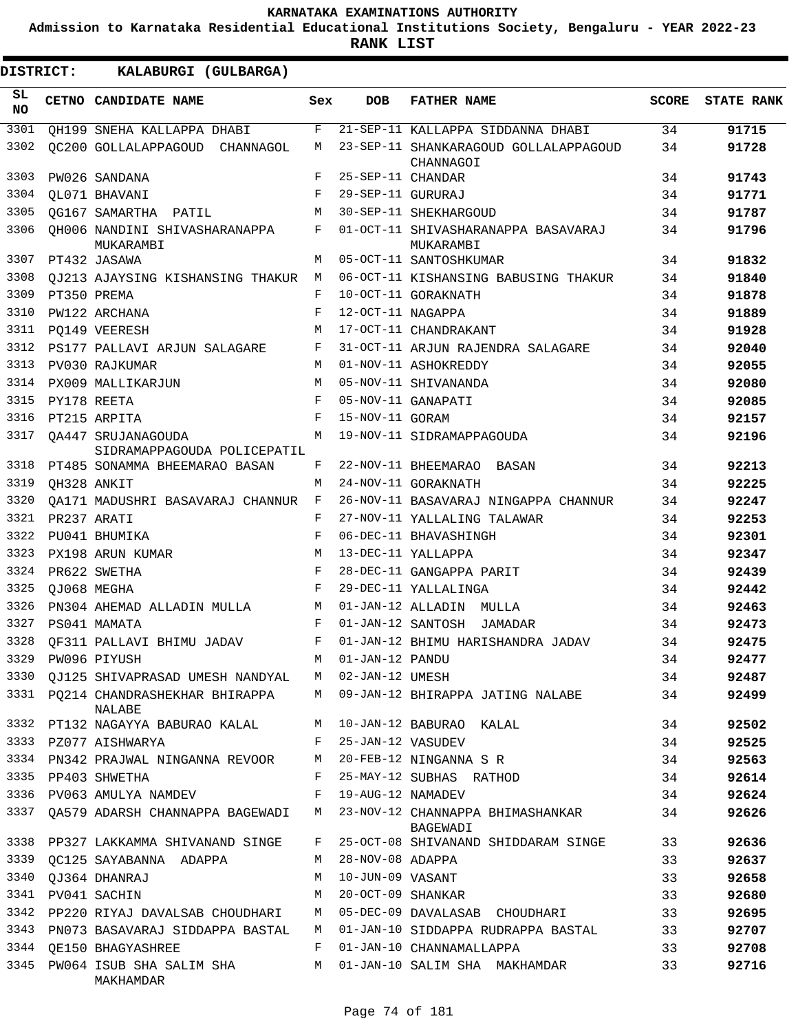**Admission to Karnataka Residential Educational Institutions Society, Bengaluru - YEAR 2022-23**

**RANK LIST**

| SL<br><b>NO</b> | CETNO CANDIDATE NAME                              | Sex | <b>DOB</b>        | <b>FATHER NAME</b>                                 | <b>SCORE</b> | <b>STATE RANK</b> |
|-----------------|---------------------------------------------------|-----|-------------------|----------------------------------------------------|--------------|-------------------|
| 3301            | QH199 SNEHA KALLAPPA DHABI                        | F   |                   | 21-SEP-11 KALLAPPA SIDDANNA DHABI                  | 34           | 91715             |
| 3302            | OC200 GOLLALAPPAGOUD<br>CHANNAGOL                 | М   |                   | 23-SEP-11 SHANKARAGOUD GOLLALAPPAGOUD<br>CHANNAGOI | 34           | 91728             |
| 3303            | PW026 SANDANA                                     | F   | 25-SEP-11 CHANDAR |                                                    | 34           | 91743             |
| 3304            | OL071 BHAVANI                                     | F   | 29-SEP-11 GURURAJ |                                                    | 34           | 91771             |
| 3305            | OG167 SAMARTHA PATIL                              | M   |                   | 30-SEP-11 SHEKHARGOUD                              | 34           | 91787             |
| 3306            | OH006 NANDINI SHIVASHARANAPPA<br>MUKARAMBI        | F   |                   | 01-OCT-11 SHIVASHARANAPPA BASAVARAJ<br>MUKARAMBI   | 34           | 91796             |
| 3307            | PT432 JASAWA                                      | M   |                   | 05-OCT-11 SANTOSHKUMAR                             | 34           | 91832             |
| 3308            | QJ213 AJAYSING KISHANSING THAKUR                  | М   |                   | 06-OCT-11 KISHANSING BABUSING THAKUR               | 34           | 91840             |
| 3309            | PT350 PREMA                                       | F   |                   | 10-OCT-11 GORAKNATH                                | 34           | 91878             |
| 3310            | PW122 ARCHANA                                     | F   | 12-OCT-11 NAGAPPA |                                                    | 34           | 91889             |
| 3311            | PO149 VEERESH                                     | M   |                   | 17-OCT-11 CHANDRAKANT                              | 34           | 91928             |
| 3312            | PS177 PALLAVI ARJUN SALAGARE                      | F   |                   | 31-OCT-11 ARJUN RAJENDRA SALAGARE                  | 34           | 92040             |
| 3313            | PV030 RAJKUMAR                                    | M   |                   | 01-NOV-11 ASHOKREDDY                               | 34           | 92055             |
| 3314            | PX009 MALLIKARJUN                                 | M   |                   | 05-NOV-11 SHIVANANDA                               | 34           | 92080             |
| 3315            | PY178 REETA                                       | F   |                   | 05-NOV-11 GANAPATI                                 | 34           | 92085             |
| 3316            | PT215 ARPITA                                      | F   | 15-NOV-11 GORAM   |                                                    | 34           | 92157             |
| 3317            | OA447 SRUJANAGOUDA<br>SIDRAMAPPAGOUDA POLICEPATIL | M   |                   | 19-NOV-11 SIDRAMAPPAGOUDA                          | 34           | 92196             |
| 3318            | PT485 SONAMMA BHEEMARAO BASAN                     | F   |                   | 22-NOV-11 BHEEMARAO BASAN                          | 34           | 92213             |
| 3319            | OH328 ANKIT                                       | M   |                   | 24-NOV-11 GORAKNATH                                | 34           | 92225             |
| 3320            | QA171 MADUSHRI BASAVARAJ CHANNUR                  | F   |                   | 26-NOV-11 BASAVARAJ NINGAPPA CHANNUR               | 34           | 92247             |
| 3321            | PR237 ARATI                                       | F   |                   | 27-NOV-11 YALLALING TALAWAR                        | 34           | 92253             |
| 3322            | PU041 BHUMIKA                                     | F   |                   | 06-DEC-11 BHAVASHINGH                              | 34           | 92301             |
| 3323            | PX198 ARUN KUMAR                                  | М   |                   | 13-DEC-11 YALLAPPA                                 | 34           | 92347             |
| 3324            | PR622 SWETHA                                      | F   |                   | 28-DEC-11 GANGAPPA PARIT                           | 34           | 92439             |
| 3325            | QJ068 MEGHA                                       | F   |                   | 29-DEC-11 YALLALINGA                               | 34           | 92442             |
| 3326            | PN304 AHEMAD ALLADIN MULLA                        | М   |                   | 01-JAN-12 ALLADIN MULLA                            | 34           | 92463             |
| 3327            | PS041 MAMATA                                      | F   |                   | 01-JAN-12 SANTOSH JAMADAR                          | 34           | 92473             |
| 3328            | OF311 PALLAVI BHIMU JADAV                         | F   |                   | 01-JAN-12 BHIMU HARISHANDRA JADAV                  | 34           | 92475             |
| 3329            | PW096 PIYUSH                                      | М   | 01-JAN-12 PANDU   |                                                    | 34           | 92477             |
| 3330            | QJ125 SHIVAPRASAD UMESH NANDYAL                   | M   | 02-JAN-12 UMESH   |                                                    | 34           | 92487             |
| 3331            | PQ214 CHANDRASHEKHAR BHIRAPPA<br>NALABE           | M   |                   | 09-JAN-12 BHIRAPPA JATING NALABE                   | 34           | 92499             |
| 3332            | PT132 NAGAYYA BABURAO KALAL                       | M   |                   | 10-JAN-12 BABURAO KALAL                            | 34           | 92502             |
| 3333            | PZ077 AISHWARYA                                   | F   | 25-JAN-12 VASUDEV |                                                    | 34           | 92525             |
| 3334            | PN342 PRAJWAL NINGANNA REVOOR                     | M   |                   | 20-FEB-12 NINGANNA S R                             | 34           | 92563             |
| 3335            | PP403 SHWETHA                                     | F   |                   | 25-MAY-12 SUBHAS RATHOD                            | 34           | 92614             |
| 3336            | PV063 AMULYA NAMDEV                               | F   | 19-AUG-12 NAMADEV |                                                    | 34           | 92624             |
| 3337            | QA579 ADARSH CHANNAPPA BAGEWADI                   | M   |                   | 23-NOV-12 CHANNAPPA BHIMASHANKAR<br>BAGEWADI       | 34           | 92626             |
| 3338            | PP327 LAKKAMMA SHIVANAND SINGE                    | F   |                   | 25-OCT-08 SHIVANAND SHIDDARAM SINGE                | 33           | 92636             |
| 3339            | QC125 SAYABANNA ADAPPA                            | М   | 28-NOV-08 ADAPPA  |                                                    | 33           | 92637             |
| 3340            | QJ364 DHANRAJ                                     | M   | 10-JUN-09 VASANT  |                                                    | 33           | 92658             |
| 3341            | PV041 SACHIN                                      | М   | 20-OCT-09 SHANKAR |                                                    | 33           | 92680             |
| 3342            | PP220 RIYAJ DAVALSAB CHOUDHARI                    | M   |                   | 05-DEC-09 DAVALASAB CHOUDHARI                      | 33           | 92695             |
| 3343            | PN073 BASAVARAJ SIDDAPPA BASTAL                   | M   |                   | 01-JAN-10 SIDDAPPA RUDRAPPA BASTAL                 | 33           | 92707             |
| 3344            | <b>QE150 BHAGYASHREE</b>                          | F   |                   | 01-JAN-10 CHANNAMALLAPPA                           | 33           | 92708             |
| 3345            | PW064 ISUB SHA SALIM SHA<br>MAKHAMDAR             | M   |                   | 01-JAN-10 SALIM SHA MAKHAMDAR                      | 33           | 92716             |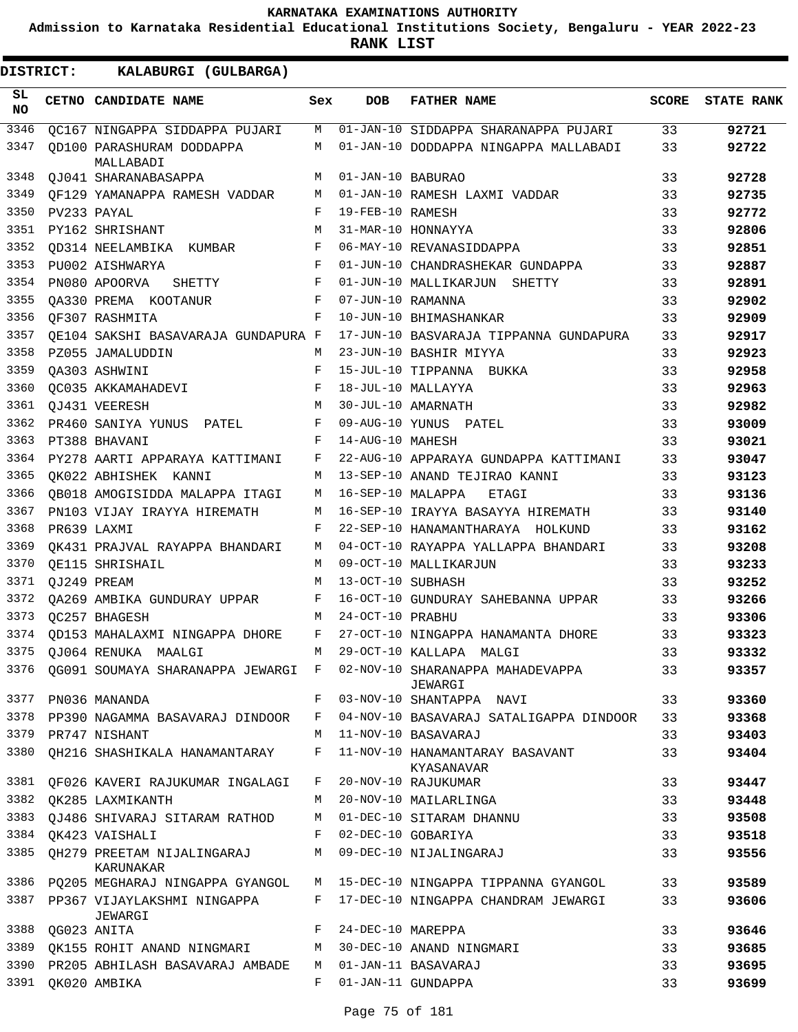**Admission to Karnataka Residential Educational Institutions Society, Bengaluru - YEAR 2022-23**

| <b>DISTRICT:</b> | KALABURGI (GULBARGA)                    |              |                    |                                               |              |                   |
|------------------|-----------------------------------------|--------------|--------------------|-----------------------------------------------|--------------|-------------------|
| SL.<br>NO        | CETNO CANDIDATE NAME                    | Sex          | <b>DOB</b>         | <b>FATHER NAME</b>                            | <b>SCORE</b> | <b>STATE RANK</b> |
| 3346             | QC167 NINGAPPA SIDDAPPA PUJARI          | M            |                    | 01-JAN-10 SIDDAPPA SHARANAPPA PUJARI          | 33           | 92721             |
| 3347             | OD100 PARASHURAM DODDAPPA<br>MALLABADI  | M            |                    | 01-JAN-10 DODDAPPA NINGAPPA MALLABADI         | 33           | 92722             |
| 3348             | QJ041 SHARANABASAPPA                    | M            | 01-JAN-10 BABURAO  |                                               | 33           | 92728             |
| 3349             | OF129 YAMANAPPA RAMESH VADDAR           | M            |                    | 01-JAN-10 RAMESH LAXMI VADDAR                 | 33           | 92735             |
| 3350             | PV233 PAYAL                             | F            | 19-FEB-10 RAMESH   |                                               | 33           | 92772             |
| 3351             | PY162 SHRISHANT                         | M            | 31-MAR-10 HONNAYYA |                                               | 33           | 92806             |
| 3352             | QD314 NEELAMBIKA KUMBAR                 | F            |                    | 06-MAY-10 REVANASIDDAPPA                      | 33           | 92851             |
| 3353             | PU002 AISHWARYA                         | F            |                    | 01-JUN-10 CHANDRASHEKAR GUNDAPPA              | 33           | 92887             |
| 3354             | PN080 APOORVA SHETTY                    | F            |                    | 01-JUN-10 MALLIKARJUN SHETTY                  | 33           | 92891             |
| 3355             | OA330 PREMA KOOTANUR                    | $\mathbf{F}$ | 07-JUN-10 RAMANNA  |                                               | 33           | 92902             |
| 3356             | OF307 RASHMITA                          | F            |                    | 10-JUN-10 BHIMASHANKAR                        | 33           | 92909             |
| 3357             | OE104 SAKSHI BASAVARAJA GUNDAPURA F     |              |                    | 17-JUN-10 BASVARAJA TIPPANNA GUNDAPURA        | 33           | 92917             |
| 3358             | PZ055 JAMALUDDIN                        | M            |                    | 23-JUN-10 BASHIR MIYYA                        | 33           | 92923             |
| 3359             | OA303 ASHWINI                           | F            |                    | 15-JUL-10 TIPPANNA BUKKA                      | 33           | 92958             |
| 3360             | QC035 AKKAMAHADEVI                      | F            |                    | 18-JUL-10 MALLAYYA                            | 33           | 92963             |
| 3361             | QJ431 VEERESH                           | M            |                    | 30-JUL-10 AMARNATH                            | 33           | 92982             |
| 3362             | PR460 SANIYA YUNUS PATEL                | F            |                    | 09-AUG-10 YUNUS PATEL                         | 33           | 93009             |
| 3363             | PT388 BHAVANI                           | F            | 14-AUG-10 MAHESH   |                                               | 33           | 93021             |
| 3364             | PY278 AARTI APPARAYA KATTIMANI          | F            |                    | 22-AUG-10 APPARAYA GUNDAPPA KATTIMANI         | 33           | 93047             |
| 3365             | QK022 ABHISHEK KANNI                    | M            |                    | 13-SEP-10 ANAND TEJIRAO KANNI                 | 33           | 93123             |
| 3366             | QB018 AMOGISIDDA MALAPPA ITAGI          | М            | 16-SEP-10 MALAPPA  | ETAGI                                         | 33           | 93136             |
| 3367             | PN103 VIJAY IRAYYA HIREMATH             | М            |                    | 16-SEP-10 IRAYYA BASAYYA HIREMATH             | 33           | 93140             |
| 3368             | PR639 LAXMI                             | F            |                    | 22-SEP-10 HANAMANTHARAYA HOLKUND              | 33           | 93162             |
| 3369             | QK431 PRAJVAL RAYAPPA BHANDARI          | M            |                    | 04-OCT-10 RAYAPPA YALLAPPA BHANDARI           | 33           | 93208             |
| 3370             | QE115 SHRISHAIL                         | M            |                    | 09-OCT-10 MALLIKARJUN                         | 33           | 93233             |
| 3371             | OJ249 PREAM                             | M            | 13-OCT-10 SUBHASH  |                                               | 33           | 93252             |
| 3372             | QA269 AMBIKA GUNDURAY UPPAR             | F            |                    | 16-OCT-10 GUNDURAY SAHEBANNA UPPAR            | 33           | 93266             |
| 3373             | OC257 BHAGESH                           | M            | 24-OCT-10 PRABHU   |                                               | 33           | 93306             |
|                  | 3374 QD153 MAHALAXMI NINGAPPA DHORE     | $\mathbf{F}$ |                    | 27-OCT-10 NINGAPPA HANAMANTA DHORE            | 33           | 93323             |
|                  | 3375 QJ064 RENUKA MAALGI                |              |                    | M 29-OCT-10 KALLAPA MALGI                     | 33           | 93332             |
| 3376             | OG091 SOUMAYA SHARANAPPA JEWARGI F      |              |                    | 02-NOV-10 SHARANAPPA MAHADEVAPPA<br>JEWARGI   | 33           | 93357             |
| 3377             | PN036 MANANDA                           | F            |                    | 03-NOV-10 SHANTAPPA NAVI                      | 33           | 93360             |
| 3378             | PP390 NAGAMMA BASAVARAJ DINDOOR         | F            |                    | 04-NOV-10 BASAVARAJ SATALIGAPPA DINDOOR       | 33           | 93368             |
| 3379             | PR747 NISHANT                           | M            |                    | 11-NOV-10 BASAVARAJ                           | 33           | 93403             |
| 3380             | QH216 SHASHIKALA HANAMANTARAY           | F            |                    | 11-NOV-10 HANAMANTARAY BASAVANT<br>KYASANAVAR | 33           | 93404             |
| 3381             | QF026 KAVERI RAJUKUMAR INGALAGI         | F            |                    | 20-NOV-10 RAJUKUMAR                           | 33           | 93447             |
| 3382             | OK285 LAXMIKANTH                        | M            |                    | 20-NOV-10 MAILARLINGA                         | 33           | 93448             |
| 3383             | QJ486 SHIVARAJ SITARAM RATHOD           | М            |                    | 01-DEC-10 SITARAM DHANNU                      | 33           | 93508             |
| 3384             | QK423 VAISHALI                          | F            |                    | 02-DEC-10 GOBARIYA                            | 33           | 93518             |
| 3385             | QH279 PREETAM NIJALINGARAJ<br>KARUNAKAR | М            |                    | 09-DEC-10 NIJALINGARAJ                        | 33           | 93556             |
| 3386             | PQ205 MEGHARAJ NINGAPPA GYANGOL         | M            |                    | 15-DEC-10 NINGAPPA TIPPANNA GYANGOL           | 33           | 93589             |
| 3387             | PP367 VIJAYLAKSHMI NINGAPPA<br>JEWARGI  | F            |                    | 17-DEC-10 NINGAPPA CHANDRAM JEWARGI           | 33           | 93606             |
| 3388             | QG023 ANITA                             | F            | 24-DEC-10 MAREPPA  |                                               | 33           | 93646             |
| 3389             | QK155 ROHIT ANAND NINGMARI              | M            |                    | 30-DEC-10 ANAND NINGMARI                      | 33           | 93685             |
| 3390             | PR205 ABHILASH BASAVARAJ AMBADE         | M            |                    | 01-JAN-11 BASAVARAJ                           | 33           | 93695             |
| 3391             | QK020 AMBIKA                            | F            |                    | 01-JAN-11 GUNDAPPA                            | 33           | 93699             |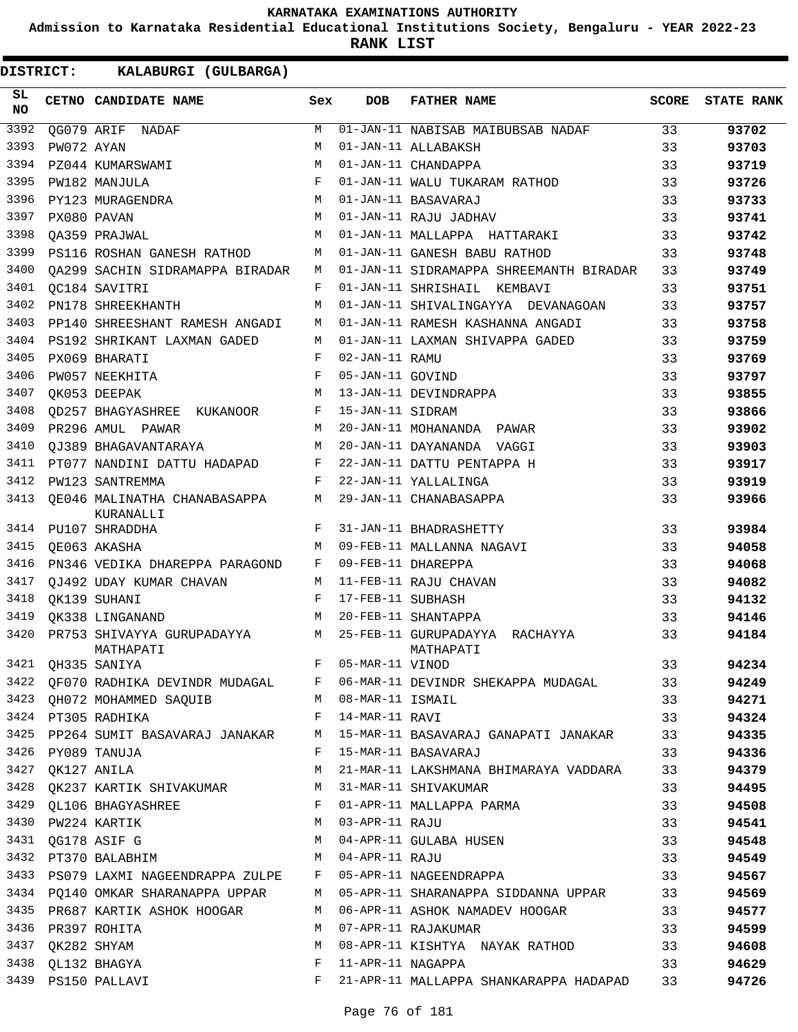**Admission to Karnataka Residential Educational Institutions Society, Bengaluru - YEAR 2022-23**

**RANK LIST**

| SL<br><b>NO</b> |                  | CETNO CANDIDATE NAME                                                                                                               | Sex | <b>DOB</b>        | <b>FATHER NAME</b>                                                           | SCORE | <b>STATE RANK</b> |
|-----------------|------------------|------------------------------------------------------------------------------------------------------------------------------------|-----|-------------------|------------------------------------------------------------------------------|-------|-------------------|
| 3392            |                  | OG079 ARIF NADAF                                                                                                                   | M   |                   | 01-JAN-11 NABISAB MAIBUBSAB NADAF                                            | 33    | 93702             |
| 3393            | PW072 AYAN       |                                                                                                                                    | M   |                   | 01-JAN-11 ALLABAKSH                                                          | 33    | 93703             |
| 3394            |                  | PZ044 KUMARSWAMI                                                                                                                   | M   |                   | 01-JAN-11 CHANDAPPA                                                          | 33    | 93719             |
| 3395            |                  | PW182 MANJULA                                                                                                                      | F   |                   | 01-JAN-11 WALU TUKARAM RATHOD                                                | 33    | 93726             |
| 3396            |                  | PY123 MURAGENDRA                                                                                                                   | M   |                   | 01-JAN-11 BASAVARAJ                                                          | 33    | 93733             |
| 3397            |                  | PX080 PAVAN                                                                                                                        | M   |                   | 01-JAN-11 RAJU JADHAV                                                        | 33    | 93741             |
| 3398            |                  | OA359 PRAJWAL                                                                                                                      | M   |                   | 01-JAN-11 MALLAPPA HATTARAKI                                                 | 33    | 93742             |
| 3399            |                  | PS116 ROSHAN GANESH RATHOD                                                                                                         | М   |                   | 01-JAN-11 GANESH BABU RATHOD                                                 | 33    | 93748             |
| 3400            |                  | OA299 SACHIN SIDRAMAPPA BIRADAR                                                                                                    | M   |                   | 01-JAN-11 SIDRAMAPPA SHREEMANTH BIRADAR                                      | 33    | 93749             |
| 3401            |                  | OC184 SAVITRI                                                                                                                      | F   |                   | 01-JAN-11 SHRISHAIL KEMBAVI                                                  | 33    | 93751             |
| 3402            |                  | PN178 SHREEKHANTH                                                                                                                  | M   |                   | 01-JAN-11 SHIVALINGAYYA DEVANAGOAN                                           | 33    | 93757             |
| 3403            |                  | PP140 SHREESHANT RAMESH ANGADI                                                                                                     | М   |                   | 01-JAN-11 RAMESH KASHANNA ANGADI                                             | 33    | 93758             |
| 3404            |                  | PS192 SHRIKANT LAXMAN GADED                                                                                                        | M   |                   | 01-JAN-11 LAXMAN SHIVAPPA GADED                                              | 33    | 93759             |
| 3405            |                  | PX069 BHARATI                                                                                                                      | F   | 02-JAN-11 RAMU    |                                                                              | 33    | 93769             |
| 3406            |                  | PW057 NEEKHITA                                                                                                                     | F   | 05-JAN-11 GOVIND  |                                                                              | 33    | 93797             |
| 3407            |                  | OK053 DEEPAK                                                                                                                       | M   |                   | 13-JAN-11 DEVINDRAPPA                                                        | 33    | 93855             |
| 3408            |                  | OD257 BHAGYASHREE KUKANOOR                                                                                                         | F   | 15-JAN-11 SIDRAM  |                                                                              | 33    | 93866             |
| 3409            |                  | PR296 AMUL PAWAR                                                                                                                   | M   |                   | 20-JAN-11 MOHANANDA PAWAR                                                    | 33    | 93902             |
| 3410            |                  | OJ389 BHAGAVANTARAYA                                                                                                               | M   |                   | 20-JAN-11 DAYANANDA VAGGI                                                    | 33    | 93903             |
| 3411            |                  | PT077 NANDINI DATTU HADAPAD                                                                                                        | F   |                   | 22-JAN-11 DATTU PENTAPPA H                                                   | 33    | 93917             |
| 3412            |                  | PW123 SANTREMMA                                                                                                                    | F   |                   | 22-JAN-11 YALLALINGA                                                         | 33    | 93919             |
| 3413            |                  | OE046 MALINATHA CHANABASAPPA<br>KURANALLI                                                                                          | M   |                   | 29-JAN-11 CHANABASAPPA                                                       | 33    | 93966             |
|                 |                  | 3414 PU107 SHRADDHA                                                                                                                | F   |                   | 31-JAN-11 BHADRASHETTY                                                       | 33    | 93984             |
| 3415            |                  | QE063 AKASHA                                                                                                                       | М   |                   | 09-FEB-11 MALLANNA NAGAVI                                                    | 33    | 94058             |
| 3416            |                  | PN346 VEDIKA DHAREPPA PARAGOND                                                                                                     | F   |                   | 09-FEB-11 DHAREPPA                                                           | 33    | 94068             |
| 3417            |                  | OJ492 UDAY KUMAR CHAVAN                                                                                                            | M   |                   | 11-FEB-11 RAJU CHAVAN                                                        | 33    | 94082             |
| 3418            |                  | OK139 SUHANI                                                                                                                       | F   | 17-FEB-11 SUBHASH |                                                                              | 33    | 94132             |
| 3419            |                  | OK338 LINGANAND                                                                                                                    | М   |                   | 20-FEB-11 SHANTAPPA                                                          | 33    | 94146             |
| 3420            |                  | PR753 SHIVAYYA GURUPADAYYA<br>MATHAPATI                                                                                            | M   |                   | 25-FEB-11 GURUPADAYYA RACHAYYA<br>MATHAPATI                                  | 33    | 94184             |
| 3421            |                  | OH335 SANIYA                                                                                                                       | F   | 05-MAR-11 VINOD   |                                                                              | 33    | 94234             |
|                 |                  |                                                                                                                                    |     |                   | 3422 QF070 RADHIKA DEVINDR MUDAGAL F 06-MAR-11 DEVINDR SHEKAPPA MUDAGAL 33   |       | 94249             |
|                 |                  | 3423 QH072 MOHAMMED SAQUIB M 08-MAR-11 ISMAIL                                                                                      |     |                   |                                                                              | 33    | 94271             |
|                 |                  | 3424 PT305 RADHIKA F 14-MAR-11 RAVI                                                                                                |     |                   | 33                                                                           |       | 94324             |
|                 |                  |                                                                                                                                    |     |                   | 3425 PP264 SUMIT BASAVARAJ JANAKAR M 15-MAR-11 BASAVARAJ GANAPATI JANAKAR 33 |       | 94335             |
|                 |                  | 3426 PY089 TANUJA                                                                                                                  |     |                   | F 15-MAR-11 BASAVARAJ                                                        | 33    | 94336             |
|                 | 3427 QK127 ANILA |                                                                                                                                    |     |                   | M 21-MAR-11 LAKSHMANA BHIMARAYA VADDARA 33                                   |       | 94379             |
|                 |                  | 3428 QK237 KARTIK SHIVAKUMAR M 31-MAR-11 SHIVAKUMAR                                                                                |     |                   |                                                                              | 33    | 94495             |
|                 |                  |                                                                                                                                    |     |                   | 3429 QL106 BHAGYASHREE F 01-APR-11 MALLAPPA PARMA                            | 33    | 94508             |
|                 |                  | 3430 PW224 KARTIK<br>3431 QG178 ASIF G<br>3432 PT370 BALABHIM<br>3432 PT370 BALABHIM<br>3432 PT370 BALABHIM<br>3432 PT370 BALABHIM |     |                   | $\sim$ 33                                                                    |       | 94541             |
|                 |                  |                                                                                                                                    |     |                   | 33                                                                           |       | 94548             |
|                 |                  |                                                                                                                                    |     |                   |                                                                              | 33    | 94549             |
|                 |                  |                                                                                                                                    |     |                   | 3433 PS079 LAXMI NAGEENDRAPPA ZULPE F 05-APR-11 NAGEENDRAPPA 33              |       | 94567             |
|                 |                  |                                                                                                                                    |     |                   | 3434 PQ140 OMKAR SHARANAPPA UPPAR M 05-APR-11 SHARANAPPA SIDDANNA UPPAR 33   |       | 94569             |
|                 |                  |                                                                                                                                    |     |                   | 3435 PR687 KARTIK ASHOK HOOGAR M 06-APR-11 ASHOK NAMADEV HOOGAR 33           |       | 94577             |
|                 |                  | 3436 PR397 ROHITA                                                                                                                  |     |                   | 33<br>M 07-APR-11 RAJAKUMAR                                                  |       | 94599             |
|                 |                  | 3437 QK282 SHYAM                                                                                                                   |     |                   | M 08-APR-11 KISHTYA NAYAK RATHOD 33                                          |       | 94608             |
|                 |                  | 3438 QL132 BHAGYA                                                                                                                  |     |                   | F 11-APR-11 NAGAPPA<br>33                                                    |       | 94629             |
|                 |                  | 3439 PS150 PALLAVI                                                                                                                 |     |                   | F 21-APR-11 MALLAPPA SHANKARAPPA HADAPAD 33                                  |       | 94726             |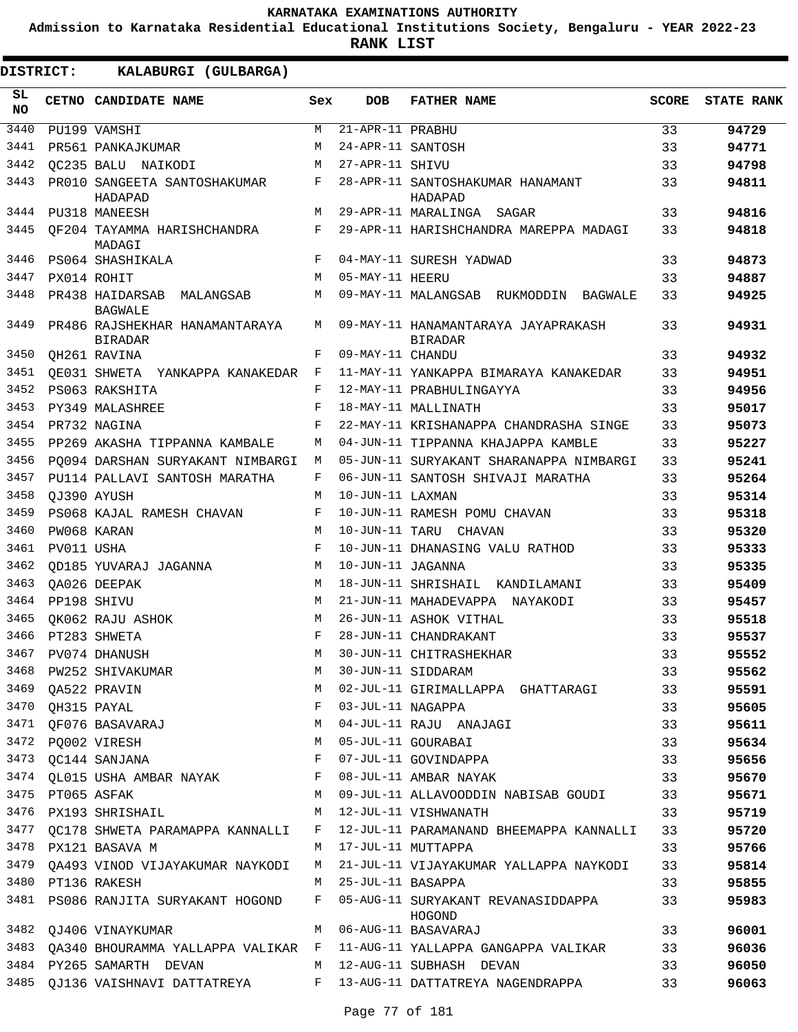**Admission to Karnataka Residential Educational Institutions Society, Bengaluru - YEAR 2022-23**

**RANK LIST**

| SL<br><b>NO</b> |             | CETNO CANDIDATE NAME                                               | Sex        | <b>DOB</b>          | <b>FATHER NAME</b>                                                             | <b>SCORE</b> | <b>STATE RANK</b> |
|-----------------|-------------|--------------------------------------------------------------------|------------|---------------------|--------------------------------------------------------------------------------|--------------|-------------------|
| 3440            |             | PU199 VAMSHI                                                       | M          | 21-APR-11 PRABHU    |                                                                                | 33           | 94729             |
| 3441            |             | PR561 PANKAJKUMAR                                                  | M          | 24-APR-11 SANTOSH   |                                                                                | 33           | 94771             |
| 3442            |             | OC235 BALU NAIKODI                                                 | М          | 27-APR-11 SHIVU     |                                                                                | 33           | 94798             |
| 3443            |             | PR010 SANGEETA SANTOSHAKUMAR<br>HADAPAD                            | F          |                     | 28-APR-11 SANTOSHAKUMAR HANAMANT<br>HADAPAD                                    | 33           | 94811             |
| 3444            |             | PU318 MANEESH                                                      | M          |                     | 29-APR-11 MARALINGA SAGAR                                                      | 33           | 94816             |
| 3445            |             | OF204 TAYAMMA HARISHCHANDRA<br>MADAGI                              | F          |                     | 29-APR-11 HARISHCHANDRA MAREPPA MADAGI                                         | 33           | 94818             |
| 3446            |             | PS064 SHASHIKALA                                                   | F          |                     | 04-MAY-11 SURESH YADWAD                                                        | 33           | 94873             |
| 3447            |             | PX014 ROHIT                                                        | M          | 05-MAY-11 HEERU     |                                                                                | 33           | 94887             |
| 3448            |             | PR438 HAIDARSAB MALANGSAB<br><b>BAGWALE</b>                        | M          |                     | 09-MAY-11 MALANGSAB RUKMODDIN BAGWALE                                          | 33           | 94925             |
| 3449            |             | PR486 RAJSHEKHAR HANAMANTARAYA<br><b>BIRADAR</b>                   | M          |                     | 09-MAY-11 HANAMANTARAYA JAYAPRAKASH<br><b>BIRADAR</b>                          | 33           | 94931             |
| 3450            |             | OH261 RAVINA                                                       | F          | 09-MAY-11 CHANDU    |                                                                                | 33           | 94932             |
| 3451            |             | OE031 SHWETA YANKAPPA KANAKEDAR                                    | F          |                     | 11-MAY-11 YANKAPPA BIMARAYA KANAKEDAR                                          | 33           | 94951             |
| 3452            |             | PS063 RAKSHITA                                                     | F          |                     | 12-MAY-11 PRABHULINGAYYA                                                       | 33           | 94956             |
| 3453            |             | PY349 MALASHREE                                                    | $_{\rm F}$ |                     | 18-MAY-11 MALLINATH                                                            | 33           | 95017             |
| 3454            |             | PR732 NAGINA                                                       | $_{\rm F}$ |                     | 22-MAY-11 KRISHANAPPA CHANDRASHA SINGE                                         | 33           | 95073             |
| 3455            |             | PP269 AKASHA TIPPANNA KAMBALE                                      | M          |                     | 04-JUN-11 TIPPANNA KHAJAPPA KAMBLE                                             | 33           | 95227             |
| 3456            |             | PO094 DARSHAN SURYAKANT NIMBARGI                                   | М          |                     | 05-JUN-11 SURYAKANT SHARANAPPA NIMBARGI                                        | 33           | 95241             |
| 3457            |             | PU114 PALLAVI SANTOSH MARATHA                                      | F          |                     | 06-JUN-11 SANTOSH SHIVAJI MARATHA                                              | 33           | 95264             |
| 3458            |             | OJ390 AYUSH                                                        | M          | 10-JUN-11 LAXMAN    |                                                                                | 33           | 95314             |
| 3459            |             | PS068 KAJAL RAMESH CHAVAN                                          | F          |                     | 10-JUN-11 RAMESH POMU CHAVAN                                                   | 33           | 95318             |
| 3460            |             | PW068 KARAN                                                        | M          |                     | 10-JUN-11 TARU CHAVAN                                                          | 33           | 95320             |
| 3461            | PV011 USHA  |                                                                    | F          |                     | 10-JUN-11 DHANASING VALU RATHOD                                                | 33           | 95333             |
| 3462            |             | OD185 YUVARAJ JAGANNA                                              | M          | 10-JUN-11 JAGANNA   |                                                                                | 33           | 95335             |
| 3463            |             | OA026 DEEPAK                                                       | M          |                     | 18-JUN-11 SHRISHAIL KANDILAMANI                                                | 33           | 95409             |
| 3464            |             | PP198 SHIVU                                                        | M          |                     | 21-JUN-11 MAHADEVAPPA NAYAKODI                                                 | 33           | 95457             |
| 3465            |             | OK062 RAJU ASHOK                                                   | M          |                     | 26-JUN-11 ASHOK VITHAL                                                         | 33           | 95518             |
| 3466            |             | PT283 SHWETA                                                       | F          |                     | 28-JUN-11 CHANDRAKANT                                                          | 33           | 95537             |
| 3467            |             | PV074 DHANUSH                                                      | M          |                     | 30-JUN-11 CHITRASHEKHAR                                                        | 33           | 95552             |
| 3468            |             | PW252 SHIVAKUMAR                                                   | M          |                     | 30-JUN-11 SIDDARAM                                                             | 33           | 95562             |
| 3469            |             |                                                                    |            |                     | 02-JUL-11 GIRIMALLAPPA GHATTARAGI                                              | 33           | 95591             |
|                 |             | 3470 QH315 PAYAL                                                   |            | 03-JUL-11 NAGAPPA   |                                                                                | 33           | 95605             |
| 3471            |             | QA522 PRAVIN<br>QH315 PAYAL F<br>QF076 BASAVARAJ M<br>DO003 VIDEOV |            |                     | 04-JUL-11 RAJU ANAJAGI                                                         | 33           | 95611             |
|                 |             | M <sub>N</sub><br>3472 PQ002 VIRESH                                |            |                     | 05-JUL-11 GOURABAI                                                             | 33           | 95634             |
| 3473            |             | QC144 SANJANA<br>$\mathbf{F}$                                      |            |                     | 07-JUL-11 GOVINDAPPA                                                           | 33           | 95656             |
|                 |             | 3474 QL015 USHA AMBAR NAYAK F                                      |            |                     | 08-JUL-11 AMBAR NAYAK                                                          | 33           | 95670             |
| 3475            | PT065 ASFAK |                                                                    | M          |                     | 09-JUL-11 ALLAVOODDIN NABISAB GOUDI 33                                         |              | 95671             |
| 3476            |             | PX193 SHRISHAIL                                                    | M          |                     | 12-JUL-11 VISHWANATH                                                           | 33           | 95719             |
| 3477            |             | OC178 SHWETA PARAMAPPA KANNALLI                                    | F          |                     | 12-JUL-11 PARAMANAND BHEEMAPPA KANNALLI                                        | 33           | 95720             |
|                 |             | 3478 PX121 BASAVA M                                                | M          |                     | 17-JUL-11 MUTTAPPA                                                             | 33           | 95766             |
|                 |             | 3479 QA493 VINOD VIJAYAKUMAR NAYKODI                               |            |                     | M 21-JUL-11 VIJAYAKUMAR YALLAPPA NAYKODI                                       | 33           | 95814             |
|                 |             | 3480 PT136 RAKESH                                                  |            | M 25-JUL-11 BASAPPA |                                                                                | 33           | 95855             |
|                 |             | 3481 PS086 RANJITA SURYAKANT HOGOND                                |            |                     | F 05-AUG-11 SURYAKANT REVANASIDDAPPA<br>HOGOND                                 | 33           | 95983             |
|                 |             | 3482 QJ406 VINAYKUMAR                                              |            |                     | M 06-AUG-11 BASAVARAJ                                                          | 33           | 96001             |
|                 |             |                                                                    |            |                     | 3483 QA340 BHOURAMMA YALLAPPA VALIKAR F 11-AUG-11 YALLAPPA GANGAPPA VALIKAR 33 |              | 96036             |
|                 |             | 3484 PY265 SAMARTH DEVAN M 12-AUG-11 SUBHASH DEVAN                 |            |                     |                                                                                | 33           | 96050             |
|                 |             |                                                                    |            |                     | 3485 QJ136 VAISHNAVI DATTATREYA F 13-AUG-11 DATTATREYA NAGENDRAPPA             | 33           | 96063             |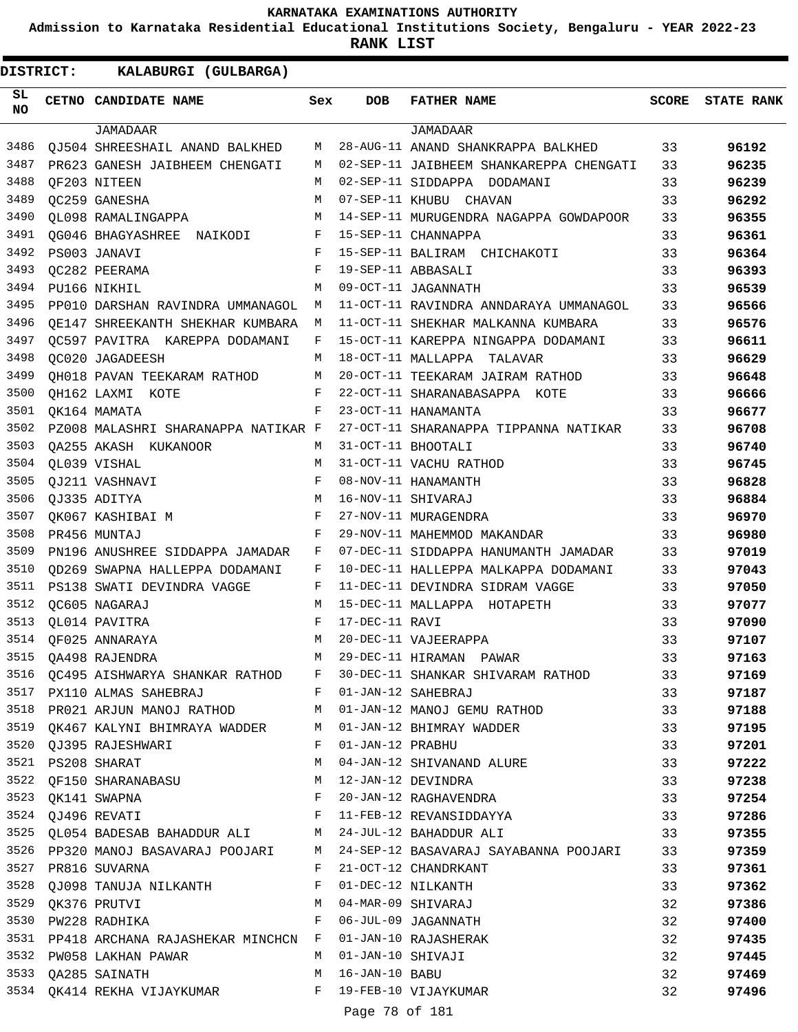**Admission to Karnataka Residential Educational Institutions Society, Bengaluru - YEAR 2022-23**

**RANK LIST**

**DISTRICT:** KK **KALABURGI (GULBARGA)**

| SL<br>NO. | CETNO CANDIDATE NAME                                          | Sex          | <b>DOB</b>         | <b>FATHER NAME</b>                      | <b>SCORE</b> | <b>STATE RANK</b> |
|-----------|---------------------------------------------------------------|--------------|--------------------|-----------------------------------------|--------------|-------------------|
|           | JAMADAAR                                                      |              |                    | <b>JAMADAAR</b>                         |              |                   |
| 3486      | QJ504 SHREESHAIL ANAND BALKHED                                | M            |                    | 28-AUG-11 ANAND SHANKRAPPA BALKHED      | 33           | 96192             |
| 3487      | PR623 GANESH JAIBHEEM CHENGATI                                | M            |                    | 02-SEP-11 JAIBHEEM SHANKAREPPA CHENGATI | 33           | 96235             |
| 3488      | OF203 NITEEN                                                  | M            |                    | 02-SEP-11 SIDDAPPA DODAMANI             | 33           | 96239             |
| 3489      | OC259 GANESHA                                                 | M            |                    | 07-SEP-11 KHUBU CHAVAN                  | 33           | 96292             |
| 3490      | OL098 RAMALINGAPPA                                            | м            |                    | 14-SEP-11 MURUGENDRA NAGAPPA GOWDAPOOR  | 33           | 96355             |
| 3491      | QG046 BHAGYASHREE NAIKODI F                                   |              |                    | 15-SEP-11 CHANNAPPA                     | 33           | 96361             |
| 3492      | PS003 JANAVI                                                  | F            |                    | 15-SEP-11 BALIRAM CHICHAKOTI            | 33           | 96364             |
| 3493      | OC282 PEERAMA                                                 | F            |                    | 19-SEP-11 ABBASALI                      | 33           | 96393             |
| 3494      | PU166 NIKHIL                                                  | M            |                    | 09-OCT-11 JAGANNATH                     | 33           | 96539             |
| 3495      | PP010 DARSHAN RAVINDRA UMMANAGOL                              | М            |                    | 11-OCT-11 RAVINDRA ANNDARAYA UMMANAGOL  | 33           | 96566             |
| 3496      | QE147 SHREEKANTH SHEKHAR KUMBARA M                            |              |                    | 11-OCT-11 SHEKHAR MALKANNA KUMBARA      | 33           | 96576             |
| 3497      | OC597 PAVITRA KAREPPA DODAMANI                                | F            |                    | 15-OCT-11 KAREPPA NINGAPPA DODAMANI     | 33           | 96611             |
| 3498      | OC020 JAGADEESH                                               | M            |                    | 18-OCT-11 MALLAPPA TALAVAR              | 33           | 96629             |
| 3499      | QH018 PAVAN TEEKARAM RATHOD M                                 |              |                    | 20-OCT-11 TEEKARAM JAIRAM RATHOD        | 33           | 96648             |
| 3500      | QH162 LAXMI KOTE                                              | F            |                    | 22-OCT-11 SHARANABASAPPA KOTE           | 33           | 96666             |
| 3501      | OK164 MAMATA                                                  | F            |                    | 23-OCT-11 HANAMANTA                     | 33           | 96677             |
| 3502      | PZ008 MALASHRI SHARANAPPA NATIKAR F                           |              |                    | 27-OCT-11 SHARANAPPA TIPPANNA NATIKAR   | 33           | 96708             |
| 3503      | QA255 AKASH KUKANOOR M                                        |              | 31-OCT-11 BHOOTALI |                                         | 33           | 96740             |
| 3504      | QL039 VISHAL                                                  | M            |                    | 31-OCT-11 VACHU RATHOD                  | 33           | 96745             |
| 3505      | QJ211 VASHNAVI                                                | F            |                    | 08-NOV-11 HANAMANTH                     | 33           | 96828             |
| 3506      | QJ335 ADITYA                                                  | M            | 16-NOV-11 SHIVARAJ |                                         | 33           | 96884             |
| 3507      | OK067 KASHIBAI M                                              | F            |                    | 27-NOV-11 MURAGENDRA                    | 33           | 96970             |
| 3508      | PR456 MUNTAJ                                                  | F            |                    | 29-NOV-11 MAHEMMOD MAKANDAR             | 33           | 96980             |
| 3509      | PN196 ANUSHREE SIDDAPPA JAMADAR                               | F            |                    | 07-DEC-11 SIDDAPPA HANUMANTH JAMADAR    | 33           | 97019             |
| 3510      | OD269 SWAPNA HALLEPPA DODAMANI                                | F            |                    | 10-DEC-11 HALLEPPA MALKAPPA DODAMANI    | 33           | 97043             |
| 3511      | PS138 SWATI DEVINDRA VAGGE                                    | F            |                    | 11-DEC-11 DEVINDRA SIDRAM VAGGE         | 33           | 97050             |
| 3512      | QC605 NAGARAJ                                                 | M            |                    | 15-DEC-11 MALLAPPA HOTAPETH             | 33           | 97077             |
| 3513      | OL014 PAVITRA                                                 | F            | 17-DEC-11 RAVI     |                                         | 33           | 97090             |
| 3514      | OF025 ANNARAYA                                                | M            |                    | 20-DEC-11 VAJEERAPPA                    | 33           | 97107             |
| 3515      | QA498 RAJENDRA                                                | М            |                    | 29-DEC-11 HIRAMAN PAWAR                 | 33           | 97163             |
| 3516      | QC495 AISHWARYA SHANKAR RATHOD                                | $\mathbf{F}$ |                    | 30-DEC-11 SHANKAR SHIVARAM RATHOD       | 33           | 97169             |
|           | 3517 PX110 ALMAS SAHEBRAJ                                     |              |                    | F 01-JAN-12 SAHEBRAJ                    | 33           | 97187             |
| 3518      | PR021 ARJUN MANOJ RATHOD M                                    |              |                    | 01-JAN-12 MANOJ GEMU RATHOD             | 33           | 97188             |
| 3519      | QK467 KALYNI BHIMRAYA WADDER M 01-JAN-12 BHIMRAY WADDER       |              |                    |                                         | 33           | 97195             |
|           | 3520 QJ395 RAJESHWARI                                         | $\mathbf{F}$ | 01-JAN-12 PRABHU   |                                         | 33           | 97201             |
| 3521      | PS208 SHARAT                                                  | M            |                    | 04-JAN-12 SHIVANAND ALURE               | 33           | 97222             |
| 3522      | QF150 SHARANABASU M                                           |              |                    | 12-JAN-12 DEVINDRA                      | 33           | 97238             |
| 3523      | QK141 SWAPNA<br><b>Example 20 F</b>                           |              |                    | 20-JAN-12 RAGHAVENDRA                   | 33           | 97254             |
|           | 3524 QJ496 REVATI                                             | F            |                    | 11-FEB-12 REVANSIDDAYYA                 | 33           | 97286             |
|           | 3525 QL054 BADESAB BAHADDUR ALI M 24-JUL-12 BAHADDUR ALI      |              |                    |                                         | 33           | 97355             |
|           | 3526 PP320 MANOJ BASAVARAJ POOJARI M                          |              |                    | 24-SEP-12 BASAVARAJ SAYABANNA POOJARI   | 33           | 97359             |
| 3527      | PR816 SUVARNA                                                 | $\mathbf{F}$ |                    | 21-OCT-12 CHANDRKANT                    | 33           | 97361             |
|           | 3528 QJ098 TANUJA NILKANTH<br>$\mathbf{F}$ . The $\mathbf{F}$ |              |                    | 01-DEC-12 NILKANTH                      | 33           | 97362             |
| 3529      | QK376 PRUTVI                                                  | M            |                    | 04-MAR-09 SHIVARAJ                      | 32           | 97386             |
| 3530      | PW228 RADHIKA                                                 | F            |                    | 06-JUL-09 JAGANNATH                     | 32           | 97400             |
| 3531      | PP418 ARCHANA RAJASHEKAR MINCHCN F                            |              |                    | 01-JAN-10 RAJASHERAK                    | 32           | 97435             |
|           | 3532 PW058 LAKHAN PAWAR                                       | M            | 01-JAN-10 SHIVAJI  |                                         | 32           | 97445             |
|           | 3533 QA285 SAINATH                                            | M            | 16-JAN-10 BABU     |                                         | 32           | 97469             |
|           | 3534 QK414 REKHA VIJAYKUMAR F 19-FEB-10 VIJAYKUMAR            |              |                    |                                         | 32           | 97496             |
|           |                                                               |              |                    |                                         |              |                   |

Page 78 of 181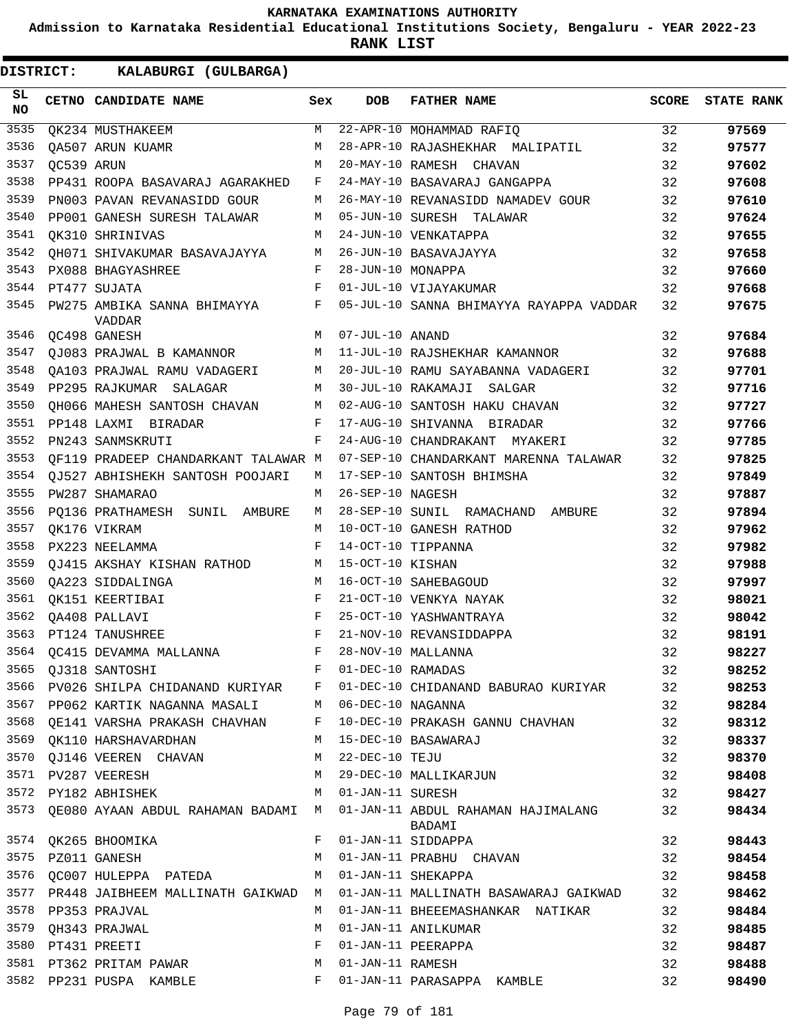**Admission to Karnataka Residential Educational Institutions Society, Bengaluru - YEAR 2022-23**

| DISTRICT:       |            | KALABURGI (GULBARGA)                                 |     |                   |                                                                                      |              |                   |
|-----------------|------------|------------------------------------------------------|-----|-------------------|--------------------------------------------------------------------------------------|--------------|-------------------|
| SL<br><b>NO</b> |            | CETNO CANDIDATE NAME                                 | Sex | <b>DOB</b>        | <b>FATHER NAME</b>                                                                   | <b>SCORE</b> | <b>STATE RANK</b> |
| 3535            |            | QK234 MUSTHAKEEM                                     | M   |                   | 22-APR-10 MOHAMMAD RAFIQ                                                             | 32           | 97569             |
| 3536            |            | OA507 ARUN KUAMR                                     | M   |                   | 28-APR-10 RAJASHEKHAR MALIPATIL                                                      | 32           | 97577             |
| 3537            | OC539 ARUN |                                                      | M   |                   | 20-MAY-10 RAMESH CHAVAN                                                              | 32           | 97602             |
| 3538            |            | PP431 ROOPA BASAVARAJ AGARAKHED                      | F   |                   | 24-MAY-10 BASAVARAJ GANGAPPA                                                         | 32           | 97608             |
| 3539            |            | PN003 PAVAN REVANASIDD GOUR                          | M   |                   | 26-MAY-10 REVANASIDD NAMADEV GOUR                                                    | 32           | 97610             |
| 3540            |            | PP001 GANESH SURESH TALAWAR                          | M   |                   | 05-JUN-10 SURESH TALAWAR                                                             | 32           | 97624             |
| 3541            |            | OK310 SHRINIVAS                                      | М   |                   | 24-JUN-10 VENKATAPPA                                                                 | 32           | 97655             |
| 3542            |            | QH071 SHIVAKUMAR BASAVAJAYYA                         | M   |                   | 26-JUN-10 BASAVAJAYYA                                                                | 32           | 97658             |
| 3543            |            | PX088 BHAGYASHREE                                    | F   | 28-JUN-10 MONAPPA |                                                                                      | 32           | 97660             |
| 3544            |            | PT477 SUJATA                                         | F   |                   | 01-JUL-10 VIJAYAKUMAR                                                                | 32           | 97668             |
| 3545            |            | PW275 AMBIKA SANNA BHIMAYYA<br><b>VADDAR</b>         | F   |                   | 05-JUL-10 SANNA BHIMAYYA RAYAPPA VADDAR                                              | 32           | 97675             |
| 3546            |            | QC498 GANESH                                         | M   | 07-JUL-10 ANAND   |                                                                                      | 32           | 97684             |
| 3547            |            | QJ083 PRAJWAL B KAMANNOR                             | М   |                   | 11-JUL-10 RAJSHEKHAR KAMANNOR                                                        | 32           | 97688             |
| 3548            |            | QA103 PRAJWAL RAMU VADAGERI                          | M   |                   | 20-JUL-10 RAMU SAYABANNA VADAGERI                                                    | 32           | 97701             |
| 3549            |            | PP295 RAJKUMAR SALAGAR                               | M   |                   | 30-JUL-10 RAKAMAJI SALGAR                                                            | 32           | 97716             |
| 3550            |            | QH066 MAHESH SANTOSH CHAVAN                          | M   |                   | 02-AUG-10 SANTOSH HAKU CHAVAN                                                        | 32           | 97727             |
| 3551            |            | PP148 LAXMI BIRADAR                                  | F   |                   | 17-AUG-10 SHIVANNA BIRADAR                                                           | 32           | 97766             |
| 3552            |            | PN243 SANMSKRUTI                                     | F   |                   | 24-AUG-10 CHANDRAKANT MYAKERI                                                        | 32           | 97785             |
| 3553            |            | QF119 PRADEEP CHANDARKANT TALAWAR M                  |     |                   | 07-SEP-10 CHANDARKANT MARENNA TALAWAR                                                | 32           | 97825             |
| 3554            |            | QJ527 ABHISHEKH SANTOSH POOJARI                      | M   |                   | 17-SEP-10 SANTOSH BHIMSHA                                                            | 32           | 97849             |
| 3555            |            | PW287 SHAMARAO                                       | M   | 26-SEP-10 NAGESH  |                                                                                      | 32           | 97887             |
| 3556            |            | PQ136 PRATHAMESH SUNIL AMBURE                        | M   |                   | 28-SEP-10 SUNIL RAMACHAND AMBURE                                                     | 32           | 97894             |
| 3557            |            | QK176 VIKRAM                                         | M   |                   | 10-OCT-10 GANESH RATHOD                                                              | 32           | 97962             |
| 3558            |            | PX223 NEELAMMA                                       | F   |                   | 14-OCT-10 TIPPANNA                                                                   | 32           | 97982             |
| 3559            |            | QJ415 AKSHAY KISHAN RATHOD                           | M   | 15-OCT-10 KISHAN  |                                                                                      | 32           | 97988             |
| 3560            |            | QA223 SIDDALINGA                                     | M   |                   | 16-OCT-10 SAHEBAGOUD                                                                 | 32           | 97997             |
| 3561            |            | OK151 KEERTIBAI                                      | F   |                   | 21-OCT-10 VENKYA NAYAK                                                               | 32           | 98021             |
| 3562            |            | QA408 PALLAVI                                        | F   |                   | 25-OCT-10 YASHWANTRAYA                                                               | 32           | 98042             |
|                 |            | 3563 PT124 TANUSHREE                                 | F   |                   | 21-NOV-10 REVANSIDDAPPA                                                              | 32           | 98191             |
| 3564            |            | QC415 DEVAMMA MALLANNA F                             |     |                   | 28-NOV-10 MALLANNA                                                                   | 32           | 98227             |
| 3565            |            | QJ318 SANTOSHI F 01-DEC-10 RAMADAS                   |     |                   |                                                                                      | 32           | 98252             |
| 3566            |            |                                                      |     |                   | PV026 SHILPA CHIDANAND KURIYAR F 01-DEC-10 CHIDANAND BABURAO KURIYAR                 | 32           | 98253             |
|                 |            | 3567 PP062 KARTIK NAGANNA MASALI M 06-DEC-10 NAGANNA |     |                   |                                                                                      | 32           | 98284             |
|                 |            |                                                      |     |                   | 3568 QE141 VARSHA PRAKASH CHAVHAN F 10-DEC-10 PRAKASH GANNU CHAVHAN                  | 32           | 98312             |
|                 |            | 3569 QK110 HARSHAVARDHAN M 15-DEC-10 BASAWARAJ       |     |                   |                                                                                      | 32           | 98337             |
|                 |            | 3570 QJ146 VEEREN CHAVAN M 22-DEC-10 TEJU            |     |                   |                                                                                      | 32           | 98370             |
|                 |            | 3571 PV287 VEERESH                                   |     |                   | M 29-DEC-10 MALLIKARJUN                                                              | 32           | 98408             |
|                 |            | 3572 PY182 ABHISHEK M                                |     |                   | 01-JAN-11 SURESH                                                                     | 32           | 98427             |
|                 |            |                                                      |     |                   | 3573 QE080 AYAAN ABDUL RAHAMAN BADAMI M 01-JAN-11 ABDUL RAHAMAN HAJIMALANG<br>BADAMI | 32           | 98434             |
|                 |            | 3574 QK265 BHOOMIKA                                  | F   |                   | 01-JAN-11 SIDDAPPA                                                                   | 32           | 98443             |
|                 |            | 3575 PZ011 GANESH                                    | M   |                   | 01-JAN-11 PRABHU CHAVAN                                                              | 32           | 98454             |
|                 |            | 3576 QC007 HULEPPA PATEDA                            | M   |                   | 01-JAN-11 SHEKAPPA                                                                   | 32           | 98458             |
|                 |            |                                                      |     |                   | 3577 PR448 JAIBHEEM MALLINATH GAIKWAD M 01-JAN-11 MALLINATH BASAWARAJ GAIKWAD        | 32           | 98462             |
|                 |            | 3578 PP353 PRAJVAL                                   | M   |                   | 01-JAN-11 BHEEEMASHANKAR NATIKAR                                                     | 32           | 98484             |
|                 |            | 3579 QH343 PRAJWAL                                   | M   |                   | 01-JAN-11 ANILKUMAR                                                                  | 32           | 98485             |
|                 |            | 3580 PT431 PREETI                                    | F   |                   | 01-JAN-11 PEERAPPA                                                                   | 32           | 98487             |
|                 |            | 3581 PT362 PRITAM PAWAR                              | M   |                   | 01-JAN-11 RAMESH                                                                     | 32           |                   |
|                 |            |                                                      | F   |                   | 01-JAN-11 PARASAPPA KAMBLE                                                           | 32           | 98488<br>98490    |
|                 |            | 3582 PP231 PUSPA KAMBLE                              |     |                   |                                                                                      |              |                   |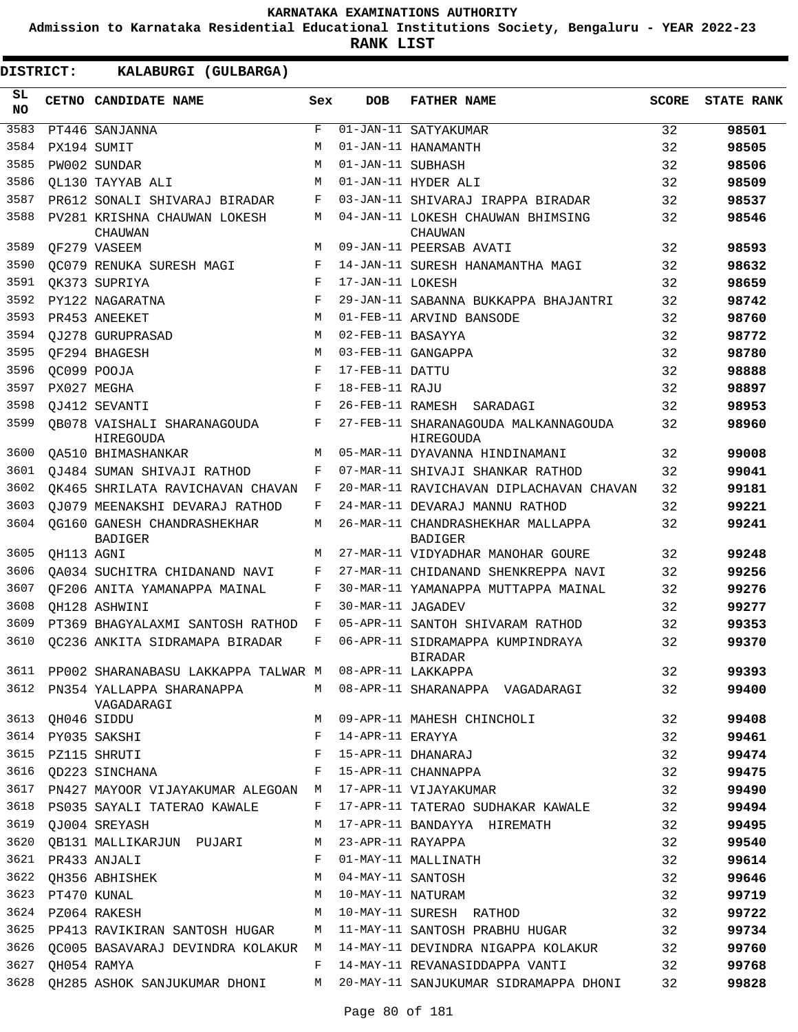**Admission to Karnataka Residential Educational Institutions Society, Bengaluru - YEAR 2022-23**

**RANK LIST**

| SL<br><b>NO</b> |             | CETNO CANDIDATE NAME                                   | Sex | <b>DOB</b>        | <b>FATHER NAME</b>                                  | <b>SCORE</b> | <b>STATE RANK</b> |
|-----------------|-------------|--------------------------------------------------------|-----|-------------------|-----------------------------------------------------|--------------|-------------------|
| 3583            |             | PT446 SANJANNA                                         | F   |                   | 01-JAN-11 SATYAKUMAR                                | 32           | 98501             |
| 3584            |             | PX194 SUMIT                                            | М   |                   | 01-JAN-11 HANAMANTH                                 | 32           | 98505             |
| 3585            |             | PW002 SUNDAR                                           | М   | 01-JAN-11 SUBHASH |                                                     | 32           | 98506             |
| 3586            |             | OL130 TAYYAB ALI                                       | M   |                   | 01-JAN-11 HYDER ALI                                 | 32           | 98509             |
| 3587            |             | PR612 SONALI SHIVARAJ BIRADAR                          | F   |                   | 03-JAN-11 SHIVARAJ IRAPPA BIRADAR                   | 32           | 98537             |
| 3588            |             | PV281 KRISHNA CHAUWAN LOKESH<br>CHAUWAN                | М   |                   | 04-JAN-11 LOKESH CHAUWAN BHIMSING<br>CHAUWAN        | 32           | 98546             |
| 3589            |             | OF279 VASEEM                                           | М   |                   | 09-JAN-11 PEERSAB AVATI                             | 32           | 98593             |
| 3590            |             | OC079 RENUKA SURESH MAGI                               | F   |                   | 14-JAN-11 SURESH HANAMANTHA MAGI                    | 32           | 98632             |
| 3591            |             | QK373 SUPRIYA                                          | F   | 17-JAN-11 LOKESH  |                                                     | 32           | 98659             |
| 3592            |             | PY122 NAGARATNA                                        | F   |                   | 29-JAN-11 SABANNA BUKKAPPA BHAJANTRI                | 32           | 98742             |
| 3593            |             | PR453 ANEEKET                                          | M   |                   | 01-FEB-11 ARVIND BANSODE                            | 32           | 98760             |
| 3594            |             | OJ278 GURUPRASAD                                       | М   | 02-FEB-11 BASAYYA |                                                     | 32           | 98772             |
| 3595            |             | OF294 BHAGESH                                          | M   |                   | 03-FEB-11 GANGAPPA                                  | 32           | 98780             |
| 3596            | OC099 POOJA |                                                        | F   | 17-FEB-11 DATTU   |                                                     | 32           | 98888             |
| 3597            |             | PX027 MEGHA                                            | F   | 18-FEB-11 RAJU    |                                                     | 32           | 98897             |
| 3598            |             | OJ412 SEVANTI                                          | F   |                   | 26-FEB-11 RAMESH SARADAGI                           | 32           | 98953             |
| 3599            |             | OB078 VAISHALI SHARANAGOUDA<br>HIREGOUDA               | F   |                   | 27-FEB-11 SHARANAGOUDA MALKANNAGOUDA<br>HIREGOUDA   | 32           | 98960             |
| 3600            |             | OA510 BHIMASHANKAR                                     | M   |                   | 05-MAR-11 DYAVANNA HINDINAMANI                      | 32           | 99008             |
| 3601            |             | OJ484 SUMAN SHIVAJI RATHOD                             | F   |                   | 07-MAR-11 SHIVAJI SHANKAR RATHOD                    | 32           | 99041             |
| 3602            |             | OK465 SHRILATA RAVICHAVAN CHAVAN                       | F   |                   | 20-MAR-11 RAVICHAVAN DIPLACHAVAN CHAVAN             | 32           | 99181             |
| 3603            |             | OJ079 MEENAKSHI DEVARAJ RATHOD                         | F   |                   | 24-MAR-11 DEVARAJ MANNU RATHOD                      | 32           | 99221             |
| 3604            |             | OG160 GANESH CHANDRASHEKHAR<br><b>BADIGER</b>          | М   |                   | 26-MAR-11 CHANDRASHEKHAR MALLAPPA<br><b>BADIGER</b> | 32           | 99241             |
| 3605            | OH113 AGNI  |                                                        | М   |                   | 27-MAR-11 VIDYADHAR MANOHAR GOURE                   | 32           | 99248             |
| 3606            |             | OA034 SUCHITRA CHIDANAND NAVI                          | F   |                   | 27-MAR-11 CHIDANAND SHENKREPPA NAVI                 | 32           | 99256             |
| 3607            |             | OF206 ANITA YAMANAPPA MAINAL                           | F   |                   | 30-MAR-11 YAMANAPPA MUTTAPPA MAINAL                 | 32           | 99276             |
| 3608            |             | QH128 ASHWINI                                          | F   | 30-MAR-11 JAGADEV |                                                     | 32           | 99277             |
| 3609            |             | PT369 BHAGYALAXMI SANTOSH RATHOD                       | F   |                   | 05-APR-11 SANTOH SHIVARAM RATHOD                    | 32           | 99353             |
| 3610            |             | OC236 ANKITA SIDRAMAPA BIRADAR                         | F   |                   | 06-APR-11 SIDRAMAPPA KUMPINDRAYA<br><b>BIRADAR</b>  | 32           | 99370             |
| 3611            |             | PP002 SHARANABASU LAKKAPPA TALWAR M 08-APR-11 LAKKAPPA |     |                   |                                                     | 32           | 99393             |
| 3612            |             | PN354 YALLAPPA SHARANAPPA<br>VAGADARAGI                |     |                   | M 08-APR-11 SHARANAPPA VAGADARAGI                   | 32           | 99400             |
| 3613            |             | OH046 SIDDU                                            | M   |                   | 09-APR-11 MAHESH CHINCHOLI                          | 32           | 99408             |
| 3614            |             | PY035 SAKSHI                                           | F   | 14-APR-11 ERAYYA  |                                                     | 32           | 99461             |
| 3615            |             | PZ115 SHRUTI                                           | F   |                   | 15-APR-11 DHANARAJ                                  | 32           | 99474             |
| 3616            |             | OD223 SINCHANA                                         | F   |                   | 15-APR-11 CHANNAPPA                                 | 32           | 99475             |
| 3617            |             | PN427 MAYOOR VIJAYAKUMAR ALEGOAN M                     |     |                   | 17-APR-11 VIJAYAKUMAR                               | 32           | 99490             |
|                 |             | 3618 PS035 SAYALI TATERAO KAWALE                       | F   |                   | 17-APR-11 TATERAO SUDHAKAR KAWALE                   | 32           | 99494             |
|                 |             | 3619 QJ004 SREYASH                                     | M   |                   | 17-APR-11 BANDAYYA HIREMATH                         | 32           | 99495             |
| 3620            |             | QB131 MALLIKARJUN PUJARI                               | M   | 23-APR-11 RAYAPPA |                                                     | 32           | 99540             |
| 3621            |             | PR433 ANJALI                                           | F   |                   | 01-MAY-11 MALLINATH                                 | 32           | 99614             |
| 3622            |             | OH356 ABHISHEK                                         | М   | 04-MAY-11 SANTOSH |                                                     | 32           | 99646             |
| 3623            |             | PT470 KUNAL                                            | M   | 10-MAY-11 NATURAM |                                                     | 32           | 99719             |
| 3624            |             | PZ064 RAKESH                                           | M   |                   | 10-MAY-11 SURESH RATHOD                             | 32           | 99722             |
| 3625            |             | PP413 RAVIKIRAN SANTOSH HUGAR                          | M   |                   | 11-MAY-11 SANTOSH PRABHU HUGAR                      | 32           | 99734             |
| 3626            |             | QC005 BASAVARAJ DEVINDRA KOLAKUR M                     |     |                   | 14-MAY-11 DEVINDRA NIGAPPA KOLAKUR                  | 32           | 99760             |
| 3627            |             | QH054 RAMYA                                            | F   |                   | 14-MAY-11 REVANASIDDAPPA VANTI                      | 32           | 99768             |
| 3628            |             | QH285 ASHOK SANJUKUMAR DHONI                           | M   |                   | 20-MAY-11 SANJUKUMAR SIDRAMAPPA DHONI               | 32           | 99828             |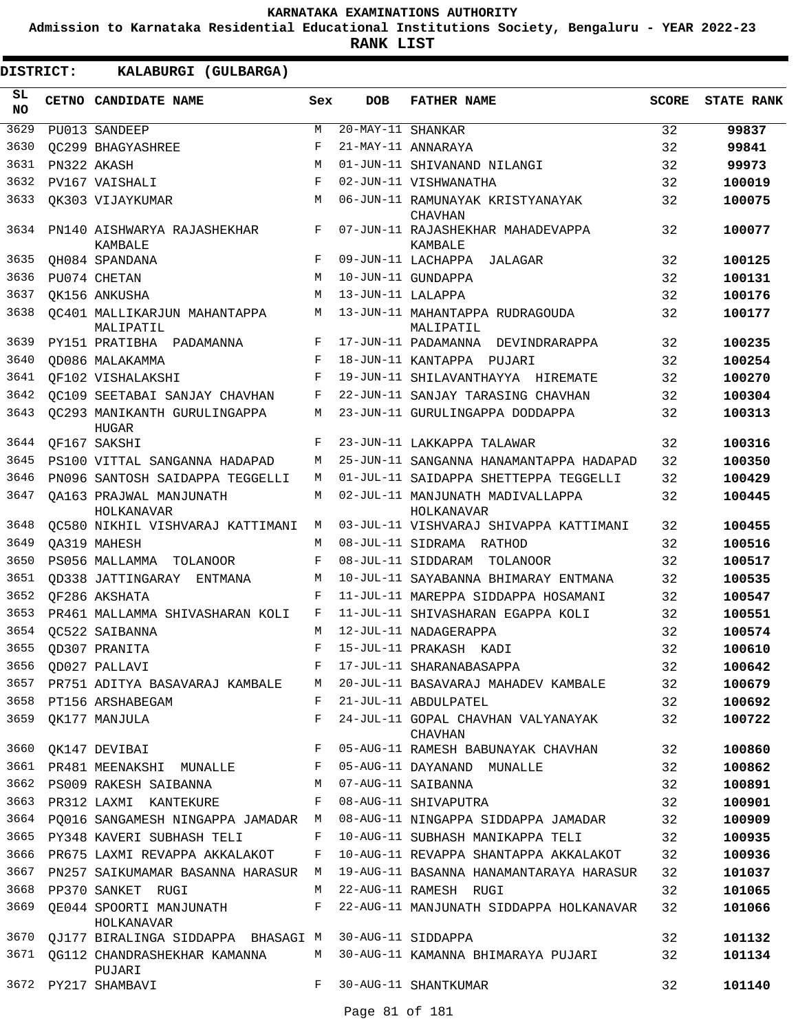**Admission to Karnataka Residential Educational Institutions Society, Bengaluru - YEAR 2022-23**

| DISTRICT:       | KALABURGI (GULBARGA)                         |     |                   |                                                                        |              |                   |
|-----------------|----------------------------------------------|-----|-------------------|------------------------------------------------------------------------|--------------|-------------------|
| SL<br><b>NO</b> | CETNO CANDIDATE NAME                         | Sex | <b>DOB</b>        | <b>FATHER NAME</b>                                                     | <b>SCORE</b> | <b>STATE RANK</b> |
| 3629            | PU013 SANDEEP                                | М   | 20-MAY-11 SHANKAR |                                                                        | 32           | 99837             |
| 3630            | OC299 BHAGYASHREE                            | F   |                   | 21-MAY-11 ANNARAYA                                                     | 32           | 99841             |
| 3631            | PN322 AKASH                                  | M   |                   | 01-JUN-11 SHIVANAND NILANGI                                            | 32           | 99973             |
| 3632            | PV167 VAISHALI                               | F   |                   | 02-JUN-11 VISHWANATHA                                                  | 32           | 100019            |
| 3633            | OK303 VIJAYKUMAR                             | M   |                   | 06-JUN-11 RAMUNAYAK KRISTYANAYAK<br><b>CHAVHAN</b>                     | 32           | 100075            |
| 3634            | PN140 AISHWARYA RAJASHEKHAR<br>KAMBALE       | F   |                   | 07-JUN-11 RAJASHEKHAR MAHADEVAPPA<br>KAMBALE                           | 32           | 100077            |
| 3635            | QH084 SPANDANA                               | F   |                   | 09-JUN-11 LACHAPPA JALAGAR                                             | 32           | 100125            |
| 3636            | PU074 CHETAN                                 | M   |                   | 10-JUN-11 GUNDAPPA                                                     | 32           | 100131            |
| 3637            | OK156 ANKUSHA                                | M   | 13-JUN-11 LALAPPA |                                                                        | 32           | 100176            |
| 3638            | OC401 MALLIKARJUN MAHANTAPPA<br>MALIPATIL    | М   |                   | 13-JUN-11 MAHANTAPPA RUDRAGOUDA<br>MALIPATIL                           | 32           | 100177            |
| 3639            | PY151 PRATIBHA PADAMANNA                     | F   |                   | 17-JUN-11 PADAMANNA DEVINDRARAPPA                                      | 32           | 100235            |
| 3640            | QD086 MALAKAMMA                              | F   |                   | 18-JUN-11 KANTAPPA PUJARI                                              | 32           | 100254            |
| 3641            | OF102 VISHALAKSHI                            | F   |                   | 19-JUN-11 SHILAVANTHAYYA HIREMATE                                      | 32           | 100270            |
| 3642            | OC109 SEETABAI SANJAY CHAVHAN                | F   |                   | 22-JUN-11 SANJAY TARASING CHAVHAN                                      | 32           | 100304            |
| 3643            | OC293 MANIKANTH GURULINGAPPA<br><b>HUGAR</b> | М   |                   | 23-JUN-11 GURULINGAPPA DODDAPPA                                        | 32           | 100313            |
| 3644            | OF167 SAKSHI                                 | F   |                   | 23-JUN-11 LAKKAPPA TALAWAR                                             | 32           | 100316            |
| 3645            | PS100 VITTAL SANGANNA HADAPAD                | М   |                   | 25-JUN-11 SANGANNA HANAMANTAPPA HADAPAD                                | 32           | 100350            |
| 3646            | PN096 SANTOSH SAIDAPPA TEGGELLI              | M   |                   | 01-JUL-11 SAIDAPPA SHETTEPPA TEGGELLI                                  | 32           | 100429            |
| 3647            | OA163 PRAJWAL MANJUNATH<br>HOLKANAVAR        | М   |                   | 02-JUL-11 MANJUNATH MADIVALLAPPA<br>HOLKANAVAR                         | 32           | 100445            |
| 3648            | QC580 NIKHIL VISHVARAJ KATTIMANI             | M   |                   | 03-JUL-11 VISHVARAJ SHIVAPPA KATTIMANI                                 | 32           | 100455            |
| 3649            | OA319 MAHESH                                 | M   |                   | 08-JUL-11 SIDRAMA RATHOD                                               | 32           | 100516            |
| 3650            | PS056 MALLAMMA TOLANOOR                      | F   |                   | 08-JUL-11 SIDDARAM TOLANOOR                                            | 32           | 100517            |
| 3651            | OD338 JATTINGARAY ENTMANA                    | M   |                   | 10-JUL-11 SAYABANNA BHIMARAY ENTMANA                                   | 32           | 100535            |
| 3652            | OF286 AKSHATA                                | F   |                   | 11-JUL-11 MAREPPA SIDDAPPA HOSAMANI                                    | 32           | 100547            |
| 3653            | PR461 MALLAMMA SHIVASHARAN KOLI              | F   |                   | 11-JUL-11 SHIVASHARAN EGAPPA KOLI                                      | 32           | 100551            |
| 3654            | OC522 SAIBANNA                               | M   |                   | 12-JUL-11 NADAGERAPPA                                                  | 32           | 100574            |
|                 | 3655 QD307 PRANITA                           |     |                   | F 15-JUL-11 PRAKASH KADI                                               | 32           | 100610            |
|                 | 3656 QD027 PALLAVI                           | F   |                   | 17-JUL-11 SHARANABASAPPA                                               | 32           | 100642            |
|                 | 3657 PR751 ADITYA BASAVARAJ KAMBALE M        |     |                   | 20-JUL-11 BASAVARAJ MAHADEV KAMBALE                                    | 32           | 100679            |
|                 | 3658 PT156 ARSHABEGAM                        | F   |                   | 21-JUL-11 ABDULPATEL                                                   | 32           | 100692            |
| 3659            | OK177 MANJULA                                | F   |                   | 24-JUL-11 GOPAL CHAVHAN VALYANAYAK<br><b>CHAVHAN</b>                   | 32           | 100722            |
| 3660            | OK147 DEVIBAI                                | F   |                   | 05-AUG-11 RAMESH BABUNAYAK CHAVHAN                                     | 32           | 100860            |
|                 | 3661 PR481 MEENAKSHI MUNALLE F               |     |                   | 05-AUG-11 DAYANAND MUNALLE                                             | 32           | 100862            |
|                 | 3662 PS009 RAKESH SAIBANNA                   | М   |                   | 07-AUG-11 SAIBANNA                                                     | 32           | 100891            |
| 3663            | PR312 LAXMI KANTEKURE                        | F   |                   | 08-AUG-11 SHIVAPUTRA                                                   | 32           | 100901            |
| 3664            | PQ016 SANGAMESH NINGAPPA JAMADAR M           |     |                   | 08-AUG-11 NINGAPPA SIDDAPPA JAMADAR                                    | 32           | 100909            |
|                 | 3665 PY348 KAVERI SUBHASH TELI               | F   |                   | 10-AUG-11 SUBHASH MANIKAPPA TELI                                       | 32           | 100935            |
|                 | 3666 PR675 LAXMI REVAPPA AKKALAKOT           | F   |                   | 10-AUG-11 REVAPPA SHANTAPPA AKKALAKOT                                  | 32           | 100936            |
| 3667            | PN257 SAIKUMAMAR BASANNA HARASUR M           |     |                   | 19-AUG-11 BASANNA HANAMANTARAYA HARASUR                                | 32           | 101037            |
| 3668            | PP370 SANKET RUGI                            | M   |                   | 22-AUG-11 RAMESH RUGI                                                  | 32           | 101065            |
|                 | 3669 QE044 SPOORTI MANJUNATH F<br>HOLKANAVAR |     |                   | 22-AUG-11 MANJUNATH SIDDAPPA HOLKANAVAR                                | 32           | 101066            |
|                 | 3670 QJ177 BIRALINGA SIDDAPPA BHASAGI M      |     |                   | 30-AUG-11 SIDDAPPA                                                     | 32           | 101132            |
|                 | PUJARI                                       |     |                   | 3671 QG112 CHANDRASHEKHAR KAMANNA M 30-AUG-11 KAMANNA BHIMARAYA PUJARI | 32           | 101134            |
|                 | 3672 PY217 SHAMBAVI                          | F   |                   | 30-AUG-11 SHANTKUMAR                                                   | 32           | 101140            |
|                 |                                              |     | Page 81 of 181    |                                                                        |              |                   |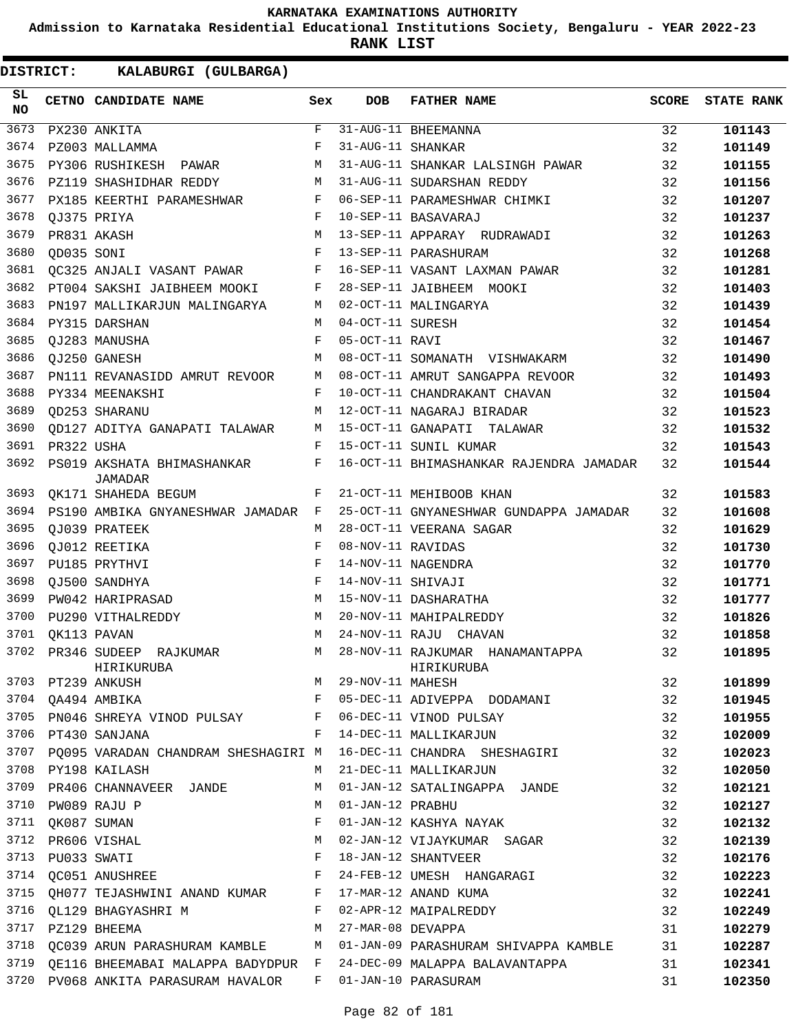**Admission to Karnataka Residential Educational Institutions Society, Bengaluru - YEAR 2022-23**

**RANK LIST**

| SL.<br>NO |            | CETNO CANDIDATE NAME                                      | Sex        | DOB               | <b>FATHER NAME</b>                                                        | SCORE | <b>STATE RANK</b> |
|-----------|------------|-----------------------------------------------------------|------------|-------------------|---------------------------------------------------------------------------|-------|-------------------|
| 3673      |            | PX230 ANKITA                                              | F          |                   | 31-AUG-11 BHEEMANNA                                                       | 32    | 101143            |
| 3674      |            | PZ003 MALLAMMA                                            | F          | 31-AUG-11 SHANKAR |                                                                           | 32    | 101149            |
| 3675      |            | PY306 RUSHIKESH PAWAR                                     | М          |                   | 31-AUG-11 SHANKAR LALSINGH PAWAR                                          | 32    | 101155            |
| 3676      |            | PZ119 SHASHIDHAR REDDY                                    | М          |                   | 31-AUG-11 SUDARSHAN REDDY                                                 | 32    | 101156            |
| 3677      |            | PX185 KEERTHI PARAMESHWAR                                 | F          |                   | 06-SEP-11 PARAMESHWAR CHIMKI                                              | 32    | 101207            |
| 3678      |            | OJ375 PRIYA                                               | F          |                   | 10-SEP-11 BASAVARAJ                                                       | 32    | 101237            |
| 3679      |            | PR831 AKASH                                               | M          |                   | 13-SEP-11 APPARAY RUDRAWADI                                               | 32    | 101263            |
| 3680      | QD035 SONI |                                                           | F          |                   | 13-SEP-11 PARASHURAM                                                      | 32    | 101268            |
| 3681      |            | QC325 ANJALI VASANT PAWAR                                 | F          |                   | 16-SEP-11 VASANT LAXMAN PAWAR                                             | 32    | 101281            |
| 3682      |            | PT004 SAKSHI JAIBHEEM MOOKI                               | F          |                   | 28-SEP-11 JAIBHEEM MOOKI                                                  | 32    | 101403            |
| 3683      |            | PN197 MALLIKARJUN MALINGARYA                              | М          |                   | 02-OCT-11 MALINGARYA                                                      | 32    | 101439            |
| 3684      |            | PY315 DARSHAN                                             | M          | 04-OCT-11 SURESH  |                                                                           | 32    | 101454            |
| 3685      |            | OJ283 MANUSHA                                             | F          | 05-OCT-11 RAVI    |                                                                           | 32    | 101467            |
| 3686      |            | QJ250 GANESH                                              | М          |                   | 08-OCT-11 SOMANATH VISHWAKARM                                             | 32    | 101490            |
| 3687      |            | PN111 REVANASIDD AMRUT REVOOR                             | M          |                   | 08-OCT-11 AMRUT SANGAPPA REVOOR                                           | 32    | 101493            |
| 3688      |            | PY334 MEENAKSHI                                           | F          |                   | 10-OCT-11 CHANDRAKANT CHAVAN                                              | 32    | 101504            |
| 3689      |            | <b>OD253 SHARANU</b>                                      | M          |                   | 12-OCT-11 NAGARAJ BIRADAR                                                 | 32    | 101523            |
| 3690      |            | OD127 ADITYA GANAPATI TALAWAR                             | M          |                   | 15-OCT-11 GANAPATI TALAWAR                                                | 32    | 101532            |
| 3691      | PR322 USHA |                                                           | F          |                   | 15-OCT-11 SUNIL KUMAR                                                     | 32    | 101543            |
| 3692      |            | PS019 AKSHATA BHIMASHANKAR<br><b>JAMADAR</b>              | F          |                   | 16-OCT-11 BHIMASHANKAR RAJENDRA JAMADAR                                   | 32    | 101544            |
| 3693      |            | QK171 SHAHEDA BEGUM                                       | F          |                   | 21-OCT-11 MEHIBOOB KHAN                                                   | 32    | 101583            |
| 3694      |            | PS190 AMBIKA GNYANESHWAR JAMADAR F                        |            |                   | 25-OCT-11 GNYANESHWAR GUNDAPPA JAMADAR                                    | 32    | 101608            |
| 3695      |            | QJ039 PRATEEK                                             | M          |                   | 28-OCT-11 VEERANA SAGAR                                                   | 32    | 101629            |
| 3696      |            | QJ012 REETIKA                                             | F          | 08-NOV-11 RAVIDAS |                                                                           | 32    | 101730            |
| 3697      |            | PU185 PRYTHVI                                             | $_{\rm F}$ |                   | 14-NOV-11 NAGENDRA                                                        | 32    | 101770            |
| 3698      |            | QJ500 SANDHYA                                             | $_{\rm F}$ | 14-NOV-11 SHIVAJI |                                                                           | 32    | 101771            |
| 3699      |            | PW042 HARIPRASAD                                          | М          |                   | 15-NOV-11 DASHARATHA                                                      | 32    | 101777            |
| 3700      |            | PU290 VITHALREDDY                                         | M          |                   | 20-NOV-11 MAHIPALREDDY                                                    | 32    | 101826            |
| 3701      |            | QK113 PAVAN                                               | М          |                   | 24-NOV-11 RAJU CHAVAN                                                     | 32    | 101858            |
| 3702      |            | PR346 SUDEEP RAJKUMAR<br>HIRIKURUBA                       | M          |                   | 28-NOV-11 RAJKUMAR HANAMANTAPPA<br>HIRIKURUBA                             | 32    | 101895            |
|           |            |                                                           |            |                   |                                                                           | 32    | 101899            |
|           |            |                                                           |            |                   | F 05-DEC-11 ADIVEPPA DODAMANI                                             | 32    | 101945            |
|           |            |                                                           |            |                   | 3705 PN046 SHREYA VINOD PULSAY F 06-DEC-11 VINOD PULSAY 32                |       | 101955            |
|           |            |                                                           |            |                   | 32                                                                        |       | 102009            |
|           |            |                                                           |            |                   | 3707 PQ095 VARADAN CHANDRAM SHESHAGIRI M 16-DEC-11 CHANDRA SHESHAGIRI 32  |       | 102023            |
|           |            | 3708 PY198 KAILASH                                        |            |                   | M 21-DEC-11 MALLIKARJUN                                                   | 32    | 102050            |
|           |            |                                                           |            |                   | 3709 PR406 CHANNAVEER JANDE M 01-JAN-12 SATALINGAPPA JANDE                | 32    | 102121            |
|           |            | 3710 PW089 RAJU P                                         |            |                   | M 01-JAN-12 PRABHU                                                        | 32    | 102127            |
|           |            | 3711 QK087 SUMAN                                          |            |                   | F 01-JAN-12 KASHYA NAYAK                                                  | 32    | 102132            |
|           |            | 3712 PR606 VISHAL                                         |            |                   | M 02-JAN-12 VIJAYKUMAR SAGAR                                              | 32    | 102139            |
|           |            | 3713 PU033 SWATI                                          |            |                   | F 18-JAN-12 SHANTVEER                                                     | 32    | 102176            |
|           |            |                                                           |            |                   | 3714 QC051 ANUSHREE THE RESERVE RESERVED FOR 24-FEB-12 UMESH HANGARAGI    | 32    | 102223            |
|           |            |                                                           |            |                   | 3715 QH077 TEJASHWINI ANAND KUMAR F 17-MAR-12 ANAND KUMA                  | 32    | 102241            |
|           |            | 3716 QL129 BHAGYASHRI M<br>F 02-APR-12 MAIPALREDDY        |            |                   |                                                                           | 32    | 102249            |
|           |            | 3717 PZ129 BHEEMA                                         |            |                   | M 27-MAR-08 DEVAPPA                                                       | 31    | 102279            |
| 3718      |            |                                                           |            |                   | QC039 ARUN PARASHURAM KAMBLE M 01-JAN-09 PARASHURAM SHIVAPPA KAMBLE 31    |       | 102287            |
|           |            |                                                           |            |                   | 3719 QE116 BHEEMABAI MALAPPA BADYDPUR F 24-DEC-09 MALAPPA BALAVANTAPPA 31 |       | 102341            |
|           |            | 3720 PV068 ANKITA PARASURAM HAVALOR F 01-JAN-10 PARASURAM |            |                   |                                                                           | 31    | 102350            |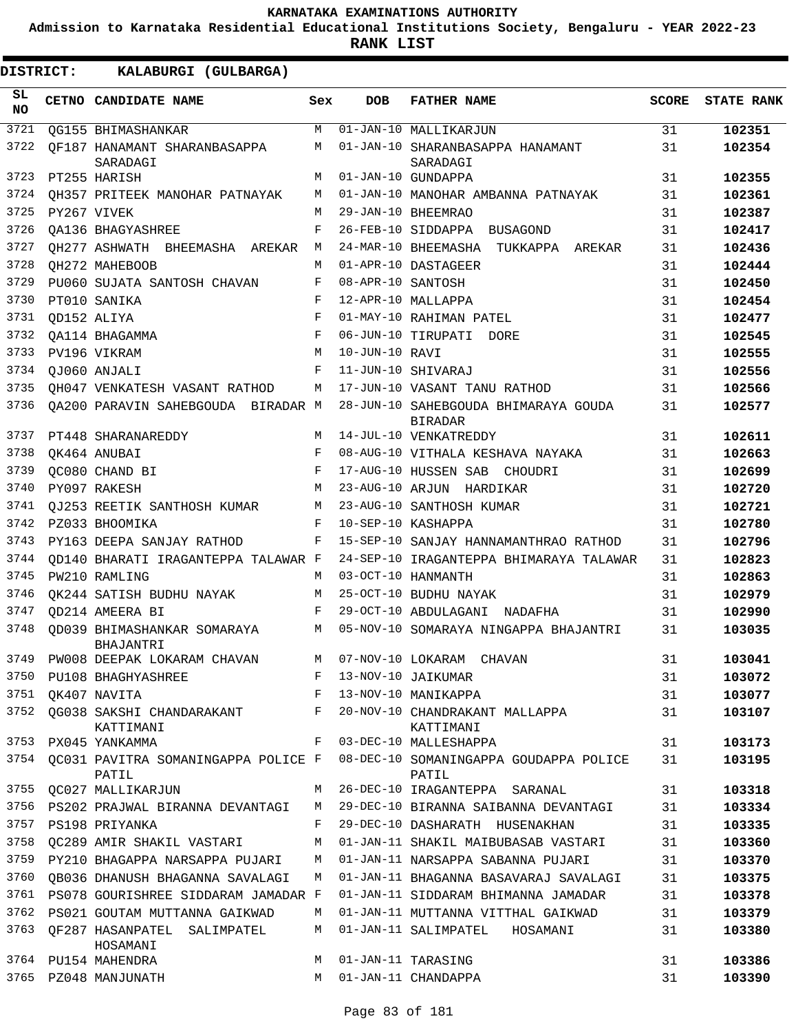**Admission to Karnataka Residential Educational Institutions Society, Bengaluru - YEAR 2022-23**

**RANK LIST**

| SL<br><b>NO</b> | <b>CETNO CANDIDATE NAME</b>                  | Sex        | <b>DOB</b>        | <b>FATHER NAME</b>                                     | <b>SCORE</b> | <b>STATE RANK</b> |
|-----------------|----------------------------------------------|------------|-------------------|--------------------------------------------------------|--------------|-------------------|
| 3721            | OG155 BHIMASHANKAR                           | M          |                   | 01-JAN-10 MALLIKARJUN                                  | 31           | 102351            |
| 3722            | OF187 HANAMANT SHARANBASAPPA<br>SARADAGI     | М          |                   | 01-JAN-10 SHARANBASAPPA HANAMANT<br>SARADAGI           | 31           | 102354            |
| 3723            | PT255 HARISH                                 | M          |                   | 01-JAN-10 GUNDAPPA                                     | 31           | 102355            |
| 3724            | OH357 PRITEEK MANOHAR PATNAYAK               | М          |                   | 01-JAN-10 MANOHAR AMBANNA PATNAYAK                     | 31           | 102361            |
| 3725            | PY267 VIVEK                                  | М          |                   | 29-JAN-10 BHEEMRAO                                     | 31           | 102387            |
| 3726            | OA136 BHAGYASHREE                            | F          |                   | 26-FEB-10 SIDDAPPA BUSAGOND                            | 31           | 102417            |
| 3727            | OH277 ASHWATH BHEEMASHA AREKAR               | М          |                   | 24-MAR-10 BHEEMASHA TUKKAPPA AREKAR                    | 31           | 102436            |
| 3728            | OH272 MAHEBOOB                               | М          |                   | 01-APR-10 DASTAGEER                                    | 31           | 102444            |
| 3729            | PU060 SUJATA SANTOSH CHAVAN                  | F          | 08-APR-10 SANTOSH |                                                        | 31           | 102450            |
| 3730            | PT010 SANIKA                                 | F          |                   | 12-APR-10 MALLAPPA                                     | 31           | 102454            |
| 3731            | QD152 ALIYA                                  | F          |                   | 01-MAY-10 RAHIMAN PATEL                                | 31           | 102477            |
| 3732            | QA114 BHAGAMMA                               | F          |                   | 06-JUN-10 TIRUPATI DORE                                | 31           | 102545            |
| 3733            | PV196 VIKRAM                                 | М          | 10-JUN-10 RAVI    |                                                        | 31           | 102555            |
| 3734            | OJ060 ANJALI                                 | F          |                   | 11-JUN-10 SHIVARAJ                                     | 31           | 102556            |
| 3735            | QH047 VENKATESH VASANT RATHOD                | М          |                   | 17-JUN-10 VASANT TANU RATHOD                           | 31           | 102566            |
| 3736            | QA200 PARAVIN SAHEBGOUDA BIRADAR M           |            |                   | 28-JUN-10 SAHEBGOUDA BHIMARAYA GOUDA<br><b>BIRADAR</b> | 31           | 102577            |
| 3737            | PT448 SHARANAREDDY                           | M          |                   | 14-JUL-10 VENKATREDDY                                  | 31           | 102611            |
| 3738            | OK464 ANUBAI                                 | F          |                   | 08-AUG-10 VITHALA KESHAVA NAYAKA                       | 31           | 102663            |
| 3739            | OC080 CHAND BI                               | $_{\rm F}$ |                   | 17-AUG-10 HUSSEN SAB CHOUDRI                           | 31           | 102699            |
| 3740            | PY097 RAKESH                                 | M          |                   | 23-AUG-10 ARJUN HARDIKAR                               | 31           | 102720            |
| 3741            | OJ253 REETIK SANTHOSH KUMAR                  | М          |                   | 23-AUG-10 SANTHOSH KUMAR                               | 31           | 102721            |
| 3742            | PZ033 BHOOMIKA                               | F          |                   | 10-SEP-10 KASHAPPA                                     | 31           | 102780            |
| 3743            | PY163 DEEPA SANJAY RATHOD                    | F          |                   | 15-SEP-10 SANJAY HANNAMANTHRAO RATHOD                  | 31           | 102796            |
| 3744            | OD140 BHARATI IRAGANTEPPA TALAWAR F          |            |                   | 24-SEP-10 IRAGANTEPPA BHIMARAYA TALAWAR                | 31           | 102823            |
| 3745            | PW210 RAMLING                                | M          |                   | 03-OCT-10 HANMANTH                                     | 31           | 102863            |
| 3746            | OK244 SATISH BUDHU NAYAK                     | М          |                   | 25-OCT-10 BUDHU NAYAK                                  | 31           | 102979            |
| 3747            | OD214 AMEERA BI                              | F          |                   | 29-OCT-10 ABDULAGANI NADAFHA                           | 31           | 102990            |
| 3748            | OD039 BHIMASHANKAR SOMARAYA<br>BHAJANTRI     | М          |                   | 05-NOV-10 SOMARAYA NINGAPPA BHAJANTRI                  | 31           | 103035            |
| 3749            | PW008 DEEPAK LOKARAM CHAVAN                  | М          | 07-NOV-10 LOKARAM | <b>CHAVAN</b>                                          | 31           | 103041            |
| 3750            | PU108 BHAGHYASHREE                           | F          |                   | 13-NOV-10 JAIKUMAR                                     | 31           | 103072            |
| 3751            | OK407 NAVITA                                 | F          |                   | 13-NOV-10 MANIKAPPA                                    | 31           | 103077            |
| 3752            | QG038 SAKSHI CHANDARAKANT<br>KATTIMANI       | F          |                   | 20-NOV-10 CHANDRAKANT MALLAPPA<br>KATTIMANI            | 31           | 103107            |
| 3753            | PX045 YANKAMMA                               | F          |                   | 03-DEC-10 MALLESHAPPA                                  | 31           | 103173            |
| 3754            | QC031 PAVITRA SOMANINGAPPA POLICE F<br>PATIL |            |                   | 08-DEC-10 SOMANINGAPPA GOUDAPPA POLICE<br>PATIL        | 31           | 103195            |
| 3755            | QC027 MALLIKARJUN                            | М          |                   | 26-DEC-10 IRAGANTEPPA SARANAL                          | 31           | 103318            |
| 3756            | PS202 PRAJWAL BIRANNA DEVANTAGI              | М          |                   | 29-DEC-10 BIRANNA SAIBANNA DEVANTAGI                   | 31           | 103334            |
| 3757            | PS198 PRIYANKA                               | F          |                   | 29-DEC-10 DASHARATH HUSENAKHAN                         | 31           | 103335            |
| 3758            | QC289 AMIR SHAKIL VASTARI                    | М          |                   | 01-JAN-11 SHAKIL MAIBUBASAB VASTARI                    | 31           | 103360            |
| 3759            | PY210 BHAGAPPA NARSAPPA PUJARI               | М          |                   | 01-JAN-11 NARSAPPA SABANNA PUJARI                      | 31           | 103370            |
| 3760            | OB036 DHANUSH BHAGANNA SAVALAGI              | М          |                   | 01-JAN-11 BHAGANNA BASAVARAJ SAVALAGI                  | 31           | 103375            |
| 3761            | PS078 GOURISHREE SIDDARAM JAMADAR F          |            |                   | 01-JAN-11 SIDDARAM BHIMANNA JAMADAR                    | 31           | 103378            |
| 3762            | PS021 GOUTAM MUTTANNA GAIKWAD                | М          |                   | 01-JAN-11 MUTTANNA VITTHAL GAIKWAD                     | 31           | 103379            |
| 3763            | OF287 HASANPATEL SALIMPATEL<br>HOSAMANI      | М          |                   | 01-JAN-11 SALIMPATEL<br>HOSAMANI                       | 31           | 103380            |
| 3764            | PU154 MAHENDRA                               | М          |                   | 01-JAN-11 TARASING                                     | 31           | 103386            |
| 3765            | PZ048 MANJUNATH                              | М          |                   | 01-JAN-11 CHANDAPPA                                    | 31           | 103390            |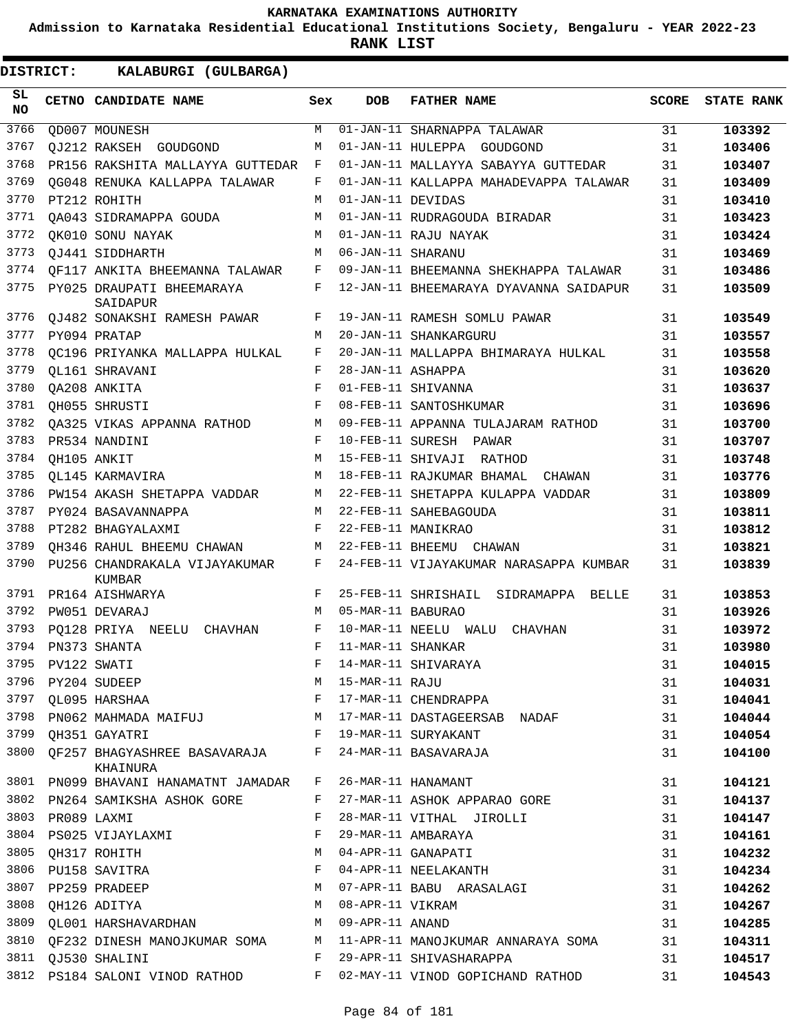**Admission to Karnataka Residential Educational Institutions Society, Bengaluru - YEAR 2022-23**

**RANK LIST**

| SL<br><b>NO</b> |                  | CETNO CANDIDATE NAME                                                 | Sex        | <b>DOB</b>        | <b>FATHER NAME</b>                                                     | <b>SCORE</b> | <b>STATE RANK</b> |
|-----------------|------------------|----------------------------------------------------------------------|------------|-------------------|------------------------------------------------------------------------|--------------|-------------------|
| 3766            |                  | OD007 MOUNESH                                                        | M          |                   | 01-JAN-11 SHARNAPPA TALAWAR                                            | 31           | 103392            |
| 3767            |                  | OJ212 RAKSEH GOUDGOND                                                | M          |                   | 01-JAN-11 HULEPPA GOUDGOND                                             | 31           | 103406            |
| 3768            |                  | PR156 RAKSHITA MALLAYYA GUTTEDAR                                     | F          |                   | 01-JAN-11 MALLAYYA SABAYYA GUTTEDAR                                    | 31           | 103407            |
| 3769            |                  | OG048 RENUKA KALLAPPA TALAWAR                                        | F          |                   | 01-JAN-11 KALLAPPA MAHADEVAPPA TALAWAR                                 | 31           | 103409            |
| 3770            |                  | PT212 ROHITH                                                         | М          | 01-JAN-11 DEVIDAS |                                                                        | 31           | 103410            |
| 3771            |                  | OA043 SIDRAMAPPA GOUDA                                               | M          |                   | 01-JAN-11 RUDRAGOUDA BIRADAR                                           | 31           | 103423            |
| 3772            |                  | OK010 SONU NAYAK                                                     | M          |                   | 01-JAN-11 RAJU NAYAK                                                   | 31           | 103424            |
| 3773            |                  | OJ441 SIDDHARTH                                                      | M          | 06-JAN-11 SHARANU |                                                                        | 31           | 103469            |
| 3774            |                  | OF117 ANKITA BHEEMANNA TALAWAR                                       | F          |                   | 09-JAN-11 BHEEMANNA SHEKHAPPA TALAWAR                                  | 31           | 103486            |
| 3775            |                  | PY025 DRAUPATI BHEEMARAYA<br>SAIDAPUR                                | F          |                   | 12-JAN-11 BHEEMARAYA DYAVANNA SAIDAPUR                                 | 31           | 103509            |
| 3776            |                  | OJ482 SONAKSHI RAMESH PAWAR                                          | F          |                   | 19-JAN-11 RAMESH SOMLU PAWAR                                           | 31           | 103549            |
| 3777            |                  | PY094 PRATAP                                                         | M          |                   | 20-JAN-11 SHANKARGURU                                                  | 31           | 103557            |
| 3778            |                  | OC196 PRIYANKA MALLAPPA HULKAL                                       | F          |                   | 20-JAN-11 MALLAPPA BHIMARAYA HULKAL                                    | 31           | 103558            |
| 3779            |                  | OL161 SHRAVANI                                                       | F          | 28-JAN-11 ASHAPPA |                                                                        | 31           | 103620            |
| 3780            |                  | QA208 ANKITA                                                         | F          |                   | 01-FEB-11 SHIVANNA                                                     | 31           | 103637            |
| 3781            |                  | OH055 SHRUSTI                                                        | $_{\rm F}$ |                   | 08-FEB-11 SANTOSHKUMAR                                                 | 31           | 103696            |
| 3782            |                  | OA325 VIKAS APPANNA RATHOD                                           | М          |                   | 09-FEB-11 APPANNA TULAJARAM RATHOD                                     | 31           | 103700            |
| 3783            |                  | PR534 NANDINI                                                        | F          |                   | 10-FEB-11 SURESH PAWAR                                                 | 31           | 103707            |
| 3784            |                  | OH105 ANKIT                                                          | M          |                   | 15-FEB-11 SHIVAJI RATHOD                                               | 31           | 103748            |
| 3785            |                  | OL145 KARMAVIRA                                                      | M          |                   | 18-FEB-11 RAJKUMAR BHAMAL<br>CHAWAN                                    | 31           | 103776            |
| 3786            |                  | PW154 AKASH SHETAPPA VADDAR                                          | M          |                   | 22-FEB-11 SHETAPPA KULAPPA VADDAR                                      | 31           | 103809            |
| 3787            |                  | PY024 BASAVANNAPPA                                                   | M          |                   | 22-FEB-11 SAHEBAGOUDA                                                  | 31           | 103811            |
| 3788            |                  | PT282 BHAGYALAXMI                                                    | F          |                   | 22-FEB-11 MANIKRAO                                                     | 31           | 103812            |
| 3789            |                  | OH346 RAHUL BHEEMU CHAWAN                                            | М          |                   | 22-FEB-11 BHEEMU CHAWAN                                                | 31           | 103821            |
| 3790            |                  | PU256 CHANDRAKALA VIJAYAKUMAR<br>KUMBAR                              | F          |                   | 24-FEB-11 VIJAYAKUMAR NARASAPPA KUMBAR                                 | 31           | 103839            |
| 3791            |                  | PR164 AISHWARYA                                                      | F          |                   | 25-FEB-11 SHRISHAIL SIDRAMAPPA BELLE                                   | 31           | 103853            |
| 3792            |                  | PW051 DEVARAJ                                                        | M          | 05-MAR-11 BABURAO |                                                                        | 31           | 103926            |
| 3793            |                  | PO128 PRIYA NEELU CHAVHAN                                            | F          |                   | 10-MAR-11 NEELU WALU<br>CHAVHAN                                        | 31           | 103972            |
| 3794            |                  | PN373 SHANTA                                                         | F          | 11-MAR-11 SHANKAR |                                                                        | 31           | 103980            |
|                 | 3795 PV122 SWATI |                                                                      | $_{\rm F}$ |                   | 14-MAR-11 SHIVARAYA                                                    | 31           | 104015            |
|                 |                  | 3795 PV122 SWATI<br>3796 PY204 SUDEEP<br>3797 QL095 HARSHAA          |            | M 15-MAR-11 RAJU  |                                                                        | 31           | 104031            |
|                 |                  |                                                                      | $F$ and    |                   | $17-MAR-11$ CHENDRAPPA                                                 | 31           | 104041            |
|                 |                  |                                                                      |            |                   | 3798 PN062 MAHMADA MAIFUJ M M 17-MAR-11 DASTAGEERSAB NADAF             | 31           | 104044            |
|                 |                  | 3799 QH351 GAYATRI                                                   |            |                   | F 19-MAR-11 SURYAKANT                                                  | 31           | 104054            |
|                 |                  | 3800 QF257 BHAGYASHREE BASAVARAJA F 24-MAR-11 BASAVARAJA<br>KHAINURA |            |                   |                                                                        | 31           | 104100            |
|                 |                  | 3801 PN099 BHAVANI HANAMATNT JAMADAR F                               |            |                   | 26-MAR-11 HANAMANT                                                     | 31           | 104121            |
|                 |                  | 3802 PN264 SAMIKSHA ASHOK GORE                                       | F          |                   | 27-MAR-11 ASHOK APPARAO GORE                                           | 31           | 104137            |
|                 | 3803 PR089 LAXMI |                                                                      | F          |                   | 28-MAR-11 VITHAL JIROLLI                                               | 31           | 104147            |
|                 |                  | 3804 PS025 VIJAYLAXMI                                                | F          |                   | 29-MAR-11 AMBARAYA                                                     | 31           | 104161            |
|                 |                  | 3805 QH317 ROHITH                                                    | М          |                   | 04-APR-11 GANAPATI                                                     | 31           | 104232            |
|                 |                  | 3806 PU158 SAVITRA                                                   | F          |                   | 04-APR-11 NEELAKANTH                                                   | 31           | 104234            |
| 3807            |                  | PP259 PRADEEP                                                        | М          |                   | 07-APR-11 BABU ARASALAGI                                               | 31           | 104262            |
| 3808            |                  | QH126 ADITYA                                                         | M          |                   | 08-APR-11 VIKRAM                                                       | 31           | 104267            |
|                 |                  | 3809 QL001 HARSHAVARDHAN                                             |            | M 09-APR-11 ANAND |                                                                        | 31           | 104285            |
|                 |                  |                                                                      |            |                   | 3810 QF232 DINESH MANOJKUMAR SOMA MANOJAPR-11 MANOJKUMAR ANNARAYA SOMA | 31           | 104311            |
|                 |                  | 3811 QJ530 SHALINI                                                   | F          |                   | 29-APR-11 SHIVASHARAPPA                                                | 31           | 104517            |
|                 |                  | 3812 PS184 SALONI VINOD RATHOD                                       | F          |                   | 02-MAY-11 VINOD GOPICHAND RATHOD                                       | 31           | 104543            |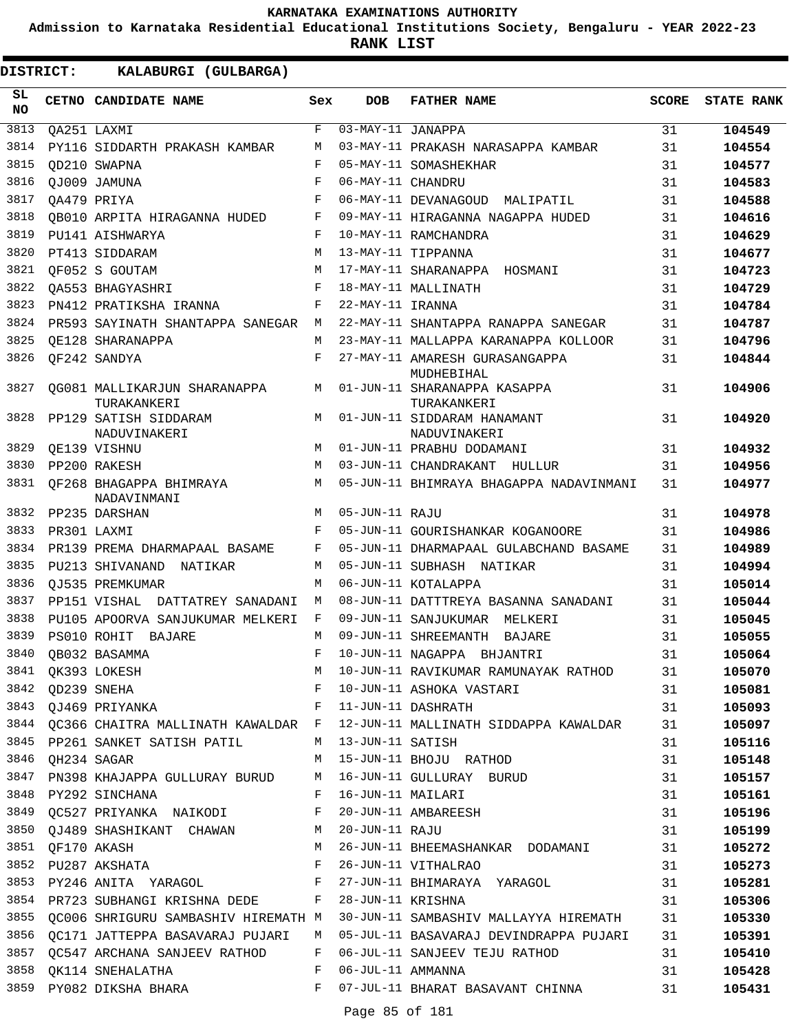**Admission to Karnataka Residential Educational Institutions Society, Bengaluru - YEAR 2022-23**

**RANK LIST**

| SL<br><b>NO</b> |                  | CETNO CANDIDATE NAME                        | Sex                | <b>DOB</b>         | <b>FATHER NAME</b>                           | <b>SCORE</b> | <b>STATE RANK</b> |
|-----------------|------------------|---------------------------------------------|--------------------|--------------------|----------------------------------------------|--------------|-------------------|
| 3813            |                  | QA251 LAXMI                                 | $\mathbf F$        | 03-MAY-11 JANAPPA  |                                              | 31           | 104549            |
| 3814            |                  | PY116 SIDDARTH PRAKASH KAMBAR               | М                  |                    | 03-MAY-11 PRAKASH NARASAPPA KAMBAR           | 31           | 104554            |
| 3815            |                  | OD210 SWAPNA                                | F                  |                    | 05-MAY-11 SOMASHEKHAR                        | 31           | 104577            |
| 3816            |                  | OJ009 JAMUNA                                | $\mathbf{F}% _{0}$ | 06-MAY-11 CHANDRU  |                                              | 31           | 104583            |
| 3817            |                  | OA479 PRIYA                                 | F                  |                    | 06-MAY-11 DEVANAGOUD MALIPATIL               | 31           | 104588            |
| 3818            |                  | OB010 ARPITA HIRAGANNA HUDED                | F                  |                    | 09-MAY-11 HIRAGANNA NAGAPPA HUDED            | 31           | 104616            |
| 3819            |                  | PU141 AISHWARYA                             | F                  |                    | 10-MAY-11 RAMCHANDRA                         | 31           | 104629            |
| 3820            |                  | PT413 SIDDARAM                              | M                  |                    | 13-MAY-11 TIPPANNA                           | 31           | 104677            |
| 3821            |                  | OF052 S GOUTAM                              | M                  |                    | 17-MAY-11 SHARANAPPA HOSMANI                 | 31           | 104723            |
| 3822            |                  | OA553 BHAGYASHRI                            | F                  |                    | 18-MAY-11 MALLINATH                          | 31           | 104729            |
| 3823            |                  | PN412 PRATIKSHA IRANNA                      | F                  | 22-MAY-11 IRANNA   |                                              | 31           | 104784            |
| 3824            |                  | PR593 SAYINATH SHANTAPPA SANEGAR M          |                    |                    | 22-MAY-11 SHANTAPPA RANAPPA SANEGAR          | 31           | 104787            |
| 3825            |                  | OE128 SHARANAPPA                            | М                  |                    | 23-MAY-11 MALLAPPA KARANAPPA KOLLOOR         | 31           | 104796            |
| 3826            |                  | QF242 SANDYA                                | F                  |                    | 27-MAY-11 AMARESH GURASANGAPPA<br>MUDHEBIHAL | 31           | 104844            |
| 3827            |                  | OG081 MALLIKARJUN SHARANAPPA<br>TURAKANKERI | М                  |                    | 01-JUN-11 SHARANAPPA KASAPPA<br>TURAKANKERI  | 31           | 104906            |
| 3828            |                  | PP129 SATISH SIDDARAM<br>NADUVINAKERI       | M                  |                    | 01-JUN-11 SIDDARAM HANAMANT<br>NADUVINAKERI  | 31           | 104920            |
| 3829            |                  | OE139 VISHNU                                | M                  |                    | 01-JUN-11 PRABHU DODAMANI                    | 31           | 104932            |
| 3830            |                  | PP200 RAKESH                                | M                  |                    | 03-JUN-11 CHANDRAKANT HULLUR                 | 31           | 104956            |
| 3831            |                  | OF268 BHAGAPPA BHIMRAYA<br>NADAVINMANI      | M                  |                    | 05-JUN-11 BHIMRAYA BHAGAPPA NADAVINMANI      | 31           | 104977            |
| 3832            |                  | PP235 DARSHAN                               | M                  | 05-JUN-11 RAJU     |                                              | 31           | 104978            |
| 3833            |                  | PR301 LAXMI                                 | F                  |                    | 05-JUN-11 GOURISHANKAR KOGANOORE             | 31           | 104986            |
| 3834            |                  | PR139 PREMA DHARMAPAAL BASAME               | F                  |                    | 05-JUN-11 DHARMAPAAL GULABCHAND BASAME       | 31           | 104989            |
| 3835            |                  | PU213 SHIVANAND NATIKAR                     | М                  |                    | 05-JUN-11 SUBHASH NATIKAR                    | 31           | 104994            |
| 3836            |                  | OJ535 PREMKUMAR                             | М                  |                    | 06-JUN-11 KOTALAPPA                          | 31           | 105014            |
| 3837            |                  | PP151 VISHAL<br>DATTATREY SANADANI          | М                  |                    | 08-JUN-11 DATTTREYA BASANNA SANADANI         | 31           | 105044            |
| 3838            |                  | PU105 APOORVA SANJUKUMAR MELKERI            | F                  |                    | 09-JUN-11 SANJUKUMAR MELKERI                 | 31           | 105045            |
| 3839            |                  | PS010 ROHIT BAJARE                          | M                  |                    | 09-JUN-11 SHREEMANTH BAJARE                  | 31           | 105055            |
| 3840            |                  | OB032 BASAMMA                               | F                  |                    | 10-JUN-11 NAGAPPA BHJANTRI                   | 31           | 105064            |
| 3841            |                  | QK393 LOKESH                                | М                  |                    | 10-JUN-11 RAVIKUMAR RAMUNAYAK RATHOD         | 31           | 105070            |
|                 | 3842 QD239 SNEHA |                                             | F                  |                    | 10-JUN-11 ASHOKA VASTARI                     | 31           | 105081            |
| 3843            |                  | QJ469 PRIYANKA                              | F                  |                    | 11-JUN-11 DASHRATH                           | 31           | 105093            |
|                 |                  | 3844 QC366 CHAITRA MALLINATH KAWALDAR F     |                    |                    | 12-JUN-11 MALLINATH SIDDAPPA KAWALDAR        | 31           | 105097            |
|                 |                  | 3845 PP261 SANKET SATISH PATIL              |                    | M 13-JUN-11 SATISH |                                              | 31           | 105116            |
| 3846            | QH234 SAGAR      |                                             | M                  |                    | 15-JUN-11 BHOJU RATHOD                       | 31           | 105148            |
| 3847            |                  | PN398 KHAJAPPA GULLURAY BURUD               | M                  |                    | 16-JUN-11 GULLURAY BURUD                     | 31           | 105157            |
| 3848            |                  | PY292 SINCHANA                              | F                  |                    | 16-JUN-11 MAILARI                            | 31           | 105161            |
| 3849            |                  | QC527 PRIYANKA NAIKODI                      | F                  |                    | 20-JUN-11 AMBAREESH                          | 31           | 105196            |
|                 |                  | 3850 QJ489 SHASHIKANT CHAWAN M              |                    | 20-JUN-11 RAJU     |                                              | 31           | 105199            |
| 3851            |                  | QF170 AKASH                                 | M                  |                    | 26-JUN-11 BHEEMASHANKAR DODAMANI             | 31           | 105272            |
| 3852            |                  | PU287 AKSHATA                               | F                  |                    | 26-JUN-11 VITHALRAO                          | 31           | 105273            |
| 3853            |                  | PY246 ANITA YARAGOL F                       |                    |                    | 27-JUN-11 BHIMARAYA YARAGOL                  | 31           | 105281            |
|                 |                  | 3854 PR723 SUBHANGI KRISHNA DEDE F          |                    | 28-JUN-11 KRISHNA  |                                              | 31           | 105306            |
| 3855            |                  | QC006 SHRIGURU SAMBASHIV HIREMATH M         |                    |                    | 30-JUN-11 SAMBASHIV MALLAYYA HIREMATH        | 31           | 105330            |
| 3856            |                  | QC171 JATTEPPA BASAVARAJ PUJARI             | M                  |                    | 05-JUL-11 BASAVARAJ DEVINDRAPPA PUJARI       | 31           | 105391            |
| 3857            |                  | QC547 ARCHANA SANJEEV RATHOD                | F                  |                    | 06-JUL-11 SANJEEV TEJU RATHOD                | 31           | 105410            |
|                 |                  | 3858 QK114 SNEHALATHA                       | F                  | 06-JUL-11 AMMANNA  |                                              | 31           | 105428            |
|                 |                  | 3859 PY082 DIKSHA BHARA                     | F                  |                    | 07-JUL-11 BHARAT BASAVANT CHINNA             | 31           | 105431            |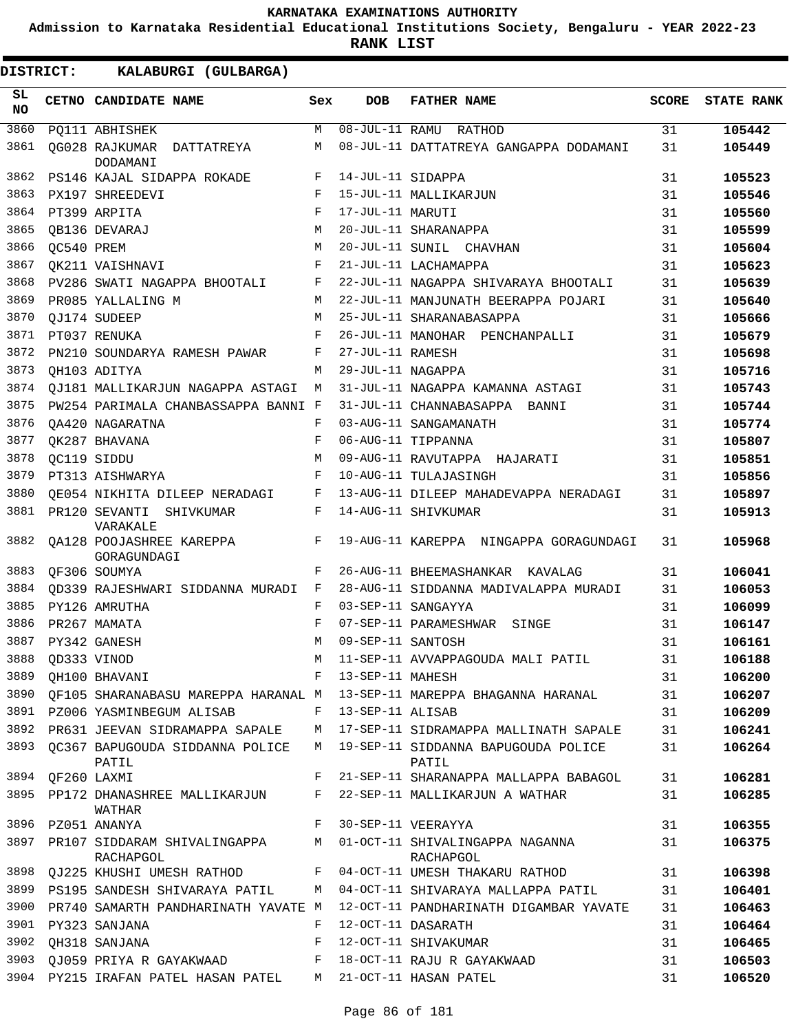**Admission to Karnataka Residential Educational Institutions Society, Bengaluru - YEAR 2022-23**

| DISTRICT:       |             | KALABURGI (GULBARGA)                      |     |                   |                                                                        |              |                   |
|-----------------|-------------|-------------------------------------------|-----|-------------------|------------------------------------------------------------------------|--------------|-------------------|
| SL<br><b>NO</b> |             | CETNO CANDIDATE NAME                      | Sex | <b>DOB</b>        | <b>FATHER NAME</b>                                                     | <b>SCORE</b> | <b>STATE RANK</b> |
| 3860            |             | PQ111 ABHISHEK                            | M   |                   | 08-JUL-11 RAMU RATHOD                                                  | 31           | 105442            |
| 3861            |             | OG028 RAJKUMAR DATTATREYA<br>DODAMANI     | М   |                   | 08-JUL-11 DATTATREYA GANGAPPA DODAMANI                                 | 31           | 105449            |
| 3862            |             | PS146 KAJAL SIDAPPA ROKADE                | F   | 14-JUL-11 SIDAPPA |                                                                        | 31           | 105523            |
| 3863            |             | PX197 SHREEDEVI                           | F   |                   | 15-JUL-11 MALLIKARJUN                                                  | 31           | 105546            |
| 3864            |             | PT399 ARPITA                              | F   | 17-JUL-11 MARUTI  |                                                                        | 31           | 105560            |
| 3865            |             | OB136 DEVARAJ                             | M   |                   | 20-JUL-11 SHARANAPPA                                                   | 31           | 105599            |
| 3866            | OC540 PREM  |                                           | М   |                   | 20-JUL-11 SUNIL CHAVHAN                                                | 31           | 105604            |
| 3867            |             | QK211 VAISHNAVI                           | F   |                   | 21-JUL-11 LACHAMAPPA                                                   | 31           | 105623            |
| 3868            |             | PV286 SWATI NAGAPPA BHOOTALI              | F   |                   | 22-JUL-11 NAGAPPA SHIVARAYA BHOOTALI                                   | 31           | 105639            |
| 3869            |             | PR085 YALLALING M                         | М   |                   | 22-JUL-11 MANJUNATH BEERAPPA POJARI                                    | 31           | 105640            |
| 3870            |             | QJ174 SUDEEP                              | M   |                   | 25-JUL-11 SHARANABASAPPA                                               | 31           | 105666            |
| 3871            |             | PT037 RENUKA                              | F   |                   | 26-JUL-11 MANOHAR PENCHANPALLI                                         | 31           | 105679            |
| 3872            |             | PN210 SOUNDARYA RAMESH PAWAR              | F   | 27-JUL-11 RAMESH  |                                                                        | 31           | 105698            |
| 3873            |             | OH103 ADITYA                              | M   | 29-JUL-11 NAGAPPA |                                                                        | 31           | 105716            |
| 3874            |             | <b>OJ181 MALLIKARJUN NAGAPPA ASTAGI</b>   | М   |                   | 31-JUL-11 NAGAPPA KAMANNA ASTAGI                                       | 31           | 105743            |
| 3875            |             | PW254 PARIMALA CHANBASSAPPA BANNI F       |     |                   | 31-JUL-11 CHANNABASAPPA BANNI                                          | 31           | 105744            |
| 3876            |             | QA420 NAGARATNA                           | F   |                   | 03-AUG-11 SANGAMANATH                                                  | 31           | 105774            |
| 3877            |             | OK287 BHAVANA                             | F   |                   | 06-AUG-11 TIPPANNA                                                     | 31           | 105807            |
| 3878            |             | OC119 SIDDU                               | М   |                   | 09-AUG-11 RAVUTAPPA HAJARATI                                           | 31           | 105851            |
| 3879            |             | PT313 AISHWARYA                           | F   |                   | 10-AUG-11 TULAJASINGH                                                  | 31           | 105856            |
| 3880            |             | OE054 NIKHITA DILEEP NERADAGI             | F   |                   | 13-AUG-11 DILEEP MAHADEVAPPA NERADAGI                                  | 31           | 105897            |
| 3881            |             | PR120 SEVANTI<br>SHIVKUMAR<br>VARAKALE    | F   |                   | 14-AUG-11 SHIVKUMAR                                                    | 31           | 105913            |
| 3882            |             | QA128 POOJASHREE KAREPPA<br>GORAGUNDAGI   | F   |                   | 19-AUG-11 KAREPPA NINGAPPA GORAGUNDAGI                                 | 31           | 105968            |
| 3883            |             | QF306 SOUMYA                              | F   |                   | 26-AUG-11 BHEEMASHANKAR KAVALAG                                        | 31           | 106041            |
| 3884            |             | QD339 RAJESHWARI SIDDANNA MURADI          | F   |                   | 28-AUG-11 SIDDANNA MADIVALAPPA MURADI                                  | 31           | 106053            |
| 3885            |             | PY126 AMRUTHA                             | F   |                   | 03-SEP-11 SANGAYYA                                                     | 31           | 106099            |
| 3886            |             | PR267 MAMATA                              | F   |                   | 07-SEP-11 PARAMESHWAR<br>SINGE                                         | 31           | 106147            |
| 3887            |             | PY342 GANESH                              | M   | 09-SEP-11 SANTOSH |                                                                        | 31           | 106161            |
| 3888            |             | QD333 VINOD                               | М   |                   | 11-SEP-11 AVVAPPAGOUDA MALI PATIL                                      | 31           | 106188            |
| 3889            |             | QH100 BHAVANI                             | F   | 13-SEP-11 MAHESH  |                                                                        | 31           | 106200            |
| 3890            |             |                                           |     |                   | OF105 SHARANABASU MAREPPA HARANAL M 13-SEP-11 MAREPPA BHAGANNA HARANAL | 31           | 106207            |
|                 |             | 3891 PZ006 YASMINBEGUM ALISAB             | F   | 13-SEP-11 ALISAB  |                                                                        | 31           | 106209            |
|                 |             | 3892 PR631 JEEVAN SIDRAMAPPA SAPALE       | М   |                   | 17-SEP-11 SIDRAMAPPA MALLINATH SAPALE                                  | 31           | 106241            |
| 3893            |             | QC367 BAPUGOUDA SIDDANNA POLICE<br>PATIL  | M   |                   | 19-SEP-11 SIDDANNA BAPUGOUDA POLICE<br>PATIL                           | 31           | 106264            |
| 3894            | QF260 LAXMI |                                           | F   |                   | 21-SEP-11 SHARANAPPA MALLAPPA BABAGOL                                  | 31           | 106281            |
| 3895            |             | PP172 DHANASHREE MALLIKARJUN<br>WATHAR    | F   |                   | 22-SEP-11 MALLIKARJUN A WATHAR                                         | 31           | 106285            |
| 3896            |             | PZ051 ANANYA                              | F   |                   | 30-SEP-11 VEERAYYA                                                     | 31           | 106355            |
| 3897            |             | PR107 SIDDARAM SHIVALINGAPPA<br>RACHAPGOL | M   |                   | 01-OCT-11 SHIVALINGAPPA NAGANNA<br>RACHAPGOL                           | 31           | 106375            |
| 3898            |             | QJ225 KHUSHI UMESH RATHOD                 | F   |                   | 04-OCT-11 UMESH THAKARU RATHOD                                         | 31           | 106398            |
|                 |             | 3899 PS195 SANDESH SHIVARAYA PATIL        | М   |                   | 04-OCT-11 SHIVARAYA MALLAPPA PATIL                                     | 31           | 106401            |
| 3900            |             | PR740 SAMARTH PANDHARINATH YAVATE M       |     |                   | 12-OCT-11 PANDHARINATH DIGAMBAR YAVATE                                 | 31           | 106463            |
|                 |             | 3901 PY323 SANJANA                        | F   |                   | 12-OCT-11 DASARATH                                                     | 31           | 106464            |
| 3902            |             | QH318 SANJANA                             | F   |                   | 12-OCT-11 SHIVAKUMAR                                                   | 31           | 106465            |
|                 |             | 3903 QJ059 PRIYA R GAYAKWAAD              | F   |                   | 18-OCT-11 RAJU R GAYAKWAAD                                             | 31           | 106503            |
|                 |             | 3904 PY215 IRAFAN PATEL HASAN PATEL       | M   |                   | 21-OCT-11 HASAN PATEL                                                  | 31           | 106520            |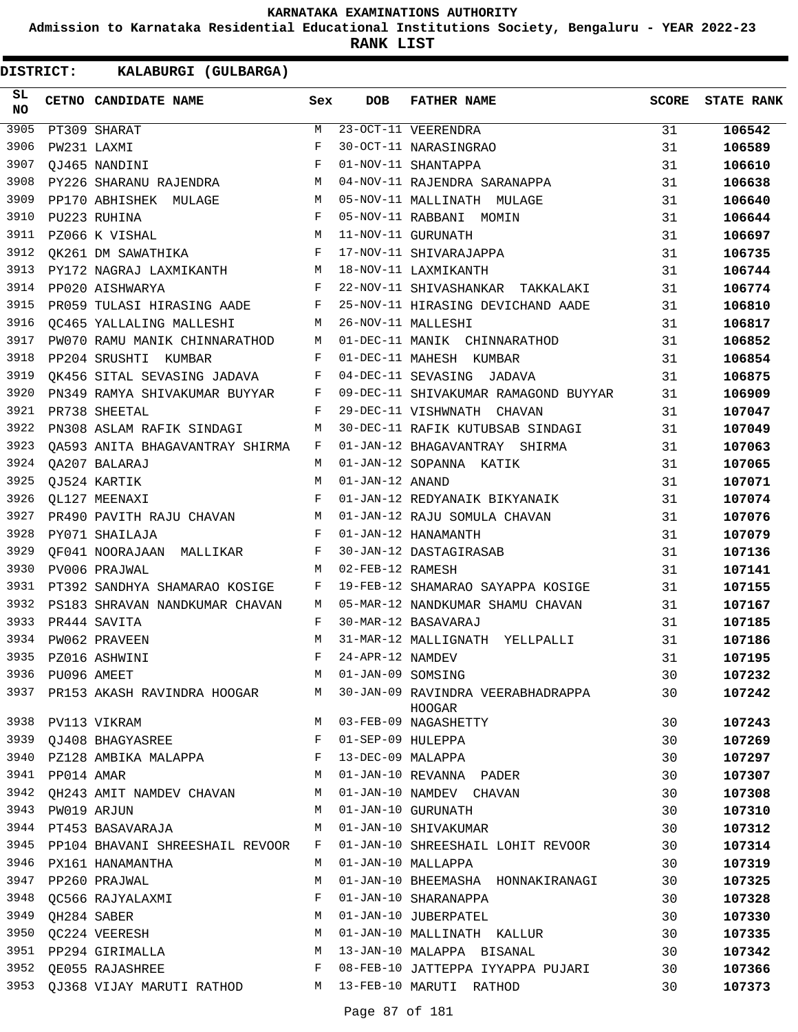**Admission to Karnataka Residential Educational Institutions Society, Bengaluru - YEAR 2022-23**

**RANK LIST**

| SL<br>NO. |             | CETNO CANDIDATE NAME                                                                                                                                                                                                                              | Sex         | DOB               | <b>FATHER NAME</b>                                 | <b>SCORE</b> | <b>STATE RANK</b> |
|-----------|-------------|---------------------------------------------------------------------------------------------------------------------------------------------------------------------------------------------------------------------------------------------------|-------------|-------------------|----------------------------------------------------|--------------|-------------------|
| 3905      |             | PT309 SHARAT                                                                                                                                                                                                                                      | M           |                   | 23-OCT-11 VEERENDRA                                | 31           | 106542            |
| 3906      |             | PW231 LAXMI                                                                                                                                                                                                                                       | F           |                   | 30-OCT-11 NARASINGRAO                              | 31           | 106589            |
| 3907      |             | OJ465 NANDINI                                                                                                                                                                                                                                     | F           |                   | 01-NOV-11 SHANTAPPA                                | 31           | 106610            |
| 3908      |             | PY226 SHARANU RAJENDRA                                                                                                                                                                                                                            | M           |                   | 04-NOV-11 RAJENDRA SARANAPPA                       | 31           | 106638            |
| 3909      |             | PP170 ABHISHEK MULAGE<br>M <sub>1</sub>                                                                                                                                                                                                           |             |                   | 05-NOV-11 MALLINATH MULAGE                         | 31           | 106640            |
| 3910      |             | PU223 RUHINA                                                                                                                                                                                                                                      | F           |                   | 05-NOV-11 RABBANI MOMIN                            | 31           | 106644            |
| 3911      |             | PZ066 K VISHAL                                                                                                                                                                                                                                    | M           |                   | 11-NOV-11 GURUNATH                                 | 31           | 106697            |
| 3912      |             | QK261 DM SAWATHIKA                                                                                                                                                                                                                                | F           |                   | 17-NOV-11 SHIVARAJAPPA                             | 31           | 106735            |
| 3913      |             | PY172 NAGRAJ LAXMIKANTH M                                                                                                                                                                                                                         |             |                   | 18-NOV-11 LAXMIKANTH                               | 31           | 106744            |
| 3914      |             | PP020 AISHWARYA<br>the contract of the contract of the Property of the Property of the Contract of the Property of the Property of the Property of the Property of the Property of the Property of the Property of the Property of the Property o |             |                   | 22-NOV-11 SHIVASHANKAR TAKKALAKI                   | 31           | 106774            |
| 3915      |             | PR059 TULASI HIRASING AADE F                                                                                                                                                                                                                      |             |                   | 25-NOV-11 HIRASING DEVICHAND AADE                  | 31           | 106810            |
| 3916      |             | QC465 YALLALING MALLESHI<br>M                                                                                                                                                                                                                     |             |                   | 26-NOV-11 MALLESHI                                 | 31           | 106817            |
| 3917      |             | PW070 RAMU MANIK CHINNARATHOD M                                                                                                                                                                                                                   |             |                   | 01-DEC-11 MANIK CHINNARATHOD                       | 31           | 106852            |
| 3918      |             | PP204 SRUSHTI KUMBAR                                                                                                                                                                                                                              | F           |                   | 01-DEC-11 MAHESH KUMBAR                            | 31           | 106854            |
| 3919      |             | QK456 SITAL SEVASING JADAVA F                                                                                                                                                                                                                     |             |                   | 04-DEC-11 SEVASING JADAVA                          | 31           | 106875            |
| 3920      |             | PN349 RAMYA SHIVAKUMAR BUYYAR F                                                                                                                                                                                                                   |             |                   | 09-DEC-11 SHIVAKUMAR RAMAGOND BUYYAR               | 31           | 106909            |
| 3921      |             | PR738 SHEETAL                                                                                                                                                                                                                                     | F           |                   | 29-DEC-11 VISHWNATH CHAVAN                         | 31           | 107047            |
| 3922      |             | PN308 ASLAM RAFIK SINDAGI                                                                                                                                                                                                                         | М           |                   | 30-DEC-11 RAFIK KUTUBSAB SINDAGI                   | 31           | 107049            |
| 3923      |             | QA593 ANITA BHAGAVANTRAY SHIRMA                                                                                                                                                                                                                   | F           |                   | 01-JAN-12 BHAGAVANTRAY SHIRMA                      | 31           | 107063            |
| 3924      |             | QA207 BALARAJ                                                                                                                                                                                                                                     | M           |                   | 01-JAN-12 SOPANNA KATIK                            | 31           | 107065            |
| 3925      |             | QJ524 KARTIK                                                                                                                                                                                                                                      | M           | 01-JAN-12 ANAND   |                                                    | 31           | 107071            |
| 3926      |             | QL127 MEENAXI                                                                                                                                                                                                                                     | F           |                   | 01-JAN-12 REDYANAIK BIKYANAIK                      | 31           | 107074            |
| 3927      |             | PR490 PAVITH RAJU CHAVAN M                                                                                                                                                                                                                        |             |                   | 01-JAN-12 RAJU SOMULA CHAVAN                       | 31           | 107076            |
| 3928      |             | PY071 SHAILAJA                                                                                                                                                                                                                                    | F           |                   | 01-JAN-12 HANAMANTH                                | 31           | 107079            |
| 3929      |             | QF041 NOORAJAAN MALLIKAR                                                                                                                                                                                                                          | F           |                   | 30-JAN-12 DASTAGIRASAB                             | 31           | 107136            |
| 3930      |             | PV006 PRAJWAL                                                                                                                                                                                                                                     | M           | 02-FEB-12 RAMESH  |                                                    | 31           | 107141            |
| 3931      |             | PT392 SANDHYA SHAMARAO KOSIGE                                                                                                                                                                                                                     | F           |                   | 19-FEB-12 SHAMARAO SAYAPPA KOSIGE                  | 31           | 107155            |
| 3932      |             | PS183 SHRAVAN NANDKUMAR CHAVAN                                                                                                                                                                                                                    | M           |                   | 05-MAR-12 NANDKUMAR SHAMU CHAVAN                   | 31           | 107167            |
| 3933      |             | PR444 SAVITA                                                                                                                                                                                                                                      | F           |                   | 30-MAR-12 BASAVARAJ                                | 31           | 107185            |
| 3934      |             | PW062 PRAVEEN                                                                                                                                                                                                                                     | M           |                   | 31-MAR-12 MALLIGNATH YELLPALLI                     | 31           | 107186            |
| 3935      |             | PZ016 ASHWINI                                                                                                                                                                                                                                     | $\mathbf F$ | 24-APR-12 NAMDEV  |                                                    | 31           | 107195            |
| 3936      | PU096 AMEET |                                                                                                                                                                                                                                                   | M           | 01-JAN-09 SOMSING |                                                    | 30           | 107232            |
|           |             | 3937 PR153 AKASH RAVINDRA HOOGAR                                                                                                                                                                                                                  | M           |                   | 30-JAN-09 RAVINDRA VEERABHADRAPPA<br><b>HOOGAR</b> | 30           | 107242            |
| 3938      |             | PV113 VIKRAM                                                                                                                                                                                                                                      | M           |                   | 03-FEB-09 NAGASHETTY                               | 30           | 107243            |
| 3939      |             | QJ408 BHAGYASREE                                                                                                                                                                                                                                  | F           | 01-SEP-09 HULEPPA |                                                    | 30           | 107269            |
| 3940      |             | PZ128 AMBIKA MALAPPA                                                                                                                                                                                                                              | F           | 13-DEC-09 MALAPPA |                                                    | 30           | 107297            |
| 3941      | PP014 AMAR  |                                                                                                                                                                                                                                                   | M           |                   | 01-JAN-10 REVANNA PADER                            | 30           | 107307            |
| 3942      |             | QH243 AMIT NAMDEV CHAVAN                                                                                                                                                                                                                          | M           |                   | 01-JAN-10 NAMDEV CHAVAN                            | 30           | 107308            |
| 3943      |             | PW019 ARJUN                                                                                                                                                                                                                                       | M           |                   | 01-JAN-10 GURUNATH                                 | 30           | 107310            |
| 3944      |             | PT453 BASAVARAJA                                                                                                                                                                                                                                  | М           |                   | 01-JAN-10 SHIVAKUMAR                               | 30           | 107312            |
| 3945      |             | PP104 BHAVANI SHREESHAIL REVOOR                                                                                                                                                                                                                   | F           |                   | 01-JAN-10 SHREESHAIL LOHIT REVOOR                  | 30           | 107314            |
| 3946      |             | PX161 HANAMANTHA                                                                                                                                                                                                                                  | M           |                   | 01-JAN-10 MALLAPPA                                 | 30           | 107319            |
| 3947      |             | PP260 PRAJWAL                                                                                                                                                                                                                                     | М           |                   | 01-JAN-10 BHEEMASHA HONNAKIRANAGI                  | 30           | 107325            |
| 3948      |             | QC566 RAJYALAXMI                                                                                                                                                                                                                                  | F           |                   | 01-JAN-10 SHARANAPPA                               | 30           | 107328            |
| 3949      |             | QH284 SABER                                                                                                                                                                                                                                       | M           |                   | 01-JAN-10 JUBERPATEL                               | 30           | 107330            |
| 3950      |             | QC224 VEERESH                                                                                                                                                                                                                                     | M           |                   | 01-JAN-10 MALLINATH KALLUR                         | 30           | 107335            |
| 3951      |             | PP294 GIRIMALLA                                                                                                                                                                                                                                   | M           |                   | 13-JAN-10 MALAPPA BISANAL                          | 30           | 107342            |
| 3952      |             | QE055 RAJASHREE                                                                                                                                                                                                                                   | F           |                   | 08-FEB-10 JATTEPPA IYYAPPA PUJARI                  | 30           | 107366            |
|           |             | 3953 QJ368 VIJAY MARUTI RATHOD                                                                                                                                                                                                                    | M           |                   | 13-FEB-10 MARUTI RATHOD                            | 30           | 107373            |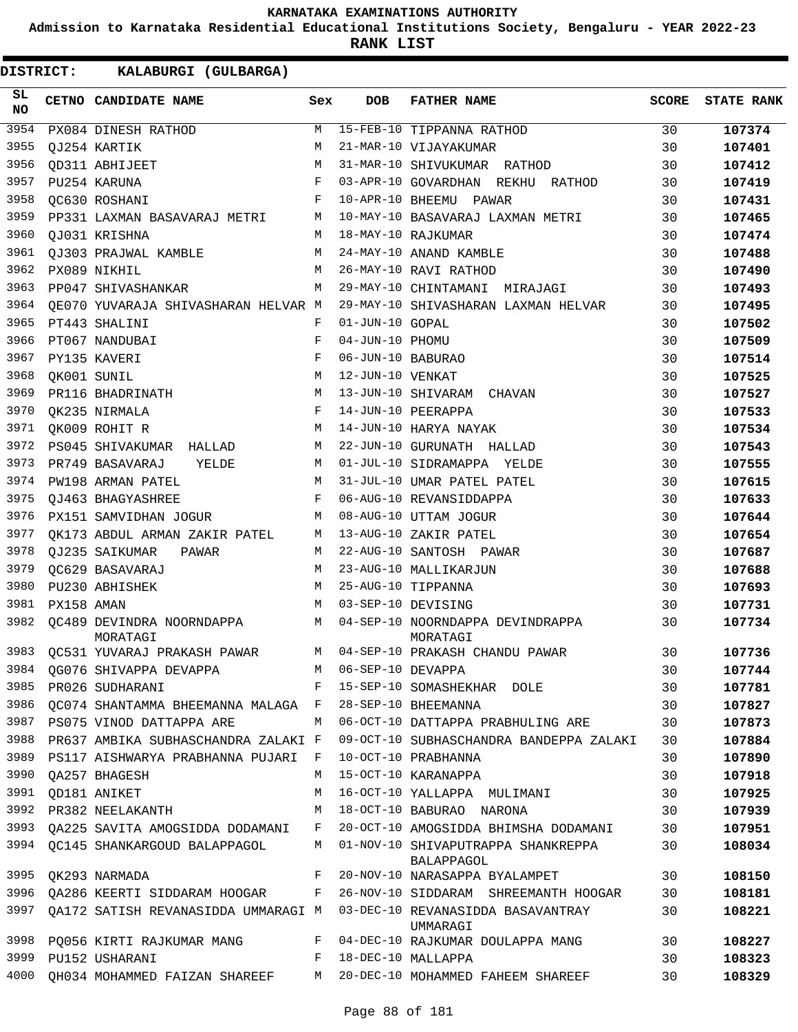**Admission to Karnataka Residential Educational Institutions Society, Bengaluru - YEAR 2022-23**

**RANK LIST**

| SL<br><b>NO</b> |            | CETNO CANDIDATE NAME                  | Sex          | <b>DOB</b>          | <b>FATHER NAME</b>                                                                | <b>SCORE</b> | <b>STATE RANK</b> |
|-----------------|------------|---------------------------------------|--------------|---------------------|-----------------------------------------------------------------------------------|--------------|-------------------|
| 3954            |            | PX084 DINESH RATHOD                   | M            |                     | 15-FEB-10 TIPPANNA RATHOD                                                         | 30           | 107374            |
| 3955            |            | QJ254 KARTIK                          | M            |                     | 21-MAR-10 VIJAYAKUMAR                                                             | 30           | 107401            |
| 3956            |            | QD311 ABHIJEET                        | М            |                     | 31-MAR-10 SHIVUKUMAR RATHOD                                                       | 30           | 107412            |
| 3957            |            | PU254 KARUNA                          | F            |                     | 03-APR-10 GOVARDHAN REKHU RATHOD                                                  | 30           | 107419            |
| 3958            |            | OC630 ROSHANI                         | F            |                     | 10-APR-10 BHEEMU PAWAR                                                            | 30           | 107431            |
| 3959            |            | PP331 LAXMAN BASAVARAJ METRI          | М            |                     | 10-MAY-10 BASAVARAJ LAXMAN METRI                                                  | 30           | 107465            |
| 3960            |            | OJ031 KRISHNA                         | М            |                     | 18-MAY-10 RAJKUMAR                                                                | 30           | 107474            |
| 3961            |            | QJ303 PRAJWAL KAMBLE                  | М            |                     | 24-MAY-10 ANAND KAMBLE                                                            | 30           | 107488            |
| 3962            |            | PX089 NIKHIL                          | M            |                     | 26-MAY-10 RAVI RATHOD                                                             | 30           | 107490            |
| 3963            |            | PP047 SHIVASHANKAR                    | M            |                     | 29-MAY-10 CHINTAMANI MIRAJAGI                                                     | 30           | 107493            |
| 3964            |            | OE070 YUVARAJA SHIVASHARAN HELVAR M   |              |                     | 29-MAY-10 SHIVASHARAN LAXMAN HELVAR                                               | 30           | 107495            |
| 3965            |            | PT443 SHALINI                         | F            | 01-JUN-10 GOPAL     |                                                                                   | 30           | 107502            |
| 3966            |            | PT067 NANDUBAI                        | F            | 04-JUN-10 PHOMU     |                                                                                   | 30           | 107509            |
| 3967            |            | PY135 KAVERI                          | F            | 06-JUN-10 BABURAO   |                                                                                   | 30           | 107514            |
| 3968            |            | QK001 SUNIL                           | М            | 12-JUN-10 VENKAT    |                                                                                   | 30           | 107525            |
| 3969            |            | PR116 BHADRINATH                      | М            |                     | 13-JUN-10 SHIVARAM CHAVAN                                                         | 30           | 107527            |
| 3970            |            | QK235 NIRMALA                         | F            |                     | 14-JUN-10 PEERAPPA                                                                | 30           | 107533            |
| 3971            |            | OK009 ROHIT R                         | M            |                     | 14-JUN-10 HARYA NAYAK                                                             | 30           | 107534            |
| 3972            |            | PS045 SHIVAKUMAR HALLAD               | М            |                     | 22-JUN-10 GURUNATH HALLAD                                                         | 30           | 107543            |
| 3973            |            | PR749 BASAVARAJ<br>YELDE              | М            |                     | 01-JUL-10 SIDRAMAPPA YELDE                                                        | 30           | 107555            |
| 3974            |            | PW198 ARMAN PATEL                     | М            |                     | 31-JUL-10 UMAR PATEL PATEL                                                        | 30           | 107615            |
| 3975            |            | QJ463 BHAGYASHREE                     | F            |                     | 06-AUG-10 REVANSIDDAPPA                                                           | 30           | 107633            |
| 3976            |            | PX151 SAMVIDHAN JOGUR                 | M            |                     | 08-AUG-10 UTTAM JOGUR                                                             | 30           | 107644            |
| 3977            |            | QK173 ABDUL ARMAN ZAKIR PATEL         | М            |                     | 13-AUG-10 ZAKIR PATEL                                                             | 30           | 107654            |
| 3978            |            | QJ235 SAIKUMAR<br>PAWAR               | М            |                     | 22-AUG-10 SANTOSH PAWAR                                                           | 30           | 107687            |
| 3979            |            | OC629 BASAVARAJ                       | M            |                     | 23-AUG-10 MALLIKARJUN                                                             | 30           | 107688            |
| 3980            |            | PU230 ABHISHEK                        | М            |                     | 25-AUG-10 TIPPANNA                                                                | 30           | 107693            |
| 3981            | PX158 AMAN |                                       | M            |                     | 03-SEP-10 DEVISING                                                                | 30           | 107731            |
| 3982            |            | OC489 DEVINDRA NOORNDAPPA<br>MORATAGI | M            |                     | 04-SEP-10 NOORNDAPPA DEVINDRAPPA<br>MORATAGI                                      | 30           | 107734            |
|                 |            | 3983 QC531 YUVARAJ PRAKASH PAWAR      |              |                     | M 04-SEP-10 PRAKASH CHANDU PAWAR                                                  | 30           | 107736            |
|                 |            | 3984 QG076 SHIVAPPA DEVAPPA           |              | M 06-SEP-10 DEVAPPA |                                                                                   | 30           | 107744            |
| 3985            |            | PR026 SUDHARANI                       | F            |                     | 15-SEP-10 SOMASHEKHAR DOLE                                                        | 30           | 107781            |
| 3986            |            | OC074 SHANTAMMA BHEEMANNA MALAGA F    |              |                     | 28-SEP-10 BHEEMANNA                                                               | 30           | 107827            |
| 3987            |            | PS075 VINOD DATTAPPA ARE              | M            |                     | 06-OCT-10 DATTAPPA PRABHULING ARE                                                 | 30           | 107873            |
| 3988            |            | PR637 AMBIKA SUBHASCHANDRA ZALAKI F   |              |                     | 09-OCT-10 SUBHASCHANDRA BANDEPPA ZALAKI                                           | 30           | 107884            |
| 3989            |            | PS117 AISHWARYA PRABHANNA PUJARI      | F            |                     | 10-OCT-10 PRABHANNA                                                               | 30           | 107890            |
| 3990            |            | OA257 BHAGESH                         | М            |                     | 15-OCT-10 KARANAPPA                                                               | 30           | 107918            |
| 3991            |            | OD181 ANIKET                          | M            |                     | 16-OCT-10 YALLAPPA MULIMANI                                                       | 30           | 107925            |
| 3992            |            | PR382 NEELAKANTH                      | М            |                     | 18-OCT-10 BABURAO NARONA                                                          | 30           | 107939            |
| 3993            |            | QA225 SAVITA AMOGSIDDA DODAMANI       | F            |                     | 20-OCT-10 AMOGSIDDA BHIMSHA DODAMANI                                              | 30           | 107951            |
| 3994            |            | QC145 SHANKARGOUD BALAPPAGOL          | М            |                     | 01-NOV-10 SHIVAPUTRAPPA SHANKREPPA<br>BALAPPAGOL                                  | 30           | 108034            |
| 3995            |            | OK293 NARMADA                         | F            |                     | 20-NOV-10 NARASAPPA BYALAMPET                                                     | 30           | 108150            |
| 3996            |            | QA286 KEERTI SIDDARAM HOOGAR          | F            |                     | 26-NOV-10 SIDDARAM SHREEMANTH HOOGAR                                              | 30           | 108181            |
| 3997            |            |                                       |              |                     | QA172 SATISH REVANASIDDA UMMARAGI M 03-DEC-10 REVANASIDDA BASAVANTRAY<br>UMMARAGI | 30           | 108221            |
| 3998            |            | PQ056 KIRTI RAJKUMAR MANG             |              |                     | F 04-DEC-10 RAJKUMAR DOULAPPA MANG                                                | 30           | 108227            |
| 3999            |            | PU152 USHARANI                        | $\mathbf{F}$ |                     | 18-DEC-10 MALLAPPA                                                                | 30           | 108323            |
| 4000            |            | QH034 MOHAMMED FAIZAN SHAREEF         | M            |                     | 20-DEC-10 MOHAMMED FAHEEM SHAREEF                                                 | 30           | 108329            |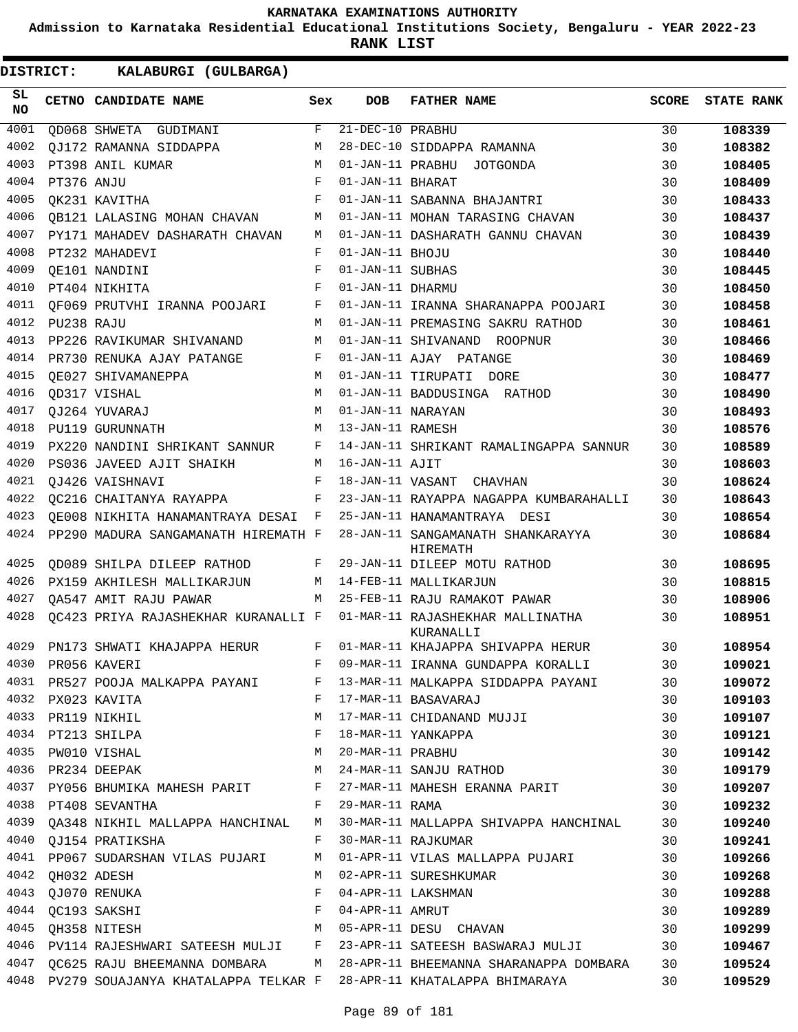**Admission to Karnataka Residential Educational Institutions Society, Bengaluru - YEAR 2022-23**

| <b>DISTRICT:</b> |            | KALABURGI (GULBARGA)                                                       |              |                   |                                                                                 |              |                   |
|------------------|------------|----------------------------------------------------------------------------|--------------|-------------------|---------------------------------------------------------------------------------|--------------|-------------------|
| SL.<br><b>NO</b> |            | CETNO CANDIDATE NAME                                                       | Sex          | DOB               | <b>FATHER NAME</b>                                                              | <b>SCORE</b> | <b>STATE RANK</b> |
| 4001             |            | OD068 SHWETA GUDIMANI                                                      | F            | 21-DEC-10 PRABHU  |                                                                                 | 30           | 108339            |
| 4002             |            | OJ172 RAMANNA SIDDAPPA                                                     | M            |                   | 28-DEC-10 SIDDAPPA RAMANNA                                                      | 30           | 108382            |
| 4003             |            | PT398 ANIL KUMAR                                                           | M            |                   | 01-JAN-11 PRABHU JOTGONDA                                                       | 30           | 108405            |
| 4004             | PT376 ANJU |                                                                            | F            | 01-JAN-11 BHARAT  |                                                                                 | 30           | 108409            |
| 4005             |            | OK231 KAVITHA                                                              | F            |                   | 01-JAN-11 SABANNA BHAJANTRI                                                     | 30           | 108433            |
| 4006             |            | OB121 LALASING MOHAN CHAVAN                                                | М            |                   | 01-JAN-11 MOHAN TARASING CHAVAN                                                 | 30           | 108437            |
| 4007             |            | PY171 MAHADEV DASHARATH CHAVAN                                             | M            |                   | 01-JAN-11 DASHARATH GANNU CHAVAN                                                | 30           | 108439            |
| 4008             |            | PT232 MAHADEVI                                                             | F            | 01-JAN-11 BHOJU   |                                                                                 | 30           | 108440            |
| 4009             |            | OE101 NANDINI                                                              | F            | 01-JAN-11 SUBHAS  |                                                                                 | 30           | 108445            |
| 4010             |            | PT404 NIKHITA                                                              | F            | 01-JAN-11 DHARMU  |                                                                                 | 30           | 108450            |
| 4011             |            | OF069 PRUTVHI IRANNA POOJARI                                               | F            |                   | 01-JAN-11 IRANNA SHARANAPPA POOJARI                                             | 30           | 108458            |
| 4012             | PU238 RAJU |                                                                            | M            |                   | 01-JAN-11 PREMASING SAKRU RATHOD                                                | 30           | 108461            |
| 4013             |            | PP226 RAVIKUMAR SHIVANAND                                                  | М            |                   | 01-JAN-11 SHIVANAND ROOPNUR                                                     | 30           | 108466            |
| 4014             |            | PR730 RENUKA AJAY PATANGE                                                  | F            |                   | 01-JAN-11 AJAY PATANGE                                                          | 30           | 108469            |
| 4015             |            | OE027 SHIVAMANEPPA                                                         | M            |                   | 01-JAN-11 TIRUPATI DORE                                                         | 30           | 108477            |
| 4016             |            | QD317 VISHAL                                                               | M            |                   | 01-JAN-11 BADDUSINGA RATHOD                                                     | 30           | 108490            |
| 4017             |            | OJ264 YUVARAJ                                                              | M            | 01-JAN-11 NARAYAN |                                                                                 | 30           | 108493            |
| 4018             |            | PU119 GURUNNATH                                                            | M            | 13-JAN-11 RAMESH  |                                                                                 | 30           | 108576            |
| 4019             |            | PX220 NANDINI SHRIKANT SANNUR                                              | F            |                   | 14-JAN-11 SHRIKANT RAMALINGAPPA SANNUR                                          | 30           | 108589            |
| 4020             |            | PS036 JAVEED AJIT SHAIKH                                                   | M            | 16-JAN-11 AJIT    |                                                                                 | 30           | 108603            |
| 4021             |            | OJ426 VAISHNAVI                                                            | F            |                   | 18-JAN-11 VASANT CHAVHAN                                                        | 30           | 108624            |
| 4022             |            | OC216 CHAITANYA RAYAPPA                                                    | F            |                   | 23-JAN-11 RAYAPPA NAGAPPA KUMBARAHALLI                                          | 30           | 108643            |
| 4023             |            | QE008 NIKHITA HANAMANTRAYA DESAI                                           | $\mathbf{F}$ |                   | 25-JAN-11 HANAMANTRAYA DESI                                                     | 30           | 108654            |
| 4024             |            | PP290 MADURA SANGAMANATH HIREMATH F                                        |              |                   | 28-JAN-11 SANGAMANATH SHANKARAYYA<br>HIREMATH                                   | 30           | 108684            |
| 4025             |            | OD089 SHILPA DILEEP RATHOD                                                 | F            |                   | 29-JAN-11 DILEEP MOTU RATHOD                                                    | 30           | 108695            |
| 4026             |            | PX159 AKHILESH MALLIKARJUN                                                 | M            |                   | 14-FEB-11 MALLIKARJUN                                                           | 30           | 108815            |
| 4027             |            | OA547 AMIT RAJU PAWAR                                                      | M            |                   | 25-FEB-11 RAJU RAMAKOT PAWAR                                                    | 30           | 108906            |
| 4028             |            | OC423 PRIYA RAJASHEKHAR KURANALLI F                                        |              |                   | 01-MAR-11 RAJASHEKHAR MALLINATHA<br>KURANALLI                                   | 30           | 108951            |
| 4029             |            | PN173 SHWATI KHAJAPPA HERUR                                                | F            |                   | 01-MAR-11 KHAJAPPA SHIVAPPA HERUR                                               | 30           | 108954            |
|                  |            | 4030 PR056 KAVERI                                                          |              |                   | F 09-MAR-11 IRANNA GUNDAPPA KORALLI 30                                          |              | 109021            |
|                  |            |                                                                            |              |                   | 4031 PR527 POOJA MALKAPPA PAYANI F 13-MAR-11 MALKAPPA SIDDAPPA PAYANI 30        |              | 109072            |
|                  |            | 4032 PX023 KAVITA                                                          |              |                   | F 17-MAR-11 BASAVARAJ<br>30                                                     |              | 109103            |
|                  |            | 4033 PR119 NIKHIL                                                          |              |                   | M 17-MAR-11 CHIDANAND MUJJI 30                                                  |              | 109107            |
|                  |            |                                                                            |              |                   |                                                                                 | 30           | 109121            |
|                  |            |                                                                            |              |                   |                                                                                 | 30           | 109142            |
|                  |            |                                                                            |              |                   |                                                                                 | 30           | 109179            |
|                  |            |                                                                            |              |                   | 4037 PY056 BHUMIKA MAHESH PARIT F 27-MAR-11 MAHESH ERANNA PARIT 30              |              | 109207            |
|                  |            | F 29-MAR-11 RAMA<br>4038 PT408 SEVANTHA                                    |              |                   |                                                                                 | 30           | 109232            |
|                  |            |                                                                            |              |                   | 4039 QA348 NIKHIL MALLAPPA HANCHINAL M 30-MAR-11 MALLAPPA SHIVAPPA HANCHINAL 30 |              | 109240            |
|                  |            | 4040 QJ154 PRATIKSHA                                 F  30-MAR-11 RAJKUMAR |              |                   | 30                                                                              |              | 109241            |
|                  |            |                                                                            |              |                   | 4041 PP067 SUDARSHAN VILAS PUJARI M 01-APR-11 VILAS MALLAPPA PUJARI 30          |              | 109266            |
|                  |            | 4042 QH032 ADESH                                                           |              |                   | M 02-APR-11 SURESHKUMAR                                                         | 30           | 109268            |
|                  |            | 4043 QJ070 RENUKA                                                          |              |                   | F 04-APR-11 LAKSHMAN                                                            | 30           | 109288            |
|                  |            | 4044 QC193 SAKSHI $F$ 04-APR-11 AMRUT                                      |              |                   |                                                                                 | 30           | 109289            |
|                  |            |                                                                            |              |                   | 4045 QH358 NITESH M 05-APR-11 DESU CHAVAN 30                                    |              | 109299            |
|                  |            |                                                                            |              |                   | 4046 PV114 RAJESHWARI SATEESH MULJI F 23-APR-11 SATEESH BASWARAJ MULJI 30       |              | 109467            |
|                  |            |                                                                            |              |                   | 4047 QC625 RAJU BHEEMANNA DOMBARA M 28-APR-11 BHEEMANNA SHARANAPPA DOMBARA 30   |              | 109524            |
|                  |            |                                                                            |              |                   | 4048 PV279 SOUAJANYA KHATALAPPA TELKAR F 28-APR-11 KHATALAPPA BHIMARAYA 30      |              | 109529            |
|                  |            |                                                                            |              |                   |                                                                                 |              |                   |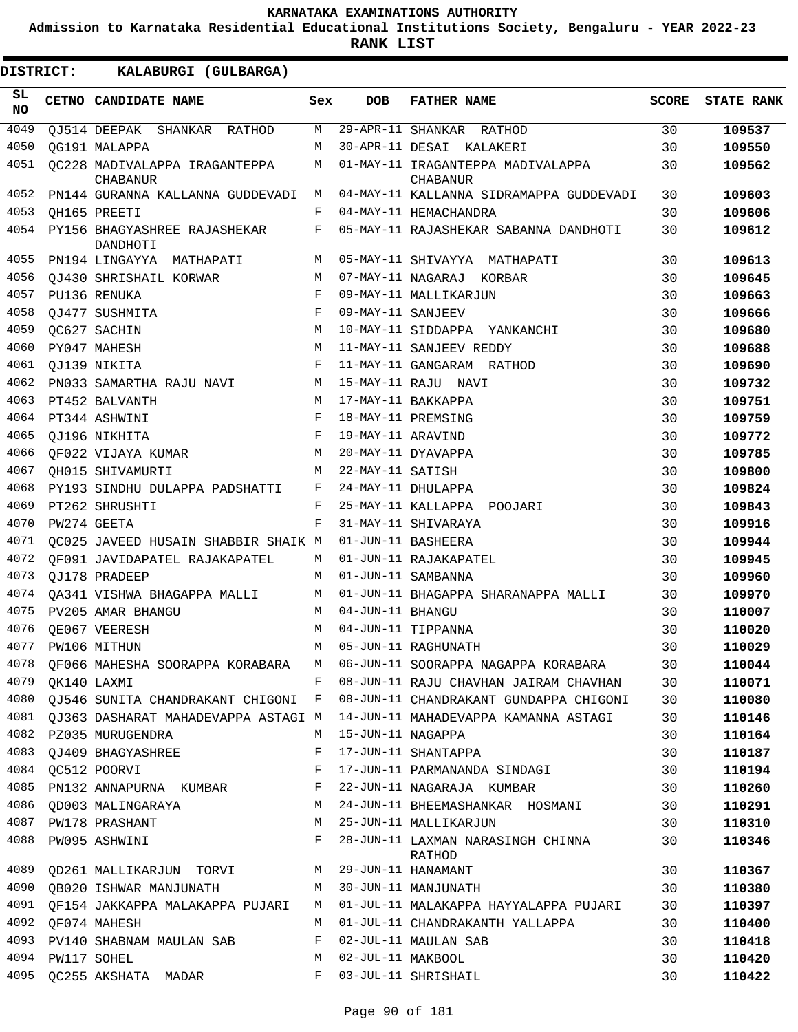**Admission to Karnataka Residential Educational Institutions Society, Bengaluru - YEAR 2022-23**

| DISTRICT:       |                  | KALABURGI (GULBARGA)                              |            |                     |                                                                               |              |                   |
|-----------------|------------------|---------------------------------------------------|------------|---------------------|-------------------------------------------------------------------------------|--------------|-------------------|
| SL<br><b>NO</b> |                  | CETNO CANDIDATE NAME                              | Sex        | DOB                 | <b>FATHER NAME</b>                                                            | <b>SCORE</b> | <b>STATE RANK</b> |
| 4049            |                  | QJ514 DEEPAK SHANKAR RATHOD                       | М          |                     | 29-APR-11 SHANKAR RATHOD                                                      | 30           | 109537            |
| 4050            |                  | OG191 MALAPPA                                     | M          |                     | 30-APR-11 DESAI KALAKERI                                                      | 30           | 109550            |
| 4051            |                  | QC228 MADIVALAPPA IRAGANTEPPA<br><b>CHABANUR</b>  | М          |                     | 01-MAY-11 IRAGANTEPPA MADIVALAPPA<br><b>CHABANUR</b>                          | 30           | 109562            |
| 4052            |                  | PN144 GURANNA KALLANNA GUDDEVADI                  | M          |                     | 04-MAY-11 KALLANNA SIDRAMAPPA GUDDEVADI                                       | 30           | 109603            |
| 4053            |                  | OH165 PREETI                                      | F          |                     | 04-MAY-11 HEMACHANDRA                                                         | 30           | 109606            |
| 4054            |                  | PY156 BHAGYASHREE RAJASHEKAR<br>DANDHOTI          | F          |                     | 05-MAY-11 RAJASHEKAR SABANNA DANDHOTI                                         | 30           | 109612            |
| 4055            |                  | PN194 LINGAYYA MATHAPATI                          | M          |                     | 05-MAY-11 SHIVAYYA MATHAPATI                                                  | 30           | 109613            |
| 4056            |                  | OJ430 SHRISHAIL KORWAR                            | M          |                     | 07-MAY-11 NAGARAJ KORBAR                                                      | 30           | 109645            |
| 4057            |                  | PU136 RENUKA                                      | F          |                     | 09-MAY-11 MALLIKARJUN                                                         | 30           | 109663            |
| 4058            |                  | QJ477 SUSHMITA                                    | F          | 09-MAY-11 SANJEEV   |                                                                               | 30           | 109666            |
| 4059            |                  | QC627 SACHIN                                      | M          |                     | 10-MAY-11 SIDDAPPA YANKANCHI                                                  | 30           | 109680            |
| 4060            |                  | PY047 MAHESH                                      | M          |                     | 11-MAY-11 SANJEEV REDDY                                                       | 30           | 109688            |
| 4061            |                  | OJ139 NIKITA                                      | $_{\rm F}$ |                     | 11-MAY-11 GANGARAM RATHOD                                                     | 30           | 109690            |
| 4062            |                  | PN033 SAMARTHA RAJU NAVI                          | M          |                     | 15-MAY-11 RAJU NAVI                                                           | 30           | 109732            |
| 4063            |                  | PT452 BALVANTH                                    | M          |                     | 17-MAY-11 BAKKAPPA                                                            | 30           | 109751            |
| 4064            |                  | PT344 ASHWINI                                     | F          |                     | 18-MAY-11 PREMSING                                                            | 30           | 109759            |
| 4065            |                  | OJ196 NIKHITA                                     | F          | 19-MAY-11 ARAVIND   |                                                                               | 30           | 109772            |
| 4066            |                  | OF022 VIJAYA KUMAR                                | M          |                     | 20-MAY-11 DYAVAPPA                                                            | 30           | 109785            |
| 4067            |                  | OH015 SHIVAMURTI                                  | M          | 22-MAY-11 SATISH    |                                                                               | 30           | 109800            |
| 4068            |                  | PY193 SINDHU DULAPPA PADSHATTI                    | F          |                     | 24-MAY-11 DHULAPPA                                                            | 30           | 109824            |
| 4069            |                  | PT262 SHRUSHTI                                    | F          |                     | 25-MAY-11 KALLAPPA POOJARI                                                    | 30           | 109843            |
| 4070            |                  | PW274 GEETA                                       | F          |                     | 31-MAY-11 SHIVARAYA                                                           | 30           | 109916            |
| 4071            |                  | QC025 JAVEED HUSAIN SHABBIR SHAIK M               |            |                     | 01-JUN-11 BASHEERA                                                            | 30           | 109944            |
| 4072            |                  | OF091 JAVIDAPATEL RAJAKAPATEL                     | M          |                     | 01-JUN-11 RAJAKAPATEL                                                         | 30           | 109945            |
| 4073            |                  | OJ178 PRADEEP                                     | M          |                     | 01-JUN-11 SAMBANNA                                                            | 30           | 109960            |
| 4074            |                  | QA341 VISHWA BHAGAPPA MALLI                       | M          |                     | 01-JUN-11 BHAGAPPA SHARANAPPA MALLI                                           | 30           | 109970            |
| 4075            |                  | PV205 AMAR BHANGU                                 | M          | 04-JUN-11 BHANGU    |                                                                               | 30           | 110007            |
| 4076            |                  | OE067 VEERESH                                     | M          |                     | 04-JUN-11 TIPPANNA                                                            | 30           | 110020            |
| 4077            |                  | PW106 MITHUN                                      | M          |                     | 05-JUN-11 RAGHUNATH                                                           | 30           | 110029            |
|                 |                  |                                                   |            |                     | 4078 QF066 MAHESHA SOORAPPA KORABARA M 06-JUN-11 SOORAPPA NAGAPPA KORABARA 30 |              | 110044            |
|                 | 4079 QK140 LAXMI |                                                   | $F -$      |                     | 08-JUN-11 RAJU CHAVHAN JAIRAM CHAVHAN 30                                      |              | 110071            |
|                 |                  | 4080 QJ546 SUNITA CHANDRAKANT CHIGONI F           |            |                     | 08-JUN-11 CHANDRAKANT GUNDAPPA CHIGONI                                        | 30           | 110080            |
|                 |                  | 4081 OJ363 DASHARAT MAHADEVAPPA ASTAGI M          |            |                     | 14-JUN-11 MAHADEVAPPA KAMANNA ASTAGI                                          | 30           | 110146            |
|                 |                  | 4082 PZ035 MURUGENDRA                             | M          | 15-JUN-11 NAGAPPA   |                                                                               | 30           | 110164            |
|                 |                  | 4083 QJ409 BHAGYASHREE                            | F          |                     | 17-JUN-11 SHANTAPPA                                                           | 30           | 110187            |
|                 |                  | 4084 QC512 POORVI                                 | F          |                     | 17-JUN-11 PARMANANDA SINDAGI                                                  | 30           | 110194            |
|                 |                  |                                                   |            |                     | 4085 PN132 ANNAPURNA KUMBAR F 22-JUN-11 NAGARAJA KUMBAR                       | 30           | 110260            |
|                 |                  |                                                   |            |                     | 4086 QD003 MALINGARAYA M 24-JUN-11 BHEEMASHANKAR HOSMANI                      | 30           | 110291            |
|                 |                  | 4087 PW178 PRASHANT                               |            |                     | M 25-JUN-11 MALLIKARJUN                                                       | 30           | 110310            |
|                 |                  | 4088 PW095 ASHWINI                                |            |                     | F 28-JUN-11 LAXMAN NARASINGH CHINNA<br>RATHOD                                 | 30           | 110346            |
|                 |                  | 4089 QD261 MALLIKARJUN TORVI M 29-JUN-11 HANAMANT |            |                     |                                                                               | 30           | 110367            |
|                 |                  |                                                   |            |                     | 4090 QB020 ISHWAR MANJUNATH M M 30-JUN-11 MANJUNATH                           | 30           | 110380            |
| 4091            |                  | QF154 JAKKAPPA MALAKAPPA PUJARI M                 |            |                     | 01-JUL-11 MALAKAPPA HAYYALAPPA PUJARI                                         | 30           | 110397            |
|                 |                  | 4092 QF074 MAHESH                                 | M          |                     | 01-JUL-11 CHANDRAKANTH YALLAPPA                                               | 30           | 110400            |
|                 |                  | 4093 PV140 SHABNAM MAULAN SAB                     |            |                     | F 02-JUL-11 MAULAN SAB                                                        | 30           | 110418            |
|                 | 4094 PW117 SOHEL |                                                   |            | M 02-JUL-11 MAKBOOL |                                                                               | 30           | 110420            |
|                 |                  | 4095 QC255 AKSHATA MADAR                          | $F -$      |                     | 03-JUL-11 SHRISHAIL                                                           | 30           | 110422            |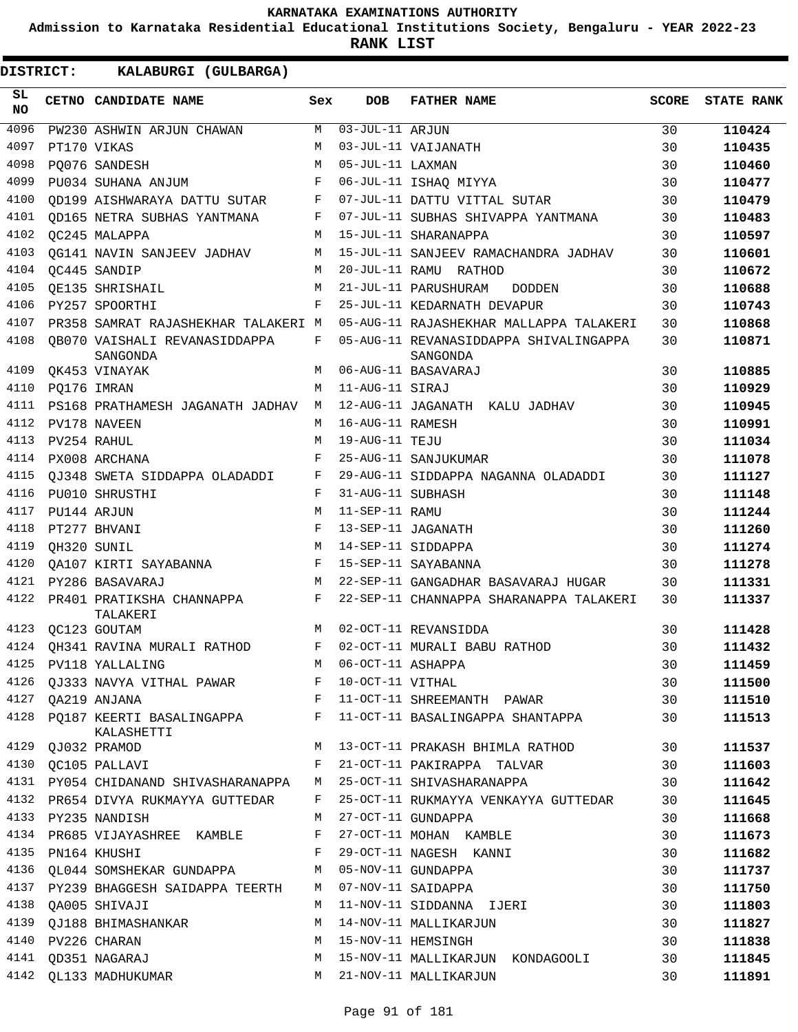**Admission to Karnataka Residential Educational Institutions Society, Bengaluru - YEAR 2022-23**

**RANK LIST**

| SL<br><b>NO</b> | CETNO CANDIDATE NAME                               | Sex        | <b>DOB</b>        | <b>FATHER NAME</b>                                                | SCORE | <b>STATE RANK</b> |
|-----------------|----------------------------------------------------|------------|-------------------|-------------------------------------------------------------------|-------|-------------------|
| 4096            | PW230 ASHWIN ARJUN CHAWAN                          | M          | $03-JUL-11$ ARJUN |                                                                   | 30    | 110424            |
| 4097            | PT170 VIKAS                                        | M          |                   | 03-JUL-11 VAIJANATH                                               | 30    | 110435            |
| 4098            | PQ076 SANDESH                                      | M          | 05-JUL-11 LAXMAN  |                                                                   | 30    | 110460            |
| 4099            | PU034 SUHANA ANJUM                                 | F          |                   | 06-JUL-11 ISHAQ MIYYA                                             | 30    | 110477            |
| 4100            | OD199 AISHWARAYA DATTU SUTAR                       | F          |                   | 07-JUL-11 DATTU VITTAL SUTAR                                      | 30    | 110479            |
| 4101            | <b>QD165 NETRA SUBHAS YANTMANA</b>                 | F          |                   | 07-JUL-11 SUBHAS SHIVAPPA YANTMANA                                | 30    | 110483            |
| 4102            | <b>QC245 MALAPPA</b>                               | M          |                   | 15-JUL-11 SHARANAPPA                                              | 30    | 110597            |
| 4103            | <b>QG141 NAVIN SANJEEV JADHAV</b>                  | M          |                   | 15-JUL-11 SANJEEV RAMACHANDRA JADHAV                              | 30    | 110601            |
| 4104            | QC445 SANDIP                                       | M          |                   | 20-JUL-11 RAMU RATHOD                                             | 30    | 110672            |
| 4105            | OE135 SHRISHAIL                                    | M          |                   | 21-JUL-11 PARUSHURAM<br>DODDEN                                    | 30    | 110688            |
| 4106            | PY257 SPOORTHI                                     | F          |                   | 25-JUL-11 KEDARNATH DEVAPUR                                       | 30    | 110743            |
| 4107            | PR358 SAMRAT RAJASHEKHAR TALAKERI M                |            |                   | 05-AUG-11 RAJASHEKHAR MALLAPPA TALAKERI                           | 30    | 110868            |
| 4108            | OB070 VAISHALI REVANASIDDAPPA<br>SANGONDA          | F          |                   | 05-AUG-11 REVANASIDDAPPA SHIVALINGAPPA<br>SANGONDA                | 30    | 110871            |
| 4109            | OK453 VINAYAK                                      | M          |                   | 06-AUG-11 BASAVARAJ                                               | 30    | 110885            |
| 4110            | PQ176 IMRAN                                        | М          | 11-AUG-11 SIRAJ   |                                                                   | 30    | 110929            |
| 4111            | PS168 PRATHAMESH JAGANATH JADHAV                   | M          |                   | 12-AUG-11 JAGANATH KALU JADHAV                                    | 30    | 110945            |
| 4112            | PV178 NAVEEN                                       | M          | 16-AUG-11 RAMESH  |                                                                   | 30    | 110991            |
| 4113            | PV254 RAHUL                                        | M          | 19-AUG-11 TEJU    |                                                                   | 30    | 111034            |
| 4114            | PX008 ARCHANA                                      | F          |                   | 25-AUG-11 SANJUKUMAR                                              | 30    | 111078            |
| 4115            | OJ348 SWETA SIDDAPPA OLADADDI                      | F          |                   | 29-AUG-11 SIDDAPPA NAGANNA OLADADDI                               | 30    | 111127            |
| 4116            | PU010 SHRUSTHI                                     | F          | 31-AUG-11 SUBHASH |                                                                   | 30    | 111148            |
| 4117            | PU144 ARJUN                                        | M          | 11-SEP-11 RAMU    |                                                                   | 30    | 111244            |
| 4118            | PT277 BHVANI                                       | F          |                   | 13-SEP-11 JAGANATH                                                | 30    | 111260            |
| 4119            | QH320 SUNIL                                        | M          |                   | 14-SEP-11 SIDDAPPA                                                | 30    | 111274            |
| 4120            | QA107 KIRTI SAYABANNA                              | $_{\rm F}$ |                   | 15-SEP-11 SAYABANNA                                               | 30    | 111278            |
| 4121            | PY286 BASAVARAJ                                    | M          |                   | 22-SEP-11 GANGADHAR BASAVARAJ HUGAR                               | 30    | 111331            |
| 4122            | PR401 PRATIKSHA CHANNAPPA<br>TALAKERI              | F          |                   | 22-SEP-11 CHANNAPPA SHARANAPPA TALAKERI                           | 30    | 111337            |
| 4123            | <b>OC123 GOUTAM</b>                                | M          |                   | 02-OCT-11 REVANSIDDA                                              | 30    | 111428            |
| 4124            | OH341 RAVINA MURALI RATHOD                         | F          |                   | 02-OCT-11 MURALI BABU RATHOD                                      | 30    | 111432            |
|                 | 4125 PV118 YALLALING                               | M          | 06-OCT-11 ASHAPPA |                                                                   | 30    | 111459            |
|                 | 4126 QJ333 NAVYA VITHAL PAWAR $F$ 10-OCT-11 VITHAL |            |                   |                                                                   | 30    | 111500            |
|                 | 4127 QA219 ANJANA                                  |            |                   | F 11-OCT-11 SHREEMANTH PAWAR                                      | 30    | 111510            |
|                 | KALASHETTI                                         |            |                   | 4128 PQ187 KEERTI BASALINGAPPA F 11-OCT-11 BASALINGAPPA SHANTAPPA | 30    | 111513            |
|                 | 4129 QJ032 PRAMOD                                  |            |                   | M 13-OCT-11 PRAKASH BHIMLA RATHOD                                 | 30    | 111537            |
|                 | 4130 QC105 PALLAVI                                 | F          |                   | 21-OCT-11 PAKIRAPPA TALVAR                                        | 30    | 111603            |
|                 | 4131 PY054 CHIDANAND SHIVASHARANAPPA               | M          |                   | 25-OCT-11 SHIVASHARANAPPA                                         | 30    | 111642            |
|                 | 4132 PR654 DIVYA RUKMAYYA GUTTEDAR                 | F          |                   | 25-OCT-11 RUKMAYYA VENKAYYA GUTTEDAR                              | 30    | 111645            |
|                 | 4133 PY235 NANDISH                                 | М          |                   | 27-OCT-11 GUNDAPPA                                                | 30    | 111668            |
|                 | 4134 PR685 VIJAYASHREE KAMBLE                      | F          |                   | 27-OCT-11 MOHAN KAMBLE                                            | 30    | 111673            |
|                 | 4135 PN164 KHUSHI                                  | F          |                   | 29-OCT-11 NAGESH KANNI                                            | 30    | 111682            |
|                 | 4136 QL044 SOMSHEKAR GUNDAPPA                      | M          |                   | 05-NOV-11 GUNDAPPA                                                | 30    | 111737            |
|                 | 4137 PY239 BHAGGESH SAIDAPPA TEERTH                | M          |                   | 07-NOV-11 SAIDAPPA                                                | 30    | 111750            |
| 4138            | QA005 SHIVAJI                                      | M          |                   | 11-NOV-11 SIDDANNA IJERI                                          | 30    | 111803            |
| 4139            | QJ188 BHIMASHANKAR                                 | M          |                   | 14-NOV-11 MALLIKARJUN                                             | 30    | 111827            |
|                 | 4140 PV226 CHARAN                                  | M          |                   | 15-NOV-11 HEMSINGH                                                | 30    | 111838            |
| 4141            | QD351 NAGARAJ                                      | М          |                   | 15-NOV-11 MALLIKARJUN KONDAGOOLI                                  | 30    | 111845            |
|                 | 4142 QL133 MADHUKUMAR                              | M          |                   | 21-NOV-11 MALLIKARJUN                                             | 30    | 111891            |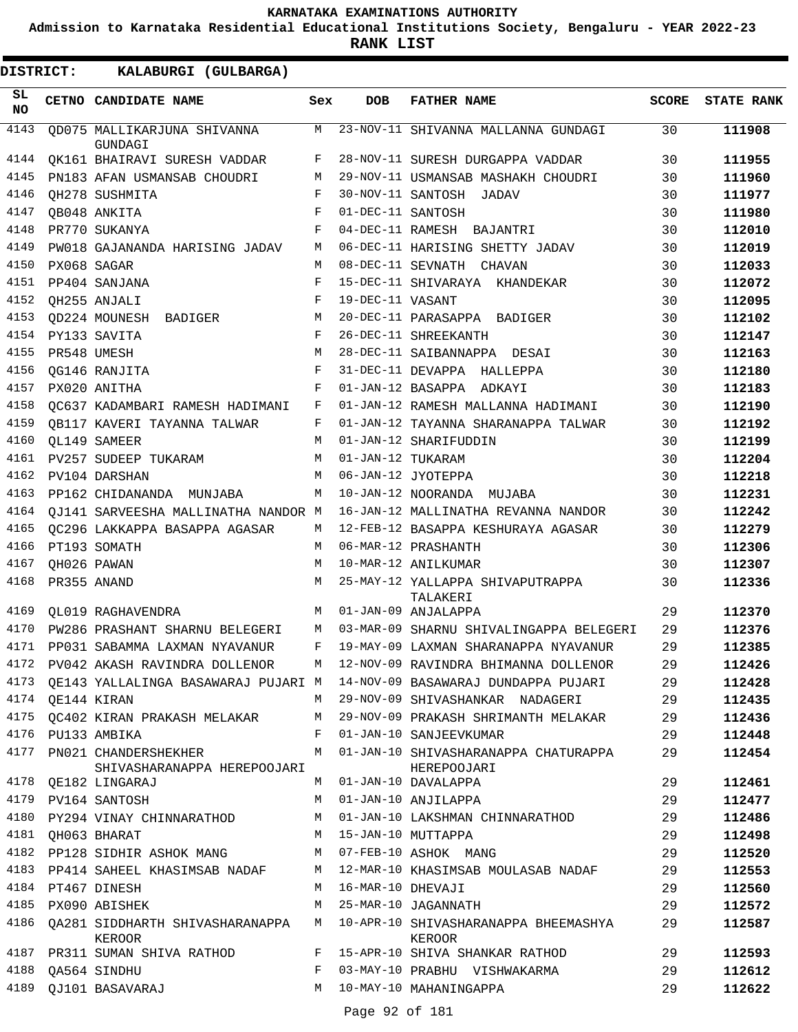**Admission to Karnataka Residential Educational Institutions Society, Bengaluru - YEAR 2022-23**

| DISTRICT:        |                  | KALABURGI (GULBARGA)                                     |              |                   |                                                                               |       |                   |
|------------------|------------------|----------------------------------------------------------|--------------|-------------------|-------------------------------------------------------------------------------|-------|-------------------|
| SL.<br><b>NO</b> |                  | CETNO CANDIDATE NAME                                     | Sex          | <b>DOB</b>        | <b>FATHER NAME</b>                                                            | SCORE | <b>STATE RANK</b> |
| 4143             |                  | OD075 MALLIKARJUNA SHIVANNA<br>GUNDAGI                   | M            |                   | 23-NOV-11 SHIVANNA MALLANNA GUNDAGI                                           | 30    | 111908            |
| 4144             |                  | QK161 BHAIRAVI SURESH VADDAR                             | F            |                   | 28-NOV-11 SURESH DURGAPPA VADDAR                                              | 30    | 111955            |
| 4145             |                  | PN183 AFAN USMANSAB CHOUDRI                              | M            |                   | 29-NOV-11 USMANSAB MASHAKH CHOUDRI                                            | 30    | 111960            |
| 4146             |                  | QH278 SUSHMITA                                           | F            |                   | 30-NOV-11 SANTOSH JADAV                                                       | 30    | 111977            |
| 4147             |                  | <b>QB048 ANKITA</b>                                      | F            | 01-DEC-11 SANTOSH |                                                                               | 30    | 111980            |
| 4148             |                  | PR770 SUKANYA                                            | F            |                   | 04-DEC-11 RAMESH BAJANTRI                                                     | 30    | 112010            |
| 4149             |                  | PW018 GAJANANDA HARISING JADAV                           | M            |                   | 06-DEC-11 HARISING SHETTY JADAV                                               | 30    | 112019            |
| 4150             | PX068 SAGAR      |                                                          | M            |                   | 08-DEC-11 SEVNATH CHAVAN                                                      | 30    | 112033            |
| 4151             |                  | PP404 SANJANA                                            | F            |                   | 15-DEC-11 SHIVARAYA KHANDEKAR                                                 | 30    | 112072            |
| 4152             |                  | QH255 ANJALI                                             | F            | 19-DEC-11 VASANT  |                                                                               | 30    | 112095            |
| 4153             |                  | QD224 MOUNESH BADIGER                                    | M            |                   | 20-DEC-11 PARASAPPA BADIGER                                                   | 30    | 112102            |
| 4154             |                  | PY133 SAVITA                                             | F            |                   | 26-DEC-11 SHREEKANTH                                                          | 30    | 112147            |
| 4155             | PR548 UMESH      |                                                          | M            |                   | 28-DEC-11 SAIBANNAPPA DESAI                                                   | 30    | 112163            |
| 4156             |                  | <b>OG146 RANJITA</b>                                     | F            |                   | 31-DEC-11 DEVAPPA HALLEPPA                                                    | 30    | 112180            |
| 4157             |                  | PX020 ANITHA                                             | F            |                   | 01-JAN-12 BASAPPA ADKAYI                                                      | 30    | 112183            |
| 4158             |                  | QC637 KADAMBARI RAMESH HADIMANI                          | F            |                   | 01-JAN-12 RAMESH MALLANNA HADIMANI                                            | 30    | 112190            |
| 4159             |                  | QB117 KAVERI TAYANNA TALWAR                              | F            |                   | 01-JAN-12 TAYANNA SHARANAPPA TALWAR                                           | 30    | 112192            |
| 4160             |                  | QL149 SAMEER                                             | M            |                   | 01-JAN-12 SHARIFUDDIN                                                         | 30    | 112199            |
| 4161             |                  | PV257 SUDEEP TUKARAM                                     | М            | 01-JAN-12 TUKARAM |                                                                               | 30    | 112204            |
| 4162             |                  | PV104 DARSHAN                                            | M            |                   | 06-JAN-12 JYOTEPPA                                                            | 30    | 112218            |
| 4163             |                  | PP162 CHIDANANDA MUNJABA                                 | M            |                   | 10-JAN-12 NOORANDA MUJABA                                                     | 30    | 112231            |
| 4164             |                  | QJ141 SARVEESHA MALLINATHA NANDOR M                      |              |                   | 16-JAN-12 MALLINATHA REVANNA NANDOR                                           | 30    | 112242            |
| 4165             |                  | QC296 LAKKAPPA BASAPPA AGASAR                            | M            |                   | 12-FEB-12 BASAPPA KESHURAYA AGASAR                                            | 30    | 112279            |
| 4166             |                  | PT193 SOMATH                                             | M            |                   | 06-MAR-12 PRASHANTH                                                           | 30    | 112306            |
| 4167             | QH026 PAWAN      |                                                          | M            |                   | 10-MAR-12 ANILKUMAR                                                           | 30    | 112307            |
| 4168             | PR355 ANAND      |                                                          | M            |                   | 25-MAY-12 YALLAPPA SHIVAPUTRAPPA<br>TALAKERI                                  | 30    | 112336            |
| 4169             |                  | OL019 RAGHAVENDRA                                        | M            |                   | 01-JAN-09 ANJALAPPA                                                           | 29    | 112370            |
| 4170             |                  | PW286 PRASHANT SHARNU BELEGERI                           | M            |                   | 03-MAR-09 SHARNU SHIVALINGAPPA BELEGERI                                       | 29    | 112376            |
| 4171             |                  | PP031 SABAMMA LAXMAN NYAVANUR F                          |              |                   | 19-MAY-09 LAXMAN SHARANAPPA NYAVANUR                                          | 29    | 112385            |
|                  |                  |                                                          |              |                   | 4172 PV042 AKASH RAVINDRA DOLLENOR M 12-NOV-09 RAVINDRA BHIMANNA DOLLENOR     | 29    | 112426            |
|                  |                  |                                                          |              |                   | 4173 QE143 YALLALINGA BASAWARAJ PUJARI M  14-NOV-09 BASAWARAJ DUNDAPPA PUJARI | 29    | 112428            |
|                  | 4174 QE144 KIRAN |                                                          |              |                   | M 29-NOV-09 SHIVASHANKAR NADAGERI                                             | 29    | 112435            |
| 4175             |                  |                                                          |              |                   | OC402 KIRAN PRAKASH MELAKAR        M   29-NOV-09 PRAKASH SHRIMANTH MELAKAR    | 29    | 112436            |
|                  |                  | 4176 PU133 AMBIKA                                        | $\mathbf{F}$ |                   | 01-JAN-10 SANJEEVKUMAR                                                        | 29    | 112448            |
|                  |                  | 4177 PN021 CHANDERSHEKHER<br>SHIVASHARANAPPA HEREPOOJARI | M            |                   | 01-JAN-10 SHIVASHARANAPPA CHATURAPPA<br>HEREPOOJARI                           | 29    | 112454            |
|                  |                  | 4178 OE182 LINGARAJ                                      | M            |                   | 01-JAN-10 DAVALAPPA                                                           | 29    | 112461            |
|                  |                  | 4179 PV164 SANTOSH                                       | M            |                   | 01-JAN-10 ANJILAPPA                                                           | 29    | 112477            |
| 4180             |                  | PY294 VINAY CHINNARATHOD M                               |              |                   | 01-JAN-10 LAKSHMAN CHINNARATHOD                                               | 29    | 112486            |
|                  |                  | 4181 QH063 BHARAT                                        |              |                   | M 15-JAN-10 MUTTAPPA                                                          | 29    | 112498            |
|                  |                  | 4182 PP128 SIDHIR ASHOK MANG MO7-FEB-10 ASHOK MANG       |              |                   |                                                                               | 29    | 112520            |
|                  |                  |                                                          |              |                   | 4183 PP414 SAHEEL KHASIMSAB NADAF M 12-MAR-10 KHASIMSAB MOULASAB NADAF        | 29    | 112553            |
| 4184             |                  | PT467 DINESH                                             | M            | 16-MAR-10 DHEVAJI |                                                                               | 29    | 112560            |
| 4185             |                  | PX090 ABISHEK                                            | M            |                   | 25-MAR-10 JAGANNATH                                                           | 29    | 112572            |
| 4186             |                  | OA281 SIDDHARTH SHIVASHARANAPPA M<br>KEROOR              |              |                   | 10-APR-10 SHIVASHARANAPPA BHEEMASHYA<br>KEROOR                                | 29    | 112587            |
|                  |                  | 4187 PR311 SUMAN SHIVA RATHOD                            |              |                   | F 15-APR-10 SHIVA SHANKAR RATHOD                                              | 29    | 112593            |
|                  |                  | 4188 QA564 SINDHU                                        | F            |                   | 03-MAY-10 PRABHU VISHWAKARMA                                                  | 29    | 112612            |
|                  |                  | 4189 QJ101 BASAVARAJ                                     |              |                   | M 10-MAY-10 MAHANINGAPPA                                                      | 29    | 112622            |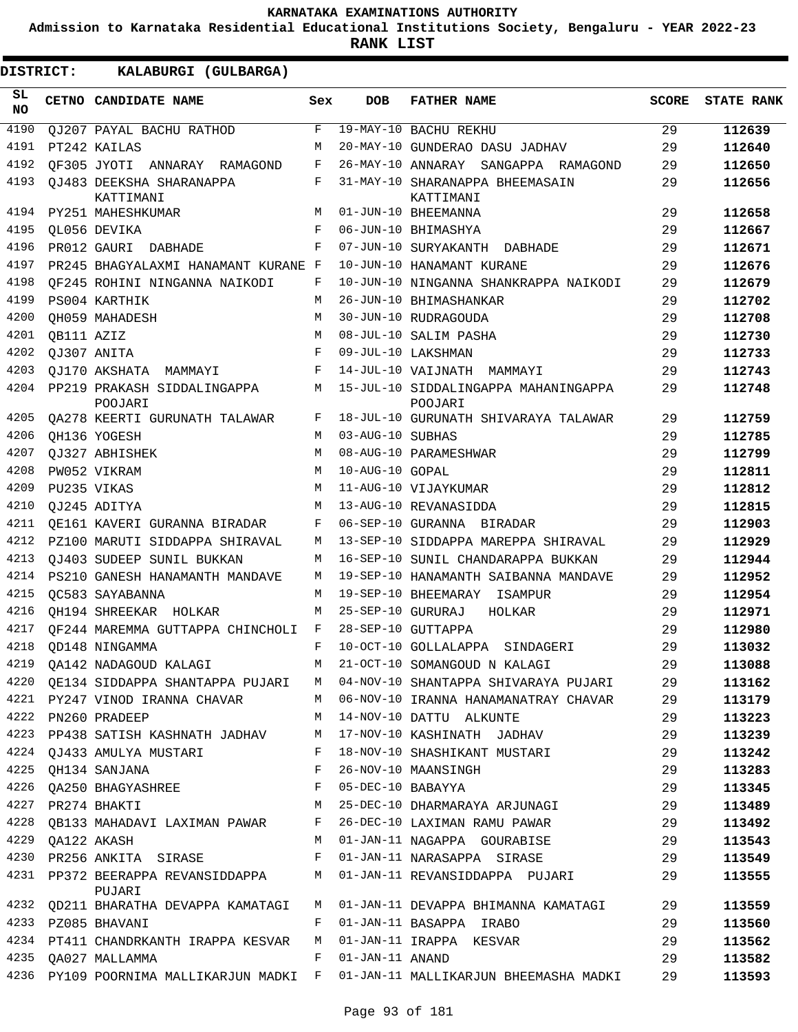**Admission to Karnataka Residential Educational Institutions Society, Bengaluru - YEAR 2022-23**

**RANK LIST**

| SL<br><b>NO</b> |                  | CETNO CANDIDATE NAME                                             | Sex        | <b>DOB</b>        | <b>FATHER NAME</b>                                                             | <b>SCORE</b> | <b>STATE RANK</b> |
|-----------------|------------------|------------------------------------------------------------------|------------|-------------------|--------------------------------------------------------------------------------|--------------|-------------------|
| 4190            |                  | OJ207 PAYAL BACHU RATHOD                                         | F          |                   | 19-MAY-10 BACHU REKHU                                                          | 29           | 112639            |
| 4191            |                  | PT242 KAILAS                                                     | M          |                   | 20-MAY-10 GUNDERAO DASU JADHAV                                                 | 29           | 112640            |
| 4192            |                  | OF305 JYOTI ANNARAY RAMAGOND                                     | F          |                   | 26-MAY-10 ANNARAY SANGAPPA RAMAGOND                                            | 29           | 112650            |
| 4193            |                  | OJ483 DEEKSHA SHARANAPPA<br>KATTIMANI                            | F          |                   | 31-MAY-10 SHARANAPPA BHEEMASAIN<br>KATTIMANI                                   | 29           | 112656            |
| 4194            |                  | PY251 MAHESHKUMAR                                                | M          |                   | 01-JUN-10 BHEEMANNA                                                            | 29           | 112658            |
| 4195            |                  | OL056 DEVIKA                                                     | F          |                   | 06-JUN-10 BHIMASHYA                                                            | 29           | 112667            |
| 4196            |                  | PR012 GAURI DABHADE                                              | F          |                   | 07-JUN-10 SURYAKANTH DABHADE                                                   | 29           | 112671            |
| 4197            |                  | PR245 BHAGYALAXMI HANAMANT KURANE F                              |            |                   | 10-JUN-10 HANAMANT KURANE                                                      | 29           | 112676            |
| 4198            |                  | OF245 ROHINI NINGANNA NAIKODI                                    | F          |                   | 10-JUN-10 NINGANNA SHANKRAPPA NAIKODI                                          | 29           | 112679            |
| 4199            |                  | PS004 KARTHIK                                                    | M          |                   | 26-JUN-10 BHIMASHANKAR                                                         | 29           | 112702            |
| 4200            |                  | OH059 MAHADESH                                                   | M          |                   | 30-JUN-10 RUDRAGOUDA                                                           | 29           | 112708            |
| 4201            | QB111 AZIZ       |                                                                  | М          |                   | 08-JUL-10 SALIM PASHA                                                          | 29           | 112730            |
| 4202            |                  | QJ307 ANITA                                                      | F          |                   | 09-JUL-10 LAKSHMAN                                                             | 29           | 112733            |
| 4203            |                  | OJ170 AKSHATA MAMMAYI                                            | F          |                   | 14-JUL-10 VAIJNATH MAMMAYI                                                     | 29           | 112743            |
| 4204            |                  | PP219 PRAKASH SIDDALINGAPPA<br>POOJARI                           | М          |                   | 15-JUL-10 SIDDALINGAPPA MAHANINGAPPA<br>POOJARI                                | 29           | 112748            |
| 4205            |                  | QA278 KEERTI GURUNATH TALAWAR                                    | F          |                   | 18-JUL-10 GURUNATH SHIVARAYA TALAWAR                                           | 29           | 112759            |
| 4206            |                  | OH136 YOGESH                                                     | M          | 03-AUG-10 SUBHAS  |                                                                                | 29           | 112785            |
| 4207            |                  | QJ327 ABHISHEK                                                   | M          |                   | 08-AUG-10 PARAMESHWAR                                                          | 29           | 112799            |
| 4208            |                  | PW052 VIKRAM                                                     | M          | 10-AUG-10 GOPAL   |                                                                                | 29           | 112811            |
| 4209            | PU235 VIKAS      |                                                                  | M          |                   | 11-AUG-10 VIJAYKUMAR                                                           | 29           | 112812            |
| 4210            |                  | OJ245 ADITYA                                                     | М          |                   | 13-AUG-10 REVANASIDDA                                                          | 29           | 112815            |
| 4211            |                  | OE161 KAVERI GURANNA BIRADAR                                     | F          |                   | 06-SEP-10 GURANNA BIRADAR                                                      | 29           | 112903            |
| 4212            |                  | PZ100 MARUTI SIDDAPPA SHIRAVAL                                   | M          |                   | 13-SEP-10 SIDDAPPA MAREPPA SHIRAVAL                                            | 29           | 112929            |
| 4213            |                  | OJ403 SUDEEP SUNIL BUKKAN                                        | М          |                   | 16-SEP-10 SUNIL CHANDARAPPA BUKKAN                                             | 29           | 112944            |
| 4214            |                  | PS210 GANESH HANAMANTH MANDAVE                                   | М          |                   | 19-SEP-10 HANAMANTH SAIBANNA MANDAVE                                           | 29           | 112952            |
| 4215            |                  | OC583 SAYABANNA                                                  | M          |                   | 19-SEP-10 BHEEMARAY ISAMPUR                                                    | 29           | 112954            |
| 4216            |                  | OH194 SHREEKAR HOLKAR                                            | М          | 25-SEP-10 GURURAJ | HOLKAR                                                                         | 29           | 112971            |
| 4217            |                  | OF244 MAREMMA GUTTAPPA CHINCHOLI                                 | F          |                   | 28-SEP-10 GUTTAPPA                                                             | 29           | 112980            |
| 4218            |                  | OD148 NINGAMMA                                                   | $_{\rm F}$ |                   | 10-OCT-10 GOLLALAPPA SINDAGERI                                                 | 29           | 113032            |
| 4219            |                  | QA142 NADAGOUD KALAGI                                            | M          |                   | 21-OCT-10 SOMANGOUD N KALAGI                                                   | 29           | 113088            |
|                 |                  |                                                                  |            |                   | 4220 QE134 SIDDAPPA SHANTAPPA PUJARI M 04-NOV-10 SHANTAPPA SHIVARAYA PUJARI 29 |              | 113162            |
|                 |                  |                                                                  |            |                   | 4221 PY247 VINOD IRANNA CHAVAR M 06-NOV-10 IRANNA HANAMANATRAY CHAVAR 29       |              | 113179            |
|                 |                  | 4222 PN260 PRADEEP M 14-NOV-10 DATTU ALKUNTE                     |            |                   |                                                                                | 29           | 113223            |
|                 |                  |                                                                  |            |                   | 4223 PP438 SATISH KASHNATH JADHAV M 17-NOV-10 KASHINATH JADHAV 29              |              | 113239            |
|                 |                  |                                                                  |            |                   | 4224 QJ433 AMULYA MUSTARI KALELER 18-NOV-10 SHASHIKANT MUSTARI (29             |              | 113242            |
|                 |                  | 4225 QH134 SANJANA                                               |            |                   | F 26-NOV-10 MAANSINGH                                                          | 29           | 113283            |
|                 |                  | 4226 QA250 BHAGYASHREE F 05-DEC-10 BABAYYA                       |            |                   |                                                                                | 29           | 113345            |
|                 |                  | 4227 PR274 BHAKTI                                                |            |                   | M 25-DEC-10 DHARMARAYA ARJUNAGI 29                                             |              | 113489            |
|                 |                  | 4228 QB133 MAHADAVI LAXIMAN PAWAR F 26-DEC-10 LAXIMAN RAMU PAWAR |            |                   | 29                                                                             |              | 113492            |
|                 | 4229 QA122 AKASH |                                                                  |            |                   | M 01-JAN-11 NAGAPPA GOURABISE 29                                               |              | 113543            |
|                 |                  |                                                                  |            |                   | 4230 PR256 ANKITA SIRASE BALLER POI-JAN-11 NARASAPPA SIRASE 29                 |              | 113549            |
|                 |                  | PUJARI                                                           |            |                   | 4231 PP372 BEERAPPA REVANSIDDAPPA M 01-JAN-11 REVANSIDDAPPA PUJARI 29          |              | 113555            |
|                 |                  |                                                                  |            |                   | 4232 QD211 BHARATHA DEVAPPA KAMATAGI M 01-JAN-11 DEVAPPA BHIMANNA KAMATAGI 29  |              | 113559            |
|                 |                  | 4233 PZ085 BHAVANI                                               |            |                   | 29<br>F 01-JAN-11 BASAPPA IRABO                                                |              | 113560            |
|                 |                  | 4234 PT411 CHANDRKANTH IRAPPA KESVAR M 01-JAN-11 IRAPPA KESVAR   |            |                   |                                                                                | 29           | 113562            |
|                 |                  | 4235 QA027 MALLAMMA<br>F 01-JAN-11 ANAND                         |            |                   |                                                                                | 29           | 113582            |
|                 |                  |                                                                  |            |                   | 4236 PY109 POORNIMA MALLIKARJUN MADKI F 01-JAN-11 MALLIKARJUN BHEEMASHA MADKI  | 29           | 113593            |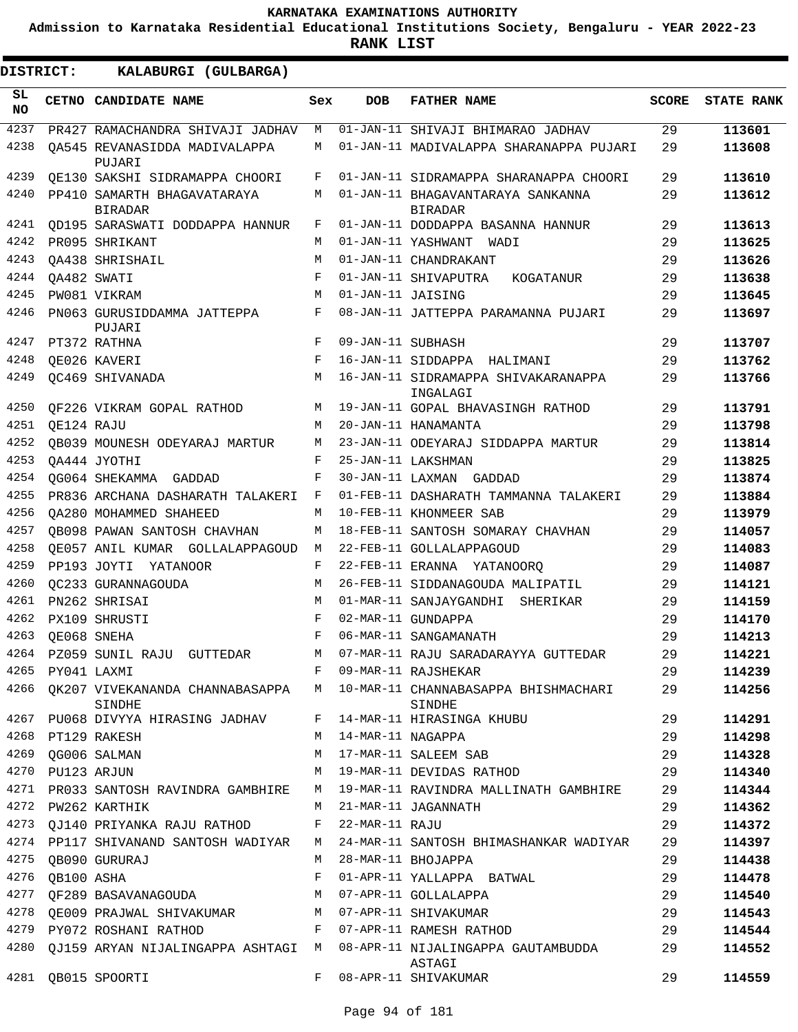**Admission to Karnataka Residential Educational Institutions Society, Bengaluru - YEAR 2022-23**

**RANK LIST**

ı

| <b>DISTRICT:</b> |                  | KALABURGI (GULBARGA)                          |     |                   |                                                                                       |              |                   |
|------------------|------------------|-----------------------------------------------|-----|-------------------|---------------------------------------------------------------------------------------|--------------|-------------------|
| SL<br>NO.        |                  | CETNO CANDIDATE NAME                          | Sex | <b>DOB</b>        | <b>FATHER NAME</b>                                                                    | <b>SCORE</b> | <b>STATE RANK</b> |
| 4237             |                  | PR427 RAMACHANDRA SHIVAJI JADHAV              | М   |                   | 01-JAN-11 SHIVAJI BHIMARAO JADHAV                                                     | 29           | 113601            |
| 4238             |                  | OA545 REVANASIDDA MADIVALAPPA<br>PUJARI       | M   |                   | 01-JAN-11 MADIVALAPPA SHARANAPPA PUJARI                                               | 29           | 113608            |
| 4239             |                  | OE130 SAKSHI SIDRAMAPPA CHOORI                | F   |                   | 01-JAN-11 SIDRAMAPPA SHARANAPPA CHOORI                                                | 29           | 113610            |
| 4240             |                  | PP410 SAMARTH BHAGAVATARAYA<br><b>BIRADAR</b> | М   |                   | 01-JAN-11 BHAGAVANTARAYA SANKANNA<br><b>BIRADAR</b>                                   | 29           | 113612            |
| 4241             |                  | OD195 SARASWATI DODDAPPA HANNUR               | F   |                   | 01-JAN-11 DODDAPPA BASANNA HANNUR                                                     | 29           | 113613            |
| 4242             |                  | PR095 SHRIKANT                                | М   |                   | 01-JAN-11 YASHWANT WADI                                                               | 29           | 113625            |
| 4243             |                  | OA438 SHRISHAIL                               | M   |                   | 01-JAN-11 CHANDRAKANT                                                                 | 29           | 113626            |
| 4244             |                  | OA482 SWATI                                   | F   |                   | 01-JAN-11 SHIVAPUTRA<br>KOGATANUR                                                     | 29           | 113638            |
| 4245             |                  | PW081 VIKRAM                                  | М   | 01-JAN-11 JAISING |                                                                                       | 29           | 113645            |
| 4246             |                  | PN063 GURUSIDDAMMA JATTEPPA<br>PUJARI         | F   |                   | 08-JAN-11 JATTEPPA PARAMANNA PUJARI                                                   | 29           | 113697            |
| 4247             |                  | PT372 RATHNA                                  | F   | 09-JAN-11 SUBHASH |                                                                                       | 29           | 113707            |
| 4248             |                  | QE026 KAVERI                                  | F   |                   | 16-JAN-11 SIDDAPPA HALIMANI                                                           | 29           | 113762            |
| 4249             |                  | OC469 SHIVANADA                               | M   |                   | 16-JAN-11 SIDRAMAPPA SHIVAKARANAPPA<br>INGALAGI                                       | 29           | 113766            |
| 4250             |                  | OF226 VIKRAM GOPAL RATHOD                     | M   |                   | 19-JAN-11 GOPAL BHAVASINGH RATHOD                                                     | 29           | 113791            |
| 4251             | OE124 RAJU       |                                               | M   |                   | 20-JAN-11 HANAMANTA                                                                   | 29           | 113798            |
| 4252             |                  | OB039 MOUNESH ODEYARAJ MARTUR                 | M   |                   | 23-JAN-11 ODEYARAJ SIDDAPPA MARTUR                                                    | 29           | 113814            |
| 4253             |                  | OA444 JYOTHI                                  | F   |                   | 25-JAN-11 LAKSHMAN                                                                    | 29           | 113825            |
| 4254             |                  | OG064 SHEKAMMA GADDAD                         | F   |                   | 30-JAN-11 LAXMAN GADDAD                                                               | 29           | 113874            |
| 4255             |                  | PR836 ARCHANA DASHARATH TALAKERI              | F   |                   | 01-FEB-11 DASHARATH TAMMANNA TALAKERI                                                 | 29           | 113884            |
| 4256             |                  | OA280 MOHAMMED SHAHEED                        | М   |                   | 10-FEB-11 KHONMEER SAB                                                                | 29           | 113979            |
| 4257             |                  | OB098 PAWAN SANTOSH CHAVHAN                   | М   |                   | 18-FEB-11 SANTOSH SOMARAY CHAVHAN                                                     | 29           | 114057            |
| 4258             |                  | OE057 ANIL KUMAR GOLLALAPPAGOUD               | M   |                   | 22-FEB-11 GOLLALAPPAGOUD                                                              | 29           | 114083            |
| 4259             |                  | PP193 JOYTI YATANOOR                          | F   |                   | 22-FEB-11 ERANNA YATANOORQ                                                            | 29           | 114087            |
| 4260             |                  | OC233 GURANNAGOUDA                            | M   |                   | 26-FEB-11 SIDDANAGOUDA MALIPATIL                                                      | 29           | 114121            |
| 4261             |                  | PN262 SHRISAI                                 | M   |                   | 01-MAR-11 SANJAYGANDHI SHERIKAR                                                       | 29           | 114159            |
| 4262             |                  | PX109 SHRUSTI                                 | F   |                   | 02-MAR-11 GUNDAPPA                                                                    | 29           | 114170            |
| 4263             |                  | OE068 SNEHA                                   | F   |                   | 06-MAR-11 SANGAMANATH                                                                 | 29           | 114213            |
| 4264             |                  | PZ059 SUNIL RAJU GUTTEDAR                     | M   |                   | 07-MAR-11 RAJU SARADARAYYA GUTTEDAR                                                   | 29           | 114221            |
|                  | 4265 PY041 LAXMI |                                               | F   |                   | 09-MAR-11 RAJSHEKAR                                                                   | 29           | 114239            |
|                  |                  | SINDHE                                        |     |                   | 4266 QK207 VIVEKANANDA CHANNABASAPPA M 10-MAR-11 CHANNABASAPPA BHISHMACHARI<br>SINDHE | 29           | 114256            |
| 4267             |                  | PU068 DIVYYA HIRASING JADHAV                  | F   |                   | 14-MAR-11 HIRASINGA KHUBU                                                             | 29           | 114291            |
|                  |                  | 4268 PT129 RAKESH                             | M   | 14-MAR-11 NAGAPPA |                                                                                       | 29           | 114298            |
| 4269             |                  | OG006 SALMAN                                  | M   |                   | 17-MAR-11 SALEEM SAB                                                                  | 29           | 114328            |
|                  | 4270 PU123 ARJUN |                                               | M   |                   | 19-MAR-11 DEVIDAS RATHOD                                                              | 29           | 114340            |
|                  |                  | 4271 PR033 SANTOSH RAVINDRA GAMBHIRE          | M   |                   | 19-MAR-11 RAVINDRA MALLINATH GAMBHIRE                                                 | 29           | 114344            |
|                  |                  | 4272 PW262 KARTHIK                            | M   |                   | 21-MAR-11 JAGANNATH                                                                   | 29           | 114362            |
| 4273             |                  | QJ140 PRIYANKA RAJU RATHOD                    | F   | 22-MAR-11 RAJU    |                                                                                       | 29           | 114372            |
|                  |                  | 4274 PP117 SHIVANAND SANTOSH WADIYAR          | M   |                   | 24-MAR-11 SANTOSH BHIMASHANKAR WADIYAR                                                | 29           | 114397            |
|                  |                  | 4275 QB090 GURURAJ                            | M   |                   | 28-MAR-11 BHOJAPPA                                                                    | 29           | 114438            |
| 4276             | QB100 ASHA       |                                               | F   |                   | 01-APR-11 YALLAPPA BATWAL                                                             | 29           | 114478            |
| 4277             |                  | OF289 BASAVANAGOUDA                           | M   |                   | 07-APR-11 GOLLALAPPA                                                                  | 29           | 114540            |
| 4278             |                  | OE009 PRAJWAL SHIVAKUMAR                      |     |                   | M 07-APR-11 SHIVAKUMAR                                                                | 29           | 114543            |
|                  |                  | 4279 PY072 ROSHANI RATHOD                     | F   |                   | 07-APR-11 RAMESH RATHOD                                                               | 29           | 114544            |
| 4280             |                  |                                               |     |                   | QJ159 ARYAN NIJALINGAPPA ASHTAGI M 08-APR-11 NIJALINGAPPA GAUTAMBUDDA<br>ASTAGI       | 29           | 114552            |
| 4281             |                  | QB015 SPOORTI                                 | F   |                   | 08-APR-11 SHIVAKUMAR                                                                  | 29           | 114559            |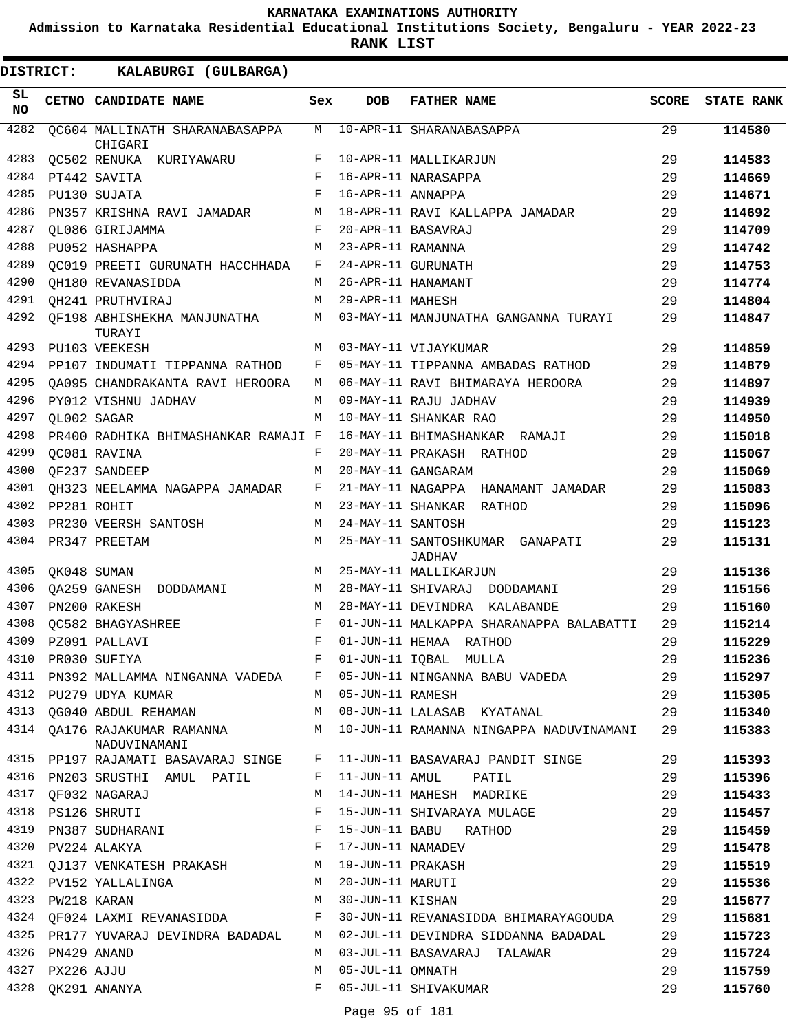**Admission to Karnataka Residential Educational Institutions Society, Bengaluru - YEAR 2022-23**

**RANK LIST**

| SL<br><b>NO</b> |            | CETNO CANDIDATE NAME                                   | Sex    | DOB               | <b>FATHER NAME</b>                                           | <b>SCORE</b> | <b>STATE RANK</b> |
|-----------------|------------|--------------------------------------------------------|--------|-------------------|--------------------------------------------------------------|--------------|-------------------|
| 4282            |            | OC604 MALLINATH SHARANABASAPPA                         | M      |                   | 10-APR-11 SHARANABASAPPA                                     | 29           | 114580            |
| 4283            |            | CHIGARI<br>QC502 RENUKA KURIYAWARU                     | F      |                   | 10-APR-11 MALLIKARJUN                                        | 29           | 114583            |
| 4284            |            | PT442 SAVITA                                           | F      |                   | 16-APR-11 NARASAPPA                                          | 29           | 114669            |
| 4285            |            | PU130 SUJATA                                           | F      | 16-APR-11 ANNAPPA |                                                              | 29           | 114671            |
| 4286            |            |                                                        | M      |                   | 18-APR-11 RAVI KALLAPPA JAMADAR                              | 29           | 114692            |
| 4287            |            | PN357 KRISHNA RAVI JAMADAR<br>OL086 GIRIJAMMA          | F      |                   | 20-APR-11 BASAVRAJ                                           | 29           | 114709            |
| 4288            |            | PU052 HASHAPPA                                         | M      | 23-APR-11 RAMANNA |                                                              | 29           |                   |
| 4289            |            |                                                        | F      |                   | 24-APR-11 GURUNATH                                           |              | 114742            |
| 4290            |            | OC019 PREETI GURUNATH HACCHHADA                        |        |                   |                                                              | 29           | 114753            |
|                 |            | OH180 REVANASIDDA                                      | M      |                   | 26-APR-11 HANAMANT                                           | 29           | 114774            |
| 4291            |            | OH241 PRUTHVIRAJ                                       | M      | 29-APR-11 MAHESH  |                                                              | 29           | 114804            |
| 4292<br>4293    |            | OF198 ABHISHEKHA MANJUNATHA<br>TURAYI<br>PU103 VEEKESH | M<br>M |                   | 03-MAY-11 MANJUNATHA GANGANNA TURAYI<br>03-MAY-11 VIJAYKUMAR | 29<br>29     | 114847<br>114859  |
|                 |            |                                                        |        |                   |                                                              |              |                   |
| 4294            |            | PP107 INDUMATI TIPPANNA RATHOD                         | F      |                   | 05-MAY-11 TIPPANNA AMBADAS RATHOD                            | 29           | 114879            |
| 4295            |            | OA095 CHANDRAKANTA RAVI HEROORA                        | M      |                   | 06-MAY-11 RAVI BHIMARAYA HEROORA                             | 29           | 114897            |
| 4296            |            | PY012 VISHNU JADHAV                                    | M      |                   | 09-MAY-11 RAJU JADHAV                                        | 29           | 114939            |
| 4297            |            | OL002 SAGAR                                            | M      |                   | 10-MAY-11 SHANKAR RAO                                        | 29           | 114950            |
| 4298            |            | PR400 RADHIKA BHIMASHANKAR RAMAJI F                    |        |                   | 16-MAY-11 BHIMASHANKAR RAMAJI                                | 29           | 115018            |
| 4299            |            | <b>QC081 RAVINA</b>                                    | F      |                   | 20-MAY-11 PRAKASH RATHOD                                     | 29           | 115067            |
| 4300            |            | OF237 SANDEEP                                          | M      |                   | 20-MAY-11 GANGARAM                                           | 29           | 115069            |
| 4301            |            | OH323 NEELAMMA NAGAPPA JAMADAR                         | F      |                   | 21-MAY-11 NAGAPPA HANAMANT JAMADAR                           | 29           | 115083            |
| 4302            |            | PP281 ROHIT                                            | M      |                   | 23-MAY-11 SHANKAR RATHOD                                     | 29           | 115096            |
| 4303            |            | PR230 VEERSH SANTOSH                                   | M      | 24-MAY-11 SANTOSH |                                                              | 29           | 115123            |
| 4304            |            | PR347 PREETAM                                          | M      |                   | 25-MAY-11 SANTOSHKUMAR GANAPATI<br><b>JADHAV</b>             | 29           | 115131            |
| 4305            |            | QK048 SUMAN                                            | M      |                   | 25-MAY-11 MALLIKARJUN                                        | 29           | 115136            |
| 4306            |            | QA259 GANESH<br>DODDAMANI                              | М      |                   | 28-MAY-11 SHIVARAJ DODDAMANI                                 | 29           | 115156            |
| 4307            |            | PN200 RAKESH                                           | M      |                   | 28-MAY-11 DEVINDRA KALABANDE                                 | 29           | 115160            |
| 4308            |            | QC582 BHAGYASHREE                                      | F      |                   | 01-JUN-11 MALKAPPA SHARANAPPA BALABATTI                      | 29           | 115214            |
| 4309            |            | PZ091 PALLAVI                                          | F      |                   | 01-JUN-11 HEMAA RATHOD                                       | 29           | 115229            |
| 4310            |            | PR030 SUFIYA                                           | F      |                   | 01-JUN-11 IQBAL MULLA                                        | 29           | 115236            |
| 4311            |            | PN392 MALLAMMA NINGANNA VADEDA                         | F      |                   | 05-JUN-11 NINGANNA BABU VADEDA                               | 29           | 115297            |
| 4312            |            | PU279 UDYA KUMAR                                       | M      | 05-JUN-11 RAMESH  |                                                              | 29           | 115305            |
|                 |            | 4313 QG040 ABDUL REHAMAN                               | M      |                   | 08-JUN-11 LALASAB KYATANAL                                   | 29           | 115340            |
| 4314            |            | QA176 RAJAKUMAR RAMANNA M<br>NADUVINAMANI              |        |                   | 10-JUN-11 RAMANNA NINGAPPA NADUVINAMANI                      | 29           | 115383            |
|                 |            | 4315 PP197 RAJAMATI BASAVARAJ SINGE                    | F      |                   | 11-JUN-11 BASAVARAJ PANDIT SINGE                             | 29           | 115393            |
| 4316            |            | PN203 SRUSTHI AMUL PATIL                               | F      | 11-JUN-11 AMUL    | PATIL                                                        | 29           | 115396            |
| 4317            |            | QF032 NAGARAJ                                          | М      |                   | 14-JUN-11 MAHESH MADRIKE                                     | 29           | 115433            |
| 4318            |            | PS126 SHRUTI                                           | F      |                   | 15-JUN-11 SHIVARAYA MULAGE                                   | 29           | 115457            |
|                 |            | 4319 PN387 SUDHARANI                                   | F      |                   | 15-JUN-11 BABU RATHOD                                        | 29           | 115459            |
| 4320            |            | PV224 ALAKYA                                           | F      | 17-JUN-11 NAMADEV |                                                              | 29           | 115478            |
| 4321            |            | QJ137 VENKATESH PRAKASH                                | М      | 19-JUN-11 PRAKASH |                                                              | 29           | 115519            |
|                 |            | 4322 PV152 YALLALINGA                                  | М      | 20-JUN-11 MARUTI  |                                                              | 29           | 115536            |
| 4323            |            | PW218 KARAN                                            | M      | 30-JUN-11 KISHAN  |                                                              | 29           | 115677            |
| 4324            |            | QF024 LAXMI REVANASIDDA                                | F      |                   | 30-JUN-11 REVANASIDDA BHIMARAYAGOUDA                         | 29           | 115681            |
| 4325            |            | PR177 YUVARAJ DEVINDRA BADADAL                         | M      |                   | 02-JUL-11 DEVINDRA SIDDANNA BADADAL                          | 29           | 115723            |
| 4326            |            | PN429 ANAND                                            | М      |                   | 03-JUL-11 BASAVARAJ TALAWAR                                  | 29           | 115724            |
| 4327            | PX226 AJJU |                                                        | М      | 05-JUL-11 OMNATH  |                                                              | 29           | 115759            |
| 4328            |            | QK291 ANANYA                                           | F      |                   | 05-JUL-11 SHIVAKUMAR                                         | 29           | 115760            |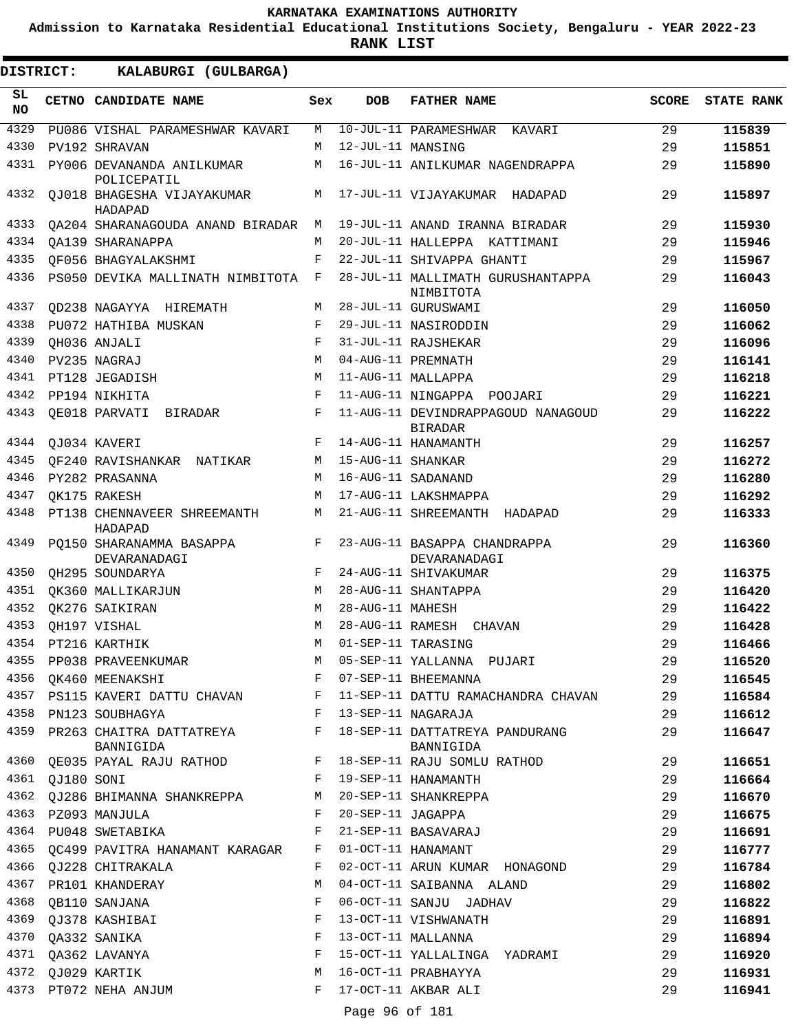**Admission to Karnataka Residential Educational Institutions Society, Bengaluru - YEAR 2022-23**

**RANK LIST**

| DISTRICT:        |            | KALABURGI (GULBARGA)                                              |              |                   |                                                      |              |                   |
|------------------|------------|-------------------------------------------------------------------|--------------|-------------------|------------------------------------------------------|--------------|-------------------|
| SL.<br><b>NO</b> |            | CETNO CANDIDATE NAME                                              | Sex          | <b>DOB</b>        | <b>FATHER NAME</b>                                   | <b>SCORE</b> | <b>STATE RANK</b> |
| 4329             |            | PU086 VISHAL PARAMESHWAR KAVARI                                   | M            |                   | 10-JUL-11 PARAMESHWAR KAVARI                         | 29           | 115839            |
| 4330             |            | PV192 SHRAVAN                                                     | M            | 12-JUL-11 MANSING |                                                      | 29           | 115851            |
| 4331             |            | PY006 DEVANANDA ANILKUMAR<br>POLICEPATIL                          | М            |                   | 16-JUL-11 ANILKUMAR NAGENDRAPPA                      | 29           | 115890            |
| 4332             |            | OJ018 BHAGESHA VIJAYAKUMAR<br>HADAPAD                             | М            |                   | 17-JUL-11 VIJAYAKUMAR HADAPAD                        | 29           | 115897            |
| 4333             |            | OA204 SHARANAGOUDA ANAND BIRADAR                                  | M            |                   | 19-JUL-11 ANAND IRANNA BIRADAR                       | 29           | 115930            |
| 4334             |            | OA139 SHARANAPPA                                                  | M            |                   | 20-JUL-11 HALLEPPA KATTIMANI                         | 29           | 115946            |
| 4335             |            | OF056 BHAGYALAKSHMI                                               | F            |                   | 22-JUL-11 SHIVAPPA GHANTI                            | 29           | 115967            |
| 4336             |            | PS050 DEVIKA MALLINATH NIMBITOTA F                                |              |                   | 28-JUL-11 MALLIMATH GURUSHANTAPPA<br>NIMBITOTA       | 29           | 116043            |
| 4337             |            | OD238 NAGAYYA HIREMATH                                            | M            |                   | 28-JUL-11 GURUSWAMI                                  | 29           | 116050            |
| 4338             |            | PU072 HATHIBA MUSKAN                                              | F            |                   | 29-JUL-11 NASIRODDIN                                 | 29           | 116062            |
| 4339             |            | OH036 ANJALI                                                      | F            |                   | 31-JUL-11 RAJSHEKAR                                  | 29           | 116096            |
| 4340             |            | PV235 NAGRAJ                                                      | M            |                   | 04-AUG-11 PREMNATH                                   | 29           | 116141            |
| 4341             |            | PT128 JEGADISH                                                    | M            |                   | 11-AUG-11 MALLAPPA                                   | 29           | 116218            |
| 4342             |            | PP194 NIKHITA                                                     | F            |                   | 11-AUG-11 NINGAPPA<br>POOJARI                        | 29           | 116221            |
| 4343             |            | OE018 PARVATI BIRADAR                                             | F            |                   | 11-AUG-11 DEVINDRAPPAGOUD NANAGOUD<br><b>BIRADAR</b> | 29           | 116222            |
| 4344             |            | QJ034 KAVERI                                                      | F            |                   | 14-AUG-11 HANAMANTH                                  | 29           | 116257            |
| 4345             |            | OF240 RAVISHANKAR NATIKAR                                         | М            | 15-AUG-11 SHANKAR |                                                      | 29           | 116272            |
| 4346             |            | PY282 PRASANNA                                                    | M            |                   | 16-AUG-11 SADANAND                                   | 29           | 116280            |
| 4347             |            | OK175 RAKESH                                                      | М            |                   | 17-AUG-11 LAKSHMAPPA                                 | 29           | 116292            |
| 4348             |            | PT138 CHENNAVEER SHREEMANTH<br>HADAPAD                            | М            |                   | 21-AUG-11 SHREEMANTH HADAPAD                         | 29           | 116333            |
| 4349             |            | PO150 SHARANAMMA BASAPPA<br>DEVARANADAGI                          | F            |                   | 23-AUG-11 BASAPPA CHANDRAPPA<br>DEVARANADAGI         | 29           | 116360            |
| 4350             |            | QH295 SOUNDARYA                                                   | F            |                   | 24-AUG-11 SHIVAKUMAR                                 | 29           | 116375            |
| 4351             |            | QK360 MALLIKARJUN                                                 | М            |                   | 28-AUG-11 SHANTAPPA                                  | 29           | 116420            |
| 4352             |            | QK276 SAIKIRAN                                                    | M            | 28-AUG-11 MAHESH  |                                                      | 29           | 116422            |
| 4353             |            | OH197 VISHAL                                                      | M            |                   | 28-AUG-11 RAMESH CHAVAN                              | 29           | 116428            |
| 4354             |            | PT216 KARTHIK                                                     | M            |                   | 01-SEP-11 TARASING                                   | 29           | 116466            |
| 4355             |            | PP038 PRAVEENKUMAR                                                | M            |                   | 05-SEP-11 YALLANNA PUJARI                            | 29           | 116520            |
| 4356             |            | $\mathbf{F}$ and $\mathbf{F}$ and $\mathbf{F}$<br>QK460 MEENAKSHI |              |                   | 07-SEP-11 BHEEMANNA                                  | 29           | 116545            |
|                  |            | 4357 PS115 KAVERI DATTU CHAVAN F                                  |              |                   | 11-SEP-11 DATTU RAMACHANDRA CHAVAN                   | 29           | 116584            |
| 4358             |            | PN123 SOUBHAGYA                                                   | $\mathbb{F}$ |                   | 13-SEP-11 NAGARAJA                                   | 29           | 116612            |
| 4359             |            | PR263 CHAITRA DATTATREYA F<br>BANNIGIDA                           |              |                   | 18-SEP-11 DATTATREYA PANDURANG<br>BANNIGIDA          | 29           | 116647            |
| 4360             |            | QE035 PAYAL RAJU RATHOD F                                         |              |                   | 18-SEP-11 RAJU SOMLU RATHOD                          | 29           | 116651            |
| 4361             | QJ180 SONI | and the state of the Fig.                                         |              |                   | 19-SEP-11 HANAMANTH                                  | 29           | 116664            |
| 4362             |            | QJ286 BHIMANNA SHANKREPPA                                         | М            |                   | 20-SEP-11 SHANKREPPA                                 | 29           | 116670            |
|                  |            | 4363 PZ093 MANJULA                                                | F            | 20-SEP-11 JAGAPPA |                                                      | 29           | 116675            |
|                  |            | 4364 PU048 SWETABIKA                                              | F            |                   | 21-SEP-11 BASAVARAJ                                  | 29           | 116691            |
| 4365             |            | QC499 PAVITRA HANAMANT KARAGAR                                    | F            |                   | 01-OCT-11 HANAMANT                                   | 29           | 116777            |
| 4366             |            | QJ228 CHITRAKALA                                                  | F<br>М       |                   | 02-OCT-11 ARUN KUMAR HONAGOND                        | 29           | 116784            |
| 4368             |            | 4367 PR101 KHANDERAY                                              | F            |                   | 04-OCT-11 SAIBANNA ALAND                             | 29           | 116802            |
| 4369             |            | QB110 SANJANA<br>QJ378 KASHIBAI                                   | F            |                   | 06-OCT-11 SANJU JADHAV                               | 29           | 116822            |
| 4370             |            |                                                                   | F            |                   | 13-OCT-11 VISHWANATH<br>13-OCT-11 MALLANNA           | 29<br>29     | 116891            |
|                  |            | QA332 SANIKA<br>4371 QA362 LAVANYA                                | F            |                   |                                                      | 29           | 116894            |
|                  |            | 4372 QJ029 KARTIK                                                 | М            |                   | 15-OCT-11 YALLALINGA YADRAMI<br>16-OCT-11 PRABHAYYA  | 29           | 116920<br>116931  |
|                  |            | 4373 PT072 NEHA ANJUM                                             | F            |                   | 17-OCT-11 AKBAR ALI                                  | 29           | 116941            |
|                  |            |                                                                   |              |                   |                                                      |              |                   |

Page 96 of 181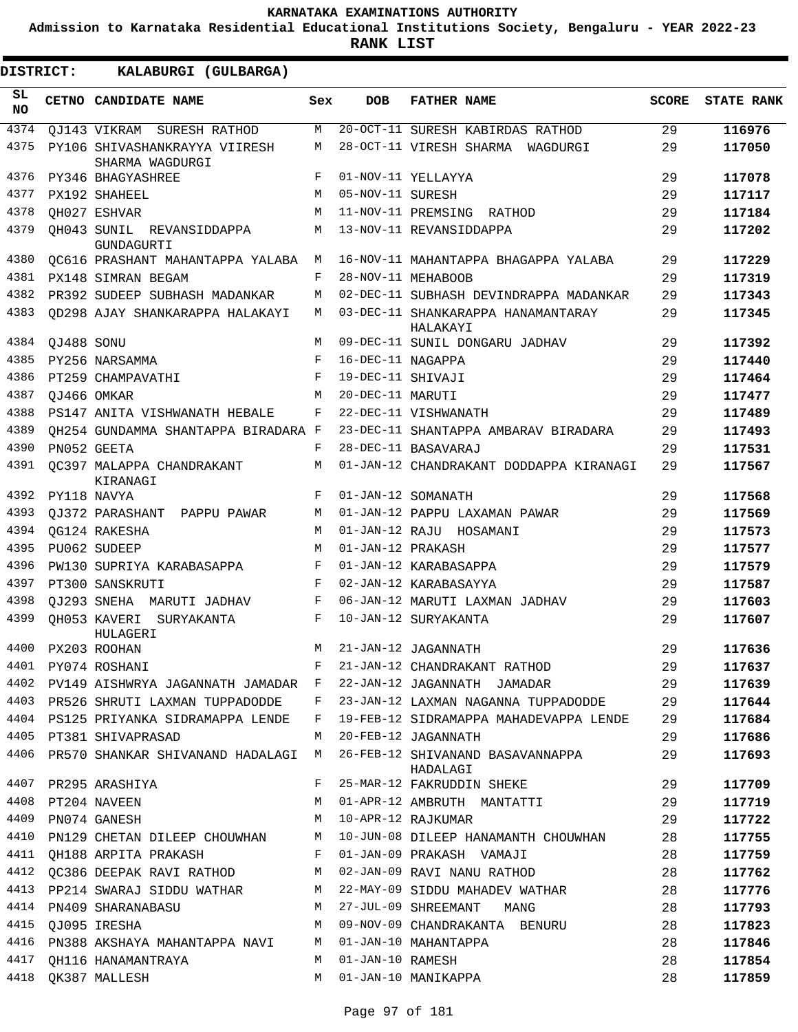**Admission to Karnataka Residential Educational Institutions Society, Bengaluru - YEAR 2022-23**

| <b>DISTRICT:</b> |            | KALABURGI (GULBARGA)                             |     |                   |                                                |              |                   |
|------------------|------------|--------------------------------------------------|-----|-------------------|------------------------------------------------|--------------|-------------------|
| SL.<br>NO.       |            | CETNO CANDIDATE NAME                             | Sex | <b>DOB</b>        | <b>FATHER NAME</b>                             | <b>SCORE</b> | <b>STATE RANK</b> |
| 4374             |            | OJ143 VIKRAM SURESH RATHOD                       | М   |                   | 20-OCT-11 SURESH KABIRDAS RATHOD               | 29           | 116976            |
| 4375             |            | PY106 SHIVASHANKRAYYA VIIRESH<br>SHARMA WAGDURGI | М   |                   | 28-OCT-11 VIRESH SHARMA WAGDURGI               | 29           | 117050            |
| 4376             |            | PY346 BHAGYASHREE                                | F   |                   | 01-NOV-11 YELLAYYA                             | 29           | 117078            |
| 4377             |            | PX192 SHAHEEL                                    | М   | 05-NOV-11 SURESH  |                                                | 29           | 117117            |
| 4378             |            | OH027 ESHVAR                                     | М   |                   | 11-NOV-11 PREMSING RATHOD                      | 29           | 117184            |
| 4379             |            | OH043 SUNIL REVANSIDDAPPA<br>GUNDAGURTI          | М   |                   | 13-NOV-11 REVANSIDDAPPA                        | 29           | 117202            |
| 4380             |            | QC616 PRASHANT MAHANTAPPA YALABA                 | M   |                   | 16-NOV-11 MAHANTAPPA BHAGAPPA YALABA           | 29           | 117229            |
| 4381             |            | PX148 SIMRAN BEGAM                               | F   |                   | 28-NOV-11 MEHABOOB                             | 29           | 117319            |
| 4382             |            | PR392 SUDEEP SUBHASH MADANKAR                    | M   |                   | 02-DEC-11 SUBHASH DEVINDRAPPA MADANKAR         | 29           | 117343            |
| 4383             |            | QD298 AJAY SHANKARAPPA HALAKAYI                  | M   |                   | 03-DEC-11 SHANKARAPPA HANAMANTARAY<br>HALAKAYI | 29           | 117345            |
| 4384             | QJ488 SONU |                                                  | M   |                   | 09-DEC-11 SUNIL DONGARU JADHAV                 | 29           | 117392            |
| 4385             |            | PY256 NARSAMMA                                   | F   | 16-DEC-11 NAGAPPA |                                                | 29           | 117440            |
| 4386             |            | PT259 CHAMPAVATHI                                | F   | 19-DEC-11 SHIVAJI |                                                | 29           | 117464            |
| 4387             |            | OJ466 OMKAR                                      | M   | 20-DEC-11 MARUTI  |                                                | 29           | 117477            |
| 4388             |            | PS147 ANITA VISHWANATH HEBALE                    | F   |                   | 22-DEC-11 VISHWANATH                           | 29           | 117489            |
| 4389             |            | OH254 GUNDAMMA SHANTAPPA BIRADARA F              |     |                   | 23-DEC-11 SHANTAPPA AMBARAV BIRADARA           | 29           | 117493            |
| 4390             |            | PN052 GEETA                                      | F   |                   | 28-DEC-11 BASAVARAJ                            | 29           | 117531            |
| 4391             |            | OC397 MALAPPA CHANDRAKANT<br>KIRANAGI            | М   |                   | 01-JAN-12 CHANDRAKANT DODDAPPA KIRANAGI        | 29           | 117567            |
| 4392             |            | PY118 NAVYA                                      | F   |                   | 01-JAN-12 SOMANATH                             | 29           | 117568            |
| 4393             |            | OJ372 PARASHANT PAPPU PAWAR                      | М   |                   | 01-JAN-12 PAPPU LAXAMAN PAWAR                  | 29           | 117569            |
| 4394             |            | OG124 RAKESHA                                    | М   |                   | 01-JAN-12 RAJU HOSAMANI                        | 29           | 117573            |
| 4395             |            | PU062 SUDEEP                                     | M   | 01-JAN-12 PRAKASH |                                                | 29           | 117577            |
| 4396             |            | PW130 SUPRIYA KARABASAPPA                        | F   |                   | 01-JAN-12 KARABASAPPA                          | 29           | 117579            |
| 4397             |            | PT300 SANSKRUTI                                  | F   |                   | 02-JAN-12 KARABASAYYA                          | 29           | 117587            |
| 4398             |            | QJ293 SNEHA MARUTI JADHAV                        | F   |                   | 06-JAN-12 MARUTI LAXMAN JADHAV                 | 29           | 117603            |
| 4399             |            | OH053 KAVERI SURYAKANTA<br>HULAGERI              | F   |                   | 10-JAN-12 SURYAKANTA                           | 29           | 117607            |
|                  |            | 4400 PX203 ROOHAN                                |     |                   | M 21-JAN-12 JAGANNATH                          | 29           | 117636            |
|                  |            | 4401 PY074 ROSHANI                               | F   |                   | 21-JAN-12 CHANDRAKANT RATHOD                   | 29           | 117637            |
|                  |            | 4402 PV149 AISHWRYA JAGANNATH JAMADAR F          |     |                   | 22-JAN-12 JAGANNATH JAMADAR                    | 29           | 117639            |
|                  |            | 4403 PR526 SHRUTI LAXMAN TUPPADODDE              | F   |                   | 23-JAN-12 LAXMAN NAGANNA TUPPADODDE            | 29           | 117644            |
|                  |            | 4404 PS125 PRIYANKA SIDRAMAPPA LENDE             | F   |                   | 19-FEB-12 SIDRAMAPPA MAHADEVAPPA LENDE         | 29           | 117684            |
|                  |            | 4405 PT381 SHIVAPRASAD                           | M   |                   | 20-FEB-12 JAGANNATH                            | 29           | 117686            |
| 4406             |            | PR570 SHANKAR SHIVANAND HADALAGI M               |     |                   | 26-FEB-12 SHIVANAND BASAVANNAPPA<br>HADALAGI   | 29           | 117693            |
| 4407             |            | PR295 ARASHIYA                                   | F   |                   | 25-MAR-12 FAKRUDDIN SHEKE                      | 29           | 117709            |
| 4408             |            | PT204 NAVEEN                                     | М   |                   | 01-APR-12 AMBRUTH MANTATTI                     | 29           | 117719            |
| 4409             |            | PN074 GANESH                                     | М   |                   | 10-APR-12 RAJKUMAR                             | 29           | 117722            |
| 4410             |            | PN129 CHETAN DILEEP CHOUWHAN M                   |     |                   | 10-JUN-08 DILEEP HANAMANTH CHOUWHAN            | 28           | 117755            |
| 4411             |            | OH188 ARPITA PRAKASH                             | F   |                   | 01-JAN-09 PRAKASH VAMAJI                       | 28           | 117759            |
| 4412             |            | QC386 DEEPAK RAVI RATHOD                         | M   |                   | 02-JAN-09 RAVI NANU RATHOD                     | 28           | 117762            |
| 4413             |            | PP214 SWARAJ SIDDU WATHAR M                      |     |                   | 22-MAY-09 SIDDU MAHADEV WATHAR                 | 28           | 117776            |
| 4414             |            | PN409 SHARANABASU                                | M   |                   | 27-JUL-09 SHREEMANT MANG                       | 28           | 117793            |
| 4415             |            | QJ095 IRESHA                                     | M   |                   | 09-NOV-09 CHANDRAKANTA BENURU                  | 28           | 117823            |
| 4416             |            | PN388 AKSHAYA MAHANTAPPA NAVI                    | M   |                   | 01-JAN-10 MAHANTAPPA                           | 28           | 117846            |
| 4417             |            | QH116 HANAMANTRAYA                               | М   | 01-JAN-10 RAMESH  |                                                | 28           | 117854            |
| 4418             |            | OK387 MALLESH                                    | M   |                   | 01-JAN-10 MANIKAPPA                            | 28           | 117859            |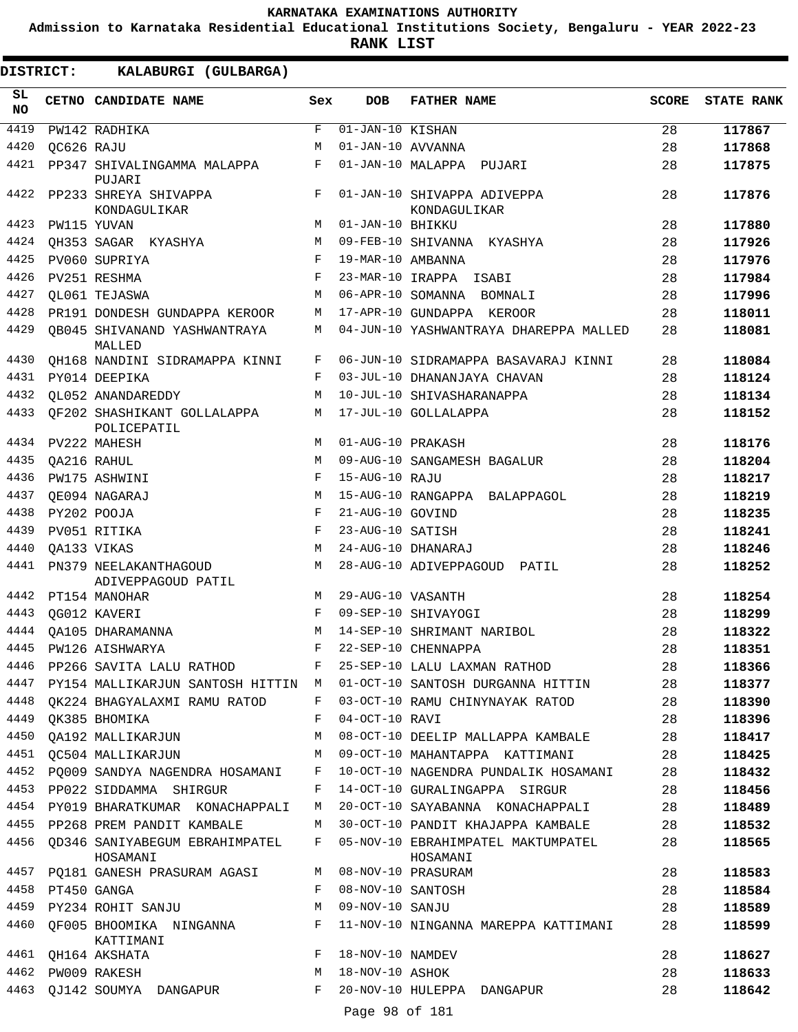**Admission to Karnataka Residential Educational Institutions Society, Bengaluru - YEAR 2022-23**

**RANK LIST**

| $\overline{01}$ -JAN-10 KISHAN<br>4419<br>$\mathbf{F}% _{0}$<br>PW142 RADHIKA<br>28<br>117867<br>4420<br>01-JAN-10 AVVANNA<br>28<br>QC626 RAJU<br>M<br>117868<br>4421<br>01-JAN-10 MALAPPA PUJARI<br>F<br>28<br>PP347 SHIVALINGAMMA MALAPPA<br>117875<br>PUJARI<br>4422<br>01-JAN-10 SHIVAPPA ADIVEPPA<br>28<br>PP233 SHREYA SHIVAPPA<br>F<br>117876<br>KONDAGULIKAR<br>KONDAGULIKAR<br>28<br>4423<br>PW115 YUVAN<br>01-JAN-10 BHIKKU<br>117880<br>M<br>28<br>4424<br>QH353 SAGAR KYASHYA<br>М<br>09-FEB-10 SHIVANNA KYASHYA<br>117926<br>28<br>4425<br>PV060 SUPRIYA<br>F<br>19-MAR-10 AMBANNA<br>117976<br>4426<br>PV251 RESHMA<br>28<br>F<br>23-MAR-10 IRAPPA ISABI<br>117984<br>4427<br>OL061 TEJASWA<br>06-APR-10 SOMANNA BOMNALI<br>28<br>117996<br>M<br>4428<br>28<br>PR191 DONDESH GUNDAPPA KEROOR<br>17-APR-10 GUNDAPPA KEROOR<br>118011<br>М<br>4429<br><b>QB045 SHIVANAND YASHWANTRAYA</b><br>04-JUN-10 YASHWANTRAYA DHAREPPA MALLED<br>28<br>118081<br>М<br>MALLED<br>4430<br>06-JUN-10 SIDRAMAPPA BASAVARAJ KINNI<br>OH168 NANDINI SIDRAMAPPA KINNI<br>F<br>28<br>118084<br>4431<br>03-JUL-10 DHANANJAYA CHAVAN<br>28<br>PY014 DEEPIKA<br>F<br>118124<br>4432<br><b>QL052 ANANDAREDDY</b><br>10-JUL-10 SHIVASHARANAPPA<br>28<br>M<br>118134<br>4433<br>QF202 SHASHIKANT GOLLALAPPA<br>17-JUL-10 GOLLALAPPA<br>28<br>М<br>118152<br>POLICEPATIL<br>4434<br>01-AUG-10 PRAKASH<br>28<br>PV222 MAHESH<br>M<br>118176<br>4435<br>28<br>09-AUG-10 SANGAMESH BAGALUR<br>QA216 RAHUL<br>М<br>118204<br>4436<br>F<br>15-AUG-10 RAJU<br>28<br>PW175 ASHWINI<br>118217<br>4437<br>15-AUG-10 RANGAPPA BALAPPAGOL<br>28<br>OE094 NAGARAJ<br>М<br>118219<br>4438<br>PY202 POOJA<br>F<br>21-AUG-10 GOVIND<br>28<br>118235<br>4439<br>23-AUG-10 SATISH<br>PV051 RITIKA<br>F<br>28<br>118241<br>4440<br>24-AUG-10 DHANARAJ<br>28<br>OA133 VIKAS<br>M<br>118246<br>4441<br>28-AUG-10 ADIVEPPAGOUD PATIL<br>28<br>PN379 NEELAKANTHAGOUD<br>М<br>118252<br>ADIVEPPAGOUD PATIL<br>28<br>4442<br>PT154 MANOHAR<br>29-AUG-10 VASANTH<br>118254<br>M<br>28<br>4443<br>QG012 KAVERI<br>F<br>09-SEP-10 SHIVAYOGI<br>118299<br>28<br>4444<br>OA105 DHARAMANNA<br>14-SEP-10 SHRIMANT NARIBOL<br>118322<br>М<br>28<br>4445 PW126 AISHWARYA<br>F<br>22-SEP-10 CHENNAPPA<br>118351<br>28<br>4446 PP266 SAVITA LALU RATHOD<br>F<br>25-SEP-10 LALU LAXMAN RATHOD<br>118366<br>4447<br>01-OCT-10 SANTOSH DURGANNA HITTIN<br>28<br>PY154 MALLIKARJUN SANTOSH HITTIN M<br>118377<br>28<br>4448<br>QK224 BHAGYALAXMI RAMU RATOD<br>03-OCT-10 RAMU CHINYNAYAK RATOD<br>118390<br>F<br>28<br>4449<br>OK385 BHOMIKA<br>04-OCT-10 RAVI<br>118396<br>F<br>4450<br>QA192 MALLIKARJUN<br>08-OCT-10 DEELIP MALLAPPA KAMBALE<br>28<br>М<br>118417<br>4451<br>OC504 MALLIKARJUN<br>09-OCT-10 MAHANTAPPA KATTIMANI<br>28<br>M<br>118425<br>4452<br>PO009 SANDYA NAGENDRA HOSAMANI<br>10-OCT-10 NAGENDRA PUNDALIK HOSAMANI<br>28<br>118432<br>$\mathbf{F}$<br>4453 PP022 SIDDAMMA SHIRGUR<br>28<br>F<br>14-OCT-10 GURALINGAPPA SIRGUR<br>118456<br>4454 PY019 BHARATKUMAR KONACHAPPALI<br>28<br>20-OCT-10 SAYABANNA KONACHAPPALI<br>118489<br>M<br>4455<br>PP268 PREM PANDIT KAMBALE<br>30-OCT-10 PANDIT KHAJAPPA KAMBALE<br>28<br>118532<br>М<br>4456<br>QD346 SANIYABEGUM EBRAHIMPATEL<br>05-NOV-10 EBRAHIMPATEL MAKTUMPATEL<br>28<br>F<br>118565<br>HOSAMANI<br>HOSAMANI<br>08-NOV-10 PRASURAM<br>4457<br>28<br>PO181 GANESH PRASURAM AGASI<br>M<br>118583<br>4458 PT450 GANGA<br>08-NOV-10 SANTOSH<br>28<br>F<br>118584<br>09-NOV-10 SANJU<br>4459 PY234 ROHIT SANJU<br>М<br>28<br>118589<br>4460<br>11-NOV-10 NINGANNA MAREPPA KATTIMANI<br>QF005 BHOOMIKA NINGANNA<br>F<br>28<br>118599<br>KATTIMANI<br>4461<br>18-NOV-10 NAMDEV<br>F<br>28<br>QH164 AKSHATA<br>118627<br>4462<br>18-NOV-10 ASHOK<br>28<br>PW009 RAKESH<br>М<br>118633<br>4463<br>20-NOV-10 HULEPPA DANGAPUR<br>QJ142 SOUMYA DANGAPUR<br>F<br>28<br>118642<br>Page 98 of 181 | SL<br><b>NO</b> | CETNO CANDIDATE NAME | Sex | <b>DOB</b> | <b>FATHER NAME</b> | <b>SCORE</b> | <b>STATE RANK</b> |
|----------------------------------------------------------------------------------------------------------------------------------------------------------------------------------------------------------------------------------------------------------------------------------------------------------------------------------------------------------------------------------------------------------------------------------------------------------------------------------------------------------------------------------------------------------------------------------------------------------------------------------------------------------------------------------------------------------------------------------------------------------------------------------------------------------------------------------------------------------------------------------------------------------------------------------------------------------------------------------------------------------------------------------------------------------------------------------------------------------------------------------------------------------------------------------------------------------------------------------------------------------------------------------------------------------------------------------------------------------------------------------------------------------------------------------------------------------------------------------------------------------------------------------------------------------------------------------------------------------------------------------------------------------------------------------------------------------------------------------------------------------------------------------------------------------------------------------------------------------------------------------------------------------------------------------------------------------------------------------------------------------------------------------------------------------------------------------------------------------------------------------------------------------------------------------------------------------------------------------------------------------------------------------------------------------------------------------------------------------------------------------------------------------------------------------------------------------------------------------------------------------------------------------------------------------------------------------------------------------------------------------------------------------------------------------------------------------------------------------------------------------------------------------------------------------------------------------------------------------------------------------------------------------------------------------------------------------------------------------------------------------------------------------------------------------------------------------------------------------------------------------------------------------------------------------------------------------------------------------------------------------------------------------------------------------------------------------------------------------------------------------------------------------------------------------------------------------------------------------------------------------------------------------------------------------------------------------------------------------------------------------------------------------------------------------------------------------------------------------------------------------------------------------------------------------------------------------------------------------------------------------------------------------------|-----------------|----------------------|-----|------------|--------------------|--------------|-------------------|
|                                                                                                                                                                                                                                                                                                                                                                                                                                                                                                                                                                                                                                                                                                                                                                                                                                                                                                                                                                                                                                                                                                                                                                                                                                                                                                                                                                                                                                                                                                                                                                                                                                                                                                                                                                                                                                                                                                                                                                                                                                                                                                                                                                                                                                                                                                                                                                                                                                                                                                                                                                                                                                                                                                                                                                                                                                                                                                                                                                                                                                                                                                                                                                                                                                                                                                                                                                                                                                                                                                                                                                                                                                                                                                                                                                                                                                                                                                                |                 |                      |     |            |                    |              |                   |
|                                                                                                                                                                                                                                                                                                                                                                                                                                                                                                                                                                                                                                                                                                                                                                                                                                                                                                                                                                                                                                                                                                                                                                                                                                                                                                                                                                                                                                                                                                                                                                                                                                                                                                                                                                                                                                                                                                                                                                                                                                                                                                                                                                                                                                                                                                                                                                                                                                                                                                                                                                                                                                                                                                                                                                                                                                                                                                                                                                                                                                                                                                                                                                                                                                                                                                                                                                                                                                                                                                                                                                                                                                                                                                                                                                                                                                                                                                                |                 |                      |     |            |                    |              |                   |
|                                                                                                                                                                                                                                                                                                                                                                                                                                                                                                                                                                                                                                                                                                                                                                                                                                                                                                                                                                                                                                                                                                                                                                                                                                                                                                                                                                                                                                                                                                                                                                                                                                                                                                                                                                                                                                                                                                                                                                                                                                                                                                                                                                                                                                                                                                                                                                                                                                                                                                                                                                                                                                                                                                                                                                                                                                                                                                                                                                                                                                                                                                                                                                                                                                                                                                                                                                                                                                                                                                                                                                                                                                                                                                                                                                                                                                                                                                                |                 |                      |     |            |                    |              |                   |
|                                                                                                                                                                                                                                                                                                                                                                                                                                                                                                                                                                                                                                                                                                                                                                                                                                                                                                                                                                                                                                                                                                                                                                                                                                                                                                                                                                                                                                                                                                                                                                                                                                                                                                                                                                                                                                                                                                                                                                                                                                                                                                                                                                                                                                                                                                                                                                                                                                                                                                                                                                                                                                                                                                                                                                                                                                                                                                                                                                                                                                                                                                                                                                                                                                                                                                                                                                                                                                                                                                                                                                                                                                                                                                                                                                                                                                                                                                                |                 |                      |     |            |                    |              |                   |
|                                                                                                                                                                                                                                                                                                                                                                                                                                                                                                                                                                                                                                                                                                                                                                                                                                                                                                                                                                                                                                                                                                                                                                                                                                                                                                                                                                                                                                                                                                                                                                                                                                                                                                                                                                                                                                                                                                                                                                                                                                                                                                                                                                                                                                                                                                                                                                                                                                                                                                                                                                                                                                                                                                                                                                                                                                                                                                                                                                                                                                                                                                                                                                                                                                                                                                                                                                                                                                                                                                                                                                                                                                                                                                                                                                                                                                                                                                                |                 |                      |     |            |                    |              |                   |
|                                                                                                                                                                                                                                                                                                                                                                                                                                                                                                                                                                                                                                                                                                                                                                                                                                                                                                                                                                                                                                                                                                                                                                                                                                                                                                                                                                                                                                                                                                                                                                                                                                                                                                                                                                                                                                                                                                                                                                                                                                                                                                                                                                                                                                                                                                                                                                                                                                                                                                                                                                                                                                                                                                                                                                                                                                                                                                                                                                                                                                                                                                                                                                                                                                                                                                                                                                                                                                                                                                                                                                                                                                                                                                                                                                                                                                                                                                                |                 |                      |     |            |                    |              |                   |
|                                                                                                                                                                                                                                                                                                                                                                                                                                                                                                                                                                                                                                                                                                                                                                                                                                                                                                                                                                                                                                                                                                                                                                                                                                                                                                                                                                                                                                                                                                                                                                                                                                                                                                                                                                                                                                                                                                                                                                                                                                                                                                                                                                                                                                                                                                                                                                                                                                                                                                                                                                                                                                                                                                                                                                                                                                                                                                                                                                                                                                                                                                                                                                                                                                                                                                                                                                                                                                                                                                                                                                                                                                                                                                                                                                                                                                                                                                                |                 |                      |     |            |                    |              |                   |
|                                                                                                                                                                                                                                                                                                                                                                                                                                                                                                                                                                                                                                                                                                                                                                                                                                                                                                                                                                                                                                                                                                                                                                                                                                                                                                                                                                                                                                                                                                                                                                                                                                                                                                                                                                                                                                                                                                                                                                                                                                                                                                                                                                                                                                                                                                                                                                                                                                                                                                                                                                                                                                                                                                                                                                                                                                                                                                                                                                                                                                                                                                                                                                                                                                                                                                                                                                                                                                                                                                                                                                                                                                                                                                                                                                                                                                                                                                                |                 |                      |     |            |                    |              |                   |
|                                                                                                                                                                                                                                                                                                                                                                                                                                                                                                                                                                                                                                                                                                                                                                                                                                                                                                                                                                                                                                                                                                                                                                                                                                                                                                                                                                                                                                                                                                                                                                                                                                                                                                                                                                                                                                                                                                                                                                                                                                                                                                                                                                                                                                                                                                                                                                                                                                                                                                                                                                                                                                                                                                                                                                                                                                                                                                                                                                                                                                                                                                                                                                                                                                                                                                                                                                                                                                                                                                                                                                                                                                                                                                                                                                                                                                                                                                                |                 |                      |     |            |                    |              |                   |
|                                                                                                                                                                                                                                                                                                                                                                                                                                                                                                                                                                                                                                                                                                                                                                                                                                                                                                                                                                                                                                                                                                                                                                                                                                                                                                                                                                                                                                                                                                                                                                                                                                                                                                                                                                                                                                                                                                                                                                                                                                                                                                                                                                                                                                                                                                                                                                                                                                                                                                                                                                                                                                                                                                                                                                                                                                                                                                                                                                                                                                                                                                                                                                                                                                                                                                                                                                                                                                                                                                                                                                                                                                                                                                                                                                                                                                                                                                                |                 |                      |     |            |                    |              |                   |
|                                                                                                                                                                                                                                                                                                                                                                                                                                                                                                                                                                                                                                                                                                                                                                                                                                                                                                                                                                                                                                                                                                                                                                                                                                                                                                                                                                                                                                                                                                                                                                                                                                                                                                                                                                                                                                                                                                                                                                                                                                                                                                                                                                                                                                                                                                                                                                                                                                                                                                                                                                                                                                                                                                                                                                                                                                                                                                                                                                                                                                                                                                                                                                                                                                                                                                                                                                                                                                                                                                                                                                                                                                                                                                                                                                                                                                                                                                                |                 |                      |     |            |                    |              |                   |
|                                                                                                                                                                                                                                                                                                                                                                                                                                                                                                                                                                                                                                                                                                                                                                                                                                                                                                                                                                                                                                                                                                                                                                                                                                                                                                                                                                                                                                                                                                                                                                                                                                                                                                                                                                                                                                                                                                                                                                                                                                                                                                                                                                                                                                                                                                                                                                                                                                                                                                                                                                                                                                                                                                                                                                                                                                                                                                                                                                                                                                                                                                                                                                                                                                                                                                                                                                                                                                                                                                                                                                                                                                                                                                                                                                                                                                                                                                                |                 |                      |     |            |                    |              |                   |
|                                                                                                                                                                                                                                                                                                                                                                                                                                                                                                                                                                                                                                                                                                                                                                                                                                                                                                                                                                                                                                                                                                                                                                                                                                                                                                                                                                                                                                                                                                                                                                                                                                                                                                                                                                                                                                                                                                                                                                                                                                                                                                                                                                                                                                                                                                                                                                                                                                                                                                                                                                                                                                                                                                                                                                                                                                                                                                                                                                                                                                                                                                                                                                                                                                                                                                                                                                                                                                                                                                                                                                                                                                                                                                                                                                                                                                                                                                                |                 |                      |     |            |                    |              |                   |
|                                                                                                                                                                                                                                                                                                                                                                                                                                                                                                                                                                                                                                                                                                                                                                                                                                                                                                                                                                                                                                                                                                                                                                                                                                                                                                                                                                                                                                                                                                                                                                                                                                                                                                                                                                                                                                                                                                                                                                                                                                                                                                                                                                                                                                                                                                                                                                                                                                                                                                                                                                                                                                                                                                                                                                                                                                                                                                                                                                                                                                                                                                                                                                                                                                                                                                                                                                                                                                                                                                                                                                                                                                                                                                                                                                                                                                                                                                                |                 |                      |     |            |                    |              |                   |
|                                                                                                                                                                                                                                                                                                                                                                                                                                                                                                                                                                                                                                                                                                                                                                                                                                                                                                                                                                                                                                                                                                                                                                                                                                                                                                                                                                                                                                                                                                                                                                                                                                                                                                                                                                                                                                                                                                                                                                                                                                                                                                                                                                                                                                                                                                                                                                                                                                                                                                                                                                                                                                                                                                                                                                                                                                                                                                                                                                                                                                                                                                                                                                                                                                                                                                                                                                                                                                                                                                                                                                                                                                                                                                                                                                                                                                                                                                                |                 |                      |     |            |                    |              |                   |
|                                                                                                                                                                                                                                                                                                                                                                                                                                                                                                                                                                                                                                                                                                                                                                                                                                                                                                                                                                                                                                                                                                                                                                                                                                                                                                                                                                                                                                                                                                                                                                                                                                                                                                                                                                                                                                                                                                                                                                                                                                                                                                                                                                                                                                                                                                                                                                                                                                                                                                                                                                                                                                                                                                                                                                                                                                                                                                                                                                                                                                                                                                                                                                                                                                                                                                                                                                                                                                                                                                                                                                                                                                                                                                                                                                                                                                                                                                                |                 |                      |     |            |                    |              |                   |
|                                                                                                                                                                                                                                                                                                                                                                                                                                                                                                                                                                                                                                                                                                                                                                                                                                                                                                                                                                                                                                                                                                                                                                                                                                                                                                                                                                                                                                                                                                                                                                                                                                                                                                                                                                                                                                                                                                                                                                                                                                                                                                                                                                                                                                                                                                                                                                                                                                                                                                                                                                                                                                                                                                                                                                                                                                                                                                                                                                                                                                                                                                                                                                                                                                                                                                                                                                                                                                                                                                                                                                                                                                                                                                                                                                                                                                                                                                                |                 |                      |     |            |                    |              |                   |
|                                                                                                                                                                                                                                                                                                                                                                                                                                                                                                                                                                                                                                                                                                                                                                                                                                                                                                                                                                                                                                                                                                                                                                                                                                                                                                                                                                                                                                                                                                                                                                                                                                                                                                                                                                                                                                                                                                                                                                                                                                                                                                                                                                                                                                                                                                                                                                                                                                                                                                                                                                                                                                                                                                                                                                                                                                                                                                                                                                                                                                                                                                                                                                                                                                                                                                                                                                                                                                                                                                                                                                                                                                                                                                                                                                                                                                                                                                                |                 |                      |     |            |                    |              |                   |
|                                                                                                                                                                                                                                                                                                                                                                                                                                                                                                                                                                                                                                                                                                                                                                                                                                                                                                                                                                                                                                                                                                                                                                                                                                                                                                                                                                                                                                                                                                                                                                                                                                                                                                                                                                                                                                                                                                                                                                                                                                                                                                                                                                                                                                                                                                                                                                                                                                                                                                                                                                                                                                                                                                                                                                                                                                                                                                                                                                                                                                                                                                                                                                                                                                                                                                                                                                                                                                                                                                                                                                                                                                                                                                                                                                                                                                                                                                                |                 |                      |     |            |                    |              |                   |
|                                                                                                                                                                                                                                                                                                                                                                                                                                                                                                                                                                                                                                                                                                                                                                                                                                                                                                                                                                                                                                                                                                                                                                                                                                                                                                                                                                                                                                                                                                                                                                                                                                                                                                                                                                                                                                                                                                                                                                                                                                                                                                                                                                                                                                                                                                                                                                                                                                                                                                                                                                                                                                                                                                                                                                                                                                                                                                                                                                                                                                                                                                                                                                                                                                                                                                                                                                                                                                                                                                                                                                                                                                                                                                                                                                                                                                                                                                                |                 |                      |     |            |                    |              |                   |
|                                                                                                                                                                                                                                                                                                                                                                                                                                                                                                                                                                                                                                                                                                                                                                                                                                                                                                                                                                                                                                                                                                                                                                                                                                                                                                                                                                                                                                                                                                                                                                                                                                                                                                                                                                                                                                                                                                                                                                                                                                                                                                                                                                                                                                                                                                                                                                                                                                                                                                                                                                                                                                                                                                                                                                                                                                                                                                                                                                                                                                                                                                                                                                                                                                                                                                                                                                                                                                                                                                                                                                                                                                                                                                                                                                                                                                                                                                                |                 |                      |     |            |                    |              |                   |
|                                                                                                                                                                                                                                                                                                                                                                                                                                                                                                                                                                                                                                                                                                                                                                                                                                                                                                                                                                                                                                                                                                                                                                                                                                                                                                                                                                                                                                                                                                                                                                                                                                                                                                                                                                                                                                                                                                                                                                                                                                                                                                                                                                                                                                                                                                                                                                                                                                                                                                                                                                                                                                                                                                                                                                                                                                                                                                                                                                                                                                                                                                                                                                                                                                                                                                                                                                                                                                                                                                                                                                                                                                                                                                                                                                                                                                                                                                                |                 |                      |     |            |                    |              |                   |
|                                                                                                                                                                                                                                                                                                                                                                                                                                                                                                                                                                                                                                                                                                                                                                                                                                                                                                                                                                                                                                                                                                                                                                                                                                                                                                                                                                                                                                                                                                                                                                                                                                                                                                                                                                                                                                                                                                                                                                                                                                                                                                                                                                                                                                                                                                                                                                                                                                                                                                                                                                                                                                                                                                                                                                                                                                                                                                                                                                                                                                                                                                                                                                                                                                                                                                                                                                                                                                                                                                                                                                                                                                                                                                                                                                                                                                                                                                                |                 |                      |     |            |                    |              |                   |
|                                                                                                                                                                                                                                                                                                                                                                                                                                                                                                                                                                                                                                                                                                                                                                                                                                                                                                                                                                                                                                                                                                                                                                                                                                                                                                                                                                                                                                                                                                                                                                                                                                                                                                                                                                                                                                                                                                                                                                                                                                                                                                                                                                                                                                                                                                                                                                                                                                                                                                                                                                                                                                                                                                                                                                                                                                                                                                                                                                                                                                                                                                                                                                                                                                                                                                                                                                                                                                                                                                                                                                                                                                                                                                                                                                                                                                                                                                                |                 |                      |     |            |                    |              |                   |
|                                                                                                                                                                                                                                                                                                                                                                                                                                                                                                                                                                                                                                                                                                                                                                                                                                                                                                                                                                                                                                                                                                                                                                                                                                                                                                                                                                                                                                                                                                                                                                                                                                                                                                                                                                                                                                                                                                                                                                                                                                                                                                                                                                                                                                                                                                                                                                                                                                                                                                                                                                                                                                                                                                                                                                                                                                                                                                                                                                                                                                                                                                                                                                                                                                                                                                                                                                                                                                                                                                                                                                                                                                                                                                                                                                                                                                                                                                                |                 |                      |     |            |                    |              |                   |
|                                                                                                                                                                                                                                                                                                                                                                                                                                                                                                                                                                                                                                                                                                                                                                                                                                                                                                                                                                                                                                                                                                                                                                                                                                                                                                                                                                                                                                                                                                                                                                                                                                                                                                                                                                                                                                                                                                                                                                                                                                                                                                                                                                                                                                                                                                                                                                                                                                                                                                                                                                                                                                                                                                                                                                                                                                                                                                                                                                                                                                                                                                                                                                                                                                                                                                                                                                                                                                                                                                                                                                                                                                                                                                                                                                                                                                                                                                                |                 |                      |     |            |                    |              |                   |
|                                                                                                                                                                                                                                                                                                                                                                                                                                                                                                                                                                                                                                                                                                                                                                                                                                                                                                                                                                                                                                                                                                                                                                                                                                                                                                                                                                                                                                                                                                                                                                                                                                                                                                                                                                                                                                                                                                                                                                                                                                                                                                                                                                                                                                                                                                                                                                                                                                                                                                                                                                                                                                                                                                                                                                                                                                                                                                                                                                                                                                                                                                                                                                                                                                                                                                                                                                                                                                                                                                                                                                                                                                                                                                                                                                                                                                                                                                                |                 |                      |     |            |                    |              |                   |
|                                                                                                                                                                                                                                                                                                                                                                                                                                                                                                                                                                                                                                                                                                                                                                                                                                                                                                                                                                                                                                                                                                                                                                                                                                                                                                                                                                                                                                                                                                                                                                                                                                                                                                                                                                                                                                                                                                                                                                                                                                                                                                                                                                                                                                                                                                                                                                                                                                                                                                                                                                                                                                                                                                                                                                                                                                                                                                                                                                                                                                                                                                                                                                                                                                                                                                                                                                                                                                                                                                                                                                                                                                                                                                                                                                                                                                                                                                                |                 |                      |     |            |                    |              |                   |
|                                                                                                                                                                                                                                                                                                                                                                                                                                                                                                                                                                                                                                                                                                                                                                                                                                                                                                                                                                                                                                                                                                                                                                                                                                                                                                                                                                                                                                                                                                                                                                                                                                                                                                                                                                                                                                                                                                                                                                                                                                                                                                                                                                                                                                                                                                                                                                                                                                                                                                                                                                                                                                                                                                                                                                                                                                                                                                                                                                                                                                                                                                                                                                                                                                                                                                                                                                                                                                                                                                                                                                                                                                                                                                                                                                                                                                                                                                                |                 |                      |     |            |                    |              |                   |
|                                                                                                                                                                                                                                                                                                                                                                                                                                                                                                                                                                                                                                                                                                                                                                                                                                                                                                                                                                                                                                                                                                                                                                                                                                                                                                                                                                                                                                                                                                                                                                                                                                                                                                                                                                                                                                                                                                                                                                                                                                                                                                                                                                                                                                                                                                                                                                                                                                                                                                                                                                                                                                                                                                                                                                                                                                                                                                                                                                                                                                                                                                                                                                                                                                                                                                                                                                                                                                                                                                                                                                                                                                                                                                                                                                                                                                                                                                                |                 |                      |     |            |                    |              |                   |
|                                                                                                                                                                                                                                                                                                                                                                                                                                                                                                                                                                                                                                                                                                                                                                                                                                                                                                                                                                                                                                                                                                                                                                                                                                                                                                                                                                                                                                                                                                                                                                                                                                                                                                                                                                                                                                                                                                                                                                                                                                                                                                                                                                                                                                                                                                                                                                                                                                                                                                                                                                                                                                                                                                                                                                                                                                                                                                                                                                                                                                                                                                                                                                                                                                                                                                                                                                                                                                                                                                                                                                                                                                                                                                                                                                                                                                                                                                                |                 |                      |     |            |                    |              |                   |
|                                                                                                                                                                                                                                                                                                                                                                                                                                                                                                                                                                                                                                                                                                                                                                                                                                                                                                                                                                                                                                                                                                                                                                                                                                                                                                                                                                                                                                                                                                                                                                                                                                                                                                                                                                                                                                                                                                                                                                                                                                                                                                                                                                                                                                                                                                                                                                                                                                                                                                                                                                                                                                                                                                                                                                                                                                                                                                                                                                                                                                                                                                                                                                                                                                                                                                                                                                                                                                                                                                                                                                                                                                                                                                                                                                                                                                                                                                                |                 |                      |     |            |                    |              |                   |
|                                                                                                                                                                                                                                                                                                                                                                                                                                                                                                                                                                                                                                                                                                                                                                                                                                                                                                                                                                                                                                                                                                                                                                                                                                                                                                                                                                                                                                                                                                                                                                                                                                                                                                                                                                                                                                                                                                                                                                                                                                                                                                                                                                                                                                                                                                                                                                                                                                                                                                                                                                                                                                                                                                                                                                                                                                                                                                                                                                                                                                                                                                                                                                                                                                                                                                                                                                                                                                                                                                                                                                                                                                                                                                                                                                                                                                                                                                                |                 |                      |     |            |                    |              |                   |
|                                                                                                                                                                                                                                                                                                                                                                                                                                                                                                                                                                                                                                                                                                                                                                                                                                                                                                                                                                                                                                                                                                                                                                                                                                                                                                                                                                                                                                                                                                                                                                                                                                                                                                                                                                                                                                                                                                                                                                                                                                                                                                                                                                                                                                                                                                                                                                                                                                                                                                                                                                                                                                                                                                                                                                                                                                                                                                                                                                                                                                                                                                                                                                                                                                                                                                                                                                                                                                                                                                                                                                                                                                                                                                                                                                                                                                                                                                                |                 |                      |     |            |                    |              |                   |
|                                                                                                                                                                                                                                                                                                                                                                                                                                                                                                                                                                                                                                                                                                                                                                                                                                                                                                                                                                                                                                                                                                                                                                                                                                                                                                                                                                                                                                                                                                                                                                                                                                                                                                                                                                                                                                                                                                                                                                                                                                                                                                                                                                                                                                                                                                                                                                                                                                                                                                                                                                                                                                                                                                                                                                                                                                                                                                                                                                                                                                                                                                                                                                                                                                                                                                                                                                                                                                                                                                                                                                                                                                                                                                                                                                                                                                                                                                                |                 |                      |     |            |                    |              |                   |
|                                                                                                                                                                                                                                                                                                                                                                                                                                                                                                                                                                                                                                                                                                                                                                                                                                                                                                                                                                                                                                                                                                                                                                                                                                                                                                                                                                                                                                                                                                                                                                                                                                                                                                                                                                                                                                                                                                                                                                                                                                                                                                                                                                                                                                                                                                                                                                                                                                                                                                                                                                                                                                                                                                                                                                                                                                                                                                                                                                                                                                                                                                                                                                                                                                                                                                                                                                                                                                                                                                                                                                                                                                                                                                                                                                                                                                                                                                                |                 |                      |     |            |                    |              |                   |
|                                                                                                                                                                                                                                                                                                                                                                                                                                                                                                                                                                                                                                                                                                                                                                                                                                                                                                                                                                                                                                                                                                                                                                                                                                                                                                                                                                                                                                                                                                                                                                                                                                                                                                                                                                                                                                                                                                                                                                                                                                                                                                                                                                                                                                                                                                                                                                                                                                                                                                                                                                                                                                                                                                                                                                                                                                                                                                                                                                                                                                                                                                                                                                                                                                                                                                                                                                                                                                                                                                                                                                                                                                                                                                                                                                                                                                                                                                                |                 |                      |     |            |                    |              |                   |
|                                                                                                                                                                                                                                                                                                                                                                                                                                                                                                                                                                                                                                                                                                                                                                                                                                                                                                                                                                                                                                                                                                                                                                                                                                                                                                                                                                                                                                                                                                                                                                                                                                                                                                                                                                                                                                                                                                                                                                                                                                                                                                                                                                                                                                                                                                                                                                                                                                                                                                                                                                                                                                                                                                                                                                                                                                                                                                                                                                                                                                                                                                                                                                                                                                                                                                                                                                                                                                                                                                                                                                                                                                                                                                                                                                                                                                                                                                                |                 |                      |     |            |                    |              |                   |
|                                                                                                                                                                                                                                                                                                                                                                                                                                                                                                                                                                                                                                                                                                                                                                                                                                                                                                                                                                                                                                                                                                                                                                                                                                                                                                                                                                                                                                                                                                                                                                                                                                                                                                                                                                                                                                                                                                                                                                                                                                                                                                                                                                                                                                                                                                                                                                                                                                                                                                                                                                                                                                                                                                                                                                                                                                                                                                                                                                                                                                                                                                                                                                                                                                                                                                                                                                                                                                                                                                                                                                                                                                                                                                                                                                                                                                                                                                                |                 |                      |     |            |                    |              |                   |
|                                                                                                                                                                                                                                                                                                                                                                                                                                                                                                                                                                                                                                                                                                                                                                                                                                                                                                                                                                                                                                                                                                                                                                                                                                                                                                                                                                                                                                                                                                                                                                                                                                                                                                                                                                                                                                                                                                                                                                                                                                                                                                                                                                                                                                                                                                                                                                                                                                                                                                                                                                                                                                                                                                                                                                                                                                                                                                                                                                                                                                                                                                                                                                                                                                                                                                                                                                                                                                                                                                                                                                                                                                                                                                                                                                                                                                                                                                                |                 |                      |     |            |                    |              |                   |
|                                                                                                                                                                                                                                                                                                                                                                                                                                                                                                                                                                                                                                                                                                                                                                                                                                                                                                                                                                                                                                                                                                                                                                                                                                                                                                                                                                                                                                                                                                                                                                                                                                                                                                                                                                                                                                                                                                                                                                                                                                                                                                                                                                                                                                                                                                                                                                                                                                                                                                                                                                                                                                                                                                                                                                                                                                                                                                                                                                                                                                                                                                                                                                                                                                                                                                                                                                                                                                                                                                                                                                                                                                                                                                                                                                                                                                                                                                                |                 |                      |     |            |                    |              |                   |
|                                                                                                                                                                                                                                                                                                                                                                                                                                                                                                                                                                                                                                                                                                                                                                                                                                                                                                                                                                                                                                                                                                                                                                                                                                                                                                                                                                                                                                                                                                                                                                                                                                                                                                                                                                                                                                                                                                                                                                                                                                                                                                                                                                                                                                                                                                                                                                                                                                                                                                                                                                                                                                                                                                                                                                                                                                                                                                                                                                                                                                                                                                                                                                                                                                                                                                                                                                                                                                                                                                                                                                                                                                                                                                                                                                                                                                                                                                                |                 |                      |     |            |                    |              |                   |
|                                                                                                                                                                                                                                                                                                                                                                                                                                                                                                                                                                                                                                                                                                                                                                                                                                                                                                                                                                                                                                                                                                                                                                                                                                                                                                                                                                                                                                                                                                                                                                                                                                                                                                                                                                                                                                                                                                                                                                                                                                                                                                                                                                                                                                                                                                                                                                                                                                                                                                                                                                                                                                                                                                                                                                                                                                                                                                                                                                                                                                                                                                                                                                                                                                                                                                                                                                                                                                                                                                                                                                                                                                                                                                                                                                                                                                                                                                                |                 |                      |     |            |                    |              |                   |
|                                                                                                                                                                                                                                                                                                                                                                                                                                                                                                                                                                                                                                                                                                                                                                                                                                                                                                                                                                                                                                                                                                                                                                                                                                                                                                                                                                                                                                                                                                                                                                                                                                                                                                                                                                                                                                                                                                                                                                                                                                                                                                                                                                                                                                                                                                                                                                                                                                                                                                                                                                                                                                                                                                                                                                                                                                                                                                                                                                                                                                                                                                                                                                                                                                                                                                                                                                                                                                                                                                                                                                                                                                                                                                                                                                                                                                                                                                                |                 |                      |     |            |                    |              |                   |
|                                                                                                                                                                                                                                                                                                                                                                                                                                                                                                                                                                                                                                                                                                                                                                                                                                                                                                                                                                                                                                                                                                                                                                                                                                                                                                                                                                                                                                                                                                                                                                                                                                                                                                                                                                                                                                                                                                                                                                                                                                                                                                                                                                                                                                                                                                                                                                                                                                                                                                                                                                                                                                                                                                                                                                                                                                                                                                                                                                                                                                                                                                                                                                                                                                                                                                                                                                                                                                                                                                                                                                                                                                                                                                                                                                                                                                                                                                                |                 |                      |     |            |                    |              |                   |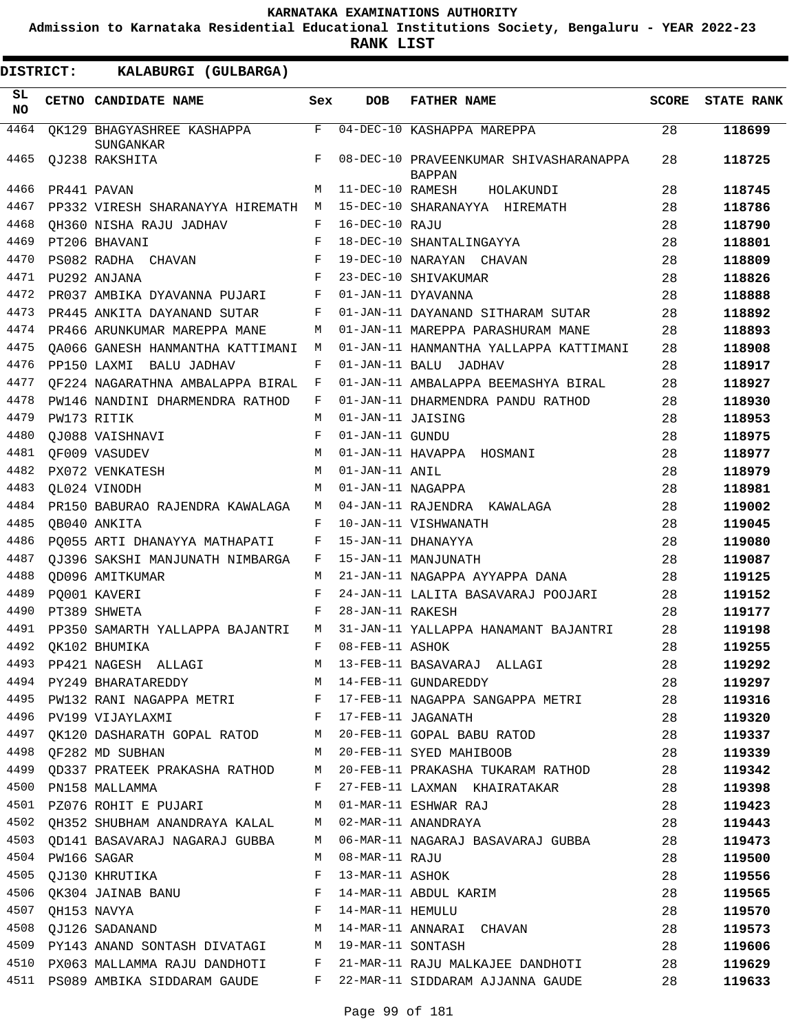**Admission to Karnataka Residential Educational Institutions Society, Bengaluru - YEAR 2022-23**

**RANK LIST**

| SL<br><b>NO</b> | CETNO CANDIDATE NAME                                  | Sex | <b>DOB</b>        | <b>FATHER NAME</b>                                                                                         | <b>SCORE</b> | <b>STATE RANK</b> |
|-----------------|-------------------------------------------------------|-----|-------------------|------------------------------------------------------------------------------------------------------------|--------------|-------------------|
| 4464            | OK129 BHAGYASHREE KASHAPPA                            | F   |                   | 04-DEC-10 KASHAPPA MAREPPA                                                                                 | 28           | 118699            |
| 4465            | SUNGANKAR<br>OJ238 RAKSHITA                           | F   |                   | 08-DEC-10 PRAVEENKUMAR SHIVASHARANAPPA<br><b>BAPPAN</b>                                                    | 28           | 118725            |
| 4466            | PR441 PAVAN                                           | M   | 11-DEC-10 RAMESH  | HOLAKUNDI                                                                                                  | 28           | 118745            |
| 4467            | PP332 VIRESH SHARANAYYA HIREMATH                      | М   |                   | 15-DEC-10 SHARANAYYA HIREMATH                                                                              | 28           | 118786            |
| 4468            | OH360 NISHA RAJU JADHAV                               | F   | 16-DEC-10 RAJU    |                                                                                                            | 28           | 118790            |
| 4469            | PT206 BHAVANI                                         | F   |                   | 18-DEC-10 SHANTALINGAYYA                                                                                   | 28           | 118801            |
| 4470            | PS082 RADHA CHAVAN                                    | F   |                   | 19-DEC-10 NARAYAN CHAVAN                                                                                   | 28           | 118809            |
| 4471            | PU292 ANJANA                                          | F   |                   | 23-DEC-10 SHIVAKUMAR                                                                                       | 28           | 118826            |
| 4472            | PR037 AMBIKA DYAVANNA PUJARI                          | F   |                   | 01-JAN-11 DYAVANNA                                                                                         | 28           | 118888            |
| 4473            | PR445 ANKITA DAYANAND SUTAR                           | F   |                   | 01-JAN-11 DAYANAND SITHARAM SUTAR                                                                          | 28           | 118892            |
| 4474            | PR466 ARUNKUMAR MAREPPA MANE                          | M   |                   | 01-JAN-11 MAREPPA PARASHURAM MANE                                                                          | 28           | 118893            |
| 4475            | OA066 GANESH HANMANTHA KATTIMANI                      | М   |                   | 01-JAN-11 HANMANTHA YALLAPPA KATTIMANI                                                                     | 28           | 118908            |
| 4476            | PP150 LAXMI BALU JADHAV                               | F   | 01-JAN-11 BALU    | JADHAV                                                                                                     | 28           | 118917            |
| 4477            | OF224 NAGARATHNA AMBALAPPA BIRAL                      | F   |                   | 01-JAN-11 AMBALAPPA BEEMASHYA BIRAL                                                                        | 28           | 118927            |
| 4478            | PW146 NANDINI DHARMENDRA RATHOD                       | F   |                   | 01-JAN-11 DHARMENDRA PANDU RATHOD                                                                          | 28           | 118930            |
| 4479            | PW173 RITIK                                           | М   | 01-JAN-11 JAISING |                                                                                                            | 28           | 118953            |
| 4480            | OJ088 VAISHNAVI                                       | F   | 01-JAN-11 GUNDU   |                                                                                                            | 28           | 118975            |
| 4481            | OF009 VASUDEV                                         | М   |                   | 01-JAN-11 HAVAPPA HOSMANI                                                                                  | 28           | 118977            |
| 4482            | PX072 VENKATESH                                       | М   | 01-JAN-11 ANIL    |                                                                                                            | 28           | 118979            |
| 4483            | OL024 VINODH                                          | М   | 01-JAN-11 NAGAPPA |                                                                                                            | 28           | 118981            |
| 4484            | PR150 BABURAO RAJENDRA KAWALAGA                       | М   |                   | 04-JAN-11 RAJENDRA KAWALAGA                                                                                | 28           | 119002            |
| 4485            | OB040 ANKITA                                          | F   |                   | 10-JAN-11 VISHWANATH                                                                                       | 28           | 119045            |
| 4486            | PO055 ARTI DHANAYYA MATHAPATI                         | F   |                   | 15-JAN-11 DHANAYYA                                                                                         | 28           | 119080            |
| 4487            | OJ396 SAKSHI MANJUNATH NIMBARGA                       | F   |                   | 15-JAN-11 MANJUNATH                                                                                        | 28           | 119087            |
| 4488            | OD096 AMITKUMAR                                       | М   |                   | 21-JAN-11 NAGAPPA AYYAPPA DANA                                                                             | 28           | 119125            |
| 4489            | PO001 KAVERI                                          | F   |                   | 24-JAN-11 LALITA BASAVARAJ POOJARI                                                                         | 28           | 119152            |
| 4490            | PT389 SHWETA                                          | F   | 28-JAN-11 RAKESH  |                                                                                                            | 28           | 119177            |
| 4491            | PP350 SAMARTH YALLAPPA BAJANTRI                       | M   |                   | 31-JAN-11 YALLAPPA HANAMANT BAJANTRI                                                                       | 28           | 119198            |
| 4492            | OK102 BHUMIKA                                         | F   | 08-FEB-11 ASHOK   |                                                                                                            | 28           | 119255            |
|                 | 4493 PP421 NAGESH ALLAGI                              |     |                   | M 13-FEB-11 BASAVARAJ ALLAGI                                                                               | 28           | 119292            |
|                 | 4494 PY249 BHARATAREDDY M 14-FEB-11 GUNDAREDDY        |     |                   |                                                                                                            | 28           | 119297            |
|                 |                                                       |     |                   | 4495 PW132 RANI NAGAPPA METRI F 17-FEB-11 NAGAPPA SANGAPPA METRI 28                                        |              | 119316            |
| 4496            | PV199 VIJAYLAXMI F 17-FEB-11 JAGANATH                 |     |                   | 28                                                                                                         |              | 119320            |
|                 |                                                       |     |                   | 4497 QK120 DASHARATH GOPAL RATOD M 20-FEB-11 GOPAL BABU RATOD 28                                           |              | 119337            |
|                 | 4498 OF282 MD SUBHAN                                  |     |                   | $M$ 20-FEB-11 SYED MAHIBOOB 28                                                                             |              | 119339            |
|                 |                                                       |     |                   | 4499 QD337 PRATEEK PRAKASHA RATHOD M 20-FEB-11 PRAKASHA TUKARAM RATHOD 28                                  |              | 119342            |
|                 | $\mathbf{F}$<br>4500 PN158 MALLAMMA                   |     |                   | 27-FEB-11 LAXMAN KHAIRATAKAR                                                                               | 28           | 119398            |
|                 | 4501 PZ076 ROHIT E PUJARI M 01-MAR-11 ESHWAR RAJ      |     |                   |                                                                                                            | 28           | 119423            |
|                 |                                                       |     |                   | 4501 PZ076 ROHIT E PUJARI MO1-MAR-11 ESHWAR RAJ<br>4502 QH352 SHUBHAM ANANDRAYA KALAL MO2-MAR-11 ANANDRAYA | 28           | 119443            |
|                 |                                                       |     |                   | 4503 QD141 BASAVARAJ NAGARAJ GUBBA M 06-MAR-11 NAGARAJ BASAVARAJ GUBBA                                     | 28           | 119473            |
| 4504            | PW166 SAGAR                                           | M   | 08-MAR-11 RAJU    |                                                                                                            | 28           | 119500            |
|                 | 4505 QJ130 KHRUTIKA                                   | F   | 13-MAR-11 ASHOK   |                                                                                                            | 28           | 119556            |
|                 |                                                       |     |                   |                                                                                                            | 28           | 119565            |
|                 |                                                       |     |                   |                                                                                                            | 28           | 119570            |
|                 |                                                       |     |                   |                                                                                                            | 28           | 119573            |
|                 | 4509 PY143 ANAND SONTASH DIVATAGI M 19-MAR-11 SONTASH |     |                   |                                                                                                            | 28           | 119606            |
|                 |                                                       |     |                   | 4510 PX063 MALLAMMA RAJU DANDHOTI F 21-MAR-11 RAJU MALKAJEE DANDHOTI 28                                    |              | 119629            |
|                 |                                                       |     |                   | 4511 PS089 AMBIKA SIDDARAM GAUDE F 22-MAR-11 SIDDARAM AJJANNA GAUDE                                        | 28           | 119633            |
|                 |                                                       |     |                   |                                                                                                            |              |                   |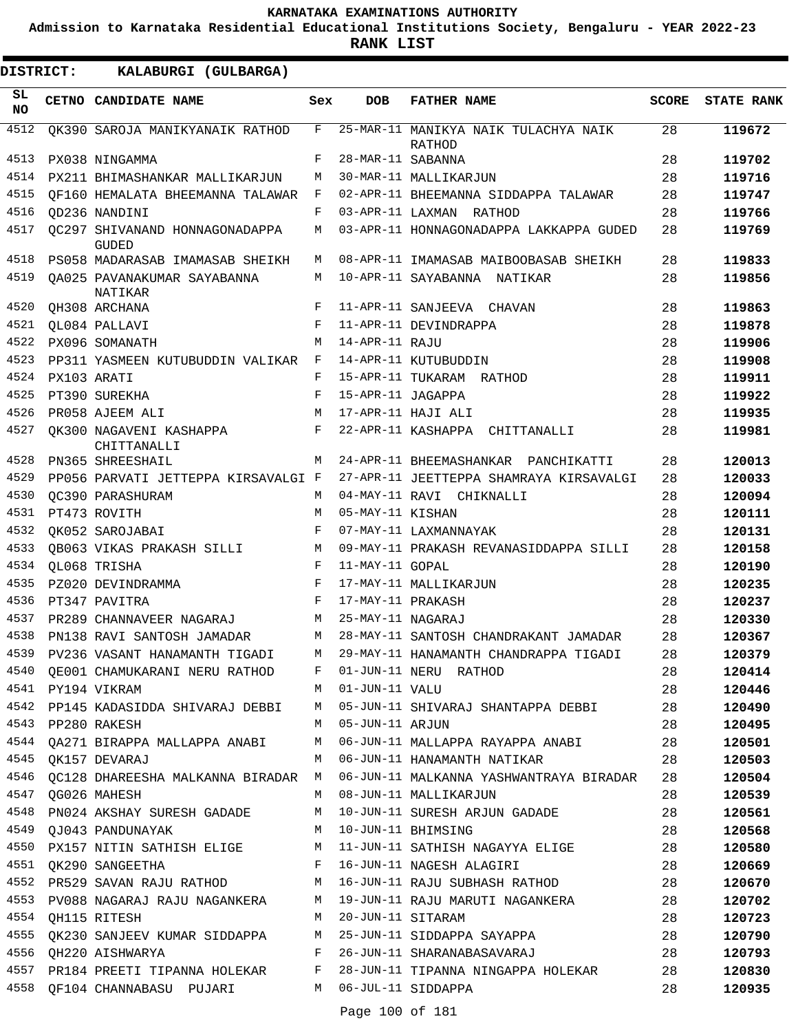**Admission to Karnataka Residential Educational Institutions Society, Bengaluru - YEAR 2022-23**

| <b>DISTRICT:</b> | KALABURGI (GULBARGA)                                  |     |                   |                                                                            |              |                   |
|------------------|-------------------------------------------------------|-----|-------------------|----------------------------------------------------------------------------|--------------|-------------------|
| SL<br><b>NO</b>  | CETNO CANDIDATE NAME                                  | Sex | <b>DOB</b>        | <b>FATHER NAME</b>                                                         | <b>SCORE</b> | <b>STATE RANK</b> |
| 4512             | OK390 SAROJA MANIKYANAIK RATHOD                       | F   |                   | 25-MAR-11 MANIKYA NAIK TULACHYA NAIK<br>RATHOD                             | 28           | 119672            |
| 4513             | PX038 NINGAMMA                                        | F   | 28-MAR-11 SABANNA |                                                                            | 28           | 119702            |
| 4514             | PX211 BHIMASHANKAR MALLIKARJUN                        | M   |                   | 30-MAR-11 MALLIKARJUN                                                      | 28           | 119716            |
| 4515             | OF160 HEMALATA BHEEMANNA TALAWAR                      | F   |                   | 02-APR-11 BHEEMANNA SIDDAPPA TALAWAR                                       | 28           | 119747            |
| 4516             | OD236 NANDINI                                         | F   |                   | 03-APR-11 LAXMAN RATHOD                                                    | 28           | 119766            |
| 4517             | OC297 SHIVANAND HONNAGONADAPPA<br><b>GUDED</b>        | М   |                   | 03-APR-11 HONNAGONADAPPA LAKKAPPA GUDED                                    | 28           | 119769            |
| 4518             | PS058 MADARASAB IMAMASAB SHEIKH                       | M   |                   | 08-APR-11 IMAMASAB MAIBOOBASAB SHEIKH                                      | 28           | 119833            |
| 4519             | OA025 PAVANAKUMAR SAYABANNA<br>NATIKAR                | M   |                   | 10-APR-11 SAYABANNA NATIKAR                                                | 28           | 119856            |
| 4520             | OH308 ARCHANA                                         | F   |                   | 11-APR-11 SANJEEVA CHAVAN                                                  | 28           | 119863            |
| 4521             | QL084 PALLAVI                                         | F   |                   | 11-APR-11 DEVINDRAPPA                                                      | 28           | 119878            |
| 4522             | PX096 SOMANATH                                        | M   | 14-APR-11 RAJU    |                                                                            | 28           | 119906            |
| 4523             | PP311 YASMEEN KUTUBUDDIN VALIKAR                      | F   |                   | 14-APR-11 KUTUBUDDIN                                                       | 28           | 119908            |
| 4524             | PX103 ARATI                                           | F   |                   | 15-APR-11 TUKARAM RATHOD                                                   | 28           | 119911            |
| 4525             | PT390 SUREKHA                                         | F   | 15-APR-11 JAGAPPA |                                                                            | 28           | 119922            |
| 4526             | PR058 AJEEM ALI                                       | M   |                   | 17-APR-11 HAJI ALI                                                         | 28           | 119935            |
| 4527             | OK300 NAGAVENI KASHAPPA<br>CHITTANALLI                | F   |                   | 22-APR-11 KASHAPPA CHITTANALLI                                             | 28           | 119981            |
| 4528             | PN365 SHREESHAIL                                      | M   |                   | 24-APR-11 BHEEMASHANKAR PANCHIKATTI                                        | 28           | 120013            |
| 4529             | PP056 PARVATI JETTEPPA KIRSAVALGI F                   |     |                   | 27-APR-11 JEETTEPPA SHAMRAYA KIRSAVALGI                                    | 28           | 120033            |
| 4530             | OC390 PARASHURAM                                      | M   |                   | 04-MAY-11 RAVI CHIKNALLI                                                   | 28           | 120094            |
| 4531             | PT473 ROVITH                                          | M   | 05-MAY-11 KISHAN  |                                                                            | 28           | 120111            |
| 4532             | OK052 SAROJABAI                                       | F   |                   | 07-MAY-11 LAXMANNAYAK                                                      | 28           | 120131            |
| 4533             | OB063 VIKAS PRAKASH SILLI                             | М   |                   | 09-MAY-11 PRAKASH REVANASIDDAPPA SILLI                                     | 28           | 120158            |
| 4534             | OL068 TRISHA                                          | F   | 11-MAY-11 GOPAL   |                                                                            | 28           | 120190            |
| 4535             | PZ020 DEVINDRAMMA                                     | F   |                   | 17-MAY-11 MALLIKARJUN                                                      | 28           | 120235            |
| 4536             | PT347 PAVITRA                                         | F   | 17-MAY-11 PRAKASH |                                                                            | 28           | 120237            |
| 4537             | PR289 CHANNAVEER NAGARAJ                              | M   | 25-MAY-11 NAGARAJ |                                                                            | 28           | 120330            |
| 4538             | PN138 RAVI SANTOSH JAMADAR                            | М   |                   | 28-MAY-11 SANTOSH CHANDRAKANT JAMADAR                                      | 28           | 120367            |
| 4539             | PV236 VASANT HANAMANTH TIGADI                         | M   |                   | 29-MAY-11 HANAMANTH CHANDRAPPA TIGADI                                      | 28           | 120379            |
| 4540             | QE001 CHAMUKARANI NERU RATHOD F 01-JUN-11 NERU RATHOD |     |                   |                                                                            | 28           | 120414            |
|                  | 4541 PY194 VIKRAM                                     |     | M 01-JUN-11 VALU  |                                                                            | 28           | 120446            |
|                  |                                                       |     |                   | 4542 PP145 KADASIDDA SHIVARAJ DEBBI M 05-JUN-11 SHIVARAJ SHANTAPPA DEBBI   | 28           | 120490            |
|                  | 4543 PP280 RAKESH                                     | M   | 05-JUN-11 ARJUN   |                                                                            | 28           | 120495            |
|                  |                                                       |     |                   | 4544 QA271 BIRAPPA MALLAPPA ANABI M 06-JUN-11 MALLAPPA RAYAPPA ANABI       | 28           | 120501            |
|                  | 4545 QK157 DEVARAJ                                    |     |                   | M 06-JUN-11 HANAMANTH NATIKAR                                              | 28           | 120503            |
| 4546             |                                                       |     |                   | QC128 DHAREESHA MALKANNA BIRADAR M 06-JUN-11 MALKANNA YASHWANTRAYA BIRADAR | 28           | 120504            |
| 4547             | OG026 MAHESH                                          |     |                   | M 08-JUN-11 MALLIKARJUN                                                    | 28           | 120539            |
| 4548             | PN024 AKSHAY SURESH GADADE M                          |     |                   | 10-JUN-11 SURESH ARJUN GADADE                                              | 28           | 120561            |
|                  | 4549 QJ043 PANDUNAYAK                                 |     |                   | M 10-JUN-11 BHIMSING                                                       | 28           | 120568            |
| 4550             |                                                       |     |                   | PX157 NITIN SATHISH ELIGE M 11-JUN-11 SATHISH NAGAYYA ELIGE                | 28           | 120580            |
|                  | 4551 QK290 SANGEETHA                                  |     |                   | F 16-JUN-11 NAGESH ALAGIRI                                                 | 28           | 120669            |
|                  |                                                       |     |                   | 4552 PR529 SAVAN RAJU RATHOD M 16-JUN-11 RAJU SUBHASH RATHOD               | 28           | 120670            |
|                  |                                                       |     |                   | 4553 PV088 NAGARAJ RAJU NAGANKERA M 19-JUN-11 RAJU MARUTI NAGANKERA        | 28           | 120702            |
| 4554             | QH115 RITESH<br>M                                     |     |                   | 20-JUN-11 SITARAM                                                          | 28           | 120723            |
| 4555             |                                                       |     |                   | QK230 SANJEEV KUMAR SIDDAPPA M 25-JUN-11 SIDDAPPA SAYAPPA                  | 28           | 120790            |
|                  | 4556 QH220 AISHWARYA                                  |     |                   | F 26-JUN-11 SHARANABASAVARAJ                                               | 28           | 120793            |
|                  |                                                       |     |                   | 4557 PR184 PREETI TIPANNA HOLEKAR F 28-JUN-11 TIPANNA NINGAPPA HOLEKAR     | 28           | 120830            |
|                  | 4558 QF104 CHANNABASU PUJARI M 06-JUL-11 SIDDAPPA     |     |                   |                                                                            | 28           | 120935            |
|                  |                                                       |     |                   |                                                                            |              |                   |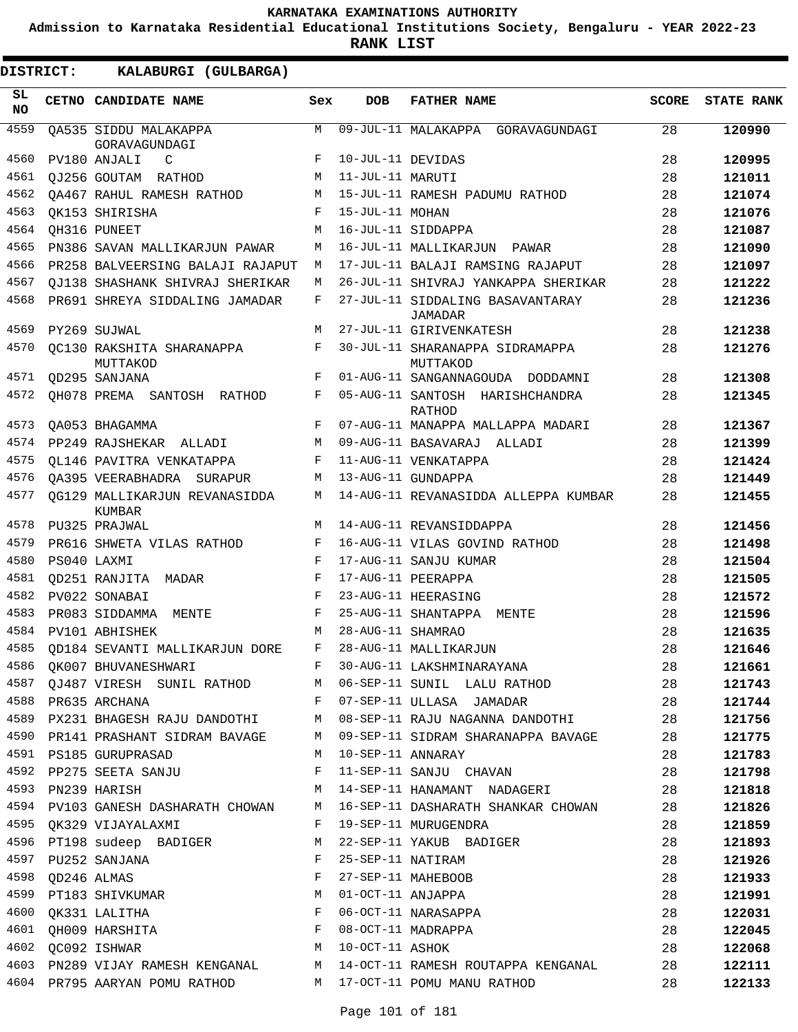**Admission to Karnataka Residential Educational Institutions Society, Bengaluru - YEAR 2022-23**

**RANK LIST**

ı

| DISTRICT:        | KALABURGI (GULBARGA)                                        |        |                   |                                                                            |              |                   |
|------------------|-------------------------------------------------------------|--------|-------------------|----------------------------------------------------------------------------|--------------|-------------------|
| SL.<br><b>NO</b> | CETNO CANDIDATE NAME                                        | Sex    | <b>DOB</b>        | <b>FATHER NAME</b>                                                         | <b>SCORE</b> | <b>STATE RANK</b> |
| 4559             | OA535 SIDDU MALAKAPPA<br>GORAVAGUNDAGI                      | M      |                   | 09-JUL-11 MALAKAPPA GORAVAGUNDAGI                                          | 28           | 120990            |
| 4560             | PV180 ANJALI<br>C                                           | F      | 10-JUL-11 DEVIDAS |                                                                            | 28           | 120995            |
| 4561             | OJ256 GOUTAM RATHOD                                         | M      | 11-JUL-11 MARUTI  |                                                                            | 28           | 121011            |
| 4562             | OA467 RAHUL RAMESH RATHOD                                   | М      |                   | 15-JUL-11 RAMESH PADUMU RATHOD                                             | 28           | 121074            |
| 4563             | OK153 SHIRISHA                                              | F      | 15-JUL-11 MOHAN   |                                                                            | 28           | 121076            |
| 4564             | OH316 PUNEET                                                | M      |                   | 16-JUL-11 SIDDAPPA                                                         | 28           | 121087            |
| 4565             | PN386 SAVAN MALLIKARJUN PAWAR                               | M      |                   | 16-JUL-11 MALLIKARJUN PAWAR                                                | 28           | 121090            |
| 4566             | PR258 BALVEERSING BALAJI RAJAPUT                            | M      |                   | 17-JUL-11 BALAJI RAMSING RAJAPUT                                           | 28           | 121097            |
| 4567             | QJ138 SHASHANK SHIVRAJ SHERIKAR                             | М      |                   | 26-JUL-11 SHIVRAJ YANKAPPA SHERIKAR                                        | 28           | 121222            |
| 4568             | PR691 SHREYA SIDDALING JAMADAR                              | F      |                   | 27-JUL-11 SIDDALING BASAVANTARAY<br>JAMADAR                                | 28           | 121236            |
| 4569             | PY269 SUJWAL                                                | M      |                   | 27-JUL-11 GIRIVENKATESH                                                    | 28           | 121238            |
| 4570             | OC130 RAKSHITA SHARANAPPA<br>MUTTAKOD                       | F      |                   | 30-JUL-11 SHARANAPPA SIDRAMAPPA<br>MUTTAKOD                                | 28           | 121276            |
| 4571             | QD295 SANJANA                                               | F      |                   | 01-AUG-11 SANGANNAGOUDA DODDAMNI                                           | 28           | 121308            |
| 4572             | OH078 PREMA SANTOSH RATHOD                                  | F      |                   | 05-AUG-11 SANTOSH HARISHCHANDRA<br><b>RATHOD</b>                           | 28           | 121345            |
| 4573             | QA053 BHAGAMMA                                              | F      |                   | 07-AUG-11 MANAPPA MALLAPPA MADARI                                          | 28           | 121367            |
| 4574             | PP249 RAJSHEKAR ALLADI                                      | M      |                   | 09-AUG-11 BASAVARAJ ALLADI                                                 | 28           | 121399            |
| 4575             | OL146 PAVITRA VENKATAPPA                                    | F      |                   | 11-AUG-11 VENKATAPPA                                                       | 28           | 121424            |
| 4576             | OA395 VEERABHADRA SURAPUR                                   | М      |                   | 13-AUG-11 GUNDAPPA                                                         | 28           | 121449            |
| 4577             | OG129 MALLIKARJUN REVANASIDDA<br>KUMBAR                     | М      |                   | 14-AUG-11 REVANASIDDA ALLEPPA KUMBAR                                       | 28           | 121455            |
| 4578             | PU325 PRAJWAL                                               | M      |                   | 14-AUG-11 REVANSIDDAPPA                                                    | 28           | 121456            |
| 4579             | PR616 SHWETA VILAS RATHOD                                   | F      |                   | 16-AUG-11 VILAS GOVIND RATHOD                                              | 28           | 121498            |
| 4580             | PS040 LAXMI                                                 | F      |                   | 17-AUG-11 SANJU KUMAR                                                      | 28           | 121504            |
| 4581             | OD251 RANJITA MADAR                                         | F      |                   | 17-AUG-11 PEERAPPA                                                         | 28           | 121505            |
| 4582             | PV022 SONABAI                                               | F      |                   | 23-AUG-11 HEERASING                                                        | 28           | 121572            |
| 4583             | PR083 SIDDAMMA<br>MENTE                                     | F      |                   | 25-AUG-11 SHANTAPPA<br>MENTE                                               | 28           | 121596            |
| 4584             | PV101 ABHISHEK                                              | M      | 28-AUG-11 SHAMRAO |                                                                            | 28           | 121635            |
|                  | 4585 QD184 SEVANTI MALLIKARJUN DORE F 28-AUG-11 MALLIKARJUN |        |                   |                                                                            | 28           | 121646            |
|                  |                                                             |        |                   | 4586 QK007 BHUVANESHWARI F 30-AUG-11 LAKSHMINARAYANA                       | 28           | 121661            |
|                  |                                                             |        |                   | 4587 QJ487 VIRESH SUNIL RATHOD M 06-SEP-11 SUNIL LALU RATHOD 28            |              | 121743            |
|                  |                                                             |        |                   | 4588 PR635 ARCHANA 28 28 PR635 ARCHANA                                     |              | 121744            |
|                  |                                                             |        |                   | 4589 PX231 BHAGESH RAJU DANDOTHI M 08-SEP-11 RAJU NAGANNA DANDOTHI 28      |              | 121756            |
|                  |                                                             |        |                   | 4590 PR141 PRASHANT SIDRAM BAVAGE M 09-SEP-11 SIDRAM SHARANAPPA BAVAGE     | 28           | 121775            |
|                  | 4591 PS185 GURUPRASAD<br>M 10-SEP-11 ANNARAY                |        |                   |                                                                            | 28           | 121783            |
|                  |                                                             |        |                   | 4592 PP275 SEETA SANJU NAROD E 11-SEP-11 SANJU CHAVAN                      | 28           | 121798            |
|                  | 4593 PN239 HARISH                                           |        |                   | M 14-SEP-11 HANAMANT NADAGERI                                              | 28           | 121818            |
|                  |                                                             |        |                   | 4594 PV103 GANESH DASHARATH CHOWAN M 16-SEP-11 DASHARATH SHANKAR CHOWAN 28 |              | 121826            |
|                  |                                                             |        |                   |                                                                            | 28           | 121859            |
|                  | 4596 PT198 sudeep BADIGER M                                 |        |                   | 22-SEP-11 YAKUB BADIGER                                                    | 28           | 121893            |
|                  | 4597 PU252 SANJANA<br>4598 QD246 ALMAS                      | F<br>F |                   | 25-SEP-11 NATIRAM                                                          | 28<br>28     | 121926<br>121933  |
|                  |                                                             |        |                   | 27-SEP-11 MAHEBOOB                                                         |              |                   |
|                  | 4599 PT183 SHIVKUMAR M<br>4600 QK331 LALITHA F              |        |                   | 01-OCT-11 ANJAPPA<br>06-OCT-11 NARASAPPA                                   | 28<br>28     | 121991            |
|                  | 4601 QH009 HARSHITA 608-0CT-11 MADRAPPA                     |        |                   |                                                                            | 28           | 122031            |
|                  | 4602 QC092 ISHWAR                                           |        | M 10-OCT-11 ASHOK |                                                                            | 28           | 122045<br>122068  |
|                  |                                                             |        |                   | 4603 PN289 VIJAY RAMESH KENGANAL M 14-OCT-11 RAMESH ROUTAPPA KENGANAL 28   |              | 122111            |
|                  |                                                             |        |                   | 4604 PR795 AARYAN POMU RATHOD M 17-OCT-11 POMU MANU RATHOD                 | 28           | 122133            |
|                  |                                                             |        |                   |                                                                            |              |                   |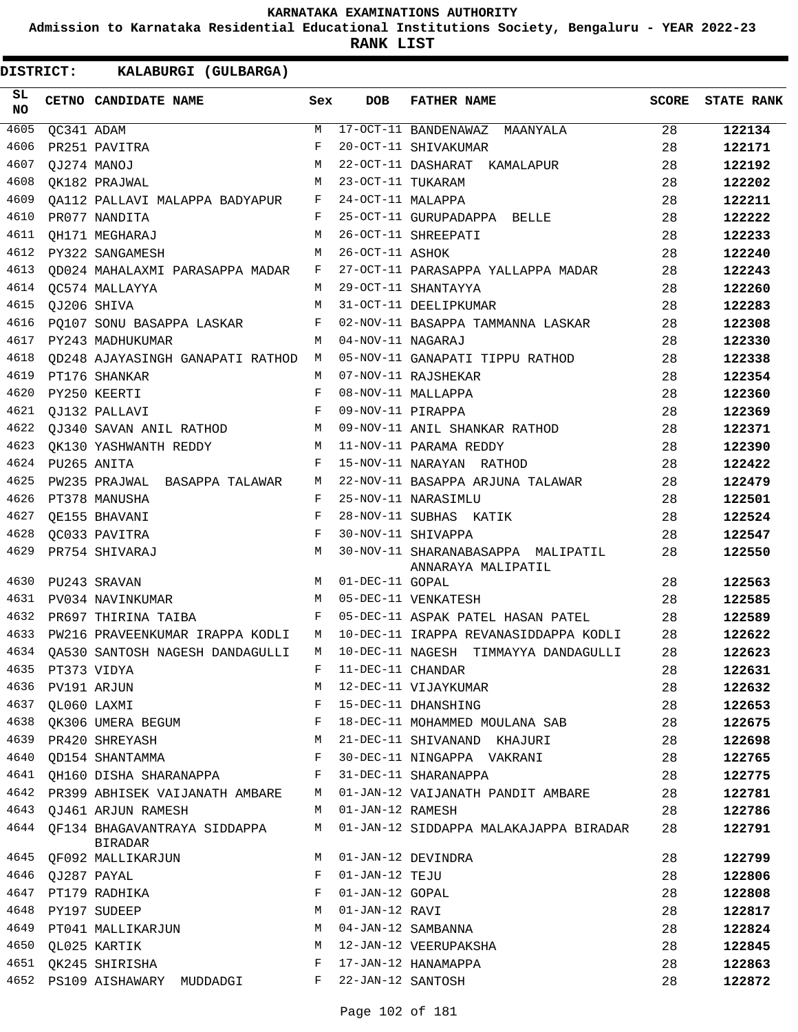**Admission to Karnataka Residential Educational Institutions Society, Bengaluru - YEAR 2022-23**

**RANK LIST**

| SL<br><b>NO</b> |                  | CETNO CANDIDATE NAME                    | Sex | DOB               | <b>FATHER NAME</b>                                       | SCORE | <b>STATE RANK</b> |
|-----------------|------------------|-----------------------------------------|-----|-------------------|----------------------------------------------------------|-------|-------------------|
| 4605            | QC341 ADAM       |                                         | M   |                   | 17-OCT-11 BANDENAWAZ MAANYALA                            | 28    | 122134            |
| 4606            |                  | PR251 PAVITRA                           | F   |                   | 20-OCT-11 SHIVAKUMAR                                     | 28    | 122171            |
| 4607            |                  | QJ274 MANOJ                             | M   |                   | 22-OCT-11 DASHARAT KAMALAPUR                             | 28    | 122192            |
| 4608            |                  | $M_{\odot}$<br>OK182 PRAJWAL            |     | 23-OCT-11 TUKARAM |                                                          | 28    | 122202            |
| 4609            |                  | QA112 PALLAVI MALAPPA BADYAPUR F        |     | 24-OCT-11 MALAPPA |                                                          | 28    | 122211            |
| 4610            |                  | PR077 NANDITA                           | F   |                   | 25-OCT-11 GURUPADAPPA BELLE                              | 28    | 122222            |
| 4611            |                  | OH171 MEGHARAJ                          | M   |                   | 26-OCT-11 SHREEPATI                                      | 28    | 122233            |
| 4612            |                  | PY322 SANGAMESH                         | M   | 26-OCT-11 ASHOK   |                                                          | 28    | 122240            |
| 4613            |                  | QD024 MAHALAXMI PARASAPPA MADAR F       |     |                   | 27-OCT-11 PARASAPPA YALLAPPA MADAR                       | 28    | 122243            |
| 4614            |                  | QC574 MALLAYYA                          | M   |                   | 29-OCT-11 SHANTAYYA                                      | 28    | 122260            |
| 4615            |                  | QJ206 SHIVA                             | M   |                   | 31-OCT-11 DEELIPKUMAR                                    | 28    | 122283            |
| 4616            |                  | PQ107 SONU BASAPPA LASKAR               | F   |                   | 02-NOV-11 BASAPPA TAMMANNA LASKAR                        | 28    | 122308            |
| 4617            |                  | PY243 MADHUKUMAR                        | M   | 04-NOV-11 NAGARAJ |                                                          | 28    | 122330            |
| 4618            |                  | OD248 AJAYASINGH GANAPATI RATHOD        | M   |                   | 05-NOV-11 GANAPATI TIPPU RATHOD                          | 28    | 122338            |
| 4619            |                  | PT176 SHANKAR                           | M   |                   | 07-NOV-11 RAJSHEKAR                                      | 28    | 122354            |
| 4620            |                  | PY250 KEERTI                            | F   |                   | 08-NOV-11 MALLAPPA                                       | 28    | 122360            |
| 4621            |                  | QJ132 PALLAVI                           | F   | 09-NOV-11 PIRAPPA |                                                          | 28    | 122369            |
| 4622            |                  | QJ340 SAVAN ANIL RATHOD M               |     |                   | 09-NOV-11 ANIL SHANKAR RATHOD                            | 28    | 122371            |
| 4623            |                  | OK130 YASHWANTH REDDY                   | M   |                   | 11-NOV-11 PARAMA REDDY                                   | 28    | 122390            |
| 4624            |                  | PU265 ANITA                             | F   |                   | 15-NOV-11 NARAYAN RATHOD                                 | 28    | 122422            |
| 4625            |                  | PW235 PRAJWAL BASAPPA TALAWAR           | M   |                   | 22-NOV-11 BASAPPA ARJUNA TALAWAR                         | 28    | 122479            |
| 4626            |                  | PT378 MANUSHA                           | F   |                   | 25-NOV-11 NARASIMLU                                      | 28    | 122501            |
| 4627            |                  | QE155 BHAVANI                           | F   |                   | 28-NOV-11 SUBHAS KATIK                                   | 28    | 122524            |
| 4628            |                  | QC033 PAVITRA                           | F   |                   | 30-NOV-11 SHIVAPPA                                       | 28    | 122547            |
| 4629            |                  | PR754 SHIVARAJ                          | M   |                   | 30-NOV-11 SHARANABASAPPA MALIPATIL<br>ANNARAYA MALIPATIL | 28    | 122550            |
| 4630            |                  | PU243 SRAVAN                            | M   | 01-DEC-11 GOPAL   |                                                          | 28    | 122563            |
| 4631            |                  | PV034 NAVINKUMAR                        | M   |                   | 05-DEC-11 VENKATESH                                      | 28    | 122585            |
| 4632            |                  | PR697 THIRINA TAIBA                     | F   |                   | 05-DEC-11 ASPAK PATEL HASAN PATEL                        | 28    | 122589            |
| 4633            |                  | PW216 PRAVEENKUMAR IRAPPA KODLI         | M   |                   | 10-DEC-11 IRAPPA REVANASIDDAPPA KODLI                    | 28    | 122622            |
|                 |                  | 4634 QA530 SANTOSH NAGESH DANDAGULLI    | M   |                   | 10-DEC-11 NAGESH TIMMAYYA DANDAGULLI                     | 28    | 122623            |
|                 | 4635 PT373 VIDYA |                                         |     |                   | F 11-DEC-11 CHANDAR                                      | 28    | 122631            |
| 4636            |                  | PV191 ARJUN                             | М   |                   | 12-DEC-11 VIJAYKUMAR                                     | 28    | 122632            |
| 4637            |                  | QL060 LAXMI                             | F   |                   | 15-DEC-11 DHANSHING                                      | 28    | 122653            |
| 4638            |                  | QK306 UMERA BEGUM                       | F   |                   | 18-DEC-11 MOHAMMED MOULANA SAB                           | 28    | 122675            |
| 4639            |                  | PR420 SHREYASH                          | M   |                   | 21-DEC-11 SHIVANAND KHAJURI                              | 28    | 122698            |
| 4640            |                  | OD154 SHANTAMMA                         | F   |                   | 30-DEC-11 NINGAPPA VAKRANI                               | 28    | 122765            |
|                 |                  | 4641 QH160 DISHA SHARANAPPA             | F   |                   | 31-DEC-11 SHARANAPPA                                     | 28    | 122775            |
|                 |                  | 4642 PR399 ABHISEK VAIJANATH AMBARE M   |     |                   | 01-JAN-12 VAIJANATH PANDIT AMBARE                        | 28    | 122781            |
|                 |                  | 4643 QJ461 ARJUN RAMESH                 | М   | 01-JAN-12 RAMESH  |                                                          | 28    | 122786            |
| 4644            |                  | QF134 BHAGAVANTRAYA SIDDAPPA<br>BIRADAR | M   |                   | 01-JAN-12 SIDDAPPA MALAKAJAPPA BIRADAR                   | 28    | 122791            |
|                 |                  | 4645 QF092 MALLIKARJUN                  | M   |                   | 01-JAN-12 DEVINDRA                                       | 28    | 122799            |
| 4646            |                  | QJ287 PAYAL                             | F   | 01-JAN-12 TEJU    |                                                          | 28    | 122806            |
| 4647            |                  | PT179 RADHIKA                           | F   | 01-JAN-12 GOPAL   |                                                          | 28    | 122808            |
|                 |                  | 4648 PY197 SUDEEP                       | М   | 01-JAN-12 RAVI    |                                                          | 28    | 122817            |
|                 |                  | 4649 PT041 MALLIKARJUN                  | М   |                   | 04-JAN-12 SAMBANNA                                       | 28    | 122824            |
| 4650            |                  | QL025 KARTIK                            | М   |                   | 12-JAN-12 VEERUPAKSHA                                    | 28    | 122845            |
|                 |                  | 4651 QK245 SHIRISHA                     | F   |                   | 17-JAN-12 HANAMAPPA                                      | 28    | 122863            |
|                 |                  | 4652 PS109 AISHAWARY MUDDADGI           | F   | 22-JAN-12 SANTOSH |                                                          | 28    | 122872            |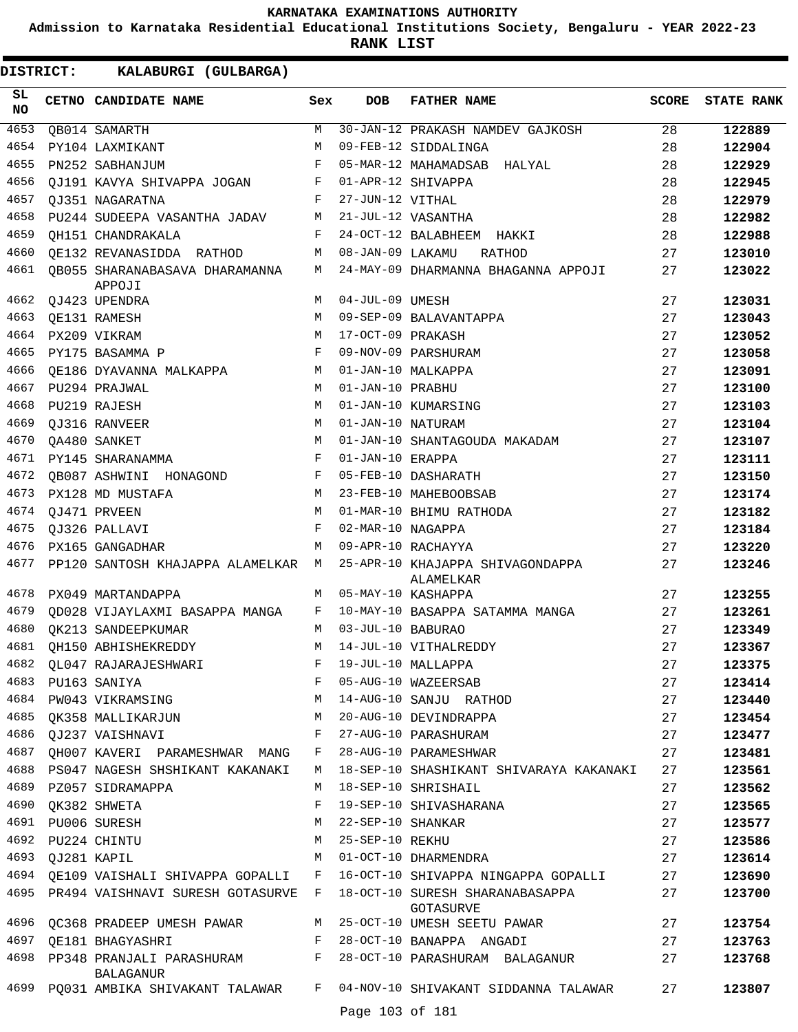**Admission to Karnataka Residential Educational Institutions Society, Bengaluru - YEAR 2022-23**

**RANK LIST**

| SL<br><b>NO</b> |                  | CETNO CANDIDATE NAME                                       | Sex          | <b>DOB</b>        | <b>FATHER NAME</b>                                                                                                                               | <b>SCORE</b> | <b>STATE RANK</b> |
|-----------------|------------------|------------------------------------------------------------|--------------|-------------------|--------------------------------------------------------------------------------------------------------------------------------------------------|--------------|-------------------|
| 4653            |                  | QB014 SAMARTH                                              | M            |                   | 30-JAN-12 PRAKASH NAMDEV GAJKOSH                                                                                                                 | 28           | 122889            |
| 4654            |                  | PY104 LAXMIKANT                                            | M            |                   | 09-FEB-12 SIDDALINGA                                                                                                                             | 28           | 122904            |
| 4655            |                  | PN252 SABHANJUM                                            | F            |                   | 05-MAR-12 MAHAMADSAB HALYAL                                                                                                                      | 28           | 122929            |
| 4656            |                  | OJ191 KAVYA SHIVAPPA JOGAN                                 | F            |                   | 01-APR-12 SHIVAPPA                                                                                                                               | 28           | 122945            |
| 4657            |                  | OJ351 NAGARATNA                                            | F            | 27-JUN-12 VITHAL  |                                                                                                                                                  | 28           | 122979            |
| 4658            |                  | PU244 SUDEEPA VASANTHA JADAV                               | М            |                   | 21-JUL-12 VASANTHA                                                                                                                               | 28           | 122982            |
| 4659            |                  | OH151 CHANDRAKALA                                          | F            |                   | 24-OCT-12 BALABHEEM HAKKI                                                                                                                        | 28           | 122988            |
| 4660            |                  | OE132 REVANASIDDA RATHOD                                   | М            | 08-JAN-09 LAKAMU  | RATHOD                                                                                                                                           | 27           | 123010            |
| 4661            |                  | OB055 SHARANABASAVA DHARAMANNA<br>APPOJI                   | М            |                   | 24-MAY-09 DHARMANNA BHAGANNA APPOJI                                                                                                              | 27           | 123022            |
| 4662            |                  | QJ423 UPENDRA                                              | M            | 04-JUL-09 UMESH   |                                                                                                                                                  | 27           | 123031            |
| 4663            |                  | OE131 RAMESH                                               | M            |                   | 09-SEP-09 BALAVANTAPPA                                                                                                                           | 27           | 123043            |
| 4664            |                  | PX209 VIKRAM                                               | M            | 17-OCT-09 PRAKASH |                                                                                                                                                  | 27           | 123052            |
| 4665            |                  | PY175 BASAMMA P                                            | F            |                   | 09-NOV-09 PARSHURAM                                                                                                                              | 27           | 123058            |
| 4666            |                  | OE186 DYAVANNA MALKAPPA                                    | М            |                   | 01-JAN-10 MALKAPPA                                                                                                                               | 27           | 123091            |
| 4667            |                  | PU294 PRAJWAL                                              | M            | 01-JAN-10 PRABHU  |                                                                                                                                                  | 27           | 123100            |
| 4668            |                  | PU219 RAJESH                                               | M            |                   | 01-JAN-10 KUMARSING                                                                                                                              | 27           | 123103            |
| 4669            |                  | OJ316 RANVEER                                              | M            | 01-JAN-10 NATURAM |                                                                                                                                                  | 27           | 123104            |
| 4670            |                  | OA480 SANKET                                               | M            |                   | 01-JAN-10 SHANTAGOUDA MAKADAM                                                                                                                    | 27           | 123107            |
| 4671            |                  | PY145 SHARANAMMA                                           | F            | 01-JAN-10 ERAPPA  |                                                                                                                                                  | 27           | 123111            |
| 4672            |                  | OB087 ASHWINI HONAGOND                                     | F            |                   | 05-FEB-10 DASHARATH                                                                                                                              | 27           | 123150            |
| 4673            |                  | PX128 MD MUSTAFA                                           | M            |                   | 23-FEB-10 MAHEBOOBSAB                                                                                                                            | 27           | 123174            |
| 4674            |                  | OJ471 PRVEEN                                               | M            |                   | 01-MAR-10 BHIMU RATHODA                                                                                                                          | 27           | 123182            |
| 4675            |                  | OJ326 PALLAVI                                              | F            | 02-MAR-10 NAGAPPA |                                                                                                                                                  | 27           | 123184            |
| 4676            |                  | PX165 GANGADHAR                                            | M            |                   | 09-APR-10 RACHAYYA                                                                                                                               | 27           | 123220            |
| 4677            |                  | PP120 SANTOSH KHAJAPPA ALAMELKAR M                         |              |                   | 25-APR-10 KHAJAPPA SHIVAGONDAPPA<br>ALAMELKAR                                                                                                    | 27           | 123246            |
| 4678            |                  | PX049 MARTANDAPPA                                          | M            |                   | 05-MAY-10 KASHAPPA                                                                                                                               | 27           | 123255            |
| 4679            |                  | OD028 VIJAYLAXMI BASAPPA MANGA                             | F            |                   | 10-MAY-10 BASAPPA SATAMMA MANGA                                                                                                                  | 27           | 123261            |
| 4680            |                  | OK213 SANDEEPKUMAR                                         | М            | 03-JUL-10 BABURAO |                                                                                                                                                  | 27           | 123349            |
| 4681            |                  | OH150 ABHISHEKREDDY                                        | М            |                   | 14-JUL-10 VITHALREDDY                                                                                                                            | 27           | 123367            |
|                 |                  | 4682 QL047 RAJARAJESHWARI                                  |              |                   | F 19-JUL-10 MALLAPPA                                                                                                                             | 27           | 123375            |
|                 |                  |                                                            |              |                   | F 05-AUG-10 WAZEERSAB                                                                                                                            | 27           | 123414            |
|                 |                  |                                                            |              |                   | 4683 PU163 SANIYA                           F   05-AUG-10 WAZEERSAB<br>4684 PW043 VIKRAMSING                         M   14-AUG-10 SANJU  RATHOD | 27           | 123440            |
|                 |                  | 4685 QK358 MALLIKARJUN M 20-AUG-10 DEVINDRAPPA             |              |                   |                                                                                                                                                  | 27           | 123454            |
|                 |                  | 4686 QJ237 VAISHNAVI                                       |              |                   | F 27-AUG-10 PARASHURAM                                                                                                                           | 27           | 123477            |
|                 |                  | 4687 QH007 KAVERI PARAMESHWAR MANG F 28-AUG-10 PARAMESHWAR |              |                   |                                                                                                                                                  | 27           | 123481            |
|                 |                  | 4688 PS047 NAGESH SHSHIKANT KAKANAKI                       |              |                   | M 18-SEP-10 SHASHIKANT SHIVARAYA KAKANAKI                                                                                                        | 27           | 123561            |
|                 |                  | 4689 PZ057 SIDRAMAPPA                                      |              |                   | M 18-SEP-10 SHRISHAIL                                                                                                                            | 27           | 123562            |
|                 |                  | 4690 QK382 SHWETA                                          | $\mathbf{F}$ |                   | 19-SEP-10 SHIVASHARANA                                                                                                                           | 27           | 123565            |
|                 |                  | 4691 PU006 SURESH                                          |              |                   | M 22-SEP-10 SHANKAR                                                                                                                              | 27           | 123577            |
| 4692            |                  | PU224 CHINTU                                               |              | M 25-SEP-10 REKHU |                                                                                                                                                  | 27           | 123586            |
|                 | 4693 QJ281 KAPIL | <b>M</b>                                                   |              |                   | 01-OCT-10 DHARMENDRA                                                                                                                             | 27           | 123614            |
|                 |                  |                                                            |              |                   | 4694 QE109 VAISHALI SHIVAPPA GOPALLI F 16-OCT-10 SHIVAPPA NINGAPPA GOPALLI                                                                       | 27           | 123690            |
|                 |                  |                                                            |              |                   | 4695 PR494 VAISHNAVI SURESH GOTASURVE F 18-OCT-10 SURESH SHARANABASAPPA<br>GOTASURVE                                                             | 27           | 123700            |
|                 |                  |                                                            |              |                   | 4696 QC368 PRADEEP UMESH PAWAR M 25-OCT-10 UMESH SEETU PAWAR                                                                                     | 27           | 123754            |
|                 |                  | 4697 QE181 BHAGYASHRI                                      |              |                   | F 28-OCT-10 BANAPPA ANGADI                                                                                                                       | 27           | 123763            |
|                 |                  | BALAGANUR                                                  |              |                   | 4698 PP348 PRANJALI PARASHURAM F 28-OCT-10 PARASHURAM BALAGANUR                                                                                  | 27           | 123768            |
|                 |                  |                                                            |              |                   | 4699 PQ031 AMBIKA SHIVAKANT TALAWAR F 04-NOV-10 SHIVAKANT SIDDANNA TALAWAR                                                                       | 27           | 123807            |
|                 |                  |                                                            |              | Page 103 of 181   |                                                                                                                                                  |              |                   |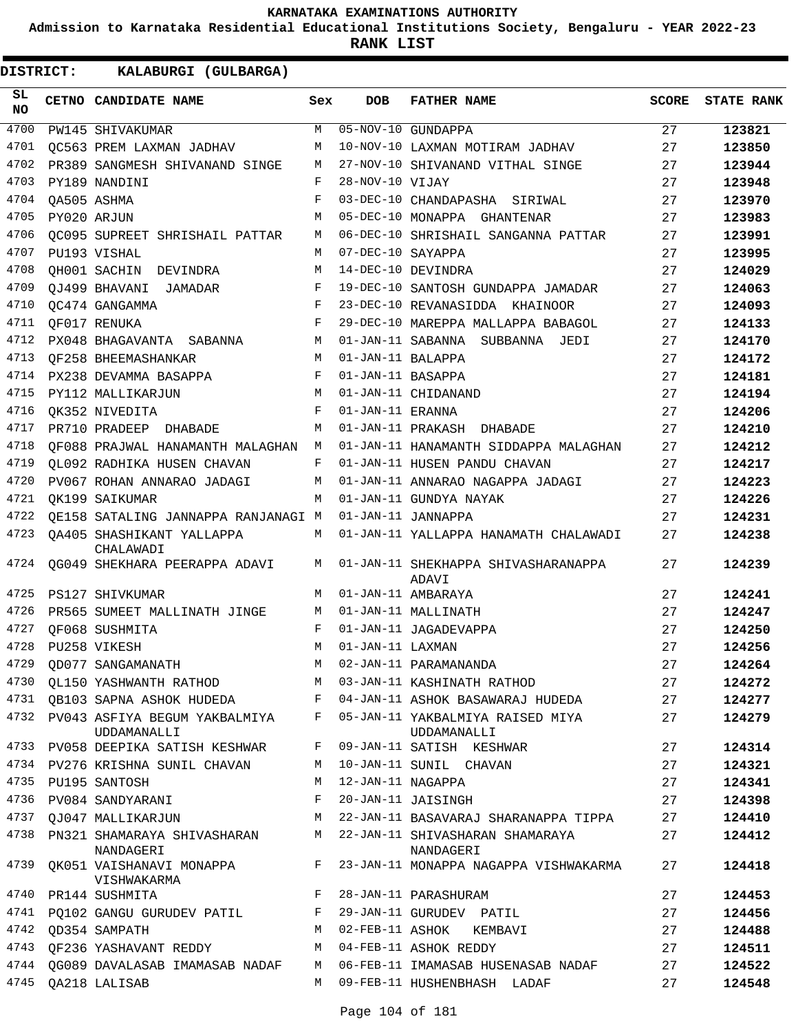**Admission to Karnataka Residential Educational Institutions Society, Bengaluru - YEAR 2022-23**

**RANK LIST**

| SL<br>NO | CETNO CANDIDATE NAME                                                       | Sex | <b>DOB</b>        | <b>FATHER NAME</b>                                                                   | <b>SCORE</b> | <b>STATE RANK</b> |
|----------|----------------------------------------------------------------------------|-----|-------------------|--------------------------------------------------------------------------------------|--------------|-------------------|
| 4700     | PW145 SHIVAKUMAR                                                           | М   |                   | 05-NOV-10 GUNDAPPA                                                                   | 27           | 123821            |
| 4701     | OC563 PREM LAXMAN JADHAV                                                   | М   |                   | 10-NOV-10 LAXMAN MOTIRAM JADHAV                                                      | 27           | 123850            |
| 4702     | PR389 SANGMESH SHIVANAND SINGE                                             | М   |                   | 27-NOV-10 SHIVANAND VITHAL SINGE                                                     | 27           | 123944            |
| 4703     | PY189 NANDINI                                                              | F   | 28-NOV-10 VIJAY   |                                                                                      | 27           | 123948            |
| 4704     | OA505 ASHMA                                                                | F   |                   | 03-DEC-10 CHANDAPASHA SIRIWAL                                                        | 27           | 123970            |
| 4705     | PY020 ARJUN                                                                | M   |                   | 05-DEC-10 MONAPPA GHANTENAR                                                          | 27           | 123983            |
| 4706     | QC095 SUPREET SHRISHAIL PATTAR                                             | М   |                   | 06-DEC-10 SHRISHAIL SANGANNA PATTAR                                                  | 27           | 123991            |
| 4707     | PU193 VISHAL                                                               | M   | 07-DEC-10 SAYAPPA |                                                                                      | 27           | 123995            |
| 4708     | QH001 SACHIN DEVINDRA                                                      | М   |                   | 14-DEC-10 DEVINDRA                                                                   | 27           | 124029            |
| 4709     | OJ499 BHAVANI JAMADAR                                                      | F   |                   | 19-DEC-10 SANTOSH GUNDAPPA JAMADAR                                                   | 27           | 124063            |
| 4710     | OC474 GANGAMMA                                                             | F   |                   | 23-DEC-10 REVANASIDDA KHAINOOR                                                       | 27           | 124093            |
| 4711     | OF017 RENUKA                                                               | F   |                   | 29-DEC-10 MAREPPA MALLAPPA BABAGOL                                                   | 27           | 124133            |
| 4712     | PX048 BHAGAVANTA SABANNA                                                   | М   |                   | 01-JAN-11 SABANNA SUBBANNA JEDI                                                      | 27           | 124170            |
| 4713     | OF258 BHEEMASHANKAR                                                        | M   | 01-JAN-11 BALAPPA |                                                                                      | 27           | 124172            |
| 4714     | PX238 DEVAMMA BASAPPA                                                      | F   | 01-JAN-11 BASAPPA |                                                                                      | 27           | 124181            |
| 4715     | PY112 MALLIKARJUN                                                          | М   |                   | 01-JAN-11 CHIDANAND                                                                  | 27           | 124194            |
| 4716     | OK352 NIVEDITA                                                             | F   | 01-JAN-11 ERANNA  |                                                                                      | 27           | 124206            |
| 4717     | PR710 PRADEEP DHABADE                                                      | M   |                   | 01-JAN-11 PRAKASH DHABADE                                                            | 27           | 124210            |
| 4718     | OF088 PRAJWAL HANAMANTH MALAGHAN                                           | M   |                   | 01-JAN-11 HANAMANTH SIDDAPPA MALAGHAN                                                | 27           | 124212            |
| 4719     | OL092 RADHIKA HUSEN CHAVAN                                                 | F   |                   | 01-JAN-11 HUSEN PANDU CHAVAN                                                         | 27           | 124217            |
| 4720     | PV067 ROHAN ANNARAO JADAGI                                                 | М   |                   | 01-JAN-11 ANNARAO NAGAPPA JADAGI                                                     | 27           | 124223            |
| 4721     | OK199 SAIKUMAR                                                             | M   |                   | 01-JAN-11 GUNDYA NAYAK                                                               | 27           | 124226            |
| 4722     | QE158 SATALING JANNAPPA RANJANAGI M                                        |     |                   | 01-JAN-11 JANNAPPA                                                                   | 27           | 124231            |
| 4723     | OA405 SHASHIKANT YALLAPPA<br>CHALAWADI                                     | М   |                   | 01-JAN-11 YALLAPPA HANAMATH CHALAWADI                                                | 27           | 124238            |
| 4724     | QG049 SHEKHARA PEERAPPA ADAVI                                              | М   |                   | 01-JAN-11 SHEKHAPPA SHIVASHARANAPPA<br>ADAVI                                         | 27           | 124239            |
| 4725     | PS127 SHIVKUMAR                                                            | M   |                   | 01-JAN-11 AMBARAYA                                                                   | 27           | 124241            |
| 4726     | PR565 SUMEET MALLINATH JINGE                                               | M   |                   | 01-JAN-11 MALLINATH                                                                  | 27           | 124247            |
| 4727     | OF068 SUSHMITA                                                             | F   |                   | 01-JAN-11 JAGADEVAPPA                                                                | 27           | 124250            |
| 4728     | PU258 VIKESH                                                               | M   | 01-JAN-11 LAXMAN  |                                                                                      | 27           | 124256            |
| 4729     | QD077 SANGAMANATH                                                          | M   |                   | 02-JAN-11 PARAMANANDA                                                                | 27           | 124264            |
|          | 4730 QL150 YASHWANTH RATHOD M 03-JAN-11 KASHINATH RATHOD                   |     |                   |                                                                                      | 27           | 124272            |
|          |                                                                            |     |                   | 4731 QB103 SAPNA ASHOK HUDEDA F 04-JAN-11 ASHOK BASAWARAJ HUDEDA                     | 27           | 124277            |
|          | UDDAMANALLI                                                                |     |                   | 4732 PV043 ASFIYA BEGUM YAKBALMIYA F 05-JAN-11 YAKBALMIYA RAISED MIYA<br>UDDAMANALLI | 27           | 124279            |
|          | 4733 PV058 DEEPIKA SATISH KESHWAR F 09-JAN-11 SATISH KESHWAR               |     |                   |                                                                                      | 27           | 124314            |
| 4734     | PV276 KRISHNA SUNIL CHAVAN                                                 |     |                   | M 10-JAN-11 SUNIL CHAVAN                                                             | 27           | 124321            |
|          | 4735 PU195 SANTOSH                                                         | М   |                   | 12-JAN-11 NAGAPPA                                                                    | 27           | 124341            |
|          | 4736 PV084 SANDYARANI                                                      | F   |                   | 20-JAN-11 JAISINGH                                                                   | 27           | 124398            |
|          |                                                                            |     |                   | 4737 QJ047 MALLIKARJUN KALALIKARJUN MATA 22-JAN-11 BASAVARAJ SHARANAPPA TIPPA        | 27           | 124410            |
| 4738     | PN321 SHAMARAYA SHIVASHARAN M 22-JAN-11 SHIVASHARAN SHAMARAYA<br>NANDAGERI |     |                   | NANDAGERI                                                                            | 27           | 124412            |
| 4739     | QK051 VAISHANAVI MONAPPA F<br>VISHWAKARMA                                  |     |                   | 23-JAN-11 MONAPPA NAGAPPA VISHWAKARMA                                                | 27           | 124418            |
| 4740     | PR144 SUSHMITA                                                             | F   |                   | 28-JAN-11 PARASHURAM                                                                 | 27           | 124453            |
| 4741     | PQ102 GANGU GURUDEV PATIL F                                                |     |                   | 29-JAN-11 GURUDEV PATIL                                                              | 27           | 124456            |
|          | 4742 QD354 SAMPATH                                                         | M   |                   | 02-FEB-11 ASHOK KEMBAVI                                                              | 27           | 124488            |
|          | 4743 QF236 YASHAVANT REDDY M 04-FEB-11 ASHOK REDDY                         |     |                   |                                                                                      | 27           | 124511            |
|          |                                                                            |     |                   | 4744 QG089 DAVALASAB IMAMASAB NADAF     M   06-FEB-11 IMAMASAB HUSENASAB NADAF       | 27           | 124522            |
|          | 4745 QA218 LALISAB                                                         | M   |                   | 09-FEB-11 HUSHENBHASH LADAF                                                          | 27           | 124548            |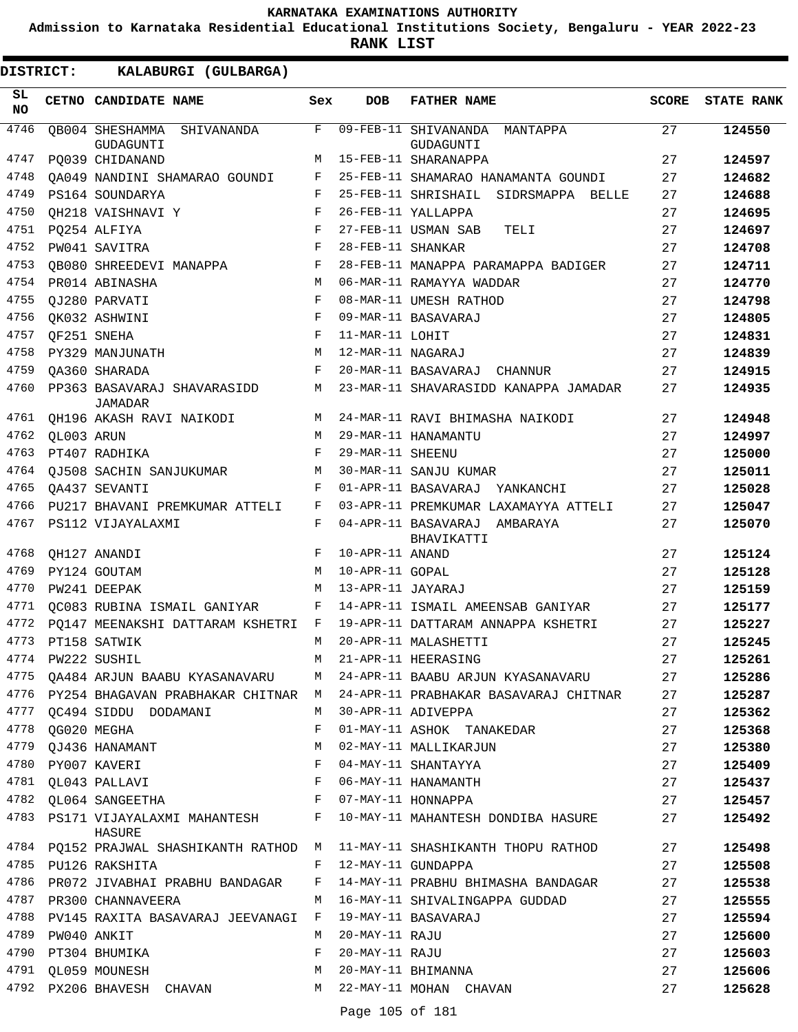**Admission to Karnataka Residential Educational Institutions Society, Bengaluru - YEAR 2022-23**

| DISTRICT:        |                  | KALABURGI (GULBARGA)                          |              |                   |                                               |              |                   |
|------------------|------------------|-----------------------------------------------|--------------|-------------------|-----------------------------------------------|--------------|-------------------|
| SL.<br><b>NO</b> |                  | CETNO CANDIDATE NAME                          | Sex          | <b>DOB</b>        | <b>FATHER NAME</b>                            | <b>SCORE</b> | <b>STATE RANK</b> |
| 4746             |                  | QB004 SHESHAMMA SHIVANANDA<br>GUDAGUNTI       | F            |                   | 09-FEB-11 SHIVANANDA<br>MANTAPPA<br>GUDAGUNTI | 27           | 124550            |
| 4747             |                  | PQ039 CHIDANAND                               | M            |                   | 15-FEB-11 SHARANAPPA                          | 27           | 124597            |
| 4748             |                  | QA049 NANDINI SHAMARAO GOUNDI                 | F            |                   | 25-FEB-11 SHAMARAO HANAMANTA GOUNDI           | 27           | 124682            |
| 4749             |                  | PS164 SOUNDARYA                               | F            |                   | 25-FEB-11 SHRISHAIL SIDRSMAPPA BELLE          | 27           | 124688            |
| 4750             |                  | OH218 VAISHNAVI Y                             | F            |                   | 26-FEB-11 YALLAPPA                            | 27           | 124695            |
| 4751             |                  | PQ254 ALFIYA                                  | F            |                   | 27-FEB-11 USMAN SAB<br>TELI                   | 27           | 124697            |
| 4752             |                  | PW041 SAVITRA                                 | F            | 28-FEB-11 SHANKAR |                                               | 27           | 124708            |
| 4753             |                  | <b>OB080 SHREEDEVI MANAPPA</b>                | F            |                   | 28-FEB-11 MANAPPA PARAMAPPA BADIGER           | 27           | 124711            |
| 4754             |                  | PR014 ABINASHA                                | M            |                   | 06-MAR-11 RAMAYYA WADDAR                      | 27           | 124770            |
| 4755             |                  | QJ280 PARVATI                                 | F            |                   | 08-MAR-11 UMESH RATHOD                        | 27           | 124798            |
| 4756             |                  | QK032 ASHWINI                                 | F            |                   | 09-MAR-11 BASAVARAJ                           | 27           | 124805            |
| 4757             | QF251 SNEHA      |                                               | F            | 11-MAR-11 LOHIT   |                                               | 27           | 124831            |
| 4758             |                  | PY329 MANJUNATH                               | M            | 12-MAR-11 NAGARAJ |                                               | 27           | 124839            |
| 4759             |                  | OA360 SHARADA                                 | F            |                   | 20-MAR-11 BASAVARAJ CHANNUR                   | 27           | 124915            |
| 4760             |                  | PP363 BASAVARAJ SHAVARASIDD<br><b>JAMADAR</b> | М            |                   | 23-MAR-11 SHAVARASIDD KANAPPA JAMADAR         | 27           | 124935            |
| 4761             |                  | QH196 AKASH RAVI NAIKODI                      | M            |                   | 24-MAR-11 RAVI BHIMASHA NAIKODI               | 27           | 124948            |
| 4762             | QL003 ARUN       |                                               | M            |                   | 29-MAR-11 HANAMANTU                           | 27           | 124997            |
| 4763             |                  | PT407 RADHIKA                                 | F            | 29-MAR-11 SHEENU  |                                               | 27           | 125000            |
| 4764             |                  | OJ508 SACHIN SANJUKUMAR                       | M            |                   | 30-MAR-11 SANJU KUMAR                         | 27           | 125011            |
| 4765             |                  | OA437 SEVANTI                                 | F            |                   | 01-APR-11 BASAVARAJ YANKANCHI                 | 27           | 125028            |
| 4766             |                  | PU217 BHAVANI PREMKUMAR ATTELI                | F            |                   | 03-APR-11 PREMKUMAR LAXAMAYYA ATTELI          | 27           | 125047            |
| 4767             |                  | PS112 VIJAYALAXMI                             | F            |                   | 04-APR-11 BASAVARAJ AMBARAYA<br>BHAVIKATTI    | 27           | 125070            |
| 4768             |                  | OH127 ANANDI                                  | F            | 10-APR-11 ANAND   |                                               | 27           | 125124            |
| 4769             |                  | PY124 GOUTAM                                  | М            | 10-APR-11 GOPAL   |                                               | 27           | 125128            |
| 4770             |                  | PW241 DEEPAK                                  | M            | 13-APR-11 JAYARAJ |                                               | 27           | 125159            |
| 4771             |                  | QC083 RUBINA ISMAIL GANIYAR                   | F            |                   | 14-APR-11 ISMAIL AMEENSAB GANIYAR             | 27           | 125177            |
| 4772             |                  | PO147 MEENAKSHI DATTARAM KSHETRI              | F            |                   | 19-APR-11 DATTARAM ANNAPPA KSHETRI            | 27           | 125227            |
| 4773             |                  | PT158 SATWIK                                  | M            |                   | 20-APR-11 MALASHETTI                          | 27           | 125245            |
|                  |                  | 4774 PW222 SUSHIL                             | M            |                   | 21-APR-11 HEERASING                           | 27           | 125261            |
|                  |                  | 4775 QA484 ARJUN BAABU KYASANAVARU M          |              |                   | 24-APR-11 BAABU ARJUN KYASANAVARU             | 27           | 125286            |
|                  |                  | 4776 PY254 BHAGAVAN PRABHAKAR CHITNAR M       |              |                   | 24-APR-11 PRABHAKAR BASAVARAJ CHITNAR         | 27           | 125287            |
|                  |                  | 4777 QC494 SIDDU DODAMANI                     | M            |                   | 30-APR-11 ADIVEPPA                            | 27           | 125362            |
|                  | 4778 QG020 MEGHA |                                               | F            |                   | 01-MAY-11 ASHOK TANAKEDAR                     | 27           | 125368            |
| 4779             |                  | QJ436 HANAMANT                                | М            |                   | 02-MAY-11 MALLIKARJUN                         | 27           | 125380            |
| 4780             |                  | PY007 KAVERI                                  | $\mathbf{F}$ |                   | 04-MAY-11 SHANTAYYA                           | 27           | 125409            |
|                  |                  | 4781 QL043 PALLAVI                            | $\mathbf{F}$ |                   | 06-MAY-11 HANAMANTH                           | 27           | 125437            |
|                  |                  | 4782 QL064 SANGEETHA                          | $\mathbf{F}$ |                   | 07-MAY-11 HONNAPPA                            | 27           | 125457            |
| 4783             |                  | PS171 VIJAYALAXMI MAHANTESH F<br>HASURE       |              |                   | 10-MAY-11 MAHANTESH DONDIBA HASURE            | 27           | 125492            |
|                  |                  | 4784 PQ152 PRAJWAL SHASHIKANTH RATHOD M       |              |                   | 11-MAY-11 SHASHIKANTH THOPU RATHOD            | 27           | 125498            |
|                  |                  | 4785 PU126 RAKSHITA                           | F            |                   | 12-MAY-11 GUNDAPPA                            | 27           | 125508            |
| 4786             |                  | PR072 JIVABHAI PRABHU BANDAGAR F              |              |                   | 14-MAY-11 PRABHU BHIMASHA BANDAGAR            | 27           | 125538            |
|                  |                  | 4787 PR300 CHANNAVEERA                        | M            |                   | 16-MAY-11 SHIVALINGAPPA GUDDAD                | 27           | 125555            |
| 4788             |                  | PV145 RAXITA BASAVARAJ JEEVANAGI F            |              |                   | 19-MAY-11 BASAVARAJ                           | 27           | 125594            |
| 4789             |                  | PW040 ANKIT                                   | M            | 20-MAY-11 RAJU    |                                               | 27           | 125600            |
| 4790             |                  | PT304 BHUMIKA                                 | F            | 20-MAY-11 RAJU    |                                               | 27           | 125603            |
|                  |                  | 4791 QL059 MOUNESH                            | М            |                   | 20-MAY-11 BHIMANNA                            | 27           | 125606            |
|                  |                  | 4792 PX206 BHAVESH CHAVAN                     |              |                   | M 22-MAY-11 MOHAN CHAVAN                      | 27           | 125628            |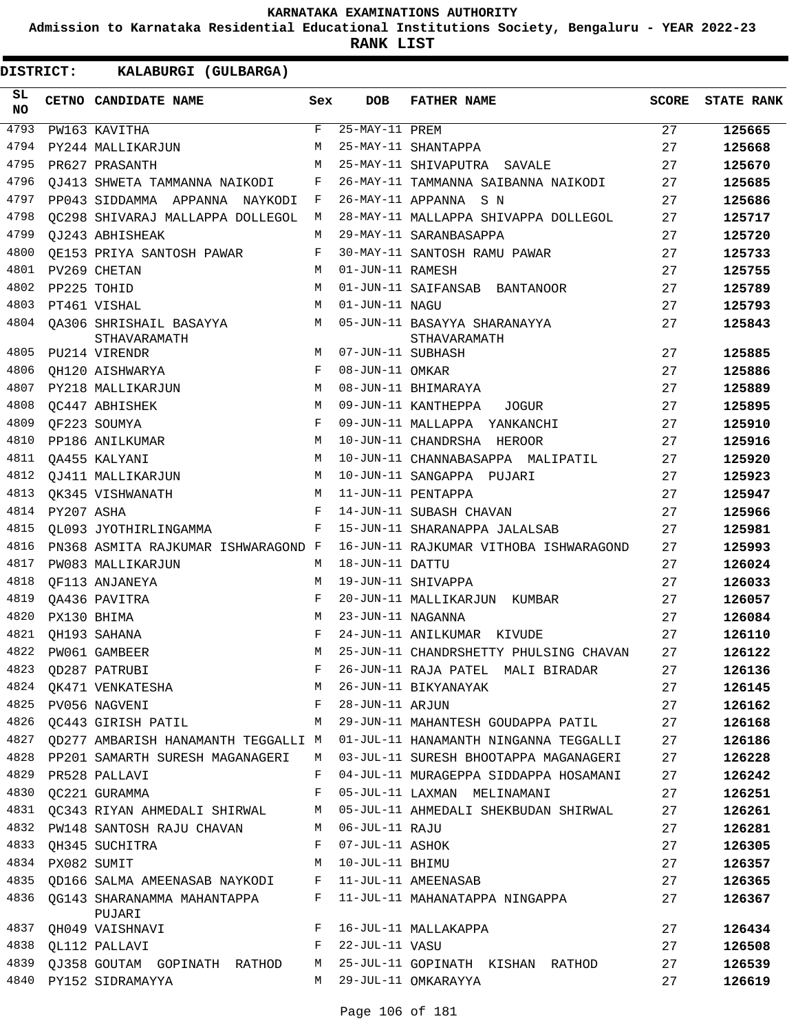**Admission to Karnataka Residential Educational Institutions Society, Bengaluru - YEAR 2022-23**

**RANK LIST**

| SL<br><b>NO</b> |            | CETNO CANDIDATE NAME                    | Sex          | <b>DOB</b>        | <b>FATHER NAME</b>                           | <b>SCORE</b> | <b>STATE RANK</b> |
|-----------------|------------|-----------------------------------------|--------------|-------------------|----------------------------------------------|--------------|-------------------|
| 4793            |            | PW163 KAVITHA                           | $\mathbf{F}$ | 25-MAY-11 PREM    |                                              | 27           | 125665            |
| 4794            |            | PY244 MALLIKARJUN                       | M            |                   | 25-MAY-11 SHANTAPPA                          | 27           | 125668            |
| 4795            |            | PR627 PRASANTH                          | M            |                   | 25-MAY-11 SHIVAPUTRA SAVALE                  | 27           | 125670            |
| 4796            |            | OJ413 SHWETA TAMMANNA NAIKODI           | F            |                   | 26-MAY-11 TAMMANNA SAIBANNA NAIKODI          | 27           | 125685            |
| 4797            |            | PP043 SIDDAMMA APPANNA NAYKODI          | F            |                   | 26-MAY-11 APPANNA S N                        | 27           | 125686            |
| 4798            |            | OC298 SHIVARAJ MALLAPPA DOLLEGOL        | M            |                   | 28-MAY-11 MALLAPPA SHIVAPPA DOLLEGOL         | 27           | 125717            |
| 4799            |            | OJ243 ABHISHEAK                         | М            |                   | 29-MAY-11 SARANBASAPPA                       | 27           | 125720            |
| 4800            |            | OE153 PRIYA SANTOSH PAWAR               | F            |                   | 30-MAY-11 SANTOSH RAMU PAWAR                 | 27           | 125733            |
| 4801            |            | PV269 CHETAN                            | M            | 01-JUN-11 RAMESH  |                                              | 27           | 125755            |
| 4802            |            | PP225 TOHID                             | M            |                   | 01-JUN-11 SAIFANSAB BANTANOOR                | 27           | 125789            |
| 4803            |            | PT461 VISHAL                            | M            | 01-JUN-11 NAGU    |                                              | 27           | 125793            |
| 4804            |            | QA306 SHRISHAIL BASAYYA<br>STHAVARAMATH | M            |                   | 05-JUN-11 BASAYYA SHARANAYYA<br>STHAVARAMATH | 27           | 125843            |
| 4805            |            | PU214 VIRENDR                           | M            | 07-JUN-11 SUBHASH |                                              | 27           | 125885            |
| 4806            |            | OH120 AISHWARYA                         | F            | 08-JUN-11 OMKAR   |                                              | 27           | 125886            |
| 4807            |            | PY218 MALLIKARJUN                       | M            |                   | 08-JUN-11 BHIMARAYA                          | 27           | 125889            |
| 4808            |            | OC447 ABHISHEK                          | M            |                   | 09-JUN-11 KANTHEPPA<br>JOGUR                 | 27           | 125895            |
| 4809            |            | OF223 SOUMYA                            | F            |                   | 09-JUN-11 MALLAPPA YANKANCHI                 | 27           | 125910            |
| 4810            |            | PP186 ANILKUMAR                         | M            |                   | 10-JUN-11 CHANDRSHA HEROOR                   | 27           | 125916            |
| 4811            |            | OA455 KALYANI                           | M            |                   | 10-JUN-11 CHANNABASAPPA MALIPATIL            | 27           | 125920            |
| 4812            |            | OJ411 MALLIKARJUN                       | M            |                   | 10-JUN-11 SANGAPPA PUJARI                    | 27           | 125923            |
| 4813            |            | OK345 VISHWANATH                        | M            |                   | 11-JUN-11 PENTAPPA                           | 27           | 125947            |
| 4814            | PY207 ASHA |                                         | F            |                   | 14-JUN-11 SUBASH CHAVAN                      | 27           | 125966            |
| 4815            |            | OL093 JYOTHIRLINGAMMA                   | F            |                   | 15-JUN-11 SHARANAPPA JALALSAB                | 27           | 125981            |
| 4816            |            | PN368 ASMITA RAJKUMAR ISHWARAGOND F     |              |                   | 16-JUN-11 RAJKUMAR VITHOBA ISHWARAGOND       | 27           | 125993            |
| 4817            |            | PW083 MALLIKARJUN                       | M            | 18-JUN-11 DATTU   |                                              | 27           | 126024            |
| 4818            |            | OF113 ANJANEYA                          | M            |                   | 19-JUN-11 SHIVAPPA                           | 27           | 126033            |
| 4819            |            | OA436 PAVITRA                           | F            |                   | 20-JUN-11 MALLIKARJUN KUMBAR                 | 27           | 126057            |
| 4820            |            | PX130 BHIMA                             | M            | 23-JUN-11 NAGANNA |                                              | 27           | 126084            |
| 4821            |            | OH193 SAHANA                            | F            |                   | 24-JUN-11 ANILKUMAR KIVUDE                   | 27           | 126110            |
| 4822            |            | PW061 GAMBEER                           | M            |                   | 25-JUN-11 CHANDRSHETTY PHULSING CHAVAN       | 27           | 126122            |
| 4823            |            | QD287 PATRUBI                           | F            |                   | 26-JUN-11 RAJA PATEL MALI BIRADAR            | 27           | 126136            |
| 4824            |            | QK471 VENKATESHA                        | М            |                   | 26-JUN-11 BIKYANAYAK                         | 27           | 126145            |
| 4825            |            | PV056 NAGVENI                           | F            | 28-JUN-11 ARJUN   |                                              | 27           | 126162            |
| 4826            |            | QC443 GIRISH PATIL                      | M            |                   | 29-JUN-11 MAHANTESH GOUDAPPA PATIL           | 27           | 126168            |
| 4827            |            | QD277 AMBARISH HANAMANTH TEGGALLI M     |              |                   | 01-JUL-11 HANAMANTH NINGANNA TEGGALLI        | 27           | 126186            |
| 4828            |            | PP201 SAMARTH SURESH MAGANAGERI         | M            |                   | 03-JUL-11 SURESH BHOOTAPPA MAGANAGERI        | 27           | 126228            |
| 4829            |            | PR528 PALLAVI                           | F            |                   | 04-JUL-11 MURAGEPPA SIDDAPPA HOSAMANI        | 27           | 126242            |
| 4830            |            | OC221 GURAMMA                           | F            |                   | 05-JUL-11 LAXMAN MELINAMANI                  | 27           | 126251            |
| 4831            |            | QC343 RIYAN AHMEDALI SHIRWAL            | М            |                   | 05-JUL-11 AHMEDALI SHEKBUDAN SHIRWAL         | 27           | 126261            |
| 4832            |            | PW148 SANTOSH RAJU CHAVAN               | М            | 06-JUL-11 RAJU    |                                              | 27           | 126281            |
| 4833            |            | OH345 SUCHITRA                          | F            | 07-JUL-11 ASHOK   |                                              | 27           | 126305            |
| 4834            |            | PX082 SUMIT                             | М            | 10-JUL-11 BHIMU   |                                              | 27           | 126357            |
| 4835            |            | OD166 SALMA AMEENASAB NAYKODI           | F            |                   | 11-JUL-11 AMEENASAB                          | 27           | 126365            |
| 4836            |            | OG143 SHARANAMMA MAHANTAPPA<br>PUJARI   | F            |                   | 11-JUL-11 MAHANATAPPA NINGAPPA               | 27           | 126367            |
| 4837            |            | QH049 VAISHNAVI                         | F            |                   | 16-JUL-11 MALLAKAPPA                         | 27           | 126434            |
| 4838            |            | OL112 PALLAVI                           | F            | 22-JUL-11 VASU    |                                              | 27           | 126508            |
| 4839            |            | QJ358 GOUTAM GOPINATH RATHOD            | M            |                   | 25-JUL-11 GOPINATH KISHAN RATHOD             | 27           | 126539            |
| 4840            |            | PY152 SIDRAMAYYA                        | M            |                   | 29-JUL-11 OMKARAYYA                          | 27           | 126619            |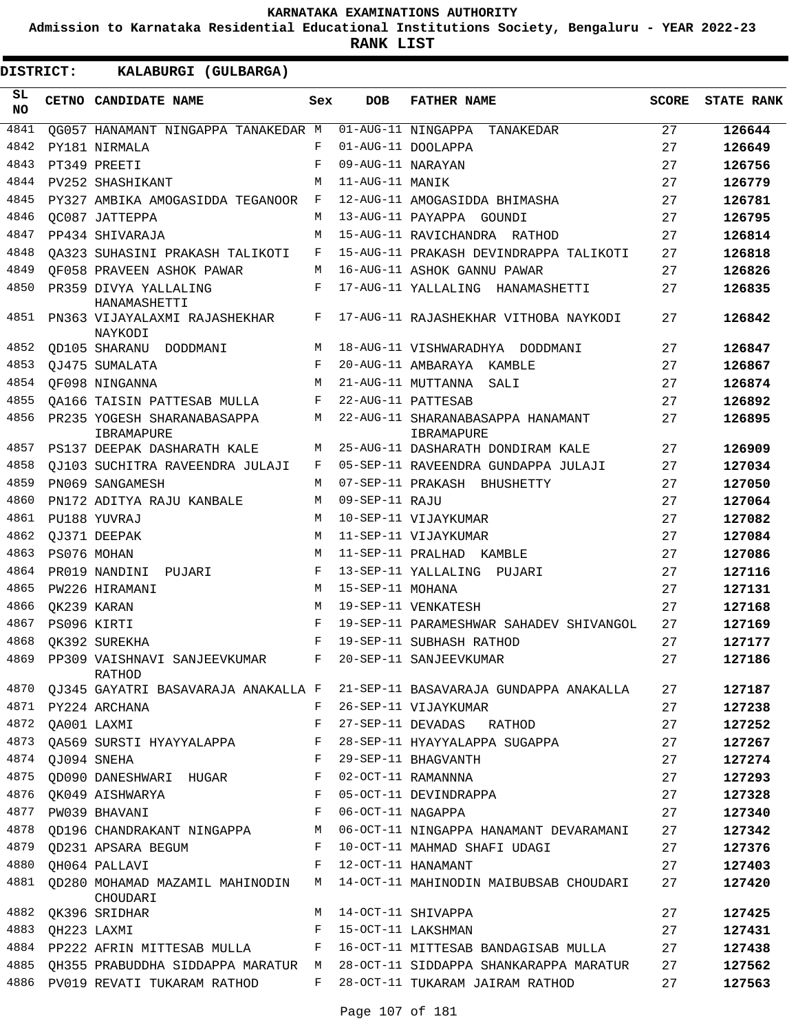**Admission to Karnataka Residential Educational Institutions Society, Bengaluru - YEAR 2022-23**

**RANK LIST**

| SL<br><b>NO</b> |             | CETNO CANDIDATE NAME                        | Sex | <b>DOB</b>        | <b>FATHER NAME</b>                              | <b>SCORE</b> | <b>STATE RANK</b> |
|-----------------|-------------|---------------------------------------------|-----|-------------------|-------------------------------------------------|--------------|-------------------|
| 4841            |             | OG057 HANAMANT NINGAPPA TANAKEDAR M         |     |                   | 01-AUG-11 NINGAPPA<br>TANAKEDAR                 | 27           | 126644            |
| 4842            |             | PY181 NIRMALA                               | F   |                   | 01-AUG-11 DOOLAPPA                              | 27           | 126649            |
| 4843            |             | PT349 PREETI                                | F   | 09-AUG-11 NARAYAN |                                                 | 27           | 126756            |
| 4844            |             | <b>PV252 SHASHIKANT</b>                     | М   | 11-AUG-11 MANIK   |                                                 | 27           | 126779            |
| 4845            |             | PY327 AMBIKA AMOGASIDDA TEGANOOR            | F   |                   | 12-AUG-11 AMOGASIDDA BHIMASHA                   | 27           | 126781            |
| 4846            |             | OC087 JATTEPPA                              | М   |                   | 13-AUG-11 PAYAPPA GOUNDI                        | 27           | 126795            |
| 4847            |             | PP434 SHIVARAJA                             | M   |                   | 15-AUG-11 RAVICHANDRA RATHOD                    | 27           | 126814            |
| 4848            |             | OA323 SUHASINI PRAKASH TALIKOTI             | F   |                   | 15-AUG-11 PRAKASH DEVINDRAPPA TALIKOTI          | 27           | 126818            |
| 4849            |             | OF058 PRAVEEN ASHOK PAWAR                   | М   |                   | 16-AUG-11 ASHOK GANNU PAWAR                     | 27           | 126826            |
| 4850            |             | PR359 DIVYA YALLALING<br>HANAMASHETTI       | F   |                   | 17-AUG-11 YALLALING HANAMASHETTI                | 27           | 126835            |
| 4851            |             | PN363 VIJAYALAXMI RAJASHEKHAR<br>NAYKODI    | F   |                   | 17-AUG-11 RAJASHEKHAR VITHOBA NAYKODI           | 27           | 126842            |
| 4852            |             | OD105 SHARANU DODDMANI                      | М   |                   | 18-AUG-11 VISHWARADHYA DODDMANI                 | 27           | 126847            |
| 4853            |             | OJ475 SUMALATA                              | F   |                   | 20-AUG-11 AMBARAYA KAMBLE                       | 27           | 126867            |
| 4854            |             | OF098 NINGANNA                              | М   |                   | 21-AUG-11 MUTTANNA<br>SALI                      | 27           | 126874            |
| 4855            |             | OA166 TAISIN PATTESAB MULLA                 | F   |                   | 22-AUG-11 PATTESAB                              | 27           | 126892            |
| 4856            |             | PR235 YOGESH SHARANABASAPPA<br>IBRAMAPURE   | М   |                   | 22-AUG-11 SHARANABASAPPA HANAMANT<br>IBRAMAPURE | 27           | 126895            |
| 4857            |             | PS137 DEEPAK DASHARATH KALE                 | М   |                   | 25-AUG-11 DASHARATH DONDIRAM KALE               | 27           | 126909            |
| 4858            |             | OJ103 SUCHITRA RAVEENDRA JULAJI             | F   |                   | 05-SEP-11 RAVEENDRA GUNDAPPA JULAJI             | 27           | 127034            |
| 4859            |             | PN069 SANGAMESH                             | М   |                   | 07-SEP-11 PRAKASH BHUSHETTY                     | 27           | 127050            |
| 4860            |             | PN172 ADITYA RAJU KANBALE                   | М   | 09-SEP-11 RAJU    |                                                 | 27           | 127064            |
| 4861            |             | PU188 YUVRAJ                                | M   |                   | 10-SEP-11 VIJAYKUMAR                            | 27           | 127082            |
| 4862            |             | OJ371 DEEPAK                                | М   |                   | 11-SEP-11 VIJAYKUMAR                            | 27           | 127084            |
| 4863            |             | PS076 MOHAN                                 | М   |                   | 11-SEP-11 PRALHAD KAMBLE                        | 27           | 127086            |
| 4864            |             | PR019 NANDINI<br>PUJARI                     | F   |                   | 13-SEP-11 YALLALING PUJARI                      | 27           | 127116            |
| 4865            |             | PW226 HIRAMANI                              | M   | 15-SEP-11 MOHANA  |                                                 | 27           | 127131            |
| 4866            |             | OK239 KARAN                                 | М   |                   | 19-SEP-11 VENKATESH                             | 27           | 127168            |
| 4867            |             | PS096 KIRTI                                 | F   |                   | 19-SEP-11 PARAMESHWAR SAHADEV SHIVANGOL         | 27           | 127169            |
| 4868            |             | OK392 SUREKHA                               | F   |                   | 19-SEP-11 SUBHASH RATHOD                        | 27           | 127177            |
| 4869            |             | PP309 VAISHNAVI SANJEEVKUMAR<br>RATHOD      | F   |                   | 20-SEP-11 SANJEEVKUMAR                          | 27           | 127186            |
| 4870            |             | QJ345 GAYATRI BASAVARAJA ANAKALLA F         |     |                   | 21-SEP-11 BASAVARAJA GUNDAPPA ANAKALLA          | 27           | 127187            |
| 4871            |             | PY224 ARCHANA                               | F   |                   | 26-SEP-11 VIJAYKUMAR                            | 27           | 127238            |
| 4872            | OA001 LAXMI |                                             | F   | 27-SEP-11 DEVADAS | RATHOD                                          | 27           | 127252            |
| 4873            |             | QA569 SURSTI HYAYYALAPPA                    | F   |                   | 28-SEP-11 HYAYYALAPPA SUGAPPA                   | 27           | 127267            |
| 4874            |             | QJ094 SNEHA                                 | F   |                   | 29-SEP-11 BHAGVANTH                             | 27           | 127274            |
| 4875            |             | QD090 DANESHWARI HUGAR                      | F   |                   | 02-OCT-11 RAMANNNA                              | 27           | 127293            |
| 4876            |             | QK049 AISHWARYA                             | F   |                   | 05-OCT-11 DEVINDRAPPA                           | 27           | 127328            |
| 4877            |             | PW039 BHAVANI                               | F   | 06-OCT-11 NAGAPPA |                                                 | 27           | 127340            |
| 4878            |             | QD196 CHANDRAKANT NINGAPPA                  | M   |                   | 06-OCT-11 NINGAPPA HANAMANT DEVARAMANI          | 27           | 127342            |
| 4879            |             | QD231 APSARA BEGUM                          | F   |                   | 10-OCT-11 MAHMAD SHAFI UDAGI                    | 27           | 127376            |
| 4880            |             | QH064 PALLAVI                               | F   |                   | 12-OCT-11 HANAMANT                              | 27           | 127403            |
| 4881            |             | QD280 MOHAMAD MAZAMIL MAHINODIN<br>CHOUDARI | M   |                   | 14-OCT-11 MAHINODIN MAIBUBSAB CHOUDARI          | 27           | 127420            |
| 4882            |             | QK396 SRIDHAR                               | M   |                   | 14-OCT-11 SHIVAPPA                              | 27           | 127425            |
| 4883            |             | OH223 LAXMI                                 | F   |                   | 15-OCT-11 LAKSHMAN                              | 27           | 127431            |
| 4884            |             | PP222 AFRIN MITTESAB MULLA                  | F   |                   | 16-OCT-11 MITTESAB BANDAGISAB MULLA             | 27           | 127438            |
| 4885            |             | QH355 PRABUDDHA SIDDAPPA MARATUR M          |     |                   | 28-OCT-11 SIDDAPPA SHANKARAPPA MARATUR          | 27           | 127562            |
|                 |             | 4886 PV019 REVATI TUKARAM RATHOD            | F   |                   | 28-OCT-11 TUKARAM JAIRAM RATHOD                 | 27           | 127563            |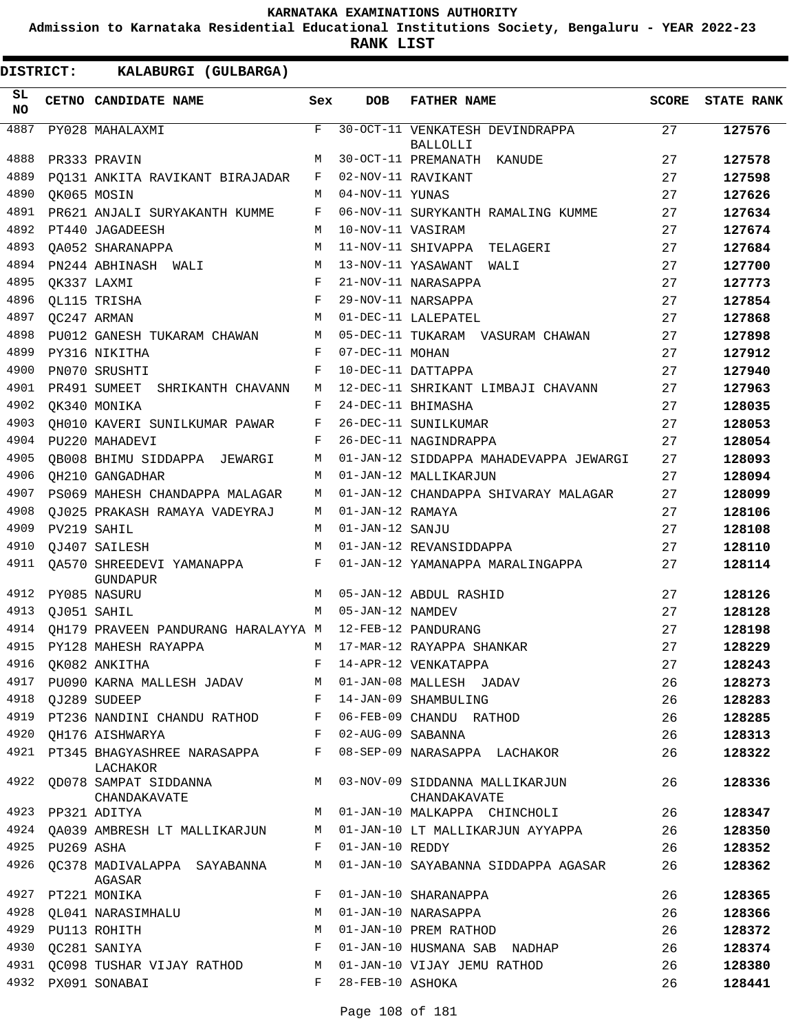**Admission to Karnataka Residential Educational Institutions Society, Bengaluru - YEAR 2022-23**

**RANK LIST**

| SL<br>NO |                 | CETNO CANDIDATE NAME                                                        | Sex | <b>DOB</b>        | <b>FATHER NAME</b>                                                    | <b>SCORE</b> | <b>STATE RANK</b> |
|----------|-----------------|-----------------------------------------------------------------------------|-----|-------------------|-----------------------------------------------------------------------|--------------|-------------------|
| 4887     |                 | PY028 MAHALAXMI                                                             | F   |                   | 30-OCT-11 VENKATESH DEVINDRAPPA                                       | 27           | 127576            |
|          |                 |                                                                             |     |                   | BALLOLLI                                                              |              |                   |
| 4888     |                 | PR333 PRAVIN                                                                | М   |                   | 30-OCT-11 PREMANATH KANUDE                                            | 27           | 127578            |
| 4889     |                 | PQ131 ANKITA RAVIKANT BIRAJADAR                                             | F   |                   | 02-NOV-11 RAVIKANT                                                    | 27           | 127598            |
| 4890     |                 | OK065 MOSIN                                                                 | М   | 04-NOV-11 YUNAS   |                                                                       | 27           | 127626            |
| 4891     |                 | PR621 ANJALI SURYAKANTH KUMME                                               | F   |                   | 06-NOV-11 SURYKANTH RAMALING KUMME                                    | 27           | 127634            |
| 4892     |                 | PT440 JAGADEESH                                                             | М   | 10-NOV-11 VASIRAM |                                                                       | 27           | 127674            |
| 4893     |                 | OA052 SHARANAPPA                                                            | М   |                   | 11-NOV-11 SHIVAPPA TELAGERI                                           | 27           | 127684            |
| 4894     |                 | PN244 ABHINASH WALI                                                         | М   |                   | 13-NOV-11 YASAWANT WALI                                               | 27           | 127700            |
| 4895     | OK337 LAXMI     |                                                                             | F   |                   | 21-NOV-11 NARASAPPA                                                   | 27           | 127773            |
| 4896     |                 | OL115 TRISHA                                                                | F   |                   | 29-NOV-11 NARSAPPA                                                    | 27           | 127854            |
| 4897     |                 | OC247 ARMAN                                                                 | М   |                   | 01-DEC-11 LALEPATEL                                                   | 27           | 127868            |
| 4898     |                 | PU012 GANESH TUKARAM CHAWAN                                                 | М   |                   | 05-DEC-11 TUKARAM VASURAM CHAWAN                                      | 27           | 127898            |
| 4899     |                 | PY316 NIKITHA                                                               | F   | 07-DEC-11 MOHAN   |                                                                       | 27           | 127912            |
| 4900     |                 | PN070 SRUSHTI                                                               | F   |                   | 10-DEC-11 DATTAPPA                                                    | 27           | 127940            |
| 4901     |                 | PR491 SUMEET SHRIKANTH CHAVANN                                              | М   |                   | 12-DEC-11 SHRIKANT LIMBAJI CHAVANN                                    | 27           | 127963            |
| 4902     |                 | OK340 MONIKA                                                                | F   |                   | 24-DEC-11 BHIMASHA                                                    | 27           | 128035            |
| 4903     |                 | QH010 KAVERI SUNILKUMAR PAWAR                                               | F   |                   | 26-DEC-11 SUNILKUMAR                                                  | 27           | 128053            |
| 4904     |                 | PU220 MAHADEVI                                                              | F   |                   | 26-DEC-11 NAGINDRAPPA                                                 | 27           | 128054            |
| 4905     |                 | OB008 BHIMU SIDDAPPA JEWARGI                                                | М   |                   | 01-JAN-12 SIDDAPPA MAHADEVAPPA JEWARGI                                | 27           | 128093            |
| 4906     |                 | OH210 GANGADHAR                                                             | М   |                   | 01-JAN-12 MALLIKARJUN                                                 | 27           | 128094            |
| 4907     |                 | PS069 MAHESH CHANDAPPA MALAGAR                                              | М   |                   | 01-JAN-12 CHANDAPPA SHIVARAY MALAGAR                                  | 27           | 128099            |
| 4908     |                 | OJ025 PRAKASH RAMAYA VADEYRAJ                                               | М   | 01-JAN-12 RAMAYA  |                                                                       | 27           | 128106            |
| 4909     |                 | PV219 SAHIL                                                                 | М   | 01-JAN-12 SANJU   |                                                                       | 27           | 128108            |
| 4910     |                 | OJ407 SAILESH                                                               | М   |                   | 01-JAN-12 REVANSIDDAPPA                                               | 27           | 128110            |
| 4911     |                 | QA570 SHREEDEVI YAMANAPPA<br><b>GUNDAPUR</b>                                | F   |                   | 01-JAN-12 YAMANAPPA MARALINGAPPA                                      | 27           | 128114            |
| 4912     |                 | PY085 NASURU                                                                | М   |                   | 05-JAN-12 ABDUL RASHID                                                | 27           | 128126            |
| 4913     | QJ051 SAHIL     |                                                                             | M   | 05-JAN-12 NAMDEV  |                                                                       | 27           | 128128            |
| 4914     |                 | OH179 PRAVEEN PANDURANG HARALAYYA M 12-FEB-12 PANDURANG                     |     |                   |                                                                       | 27           | 128198            |
| 4915     |                 | PY128 MAHESH RAYAPPA                                                        |     |                   | M 17-MAR-12 RAYAPPA SHANKAR                                           | 27           | 128229            |
|          |                 | 4916 QK082 ANKITHA                                                          |     |                   | F 14-APR-12 VENKATAPPA                                                | 27           | 128243            |
|          |                 | 4917 PU090 KARNA MALLESH JADAV M 01-JAN-08 MALLESH JADAV                    |     |                   |                                                                       | 26           | 128273            |
|          |                 | 4918 QJ289 SUDEEP                                                           |     |                   | F 14-JAN-09 SHAMBULING                                                | 26           | 128283            |
| 4919     |                 |                                                                             |     |                   | PT236 NANDINI CHANDU RATHOD F 06-FEB-09 CHANDU RATHOD                 | 26           | 128285            |
|          |                 | 4920 QH176 AISHWARYA<br>$\mathbf{F}$                                        |     | 02-AUG-09 SABANNA |                                                                       | 26           | 128313            |
|          |                 | 4921 PT345 BHAGYASHREE NARASAPPA F 08-SEP-09 NARASAPPA LACHAKOR<br>LACHAKOR |     |                   |                                                                       | 26           | 128322            |
| 4922     |                 | CHANDAKAVATE                                                                |     |                   | QD078 SAMPAT SIDDANNA MO3-NOV-09 SIDDANNA MALLIKARJUN<br>CHANDAKAVATE | 26           | 128336            |
|          |                 | 4923 PP321 ADITYA                                                           |     |                   | M 01-JAN-10 MALKAPPA CHINCHOLI                                        | 26           | 128347            |
|          |                 | 4924 QA039 AMBRESH LT MALLIKARJUN                                           | M   |                   | 01-JAN-10 LT MALLIKARJUN AYYAPPA                                      | 26           | 128350            |
|          | 4925 PU269 ASHA |                                                                             | F   | 01-JAN-10 REDDY   |                                                                       | 26           | 128352            |
| 4926     |                 | OC378 MADIVALAPPA SAYABANNA<br>AGASAR                                       | М   |                   | 01-JAN-10 SAYABANNA SIDDAPPA AGASAR                                   | 26           | 128362            |
|          |                 | 4927 PT221 MONIKA                                                           | F   |                   | 01-JAN-10 SHARANAPPA                                                  | 26           | 128365            |
| 4928     |                 | QL041 NARASIMHALU                                                           | М   |                   | 01-JAN-10 NARASAPPA                                                   | 26           | 128366            |
| 4929     |                 | PU113 ROHITH                                                                | М   |                   | 01-JAN-10 PREM RATHOD                                                 | 26           | 128372            |
|          |                 | 4930 QC281 SANIYA                                                           | F   |                   | 01-JAN-10 HUSMANA SAB NADHAP                                          | 26           | 128374            |
|          |                 | 4931 QC098 TUSHAR VIJAY RATHOD M                                            |     |                   | 01-JAN-10 VIJAY JEMU RATHOD                                           | 26           | 128380            |
| 4932     |                 | PX091 SONABAI                                                               | F   | 28-FEB-10 ASHOKA  |                                                                       | 26           | 128441            |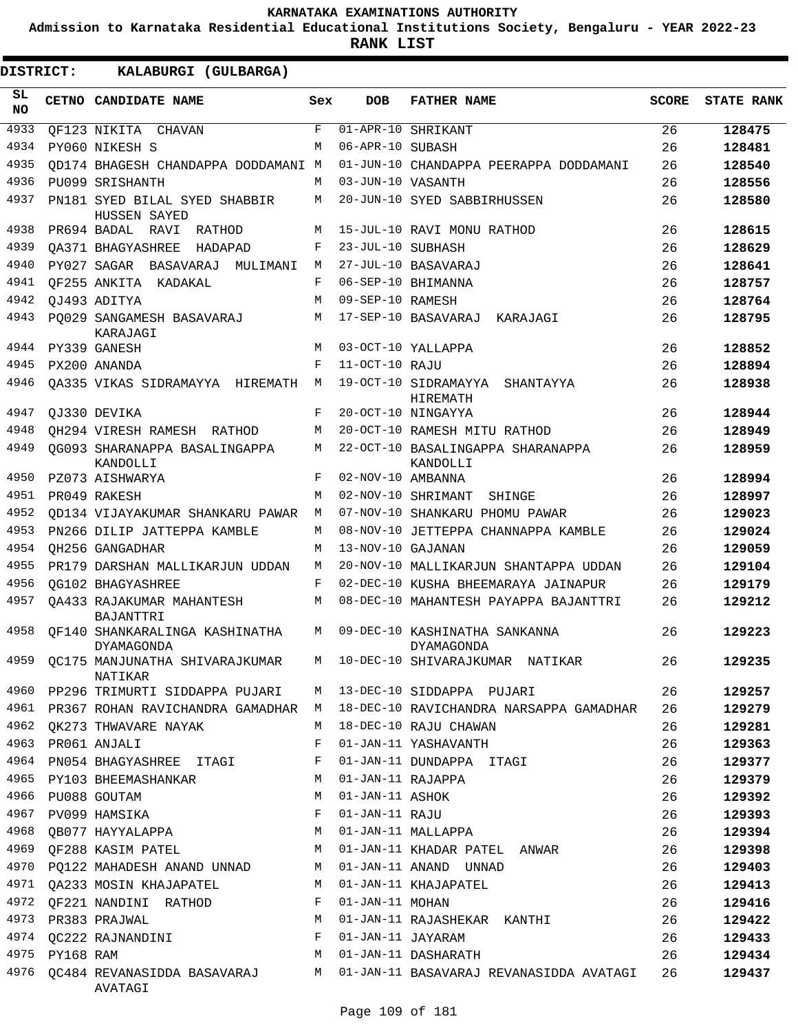**Admission to Karnataka Residential Educational Institutions Society, Bengaluru - YEAR 2022-23**

**RANK LIST**

| SL<br><b>NO</b> |                | CETNO CANDIDATE NAME                                | Sex          | <b>DOB</b>        | <b>FATHER NAME</b>                                                            | <b>SCORE</b> | <b>STATE RANK</b> |
|-----------------|----------------|-----------------------------------------------------|--------------|-------------------|-------------------------------------------------------------------------------|--------------|-------------------|
| 4933            |                | QF123 NIKITA CHAVAN                                 | $\mathbf{F}$ |                   | 01-APR-10 SHRIKANT                                                            | 26           | 128475            |
| 4934            |                | PY060 NIKESH S                                      | М            | 06-APR-10 SUBASH  |                                                                               | 26           | 128481            |
| 4935            |                | OD174 BHAGESH CHANDAPPA DODDAMANI M                 |              |                   | 01-JUN-10 CHANDAPPA PEERAPPA DODDAMANI                                        | 26           | 128540            |
| 4936            |                | PU099 SRISHANTH                                     | М            | 03-JUN-10 VASANTH |                                                                               | 26           | 128556            |
| 4937            |                | PN181 SYED BILAL SYED SHABBIR<br>HUSSEN SAYED       | М            |                   | 20-JUN-10 SYED SABBIRHUSSEN                                                   | 26           | 128580            |
| 4938            |                | PR694 BADAL RAVI<br>RATHOD                          | М            |                   | 15-JUL-10 RAVI MONU RATHOD                                                    | 26           | 128615            |
| 4939            |                | OA371 BHAGYASHREE<br>HADAPAD                        | F            | 23-JUL-10 SUBHASH |                                                                               | 26           | 128629            |
| 4940            |                | PY027 SAGAR BASAVARAJ<br>MULIMANI                   | М            |                   | 27-JUL-10 BASAVARAJ                                                           | 26           | 128641            |
| 4941            |                | OF255 ANKITA KADAKAL                                | F            |                   | 06-SEP-10 BHIMANNA                                                            | 26           | 128757            |
| 4942            |                | OJ493 ADITYA                                        | М            | 09-SEP-10 RAMESH  |                                                                               | 26           | 128764            |
| 4943            |                | PO029 SANGAMESH BASAVARAJ<br>KARAJAGI               | М            |                   | 17-SEP-10 BASAVARAJ<br>KARAJAGI                                               | 26           | 128795            |
| 4944            |                | PY339 GANESH                                        | М            |                   | 03-OCT-10 YALLAPPA                                                            | 26           | 128852            |
| 4945            |                | PX200 ANANDA                                        | F            | 11-OCT-10 RAJU    |                                                                               | 26           | 128894            |
| 4946            |                | OA335 VIKAS SIDRAMAYYA HIREMATH                     | М            |                   | 19-OCT-10 SIDRAMAYYA SHANTAYYA<br>HIREMATH                                    | 26           | 128938            |
| 4947            |                | OJ330 DEVIKA                                        | F            |                   | 20-OCT-10 NINGAYYA                                                            | 26           | 128944            |
| 4948            |                | QH294 VIRESH RAMESH RATHOD                          | М            |                   | 20-OCT-10 RAMESH MITU RATHOD                                                  | 26           | 128949            |
| 4949            |                | QG093 SHARANAPPA BASALINGAPPA<br>KANDOLLI           | М            |                   | 22-OCT-10 BASALINGAPPA SHARANAPPA<br>KANDOLLI                                 | 26           | 128959            |
| 4950            |                | PZ073 AISHWARYA                                     | F            | 02-NOV-10 AMBANNA |                                                                               | 26           | 128994            |
| 4951            |                | PR049 RAKESH                                        | М            |                   | 02-NOV-10 SHRIMANT<br>SHINGE                                                  | 26           | 128997            |
| 4952            |                | OD134 VIJAYAKUMAR SHANKARU PAWAR                    | М            |                   | 07-NOV-10 SHANKARU PHOMU PAWAR                                                | 26           | 129023            |
| 4953            |                | PN266 DILIP JATTEPPA KAMBLE                         | М            |                   | 08-NOV-10 JETTEPPA CHANNAPPA KAMBLE                                           | 26           | 129024            |
| 4954            |                | OH256 GANGADHAR                                     | М            | 13-NOV-10 GAJANAN |                                                                               | 26           | 129059            |
| 4955            |                | PR179 DARSHAN MALLIKARJUN UDDAN                     | М            |                   | 20-NOV-10 MALLIKARJUN SHANTAPPA UDDAN                                         | 26           | 129104            |
| 4956            |                | OG102 BHAGYASHREE                                   | F            |                   | 02-DEC-10 KUSHA BHEEMARAYA JAINAPUR                                           | 26           | 129179            |
| 4957            |                | OA433 RAJAKUMAR MAHANTESH<br>BAJANTTRI              | М            |                   | 08-DEC-10 MAHANTESH PAYAPPA BAJANTTRI                                         | 26           | 129212            |
| 4958            |                | OF140 SHANKARALINGA KASHINATHA<br><b>DYAMAGONDA</b> | M            |                   | 09-DEC-10 KASHINATHA SANKANNA<br>DYAMAGONDA                                   | 26           | 129223            |
| 4959            |                | QC175 MANJUNATHA SHIVARAJKUMAR<br>NATIKAR           | М            |                   | 10-DEC-10 SHIVARAJKUMAR NATIKAR                                               | 26           | 129235            |
|                 |                | 4960 PP296 TRIMURTI SIDDAPPA PUJARI                 |              |                   | M 13-DEC-10 SIDDAPPA PUJARI                                                   | 26           | 129257            |
|                 |                | 4961 PR367 ROHAN RAVICHANDRA GAMADHAR M             |              |                   | 18-DEC-10 RAVICHANDRA NARSAPPA GAMADHAR                                       | 26           | 129279            |
|                 |                | 4962 QK273 THWAVARE NAYAK                           | M            |                   | 18-DEC-10 RAJU CHAWAN                                                         | 26           | 129281            |
|                 |                | 4963 PR061 ANJALI                                   | F            |                   | 01-JAN-11 YASHAVANTH                                                          | 26           | 129363            |
|                 |                | 4964 PN054 BHAGYASHREE ITAGI                        | F            |                   | 01-JAN-11 DUNDAPPA ITAGI                                                      | 26           | 129377            |
| 4965            |                | PY103 BHEEMASHANKAR                                 | M            | 01-JAN-11 RAJAPPA |                                                                               | 26           | 129379            |
| 4966            |                | PU088 GOUTAM                                        | M            | 01-JAN-11 ASHOK   |                                                                               | 26           | 129392            |
|                 |                | 4967 PV099 HAMSIKA                                  | F            | 01-JAN-11 RAJU    |                                                                               | 26           | 129393            |
|                 |                | 4968 QB077 HAYYALAPPA                               | М            |                   | 01-JAN-11 MALLAPPA                                                            | 26           | 129394            |
|                 |                | 4969 QF288 KASIM PATEL                              | M            |                   | 01-JAN-11 KHADAR PATEL ANWAR                                                  | 26           | 129398            |
|                 |                | 4970 PQ122 MAHADESH ANAND UNNAD M                   |              |                   | 01-JAN-11 ANAND UNNAD                                                         | 26           | 129403            |
|                 |                | 4971 QA233 MOSIN KHAJAPATEL                         |              |                   | M 01-JAN-11 KHAJAPATEL                                                        | 26           | 129413            |
|                 |                | 4972 QF221 NANDINI RATHOD                           | F            | 01-JAN-11 MOHAN   |                                                                               | 26           | 129416            |
|                 |                | 4973 PR383 PRAJWAL                                  | М            |                   | 01-JAN-11 RAJASHEKAR KANTHI                                                   | 26           | 129422            |
|                 |                | 4974 QC222 RAJNANDINI                               | F            | 01-JAN-11 JAYARAM |                                                                               | 26           | 129433            |
|                 | 4975 PY168 RAM |                                                     | М            |                   | 01-JAN-11 DASHARATH                                                           | 26           | 129434            |
|                 |                | AVATAGI                                             |              |                   | 4976 QC484 REVANASIDDA BASAVARAJ M 01-JAN-11 BASAVARAJ REVANASIDDA AVATAGI 26 |              | 129437            |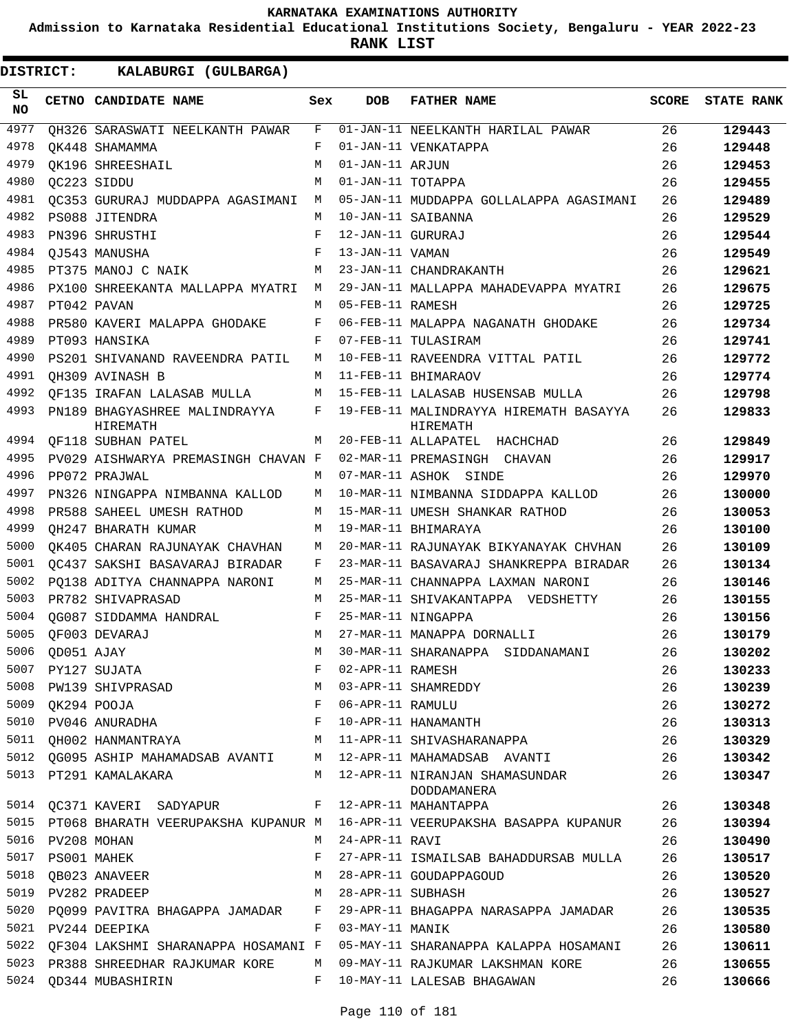**Admission to Karnataka Residential Educational Institutions Society, Bengaluru - YEAR 2022-23**

| <b>DISTRICT:</b> |                 | KALABURGI (GULBARGA)                                             |            |                   |                                                                                |              |                   |
|------------------|-----------------|------------------------------------------------------------------|------------|-------------------|--------------------------------------------------------------------------------|--------------|-------------------|
| SL<br><b>NO</b>  |                 | CETNO CANDIDATE NAME                                             | Sex        | DOB               | <b>FATHER NAME</b>                                                             | <b>SCORE</b> | <b>STATE RANK</b> |
| 4977             |                 | OH326 SARASWATI NEELKANTH PAWAR                                  | F          |                   | 01-JAN-11 NEELKANTH HARILAL PAWAR                                              | 26           | 129443            |
| 4978             |                 | OK448 SHAMAMMA                                                   | F          |                   | 01-JAN-11 VENKATAPPA                                                           | 26           | 129448            |
| 4979             |                 | OK196 SHREESHAIL                                                 | M          | 01-JAN-11 ARJUN   |                                                                                | 26           | 129453            |
| 4980             |                 | OC223 SIDDU                                                      | M          | 01-JAN-11 TOTAPPA |                                                                                | 26           | 129455            |
| 4981             |                 | OC353 GURURAJ MUDDAPPA AGASIMANI                                 | M          |                   | 05-JAN-11 MUDDAPPA GOLLALAPPA AGASIMANI                                        | 26           | 129489            |
| 4982             |                 | PS088 JITENDRA                                                   | M          |                   | 10-JAN-11 SAIBANNA                                                             | 26           | 129529            |
| 4983             |                 | PN396 SHRUSTHI                                                   | F          | 12-JAN-11 GURURAJ |                                                                                | 26           | 129544            |
| 4984             |                 | QJ543 MANUSHA                                                    | $_{\rm F}$ | 13-JAN-11 VAMAN   |                                                                                | 26           | 129549            |
| 4985             |                 | PT375 MANOJ C NAIK                                               | М          |                   | 23-JAN-11 CHANDRAKANTH                                                         | 26           | 129621            |
| 4986             |                 | PX100 SHREEKANTA MALLAPPA MYATRI                                 | M          |                   | 29-JAN-11 MALLAPPA MAHADEVAPPA MYATRI                                          | 26           | 129675            |
| 4987             |                 | PT042 PAVAN                                                      | M          | 05-FEB-11 RAMESH  |                                                                                | 26           | 129725            |
| 4988             |                 | PR580 KAVERI MALAPPA GHODAKE                                     | F          |                   | 06-FEB-11 MALAPPA NAGANATH GHODAKE                                             | 26           | 129734            |
| 4989             |                 | PT093 HANSIKA                                                    | F          |                   | 07-FEB-11 TULASIRAM                                                            | 26           | 129741            |
| 4990             |                 | PS201 SHIVANAND RAVEENDRA PATIL                                  | M          |                   | 10-FEB-11 RAVEENDRA VITTAL PATIL                                               | 26           | 129772            |
| 4991             |                 | OH309 AVINASH B                                                  | M          |                   | 11-FEB-11 BHIMARAOV                                                            | 26           | 129774            |
| 4992             |                 | OF135 IRAFAN LALASAB MULLA                                       | М          |                   | 15-FEB-11 LALASAB HUSENSAB MULLA                                               | 26           | 129798            |
| 4993             |                 | PN189 BHAGYASHREE MALINDRAYYA<br>HIREMATH                        | F          |                   | 19-FEB-11 MALINDRAYYA HIREMATH BASAYYA<br>HIREMATH                             | 26           | 129833            |
| 4994             |                 | OF118 SUBHAN PATEL                                               | M          |                   | 20-FEB-11 ALLAPATEL HACHCHAD                                                   | 26           | 129849            |
| 4995             |                 | PV029 AISHWARYA PREMASINGH CHAVAN F                              |            |                   | 02-MAR-11 PREMASINGH CHAVAN                                                    | 26           | 129917            |
| 4996             |                 | PP072 PRAJWAL                                                    | M          |                   | 07-MAR-11 ASHOK SINDE                                                          | 26           | 129970            |
| 4997             |                 | PN326 NINGAPPA NIMBANNA KALLOD                                   | M          |                   | 10-MAR-11 NIMBANNA SIDDAPPA KALLOD                                             | 26           | 130000            |
| 4998             |                 | PR588 SAHEEL UMESH RATHOD                                        | M          |                   | 15-MAR-11 UMESH SHANKAR RATHOD                                                 | 26           | 130053            |
| 4999             |                 | OH247 BHARATH KUMAR                                              | M          |                   | 19-MAR-11 BHIMARAYA                                                            | 26           | 130100            |
| 5000             |                 | OK405 CHARAN RAJUNAYAK CHAVHAN                                   | М          |                   | 20-MAR-11 RAJUNAYAK BIKYANAYAK CHVHAN                                          | 26           | 130109            |
| 5001             |                 | OC437 SAKSHI BASAVARAJ BIRADAR                                   | F          |                   | 23-MAR-11 BASAVARAJ SHANKREPPA BIRADAR                                         | 26           | 130134            |
| 5002             |                 | PO138 ADITYA CHANNAPPA NARONI                                    | M          |                   | 25-MAR-11 CHANNAPPA LAXMAN NARONI                                              | 26           | 130146            |
| 5003             |                 | PR782 SHIVAPRASAD                                                | M          |                   | 25-MAR-11 SHIVAKANTAPPA VEDSHETTY                                              | 26           | 130155            |
| 5004             |                 | OG087 SIDDAMMA HANDRAL                                           | F          |                   | 25-MAR-11 NINGAPPA                                                             | 26           | 130156            |
|                  |                 | 5005 QF003 DEVARAJ                                               | м          |                   | 27-MAR-11 MANAPPA DORNALLI                                                     | 26           | 130179            |
|                  | 5006 QD051 AJAY |                                                                  |            |                   | M 30-MAR-11 SHARANAPPA SIDDANAMANI                                             | 26           | 130202            |
| 5007             |                 | PY127 SUJATA                                                     | F          | 02-APR-11 RAMESH  |                                                                                | 26           | 130233            |
| 5008             |                 | PW139 SHIVPRASAD                                                 | M          |                   | 03-APR-11 SHAMREDDY                                                            | 26           | 130239            |
| 5009             |                 | OK294 POOJA                                                      | F          | 06-APR-11 RAMULU  |                                                                                | 26           | 130272            |
| 5010             |                 | PV046 ANURADHA                                                   | F          |                   | 10-APR-11 HANAMANTH                                                            | 26           | 130313            |
| 5011             |                 | QH002 HANMANTRAYA M                                              |            |                   | 11-APR-11 SHIVASHARANAPPA                                                      | 26           | 130329            |
|                  |                 | 5012 QG095 ASHIP MAHAMADSAB AVANTI M 12-APR-11 MAHAMADSAB AVANTI |            |                   |                                                                                | 26           | 130342            |
|                  |                 | 5013 PT291 KAMALAKARA                                            |            |                   | M 12-APR-11 NIRANJAN SHAMASUNDAR<br>DODDAMANERA                                | 26           | 130347            |
|                  |                 | 5014 QC371 KAVERI SADYAPUR F 12-APR-11 MAHANTAPPA                |            |                   |                                                                                | 26           | 130348            |
|                  |                 |                                                                  |            |                   | 5015 PT068 BHARATH VEERUPAKSHA KUPANUR M 16-APR-11 VEERUPAKSHA BASAPPA KUPANUR | 26           | 130394            |
| 5016             |                 | PV208 MOHAN                                                      |            | M 24-APR-11 RAVI  |                                                                                | 26           | 130490            |
| 5017             |                 | PS001 MAHEK                                                      | F          |                   | 27-APR-11 ISMAILSAB BAHADDURSAB MULLA                                          | 26           | 130517            |
| 5018             |                 | QB023 ANAVEER                                                    | M          |                   | 28-APR-11 GOUDAPPAGOUD                                                         | 26           | 130520            |
|                  |                 | 5019 PV282 PRADEEP                                               | M          | 28-APR-11 SUBHASH |                                                                                | 26           | 130527            |
| 5020             |                 |                                                                  |            |                   | PQ099 PAVITRA BHAGAPPA JAMADAR     F   29-APR-11 BHAGAPPA NARASAPPA JAMADAR    | 26           | 130535            |
| 5021             |                 | PV244 DEEPIKA                                                    | $F$ –      | 03-MAY-11 MANIK   |                                                                                | 26           | 130580            |
| 5022             |                 | QF304 LAKSHMI SHARANAPPA HOSAMANI F                              |            |                   | 05-MAY-11 SHARANAPPA KALAPPA HOSAMANI                                          | 26           | 130611            |
| 5023             |                 | PR388 SHREEDHAR RAJKUMAR KORE M                                  |            |                   | 09-MAY-11 RAJKUMAR LAKSHMAN KORE                                               | 26           | 130655            |
| 5024             |                 | QD344 MUBASHIRIN                                                 | F          |                   | 10-MAY-11 LALESAB BHAGAWAN                                                     | 26           | 130666            |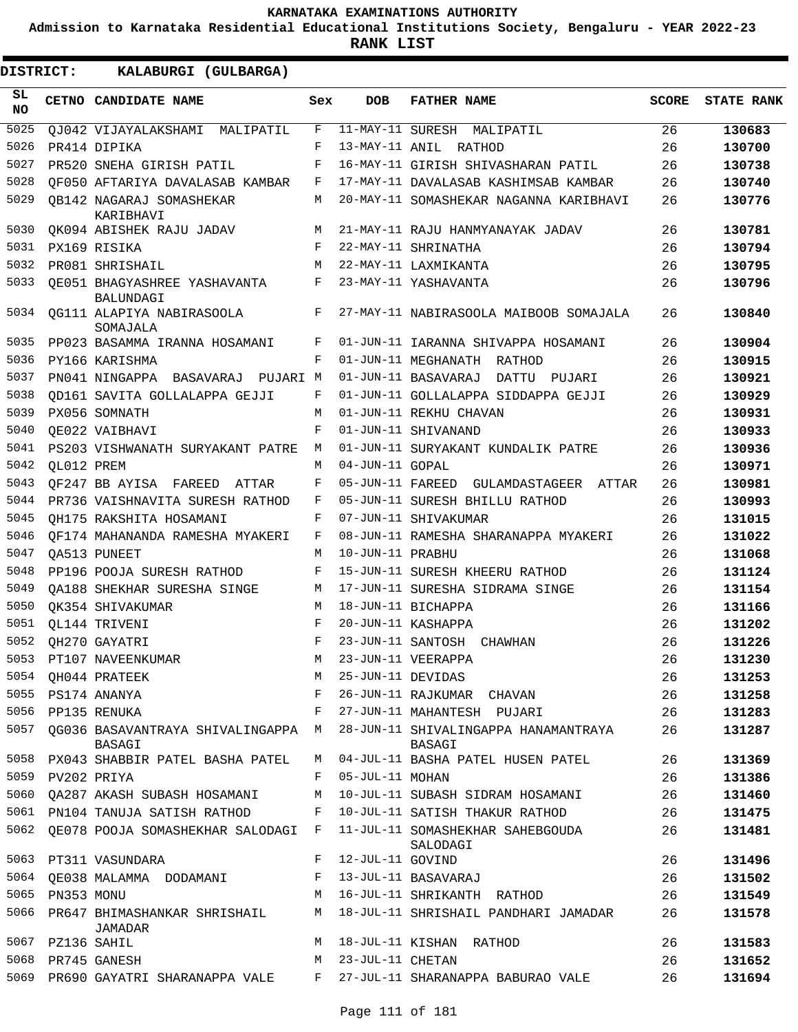**Admission to Karnataka Residential Educational Institutions Society, Bengaluru - YEAR 2022-23**

| <b>DISTRICT:</b> |                  | KALABURGI (GULBARGA)                         |                    |                   |                                                |       |                   |
|------------------|------------------|----------------------------------------------|--------------------|-------------------|------------------------------------------------|-------|-------------------|
| SL<br><b>NO</b>  |                  | CETNO CANDIDATE NAME                         | Sex                | <b>DOB</b>        | <b>FATHER NAME</b>                             | SCORE | <b>STATE RANK</b> |
| 5025             |                  | OJ042 VIJAYALAKSHAMI MALIPATIL               | F                  |                   | 11-MAY-11 SURESH MALIPATIL                     | 26    | 130683            |
| 5026             |                  | PR414 DIPIKA                                 | F                  |                   | 13-MAY-11 ANIL RATHOD                          | 26    | 130700            |
| 5027             |                  | PR520 SNEHA GIRISH PATIL                     | F                  |                   | 16-MAY-11 GIRISH SHIVASHARAN PATIL             | 26    | 130738            |
| 5028             |                  | OF050 AFTARIYA DAVALASAB KAMBAR              | F                  |                   | 17-MAY-11 DAVALASAB KASHIMSAB KAMBAR           | 26    | 130740            |
| 5029             |                  | OB142 NAGARAJ SOMASHEKAR<br>KARIBHAVI        | M                  |                   | 20-MAY-11 SOMASHEKAR NAGANNA KARIBHAVI         | 26    | 130776            |
| 5030             |                  | QK094 ABISHEK RAJU JADAV                     | М                  |                   | 21-MAY-11 RAJU HANMYANAYAK JADAV               | 26    | 130781            |
| 5031             |                  | PX169 RISIKA                                 | F                  |                   | 22-MAY-11 SHRINATHA                            | 26    | 130794            |
| 5032             |                  | PR081 SHRISHAIL                              | М                  |                   | 22-MAY-11 LAXMIKANTA                           | 26    | 130795            |
| 5033             |                  | OE051 BHAGYASHREE YASHAVANTA<br>BALUNDAGI    | F                  |                   | 23-MAY-11 YASHAVANTA                           | 26    | 130796            |
| 5034             |                  | QG111 ALAPIYA NABIRASOOLA<br>SOMAJALA        | F                  |                   | 27-MAY-11 NABIRASOOLA MAIBOOB SOMAJALA         | 26    | 130840            |
| 5035             |                  | PP023 BASAMMA IRANNA HOSAMANI                | F                  |                   | 01-JUN-11 IARANNA SHIVAPPA HOSAMANI            | 26    | 130904            |
| 5036             |                  | PY166 KARISHMA                               | F                  |                   | 01-JUN-11 MEGHANATH RATHOD                     | 26    | 130915            |
| 5037             |                  | PN041 NINGAPPA BASAVARAJ PUJARI M            |                    |                   | 01-JUN-11 BASAVARAJ DATTU PUJARI               | 26    | 130921            |
| 5038             |                  | OD161 SAVITA GOLLALAPPA GEJJI                | F                  |                   | 01-JUN-11 GOLLALAPPA SIDDAPPA GEJJI            | 26    | 130929            |
| 5039             |                  | PX056 SOMNATH                                | M                  |                   | 01-JUN-11 REKHU CHAVAN                         | 26    | 130931            |
| 5040             |                  | OE022 VAIBHAVI                               | F                  |                   | 01-JUN-11 SHIVANAND                            | 26    | 130933            |
| 5041             |                  | PS203 VISHWANATH SURYAKANT PATRE             | М                  |                   | 01-JUN-11 SURYAKANT KUNDALIK PATRE             | 26    | 130936            |
| 5042             | OL012 PREM       |                                              | М                  | 04-JUN-11 GOPAL   |                                                | 26    | 130971            |
| 5043             |                  | QF247 BB AYISA FAREED ATTAR                  | F                  |                   | 05-JUN-11 FAREED GULAMDASTAGEER ATTAR          | 26    | 130981            |
| 5044             |                  | PR736 VAISHNAVITA SURESH RATHOD              | F                  |                   | 05-JUN-11 SURESH BHILLU RATHOD                 | 26    | 130993            |
| 5045             |                  | OH175 RAKSHITA HOSAMANI                      | F                  |                   | 07-JUN-11 SHIVAKUMAR                           | 26    | 131015            |
| 5046             |                  | OF174 MAHANANDA RAMESHA MYAKERI              | F                  |                   | 08-JUN-11 RAMESHA SHARANAPPA MYAKERI           | 26    | 131022            |
| 5047             |                  | OA513 PUNEET                                 | М                  | 10-JUN-11 PRABHU  |                                                | 26    | 131068            |
| 5048             |                  | PP196 POOJA SURESH RATHOD                    | F                  |                   | 15-JUN-11 SURESH KHEERU RATHOD                 | 26    | 131124            |
| 5049             |                  | OA188 SHEKHAR SURESHA SINGE                  | М                  |                   | 17-JUN-11 SURESHA SIDRAMA SINGE                | 26    | 131154            |
| 5050             |                  | OK354 SHIVAKUMAR                             | М                  |                   | 18-JUN-11 BICHAPPA                             | 26    | 131166            |
| 5051             |                  | OL144 TRIVENI                                | F                  |                   | 20-JUN-11 KASHAPPA                             | 26    | 131202            |
| 5052             |                  | OH270 GAYATRI                                | $\mathbf{F}% _{0}$ | 23-JUN-11 SANTOSH | CHAWHAN                                        | 26    | 131226            |
| 5053             |                  | PT107 NAVEENKUMAR                            | М                  |                   | 23-JUN-11 VEERAPPA                             | 26    | 131230            |
|                  |                  | 5054 OH044 PRATEEK                           | M                  | 25-JUN-11 DEVIDAS |                                                | 26    | 131253            |
| 5055             |                  | PS174 ANANYA                                 | F                  |                   | 26-JUN-11 RAJKUMAR CHAVAN                      | 26    | 131258            |
|                  |                  | 5056 PP135 RENUKA                            | F                  |                   | 27-JUN-11 MAHANTESH PUJARI                     | 26    | 131283            |
| 5057             |                  | OG036 BASAVANTRAYA SHIVALINGAPPA M<br>BASAGI |                    |                   | 28-JUN-11 SHIVALINGAPPA HANAMANTRAYA<br>BASAGI | 26    | 131287            |
|                  |                  | 5058 PX043 SHABBIR PATEL BASHA PATEL         |                    |                   | M 04-JUL-11 BASHA PATEL HUSEN PATEL            | 26    | 131369            |
|                  | 5059 PV202 PRIYA |                                              | F                  | 05-JUL-11 MOHAN   |                                                | 26    | 131386            |
| 5060             |                  | QA287 AKASH SUBASH HOSAMANI                  | М                  |                   | 10-JUL-11 SUBASH SIDRAM HOSAMANI               | 26    | 131460            |
|                  |                  | 5061 PN104 TANUJA SATISH RATHOD              | F                  |                   | 10-JUL-11 SATISH THAKUR RATHOD                 | 26    | 131475            |
|                  |                  | 5062 QE078 POOJA SOMASHEKHAR SALODAGI F      |                    |                   | 11-JUL-11 SOMASHEKHAR SAHEBGOUDA<br>SALODAGI   | 26    | 131481            |
|                  |                  | 5063 PT311 VASUNDARA                         | $F$ –              | 12-JUL-11 GOVIND  |                                                | 26    | 131496            |
|                  |                  | 5064 QE038 MALAMMA DODAMANI                  |                    |                   | F 13-JUL-11 BASAVARAJ                          | 26    | 131502            |
| 5065             | PN353 MONU       |                                              | М                  |                   | 16-JUL-11 SHRIKANTH RATHOD                     | 26    | 131549            |
| 5066             |                  | PR647 BHIMASHANKAR SHRISHAIL<br>JAMADAR      |                    |                   | M 18-JUL-11 SHRISHAIL PANDHARI JAMADAR         | 26    | 131578            |
|                  | 5067 PZ136 SAHIL |                                              | M                  |                   | 18-JUL-11 KISHAN RATHOD                        | 26    | 131583            |
|                  |                  | 5068 PR745 GANESH                            | М                  | 23-JUL-11 CHETAN  |                                                | 26    | 131652            |
|                  |                  | 5069 PR690 GAYATRI SHARANAPPA VALE F         |                    |                   | 27-JUL-11 SHARANAPPA BABURAO VALE              | 26    | 131694            |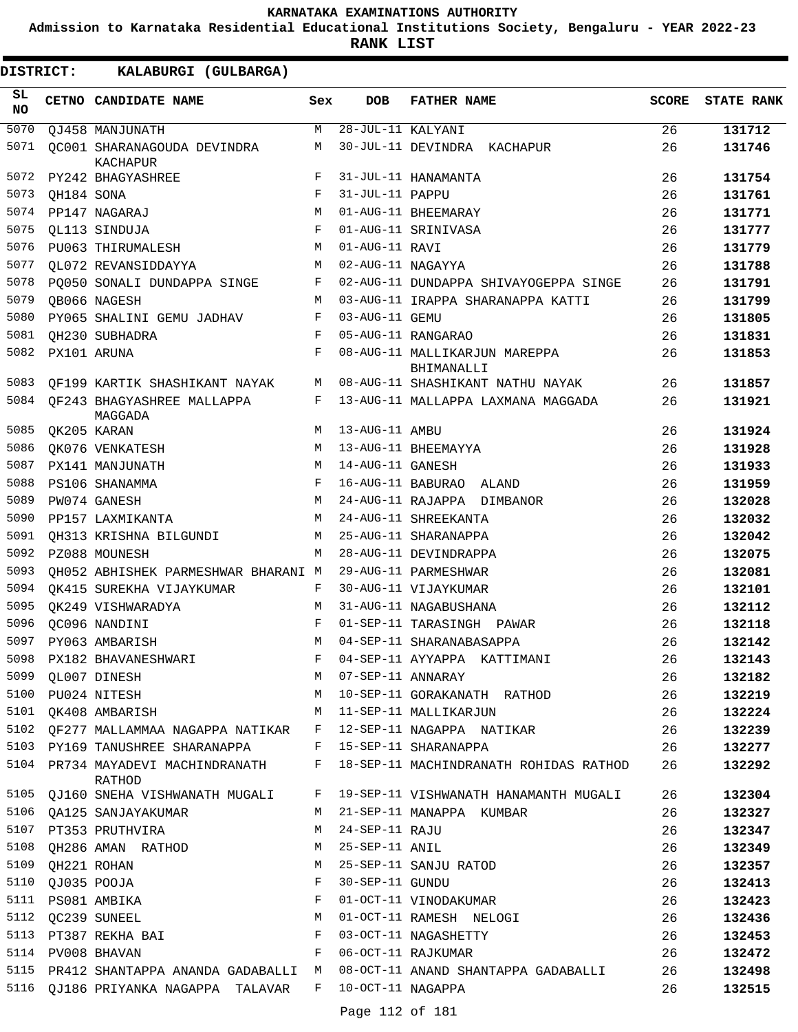**Admission to Karnataka Residential Educational Institutions Society, Bengaluru - YEAR 2022-23**

**RANK LIST**

| SL<br><b>NO</b> |            | CETNO CANDIDATE NAME                           | Sex | <b>DOB</b>        | <b>FATHER NAME</b>                          | <b>SCORE</b> | <b>STATE RANK</b> |
|-----------------|------------|------------------------------------------------|-----|-------------------|---------------------------------------------|--------------|-------------------|
| 5070            |            | QJ458 MANJUNATH                                | M   | 28-JUL-11 KALYANI |                                             | 26           | 131712            |
| 5071            |            | OC001 SHARANAGOUDA DEVINDRA<br><b>KACHAPUR</b> | М   |                   | 30-JUL-11 DEVINDRA KACHAPUR                 | 26           | 131746            |
| 5072            |            | PY242 BHAGYASHREE                              | F   |                   | 31-JUL-11 HANAMANTA                         | 26           | 131754            |
| 5073            | QH184 SONA |                                                | F   | 31-JUL-11 PAPPU   |                                             | 26           | 131761            |
| 5074            |            | PP147 NAGARAJ                                  | М   |                   | 01-AUG-11 BHEEMARAY                         | 26           | 131771            |
| 5075            |            | OL113 SINDUJA                                  | F   |                   | 01-AUG-11 SRINIVASA                         | 26           | 131777            |
| 5076            |            | PU063 THIRUMALESH                              | М   | 01-AUG-11 RAVI    |                                             | 26           | 131779            |
| 5077            |            | OL072 REVANSIDDAYYA                            | М   | 02-AUG-11 NAGAYYA |                                             | 26           | 131788            |
| 5078            |            | PO050 SONALI DUNDAPPA SINGE                    | F   |                   | 02-AUG-11 DUNDAPPA SHIVAYOGEPPA SINGE       | 26           | 131791            |
| 5079            |            | QB066 NAGESH                                   | M   |                   | 03-AUG-11 IRAPPA SHARANAPPA KATTI           | 26           | 131799            |
| 5080            |            | PY065 SHALINI GEMU JADHAV                      | F   | 03-AUG-11 GEMU    |                                             | 26           | 131805            |
| 5081            |            | OH230 SUBHADRA                                 | F   |                   | 05-AUG-11 RANGARAO                          | 26           | 131831            |
| 5082            |            | PX101 ARUNA                                    | F   |                   | 08-AUG-11 MALLIKARJUN MAREPPA<br>BHIMANALLI | 26           | 131853            |
| 5083            |            | QF199 KARTIK SHASHIKANT NAYAK                  | M   |                   | 08-AUG-11 SHASHIKANT NATHU NAYAK            | 26           | 131857            |
| 5084            |            | OF243 BHAGYASHREE MALLAPPA<br>MAGGADA          | F   |                   | 13-AUG-11 MALLAPPA LAXMANA MAGGADA          | 26           | 131921            |
| 5085            |            | QK205 KARAN                                    | М   | 13-AUG-11 AMBU    |                                             | 26           | 131924            |
| 5086            |            | QK076 VENKATESH                                | М   |                   | 13-AUG-11 BHEEMAYYA                         | 26           | 131928            |
| 5087            |            | PX141 MANJUNATH                                | М   | 14-AUG-11 GANESH  |                                             | 26           | 131933            |
| 5088            |            | PS106 SHANAMMA                                 | F   |                   | 16-AUG-11 BABURAO ALAND                     | 26           | 131959            |
| 5089            |            | PW074 GANESH                                   | M   |                   | 24-AUG-11 RAJAPPA DIMBANOR                  | 26           | 132028            |
| 5090            |            | PP157 LAXMIKANTA                               | M   |                   | 24-AUG-11 SHREEKANTA                        | 26           | 132032            |
| 5091            |            | OH313 KRISHNA BILGUNDI                         | М   |                   | 25-AUG-11 SHARANAPPA                        | 26           | 132042            |
| 5092            |            | PZ088 MOUNESH                                  | M   |                   | 28-AUG-11 DEVINDRAPPA                       | 26           | 132075            |
| 5093            |            | QH052 ABHISHEK PARMESHWAR BHARANI M            |     |                   | 29-AUG-11 PARMESHWAR                        | 26           | 132081            |
| 5094            |            | OK415 SUREKHA VIJAYKUMAR                       | F   |                   | 30-AUG-11 VIJAYKUMAR                        | 26           | 132101            |
| 5095            |            | OK249 VISHWARADYA                              | М   |                   | 31-AUG-11 NAGABUSHANA                       | 26           | 132112            |
| 5096            |            | QC096 NANDINI                                  | F   |                   | 01-SEP-11 TARASINGH PAWAR                   | 26           | 132118            |
| 5097            |            | PY063 AMBARISH                                 | M   |                   | 04-SEP-11 SHARANABASAPPA                    | 26           | 132142            |
| 5098            |            | PX182 BHAVANESHWARI                            | F   |                   | 04-SEP-11 AYYAPPA KATTIMANI                 | 26           | 132143            |
| 5099            |            | QL007 DINESH                                   | М   | 07-SEP-11 ANNARAY |                                             | 26           | 132182            |
| 5100            |            | PU024 NITESH                                   | M   |                   | 10-SEP-11 GORAKANATH RATHOD                 | 26           | 132219            |
|                 |            | 5101 OK408 AMBARISH                            | M   |                   | 11-SEP-11 MALLIKARJUN                       | 26           | 132224            |
|                 |            | 5102 QF277 MALLAMMAA NAGAPPA NATIKAR           | F   |                   | 12-SEP-11 NAGAPPA NATIKAR                   | 26           | 132239            |
|                 |            | 5103 PY169 TANUSHREE SHARANAPPA                | F   |                   | 15-SEP-11 SHARANAPPA                        | 26           | 132277            |
| 5104            |            | PR734 MAYADEVI MACHINDRANATH<br>RATHOD         | F   |                   | 18-SEP-11 MACHINDRANATH ROHIDAS RATHOD      | 26           | 132292            |
| 5105            |            | QJ160 SNEHA VISHWANATH MUGALI                  | F   |                   | 19-SEP-11 VISHWANATH HANAMANTH MUGALI       | 26           | 132304            |
| 5106            |            | QA125 SANJAYAKUMAR                             | M   |                   | 21-SEP-11 MANAPPA KUMBAR                    | 26           | 132327            |
|                 |            | 5107 PT353 PRUTHVIRA                           | М   | 24-SEP-11 RAJU    |                                             | 26           | 132347            |
| 5108            |            | QH286 AMAN RATHOD                              | М   | 25-SEP-11 ANIL    |                                             | 26           | 132349            |
| 5109            |            | QH221 ROHAN                                    | М   |                   | 25-SEP-11 SANJU RATOD                       | 26           | 132357            |
| 5110            |            | QJ035 POOJA                                    | F   | 30-SEP-11 GUNDU   |                                             | 26           | 132413            |
|                 |            | 5111 PS081 AMBIKA                              | F   |                   | 01-OCT-11 VINODAKUMAR                       | 26           | 132423            |
| 5112            |            | QC239 SUNEEL                                   | М   |                   | 01-OCT-11 RAMESH NELOGI                     | 26           | 132436            |
| 5113            |            | PT387 REKHA BAI                                | F   |                   | 03-OCT-11 NAGASHETTY                        | 26           | 132453            |
| 5114            |            | PV008 BHAVAN                                   | F   |                   | 06-OCT-11 RAJKUMAR                          | 26           | 132472            |
|                 |            | 5115 PR412 SHANTAPPA ANANDA GADABALLI M        |     |                   | 08-OCT-11 ANAND SHANTAPPA GADABALLI         | 26           | 132498            |
|                 |            | 5116 QJ186 PRIYANKA NAGAPPA TALAVAR            | F   | 10-OCT-11 NAGAPPA |                                             | 26           | 132515            |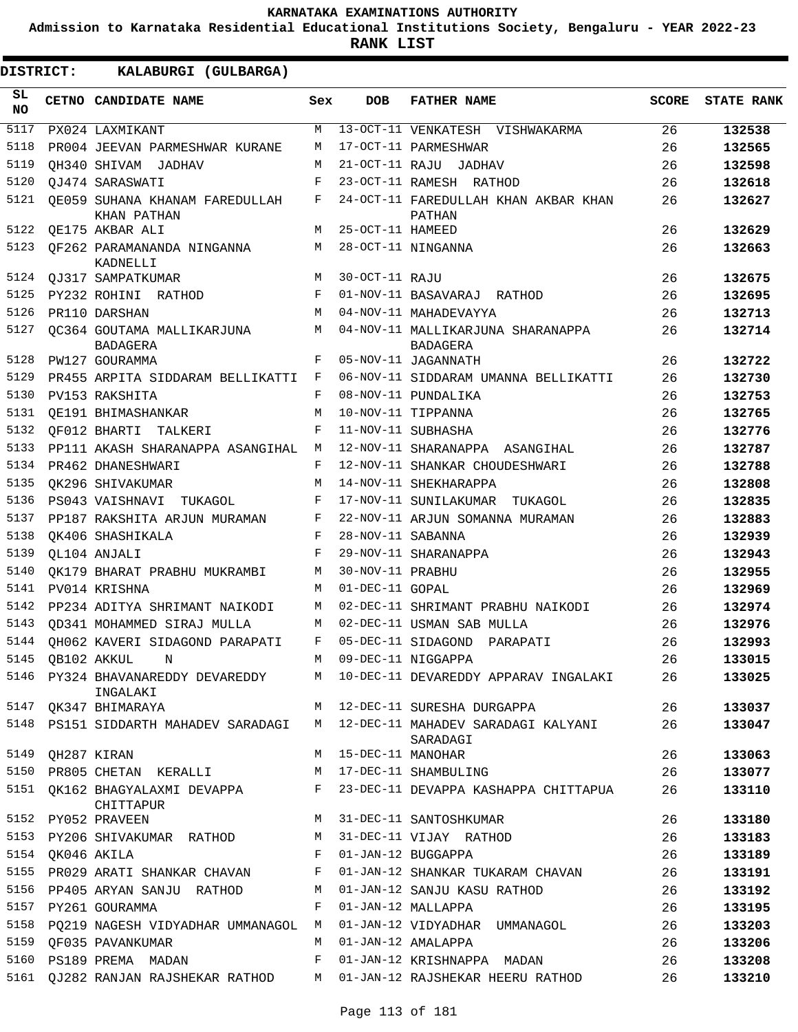**Admission to Karnataka Residential Educational Institutions Society, Bengaluru - YEAR 2022-23**

|                  | DISTRICT:        | KALABURGI (GULBARGA)                                   |     |                     |                                                                          |              |                   |
|------------------|------------------|--------------------------------------------------------|-----|---------------------|--------------------------------------------------------------------------|--------------|-------------------|
| SL.<br><b>NO</b> |                  | CETNO CANDIDATE NAME                                   | Sex | <b>DOB</b>          | <b>FATHER NAME</b>                                                       | <b>SCORE</b> | <b>STATE RANK</b> |
| 5117             |                  | PX024 LAXMIKANT                                        | М   |                     | 13-OCT-11 VENKATESH VISHWAKARMA                                          | 26           | 132538            |
| 5118             |                  | PR004 JEEVAN PARMESHWAR KURANE                         | М   |                     | 17-OCT-11 PARMESHWAR                                                     | 26           | 132565            |
| 5119             |                  | OH340 SHIVAM JADHAV                                    | M   |                     | 21-OCT-11 RAJU JADHAV                                                    | 26           | 132598            |
| 5120             |                  | OJ474 SARASWATI                                        | F   |                     | 23-OCT-11 RAMESH RATHOD                                                  | 26           | 132618            |
| 5121             |                  | OE059 SUHANA KHANAM FAREDULLAH<br>KHAN PATHAN          | F   |                     | 24-OCT-11 FAREDULLAH KHAN AKBAR KHAN<br><b>PATHAN</b>                    | 26           | 132627            |
| 5122             |                  | QE175 AKBAR ALI                                        | M   | 25-OCT-11 HAMEED    |                                                                          | 26           | 132629            |
| 5123             |                  | OF262 PARAMANANDA NINGANNA<br>KADNELLI                 | М   |                     | 28-OCT-11 NINGANNA                                                       | 26           | 132663            |
| 5124             |                  | QJ317 SAMPATKUMAR                                      | M   | 30-OCT-11 RAJU      |                                                                          | 26           | 132675            |
| 5125             |                  | PY232 ROHINI RATHOD                                    | F   |                     | 01-NOV-11 BASAVARAJ RATHOD                                               | 26           | 132695            |
| 5126             |                  | PR110 DARSHAN                                          | M   |                     | 04-NOV-11 MAHADEVAYYA                                                    | 26           | 132713            |
| 5127             |                  | QC364 GOUTAMA MALLIKARJUNA<br><b>BADAGERA</b>          | М   |                     | 04-NOV-11 MALLIKARJUNA SHARANAPPA<br>BADAGERA                            | 26           | 132714            |
| 5128             |                  | PW127 GOURAMMA                                         | F   |                     | 05-NOV-11 JAGANNATH                                                      | 26           | 132722            |
| 5129             |                  | PR455 ARPITA SIDDARAM BELLIKATTI                       | F   |                     | 06-NOV-11 SIDDARAM UMANNA BELLIKATTI                                     | 26           | 132730            |
| 5130             |                  | PV153 RAKSHITA                                         | F   |                     | 08-NOV-11 PUNDALIKA                                                      | 26           | 132753            |
| 5131             |                  | QE191 BHIMASHANKAR                                     | М   |                     | 10-NOV-11 TIPPANNA                                                       | 26           | 132765            |
| 5132             |                  | OF012 BHARTI TALKERI                                   | F   |                     | 11-NOV-11 SUBHASHA                                                       | 26           | 132776            |
| 5133             |                  | PP111 AKASH SHARANAPPA ASANGIHAL                       | М   |                     | 12-NOV-11 SHARANAPPA ASANGIHAL                                           | 26           | 132787            |
| 5134             |                  | PR462 DHANESHWARI                                      | F   |                     | 12-NOV-11 SHANKAR CHOUDESHWARI                                           | 26           | 132788            |
| 5135             |                  | OK296 SHIVAKUMAR                                       | М   |                     | 14-NOV-11 SHEKHARAPPA                                                    | 26           | 132808            |
| 5136             |                  | PS043 VAISHNAVI TUKAGOL                                | F   |                     | 17-NOV-11 SUNILAKUMAR TUKAGOL                                            | 26           | 132835            |
| 5137             |                  | PP187 RAKSHITA ARJUN MURAMAN                           | F   |                     | 22-NOV-11 ARJUN SOMANNA MURAMAN                                          | 26           | 132883            |
| 5138             |                  | OK406 SHASHIKALA                                       | F   | 28-NOV-11 SABANNA   |                                                                          | 26           | 132939            |
| 5139             |                  | QL104 ANJALI                                           | F   |                     | 29-NOV-11 SHARANAPPA                                                     | 26           | 132943            |
| 5140             |                  | QK179 BHARAT PRABHU MUKRAMBI                           | М   | 30-NOV-11 PRABHU    |                                                                          | 26           | 132955            |
| 5141             |                  | PV014 KRISHNA                                          | M   | 01-DEC-11 GOPAL     |                                                                          | 26           | 132969            |
| 5142             |                  | PP234 ADITYA SHRIMANT NAIKODI                          | М   |                     | 02-DEC-11 SHRIMANT PRABHU NAIKODI                                        | 26           | 132974            |
| 5143             |                  | OD341 MOHAMMED SIRAJ MULLA                             | М   |                     | 02-DEC-11 USMAN SAB MULLA                                                | 26           | 132976            |
| 5144             |                  | QH062 KAVERI SIDAGOND PARAPATI                         | F   |                     | 05-DEC-11 SIDAGOND PARAPATI                                              | 26           | 132993            |
| 5145             |                  | QB102 AKKUL<br>N                                       |     |                     | M 09-DEC-11 NIGGAPPA                                                     | 26           | 133015            |
|                  |                  | INGALAKI                                               |     |                     | 5146 PY324 BHAVANAREDDY DEVAREDDY M 10-DEC-11 DEVAREDDY APPARAV INGALAKI | 26           | 133025            |
| 5147             |                  | QK347 BHIMARAYA                                        |     |                     | M 12-DEC-11 SURESHA DURGAPPA                                             | 26           | 133037            |
|                  |                  | 5148 PS151 SIDDARTH MAHADEV SARADAGI                   |     |                     | M 12-DEC-11 MAHADEV SARADAGI KALYANI<br>SARADAGI                         | 26           | 133047            |
| 5149             |                  | QH287 KIRAN                                            |     | M 15-DEC-11 MANOHAR |                                                                          | 26           | 133063            |
| 5151             |                  | 5150 PR805 CHETAN KERALLI<br>QK162 BHAGYALAXMI DEVAPPA | F   |                     | M 17-DEC-11 SHAMBULING<br>23-DEC-11 DEVAPPA KASHAPPA CHITTAPUA           | 26<br>26     | 133077<br>133110  |
|                  |                  | CHITTAPUR<br>5152 PY052 PRAVEEN                        | M   |                     | 31-DEC-11 SANTOSHKUMAR                                                   | 26           | 133180            |
|                  |                  | 5153 PY206 SHIVAKUMAR RATHOD M                         |     |                     | 31-DEC-11 VIJAY RATHOD                                                   | 26           | 133183            |
|                  | 5154 QK046 AKILA |                                                        | F   |                     | 01-JAN-12 BUGGAPPA                                                       | 26           | 133189            |
| 5155             |                  | PR029 ARATI SHANKAR CHAVAN                             | F   |                     | 01-JAN-12 SHANKAR TUKARAM CHAVAN                                         | 26           | 133191            |
| 5156             |                  | PP405 ARYAN SANJU RATHOD                               | М   |                     | 01-JAN-12 SANJU KASU RATHOD                                              | 26           | 133192            |
|                  |                  | 5157 PY261 GOURAMMA                                    | F   |                     | 01-JAN-12 MALLAPPA                                                       | 26           | 133195            |
| 5158             |                  | PQ219 NAGESH VIDYADHAR UMMANAGOL M                     |     |                     | 01-JAN-12 VIDYADHAR UMMANAGOL                                            | 26           | 133203            |
| 5159             |                  | QF035 PAVANKUMAR                                       | М   |                     | 01-JAN-12 AMALAPPA                                                       | 26           | 133206            |
| 5160             |                  | PS189 PREMA MADAN                                      | F   |                     | 01-JAN-12 KRISHNAPPA MADAN                                               | 26           | 133208            |
| 5161             |                  | QJ282 RANJAN RAJSHEKAR RATHOD M                        |     |                     | 01-JAN-12 RAJSHEKAR HEERU RATHOD                                         | 26           | 133210            |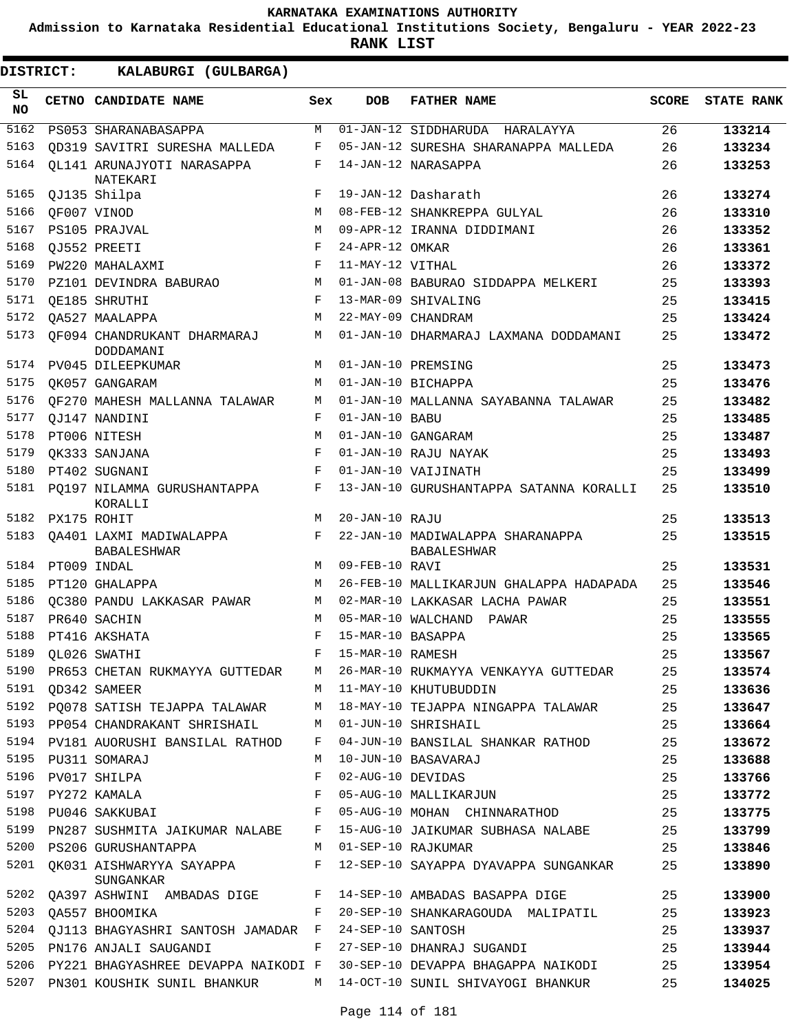**Admission to Karnataka Residential Educational Institutions Society, Bengaluru - YEAR 2022-23**

| DISTRICT:       | KALABURGI (GULBARGA)                                      |            |                   |                                                        |              |                   |
|-----------------|-----------------------------------------------------------|------------|-------------------|--------------------------------------------------------|--------------|-------------------|
| SL<br><b>NO</b> | CETNO CANDIDATE NAME                                      | Sex        | <b>DOB</b>        | <b>FATHER NAME</b>                                     | <b>SCORE</b> | <b>STATE RANK</b> |
| 5162            | PS053 SHARANABASAPPA                                      | М          |                   | 01-JAN-12 SIDDHARUDA HARALAYYA                         | 26           | 133214            |
| 5163            | OD319 SAVITRI SURESHA MALLEDA                             | F          |                   | 05-JAN-12 SURESHA SHARANAPPA MALLEDA                   | 26           | 133234            |
| 5164            | OL141 ARUNAJYOTI NARASAPPA<br>NATEKARI                    | F          |                   | 14-JAN-12 NARASAPPA                                    | 26           | 133253            |
| 5165            | QJ135 Shilpa                                              | F          |                   | 19-JAN-12 Dasharath                                    | 26           | 133274            |
| 5166            | QF007 VINOD                                               | M          |                   | 08-FEB-12 SHANKREPPA GULYAL                            | 26           | 133310            |
| 5167            | PS105 PRAJVAL                                             | M          |                   | 09-APR-12 IRANNA DIDDIMANI                             | 26           | 133352            |
| 5168            | OJ552 PREETI                                              | F          | 24-APR-12 OMKAR   |                                                        | 26           | 133361            |
| 5169            | PW220 MAHALAXMI                                           | F          | 11-MAY-12 VITHAL  |                                                        | 26           | 133372            |
| 5170            | PZ101 DEVINDRA BABURAO                                    | M          |                   | 01-JAN-08 BABURAO SIDDAPPA MELKERI                     | 25           | 133393            |
| 5171            | OE185 SHRUTHI                                             | F          |                   | 13-MAR-09 SHIVALING                                    | 25           | 133415            |
| 5172            | OA527 MAALAPPA                                            | M          |                   | 22-MAY-09 CHANDRAM                                     | 25           | 133424            |
| 5173            | OF094 CHANDRUKANT DHARMARAJ<br>DODDAMANI                  | М          |                   | 01-JAN-10 DHARMARAJ LAXMANA DODDAMANI                  | 25           | 133472            |
| 5174            | PV045 DILEEPKUMAR                                         | M          |                   | 01-JAN-10 PREMSING                                     | 25           | 133473            |
| 5175            | QK057 GANGARAM                                            | M          |                   | 01-JAN-10 BICHAPPA                                     | 25           | 133476            |
| 5176            | OF270 MAHESH MALLANNA TALAWAR                             | M          |                   | 01-JAN-10 MALLANNA SAYABANNA TALAWAR                   | 25           | 133482            |
| 5177            | OJ147 NANDINI                                             | F          | 01-JAN-10 BABU    |                                                        | 25           | 133485            |
| 5178            | PT006 NITESH                                              | M          |                   | 01-JAN-10 GANGARAM                                     | 25           | 133487            |
| 5179            | OK333 SANJANA                                             | F          |                   | 01-JAN-10 RAJU NAYAK                                   | 25           | 133493            |
| 5180            | PT402 SUGNANI                                             | $_{\rm F}$ |                   | 01-JAN-10 VAIJINATH                                    | 25           | 133499            |
| 5181            | PQ197 NILAMMA GURUSHANTAPPA<br>KORALLI                    | F          |                   | 13-JAN-10 GURUSHANTAPPA SATANNA KORALLI                | 25           | 133510            |
| 5182            | PX175 ROHIT                                               | M          | 20-JAN-10 RAJU    |                                                        | 25           | 133513            |
| 5183            | QA401 LAXMI MADIWALAPPA<br><b>BABALESHWAR</b>             | F          |                   | 22-JAN-10 MADIWALAPPA SHARANAPPA<br><b>BABALESHWAR</b> | 25           | 133515            |
| 5184            | PT009 INDAL                                               | M          | 09-FEB-10 RAVI    |                                                        | 25           | 133531            |
| 5185            | PT120 GHALAPPA                                            | М          |                   | 26-FEB-10 MALLIKARJUN GHALAPPA HADAPADA                | 25           | 133546            |
| 5186            | OC380 PANDU LAKKASAR PAWAR                                | М          |                   | 02-MAR-10 LAKKASAR LACHA PAWAR                         | 25           | 133551            |
| 5187            | PR640 SACHIN                                              | M          |                   | 05-MAR-10 WALCHAND PAWAR                               | 25           | 133555            |
| 5188            | PT416 AKSHATA                                             | F          | 15-MAR-10 BASAPPA |                                                        | 25           | 133565            |
| 5189            | QL026 SWATHI                                              | F          | 15-MAR-10 RAMESH  |                                                        | 25           | 133567            |
| 5190            | PR653 CHETAN RUKMAYYA GUTTEDAR                            |            |                   | M 26-MAR-10 RUKMAYYA VENKAYYA GUTTEDAR                 | 25           | 133574            |
| 5191            | OD342 SAMEER                                              | M          |                   | 11-MAY-10 KHUTUBUDDIN                                  | 25           | 133636            |
| 5192            | PO078 SATISH TEJAPPA TALAWAR                              | М          |                   | 18-MAY-10 TEJAPPA NINGAPPA TALAWAR                     | 25           | 133647            |
| 5193            | PP054 CHANDRAKANT SHRISHAIL                               | М          |                   | 01-JUN-10 SHRISHAIL                                    | 25           | 133664            |
| 5194            | PV181 AUORUSHI BANSILAL RATHOD                            | F          |                   | 04-JUN-10 BANSILAL SHANKAR RATHOD                      | 25           | 133672            |
| 5195            | PU311 SOMARAJ                                             | M          |                   | 10-JUN-10 BASAVARAJ                                    | 25           | 133688            |
| 5196            | PV017 SHILPA                                              | F          | 02-AUG-10 DEVIDAS |                                                        | 25           | 133766            |
| 5197            | PY272 KAMALA                                              | F          |                   | 05-AUG-10 MALLIKARJUN                                  | 25           | 133772            |
| 5198            | PU046 SAKKUBAI                                            | F          |                   | 05-AUG-10 MOHAN CHINNARATHOD                           | 25           | 133775            |
| 5199            | PN287 SUSHMITA JAIKUMAR NALABE                            | F          |                   | 15-AUG-10 JAIKUMAR SUBHASA NALABE                      | 25           | 133799            |
| 5200            | PS206 GURUSHANTAPPA                                       | М          |                   | 01-SEP-10 RAJKUMAR                                     | 25           | 133846            |
|                 | 5201 OK031 AISHWARYYA SAYAPPA<br>SUNGANKAR                | F          |                   | 12-SEP-10 SAYAPPA DYAVAPPA SUNGANKAR                   | 25           | 133890            |
| 5202            | QA397 ASHWINI AMBADAS DIGE                                | F          |                   | 14-SEP-10 AMBADAS BASAPPA DIGE                         | 25           | 133900            |
| 5203            | QA557 BHOOMIKA                                            |            |                   | F 20-SEP-10 SHANKARAGOUDA MALIPATIL                    | 25           | 133923            |
|                 | 5204 QJ113 BHAGYASHRI SANTOSH JAMADAR F 24-SEP-10 SANTOSH |            |                   |                                                        | 25           | 133937            |
| 5205            | PN176 ANJALI SAUGANDI                                     |            |                   | F 27-SEP-10 DHANRAJ SUGANDI                            | 25           | 133944            |
| 5206            | PY221 BHAGYASHREE DEVAPPA NAIKODI F                       |            |                   | 30-SEP-10 DEVAPPA BHAGAPPA NAIKODI                     | 25           | 133954            |
| 5207            | PN301 KOUSHIK SUNIL BHANKUR                               |            |                   | M 14-OCT-10 SUNIL SHIVAYOGI BHANKUR                    | 25           | 134025            |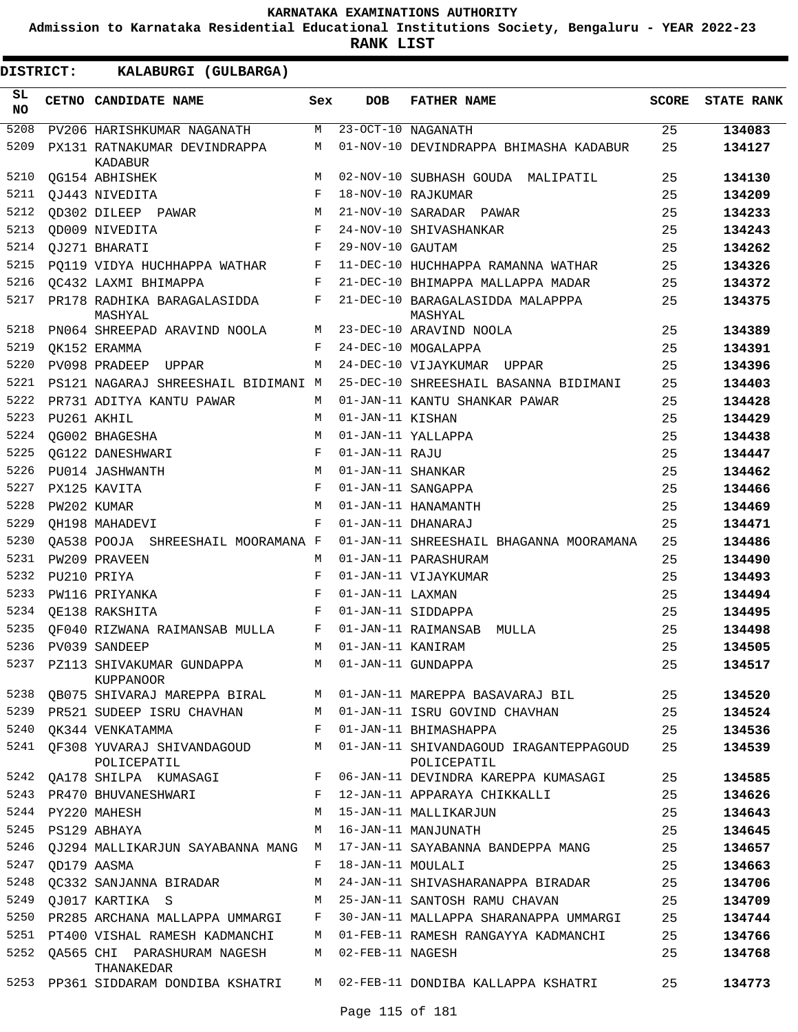**Admission to Karnataka Residential Educational Institutions Society, Bengaluru - YEAR 2022-23**

**RANK LIST**

| SL<br><b>NO</b> |             | CETNO CANDIDATE NAME                           | Sex         | <b>DOB</b>        | <b>FATHER NAME</b>                                    | <b>SCORE</b> | <b>STATE RANK</b> |
|-----------------|-------------|------------------------------------------------|-------------|-------------------|-------------------------------------------------------|--------------|-------------------|
| 5208            |             | PV206 HARISHKUMAR NAGANATH                     | M           |                   | 23-OCT-10 NAGANATH                                    | 25           | 134083            |
| 5209            |             | PX131 RATNAKUMAR DEVINDRAPPA<br><b>KADABUR</b> | М           |                   | 01-NOV-10 DEVINDRAPPA BHIMASHA KADABUR                | 25           | 134127            |
| 5210            |             | OG154 ABHISHEK                                 | M           |                   | 02-NOV-10 SUBHASH GOUDA MALIPATIL                     | 25           | 134130            |
| 5211            |             | QJ443 NIVEDITA                                 | F           |                   | 18-NOV-10 RAJKUMAR                                    | 25           | 134209            |
| 5212            |             | OD302 DILEEP PAWAR                             | М           |                   | 21-NOV-10 SARADAR PAWAR                               | 25           | 134233            |
| 5213            |             | OD009 NIVEDITA                                 | F           |                   | 24-NOV-10 SHIVASHANKAR                                | 25           | 134243            |
| 5214            |             | QJ271 BHARATI                                  | $\mathbf F$ | 29-NOV-10 GAUTAM  |                                                       | 25           | 134262            |
| 5215            |             | PO119 VIDYA HUCHHAPPA WATHAR                   | F           |                   | 11-DEC-10 HUCHHAPPA RAMANNA WATHAR                    | 25           | 134326            |
| 5216            |             | OC432 LAXMI BHIMAPPA                           | F           |                   | 21-DEC-10 BHIMAPPA MALLAPPA MADAR                     | 25           | 134372            |
| 5217            |             | PR178 RADHIKA BARAGALASIDDA<br>MASHYAL         | F           |                   | 21-DEC-10 BARAGALASIDDA MALAPPPA<br>MASHYAL           | 25           | 134375            |
| 5218            |             | PN064 SHREEPAD ARAVIND NOOLA                   | М           |                   | 23-DEC-10 ARAVIND NOOLA                               | 25           | 134389            |
| 5219            |             | OK152 ERAMMA                                   | F           |                   | 24-DEC-10 MOGALAPPA                                   | 25           | 134391            |
| 5220            |             | PV098 PRADEEP<br>UPPAR                         | М           |                   | 24-DEC-10 VIJAYKUMAR UPPAR                            | 25           | 134396            |
| 5221            |             | PS121 NAGARAJ SHREESHAIL BIDIMANI M            |             |                   | 25-DEC-10 SHREESHAIL BASANNA BIDIMANI                 | 25           | 134403            |
| 5222            |             | PR731 ADITYA KANTU PAWAR                       | M           |                   | 01-JAN-11 KANTU SHANKAR PAWAR                         | 25           | 134428            |
| 5223            | PU261 AKHIL |                                                | M           | 01-JAN-11 KISHAN  |                                                       | 25           | 134429            |
| 5224            |             | OG002 BHAGESHA                                 | М           |                   | 01-JAN-11 YALLAPPA                                    | 25           | 134438            |
| 5225            |             | OG122 DANESHWARI                               | F           | 01-JAN-11 RAJU    |                                                       | 25           | 134447            |
| 5226            |             | PU014 JASHWANTH                                | M           | 01-JAN-11 SHANKAR |                                                       | 25           | 134462            |
| 5227            |             | PX125 KAVITA                                   | F           |                   | 01-JAN-11 SANGAPPA                                    | 25           | 134466            |
| 5228            | PW202 KUMAR |                                                | M           |                   | 01-JAN-11 HANAMANTH                                   | 25           | 134469            |
| 5229            |             | OH198 MAHADEVI                                 | F           |                   | 01-JAN-11 DHANARAJ                                    | 25           | 134471            |
| 5230            |             | OA538 POOJA SHREESHAIL MOORAMANA F             |             |                   | 01-JAN-11 SHREESHAIL BHAGANNA MOORAMANA               | 25           | 134486            |
| 5231            |             | PW209 PRAVEEN                                  | M           |                   | 01-JAN-11 PARASHURAM                                  | 25           | 134490            |
| 5232            |             | PU210 PRIYA                                    | F           |                   | 01-JAN-11 VIJAYKUMAR                                  | 25           | 134493            |
| 5233            |             | PW116 PRIYANKA                                 | F           | 01-JAN-11 LAXMAN  |                                                       | 25           | 134494            |
| 5234            |             | OE138 RAKSHITA                                 | F           |                   | 01-JAN-11 SIDDAPPA                                    | 25           | 134495            |
| 5235            |             | OF040 RIZWANA RAIMANSAB MULLA                  | F           |                   | 01-JAN-11 RAIMANSAB MULLA                             | 25           | 134498            |
| 5236            |             | PV039 SANDEEP                                  | M           | 01-JAN-11 KANIRAM |                                                       | 25           | 134505            |
| 5237            |             | PZ113 SHIVAKUMAR GUNDAPPA<br>KUPPANOOR         | M           |                   | 01-JAN-11 GUNDAPPA                                    | 25           | 134517            |
|                 |             | 5238 QB075 SHIVARAJ MAREPPA BIRAL              | M           |                   | 01-JAN-11 MAREPPA BASAVARAJ BIL                       | 25           | 134520            |
|                 |             | 5239 PR521 SUDEEP ISRU CHAVHAN                 | М           |                   | 01-JAN-11 ISRU GOVIND CHAVHAN                         | 25           | 134524            |
|                 |             | 5240 QK344 VENKATAMMA                          | F           |                   | 01-JAN-11 BHIMASHAPPA                                 | 25           | 134536            |
|                 |             | 5241 QF308 YUVARAJ SHIVANDAGOUD<br>POLICEPATIL | M           |                   | 01-JAN-11 SHIVANDAGOUD IRAGANTEPPAGOUD<br>POLICEPATIL | 25           | 134539            |
|                 |             | 5242 QA178 SHILPA KUMASAGI F                   |             |                   | 06-JAN-11 DEVINDRA KAREPPA KUMASAGI                   | 25           | 134585            |
|                 |             | 5243 PR470 BHUVANESHWARI<br>$\mathbf{F}$       |             |                   | 12-JAN-11 APPARAYA CHIKKALLI                          | 25           | 134626            |
| 5244            |             | PY220 MAHESH                                   | M           |                   | 15-JAN-11 MALLIKARJUN                                 | 25           | 134643            |
| 5245            |             | PS129 ABHAYA                                   | M           |                   | 16-JAN-11 MANJUNATH                                   | 25           | 134645            |
|                 |             | 5246 QJ294 MALLIKARJUN SAYABANNA MANG          | M           |                   | 17-JAN-11 SAYABANNA BANDEPPA MANG                     | 25           | 134657            |
| 5247            | OD179 AASMA |                                                | F           | 18-JAN-11 MOULALI |                                                       | 25           | 134663            |
|                 |             | 5248 QC332 SANJANNA BIRADAR                    | М           |                   | 24-JAN-11 SHIVASHARANAPPA BIRADAR                     | 25           | 134706            |
| 5249            |             | QJ017 KARTIKA S                                | M           |                   | 25-JAN-11 SANTOSH RAMU CHAVAN                         | 25           | 134709            |
|                 |             | 5250 PR285 ARCHANA MALLAPPA UMMARGI            | F           |                   | 30-JAN-11 MALLAPPA SHARANAPPA UMMARGI                 | 25           | 134744            |
|                 |             | 5251 PT400 VISHAL RAMESH KADMANCHI             | М           |                   | 01-FEB-11 RAMESH RANGAYYA KADMANCHI                   | 25           | 134766            |
| 5252            |             | OA565 CHI PARASHURAM NAGESH<br>THANAKEDAR      | М           | 02-FEB-11 NAGESH  |                                                       | 25           | 134768            |
|                 |             | 5253 PP361 SIDDARAM DONDIBA KSHATRI            |             |                   | M 02-FEB-11 DONDIBA KALLAPPA KSHATRI                  | 25           | 134773            |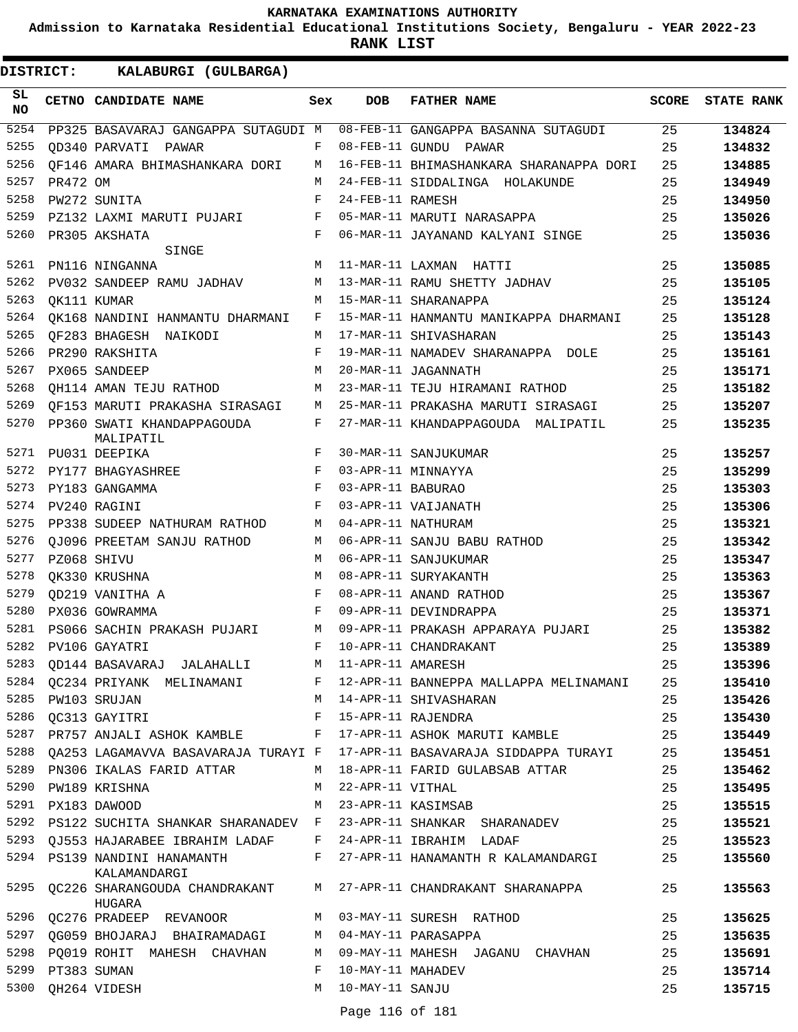**Admission to Karnataka Residential Educational Institutions Society, Bengaluru - YEAR 2022-23**

**RANK LIST**

**DISTRICT:** KK **KALABURGI (GULBARGA)**

| SL<br><b>NO</b> |                  | CETNO CANDIDATE NAME                                            | Sex        | <b>DOB</b>         | <b>FATHER NAME</b>                                                            | SCORE | <b>STATE RANK</b> |
|-----------------|------------------|-----------------------------------------------------------------|------------|--------------------|-------------------------------------------------------------------------------|-------|-------------------|
| 5254            |                  | PP325 BASAVARAJ GANGAPPA SUTAGUDI M                             |            |                    | 08-FEB-11 GANGAPPA BASANNA SUTAGUDI                                           | 25    | 134824            |
| 5255            |                  | OD340 PARVATI PAWAR<br><b>Example 19</b>                        |            |                    | 08-FEB-11 GUNDU PAWAR                                                         | 25    | 134832            |
| 5256            |                  | OF146 AMARA BHIMASHANKARA DORI M                                |            |                    | 16-FEB-11 BHIMASHANKARA SHARANAPPA DORI                                       | 25    | 134885            |
| 5257            | PR472 OM         |                                                                 | M          |                    | 24-FEB-11 SIDDALINGA HOLAKUNDE                                                | 25    | 134949            |
| 5258            |                  | PW272 SUNITA                                                    | F          | 24-FEB-11 RAMESH   |                                                                               | 25    | 134950            |
| 5259            |                  | PZ132 LAXMI MARUTI PUJARI                                       | F          |                    | 05-MAR-11 MARUTI NARASAPPA                                                    | 25    | 135026            |
| 5260            |                  | PR305 AKSHATA                                                   | $_{\rm F}$ |                    | 06-MAR-11 JAYANAND KALYANI SINGE                                              | 25    | 135036            |
| 5261            |                  | SINGE                                                           | M          |                    |                                                                               |       |                   |
|                 |                  | PN116 NINGANNA                                                  |            |                    | 11-MAR-11 LAXMAN HATTI                                                        | 25    | 135085            |
| 5262            |                  | PV032 SANDEEP RAMU JADHAV                                       | M          |                    | 13-MAR-11 RAMU SHETTY JADHAV                                                  | 25    | 135105            |
| 5263            |                  | OK111 KUMAR                                                     | M          |                    | 15-MAR-11 SHARANAPPA                                                          | 25    | 135124            |
| 5264            |                  | QK168 NANDINI HANMANTU DHARMANI                                 | F          |                    | 15-MAR-11 HANMANTU MANIKAPPA DHARMANI                                         | 25    | 135128            |
| 5265            |                  | OF283 BHAGESH NAIKODI                                           | M          |                    | 17-MAR-11 SHIVASHARAN                                                         | 25    | 135143            |
| 5266            |                  | PR290 RAKSHITA                                                  | F          |                    | 19-MAR-11 NAMADEV SHARANAPPA DOLE                                             | 25    | 135161            |
| 5267            |                  | PX065 SANDEEP                                                   | M          |                    | 20-MAR-11 JAGANNATH                                                           | 25    | 135171            |
| 5268            |                  | OH114 AMAN TEJU RATHOD                                          | М          |                    | 23-MAR-11 TEJU HIRAMANI RATHOD                                                | 25    | 135182            |
| 5269            |                  | OF153 MARUTI PRAKASHA SIRASAGI                                  | M          |                    | 25-MAR-11 PRAKASHA MARUTI SIRASAGI                                            | 25    | 135207            |
| 5270            |                  | PP360 SWATI KHANDAPPAGOUDA<br>MALIPATIL                         | F          |                    | 27-MAR-11 KHANDAPPAGOUDA MALIPATIL                                            | 25    | 135235            |
| 5271            |                  | PU031 DEEPIKA                                                   | F          |                    | 30-MAR-11 SANJUKUMAR                                                          | 25    | 135257            |
| 5272            |                  | PY177 BHAGYASHREE                                               | F          |                    | 03-APR-11 MINNAYYA                                                            | 25    | 135299            |
| 5273            |                  | PY183 GANGAMMA                                                  | $_{\rm F}$ | 03-APR-11 BABURAO  |                                                                               | 25    | 135303            |
| 5274            |                  | PV240 RAGINI                                                    | $_{\rm F}$ |                    | 03-APR-11 VAIJANATH                                                           | 25    | 135306            |
| 5275            |                  | PP338 SUDEEP NATHURAM RATHOD                                    | M          |                    | 04-APR-11 NATHURAM                                                            | 25    | 135321            |
| 5276            |                  | OJ096 PREETAM SANJU RATHOD                                      | M          |                    | 06-APR-11 SANJU BABU RATHOD                                                   | 25    | 135342            |
| 5277            | PZ068 SHIVU      |                                                                 | M          |                    | 06-APR-11 SANJUKUMAR                                                          | 25    | 135347            |
| 5278            |                  | QK330 KRUSHNA                                                   | M          |                    | 08-APR-11 SURYAKANTH                                                          | 25    | 135363            |
| 5279            |                  | OD219 VANITHA A                                                 | $_{\rm F}$ |                    | 08-APR-11 ANAND RATHOD                                                        | 25    | 135367            |
| 5280            |                  | PX036 GOWRAMMA                                                  | $_{\rm F}$ |                    | 09-APR-11 DEVINDRAPPA                                                         | 25    | 135371            |
| 5281            |                  | PS066 SACHIN PRAKASH PUJARI                                     | М          |                    | 09-APR-11 PRAKASH APPARAYA PUJARI                                             | 25    | 135382            |
| 5282            |                  | PV106 GAYATRI                                                   | F          |                    | 10-APR-11 CHANDRAKANT                                                         | 25    | 135389            |
|                 |                  | 5283 QD144 BASAVARAJ JALAHALLI M                                |            | 11-APR-11 AMARESH  |                                                                               | 25    | 135396            |
|                 |                  |                                                                 |            |                    | 5284 QC234 PRIYANK MELINAMANI F 12-APR-11 BANNEPPA MALLAPPA MELINAMANI        | 25    | 135410            |
| 5285            |                  | PW103 SRUJAN                                                    |            |                    | M 14-APR-11 SHIVASHARAN                                                       | 25    | 135426            |
| 5286            |                  | QC313 GAYITRI F                                                 |            |                    | 15-APR-11 RAJENDRA                                                            | 25    | 135430            |
|                 |                  | 5287 PR757 ANJALI ASHOK KAMBLE F                                |            |                    | 17-APR-11 ASHOK MARUTI KAMBLE                                                 | 25    | 135449            |
|                 |                  |                                                                 |            |                    | 5288 QA253 LAGAMAVVA BASAVARAJA TURAYI F 17-APR-11 BASAVARAJA SIDDAPPA TURAYI | 25    | 135451            |
|                 |                  | 5289 PN306 IKALAS FARID ATTAR                                   |            |                    | M 18-APR-11 FARID GULABSAB ATTAR                                              | 25    | 135462            |
|                 |                  | 5290 PW189 KRISHNA                                              |            | M 22-APR-11 VITHAL |                                                                               | 25    | 135495            |
|                 |                  | 5291 PX183 DAWOOD                                               |            |                    | M 23-APR-11 KASIMSAB                                                          | 25    | 135515            |
|                 |                  |                                                                 |            |                    | 5292 PS122 SUCHITA SHANKAR SHARANADEV F 23-APR-11 SHANKAR SHARANADEV          | 25    | 135521            |
| 5293            |                  | QJ553 HAJARABEE IBRAHIM LADAF     F   24-APR-11 IBRAHIM   LADAF |            |                    |                                                                               | 25    | 135523            |
|                 |                  | 5294 PS139 NANDINI HANAMANTH                                    | F          |                    | 27-APR-11 HANAMANTH R KALAMANDARGI                                            | 25    | 135560            |
|                 |                  | KALAMANDARGI                                                    |            |                    | 5295 QC226 SHARANGOUDA CHANDRAKANT M 27-APR-11 CHANDRAKANT SHARANAPPA         | 25    | 135563            |
| 5296            |                  | HUGARA<br>$QC276$ PRADEEP REVANOOR M 03-MAY-11 SURESH RATHOD    |            |                    |                                                                               | 25    | 135625            |
|                 |                  | 5297 QG059 BHOJARAJ BHAIRAMADAGI M 04-MAY-11 PARASAPPA          |            |                    |                                                                               | 25    | 135635            |
| 5298            |                  | PQ019 ROHIT MAHESH CHAVHAN                                      | M          |                    | 09-MAY-11 MAHESH JAGANU CHAVHAN                                               | 25    | 135691            |
|                 | 5299 PT383 SUMAN |                                                                 | F          | 10-MAY-11 MAHADEV  |                                                                               | 25    | 135714            |
|                 |                  | 5300 QH264 VIDESH                                               |            | M 10-MAY-11 SANJU  |                                                                               | 25    | 135715            |
|                 |                  |                                                                 |            |                    |                                                                               |       |                   |

Page 116 of 181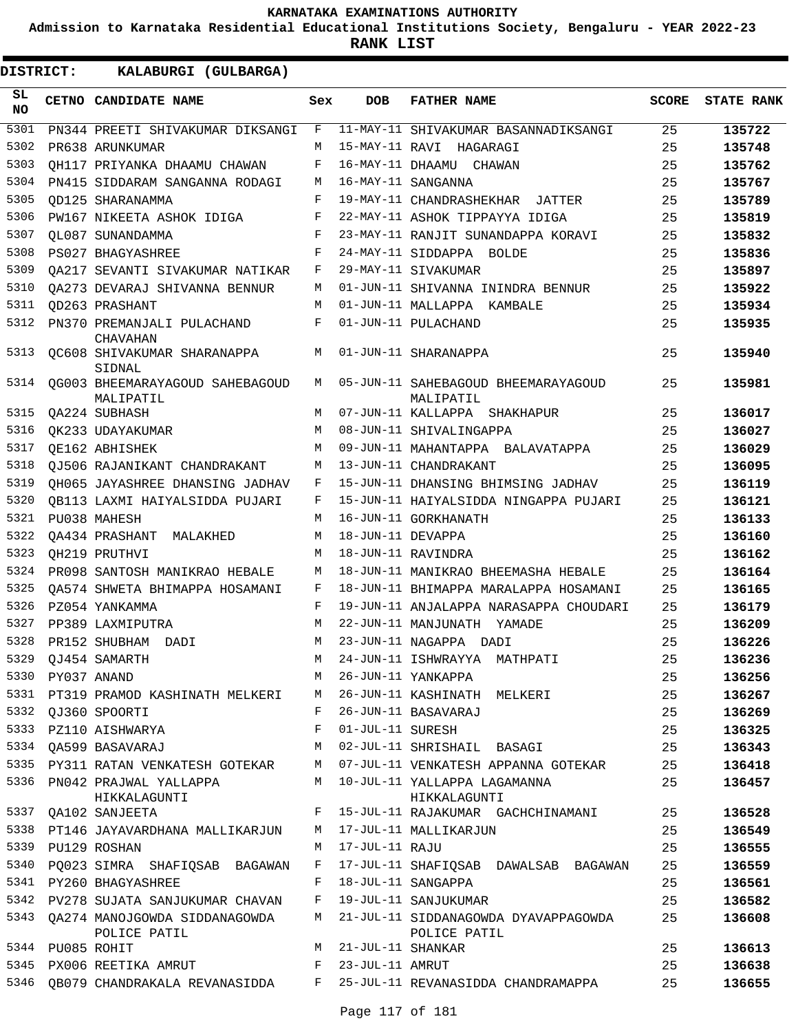**Admission to Karnataka Residential Educational Institutions Society, Bengaluru - YEAR 2022-23**

**RANK LIST**

ı

| <b>DISTRICT:</b> |                  | KALABURGI (GULBARGA)                               |     |                   |                                                      |              |                   |
|------------------|------------------|----------------------------------------------------|-----|-------------------|------------------------------------------------------|--------------|-------------------|
| SL<br><b>NO</b>  |                  | CETNO CANDIDATE NAME                               | Sex | <b>DOB</b>        | <b>FATHER NAME</b>                                   | <b>SCORE</b> | <b>STATE RANK</b> |
| 5301             |                  | PN344 PREETI SHIVAKUMAR DIKSANGI                   | F   |                   | 11-MAY-11 SHIVAKUMAR BASANNADIKSANGI                 | 25           | 135722            |
| 5302             |                  | PR638 ARUNKUMAR                                    | M   |                   | 15-MAY-11 RAVI HAGARAGI                              | 25           | 135748            |
| 5303             |                  | QH117 PRIYANKA DHAAMU CHAWAN                       | F   |                   | 16-MAY-11 DHAAMU CHAWAN                              | 25           | 135762            |
| 5304             |                  | PN415 SIDDARAM SANGANNA RODAGI                     | М   |                   | 16-MAY-11 SANGANNA                                   | 25           | 135767            |
| 5305             |                  | OD125 SHARANAMMA                                   | F   |                   | 19-MAY-11 CHANDRASHEKHAR JATTER                      | 25           | 135789            |
| 5306             |                  | PW167 NIKEETA ASHOK IDIGA                          | F   |                   | 22-MAY-11 ASHOK TIPPAYYA IDIGA                       | 25           | 135819            |
| 5307             |                  | QL087 SUNANDAMMA                                   | F   |                   | 23-MAY-11 RANJIT SUNANDAPPA KORAVI                   | 25           | 135832            |
| 5308             |                  | PS027 BHAGYASHREE                                  | F   |                   | 24-MAY-11 SIDDAPPA BOLDE                             | 25           | 135836            |
| 5309             |                  | OA217 SEVANTI SIVAKUMAR NATIKAR                    | F   |                   | 29-MAY-11 SIVAKUMAR                                  | 25           | 135897            |
| 5310             |                  | OA273 DEVARAJ SHIVANNA BENNUR                      | M   |                   | 01-JUN-11 SHIVANNA ININDRA BENNUR                    | 25           | 135922            |
| 5311             |                  | OD263 PRASHANT                                     | М   |                   | 01-JUN-11 MALLAPPA KAMBALE                           | 25           | 135934            |
| 5312             |                  | PN370 PREMANJALI PULACHAND<br><b>CHAVAHAN</b>      | F   |                   | 01-JUN-11 PULACHAND                                  | 25           | 135935            |
| 5313             |                  | OC608 SHIVAKUMAR SHARANAPPA<br>SIDNAL              | M   |                   | 01-JUN-11 SHARANAPPA                                 | 25           | 135940            |
| 5314             |                  | OG003 BHEEMARAYAGOUD SAHEBAGOUD<br>MALIPATIL       | М   |                   | 05-JUN-11 SAHEBAGOUD BHEEMARAYAGOUD<br>MALIPATIL     | 25           | 135981            |
| 5315             |                  | QA224 SUBHASH                                      | M   |                   | 07-JUN-11 KALLAPPA SHAKHAPUR                         | 25           | 136017            |
| 5316             |                  | OK233 UDAYAKUMAR                                   | M   |                   | 08-JUN-11 SHIVALINGAPPA                              | 25           | 136027            |
| 5317             |                  | OE162 ABHISHEK                                     | M   |                   | 09-JUN-11 MAHANTAPPA BALAVATAPPA                     | 25           | 136029            |
| 5318             |                  | OJ506 RAJANIKANT CHANDRAKANT                       | М   |                   | 13-JUN-11 CHANDRAKANT                                | 25           | 136095            |
| 5319             |                  | OH065 JAYASHREE DHANSING JADHAV                    | F   |                   | 15-JUN-11 DHANSING BHIMSING JADHAV                   | 25           | 136119            |
| 5320             |                  | OB113 LAXMI HAIYALSIDDA PUJARI                     | F   |                   | 15-JUN-11 HAIYALSIDDA NINGAPPA PUJARI                | 25           | 136121            |
| 5321             |                  | PU038 MAHESH                                       | M   |                   | 16-JUN-11 GORKHANATH                                 | 25           | 136133            |
| 5322             |                  | OA434 PRASHANT<br>MALAKHED                         | M   | 18-JUN-11 DEVAPPA |                                                      | 25           | 136160            |
| 5323             |                  | OH219 PRUTHVI                                      | М   |                   | 18-JUN-11 RAVINDRA                                   | 25           | 136162            |
| 5324             |                  | PR098 SANTOSH MANIKRAO HEBALE                      | М   |                   | 18-JUN-11 MANIKRAO BHEEMASHA HEBALE                  | 25           | 136164            |
| 5325             |                  | OA574 SHWETA BHIMAPPA HOSAMANI                     | F   |                   | 18-JUN-11 BHIMAPPA MARALAPPA HOSAMANI                | 25           | 136165            |
| 5326             |                  | PZ054 YANKAMMA                                     | F   |                   | 19-JUN-11 ANJALAPPA NARASAPPA CHOUDARI               | 25           | 136179            |
| 5327             |                  | PP389 LAXMIPUTRA                                   | M   |                   | 22-JUN-11 MANJUNATH YAMADE                           | 25           | 136209            |
| 5328             |                  | PR152 SHUBHAM DADI                                 | M   |                   | 23-JUN-11 NAGAPPA DADI                               | 25           | 136226            |
| 5329             |                  | QJ454 SAMARTH                                      | М   |                   | 24-JUN-11 ISHWRAYYA MATHPATI                         | 25           | 136236            |
| 5330             | PY037 ANAND      |                                                    | М   |                   | 26-JUN-11 YANKAPPA                                   | 25           | 136256            |
|                  |                  | 5331 PT319 PRAMOD KASHINATH MELKERI                | M   |                   | 26-JUN-11 KASHINATH MELKERI                          | 25           | 136267            |
| 5332             |                  | QJ360 SPOORTI                                      | F   |                   | 26-JUN-11 BASAVARAJ                                  | 25           | 136269            |
| 5333             |                  | PZ110 AISHWARYA                                    | F   | 01-JUL-11 SURESH  |                                                      | 25           | 136325            |
| 5334             |                  | QA599 BASAVARAJ                                    | M   |                   | 02-JUL-11 SHRISHAIL BASAGI                           | 25           | 136343            |
|                  |                  | 5335 PY311 RATAN VENKATESH GOTEKAR                 | М   |                   | 07-JUL-11 VENKATESH APPANNA GOTEKAR                  | 25           | 136418            |
|                  |                  | 5336 PN042 PRAJWAL YALLAPPA<br>HIKKALAGUNTI        | M   |                   | 10-JUL-11 YALLAPPA LAGAMANNA<br>HIKKALAGUNTI         | 25           | 136457            |
|                  |                  | 5337 QA102 SANJEETA                                | F   |                   | 15-JUL-11 RAJAKUMAR GACHCHINAMANI                    | 25           | 136528            |
|                  |                  | 5338 PT146 JAYAVARDHANA MALLIKARJUN                | М   |                   | 17-JUL-11 MALLIKARJUN                                | 25           | 136549            |
| 5339             |                  | PU129 ROSHAN                                       | М   | 17-JUL-11 RAJU    |                                                      | 25           | 136555            |
| 5340             |                  | PQ023 SIMRA SHAFIQSAB BAGAWAN                      | F   |                   | 17-JUL-11 SHAFIQSAB DAWALSAB BAGAWAN                 | 25           | 136559            |
|                  |                  | 5341 PY260 BHAGYASHREE                             | F   |                   | 18-JUL-11 SANGAPPA                                   | 25           | 136561            |
|                  |                  | 5342 PV278 SUJATA SANJUKUMAR CHAVAN                | F   |                   | 19-JUL-11 SANJUKUMAR                                 | 25           | 136582            |
|                  |                  | 5343 QA274 MANOJGOWDA SIDDANAGOWDA<br>POLICE PATIL | М   |                   | 21-JUL-11 SIDDANAGOWDA DYAVAPPAGOWDA<br>POLICE PATIL | 25           | 136608            |
|                  | 5344 PU085 ROHIT |                                                    | M   | 21-JUL-11 SHANKAR |                                                      | 25           | 136613            |
| 5345             |                  | PX006 REETIKA AMRUT                                | F   | 23-JUL-11 AMRUT   |                                                      | 25           | 136638            |
| 5346             |                  | QB079 CHANDRAKALA REVANASIDDA                      | F   |                   | 25-JUL-11 REVANASIDDA CHANDRAMAPPA                   | 25           | 136655            |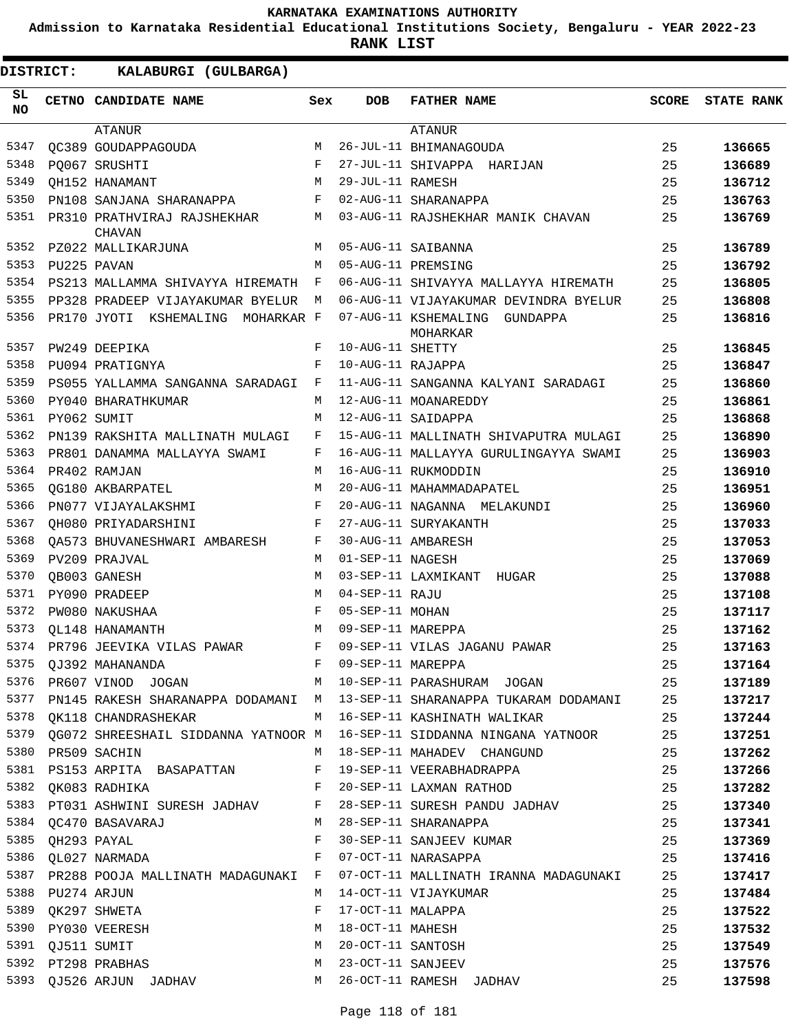**Admission to Karnataka Residential Educational Institutions Society, Bengaluru - YEAR 2022-23**

| DISTRICT:        |                  | KALABURGI (GULBARGA)                  |              |                     |                                                                                  |       |                   |
|------------------|------------------|---------------------------------------|--------------|---------------------|----------------------------------------------------------------------------------|-------|-------------------|
| SL.<br><b>NO</b> |                  | CETNO CANDIDATE NAME                  | Sex          | <b>DOB</b>          | <b>FATHER NAME</b>                                                               | SCORE | <b>STATE RANK</b> |
|                  |                  | ATANUR                                |              |                     | ATANUR                                                                           |       |                   |
| 5347             |                  | OC389 GOUDAPPAGOUDA                   | M            |                     | 26-JUL-11 BHIMANAGOUDA                                                           | 25    | 136665            |
| 5348             |                  | PO067 SRUSHTI                         | F            |                     | 27-JUL-11 SHIVAPPA HARIJAN                                                       | 25    | 136689            |
| 5349             |                  | OH152 HANAMANT                        | M            | 29-JUL-11 RAMESH    |                                                                                  | 25    | 136712            |
| 5350             |                  | PN108 SANJANA SHARANAPPA              | F            |                     | 02-AUG-11 SHARANAPPA                                                             | 25    | 136763            |
| 5351             |                  | PR310 PRATHVIRAJ RAJSHEKHAR<br>CHAVAN | M            |                     | 03-AUG-11 RAJSHEKHAR MANIK CHAVAN                                                | 25    | 136769            |
| 5352             |                  | PZ022 MALLIKARJUNA                    | M            |                     | 05-AUG-11 SAIBANNA                                                               | 25    | 136789            |
| 5353             |                  | PU225 PAVAN                           | M            |                     | 05-AUG-11 PREMSING                                                               | 25    | 136792            |
| 5354             |                  | PS213 MALLAMMA SHIVAYYA HIREMATH      | $\mathbf{F}$ |                     | 06-AUG-11 SHIVAYYA MALLAYYA HIREMATH                                             | 25    | 136805            |
| 5355             |                  | PP328 PRADEEP VIJAYAKUMAR BYELUR      | M            |                     | 06-AUG-11 VIJAYAKUMAR DEVINDRA BYELUR                                            | 25    | 136808            |
| 5356             |                  | PR170 JYOTI KSHEMALING MOHARKAR F     |              |                     | 07-AUG-11 KSHEMALING<br>GUNDAPPA<br>MOHARKAR                                     | 25    | 136816            |
| 5357             |                  | PW249 DEEPIKA                         | F            | 10-AUG-11 SHETTY    |                                                                                  | 25    | 136845            |
| 5358             |                  | PU094 PRATIGNYA                       | $_{\rm F}$   | 10-AUG-11 RAJAPPA   |                                                                                  | 25    | 136847            |
| 5359             |                  | PS055 YALLAMMA SANGANNA SARADAGI      | F            |                     | 11-AUG-11 SANGANNA KALYANI SARADAGI                                              | 25    | 136860            |
| 5360             |                  | PY040 BHARATHKUMAR                    | M            |                     | 12-AUG-11 MOANAREDDY                                                             | 25    | 136861            |
| 5361             |                  | PY062 SUMIT                           | M            |                     | 12-AUG-11 SAIDAPPA                                                               | 25    | 136868            |
| 5362             |                  | PN139 RAKSHITA MALLINATH MULAGI       | F            |                     | 15-AUG-11 MALLINATH SHIVAPUTRA MULAGI                                            | 25    | 136890            |
| 5363             |                  | PR801 DANAMMA MALLAYYA SWAMI          | F            |                     | 16-AUG-11 MALLAYYA GURULINGAYYA SWAMI                                            | 25    | 136903            |
| 5364             |                  | PR402 RAMJAN                          | M            |                     | 16-AUG-11 RUKMODDIN                                                              | 25    | 136910            |
| 5365             |                  | OG180 AKBARPATEL                      | M            |                     | 20-AUG-11 MAHAMMADAPATEL                                                         | 25    | 136951            |
| 5366             |                  | PN077 VIJAYALAKSHMI                   | F            |                     | 20-AUG-11 NAGANNA MELAKUNDI                                                      | 25    | 136960            |
| 5367             |                  | OH080 PRIYADARSHINI                   | F            |                     | 27-AUG-11 SURYAKANTH                                                             | 25    | 137033            |
| 5368             |                  | OA573 BHUVANESHWARI AMBARESH          | F            |                     | 30-AUG-11 AMBARESH                                                               | 25    | 137053            |
| 5369             |                  | PV209 PRAJVAL                         | M            | 01-SEP-11 NAGESH    |                                                                                  | 25    | 137069            |
| 5370             |                  | QB003 GANESH                          | M            |                     | 03-SEP-11 LAXMIKANT HUGAR                                                        | 25    | 137088            |
| 5371             |                  | PY090 PRADEEP                         | M            | 04-SEP-11 RAJU      |                                                                                  | 25    | 137108            |
| 5372             |                  | PW080 NAKUSHAA                        | $_{\rm F}$   | 05-SEP-11 MOHAN     |                                                                                  | 25    | 137117            |
| 5373             |                  | OL148 HANAMANTH                       | M            | 09-SEP-11 MAREPPA   |                                                                                  | 25    | 137162            |
| 5374             |                  | PR796 JEEVIKA VILAS PAWAR             | F            |                     | 09-SEP-11 VILAS JAGANU PAWAR                                                     | 25    | 137163            |
|                  |                  |                                       |              |                     |                                                                                  |       | 137164            |
|                  |                  |                                       |              |                     |                                                                                  |       | 137189            |
|                  |                  |                                       |              |                     | 5377 PN145 RAKESH SHARANAPPA DODAMANI M 13-SEP-11 SHARANAPPA TUKARAM DODAMANI 25 |       | 137217            |
|                  |                  |                                       |              |                     | 5378 QK118 CHANDRASHEKAR M 16-SEP-11 KASHINATH WALIKAR 25                        |       | 137244            |
|                  |                  |                                       |              |                     | 5379 QG072 SHREESHAIL SIDDANNA YATNOOR M 16-SEP-11 SIDDANNA NINGANA YATNOOR 25   |       | 137251            |
|                  |                  | 5380 PR509 SACHIN                     |              |                     | M 18-SEP-11 MAHADEV CHANGUND 25                                                  |       | 137262            |
|                  |                  |                                       |              |                     | 5381 PS153 ARPITA BASAPATTAN F 19-SEP-11 VEERABHADRAPPA 25                       |       | 137266            |
|                  |                  |                                       |              |                     | 5382 QK083 RADHIKA 6 20-SEP-11 LAXMAN RATHOD                                     |       | 137282            |
|                  |                  |                                       |              |                     | 5383 PT031 ASHWINI SURESH JADHAV F 28-SEP-11 SURESH PANDU JADHAV 25              |       | 137340            |
|                  |                  |                                       |              |                     |                                                                                  | 25    | 137341            |
|                  |                  |                                       |              |                     |                                                                                  |       | 137369            |
|                  |                  |                                       |              |                     |                                                                                  |       | 137416            |
|                  |                  |                                       |              |                     | 5387 PR288 POOJA MALLINATH MADAGUNAKI F 07-OCT-11 MALLINATH IRANNA MADAGUNAKI 25 |       | 137417            |
|                  | 5388 PU274 ARJUN |                                       |              |                     | M 14-OCT-11 VIJAYKUMAR                                                           | 25    | 137484            |
|                  |                  | 5389 QK297 SHWETA                     |              | F 17-OCT-11 MALAPPA |                                                                                  | 25    | 137522            |
|                  |                  | 5390 PY030 VEERESH M 18-OCT-11 MAHESH |              |                     |                                                                                  | 25    | 137532            |
|                  |                  | 5391  QJ511  SUMIT                    |              |                     |                                                                                  | 25    | 137549            |
|                  |                  | 5392 PT298 PRABHAS                    |              |                     | M 20-OCT-11 SANTOSH<br>M 23-OCT-11 SANJEEV                                       | 25    | 137576            |
|                  |                  |                                       |              |                     |                                                                                  | 25    | 137598            |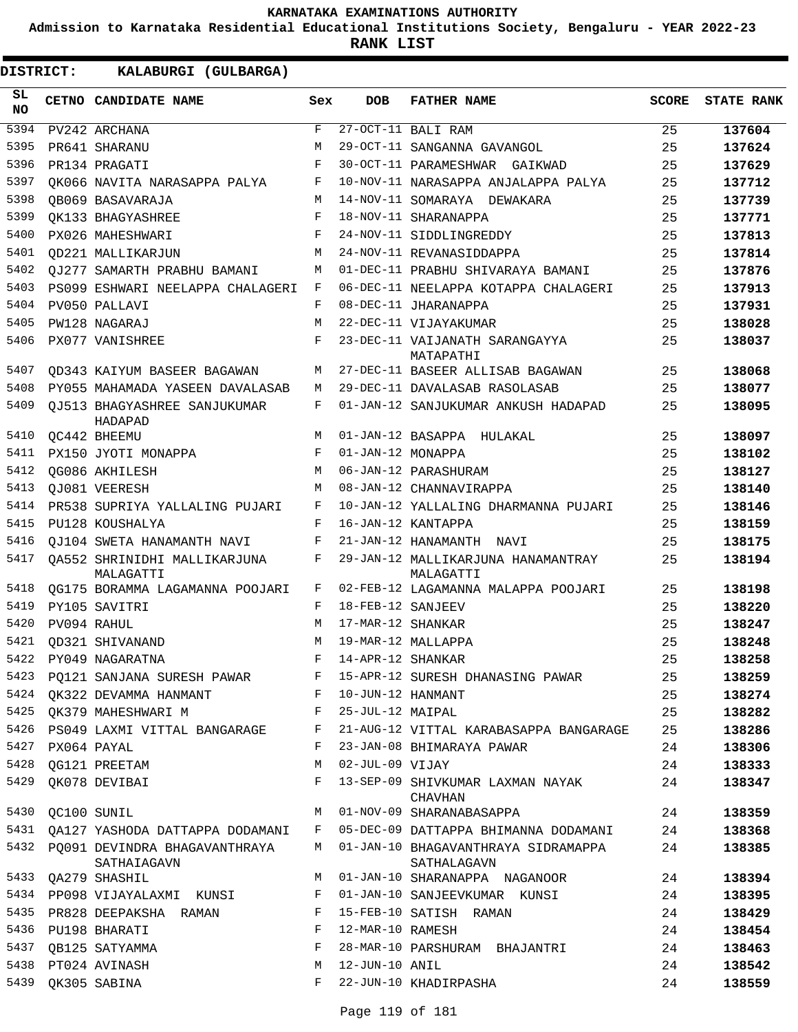**Admission to Karnataka Residential Educational Institutions Society, Bengaluru - YEAR 2022-23**

**RANK LIST**

| SL<br><b>NO</b> | CETNO CANDIDATE NAME                              | Sex        | DOB               | <b>FATHER NAME</b>                                 | <b>SCORE</b> | <b>STATE RANK</b> |
|-----------------|---------------------------------------------------|------------|-------------------|----------------------------------------------------|--------------|-------------------|
| 5394            | PV242 ARCHANA                                     | $_{\rm F}$ |                   | 27-OCT-11 BALI RAM                                 | 25           | 137604            |
| 5395            | PR641 SHARANU                                     | M          |                   | 29-OCT-11 SANGANNA GAVANGOL                        | 25           | 137624            |
| 5396            | PR134 PRAGATI                                     | $_{\rm F}$ |                   | 30-OCT-11 PARAMESHWAR GAIKWAD                      | 25           | 137629            |
| 5397            | OK066 NAVITA NARASAPPA PALYA                      | F          |                   | 10-NOV-11 NARASAPPA ANJALAPPA PALYA                | 25           | 137712            |
| 5398            | OB069 BASAVARAJA                                  | M          |                   | 14-NOV-11 SOMARAYA DEWAKARA                        | 25           | 137739            |
| 5399            | OK133 BHAGYASHREE                                 | F          |                   | 18-NOV-11 SHARANAPPA                               | 25           | 137771            |
| 5400            | PX026 MAHESHWARI                                  | F          |                   | 24-NOV-11 SIDDLINGREDDY                            | 25           | 137813            |
| 5401            | OD221 MALLIKARJUN                                 | M          |                   | 24-NOV-11 REVANASIDDAPPA                           | 25           | 137814            |
| 5402            | OJ277 SAMARTH PRABHU BAMANI                       | M          |                   | 01-DEC-11 PRABHU SHIVARAYA BAMANI                  | 25           | 137876            |
| 5403            | PS099 ESHWARI NEELAPPA CHALAGERI                  | F          |                   | 06-DEC-11 NEELAPPA KOTAPPA CHALAGERI               | 25           | 137913            |
| 5404            | PV050 PALLAVI                                     | F          |                   | 08-DEC-11 JHARANAPPA                               | 25           | 137931            |
| 5405            | PW128 NAGARAJ                                     | M          |                   | 22-DEC-11 VIJAYAKUMAR                              | 25           | 138028            |
| 5406            | PX077 VANISHREE                                   | F          |                   | 23-DEC-11 VAIJANATH SARANGAYYA<br>MATAPATHI        | 25           | 138037            |
| 5407            | OD343 KAIYUM BASEER BAGAWAN                       | М          |                   | 27-DEC-11 BASEER ALLISAB BAGAWAN                   | 25           | 138068            |
| 5408            | PY055 MAHAMADA YASEEN DAVALASAB                   | М          |                   | 29-DEC-11 DAVALASAB RASOLASAB                      | 25           | 138077            |
| 5409            | QJ513 BHAGYASHREE SANJUKUMAR<br>HADAPAD           | F          |                   | 01-JAN-12 SANJUKUMAR ANKUSH HADAPAD                | 25           | 138095            |
| 5410            | QC442 BHEEMU                                      | M          |                   | 01-JAN-12 BASAPPA HULAKAL                          | 25           | 138097            |
| 5411            | PX150 JYOTI MONAPPA                               | F          | 01-JAN-12 MONAPPA |                                                    | 25           | 138102            |
| 5412            | <b>OG086 AKHILESH</b>                             | M          |                   | 06-JAN-12 PARASHURAM                               | 25           | 138127            |
| 5413            | OJ081 VEERESH                                     | M          |                   | 08-JAN-12 CHANNAVIRAPPA                            | 25           | 138140            |
| 5414            | PR538 SUPRIYA YALLALING PUJARI                    | F          |                   | 10-JAN-12 YALLALING DHARMANNA PUJARI               | 25           | 138146            |
| 5415            | PU128 KOUSHALYA                                   | F          |                   | 16-JAN-12 KANTAPPA                                 | 25           | 138159            |
| 5416            | OJ104 SWETA HANAMANTH NAVI                        | F          |                   | 21-JAN-12 HANAMANTH NAVI                           | 25           | 138175            |
| 5417            | OA552 SHRINIDHI MALLIKARJUNA<br>MALAGATTI         | F          |                   | 29-JAN-12 MALLIKARJUNA HANAMANTRAY<br>MALAGATTI    | 25           | 138194            |
| 5418            | OG175 BORAMMA LAGAMANNA POOJARI                   | F          |                   | 02-FEB-12 LAGAMANNA MALAPPA POOJARI                | 25           | 138198            |
| 5419            | PY105 SAVITRI                                     | F          | 18-FEB-12 SANJEEV |                                                    | 25           | 138220            |
| 5420            | PV094 RAHUL                                       | M          | 17-MAR-12 SHANKAR |                                                    | 25           | 138247            |
| 5421            | OD321 SHIVANAND                                   | M          |                   | 19-MAR-12 MALLAPPA                                 | 25           | 138248            |
| 5422            | PY049 NAGARATNA                                   | F          | 14-APR-12 SHANKAR |                                                    | 25           | 138258            |
| 5423            | PQ121 SANJANA SURESH PAWAR                        | F          |                   | 15-APR-12 SURESH DHANASING PAWAR                   | 25           | 138259            |
| 5424            | OK322 DEVAMMA HANMANT                             | F          | 10-JUN-12 HANMANT |                                                    | 25           | 138274            |
|                 | 5425 QK379 MAHESHWARI M                           | F          | 25-JUL-12 MAIPAL  |                                                    | 25           | 138282            |
| 5426            | PS049 LAXMI VITTAL BANGARAGE                      | F          |                   | 21-AUG-12 VITTAL KARABASAPPA BANGARAGE             | 25           | 138286            |
| 5427            | PX064 PAYAL                                       | F          |                   | 23-JAN-08 BHIMARAYA PAWAR                          | 24           | 138306            |
| 5428            | QG121 PREETAM                                     | М          | 02-JUL-09 VIJAY   |                                                    | 24           | 138333            |
| 5429            | QK078 DEVIBAI                                     | F          |                   | 13-SEP-09 SHIVKUMAR LAXMAN NAYAK<br><b>CHAVHAN</b> | 24           | 138347            |
| 5430            | QC100 SUNIL                                       | M          |                   | 01-NOV-09 SHARANABASAPPA                           | 24           | 138359            |
|                 | 5431 QA127 YASHODA DATTAPPA DODAMANI              | F          |                   | 05-DEC-09 DATTAPPA BHIMANNA DODAMANI               | 24           | 138368            |
|                 | 5432 PO091 DEVINDRA BHAGAVANTHRAYA<br>SATHAIAGAVN | M          |                   | 01-JAN-10 BHAGAVANTHRAYA SIDRAMAPPA<br>SATHALAGAVN | 24           | 138385            |
|                 | 5433 QA279 SHASHIL                                | M          |                   | 01-JAN-10 SHARANAPPA NAGANOOR                      | 24           | 138394            |
|                 | 5434 PP098 VIJAYALAXMI KUNSI                      | F          |                   | 01-JAN-10 SANJEEVKUMAR KUNSI                       | 24           | 138395            |
| 5435            | PR828 DEEPAKSHA RAMAN                             | F          |                   | 15-FEB-10 SATISH RAMAN                             | 24           | 138429            |
|                 | 5436 PU198 BHARATI                                | F          | 12-MAR-10 RAMESH  |                                                    | 24           | 138454            |
| 5437            | QB125 SATYAMMA                                    | F          |                   | 28-MAR-10 PARSHURAM BHAJANTRI                      | 24           | 138463            |
| 5438            | PT024 AVINASH                                     | М          | 12-JUN-10 ANIL    |                                                    | 24           | 138542            |
| 5439            | QK305 SABINA                                      | F          |                   | 22-JUN-10 KHADIRPASHA                              | 24           | 138559            |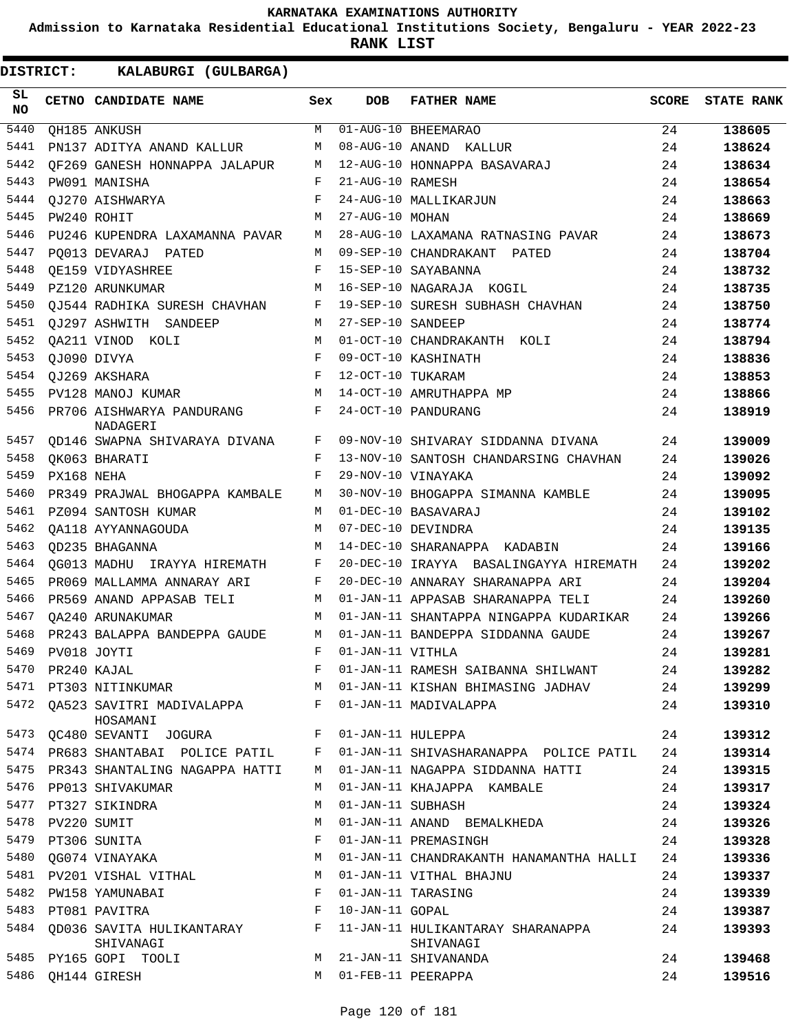**Admission to Karnataka Residential Educational Institutions Society, Bengaluru - YEAR 2022-23**

**RANK LIST**

| SL.<br><b>NO</b> |             | CETNO CANDIDATE NAME                                                   | Sex        | <b>DOB</b>        | <b>FATHER NAME</b>                             | SCORE | <b>STATE RANK</b> |
|------------------|-------------|------------------------------------------------------------------------|------------|-------------------|------------------------------------------------|-------|-------------------|
| 5440             |             | QH185 ANKUSH                                                           | M          |                   | 01-AUG-10 BHEEMARAO                            | 24    | 138605            |
| 5441             |             | PN137 ADITYA ANAND KALLUR                                              | M          |                   | 08-AUG-10 ANAND KALLUR                         | 24    | 138624            |
| 5442             |             | OF269 GANESH HONNAPPA JALAPUR                                          | M          |                   | 12-AUG-10 HONNAPPA BASAVARAJ                   | 24    | 138634            |
| 5443             |             | PW091 MANISHA                                                          | F          | 21-AUG-10 RAMESH  |                                                | 24    | 138654            |
| 5444             |             | QJ270 AISHWARYA                                                        | F          |                   | 24-AUG-10 MALLIKARJUN                          | 24    | 138663            |
| 5445             |             | PW240 ROHIT                                                            | M          | 27-AUG-10 MOHAN   |                                                | 24    | 138669            |
| 5446             |             | PU246 KUPENDRA LAXAMANNA PAVAR                                         | M          |                   | 28-AUG-10 LAXAMANA RATNASING PAVAR             | 24    | 138673            |
| 5447             |             | PO013 DEVARAJ PATED                                                    | M          |                   | 09-SEP-10 CHANDRAKANT PATED                    | 24    | 138704            |
| 5448             |             | OE159 VIDYASHREE                                                       | F          |                   | 15-SEP-10 SAYABANNA                            | 24    | 138732            |
| 5449             |             | PZ120 ARUNKUMAR                                                        | M          |                   | 16-SEP-10 NAGARAJA KOGIL                       | 24    | 138735            |
| 5450             |             | OJ544 RADHIKA SURESH CHAVHAN                                           | F          |                   | 19-SEP-10 SURESH SUBHASH CHAVHAN               | 24    | 138750            |
| 5451             |             | OJ297 ASHWITH SANDEEP                                                  | M          | 27-SEP-10 SANDEEP |                                                | 24    | 138774            |
| 5452             |             | QA211 VINOD KOLI                                                       | M          |                   | 01-OCT-10 CHANDRAKANTH KOLI                    | 24    | 138794            |
| 5453             |             | QJ090 DIVYA                                                            | F          |                   | 09-OCT-10 KASHINATH                            | 24    | 138836            |
| 5454             |             | OJ269 AKSHARA                                                          | $_{\rm F}$ | 12-OCT-10 TUKARAM |                                                | 24    | 138853            |
| 5455             |             | PV128 MANOJ KUMAR                                                      | M          |                   | 14-OCT-10 AMRUTHAPPA MP                        | 24    | 138866            |
| 5456             |             | PR706 AISHWARYA PANDURANG<br>NADAGERI                                  | F          |                   | 24-OCT-10 PANDURANG                            | 24    | 138919            |
| 5457             |             | QD146 SWAPNA SHIVARAYA DIVANA                                          | F          |                   | 09-NOV-10 SHIVARAY SIDDANNA DIVANA             | 24    | 139009            |
| 5458             |             | OK063 BHARATI                                                          | F          |                   | 13-NOV-10 SANTOSH CHANDARSING CHAVHAN          | 24    | 139026            |
| 5459             | PX168 NEHA  |                                                                        | F          |                   | 29-NOV-10 VINAYAKA                             | 24    | 139092            |
| 5460             |             | PR349 PRAJWAL BHOGAPPA KAMBALE                                         | М          |                   | 30-NOV-10 BHOGAPPA SIMANNA KAMBLE              | 24    | 139095            |
| 5461             |             | PZ094 SANTOSH KUMAR                                                    | M          |                   | 01-DEC-10 BASAVARAJ                            | 24    | 139102            |
| 5462             |             | OA118 AYYANNAGOUDA                                                     | M          |                   | 07-DEC-10 DEVINDRA                             | 24    | 139135            |
| 5463             |             | OD235 BHAGANNA                                                         | M          |                   | 14-DEC-10 SHARANAPPA KADABIN                   | 24    | 139166            |
| 5464             |             | OG013 MADHU IRAYYA HIREMATH                                            | F          |                   | 20-DEC-10 IRAYYA BASALINGAYYA HIREMATH         | 24    | 139202            |
| 5465             |             | PR069 MALLAMMA ANNARAY ARI                                             | F          |                   | 20-DEC-10 ANNARAY SHARANAPPA ARI               | 24    | 139204            |
| 5466             |             | PR569 ANAND APPASAB TELI                                               | M          |                   | 01-JAN-11 APPASAB SHARANAPPA TELI              | 24    | 139260            |
| 5467             |             | OA240 ARUNAKUMAR                                                       | M          |                   | 01-JAN-11 SHANTAPPA NINGAPPA KUDARIKAR         | 24    | 139266            |
| 5468             |             | PR243 BALAPPA BANDEPPA GAUDE                                           | M          |                   | 01-JAN-11 BANDEPPA SIDDANNA GAUDE              | 24    | 139267            |
| 5469             | PV018 JOYTI |                                                                        | F          | 01-JAN-11 VITHLA  |                                                | 24    | 139281            |
| 5470             |             | PR240 KAJAL                                                            |            |                   | 01-JAN-11 RAMESH SAIBANNA SHILWANT             | 24    | 139282            |
|                  |             | 5471 PT303 NITINKUMAR                                                  | M          |                   | 01-JAN-11 KISHAN BHIMASING JADHAV              | 24    | 139299            |
|                  |             | 5472 QA523 SAVITRI MADIVALAPPA F<br>HOSAMANI                           |            |                   | 01-JAN-11 MADIVALAPPA                          | 24    | 139310            |
| 5473             |             | $\mathbf{F}$ and $\mathbf{F}$ and $\mathbf{F}$<br>QC480 SEVANTI JOGURA |            | 01-JAN-11 HULEPPA |                                                | 24    | 139312            |
|                  |             | 5474 PR683 SHANTABAI POLICE PATIL                                      | F          |                   | 01-JAN-11 SHIVASHARANAPPA POLICE PATIL         | 24    | 139314            |
| 5475             |             | PR343 SHANTALING NAGAPPA HATTI                                         | M          |                   | 01-JAN-11 NAGAPPA SIDDANNA HATTI               | 24    | 139315            |
| 5476             |             | PP013 SHIVAKUMAR                                                       | M          |                   | 01-JAN-11 KHAJAPPA KAMBALE                     | 24    | 139317            |
|                  |             | 5477 PT327 SIKINDRA                                                    | M          | 01-JAN-11 SUBHASH |                                                | 24    | 139324            |
| 5478             | PV220 SUMIT |                                                                        | M          |                   | 01-JAN-11 ANAND BEMALKHEDA                     | 24    | 139326            |
| 5479             |             | PT306 SUNITA                                                           | F          |                   | 01-JAN-11 PREMASINGH                           | 24    | 139328            |
| 5480             |             | QG074 VINAYAKA                                                         | M          |                   | 01-JAN-11 CHANDRAKANTH HANAMANTHA HALLI        | 24    | 139336            |
|                  |             | 5481 PV201 VISHAL VITHAL                                               | M          |                   | 01-JAN-11 VITHAL BHAJNU                        | 24    | 139337            |
|                  |             | 5482 PW158 YAMUNABAI                                                   | F          |                   | 01-JAN-11 TARASING                             | 24    | 139339            |
|                  |             | 5483 PT081 PAVITRA                                                     | $_{\rm F}$ | 10-JAN-11 GOPAL   |                                                | 24    | 139387            |
|                  |             | 5484 QD036 SAVITA HULIKANTARAY F<br>SHIVANAGI                          |            |                   | 11-JAN-11 HULIKANTARAY SHARANAPPA<br>SHIVANAGI | 24    | 139393            |
| 5485             |             | PY165 GOPI TOOLI                                                       | M          |                   | 21-JAN-11 SHIVANANDA                           | 24    | 139468            |
| 5486             |             | QH144 GIRESH                                                           | M          |                   | 01-FEB-11 PEERAPPA                             | 24    | 139516            |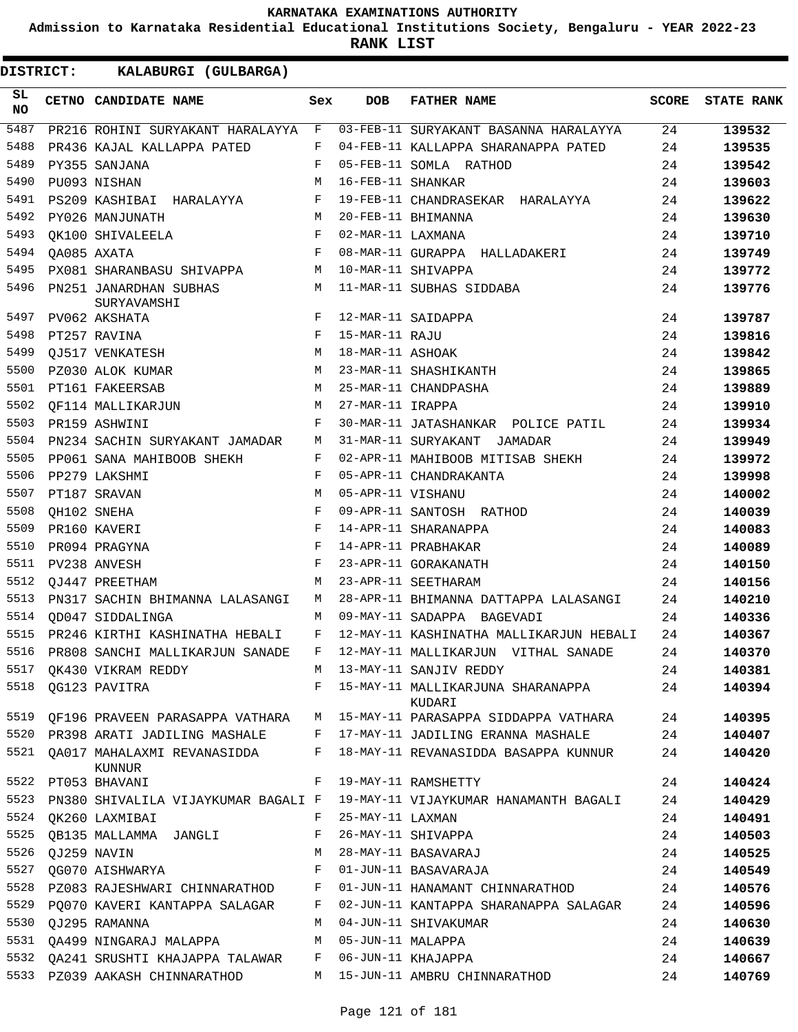**Admission to Karnataka Residential Educational Institutions Society, Bengaluru - YEAR 2022-23**

**RANK LIST**

| SL<br><b>NO</b> | CETNO CANDIDATE NAME                       | Sex        | <b>DOB</b>        | <b>FATHER NAME</b>                          | <b>SCORE</b> | <b>STATE RANK</b> |
|-----------------|--------------------------------------------|------------|-------------------|---------------------------------------------|--------------|-------------------|
| 5487            | PR216 ROHINI SURYAKANT HARALAYYA           | $_{\rm F}$ |                   | 03-FEB-11 SURYAKANT BASANNA HARALAYYA       | 24           | 139532            |
| 5488            | PR436 KAJAL KALLAPPA PATED                 | F          |                   | 04-FEB-11 KALLAPPA SHARANAPPA PATED         | 24           | 139535            |
| 5489            | PY355 SANJANA                              | F          |                   | 05-FEB-11 SOMLA RATHOD                      | 24           | 139542            |
| 5490            | PU093 NISHAN                               | М          | 16-FEB-11 SHANKAR |                                             | 24           | 139603            |
| 5491            | PS209 KASHIBAI HARALAYYA                   | F          |                   | 19-FEB-11 CHANDRASEKAR HARALAYYA            | 24           | 139622            |
| 5492            | PY026 MANJUNATH                            | М          |                   | 20-FEB-11 BHIMANNA                          | 24           | 139630            |
| 5493            | OK100 SHIVALEELA                           | F          | 02-MAR-11 LAXMANA |                                             | 24           | 139710            |
| 5494            | OA085 AXATA                                | F          |                   | 08-MAR-11 GURAPPA HALLADAKERI               | 24           | 139749            |
| 5495            | PX081 SHARANBASU SHIVAPPA                  | М          |                   | 10-MAR-11 SHIVAPPA                          | 24           | 139772            |
| 5496            | PN251 JANARDHAN SUBHAS<br>SURYAVAMSHI      | М          |                   | 11-MAR-11 SUBHAS SIDDABA                    | 24           | 139776            |
| 5497            | PV062 AKSHATA                              | F          |                   | 12-MAR-11 SAIDAPPA                          | 24           | 139787            |
| 5498            | PT257 RAVINA                               | F          | 15-MAR-11 RAJU    |                                             | 24           | 139816            |
| 5499            | OJ517 VENKATESH                            | М          | 18-MAR-11 ASHOAK  |                                             | 24           | 139842            |
| 5500            | PZ030 ALOK KUMAR                           | М          |                   | 23-MAR-11 SHASHIKANTH                       | 24           | 139865            |
| 5501            | PT161 FAKEERSAB                            | M          |                   | 25-MAR-11 CHANDPASHA                        | 24           | 139889            |
| 5502            | OF114 MALLIKARJUN                          | М          | 27-MAR-11 IRAPPA  |                                             | 24           | 139910            |
| 5503            | PR159 ASHWINI                              | F          |                   | 30-MAR-11 JATASHANKAR POLICE PATIL          | 24           | 139934            |
| 5504            | PN234 SACHIN SURYAKANT JAMADAR             | М          |                   | 31-MAR-11 SURYAKANT JAMADAR                 | 24           | 139949            |
| 5505            | PP061 SANA MAHIBOOB SHEKH                  | F          |                   | 02-APR-11 MAHIBOOB MITISAB SHEKH            | 24           | 139972            |
| 5506            | PP279 LAKSHMI                              | F          |                   | 05-APR-11 CHANDRAKANTA                      | 24           | 139998            |
| 5507            | PT187 SRAVAN                               | M          | 05-APR-11 VISHANU |                                             | 24           | 140002            |
| 5508            | OH102 SNEHA                                | F          |                   | 09-APR-11 SANTOSH RATHOD                    | 24           | 140039            |
| 5509            | PR160 KAVERI                               | F          |                   | 14-APR-11 SHARANAPPA                        | 24           | 140083            |
| 5510            | PR094 PRAGYNA                              | F          |                   | 14-APR-11 PRABHAKAR                         | 24           | 140089            |
| 5511            | PV238 ANVESH                               | F          |                   | 23-APR-11 GORAKANATH                        | 24           | 140150            |
| 5512            | OJ447 PREETHAM                             | M          |                   | 23-APR-11 SEETHARAM                         | 24           | 140156            |
| 5513            | PN317 SACHIN BHIMANNA LALASANGI            | M          |                   | 28-APR-11 BHIMANNA DATTAPPA LALASANGI       | 24           | 140210            |
| 5514            | OD047 SIDDALINGA                           | М          |                   | 09-MAY-11 SADAPPA BAGEVADI                  | 24           | 140336            |
| 5515            | PR246 KIRTHI KASHINATHA HEBALI             | F          |                   | 12-MAY-11 KASHINATHA MALLIKARJUN HEBALI     | 24           | 140367            |
| 5516            | PR808 SANCHI MALLIKARJUN SANADE            | F          |                   | 12-MAY-11 MALLIKARJUN VITHAL SANADE         | 24           | 140370            |
| 5517            | QK430 VIKRAM REDDY                         | M          |                   | 13-MAY-11 SANJIV REDDY                      | 24           | 140381            |
| 5518            | QG123 PAVITRA                              | F          |                   | 15-MAY-11 MALLIKARJUNA SHARANAPPA<br>KUDARI | 24           | 140394            |
| 5519            | OF196 PRAVEEN PARASAPPA VATHARA            |            |                   | M   15-MAY-11 PARASAPPA SIDDAPPA VATHARA    | 24           | 140395            |
|                 | 5520 PR398 ARATI JADILING MASHALE          |            |                   | F 17-MAY-11 JADILING ERANNA MASHALE         | 24           | 140407            |
|                 | 5521 QA017 MAHALAXMI REVANASIDDA<br>KUNNUR | F          |                   | 18-MAY-11 REVANASIDDA BASAPPA KUNNUR        | 24           | 140420            |
|                 | 5522 PT053 BHAVANI                         | F          |                   | 19-MAY-11 RAMSHETTY                         | 24           | 140424            |
| 5523            | PN380 SHIVALILA VIJAYKUMAR BAGALI F        |            |                   | 19-MAY-11 VIJAYKUMAR HANAMANTH BAGALI       | 24           | 140429            |
| 5524            | OK260 LAXMIBAI                             | F          | 25-MAY-11 LAXMAN  |                                             | 24           | 140491            |
| 5525            | QB135 MALLAMMA JANGLI                      | F          |                   | 26-MAY-11 SHIVAPPA                          | 24           | 140503            |
| 5526            | QJ259 NAVIN                                | М          |                   | 28-MAY-11 BASAVARAJ                         | 24           | 140525            |
| 5527            | QG070 AISHWARYA                            | F          |                   | 01-JUN-11 BASAVARAJA                        | 24           | 140549            |
| 5528            | PZ083 RAJESHWARI CHINNARATHOD              | F          |                   | 01-JUN-11 HANAMANT CHINNARATHOD             | 24           | 140576            |
| 5529            | PO070 KAVERI KANTAPPA SALAGAR              | F          |                   | 02-JUN-11 KANTAPPA SHARANAPPA SALAGAR       | 24           | 140596            |
| 5530            | QJ295 RAMANNA                              | М          |                   | 04-JUN-11 SHIVAKUMAR                        | 24           | 140630            |
| 5531            | QA499 NINGARAJ MALAPPA                     | М          | 05-JUN-11 MALAPPA |                                             | 24           | 140639            |
| 5532            | QA241 SRUSHTI KHAJAPPA TALAWAR             | F          |                   | 06-JUN-11 KHAJAPPA                          | 24           | 140667            |
|                 | 5533 PZ039 AAKASH CHINNARATHOD             | M          |                   | 15-JUN-11 AMBRU CHINNARATHOD                | 24           | 140769            |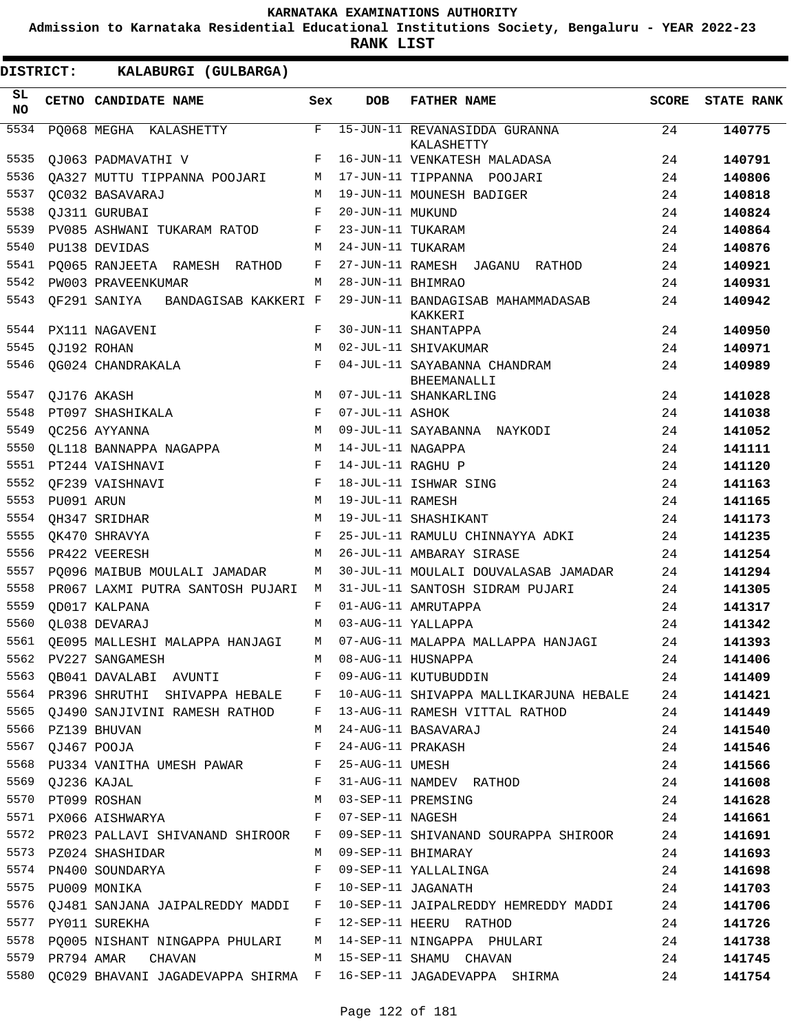**Admission to Karnataka Residential Educational Institutions Society, Bengaluru - YEAR 2022-23**

| <b>DISTRICT:</b> |                  | KALABURGI (GULBARGA)                                                          |                   |                   |                                                                                |          |                   |
|------------------|------------------|-------------------------------------------------------------------------------|-------------------|-------------------|--------------------------------------------------------------------------------|----------|-------------------|
| SL<br><b>NO</b>  |                  | CETNO CANDIDATE NAME                                                          | Sex               | <b>DOB</b>        | <b>FATHER NAME</b>                                                             | SCORE    | <b>STATE RANK</b> |
| 5534             |                  | PO068 MEGHA KALASHETTY                                                        | F                 |                   | 15-JUN-11 REVANASIDDA GURANNA<br>KALASHETTY                                    | 24       | 140775            |
| 5535             |                  | QJ063 PADMAVATHI V                                                            | $F$ –             |                   | 16-JUN-11 VENKATESH MALADASA                                                   | 24       | 140791            |
| 5536             |                  | QA327 MUTTU TIPPANNA POOJARI                                                  | M                 |                   | 17-JUN-11 TIPPANNA POOJARI                                                     | 24       | 140806            |
| 5537             |                  | QC032 BASAVARAJ                                                               | M                 |                   | 19-JUN-11 MOUNESH BADIGER                                                      | 24       | 140818            |
| 5538             |                  | QJ311 GURUBAI                                                                 | F                 | 20-JUN-11 MUKUND  |                                                                                | 24       | 140824            |
| 5539             |                  | PV085 ASHWANI TUKARAM RATOD                                                   | F                 | 23-JUN-11 TUKARAM |                                                                                | 24       | 140864            |
| 5540             |                  | PU138 DEVIDAS                                                                 | М                 | 24-JUN-11 TUKARAM |                                                                                | 24       | 140876            |
| 5541             |                  | PQ065 RANJEETA RAMESH RATHOD                                                  | F                 |                   | 27-JUN-11 RAMESH JAGANU RATHOD                                                 | 24       | 140921            |
| 5542             |                  | PW003 PRAVEENKUMAR                                                            | M                 | 28-JUN-11 BHIMRAO |                                                                                | 24       | 140931            |
| 5543             |                  | QF291 SANIYA BANDAGISAB KAKKERI F                                             |                   |                   | 29-JUN-11 BANDAGISAB MAHAMMADASAB<br>KAKKERI                                   | 24       | 140942            |
| 5544             |                  | PX111 NAGAVENI                                                                | F                 |                   | 30-JUN-11 SHANTAPPA                                                            | 24       | 140950            |
| 5545             | QJ192 ROHAN      |                                                                               | M                 |                   | 02-JUL-11 SHIVAKUMAR                                                           | 24       | 140971            |
| 5546             |                  | QG024 CHANDRAKALA                                                             | F                 |                   | 04-JUL-11 SAYABANNA CHANDRAM<br>BHEEMANALLI                                    | 24       | 140989            |
| 5547             |                  | QJ176 AKASH                                                                   | M                 |                   | 07-JUL-11 SHANKARLING                                                          | 24       | 141028            |
| 5548             |                  | PT097 SHASHIKALA                                                              | $\mathbf{F}$      | 07-JUL-11 ASHOK   |                                                                                | 24       | 141038            |
| 5549             |                  | OC256 AYYANNA                                                                 | M                 |                   | 09-JUL-11 SAYABANNA NAYKODI                                                    | 24       | 141052            |
| 5550             |                  | OL118 BANNAPPA NAGAPPA                                                        | М                 | 14-JUL-11 NAGAPPA |                                                                                | 24       | 141111            |
| 5551             |                  | PT244 VAISHNAVI                                                               | F                 | 14-JUL-11 RAGHU P |                                                                                | 24       | 141120            |
| 5552             |                  | QF239 VAISHNAVI                                                               | F                 |                   | 18-JUL-11 ISHWAR SING                                                          | 24       | 141163            |
| 5553             | PU091 ARUN       |                                                                               | М                 | 19-JUL-11 RAMESH  |                                                                                | 24       | 141165            |
| 5554             |                  | QH347 SRIDHAR                                                                 | M                 |                   | 19-JUL-11 SHASHIKANT                                                           | 24       | 141173            |
| 5555             |                  | OK470 SHRAVYA                                                                 | F                 |                   | 25-JUL-11 RAMULU CHINNAYYA ADKI                                                | 24       | 141235            |
| 5556             |                  | PR422 VEERESH                                                                 | M                 |                   | 26-JUL-11 AMBARAY SIRASE                                                       | 24       | 141254            |
| 5557             |                  | PQ096 MAIBUB MOULALI JAMADAR                                                  | М                 |                   | 30-JUL-11 MOULALI DOUVALASAB JAMADAR                                           | 24       | 141294            |
| 5558             |                  | PR067 LAXMI PUTRA SANTOSH PUJARI                                              | M                 |                   | 31-JUL-11 SANTOSH SIDRAM PUJARI                                                | 24       | 141305            |
| 5559             |                  | QD017 KALPANA                                                                 | F                 |                   | 01-AUG-11 AMRUTAPPA                                                            | 24       | 141317            |
| 5560             |                  | OL038 DEVARAJ                                                                 | M                 |                   | 03-AUG-11 YALLAPPA                                                             | 24       | 141342            |
| 5561             |                  | QE095 MALLESHI MALAPPA HANJAGI                                                | M                 |                   | 07-AUG-11 MALAPPA MALLAPPA HANJAGI                                             | 24       | 141393            |
|                  |                  |                                                                               |                   |                   |                                                                                | 24       | 141406            |
|                  |                  |                                                                               |                   |                   |                                                                                | 24       | 141409            |
|                  |                  |                                                                               |                   |                   | 5564 PR396 SHRUTHI SHIVAPPA HEBALE F 10-AUG-11 SHIVAPPA MALLIKARJUNA HEBALE 24 |          | 141421            |
|                  |                  | 5565 QJ490 SANJIVINI RAMESH RATHOD F 13-AUG-11 RAMESH VITTAL RATHOD           |                   |                   |                                                                                | 24       | 141449            |
|                  |                  | 5566 PZ139 BHUVAN                                                             | M<br>$\mathbf{F}$ | 24-AUG-11 PRAKASH | 24-AUG-11 BASAVARAJ                                                            | 24       | 141540            |
|                  | 5567 QJ467 POOJA | 5568 PU334 VANITHA UMESH PAWAR F                                              |                   | 25-AUG-11 UMESH   |                                                                                | 24<br>24 | 141546<br>141566  |
|                  | 5569 QJ236 KAJAL | $\mathbf{F}$                                                                  |                   |                   |                                                                                | 24       | 141608            |
|                  |                  | 5570 PT099 ROSHAN                                                             | M                 |                   | 31-AUG-11 NAMDEV RATHOD<br>03-SEP-11 PREMSING                                  | 24       | 141628            |
|                  |                  | 5571 PX066 AISHWARYA NATURE POT-SEP-11 NAGESH                                 |                   |                   |                                                                                | 24       | 141661            |
|                  |                  |                                                                               |                   |                   | 5572 PR023 PALLAVI SHIVANAND SHIROOR F 09-SEP-11 SHIVANAND SOURAPPA SHIROOR    | 24       | 141691            |
|                  |                  | 5573 PZ024 SHASHIDAR                                                          |                   |                   | M 09-SEP-11 BHIMARAY                                                           | 24       | 141693            |
|                  |                  | 5574 PN400 SOUNDARYA                                                          | F                 |                   | 09-SEP-11 YALLALINGA                                                           | 24       | 141698            |
| 5575             |                  | $\mathbf{F}$ and the contract of the contract of $\mathbf{F}$<br>PU009 MONIKA |                   |                   | 10-SEP-11 JAGANATH                                                             | 24       | 141703            |
| 5576             |                  | QJ481 SANJANA JAIPALREDDY MADDI F                                             |                   |                   | 10-SEP-11 JAIPALREDDY HEMREDDY MADDI                                           | 24       | 141706            |
|                  |                  | 5577 PY011 SUREKHA                                                            | $\mathbf{F}$      |                   | 12-SEP-11 HEERU RATHOD                                                         | 24       | 141726            |
|                  |                  |                                                                               |                   |                   | 5578 PQ005 NISHANT NINGAPPA PHULARI M 14-SEP-11 NINGAPPA PHULARI               | 24       | 141738            |
|                  |                  | 5579 PR794 AMAR CHAVAN                                                        |                   |                   | M 15-SEP-11 SHAMU CHAVAN                                                       | 24       | 141745            |
|                  |                  | 5580 QC029 BHAVANI JAGADEVAPPA SHIRMA F 16-SEP-11 JAGADEVAPPA SHIRMA          |                   |                   |                                                                                | 24       | 141754            |
|                  |                  |                                                                               |                   |                   |                                                                                |          |                   |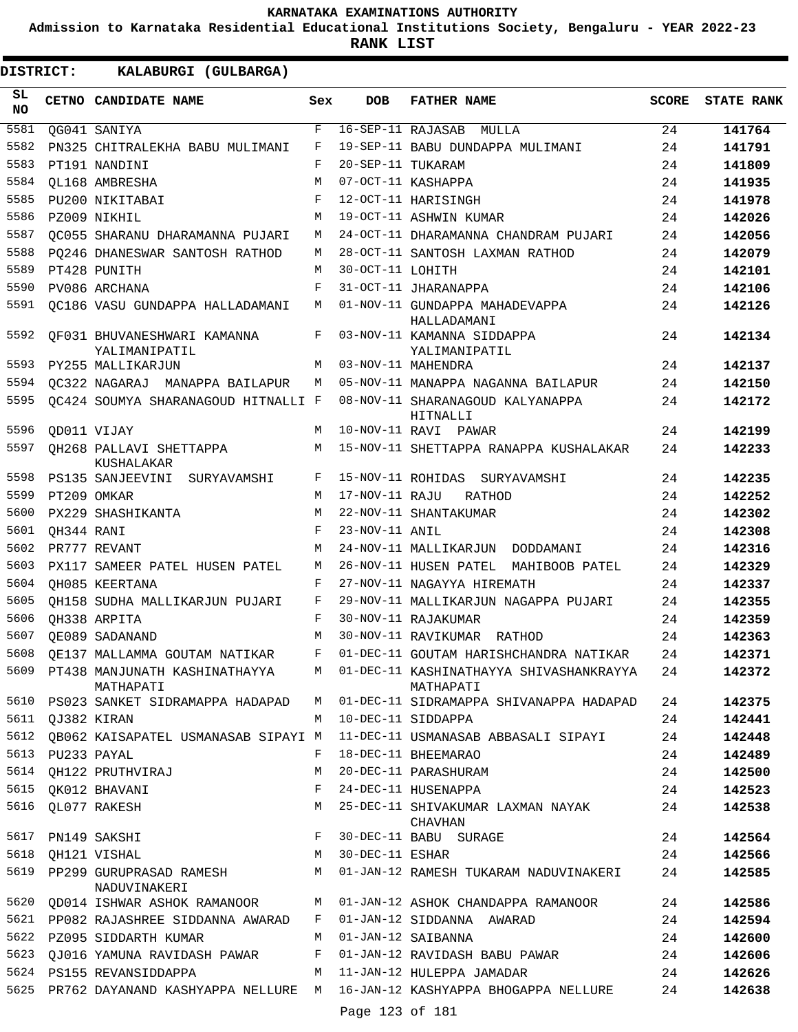**Admission to Karnataka Residential Educational Institutions Society, Bengaluru - YEAR 2022-23**

| <b>DISTRICT:</b> |                  | KALABURGI (GULBARGA)                         |     |                   |                                                      |              |                   |
|------------------|------------------|----------------------------------------------|-----|-------------------|------------------------------------------------------|--------------|-------------------|
| SL.<br><b>NO</b> |                  | CETNO CANDIDATE NAME                         | Sex | <b>DOB</b>        | <b>FATHER NAME</b>                                   | <b>SCORE</b> | <b>STATE RANK</b> |
| 5581             |                  | QG041 SANIYA                                 | F   |                   | 16-SEP-11 RAJASAB MULLA                              | 24           | 141764            |
| 5582             |                  | PN325 CHITRALEKHA BABU MULIMANI              | F   |                   | 19-SEP-11 BABU DUNDAPPA MULIMANI                     | 24           | 141791            |
| 5583             |                  | PT191 NANDINI                                | F   | 20-SEP-11 TUKARAM |                                                      | 24           | 141809            |
| 5584             |                  | OL168 AMBRESHA                               | M   |                   | 07-OCT-11 KASHAPPA                                   | 24           | 141935            |
| 5585             |                  | PU200 NIKITABAI                              | F   |                   | 12-OCT-11 HARISINGH                                  | 24           | 141978            |
| 5586             |                  | PZ009 NIKHIL                                 | M   |                   | 19-OCT-11 ASHWIN KUMAR                               | 24           | 142026            |
| 5587             |                  | QC055 SHARANU DHARAMANNA PUJARI              | M   |                   | 24-OCT-11 DHARAMANNA CHANDRAM PUJARI                 | 24           | 142056            |
| 5588             |                  | PO246 DHANESWAR SANTOSH RATHOD               | М   |                   | 28-OCT-11 SANTOSH LAXMAN RATHOD                      | 24           | 142079            |
| 5589             |                  | PT428 PUNITH                                 | М   | 30-OCT-11 LOHITH  |                                                      | 24           | 142101            |
| 5590             |                  | PV086 ARCHANA                                | F   |                   | 31-OCT-11 JHARANAPPA                                 | 24           | 142106            |
| 5591             |                  | QC186 VASU GUNDAPPA HALLADAMANI              | M   |                   | 01-NOV-11 GUNDAPPA MAHADEVAPPA<br>HALLADAMANI        | 24           | 142126            |
| 5592             |                  | QF031 BHUVANESHWARI KAMANNA<br>YALIMANIPATIL | F   |                   | 03-NOV-11 KAMANNA SIDDAPPA<br>YALIMANIPATIL          | 24           | 142134            |
| 5593             |                  | PY255 MALLIKARJUN                            | M   |                   | 03-NOV-11 MAHENDRA                                   | 24           | 142137            |
| 5594             |                  | OC322 NAGARAJ MANAPPA BAILAPUR               | M   |                   | 05-NOV-11 MANAPPA NAGANNA BAILAPUR                   | 24           | 142150            |
| 5595             |                  | QC424 SOUMYA SHARANAGOUD HITNALLI F          |     |                   | 08-NOV-11 SHARANAGOUD KALYANAPPA<br>HITNALLI         | 24           | 142172            |
| 5596             |                  | QD011 VIJAY                                  | M   |                   | 10-NOV-11 RAVI PAWAR                                 | 24           | 142199            |
| 5597             |                  | OH268 PALLAVI SHETTAPPA<br>KUSHALAKAR        | М   |                   | 15-NOV-11 SHETTAPPA RANAPPA KUSHALAKAR               | 24           | 142233            |
| 5598             |                  | PS135 SANJEEVINI<br>SURYAVAMSHI              | F   |                   | 15-NOV-11 ROHIDAS SURYAVAMSHI                        | 24           | 142235            |
| 5599             |                  | PT209 OMKAR                                  | M   | 17-NOV-11 RAJU    | RATHOD                                               | 24           | 142252            |
| 5600             |                  | PX229 SHASHIKANTA                            | M   |                   | 22-NOV-11 SHANTAKUMAR                                | 24           | 142302            |
| 5601             | QH344 RANI       |                                              | F   | 23-NOV-11 ANIL    |                                                      | 24           | 142308            |
| 5602             |                  | PR777 REVANT                                 | M   |                   | 24-NOV-11 MALLIKARJUN DODDAMANI                      | 24           | 142316            |
| 5603             |                  | PX117 SAMEER PATEL HUSEN PATEL               | М   |                   | 26-NOV-11 HUSEN PATEL MAHIBOOB PATEL                 | 24           | 142329            |
| 5604             |                  | OH085 KEERTANA                               | F   |                   | 27-NOV-11 NAGAYYA HIREMATH                           | 24           | 142337            |
| 5605             |                  | OH158 SUDHA MALLIKARJUN PUJARI               | F   |                   | 29-NOV-11 MALLIKARJUN NAGAPPA PUJARI                 | 24           | 142355            |
| 5606             |                  | OH338 ARPITA                                 | F   |                   | 30-NOV-11 RAJAKUMAR                                  | 24           | 142359            |
| 5607             |                  | OE089 SADANAND                               | М   |                   | 30-NOV-11 RAVIKUMAR RATHOD                           | 24           | 142363            |
| 5608             |                  | QE137 MALLAMMA GOUTAM NATIKAR                | F   |                   | 01-DEC-11 GOUTAM HARISHCHANDRA NATIKAR               | 24           | 142371            |
| 5609             |                  | PT438 MANJUNATH KASHINATHAYYA<br>MATHAPATI   | M   |                   | 01-DEC-11 KASHINATHAYYA SHIVASHANKRAYYA<br>MATHAPATI | 24           | 142372            |
| 5610             |                  | PS023 SANKET SIDRAMAPPA HADAPAD              | М   |                   | 01-DEC-11 SIDRAMAPPA SHIVANAPPA HADAPAD              | 24           | 142375            |
|                  | 5611 QJ382 KIRAN |                                              | M   |                   | 10-DEC-11 SIDDAPPA                                   | 24           | 142441            |
| 5612             |                  | QB062 KAISAPATEL USMANASAB SIPAYI M          |     |                   | 11-DEC-11 USMANASAB ABBASALI SIPAYI                  | 24           | 142448            |
| 5613             |                  | PU233 PAYAL                                  | F   |                   | 18-DEC-11 BHEEMARAO                                  | 24           | 142489            |
| 5614             |                  | QH122 PRUTHVIRAJ                             | М   |                   | 20-DEC-11 PARASHURAM                                 | 24           | 142500            |
| 5615             |                  | QK012 BHAVANI                                | F   |                   | 24-DEC-11 HUSENAPPA                                  | 24           | 142523            |
| 5616             |                  | QL077 RAKESH                                 | M   |                   | 25-DEC-11 SHIVAKUMAR LAXMAN NAYAK<br>CHAVHAN         | 24           | 142538            |
| 5617             |                  | PN149 SAKSHI                                 | F   |                   | 30-DEC-11 BABU SURAGE                                | 24           | 142564            |
| 5618             |                  | QH121 VISHAL                                 | M   | 30-DEC-11 ESHAR   |                                                      | 24           | 142566            |
| 5619             |                  | PP299 GURUPRASAD RAMESH<br>NADUVINAKERI      | М   |                   | 01-JAN-12 RAMESH TUKARAM NADUVINAKERI                | 24           | 142585            |
| 5620             |                  | QD014 ISHWAR ASHOK RAMANOOR                  | М   |                   | 01-JAN-12 ASHOK CHANDAPPA RAMANOOR                   | 24           | 142586            |
| 5621             |                  | PP082 RAJASHREE SIDDANNA AWARAD              | F   |                   | 01-JAN-12 SIDDANNA AWARAD                            | 24           | 142594            |
| 5622             |                  | PZ095 SIDDARTH KUMAR                         | М   |                   | 01-JAN-12 SAIBANNA                                   | 24           | 142600            |
| 5623             |                  | OJ016 YAMUNA RAVIDASH PAWAR                  | F   |                   | 01-JAN-12 RAVIDASH BABU PAWAR                        | 24           | 142606            |
| 5624             |                  | PS155 REVANSIDDAPPA                          | М   |                   | 11-JAN-12 HULEPPA JAMADAR                            | 24           | 142626            |
| 5625             |                  | PR762 DAYANAND KASHYAPPA NELLURE             | M   |                   | 16-JAN-12 KASHYAPPA BHOGAPPA NELLURE                 | 24           | 142638            |
|                  |                  |                                              |     | Page 123 of 181   |                                                      |              |                   |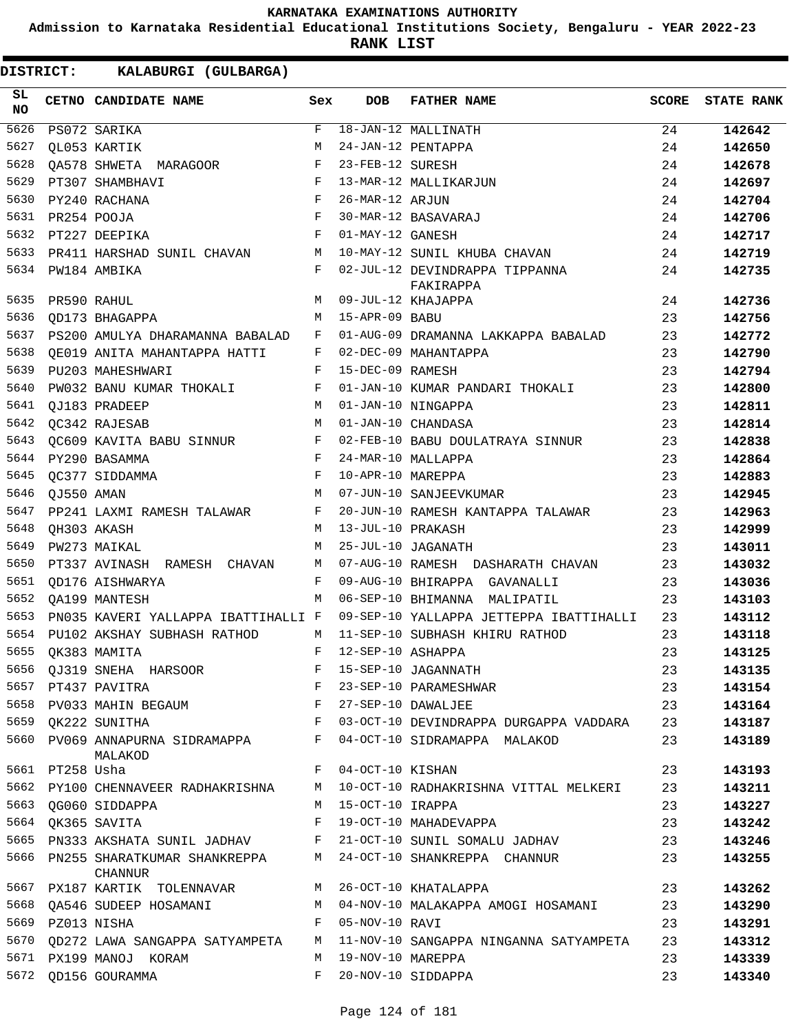**Admission to Karnataka Residential Educational Institutions Society, Bengaluru - YEAR 2022-23**

**RANK LIST**

| SL.<br><b>NO</b> |                  | CETNO CANDIDATE NAME                                              | Sex          | <b>DOB</b>          | <b>FATHER NAME</b>                                                           | SCORE | <b>STATE RANK</b> |
|------------------|------------------|-------------------------------------------------------------------|--------------|---------------------|------------------------------------------------------------------------------|-------|-------------------|
| 5626             |                  | PS072 SARIKA                                                      | F            |                     | 18-JAN-12 MALLINATH                                                          | 24    | 142642            |
| 5627             |                  | OL053 KARTIK                                                      | M            |                     | 24-JAN-12 PENTAPPA                                                           | 24    | 142650            |
| 5628             |                  | OA578 SHWETA MARAGOOR<br>$\mathbf{F}$                             |              | 23-FEB-12 SURESH    |                                                                              | 24    | 142678            |
| 5629             |                  | PT307 SHAMBHAVI                                                   | $\mathbf{F}$ |                     | 13-MAR-12 MALLIKARJUN                                                        | 24    | 142697            |
| 5630             |                  | PY240 RACHANA                                                     | $_{\rm F}$   | 26-MAR-12 ARJUN     |                                                                              | 24    | 142704            |
| 5631             |                  | <b>Example 20</b><br>PR254 POOJA                                  |              |                     | 30-MAR-12 BASAVARAJ                                                          | 24    | 142706            |
| 5632             |                  | PT227 DEEPIKA<br><b>Example 2</b>                                 |              | 01-MAY-12 GANESH    |                                                                              | 24    | 142717            |
| 5633             |                  | PR411 HARSHAD SUNIL CHAVAN M                                      |              |                     | 10-MAY-12 SUNIL KHUBA CHAVAN                                                 | 24    | 142719            |
| 5634             |                  | PW184 AMBIKA                                                      | F            |                     | 02-JUL-12 DEVINDRAPPA TIPPANNA<br>FAKIRAPPA                                  | 24    | 142735            |
| 5635             |                  | PR590 RAHUL                                                       | M            |                     | 09-JUL-12 KHAJAPPA                                                           | 24    | 142736            |
| 5636             |                  | OD173 BHAGAPPA                                                    | M            | 15-APR-09 BABU      |                                                                              | 23    | 142756            |
| 5637             |                  | PS200 AMULYA DHARAMANNA BABALAD                                   | F            |                     | 01-AUG-09 DRAMANNA LAKKAPPA BABALAD                                          | 23    | 142772            |
| 5638             |                  | OE019 ANITA MAHANTAPPA HATTI                                      | F            |                     | 02-DEC-09 MAHANTAPPA                                                         | 23    | 142790            |
| 5639             |                  | PU203 MAHESHWARI                                                  | F            | 15-DEC-09 RAMESH    |                                                                              | 23    | 142794            |
| 5640             |                  | PW032 BANU KUMAR THOKALI                                          | F            |                     | 01-JAN-10 KUMAR PANDARI THOKALI                                              | 23    | 142800            |
| 5641             |                  | OJ183 PRADEEP                                                     | M            |                     | 01-JAN-10 NINGAPPA                                                           | 23    | 142811            |
| 5642             |                  | OC342 RAJESAB                                                     | M            |                     | 01-JAN-10 CHANDASA                                                           | 23    | 142814            |
| 5643             |                  | QC609 KAVITA BABU SINNUR F                                        |              |                     | 02-FEB-10 BABU DOULATRAYA SINNUR                                             | 23    | 142838            |
| 5644             |                  | $\mathbf{F}$ and $\mathbf{F}$<br>PY290 BASAMMA                    |              |                     | 24-MAR-10 MALLAPPA                                                           | 23    | 142864            |
| 5645             |                  | <b>Example 2</b><br>OC377 SIDDAMMA                                |              | 10-APR-10 MAREPPA   |                                                                              | 23    | 142883            |
| 5646             | OJ550 AMAN       |                                                                   | M            |                     | 07-JUN-10 SANJEEVKUMAR                                                       | 23    | 142945            |
| 5647             |                  | PP241 LAXMI RAMESH TALAWAR                                        | $\mathbf{F}$ |                     | 20-JUN-10 RAMESH KANTAPPA TALAWAR                                            | 23    | 142963            |
| 5648             |                  | QH303 AKASH                                                       | M            | 13-JUL-10 PRAKASH   |                                                                              | 23    | 142999            |
| 5649             |                  | PW273 MAIKAL                                                      | M            |                     | 25-JUL-10 JAGANATH                                                           | 23    | 143011            |
| 5650             |                  | PT337 AVINASH RAMESH CHAVAN                                       | M            |                     | 07-AUG-10 RAMESH DASHARATH CHAVAN                                            | 23    | 143032            |
| 5651             |                  | OD176 AISHWARYA                                                   | F            |                     | 09-AUG-10 BHIRAPPA GAVANALLI                                                 | 23    | 143036            |
| 5652             |                  | OA199 MANTESH                                                     | M            |                     | 06-SEP-10 BHIMANNA MALIPATIL                                                 | 23    | 143103            |
| 5653             |                  | PN035 KAVERI YALLAPPA IBATTIHALLI F                               |              |                     | 09-SEP-10 YALLAPPA JETTEPPA IBATTIHALLI                                      | 23    | 143112            |
| 5654             |                  | PU102 AKSHAY SUBHASH RATHOD<br>$M_{\odot}$                        |              |                     | 11-SEP-10 SUBHASH KHIRU RATHOD                                               | 23    | 143118            |
| 5655             |                  | OK383 MAMITA                                                      | F            | 12-SEP-10 ASHAPPA   |                                                                              | 23    | 143125            |
| 5656             |                  | QJ319 SNEHA HARSOOR                                               |              |                     | 15-SEP-10 JAGANNATH                                                          | 23    | 143135            |
|                  |                  | $\mathbf{F} = \mathbf{F} \times \mathbf{F}$<br>5657 PT437 PAVITRA |              |                     | 23-SEP-10 PARAMESHWAR                                                        | 23    | 143154            |
|                  |                  | 5658 PV033 MAHIN BEGAUM F<br>5659 QK222 SUNITHA F                 |              |                     | 27-SEP-10 DAWALJEE                                                           | 23    | 143164            |
|                  |                  |                                                                   |              |                     | 03-OCT-10 DEVINDRAPPA DURGAPPA VADDARA                                       | 23    | 143187            |
|                  |                  | 5660 PV069 ANNAPURNA SIDRAMAPPA F<br>MALAKOD                      |              |                     | 04-OCT-10 SIDRAMAPPA MALAKOD                                                 | 23    | 143189            |
|                  | 5661 PT258 Usha  |                                                                   |              | F 04-OCT-10 KISHAN  |                                                                              | 23    | 143193            |
|                  |                  |                                                                   |              |                     | 5662 PY100 CHENNAVEER RADHAKRISHNA M 10-OCT-10 RADHAKRISHNA VITTAL MELKERI   | 23    | 143211            |
| 5663             |                  | OG060 SIDDAPPA                                                    |              | M 15-OCT-10 IRAPPA  |                                                                              | 23    | 143227            |
|                  |                  | 5664 QK365 SAVITA                                                 |              |                     | F 19-OCT-10 MAHADEVAPPA                                                      | 23    | 143242            |
|                  |                  | 5665 PN333 AKSHATA SUNIL JADHAV F 21-OCT-10 SUNIL SOMALU JADHAV   |              |                     |                                                                              | 23    | 143246            |
|                  |                  | 5666 PN255 SHARATKUMAR SHANKREPPA M<br>CHANNUR                    |              |                     | 24-OCT-10 SHANKREPPA CHANNUR                                                 | 23    | 143255            |
|                  |                  |                                                                   |              |                     | 5667 PX187 KARTIK TOLENNAVAR M 26-OCT-10 KHATALAPPA                          | 23    | 143262            |
|                  |                  |                                                                   |              |                     | 5668 QA546 SUDEEP HOSAMANI M M 04-NOV-10 MALAKAPPA AMOGI HOSAMANI            | 23    | 143290            |
|                  | 5669 PZ013 NISHA | $\mathbf{F}$                                                      |              | 05-NOV-10 RAVI      |                                                                              | 23    | 143291            |
|                  |                  |                                                                   |              |                     | 5670 QD272 LAWA SANGAPPA SATYAMPETA M 11-NOV-10 SANGAPPA NINGANNA SATYAMPETA | 23    | 143312            |
|                  |                  | 5671 PX199 MANOJ KORAM                                            |              | M 19-NOV-10 MAREPPA |                                                                              | 23    | 143339            |
|                  |                  | 5672 QD156 GOURAMMA                                               | $F$ and      |                     | 20-NOV-10 SIDDAPPA                                                           | 23    | 143340            |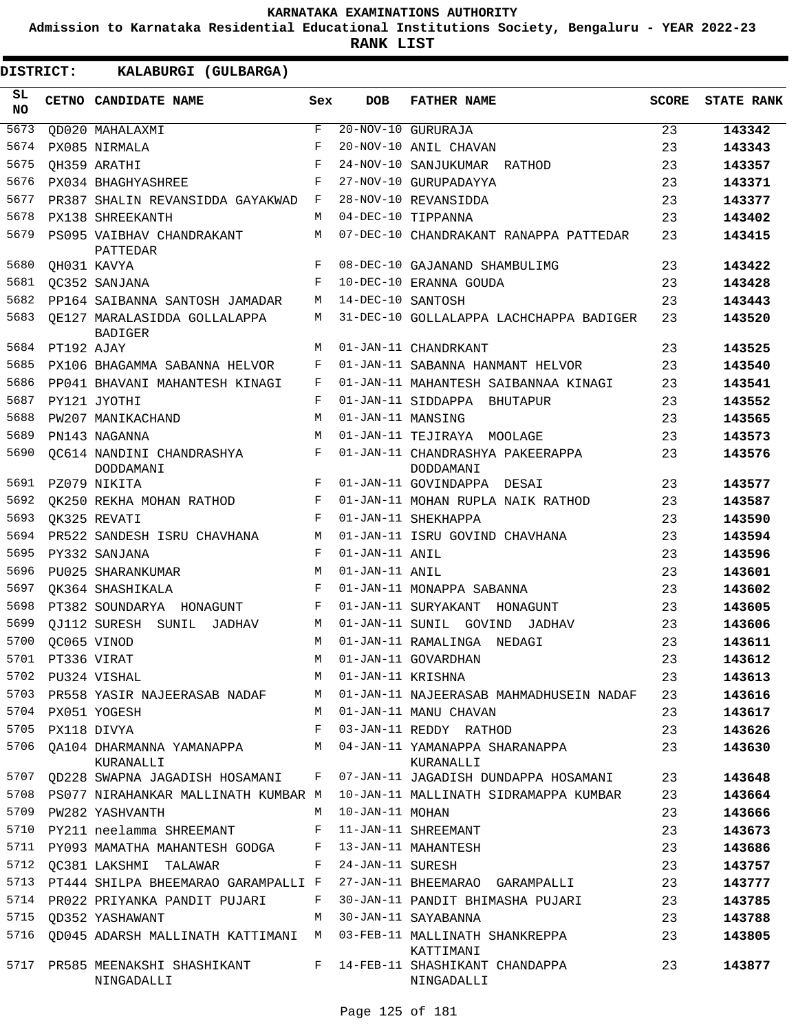**Admission to Karnataka Residential Educational Institutions Society, Bengaluru - YEAR 2022-23**

**RANK LIST**

| SL<br>NO. |             | CETNO CANDIDATE NAME                           | Sex         | <b>DOB</b>        | <b>FATHER NAME</b>                            | <b>SCORE</b> | <b>STATE RANK</b> |
|-----------|-------------|------------------------------------------------|-------------|-------------------|-----------------------------------------------|--------------|-------------------|
| 5673      |             | OD020 MAHALAXMI                                | $\mathbf F$ |                   | $\overline{20-NOV-10}$ GURURAJA               | 23           | 143342            |
| 5674      |             | PX085 NIRMALA                                  | F           |                   | 20-NOV-10 ANIL CHAVAN                         | 23           | 143343            |
| 5675      |             | OH359 ARATHI                                   | F           |                   | 24-NOV-10 SANJUKUMAR RATHOD                   | 23           | 143357            |
| 5676      |             | PX034 BHAGHYASHREE                             | F           |                   | 27-NOV-10 GURUPADAYYA                         | 23           | 143371            |
| 5677      |             | PR387 SHALIN REVANSIDDA GAYAKWAD               | F           |                   | 28-NOV-10 REVANSIDDA                          | 23           | 143377            |
| 5678      |             | PX138 SHREEKANTH                               | M           |                   | 04-DEC-10 TIPPANNA                            | 23           | 143402            |
| 5679      |             | PS095 VAIBHAV CHANDRAKANT<br>PATTEDAR          | M           |                   | 07-DEC-10 CHANDRAKANT RANAPPA PATTEDAR        | 23           | 143415            |
| 5680      |             | QH031 KAVYA                                    | F           |                   | 08-DEC-10 GAJANAND SHAMBULIMG                 | 23           | 143422            |
| 5681      |             | QC352 SANJANA                                  | F           |                   | 10-DEC-10 ERANNA GOUDA                        | 23           | 143428            |
| 5682      |             | PP164 SAIBANNA SANTOSH JAMADAR                 | М           | 14-DEC-10 SANTOSH |                                               | 23           | 143443            |
| 5683      |             | OE127 MARALASIDDA GOLLALAPPA<br><b>BADIGER</b> | М           |                   | 31-DEC-10 GOLLALAPPA LACHCHAPPA BADIGER       | 23           | 143520            |
| 5684      | PT192 AJAY  |                                                | М           |                   | 01-JAN-11 CHANDRKANT                          | 23           | 143525            |
| 5685      |             | PX106 BHAGAMMA SABANNA HELVOR                  | F           |                   | 01-JAN-11 SABANNA HANMANT HELVOR              | 23           | 143540            |
| 5686      |             | PP041 BHAVANI MAHANTESH KINAGI                 | F           |                   | 01-JAN-11 MAHANTESH SAIBANNAA KINAGI          | 23           | 143541            |
| 5687      |             | PY121 JYOTHI                                   | F           |                   | 01-JAN-11 SIDDAPPA BHUTAPUR                   | 23           | 143552            |
| 5688      |             | PW207 MANIKACHAND                              | М           | 01-JAN-11 MANSING |                                               | 23           | 143565            |
| 5689      |             | PN143 NAGANNA                                  | M           |                   | 01-JAN-11 TEJIRAYA MOOLAGE                    | 23           | 143573            |
| 5690      |             | OC614 NANDINI CHANDRASHYA<br>DODDAMANI         | F           |                   | 01-JAN-11 CHANDRASHYA PAKEERAPPA<br>DODDAMANI | 23           | 143576            |
| 5691      |             | PZ079 NIKITA                                   | F           |                   | 01-JAN-11 GOVINDAPPA DESAI                    | 23           | 143577            |
| 5692      |             | OK250 REKHA MOHAN RATHOD                       | F           |                   | 01-JAN-11 MOHAN RUPLA NAIK RATHOD             | 23           | 143587            |
| 5693      |             | OK325 REVATI                                   | F           |                   | 01-JAN-11 SHEKHAPPA                           | 23           | 143590            |
| 5694      |             | PR522 SANDESH ISRU CHAVHANA                    | М           |                   | 01-JAN-11 ISRU GOVIND CHAVHANA                | 23           | 143594            |
| 5695      |             | PY332 SANJANA                                  | F           | 01-JAN-11 ANIL    |                                               | 23           | 143596            |
| 5696      |             | PU025 SHARANKUMAR                              | М           | 01-JAN-11 ANIL    |                                               | 23           | 143601            |
| 5697      |             | OK364 SHASHIKALA                               | F           |                   | 01-JAN-11 MONAPPA SABANNA                     | 23           | 143602            |
| 5698      |             | PT382 SOUNDARYA HONAGUNT                       | F           |                   | 01-JAN-11 SURYAKANT<br>HONAGUNT               | 23           | 143605            |
| 5699      |             | OJ112 SURESH SUNIL<br>JADHAV                   | М           | 01-JAN-11 SUNIL   | GOVIND<br>JADHAV                              | 23           | 143606            |
| 5700      | OC065 VINOD |                                                | М           |                   | 01-JAN-11 RAMALINGA NEDAGI                    | 23           | 143611            |
| 5701      | PT336 VIRAT |                                                | M           |                   | 01-JAN-11 GOVARDHAN                           | 23           | 143612            |
| 5702      |             | PU324 VISHAL                                   | М           | 01-JAN-11 KRISHNA |                                               | 23           | 143613            |
| 5703      |             | PR558 YASIR NAJEERASAB NADAF                   | М           |                   | 01-JAN-11 NAJEERASAB MAHMADHUSEIN NADAF       | 23           | 143616            |
| 5704      |             | PX051 YOGESH                                   | М           |                   | 01-JAN-11 MANU CHAVAN                         | 23           | 143617            |
| 5705      | PX118 DIVYA |                                                | F           |                   | 03-JAN-11 REDDY RATHOD                        | 23           | 143626            |
| 5706      |             | QA104 DHARMANNA YAMANAPPA<br>KURANALLI         | М           |                   | 04-JAN-11 YAMANAPPA SHARANAPPA<br>KURANALLI   | 23           | 143630            |
| 5707      |             | QD228 SWAPNA JAGADISH HOSAMANI                 | F           |                   | 07-JAN-11 JAGADISH DUNDAPPA HOSAMANI          | 23           | 143648            |
| 5708      |             | PS077 NIRAHANKAR MALLINATH KUMBAR M            |             |                   | 10-JAN-11 MALLINATH SIDRAMAPPA KUMBAR         | 23           | 143664            |
| 5709      |             | PW282 YASHVANTH                                | М           | 10-JAN-11 MOHAN   |                                               | 23           | 143666            |
| 5710      |             | PY211 neelamma SHREEMANT                       | F           |                   | 11-JAN-11 SHREEMANT                           | 23           | 143673            |
| 5711      |             | PY093 MAMATHA MAHANTESH GODGA                  | F           |                   | 13-JAN-11 MAHANTESH                           | 23           | 143686            |
| 5712      |             | QC381 LAKSHMI TALAWAR                          | F           | 24-JAN-11 SURESH  |                                               | 23           | 143757            |
| 5713      |             | PT444 SHILPA BHEEMARAO GARAMPALLI F            |             |                   | 27-JAN-11 BHEEMARAO GARAMPALLI                | 23           | 143777            |
|           |             | 5714 PR022 PRIYANKA PANDIT PUJARI              | F           |                   | 30-JAN-11 PANDIT BHIMASHA PUJARI              | 23           | 143785            |
| 5715      |             | <b>QD352 YASHAWANT</b>                         | М           |                   | 30-JAN-11 SAYABANNA                           | 23           | 143788            |
| 5716      |             | QD045 ADARSH MALLINATH KATTIMANI               | М           |                   | 03-FEB-11 MALLINATH SHANKREPPA<br>KATTIMANI   | 23           | 143805            |
| 5717      |             | PR585 MEENAKSHI SHASHIKANT<br>NINGADALLI       | F           |                   | 14-FEB-11 SHASHIKANT CHANDAPPA<br>NINGADALLI  | 23           | 143877            |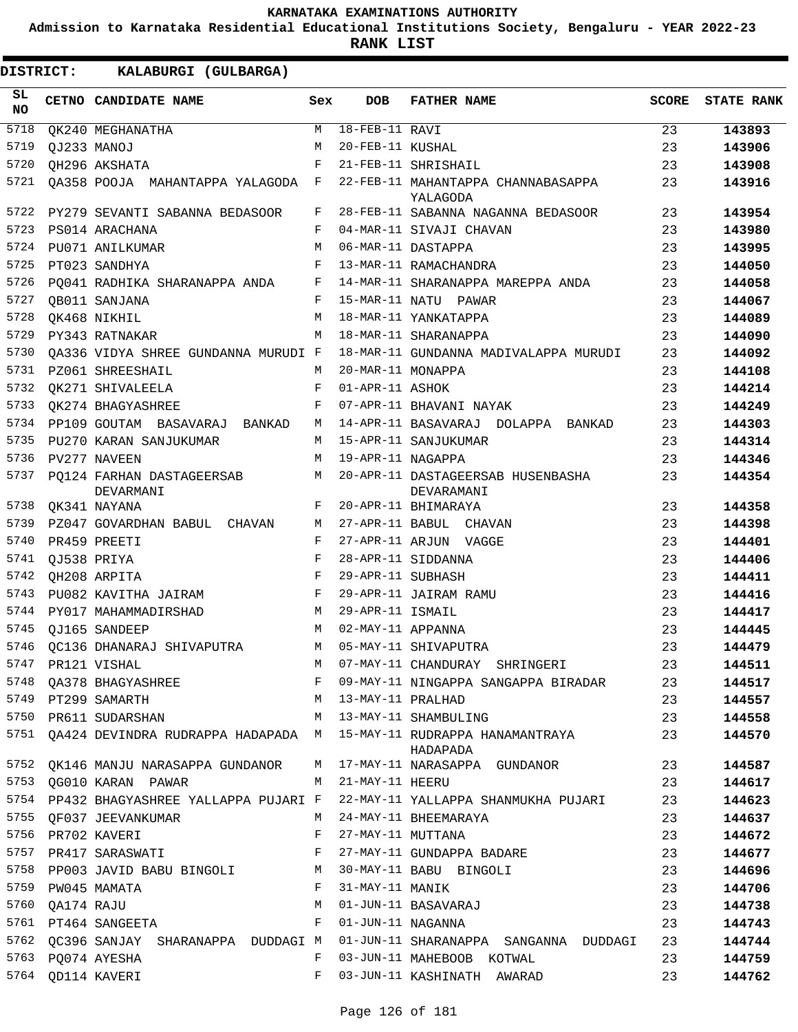**Admission to Karnataka Residential Educational Institutions Society, Bengaluru - YEAR 2022-23**

| DISTRICT:       | KALABURGI (GULBARGA)                                                                                       |     |                      |                                                                                                                                                                                                                                      |              |                   |
|-----------------|------------------------------------------------------------------------------------------------------------|-----|----------------------|--------------------------------------------------------------------------------------------------------------------------------------------------------------------------------------------------------------------------------------|--------------|-------------------|
| SL<br><b>NO</b> | CETNO CANDIDATE NAME                                                                                       | Sex | <b>DOB</b>           | <b>FATHER NAME</b>                                                                                                                                                                                                                   | <b>SCORE</b> | <b>STATE RANK</b> |
| 5718            | OK240 MEGHANATHA                                                                                           | М   | $18 - FEB - 11$ RAVI |                                                                                                                                                                                                                                      | 23           | 143893            |
| 5719            | OJ233 MANOJ                                                                                                | M   | 20-FEB-11 KUSHAL     |                                                                                                                                                                                                                                      | 23           | 143906            |
| 5720            | QH296 AKSHATA                                                                                              | F   |                      | 21-FEB-11 SHRISHAIL                                                                                                                                                                                                                  | 23           | 143908            |
| 5721            | QA358 POOJA MAHANTAPPA YALAGODA F                                                                          |     |                      | 22-FEB-11 MAHANTAPPA CHANNABASAPPA<br>YALAGODA                                                                                                                                                                                       | 23           | 143916            |
| 5722            | PY279 SEVANTI SABANNA BEDASOOR                                                                             | F   |                      | 28-FEB-11 SABANNA NAGANNA BEDASOOR                                                                                                                                                                                                   | 23           | 143954            |
| 5723            | PS014 ARACHANA                                                                                             | F   |                      | 04-MAR-11 SIVAJI CHAVAN                                                                                                                                                                                                              | 23           | 143980            |
| 5724            | PU071 ANILKUMAR                                                                                            | M   |                      | 06-MAR-11 DASTAPPA                                                                                                                                                                                                                   | 23           | 143995            |
| 5725            | PT023 SANDHYA                                                                                              | F   |                      | 13-MAR-11 RAMACHANDRA                                                                                                                                                                                                                | 23           | 144050            |
| 5726            | PQ041 RADHIKA SHARANAPPA ANDA                                                                              | F   |                      | 14-MAR-11 SHARANAPPA MAREPPA ANDA                                                                                                                                                                                                    | 23           | 144058            |
| 5727            | <b>QB011 SANJANA</b>                                                                                       | F   |                      | 15-MAR-11 NATU PAWAR                                                                                                                                                                                                                 | 23           | 144067            |
| 5728            | QK468 NIKHIL                                                                                               | M   |                      | 18-MAR-11 YANKATAPPA                                                                                                                                                                                                                 | 23           | 144089            |
| 5729            | PY343 RATNAKAR                                                                                             | M   |                      | 18-MAR-11 SHARANAPPA                                                                                                                                                                                                                 | 23           | 144090            |
| 5730            | OA336 VIDYA SHREE GUNDANNA MURUDI F                                                                        |     |                      | 18-MAR-11 GUNDANNA MADIVALAPPA MURUDI                                                                                                                                                                                                | 23           | 144092            |
| 5731            | PZ061 SHREESHAIL                                                                                           | M   | 20-MAR-11 MONAPPA    |                                                                                                                                                                                                                                      | 23           | 144108            |
| 5732            | OK271 SHIVALEELA                                                                                           | F   | 01-APR-11 ASHOK      |                                                                                                                                                                                                                                      | 23           | 144214            |
| 5733            | OK274 BHAGYASHREE                                                                                          | F   |                      | 07-APR-11 BHAVANI NAYAK                                                                                                                                                                                                              | 23           | 144249            |
| 5734            | PP109 GOUTAM BASAVARAJ BANKAD                                                                              | М   |                      | 14-APR-11 BASAVARAJ DOLAPPA BANKAD                                                                                                                                                                                                   | 23           | 144303            |
| 5735            | PU270 KARAN SANJUKUMAR                                                                                     | M   |                      | 15-APR-11 SANJUKUMAR                                                                                                                                                                                                                 | 23           | 144314            |
| 5736            | PV277 NAVEEN                                                                                               | M   | 19-APR-11 NAGAPPA    |                                                                                                                                                                                                                                      | 23           | 144346            |
| 5737            | PQ124 FARHAN DASTAGEERSAB<br>DEVARMANI                                                                     | M   |                      | 20-APR-11 DASTAGEERSAB HUSENBASHA<br>DEVARAMANI                                                                                                                                                                                      | 23           | 144354            |
| 5738            | OK341 NAYANA                                                                                               | F   |                      | 20-APR-11 BHIMARAYA                                                                                                                                                                                                                  | 23           | 144358            |
| 5739            | PZ047 GOVARDHAN BABUL CHAVAN                                                                               | М   |                      | 27-APR-11 BABUL CHAVAN                                                                                                                                                                                                               | 23           | 144398            |
| 5740            | PR459 PREETI                                                                                               | F   |                      | 27-APR-11 ARJUN VAGGE                                                                                                                                                                                                                | 23           | 144401            |
| 5741            | QJ538 PRIYA                                                                                                | F   |                      | 28-APR-11 SIDDANNA                                                                                                                                                                                                                   | 23           | 144406            |
| 5742            | QH208 ARPITA                                                                                               | F   | 29-APR-11 SUBHASH    |                                                                                                                                                                                                                                      | 23           | 144411            |
| 5743            | PU082 KAVITHA JAIRAM                                                                                       | F   |                      | 29-APR-11 JAIRAM RAMU                                                                                                                                                                                                                | 23           | 144416            |
| 5744            | PY017 MAHAMMADIRSHAD                                                                                       | M   | 29-APR-11 ISMAIL     |                                                                                                                                                                                                                                      | 23           | 144417            |
| 5745            | OJ165 SANDEEP                                                                                              | M   | 02-MAY-11 APPANNA    |                                                                                                                                                                                                                                      | 23           | 144445            |
|                 | 5746 QC136 DHANARAJ SHIVAPUTRA                                                                             | M   |                      | 05-MAY-11 SHIVAPUTRA                                                                                                                                                                                                                 | 23           | 144479            |
|                 | 5747 PR121 VISHAL                                                                                          |     |                      | M 07-MAY-11 CHANDURAY SHRINGERI                                                                                                                                                                                                      | 23           | 144511            |
|                 |                                                                                                            |     |                      | 5747 PRIZI VISHAL (1998)<br>5748 QA378 BHAGYASHREE (5748 PRIZI PRIZI PRIZI PRIZI PRIZI PRIZI PRIZI PRIZI PRIZI PRIZI PRIZI PRIZI PRIZI PR<br>23 - 1991 - 1992 - 1993 PRIZI PRIZI PRIZI PRIZI PRIZI PRIZI PRIZI PRIZI PRIZI PRIZI PRI |              | 144517            |
|                 | 5749 PT299 SAMARTH M 13-MAY-11 PRALHAD                                                                     |     |                      |                                                                                                                                                                                                                                      | 23           | 144557            |
|                 | 5750 PR611 SUDARSHAN M 13-MAY-11 SHAMBULING                                                                |     |                      |                                                                                                                                                                                                                                      | 23           | 144558            |
|                 |                                                                                                            |     |                      | 5751 QA424 DEVINDRA RUDRAPPA HADAPADA M 15-MAY-11 RUDRAPPA HANAMANTRAYA<br>HADAPADA                                                                                                                                                  | 23           | 144570            |
|                 |                                                                                                            |     |                      | 5752 QK146 MANJU NARASAPPA GUNDANOR M 17-MAY-11 NARASAPPA GUNDANOR                                                                                                                                                                   | 23           | 144587            |
|                 | 5753 QG010 KARAN PAWAR M 21-MAY-11 HEERU                                                                   |     |                      |                                                                                                                                                                                                                                      | 23           | 144617            |
|                 |                                                                                                            |     |                      | 5754 PP432 BHAGYASHREE YALLAPPA PUJARI F 22-MAY-11 YALLAPPA SHANMUKHA PUJARI 23                                                                                                                                                      |              | 144623            |
|                 | 5755 QF037 JEEVANKUMAR                                                                                     |     |                      | M 24-MAY-11 BHEEMARAYA                                                                                                                                                                                                               | 23           | 144637            |
|                 | 5756 PR702 KAVERI                                                                                          |     | F 27-MAY-11 MUTTANA  |                                                                                                                                                                                                                                      | 23           | 144672            |
|                 |                                                                                                            |     |                      |                                                                                                                                                                                                                                      | 23           |                   |
|                 | 5757 PR417 SARASWATI F 27-MAY-11 GUNDAPPA BADARE<br>5758 PP003 JAVID BABU BINGOLI M 30-MAY-11 BABU BINGOLI |     |                      |                                                                                                                                                                                                                                      | 23           | 144677<br>144696  |
|                 | 5759 PW045 MAMATA                                                                                          |     |                      | F 31-MAY-11 MANIK                                                                                                                                                                                                                    | 23           |                   |
|                 | 5760 QA174 RAJU                                                                                            |     |                      | M 01-JUN-11 BASAVARAJ                                                                                                                                                                                                                |              | 144706            |
|                 | 5761 PT464 SANGEETA F 01-JUN-11 NAGANNA                                                                    |     |                      |                                                                                                                                                                                                                                      | 23           | 144738            |
|                 |                                                                                                            |     |                      |                                                                                                                                                                                                                                      | 23           | 144743            |
|                 |                                                                                                            |     |                      | 5762 QC396 SANJAY SHARANAPPA DUDDAGI M 01-JUN-11 SHARANAPPA SANGANNA DUDDAGI                                                                                                                                                         | 23           | 144744            |
|                 | 5763 PQ074 AYESHA                                                                                          |     |                      | F 03-JUN-11 MAHEBOOB KOTWAL                                                                                                                                                                                                          | 23           | 144759            |
|                 | 5764 QD114 KAVERI                                                                                          |     |                      | F 03-JUN-11 KASHINATH AWARAD                                                                                                                                                                                                         | 23           | 144762            |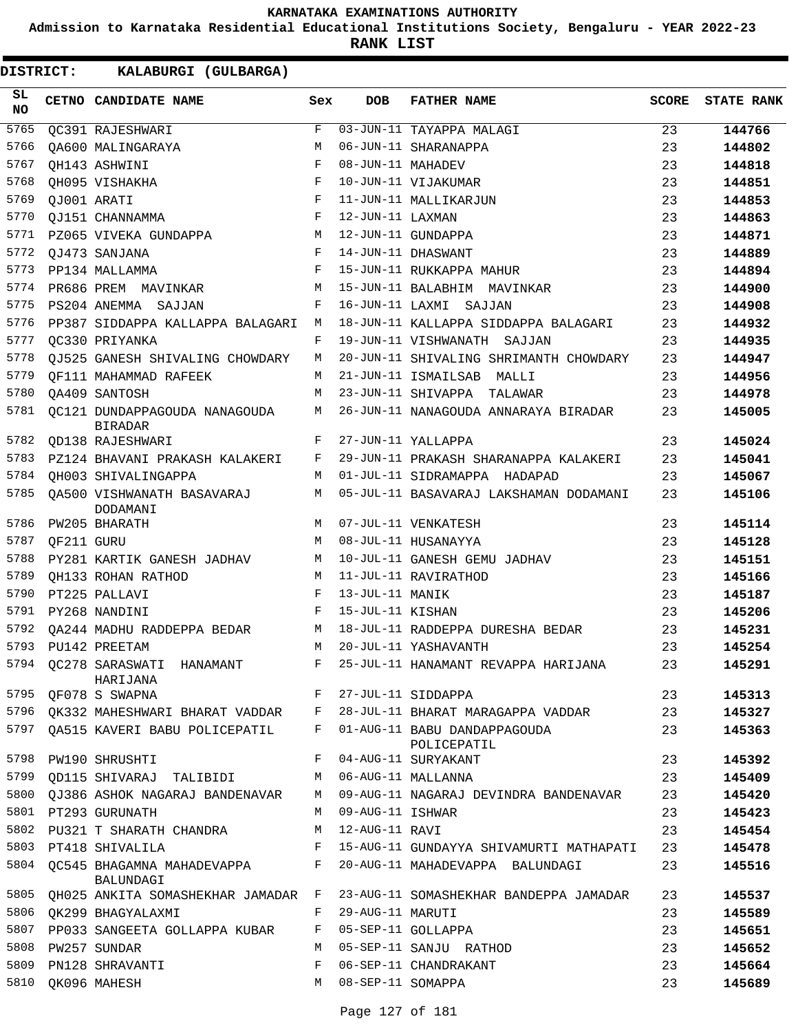**Admission to Karnataka Residential Educational Institutions Society, Bengaluru - YEAR 2022-23**

**RANK LIST**

| SL<br>NO |            | CETNO CANDIDATE NAME                                    | Sex          | <b>DOB</b>        | <b>FATHER NAME</b>                                                          | <b>SCORE</b> | <b>STATE RANK</b> |
|----------|------------|---------------------------------------------------------|--------------|-------------------|-----------------------------------------------------------------------------|--------------|-------------------|
| 5765     |            | QC391 RAJESHWARI                                        | F            |                   | 03-JUN-11 TAYAPPA MALAGI                                                    | 23           | 144766            |
| 5766     |            | OA600 MALINGARAYA                                       | M            |                   | 06-JUN-11 SHARANAPPA                                                        | 23           | 144802            |
| 5767     |            | QH143 ASHWINI                                           | F            | 08-JUN-11 MAHADEV |                                                                             | 23           | 144818            |
| 5768     |            | OH095 VISHAKHA                                          | $_{\rm F}$   |                   | 10-JUN-11 VIJAKUMAR                                                         | 23           | 144851            |
| 5769     |            | QJ001 ARATI                                             | $_{\rm F}$   |                   | 11-JUN-11 MALLIKARJUN                                                       | 23           | 144853            |
| 5770     |            | QJ151 CHANNAMMA                                         | F            | 12-JUN-11 LAXMAN  |                                                                             | 23           | 144863            |
| 5771     |            | PZ065 VIVEKA GUNDAPPA                                   | М            |                   | 12-JUN-11 GUNDAPPA                                                          | 23           | 144871            |
| 5772     |            | QJ473 SANJANA                                           | F            |                   | 14-JUN-11 DHASWANT                                                          | 23           | 144889            |
| 5773     |            | PP134 MALLAMMA                                          | F            |                   | 15-JUN-11 RUKKAPPA MAHUR                                                    | 23           | 144894            |
| 5774     |            | PR686 PREM MAVINKAR                                     | M            |                   | 15-JUN-11 BALABHIM MAVINKAR                                                 | 23           | 144900            |
| 5775     |            | PS204 ANEMMA SAJJAN                                     | F            |                   | 16-JUN-11 LAXMI SAJJAN                                                      | 23           | 144908            |
| 5776     |            | PP387 SIDDAPPA KALLAPPA BALAGARI                        | М            |                   | 18-JUN-11 KALLAPPA SIDDAPPA BALAGARI                                        | 23           | 144932            |
| 5777     |            | OC330 PRIYANKA                                          | F            |                   | 19-JUN-11 VISHWANATH SAJJAN                                                 | 23           | 144935            |
| 5778     |            | QJ525 GANESH SHIVALING CHOWDARY                         | М            |                   | 20-JUN-11 SHIVALING SHRIMANTH CHOWDARY                                      | 23           | 144947            |
| 5779     |            | OF111 MAHAMMAD RAFEEK                                   | М            |                   | 21-JUN-11 ISMAILSAB MALLI                                                   | 23           | 144956            |
| 5780     |            | OA409 SANTOSH                                           | М            |                   | 23-JUN-11 SHIVAPPA TALAWAR                                                  | 23           | 144978            |
| 5781     |            | OC121 DUNDAPPAGOUDA NANAGOUDA<br><b>BIRADAR</b>         | М            |                   | 26-JUN-11 NANAGOUDA ANNARAYA BIRADAR                                        | 23           | 145005            |
| 5782     |            | OD138 RAJESHWARI                                        | F            |                   | 27-JUN-11 YALLAPPA                                                          | 23           | 145024            |
| 5783     |            | PZ124 BHAVANI PRAKASH KALAKERI                          | F            |                   | 29-JUN-11 PRAKASH SHARANAPPA KALAKERI                                       | 23           | 145041            |
| 5784     |            | OH003 SHIVALINGAPPA                                     | M            |                   | 01-JUL-11 SIDRAMAPPA HADAPAD                                                | 23           | 145067            |
| 5785     |            | OA500 VISHWANATH BASAVARAJ<br>DODAMANI                  | М            |                   | 05-JUL-11 BASAVARAJ LAKSHAMAN DODAMANI                                      | 23           | 145106            |
| 5786     |            | PW205 BHARATH                                           | M            |                   | 07-JUL-11 VENKATESH                                                         | 23           | 145114            |
| 5787     | QF211 GURU |                                                         | M            |                   | 08-JUL-11 HUSANAYYA                                                         | 23           | 145128            |
| 5788     |            | PY281 KARTIK GANESH JADHAV                              | M            |                   | 10-JUL-11 GANESH GEMU JADHAV                                                | 23           | 145151            |
| 5789     |            | QH133 ROHAN RATHOD                                      | M            |                   | 11-JUL-11 RAVIRATHOD                                                        | 23           | 145166            |
| 5790     |            | PT225 PALLAVI                                           | F            | 13-JUL-11 MANIK   |                                                                             | 23           | 145187            |
| 5791     |            | PY268 NANDINI                                           | F            | 15-JUL-11 KISHAN  |                                                                             | 23           | 145206            |
| 5792     |            | OA244 MADHU RADDEPPA BEDAR                              | М            |                   | 18-JUL-11 RADDEPPA DURESHA BEDAR                                            | 23           | 145231            |
| 5793     |            | PU142 PREETAM                                           | M            |                   | 20-JUL-11 YASHAVANTH                                                        | 23           | 145254            |
|          |            | 5794 QC278 SARASWATI HANAMANT<br>HARIJANA               | F            |                   | 25-JUL-11 HANAMANT REVAPPA HARIJANA                                         | 23           | 145291            |
|          |            | 5795 QF078 S SWAPNA                                     |              |                   | F 27-JUL-11 SIDDAPPA                                                        | 23           | 145313            |
|          |            |                                                         |              |                   | 5796 QK332 MAHESHWARI BHARAT VADDAR F 28-JUL-11 BHARAT MARAGAPPA VADDAR 23  |              | 145327            |
|          |            | 5797 QA515 KAVERI BABU POLICEPATIL F                    |              |                   | 01-AUG-11 BABU DANDAPPAGOUDA<br>POLICEPATIL                                 | 23           | 145363            |
|          |            | 5798 PW190 SHRUSHTI                                     | F            |                   | 04-AUG-11 SURYAKANT                                                         | 23           | 145392            |
|          |            | 5799 QD115 SHIVARAJ TALIBIDI     M 06-AUG-11 MALLANNA   |              |                   |                                                                             | 23           | 145409            |
|          |            |                                                         |              |                   | 5800 QJ386 ASHOK NAGARAJ BANDENAVAR M 09-AUG-11 NAGARAJ DEVINDRA BANDENAVAR | 23           | 145420            |
|          |            | 5801 PT293 GURUNATH                                     | M            | 09-AUG-11 ISHWAR  |                                                                             | 23           | 145423            |
|          |            | 5802 PU321 T SHARATH CHANDRA M                          |              | 12-AUG-11 RAVI    |                                                                             | 23           | 145454            |
|          |            | 5803 PT418 SHIVALILA                                    | F            |                   | 15-AUG-11 GUNDAYYA SHIVAMURTI MATHAPATI                                     | 23           | 145478            |
|          |            | 5804 QC545 BHAGAMNA MAHADEVAPPA F<br>BALUNDAGI          |              |                   | 20-AUG-11 MAHADEVAPPA BALUNDAGI                                             | 23           | 145516            |
|          |            | 5805 QH025 ANKITA SOMASHEKHAR JAMADAR F                 |              |                   | 23-AUG-11 SOMASHEKHAR BANDEPPA JAMADAR                                      | 23           | 145537            |
|          |            | 5806 QK299 BHAGYALAXMI                                  | F            | 29-AUG-11 MARUTI  |                                                                             | 23           | 145589            |
|          |            | 5807 PP033 SANGEETA GOLLAPPA KUBAR F 05-SEP-11 GOLLAPPA |              |                   |                                                                             | 23           | 145651            |
|          |            | 5808 PW257 SUNDAR                                       |              |                   | M 05-SEP-11 SANJU RATHOD                                                    | 23           | 145652            |
| 5809     |            | PN128 SHRAVANTI                                         | $\mathbf{F}$ |                   | 06-SEP-11 CHANDRAKANT                                                       | 23           | 145664            |
|          |            | 5810 QK096 MAHESH                                       | M            | 08-SEP-11 SOMAPPA |                                                                             | 23           | 145689            |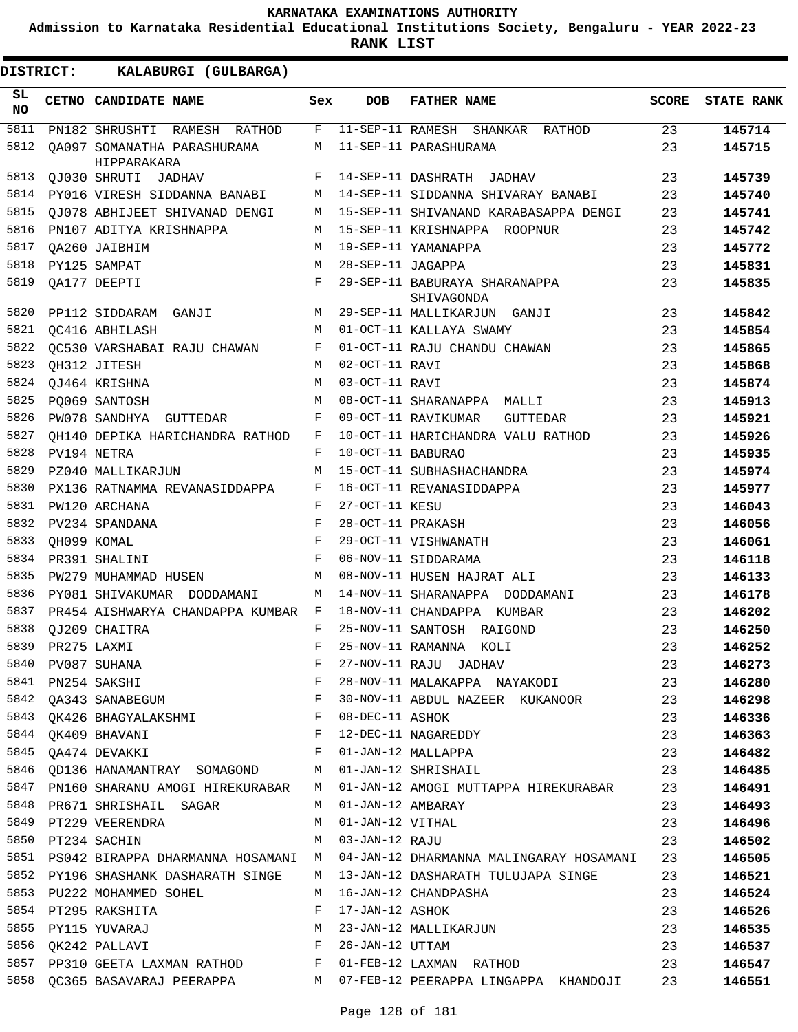**Admission to Karnataka Residential Educational Institutions Society, Bengaluru - YEAR 2022-23**

**RANK LIST**

ı

| DISTRICT:        | KALABURGI (GULBARGA)                                                                                 |             |                   |                                                                                    |              |                   |
|------------------|------------------------------------------------------------------------------------------------------|-------------|-------------------|------------------------------------------------------------------------------------|--------------|-------------------|
| SL.<br><b>NO</b> | CETNO CANDIDATE NAME                                                                                 | Sex         | <b>DOB</b>        | <b>FATHER NAME</b>                                                                 | <b>SCORE</b> | <b>STATE RANK</b> |
| 5811             | PN182 SHRUSHTI RAMESH RATHOD                                                                         | F           |                   | 11-SEP-11 RAMESH SHANKAR RATHOD                                                    | 23           | 145714            |
| 5812             | OA097 SOMANATHA PARASHURAMA<br>HIPPARAKARA                                                           | M           |                   | 11-SEP-11 PARASHURAMA                                                              | 23           | 145715            |
| 5813             | QJ030 SHRUTI JADHAV                                                                                  | F           |                   | 14-SEP-11 DASHRATH JADHAV                                                          | 23           | 145739            |
| 5814             | PY016 VIRESH SIDDANNA BANABI                                                                         | M           |                   | 14-SEP-11 SIDDANNA SHIVARAY BANABI                                                 | 23           | 145740            |
| 5815             | OJ078 ABHIJEET SHIVANAD DENGI                                                                        | M           |                   | 15-SEP-11 SHIVANAND KARABASAPPA DENGI                                              | 23           | 145741            |
| 5816             | PN107 ADITYA KRISHNAPPA                                                                              | M           |                   | 15-SEP-11 KRISHNAPPA ROOPNUR                                                       | 23           | 145742            |
| 5817             | OA260 JAIBHIM                                                                                        | M           |                   | 19-SEP-11 YAMANAPPA                                                                | 23           | 145772            |
| 5818             | PY125 SAMPAT                                                                                         | M           | 28-SEP-11 JAGAPPA |                                                                                    | 23           | 145831            |
| 5819             | QA177 DEEPTI                                                                                         | F           |                   | 29-SEP-11 BABURAYA SHARANAPPA<br>SHIVAGONDA                                        | 23           | 145835            |
| 5820             | PP112 SIDDARAM GANJI                                                                                 | M           |                   | 29-SEP-11 MALLIKARJUN GANJI                                                        | 23           | 145842            |
| 5821             | OC416 ABHILASH                                                                                       | M           |                   | 01-OCT-11 KALLAYA SWAMY                                                            | 23           | 145854            |
| 5822             | OC530 VARSHABAI RAJU CHAWAN                                                                          | F           |                   | 01-OCT-11 RAJU CHANDU CHAWAN                                                       | 23           | 145865            |
| 5823             | QH312 JITESH                                                                                         | M           | 02-OCT-11 RAVI    |                                                                                    | 23           | 145868            |
| 5824             | QJ464 KRISHNA                                                                                        | M           | 03-OCT-11 RAVI    |                                                                                    | 23           | 145874            |
| 5825             | PO069 SANTOSH                                                                                        | M           |                   | 08-OCT-11 SHARANAPPA MALLI                                                         | 23           | 145913            |
| 5826             | PW078 SANDHYA GUTTEDAR                                                                               | F           |                   | 09-OCT-11 RAVIKUMAR<br><b>GUTTEDAR</b>                                             | 23           | 145921            |
| 5827             | OH140 DEPIKA HARICHANDRA RATHOD                                                                      | F           |                   | 10-OCT-11 HARICHANDRA VALU RATHOD                                                  | 23           | 145926            |
| 5828             | PV194 NETRA                                                                                          | F           | 10-OCT-11 BABURAO |                                                                                    | 23           | 145935            |
| 5829             | PZ040 MALLIKARJUN                                                                                    | M           |                   | 15-OCT-11 SUBHASHACHANDRA                                                          | 23           | 145974            |
| 5830             | PX136 RATNAMMA REVANASIDDAPPA                                                                        | F           |                   | 16-OCT-11 REVANASIDDAPPA                                                           | 23           | 145977            |
| 5831             | PW120 ARCHANA                                                                                        | F           | 27-OCT-11 KESU    |                                                                                    | 23           | 146043            |
| 5832             | PV234 SPANDANA                                                                                       | F           | 28-OCT-11 PRAKASH |                                                                                    | 23           | 146056            |
| 5833             | OH099 KOMAL                                                                                          | $\mathbf F$ |                   | 29-OCT-11 VISHWANATH                                                               | 23           | 146061            |
| 5834             | PR391 SHALINI                                                                                        | F           |                   | 06-NOV-11 SIDDARAMA                                                                | 23           | 146118            |
| 5835             | PW279 MUHAMMAD HUSEN                                                                                 | M           |                   | 08-NOV-11 HUSEN HAJRAT ALI                                                         | 23           | 146133            |
| 5836             | PY081 SHIVAKUMAR DODDAMANI                                                                           | M           |                   | 14-NOV-11 SHARANAPPA DODDAMANI                                                     | 23           | 146178            |
| 5837             | PR454 AISHWARYA CHANDAPPA KUMBAR F                                                                   |             |                   | 18-NOV-11 CHANDAPPA KUMBAR                                                         | 23           | 146202            |
| 5838             | OJ209 CHAITRA                                                                                        | F           |                   | 25-NOV-11 SANTOSH RAIGOND                                                          | 23           | 146250            |
| 5839             | PR275 LAXMI                                                                                          | F           |                   | 25-NOV-11 RAMANNA KOLI                                                             | 23           | 146252            |
|                  |                                                                                                      |             |                   |                                                                                    |              | 146273            |
|                  |                                                                                                      |             |                   |                                                                                    |              | 146280            |
|                  |                                                                                                      |             |                   |                                                                                    |              | 146298            |
|                  | 5843 QK426 BHAGYALAKSHMI NAMA F 08-DEC-11 ASHOK                                                      |             |                   |                                                                                    | 23           | 146336            |
|                  | 5844 QK409 BHAVANI F 12-DEC-11 NAGAREDDY                                                             |             |                   |                                                                                    | 23           | 146363            |
|                  | 5845 QA474 DEVAKKI                                                                                   |             |                   | F 01-JAN-12 MALLAPPA                                                               | 23           | 146482            |
|                  |                                                                                                      |             |                   | 5846 QD136 HANAMANTRAY SOMAGOND M 01-JAN-12 SHRISHAIL                              | 23           | 146485            |
|                  |                                                                                                      |             |                   | 5847 PN160 SHARANU AMOGI HIREKURABAR N 01-JAN-12 AMOGI MUTTAPPA HIREKURABAR 23     |              | 146491            |
|                  | 5848 PR671 SHRISHAIL SAGAR M 01-JAN-12 AMBARAY                                                       |             |                   |                                                                                    | 23           | 146493            |
|                  | 5849 PT229 VEERENDRA M 01-JAN-12 VITHAL                                                              |             |                   |                                                                                    | 23           | 146496            |
|                  |                                                                                                      |             |                   | 5850 PT234 SACHIN 3-3 M 03-JAN-12 RAJU                                             |              | 146502            |
|                  |                                                                                                      |             |                   | 5851 PS042 BIRAPPA DHARMANNA HOSAMANI M 04-JAN-12 DHARMANNA MALINGARAY HOSAMANI 23 |              | 146505            |
|                  |                                                                                                      |             |                   | 5852 PY196 SHASHANK DASHARATH SINGE M 13-JAN-12 DASHARATH TULUJAPA SINGE 23        |              | 146521            |
|                  | 5853 PU222 MOHAMMED SOHEL M 16-JAN-12 CHANDPASHA                                                     |             |                   |                                                                                    | 23           | 146524            |
|                  | 5854 PT295 RAKSHITA BELLET BELLET THE TOWN PLASHOW                                                   |             |                   |                                                                                    | 23           | 146526            |
|                  | 5855 PY115 YUVARAJ NASA MARAJAN MARAJANG MAJIKARJUNA MALALIKARJUNA MARAJANG MARAJANG MARAJANG MARAJA |             |                   |                                                                                    | 23           | 146535            |
|                  | 5856 QK242 PALLAVI F 26-JAN-12 UTTAM                                                                 |             |                   |                                                                                    | 23           | 146537            |
|                  |                                                                                                      |             |                   | 5857 PP310 GEETA LAXMAN RATHOD F 01-FEB-12 LAXMAN RATHOD                           | 23           | 146547            |
|                  |                                                                                                      |             |                   | 5858 QC365 BASAVARAJ PEERAPPA M 07-FEB-12 PEERAPPA LINGAPPA KHANDOJI 23            |              | 146551            |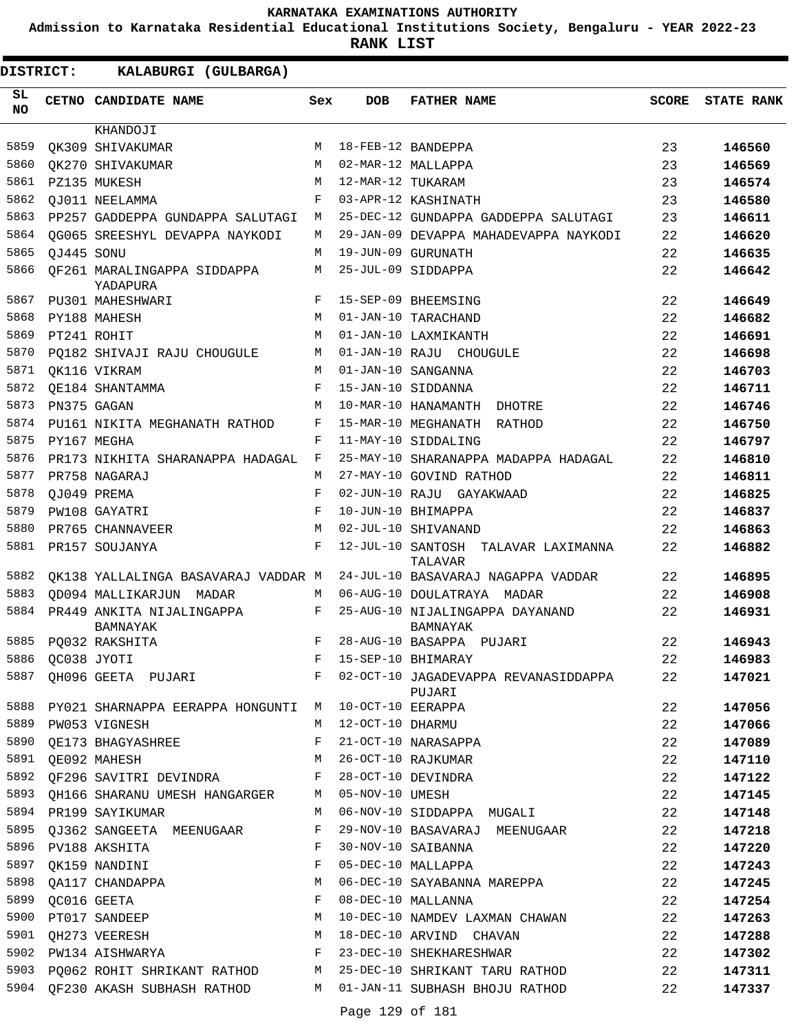**Admission to Karnataka Residential Educational Institutions Society, Bengaluru - YEAR 2022-23**

| DISTRICT:        |                  | KALABURGI (GULBARGA)                                              |     |                    |                                                                                |              |                   |
|------------------|------------------|-------------------------------------------------------------------|-----|--------------------|--------------------------------------------------------------------------------|--------------|-------------------|
| SL.<br><b>NO</b> |                  | CETNO CANDIDATE NAME                                              | Sex | DOB                | <b>FATHER NAME</b>                                                             | <b>SCORE</b> | <b>STATE RANK</b> |
|                  |                  | KHANDOJI                                                          |     |                    |                                                                                |              |                   |
| 5859             |                  | OK309 SHIVAKUMAR                                                  | M   |                    | 18-FEB-12 BANDEPPA                                                             | 23           | 146560            |
| 5860             |                  | OK270 SHIVAKUMAR                                                  | M   |                    | 02-MAR-12 MALLAPPA                                                             | 23           | 146569            |
| 5861             |                  | PZ135 MUKESH                                                      | M   | 12-MAR-12 TUKARAM  |                                                                                | 23           | 146574            |
| 5862             |                  | OJ011 NEELAMMA                                                    | F   |                    | 03-APR-12 KASHINATH                                                            | 23           | 146580            |
| 5863             |                  | PP257 GADDEPPA GUNDAPPA SALUTAGI                                  | М   |                    | 25-DEC-12 GUNDAPPA GADDEPPA SALUTAGI                                           | 23           | 146611            |
| 5864             |                  | OG065 SREESHYL DEVAPPA NAYKODI                                    | М   |                    | 29-JAN-09 DEVAPPA MAHADEVAPPA NAYKODI                                          | 22           | 146620            |
| 5865             | QJ445 SONU       |                                                                   | M   |                    | 19-JUN-09 GURUNATH                                                             | 22           | 146635            |
| 5866             |                  | OF261 MARALINGAPPA SIDDAPPA<br>YADAPURA                           | М   |                    | 25-JUL-09 SIDDAPPA                                                             | 22           | 146642            |
| 5867             |                  | PU301 MAHESHWARI                                                  | F   |                    | 15-SEP-09 BHEEMSING                                                            | 22           | 146649            |
| 5868             |                  | PY188 MAHESH                                                      | M   |                    | 01-JAN-10 TARACHAND                                                            | 22           | 146682            |
| 5869             |                  | PT241 ROHIT                                                       | М   |                    | 01-JAN-10 LAXMIKANTH                                                           | 22           | 146691            |
| 5870             |                  | PO182 SHIVAJI RAJU CHOUGULE                                       | M   |                    | 01-JAN-10 RAJU CHOUGULE                                                        | 22           | 146698            |
| 5871             |                  | OK116 VIKRAM                                                      | M   |                    | 01-JAN-10 SANGANNA                                                             | 22           | 146703            |
| 5872             |                  | OE184 SHANTAMMA                                                   | F   |                    | 15-JAN-10 SIDDANNA                                                             | 22           | 146711            |
| 5873             |                  | PN375 GAGAN                                                       | M   |                    | 10-MAR-10 HANAMANTH DHOTRE                                                     | 22           | 146746            |
| 5874             |                  | PU161 NIKITA MEGHANATH RATHOD                                     | F   |                    | 15-MAR-10 MEGHANATH RATHOD                                                     | 22           | 146750            |
| 5875             |                  | PY167 MEGHA                                                       | F   |                    | 11-MAY-10 SIDDALING                                                            | 22           | 146797            |
| 5876             |                  | PR173 NIKHITA SHARANAPPA HADAGAL                                  | F   |                    | 25-MAY-10 SHARANAPPA MADAPPA HADAGAL                                           | 22           | 146810            |
| 5877             |                  | PR758 NAGARAJ                                                     | М   |                    | 27-MAY-10 GOVIND RATHOD                                                        | 22           | 146811            |
| 5878             |                  | OJ049 PREMA                                                       | F   |                    | 02-JUN-10 RAJU GAYAKWAAD                                                       | 22           | 146825            |
| 5879             |                  | PW108 GAYATRI                                                     | F   |                    | 10-JUN-10 BHIMAPPA                                                             | 22           | 146837            |
| 5880             |                  | PR765 CHANNAVEER                                                  | M   |                    | 02-JUL-10 SHIVANAND                                                            | 22           | 146863            |
| 5881             |                  | PR157 SOUJANYA                                                    | F   |                    | 12-JUL-10 SANTOSH<br>TALAVAR LAXIMANNA<br>TALAVAR                              | 22           | 146882            |
| 5882             |                  | OK138 YALLALINGA BASAVARAJ VADDAR M                               |     |                    | 24-JUL-10 BASAVARAJ NAGAPPA VADDAR                                             | 22           | 146895            |
| 5883             |                  | OD094 MALLIKARJUN MADAR                                           | M   |                    | 06-AUG-10 DOULATRAYA MADAR                                                     | 22           | 146908            |
| 5884             |                  | PR449 ANKITA NIJALINGAPPA<br><b>BAMNAYAK</b>                      | F   |                    | 25-AUG-10 NIJALINGAPPA DAYANAND<br>BAMNAYAK                                    | 22           | 146931            |
| 5885             |                  | PO032 RAKSHITA                                                    | F   |                    | 28-AUG-10 BASAPPA PUJARI                                                       | 22           | 146943            |
| 5886             |                  | QC038 JYOTI                                                       | F   |                    | 15-SEP-10 BHIMARAY                                                             | 22           | 146983            |
| 5887             |                  |                                                                   |     |                    | QH096 GEETA PUJARI           F  02-OCT-10 JAGADEVAPPA REVANASIDDAPPA<br>PUJARI | 22           | 147021            |
| 5888             |                  | PY021 SHARNAPPA EERAPPA HONGUNTI M 10-OCT-10 EERAPPA              |     |                    |                                                                                | 22           | 147056            |
| 5889             |                  | PW053 VIGNESH                                                     |     | M 12-OCT-10 DHARMU |                                                                                | 22           | 147066            |
| 5890             |                  | QE173 BHAGYASHREE                                                 | F   |                    | 21-OCT-10 NARASAPPA                                                            | 22           | 147089            |
|                  |                  | 5891 QE092 MAHESH                                                 |     |                    | M 26-OCT-10 RAJKUMAR                                                           | 22           | 147110            |
|                  |                  | 5892 QF296 SAVITRI DEVINDRA P 28-OCT-10 DEVINDRA                  |     |                    |                                                                                | 22           | 147122            |
| 5893             |                  | QH166 SHARANU UMESH HANGARGER M 05-NOV-10 UMESH                   |     |                    |                                                                                | 22           | 147145            |
| 5894             |                  | PR199 SAYIKUMAR                                                   | M   |                    | 06-NOV-10 SIDDAPPA MUGALI                                                      | 22           | 147148            |
|                  |                  | 5895 QJ362 SANGEETA MEENUGAAR F                                   |     |                    | 29-NOV-10 BASAVARAJ MEENUGAAR                                                  | 22           | 147218            |
| 5896             |                  | PV188 AKSHITA                                                     | F   |                    | 30-NOV-10 SAIBANNA                                                             | 22           | 147220            |
| 5897             |                  | QK159 NANDINI                                                     | F   |                    | 05-DEC-10 MALLAPPA                                                             | 22           | 147243            |
| 5898             |                  | QA117 CHANDAPPA                                                   | M   |                    | 06-DEC-10 SAYABANNA MAREPPA                                                    | 22           | 147245            |
|                  | 5899 QC016 GEETA |                                                                   | F   |                    | 08-DEC-10 MALLANNA                                                             | 22           | 147254            |
| 5900             |                  | PT017 SANDEEP                                                     | М   |                    | 10-DEC-10 NAMDEV LAXMAN CHAWAN                                                 | 22           | 147263            |
| 5901             |                  | QH273 VEERESH VALUE                                               | M   |                    | 18-DEC-10 ARVIND CHAVAN                                                        | 22           | 147288            |
|                  |                  | 5902 PW134 AISHWARYA F                                            |     |                    | 23-DEC-10 SHEKHARESHWAR                                                        | 22           | 147302            |
|                  |                  | 5903 PQ062 ROHIT SHRIKANT RATHOD M 25-DEC-10 SHRIKANT TARU RATHOD |     |                    |                                                                                | 22           | 147311            |
|                  |                  |                                                                   |     |                    | 5904 QF230 AKASH SUBHASH RATHOD M 01-JAN-11 SUBHASH BHOJU RATHOD               | 22           | 147337            |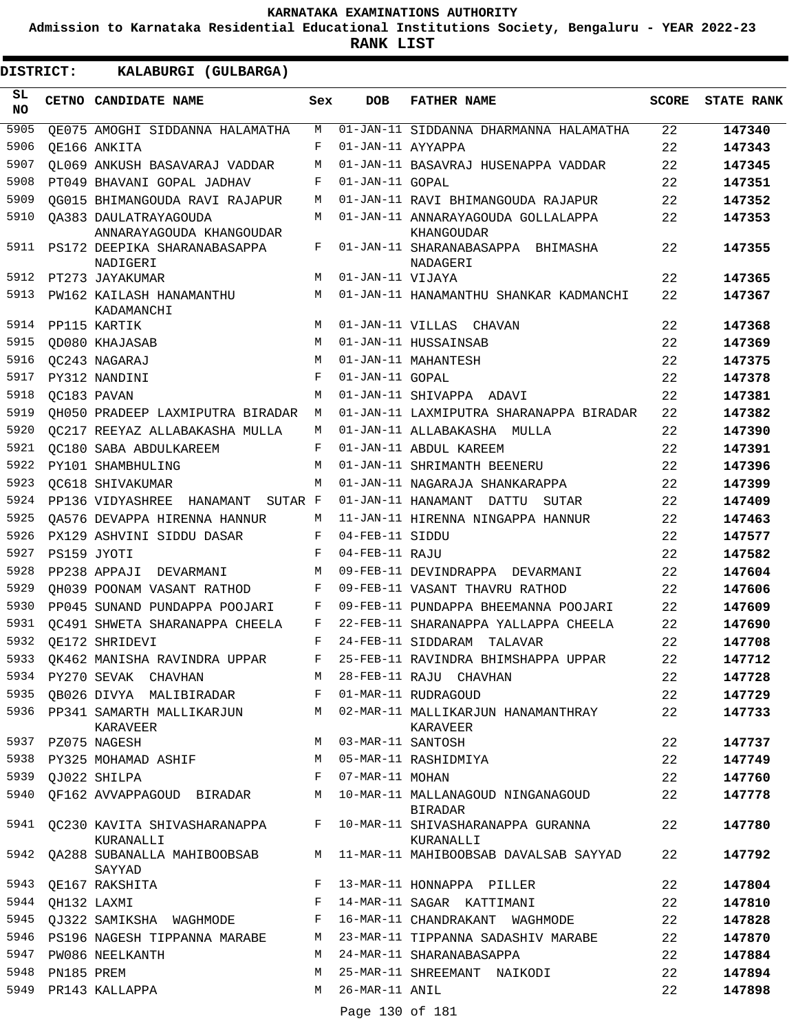**Admission to Karnataka Residential Educational Institutions Society, Bengaluru - YEAR 2022-23**

**RANK LIST**

| SL<br><b>NO</b> |             | CETNO CANDIDATE NAME                              | Sex        | <b>DOB</b>        | <b>FATHER NAME</b>                                  | <b>SCORE</b> | <b>STATE RANK</b> |
|-----------------|-------------|---------------------------------------------------|------------|-------------------|-----------------------------------------------------|--------------|-------------------|
| 5905            |             | OE075 AMOGHI SIDDANNA HALAMATHA                   | M          |                   | 01-JAN-11 SIDDANNA DHARMANNA HALAMATHA              | 22           | 147340            |
| 5906            |             | OE166 ANKITA                                      | F          | 01-JAN-11 AYYAPPA |                                                     | 22           | 147343            |
| 5907            |             | <b>QL069 ANKUSH BASAVARAJ VADDAR</b>              | M          |                   | 01-JAN-11 BASAVRAJ HUSENAPPA VADDAR                 | 22           | 147345            |
| 5908            |             | PT049 BHAVANI GOPAL JADHAV                        | F          | 01-JAN-11 GOPAL   |                                                     | 22           | 147351            |
| 5909            |             | OG015 BHIMANGOUDA RAVI RAJAPUR                    | М          |                   | 01-JAN-11 RAVI BHIMANGOUDA RAJAPUR                  | 22           | 147352            |
| 5910            |             | OA383 DAULATRAYAGOUDA<br>ANNARAYAGOUDA KHANGOUDAR | M          |                   | 01-JAN-11 ANNARAYAGOUDA GOLLALAPPA<br>KHANGOUDAR    | 22           | 147353            |
| 5911            |             | PS172 DEEPIKA SHARANABASAPPA<br>NADIGERI          | F          |                   | 01-JAN-11 SHARANABASAPPA BHIMASHA<br>NADAGERI       | 22           | 147355            |
| 5912            |             | PT273 JAYAKUMAR                                   | M          | 01-JAN-11 VIJAYA  |                                                     | 22           | 147365            |
| 5913            |             | PW162 KAILASH HANAMANTHU<br>KADAMANCHI            | M          |                   | 01-JAN-11 HANAMANTHU SHANKAR KADMANCHI              | 22           | 147367            |
| 5914            |             | PP115 KARTIK                                      | M          |                   | 01-JAN-11 VILLAS CHAVAN                             | 22           | 147368            |
| 5915            |             | OD080 KHAJASAB                                    | M          |                   | 01-JAN-11 HUSSAINSAB                                | 22           | 147369            |
| 5916            |             | OC243 NAGARAJ                                     | M          |                   | 01-JAN-11 MAHANTESH                                 | 22           | 147375            |
| 5917            |             | PY312 NANDINI                                     | $_{\rm F}$ | 01-JAN-11 GOPAL   |                                                     | 22           | 147378            |
| 5918            |             | OC183 PAVAN                                       | M          |                   | 01-JAN-11 SHIVAPPA ADAVI                            | 22           | 147381            |
| 5919            |             | OH050 PRADEEP LAXMIPUTRA BIRADAR                  | М          |                   | 01-JAN-11 LAXMIPUTRA SHARANAPPA BIRADAR             | 22           | 147382            |
| 5920            |             | OC217 REEYAZ ALLABAKASHA MULLA                    | M          |                   | 01-JAN-11 ALLABAKASHA MULLA                         | 22           | 147390            |
| 5921            |             | OC180 SABA ABDULKAREEM                            | F          |                   | 01-JAN-11 ABDUL KAREEM                              | 22           | 147391            |
| 5922            |             | PY101 SHAMBHULING                                 | M          |                   | 01-JAN-11 SHRIMANTH BEENERU                         | 22           | 147396            |
| 5923            |             | OC618 SHIVAKUMAR                                  | M          |                   | 01-JAN-11 NAGARAJA SHANKARAPPA                      | 22           | 147399            |
| 5924            |             | PP136 VIDYASHREE<br>SUTAR F<br>HANAMANT           |            |                   | 01-JAN-11 HANAMANT<br>DATTU<br>SUTAR                | 22           | 147409            |
| 5925            |             | QA576 DEVAPPA HIRENNA HANNUR                      | M          |                   | 11-JAN-11 HIRENNA NINGAPPA HANNUR                   | 22           | 147463            |
| 5926            |             | PX129 ASHVINI SIDDU DASAR                         | F          | 04-FEB-11 SIDDU   |                                                     | 22           | 147577            |
| 5927            |             | PS159 JYOTI                                       | F          | 04-FEB-11 RAJU    |                                                     | 22           | 147582            |
| 5928            |             | PP238 APPAJI<br>DEVARMANI                         | М          |                   | 09-FEB-11 DEVINDRAPPA DEVARMANI                     | 22           | 147604            |
| 5929            |             | OH039 POONAM VASANT RATHOD                        | F          |                   | 09-FEB-11 VASANT THAVRU RATHOD                      | 22           | 147606            |
| 5930            |             | PP045 SUNAND PUNDAPPA POOJARI                     | F          |                   | 09-FEB-11 PUNDAPPA BHEEMANNA POOJARI                | 22           | 147609            |
| 5931            |             | OC491 SHWETA SHARANAPPA CHEELA                    | F          |                   | 22-FEB-11 SHARANAPPA YALLAPPA CHEELA                | 22           | 147690            |
| 5932            |             | OE172 SHRIDEVI                                    | F          |                   | 24-FEB-11 SIDDARAM<br>TALAVAR                       | 22           | 147708            |
| 5933            |             | QK462 MANISHA RAVINDRA UPPAR                      | F          |                   | 25-FEB-11 RAVINDRA BHIMSHAPPA UPPAR                 | 22           | 147712            |
|                 |             | 5934 PY270 SEVAK CHAVHAN                          | М          |                   | 28-FEB-11 RAJU CHAVHAN                              | 22           | 147728            |
| 5935            |             | QB026 DIVYA MALIBIRADAR                           |            |                   | F 01-MAR-11 RUDRAGOUD                               | 22           | 147729            |
| 5936            |             | PP341 SAMARTH MALLIKARJUN<br>KARAVEER             |            |                   | M 02-MAR-11 MALLIKARJUN HANAMANTHRAY<br>KARAVEER    | 22           | 147733            |
|                 |             | 5937 PZ075 NAGESH                                 | М          | 03-MAR-11 SANTOSH |                                                     | 22           | 147737            |
|                 |             | 5938 PY325 MOHAMAD ASHIF                          | М          |                   | 05-MAR-11 RASHIDMIYA                                | 22           | 147749            |
| 5939            |             | QJ022 SHILPA                                      | F          | 07-MAR-11 MOHAN   |                                                     | 22           | 147760            |
| 5940            |             | QF162 AVVAPPAGOUD BIRADAR                         | М          |                   | 10-MAR-11 MALLANAGOUD NINGANAGOUD<br><b>BIRADAR</b> | 22           | 147778            |
|                 |             | 5941 QC230 KAVITA SHIVASHARANAPPA<br>KURANALLI    | F          |                   | 10-MAR-11 SHIVASHARANAPPA GURANNA<br>KURANALLI      | 22           | 147780            |
|                 |             | 5942 QA288 SUBANALLA MAHIBOOBSAB<br>SAYYAD        | M          |                   | 11-MAR-11 MAHIBOOBSAB DAVALSAB SAYYAD               | 22           | 147792            |
|                 |             | 5943 QE167 RAKSHITA                               | F          |                   | 13-MAR-11 HONNAPPA PILLER                           | 22           | 147804            |
| 5944            | QH132 LAXMI |                                                   | F          |                   | 14-MAR-11 SAGAR KATTIMANI                           | 22           | 147810            |
| 5945            |             | QJ322 SAMIKSHA WAGHMODE                           | F          |                   | 16-MAR-11 CHANDRAKANT WAGHMODE                      | 22           | 147828            |
| 5946            |             | PS196 NAGESH TIPPANNA MARABE                      | М          |                   | 23-MAR-11 TIPPANNA SADASHIV MARABE                  | 22           | 147870            |
|                 |             | 5947 PW086 NEELKANTH                              | М          |                   | 24-MAR-11 SHARANABASAPPA                            | 22           | 147884            |
| 5948            | PN185 PREM  |                                                   | М          |                   | 25-MAR-11 SHREEMANT NAIKODI                         | 22           | 147894            |
| 5949            |             | PR143 KALLAPPA                                    | М          | 26-MAR-11 ANIL    |                                                     | 22           | 147898            |
|                 |             |                                                   |            | Page 130 of 181   |                                                     |              |                   |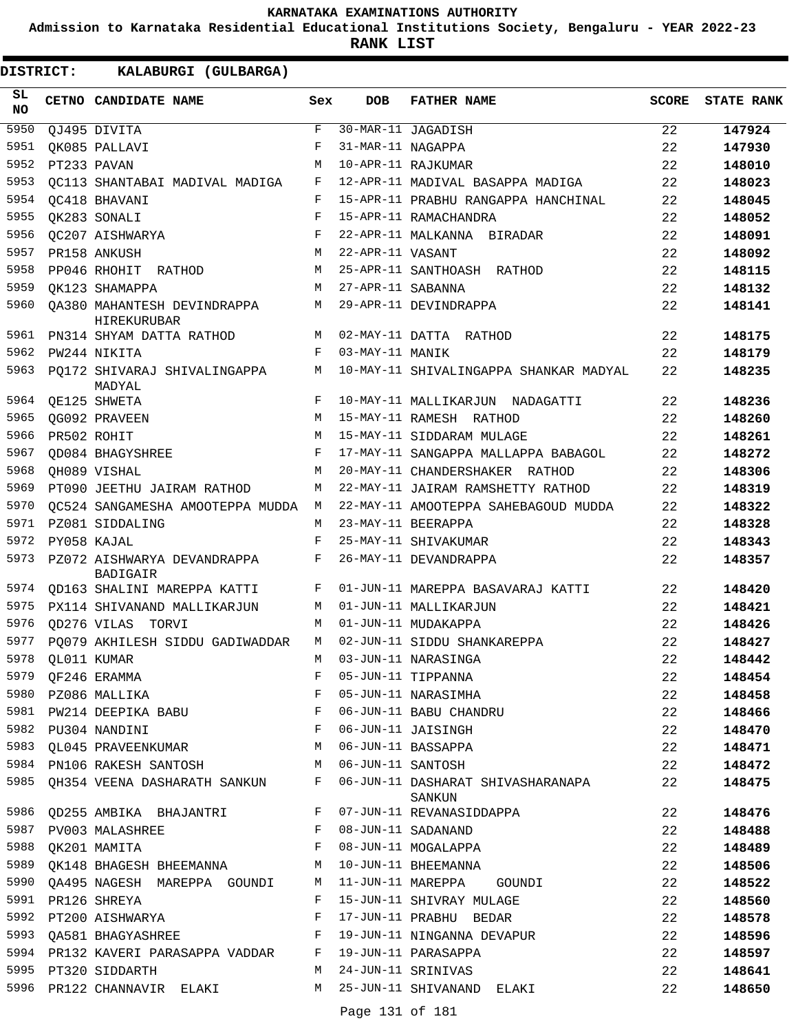**Admission to Karnataka Residential Educational Institutions Society, Bengaluru - YEAR 2022-23**

**RANK LIST**

| SL<br><b>NO</b> | CETNO CANDIDATE NAME                       | Sex        | <b>DOB</b>        | <b>FATHER NAME</b>                          | <b>SCORE</b> | <b>STATE RANK</b> |
|-----------------|--------------------------------------------|------------|-------------------|---------------------------------------------|--------------|-------------------|
| 5950            | QJ495 DIVITA                               | F          |                   | 30-MAR-11 JAGADISH                          | 22           | 147924            |
| 5951            | QK085 PALLAVI                              | F          | 31-MAR-11 NAGAPPA |                                             | 22           | 147930            |
| 5952            | PT233 PAVAN                                | M          |                   | 10-APR-11 RAJKUMAR                          | 22           | 148010            |
| 5953            | OC113 SHANTABAI MADIVAL MADIGA             | F          |                   | 12-APR-11 MADIVAL BASAPPA MADIGA            | 22           | 148023            |
| 5954            | OC418 BHAVANI                              | F          |                   | 15-APR-11 PRABHU RANGAPPA HANCHINAL         | 22           | 148045            |
| 5955            | OK283 SONALI                               | F          |                   | 15-APR-11 RAMACHANDRA                       | 22           | 148052            |
| 5956            | QC207 AISHWARYA                            | F          |                   | 22-APR-11 MALKANNA BIRADAR                  | 22           | 148091            |
| 5957            | PR158 ANKUSH                               | M          | 22-APR-11 VASANT  |                                             | 22           | 148092            |
| 5958            | PP046 RHOHIT RATHOD                        | M          |                   | 25-APR-11 SANTHOASH RATHOD                  | 22           | 148115            |
| 5959            | OK123 SHAMAPPA                             | М          | 27-APR-11 SABANNA |                                             | 22           | 148132            |
| 5960            | QA380 MAHANTESH DEVINDRAPPA<br>HIREKURUBAR | M          |                   | 29-APR-11 DEVINDRAPPA                       | 22           | 148141            |
| 5961            | PN314 SHYAM DATTA RATHOD                   |            |                   | M 02-MAY-11 DATTA RATHOD                    | 22           | 148175            |
| 5962            | PW244 NIKITA                               | F          | 03-MAY-11 MANIK   |                                             | 22           | 148179            |
| 5963            | PO172 SHIVARAJ SHIVALINGAPPA<br>MADYAL     | М          |                   | 10-MAY-11 SHIVALINGAPPA SHANKAR MADYAL      | 22           | 148235            |
| 5964            | QE125 SHWETA                               | F          |                   | 10-MAY-11 MALLIKARJUN NADAGATTI             | 22           | 148236            |
| 5965            | QG092 PRAVEEN                              | M          |                   | 15-MAY-11 RAMESH RATHOD                     | 22           | 148260            |
| 5966            | PR502 ROHIT                                | M          |                   | 15-MAY-11 SIDDARAM MULAGE                   | 22           | 148261            |
| 5967            | OD084 BHAGYSHREE                           | F          |                   | 17-MAY-11 SANGAPPA MALLAPPA BABAGOL         | 22           | 148272            |
| 5968            | OH089 VISHAL                               | M          |                   | 20-MAY-11 CHANDERSHAKER RATHOD              | 22           | 148306            |
| 5969            | PT090 JEETHU JAIRAM RATHOD                 | М          |                   | 22-MAY-11 JAIRAM RAMSHETTY RATHOD           | 22           | 148319            |
| 5970            | OC524 SANGAMESHA AMOOTEPPA MUDDA           | M          |                   | 22-MAY-11 AMOOTEPPA SAHEBAGOUD MUDDA        | 22           | 148322            |
| 5971            | PZ081 SIDDALING                            | M          |                   | 23-MAY-11 BEERAPPA                          | 22           | 148328            |
| 5972            | PY058 KAJAL                                | $_{\rm F}$ |                   | 25-MAY-11 SHIVAKUMAR                        | 22           | 148343            |
| 5973            | PZ072 AISHWARYA DEVANDRAPPA<br>BADIGAIR    | F          |                   | 26-MAY-11 DEVANDRAPPA                       | 22           | 148357            |
| 5974            | OD163 SHALINI MAREPPA KATTI                | F          |                   | 01-JUN-11 MAREPPA BASAVARAJ KATTI           | 22           | 148420            |
| 5975            | PX114 SHIVANAND MALLIKARJUN                | M          |                   | 01-JUN-11 MALLIKARJUN                       | 22           | 148421            |
| 5976            | <b>OD276 VILAS TORVI</b>                   | M          |                   | 01-JUN-11 MUDAKAPPA                         | 22           | 148426            |
| 5977            | PO079 AKHILESH SIDDU GADIWADDAR            | М          |                   | 02-JUN-11 SIDDU SHANKAREPPA                 | 22           | 148427            |
| 5978            | OL011 KUMAR                                | М          |                   | 03-JUN-11 NARASINGA                         | 22           | 148442            |
| 5979            | QF246 ERAMMA                               | F          |                   | 05-JUN-11 TIPPANNA                          | 22           | 148454            |
| 5980            | PZ086 MALLIKA                              | F          |                   | 05-JUN-11 NARASIMHA                         | 22           | 148458            |
| 5981            | PW214 DEEPIKA BABU F                       |            |                   | 06-JUN-11 BABU CHANDRU                      | 22           | 148466            |
|                 | $\mathbf{F}$<br>5982 PU304 NANDINI         |            |                   | 06-JUN-11 JAISINGH                          | 22           | 148470            |
| 5983            | QL045 PRAVEENKUMAR                         | M          |                   | 06-JUN-11 BASSAPPA                          | 22           | 148471            |
| 5984            | PN106 RAKESH SANTOSH M                     |            | 06-JUN-11 SANTOSH |                                             | 22           | 148472            |
| 5985            | QH354 VEENA DASHARATH SANKUN               | F          |                   | 06-JUN-11 DASHARAT SHIVASHARANAPA<br>SANKUN | 22           | 148475            |
| 5986            | QD255 AMBIKA BHAJANTRI F                   |            |                   | 07-JUN-11 REVANASIDDAPPA                    | 22           | 148476            |
| 5987            | PV003 MALASHREE                            | F          |                   | 08-JUN-11 SADANAND                          | 22           | 148488            |
| 5988            | OK201 MAMITA                               | F          |                   | 08-JUN-11 MOGALAPPA                         | 22           | 148489            |
| 5989            | QK148 BHAGESH BHEEMANNA M                  |            |                   | 10-JUN-11 BHEEMANNA                         | 22           | 148506            |
| 5990            | QA495 NAGESH MAREPPA GOUNDI                | M          |                   | 11-JUN-11 MAREPPA<br>GOUNDI                 | 22           | 148522            |
| 5991            | PR126 SHREYA                               | F          |                   | 15-JUN-11 SHIVRAY MULAGE                    | 22           | 148560            |
|                 | 5992 PT200 AISHWARYA                       | F          |                   | 17-JUN-11 PRABHU BEDAR                      | 22           | 148578            |
| 5993            | QA581 BHAGYASHREE F                        |            |                   | 19-JUN-11 NINGANNA DEVAPUR                  | 22           | 148596            |
| 5994            | PR132 KAVERI PARASAPPA VADDAR              | F          |                   | 19-JUN-11 PARASAPPA                         | 22           | 148597            |
|                 | 5995 PT320 SIDDARTH                        | M          |                   | 24-JUN-11 SRINIVAS                          | 22           | 148641            |
|                 | 5996 PR122 CHANNAVIR ELAKI                 |            |                   | M 25-JUN-11 SHIVANAND ELAKI                 | 22           | 148650            |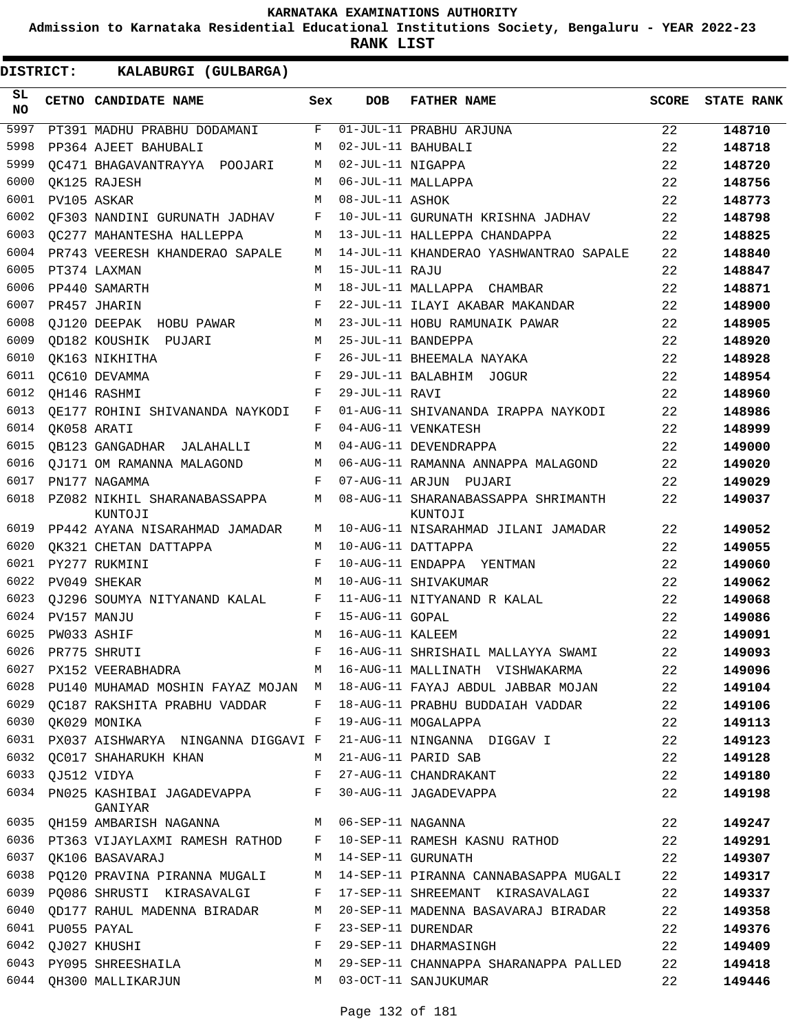**Admission to Karnataka Residential Educational Institutions Society, Bengaluru - YEAR 2022-23**

**RANK LIST**

| SL<br><b>NO</b> | <b>CETNO CANDIDATE NAME</b>                     | Sex          | <b>DOB</b>        | <b>FATHER NAME</b>                             | <b>SCORE</b> | <b>STATE RANK</b> |
|-----------------|-------------------------------------------------|--------------|-------------------|------------------------------------------------|--------------|-------------------|
| 5997            | PT391 MADHU PRABHU DODAMANI                     | F            |                   | 01-JUL-11 PRABHU ARJUNA                        | 22           | 148710            |
| 5998            | PP364 AJEET BAHUBALI                            | M            |                   | 02-JUL-11 BAHUBALI                             | 22           | 148718            |
| 5999            | OC471 BHAGAVANTRAYYA POOJARI                    | M            | 02-JUL-11 NIGAPPA |                                                | 22           | 148720            |
| 6000            | OK125 RAJESH                                    | M            |                   | 06-JUL-11 MALLAPPA                             | 22           | 148756            |
| 6001            | PV105 ASKAR                                     | M            | 08-JUL-11 ASHOK   |                                                | 22           | 148773            |
| 6002            | OF303 NANDINI GURUNATH JADHAV                   | F            |                   | 10-JUL-11 GURUNATH KRISHNA JADHAV              | 22           | 148798            |
| 6003            | <b>QC277 MAHANTESHA HALLEPPA</b>                | M            |                   | 13-JUL-11 HALLEPPA CHANDAPPA                   | 22           | 148825            |
| 6004            | PR743 VEERESH KHANDERAO SAPALE                  | М            |                   | 14-JUL-11 KHANDERAO YASHWANTRAO SAPALE         | 22           | 148840            |
| 6005            | PT374 LAXMAN                                    | M            | 15-JUL-11 RAJU    |                                                | 22           | 148847            |
| 6006            | PP440 SAMARTH                                   | M            |                   | 18-JUL-11 MALLAPPA CHAMBAR                     | 22           | 148871            |
| 6007            | PR457 JHARIN                                    | F            |                   | 22-JUL-11 ILAYI AKABAR MAKANDAR                | 22           | 148900            |
| 6008            | QJ120 DEEPAK HOBU PAWAR                         | М            |                   | 23-JUL-11 HOBU RAMUNAIK PAWAR                  | 22           | 148905            |
| 6009            | QD182 KOUSHIK PUJARI                            | М            |                   | 25-JUL-11 BANDEPPA                             | 22           | 148920            |
| 6010            | QK163 NIKHITHA                                  | F            |                   | 26-JUL-11 BHEEMALA NAYAKA                      | 22           | 148928            |
| 6011            | QC610 DEVAMMA                                   | F            |                   | 29-JUL-11 BALABHIM JOGUR                       | 22           | 148954            |
| 6012            | QH146 RASHMI                                    | F            | 29-JUL-11 RAVI    |                                                | 22           | 148960            |
| 6013            | QE177 ROHINI SHIVANANDA NAYKODI                 | F            |                   | 01-AUG-11 SHIVANANDA IRAPPA NAYKODI            | 22           | 148986            |
| 6014            | OK058 ARATI                                     | F            |                   | 04-AUG-11 VENKATESH                            | 22           | 148999            |
| 6015            | QB123 GANGADHAR JALAHALLI                       | М            |                   | 04-AUG-11 DEVENDRAPPA                          | 22           | 149000            |
| 6016            | OJ171 OM RAMANNA MALAGOND                       | M            |                   | 06-AUG-11 RAMANNA ANNAPPA MALAGOND             | 22           | 149020            |
| 6017            | PN177 NAGAMMA                                   | F            |                   | 07-AUG-11 ARJUN PUJARI                         | 22           | 149029            |
| 6018            | PZ082 NIKHIL SHARANABASSAPPA<br>KUNTOJI         | M            |                   | 08-AUG-11 SHARANABASSAPPA SHRIMANTH<br>KUNTOJI | 22           | 149037            |
| 6019            | PP442 AYANA NISARAHMAD JAMADAR                  | М            |                   | 10-AUG-11 NISARAHMAD JILANI JAMADAR            | 22           | 149052            |
| 6020            | OK321 CHETAN DATTAPPA                           | M            |                   | 10-AUG-11 DATTAPPA                             | 22           | 149055            |
| 6021            | PY277 RUKMINI                                   | F            |                   | 10-AUG-11 ENDAPPA YENTMAN                      | 22           | 149060            |
| 6022            | PV049 SHEKAR                                    | M            |                   | 10-AUG-11 SHIVAKUMAR                           | 22           | 149062            |
| 6023            | QJ296 SOUMYA NITYANAND KALAL                    | F            |                   | 11-AUG-11 NITYANAND R KALAL                    | 22           | 149068            |
| 6024            | PV157 MANJU                                     | F            | 15-AUG-11 GOPAL   |                                                | 22           | 149086            |
| 6025            | PW033 ASHIF                                     | M            | 16-AUG-11 KALEEM  |                                                | 22           | 149091            |
| 6026            | PR775 SHRUTI                                    | F            |                   | 16-AUG-11 SHRISHAIL MALLAYYA SWAMI             | 22           | 149093            |
| 6027            | PX152 VEERABHADRA                               |              |                   | M 16-AUG-11 MALLINATH VISHWAKARMA              | 22           | 149096            |
| 6028            | PU140 MUHAMAD MOSHIN FAYAZ MOJAN M              |              |                   | 18-AUG-11 FAYAJ ABDUL JABBAR MOJAN             | 22           | 149104            |
| 6029            | QC187 RAKSHITA PRABHU VADDAR                    | F            |                   | 18-AUG-11 PRABHU BUDDAIAH VADDAR               | 22           | 149106            |
| 6030            | QK029 MONIKA                                    | F            |                   | 19-AUG-11 MOGALAPPA                            | 22           | 149113            |
| 6031            | PX037 AISHWARYA NINGANNA DIGGAVI F              |              |                   | 21-AUG-11 NINGANNA DIGGAV I                    | 22           | 149123            |
| 6032            | OC017 SHAHARUKH KHAN                            | M            |                   | 21-AUG-11 PARID SAB                            | 22           | 149128            |
| 6033            | QJ512 VIDYA                                     | $\mathbf{F}$ |                   | 27-AUG-11 CHANDRAKANT                          | 22           | 149180            |
| 6034            | PN025 KASHIBAI JAGADEVAPPA F<br>GANIYAR         |              |                   | 30-AUG-11 JAGADEVAPPA                          | 22           | 149198            |
|                 | 6035 QH159 AMBARISH NAGANNA M 06-SEP-11 NAGANNA |              |                   |                                                | 22           | 149247            |
|                 | 6036 PT363 VIJAYLAXMI RAMESH RATHOD F           |              |                   | 10-SEP-11 RAMESH KASNU RATHOD                  | 22           | 149291            |
| 6037            | QK106 BASAVARAJ                                 | M            |                   | 14-SEP-11 GURUNATH                             | 22           | 149307            |
| 6038            | PQ120 PRAVINA PIRANNA MUGALI                    | М            |                   | 14-SEP-11 PIRANNA CANNABASAPPA MUGALI          | 22           | 149317            |
|                 | 6039 PQ086 SHRUSTI KIRASAVALGI                  | F            |                   | 17-SEP-11 SHREEMANT KIRASAVALAGI               | 22           | 149337            |
| 6040            | QD177 RAHUL MADENNA BIRADAR                     | М            |                   | 20-SEP-11 MADENNA BASAVARAJ BIRADAR            | 22           | 149358            |
| 6041            | PU055 PAYAL                                     | F            |                   | 23-SEP-11 DURENDAR                             | 22           | 149376            |
| 6042            | QJ027 KHUSHI                                    | F            |                   | 29-SEP-11 DHARMASINGH                          | 22           | 149409            |
|                 | 6043 PY095 SHREESHAILA                          | М            |                   | 29-SEP-11 CHANNAPPA SHARANAPPA PALLED          | 22           | 149418            |
| 6044            | QH300 MALLIKARJUN                               | M            |                   | 03-OCT-11 SANJUKUMAR                           | 22           | 149446            |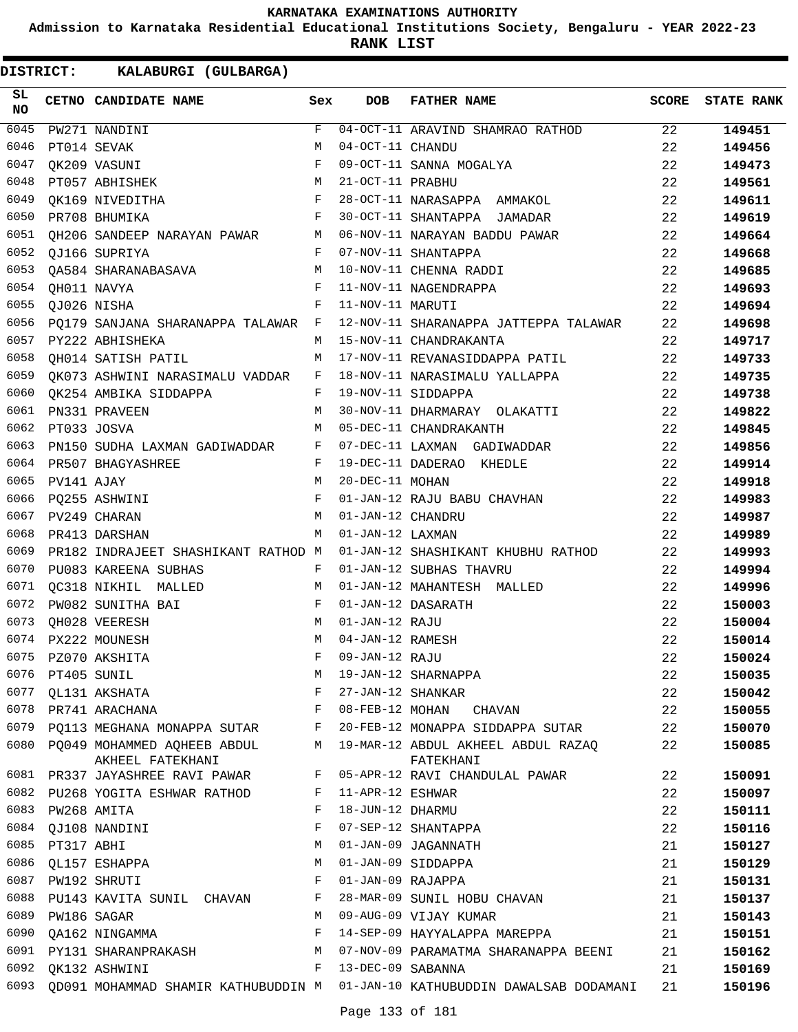**Admission to Karnataka Residential Educational Institutions Society, Bengaluru - YEAR 2022-23**

**RANK LIST**

| SL<br>NO. |             | CETNO CANDIDATE NAME                                                       | Sex          | <b>DOB</b>        | <b>FATHER NAME</b>                                                          | <b>SCORE</b> | <b>STATE RANK</b> |
|-----------|-------------|----------------------------------------------------------------------------|--------------|-------------------|-----------------------------------------------------------------------------|--------------|-------------------|
| 6045      |             | PW271 NANDINI                                                              | F            |                   | 04-OCT-11 ARAVIND SHAMRAO RATHOD                                            | 22           | 149451            |
| 6046      |             | PT014 SEVAK                                                                | М            | 04-OCT-11 CHANDU  |                                                                             | 22           | 149456            |
| 6047      |             | QK209 VASUNI                                                               | F            |                   | 09-OCT-11 SANNA MOGALYA                                                     | 22           | 149473            |
| 6048      |             | $\begin{aligned} \mathbb{M} \\ \mathbb{F} \end{aligned}$<br>PT057 ABHISHEK |              | 21-OCT-11 PRABHU  |                                                                             | 22           | 149561            |
| 6049      |             | OK169 NIVEDITHA                                                            |              |                   | 28-OCT-11 NARASAPPA AMMAKOL                                                 | 22           | 149611            |
| 6050      |             | $\mathbf{F}$ and $\mathbf{F}$ and $\mathbf{F}$<br>PR708 BHUMIKA            |              |                   | 30-OCT-11 SHANTAPPA JAMADAR                                                 | 22           | 149619            |
| 6051      |             | QH206 SANDEEP NARAYAN PAWAR M                                              |              |                   | 06-NOV-11 NARAYAN BADDU PAWAR                                               | 22           | 149664            |
| 6052      |             | QJ166 SUPRIYA                                                              | $\mathbf{F}$ |                   | 07-NOV-11 SHANTAPPA                                                         | 22           | 149668            |
| 6053      |             | QA584 SHARANABASAVA M                                                      |              |                   | 10-NOV-11 CHENNA RADDI                                                      | 22           | 149685            |
| 6054      |             | QH011 NAVYA<br>$\mathbf{F}$ and $\mathbf{F}$                               |              |                   | 11-NOV-11 NAGENDRAPPA                                                       | 22           | 149693            |
| 6055      |             | OJ026 NISHA                                                                | F            | 11-NOV-11 MARUTI  |                                                                             | 22           | 149694            |
| 6056      |             | PQ179 SANJANA SHARANAPPA TALAWAR F                                         |              |                   | 12-NOV-11 SHARANAPPA JATTEPPA TALAWAR                                       | 22           | 149698            |
| 6057      |             | PY222 ABHISHEKA                                                            | M            |                   | 15-NOV-11 CHANDRAKANTA                                                      | 22           | 149717            |
| 6058      |             | QH014 SATISH PATIL                                                         | М            |                   | 17-NOV-11 REVANASIDDAPPA PATIL                                              | 22           | 149733            |
| 6059      |             | QK073 ASHWINI NARASIMALU VADDAR F                                          |              |                   | 18-NOV-11 NARASIMALU YALLAPPA                                               | 22           | 149735            |
| 6060      |             | QK254 AMBIKA SIDDAPPA F                                                    |              |                   | 19-NOV-11 SIDDAPPA                                                          | 22           | 149738            |
| 6061      |             | PN331 PRAVEEN                                                              | M            |                   | 30-NOV-11 DHARMARAY OLAKATTI                                                | 22           | 149822            |
| 6062      |             | PT033 JOSVA                                                                | M            |                   | 05-DEC-11 CHANDRAKANTH                                                      | 22           | 149845            |
| 6063      |             | PN150 SUDHA LAXMAN GADIWADDAR F                                            |              |                   | 07-DEC-11 LAXMAN GADIWADDAR                                                 | 22           | 149856            |
| 6064      |             | PR507 BHAGYASHREE                                                          | $\mathbf{F}$ |                   | 19-DEC-11 DADERAO KHEDLE                                                    | 22           | 149914            |
| 6065      | PV141 AJAY  |                                                                            | М            | 20-DEC-11 MOHAN   |                                                                             | 22           | 149918            |
| 6066      |             | PQ255 ASHWINI                                                              | F            |                   | 01-JAN-12 RAJU BABU CHAVHAN                                                 | 22           | 149983            |
| 6067      |             | M<br>PV249 CHARAN                                                          |              | 01-JAN-12 CHANDRU |                                                                             | 22           | 149987            |
| 6068      |             | PR413 DARSHAN                                                              | M            | 01-JAN-12 LAXMAN  |                                                                             | 22           | 149989            |
| 6069      |             | PR182 INDRAJEET SHASHIKANT RATHOD M                                        |              |                   | 01-JAN-12 SHASHIKANT KHUBHU RATHOD                                          | 22           | 149993            |
| 6070      |             | PU083 KAREENA SUBHAS                                                       | F            |                   | 01-JAN-12 SUBHAS THAVRU                                                     | 22           | 149994            |
| 6071      |             | QC318 NIKHIL MALLED M                                                      |              |                   | 01-JAN-12 MAHANTESH MALLED                                                  | 22           | 149996            |
| 6072      |             | PW082 SUNITHA BAI                                                          | $\mathbf{F}$ |                   | 01-JAN-12 DASARATH                                                          | 22           | 150003            |
| 6073      |             | QH028 VEERESH                                                              | М            | 01-JAN-12 RAJU    |                                                                             | 22           | 150004            |
| 6074      |             | PX222 MOUNESH                                                              | M            | 04-JAN-12 RAMESH  |                                                                             | 22           | 150014            |
| 6075      |             | PZ070 AKSHITA                                                              | F            | 09-JAN-12 RAJU    |                                                                             | 22           | 150024            |
| 6076      | PT405 SUNIL |                                                                            | М            |                   | 19-JAN-12 SHARNAPPA                                                         | 22           | 150035            |
| 6077      |             | QL131 AKSHATA                                                              | F            | 27-JAN-12 SHANKAR |                                                                             | 22           | 150042            |
| 6078      |             | PR741 ARACHANA                                                             | F            |                   | 08-FEB-12 MOHAN CHAVAN                                                      | 22           | 150055            |
| 6079      |             | PQ113 MEGHANA MONAPPA SUTAR                                                | F            |                   | 20-FEB-12 MONAPPA SIDDAPPA SUTAR                                            | 22           | 150070            |
|           |             | 6080 PQ049 MOHAMMED AQHEEB ABDUL<br>AKHEEL FATEKHANI                       | М            |                   | 19-MAR-12 ABDUL AKHEEL ABDUL RAZAQ<br>FATEKHANI                             | 22           | 150085            |
|           |             | 6081 PR337 JAYASHREE RAVI PAWAR                                            | F            |                   | 05-APR-12 RAVI CHANDULAL PAWAR                                              | 22           | 150091            |
| 6082      |             | PU268 YOGITA ESHWAR RATHOD                                                 | F            | 11-APR-12 ESHWAR  |                                                                             | 22           | 150097            |
| 6083      |             | PW268 AMITA                                                                | F            | 18-JUN-12 DHARMU  |                                                                             | 22           | 150111            |
| 6084      |             | QJ108 NANDINI                                                              | F            |                   | 07-SEP-12 SHANTAPPA                                                         | 22           | 150116            |
| 6085      | PT317 ABHI  |                                                                            | М            |                   | 01-JAN-09 JAGANNATH                                                         | 21           | 150127            |
| 6086      |             | QL157 ESHAPPA                                                              | M            |                   | 01-JAN-09 SIDDAPPA                                                          | 21           | 150129            |
| 6087      |             | PW192 SHRUTI                                                               | F            | 01-JAN-09 RAJAPPA |                                                                             | 21           | 150131            |
| 6088      |             | PU143 KAVITA SUNIL CHAVAN                                                  | F            |                   | 28-MAR-09 SUNIL HOBU CHAVAN                                                 | 21           | 150137            |
| 6089      |             | PW186 SAGAR                                                                | М            |                   | 09-AUG-09 VIJAY KUMAR                                                       | 21           | 150143            |
| 6090      |             | QA162 NINGAMMA                                                             | F            |                   | 14-SEP-09 HAYYALAPPA MAREPPA                                                | 21           | 150151            |
| 6091      |             | PY131 SHARANPRAKASH                                                        | M            |                   | 07-NOV-09 PARAMATMA SHARANAPPA BEENI                                        | 21           | 150162            |
| 6092      |             | QK132 ASHWINI                                                              | F            | 13-DEC-09 SABANNA |                                                                             | 21           | 150169            |
| 6093      |             |                                                                            |              |                   | QD091 MOHAMMAD SHAMIR KATHUBUDDIN M 01-JAN-10 KATHUBUDDIN DAWALSAB DODAMANI | 21           | 150196            |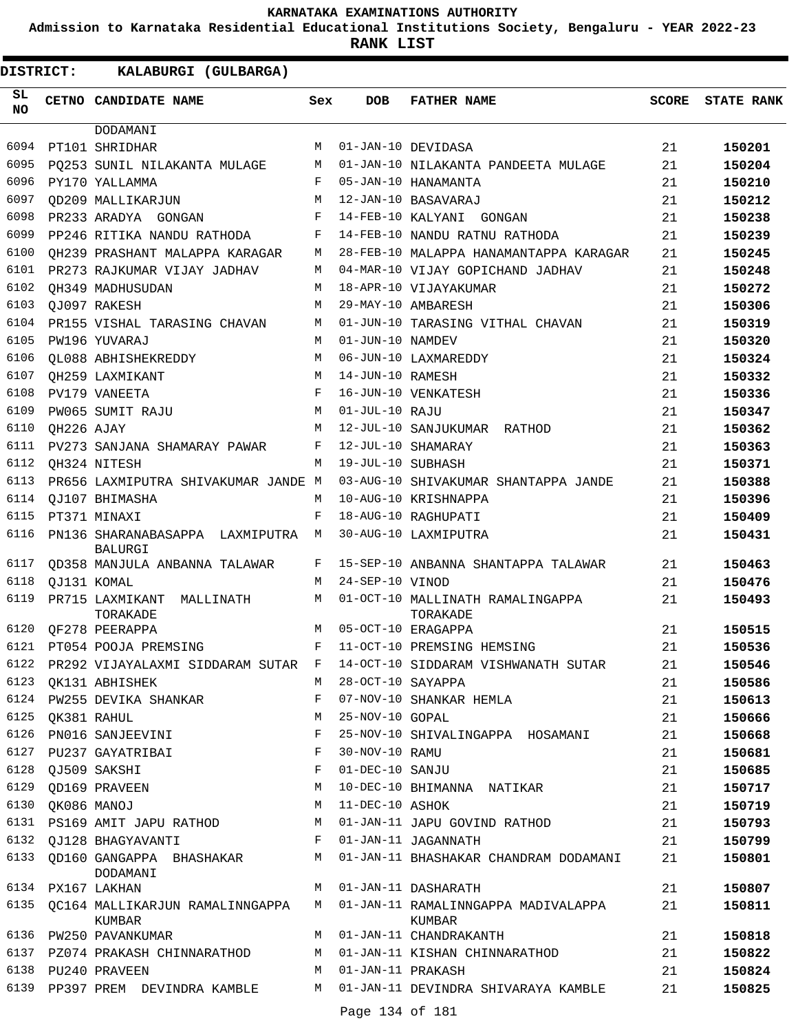**Admission to Karnataka Residential Educational Institutions Society, Bengaluru - YEAR 2022-23**

| DISTRICT:       |                  | KALABURGI (GULBARGA)                           |        |                     |                                                                                      |              |                   |
|-----------------|------------------|------------------------------------------------|--------|---------------------|--------------------------------------------------------------------------------------|--------------|-------------------|
| SL<br><b>NO</b> |                  | CETNO CANDIDATE NAME                           | Sex    | <b>DOB</b>          | <b>FATHER NAME</b>                                                                   | <b>SCORE</b> | <b>STATE RANK</b> |
|                 |                  | DODAMANI                                       |        |                     |                                                                                      |              |                   |
| 6094            |                  | PT101 SHRIDHAR                                 | М      |                     | 01-JAN-10 DEVIDASA                                                                   | 21           | 150201            |
| 6095            |                  | PO253 SUNIL NILAKANTA MULAGE                   | M      |                     | 01-JAN-10 NILAKANTA PANDEETA MULAGE                                                  | 21           | 150204            |
| 6096            |                  | PY170 YALLAMMA                                 | F      |                     | 05-JAN-10 HANAMANTA                                                                  | 21           | 150210            |
| 6097            |                  | OD209 MALLIKARJUN                              | М      |                     | 12-JAN-10 BASAVARAJ                                                                  | 21           | 150212            |
| 6098            |                  | PR233 ARADYA GONGAN                            | F      |                     | 14-FEB-10 KALYANI GONGAN                                                             | 21           | 150238            |
| 6099            |                  | PP246 RITIKA NANDU RATHODA                     | F      |                     | 14-FEB-10 NANDU RATNU RATHODA                                                        | 21           | 150239            |
| 6100            |                  | OH239 PRASHANT MALAPPA KARAGAR                 | М      |                     | 28-FEB-10 MALAPPA HANAMANTAPPA KARAGAR                                               | 21           | 150245            |
| 6101<br>6102    |                  | PR273 RAJKUMAR VIJAY JADHAV                    | М<br>М |                     | 04-MAR-10 VIJAY GOPICHAND JADHAV                                                     | 21           | 150248            |
| 6103            |                  | OH349 MADHUSUDAN                               | М      |                     | 18-APR-10 VIJAYAKUMAR                                                                | 21           | 150272            |
| 6104            |                  | OJ097 RAKESH                                   | М      |                     | 29-MAY-10 AMBARESH                                                                   | 21           | 150306            |
| 6105            |                  | PR155 VISHAL TARASING CHAVAN<br>PW196 YUVARAJ  | М      | 01-JUN-10 NAMDEV    | 01-JUN-10 TARASING VITHAL CHAVAN                                                     | 21           | 150319            |
| 6106            |                  |                                                | M      |                     | 06-JUN-10 LAXMAREDDY                                                                 | 21<br>21     | 150320            |
| 6107            |                  | OL088 ABHISHEKREDDY                            | M      | 14-JUN-10 RAMESH    |                                                                                      |              | 150324            |
| 6108            |                  | OH259 LAXMIKANT                                | F      |                     | 16-JUN-10 VENKATESH                                                                  | 21<br>21     | 150332<br>150336  |
| 6109            |                  | PV179 VANEETA<br>PW065 SUMIT RAJU              | M      | 01-JUL-10 RAJU      |                                                                                      | 21           |                   |
| 6110            |                  |                                                | M      |                     |                                                                                      | 21           | 150347            |
| 6111            | OH226 AJAY       |                                                | F      |                     | 12-JUL-10 SANJUKUMAR RATHOD<br>12-JUL-10 SHAMARAY                                    |              | 150362            |
| 6112            |                  | PV273 SANJANA SHAMARAY PAWAR<br>OH324 NITESH   | М      | 19-JUL-10 SUBHASH   |                                                                                      | 21<br>21     | 150363            |
| 6113            |                  | PR656 LAXMIPUTRA SHIVAKUMAR JANDE M            |        |                     | 03-AUG-10 SHIVAKUMAR SHANTAPPA JANDE                                                 | 21           | 150371            |
| 6114            |                  | QJ107 BHIMASHA                                 | М      |                     | 10-AUG-10 KRISHNAPPA                                                                 | 21           | 150388<br>150396  |
| 6115            |                  | PT371 MINAXI                                   | F      |                     | 18-AUG-10 RAGHUPATI                                                                  | 21           | 150409            |
| 6116            |                  | PN136 SHARANABASAPPA LAXMIPUTRA                | М      |                     | 30-AUG-10 LAXMIPUTRA                                                                 | 21           | 150431            |
|                 |                  | BALURGI                                        |        |                     |                                                                                      |              |                   |
| 6117            |                  | OD358 MANJULA ANBANNA TALAWAR                  | F      |                     | 15-SEP-10 ANBANNA SHANTAPPA TALAWAR                                                  | 21           | 150463            |
| 6118            |                  | OJ131 KOMAL                                    | М      | 24-SEP-10 VINOD     |                                                                                      | 21           | 150476            |
| 6119            |                  | PR715 LAXMIKANT<br>MALLINATH<br>TORAKADE       | М      |                     | 01-OCT-10 MALLINATH RAMALINGAPPA<br>TORAKADE                                         | 21           | 150493            |
| 6120            |                  | QF278 PEERAPPA                                 | М      |                     | 05-OCT-10 ERAGAPPA                                                                   | 21           | 150515            |
| 6121            |                  | PT054 POOJA PREMSING                           |        |                     | F 11-OCT-10 PREMSING HEMSING                                                         | 21           | 150536            |
|                 |                  |                                                |        |                     | 6122 PR292 VIJAYALAXMI SIDDARAM SUTAR F 14-OCT-10 SIDDARAM VISHWANATH SUTAR          | 21           | 150546            |
|                 |                  | 6123 QK131 ABHISHEK                            |        | M 28-OCT-10 SAYAPPA |                                                                                      | 21           | 150586            |
|                 |                  | 6124 PW255 DEVIKA SHANKAR                      | F      |                     | 07-NOV-10 SHANKAR HEMLA                                                              | 21           | 150613            |
|                 |                  | 6125 QK381 RAHUL                               | М      | 25-NOV-10 GOPAL     |                                                                                      | 21           | 150666            |
|                 |                  | 6126 PN016 SANJEEVINI F                        |        |                     | 25-NOV-10 SHIVALINGAPPA HOSAMANI                                                     | 21           | 150668            |
|                 |                  | 6127 PU237 GAYATRIBAI F<br>6128 QJ509 SAKSHI F |        | 30-NOV-10 RAMU      |                                                                                      | 21           | 150681            |
|                 |                  |                                                |        | 01-DEC-10 SANJU     |                                                                                      | 21           | 150685            |
|                 |                  |                                                |        |                     | 6129 QD169 PRAVEEN M 10-DEC-10 BHIMANNA NATIKAR                                      | 21           | 150717            |
|                 | 6130 QK086 MANOJ |                                                |        | M 11-DEC-10 ASHOK   |                                                                                      | 21           | 150719            |
|                 |                  |                                                |        |                     | 6131 PS169 AMIT JAPU RATHOD M 01-JAN-11 JAPU GOVIND RATHOD                           | 21           | 150793            |
|                 |                  | 6132 QJ128 BHAGYAVANTI F 01-JAN-11 JAGANNATH   |        |                     |                                                                                      | 21           | 150799            |
|                 |                  | DODAMANI                                       |        |                     | 6133 QD160 GANGAPPA BHASHAKAR M 01-JAN-11 BHASHAKAR CHANDRAM DODAMANI                | 21           | 150801            |
|                 |                  | 6134 PX167 LAKHAN                              |        |                     | M 01-JAN-11 DASHARATH                                                                | 21           | 150807            |
|                 |                  | KUMBAR                                         |        |                     | 6135 OC164 MALLIKARJUN RAMALINNGAPPA M 01-JAN-11 RAMALINNGAPPA MADIVALAPPA<br>KUMBAR | 21           | 150811            |
|                 |                  | 6136 PW250 PAVANKUMAR                          |        |                     | M 01-JAN-11 CHANDRAKANTH                                                             | 21           | 150818            |
|                 |                  |                                                |        |                     | 6137 PZ074 PRAKASH CHINNARATHOD M 01-JAN-11 KISHAN CHINNARATHOD                      | 21           | 150822            |
|                 |                  | 6138 PU240 PRAVEEN                             |        | M 01-JAN-11 PRAKASH |                                                                                      | 21           | 150824            |
|                 |                  |                                                |        |                     | 6139 PP397 PREM DEVINDRA KAMBLE M 01-JAN-11 DEVINDRA SHIVARAYA KAMBLE                | 21           | 150825            |
|                 |                  |                                                |        | Page 134 of 181     |                                                                                      |              |                   |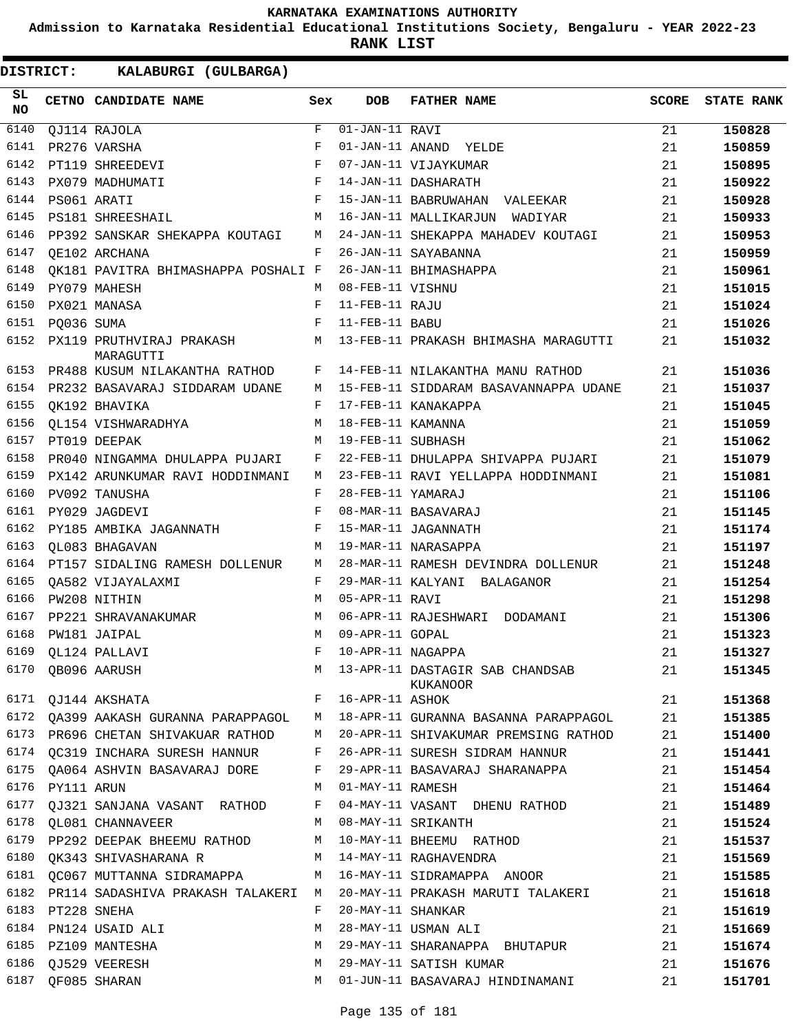**Admission to Karnataka Residential Educational Institutions Society, Bengaluru - YEAR 2022-23**

**RANK LIST**

| SL<br><b>NO</b> |                       | <b>CETNO CANDIDATE NAME</b>             | Sex        | <b>DOB</b>        | <b>FATHER NAME</b>                                        | <b>SCORE</b> | <b>STATE RANK</b> |
|-----------------|-----------------------|-----------------------------------------|------------|-------------------|-----------------------------------------------------------|--------------|-------------------|
| 6140            |                       | QJ114 RAJOLA                            | F          | 01-JAN-11 RAVI    |                                                           | 21           | 150828            |
| 6141            |                       | PR276 VARSHA                            | F          |                   | 01-JAN-11 ANAND YELDE                                     | 21           | 150859            |
| 6142            |                       | PT119 SHREEDEVI                         | $_{\rm F}$ |                   | 07-JAN-11 VIJAYKUMAR                                      | 21           | 150895            |
| 6143            |                       | PX079 MADHUMATI                         | $_{\rm F}$ |                   | 14-JAN-11 DASHARATH                                       | 21           | 150922            |
| 6144            |                       | PS061 ARATI                             | $_{\rm F}$ |                   | 15-JAN-11 BABRUWAHAN VALEEKAR                             | 21           | 150928            |
| 6145            |                       | PS181 SHREESHAIL                        | M          |                   | 16-JAN-11 MALLIKARJUN WADIYAR                             | 21           | 150933            |
| 6146            |                       | PP392 SANSKAR SHEKAPPA KOUTAGI          | M          |                   | 24-JAN-11 SHEKAPPA MAHADEV KOUTAGI                        | 21           | 150953            |
| 6147            |                       | OE102 ARCHANA                           | F          |                   | 26-JAN-11 SAYABANNA                                       | 21           | 150959            |
| 6148            |                       | OK181 PAVITRA BHIMASHAPPA POSHALI F     |            |                   | 26-JAN-11 BHIMASHAPPA                                     | 21           | 150961            |
| 6149            |                       | PY079 MAHESH                            | M          | 08-FEB-11 VISHNU  |                                                           | 21           | 151015            |
| 6150            |                       | PX021 MANASA                            | F          | 11-FEB-11 RAJU    |                                                           | 21           | 151024            |
| 6151            | PO036 SUMA            |                                         | $_{\rm F}$ | 11-FEB-11 BABU    |                                                           | 21           | 151026            |
| 6152            |                       | PX119 PRUTHVIRAJ PRAKASH M<br>MARAGUTTI |            |                   | 13-FEB-11 PRAKASH BHIMASHA MARAGUTTI                      | 21           | 151032            |
| 6153            |                       | PR488 KUSUM NILAKANTHA RATHOD           | F          |                   | 14-FEB-11 NILAKANTHA MANU RATHOD                          | 21           | 151036            |
| 6154            |                       | PR232 BASAVARAJ SIDDARAM UDANE          | M          |                   | 15-FEB-11 SIDDARAM BASAVANNAPPA UDANE                     | 21           | 151037            |
| 6155            |                       | OK192 BHAVIKA                           | F          |                   | 17-FEB-11 KANAKAPPA                                       | 21           | 151045            |
| 6156            |                       | OL154 VISHWARADHYA                      | М          | 18-FEB-11 KAMANNA |                                                           | 21           | 151059            |
| 6157            |                       | PT019 DEEPAK                            | M          | 19-FEB-11 SUBHASH |                                                           | 21           | 151062            |
| 6158            |                       | PR040 NINGAMMA DHULAPPA PUJARI          | F          |                   | 22-FEB-11 DHULAPPA SHIVAPPA PUJARI                        | 21           | 151079            |
| 6159            |                       | PX142 ARUNKUMAR RAVI HODDINMANI         | М          |                   | 23-FEB-11 RAVI YELLAPPA HODDINMANI                        | 21           | 151081            |
| 6160            |                       | PV092 TANUSHA                           | F          | 28-FEB-11 YAMARAJ |                                                           | 21           | 151106            |
| 6161            |                       | PY029 JAGDEVI                           | F          |                   | 08-MAR-11 BASAVARAJ                                       | 21           | 151145            |
| 6162            |                       | PY185 AMBIKA JAGANNATH                  | F          |                   | 15-MAR-11 JAGANNATH                                       | 21           | 151174            |
| 6163            |                       | OL083 BHAGAVAN                          | M          |                   | 19-MAR-11 NARASAPPA                                       | 21           | 151197            |
| 6164            |                       | PT157 SIDALING RAMESH DOLLENUR          | M          |                   | 28-MAR-11 RAMESH DEVINDRA DOLLENUR                        | 21           | 151248            |
| 6165            |                       | OA582 VIJAYALAXMI                       | F          |                   | 29-MAR-11 KALYANI BALAGANOR                               | 21           | 151254            |
| 6166            |                       | PW208 NITHIN                            | M          | 05-APR-11 RAVI    |                                                           | 21           | 151298            |
| 6167            |                       | PP221 SHRAVANAKUMAR                     | M          |                   | 06-APR-11 RAJESHWARI DODAMANI                             | 21           | 151306            |
| 6168            |                       | PW181 JAIPAL                            | M          | 09-APR-11 GOPAL   |                                                           | 21           | 151323            |
| 6169            |                       | QL124 PALLAVI                           | F          | 10-APR-11 NAGAPPA |                                                           | 21           | 151327            |
|                 |                       | 6170 QB096 AARUSH                       |            |                   | M 13-APR-11 DASTAGIR SAB CHANDSAB<br>KUKANOOR             | 21           | 151345            |
|                 |                       | F 16-APR-11 ASHOK<br>6171 QJ144 AKSHATA |            |                   |                                                           | 21           | 151368            |
|                 |                       | 6172 QA399 AAKASH GURANNA PARAPPAGOL M  |            |                   | 18-APR-11 GURANNA BASANNA PARAPPAGOL                      | 21           | 151385            |
|                 |                       | 6173 PR696 CHETAN SHIVAKUAR RATHOD      | M          |                   | 20-APR-11 SHIVAKUMAR PREMSING RATHOD                      | 21           | 151400            |
|                 |                       | 6174 QC319 INCHARA SURESH HANNUR        | F          |                   | 26-APR-11 SURESH SIDRAM HANNUR                            | 21           | 151441            |
|                 |                       | 6175 QA064 ASHVIN BASAVARAJ DORE        | F          |                   | 29-APR-11 BASAVARAJ SHARANAPPA                            | 21           | 151454            |
|                 | 6176    PY111    ARUN |                                         | M          | 01-MAY-11 RAMESH  |                                                           | 21           | 151464            |
|                 |                       | 6177 QJ321 SANJANA VASANT RATHOD F      |            |                   | 04-MAY-11 VASANT DHENU RATHOD                             | 21           | 151489            |
|                 |                       | 6178 QL081 CHANNAVEER                   |            |                   | M 08-MAY-11 SRIKANTH                                      | 21           | 151524            |
|                 |                       |                                         |            |                   | 6179 PP292 DEEPAK BHEEMU RATHOD M 10-MAY-11 BHEEMU RATHOD | 21           | 151537            |
|                 |                       | 6180 QK343 SHIVASHARANA R               | M          |                   | 14-MAY-11 RAGHAVENDRA                                     | 21           | 151569            |
|                 |                       | 6181 QC067 MUTTANNA SIDRAMAPPA          | M          |                   | 16-MAY-11 SIDRAMAPPA ANOOR                                | 21           | 151585            |
|                 |                       | 6182 PR114 SADASHIVA PRAKASH TALAKERI M |            |                   | 20-MAY-11 PRAKASH MARUTI TALAKERI                         | 21           | 151618            |
|                 | 6183 PT228 SNEHA      |                                         | F          | 20-MAY-11 SHANKAR |                                                           | 21           | 151619            |
|                 |                       | 6184 PN124 USAID ALI                    | M          |                   | 28-MAY-11 USMAN ALI                                       | 21           | 151669            |
|                 |                       | 6185 PZ109 MANTESHA                     | M          |                   | 29-MAY-11 SHARANAPPA BHUTAPUR                             | 21           | 151674            |
|                 |                       | 6186 QJ529 VEERESH                      | M          |                   | 29-MAY-11 SATISH KUMAR                                    | 21           | 151676            |
|                 |                       | 6187 QF085 SHARAN                       | M          |                   | 01-JUN-11 BASAVARAJ HINDINAMANI                           | 21           | 151701            |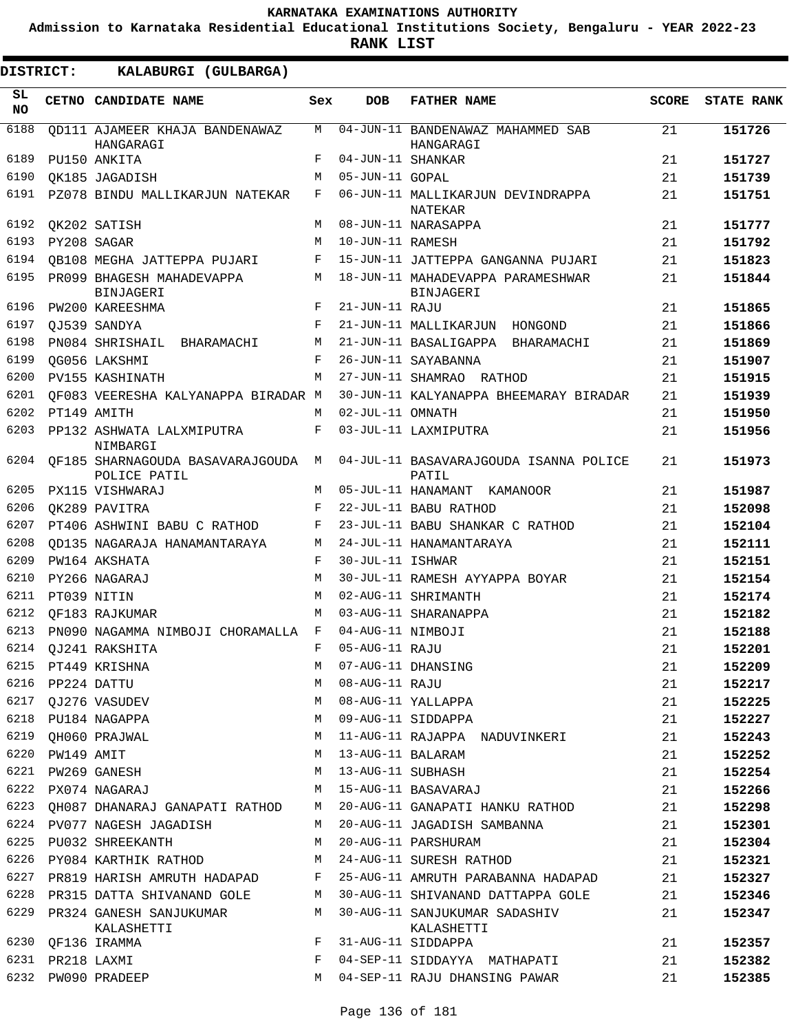**Admission to Karnataka Residential Educational Institutions Society, Bengaluru - YEAR 2022-23**

**RANK LIST**

ı

| DISTRICT:        |                  | KALABURGI (GULBARGA)                                |              |                     |                                                                                  |              |                   |
|------------------|------------------|-----------------------------------------------------|--------------|---------------------|----------------------------------------------------------------------------------|--------------|-------------------|
| SL.<br><b>NO</b> |                  | CETNO CANDIDATE NAME                                | Sex          | <b>DOB</b>          | <b>FATHER NAME</b>                                                               | <b>SCORE</b> | <b>STATE RANK</b> |
| 6188             |                  | OD111 AJAMEER KHAJA BANDENAWAZ<br>HANGARAGI         | М            |                     | 04-JUN-11 BANDENAWAZ MAHAMMED SAB<br>HANGARAGI                                   | 21           | 151726            |
| 6189             |                  | PU150 ANKITA                                        | F            | 04-JUN-11 SHANKAR   |                                                                                  | 21           | 151727            |
| 6190             |                  | OK185 JAGADISH                                      | M            | 05-JUN-11 GOPAL     |                                                                                  | 21           | 151739            |
| 6191             |                  | PZ078 BINDU MALLIKARJUN NATEKAR                     | F            |                     | 06-JUN-11 MALLIKARJUN DEVINDRAPPA<br>NATEKAR                                     | 21           | 151751            |
| 6192             |                  | OK202 SATISH                                        | M            |                     | 08-JUN-11 NARASAPPA                                                              | 21           | 151777            |
| 6193             |                  | PY208 SAGAR                                         | M            | 10-JUN-11 RAMESH    |                                                                                  | 21           | 151792            |
| 6194             |                  | OB108 MEGHA JATTEPPA PUJARI                         | F            |                     | 15-JUN-11 JATTEPPA GANGANNA PUJARI                                               | 21           | 151823            |
| 6195             |                  | PR099 BHAGESH MAHADEVAPPA<br>BINJAGERI              | M            |                     | 18-JUN-11 MAHADEVAPPA PARAMESHWAR<br><b>BINJAGERI</b>                            | 21           | 151844            |
| 6196             |                  | PW200 KAREESHMA                                     | F            | 21-JUN-11 RAJU      |                                                                                  | 21           | 151865            |
| 6197             |                  | OJ539 SANDYA                                        | F            |                     | 21-JUN-11 MALLIKARJUN HONGOND                                                    | 21           | 151866            |
| 6198             |                  | PN084 SHRISHAIL BHARAMACHI                          | M            |                     | 21-JUN-11 BASALIGAPPA BHARAMACHI                                                 | 21           | 151869            |
| 6199             |                  | QG056 LAKSHMI                                       | F            |                     | 26-JUN-11 SAYABANNA                                                              | 21           | 151907            |
| 6200             |                  | PV155 KASHINATH                                     | M            |                     | 27-JUN-11 SHAMRAO RATHOD                                                         | 21           | 151915            |
| 6201             |                  | OF083 VEERESHA KALYANAPPA BIRADAR M                 |              |                     | 30-JUN-11 KALYANAPPA BHEEMARAY BIRADAR                                           | 21           | 151939            |
| 6202             |                  | PT149 AMITH                                         | M            | 02-JUL-11 OMNATH    |                                                                                  | 21           | 151950            |
| 6203             |                  | PP132 ASHWATA LALXMIPUTRA<br>NIMBARGI               | F            |                     | 03-JUL-11 LAXMIPUTRA                                                             | 21           | 151956            |
| 6204             |                  | OF185 SHARNAGOUDA BASAVARAJGOUDA M<br>POLICE PATIL  |              |                     | 04-JUL-11 BASAVARAJGOUDA ISANNA POLICE<br>PATIL                                  | 21           | 151973            |
| 6205             |                  | PX115 VISHWARAJ                                     | M            |                     | 05-JUL-11 HANAMANT KAMANOOR                                                      | 21           | 151987            |
| 6206             |                  | OK289 PAVITRA                                       | $_{\rm F}$   |                     | 22-JUL-11 BABU RATHOD                                                            | 21           | 152098            |
| 6207             |                  | PT406 ASHWINI BABU C RATHOD                         | F            |                     | 23-JUL-11 BABU SHANKAR C RATHOD                                                  | 21           | 152104            |
| 6208             |                  | OD135 NAGARAJA HANAMANTARAYA                        | М            |                     | 24-JUL-11 HANAMANTARAYA                                                          | 21           | 152111            |
| 6209             |                  | PW164 AKSHATA                                       | $_{\rm F}$   | 30-JUL-11 ISHWAR    |                                                                                  | 21           | 152151            |
| 6210             |                  | PY266 NAGARAJ                                       | M            |                     | 30-JUL-11 RAMESH AYYAPPA BOYAR                                                   | 21           | 152154            |
| 6211             |                  | PT039 NITIN                                         | M            |                     | 02-AUG-11 SHRIMANTH                                                              | 21           | 152174            |
| 6212             |                  | OF183 RAJKUMAR                                      | M            |                     | 03-AUG-11 SHARANAPPA                                                             | 21           | 152182            |
| 6213             |                  | PN090 NAGAMMA NIMBOJI CHORAMALLA F                  |              | 04-AUG-11 NIMBOJI   |                                                                                  | 21           | 152188            |
|                  |                  | 6214 QJ241 RAKSHITA                                 | $\mathbf{F}$ | 05-AUG-11 RAJU      |                                                                                  | 21           | 152201            |
|                  |                  | 6215 PT449 KRISHNA                                  |              |                     | M 07-AUG-11 DHANSING                                                             | 21           | 152209            |
|                  | 6216 PP224 DATTU |                                                     | M            |                     | 07-AUG-11 DHANSING<br>08-AUG-11 DHANSING<br>08-AUG-11 RAJU<br>08-AUG-11 YALLAPPA | 21           | 152217            |
|                  |                  | 6217 QJ276 VASUDEV                                  | M            |                     |                                                                                  | 21           | 152225            |
|                  |                  | 6218 PU184 NAGAPPA                                  | M            |                     | 09-AUG-11 SIDDAPPA                                                               | 21           | 152227            |
|                  |                  | 6219 QH060 PRAJWAL                                  | M            |                     | 11-AUG-11 RAJAPPA NADUVINKERI                                                    | 21           | 152243            |
|                  | 6220 PW149 AMIT  |                                                     |              | M 13-AUG-11 BALARAM |                                                                                  | 21           | 152252            |
|                  |                  | 6221 PW269 GANESH                                   |              | M 13-AUG-11 SUBHASH |                                                                                  | 21           | 152254            |
|                  |                  | 6222 PX074 NAGARAJ                                  |              |                     | M 15-AUG-11 BASAVARAJ                                                            | 21           | 152266            |
|                  |                  |                                                     |              |                     | 6223 QH087 DHANARAJ GANAPATI RATHOD M 20-AUG-11 GANAPATI HANKU RATHOD            | 21           | 152298            |
|                  |                  |                                                     |              |                     | 6224 PV077 NAGESH JAGADISH M 20-AUG-11 JAGADISH SAMBANNA                         | 21           | 152301            |
| 6225             |                  | PU032 SHREEKANTH                                    | M            |                     | 20-AUG-11 PARSHURAM                                                              | 21           | 152304            |
|                  |                  | 6226 PY084 KARTHIK RATHOD M 24-AUG-11 SURESH RATHOD |              |                     |                                                                                  | 21           | 152321            |
|                  |                  |                                                     |              |                     | 6227 PR819 HARISH AMRUTH HADAPAD F 25-AUG-11 AMRUTH PARABANNA HADAPAD            | 21           | 152327            |
|                  |                  |                                                     |              |                     | 6228 PR315 DATTA SHIVANAND GOLE M 30-AUG-11 SHIVANAND DATTAPPA GOLE              | 21           | 152346            |
|                  |                  | 6229 PR324 GANESH SANJUKUMAR M<br>KALASHETTI        |              |                     | 30-AUG-11 SANJUKUMAR SADASHIV<br>KALASHETTI                                      | 21           | 152347            |
|                  |                  | 6230 QF136 IRAMMA                                   | F            |                     | 31-AUG-11 SIDDAPPA                                                               | 21           | 152357            |
|                  | 6231 PR218 LAXMI |                                                     | F            |                     | 04-SEP-11 SIDDAYYA MATHAPATI                                                     | 21           | 152382            |
|                  |                  | 6232 PW090 PRADEEP                                  | M            |                     | 04-SEP-11 RAJU DHANSING PAWAR                                                    | 21           | 152385            |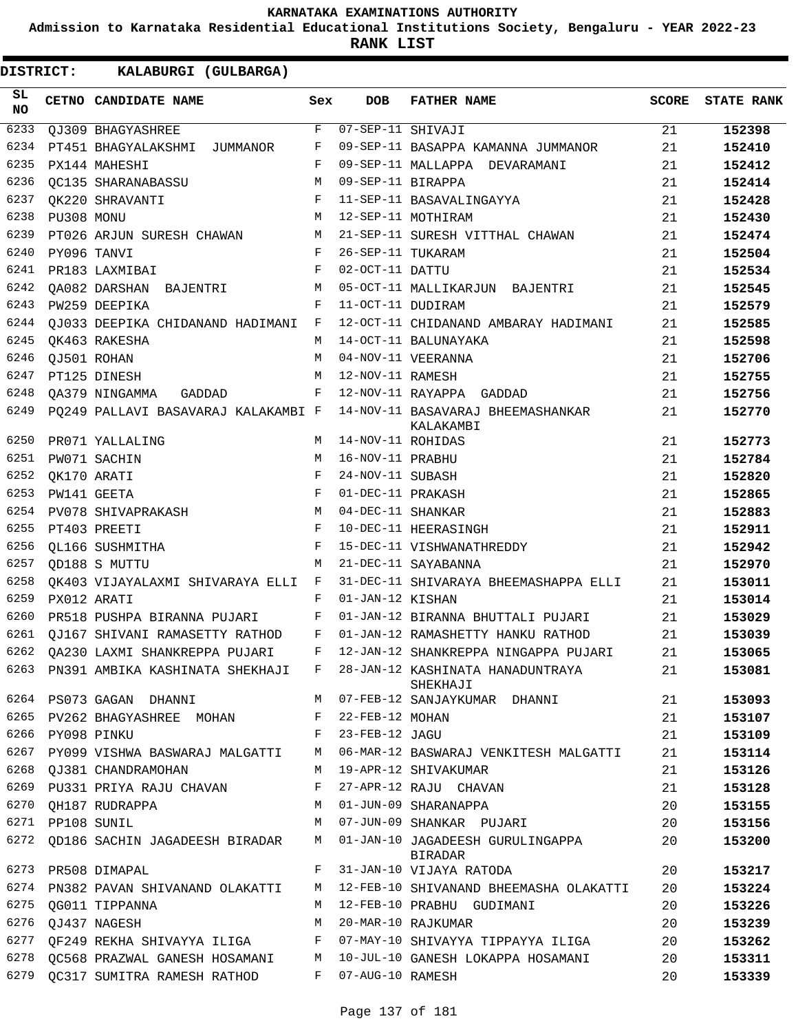**Admission to Karnataka Residential Educational Institutions Society, Bengaluru - YEAR 2022-23**

**RANK LIST**

| SL<br>NO |                  | <b>CETNO CANDIDATE NAME</b>                                             | Sex     | <b>DOB</b>              | <b>FATHER NAME</b>                                                                 | <b>SCORE</b> | <b>STATE RANK</b> |
|----------|------------------|-------------------------------------------------------------------------|---------|-------------------------|------------------------------------------------------------------------------------|--------------|-------------------|
| 6233     |                  | QJ309 BHAGYASHREE                                                       | F       | $07 - SEP - 11$ SHIVAJI |                                                                                    | 21           | 152398            |
| 6234     |                  | PT451 BHAGYALAKSHMI JUMMANOR                                            | F       |                         | 09-SEP-11 BASAPPA KAMANNA JUMMANOR                                                 | 21           | 152410            |
| 6235     |                  | PX144 MAHESHI                                                           | F       |                         | 09-SEP-11 MALLAPPA DEVARAMANI                                                      | 21           | 152412            |
| 6236     |                  | OC135 SHARANABASSU                                                      | М       | 09-SEP-11 BIRAPPA       |                                                                                    | 21           | 152414            |
| 6237     |                  | OK220 SHRAVANTI                                                         | F       |                         | 11-SEP-11 BASAVALINGAYYA                                                           | 21           | 152428            |
| 6238     | PU308 MONU       |                                                                         | М       |                         | 12-SEP-11 MOTHIRAM                                                                 | 21           | 152430            |
| 6239     |                  | PT026 ARJUN SURESH CHAWAN M                                             |         |                         | 21-SEP-11 SURESH VITTHAL CHAWAN                                                    | 21           | 152474            |
| 6240     | PY096 TANVI      |                                                                         | F       | 26-SEP-11 TUKARAM       |                                                                                    | 21           | 152504            |
| 6241     |                  | PR183 LAXMIBAI                                                          | F       | 02-OCT-11 DATTU         |                                                                                    | 21           | 152534            |
| 6242     |                  | QA082 DARSHAN BAJENTRI                                                  | M       |                         | 05-OCT-11 MALLIKARJUN BAJENTRI                                                     | 21           | 152545            |
| 6243     |                  | PW259 DEEPIKA                                                           | F       | 11-OCT-11 DUDIRAM       |                                                                                    | 21           | 152579            |
| 6244     |                  | QJ033 DEEPIKA CHIDANAND HADIMANI F                                      |         |                         | 12-OCT-11 CHIDANAND AMBARAY HADIMANI                                               | 21           | 152585            |
| 6245     |                  | OK463 RAKESHA                                                           | М       |                         | 14-OCT-11 BALUNAYAKA                                                               | 21           | 152598            |
| 6246     |                  | QJ501 ROHAN                                                             | M       |                         | 04-NOV-11 VEERANNA                                                                 | 21           | 152706            |
| 6247     |                  | PT125 DINESH                                                            | M       | 12-NOV-11 RAMESH        |                                                                                    | 21           | 152755            |
| 6248     |                  | QA379 NINGAMMA GADDAD F                                                 |         |                         | 12-NOV-11 RAYAPPA GADDAD                                                           | 21           | 152756            |
| 6249     |                  |                                                                         |         |                         | PQ249 PALLAVI BASAVARAJ KALAKAMBI F 14-NOV-11 BASAVARAJ BHEEMASHANKAR<br>KALAKAMBI | 21           | 152770            |
| 6250     |                  | PR071 YALLALING                                                         | M       | 14-NOV-11 ROHIDAS       |                                                                                    | 21           | 152773            |
| 6251     |                  | PW071 SACHIN                                                            | M       | 16-NOV-11 PRABHU        |                                                                                    | 21           | 152784            |
| 6252     |                  | OK170 ARATI                                                             | F       | 24-NOV-11 SUBASH        |                                                                                    | 21           | 152820            |
| 6253     |                  | PW141 GEETA                                                             | F       | 01-DEC-11 PRAKASH       |                                                                                    | 21           | 152865            |
| 6254     |                  | PV078 SHIVAPRAKASH                                                      | M       | 04-DEC-11 SHANKAR       |                                                                                    | 21           | 152883            |
| 6255     |                  | PT403 PREETI                                                            | F       |                         | 10-DEC-11 HEERASINGH                                                               | 21           | 152911            |
| 6256     |                  | OL166 SUSHMITHA                                                         | F       |                         | 15-DEC-11 VISHWANATHREDDY                                                          | 21           | 152942            |
| 6257     |                  | OD188 S MUTTU                                                           | M       |                         | 21-DEC-11 SAYABANNA                                                                | 21           | 152970            |
| 6258     |                  | OK403 VIJAYALAXMI SHIVARAYA ELLI F                                      |         |                         | 31-DEC-11 SHIVARAYA BHEEMASHAPPA ELLI                                              | 21           | 153011            |
| 6259     |                  | PX012 ARATI                                                             | F       | 01-JAN-12 KISHAN        |                                                                                    | 21           | 153014            |
| 6260     |                  | PR518 PUSHPA BIRANNA PUJARI F                                           |         |                         | 01-JAN-12 BIRANNA BHUTTALI PUJARI                                                  | 21           | 153029            |
| 6261     |                  | QJ167 SHIVANI RAMASETTY RATHOD F                                        |         |                         | 01-JAN-12 RAMASHETTY HANKU RATHOD                                                  | 21           | 153039            |
|          |                  | 6262 QA230 LAXMI SHANKREPPA PUJARI F                                    |         |                         | 12-JAN-12 SHANKREPPA NINGAPPA PUJARI                                               | 21           | 153065            |
|          |                  | 6263 PN391 AMBIKA KASHINATA SHEKHAJI F 28-JAN-12 KASHINATA HANADUNTRAYA |         |                         | SHEKHAJI                                                                           | 21           | 153081            |
|          |                  | 6264 PS073 GAGAN DHANNI                                                 |         |                         | M 07-FEB-12 SANJAYKUMAR DHANNI                                                     | 21           | 153093            |
|          |                  | 6265 PV262 BHAGYASHREE MOHAN                                            | F       | 22-FEB-12 MOHAN         |                                                                                    | 21           | 153107            |
|          | 6266 PY098 PINKU |                                                                         | F       | 23-FEB-12 JAGU          |                                                                                    | 21           | 153109            |
|          |                  | 6267 PY099 VISHWA BASWARAJ MALGATTI                                     | М       |                         | 06-MAR-12 BASWARAJ VENKITESH MALGATTI                                              | 21           | 153114            |
|          |                  | 6268 OJ381 CHANDRAMOHAN                                                 | M       |                         | 19-APR-12 SHIVAKUMAR                                                               | 21           | 153126            |
|          |                  | 6269 PU331 PRIYA RAJU CHAVAN                                            | F       |                         | 27-APR-12 RAJU CHAVAN                                                              | 21           | 153128            |
|          |                  | 6270 QH187 RUDRAPPA                                                     | M       |                         | 01-JUN-09 SHARANAPPA                                                               | 20           | 153155            |
|          | 6271 PP108 SUNIL |                                                                         | M       |                         | 07-JUN-09 SHANKAR PUJARI                                                           | 20           | 153156            |
| 6272     |                  | QD186 SACHIN JAGADEESH BIRADAR                                          | M       |                         | 01-JAN-10 JAGADEESH GURULINGAPPA<br>BIRADAR                                        | 20           | 153200            |
|          |                  | 6273 PR508 DIMAPAL                                                      | $F -$   |                         | 31-JAN-10 VIJAYA RATODA                                                            | 20           | 153217            |
| 6274     |                  | PN382 PAVAN SHIVANAND OLAKATTI                                          | M       |                         | 12-FEB-10 SHIVANAND BHEEMASHA OLAKATTI                                             | 20           | 153224            |
| 6275     |                  | QG011 TIPPANNA                                                          | M       |                         | 12-FEB-10 PRABHU GUDIMANI                                                          | 20           | 153226            |
| 6276     |                  | QJ437 NAGESH                                                            | М       |                         | 20-MAR-10 RAJKUMAR                                                                 | 20           | 153239            |
|          |                  | 6277 QF249 REKHA SHIVAYYA ILIGA                                         | F       |                         | 07-MAY-10 SHIVAYYA TIPPAYYA ILIGA                                                  | 20           | 153262            |
| 6278     |                  | QC568 PRAZWAL GANESH HOSAMANI M                                         |         |                         | 10-JUL-10 GANESH LOKAPPA HOSAMANI                                                  | 20           | 153311            |
| 6279     |                  | QC317 SUMITRA RAMESH RATHOD                                             | $F$ and | 07-AUG-10 RAMESH        |                                                                                    | 20           | 153339            |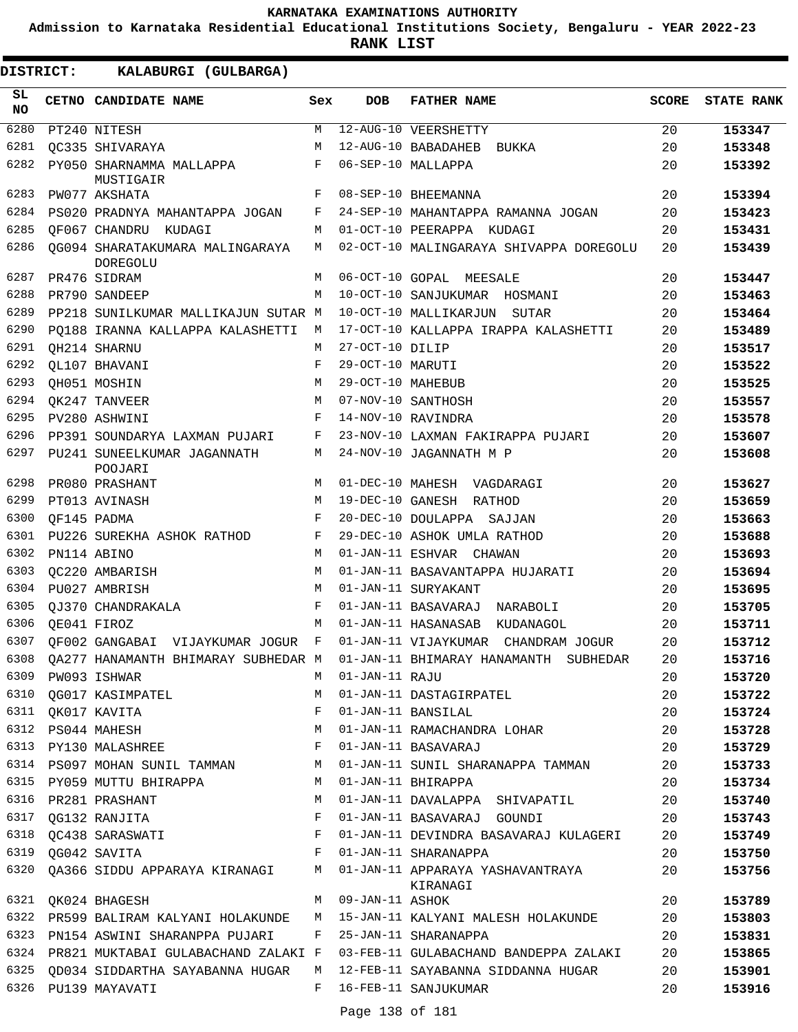**Admission to Karnataka Residential Educational Institutions Society, Bengaluru - YEAR 2022-23**

**RANK LIST**

**DISTRICT:** KK **KALABURGI (GULBARGA)**

| SL<br><b>NO</b> | CETNO CANDIDATE NAME                        | Sex          | <b>DOB</b>        | <b>FATHER NAME</b>                              | <b>SCORE</b> | <b>STATE RANK</b> |
|-----------------|---------------------------------------------|--------------|-------------------|-------------------------------------------------|--------------|-------------------|
| 6280            | PT240 NITESH                                | М            |                   | 12-AUG-10 VEERSHETTY                            | 20           | 153347            |
| 6281            | OC335 SHIVARAYA                             | M            |                   | 12-AUG-10 BABADAHEB<br>BUKKA                    | 20           | 153348            |
| 6282            | PY050 SHARNAMMA MALLAPPA<br>MUSTIGAIR       | F            |                   | 06-SEP-10 MALLAPPA                              | 20           | 153392            |
| 6283            | PW077 AKSHATA                               | F            |                   | 08-SEP-10 BHEEMANNA                             | 20           | 153394            |
| 6284            | PS020 PRADNYA MAHANTAPPA JOGAN              | F            |                   | 24-SEP-10 MAHANTAPPA RAMANNA JOGAN              | 20           | 153423            |
| 6285            | OF067 CHANDRU KUDAGI                        | M            |                   | 01-OCT-10 PEERAPPA KUDAGI                       | 20           | 153431            |
| 6286            | QG094 SHARATAKUMARA MALINGARAYA<br>DOREGOLU | М            |                   | 02-OCT-10 MALINGARAYA SHIVAPPA DOREGOLU         | 20           | 153439            |
| 6287            | PR476 SIDRAM                                | М            | 06-OCT-10 GOPAL   | MEESALE                                         | 20           | 153447            |
| 6288            | PR790 SANDEEP                               | M            |                   | 10-OCT-10 SANJUKUMAR HOSMANI                    | 20           | 153463            |
| 6289            | PP218 SUNILKUMAR MALLIKAJUN SUTAR M         |              |                   | 10-OCT-10 MALLIKARJUN SUTAR                     | 20           | 153464            |
| 6290            | PO188 IRANNA KALLAPPA KALASHETTI            | M            |                   | 17-OCT-10 KALLAPPA IRAPPA KALASHETTI            | 20           | 153489            |
| 6291            | OH214 SHARNU                                | M            | 27-OCT-10 DILIP   |                                                 | 20           | 153517            |
| 6292            | OL107 BHAVANI                               | F            | 29-OCT-10 MARUTI  |                                                 | 20           | 153522            |
| 6293            | OH051 MOSHIN                                | M            | 29-OCT-10 MAHEBUB |                                                 | 20           | 153525            |
| 6294            | OK247 TANVEER                               | M            |                   | 07-NOV-10 SANTHOSH                              | 20           | 153557            |
| 6295            | PV280 ASHWINI                               | F            |                   | 14-NOV-10 RAVINDRA                              | 20           | 153578            |
| 6296            | PP391 SOUNDARYA LAXMAN PUJARI               | F            |                   | 23-NOV-10 LAXMAN FAKIRAPPA PUJARI               | 20           | 153607            |
| 6297            | PU241 SUNEELKUMAR JAGANNATH<br>POOJARI      | М            |                   | 24-NOV-10 JAGANNATH M P                         | 20           | 153608            |
| 6298            | PR080 PRASHANT                              | M            |                   | 01-DEC-10 MAHESH VAGDARAGI                      | 20           | 153627            |
| 6299            | PT013 AVINASH                               | M            |                   | 19-DEC-10 GANESH RATHOD                         | 20           | 153659            |
| 6300            | OF145 PADMA                                 | F            |                   | 20-DEC-10 DOULAPPA SAJJAN                       | 20           | 153663            |
| 6301            | PU226 SUREKHA ASHOK RATHOD                  | F            |                   | 29-DEC-10 ASHOK UMLA RATHOD                     | 20           | 153688            |
| 6302            | PN114 ABINO                                 | M            |                   | 01-JAN-11 ESHVAR CHAWAN                         | 20           | 153693            |
| 6303            | QC220 AMBARISH                              | M            |                   | 01-JAN-11 BASAVANTAPPA HUJARATI                 | 20           | 153694            |
| 6304            | PU027 AMBRISH                               | M            |                   | 01-JAN-11 SURYAKANT                             | 20           | 153695            |
| 6305            | OJ370 CHANDRAKALA                           | F            |                   | 01-JAN-11 BASAVARAJ NARABOLI                    | 20           | 153705            |
| 6306            | QE041 FIROZ                                 | M            |                   | 01-JAN-11 HASANASAB KUDANAGOL                   | 20           | 153711            |
| 6307            | OF002 GANGABAI VIJAYKUMAR JOGUR             | $-F$         |                   | 01-JAN-11 VIJAYKUMAR CHANDRAM JOGUR             | 20           | 153712            |
| 6308            | QA277 HANAMANTH BHIMARAY SUBHEDAR M         |              |                   | 01-JAN-11 BHIMARAY HANAMANTH<br><b>SUBHEDAR</b> | 20           | 153716            |
| 6309            | PW093 ISHWAR                                | М            | 01-JAN-11 RAJU    |                                                 | 20           | 153720            |
| 6310            | QG017 KASIMPATEL                            | M            |                   | 01-JAN-11 DASTAGIRPATEL                         | 20           | 153722            |
|                 | 6311 QK017 KAVITA                           | F            |                   | 01-JAN-11 BANSILAL                              | 20           | 153724            |
| 6312            | PS044 MAHESH                                | M            |                   | 01-JAN-11 RAMACHANDRA LOHAR                     | 20           | 153728            |
| 6313            | PY130 MALASHREE                             | F            |                   | 01-JAN-11 BASAVARAJ                             | 20           | 153729            |
| 6314            | PS097 MOHAN SUNIL TAMMAN M                  |              |                   | 01-JAN-11 SUNIL SHARANAPPA TAMMAN               | 20           | 153733            |
|                 | 6315 PY059 MUTTU BHIRAPPA                   | M            |                   | 01-JAN-11 BHIRAPPA                              | 20           | 153734            |
| 6316            | PR281 PRASHANT                              | M            |                   | 01-JAN-11 DAVALAPPA SHIVAPATIL                  | 20           | 153740            |
| 6317            | QG132 RANJITA                               | F            |                   | 01-JAN-11 BASAVARAJ GOUNDI                      | 20           | 153743            |
|                 | 6318 QC438 SARASWATI F                      |              |                   | 01-JAN-11 DEVINDRA BASAVARAJ KULAGERI           | 20           | 153749            |
|                 | 6319 QG042 SAVITA                           | $\mathbf{F}$ |                   | 01-JAN-11 SHARANAPPA                            | 20           | 153750            |
| 6320            | QA366 SIDDU APPARAYA KIRANAGI M             |              |                   | 01-JAN-11 APPARAYA YASHAVANTRAYA<br>KIRANAGI    | 20           | 153756            |
| 6321            | QK024 BHAGESH                               |              | M 09-JAN-11 ASHOK |                                                 | 20           | 153789            |
|                 | 6322 PR599 BALIRAM KALYANI HOLAKUNDE        | M            |                   | 15-JAN-11 KALYANI MALESH HOLAKUNDE              | 20           | 153803            |
| 6323            | PN154 ASWINI SHARANPPA PUJARI               | F            |                   | 25-JAN-11 SHARANAPPA                            | 20           | 153831            |
|                 | 6324 PR821 MUKTABAI GULABACHAND ZALAKI F    |              |                   | 03-FEB-11 GULABACHAND BANDEPPA ZALAKI           | 20           | 153865            |
|                 | 6325 QD034 SIDDARTHA SAYABANNA HUGAR        | M            |                   | 12-FEB-11 SAYABANNA SIDDANNA HUGAR              | 20           | 153901            |
|                 | 6326 PU139 MAYAVATI                         |              |                   | F 16-FEB-11 SANJUKUMAR                          | 20           | 153916            |

Page 138 of 181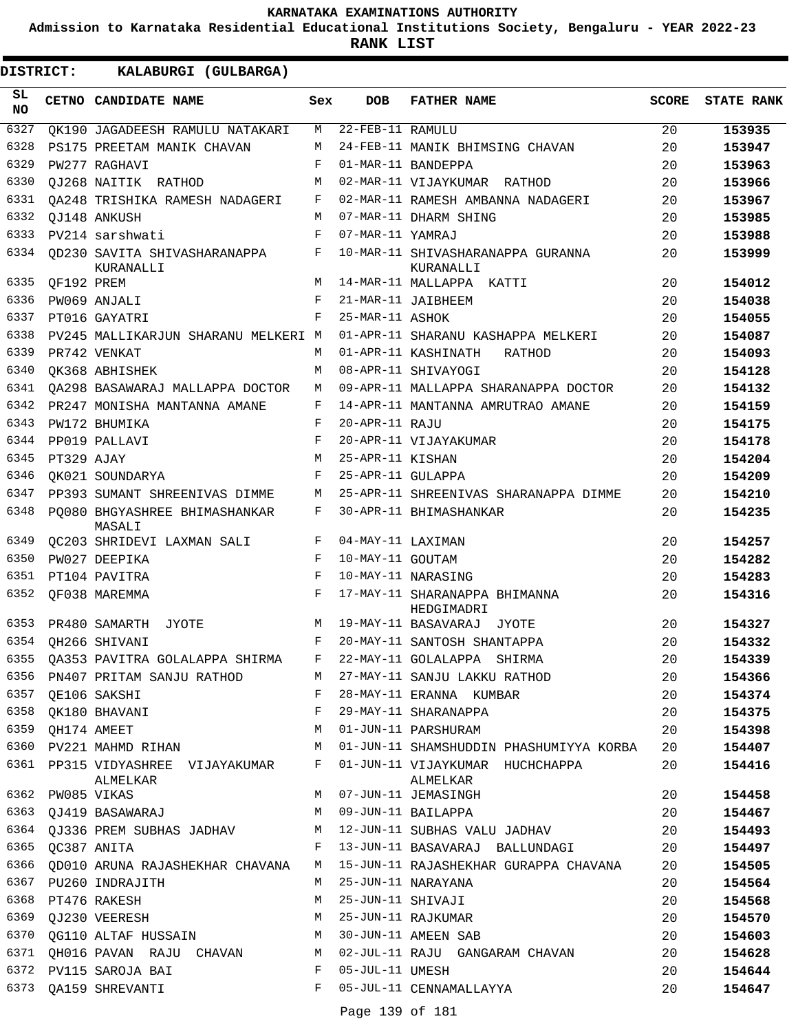**Admission to Karnataka Residential Educational Institutions Society, Bengaluru - YEAR 2022-23**

| DISTRICT:        |                  | KALABURGI (GULBARGA)                          |            |                   |                                                |              |                   |
|------------------|------------------|-----------------------------------------------|------------|-------------------|------------------------------------------------|--------------|-------------------|
| SL.<br><b>NO</b> |                  | CETNO CANDIDATE NAME                          | Sex        | <b>DOB</b>        | <b>FATHER NAME</b>                             | <b>SCORE</b> | <b>STATE RANK</b> |
| 6327             |                  | OK190 JAGADEESH RAMULU NATAKARI               | M          | 22-FEB-11 RAMULU  |                                                | 20           | 153935            |
| 6328             |                  | PS175 PREETAM MANIK CHAVAN                    | M          |                   | 24-FEB-11 MANIK BHIMSING CHAVAN                | 20           | 153947            |
| 6329             |                  | PW277 RAGHAVI                                 | F          |                   | 01-MAR-11 BANDEPPA                             | 20           | 153963            |
| 6330             |                  | OJ268 NAITIK RATHOD                           | М          |                   | 02-MAR-11 VIJAYKUMAR RATHOD                    | 20           | 153966            |
| 6331             |                  | OA248 TRISHIKA RAMESH NADAGERI                | F          |                   | 02-MAR-11 RAMESH AMBANNA NADAGERI              | 20           | 153967            |
| 6332             |                  | OJ148 ANKUSH                                  | M          |                   | 07-MAR-11 DHARM SHING                          | 20           | 153985            |
| 6333             |                  | PV214 sarshwati                               | F          | 07-MAR-11 YAMRAJ  |                                                | 20           | 153988            |
| 6334             |                  | QD230 SAVITA SHIVASHARANAPPA<br>KURANALLI     | F          |                   | 10-MAR-11 SHIVASHARANAPPA GURANNA<br>KURANALLI | 20           | 153999            |
| 6335             | QF192 PREM       |                                               | M          |                   | 14-MAR-11 MALLAPPA KATTI                       | 20           | 154012            |
| 6336             |                  | PW069 ANJALI                                  | F          |                   | 21-MAR-11 JAIBHEEM                             | 20           | 154038            |
| 6337             |                  | PT016 GAYATRI                                 | F          | 25-MAR-11 ASHOK   |                                                | 20           | 154055            |
| 6338             |                  | PV245 MALLIKARJUN SHARANU MELKERI M           |            |                   | 01-APR-11 SHARANU KASHAPPA MELKERI             | 20           | 154087            |
| 6339             |                  | PR742 VENKAT                                  | M          |                   | 01-APR-11 KASHINATH<br>RATHOD                  | 20           | 154093            |
| 6340             |                  | OK368 ABHISHEK                                | М          |                   | 08-APR-11 SHIVAYOGI                            | 20           | 154128            |
| 6341             |                  | OA298 BASAWARAJ MALLAPPA DOCTOR               | М          |                   | 09-APR-11 MALLAPPA SHARANAPPA DOCTOR           | 20           | 154132            |
| 6342             |                  | PR247 MONISHA MANTANNA AMANE                  | F          |                   | 14-APR-11 MANTANNA AMRUTRAO AMANE              | 20           | 154159            |
| 6343             |                  | PW172 BHUMIKA                                 | F          | 20-APR-11 RAJU    |                                                | 20           | 154175            |
| 6344             |                  | PP019 PALLAVI                                 | F          |                   | 20-APR-11 VIJAYAKUMAR                          | 20           | 154178            |
| 6345             | PT329 AJAY       |                                               | M          | 25-APR-11 KISHAN  |                                                | 20           | 154204            |
| 6346             |                  | OK021 SOUNDARYA                               | F          | 25-APR-11 GULAPPA |                                                | 20           | 154209            |
| 6347             |                  | PP393 SUMANT SHREENIVAS DIMME                 | M          |                   | 25-APR-11 SHREENIVAS SHARANAPPA DIMME          | 20           | 154210            |
| 6348             |                  | PO080 BHGYASHREE BHIMASHANKAR<br>MASALI       | F          |                   | 30-APR-11 BHIMASHANKAR                         | 20           | 154235            |
| 6349             |                  | QC203 SHRIDEVI LAXMAN SALI                    | F          | 04-MAY-11 LAXIMAN |                                                | 20           | 154257            |
| 6350             |                  | PW027 DEEPIKA                                 | $_{\rm F}$ | 10-MAY-11 GOUTAM  |                                                | 20           | 154282            |
| 6351             |                  | PT104 PAVITRA                                 | $_{\rm F}$ |                   | 10-MAY-11 NARASING                             | 20           | 154283            |
| 6352             |                  | QF038 MAREMMA                                 | F          |                   | 17-MAY-11 SHARANAPPA BHIMANNA<br>HEDGIMADRI    | 20           | 154316            |
| 6353             |                  | PR480 SAMARTH<br>JYOTE                        | M          |                   | 19-MAY-11 BASAVARAJ JYOTE                      | 20           | 154327            |
|                  |                  | 6354 QH266 SHIVANI                            | F          |                   | 20-MAY-11 SANTOSH SHANTAPPA                    | 20           | 154332            |
| 6355             |                  | QA353 PAVITRA GOLALAPPA SHIRMA                | F          |                   | 22-MAY-11 GOLALAPPA SHIRMA                     | 20           | 154339            |
|                  |                  | 6356 PN407 PRITAM SANJU RATHOD                | M          |                   | 27-MAY-11 SANJU LAKKU RATHOD                   | 20           | 154366            |
| 6357             |                  | QE106 SAKSHI                                  | F          |                   | 28-MAY-11 ERANNA KUMBAR                        | 20           | 154374            |
|                  |                  | 6358 QK180 BHAVANI                            | F          |                   | 29-MAY-11 SHARANAPPA                           | 20           | 154375            |
| 6359             | QH174 AMEET      |                                               | M          |                   | 01-JUN-11 PARSHURAM                            | 20           | 154398            |
| 6360             |                  | PV221 MAHMD RIHAN                             | M          |                   | 01-JUN-11 SHAMSHUDDIN PHASHUMIYYA KORBA        | 20           | 154407            |
|                  |                  | 6361 PP315 VIDYASHREE VIJAYAKUMAR<br>ALMELKAR | F          |                   | 01-JUN-11 VIJAYKUMAR HUCHCHAPPA<br>ALMELKAR    | 20           | 154416            |
|                  | 6362 PW085 VIKAS |                                               |            |                   | M 07-JUN-11 JEMASINGH                          | 20           | 154458            |
|                  |                  | 6363 QJ419 BASAWARAJ                          | M          |                   | 09-JUN-11 BAILAPPA                             | 20           | 154467            |
|                  |                  | 6364 QJ336 PREM SUBHAS JADHAV M               |            |                   | 12-JUN-11 SUBHAS VALU JADHAV                   | 20           | 154493            |
|                  | 6365 QC387 ANITA |                                               |            |                   | F 13-JUN-11 BASAVARAJ BALLUNDAGI               | 20           | 154497            |
|                  |                  | 6366 QD010 ARUNA RAJASHEKHAR CHAVANA          | M          |                   | 15-JUN-11 RAJASHEKHAR GURAPPA CHAVANA          | 20           | 154505            |
|                  |                  | 6367 PU260 INDRAJITH                          | M          |                   | 25-JUN-11 NARAYANA                             | 20           | 154564            |
|                  |                  | 6368 PT476 RAKESH                             | М          | 25-JUN-11 SHIVAJI |                                                | 20           | 154568            |
|                  |                  | 6369 QJ230 VEERESH                            | M          |                   | 25-JUN-11 RAJKUMAR                             | 20           | 154570            |
|                  |                  | 6370 QG110 ALTAF HUSSAIN                      | M          |                   | 30-JUN-11 AMEEN SAB                            | 20           | 154603            |
| 6371             |                  | QH016 PAVAN RAJU CHAVAN M                     |            |                   | 02-JUL-11 RAJU GANGARAM CHAVAN                 | 20           | 154628            |
|                  |                  | 6372 PV115 SAROJA BAI                         | F          | 05-JUL-11 UMESH   |                                                | 20           | 154644            |
|                  |                  | 6373 QA159 SHREVANTI                          | F          |                   | 05-JUL-11 CENNAMALLAYYA                        | 20           | 154647            |
|                  |                  |                                               |            | Page 139 of 181   |                                                |              |                   |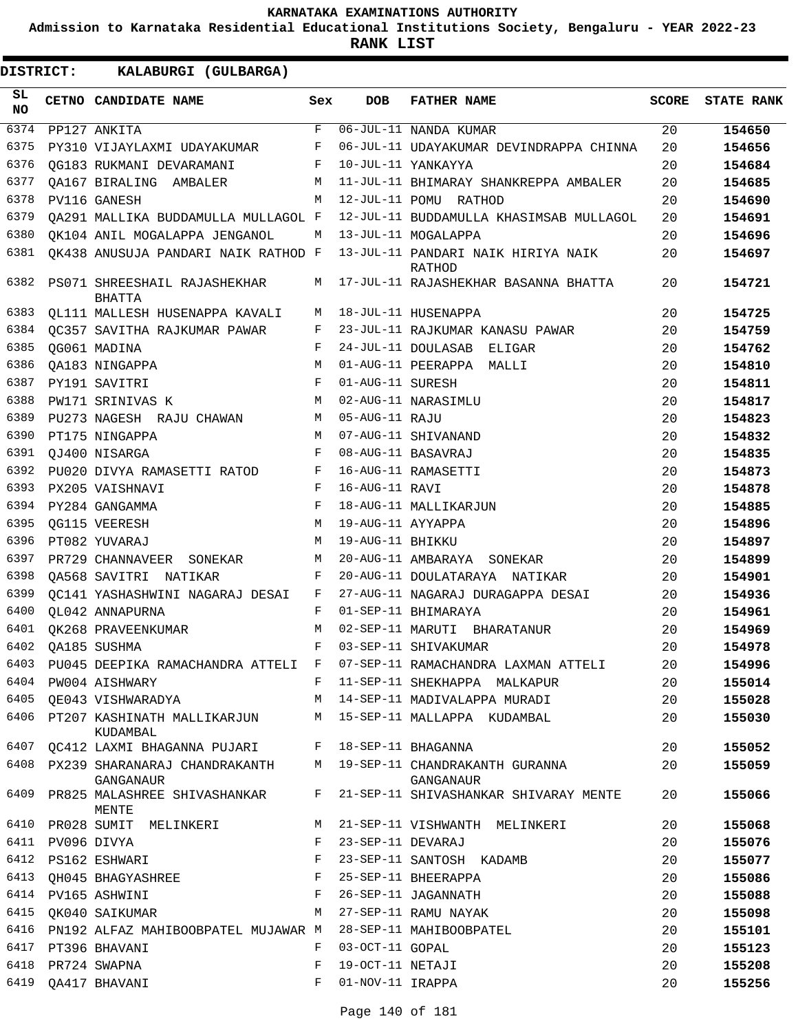**Admission to Karnataka Residential Educational Institutions Society, Bengaluru - YEAR 2022-23**

| SL.<br><b>NO</b><br>6374 | CETNO CANDIDATE NAME                                                          | Sex        | <b>DOB</b>        | <b>FATHER NAME</b>                                                               | <b>SCORE</b> |                   |
|--------------------------|-------------------------------------------------------------------------------|------------|-------------------|----------------------------------------------------------------------------------|--------------|-------------------|
|                          |                                                                               |            |                   |                                                                                  |              | <b>STATE RANK</b> |
|                          | PP127 ANKITA                                                                  | F          |                   | 06-JUL-11 NANDA KUMAR                                                            | 20           | 154650            |
| 6375                     | PY310 VIJAYLAXMI UDAYAKUMAR                                                   | F          |                   | 06-JUL-11 UDAYAKUMAR DEVINDRAPPA CHINNA                                          | 20           | 154656            |
| 6376                     | QG183 RUKMANI DEVARAMANI                                                      | F          |                   | 10-JUL-11 YANKAYYA                                                               | 20           | 154684            |
| 6377                     | OA167 BIRALING AMBALER                                                        | M          |                   | 11-JUL-11 BHIMARAY SHANKREPPA AMBALER                                            | 20           | 154685            |
| 6378                     | PV116 GANESH                                                                  | M          |                   | 12-JUL-11 POMU RATHOD                                                            | 20           | 154690            |
| 6379                     | OA291 MALLIKA BUDDAMULLA MULLAGOL F                                           |            |                   | 12-JUL-11 BUDDAMULLA KHASIMSAB MULLAGOL                                          | 20           | 154691            |
| 6380                     | OK104 ANIL MOGALAPPA JENGANOL                                                 | M          |                   | 13-JUL-11 MOGALAPPA                                                              | 20           | 154696            |
| 6381                     | QK438 ANUSUJA PANDARI NAIK RATHOD F                                           |            |                   | 13-JUL-11 PANDARI NAIK HIRIYA NAIK<br>RATHOD                                     | 20           | 154697            |
| 6382                     | PS071 SHREESHAIL RAJASHEKHAR<br>BHATTA                                        | М          |                   | 17-JUL-11 RAJASHEKHAR BASANNA BHATTA                                             | 20           | 154721            |
| 6383                     | QL111 MALLESH HUSENAPPA KAVALI                                                | M          |                   | 18-JUL-11 HUSENAPPA                                                              | 20           | 154725            |
| 6384                     | OC357 SAVITHA RAJKUMAR PAWAR                                                  | F          |                   | 23-JUL-11 RAJKUMAR KANASU PAWAR                                                  | 20           | 154759            |
| 6385                     | QG061 MADINA                                                                  | F          |                   | 24-JUL-11 DOULASAB<br>ELIGAR                                                     | 20           | 154762            |
| 6386                     | OA183 NINGAPPA                                                                | M          |                   | 01-AUG-11 PEERAPPA MALLI                                                         | 20           | 154810            |
| 6387                     | PY191 SAVITRI                                                                 | F          | 01-AUG-11 SURESH  |                                                                                  | 20           | 154811            |
| 6388                     | PW171 SRINIVAS K                                                              | M          |                   | 02-AUG-11 NARASIMLU                                                              | 20           | 154817            |
| 6389                     | PU273 NAGESH RAJU CHAWAN                                                      | M          | 05-AUG-11 RAJU    |                                                                                  | 20           | 154823            |
| 6390                     | PT175 NINGAPPA                                                                | M          |                   | 07-AUG-11 SHIVANAND                                                              | 20           | 154832            |
| 6391                     | QJ400 NISARGA                                                                 | $_{\rm F}$ |                   | 08-AUG-11 BASAVRAJ                                                               | 20           | 154835            |
| 6392                     | PU020 DIVYA RAMASETTI RATOD                                                   | F          |                   | 16-AUG-11 RAMASETTI                                                              | 20           | 154873            |
| 6393                     | PX205 VAISHNAVI                                                               | F          | 16-AUG-11 RAVI    |                                                                                  | 20           | 154878            |
| 6394                     | PY284 GANGAMMA                                                                | F          |                   | 18-AUG-11 MALLIKARJUN                                                            | 20           | 154885            |
| 6395                     | OG115 VEERESH                                                                 | M          | 19-AUG-11 AYYAPPA |                                                                                  | 20           | 154896            |
| 6396                     | PT082 YUVARAJ                                                                 | M          | 19-AUG-11 BHIKKU  |                                                                                  | 20           | 154897            |
| 6397                     | PR729 CHANNAVEER<br>SONEKAR                                                   | M          |                   | 20-AUG-11 AMBARAYA SONEKAR                                                       | 20           | 154899            |
| 6398                     | OA568 SAVITRI NATIKAR                                                         | F          |                   | 20-AUG-11 DOULATARAYA NATIKAR                                                    | 20           | 154901            |
| 6399                     | QC141 YASHASHWINI NAGARAJ DESAI                                               | F          |                   | 27-AUG-11 NAGARAJ DURAGAPPA DESAI                                                | 20           | 154936            |
| 6400                     | OL042 ANNAPURNA                                                               | F          |                   | 01-SEP-11 BHIMARAYA                                                              | 20           | 154961            |
| 6401                     | OK268 PRAVEENKUMAR                                                            | M          |                   | 02-SEP-11 MARUTI BHARATANUR                                                      | 20           | 154969            |
| 6402                     | OA185 SUSHMA                                                                  | F          |                   | 03-SEP-11 SHIVAKUMAR                                                             | 20           | 154978            |
|                          |                                                                               |            |                   | 6403 PU045 DEEPIKA RAMACHANDRA ATTELI F 07-SEP-11 RAMACHANDRA LAXMAN ATTELI      | 20           | 154996            |
|                          | 6404 PW004 AISHWARY                                                           |            |                   | F 11-SEP-11 SHEKHAPPA MALKAPUR                                                   | 20           | 155014            |
| 6405                     |                                                                               |            |                   | QE043 VISHWARADYA                         M   14-SEP-11 MADIVALAPPA MURADI       | 20           | 155028            |
|                          | KUDAMBAL                                                                      |            |                   | 6406 PT207 KASHINATH MALLIKARJUN       M   15-SEP-11 MALLAPPA  KUDAMBAL          | 20           | 155030            |
|                          | 6407 QC412 LAXMI BHAGANNA PUJARI F 18-SEP-11 BHAGANNA                         |            |                   |                                                                                  | 20           | 155052            |
|                          | GANGANAUR                                                                     |            |                   | 6408 PX239 SHARANARAJ CHANDRAKANTH M 19-SEP-11 CHANDRAKANTH GURANNA<br>GANGANAUR | 20           | 155059            |
| 6409                     | PR825 MALASHREE SHIVASHANKAR<br>MENTE                                         |            |                   | F 21-SEP-11 SHIVASHANKAR SHIVARAY MENTE                                          | 20           | 155066            |
| 6410                     | PR028 SUMIT MELINKERI M 21-SEP-11 VISHWANTH MELINKERI                         |            |                   |                                                                                  | 20           | 155068            |
|                          | 6411 PV096 DIVYA<br>$\mathbf{F}$ and the set of $\mathbf{F}$ and $\mathbf{F}$ |            |                   | 23-SEP-11 DEVARAJ                                                                | 20           | 155076            |
|                          | $\mathbf{F}$<br>6412 PS162 ESHWARI                                            |            |                   | 23-SEP-11 SANTOSH KADAMB                                                         | 20           | 155077            |
|                          | 6413 QH045 BHAGYASHREE F 25-SEP-11 BHEERAPPA                                  |            |                   |                                                                                  | 20           | 155086            |
|                          | 6414 PV165 ASHWINI                                                            |            |                   | F 26-SEP-11 JAGANNATH                                                            | 20           | 155088            |
| 6415                     | OK040 SAIKUMAR                                                                |            |                   | M 27-SEP-11 RAMU NAYAK                                                           | 20           | 155098            |
|                          | 6416 PN192 ALFAZ MAHIBOOBPATEL MUJAWAR M 28-SEP-11 MAHIBOOBPATEL              |            |                   |                                                                                  | 20           | 155101            |
|                          | 6417 PT396 BHAVANI                                                            | F          | 03-OCT-11 GOPAL   |                                                                                  | 20           | 155123            |
| 6418                     | PR724 SWAPNA                                                                  | F          | 19-OCT-11 NETAJI  |                                                                                  | 20           | 155208            |
|                          | 6419 QA417 BHAVANI                                                            | $F -$      | 01-NOV-11 IRAPPA  |                                                                                  | 20           | 155256            |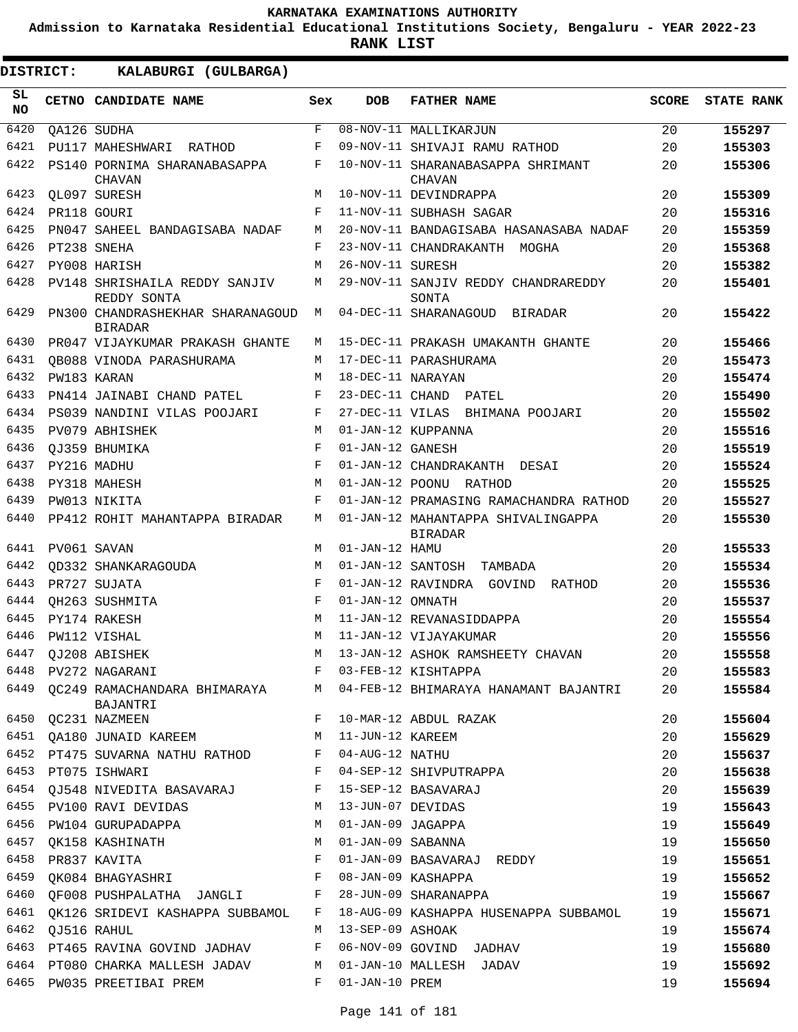**Admission to Karnataka Residential Educational Institutions Society, Bengaluru - YEAR 2022-23**

**RANK LIST**

| SL        | CETNO CANDIDATE NAME                               | Sex                | <b>DOB</b>        | <b>FATHER NAME</b>                                   | <b>SCORE</b> | <b>STATE RANK</b> |
|-----------|----------------------------------------------------|--------------------|-------------------|------------------------------------------------------|--------------|-------------------|
| <b>NO</b> |                                                    |                    |                   |                                                      |              |                   |
| 6420      | QA126 SUDHA                                        | $\mathbf{F}% _{0}$ |                   | 08-NOV-11 MALLIKARJUN                                | 20           | 155297            |
| 6421      | PU117 MAHESHWARI<br>RATHOD                         | F                  |                   | 09-NOV-11 SHIVAJI RAMU RATHOD                        | 20           | 155303            |
| 6422      | PS140 PORNIMA SHARANABASAPPA<br><b>CHAVAN</b>      | F                  |                   | 10-NOV-11 SHARANABASAPPA SHRIMANT<br>CHAVAN          | 20           | 155306            |
| 6423      | OL097 SURESH                                       | М                  |                   | 10-NOV-11 DEVINDRAPPA                                | 20           | 155309            |
| 6424      | PR118 GOURI                                        | $_{\rm F}$         |                   | 11-NOV-11 SUBHASH SAGAR                              | 20           | 155316            |
| 6425      | PN047 SAHEEL BANDAGISABA NADAF                     | М                  |                   | 20-NOV-11 BANDAGISABA HASANASABA NADAF               | 20           | 155359            |
| 6426      | PT238 SNEHA                                        | F                  |                   | 23-NOV-11 CHANDRAKANTH<br>MOGHA                      | 20           | 155368            |
| 6427      | PY008 HARISH                                       | М                  | 26-NOV-11 SURESH  |                                                      | 20           | 155382            |
| 6428      | PV148 SHRISHAILA REDDY SANJIV<br>REDDY SONTA       | М                  |                   | 29-NOV-11 SANJIV REDDY CHANDRAREDDY<br>SONTA         | 20           | 155401            |
| 6429      | PN300 CHANDRASHEKHAR SHARANAGOUD<br><b>BIRADAR</b> | М                  |                   | 04-DEC-11 SHARANAGOUD BIRADAR                        | 20           | 155422            |
| 6430      | PR047 VIJAYKUMAR PRAKASH GHANTE                    | М                  |                   | 15-DEC-11 PRAKASH UMAKANTH GHANTE                    | 20           | 155466            |
| 6431      | OB088 VINODA PARASHURAMA                           | М                  |                   | 17-DEC-11 PARASHURAMA                                | 20           | 155473            |
| 6432      | PW183 KARAN                                        | М                  | 18-DEC-11 NARAYAN |                                                      | 20           | 155474            |
| 6433      | PN414 JAINABI CHAND PATEL                          | F                  | 23-DEC-11 CHAND   | PATEL                                                | 20           | 155490            |
| 6434      | PS039 NANDINI VILAS POOJARI                        | F                  | 27-DEC-11 VILAS   | BHIMANA POOJARI                                      | 20           | 155502            |
| 6435      | PV079 ABHISHEK                                     | M                  |                   | 01-JAN-12 KUPPANNA                                   | 20           | 155516            |
| 6436      | OJ359 BHUMIKA                                      | F                  | 01-JAN-12 GANESH  |                                                      | 20           | 155519            |
| 6437      | PY216 MADHU                                        | $\mathbf F$        |                   | 01-JAN-12 CHANDRAKANTH<br>DESAI                      | 20           | 155524            |
| 6438      | PY318 MAHESH                                       | М                  | 01-JAN-12 POONU   | RATHOD                                               | 20           | 155525            |
| 6439      | PW013 NIKITA                                       | $_{\rm F}$         |                   | 01-JAN-12 PRAMASING RAMACHANDRA RATHOD               | 20           | 155527            |
| 6440      | PP412 ROHIT MAHANTAPPA BIRADAR                     | М                  |                   | 01-JAN-12 MAHANTAPPA SHIVALINGAPPA<br><b>BIRADAR</b> | 20           | 155530            |
| 6441      | PV061 SAVAN                                        | M                  | 01-JAN-12 HAMU    |                                                      | 20           | 155533            |
| 6442      | OD332 SHANKARAGOUDA                                | М                  | 01-JAN-12 SANTOSH | TAMBADA                                              | 20           | 155534            |
| 6443      | PR727 SUJATA                                       | F                  |                   | 01-JAN-12 RAVINDRA GOVIND<br>RATHOD                  | 20           | 155536            |
| 6444      | OH263 SUSHMITA                                     | F                  | 01-JAN-12 OMNATH  |                                                      | 20           | 155537            |
| 6445      | PY174 RAKESH                                       | М                  |                   | 11-JAN-12 REVANASIDDAPPA                             | 20           | 155554            |
| 6446      | PW112 VISHAL                                       | М                  |                   | 11-JAN-12 VIJAYAKUMAR                                | 20           | 155556            |
| 6447      | OJ208 ABISHEK                                      | M                  |                   | 13-JAN-12 ASHOK RAMSHEETY CHAVAN                     | 20           | 155558            |
| 6448      | PV272 NAGARANI                                     | F                  |                   | 03-FEB-12 KISHTAPPA                                  | 20           | 155583            |
|           | 6449 QC249 RAMACHANDARA BHIMARAYA<br>BAJANTRI      | M                  |                   | 04-FEB-12 BHIMARAYA HANAMANT BAJANTRI                | 20           | 155584            |
|           | 6450 QC231 NAZMEEN                                 | F                  |                   | 10-MAR-12 ABDUL RAZAK                                | 20           | 155604            |
|           | 6451 QA180 JUNAID KAREEM                           | М                  | 11-JUN-12 KAREEM  |                                                      | 20           | 155629            |
| 6452      | PT475 SUVARNA NATHU RATHOD                         | F                  | 04-AUG-12 NATHU   |                                                      | 20           | 155637            |
| 6453      | PT075 ISHWARI                                      | F                  |                   | 04-SEP-12 SHIVPUTRAPPA                               | 20           | 155638            |
|           | 6454 QJ548 NIVEDITA BASAVARAJ                      | F                  |                   | 15-SEP-12 BASAVARAJ                                  | 20           | 155639            |
|           | 6455 PV100 RAVI DEVIDAS                            | М                  | 13-JUN-07 DEVIDAS |                                                      | 19           | 155643            |
| 6456      | PW104 GURUPADAPPA                                  | М                  | 01-JAN-09 JAGAPPA |                                                      | 19           | 155649            |
| 6457      | OK158 KASHINATH                                    | М                  | 01-JAN-09 SABANNA |                                                      | 19           | 155650            |
| 6458      | PR837 KAVITA                                       | F                  |                   | 01-JAN-09 BASAVARAJ REDDY                            | 19           | 155651            |
| 6459      | QK084 BHAGYASHRI                                   | F                  |                   | 08-JAN-09 KASHAPPA                                   | 19           | 155652            |
| 6460      | QF008 PUSHPALATHA JANGLI                           | F                  |                   | 28-JUN-09 SHARANAPPA                                 | 19           | 155667            |
| 6461      | OK126 SRIDEVI KASHAPPA SUBBAMOL                    | F                  |                   | 18-AUG-09 KASHAPPA HUSENAPPA SUBBAMOL                | 19           | 155671            |
| 6462      | QJ516 RAHUL                                        | М                  | 13-SEP-09 ASHOAK  |                                                      | 19           | 155674            |
| 6463      | PT465 RAVINA GOVIND JADHAV                         | F                  |                   | 06-NOV-09 GOVIND JADHAV                              | 19           | 155680            |
| 6464      | PT080 CHARKA MALLESH JADAV                         | М                  |                   | 01-JAN-10 MALLESH JADAV                              | 19           | 155692            |
| 6465      | PW035 PREETIBAI PREM                               | F                  | 01-JAN-10 PREM    |                                                      | 19           | 155694            |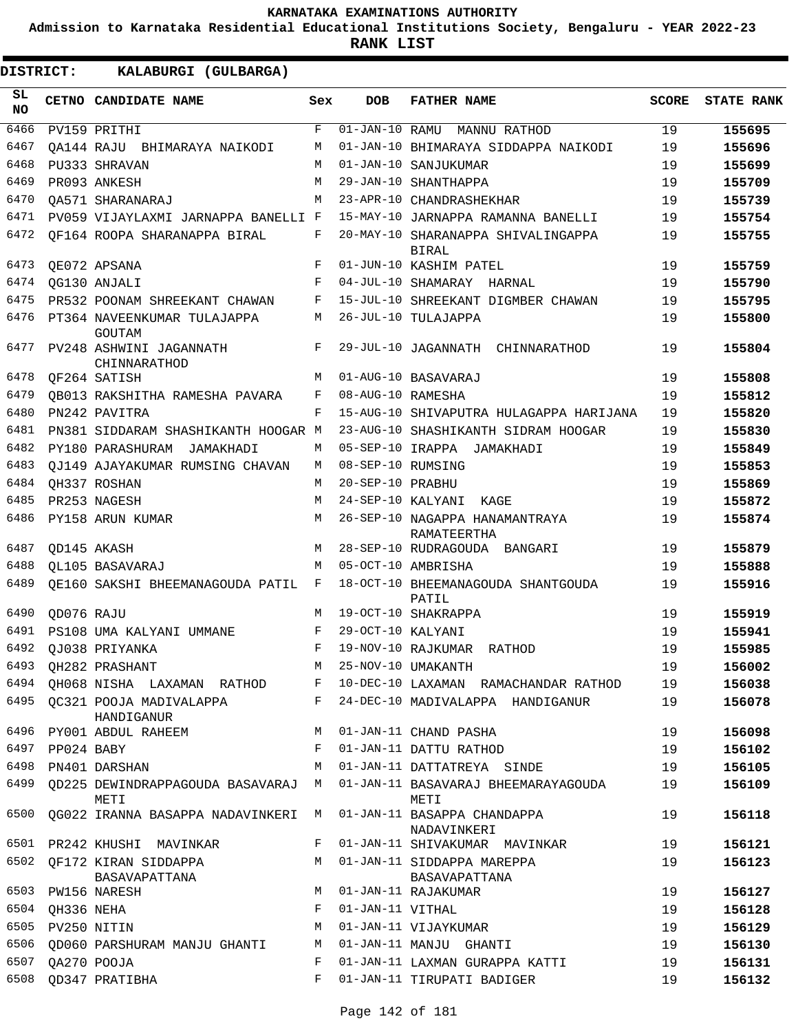**Admission to Karnataka Residential Educational Institutions Society, Bengaluru - YEAR 2022-23**

| DISTRICT:       |                  | KALABURGI (GULBARGA)                                                |              |                   |                                                                   |              |                   |
|-----------------|------------------|---------------------------------------------------------------------|--------------|-------------------|-------------------------------------------------------------------|--------------|-------------------|
| SL<br><b>NO</b> |                  | CETNO CANDIDATE NAME                                                | Sex          | <b>DOB</b>        | <b>FATHER NAME</b>                                                | <b>SCORE</b> | <b>STATE RANK</b> |
| 6466            |                  | PV159 PRITHI                                                        | $\mathbf{F}$ |                   | 01-JAN-10 RAMU MANNU RATHOD                                       | 19           | 155695            |
| 6467            |                  | OA144 RAJU BHIMARAYA NAIKODI                                        | M            |                   | 01-JAN-10 BHIMARAYA SIDDAPPA NAIKODI                              | 19           | 155696            |
| 6468            |                  | PU333 SHRAVAN                                                       | M            |                   | 01-JAN-10 SANJUKUMAR                                              | 19           | 155699            |
| 6469            |                  | PR093 ANKESH                                                        | M            |                   | 29-JAN-10 SHANTHAPPA                                              | 19           | 155709            |
| 6470            |                  | OA571 SHARANARAJ                                                    | M            |                   | 23-APR-10 CHANDRASHEKHAR                                          | 19           | 155739            |
| 6471            |                  | PV059 VIJAYLAXMI JARNAPPA BANELLI F                                 |              |                   | 15-MAY-10 JARNAPPA RAMANNA BANELLI                                | 19           | 155754            |
| 6472            |                  | OF164 ROOPA SHARANAPPA BIRAL                                        | F            |                   | 20-MAY-10 SHARANAPPA SHIVALINGAPPA<br><b>BIRAL</b>                | 19           | 155755            |
| 6473            |                  | QE072 APSANA                                                        | F            |                   | 01-JUN-10 KASHIM PATEL                                            | 19           | 155759            |
| 6474            |                  | QG130 ANJALI                                                        | F            |                   | 04-JUL-10 SHAMARAY HARNAL                                         | 19           | 155790            |
| 6475            |                  | PR532 POONAM SHREEKANT CHAWAN                                       | F            |                   | 15-JUL-10 SHREEKANT DIGMBER CHAWAN                                | 19           | 155795            |
| 6476            |                  | PT364 NAVEENKUMAR TULAJAPPA<br>GOUTAM                               | М            |                   | 26-JUL-10 TULAJAPPA                                               | 19           | 155800            |
| 6477            |                  | PV248 ASHWINI JAGANNATH<br>CHINNARATHOD                             | F            |                   | 29-JUL-10 JAGANNATH CHINNARATHOD                                  | 19           | 155804            |
| 6478            |                  | QF264 SATISH                                                        | М            |                   | 01-AUG-10 BASAVARAJ                                               | 19           | 155808            |
| 6479            |                  | OB013 RAKSHITHA RAMESHA PAVARA                                      | F            | 08-AUG-10 RAMESHA |                                                                   | 19           | 155812            |
| 6480            |                  | PN242 PAVITRA                                                       | F            |                   | 15-AUG-10 SHIVAPUTRA HULAGAPPA HARIJANA                           | 19           | 155820            |
| 6481            |                  | PN381 SIDDARAM SHASHIKANTH HOOGAR M                                 |              |                   | 23-AUG-10 SHASHIKANTH SIDRAM HOOGAR                               | 19           | 155830            |
| 6482            |                  | PY180 PARASHURAM JAMAKHADI                                          | M            |                   | 05-SEP-10 IRAPPA JAMAKHADI                                        | 19           | 155849            |
| 6483            |                  | OJ149 AJAYAKUMAR RUMSING CHAVAN                                     | M            | 08-SEP-10 RUMSING |                                                                   | 19           | 155853            |
| 6484            |                  | QH337 ROSHAN                                                        | M            | 20-SEP-10 PRABHU  |                                                                   | 19           | 155869            |
| 6485            |                  | PR253 NAGESH                                                        | М            |                   | 24-SEP-10 KALYANI KAGE                                            | 19           | 155872            |
| 6486            |                  | PY158 ARUN KUMAR                                                    | M            |                   | 26-SEP-10 NAGAPPA HANAMANTRAYA<br>RAMATEERTHA                     | 19           | 155874            |
| 6487            |                  | QD145 AKASH                                                         | M            |                   | 28-SEP-10 RUDRAGOUDA BANGARI                                      | 19           | 155879            |
| 6488            |                  | OL105 BASAVARAJ                                                     | M            |                   | 05-OCT-10 AMBRISHA                                                | 19           | 155888            |
| 6489            |                  | OE160 SAKSHI BHEEMANAGOUDA PATIL F                                  |              |                   | 18-OCT-10 BHEEMANAGOUDA SHANTGOUDA<br>PATIL                       | 19           | 155916            |
| 6490            | OD076 RAJU       |                                                                     | M            |                   | 19-OCT-10 SHAKRAPPA                                               | 19           | 155919            |
| 6491            |                  | PS108 UMA KALYANI UMMANE                                            | F            | 29-OCT-10 KALYANI |                                                                   | 19           | 155941            |
|                 |                  | 6492 QJ038 PRIYANKA                                                 |              |                   | F 19-NOV-10 RAJKUMAR RATHOD                                       | 19           | 155985            |
|                 |                  | 6493 QH282 PRASHANT                                                 |              |                   | M 25-NOV-10 UMAKANTH                                              | 19           | 156002            |
| 6494            |                  |                                                                     |              |                   | QH068 NISHA LAXAMAN RATHOD F 10-DEC-10 LAXAMAN RAMACHANDAR RATHOD | 19           | 156038            |
| 6495            |                  | HANDIGANUR                                                          |              |                   | QC321 POOJA MADIVALAPPA F 24-DEC-10 MADIVALAPPA HANDIGANUR        | 19           | 156078            |
|                 |                  | 6496 PY001 ABDUL RAHEEM M 01-JAN-11 CHAND PASHA                     |              |                   |                                                                   | 19           | 156098            |
| 6497            | PP024 BABY       |                                                                     | F            |                   | 01-JAN-11 DATTU RATHOD                                            | 19           | 156102            |
| 6498            |                  | PN401 DARSHAN                                                       | M            |                   | 01-JAN-11 DATTATREYA SINDE                                        | 19           | 156105            |
|                 |                  | 6499 QD225 DEWINDRAPPAGOUDA BASAVARAJ M<br>METI                     |              |                   | 01-JAN-11 BASAVARAJ BHEEMARAYAGOUDA<br>METI                       | 19           | 156109            |
|                 |                  | 6500 QG022 IRANNA BASAPPA NADAVINKERI M 01-JAN-11 BASAPPA CHANDAPPA |              |                   | NADAVINKERI                                                       | 19           | 156118            |
|                 |                  | 6501 PR242 KHUSHI MAVINKAR                                          |              |                   | F 01-JAN-11 SHIVAKUMAR MAVINKAR                                   | 19           | 156121            |
|                 |                  | 6502 QF172 KIRAN SIDDAPPA<br>BASAVAPATTANA                          |              |                   | M 01-JAN-11 SIDDAPPA MAREPPA<br>BASAVAPATTANA                     | 19           | 156123            |
|                 |                  | 6503 PW156 NARESH                                                   | M            |                   | 01-JAN-11 RAJAKUMAR                                               | 19           | 156127            |
|                 | 6504 QH336 NEHA  |                                                                     | F            | 01-JAN-11 VITHAL  |                                                                   | 19           | 156128            |
|                 | 6505 PV250 NITIN |                                                                     | M            |                   | 01-JAN-11 VIJAYKUMAR                                              | 19           | 156129            |
| 6506            |                  | QD060 PARSHURAM MANJU GHANTI                                        | M            |                   | 01-JAN-11 MANJU GHANTI                                            | 19           | 156130            |
|                 | 6507 QA270 POOJA |                                                                     | F            |                   | 01-JAN-11 LAXMAN GURAPPA KATTI                                    | 19           | 156131            |
| 6508            |                  | QD347 PRATIBHA                                                      | F            |                   | 01-JAN-11 TIRUPATI BADIGER                                        | 19           | 156132            |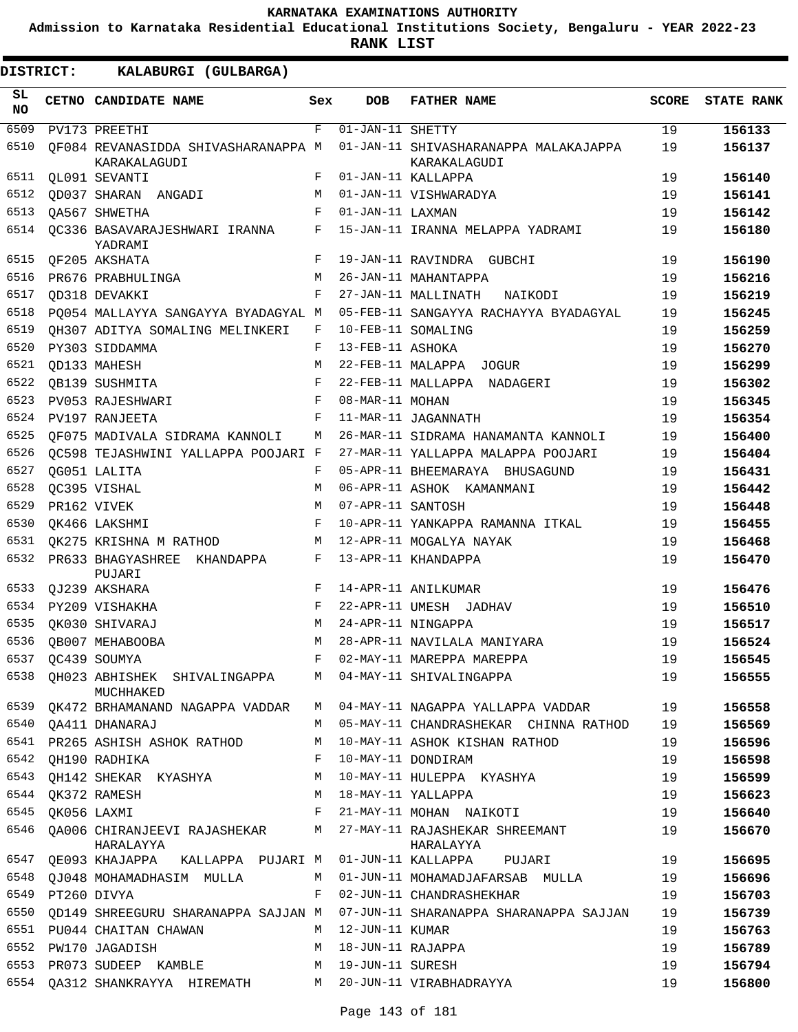**Admission to Karnataka Residential Educational Institutions Society, Bengaluru - YEAR 2022-23**

**RANK LIST**

| SL<br><b>NO</b> |                  | CETNO CANDIDATE NAME                                | Sex        | <b>DOB</b>                     | <b>FATHER NAME</b>                                    | <b>SCORE</b> | <b>STATE RANK</b> |
|-----------------|------------------|-----------------------------------------------------|------------|--------------------------------|-------------------------------------------------------|--------------|-------------------|
| 6509            |                  | PV173 PREETHI                                       | F          | $\overline{01}$ -JAN-11 SHETTY |                                                       | 19           | 156133            |
| 6510            |                  | OF084 REVANASIDDA SHIVASHARANAPPA M<br>KARAKALAGUDI |            |                                | 01-JAN-11 SHIVASHARANAPPA MALAKAJAPPA<br>KARAKALAGUDI | 19           | 156137            |
| 6511            |                  | QL091 SEVANTI                                       | F          |                                | 01-JAN-11 KALLAPPA                                    | 19           | 156140            |
| 6512            |                  | OD037 SHARAN ANGADI                                 | М          |                                | 01-JAN-11 VISHWARADYA                                 | 19           | 156141            |
| 6513            |                  | <b>QA567 SHWETHA</b>                                | F          | 01-JAN-11 LAXMAN               |                                                       | 19           | 156142            |
| 6514            |                  | OC336 BASAVARAJESHWARI IRANNA<br>YADRAMI            | F          |                                | 15-JAN-11 IRANNA MELAPPA YADRAMI                      | 19           | 156180            |
| 6515            |                  | OF205 AKSHATA                                       | F          |                                | 19-JAN-11 RAVINDRA GUBCHI                             | 19           | 156190            |
| 6516            |                  | PR676 PRABHULINGA                                   | M          |                                | 26-JAN-11 MAHANTAPPA                                  | 19           | 156216            |
| 6517            |                  | OD318 DEVAKKI                                       | $_{\rm F}$ |                                | 27-JAN-11 MALLINATH<br>NAIKODI                        | 19           | 156219            |
| 6518            |                  | PO054 MALLAYYA SANGAYYA BYADAGYAL M                 |            |                                | 05-FEB-11 SANGAYYA RACHAYYA BYADAGYAL                 | 19           | 156245            |
| 6519            |                  | OH307 ADITYA SOMALING MELINKERI                     | F          |                                | 10-FEB-11 SOMALING                                    | 19           | 156259            |
| 6520            |                  | PY303 SIDDAMMA                                      | F          | 13-FEB-11 ASHOKA               |                                                       | 19           | 156270            |
| 6521            |                  | <b>QD133 MAHESH</b>                                 | M          |                                | 22-FEB-11 MALAPPA JOGUR                               | 19           | 156299            |
| 6522            |                  | OB139 SUSHMITA                                      | F          |                                | 22-FEB-11 MALLAPPA NADAGERI                           | 19           | 156302            |
| 6523            |                  | PV053 RAJESHWARI                                    | F          | 08-MAR-11 MOHAN                |                                                       | 19           | 156345            |
| 6524            |                  | PV197 RANJEETA                                      | $_{\rm F}$ |                                | 11-MAR-11 JAGANNATH                                   | 19           | 156354            |
| 6525            |                  | OF075 MADIVALA SIDRAMA KANNOLI                      | М          |                                | 26-MAR-11 SIDRAMA HANAMANTA KANNOLI                   | 19           | 156400            |
| 6526            |                  | QC598 TEJASHWINI YALLAPPA POOJARI F                 |            |                                | 27-MAR-11 YALLAPPA MALAPPA POOJARI                    | 19           | 156404            |
| 6527            |                  | QG051 LALITA                                        | F          |                                | 05-APR-11 BHEEMARAYA BHUSAGUND                        | 19           | 156431            |
| 6528            |                  | QC395 VISHAL                                        | M          |                                | 06-APR-11 ASHOK KAMANMANI                             | 19           | 156442            |
| 6529            |                  | PR162 VIVEK                                         | M          | 07-APR-11 SANTOSH              |                                                       | 19           | 156448            |
| 6530            |                  | OK466 LAKSHMI                                       | F          |                                | 10-APR-11 YANKAPPA RAMANNA ITKAL                      | 19           | 156455            |
| 6531            |                  | QK275 KRISHNA M RATHOD                              | М          |                                | 12-APR-11 MOGALYA NAYAK                               | 19           | 156468            |
| 6532            |                  | PR633 BHAGYASHREE KHANDAPPA<br>PUJARI               | F          |                                | 13-APR-11 KHANDAPPA                                   | 19           | 156470            |
| 6533            |                  | QJ239 AKSHARA                                       | F          |                                | 14-APR-11 ANILKUMAR                                   | 19           | 156476            |
| 6534            |                  | PY209 VISHAKHA                                      | F          |                                | 22-APR-11 UMESH JADHAV                                | 19           | 156510            |
| 6535            |                  | OK030 SHIVARAJ                                      | M          |                                | 24-APR-11 NINGAPPA                                    | 19           | 156517            |
| 6536            |                  | OB007 MEHABOOBA                                     | M          |                                | 28-APR-11 NAVILALA MANIYARA                           | 19           | 156524            |
| 6537            |                  | QC439 SOUMYA                                        | F          |                                | 02-MAY-11 MAREPPA MAREPPA                             | 19           | 156545            |
| 6538            |                  | QH023 ABHISHEK SHIVALINGAPPA<br>MUCHHAKED           | M          |                                | 04-MAY-11 SHIVALINGAPPA                               | 19           | 156555            |
| 6539            |                  | QK472 BRHAMANAND NAGAPPA VADDAR                     | M          |                                | 04-MAY-11 NAGAPPA YALLAPPA VADDAR                     | 19           | 156558            |
| 6540            |                  | QA411 DHANARAJ                                      | M          |                                | 05-MAY-11 CHANDRASHEKAR CHINNA RATHOD                 | 19           | 156569            |
| 6541            |                  | PR265 ASHISH ASHOK RATHOD                           | M          |                                | 10-MAY-11 ASHOK KISHAN RATHOD                         | 19           | 156596            |
| 6542            |                  | QH190 RADHIKA                                       | F          |                                | 10-MAY-11 DONDIRAM                                    | 19           | 156598            |
| 6543            |                  | QH142 SHEKAR KYASHYA                                | M          |                                | 10-MAY-11 HULEPPA KYASHYA                             | 19           | 156599            |
| 6544            |                  | QK372 RAMESH                                        | M          |                                | 18-MAY-11 YALLAPPA                                    | 19           | 156623            |
| 6545            |                  | OK056 LAXMI                                         | F          |                                | 21-MAY-11 MOHAN NAIKOTI                               | 19           | 156640            |
| 6546            |                  | QA006 CHIRANJEEVI RAJASHEKAR<br>HARALAYYA           | M          |                                | 27-MAY-11 RAJASHEKAR SHREEMANT<br>HARALAYYA           | 19           | 156670            |
| 6547            |                  | QE093 KHAJAPPA KALLAPPA PUJARI M                    |            |                                | 01-JUN-11 KALLAPPA PUJARI                             | 19           | 156695            |
| 6548            |                  | QJ048 MOHAMADHASIM MULLA                            | M          |                                | 01-JUN-11 MOHAMADJAFARSAB MULLA                       | 19           | 156696            |
|                 | 6549 PT260 DIVYA |                                                     | F          |                                | 02-JUN-11 CHANDRASHEKHAR                              | 19           | 156703            |
| 6550            |                  | QD149 SHREEGURU SHARANAPPA SAJJAN M                 |            |                                | 07-JUN-11 SHARANAPPA SHARANAPPA SAJJAN                | 19           | 156739            |
| 6551            |                  | PU044 CHAITAN CHAWAN                                | M          | 12-JUN-11 KUMAR                |                                                       | 19           | 156763            |
| 6552            |                  | PW170 JAGADISH                                      | M          | 18-JUN-11 RAJAPPA              |                                                       | 19           | 156789            |
| 6553            |                  | PR073 SUDEEP KAMBLE                                 | М          | 19-JUN-11 SURESH               |                                                       | 19           | 156794            |
| 6554            |                  | QA312 SHANKRAYYA HIREMATH M                         |            |                                | 20-JUN-11 VIRABHADRAYYA                               | 19           | 156800            |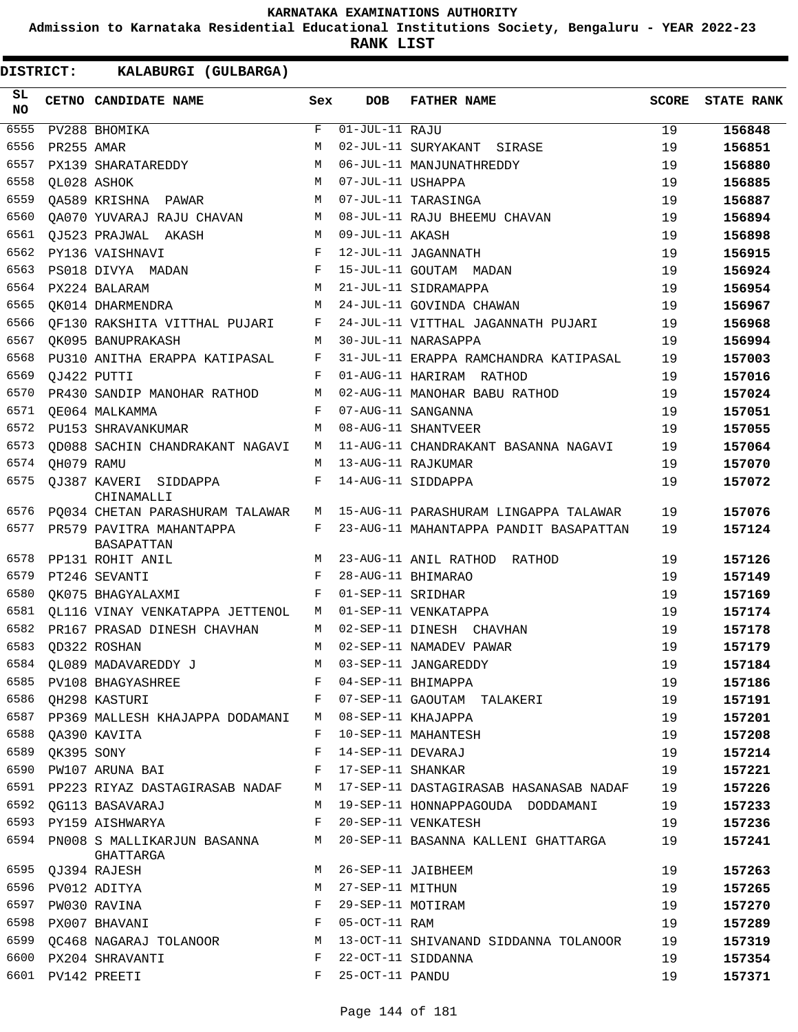**Admission to Karnataka Residential Educational Institutions Society, Bengaluru - YEAR 2022-23**

**RANK LIST**

| SL<br><b>NO</b> |                 | CETNO CANDIDATE NAME                                                | Sex         | DOB                         | <b>FATHER NAME</b>                                                                   | <b>SCORE</b> | <b>STATE RANK</b> |
|-----------------|-----------------|---------------------------------------------------------------------|-------------|-----------------------------|--------------------------------------------------------------------------------------|--------------|-------------------|
| 6555            |                 | PV288 BHOMIKA                                                       | $\mathbf F$ | $\overline{01-JUL-11}$ RAJU |                                                                                      | 19           | 156848            |
| 6556            | PR255 AMAR      |                                                                     | M           |                             | 02-JUL-11 SURYAKANT SIRASE                                                           | 19           | 156851            |
| 6557            |                 | PX139 SHARATAREDDY                                                  | М           |                             | 06-JUL-11 MANJUNATHREDDY                                                             | 19           | 156880            |
| 6558            |                 | QL028 ASHOK                                                         | M           | 07-JUL-11 USHAPPA           |                                                                                      | 19           | 156885            |
| 6559            |                 | QA589 KRISHNA PAWAR                                                 | M           |                             | 07-JUL-11 TARASINGA                                                                  | 19           | 156887            |
| 6560            |                 | QA070 YUVARAJ RAJU CHAVAN                                           | M           |                             | 08-JUL-11 RAJU BHEEMU CHAVAN                                                         | 19           | 156894            |
| 6561            |                 | QJ523 PRAJWAL AKASH                                                 | M           | 09-JUL-11 AKASH             |                                                                                      | 19           | 156898            |
| 6562            |                 | PY136 VAISHNAVI                                                     | F           |                             | 12-JUL-11 JAGANNATH                                                                  | 19           | 156915            |
| 6563            |                 | PS018 DIVYA MADAN                                                   | F           |                             | 15-JUL-11 GOUTAM MADAN                                                               | 19           | 156924            |
| 6564            |                 | PX224 BALARAM                                                       | M           |                             | 21-JUL-11 SIDRAMAPPA                                                                 | 19           | 156954            |
| 6565            |                 | QK014 DHARMENDRA                                                    | М           |                             | 24-JUL-11 GOVINDA CHAWAN                                                             | 19           | 156967            |
| 6566            |                 | OF130 RAKSHITA VITTHAL PUJARI                                       | F           |                             | 24-JUL-11 VITTHAL JAGANNATH PUJARI                                                   | 19           | 156968            |
| 6567            |                 | OK095 BANUPRAKASH                                                   | M           |                             | 30-JUL-11 NARASAPPA                                                                  | 19           | 156994            |
| 6568            |                 | PU310 ANITHA ERAPPA KATIPASAL                                       | F           |                             | 31-JUL-11 ERAPPA RAMCHANDRA KATIPASAL                                                | 19           | 157003            |
| 6569            | QJ422 PUTTI     |                                                                     | F           |                             | 01-AUG-11 HARIRAM RATHOD                                                             | 19           | 157016            |
| 6570            |                 | PR430 SANDIP MANOHAR RATHOD                                         | M           |                             | 02-AUG-11 MANOHAR BABU RATHOD                                                        | 19           | 157024            |
| 6571            |                 | QE064 MALKAMMA                                                      | F           |                             | 07-AUG-11 SANGANNA                                                                   | 19           | 157051            |
| 6572            |                 | PU153 SHRAVANKUMAR                                                  | M           |                             | 08-AUG-11 SHANTVEER                                                                  | 19           | 157055            |
| 6573            |                 | OD088 SACHIN CHANDRAKANT NAGAVI                                     | M           |                             | 11-AUG-11 CHANDRAKANT BASANNA NAGAVI                                                 | 19           | 157064            |
| 6574            | QH079 RAMU      |                                                                     | M           |                             | 13-AUG-11 RAJKUMAR                                                                   | 19           | 157070            |
| 6575            |                 | OJ387 KAVERI SIDDAPPA<br>CHINAMALLI                                 | F           |                             | 14-AUG-11 SIDDAPPA                                                                   | 19           | 157072            |
| 6576            |                 | PQ034 CHETAN PARASHURAM TALAWAR                                     | М           |                             | 15-AUG-11 PARASHURAM LINGAPPA TALAWAR                                                | 19           | 157076            |
| 6577            |                 | PR579 PAVITRA MAHANTAPPA<br>BASAPATTAN                              | F           |                             | 23-AUG-11 MAHANTAPPA PANDIT BASAPATTAN                                               | 19           | 157124            |
| 6578            |                 | PP131 ROHIT ANIL                                                    | M           |                             | 23-AUG-11 ANIL RATHOD RATHOD                                                         | 19           | 157126            |
| 6579            |                 | PT246 SEVANTI                                                       | F           |                             | 28-AUG-11 BHIMARAO                                                                   | 19           | 157149            |
| 6580            |                 | OK075 BHAGYALAXMI                                                   | F           | 01-SEP-11 SRIDHAR           |                                                                                      | 19           | 157169            |
| 6581            |                 | OL116 VINAY VENKATAPPA JETTENOL                                     | M           |                             | 01-SEP-11 VENKATAPPA                                                                 | 19           | 157174            |
| 6582            |                 | PR167 PRASAD DINESH CHAVHAN                                         | M           |                             | 02-SEP-11 DINESH CHAVHAN                                                             | 19           | 157178            |
| 6583            |                 | OD322 ROSHAN                                                        | M           |                             | 02-SEP-11 NAMADEV PAWAR                                                              | 19           | 157179            |
|                 |                 | 6584 QL089 MADAVAREDDY J                                            |             |                             | M 03-SEP-11 JANGAREDDY                                                               | 19           | 157184            |
|                 |                 | 6585 PV108 BHAGYASHREE F 04-SEP-11 BHIMAPPA                         |             |                             |                                                                                      | 19           | 157186            |
|                 |                 |                                                                     |             |                             | 6586 QH298 KASTURI                                   F    07-SEP-11 GAOUTAM TALAKERI | 19           | 157191            |
|                 |                 | 6587 PP369 MALLESH KHAJAPPA DODAMANI M 08-SEP-11 KHAJAPPA           |             |                             |                                                                                      | 19           | 157201            |
|                 |                 | 6588 QA390 KAVITA                                                   | F           |                             | 10-SEP-11 MAHANTESH                                                                  | 19           | 157208            |
|                 | 6589 QK395 SONY |                                                                     |             | F 14-SEP-11 DEVARAJ         |                                                                                      | 19           | 157214            |
|                 |                 | 6590 PW107 ARUNA BAI<br>F 17-SEP-11 SHANKAR                         |             |                             |                                                                                      | 19           | 157221            |
|                 |                 |                                                                     |             |                             | 6591 PP223 RIYAZ DASTAGIRASAB NADAF M 17-SEP-11 DASTAGIRASAB HASANASAB NADAF         | 19           | 157226            |
|                 |                 | 6592 QG113 BASAVARAJ                                                |             |                             | M 19-SEP-11 HONNAPPAGOUDA DODDAMANI                                                  | 19           | 157233            |
|                 |                 | 6593 PY159 AISHWARYA                                                |             |                             | F 20-SEP-11 VENKATESH                                                                | 19           | 157236            |
|                 |                 | GHATTARGA                                                           |             |                             | 6594 PN008 S MALLIKARJUN BASANNA      M 20-SEP-11 BASANNA KALLENI GHATTARGA          | 19           | 157241            |
|                 |                 | 6595 QJ394 RAJESH                                                   |             |                             | M 26-SEP-11 JAIBHEEM                                                                 | 19           | 157263            |
|                 |                 | 6596 PV012 ADITYA                                                   | M           | 27-SEP-11 MITHUN            |                                                                                      | 19           | 157265            |
|                 |                 | $\mathbf{F}$ and $\mathbf{F}$ and $\mathbf{F}$<br>6597 PW030 RAVINA |             | 29-SEP-11 MOTIRAM           |                                                                                      | 19           | 157270            |
|                 |                 | 6598 PX007 BHAVANI<br>$\mathbf{F}$                                  |             | 05-OCT-11 RAM               |                                                                                      | 19           | 157289            |
|                 |                 |                                                                     |             |                             | 6599 QC468 NAGARAJ TOLANOOR M 13-OCT-11 SHIVANAND SIDDANNA TOLANOOR                  | 19           | 157319            |
|                 |                 | 6600 PX204 SHRAVANTI                                                | F           |                             | 22-OCT-11 SIDDANNA                                                                   | 19           | 157354            |
|                 |                 | 6601 PV142 PREETI                                                   | F           | 25-OCT-11 PANDU             |                                                                                      | 19           | 157371            |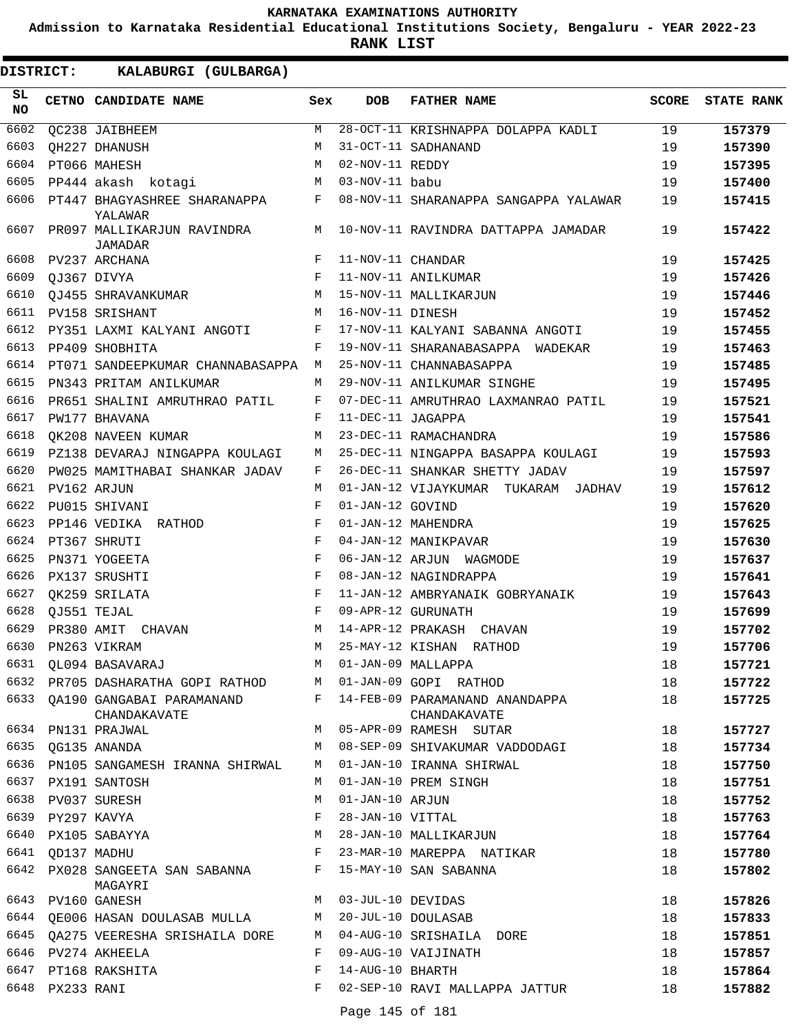**Admission to Karnataka Residential Educational Institutions Society, Bengaluru - YEAR 2022-23**

**RANK LIST**

**DISTRICT:** KK **KALABURGI (GULBARGA)**

| SL<br><b>NO</b> |                  | CETNO CANDIDATE NAME                                          | Sex          | <b>DOB</b>        | <b>FATHER NAME</b>                                                              | SCORE | <b>STATE RANK</b> |
|-----------------|------------------|---------------------------------------------------------------|--------------|-------------------|---------------------------------------------------------------------------------|-------|-------------------|
| 6602            |                  | QC238 JAIBHEEM                                                | M            |                   | 28-OCT-11 KRISHNAPPA DOLAPPA KADLI                                              | 19    | 157379            |
| 6603            |                  | <b>QH227 DHANUSH</b>                                          | M            |                   | 31-OCT-11 SADHANAND                                                             | 19    | 157390            |
| 6604            |                  | PT066 MAHESH                                                  | М            | 02-NOV-11 REDDY   |                                                                                 | 19    | 157395            |
| 6605            |                  | PP444 akash kotagi                                            | M            | 03-NOV-11 babu    |                                                                                 | 19    | 157400            |
| 6606            |                  | PT447 BHAGYASHREE SHARANAPPA<br>YALAWAR                       | F            |                   | 08-NOV-11 SHARANAPPA SANGAPPA YALAWAR                                           | 19    | 157415            |
| 6607            |                  | PR097 MALLIKARJUN RAVINDRA<br>JAMADAR                         | М            |                   | 10-NOV-11 RAVINDRA DATTAPPA JAMADAR                                             | 19    | 157422            |
| 6608            |                  | PV237 ARCHANA                                                 | $_{\rm F}$   | 11-NOV-11 CHANDAR |                                                                                 | 19    | 157425            |
| 6609            |                  | QJ367 DIVYA                                                   | $_{\rm F}$   |                   | 11-NOV-11 ANILKUMAR                                                             | 19    | 157426            |
| 6610            |                  | QJ455 SHRAVANKUMAR                                            | М            |                   | 15-NOV-11 MALLIKARJUN                                                           | 19    | 157446            |
| 6611            |                  | PV158 SRISHANT                                                | M            | 16-NOV-11 DINESH  |                                                                                 | 19    | 157452            |
| 6612            |                  | PY351 LAXMI KALYANI ANGOTI                                    | F            |                   | 17-NOV-11 KALYANI SABANNA ANGOTI                                                | 19    | 157455            |
| 6613            |                  | PP409 SHOBHITA                                                | F            |                   | 19-NOV-11 SHARANABASAPPA WADEKAR                                                | 19    | 157463            |
| 6614            |                  | PT071 SANDEEPKUMAR CHANNABASAPPA                              | М            |                   | 25-NOV-11 CHANNABASAPPA                                                         | 19    | 157485            |
| 6615            |                  | PN343 PRITAM ANILKUMAR                                        | M            |                   | 29-NOV-11 ANILKUMAR SINGHE                                                      | 19    | 157495            |
| 6616            |                  | PR651 SHALINI AMRUTHRAO PATIL                                 | F            |                   | 07-DEC-11 AMRUTHRAO LAXMANRAO PATIL                                             | 19    | 157521            |
| 6617            |                  | PW177 BHAVANA                                                 | F            | 11-DEC-11 JAGAPPA |                                                                                 | 19    | 157541            |
| 6618            |                  | OK208 NAVEEN KUMAR                                            | М            |                   | 23-DEC-11 RAMACHANDRA                                                           | 19    | 157586            |
| 6619            |                  | PZ138 DEVARAJ NINGAPPA KOULAGI                                | М            |                   | 25-DEC-11 NINGAPPA BASAPPA KOULAGI                                              | 19    | 157593            |
| 6620            |                  | PW025 MAMITHABAI SHANKAR JADAV                                | F            |                   | 26-DEC-11 SHANKAR SHETTY JADAV                                                  | 19    | 157597            |
| 6621            |                  | PV162 ARJUN                                                   | M            |                   | 01-JAN-12 VIJAYKUMAR TUKARAM JADHAV                                             | 19    | 157612            |
| 6622            |                  | PU015 SHIVANI                                                 | F            | 01-JAN-12 GOVIND  |                                                                                 | 19    | 157620            |
| 6623            |                  | PP146 VEDIKA RATHOD                                           | F            |                   | 01-JAN-12 MAHENDRA                                                              | 19    | 157625            |
| 6624            |                  | PT367 SHRUTI                                                  | F            |                   | 04-JAN-12 MANIKPAVAR                                                            | 19    | 157630            |
| 6625            |                  | PN371 YOGEETA                                                 | F            |                   | 06-JAN-12 ARJUN WAGMODE                                                         | 19    | 157637            |
| 6626            |                  | PX137 SRUSHTI                                                 | F            |                   | 08-JAN-12 NAGINDRAPPA                                                           | 19    | 157641            |
| 6627            |                  | QK259 SRILATA                                                 | F            |                   | 11-JAN-12 AMBRYANAIK GOBRYANAIK                                                 | 19    | 157643            |
| 6628            |                  | OJ551 TEJAL                                                   | $_{\rm F}$   |                   | 09-APR-12 GURUNATH                                                              | 19    | 157699            |
| 6629            |                  | PR380 AMIT CHAVAN                                             | M            |                   | 14-APR-12 PRAKASH CHAVAN                                                        | 19    | 157702            |
| 6630            |                  | PN263 VIKRAM                                                  | M            |                   | 25-MAY-12 KISHAN RATHOD                                                         | 19    | 157706            |
| 6631            |                  | QL094 BASAVARAJ                                               | M            |                   | 01-JAN-09 MALLAPPA                                                              | 18    | 157721            |
|                 |                  | 6632 PR705 DASHARATHA GOPI RATHOD M 01-JAN-09 GOPI RATHOD     |              |                   |                                                                                 | 18    | 157722            |
|                 |                  | CHANDAKAVATE                                                  |              |                   | 6633 QA190 GANGABAI PARAMANAND F 14-FEB-09 PARAMANAND ANANDAPPA<br>CHANDAKAVATE | 18    | 157725            |
|                 |                  | 6634 PN131 PRAJWAL                                            |              |                   | M 05-APR-09 RAMESH SUTAR                                                        | 18    | 157727            |
|                 |                  | 6635 QG135 ANANDA                                             |              |                   | M 08-SEP-09 SHIVAKUMAR VADDODAGI                                                | 18    | 157734            |
|                 |                  | 6636 PN105 SANGAMESH IRANNA SHIRWAL                           | M            |                   | 01-JAN-10 IRANNA SHIRWAL                                                        | 18    | 157750            |
|                 |                  | 6637 PX191 SANTOSH                                            | M            |                   | 01-JAN-10 PREM SINGH                                                            | 18    | 157751            |
|                 |                  | 6638 PV037 SURESH                                             | M            | 01-JAN-10 ARJUN   |                                                                                 | 18    | 157752            |
|                 |                  | 6639 PY297 KAVYA                                              | F            |                   | 28-JAN-10 VITTAL                                                                | 18    | 157763            |
|                 |                  | 6640 PX105 SABAYYA                                            |              |                   | M 28-JAN-10 MALLIKARJUN                                                         | 18    | 157764            |
|                 | 6641 OD137 MADHU | $\mathbf{F}$ and the contract of the contract of $\mathbf{F}$ |              |                   | 23-MAR-10 MAREPPA NATIKAR                                                       | 18    | 157780            |
|                 |                  | 6642 PX028 SANGEETA SAN SABANNA F 15-MAY-10 SAN SABANNA       |              |                   |                                                                                 | 18    | 157802            |
|                 |                  | MAGAYRI<br>6643 PV160 GANESH                                  |              |                   | M 03-JUL-10 DEVIDAS                                                             | 18    | 157826            |
|                 |                  |                                                               |              |                   |                                                                                 | 18    | 157833            |
|                 |                  | 6644 QE006 HASAN DOULASAB MULLA M 20-JUL-10 DOULASAB          |              |                   | 6645 QA275 VEERESHA SRISHAILA DORE     M   04-AUG-10 SRISHAILA  DORE            | 18    | 157851            |
|                 |                  | 6646 PV274 AKHEELA                                            | $F$ and      |                   | 09-AUG-10 VAIJINATH                                                             | 18    | 157857            |
|                 |                  | 6647 PT168 RAKSHITA                                           | $\mathbf{F}$ | 14-AUG-10 BHARTH  |                                                                                 | 18    | 157864            |
|                 | 6648 PX233 RANI  |                                                               |              |                   | F 02-SEP-10 RAVI MALLAPPA JATTUR                                                | 18    | 157882            |
|                 |                  |                                                               |              |                   | $D_{\alpha} \sim 14E_{\alpha} + 101$                                            |       |                   |

Page 145 of 181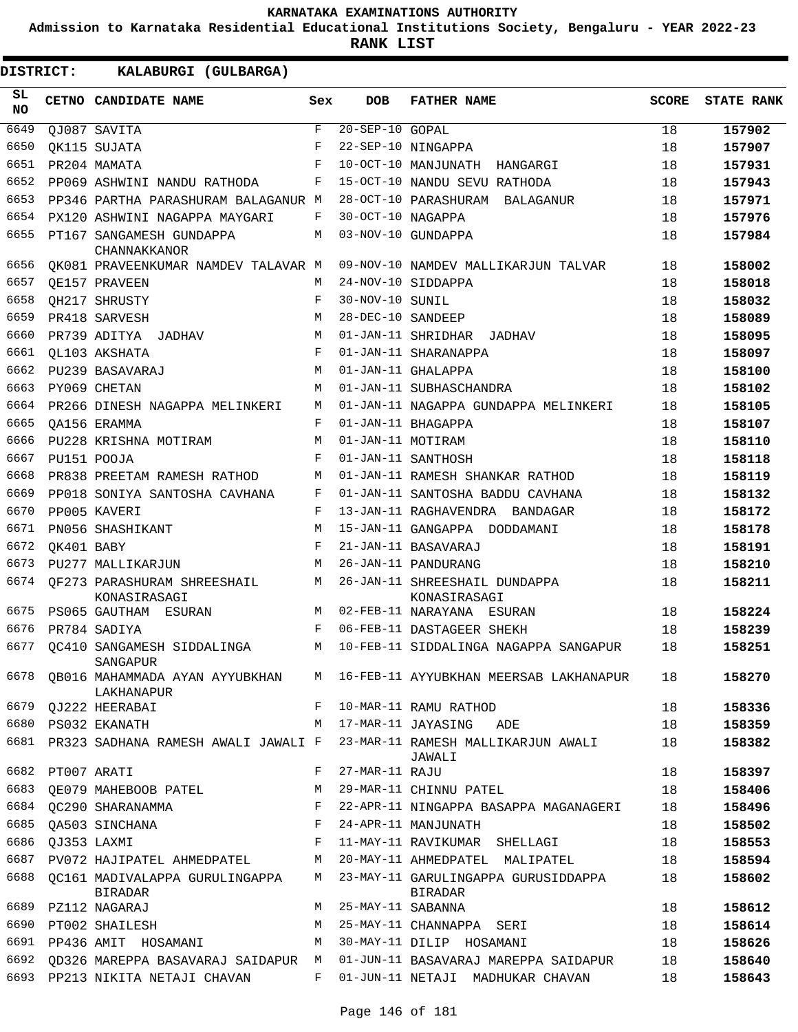**Admission to Karnataka Residential Educational Institutions Society, Bengaluru - YEAR 2022-23**

ı

| DISTRICT:        |                  | KALABURGI (GULBARGA)                                               |              |                       |                                                                                       |              |                   |
|------------------|------------------|--------------------------------------------------------------------|--------------|-----------------------|---------------------------------------------------------------------------------------|--------------|-------------------|
| SL.<br><b>NO</b> |                  | CETNO CANDIDATE NAME                                               | Sex          | <b>DOB</b>            | <b>FATHER NAME</b>                                                                    | <b>SCORE</b> | <b>STATE RANK</b> |
| 6649             |                  | OJ087 SAVITA                                                       | $\mathbf{F}$ | $20 - SEP - 10$ GOPAL |                                                                                       | 18           | 157902            |
| 6650             |                  | OK115 SUJATA                                                       | F            |                       | 22-SEP-10 NINGAPPA                                                                    | 18           | 157907            |
| 6651             |                  | PR204 MAMATA                                                       | $_{\rm F}$   |                       | 10-OCT-10 MANJUNATH HANGARGI                                                          | 18           | 157931            |
| 6652             |                  | PP069 ASHWINI NANDU RATHODA                                        | F            |                       | 15-OCT-10 NANDU SEVU RATHODA                                                          | 18           | 157943            |
| 6653             |                  | PP346 PARTHA PARASHURAM BALAGANUR M                                |              |                       | 28-OCT-10 PARASHURAM BALAGANUR                                                        | 18           | 157971            |
| 6654             |                  | PX120 ASHWINI NAGAPPA MAYGARI                                      | F            | 30-OCT-10 NAGAPPA     |                                                                                       | 18           | 157976            |
| 6655             |                  | PT167 SANGAMESH GUNDAPPA<br>CHANNAKKANOR                           | М            |                       | 03-NOV-10 GUNDAPPA                                                                    | 18           | 157984            |
| 6656             |                  | QK081 PRAVEENKUMAR NAMDEV TALAVAR M                                |              |                       | 09-NOV-10 NAMDEV MALLIKARJUN TALVAR                                                   | 18           | 158002            |
| 6657             |                  | OE157 PRAVEEN                                                      | М            |                       | 24-NOV-10 SIDDAPPA                                                                    | 18           | 158018            |
| 6658             |                  | QH217 SHRUSTY                                                      | F            | 30-NOV-10 SUNIL       |                                                                                       | 18           | 158032            |
| 6659             |                  | PR418 SARVESH                                                      | M            | 28-DEC-10 SANDEEP     |                                                                                       | 18           | 158089            |
| 6660             |                  | PR739 ADITYA JADHAV                                                | M            |                       | 01-JAN-11 SHRIDHAR JADHAV                                                             | 18           | 158095            |
| 6661             |                  | OL103 AKSHATA                                                      | F            |                       | 01-JAN-11 SHARANAPPA                                                                  | 18           | 158097            |
| 6662             |                  | PU239 BASAVARAJ                                                    | M            |                       | 01-JAN-11 GHALAPPA                                                                    | 18           | 158100            |
| 6663             |                  | PY069 CHETAN                                                       | М            |                       | 01-JAN-11 SUBHASCHANDRA                                                               | 18           | 158102            |
| 6664             |                  | PR266 DINESH NAGAPPA MELINKERI                                     | M            |                       | 01-JAN-11 NAGAPPA GUNDAPPA MELINKERI                                                  | 18           | 158105            |
| 6665             |                  | QA156 ERAMMA                                                       | F            |                       | 01-JAN-11 BHAGAPPA                                                                    | 18           | 158107            |
| 6666             |                  | PU228 KRISHNA MOTIRAM                                              | M            | 01-JAN-11 MOTIRAM     |                                                                                       | 18           | 158110            |
| 6667             |                  | PU151 POOJA                                                        | F            |                       | 01-JAN-11 SANTHOSH                                                                    | 18           | 158118            |
| 6668             |                  | PR838 PREETAM RAMESH RATHOD                                        | М            |                       | 01-JAN-11 RAMESH SHANKAR RATHOD                                                       | 18           | 158119            |
| 6669             |                  | PP018 SONIYA SANTOSHA CAVHANA                                      | F            |                       | 01-JAN-11 SANTOSHA BADDU CAVHANA                                                      | 18           | 158132            |
| 6670             |                  | PP005 KAVERI                                                       | F            |                       | 13-JAN-11 RAGHAVENDRA BANDAGAR                                                        | 18           | 158172            |
| 6671             |                  | PN056 SHASHIKANT                                                   | М            |                       | 15-JAN-11 GANGAPPA DODDAMANI                                                          | 18           | 158178            |
| 6672             | QK401 BABY       |                                                                    | F            |                       | 21-JAN-11 BASAVARAJ                                                                   | 18           | 158191            |
| 6673             |                  | PU277 MALLIKARJUN                                                  | М            |                       | 26-JAN-11 PANDURANG                                                                   | 18           | 158210            |
| 6674             |                  | OF273 PARASHURAM SHREESHAIL<br>KONASIRASAGI                        | M            |                       | 26-JAN-11 SHREESHAIL DUNDAPPA<br>KONASIRASAGI                                         | 18           | 158211            |
| 6675             |                  | PS065 GAUTHAM ESURAN                                               | M            |                       | 02-FEB-11 NARAYANA ESURAN                                                             | 18           | 158224            |
| 6676             |                  | PR784 SADIYA                                                       | F            |                       | 06-FEB-11 DASTAGEER SHEKH                                                             | 18           | 158239            |
| 6677             |                  | QC410 SANGAMESH SIDDALINGA<br>SANGAPUR                             | M            |                       | 10-FEB-11 SIDDALINGA NAGAPPA SANGAPUR                                                 | 18           | 158251            |
|                  |                  | LAKHANAPUR                                                         |              |                       | 6678 QB016 MAHAMMADA AYAN AYYUBKHAN M 16-FEB-11 AYYUBKHAN MEERSAB LAKHANAPUR          | 18           | 158270            |
|                  |                  | 6679 QJ222 HEERABAI                                                |              |                       | F 10-MAR-11 RAMU RATHOD                                                               | 18           | 158336            |
|                  |                  | 6680 PS032 EKANATH                                                 |              |                       | M 17-MAR-11 JAYASING ADE                                                              | 18           | 158359            |
|                  |                  |                                                                    |              |                       | 6681 PR323 SADHANA RAMESH AWALI JAWALI F 23-MAR-11 RAMESH MALLIKARJUN AWALI<br>JAWALI | 18           | 158382            |
|                  | 6682 PT007 ARATI |                                                                    |              | F 27-MAR-11 RAJU      | 6683 QE079 MAHEBOOB PATEL M 29-MAR-11 CHINNU PATEL                                    | 18           | 158397            |
|                  |                  |                                                                    |              |                       |                                                                                       | 18           | 158406            |
|                  |                  |                                                                    |              |                       |                                                                                       | 18           | 158496            |
|                  |                  |                                                                    |              |                       | F 11-MAY-11 RAVIKUMAR SHELLAGI                                                        | 18           | 158502            |
|                  | 6686 QJ353 LAXMI |                                                                    |              |                       | 6687 PV072 HAJIPATEL AHMEDPATEL M 20-MAY-11 AHMEDPATEL MALIPATEL                      | 18<br>18     | 158553            |
|                  |                  |                                                                    |              |                       |                                                                                       |              | 158594            |
|                  |                  | BIRADAR                                                            |              |                       | 6688 QC161 MADIVALAPPA GURULINGAPPA M 23-MAY-11 GARULINGAPPA GURUSIDDAPPA<br>BIRADAR  | 18           | 158602            |
|                  |                  | 6689 PZ112 NAGARAJ                                                 |              | M 25-MAY-11 SABANNA   |                                                                                       | 18           | 158612            |
|                  |                  |                                                                    |              |                       | 6690 PT002 SHAILESH M 25-MAY-11 CHANNAPPA SERI                                        | 18           | 158614            |
|                  |                  | 6691 PP436 AMIT HOSAMANI M 30-MAY-11 DILIP HOSAMANI                |              |                       |                                                                                       | 18           | 158626            |
|                  |                  |                                                                    |              |                       | 6692 QD326 MAREPPA BASAVARAJ SAIDAPUR M 01-JUN-11 BASAVARAJ MAREPPA SAIDAPUR          | 18           | 158640            |
|                  |                  | 6693 PP213 NIKITA NETAJI CHAVAN F 01-JUN-11 NETAJI MADHUKAR CHAVAN |              |                       |                                                                                       | 18           | 158643            |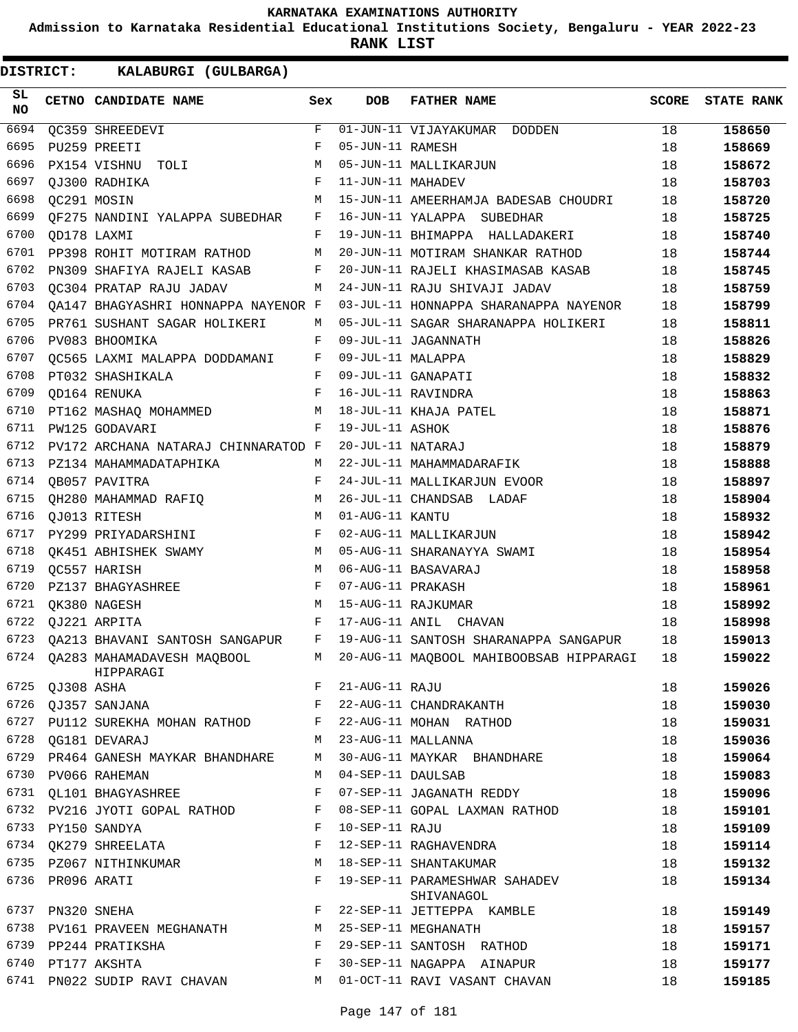**Admission to Karnataka Residential Educational Institutions Society, Bengaluru - YEAR 2022-23**

**RANK LIST**

| SL<br><b>NO</b> |                  | CETNO CANDIDATE NAME                    | Sex          | <b>DOB</b>        | <b>FATHER NAME</b>                          | <b>SCORE</b> | <b>STATE RANK</b> |
|-----------------|------------------|-----------------------------------------|--------------|-------------------|---------------------------------------------|--------------|-------------------|
| 6694            |                  | <b>QC359 SHREEDEVI</b>                  | F            |                   | 01-JUN-11 VIJAYAKUMAR DODDEN                | 18           | 158650            |
| 6695            |                  | PU259 PREETI                            | F            | 05-JUN-11 RAMESH  |                                             | 18           | 158669            |
| 6696            |                  | PX154 VISHNU TOLI                       | M            |                   | 05-JUN-11 MALLIKARJUN                       | 18           | 158672            |
| 6697            |                  | OJ300 RADHIKA                           | F            | 11-JUN-11 MAHADEV |                                             | 18           | 158703            |
| 6698            |                  | QC291 MOSIN                             | М            |                   | 15-JUN-11 AMEERHAMJA BADESAB CHOUDRI        | 18           | 158720            |
| 6699            |                  | QF275 NANDINI YALAPPA SUBEDHAR          | F            |                   | 16-JUN-11 YALAPPA SUBEDHAR                  | 18           | 158725            |
| 6700            | QD178 LAXMI      |                                         | F            |                   | 19-JUN-11 BHIMAPPA HALLADAKERI              | 18           | 158740            |
| 6701            |                  | PP398 ROHIT MOTIRAM RATHOD              | М            |                   | 20-JUN-11 MOTIRAM SHANKAR RATHOD            | 18           | 158744            |
| 6702            |                  | PN309 SHAFIYA RAJELI KASAB              | F            |                   | 20-JUN-11 RAJELI KHASIMASAB KASAB           | 18           | 158745            |
| 6703            |                  | QC304 PRATAP RAJU JADAV                 | M            |                   | 24-JUN-11 RAJU SHIVAJI JADAV                | 18           | 158759            |
| 6704            |                  | QA147 BHAGYASHRI HONNAPPA NAYENOR F     |              |                   | 03-JUL-11 HONNAPPA SHARANAPPA NAYENOR       | 18           | 158799            |
| 6705            |                  | PR761 SUSHANT SAGAR HOLIKERI            | М            |                   | 05-JUL-11 SAGAR SHARANAPPA HOLIKERI         | 18           | 158811            |
| 6706            |                  | PV083 BHOOMIKA                          | F            |                   | 09-JUL-11 JAGANNATH                         | 18           | 158826            |
| 6707            |                  | QC565 LAXMI MALAPPA DODDAMANI F         |              | 09-JUL-11 MALAPPA |                                             | 18           | 158829            |
| 6708            |                  | PT032 SHASHIKALA                        | $\mathbf{F}$ |                   | 09-JUL-11 GANAPATI                          | 18           | 158832            |
| 6709            |                  | QD164 RENUKA                            | F            |                   | 16-JUL-11 RAVINDRA                          | 18           | 158863            |
| 6710            |                  | PT162 MASHAQ MOHAMMED M                 |              |                   | 18-JUL-11 KHAJA PATEL                       | 18           | 158871            |
| 6711            |                  | PW125 GODAVARI                          | F            | 19-JUL-11 ASHOK   |                                             | 18           | 158876            |
| 6712            |                  | PV172 ARCHANA NATARAJ CHINNARATOD F     |              | 20-JUL-11 NATARAJ |                                             | 18           | 158879            |
| 6713            |                  | PZ134 MAHAMMADATAPHIKA                  | м            |                   | 22-JUL-11 MAHAMMADARAFIK                    | 18           | 158888            |
| 6714            |                  | QB057 PAVITRA                           | F            |                   | 24-JUL-11 MALLIKARJUN EVOOR                 | 18           | 158897            |
| 6715            |                  | QH280 MAHAMMAD RAFIQ                    | М            |                   | 26-JUL-11 CHANDSAB LADAF                    | 18           | 158904            |
| 6716            |                  | QJ013 RITESH                            | M            | 01-AUG-11 KANTU   |                                             | 18           | 158932            |
| 6717            |                  | PY299 PRIYADARSHINI                     | F            |                   | 02-AUG-11 MALLIKARJUN                       | 18           | 158942            |
| 6718            |                  | QK451 ABHISHEK SWAMY                    | M            |                   | 05-AUG-11 SHARANAYYA SWAMI                  | 18           | 158954            |
| 6719            |                  | QC557 HARISH                            | М            |                   | 06-AUG-11 BASAVARAJ                         | 18           | 158958            |
| 6720            |                  | PZ137 BHAGYASHREE                       | F            | 07-AUG-11 PRAKASH |                                             | 18           | 158961            |
| 6721            |                  | QK380 NAGESH                            | M            |                   | 15-AUG-11 RAJKUMAR                          | 18           | 158992            |
| 6722            |                  | QJ221 ARPITA                            | F            |                   | 17-AUG-11 ANIL CHAVAN                       | 18           | 158998            |
| 6723            |                  | QA213 BHAVANI SANTOSH SANGAPUR          | $\mathbf{F}$ |                   | 19-AUG-11 SANTOSH SHARANAPPA SANGAPUR       | 18           | 159013            |
| 6724            |                  | QA283 MAHAMADAVESH MAQBOOL<br>HIPPARAGI | M            |                   | 20-AUG-11 MAQBOOL MAHIBOOBSAB HIPPARAGI     | 18           | 159022            |
| 6725            | OJ308 ASHA       |                                         | F            | 21-AUG-11 RAJU    |                                             | 18           | 159026            |
| 6726            |                  | OJ357 SANJANA                           | F            |                   | 22-AUG-11 CHANDRAKANTH                      | 18           | 159030            |
|                 |                  | 6727 PU112 SUREKHA MOHAN RATHOD         | $\mathbf{F}$ |                   | 22-AUG-11 MOHAN RATHOD                      | 18           | 159031            |
| 6728            |                  | OG181 DEVARAJ                           | M            |                   | 23-AUG-11 MALLANNA                          | 18           | 159036            |
| 6729            |                  | PR464 GANESH MAYKAR BHANDHARE           | M            |                   | 30-AUG-11 MAYKAR BHANDHARE                  | 18           | 159064            |
|                 |                  | 6730 PV066 RAHEMAN                      | M            | 04-SEP-11 DAULSAB |                                             | 18           | 159083            |
|                 |                  | 6731 QL101 BHAGYASHREE                  | F            |                   | 07-SEP-11 JAGANATH REDDY                    | 18           | 159096            |
|                 |                  | 6732 PV216 JYOTI GOPAL RATHOD           | F            |                   | 08-SEP-11 GOPAL LAXMAN RATHOD               | 18           | 159101            |
| 6733            |                  | PY150 SANDYA                            | F            | 10-SEP-11 RAJU    |                                             | 18           | 159109            |
|                 |                  | 6734 QK279 SHREELATA                    | F            |                   | 12-SEP-11 RAGHAVENDRA                       | 18           | 159114            |
|                 |                  | 6735 PZ067 NITHINKUMAR                  | М            |                   | 18-SEP-11 SHANTAKUMAR                       | 18           | 159132            |
|                 | 6736 PR096 ARATI |                                         | F            |                   | 19-SEP-11 PARAMESHWAR SAHADEV<br>SHIVANAGOL | 18           | 159134            |
| 6737            |                  | PN320 SNEHA                             | F            |                   | 22-SEP-11 JETTEPPA KAMBLE                   | 18           | 159149            |
|                 |                  | 6738 PV161 PRAVEEN MEGHANATH            | M            |                   | 25-SEP-11 MEGHANATH                         | 18           | 159157            |
|                 |                  | 6739 PP244 PRATIKSHA                    | F            |                   | 29-SEP-11 SANTOSH RATHOD                    | 18           | 159171            |
|                 |                  | 6740 PT177 AKSHTA                       | F            |                   | 30-SEP-11 NAGAPPA AINAPUR                   | 18           | 159177            |
|                 |                  | 6741 PN022 SUDIP RAVI CHAVAN            | M            |                   | 01-OCT-11 RAVI VASANT CHAVAN                | 18           | 159185            |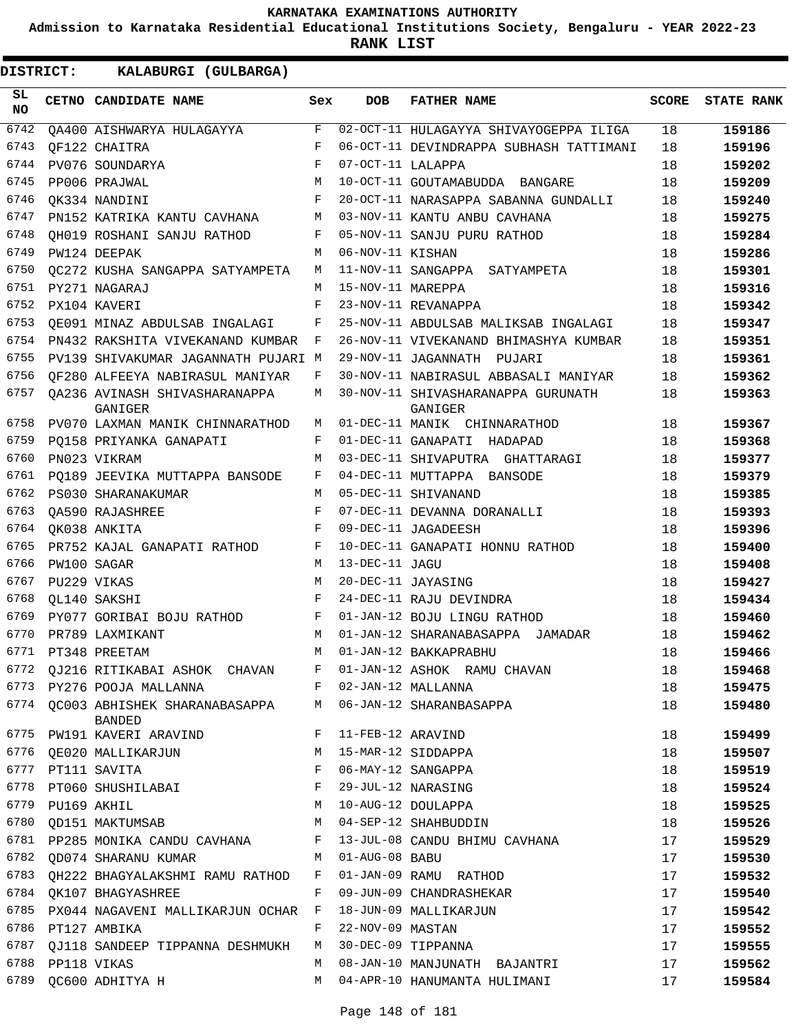**Admission to Karnataka Residential Educational Institutions Society, Bengaluru - YEAR 2022-23**

**RANK LIST**

| SL<br><b>NO</b> |                  | CETNO CANDIDATE NAME                                                          | Sex          | <b>DOB</b>        | <b>FATHER NAME</b>                            | <b>SCORE</b> | <b>STATE RANK</b> |
|-----------------|------------------|-------------------------------------------------------------------------------|--------------|-------------------|-----------------------------------------------|--------------|-------------------|
| 6742            |                  | OA400 AISHWARYA HULAGAYYA                                                     | F            |                   | 02-OCT-11 HULAGAYYA SHIVAYOGEPPA ILIGA        | 18           | 159186            |
| 6743            |                  | OF122 CHAITRA                                                                 | F            |                   | 06-OCT-11 DEVINDRAPPA SUBHASH TATTIMANI       | 18           | 159196            |
| 6744            |                  | PV076 SOUNDARYA                                                               | F            | 07-OCT-11 LALAPPA |                                               | 18           | 159202            |
| 6745            |                  | PP006 PRAJWAL                                                                 | M            |                   | 10-OCT-11 GOUTAMABUDDA BANGARE                | 18           | 159209            |
| 6746            |                  | OK334 NANDINI                                                                 | F            |                   | 20-OCT-11 NARASAPPA SABANNA GUNDALLI          | 18           | 159240            |
| 6747            |                  | PN152 KATRIKA KANTU CAVHANA                                                   | М            |                   | 03-NOV-11 KANTU ANBU CAVHANA                  | 18           | 159275            |
| 6748            |                  | OH019 ROSHANI SANJU RATHOD                                                    | F            |                   | 05-NOV-11 SANJU PURU RATHOD                   | 18           | 159284            |
| 6749            |                  | PW124 DEEPAK                                                                  | M            | 06-NOV-11 KISHAN  |                                               | 18           | 159286            |
| 6750            |                  | OC272 KUSHA SANGAPPA SATYAMPETA                                               | M            |                   | 11-NOV-11 SANGAPPA SATYAMPETA                 | 18           | 159301            |
| 6751            |                  | PY271 NAGARAJ                                                                 | М            | 15-NOV-11 MAREPPA |                                               | 18           | 159316            |
| 6752            |                  | PX104 KAVERI                                                                  | F            |                   | 23-NOV-11 REVANAPPA                           | 18           | 159342            |
| 6753            |                  | OE091 MINAZ ABDULSAB INGALAGI                                                 | F            |                   | 25-NOV-11 ABDULSAB MALIKSAB INGALAGI          | 18           | 159347            |
| 6754            |                  | PN432 RAKSHITA VIVEKANAND KUMBAR                                              | F            |                   | 26-NOV-11 VIVEKANAND BHIMASHYA KUMBAR         | 18           | 159351            |
| 6755            |                  | PV139 SHIVAKUMAR JAGANNATH PUJARI M                                           |              |                   | 29-NOV-11 JAGANNATH<br>PUJARI                 | 18           | 159361            |
| 6756            |                  | OF280 ALFEEYA NABIRASUL MANIYAR                                               | F            |                   | 30-NOV-11 NABIRASUL ABBASALI MANIYAR          | 18           | 159362            |
| 6757            |                  | OA236 AVINASH SHIVASHARANAPPA<br>GANIGER                                      | М            |                   | 30-NOV-11 SHIVASHARANAPPA GURUNATH<br>GANIGER | 18           | 159363            |
| 6758            |                  | PV070 LAXMAN MANIK CHINNARATHOD                                               | M            |                   | 01-DEC-11 MANIK CHINNARATHOD                  | 18           | 159367            |
| 6759            |                  | PO158 PRIYANKA GANAPATI                                                       | F            |                   | 01-DEC-11 GANAPATI HADAPAD                    | 18           | 159368            |
| 6760            |                  | PN023 VIKRAM                                                                  | M            |                   | 03-DEC-11 SHIVAPUTRA GHATTARAGI               | 18           | 159377            |
| 6761            |                  | PO189 JEEVIKA MUTTAPPA BANSODE                                                | F            |                   | 04-DEC-11 MUTTAPPA BANSODE                    | 18           | 159379            |
| 6762            |                  | PS030 SHARANAKUMAR                                                            | M            |                   | 05-DEC-11 SHIVANAND                           | 18           | 159385            |
| 6763            |                  | OA590 RAJASHREE                                                               | F            |                   | 07-DEC-11 DEVANNA DORANALLI                   | 18           | 159393            |
| 6764            |                  | OK038 ANKITA                                                                  | F            |                   | 09-DEC-11 JAGADEESH                           | 18           | 159396            |
| 6765            |                  | PR752 KAJAL GANAPATI RATHOD                                                   | F            |                   | 10-DEC-11 GANAPATI HONNU RATHOD               | 18           | 159400            |
| 6766            |                  | PW100 SAGAR                                                                   | M            | 13-DEC-11 JAGU    |                                               | 18           | 159408            |
| 6767            | PU229 VIKAS      |                                                                               | M            |                   | 20-DEC-11 JAYASING                            | 18           | 159427            |
| 6768            |                  | OL140 SAKSHI                                                                  | F            |                   | 24-DEC-11 RAJU DEVINDRA                       | 18           | 159434            |
| 6769            |                  | PY077 GORIBAI BOJU RATHOD                                                     | F            |                   | 01-JAN-12 BOJU LINGU RATHOD                   | 18           | 159460            |
| 6770            |                  | PR789 LAXMIKANT                                                               | M            |                   | 01-JAN-12 SHARANABASAPPA JAMADAR              | 18           | 159462            |
| 6771            |                  | PT348 PREETAM                                                                 | М            |                   | 01-JAN-12 BAKKAPRABHU                         | 18           | 159466            |
| 6772            |                  | QJ216 RITIKABAI ASHOK CHAVAN                                                  | F            |                   | 01-JAN-12 ASHOK RAMU CHAVAN                   | 18           | 159468            |
|                 |                  | 6773 PY276 POOJA MALLANNA                                                     | F            |                   | 02-JAN-12 MALLANNA                            | 18           | 159475            |
|                 |                  | 6774 QC003 ABHISHEK SHARANABASAPPA M 06-JAN-12 SHARANBASAPPA<br><b>BANDED</b> |              |                   |                                               | 18           | 159480            |
|                 |                  | 6775 PW191 KAVERI ARAVIND                                                     | $\mathbf{F}$ | 11-FEB-12 ARAVIND |                                               | 18           | 159499            |
|                 |                  | 6776 QE020 MALLIKARJUN                                                        | М            |                   | 15-MAR-12 SIDDAPPA                            | 18           | 159507            |
| 6777            |                  | PT111 SAVITA                                                                  | F            |                   | 06-MAY-12 SANGAPPA                            | 18           | 159519            |
|                 |                  | 6778 PT060 SHUSHILABAI                                                        | $\mathbf{F}$ |                   | 29-JUL-12 NARASING                            | 18           | 159524            |
|                 | 6779 PU169 AKHIL |                                                                               | M            |                   | 10-AUG-12 DOULAPPA                            | 18           | 159525            |
| 6780            |                  | QD151 MAKTUMSAB                                                               | M            |                   | 04-SEP-12 SHAHBUDDIN                          | 18           | 159526            |
| 6781            |                  | PP285 MONIKA CANDU CAVHANA                                                    | F            |                   | 13-JUL-08 CANDU BHIMU CAVHANA                 | 17           | 159529            |
| 6782            |                  | OD074 SHARANU KUMAR                                                           | M            | 01-AUG-08 BABU    |                                               | 17           | 159530            |
| 6783            |                  | QH222 BHAGYALAKSHMI RAMU RATHOD F                                             |              |                   | 01-JAN-09 RAMU RATHOD                         | 17           | 159532            |
|                 |                  | 6784 QK107 BHAGYASHREE                                                        | F            |                   | 09-JUN-09 CHANDRASHEKAR                       | 17           | 159540            |
| 6785            |                  | PX044 NAGAVENI MALLIKARJUN OCHAR F                                            |              |                   | 18-JUN-09 MALLIKARJUN                         | 17           | 159542            |
|                 |                  | 6786 PT127 AMBIKA                                                             | F            | 22-NOV-09 MASTAN  |                                               | 17           | 159552            |
| 6787            |                  | QJ118 SANDEEP TIPPANNA DESHMUKH                                               | M            |                   | 30-DEC-09 TIPPANNA                            | 17           | 159555            |
|                 | 6788 PP118 VIKAS |                                                                               | M            |                   | 08-JAN-10 MANJUNATH BAJANTRI                  | 17           | 159562            |
| 6789            |                  | QC600 ADHITYA H                                                               | M            |                   | 04-APR-10 HANUMANTA HULIMANI                  | 17           | 159584            |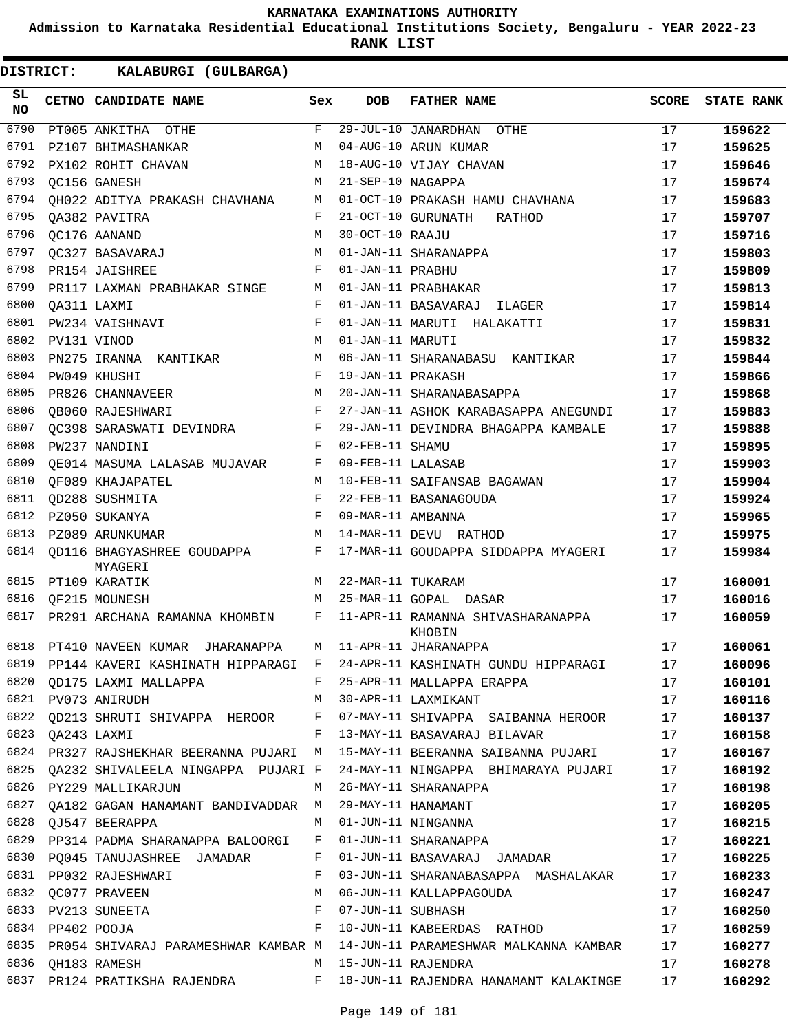**Admission to Karnataka Residential Educational Institutions Society, Bengaluru - YEAR 2022-23**

**RANK LIST**

| SL<br><b>NO</b> |                  | CETNO CANDIDATE NAME                                        | Sex          | <b>DOB</b>        | <b>FATHER NAME</b>                                                                                  | <b>SCORE</b> | <b>STATE RANK</b> |
|-----------------|------------------|-------------------------------------------------------------|--------------|-------------------|-----------------------------------------------------------------------------------------------------|--------------|-------------------|
| 6790            |                  | PT005 ANKITHA OTHE                                          | F            |                   | 29-JUL-10 JANARDHAN OTHE                                                                            | 17           | 159622            |
| 6791            |                  | PZ107 BHIMASHANKAR                                          | M            |                   | 04-AUG-10 ARUN KUMAR                                                                                | 17           | 159625            |
| 6792            |                  | PX102 ROHIT CHAVAN                                          | M            |                   | 18-AUG-10 VIJAY CHAVAN                                                                              | 17           | 159646            |
| 6793            |                  | OC156 GANESH                                                | M            | 21-SEP-10 NAGAPPA |                                                                                                     | 17           | 159674            |
| 6794            |                  | QH022 ADITYA PRAKASH CHAVHANA                               | M            |                   | 01-OCT-10 PRAKASH HAMU CHAVHANA                                                                     | 17           | 159683            |
| 6795            |                  | OA382 PAVITRA                                               | F            |                   | 21-OCT-10 GURUNATH<br>RATHOD                                                                        | 17           | 159707            |
| 6796            |                  | QC176 AANAND                                                | M            | 30-OCT-10 RAAJU   |                                                                                                     | 17           | 159716            |
| 6797            |                  | OC327 BASAVARAJ                                             | M            |                   | 01-JAN-11 SHARANAPPA                                                                                | 17           | 159803            |
| 6798            |                  | PR154 JAISHREE                                              | F            | 01-JAN-11 PRABHU  |                                                                                                     | 17           | 159809            |
| 6799            |                  | PR117 LAXMAN PRABHAKAR SINGE                                | M            |                   | 01-JAN-11 PRABHAKAR                                                                                 | 17           | 159813            |
| 6800            |                  | OA311 LAXMI                                                 | F            |                   | 01-JAN-11 BASAVARAJ ILAGER                                                                          | 17           | 159814            |
| 6801            |                  | PW234 VAISHNAVI                                             | $_{\rm F}$   |                   | 01-JAN-11 MARUTI HALAKATTI                                                                          | 17           | 159831            |
| 6802            |                  | PV131 VINOD                                                 | M            | 01-JAN-11 MARUTI  |                                                                                                     | 17           | 159832            |
| 6803            |                  | PN275 IRANNA KANTIKAR                                       | M            |                   | 06-JAN-11 SHARANABASU KANTIKAR                                                                      | 17           | 159844            |
| 6804            |                  | PW049 KHUSHI                                                | $_{\rm F}$   | 19-JAN-11 PRAKASH |                                                                                                     | 17           | 159866            |
| 6805            |                  | PR826 CHANNAVEER                                            | M            |                   | 20-JAN-11 SHARANABASAPPA                                                                            | 17           | 159868            |
| 6806            |                  | OB060 RAJESHWARI                                            | F            |                   | 27-JAN-11 ASHOK KARABASAPPA ANEGUNDI                                                                | 17           | 159883            |
| 6807            |                  | OC398 SARASWATI DEVINDRA                                    | F            |                   | 29-JAN-11 DEVINDRA BHAGAPPA KAMBALE                                                                 | 17           | 159888            |
| 6808            |                  | PW237 NANDINI                                               | $_{\rm F}$   | 02-FEB-11 SHAMU   |                                                                                                     | 17           | 159895            |
| 6809            |                  | OE014 MASUMA LALASAB MUJAVAR                                | F            | 09-FEB-11 LALASAB |                                                                                                     | 17           | 159903            |
| 6810            |                  | QF089 KHAJAPATEL                                            | M            |                   | 10-FEB-11 SAIFANSAB BAGAWAN                                                                         | 17           | 159904            |
| 6811            |                  | QD288 SUSHMITA                                              | F            |                   | 22-FEB-11 BASANAGOUDA                                                                               | 17           | 159924            |
| 6812            |                  | PZ050 SUKANYA                                               | $_{\rm F}$   | 09-MAR-11 AMBANNA |                                                                                                     | 17           | 159965            |
| 6813            |                  | PZ089 ARUNKUMAR                                             | M            |                   | 14-MAR-11 DEVU RATHOD                                                                               | 17           | 159975            |
| 6814            |                  | OD116 BHAGYASHREE GOUDAPPA<br>MYAGERI                       | F            |                   | 17-MAR-11 GOUDAPPA SIDDAPPA MYAGERI                                                                 | 17           | 159984            |
| 6815            |                  | PT109 KARATIK                                               | M            | 22-MAR-11 TUKARAM |                                                                                                     | 17           | 160001            |
| 6816            |                  | OF215 MOUNESH                                               | M            |                   | 25-MAR-11 GOPAL DASAR                                                                               | 17           | 160016            |
| 6817            |                  | PR291 ARCHANA RAMANNA KHOMBIN                               | F            |                   | 11-APR-11 RAMANNA SHIVASHARANAPPA<br>KHOBIN                                                         | 17           | 160059            |
| 6818            |                  | PT410 NAVEEN KUMAR JHARANAPPA                               | M            |                   | 11-APR-11 JHARANAPPA                                                                                | 17           | 160061            |
|                 |                  |                                                             |              |                   | 6819 PP144 KAVERI KASHINATH HIPPARAGI F 24-APR-11 KASHINATH GUNDU HIPPARAGI                         | 17           | 160096            |
|                 |                  |                                                             |              |                   | 6820 QD175 LAXMI MALLAPPA 6820 P 25-APR-11 MALLAPPA ERAPPA                                          |              | 160101            |
|                 |                  |                                                             |              |                   | 6821 PV073 ANIRUDH M 30-APR-11 LAXMIKANT 17                                                         |              | 160116            |
|                 |                  |                                                             |              |                   | 6822 QD213 SHRUTI SHIVAPPA HEROOR F 07-MAY-11 SHIVAPPA SAIBANNA HEROOR 17                           |              | 160137            |
|                 |                  |                                                             |              |                   | 6823 QA243 LAXMI                                 F   13-MAY-11 BASAVARAJ BILAVAR                 17 |              | 160158            |
|                 |                  |                                                             |              |                   | 6824 PR327 RAJSHEKHAR BEERANNA PUJARI M 15-MAY-11 BEERANNA SAIBANNA PUJARI 17                       |              | 160167            |
|                 |                  |                                                             |              |                   | 6825 QA232 SHIVALEELA NINGAPPA PUJARI F 24-MAY-11 NINGAPPA BHIMARAYA PUJARI 17                      |              | 160192            |
|                 |                  | 6826 PY229 MALLIKARJUN M 26-MAY-11 SHARANAPPA               |              |                   |                                                                                                     | 17           | 160198            |
|                 |                  |                                                             |              |                   |                                                                                                     | 17           | 160205            |
|                 |                  |                                                             |              |                   |                                                                                                     | 17           | 160215            |
|                 |                  | 6829 PP314 PADMA SHARANAPPA BALOORGI F 01-JUN-11 SHARANAPPA |              |                   | 17                                                                                                  |              | 160221            |
|                 |                  |                                                             |              |                   | 6830 PQ045 TANUJASHREE JAMADAR F 01-JUN-11 BASAVARAJ JAMADAR 17                                     |              | 160225            |
|                 |                  | 6831 PP032 RAJESHWARI                                       | $\mathbf{F}$ |                   | 03-JUN-11 SHARANABASAPPA MASHALAKAR 17                                                              |              | 160233            |
|                 |                  | 6832 QC077 PRAVEEN M 06-JUN-11 KALLAPPAGOUDA                |              |                   |                                                                                                     | 17           | 160247            |
|                 |                  | 6833 PV213 SUNEETA F                                        |              |                   | 17<br>07-JUN-11 SUBHASH                                                                             |              | 160250            |
|                 | 6834 PP402 POOJA |                                                             |              |                   | F 10-JUN-11 KABEERDAS RATHOD 17                                                                     |              | 160259            |
|                 |                  |                                                             |              |                   | 6835 PR054 SHIVARAJ PARAMESHWAR KAMBAR M 14-JUN-11 PARAMESHWAR MALKANNA KAMBAR 17                   |              | 160277            |
|                 |                  |                                                             |              |                   | 6836 QH183 RAMESH 17 N 15-JUN-11 RAJENDRA                                                           |              | 160278            |
|                 |                  |                                                             |              |                   | 6837 PR124 PRATIKSHA RAJENDRA BARA F 18-JUN-11 RAJENDRA HANAMANT KALAKINGE 17                       |              | 160292            |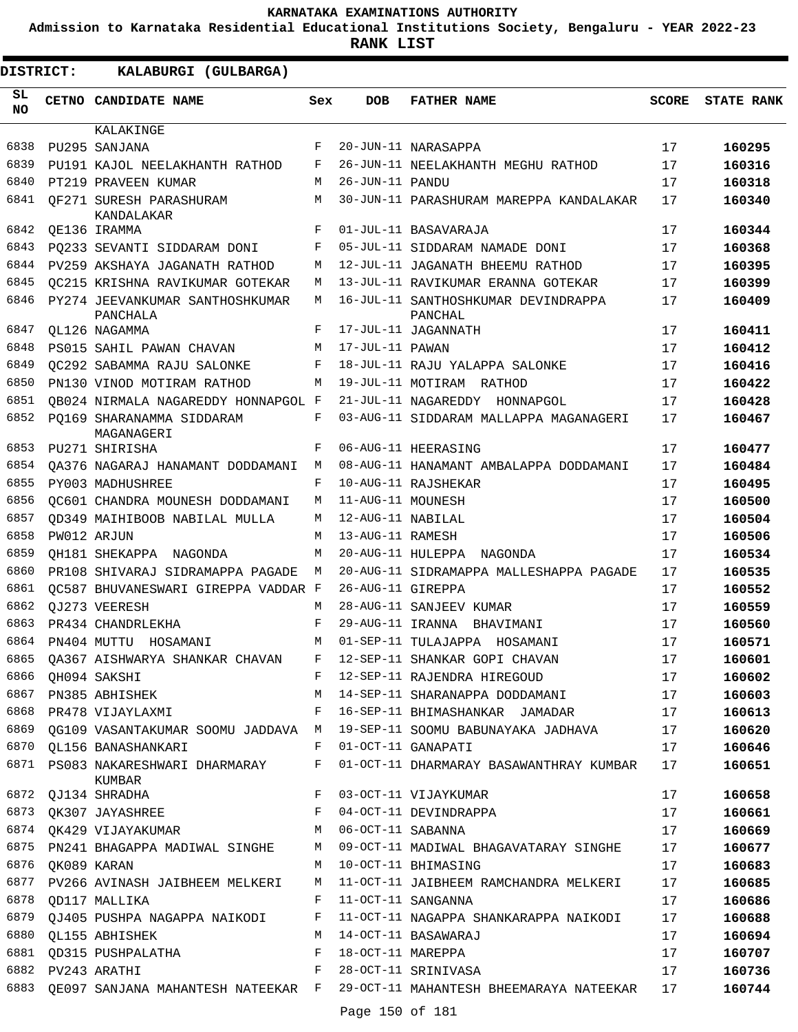**Admission to Karnataka Residential Educational Institutions Society, Bengaluru - YEAR 2022-23**

| <b>DISTRICT:</b> | KALABURGI (GULBARGA)                                                |              |                   |                                                                                 |              |                   |
|------------------|---------------------------------------------------------------------|--------------|-------------------|---------------------------------------------------------------------------------|--------------|-------------------|
| SL<br><b>NO</b>  | <b>CETNO CANDIDATE NAME</b>                                         | Sex          | <b>DOB</b>        | <b>FATHER NAME</b>                                                              | <b>SCORE</b> | <b>STATE RANK</b> |
|                  | KALAKINGE                                                           |              |                   |                                                                                 |              |                   |
| 6838             | PU295 SANJANA                                                       | F            |                   | 20-JUN-11 NARASAPPA                                                             | 17           | 160295            |
| 6839             | PU191 KAJOL NEELAKHANTH RATHOD                                      | F            |                   | 26-JUN-11 NEELAKHANTH MEGHU RATHOD                                              | 17           | 160316            |
| 6840             | PT219 PRAVEEN KUMAR                                                 | M            | 26-JUN-11 PANDU   |                                                                                 | 17           | 160318            |
| 6841             | OF271 SURESH PARASHURAM<br>KANDALAKAR                               | М            |                   | 30-JUN-11 PARASHURAM MAREPPA KANDALAKAR                                         | 17           | 160340            |
| 6842             | OE136 IRAMMA                                                        | F            |                   | 01-JUL-11 BASAVARAJA                                                            | 17           | 160344            |
| 6843             | PQ233 SEVANTI SIDDARAM DONI                                         | F            |                   | 05-JUL-11 SIDDARAM NAMADE DONI                                                  | 17           | 160368            |
| 6844             | PV259 AKSHAYA JAGANATH RATHOD                                       | М            |                   | 12-JUL-11 JAGANATH BHEEMU RATHOD                                                | 17           | 160395            |
| 6845             | OC215 KRISHNA RAVIKUMAR GOTEKAR                                     | М            |                   | 13-JUL-11 RAVIKUMAR ERANNA GOTEKAR                                              | 17           | 160399            |
| 6846             | PY274 JEEVANKUMAR SANTHOSHKUMAR<br>PANCHALA                         | М            |                   | 16-JUL-11 SANTHOSHKUMAR DEVINDRAPPA<br>PANCHAL                                  | 17           | 160409            |
| 6847             | OL126 NAGAMMA                                                       | F            |                   | 17-JUL-11 JAGANNATH                                                             | 17           | 160411            |
| 6848             | PS015 SAHIL PAWAN CHAVAN                                            | М            | 17-JUL-11 PAWAN   |                                                                                 | 17           | 160412            |
| 6849             | OC292 SABAMMA RAJU SALONKE                                          | F            |                   | 18-JUL-11 RAJU YALAPPA SALONKE                                                  | 17           | 160416            |
| 6850             | PN130 VINOD MOTIRAM RATHOD                                          | М            |                   | 19-JUL-11 MOTIRAM RATHOD                                                        | 17           | 160422            |
| 6851             | OB024 NIRMALA NAGAREDDY HONNAPGOL F                                 |              |                   | 21-JUL-11 NAGAREDDY HONNAPGOL                                                   | 17           | 160428            |
| 6852             | PO169 SHARANAMMA SIDDARAM<br>MAGANAGERI                             | F            |                   | 03-AUG-11 SIDDARAM MALLAPPA MAGANAGERI                                          | 17           | 160467            |
| 6853             | PU271 SHIRISHA                                                      | F            |                   | 06-AUG-11 HEERASING                                                             | 17           | 160477            |
| 6854             | QA376 NAGARAJ HANAMANT DODDAMANI                                    | М            |                   | 08-AUG-11 HANAMANT AMBALAPPA DODDAMANI                                          | 17           | 160484            |
| 6855             | PY003 MADHUSHREE                                                    | F            |                   | 10-AUG-11 RAJSHEKAR                                                             | 17           | 160495            |
| 6856             | OC601 CHANDRA MOUNESH DODDAMANI                                     | М            | 11-AUG-11 MOUNESH |                                                                                 | 17           | 160500            |
| 6857             | OD349 MAIHIBOOB NABILAL MULLA                                       | M            | 12-AUG-11 NABILAL |                                                                                 | 17           | 160504            |
| 6858             | PW012 ARJUN                                                         | M            | 13-AUG-11 RAMESH  |                                                                                 | 17           | 160506            |
| 6859             | OH181 SHEKAPPA NAGONDA                                              | M            |                   | 20-AUG-11 HULEPPA<br>NAGONDA                                                    | 17           | 160534            |
| 6860             | PR108 SHIVARAJ SIDRAMAPPA PAGADE                                    | М            |                   | 20-AUG-11 SIDRAMAPPA MALLESHAPPA PAGADE                                         | 17           | 160535            |
| 6861             | OC587 BHUVANESWARI GIREPPA VADDAR F                                 |              | 26-AUG-11 GIREPPA |                                                                                 | 17           | 160552            |
| 6862             | OJ273 VEERESH                                                       | M            |                   | 28-AUG-11 SANJEEV KUMAR                                                         | 17           | 160559            |
| 6863             | PR434 CHANDRLEKHA                                                   | F            |                   | 29-AUG-11 IRANNA BHAVIMANI                                                      | 17           | 160560            |
| 6864             | PN404 MUTTU HOSAMANI                                                | M            |                   | 01-SEP-11 TULAJAPPA HOSAMANI                                                    | 17           | 160571            |
| 6865             | QA367 AISHWARYA SHANKAR CHAVAN                                      | F            |                   | 12-SEP-11 SHANKAR GOPI CHAVAN                                                   | 17           | 160601            |
| 6866             | QH094 SAKSHI                                                        | F            |                   | 12-SEP-11 RAJENDRA HIREGOUD                                                     | 17           | 160602            |
| 6867             | PN385 ABHISHEK                                                      |              |                   | M 14-SEP-11 SHARANAPPA DODDAMANI 17                                             |              | 160603            |
|                  | 6868 PR478 VIJAYLAXMI                                               | $\mathbf{F}$ |                   | 16-SEP-11 BHIMASHANKAR JAMADAR 17                                               |              | 160613            |
|                  |                                                                     |              |                   | 6869 QG109 VASANTAKUMAR SOOMU JADDAVA M 19-SEP-11 SOOMU BABUNAYAKA JADHAVA 17   |              | 160620            |
| 6870             | QL156 BANASHANKARI                                                  | F            |                   | 01-OCT-11 GANAPATI<br>17                                                        |              | 160646            |
|                  | 6871 PS083 NAKARESHWARI DHARMARAY<br>KUMBAR                         | F            |                   | 01-OCT-11 DHARMARAY BASAWANTHRAY KUMBAR                                         | 17           | 160651            |
|                  | 6872 QJ134 SHRADHA                                                  | F            |                   | 03-OCT-11 VIJAYKUMAR                                                            | 17           | 160658            |
| 6873             | $\mathbf{F}$ and $\mathbf{F}$ and $\mathbf{F}$<br>QK307 JAYASHREE   |              |                   | 04-OCT-11 DEVINDRAPPA                                                           | 17           | 160661            |
|                  | 6874 QK429 VIJAYAKUMAR M 06-OCT-11 SABANNA                          |              |                   |                                                                                 | 17           | 160669            |
| 6875             |                                                                     |              |                   | PN241 BHAGAPPA MADIWAL SINGHE M 09-OCT-11 MADIWAL BHAGAVATARAY SINGHE           | 17           | 160677            |
| 6876             | QK089 KARAN                                                         | M            |                   | 10-OCT-11 BHIMASING                                                             | 17           | 160683            |
| 6877             | PV266 AVINASH JAIBHEEM MELKERI                                      | M            |                   | 11-OCT-11 JAIBHEEM RAMCHANDRA MELKERI                                           | 17           | 160685            |
|                  | 6878 QD117 MALLIKA                                                  | $\mathbf{F}$ |                   | 11-OCT-11 SANGANNA                                                              | 17           | 160686            |
|                  | 6879 QJ405 PUSHPA NAGAPPA NAIKODI F                                 |              |                   | 11-OCT-11 NAGAPPA SHANKARAPPA NAIKODI                                           | 17           | 160688            |
| 6880             | QL155 ABHISHEK                                                      | M            |                   | 14-OCT-11 BASAWARAJ                                                             | 17           | 160694            |
| 6881             | $\mathbf{F}$ and $\mathbf{F}$ and $\mathbf{F}$<br>QD315 PUSHPALATHA |              | 18-OCT-11 MAREPPA |                                                                                 | 17           | 160707            |
|                  | 6882 PV243 ARATHI                                                   | F            |                   | 28-OCT-11 SRINIVASA                                                             | 17           | 160736            |
|                  |                                                                     |              |                   | 6883 QE097 SANJANA MAHANTESH NATEEKAR F 29-OCT-11 MAHANTESH BHEEMARAYA NATEEKAR | 17           | 160744            |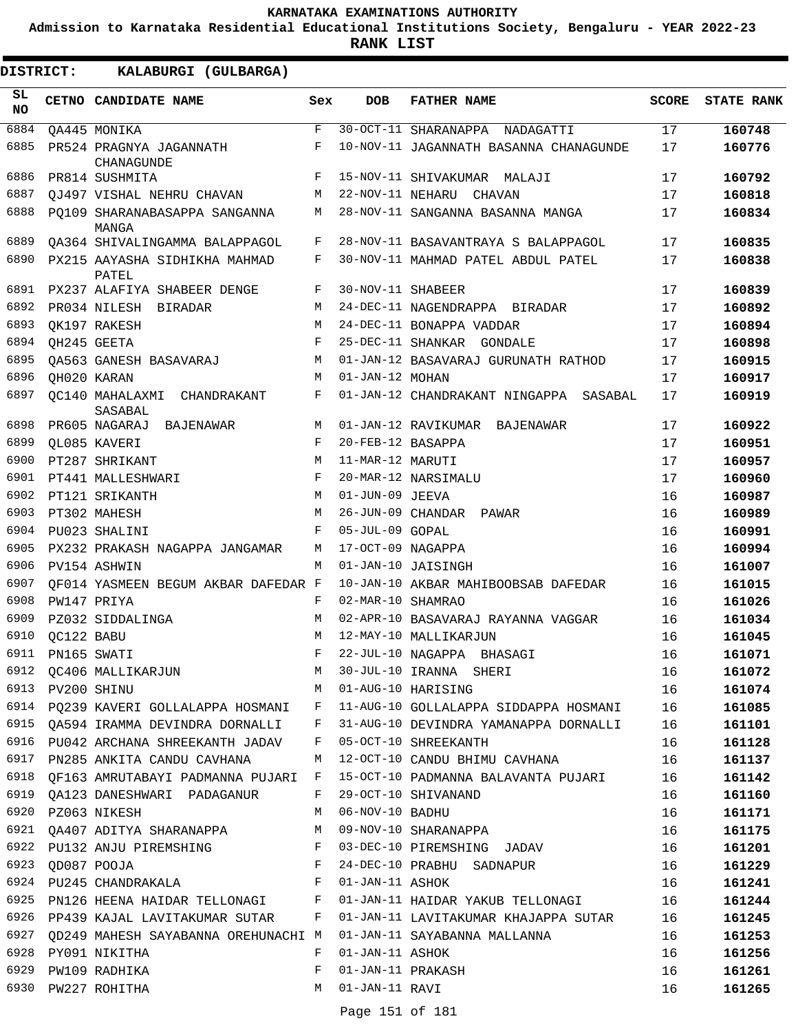**Admission to Karnataka Residential Educational Institutions Society, Bengaluru - YEAR 2022-23**

| DISTRICT:       |                  | KALABURGI (GULBARGA)                                          |              |                                      |                                        |              |                   |
|-----------------|------------------|---------------------------------------------------------------|--------------|--------------------------------------|----------------------------------------|--------------|-------------------|
| SL<br><b>NO</b> |                  | CETNO CANDIDATE NAME                                          | Sex          | <b>DOB</b>                           | <b>FATHER NAME</b>                     | <b>SCORE</b> | <b>STATE RANK</b> |
| 6884            |                  | QA445 MONIKA                                                  | $\mathbf{F}$ |                                      | 30-OCT-11 SHARANAPPA NADAGATTI         | 17           | 160748            |
| 6885            |                  | PR524 PRAGNYA JAGANNATH<br>CHANAGUNDE                         | F            |                                      | 10-NOV-11 JAGANNATH BASANNA CHANAGUNDE | 17           | 160776            |
| 6886            |                  | PR814 SUSHMITA                                                | F            |                                      | 15-NOV-11 SHIVAKUMAR MALAJI            | 17           | 160792            |
| 6887            |                  | QJ497 VISHAL NEHRU CHAVAN                                     | М            |                                      | 22-NOV-11 NEHARU CHAVAN                | 17           | 160818            |
| 6888            |                  | PO109 SHARANABASAPPA SANGANNA<br>MANGA                        | М            |                                      | 28-NOV-11 SANGANNA BASANNA MANGA       | 17           | 160834            |
| 6889            |                  | OA364 SHIVALINGAMMA BALAPPAGOL                                | F            |                                      | 28-NOV-11 BASAVANTRAYA S BALAPPAGOL    | 17           | 160835            |
| 6890            |                  | PX215 AAYASHA SIDHIKHA MAHMAD<br>PATEL                        | F            |                                      | 30-NOV-11 MAHMAD PATEL ABDUL PATEL     | 17           | 160838            |
| 6891            |                  | PX237 ALAFIYA SHABEER DENGE                                   | F            | 30-NOV-11 SHABEER                    |                                        | 17           | 160839            |
| 6892            |                  | PR034 NILESH BIRADAR                                          | M            |                                      | 24-DEC-11 NAGENDRAPPA BIRADAR          | 17           | 160892            |
| 6893            |                  | OK197 RAKESH                                                  | M            |                                      | 24-DEC-11 BONAPPA VADDAR               | 17           | 160894            |
| 6894            |                  | QH245 GEETA                                                   | F            |                                      | 25-DEC-11 SHANKAR GONDALE              | 17           | 160898            |
| 6895            |                  | OA563 GANESH BASAVARAJ                                        | М            |                                      | 01-JAN-12 BASAVARAJ GURUNATH RATHOD    | 17           | 160915            |
| 6896            |                  | QH020 KARAN                                                   | M            | 01-JAN-12 MOHAN                      |                                        | 17           | 160917            |
| 6897            |                  | OC140 MAHALAXMI CHANDRAKANT<br>SASABAL                        | F            |                                      | 01-JAN-12 CHANDRAKANT NINGAPPA SASABAL | 17           | 160919            |
| 6898            |                  | PR605 NAGARAJ BAJENAWAR                                       | М            |                                      | 01-JAN-12 RAVIKUMAR BAJENAWAR          | 17           | 160922            |
| 6899            |                  | QL085 KAVERI                                                  | F            | 20-FEB-12 BASAPPA                    |                                        | 17           | 160951            |
| 6900            |                  | PT287 SHRIKANT                                                | M            | 11-MAR-12 MARUTI                     |                                        | 17           | 160957            |
| 6901            |                  | PT441 MALLESHWARI                                             | F            |                                      | 20-MAR-12 NARSIMALU                    | 17           | 160960            |
| 6902            |                  | PT121 SRIKANTH                                                | M            | 01-JUN-09 JEEVA                      |                                        | 16           | 160987            |
| 6903            |                  | PT302 MAHESH                                                  | M            |                                      | 26-JUN-09 CHANDAR PAWAR                | 16           | 160989            |
| 6904            |                  | PU023 SHALINI                                                 | F            | 05-JUL-09 GOPAL                      |                                        | 16           | 160991            |
| 6905            |                  | PX232 PRAKASH NAGAPPA JANGAMAR                                | М            | 17-OCT-09 NAGAPPA                    |                                        | 16           | 160994            |
| 6906            |                  | PV154 ASHWIN                                                  | M            |                                      | 01-JAN-10 JAISINGH                     | 16           | 161007            |
| 6907            |                  | OF014 YASMEEN BEGUM AKBAR DAFEDAR F                           |              |                                      | 10-JAN-10 AKBAR MAHIBOOBSAB DAFEDAR    | 16           | 161015            |
| 6908            |                  | PW147 PRIYA                                                   | F            | 02-MAR-10 SHAMRAO                    |                                        | 16           | 161026            |
| 6909            |                  | PZ032 SIDDALINGA                                              | M            |                                      | 02-APR-10 BASAVARAJ RAYANNA VAGGAR     | 16           | 161034            |
| 6910            | QC122 BABU       |                                                               | M            |                                      | 12-MAY-10 MALLIKARJUN                  | 16           | 161045            |
| 6911            |                  | PN165 SWATI                                                   |              |                                      | 22-JUL-10 NAGAPPA BHASAGI              | 16           | 161071            |
| 6912            |                  | QC406 MALLIKARJUN                                             | M            |                                      | 30-JUL-10 IRANNA SHERI                 | 16           | 161072            |
|                 | 6913 PV200 SHINU |                                                               | M            |                                      | 01-AUG-10 HARISING                     | 16           | 161074            |
|                 |                  | 6914 PQ239 KAVERI GOLLALAPPA HOSMANI F                        |              |                                      | 11-AUG-10 GOLLALAPPA SIDDAPPA HOSMANI  | 16           | 161085            |
| 6915            |                  | QA594 IRAMMA DEVINDRA DORNALLI F                              |              |                                      | 31-AUG-10 DEVINDRA YAMANAPPA DORNALLI  | 16           | 161101            |
|                 |                  | 6916 PU042 ARCHANA SHREEKANTH JADAV F                         |              |                                      | 05-OCT-10 SHREEKANTH                   | 16           | 161128            |
|                 |                  | 6917 PN285 ANKITA CANDU CAVHANA M                             |              |                                      | 12-OCT-10 CANDU BHIMU CAVHANA          | 16           | 161137            |
|                 |                  | 6918 QF163 AMRUTABAYI PADMANNA PUJARI F                       |              |                                      | 15-OCT-10 PADMANNA BALAVANTA PUJARI    | 16           | 161142            |
| 6919            |                  | QA123 DANESHWARI PADAGANUR                                    | F            |                                      | 29-OCT-10 SHIVANAND                    | 16           | 161160            |
| 6920            |                  | PZ063 NIKESH                                                  | M            | 06-NOV-10 BADHU                      |                                        | 16           | 161171            |
|                 |                  | 6921 QA407 ADITYA SHARANAPPA M                                |              |                                      | 09-NOV-10 SHARANAPPA                   | 16           | 161175            |
|                 |                  | 6922 PU132 ANJU PIREMSHING F                                  |              |                                      | 03-DEC-10 PIREMSHING JADAV             | 16           | 161201            |
| 6923            |                  | $\mathbf{F}$ and $\mathbf{F}$ and $\mathbf{F}$<br>QD087 POOJA |              |                                      | 24-DEC-10 PRABHU SADNAPUR              | 16           | 161229            |
|                 |                  | 6924 PU245 CHANDRAKALA F                                      |              | 01-JAN-11 ASHOK                      |                                        | 16           | 161241            |
|                 |                  | 6925 PN126 HEENA HAIDAR TELLONAGI F                           |              |                                      | 01-JAN-11 HAIDAR YAKUB TELLONAGI 16    |              | 161244            |
|                 |                  | 6926 PP439 KAJAL LAVITAKUMAR SUTAR F                          |              |                                      | 01-JAN-11 LAVITAKUMAR KHAJAPPA SUTAR   | 16           | 161245            |
| 6927            |                  | OD249 MAHESH SAYABANNA OREHUNACHI M                           |              |                                      | 01-JAN-11 SAYABANNA MALLANNA           | 16           | 161253            |
| 6928            |                  | PY091 NIKITHA                                                 | F<br>F       | 01-JAN-11 ASHOK<br>01-JAN-11 PRAKASH |                                        | 16           | 161256            |
|                 |                  | 6929 PW109 RADHIKA                                            |              | 01-JAN-11 RAVI                       |                                        | 16           | 161261            |
|                 |                  | 6930 PW227 ROHITHA                                            | M            |                                      |                                        | 16           | 161265            |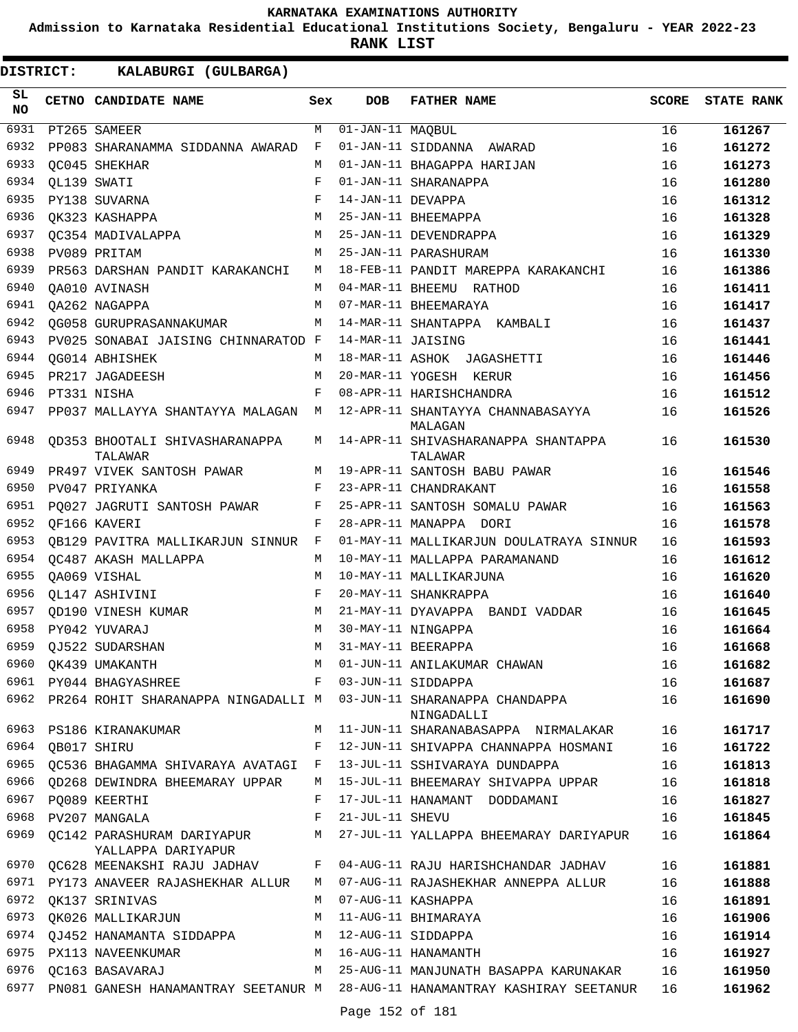**Admission to Karnataka Residential Educational Institutions Society, Bengaluru - YEAR 2022-23**

| <b>DISTRICT:</b> |             | KALABURGI (GULBARGA)                               |            |                                |                                                                                                       |              |                   |
|------------------|-------------|----------------------------------------------------|------------|--------------------------------|-------------------------------------------------------------------------------------------------------|--------------|-------------------|
| SL.<br><b>NO</b> |             | CETNO CANDIDATE NAME                               | Sex        | <b>DOB</b>                     | <b>FATHER NAME</b>                                                                                    | <b>SCORE</b> | <b>STATE RANK</b> |
| 6931             |             | PT265 SAMEER                                       | M          | $\overline{01}$ -JAN-11 MAQBUL |                                                                                                       | 16           | 161267            |
| 6932             |             | PP083 SHARANAMMA SIDDANNA AWARAD                   | F          |                                | 01-JAN-11 SIDDANNA AWARAD                                                                             | 16           | 161272            |
| 6933             |             | OC045 SHEKHAR                                      | М          |                                | 01-JAN-11 BHAGAPPA HARIJAN                                                                            | 16           | 161273            |
| 6934             | OL139 SWATI |                                                    | F          |                                | 01-JAN-11 SHARANAPPA                                                                                  | 16           | 161280            |
| 6935             |             | PY138 SUVARNA                                      | F          | 14-JAN-11 DEVAPPA              |                                                                                                       | 16           | 161312            |
| 6936             |             | OK323 KASHAPPA                                     | M          |                                | 25-JAN-11 BHEEMAPPA                                                                                   | 16           | 161328            |
| 6937             |             | OC354 MADIVALAPPA                                  | М          |                                | 25-JAN-11 DEVENDRAPPA                                                                                 | 16           | 161329            |
| 6938             |             | PV089 PRITAM                                       | M          |                                | 25-JAN-11 PARASHURAM                                                                                  | 16           | 161330            |
| 6939             |             | PR563 DARSHAN PANDIT KARAKANCHI                    | М          |                                | 18-FEB-11 PANDIT MAREPPA KARAKANCHI                                                                   | 16           | 161386            |
| 6940             |             | OA010 AVINASH                                      | М          |                                | 04-MAR-11 BHEEMU RATHOD                                                                               | 16           | 161411            |
| 6941             |             | QA262 NAGAPPA                                      | M          |                                | 07-MAR-11 BHEEMARAYA                                                                                  | 16           | 161417            |
| 6942             |             | OG058 GURUPRASANNAKUMAR                            | М          |                                | 14-MAR-11 SHANTAPPA KAMBALI                                                                           | 16           | 161437            |
| 6943             |             | PV025 SONABAI JAISING CHINNARATOD F                |            | 14-MAR-11 JAISING              |                                                                                                       | 16           | 161441            |
| 6944             |             | OG014 ABHISHEK                                     | M          |                                | 18-MAR-11 ASHOK JAGASHETTI                                                                            | 16           | 161446            |
| 6945             |             | PR217 JAGADEESH                                    | M          |                                | 20-MAR-11 YOGESH KERUR                                                                                | 16           | 161456            |
| 6946             |             | PT331 NISHA                                        | F          |                                | 08-APR-11 HARISHCHANDRA                                                                               | 16           | 161512            |
| 6947             |             | PP037 MALLAYYA SHANTAYYA MALAGAN                   | М          |                                | 12-APR-11 SHANTAYYA CHANNABASAYYA<br>MALAGAN                                                          | 16           | 161526            |
| 6948             |             | QD353 BHOOTALI SHIVASHARANAPPA<br>TALAWAR          | M          |                                | 14-APR-11 SHIVASHARANAPPA SHANTAPPA<br>TALAWAR                                                        | 16           | 161530            |
| 6949             |             | PR497 VIVEK SANTOSH PAWAR                          | M          |                                | 19-APR-11 SANTOSH BABU PAWAR                                                                          | 16           | 161546            |
| 6950             |             | PV047 PRIYANKA                                     | F          |                                | 23-APR-11 CHANDRAKANT                                                                                 | 16           | 161558            |
| 6951             |             | PQ027 JAGRUTI SANTOSH PAWAR                        | F          |                                | 25-APR-11 SANTOSH SOMALU PAWAR                                                                        | 16           | 161563            |
| 6952             |             | OF166 KAVERI                                       | F          |                                | 28-APR-11 MANAPPA DORI                                                                                | 16           | 161578            |
| 6953             |             | QB129 PAVITRA MALLIKARJUN SINNUR F                 |            |                                | 01-MAY-11 MALLIKARJUN DOULATRAYA SINNUR                                                               | 16           | 161593            |
| 6954             |             | OC487 AKASH MALLAPPA                               | M          |                                | 10-MAY-11 MALLAPPA PARAMANAND                                                                         | 16           | 161612            |
| 6955             |             | QA069 VISHAL                                       | M          |                                | 10-MAY-11 MALLIKARJUNA                                                                                | 16           | 161620            |
| 6956             |             | OL147 ASHIVINI                                     | $_{\rm F}$ |                                | 20-MAY-11 SHANKRAPPA                                                                                  | 16           | 161640            |
| 6957             |             | OD190 VINESH KUMAR                                 | M          |                                | 21-MAY-11 DYAVAPPA BANDI VADDAR                                                                       | 16           | 161645            |
| 6958             |             | PY042 YUVARAJ                                      | M          |                                | 30-MAY-11 NINGAPPA                                                                                    | 16           | 161664            |
| 6959             |             | QJ522 SUDARSHAN                                    | M          |                                | 31-MAY-11 BEERAPPA                                                                                    | 16           | 161668            |
|                  |             |                                                    |            |                                | $6960$ QK439 UMAKANTH M $01$ -JUN-11 ANILAKUMAR CHAWAN<br>6961 PY044 BHAGYASHREE F 93-JUN-11 SIDDAPPA | 16           | 161682            |
|                  |             |                                                    |            |                                |                                                                                                       | 16           | 161687            |
|                  |             |                                                    |            |                                | 6962 PR264 ROHIT SHARANAPPA NINGADALLI M 03-JUN-11 SHARANAPPA CHANDAPPA 16<br>NINGADALLI              |              | 161690            |
|                  |             |                                                    |            |                                | 6963 PS186 KIRANAKUMAR M 11-JUN-11 SHARANABASAPPA NIRMALAKAR 16                                       |              | 161717            |
| 6964             | QB017 SHIRU |                                                    |            |                                | F 12-JUN-11 SHIVAPPA CHANNAPPA HOSMANI 16                                                             |              | 161722            |
|                  |             | 6965 QC536 BHAGAMMA SHIVARAYA AVATAGI F            |            |                                | 13-JUL-11 SSHIVARAYA DUNDAPPA 16                                                                      |              | 161813            |
|                  |             |                                                    |            |                                | 6966 QD268 DEWINDRA BHEEMARAY UPPAR M 15-JUL-11 BHEEMARAY SHIVAPPA UPPAR 16                           |              | 161818            |
|                  |             | 6967 PQ089 KEERTHI                                 | F          |                                | 17-JUL-11 HANAMANT DODDAMANI 16                                                                       |              | 161827            |
| 6968             |             | PV207 MANGALA                                      |            | F 21-JUL-11 SHEVU              |                                                                                                       | 16           | 161845            |
|                  |             | YALLAPPA DARIYAPUR                                 |            |                                | 6969 QC142 PARASHURAM DARIYAPUR M 27-JUL-11 YALLAPPA BHEEMARAY DARIYAPUR 16                           |              | 161864            |
|                  |             |                                                    |            |                                | 6970 QC628 MEENAKSHI RAJU JADHAV      F   04-AUG-11 RAJU HARISHCHANDAR JADHAV                         | 16           | 161881            |
|                  |             |                                                    |            |                                | 6971 PY173 ANAVEER RAJASHEKHAR ALLUR M 07-AUG-11 RAJASHEKHAR ANNEPPA ALLUR                            | 16           | 161888            |
|                  |             | 6972 QK137 SRINIVAS                                |            |                                | M 07-AUG-11 KASHAPPA                                                                                  | 16           | 161891            |
|                  |             | 6973 QK026 MALLIKARJUN M 11-AUG-11 BHIMARAYA       |            |                                |                                                                                                       | 16           | 161906            |
|                  |             | 6974 QJ452 HANAMANTA SIDDAPPA M 12-AUG-11 SIDDAPPA |            |                                |                                                                                                       | 16           | 161914            |
|                  |             |                                                    |            |                                | 6975 PX113 NAVEENKUMAR M 16-AUG-11 HANAMANTH                                                          | 16           | 161927            |
|                  |             | 6976 QC163 BASAVARAJ                               |            |                                | M 25-AUG-11 MANJUNATH BASAPPA KARUNAKAR 16                                                            |              | 161950            |
|                  |             |                                                    |            |                                | 6977 PN081 GANESH HANAMANTRAY SEETANUR M 28-AUG-11 HANAMANTRAY KASHIRAY SEETANUR 16                   |              | 161962            |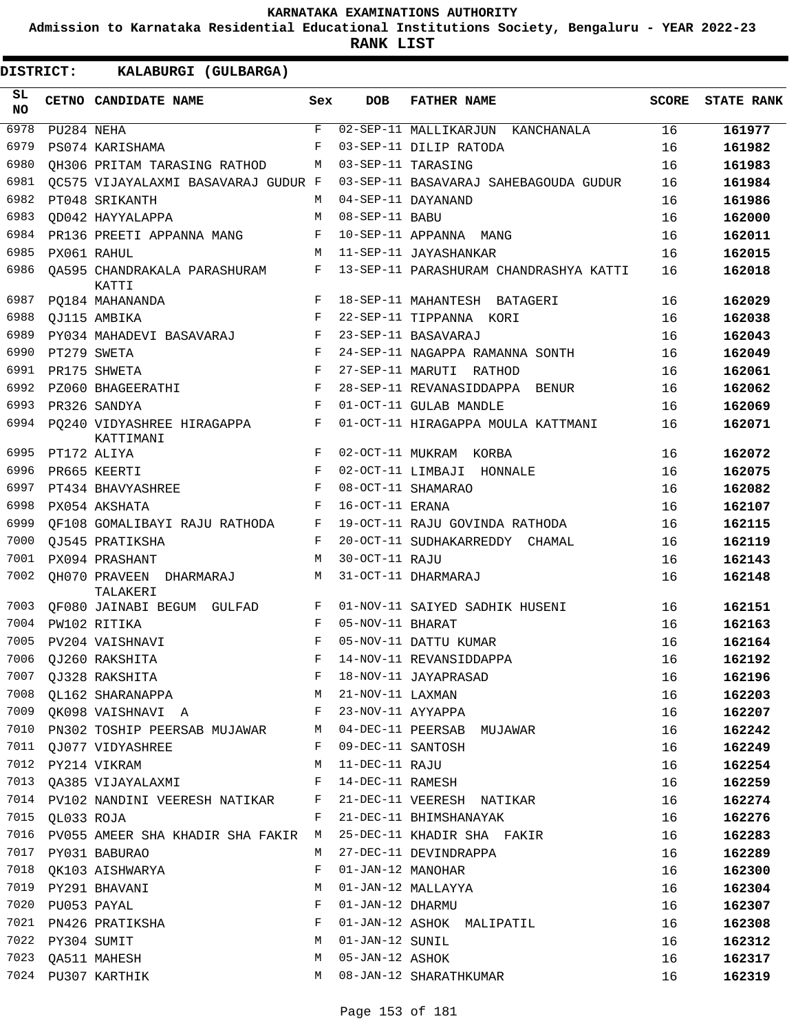**Admission to Karnataka Residential Educational Institutions Society, Bengaluru - YEAR 2022-23**

**RANK LIST**

| SL<br><b>NO</b> |                  | CETNO CANDIDATE NAME                                           | Sex        | <b>DOB</b>         | <b>FATHER NAME</b>                     | SCORE | <b>STATE RANK</b> |
|-----------------|------------------|----------------------------------------------------------------|------------|--------------------|----------------------------------------|-------|-------------------|
| 6978            | PU284 NEHA       |                                                                | F          |                    | 02-SEP-11 MALLIKARJUN KANCHANALA       | 16    | 161977            |
| 6979            |                  | PS074 KARISHAMA                                                | F          |                    | 03-SEP-11 DILIP RATODA                 | 16    | 161982            |
| 6980            |                  | OH306 PRITAM TARASING RATHOD                                   | M          |                    | 03-SEP-11 TARASING                     | 16    | 161983            |
| 6981            |                  | OC575 VIJAYALAXMI BASAVARAJ GUDUR F                            |            |                    | 03-SEP-11 BASAVARAJ SAHEBAGOUDA GUDUR  | 16    | 161984            |
| 6982            |                  | PT048 SRIKANTH                                                 | M          |                    | 04-SEP-11 DAYANAND                     | 16    | 161986            |
| 6983            |                  | OD042 HAYYALAPPA                                               | M          | 08-SEP-11 BABU     |                                        | 16    | 162000            |
| 6984            |                  | PR136 PREETI APPANNA MANG                                      | F          |                    | 10-SEP-11 APPANNA MANG                 | 16    | 162011            |
| 6985            |                  | PX061 RAHUL                                                    | М          |                    | 11-SEP-11 JAYASHANKAR                  | 16    | 162015            |
| 6986            |                  | 0A595 CHANDRAKALA PARASHURAM<br>KATTI                          | F          |                    | 13-SEP-11 PARASHURAM CHANDRASHYA KATTI | 16    | 162018            |
| 6987            |                  | PQ184 MAHANANDA                                                | F          |                    | 18-SEP-11 MAHANTESH BATAGERI           | 16    | 162029            |
| 6988            |                  | QJ115 AMBIKA                                                   | F          |                    | 22-SEP-11 TIPPANNA KORI                | 16    | 162038            |
| 6989            |                  | PY034 MAHADEVI BASAVARAJ                                       | F          |                    | 23-SEP-11 BASAVARAJ                    | 16    | 162043            |
| 6990            |                  | PT279 SWETA                                                    | F          |                    | 24-SEP-11 NAGAPPA RAMANNA SONTH        | 16    | 162049            |
| 6991            |                  | PR175 SHWETA                                                   | F          |                    | 27-SEP-11 MARUTI RATHOD                | 16    | 162061            |
| 6992            |                  | PZ060 BHAGEERATHI                                              | F          |                    | 28-SEP-11 REVANASIDDAPPA BENUR         | 16    | 162062            |
| 6993            |                  | PR326 SANDYA                                                   | F          |                    | 01-OCT-11 GULAB MANDLE                 | 16    | 162069            |
|                 |                  | 6994 PQ240 VIDYASHREE HIRAGAPPA<br>KATTIMANI                   | F          |                    | 01-OCT-11 HIRAGAPPA MOULA KATTMANI     | 16    | 162071            |
|                 | 6995 PT172 ALIYA |                                                                | F          |                    | 02-OCT-11 MUKRAM KORBA                 | 16    | 162072            |
| 6996            |                  | PR665 KEERTI                                                   | F          |                    | 02-OCT-11 LIMBAJI HONNALE              | 16    | 162075            |
| 6997            |                  | PT434 BHAVYASHREE                                              | F          |                    | 08-OCT-11 SHAMARAO                     | 16    | 162082            |
| 6998            |                  | PX054 AKSHATA                                                  | F          | 16-OCT-11 ERANA    |                                        | 16    | 162107            |
| 6999            |                  | OF108 GOMALIBAYI RAJU RATHODA                                  | F          |                    | 19-OCT-11 RAJU GOVINDA RATHODA         | 16    | 162115            |
| 7000            |                  | OJ545 PRATIKSHA                                                | F          |                    | 20-OCT-11 SUDHAKARREDDY CHAMAL         | 16    | 162119            |
| 7001            |                  | PX094 PRASHANT                                                 | М          | 30-OCT-11 RAJU     |                                        | 16    | 162143            |
| 7002            |                  | QH070 PRAVEEN DHARMARAJ<br>TALAKERI                            | М          |                    | 31-OCT-11 DHARMARAJ                    | 16    | 162148            |
| 7003            |                  | QF080 JAINABI BEGUM GULFAD                                     | F          |                    | 01-NOV-11 SAIYED SADHIK HUSENI         | 16    | 162151            |
| 7004            |                  | PW102 RITIKA                                                   | F          | 05-NOV-11 BHARAT   |                                        | 16    | 162163            |
| 7005            |                  | PV204 VAISHNAVI                                                | $_{\rm F}$ |                    | 05-NOV-11 DATTU KUMAR                  | 16    | 162164            |
| 7006            |                  | OJ260 RAKSHITA                                                 | F          |                    | 14-NOV-11 REVANSIDDAPPA                | 16    | 162192            |
|                 |                  | 7007 QJ328 RAKSHITA                                            | F          |                    | 18-NOV-11 JAYAPRASAD                   | 16    | 162196            |
|                 |                  | 7008 QL162 SHARANAPPA                                          |            | M 21-NOV-11 LAXMAN |                                        | 16    | 162203            |
|                 |                  | 7009 QK098 VAISHNAVI A                                         |            |                    | F 23-NOV-11 AYYAPPA                    | 16    | 162207            |
|                 |                  | 7010 PN302 TOSHIP PEERSAB MUJAWAR M 04-DEC-11 PEERSAB MUJAWAR  |            |                    |                                        | 16    | 162242            |
|                 |                  | 7011 QJ077 VIDYASHREE                                          | F          | 09-DEC-11 SANTOSH  |                                        | 16    | 162249            |
|                 |                  | 7012 PY214 VIKRAM                                              | M          | 11-DEC-11 RAJU     |                                        | 16    | 162254            |
|                 |                  | 7013 QA385 VIJAYALAXMI F                                       |            | 14-DEC-11 RAMESH   |                                        | 16    | 162259            |
|                 |                  | 7014 PV102 NANDINI VEERESH NATIKAR F 21-DEC-11 VEERESH NATIKAR |            |                    |                                        | 16    | 162274            |
|                 | 7015 QL033 ROJA  |                                                                | F          |                    | 21-DEC-11 BHIMSHANAYAK                 | 16    | 162276            |
|                 |                  | 7016 PV055 AMEER SHA KHADIR SHA FAKIR M                        |            |                    | 25-DEC-11 KHADIR SHA FAKIR             | 16    | 162283            |
|                 |                  | 7017 PY031 BABURAO                                             | M          |                    | 27-DEC-11 DEVINDRAPPA                  | 16    |                   |
|                 |                  | 7018 QK103 AISHWARYA                                           | F          | 01-JAN-12 MANOHAR  |                                        | 16    | 162289<br>162300  |
|                 |                  | 7019 PY291 BHAVANI                                             | М          |                    |                                        |       |                   |
|                 |                  |                                                                |            |                    | 01-JAN-12 MALLAYYA                     | 16    | 162304            |
|                 | 7020 PU053 PAYAL |                                                                | F          | 01-JAN-12 DHARMU   |                                        | 16    | 162307            |
|                 |                  | 7021 PN426 PRATIKSHA                                           | F          |                    | 01-JAN-12 ASHOK MALIPATIL              | 16    | 162308            |
|                 | 7022 PY304 SUMIT |                                                                | M          | 01-JAN-12 SUNIL    |                                        | 16    | 162312            |
|                 |                  | 7023 QA511 MAHESH                                              | М          | 05-JAN-12 ASHOK    |                                        | 16    | 162317            |
|                 |                  | 7024 PU307 KARTHIK                                             |            |                    | M 08-JAN-12 SHARATHKUMAR               | 16    | 162319            |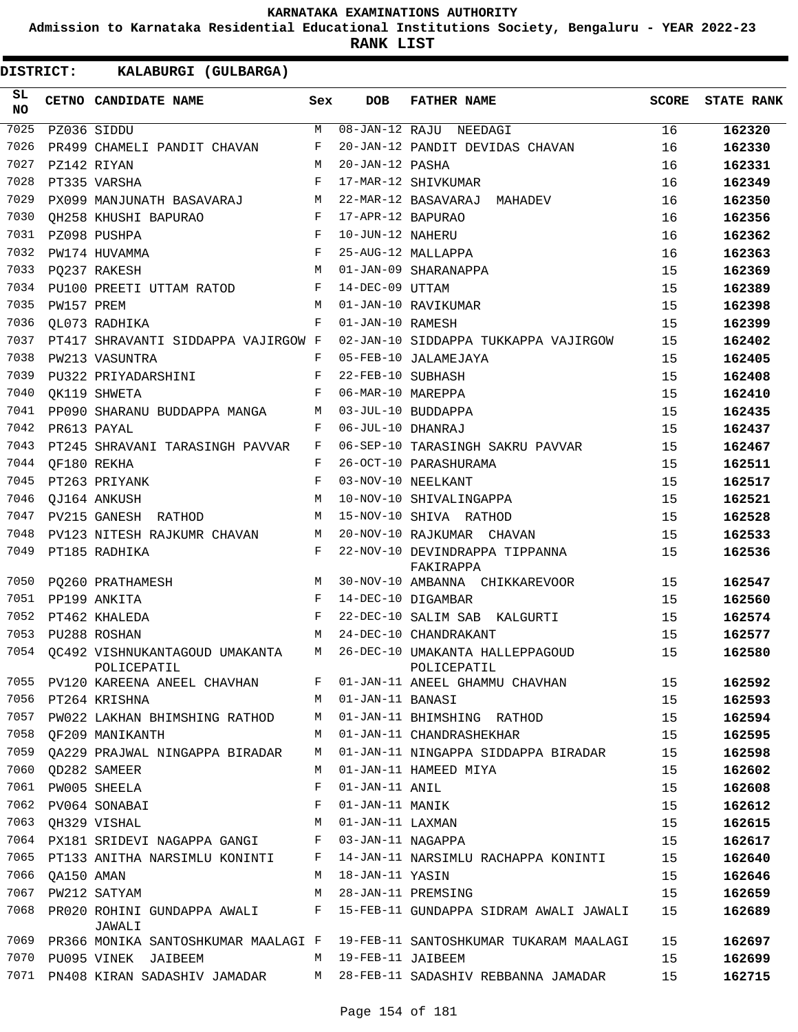**Admission to Karnataka Residential Educational Institutions Society, Bengaluru - YEAR 2022-23**

**RANK LIST**

ı

| <b>DISTRICT:</b> |            | KALABURGI (GULBARGA)                                                                 |            |                   |                                                                   |              |                   |
|------------------|------------|--------------------------------------------------------------------------------------|------------|-------------------|-------------------------------------------------------------------|--------------|-------------------|
| SL<br>NO         |            | CETNO CANDIDATE NAME                                                                 | Sex        | <b>DOB</b>        | <b>FATHER NAME</b>                                                | <b>SCORE</b> | <b>STATE RANK</b> |
| 7025             |            | PZ036 SIDDU                                                                          | M          |                   | 08-JAN-12 RAJU NEEDAGI                                            | 16           | 162320            |
| 7026             |            | PR499 CHAMELI PANDIT CHAVAN                                                          | F          |                   | 20-JAN-12 PANDIT DEVIDAS CHAVAN                                   | 16           | 162330            |
| 7027             |            | PZ142 RIYAN                                                                          | M          | 20-JAN-12 PASHA   |                                                                   | 16           | 162331            |
| 7028             |            | PT335 VARSHA                                                                         | $_{\rm F}$ |                   | 17-MAR-12 SHIVKUMAR                                               | 16           | 162349            |
| 7029             |            | PX099 MANJUNATH BASAVARAJ                                                            | М          |                   | 22-MAR-12 BASAVARAJ MAHADEV                                       | 16           | 162350            |
| 7030             |            | QH258 KHUSHI BAPURAO                                                                 | F          | 17-APR-12 BAPURAO |                                                                   | 16           | 162356            |
| 7031             |            | PZ098 PUSHPA                                                                         | $_{\rm F}$ | 10-JUN-12 NAHERU  |                                                                   | 16           | 162362            |
| 7032             |            | PW174 HUVAMMA                                                                        | $_{\rm F}$ |                   | 25-AUG-12 MALLAPPA                                                | 16           | 162363            |
| 7033             |            | PQ237 RAKESH                                                                         | M          |                   | 01-JAN-09 SHARANAPPA                                              | 15           | 162369            |
| 7034             |            | PU100 PREETI UTTAM RATOD                                                             | F          | 14-DEC-09 UTTAM   |                                                                   | 15           | 162389            |
| 7035             | PW157 PREM |                                                                                      | M          |                   | 01-JAN-10 RAVIKUMAR                                               | 15           | 162398            |
| 7036             |            | QL073 RADHIKA                                                                        | F          | 01-JAN-10 RAMESH  |                                                                   | 15           | 162399            |
| 7037             |            | PT417 SHRAVANTI SIDDAPPA VAJIRGOW F                                                  |            |                   | 02-JAN-10 SIDDAPPA TUKKAPPA VAJIRGOW                              | 15           | 162402            |
| 7038             |            | PW213 VASUNTRA                                                                       | F          |                   | 05-FEB-10 JALAMEJAYA                                              | 15           | 162405            |
| 7039             |            | PU322 PRIYADARSHINI                                                                  | F          | 22-FEB-10 SUBHASH |                                                                   | 15           | 162408            |
| 7040             |            | OK119 SHWETA                                                                         | F          | 06-MAR-10 MAREPPA |                                                                   | 15           | 162410            |
| 7041             |            | PP090 SHARANU BUDDAPPA MANGA                                                         | M          |                   | 03-JUL-10 BUDDAPPA                                                | 15           | 162435            |
| 7042             |            | PR613 PAYAL                                                                          | F          | 06-JUL-10 DHANRAJ |                                                                   | 15           | 162437            |
| 7043             |            | PT245 SHRAVANI TARASINGH PAVVAR                                                      | F          |                   | 06-SEP-10 TARASINGH SAKRU PAVVAR                                  | 15           | 162467            |
| 7044             |            | QF180 REKHA                                                                          | F          |                   | 26-OCT-10 PARASHURAMA                                             | 15           | 162511            |
| 7045             |            | PT263 PRIYANK                                                                        | F          |                   | 03-NOV-10 NEELKANT                                                | 15           | 162517            |
| 7046             |            | QJ164 ANKUSH                                                                         | M          |                   | 10-NOV-10 SHIVALINGAPPA                                           | 15           | 162521            |
| 7047             |            | PV215 GANESH RATHOD                                                                  | М          |                   | 15-NOV-10 SHIVA RATHOD                                            | 15           | 162528            |
| 7048             |            | PV123 NITESH RAJKUMR CHAVAN                                                          | M          |                   | 20-NOV-10 RAJKUMAR CHAVAN                                         | 15           | 162533            |
| 7049             |            | PT185 RADHIKA                                                                        | F          |                   | 22-NOV-10 DEVINDRAPPA TIPPANNA<br>FAKIRAPPA                       | 15           | 162536            |
| 7050             |            | PQ260 PRATHAMESH                                                                     | М          |                   | 30-NOV-10 AMBANNA CHIKKAREVOOR                                    | 15           | 162547            |
| 7051             |            | PP199 ANKITA                                                                         | F          |                   | 14-DEC-10 DIGAMBAR                                                | 15           | 162560            |
| 7052             |            | PT462 KHALEDA                                                                        | $_{\rm F}$ |                   | 22-DEC-10 SALIM SAB KALGURTI                                      | 15           | 162574            |
|                  |            | 7053 PU288 ROSHAN                                                                    | M          |                   | 24-DEC-10 CHANDRAKANT                                             | 15           | 162577            |
|                  |            | 7054 QC492 VISHNUKANTAGOUD UMAKANTA M 26-DEC-10 UMAKANTA HALLEPPAGOUD<br>POLICEPATIL |            |                   | POLICEPATIL                                                       | 15           | 162580            |
|                  |            |                                                                                      |            |                   | 7055 PV120 KAREENA ANEEL CHAVHAN F 01-JAN-11 ANEEL GHAMMU CHAVHAN | 15           | 162592            |
| 7056             |            | PT264 KRISHNA                                                                        | M          | 01-JAN-11 BANASI  |                                                                   | 15           | 162593            |
| 7057             |            | PW022 LAKHAN BHIMSHING RATHOD                                                        | M          |                   | 01-JAN-11 BHIMSHING RATHOD                                        | 15           | 162594            |
| 7058             |            | OF209 MANIKANTH                                                                      | M          |                   | 01-JAN-11 CHANDRASHEKHAR                                          | 15           | 162595            |
| 7059             |            | OA229 PRAJWAL NINGAPPA BIRADAR                                                       | M          |                   | 01-JAN-11 NINGAPPA SIDDAPPA BIRADAR                               | 15           | 162598            |
| 7060             |            | OD282 SAMEER                                                                         | M          |                   | 01-JAN-11 HAMEED MIYA                                             | 15           | 162602            |
| 7061             |            | PW005 SHEELA                                                                         | F          | 01-JAN-11 ANIL    |                                                                   | 15           | 162608            |
|                  |            | 7062 PV064 SONABAI                                                                   | F          | 01-JAN-11 MANIK   |                                                                   | 15           | 162612            |
| 7063             |            | QH329 VISHAL                                                                         | M          | 01-JAN-11 LAXMAN  |                                                                   | 15           | 162615            |
| 7064             |            | PX181 SRIDEVI NAGAPPA GANGI                                                          | F          | 03-JAN-11 NAGAPPA |                                                                   | 15           | 162617            |
| 7065             |            | PT133 ANITHA NARSIMLU KONINTI                                                        | F          |                   | 14-JAN-11 NARSIMLU RACHAPPA KONINTI                               | 15           | 162640            |
| 7066             | OA150 AMAN |                                                                                      | M          | 18-JAN-11 YASIN   |                                                                   | 15           | 162646            |
| 7067             |            | PW212 SATYAM                                                                         | M          |                   | 28-JAN-11 PREMSING                                                | 15           | 162659            |
| 7068             |            | PR020 ROHINI GUNDAPPA AWALI                                                          | F          |                   | 15-FEB-11 GUNDAPPA SIDRAM AWALI JAWALI                            | 15           | 162689            |
|                  |            | JAWALI                                                                               |            |                   |                                                                   |              |                   |
|                  |            | 7069 PR366 MONIKA SANTOSHKUMAR MAALAGI F                                             |            |                   | 19-FEB-11 SANTOSHKUMAR TUKARAM MAALAGI                            | 15           | 162697            |
| 7070             |            | PU095 VINEK JAIBEEM                                                                  | М          | 19-FEB-11 JAIBEEM |                                                                   | 15           | 162699            |
|                  |            | 7071 PN408 KIRAN SADASHIV JAMADAR                                                    | M          |                   | 28-FEB-11 SADASHIV REBBANNA JAMADAR                               | 15           | 162715            |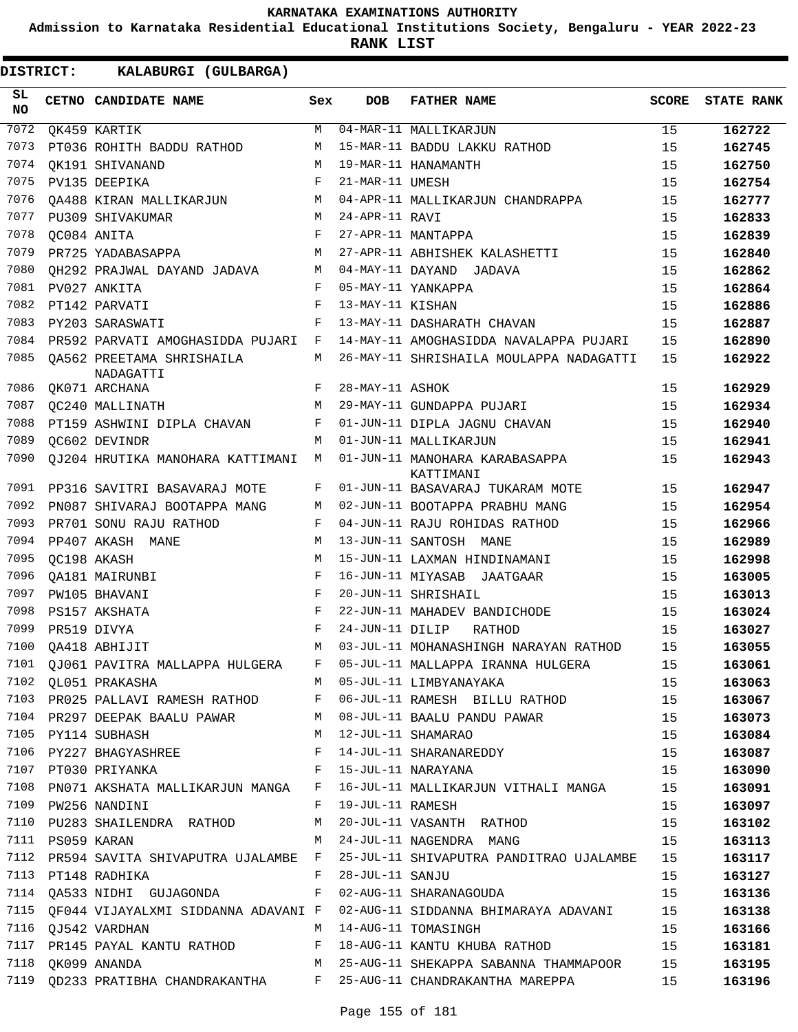**Admission to Karnataka Residential Educational Institutions Society, Bengaluru - YEAR 2022-23**

| DISTRICT:        |             | KALABURGI (GULBARGA)                         |              |                  |                                                                                            |       |                   |
|------------------|-------------|----------------------------------------------|--------------|------------------|--------------------------------------------------------------------------------------------|-------|-------------------|
| SL.<br><b>NO</b> |             | CETNO CANDIDATE NAME                         | Sex          | <b>DOB</b>       | <b>FATHER NAME</b>                                                                         | SCORE | <b>STATE RANK</b> |
| 7072             |             | QK459 KARTIK                                 | M            |                  | 04-MAR-11 MALLIKARJUN                                                                      | 15    | 162722            |
| 7073             |             | PT036 ROHITH BADDU RATHOD                    | М            |                  | 15-MAR-11 BADDU LAKKU RATHOD                                                               | 15    | 162745            |
| 7074             |             | OK191 SHIVANAND                              | M            |                  | 19-MAR-11 HANAMANTH                                                                        | 15    | 162750            |
| 7075             |             | PV135 DEEPIKA                                | $\mathbf{F}$ | 21-MAR-11 UMESH  |                                                                                            | 15    | 162754            |
| 7076             |             | OA488 KIRAN MALLIKARJUN                      | M            |                  | 04-APR-11 MALLIKARJUN CHANDRAPPA                                                           | 15    | 162777            |
| 7077             |             | PU309 SHIVAKUMAR                             | M            | 24-APR-11 RAVI   |                                                                                            | 15    | 162833            |
| 7078             |             | QC084 ANITA                                  | F            |                  | 27-APR-11 MANTAPPA                                                                         | 15    | 162839            |
| 7079             |             | PR725 YADABASAPPA                            | M            |                  | 27-APR-11 ABHISHEK KALASHETTI                                                              | 15    | 162840            |
| 7080             |             | OH292 PRAJWAL DAYAND JADAVA                  | M            |                  | 04-MAY-11 DAYAND JADAVA                                                                    | 15    | 162862            |
| 7081             |             | PV027 ANKITA                                 | F            |                  | 05-MAY-11 YANKAPPA                                                                         | 15    | 162864            |
| 7082             |             | PT142 PARVATI                                | F            | 13-MAY-11 KISHAN |                                                                                            | 15    | 162886            |
| 7083             |             | PY203 SARASWATI                              | F            |                  | 13-MAY-11 DASHARATH CHAVAN                                                                 | 15    | 162887            |
| 7084             |             | PR592 PARVATI AMOGHASIDDA PUJARI             | F            |                  | 14-MAY-11 AMOGHASIDDA NAVALAPPA PUJARI                                                     | 15    | 162890            |
| 7085             |             | OA562 PREETAMA SHRISHAILA<br>NADAGATTI       | M            |                  | 26-MAY-11 SHRISHAILA MOULAPPA NADAGATTI                                                    | 15    | 162922            |
| 7086             |             | QK071 ARCHANA                                | F            | 28-MAY-11 ASHOK  |                                                                                            | 15    | 162929            |
| 7087             |             | QC240 MALLINATH                              | M            |                  | 29-MAY-11 GUNDAPPA PUJARI                                                                  | 15    | 162934            |
| 7088             |             | PT159 ASHWINI DIPLA CHAVAN                   | F            |                  | 01-JUN-11 DIPLA JAGNU CHAVAN                                                               | 15    | 162940            |
| 7089             |             | OC602 DEVINDR                                | M            |                  | 01-JUN-11 MALLIKARJUN                                                                      | 15    | 162941            |
| 7090             |             | QJ204 HRUTIKA MANOHARA KATTIMANI             | M            |                  | 01-JUN-11 MANOHARA KARABASAPPA<br>KATTIMANI                                                | 15    | 162943            |
| 7091             |             | PP316 SAVITRI BASAVARAJ MOTE                 | F            |                  | 01-JUN-11 BASAVARAJ TUKARAM MOTE                                                           | 15    | 162947            |
| 7092             |             | PN087 SHIVARAJ BOOTAPPA MANG                 | М            |                  | 02-JUN-11 BOOTAPPA PRABHU MANG                                                             | 15    | 162954            |
| 7093             |             | PR701 SONU RAJU RATHOD                       | F            |                  | 04-JUN-11 RAJU ROHIDAS RATHOD                                                              | 15    | 162966            |
| 7094             |             | PP407 AKASH MANE                             | M            |                  | 13-JUN-11 SANTOSH MANE                                                                     | 15    | 162989            |
| 7095             |             | QC198 AKASH                                  | M            |                  | 15-JUN-11 LAXMAN HINDINAMANI                                                               | 15    | 162998            |
| 7096             |             | QA181 MAIRUNBI                               | F            |                  | 16-JUN-11 MIYASAB<br>JAATGAAR                                                              | 15    | 163005            |
| 7097             |             | PW105 BHAVANI                                | F            |                  | 20-JUN-11 SHRISHAIL                                                                        | 15    | 163013            |
| 7098             |             | PS157 AKSHATA                                | $_{\rm F}$   |                  | 22-JUN-11 MAHADEV BANDICHODE                                                               | 15    | 163024            |
| 7099             | PR519 DIVYA |                                              | $_{\rm F}$   | 24-JUN-11 DILIP  | RATHOD                                                                                     | 15    | 163027            |
| 7100             |             | OA418 ABHIJIT                                | M            |                  | 03-JUL-11 MOHANASHINGH NARAYAN RATHOD                                                      | 15    | 163055            |
|                  |             |                                              |              |                  | 7101 QJ061 PAVITRA MALLAPPA HULGERA F 05-JUL-11 MALLAPPA IRANNA HULGERA 15                 |       | 163061            |
|                  |             | 7102 QL051 PRAKASHA M 05-JUL-11 LIMBYANAYAKA |              |                  |                                                                                            | 15    | 163063            |
|                  |             |                                              |              |                  | 7103 PR025 PALLAVI RAMESH RATHOD F 06-JUL-11 RAMESH BILLU RATHOD 15                        |       | 163067            |
|                  |             |                                              |              |                  | 7104 PR297 DEEPAK BAALU PAWAR M 08-JUL-11 BAALU PANDU PAWAR 15                             |       | 163073            |
|                  |             |                                              |              |                  | 7105 PY114 SUBHASH M 12-JUL-11 SHAMARAO                                                    | 15    | 163084            |
|                  |             |                                              |              |                  | 11221 BULLER<br>15 1107 PT030 PRIYANKA<br>15 T107 PT030 PRIYANKA<br>15 T107 PT030 PRIYANKA |       | 163087            |
|                  |             |                                              |              |                  |                                                                                            |       | 163090            |
|                  |             |                                              |              |                  | 7108 PN071 AKSHATA MALLIKARJUN MANGA F 16-JUL-11 MALLIKARJUN VITHALI MANGA 15              |       | 163091            |
|                  |             | 7109 PW256 NANDINI                           |              |                  | F 19-JUL-11 RAMESH                                                                         | 15    | 163097            |
|                  |             |                                              |              |                  | 7109 PW230 NAWLINI<br>7110 PU283 SHAILENDRA RATHOD M 20-JUL-11 VASANTH RATHOD              | 15    | 163102            |
|                  |             |                                              |              |                  | 7111 PS059 KARAN M 24-JUL-11 NAGENDRA MANG 15                                              |       | 163113            |
|                  |             |                                              |              |                  | 7112 PR594 SAVITA SHIVAPUTRA UJALAMBE F 25-JUL-11 SHIVAPUTRA PANDITRAO UJALAMBE 15         |       | 163117            |
|                  |             | 7113 PT148 RADHIKA F 28-JUL-11 SANJU         |              |                  |                                                                                            | 15    | 163127            |
|                  |             |                                              |              |                  | 7114 QA533 NIDHI GUJAGONDA F 02-AUG-11 SHARANAGOUDA                                        | 15    | 163136            |
|                  |             |                                              |              |                  | 7115 QF044 VIJAYALXMI SIDDANNA ADAVANI F 02-AUG-11 SIDDANNA BHIMARAYA ADAVANI 15           |       | 163138            |
|                  |             | 7116 QJ542 VARDHAN M 14-AUG-11 TOMASINGH     |              |                  |                                                                                            | 15    | 163166            |
|                  |             |                                              |              |                  | 7117 PR145 PAYAL KANTU RATHOD F 18-AUG-11 KANTU KHUBA RATHOD 15                            |       | 163181            |
|                  |             |                                              |              |                  | 7118 QK099 ANANDA M 25-AUG-11 SHEKAPPA SABANNA THAMMAPOOR 15                               |       | 163195            |
|                  |             |                                              |              |                  | 7119 QD233 PRATIBHA CHANDRAKANTHA F 25-AUG-11 CHANDRAKANTHA MAREPPA 15                     |       | 163196            |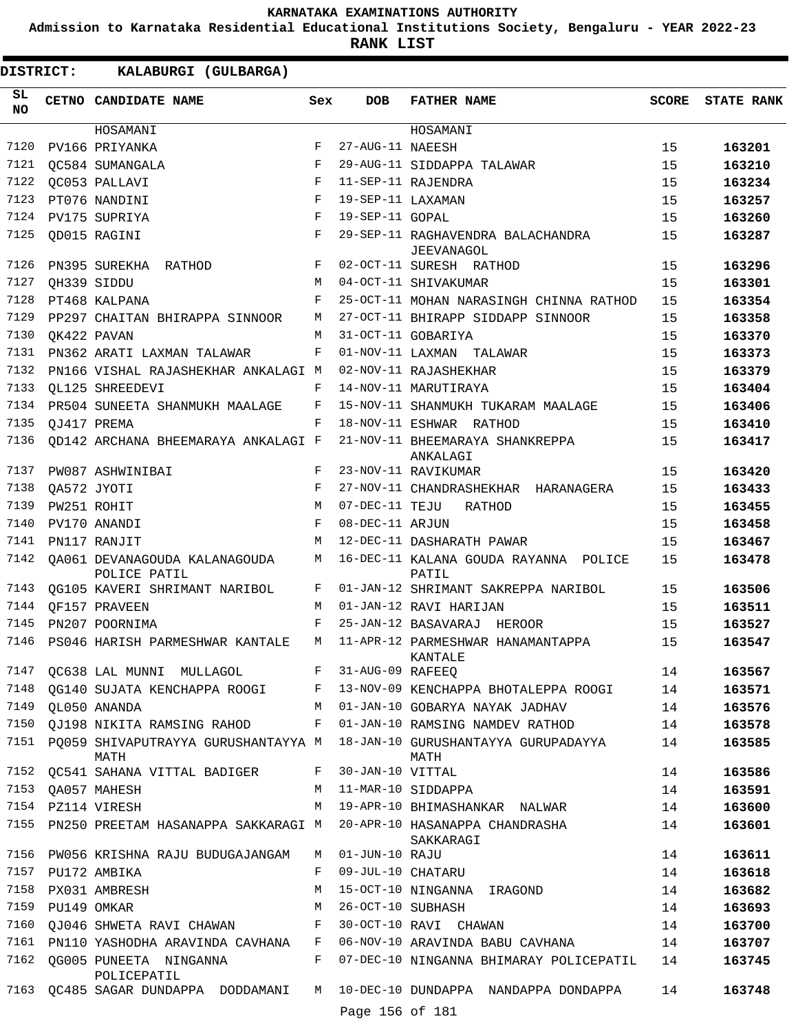**Admission to Karnataka Residential Educational Institutions Society, Bengaluru - YEAR 2022-23**

**RANK LIST**

| SL<br><b>NO</b> |             | CETNO CANDIDATE NAME                          | Sex          | <b>DOB</b>        | <b>FATHER NAME</b>                                     | SCORE | <b>STATE RANK</b> |
|-----------------|-------------|-----------------------------------------------|--------------|-------------------|--------------------------------------------------------|-------|-------------------|
|                 |             | HOSAMANI                                      |              |                   | HOSAMANI                                               |       |                   |
| 7120            |             | PV166 PRIYANKA                                | F            | 27-AUG-11 NAEESH  |                                                        | 15    | 163201            |
| 7121            |             | OC584 SUMANGALA                               | F            |                   | 29-AUG-11 SIDDAPPA TALAWAR                             | 15    | 163210            |
| 7122            |             | OC053 PALLAVI                                 | F            |                   | 11-SEP-11 RAJENDRA                                     | 15    | 163234            |
| 7123            |             | PT076 NANDINI                                 | F            | 19-SEP-11 LAXAMAN |                                                        | 15    | 163257            |
| 7124            |             | PV175 SUPRIYA                                 | F            | 19-SEP-11 GOPAL   |                                                        | 15    | 163260            |
| 7125            |             | OD015 RAGINI                                  | F            |                   | 29-SEP-11 RAGHAVENDRA BALACHANDRA<br><b>JEEVANAGOL</b> | 15    | 163287            |
| 7126            |             | PN395 SUREKHA RATHOD                          | F            |                   | 02-OCT-11 SURESH RATHOD                                | 15    | 163296            |
| 7127            |             | QH339 SIDDU                                   | M            |                   | 04-OCT-11 SHIVAKUMAR                                   | 15    | 163301            |
| 7128            |             | PT468 KALPANA                                 | F            |                   | 25-OCT-11 MOHAN NARASINGH CHINNA RATHOD                | 15    | 163354            |
| 7129            |             | PP297 CHAITAN BHIRAPPA SINNOOR                | M            |                   | 27-OCT-11 BHIRAPP SIDDAPP SINNOOR                      | 15    | 163358            |
| 7130            |             | OK422 PAVAN                                   | M            |                   | 31-OCT-11 GOBARIYA                                     | 15    | 163370            |
| 7131            |             | PN362 ARATI LAXMAN TALAWAR                    | F            |                   | 01-NOV-11 LAXMAN TALAWAR                               | 15    | 163373            |
| 7132            |             | PN166 VISHAL RAJASHEKHAR ANKALAGI M           |              |                   | 02-NOV-11 RAJASHEKHAR                                  | 15    | 163379            |
| 7133            |             | OL125 SHREEDEVI                               | F            |                   | 14-NOV-11 MARUTIRAYA                                   | 15    | 163404            |
| 7134            |             | PR504 SUNEETA SHANMUKH MAALAGE                | F            |                   | 15-NOV-11 SHANMUKH TUKARAM MAALAGE                     | 15    | 163406            |
| 7135            |             | OJ417 PREMA                                   | F            |                   | 18-NOV-11 ESHWAR RATHOD                                | 15    | 163410            |
| 7136            |             | OD142 ARCHANA BHEEMARAYA ANKALAGI F           |              |                   | 21-NOV-11 BHEEMARAYA SHANKREPPA<br>ANKALAGI            | 15    | 163417            |
| 7137            |             | PW087 ASHWINIBAI                              | F            |                   | 23-NOV-11 RAVIKUMAR                                    | 15    | 163420            |
| 7138            |             | OA572 JYOTI                                   | F            |                   | 27-NOV-11 CHANDRASHEKHAR HARANAGERA                    | 15    | 163433            |
| 7139            |             | PW251 ROHIT                                   | M            | 07-DEC-11 TEJU    | RATHOD                                                 | 15    | 163455            |
| 7140            |             | PV170 ANANDI                                  | $_{\rm F}$   | 08-DEC-11 ARJUN   |                                                        | 15    | 163458            |
| 7141            |             | PN117 RANJIT                                  | M            |                   | 12-DEC-11 DASHARATH PAWAR                              | 15    | 163467            |
| 7142            |             | OA061 DEVANAGOUDA KALANAGOUDA<br>POLICE PATIL | М            |                   | 16-DEC-11 KALANA GOUDA RAYANNA POLICE<br>PATIL         | 15    | 163478            |
| 7143            |             | QG105 KAVERI SHRIMANT NARIBOL                 | F            |                   | 01-JAN-12 SHRIMANT SAKREPPA NARIBOL                    | 15    | 163506            |
| 7144            |             | OF157 PRAVEEN                                 | М            |                   | 01-JAN-12 RAVI HARIJAN                                 | 15    | 163511            |
| 7145            |             | PN207 POORNIMA                                | F            |                   | 25-JAN-12 BASAVARAJ HEROOR                             | 15    | 163527            |
| 7146            |             | PS046 HARISH PARMESHWAR KANTALE               | M            |                   | 11-APR-12 PARMESHWAR HANAMANTAPPA<br>KANTALE           | 15    | 163547            |
| 7147            |             | QC638 LAL MUNNI MULLAGOL                      | F            | 31-AUG-09 RAFEEQ  |                                                        | 14    | 163567            |
|                 |             | 7148 QG140 SUJATA KENCHAPPA ROOGI             | F            |                   | 13-NOV-09 KENCHAPPA BHOTALEPPA ROOGI                   | 14    | 163571            |
| 7149            |             | OL050 ANANDA                                  | М            |                   | 01-JAN-10 GOBARYA NAYAK JADHAV                         | 14    | 163576            |
| 7150            |             | QJ198 NIKITA RAMSING RAHOD                    | $\mathbf{F}$ |                   | 01-JAN-10 RAMSING NAMDEV RATHOD                        | 14    | 163578            |
| 7151            |             | PO059 SHIVAPUTRAYYA GURUSHANTAYYA M<br>MATH   |              |                   | 18-JAN-10 GURUSHANTAYYA GURUPADAYYA<br>MATH            | 14    | 163585            |
|                 |             | 7152 QC541 SAHANA VITTAL BADIGER              | F            | 30-JAN-10 VITTAL  |                                                        | 14    | 163586            |
| 7153            |             | QA057 MAHESH                                  | М            |                   | 11-MAR-10 SIDDAPPA                                     | 14    | 163591            |
|                 |             | 7154 PZ114 VIRESH                             | M            |                   | 19-APR-10 BHIMASHANKAR NALWAR                          | 14    | 163600            |
| 7155            |             | PN250 PREETAM HASANAPPA SAKKARAGI M           |              |                   | 20-APR-10 HASANAPPA CHANDRASHA<br>SAKKARAGI            | 14    | 163601            |
| 7156            |             | PW056 KRISHNA RAJU BUDUGAJANGAM               | M            | 01-JUN-10 RAJU    |                                                        | 14    | 163611            |
| 7157            |             | PU172 AMBIKA                                  | F            | 09-JUL-10 CHATARU |                                                        | 14    | 163618            |
| 7158            |             | PX031 AMBRESH                                 | М            |                   | 15-OCT-10 NINGANNA IRAGOND                             | 14    | 163682            |
| 7159            | PU149 OMKAR |                                               | М            | 26-OCT-10 SUBHASH |                                                        | 14    | 163693            |
| 7160            |             | QJ046 SHWETA RAVI CHAWAN                      | F            |                   | 30-OCT-10 RAVI CHAWAN                                  | 14    | 163700            |
| 7161            |             | PN110 YASHODHA ARAVINDA CAVHANA               | F            |                   | 06-NOV-10 ARAVINDA BABU CAVHANA                        | 14    | 163707            |
| 7162            |             | QG005 PUNEETA NINGANNA<br>POLICEPATIL         | F            |                   | 07-DEC-10 NINGANNA BHIMARAY POLICEPATIL                | 14    | 163745            |
|                 |             | 7163 QC485 SAGAR DUNDAPPA DODDAMANI           | M            | Page 156 of 181   | 10-DEC-10 DUNDAPPA NANDAPPA DONDAPPA                   | 14    | 163748            |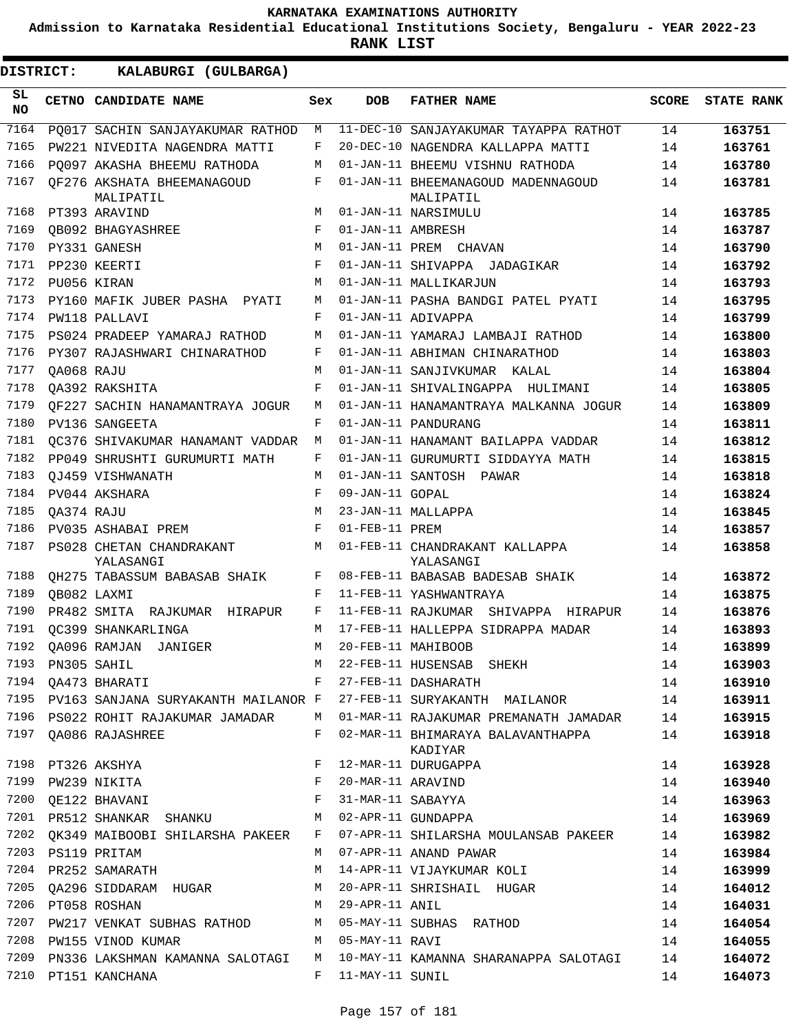**Admission to Karnataka Residential Educational Institutions Society, Bengaluru - YEAR 2022-23**

**RANK LIST**

 $\blacksquare$ 

| <b>DISTRICT:</b> |            | KALABURGI (GULBARGA)                    |     |                   |                                                                                                                                            |              |                   |
|------------------|------------|-----------------------------------------|-----|-------------------|--------------------------------------------------------------------------------------------------------------------------------------------|--------------|-------------------|
| SL.<br>NO.       |            | CETNO CANDIDATE NAME                    | Sex | <b>DOB</b>        | <b>FATHER NAME</b>                                                                                                                         | <b>SCORE</b> | <b>STATE RANK</b> |
| 7164             |            | PQ017 SACHIN SANJAYAKUMAR RATHOD        | М   |                   | 11-DEC-10 SANJAYAKUMAR TAYAPPA RATHOT                                                                                                      | 14           | 163751            |
| 7165             |            | PW221 NIVEDITA NAGENDRA MATTI           | F   |                   | 20-DEC-10 NAGENDRA KALLAPPA MATTI                                                                                                          | 14           | 163761            |
| 7166             |            | PO097 AKASHA BHEEMU RATHODA             | М   |                   | 01-JAN-11 BHEEMU VISHNU RATHODA                                                                                                            | 14           | 163780            |
| 7167             |            | QF276 AKSHATA BHEEMANAGOUD<br>MALIPATIL | F   |                   | 01-JAN-11 BHEEMANAGOUD MADENNAGOUD<br>MALIPATIL                                                                                            | 14           | 163781            |
| 7168             |            | PT393 ARAVIND                           | М   |                   | 01-JAN-11 NARSIMULU                                                                                                                        | 14           | 163785            |
| 7169             |            | OB092 BHAGYASHREE                       | F   | 01-JAN-11 AMBRESH |                                                                                                                                            | 14           | 163787            |
| 7170             |            | PY331 GANESH                            | M   |                   | 01-JAN-11 PREM CHAVAN                                                                                                                      | 14           | 163790            |
| 7171             |            | PP230 KEERTI                            | F   |                   | 01-JAN-11 SHIVAPPA JADAGIKAR                                                                                                               | 14           | 163792            |
| 7172             |            | PU056 KIRAN                             | М   |                   | 01-JAN-11 MALLIKARJUN                                                                                                                      | 14           | 163793            |
| 7173             |            | PY160 MAFIK JUBER PASHA PYATI           | М   |                   | 01-JAN-11 PASHA BANDGI PATEL PYATI                                                                                                         | 14           | 163795            |
| 7174             |            | PW118 PALLAVI                           | F   |                   | 01-JAN-11 ADIVAPPA                                                                                                                         | 14           | 163799            |
| 7175             |            | PS024 PRADEEP YAMARAJ RATHOD            | М   |                   | 01-JAN-11 YAMARAJ LAMBAJI RATHOD                                                                                                           | 14           | 163800            |
| 7176             |            | PY307 RAJASHWARI CHINARATHOD            | F   |                   | 01-JAN-11 ABHIMAN CHINARATHOD                                                                                                              | 14           | 163803            |
| 7177             | OA068 RAJU |                                         | М   |                   | 01-JAN-11 SANJIVKUMAR KALAL                                                                                                                | 14           | 163804            |
| 7178             |            | OA392 RAKSHITA                          | F   |                   | 01-JAN-11 SHIVALINGAPPA HULIMANI                                                                                                           | 14           | 163805            |
| 7179             |            | OF227 SACHIN HANAMANTRAYA JOGUR         | M   |                   | 01-JAN-11 HANAMANTRAYA MALKANNA JOGUR                                                                                                      | 14           | 163809            |
| 7180             |            | PV136 SANGEETA                          | F   |                   | 01-JAN-11 PANDURANG                                                                                                                        | 14           | 163811            |
| 7181             |            | OC376 SHIVAKUMAR HANAMANT VADDAR        | М   |                   | 01-JAN-11 HANAMANT BAILAPPA VADDAR                                                                                                         | 14           | 163812            |
| 7182             |            | PP049 SHRUSHTI GURUMURTI MATH           | F   |                   | 01-JAN-11 GURUMURTI SIDDAYYA MATH                                                                                                          | 14           | 163815            |
| 7183             |            | OJ459 VISHWANATH                        | M   |                   | 01-JAN-11 SANTOSH PAWAR                                                                                                                    | 14           | 163818            |
| 7184             |            | PV044 AKSHARA                           | F   | 09-JAN-11 GOPAL   |                                                                                                                                            | 14           | 163824            |
| 7185             | OA374 RAJU |                                         | М   |                   | 23-JAN-11 MALLAPPA                                                                                                                         | 14           | 163845            |
| 7186             |            | PV035 ASHABAI PREM                      | F   | 01-FEB-11 PREM    |                                                                                                                                            | 14           | 163857            |
| 7187             |            | PS028 CHETAN CHANDRAKANT<br>YALASANGI   | M   |                   | 01-FEB-11 CHANDRAKANT KALLAPPA<br>YALASANGI                                                                                                | 14           | 163858            |
| 7188             |            | QH275 TABASSUM BABASAB SHAIK            | F   |                   | 08-FEB-11 BABASAB BADESAB SHAIK                                                                                                            | 14           | 163872            |
| 7189             |            | QB082 LAXMI                             | F   |                   | 11-FEB-11 YASHWANTRAYA                                                                                                                     | 14           | 163875            |
| 7190             |            | PR482 SMITA RAJKUMAR HIRAPUR            | F   |                   | 11-FEB-11 RAJKUMAR SHIVAPPA HIRAPUR                                                                                                        | 14           | 163876            |
| 7191             |            | OC399 SHANKARLINGA                      | М   |                   | 17-FEB-11 HALLEPPA SIDRAPPA MADAR                                                                                                          | 14           | 163893            |
|                  |            | 7192 QA096 RAMJAN JANIGER               | M   |                   | 20-FEB-11 MAHIBOOB                                                                                                                         | 14           | 163899            |
|                  |            |                                         |     |                   | 7193 PN305 SAHIL M 22-FEB-11 HUSENSAB SHEKH<br>7194 QA473 BHARATI F 27-FEB-11 DASHARATH                                                    | 14           | 163903            |
|                  |            |                                         |     |                   |                                                                                                                                            | 14           | 163910            |
|                  |            |                                         |     |                   | 7195 PV163 SANJANA SURYAKANTH MAILANOR F 27-FEB-11 SURYAKANTH MAILANOR 14                                                                  |              | 163911            |
|                  |            |                                         |     |                   | 7196 PS022 ROHIT RAJAKUMAR JAMADAR M 01-MAR-11 RAJAKUMAR PREMANATH JAMADAR 14                                                              |              | 163915            |
|                  |            | 7197 QA086 RAJASHREE                    |     |                   | F 02-MAR-11 BHIMARAYA BALAVANTHAPPA<br>KADIYAR                                                                                             | 14           | 163918            |
|                  |            | 7198 PT326 AKSHYA                       | F   |                   | 12-MAR-11 DURUGAPPA                                                                                                                        | 14           | 163928            |
|                  |            |                                         |     |                   |                                                                                                                                            | 14           | 163940            |
|                  |            |                                         |     |                   | 9 7199 PW239 NIKITA RAVIND F 20-MAR-11 ARAVIND<br>1200 QE122 BHAVANI F 31-MAR-11 SABAYYA<br>1201 PR512 SHANKAR SHANKU M 02-APR-11 GUNDAPPA | 14           | 163963            |
|                  |            |                                         |     |                   |                                                                                                                                            | 14           | 163969            |
|                  |            |                                         |     |                   | 7202 QK349 MAIBOOBI SHILARSHA PAKEER F 07-APR-11 SHILARSHA MOULANSAB PAKEER                                                                | 14           | 163982            |
|                  |            | 7203 PS119 PRITAM                       |     |                   | M 07-APR-11 ANAND PAWAR                                                                                                                    | 14           | 163984            |
| 7204             |            | PR252 SAMARATH                          |     |                   | M 14-APR-11 VIJAYKUMAR KOLI                                                                                                                | 14           | 163999            |
| 7205             |            | QA296 SIDDARAM HUGAR M                  |     |                   | 20-APR-11 SHRISHAIL HUGAR                                                                                                                  | 14           | 164012            |
|                  |            | M 29-APR-11 ANIL<br>7206 PT058 ROSHAN   |     |                   |                                                                                                                                            | 14           | 164031            |
|                  |            |                                         |     |                   | 7207 PW217 VENKAT SUBHAS RATHOD M 05-MAY-11 SUBHAS RATHOD                                                                                  | 14           | 164054            |
| 7208             |            | M 05-MAY-11 RAVI<br>PW155 VINOD KUMAR   |     |                   |                                                                                                                                            | 14           | 164055            |
| 7209             |            |                                         |     |                   | PN336 LAKSHMAN KAMANNA SALOTAGI   M   10-MAY-11 KAMANNA SHARANAPPA SALOTAGI                                                                | 14           | 164072            |
|                  |            | 7210 PT151 KANCHANA                     |     | F 11-MAY-11 SUNIL |                                                                                                                                            | 14           | 164073            |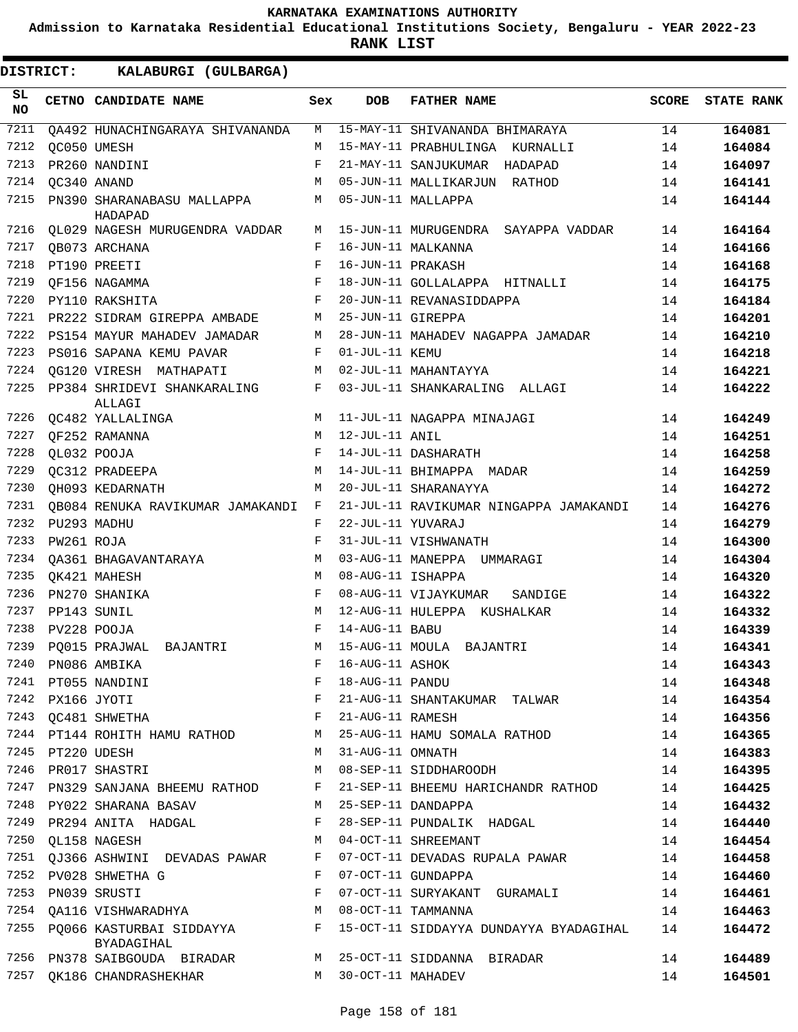**Admission to Karnataka Residential Educational Institutions Society, Bengaluru - YEAR 2022-23**

| <b>DISTRICT:</b> |             | KALABURGI (GULBARGA)                           |            |                   |                                                                             |              |                   |
|------------------|-------------|------------------------------------------------|------------|-------------------|-----------------------------------------------------------------------------|--------------|-------------------|
| SL<br>NO         |             | CETNO CANDIDATE NAME                           | Sex        | <b>DOB</b>        | <b>FATHER NAME</b>                                                          | <b>SCORE</b> | <b>STATE RANK</b> |
| 7211             |             | OA492 HUNACHINGARAYA SHIVANANDA                | M          |                   | 15-MAY-11 SHIVANANDA BHIMARAYA                                              | 14           | 164081            |
| 7212             |             | QC050 UMESH                                    | M          |                   | 15-MAY-11 PRABHULINGA KURNALLI                                              | 14           | 164084            |
| 7213             |             | PR260 NANDINI                                  | F          |                   | 21-MAY-11 SANJUKUMAR HADAPAD                                                | 14           | 164097            |
| 7214             | OC340 ANAND |                                                | M          |                   | 05-JUN-11 MALLIKARJUN RATHOD                                                | 14           | 164141            |
| 7215             |             | PN390 SHARANABASU MALLAPPA<br>HADAPAD          | М          |                   | 05-JUN-11 MALLAPPA                                                          | 14           | 164144            |
| 7216             |             | QL029 NAGESH MURUGENDRA VADDAR                 | М          |                   | 15-JUN-11 MURUGENDRA SAYAPPA VADDAR                                         | 14           | 164164            |
| 7217             |             | QB073 ARCHANA                                  | F          |                   | 16-JUN-11 MALKANNA                                                          | 14           | 164166            |
| 7218             |             | PT190 PREETI                                   | F          | 16-JUN-11 PRAKASH |                                                                             | 14           | 164168            |
| 7219             |             | QF156 NAGAMMA                                  | $_{\rm F}$ |                   | 18-JUN-11 GOLLALAPPA HITNALLI                                               | 14           | 164175            |
| 7220             |             | PY110 RAKSHITA                                 | F          |                   | 20-JUN-11 REVANASIDDAPPA                                                    | 14           | 164184            |
| 7221             |             | PR222 SIDRAM GIREPPA AMBADE                    | M          | 25-JUN-11 GIREPPA |                                                                             | 14           | 164201            |
| 7222             |             | PS154 MAYUR MAHADEV JAMADAR                    | M          |                   | 28-JUN-11 MAHADEV NAGAPPA JAMADAR                                           | 14           | 164210            |
| 7223             |             | PS016 SAPANA KEMU PAVAR                        | F          | 01-JUL-11 KEMU    |                                                                             | 14           | 164218            |
| 7224             |             | QG120 VIRESH MATHAPATI                         | М          |                   | 02-JUL-11 MAHANTAYYA                                                        | 14           | 164221            |
| 7225             |             | PP384 SHRIDEVI SHANKARALING<br>ALLAGI          | F          |                   | 03-JUL-11 SHANKARALING ALLAGI                                               | 14           | 164222            |
| 7226             |             | QC482 YALLALINGA                               | M          |                   | 11-JUL-11 NAGAPPA MINAJAGI                                                  | 14           | 164249            |
| 7227             |             | QF252 RAMANNA                                  | M          | 12-JUL-11 ANIL    |                                                                             | 14           | 164251            |
| 7228             |             | QL032 POOJA                                    | $_{\rm F}$ |                   | 14-JUL-11 DASHARATH                                                         | 14           | 164258            |
| 7229             |             | QC312 PRADEEPA                                 | M          |                   | 14-JUL-11 BHIMAPPA MADAR                                                    | 14           | 164259            |
| 7230             |             | OH093 KEDARNATH                                | M          |                   | 20-JUL-11 SHARANAYYA                                                        | 14           | 164272            |
| 7231             |             | OB084 RENUKA RAVIKUMAR JAMAKANDI               | F          |                   | 21-JUL-11 RAVIKUMAR NINGAPPA JAMAKANDI                                      | 14           | 164276            |
| 7232             |             | PU293 MADHU                                    | F          | 22-JUL-11 YUVARAJ |                                                                             | 14           | 164279            |
| 7233             | PW261 ROJA  |                                                | F          |                   | 31-JUL-11 VISHWANATH                                                        | 14           | 164300            |
| 7234             |             | QA361 BHAGAVANTARAYA                           | M          |                   | 03-AUG-11 MANEPPA UMMARAGI                                                  | 14           | 164304            |
| 7235             |             | QK421 MAHESH                                   | M          | 08-AUG-11 ISHAPPA |                                                                             | 14           | 164320            |
| 7236             |             | PN270 SHANIKA                                  | $_{\rm F}$ |                   | 08-AUG-11 VIJAYKUMAR<br>SANDIGE                                             | 14           | 164322            |
| 7237             | PP143 SUNIL |                                                | M          |                   | 12-AUG-11 HULEPPA KUSHALKAR                                                 | 14           | 164332            |
| 7238             |             | PV228 POOJA                                    | F          | 14-AUG-11 BABU    |                                                                             | 14           | 164339            |
| 7239             |             | PQ015 PRAJWAL BAJANTRI                         | M          |                   | 15-AUG-11 MOULA BAJANTRI                                                    | 14           | 164341            |
|                  |             |                                                |            |                   |                                                                             |              | 164343            |
|                  |             |                                                |            |                   |                                                                             |              | 164348            |
|                  |             |                                                |            |                   |                                                                             |              | 164354            |
|                  |             | 7243 QC481 SHWETHA F 21-AUG-11 RAMESH          |            |                   | 14                                                                          |              | 164356            |
|                  |             |                                                |            |                   | 7244 PT144 ROHITH HAMU RATHOD M 25-AUG-11 HAMU SOMALA RATHOD                | 14           | 164365            |
|                  |             | 7245 PT220 UDESH                               |            |                   | M 31-AUG-11 OMNATH                                                          | 14           | 164383            |
|                  |             |                                                |            |                   | 7246 PR017 SHASTRI M 08-SEP-11 SIDDHAROODH                                  | 14           | 164395            |
|                  |             |                                                |            |                   | 7247 PN329 SANJANA BHEEMU RATHOD F 21-SEP-11 BHEEMU HARICHANDR RATHOD 14    |              | 164425            |
|                  |             |                                                |            |                   |                                                                             | 14           | 164432            |
|                  |             |                                                |            |                   |                                                                             | 14           | 164440            |
|                  |             |                                                |            |                   | 7250 QL158 NAGESH M 04-OCT-11 SHREEMANT 14                                  |              | 164454            |
|                  |             |                                                |            |                   | 7251 QJ366 ASHWINI DEVADAS PAWAR F 07-OCT-11 DEVADAS RUPALA PAWAR 14        |              | 164458            |
|                  |             | 7252 PV028 SHWETHA G ROOF F 07-OCT-11 GUNDAPPA |            |                   |                                                                             | 14           | 164460            |
|                  |             | 7253 PN039 SRUSTI                              |            |                   | F 07-OCT-11 SURYAKANT GURAMALI                                              | 14           | 164461            |
|                  |             | 7254 QA116 VISHWARADHYA M 08-OCT-11 TAMMANNA   |            |                   | 14                                                                          |              | 164463            |
|                  |             | BYADAGIHAL                                     |            |                   | 7255 PQ066 KASTURBAI SIDDAYYA $F$ 15-OCT-11 SIDDAYYA DUNDAYYA BYADAGIHAL 14 |              | 164472            |
|                  |             |                                                |            |                   | 7256 PN378 SAIBGOUDA BIRADAR M 25-OCT-11 SIDDANNA BIRADAR 14                |              | 164489            |
|                  |             | 7257 QK186 CHANDRASHEKHAR M 30-OCT-11 MAHADEV  |            |                   |                                                                             | 14           | 164501            |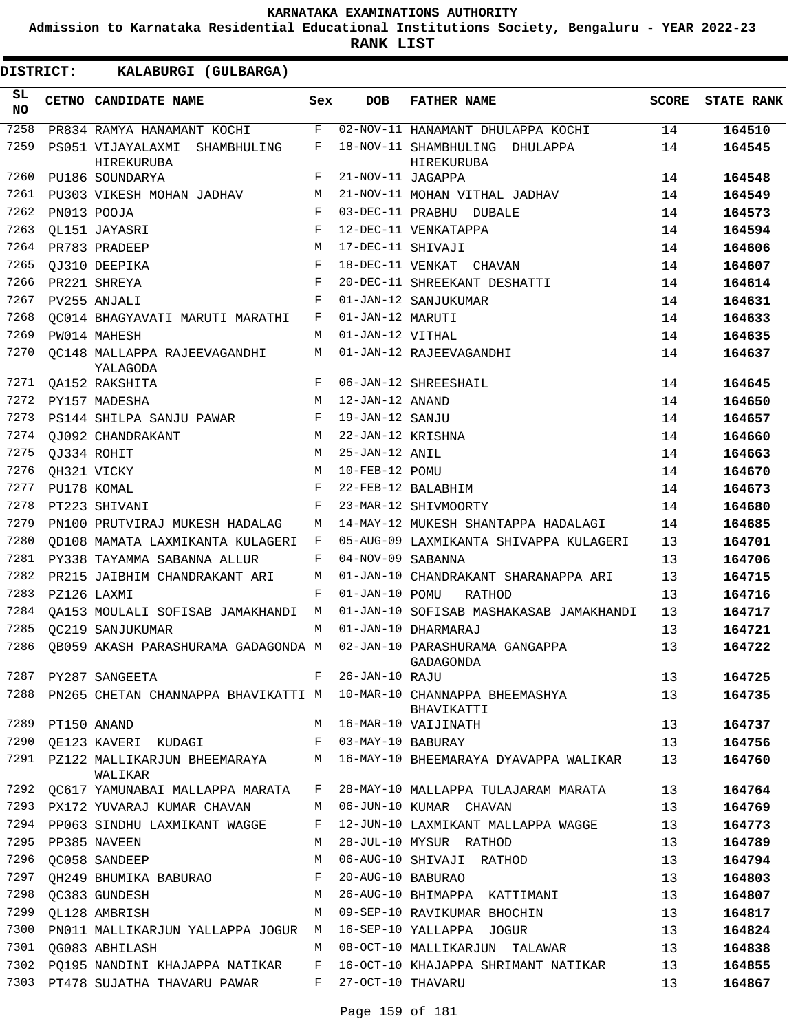**Admission to Karnataka Residential Educational Institutions Society, Bengaluru - YEAR 2022-23**

**RANK LIST**

| 7258<br>02-NOV-11 HANAMANT DHULAPPA KOCHI<br>F<br>14<br>PR834 RAMYA HANAMANT KOCHI<br>7259<br>PS051 VIJAYALAXMI SHAMBHULING<br>F<br>18-NOV-11 SHAMBHULING DHULAPPA<br>14<br>HIREKURUBA<br>HIREKURUBA<br>7260<br>PU186 SOUNDARYA<br>F<br>21-NOV-11 JAGAPPA<br>14 | 164510<br>164545<br>164548<br>164549<br>164573 |
|-----------------------------------------------------------------------------------------------------------------------------------------------------------------------------------------------------------------------------------------------------------------|------------------------------------------------|
|                                                                                                                                                                                                                                                                 |                                                |
|                                                                                                                                                                                                                                                                 |                                                |
|                                                                                                                                                                                                                                                                 |                                                |
| 7261<br>PU303 VIKESH MOHAN JADHAV<br>21-NOV-11 MOHAN VITHAL JADHAV<br>14<br>М                                                                                                                                                                                   |                                                |
| 7262<br>03-DEC-11 PRABHU DUBALE<br>PN013 POOJA<br>F<br>14                                                                                                                                                                                                       |                                                |
| 7263<br>F<br>OL151 JAYASRI<br>12-DEC-11 VENKATAPPA<br>14                                                                                                                                                                                                        | 164594                                         |
| 7264<br>17-DEC-11 SHIVAJI<br>PR783 PRADEEP<br>М<br>14                                                                                                                                                                                                           | 164606                                         |
| 7265<br>OJ310 DEEPIKA<br>F<br>18-DEC-11 VENKAT CHAVAN<br>14                                                                                                                                                                                                     | 164607                                         |
| 7266<br>F<br>20-DEC-11 SHREEKANT DESHATTI<br>PR221 SHREYA<br>14                                                                                                                                                                                                 | 164614                                         |
| 7267<br>F<br>PV255 ANJALI<br>01-JAN-12 SANJUKUMAR<br>14                                                                                                                                                                                                         | 164631                                         |
| 7268<br>01-JAN-12 MARUTI<br>OC014 BHAGYAVATI MARUTI MARATHI<br>F<br>14                                                                                                                                                                                          | 164633                                         |
| 7269<br>01-JAN-12 VITHAL<br>PW014 MAHESH<br>14<br>М                                                                                                                                                                                                             | 164635                                         |
| 7270<br>01-JAN-12 RAJEEVAGANDHI<br>OC148 MALLAPPA RAJEEVAGANDHI<br>М<br>14<br>YALAGODA                                                                                                                                                                          | 164637                                         |
| 7271<br>F<br>06-JAN-12 SHREESHAIL<br>14<br>OA152 RAKSHITA                                                                                                                                                                                                       | 164645                                         |
| 7272<br>M<br>12-JAN-12 ANAND<br>14<br>PY157 MADESHA                                                                                                                                                                                                             | 164650                                         |
| 7273<br>PS144 SHILPA SANJU PAWAR<br>19-JAN-12 SANJU<br>14<br>F                                                                                                                                                                                                  | 164657                                         |
| 7274<br>OJ092 CHANDRAKANT<br>22-JAN-12 KRISHNA<br>14<br>М                                                                                                                                                                                                       | 164660                                         |
| 7275<br>QJ334 ROHIT<br>25-JAN-12 ANIL<br>14<br>М                                                                                                                                                                                                                | 164663                                         |
| 7276<br>OH321 VICKY<br>10-FEB-12 POMU<br>14<br>M                                                                                                                                                                                                                | 164670                                         |
| 7277<br>PU178 KOMAL<br>F<br>22-FEB-12 BALABHIM<br>14                                                                                                                                                                                                            | 164673                                         |
| 7278<br>PT223 SHIVANI<br>F<br>23-MAR-12 SHIVMOORTY<br>14                                                                                                                                                                                                        | 164680                                         |
| 7279<br>PN100 PRUTVIRAJ MUKESH HADALAG<br>14-MAY-12 MUKESH SHANTAPPA HADALAGI<br>M<br>14                                                                                                                                                                        | 164685                                         |
| 7280<br>13<br>OD108 MAMATA LAXMIKANTA KULAGERI<br>F<br>05-AUG-09 LAXMIKANTA SHIVAPPA KULAGERI                                                                                                                                                                   | 164701                                         |
| 7281<br>PY338 TAYAMMA SABANNA ALLUR<br>F<br>04-NOV-09 SABANNA<br>13                                                                                                                                                                                             | 164706                                         |
| 7282<br>PR215 JAIBHIM CHANDRAKANT ARI<br>01-JAN-10 CHANDRAKANT SHARANAPPA ARI<br>13<br>М                                                                                                                                                                        | 164715                                         |
| 7283<br>PZ126 LAXMI<br>01-JAN-10 POMU<br>13<br>F<br>RATHOD                                                                                                                                                                                                      | 164716                                         |
| 7284<br>01-JAN-10 SOFISAB MASHAKASAB JAMAKHANDI<br>13<br>QA153 MOULALI SOFISAB JAMAKHANDI M                                                                                                                                                                     | 164717                                         |
| 7285<br>OC219 SANJUKUMAR<br>01-JAN-10 DHARMARAJ<br>13<br>M                                                                                                                                                                                                      | 164721                                         |
| 7286<br>02-JAN-10 PARASHURAMA GANGAPPA<br>13<br>OB059 AKASH PARASHURAMA GADAGONDA M<br>GADAGONDA                                                                                                                                                                | 164722                                         |
| 7287<br>26-JAN-10 RAJU<br>F<br>PY287 SANGEETA<br>13                                                                                                                                                                                                             | 164725                                         |
| PN265 CHETAN CHANNAPPA BHAVIKATTI M 10-MAR-10 CHANNAPPA BHEEMASHYA<br>7288<br>13<br>BHAVIKATTI                                                                                                                                                                  | 164735                                         |
| 7289 PT150 ANAND<br>M 16-MAR-10 VAIJINATH<br>13                                                                                                                                                                                                                 | 164737                                         |
| QE123 KAVERI KUDAGI F 03-MAY-10 BABURAY<br>7290<br>13                                                                                                                                                                                                           | 164756                                         |
| 7291 PZ122 MALLIKARJUN BHEEMARAYA MATA 16-MAY-10 BHEEMARAYA DYAVAPPA WALIKAR<br>13<br>WALIKAR                                                                                                                                                                   | 164760                                         |
| 7292 QC617 YAMUNABAI MALLAPPA MARATA F<br>28-MAY-10 MALLAPPA TULAJARAM MARATA<br>13                                                                                                                                                                             | 164764                                         |
| 7293 PX172 YUVARAJ KUMAR CHAVAN<br>M 06-JUN-10 KUMAR CHAVAN<br>13                                                                                                                                                                                               | 164769                                         |
| 7294 PP063 SINDHU LAXMIKANT WAGGE<br>13<br>F<br>12-JUN-10 LAXMIKANT MALLAPPA WAGGE                                                                                                                                                                              | 164773                                         |
| 7295 PP385 NAVEEN<br>28-JUL-10 MYSUR RATHOD<br>13<br>М                                                                                                                                                                                                          | 164789                                         |
| 7296<br>QC058 SANDEEP<br>06-AUG-10 SHIVAJI RATHOD<br>13<br>М                                                                                                                                                                                                    | 164794                                         |
| 7297 QH249 BHUMIKA BABURAO<br>F<br>20-AUG-10 BABURAO<br>13                                                                                                                                                                                                      | 164803                                         |
| 26-AUG-10 BHIMAPPA KATTIMANI<br>7298<br>QC383 GUNDESH<br>13<br>M                                                                                                                                                                                                | 164807                                         |
| 7299<br>QL128 AMBRISH<br>09-SEP-10 RAVIKUMAR BHOCHIN<br>13<br>M                                                                                                                                                                                                 | 164817                                         |
| 7300<br>PN011 MALLIKARJUN YALLAPPA JOGUR M 16-SEP-10 YALLAPPA JOGUR<br>13                                                                                                                                                                                       | 164824                                         |
| 7301 QG083 ABHILASH<br>M 08-OCT-10 MALLIKARJUN TALAWAR<br>13                                                                                                                                                                                                    | 164838                                         |
| 7302 PQ195 NANDINI KHAJAPPA NATIKAR     F   16-OCT-10 KHAJAPPA SHRIMANT NATIKAR<br>13<br>7303 PT478 SUJATHA THAVARU PAWAR<br>$F$ and<br>27-OCT-10 THAVARU<br>13                                                                                                 | 164855<br>164867                               |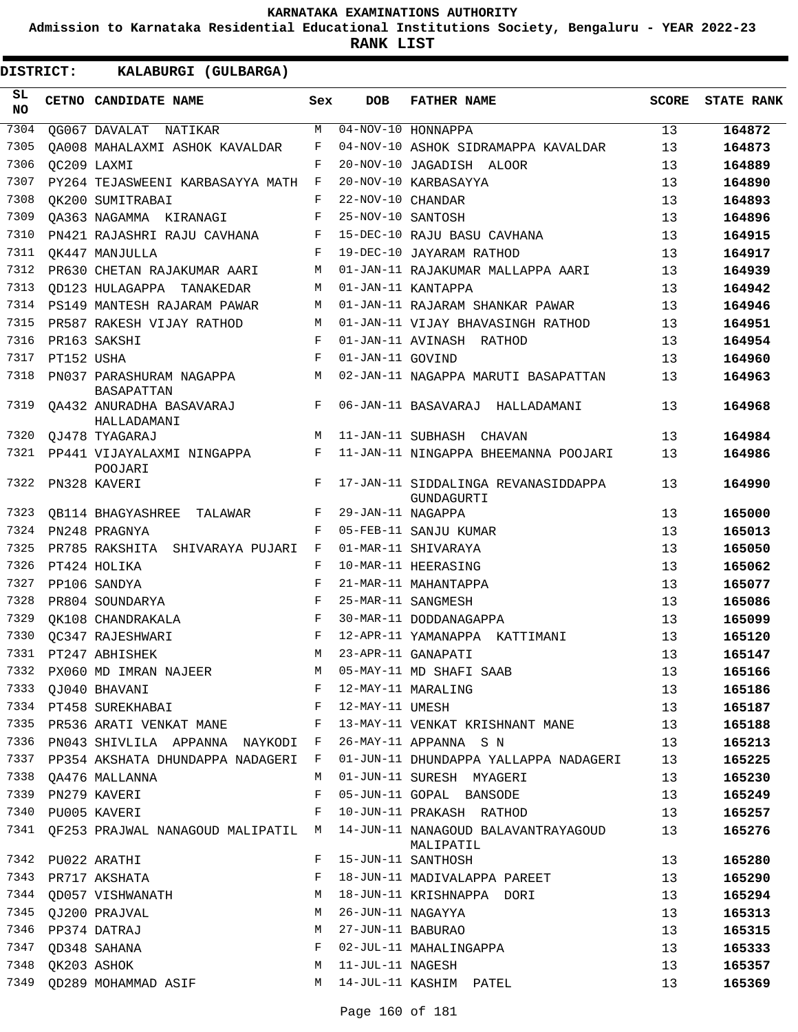**Admission to Karnataka Residential Educational Institutions Society, Bengaluru - YEAR 2022-23**

| DISTRICT:        |            | KALABURGI (GULBARGA)                    |            |                   |                                                   |              |                   |
|------------------|------------|-----------------------------------------|------------|-------------------|---------------------------------------------------|--------------|-------------------|
| SL.<br><b>NO</b> |            | CETNO CANDIDATE NAME                    | Sex        | <b>DOB</b>        | <b>FATHER NAME</b>                                | <b>SCORE</b> | <b>STATE RANK</b> |
| 7304             |            | OG067 DAVALAT NATIKAR                   | М          |                   | $\overline{04-NOV-10}$ HONNAPPA                   | 13           | 164872            |
| 7305             |            | OA008 MAHALAXMI ASHOK KAVALDAR          | F          |                   | 04-NOV-10 ASHOK SIDRAMAPPA KAVALDAR               | 13           | 164873            |
| 7306             |            | OC209 LAXMI                             | F          |                   | 20-NOV-10 JAGADISH ALOOR                          | 13           | 164889            |
| 7307             |            | PY264 TEJASWEENI KARBASAYYA MATH        | F          |                   | 20-NOV-10 KARBASAYYA                              | 13           | 164890            |
| 7308             |            | OK200 SUMITRABAI                        | F          | 22-NOV-10 CHANDAR |                                                   | 13           | 164893            |
| 7309             |            | OA363 NAGAMMA KIRANAGI                  | F          | 25-NOV-10 SANTOSH |                                                   | 13           | 164896            |
| 7310             |            | PN421 RAJASHRI RAJU CAVHANA             | F          |                   | 15-DEC-10 RAJU BASU CAVHANA                       | 13           | 164915            |
| 7311             |            | QK447 MANJULLA                          | F          |                   | 19-DEC-10 JAYARAM RATHOD                          | 13           | 164917            |
| 7312             |            | PR630 CHETAN RAJAKUMAR AARI             | M          |                   | 01-JAN-11 RAJAKUMAR MALLAPPA AARI                 | 13           | 164939            |
| 7313             |            | OD123 HULAGAPPA TANAKEDAR               | M          |                   | 01-JAN-11 KANTAPPA                                | 13           | 164942            |
| 7314             |            | PS149 MANTESH RAJARAM PAWAR             | M          |                   | 01-JAN-11 RAJARAM SHANKAR PAWAR                   | 13           | 164946            |
| 7315             |            | PR587 RAKESH VIJAY RATHOD               | M          |                   | 01-JAN-11 VIJAY BHAVASINGH RATHOD                 | 13           | 164951            |
| 7316             |            | PR163 SAKSHI                            | $_{\rm F}$ |                   | 01-JAN-11 AVINASH RATHOD                          | 13           | 164954            |
| 7317             | PT152 USHA |                                         | F          | 01-JAN-11 GOVIND  |                                                   | 13           | 164960            |
| 7318             |            | PN037 PARASHURAM NAGAPPA<br>BASAPATTAN  | M          |                   | 02-JAN-11 NAGAPPA MARUTI BASAPATTAN               | 13           | 164963            |
| 7319             |            | OA432 ANURADHA BASAVARAJ<br>HALLADAMANI | F          |                   | 06-JAN-11 BASAVARAJ HALLADAMANI                   | 13           | 164968            |
| 7320             |            | OJ478 TYAGARAJ                          | M          |                   | 11-JAN-11 SUBHASH CHAVAN                          | 13           | 164984            |
| 7321             |            | PP441 VIJAYALAXMI NINGAPPA<br>POOJARI   | F          |                   | 11-JAN-11 NINGAPPA BHEEMANNA POOJARI              | 13           | 164986            |
| 7322             |            | PN328 KAVERI                            | F          |                   | 17-JAN-11 SIDDALINGA REVANASIDDAPPA<br>GUNDAGURTI | 13           | 164990            |
| 7323             |            | <b>QB114 BHAGYASHREE TALAWAR</b>        | F          | 29-JAN-11 NAGAPPA |                                                   | 13           | 165000            |
| 7324             |            | PN248 PRAGNYA                           | F          |                   | 05-FEB-11 SANJU KUMAR                             | 13           | 165013            |
| 7325             |            | PR785 RAKSHITA SHIVARAYA PUJARI         | F          |                   | 01-MAR-11 SHIVARAYA                               | 13           | 165050            |
| 7326             |            | PT424 HOLIKA                            | F          |                   | 10-MAR-11 HEERASING                               | 13           | 165062            |
| 7327             |            | PP106 SANDYA                            | F          |                   | 21-MAR-11 MAHANTAPPA                              | 13           | 165077            |
| 7328             |            | PR804 SOUNDARYA                         | F          |                   | 25-MAR-11 SANGMESH                                | 13           | 165086            |
| 7329             |            | OK108 CHANDRAKALA                       | F          |                   | 30-MAR-11 DODDANAGAPPA                            | 13           | 165099            |
| 7330             |            | OC347 RAJESHWARI                        | F          |                   | 12-APR-11 YAMANAPPA KATTIMANI                     | 13           | 165120            |
| 7331             |            | PT247 ABHISHEK                          | M          |                   | 23-APR-11 GANAPATI                                | 13           | 165147            |
| 7332             |            | PX060 MD IMRAN NAJEER                   | M          |                   | 05-MAY-11 MD SHAFI SAAB                           | 13           | 165166            |
| 7333             |            | QJ040 BHAVANI                           | F          |                   | 12-MAY-11 MARALING                                | 13           | 165186            |
|                  |            | 7334 PT458 SUREKHABAI                   | F          | 12-MAY-11 UMESH   |                                                   | 13           | 165187            |
|                  |            | 7335 PR536 ARATI VENKAT MANE            | F          |                   | 13-MAY-11 VENKAT KRISHNANT MANE                   | 13           | 165188            |
|                  |            | 7336 PN043 SHIVLILA APPANNA NAYKODI F   |            |                   | 26-MAY-11 APPANNA S N                             | 13           | 165213            |
|                  |            | 7337 PP354 AKSHATA DHUNDAPPA NADAGERI F |            |                   | 01-JUN-11 DHUNDAPPA YALLAPPA NADAGERI             | 13           | 165225            |
| 7338             |            | QA476 MALLANNA                          | M          |                   | 01-JUN-11 SURESH MYAGERI                          | 13           | 165230            |
| 7339             |            | PN279 KAVERI                            | F          |                   | 05-JUN-11 GOPAL BANSODE                           | 13           | 165249            |
| 7340             |            | PU005 KAVERI                            | F          |                   | 10-JUN-11 PRAKASH RATHOD                          | 13           | 165257            |
| 7341             |            | QF253 PRAJWAL NANAGOUD MALIPATIL M      |            |                   | 14-JUN-11 NANAGOUD BALAVANTRAYAGOUD<br>MALIPATIL  | 13           | 165276            |
|                  |            | 7342 PU022 ARATHI                       | F          |                   | 15-JUN-11 SANTHOSH                                | 13           | 165280            |
| 7343             |            | PR717 AKSHATA                           | F          |                   | 18-JUN-11 MADIVALAPPA PAREET                      | 13           | 165290            |
| 7344             |            | QD057 VISHWANATH                        | M          |                   | 18-JUN-11 KRISHNAPPA DORI                         | 13           | 165294            |
| 7345             |            | QJ200 PRAJVAL                           | M          | 26-JUN-11 NAGAYYA |                                                   | 13           | 165313            |
|                  |            | 7346 PP374 DATRAJ                       | M          | 27-JUN-11 BABURAO |                                                   | 13           | 165315            |
| 7347             |            | QD348 SAHANA                            | F          |                   | 02-JUL-11 MAHALINGAPPA                            | 13           | 165333            |
| 7348             |            | QK203 ASHOK                             | M          | 11-JUL-11 NAGESH  |                                                   | 13           | 165357            |
| 7349             |            | QD289 MOHAMMAD ASIF                     | M          |                   | 14-JUL-11 KASHIM PATEL                            | 13           | 165369            |
|                  |            |                                         |            |                   |                                                   |              |                   |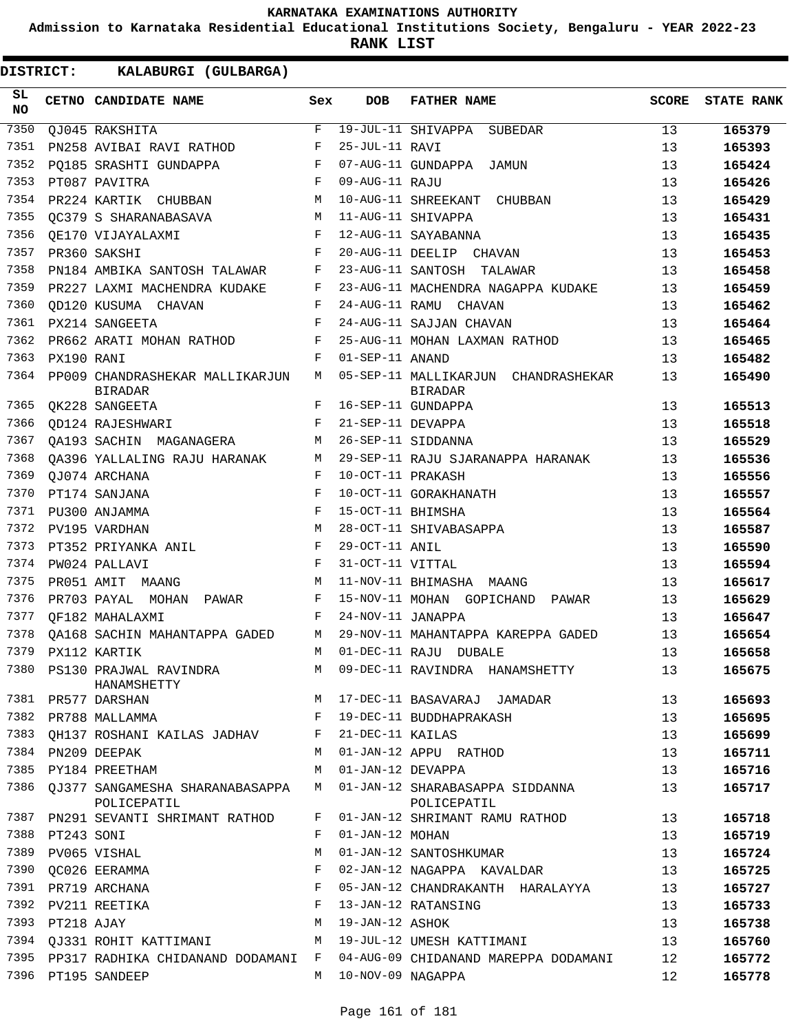**Admission to Karnataka Residential Educational Institutions Society, Bengaluru - YEAR 2022-23**

**RANK LIST**

| SL<br><b>NO</b> |            | <b>CETNO CANDIDATE NAME</b>                         | Sex         | <b>DOB</b>          | <b>FATHER NAME</b>                                    | <b>SCORE</b> | <b>STATE RANK</b> |
|-----------------|------------|-----------------------------------------------------|-------------|---------------------|-------------------------------------------------------|--------------|-------------------|
| 7350            |            | QJ045 RAKSHITA                                      | F           |                     | 19-JUL-11 SHIVAPPA SUBEDAR                            | 13           | 165379            |
| 7351            |            | PN258 AVIBAI RAVI RATHOD                            | F           | 25-JUL-11 RAVI      |                                                       | 13           | 165393            |
| 7352            |            | PQ185 SRASHTI GUNDAPPA                              | $_{\rm F}$  |                     | 07-AUG-11 GUNDAPPA JAMUN                              | 13           | 165424            |
| 7353            |            | PT087 PAVITRA                                       | $_{\rm F}$  | 09-AUG-11 RAJU      |                                                       | 13           | 165426            |
| 7354            |            | PR224 KARTIK CHUBBAN                                | М           |                     | 10-AUG-11 SHREEKANT CHUBBAN                           | 13           | 165429            |
| 7355            |            | OC379 S SHARANABASAVA                               | M           |                     | 11-AUG-11 SHIVAPPA                                    | 13           | 165431            |
| 7356            |            | OE170 VIJAYALAXMI                                   | F           |                     | 12-AUG-11 SAYABANNA                                   | 13           | 165435            |
| 7357            |            | PR360 SAKSHI                                        | F           |                     | 20-AUG-11 DEELIP CHAVAN                               | 13           | 165453            |
| 7358            |            | PN184 AMBIKA SANTOSH TALAWAR                        | F           |                     | 23-AUG-11 SANTOSH TALAWAR                             | 13           | 165458            |
| 7359            |            | PR227 LAXMI MACHENDRA KUDAKE                        | F           |                     | 23-AUG-11 MACHENDRA NAGAPPA KUDAKE                    | 13           | 165459            |
| 7360            |            | OD120 KUSUMA CHAVAN                                 | F           |                     | 24-AUG-11 RAMU CHAVAN                                 | 13           | 165462            |
| 7361            |            | PX214 SANGEETA                                      | $_{\rm F}$  |                     | 24-AUG-11 SAJJAN CHAVAN                               | 13           | 165464            |
| 7362            |            | PR662 ARATI MOHAN RATHOD                            | F           |                     | 25-AUG-11 MOHAN LAXMAN RATHOD                         | 13           | 165465            |
| 7363            | PX190 RANI |                                                     | F           | 01-SEP-11 ANAND     |                                                       | 13           | 165482            |
| 7364            |            | PP009 CHANDRASHEKAR MALLIKARJUN<br><b>BIRADAR</b>   | M           |                     | 05-SEP-11 MALLIKARJUN CHANDRASHEKAR<br><b>BIRADAR</b> | 13           | 165490            |
| 7365            |            | OK228 SANGEETA                                      | F           |                     | 16-SEP-11 GUNDAPPA                                    | 13           | 165513            |
| 7366            |            | QD124 RAJESHWARI                                    | F           | 21-SEP-11 DEVAPPA   |                                                       | 13           | 165518            |
| 7367            |            | OA193 SACHIN MAGANAGERA                             | M           |                     | 26-SEP-11 SIDDANNA                                    | 13           | 165529            |
| 7368            |            | QA396 YALLALING RAJU HARANAK                        | M           |                     | 29-SEP-11 RAJU SJARANAPPA HARANAK                     | 13           | 165536            |
| 7369            |            | OJ074 ARCHANA                                       | F           | 10-OCT-11 PRAKASH   |                                                       | 13           | 165556            |
| 7370            |            | PT174 SANJANA                                       | F           |                     | 10-OCT-11 GORAKHANATH                                 | 13           | 165557            |
| 7371            |            | PU300 ANJAMMA                                       | $\mathbf F$ | 15-OCT-11 BHIMSHA   |                                                       | 13           | 165564            |
| 7372            |            | PV195 VARDHAN                                       | М           |                     | 28-OCT-11 SHIVABASAPPA                                | 13           | 165587            |
| 7373            |            | PT352 PRIYANKA ANIL                                 | F           | 29-OCT-11 ANIL      |                                                       | 13           | 165590            |
| 7374            |            | PW024 PALLAVI                                       | F           | 31-OCT-11 VITTAL    |                                                       | 13           | 165594            |
| 7375            |            | PR051 AMIT MAANG                                    | M           |                     | 11-NOV-11 BHIMASHA MAANG                              | 13           | 165617            |
| 7376            |            | PR703 PAYAL MOHAN PAWAR                             | F           |                     | 15-NOV-11 MOHAN GOPICHAND PAWAR                       | 13           | 165629            |
| 7377            |            | OF182 MAHALAXMI                                     | F           | 24-NOV-11 JANAPPA   |                                                       | 13           | 165647            |
| 7378            |            | OA168 SACHIN MAHANTAPPA GADED                       | M           |                     | 29-NOV-11 MAHANTAPPA KAREPPA GADED                    | 13           | 165654            |
| 7379            |            | PX112 KARTIK                                        | M           |                     | 01-DEC-11 RAJU DUBALE                                 | 13           | 165658            |
| 7380            |            | PS130 PRAJWAL RAVINDRA<br>HANAMSHETTY               |             |                     | M 09-DEC-11 RAVINDRA HANAMSHETTY                      | 13           | 165675            |
|                 |            | 7381 PR577 DARSHAN                                  |             |                     | M 17-DEC-11 BASAVARAJ JAMADAR                         | 13           | 165693            |
|                 |            | 7382 PR788 MALLAMMA 6 6 F 19-DEC-11 BUDDHAPRAKASH   |             |                     |                                                       | 13           | 165695            |
| 7383            |            | QH137 ROSHANI KAILAS JADHAV F                       |             | 21-DEC-11 KAILAS    |                                                       | 13           | 165699            |
|                 |            | 7384 PN209 DEEPAK                                   | M           |                     | 01-JAN-12 APPU RATHOD                                 | 13           | 165711            |
|                 |            | 7385 PY184 PREETHAM                                 | M           | 01-JAN-12 DEVAPPA   |                                                       | 13           | 165716            |
|                 |            | 7386 OJ377 SANGAMESHA SHARANABASAPPA<br>POLICEPATIL | M           |                     | 01-JAN-12 SHARABASAPPA SIDDANNA<br>POLICEPATIL        | 13           | 165717            |
|                 |            | 7387 PN291 SEVANTI SHRIMANT RATHOD                  | F           |                     | 01-JAN-12 SHRIMANT RAMU RATHOD                        | 13           | 165718            |
| 7388            | PT243 SONI |                                                     | F           | 01-JAN-12 MOHAN     |                                                       | 13           | 165719            |
| 7389            |            | PV065 VISHAL                                        | M           |                     | 01-JAN-12 SANTOSHKUMAR                                | 13           | 165724            |
|                 |            | 7390 OC026 EERAMMA                                  | F           |                     | 02-JAN-12 NAGAPPA KAVALDAR                            | 13           | 165725            |
|                 |            | 7391 PR719 ARCHANA                                  | F           |                     | 05-JAN-12 CHANDRAKANTH HARALAYYA                      | 13           | 165727            |
| 7392            |            | PV211 REETIKA                                       | F           |                     | 13-JAN-12 RATANSING                                   | 13           | 165733            |
| 7393            | PT218 AJAY |                                                     | M           | 19-JAN-12 ASHOK     |                                                       | 13           | 165738            |
|                 |            | 7394 QJ331 ROHIT KATTIMANI                          | M           |                     | 19-JUL-12 UMESH KATTIMANI                             | 13           | 165760            |
|                 |            | 7395 PP317 RADHIKA CHIDANAND DODAMANI F             |             |                     | 04-AUG-09 CHIDANAND MAREPPA DODAMANI                  | 12           | 165772            |
|                 |            | 7396 PT195 SANDEEP                                  |             | M 10-NOV-09 NAGAPPA |                                                       | 12           | 165778            |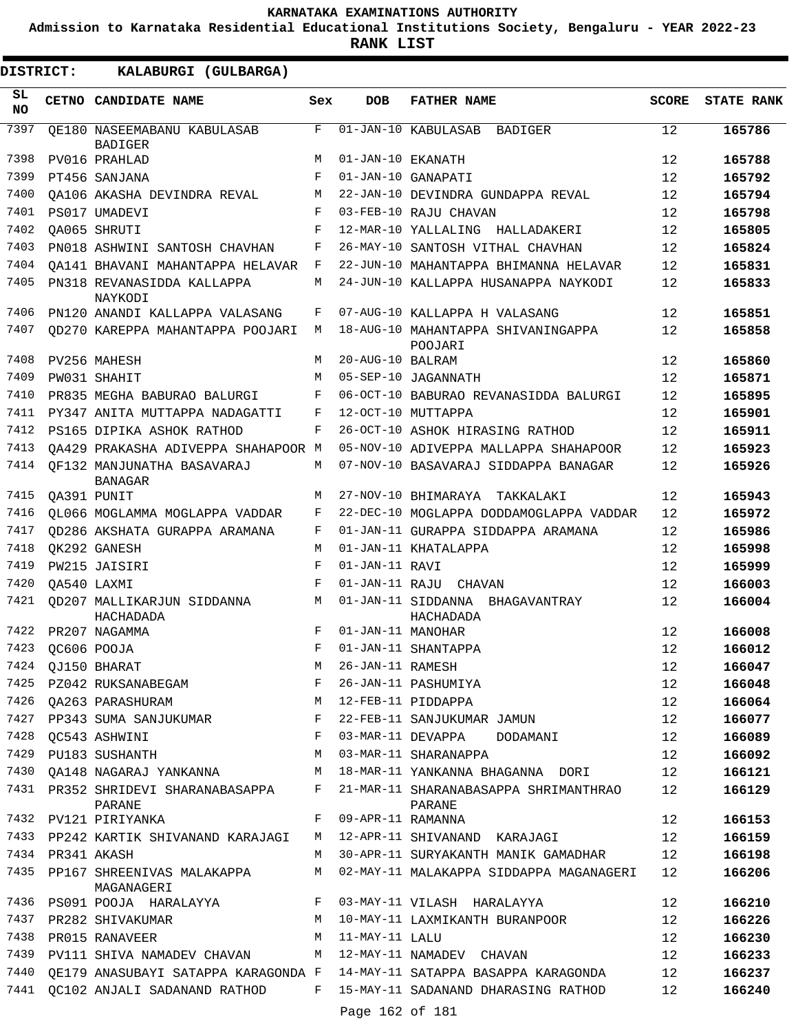**Admission to Karnataka Residential Educational Institutions Society, Bengaluru - YEAR 2022-23**

**RANK LIST**

| SL<br><b>NO</b> |                  | CETNO CANDIDATE NAME                                       | Sex         | <b>DOB</b>         | <b>FATHER NAME</b>                                         | <b>SCORE</b> | <b>STATE RANK</b> |
|-----------------|------------------|------------------------------------------------------------|-------------|--------------------|------------------------------------------------------------|--------------|-------------------|
| 7397            |                  | QE180 NASEEMABANU KABULASAB                                | $\mathbf F$ |                    | 01-JAN-10 KABULASAB<br>BADIGER                             | 12           | 165786            |
|                 |                  | <b>BADIGER</b>                                             |             |                    |                                                            |              |                   |
| 7398<br>7399    |                  | PV016 PRAHLAD                                              | M           | 01-JAN-10 EKANATH  |                                                            | 12           | 165788            |
| 7400            |                  | PT456 SANJANA                                              | F<br>M      | 01-JAN-10 GANAPATI |                                                            | 12<br>12     | 165792            |
| 7401            |                  | OA106 AKASHA DEVINDRA REVAL<br>PS017 UMADEVI               | $_{\rm F}$  |                    | 22-JAN-10 DEVINDRA GUNDAPPA REVAL<br>03-FEB-10 RAJU CHAVAN | 12           | 165794<br>165798  |
| 7402            |                  | OA065 SHRUTI                                               | F           |                    | 12-MAR-10 YALLALING HALLADAKERI                            | 12           | 165805            |
| 7403            |                  | PN018 ASHWINI SANTOSH CHAVHAN                              | F           |                    | 26-MAY-10 SANTOSH VITHAL CHAVHAN                           | 12           | 165824            |
| 7404            |                  | OA141 BHAVANI MAHANTAPPA HELAVAR                           | F           |                    | 22-JUN-10 MAHANTAPPA BHIMANNA HELAVAR                      | 12           | 165831            |
| 7405            |                  | PN318 REVANASIDDA KALLAPPA                                 | M           |                    | 24-JUN-10 KALLAPPA HUSANAPPA NAYKODI                       | 12           | 165833            |
|                 |                  | NAYKODI                                                    |             |                    |                                                            |              |                   |
| 7406            |                  | PN120 ANANDI KALLAPPA VALASANG                             | F           |                    | 07-AUG-10 KALLAPPA H VALASANG                              | 12           | 165851            |
| 7407            |                  | QD270 KAREPPA MAHANTAPPA POOJARI                           | М           |                    | 18-AUG-10 MAHANTAPPA SHIVANINGAPPA<br>POOJARI              | 12           | 165858            |
| 7408            |                  | PV256 MAHESH                                               | M           | 20-AUG-10 BALRAM   |                                                            | 12           | 165860            |
| 7409            |                  | PW031 SHAHIT                                               | M           |                    | 05-SEP-10 JAGANNATH                                        | 12           | 165871            |
| 7410            |                  | PR835 MEGHA BABURAO BALURGI                                | F           |                    | 06-OCT-10 BABURAO REVANASIDDA BALURGI                      | 12           | 165895            |
| 7411            |                  | PY347 ANITA MUTTAPPA NADAGATTI                             | F           |                    | 12-OCT-10 MUTTAPPA                                         | 12           | 165901            |
| 7412            |                  | PS165 DIPIKA ASHOK RATHOD                                  | F           |                    | 26-OCT-10 ASHOK HIRASING RATHOD                            | 12           | 165911            |
| 7413            |                  | OA429 PRAKASHA ADIVEPPA SHAHAPOOR M                        |             |                    | 05-NOV-10 ADIVEPPA MALLAPPA SHAHAPOOR                      | 12           | 165923            |
| 7414            |                  | OF132 MANJUNATHA BASAVARAJ                                 | М           |                    | 07-NOV-10 BASAVARAJ SIDDAPPA BANAGAR                       | 12           | 165926            |
| 7415            |                  | <b>BANAGAR</b><br>OA391 PUNIT                              | M           |                    | 27-NOV-10 BHIMARAYA TAKKALAKI                              | 12           | 165943            |
| 7416            |                  | OL066 MOGLAMMA MOGLAPPA VADDAR                             | F           |                    | 22-DEC-10 MOGLAPPA DODDAMOGLAPPA VADDAR                    | 12           | 165972            |
| 7417            |                  | OD286 AKSHATA GURAPPA ARAMANA                              | F           |                    | 01-JAN-11 GURAPPA SIDDAPPA ARAMANA                         | 12           | 165986            |
| 7418            |                  | OK292 GANESH                                               | M           |                    | 01-JAN-11 KHATALAPPA                                       | 12           | 165998            |
| 7419            |                  | PW215 JAISIRI                                              | F           | 01-JAN-11 RAVI     |                                                            | 12           | 165999            |
| 7420            | OA540 LAXMI      |                                                            | F           |                    | 01-JAN-11 RAJU CHAVAN                                      | 12           | 166003            |
| 7421            |                  | OD207 MALLIKARJUN SIDDANNA                                 | M           |                    | 01-JAN-11 SIDDANNA BHAGAVANTRAY                            | 12           | 166004            |
| 7422            |                  | HACHADADA<br>PR207 NAGAMMA                                 | F           | 01-JAN-11 MANOHAR  | HACHADADA                                                  | 12           | 166008            |
| 7423            | OC606 POOJA      |                                                            | F           |                    | 01-JAN-11 SHANTAPPA                                        | 12           | 166012            |
|                 |                  | 7424 QJ150 BHARAT                                          | M           | 26-JAN-11 RAMESH   |                                                            | 12           | 166047            |
| 7425            |                  | PZ042 RUKSANABEGAM                                         | F           |                    | 26-JAN-11 RAMESH<br>26-JAN-11 PASHUMIYA                    | 12           | 166048            |
| 7426            |                  | QA263 PARASHURAM M                                         |             |                    | 12-FEB-11 PIDDAPPA                                         | 12           | 166064            |
|                 |                  | 7427 PP343 SUMA SANJUKUMAR F                               |             |                    | 22-FEB-11 SANJUKUMAR JAMUN                                 | 12           | 166077            |
| 7428            |                  | OC543 ASHWINI                                              | F           |                    | 03-MAR-11 DEVAPPA DODAMANI                                 | 12           | 166089            |
|                 |                  | 7429 PU183 SUSHANTH                                        | M           |                    | 03-MAR-11 SHARANAPPA                                       | 12           | 166092            |
|                 |                  | 7430 QA148 NAGARAJ YANKANNA M                              |             |                    | 18-MAR-11 YANKANNA BHAGANNA DORI                           | 12           | 166121            |
|                 |                  | 7431 PR352 SHRIDEVI SHARANABASAPPA F<br>PARANE             |             |                    | 21-MAR-11 SHARANABASAPPA SHRIMANTHRAO<br>PARANE            | 12           | 166129            |
|                 |                  | 7432 PV121 PIRIYANKA                                       | F           | 09-APR-11 RAMANNA  |                                                            | 12           | 166153            |
|                 |                  | 7433 PP242 KARTIK SHIVANAND KARAJAGI                       | M           |                    | 12-APR-11 SHIVANAND KARAJAGI                               | 12           | 166159            |
|                 | 7434 PR341 AKASH |                                                            | M           |                    | 30-APR-11 SURYAKANTH MANIK GAMADHAR                        | 12           | 166198            |
| 7435            |                  | PP167 SHREENIVAS MALAKAPPA<br>MAGANAGERI                   | M           |                    | 02-MAY-11 MALAKAPPA SIDDAPPA MAGANAGERI                    | 12           | 166206            |
|                 |                  | 7436 PS091 POOJA HARALAYYA NA F 03-MAY-11 VILASH HARALAYYA |             |                    |                                                            | 12           | 166210            |
| 7437            |                  | PR282 SHIVAKUMAR                                           | M           |                    | 10-MAY-11 LAXMIKANTH BURANPOOR                             | 12           | 166226            |
| 7438            |                  | PR015 RANAVEER                                             | М           | 11-MAY-11 LALU     |                                                            | 12           | 166230            |
| 7439            |                  | PV111 SHIVA NAMADEV CHAVAN                                 | M           |                    | 12-MAY-11 NAMADEV CHAVAN                                   | 12           | 166233            |
| 7440            |                  | QE179 ANASUBAYI SATAPPA KARAGONDA F                        |             |                    | 14-MAY-11 SATAPPA BASAPPA KARAGONDA                        | 12           | 166237            |
| 7441            |                  | QC102 ANJALI SADANAND RATHOD                               | F           |                    | 15-MAY-11 SADANAND DHARASING RATHOD                        | 12           | 166240            |
|                 |                  |                                                            |             | Page 162 of 181    |                                                            |              |                   |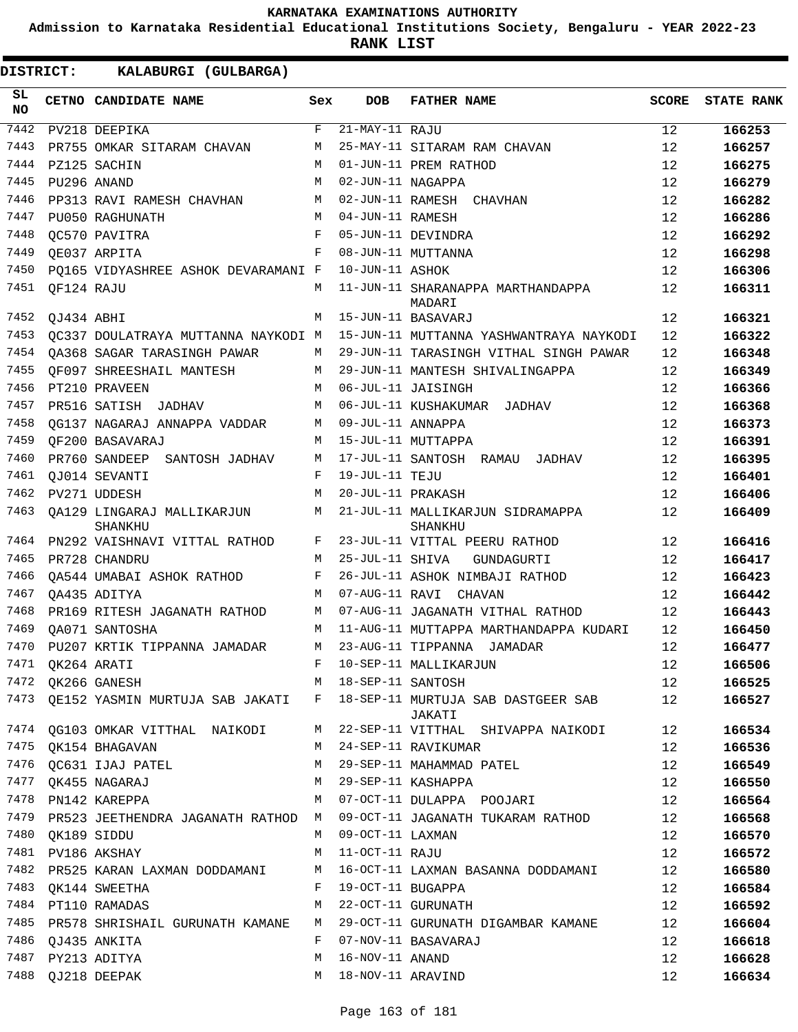**Admission to Karnataka Residential Educational Institutions Society, Bengaluru - YEAR 2022-23**

| DISTRICT:        |                  | KALABURGI (GULBARGA)                                                                              |     |                    |                                                                                                    |              |                   |
|------------------|------------------|---------------------------------------------------------------------------------------------------|-----|--------------------|----------------------------------------------------------------------------------------------------|--------------|-------------------|
| SL.<br><b>NO</b> |                  | CETNO CANDIDATE NAME                                                                              | Sex | DOB                | <b>FATHER NAME</b>                                                                                 | <b>SCORE</b> | <b>STATE RANK</b> |
| 7442             |                  | PV218 DEEPIKA                                                                                     | F   | $21-MAY-11$ RAJU   |                                                                                                    | 12           | 166253            |
| 7443             |                  | PR755 OMKAR SITARAM CHAVAN                                                                        | М   |                    | 25-MAY-11 SITARAM RAM CHAVAN                                                                       | 12           | 166257            |
| 7444             |                  | PZ125 SACHIN                                                                                      | M   |                    | 01-JUN-11 PREM RATHOD                                                                              | 12           | 166275            |
| 7445             |                  | PU296 ANAND                                                                                       | M   | 02-JUN-11 NAGAPPA  |                                                                                                    | 12           | 166279            |
| 7446             |                  | PP313 RAVI RAMESH CHAVHAN                                                                         | М   |                    | 02-JUN-11 RAMESH CHAVHAN                                                                           | 12           | 166282            |
| 7447             |                  | PU050 RAGHUNATH                                                                                   | М   | 04-JUN-11 RAMESH   |                                                                                                    | 12           | 166286            |
| 7448             |                  | OC570 PAVITRA                                                                                     | F   |                    | 05-JUN-11 DEVINDRA                                                                                 | 12           | 166292            |
| 7449             |                  | QE037 ARPITA                                                                                      | F   |                    | 08-JUN-11 MUTTANNA                                                                                 | 12           | 166298            |
| 7450             |                  | PQ165 VIDYASHREE ASHOK DEVARAMANI F                                                               |     | 10-JUN-11 ASHOK    |                                                                                                    | 12           | 166306            |
| 7451             | QF124 RAJU       |                                                                                                   | М   |                    | 11-JUN-11 SHARANAPPA MARTHANDAPPA<br>MADARI                                                        | 12           | 166311            |
| 7452             | QJ434 ABHI       |                                                                                                   | M   |                    | 15-JUN-11 BASAVARJ                                                                                 | 12           | 166321            |
| 7453             |                  | QC337 DOULATRAYA MUTTANNA NAYKODI M                                                               |     |                    | 15-JUN-11 MUTTANNA YASHWANTRAYA NAYKODI                                                            | 12           | 166322            |
| 7454             |                  | OA368 SAGAR TARASINGH PAWAR                                                                       | М   |                    | 29-JUN-11 TARASINGH VITHAL SINGH PAWAR                                                             | 12           | 166348            |
| 7455             |                  | OF097 SHREESHAIL MANTESH                                                                          | М   |                    | 29-JUN-11 MANTESH SHIVALINGAPPA                                                                    | 12           | 166349            |
| 7456             |                  | PT210 PRAVEEN                                                                                     | M   |                    | 06-JUL-11 JAISINGH                                                                                 | 12           | 166366            |
| 7457             |                  | PR516 SATISH JADHAV                                                                               | М   |                    | 06-JUL-11 KUSHAKUMAR JADHAV                                                                        | 12           | 166368            |
| 7458             |                  | QG137 NAGARAJ ANNAPPA VADDAR                                                                      | М   | 09-JUL-11 ANNAPPA  |                                                                                                    | 12           | 166373            |
| 7459             |                  | OF200 BASAVARAJ                                                                                   | М   |                    | 15-JUL-11 MUTTAPPA                                                                                 | 12           | 166391            |
| 7460             |                  | PR760 SANDEEP SANTOSH JADHAV                                                                      | М   |                    | 17-JUL-11 SANTOSH RAMAU JADHAV                                                                     | 12           | 166395            |
| 7461             |                  | OJ014 SEVANTI                                                                                     | F   | 19-JUL-11 TEJU     |                                                                                                    | 12           | 166401            |
| 7462             |                  | PV271 UDDESH                                                                                      | M   | 20-JUL-11 PRAKASH  |                                                                                                    | 12           | 166406            |
| 7463             |                  | QA129 LINGARAJ MALLIKARJUN<br><b>SHANKHU</b>                                                      | М   |                    | 21-JUL-11 MALLIKARJUN SIDRAMAPPA<br>SHANKHU                                                        | 12           | 166409            |
| 7464             |                  | PN292 VAISHNAVI VITTAL RATHOD                                                                     | F   |                    | 23-JUL-11 VITTAL PEERU RATHOD                                                                      | 12           | 166416            |
| 7465             |                  | PR728 CHANDRU                                                                                     | М   | 25-JUL-11 SHIVA    | GUNDAGURTI                                                                                         | 12           | 166417            |
| 7466             |                  | QA544 UMABAI ASHOK RATHOD                                                                         | F   |                    | 26-JUL-11 ASHOK NIMBAJI RATHOD                                                                     | 12           | 166423            |
| 7467             |                  | OA435 ADITYA                                                                                      | M   |                    | 07-AUG-11 RAVI CHAVAN                                                                              | 12           | 166442            |
| 7468             |                  | PR169 RITESH JAGANATH RATHOD                                                                      | М   |                    | 07-AUG-11 JAGANATH VITHAL RATHOD                                                                   | 12           | 166443            |
| 7469             |                  | OA071 SANTOSHA                                                                                    | M   |                    | 11-AUG-11 MUTTAPPA MARTHANDAPPA KUDARI                                                             | 12           | 166450            |
| 7470             |                  | PU207 KRTIK TIPPANNA JAMADAR                                                                      |     |                    | M 23-AUG-11 TIPPANNA JAMADAR                                                                       | 12           | 166477            |
|                  |                  | 7471 QK264 ARATI<br>$7471$ $QR204$ $MR11$<br>$T472$ $QK266$ $GANESH$<br>$M$ $18-SEP-11$ $SANTOSH$ |     |                    | F 10-SEP-11 MALLIKARJUN<br>M 18-SEP-11 SANTOSH                                                     | 12           | 166506            |
|                  |                  |                                                                                                   |     |                    |                                                                                                    | 12           | 166525            |
|                  |                  |                                                                                                   |     |                    | 7473 QE152 YASMIN MURTUJA SAB JAKATI F 18-SEP-11 MURTUJA SAB DASTGEER SAB 12<br>JAKATI             |              | 166527            |
|                  |                  |                                                                                                   |     |                    | 7474 QG103 OMKAR VITTHAL NAIKODI M 22-SEP-11 VITTHAL SHIVAPPA NAIKODI 12                           |              | 166534            |
|                  |                  |                                                                                                   |     |                    |                                                                                                    | 12           | 166536            |
|                  |                  | 7476 QC631 IJAJ PATEL NA MASSEP-11 MAHAMMAD PATEL                                                 |     |                    |                                                                                                    | 12           | 166549            |
|                  |                  | 7477 QK455 NAGARAJ                                                                                |     |                    | M 29-SEP-11 KASHAPPA<br>7478 PN142 KAREPPA 2000 M 07-OCT-11 DULAPPA POOJARI                        | 12           | 166550            |
|                  |                  |                                                                                                   |     |                    |                                                                                                    | 12           | 166564            |
|                  |                  |                                                                                                   |     |                    | 7479 PR523 JEETHENDRA JAGANATH RATHOD M 09-OCT-11 JAGANATH TUKARAM RATHOD 12                       |              | 166568            |
|                  | 7480 QK189 SIDDU |                                                                                                   |     | M 09-OCT-11 LAXMAN |                                                                                                    | 12           | 166570            |
|                  |                  | 7481 PV186 AKSHAY                                                                                 |     | M 11-OCT-11 RAJU   |                                                                                                    | 12           | 166572            |
|                  |                  |                                                                                                   |     |                    | 7482 PR525 KARAN LAXMAN DODDAMANI M 16-OCT-11 LAXMAN BASANNA DODDAMANI 12                          |              | 166580            |
|                  |                  | 7483 QK144 SWEETHA BUGAPPA F 19-OCT-11 BUGAPPA                                                    |     |                    |                                                                                                    | 12           | 166584            |
|                  |                  | 7484 PT110 RAMADAS                                                                                |     |                    | M 22-OCT-11 GURUNATH                                                                               | 12           | 166592            |
|                  |                  |                                                                                                   |     |                    | 7485 PR578 SHRISHAIL GURUNATH KAMANE M 29-OCT-11 GURUNATH DIGAMBAR KAMANE<br>F 07-NOV-11 BASAVARAJ | 12           | 166604            |
|                  |                  | 7486 QJ435 ANKITA                                                                                 |     | M 16-NOV-11 ANAND  |                                                                                                    | 12           | 166618            |
|                  |                  | 7487 PY213 ADITYA                                                                                 |     |                    |                                                                                                    | 12           | 166628            |
|                  |                  | 7488 QJ218 DEEPAK                                                                                 |     |                    | M 18-NOV-11 ARAVIND                                                                                | 12           | 166634            |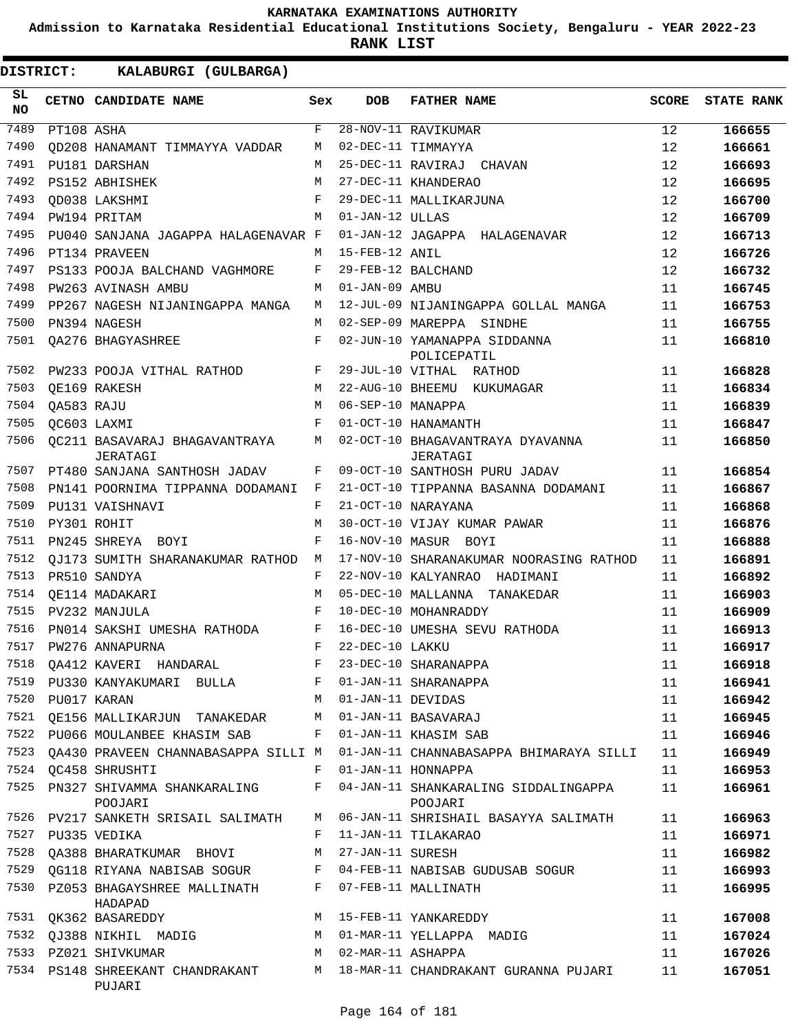**Admission to Karnataka Residential Educational Institutions Society, Bengaluru - YEAR 2022-23**

| DISTRICT:        |                  | KALABURGI (GULBARGA)                                              |            |                   |                                                                                  |              |                   |
|------------------|------------------|-------------------------------------------------------------------|------------|-------------------|----------------------------------------------------------------------------------|--------------|-------------------|
| SL.<br><b>NO</b> |                  | CETNO CANDIDATE NAME                                              | Sex        | <b>DOB</b>        | <b>FATHER NAME</b>                                                               | <b>SCORE</b> | <b>STATE RANK</b> |
| 7489             | PT108 ASHA       |                                                                   | F          |                   | 28-NOV-11 RAVIKUMAR                                                              | 12           | 166655            |
| 7490             |                  | OD208 HANAMANT TIMMAYYA VADDAR                                    | M          |                   | 02-DEC-11 TIMMAYYA                                                               | 12           | 166661            |
| 7491             |                  | PU181 DARSHAN                                                     | M          |                   | 25-DEC-11 RAVIRAJ CHAVAN                                                         | 12           | 166693            |
| 7492             |                  | PS152 ABHISHEK                                                    | M          |                   | 27-DEC-11 KHANDERAO                                                              | 12           | 166695            |
| 7493             |                  | OD038 LAKSHMI                                                     | $_{\rm F}$ |                   | 29-DEC-11 MALLIKARJUNA                                                           | 12           | 166700            |
| 7494             |                  | PW194 PRITAM                                                      | M          | 01-JAN-12 ULLAS   |                                                                                  | 12           | 166709            |
| 7495             |                  | PU040 SANJANA JAGAPPA HALAGENAVAR F                               |            |                   | 01-JAN-12 JAGAPPA HALAGENAVAR                                                    | 12           | 166713            |
| 7496             |                  | PT134 PRAVEEN                                                     | M          | 15-FEB-12 ANIL    |                                                                                  | 12           | 166726            |
| 7497             |                  | PS133 POOJA BALCHAND VAGHMORE                                     | F          |                   | 29-FEB-12 BALCHAND                                                               | 12           | 166732            |
| 7498             |                  | PW263 AVINASH AMBU                                                | M          | 01-JAN-09 AMBU    |                                                                                  | 11           | 166745            |
| 7499             |                  | PP267 NAGESH NIJANINGAPPA MANGA                                   | М          |                   | 12-JUL-09 NIJANINGAPPA GOLLAL MANGA                                              | 11           | 166753            |
| 7500             |                  | PN394 NAGESH                                                      | M          |                   | 02-SEP-09 MAREPPA SINDHE                                                         | 11           | 166755            |
| 7501             |                  | <b>QA276 BHAGYASHREE</b>                                          | F          |                   | 02-JUN-10 YAMANAPPA SIDDANNA<br>POLICEPATIL                                      | 11           | 166810            |
| 7502             |                  | PW233 POOJA VITHAL RATHOD                                         | F          |                   | 29-JUL-10 VITHAL RATHOD                                                          | 11           | 166828            |
| 7503             |                  | OE169 RAKESH                                                      | M          |                   | 22-AUG-10 BHEEMU KUKUMAGAR                                                       | 11           | 166834            |
| 7504             | QA583 RAJU       |                                                                   | M          | 06-SEP-10 MANAPPA |                                                                                  | 11           | 166839            |
| 7505             |                  | OC603 LAXMI                                                       | F          |                   | 01-OCT-10 HANAMANTH                                                              | 11           | 166847            |
| 7506             |                  | OC211 BASAVARAJ BHAGAVANTRAYA<br>JERATAGI                         | М          |                   | 02-OCT-10 BHAGAVANTRAYA DYAVANNA<br>JERATAGI                                     | 11           | 166850            |
| 7507             |                  | PT480 SANJANA SANTHOSH JADAV                                      | F          |                   | 09-OCT-10 SANTHOSH PURU JADAV                                                    | 11           | 166854            |
| 7508             |                  | PN141 POORNIMA TIPPANNA DODAMANI                                  | F          |                   | 21-OCT-10 TIPPANNA BASANNA DODAMANI                                              | 11           | 166867            |
| 7509             |                  | PU131 VAISHNAVI                                                   | F          |                   | 21-OCT-10 NARAYANA                                                               | 11           | 166868            |
| 7510             |                  | PY301 ROHIT                                                       | M          |                   | 30-OCT-10 VIJAY KUMAR PAWAR                                                      | 11           | 166876            |
| 7511             |                  | PN245 SHREYA BOYI                                                 | F          |                   | 16-NOV-10 MASUR BOYI                                                             | 11           | 166888            |
| 7512             |                  | QJ173 SUMITH SHARANAKUMAR RATHOD                                  | M          |                   | 17-NOV-10 SHARANAKUMAR NOORASING RATHOD                                          | 11           | 166891            |
| 7513             |                  | PR510 SANDYA                                                      | F          |                   | 22-NOV-10 KALYANRAO HADIMANI                                                     | 11           | 166892            |
| 7514             |                  | OE114 MADAKARI                                                    | M          |                   | 05-DEC-10 MALLANNA TANAKEDAR                                                     | 11           | 166903            |
| 7515             |                  | PV232 MANJULA                                                     | $_{\rm F}$ |                   | 10-DEC-10 MOHANRADDY                                                             | 11           | 166909            |
| 7516             |                  | PN014 SAKSHI UMESHA RATHODA                                       | F          |                   | 16-DEC-10 UMESHA SEVU RATHODA                                                    | 11           | 166913            |
| 7517             |                  | PW276 ANNAPURNA                                                   | F          | 22-DEC-10 LAKKU   |                                                                                  | 11           | 166917            |
|                  |                  | 7518 QA412 KAVERI HANDARAL B F 23-DEC-10 SHARANAPPA               |            |                   |                                                                                  | 11           | 166918            |
|                  |                  | 7519 PU330 KANYAKUMARI BULLA BUF 01-JAN-11 SHARANAPPA             |            |                   |                                                                                  | 11           | 166941            |
|                  | 7520 PU017 KARAN | M 01-JAN-11 DEVIDAS                                               |            |                   |                                                                                  | 11           | 166942            |
|                  |                  | 7521 QE156 MALLIKARJUN TANAKEDAR M 01-JAN-11 BASAVARAJ            |            |                   |                                                                                  | 11           | 166945            |
|                  |                  | 7522 PU066 MOULANBEE KHASIM SAB F 01-JAN-11 KHASIM SAB            |            |                   |                                                                                  | 11           | 166946            |
|                  |                  |                                                                   |            |                   | 7523 QA430 PRAVEEN CHANNABASAPPA SILLI M 01-JAN-11 CHANNABASAPPA BHIMARAYA SILLI | 11           | 166949            |
|                  |                  | 7524 QC458 SHRUSHTI                                               |            |                   | F 01-JAN-11 HONNAPPA                                                             | 11           | 166953            |
| 7525             |                  | PN327 SHIVAMMA SHANKARALING<br>POOJARI                            |            |                   | F 04-JAN-11 SHANKARALING SIDDALINGAPPA<br>POOJARI                                | 11           | 166961            |
|                  |                  | 7526 PV217 SANKETH SRISAIL SALIMATH                               |            |                   | M 06-JAN-11 SHRISHAIL BASAYYA SALIMATH                                           | 11           | 166963            |
|                  |                  | 7527 PU335 VEDIKA                                                 | F          |                   | 11-JAN-11 TILAKARAO                                                              | 11           | 166971            |
|                  |                  | 7528 QA388 BHARATKUMAR BHOVI M 27-JAN-11 SURESH                   |            |                   |                                                                                  | 11           | 166982            |
|                  |                  |                                                                   |            |                   | 7529 QG118 RIYANA NABISAB SOGUR F 04-FEB-11 NABISAB GUDUSAB SOGUR                | 11           | 166993            |
|                  |                  | 7530 PZ053 BHAGAYSHREE MALLINATH F 07-FEB-11 MALLINATH<br>HADAPAD |            |                   |                                                                                  | 11           | 166995            |
|                  |                  | 7531 QK362 BASAREDDY                                              |            |                   | M 15-FEB-11 YANKAREDDY                                                           | 11           | 167008            |
|                  |                  |                                                                   |            |                   | 7532 QJ388 NIKHIL MADIG             M   01-MAR-11 YELLAPPA  MADIG                | 11           | 167024            |
|                  |                  | 7533 PZ021 SHIVKUMAR M 02-MAR-11 ASHAPPA                          |            |                   |                                                                                  | 11           | 167026            |
|                  |                  | PUJARI                                                            |            |                   | 7534 PS148 SHREEKANT CHANDRAKANT M 18-MAR-11 CHANDRAKANT GURANNA PUJARI          | 11           | 167051            |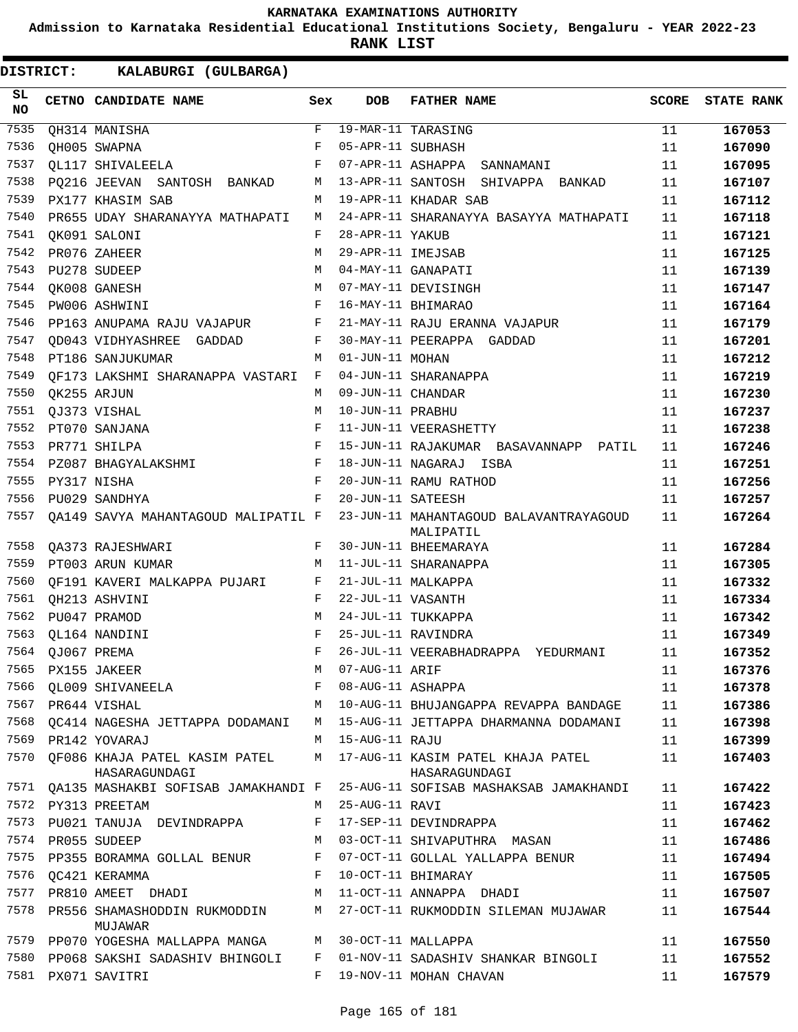**Admission to Karnataka Residential Educational Institutions Society, Bengaluru - YEAR 2022-23**

**RANK LIST**

| SL<br>NO |                  | CETNO CANDIDATE NAME                                        | Sex          | <b>DOB</b>        | <b>FATHER NAME</b>                                  | <b>SCORE</b> | <b>STATE RANK</b> |
|----------|------------------|-------------------------------------------------------------|--------------|-------------------|-----------------------------------------------------|--------------|-------------------|
| 7535     |                  | QH314 MANISHA                                               | F            |                   | 19-MAR-11 TARASING                                  | 11           | 167053            |
| 7536     |                  | QH005 SWAPNA                                                | F            | 05-APR-11 SUBHASH |                                                     | 11           | 167090            |
| 7537     |                  | QL117 SHIVALEELA                                            | F            |                   | 07-APR-11 ASHAPPA SANNAMANI                         | 11           | 167095            |
| 7538     |                  | PQ216 JEEVAN SANTOSH BANKAD                                 | M            |                   | 13-APR-11 SANTOSH SHIVAPPA BANKAD                   | 11           | 167107            |
| 7539     |                  | PX177 KHASIM SAB                                            | M            |                   | 19-APR-11 KHADAR SAB                                | 11           | 167112            |
| 7540     |                  | PR655 UDAY SHARANAYYA MATHAPATI                             | M            |                   | 24-APR-11 SHARANAYYA BASAYYA MATHAPATI              | 11           | 167118            |
| 7541     |                  | QK091 SALONI                                                | F            | 28-APR-11 YAKUB   |                                                     | 11           | 167121            |
| 7542     |                  | PR076 ZAHEER                                                | M            | 29-APR-11 IMEJSAB |                                                     | 11           | 167125            |
| 7543     |                  | PU278 SUDEEP                                                | M            |                   | 04-MAY-11 GANAPATI                                  | 11           | 167139            |
| 7544     |                  | QK008 GANESH                                                | M            |                   | 07-MAY-11 DEVISINGH                                 | 11           | 167147            |
| 7545     |                  | PW006 ASHWINI                                               | F            |                   | 16-MAY-11 BHIMARAO                                  | 11           | 167164            |
| 7546     |                  | PP163 ANUPAMA RAJU VAJAPUR F                                |              |                   | 21-MAY-11 RAJU ERANNA VAJAPUR                       | 11           | 167179            |
| 7547     |                  | QD043 VIDHYASHREE GADDAD                                    | F            |                   | 30-MAY-11 PEERAPPA GADDAD                           | 11           | 167201            |
| 7548     |                  | PT186 SANJUKUMAR                                            | M            | 01-JUN-11 MOHAN   |                                                     | 11           | 167212            |
| 7549     |                  | QF173 LAKSHMI SHARANAPPA VASTARI F                          |              |                   | 04-JUN-11 SHARANAPPA                                | 11           | 167219            |
| 7550     | QK255 ARJUN      |                                                             | M            | 09-JUN-11 CHANDAR |                                                     | 11           | 167230            |
| 7551     |                  | QJ373 VISHAL                                                | M            | 10-JUN-11 PRABHU  |                                                     | 11           | 167237            |
| 7552     |                  | PT070 SANJANA                                               | F            |                   | 11-JUN-11 VEERASHETTY                               | 11           | 167238            |
| 7553     |                  | PR771 SHILPA                                                | F            |                   | 15-JUN-11 RAJAKUMAR BASAVANNAPP PATIL               | 11           | 167246            |
| 7554     |                  | PZ087 BHAGYALAKSHMI                                         | $\mathbf{F}$ |                   | 18-JUN-11 NAGARAJ ISBA                              | 11           | 167251            |
| 7555     | PY317 NISHA      |                                                             | $_{\rm F}$   |                   | 20-JUN-11 RAMU RATHOD                               | 11           | 167256            |
| 7556     |                  | PU029 SANDHYA                                               | F            | 20-JUN-11 SATEESH |                                                     | 11           | 167257            |
| 7557     |                  | QA149 SAVYA MAHANTAGOUD MALIPATIL F                         |              |                   | 23-JUN-11 MAHANTAGOUD BALAVANTRAYAGOUD<br>MALIPATIL | 11           | 167264            |
| 7558     |                  | QA373 RAJESHWARI                                            | F            |                   | 30-JUN-11 BHEEMARAYA                                | 11           | 167284            |
| 7559     |                  | PT003 ARUN KUMAR<br>$\mathbb{M}$                            |              |                   | 11-JUL-11 SHARANAPPA                                | 11           | 167305            |
| 7560     |                  | QF191 KAVERI MALKAPPA PUJARI F                              |              |                   | 21-JUL-11 MALKAPPA                                  | 11           | 167332            |
| 7561     |                  | QH213 ASHVINI                                               | F            | 22-JUL-11 VASANTH |                                                     | 11           | 167334            |
| 7562     |                  | PU047 PRAMOD                                                | М            |                   | 24-JUL-11 TUKKAPPA                                  | 11           | 167342            |
| 7563     |                  | QL164 NANDINI                                               | F            |                   | 25-JUL-11 RAVINDRA                                  | 11           | 167349            |
|          | 7564 QJ067 PREMA |                                                             | F            |                   | 26-JUL-11 VEERABHADRAPPA YEDURMANI                  | 11           | 167352            |
|          |                  | 7565 PX155 JAKEER                                           |              | M 07-AUG-11 ARIF  |                                                     | 11           | 167376            |
| 7566     |                  | QL009 SHIVANEELA                                            | F            | 08-AUG-11 ASHAPPA |                                                     | 11           | 167378            |
|          |                  | 7567 PR644 VISHAL                                           | M            |                   | 10-AUG-11 BHUJANGAPPA REVAPPA BANDAGE               | 11           | 167386            |
| 7568     |                  | OC414 NAGESHA JETTAPPA DODAMANI                             | M            |                   | 15-AUG-11 JETTAPPA DHARMANNA DODAMANI               | 11           | 167398            |
|          |                  | 7569 PR142 YOVARAJ                                          |              | M 15-AUG-11 RAJU  |                                                     | 11           | 167399            |
|          |                  | 7570 QF086 KHAJA PATEL KASIM PATEL<br>HASARAGUNDAGI         | M            |                   | 17-AUG-11 KASIM PATEL KHAJA PATEL<br>HASARAGUNDAGI  | 11           | 167403            |
| 7571     |                  | QA135 MASHAKBI SOFISAB JAMAKHANDI F                         |              |                   | 25-AUG-11 SOFISAB MASHAKSAB JAMAKHANDI              | 11           | 167422            |
|          |                  | 7572 PY313 PREETAM                                          | M            | 25-AUG-11 RAVI    |                                                     | 11           | 167423            |
|          |                  | 7573 PU021 TANUJA DEVINDRAPPA                               | F            |                   | 17-SEP-11 DEVINDRAPPA                               | 11           | 167462            |
|          |                  | 7574 PR055 SUDEEP                                           | M            |                   | 03-OCT-11 SHIVAPUTHRA MASAN                         | 11           | 167486            |
| 7575     |                  | PP355 BORAMMA GOLLAL BENUR                                  | F            |                   | 07-OCT-11 GOLLAL YALLAPPA BENUR                     | 11           | 167494            |
| 7576     |                  | QC421 KERAMMA                                               | F            |                   | 10-OCT-11 BHIMARAY                                  | 11           | 167505            |
| 7577     |                  | PR810 AMEET DHADI                                           | M            |                   | 11-OCT-11 ANNAPPA DHADI                             | 11           | 167507            |
| 7578     |                  | PR556 SHAMASHODDIN RUKMODDIN<br>MUJAWAR                     | M            |                   | 27-OCT-11 RUKMODDIN SILEMAN MUJAWAR                 | 11           | 167544            |
|          |                  | 7579 PP070 YOGESHA MALLAPPA MANGA MANGA 130-OCT-11 MALLAPPA |              |                   |                                                     | 11           | 167550            |
|          |                  | 7580 PP068 SAKSHI SADASHIV BHINGOLI                         | F            |                   | 01-NOV-11 SADASHIV SHANKAR BINGOLI                  | 11           | 167552            |
|          |                  | 7581 PX071 SAVITRI                                          | F            |                   | 19-NOV-11 MOHAN CHAVAN                              | 11           | 167579            |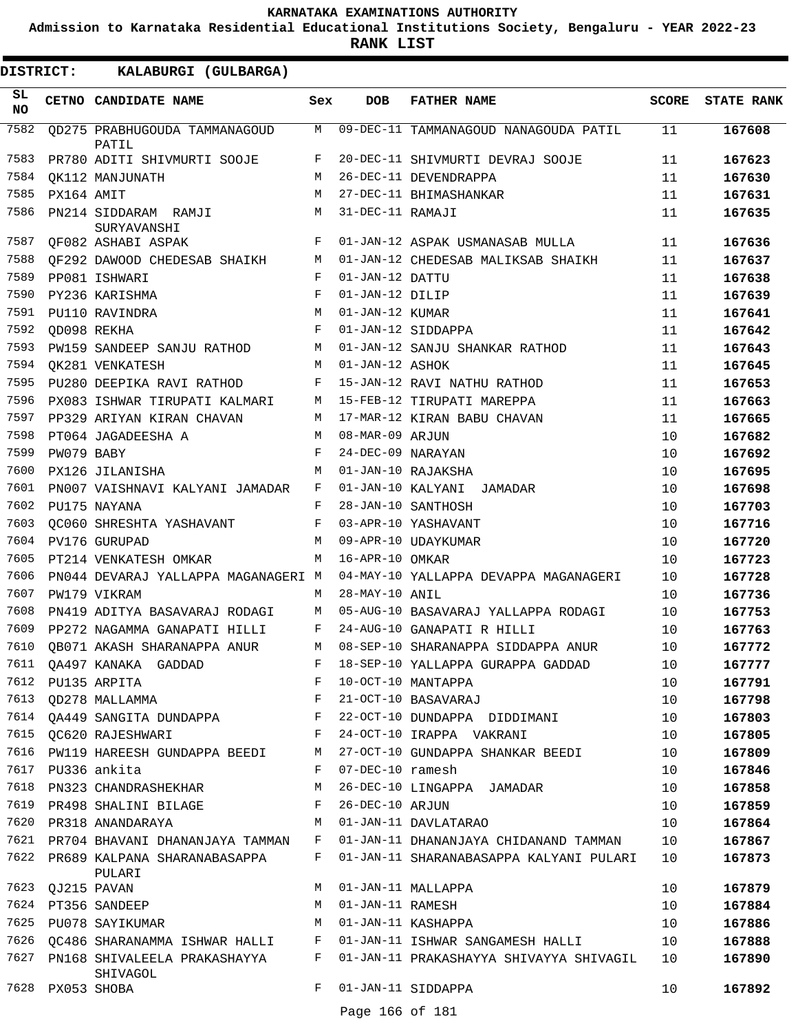**Admission to Karnataka Residential Educational Institutions Society, Bengaluru - YEAR 2022-23**

**RANK LIST**

**DISTRICT:** KK **KALABURGI (GULBARGA)**

| SL<br><b>NO</b> |                  | <b>CETNO CANDIDATE NAME</b>                                                         | Sex          | <b>DOB</b>         | <b>FATHER NAME</b>                                                           | SCORE | <b>STATE RANK</b> |
|-----------------|------------------|-------------------------------------------------------------------------------------|--------------|--------------------|------------------------------------------------------------------------------|-------|-------------------|
| 7582            |                  | QD275 PRABHUGOUDA TAMMANAGOUD<br>PATIL                                              |              |                    | M 09-DEC-11 TAMMANAGOUD NANAGOUDA PATIL                                      | 11    | 167608            |
| 7583            |                  | PR780 ADITI SHIVMURTI SOOJE                                                         | F            |                    | 20-DEC-11 SHIVMURTI DEVRAJ SOOJE                                             | 11    | 167623            |
| 7584            |                  | OK112 MANJUNATH                                                                     | M            |                    | 26-DEC-11 DEVENDRAPPA                                                        | 11    | 167630            |
| 7585            | PX164 AMIT       |                                                                                     | M            |                    | 27-DEC-11 BHIMASHANKAR                                                       | 11    | 167631            |
| 7586            |                  | PN214 SIDDARAM RAMJI                                                                | М            | 31-DEC-11 RAMAJI   |                                                                              | 11    | 167635            |
|                 |                  | SURYAVANSHI                                                                         |              |                    |                                                                              |       |                   |
| 7587            |                  | QF082 ASHABI ASPAK                                                                  | F            |                    | 01-JAN-12 ASPAK USMANASAB MULLA                                              | 11    | 167636            |
| 7588            |                  | QF292 DAWOOD CHEDESAB SHAIKH                                                        | М            |                    | 01-JAN-12 CHEDESAB MALIKSAB SHAIKH                                           | 11    | 167637            |
| 7589            |                  | PP081 ISHWARI                                                                       | F            | 01-JAN-12 DATTU    |                                                                              | 11    | 167638            |
| 7590            |                  | PY236 KARISHMA                                                                      | F            | 01-JAN-12 DILIP    |                                                                              | 11    | 167639            |
| 7591            |                  | PU110 RAVINDRA                                                                      | М            | 01-JAN-12 KUMAR    |                                                                              | 11    | 167641            |
| 7592            |                  | QD098 REKHA                                                                         | F            |                    | 01-JAN-12 SIDDAPPA                                                           | 11    | 167642            |
| 7593            |                  | PW159 SANDEEP SANJU RATHOD                                                          | М            |                    | 01-JAN-12 SANJU SHANKAR RATHOD                                               | 11    | 167643            |
| 7594            |                  | OK281 VENKATESH                                                                     | M            | 01-JAN-12 ASHOK    |                                                                              | 11    | 167645            |
| 7595            |                  | PU280 DEEPIKA RAVI RATHOD                                                           | F            |                    | 15-JAN-12 RAVI NATHU RATHOD                                                  | 11    | 167653            |
| 7596            |                  | PX083 ISHWAR TIRUPATI KALMARI                                                       | M            |                    | 15-FEB-12 TIRUPATI MAREPPA                                                   | 11    | 167663            |
| 7597            |                  | PP329 ARIYAN KIRAN CHAVAN                                                           | М            |                    | 17-MAR-12 KIRAN BABU CHAVAN                                                  | 11    | 167665            |
| 7598            |                  | PT064 JAGADEESHA A                                                                  | M            | 08-MAR-09 ARJUN    |                                                                              | 10    | 167682            |
| 7599            | PW079 BABY       |                                                                                     | F            | 24-DEC-09 NARAYAN  |                                                                              | 10    | 167692            |
| 7600            |                  | PX126 JILANISHA                                                                     | M            |                    | 01-JAN-10 RAJAKSHA                                                           | 10    | 167695            |
| 7601            |                  | PN007 VAISHNAVI KALYANI JAMADAR                                                     | F            |                    | 01-JAN-10 KALYANI JAMADAR                                                    | 10    | 167698            |
| 7602            |                  | PU175 NAYANA                                                                        | F            |                    | 28-JAN-10 SANTHOSH                                                           | 10    | 167703            |
| 7603            |                  | OC060 SHRESHTA YASHAVANT                                                            | F            |                    | 03-APR-10 YASHAVANT                                                          | 10    | 167716            |
| 7604            |                  | PV176 GURUPAD                                                                       | M            |                    | 09-APR-10 UDAYKUMAR                                                          | 10    | 167720            |
| 7605            |                  | PT214 VENKATESH OMKAR                                                               | M            | 16-APR-10 OMKAR    |                                                                              | 10    | 167723            |
| 7606            |                  | PN044 DEVARAJ YALLAPPA MAGANAGERI M                                                 |              |                    | 04-MAY-10 YALLAPPA DEVAPPA MAGANAGERI                                        | 10    | 167728            |
| 7607            |                  | PW179 VIKRAM                                                                        | M            | 28-MAY-10 ANIL     |                                                                              | 10    | 167736            |
| 7608            |                  | PN419 ADITYA BASAVARAJ RODAGI                                                       | M            |                    | 05-AUG-10 BASAVARAJ YALLAPPA RODAGI                                          | 10    | 167753            |
| 7609            |                  | PP272 NAGAMMA GANAPATI HILLI                                                        | $\mathbf{F}$ |                    | 24-AUG-10 GANAPATI R HILLI                                                   | 10    | 167763            |
| 7610            |                  | OB071 AKASH SHARANAPPA ANUR                                                         | M            |                    | 08-SEP-10 SHARANAPPA SIDDAPPA ANUR                                           | 10    | 167772            |
| 7611            |                  | QA497 KANAKA GADDAD                                                                 |              |                    | F 18-SEP-10 YALLAPPA GURAPPA GADDAD                                          | 10    | 167777            |
|                 |                  | 7612 PU135 ARPITA                                                                   |              |                    | F 10-OCT-10 MANTAPPA                                                         | 10    | 167791            |
|                 |                  |                                                                                     |              |                    |                                                                              | 10    | 167798            |
|                 |                  |                                                                                     |              |                    | 7614 QA449 SANGITA DUNDAPPA F 22-OCT-10 DUNDAPPA DIDDIMANI                   | 10    | 167803            |
|                 |                  | $\mathbf{F}$ and the contract of the contract $\mathbf{F}$<br>7615 QC620 RAJESHWARI |              |                    | 24-OCT-10 IRAPPA VAKRANI                                                     | 10    | 167805            |
|                 |                  |                                                                                     |              |                    | 7616 PW119 HAREESH GUNDAPPA BEEDI M 27-OCT-10 GUNDAPPA SHANKAR BEEDI         | 10    | 167809            |
|                 |                  | 7617 PU336 ankita                                                                   |              | F 07-DEC-10 ramesh |                                                                              | 10    | 167846            |
| 7618            |                  | PN323 CHANDRASHEKHAR M                                                              |              |                    | 26-DEC-10 LINGAPPA JAMADAR                                                   | 10    | 167858            |
|                 |                  | 7619 PR498 SHALINI BILAGE F                                                         |              | 26-DEC-10 ARJUN    |                                                                              | 10    | 167859            |
|                 |                  | 7620 PR318 ANANDARAYA                                                               |              |                    | M 01-JAN-11 DAVLATARAO                                                       | 10    | 167864            |
|                 |                  |                                                                                     |              |                    | 7621 PR704 BHAVANI DHANANJAYA TAMMAN F 01-JAN-11 DHANANJAYA CHIDANAND TAMMAN | 10    | 167867            |
|                 |                  | 7622 PR689 KALPANA SHARANABASAPPA<br>PULARI                                         | F            |                    | 01-JAN-11 SHARANABASAPPA KALYANI PULARI                                      | 10    | 167873            |
|                 |                  | 7623 QJ215 PAVAN                                                                    |              |                    | M 01-JAN-11 MALLAPPA                                                         | 10    | 167879            |
| 7624            |                  | PT356 SANDEEP                                                                       |              |                    | M 01-JAN-11 RAMESH                                                           | 10    | 167884            |
| 7625            |                  | PU078 SAYIKUMAR M                                                                   |              |                    | 01-JAN-11 KASHAPPA                                                           | 10    | 167886            |
|                 |                  |                                                                                     |              |                    | 7626 QC486 SHARANAMMA ISHWAR HALLI F 01-JAN-11 ISHWAR SANGAMESH HALLI 10     |       | 167888            |
|                 |                  | 7627 PN168 SHIVALEELA PRAKASHAYYA F<br>SHIVAGOL                                     |              |                    | 01-JAN-11 PRAKASHAYYA SHIVAYYA SHIVAGIL                                      | 10    | 167890            |
|                 | 7628 PX053 SHOBA |                                                                                     | F            |                    | 01-JAN-11 SIDDAPPA                                                           | 10    | 167892            |

Page 166 of 181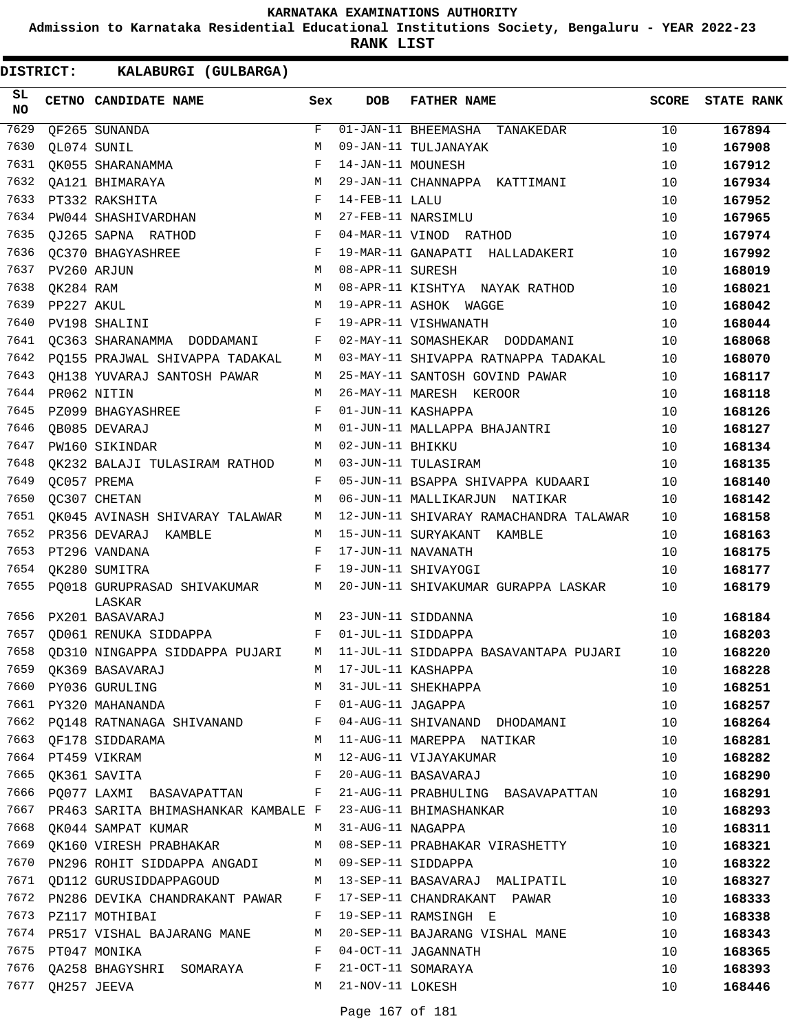**Admission to Karnataka Residential Educational Institutions Society, Bengaluru - YEAR 2022-23**

**RANK LIST**

| SL<br><b>NO</b> |                  | CETNO CANDIDATE NAME                                                | Sex          | <b>DOB</b>        | <b>FATHER NAME</b>                                          | <b>SCORE</b> | <b>STATE RANK</b> |
|-----------------|------------------|---------------------------------------------------------------------|--------------|-------------------|-------------------------------------------------------------|--------------|-------------------|
| 7629            |                  | QF265 SUNANDA                                                       | F            |                   | 01-JAN-11 BHEEMASHA TANAKEDAR                               | 10           | 167894            |
| 7630            |                  | OL074 SUNIL                                                         | M            |                   | 09-JAN-11 TULJANAYAK                                        | 10           | 167908            |
| 7631            |                  | OK055 SHARANAMMA                                                    | F            | 14-JAN-11 MOUNESH |                                                             | 10           | 167912            |
| 7632            |                  | QA121 BHIMARAYA                                                     | М            |                   | 29-JAN-11 CHANNAPPA KATTIMANI                               | 10           | 167934            |
| 7633            |                  | PT332 RAKSHITA                                                      | $_{\rm F}$   | 14-FEB-11 LALU    |                                                             | 10           | 167952            |
| 7634            |                  | PW044 SHASHIVARDHAN                                                 | М            |                   | 27-FEB-11 NARSIMLU                                          | 10           | 167965            |
| 7635            |                  | OJ265 SAPNA RATHOD                                                  | $_{\rm F}$   |                   | 04-MAR-11 VINOD RATHOD                                      | 10           | 167974            |
| 7636            |                  | OC370 BHAGYASHREE                                                   | F            |                   | 19-MAR-11 GANAPATI HALLADAKERI                              | 10           | 167992            |
| 7637            |                  | PV260 ARJUN                                                         | М            | 08-APR-11 SURESH  |                                                             | 10           | 168019            |
| 7638            | OK284 RAM        |                                                                     | М            |                   | 08-APR-11 KISHTYA NAYAK RATHOD                              | 10           | 168021            |
| 7639            | PP227 AKUL       |                                                                     | M            |                   | 19-APR-11 ASHOK WAGGE                                       | 10           | 168042            |
| 7640            |                  | PV198 SHALINI                                                       | F            |                   | 19-APR-11 VISHWANATH                                        | 10           | 168044            |
| 7641            |                  | QC363 SHARANAMMA DODDAMANI                                          | F            |                   | 02-MAY-11 SOMASHEKAR DODDAMANI                              | 10           | 168068            |
| 7642            |                  | PO155 PRAJWAL SHIVAPPA TADAKAL                                      | М            |                   | 03-MAY-11 SHIVAPPA RATNAPPA TADAKAL                         | 10           | 168070            |
| 7643            |                  | OH138 YUVARAJ SANTOSH PAWAR                                         | М            |                   | 25-MAY-11 SANTOSH GOVIND PAWAR                              | 10           | 168117            |
| 7644            |                  | PR062 NITIN                                                         | M            |                   | 26-MAY-11 MARESH KEROOR                                     | 10           | 168118            |
| 7645            |                  | PZ099 BHAGYASHREE                                                   | F            |                   | 01-JUN-11 KASHAPPA                                          | 10           | 168126            |
| 7646            |                  | OB085 DEVARAJ                                                       | М            |                   | 01-JUN-11 MALLAPPA BHAJANTRI                                | 10           | 168127            |
| 7647            |                  | PW160 SIKINDAR                                                      | M            | 02-JUN-11 BHIKKU  |                                                             | 10           | 168134            |
| 7648            |                  | OK232 BALAJI TULASIRAM RATHOD                                       | М            |                   | 03-JUN-11 TULASIRAM                                         | 10           | 168135            |
| 7649            |                  | OC057 PREMA                                                         | F            |                   | 05-JUN-11 BSAPPA SHIVAPPA KUDAARI                           | 10           | 168140            |
| 7650            |                  | OC307 CHETAN                                                        | М            |                   | 06-JUN-11 MALLIKARJUN NATIKAR                               | 10           | 168142            |
| 7651            |                  | QK045 AVINASH SHIVARAY TALAWAR                                      | М            |                   | 12-JUN-11 SHIVARAY RAMACHANDRA TALAWAR                      | 10           | 168158            |
| 7652            |                  | PR356 DEVARAJ KAMBLE                                                | М            |                   | 15-JUN-11 SURYAKANT KAMBLE                                  | 10           | 168163            |
| 7653            |                  | PT296 VANDANA                                                       | F            |                   | 17-JUN-11 NAVANATH                                          | 10           | 168175            |
| 7654            |                  | OK280 SUMITRA                                                       | F            |                   | 19-JUN-11 SHIVAYOGI                                         | 10           | 168177            |
| 7655            |                  | PO018 GURUPRASAD SHIVAKUMAR<br>LASKAR                               | M            |                   | 20-JUN-11 SHIVAKUMAR GURAPPA LASKAR                         | 10           | 168179            |
| 7656            |                  | PX201 BASAVARAJ                                                     | М            |                   | 23-JUN-11 SIDDANNA                                          | 10           | 168184            |
| 7657            |                  | OD061 RENUKA SIDDAPPA                                               | F            |                   | 01-JUL-11 SIDDAPPA                                          | 10           | 168203            |
| 7658            |                  | QD310 NINGAPPA SIDDAPPA PUJARI                                      | М            |                   | 11-JUL-11 SIDDAPPA BASAVANTAPA PUJARI                       | 10           | 168220            |
|                 |                  |                                                                     | М            |                   | 17-JUL-11 KASHAPPA                                          | 10           | 168228            |
|                 |                  | 7659 QK369 BASAVARAJ<br>7660 PY036 GURULING<br>7661 PY320 MAHANANDA | М            |                   | 31-JUL-11 SHEKHAPPA                                         | 10           | 168251            |
|                 |                  |                                                                     | $\mathbf{F}$ |                   | 01-AUG-11 JAGAPPA                                           | 10           | 168257            |
|                 |                  | 7662 PQ148 RATNANAGA SHIVANAND F                                    |              |                   | 04-AUG-11 SHIVANAND DHODAMANI                               | 10           | 168264            |
|                 |                  | 7663 QF178 SIDDARAMA                                                | М            |                   | 11-AUG-11 MAREPPA NATIKAR                                   | 10           | 168281            |
|                 |                  | 7664 PT459 VIKRAM                                                   | М            |                   | 12-AUG-11 VIJAYAKUMAR                                       | 10           | 168282            |
|                 |                  | 7665 QK361 SAVITA                                                   | $\mathbf{F}$ |                   | 20-AUG-11 BASAVARAJ                                         | 10           | 168290            |
|                 |                  | 7666 PQ077 LAXMI BASAVAPATTAN F                                     |              |                   | 21-AUG-11 PRABHULING BASAVAPATTAN                           | 10           | 168291            |
| 7667            |                  | PR463 SARITA BHIMASHANKAR KAMBALE F                                 |              |                   | 23-AUG-11 BHIMASHANKAR                                      | 10           | 168293            |
| 7668            |                  | QK044 SAMPAT KUMAR M                                                |              | 31-AUG-11 NAGAPPA |                                                             | 10           | 168311            |
|                 |                  | 7669 OK160 VIRESH PRABHAKAR                                         |              |                   | M 08-SEP-11 PRABHAKAR VIRASHETTY                            | 10           | 168321            |
|                 |                  | 7670 PN296 ROHIT SIDDAPPA ANGADI M 09-SEP-11 SIDDAPPA               |              |                   |                                                             | 10           | 168322            |
|                 |                  |                                                                     |              |                   | 7671 QD112 GURUSIDDAPPAGOUD M 13-SEP-11 BASAVARAJ MALIPATIL | 10           | 168327            |
|                 |                  | 7672 PN286 DEVIKA CHANDRAKANT PAWAR F                               |              |                   | 17-SEP-11 CHANDRAKANT PAWAR                                 | 10           | 168333            |
|                 |                  | 7673 PZ117 MOTHIBAI                                                 | F            |                   | 19-SEP-11 RAMSINGH E                                        | 10           | 168338            |
|                 |                  | 7674 PR517 VISHAL BAJARANG MANE                                     | М            |                   | 20-SEP-11 BAJARANG VISHAL MANE                              | 10           | 168343            |
|                 |                  | 7675 PT047 MONIKA                                                   | F            |                   | 04-OCT-11 JAGANNATH                                         | 10           | 168365            |
| 7676            |                  | QA258 BHAGYSHRI SOMARAYA                                            | F            |                   | 21-OCT-11 SOMARAYA                                          | 10           | 168393            |
|                 | 7677 QH257 JEEVA |                                                                     | M            | 21-NOV-11 LOKESH  |                                                             | 10           | 168446            |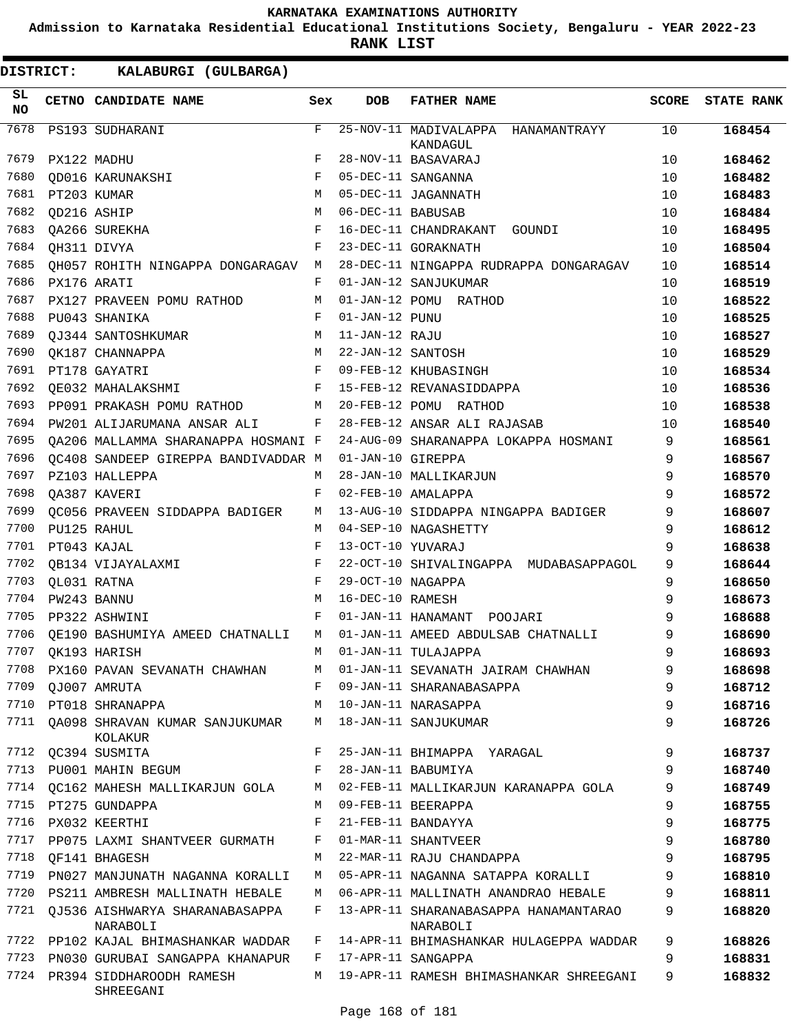**Admission to Karnataka Residential Educational Institutions Society, Bengaluru - YEAR 2022-23**

**RANK LIST**

| SL<br><b>NO</b> |             | CETNO CANDIDATE NAME                  | Sex          | <b>DOB</b>        | <b>FATHER NAME</b>                             | <b>SCORE</b> | <b>STATE RANK</b> |
|-----------------|-------------|---------------------------------------|--------------|-------------------|------------------------------------------------|--------------|-------------------|
| 7678            |             | PS193 SUDHARANI                       | $\mathbf F$  |                   | 25-NOV-11 MADIVALAPPA HANAMANTRAYY<br>KANDAGUL | 10           | 168454            |
| 7679            |             | PX122 MADHU                           | F            |                   | 28-NOV-11 BASAVARAJ                            | 10           | 168462            |
| 7680            |             | OD016 KARUNAKSHI                      | F            |                   | 05-DEC-11 SANGANNA                             | 10           | 168482            |
| 7681            |             | PT203 KUMAR                           | M            |                   | 05-DEC-11 JAGANNATH                            | 10           | 168483            |
| 7682            | OD216 ASHIP |                                       | M            | 06-DEC-11 BABUSAB |                                                | 10           | 168484            |
| 7683            |             | QA266 SUREKHA                         | F            |                   | 16-DEC-11 CHANDRAKANT<br>GOUNDI                | 10           | 168495            |
| 7684            |             | QH311 DIVYA                           | F            |                   | 23-DEC-11 GORAKNATH                            | 10           | 168504            |
| 7685            |             | QH057 ROHITH NINGAPPA DONGARAGAV      | M            |                   | 28-DEC-11 NINGAPPA RUDRAPPA DONGARAGAV         | 10           | 168514            |
| 7686            | PX176 ARATI |                                       | F            |                   | 01-JAN-12 SANJUKUMAR                           | 10           | 168519            |
| 7687            |             | PX127 PRAVEEN POMU RATHOD             | М            |                   | 01-JAN-12 POMU RATHOD                          | 10           | 168522            |
| 7688            |             | PU043 SHANIKA                         | F            | 01-JAN-12 PUNU    |                                                | 10           | 168525            |
| 7689            |             | OJ344 SANTOSHKUMAR                    | М            | 11-JAN-12 RAJU    |                                                | 10           | 168527            |
| 7690            |             | OK187 CHANNAPPA                       | М            | 22-JAN-12 SANTOSH |                                                | 10           | 168529            |
| 7691            |             | PT178 GAYATRI                         | F            |                   | 09-FEB-12 KHUBASINGH                           | 10           | 168534            |
| 7692            |             | OE032 MAHALAKSHMI                     | F            |                   | 15-FEB-12 REVANASIDDAPPA                       | 10           | 168536            |
| 7693            |             | PP091 PRAKASH POMU RATHOD             | М            |                   | 20-FEB-12 POMU RATHOD                          | 10           | 168538            |
| 7694            |             | PW201 ALIJARUMANA ANSAR ALI           | $\mathbf{F}$ |                   | 28-FEB-12 ANSAR ALI RAJASAB                    | 10           | 168540            |
| 7695            |             | QA206 MALLAMMA SHARANAPPA HOSMANI F   |              |                   | 24-AUG-09 SHARANAPPA LOKAPPA HOSMANI           | 9            | 168561            |
| 7696            |             | OC408 SANDEEP GIREPPA BANDIVADDAR M   |              | 01-JAN-10 GIREPPA |                                                | 9            | 168567            |
| 7697            |             | PZ103 HALLEPPA                        | M            |                   | 28-JAN-10 MALLIKARJUN                          | 9            | 168570            |
| 7698            |             | OA387 KAVERI                          | F            |                   | 02-FEB-10 AMALAPPA                             | 9            | 168572            |
| 7699            |             | OC056 PRAVEEN SIDDAPPA BADIGER        | М            |                   | 13-AUG-10 SIDDAPPA NINGAPPA BADIGER            | 9            | 168607            |
| 7700            |             | PU125 RAHUL                           | М            |                   | 04-SEP-10 NAGASHETTY                           | 9            | 168612            |
| 7701            |             | PT043 KAJAL                           | F            | 13-OCT-10 YUVARAJ |                                                | 9            | 168638            |
| 7702            |             | OB134 VIJAYALAXMI                     | F            |                   | 22-OCT-10 SHIVALINGAPPA MUDABASAPPAGOL         | 9            | 168644            |
| 7703            |             | QL031 RATNA                           | F            | 29-OCT-10 NAGAPPA |                                                | 9            | 168650            |
| 7704            |             | PW243 BANNU                           | M            | 16-DEC-10 RAMESH  |                                                | 9            | 168673            |
| 7705            |             | PP322 ASHWINI                         | F            |                   | 01-JAN-11 HANAMANT POOJARI                     | 9            | 168688            |
| 7706            |             | OE190 BASHUMIYA AMEED CHATNALLI       | М            |                   | 01-JAN-11 AMEED ABDULSAB CHATNALLI             | 9            | 168690            |
| 7707            |             | OK193 HARISH                          | М            |                   | 01-JAN-11 TULAJAPPA                            | 9            | 168693            |
| 7708            |             | PX160 PAVAN SEVANATH CHAWHAN          | М            |                   | 01-JAN-11 SEVANATH JAIRAM CHAWHAN              | 9            | 168698            |
| 7709            |             | QJ007 AMRUTA                          | F            |                   | 09-JAN-11 SHARANABASAPPA                       | 9            | 168712            |
| 7710            |             | PT018 SHRANAPPA                       | М            |                   | 10-JAN-11 NARASAPPA                            | 9            | 168716            |
|                 |             | 7711 QA098 SHRAVAN KUMAR SANJUKUMAR   | M            |                   | 18-JAN-11 SANJUKUMAR                           | 9            | 168726            |
|                 |             | KOLAKUR                               |              |                   |                                                |              |                   |
|                 |             | 7712 QC394 SUSMITA                    | F            |                   | 25-JAN-11 BHIMAPPA YARAGAL                     | 9            | 168737            |
| 7713            |             | PU001 MAHIN BEGUM                     | F            |                   | 28-JAN-11 BABUMIYA                             | 9            | 168740            |
|                 |             | 7714 OC162 MAHESH MALLIKARJUN GOLA    | M            |                   | 02-FEB-11 MALLIKARJUN KARANAPPA GOLA           | 9            | 168749            |
|                 |             | 7715 PT275 GUNDAPPA                   | М            |                   | 09-FEB-11 BEERAPPA                             | 9            | 168755            |
|                 |             | 7716 PX032 KEERTHI                    | F            |                   | 21-FEB-11 BANDAYYA                             | 9            | 168775            |
| 7717            |             | PP075 LAXMI SHANTVEER GURMATH         | F            |                   | 01-MAR-11 SHANTVEER                            | 9            | 168780            |
| 7718            |             | OF141 BHAGESH                         | М            |                   | 22-MAR-11 RAJU CHANDAPPA                       | 9            | 168795            |
| 7719            |             | PN027 MANJUNATH NAGANNA KORALLI       | M            |                   | 05-APR-11 NAGANNA SATAPPA KORALLI              | 9            | 168810            |
|                 |             | 7720 PS211 AMBRESH MALLINATH HEBALE   | M            |                   | 06-APR-11 MALLINATH ANANDRAO HEBALE            | 9            | 168811            |
|                 |             | 7721 QJ536 AISHWARYA SHARANABASAPPA   | F            |                   | 13-APR-11 SHARANABASAPPA HANAMANTARAO          | 9            | 168820            |
|                 |             | NARABOLI                              |              |                   | NARABOLI                                       |              |                   |
|                 |             | 7722 PP102 KAJAL BHIMASHANKAR WADDAR  | F            |                   | 14-APR-11 BHIMASHANKAR HULAGEPPA WADDAR        | 9            | 168826            |
| 7723            |             | PN030 GURUBAI SANGAPPA KHANAPUR       | F            |                   | 17-APR-11 SANGAPPA                             | 9            | 168831            |
| 7724            |             | PR394 SIDDHAROODH RAMESH<br>SHREEGANI |              |                   | M 19-APR-11 RAMESH BHIMASHANKAR SHREEGANI      | 9            | 168832            |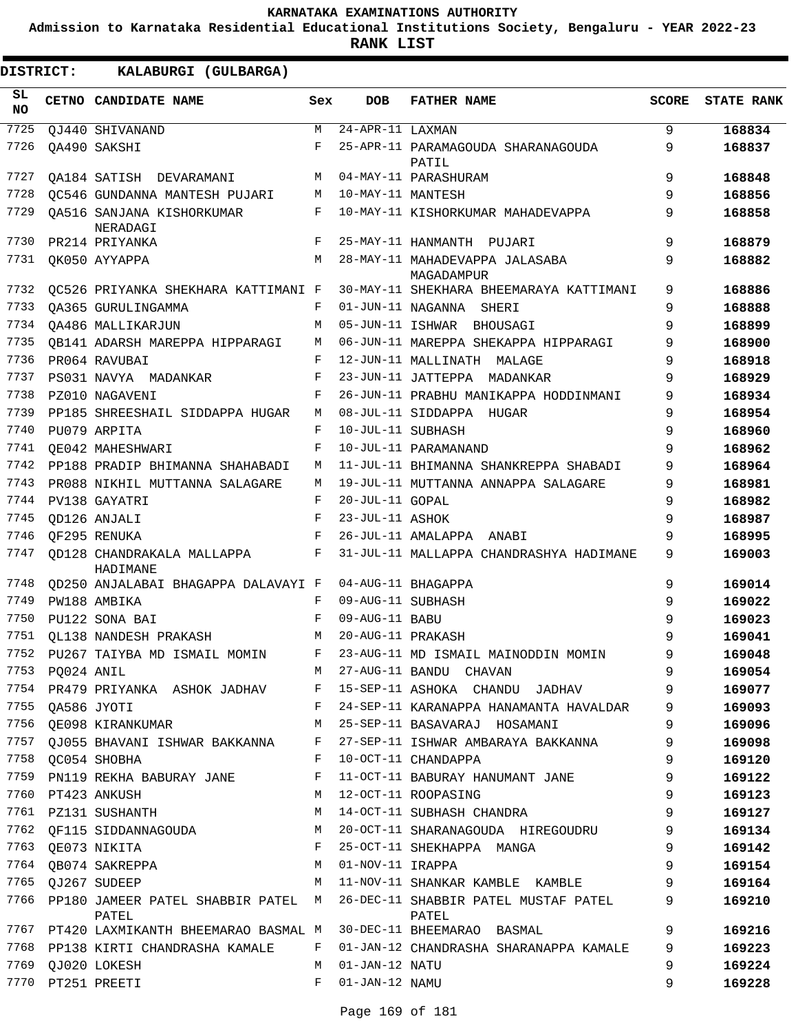**Admission to Karnataka Residential Educational Institutions Society, Bengaluru - YEAR 2022-23**

| <b>DISTRICT:</b> |            | KALABURGI (GULBARGA)                               |            |                                          |                                              |              |                   |
|------------------|------------|----------------------------------------------------|------------|------------------------------------------|----------------------------------------------|--------------|-------------------|
| SL.<br>NO        |            | CETNO CANDIDATE NAME                               | Sex        | <b>DOB</b>                               | <b>FATHER NAME</b>                           | <b>SCORE</b> | <b>STATE RANK</b> |
| 7725             |            | OJ440 SHIVANAND                                    | M          | $\overline{24 - \text{APR}} - 11$ LAXMAN |                                              | 9            | 168834            |
| 7726             |            | OA490 SAKSHI                                       | F          |                                          | 25-APR-11 PARAMAGOUDA SHARANAGOUDA<br>PATIL  | 9            | 168837            |
| 7727             |            | QA184 SATISH DEVARAMANI                            | М          |                                          | 04-MAY-11 PARASHURAM                         | 9            | 168848            |
| 7728             |            | QC546 GUNDANNA MANTESH PUJARI                      | М          | 10-MAY-11 MANTESH                        |                                              | 9            | 168856            |
| 7729             |            | QA516 SANJANA KISHORKUMAR<br>NERADAGI              | F          |                                          | 10-MAY-11 KISHORKUMAR MAHADEVAPPA            | 9            | 168858            |
| 7730             |            | PR214 PRIYANKA                                     | F          |                                          | 25-MAY-11 HANMANTH PUJARI                    | 9            | 168879            |
| 7731             |            | QK050 AYYAPPA                                      | M          |                                          | 28-MAY-11 MAHADEVAPPA JALASABA<br>MAGADAMPUR | 9            | 168882            |
| 7732             |            | QC526 PRIYANKA SHEKHARA KATTIMANI F                |            |                                          | 30-MAY-11 SHEKHARA BHEEMARAYA KATTIMANI      | 9            | 168886            |
| 7733             |            | OA365 GURULINGAMMA                                 | F          |                                          | 01-JUN-11 NAGANNA SHERI                      | 9            | 168888            |
| 7734             |            | OA486 MALLIKARJUN                                  | М          |                                          | 05-JUN-11 ISHWAR BHOUSAGI                    | 9            | 168899            |
| 7735             |            | QB141 ADARSH MAREPPA HIPPARAGI                     | М          |                                          | 06-JUN-11 MAREPPA SHEKAPPA HIPPARAGI         | 9            | 168900            |
| 7736             |            | PR064 RAVUBAI                                      | F          |                                          | 12-JUN-11 MALLINATH MALAGE                   | 9            | 168918            |
| 7737             |            | PS031 NAVYA MADANKAR                               | F          |                                          | 23-JUN-11 JATTEPPA MADANKAR                  | 9            | 168929            |
| 7738             |            | PZ010 NAGAVENI                                     | F          |                                          | 26-JUN-11 PRABHU MANIKAPPA HODDINMANI        | 9            | 168934            |
| 7739             |            | PP185 SHREESHAIL SIDDAPPA HUGAR                    | М          |                                          | 08-JUL-11 SIDDAPPA HUGAR                     | 9            | 168954            |
| 7740             |            | PU079 ARPITA                                       | F          | 10-JUL-11 SUBHASH                        |                                              | 9            | 168960            |
| 7741             |            | OE042 MAHESHWARI                                   | F          |                                          | 10-JUL-11 PARAMANAND                         | 9            | 168962            |
| 7742             |            | PP188 PRADIP BHIMANNA SHAHABADI                    | М          |                                          | 11-JUL-11 BHIMANNA SHANKREPPA SHABADI        | 9            | 168964            |
| 7743             |            | PR088 NIKHIL MUTTANNA SALAGARE                     | М          |                                          | 19-JUL-11 MUTTANNA ANNAPPA SALAGARE          | 9            | 168981            |
| 7744             |            | PV138 GAYATRI                                      | F          | 20-JUL-11 GOPAL                          |                                              | 9            | 168982            |
| 7745             |            | OD126 ANJALI                                       | $_{\rm F}$ | 23-JUL-11 ASHOK                          |                                              | 9            | 168987            |
| 7746             |            | OF295 RENUKA                                       | F          |                                          | 26-JUL-11 AMALAPPA ANABI                     | 9            | 168995            |
| 7747             |            | OD128 CHANDRAKALA MALLAPPA<br>HADIMANE             | F          |                                          | 31-JUL-11 MALLAPPA CHANDRASHYA HADIMANE      | 9            | 169003            |
| 7748             |            | QD250 ANJALABAI BHAGAPPA DALAVAYI F                |            |                                          | 04-AUG-11 BHAGAPPA                           | 9            | 169014            |
| 7749             |            | PW188 AMBIKA                                       | F          | 09-AUG-11 SUBHASH                        |                                              | 9            | 169022            |
| 7750             |            | PU122 SONA BAI                                     | F          | 09-AUG-11 BABU                           |                                              | 9            | 169023            |
| 7751             |            | QL138 NANDESH PRAKASH                              | М          | 20-AUG-11 PRAKASH                        |                                              | 9            | 169041            |
| 7752             |            | PU267 TAIYBA MD ISMAIL MOMIN                       |            |                                          | 23-AUG-11 MD ISMAIL MAINODDIN MOMIN          | 9            | 169048            |
| 7753             | PQ024 ANIL |                                                    | M          |                                          | 27-AUG-11 BANDU CHAVAN                       | 9            | 169054            |
| 7754             |            | PR479 PRIYANKA ASHOK JADHAV                        | F          |                                          | 15-SEP-11 ASHOKA CHANDU JADHAV               | 9            | 169077            |
| 7755             |            | OA586 JYOTI                                        | F          |                                          | 24-SEP-11 KARANAPPA HANAMANTA HAVALDAR       | 9            | 169093            |
| 7756             |            | QE098 KIRANKUMAR                                   | М          |                                          | 25-SEP-11 BASAVARAJ HOSAMANI                 | 9            | 169096            |
| 7757             |            | QJ055 BHAVANI ISHWAR BAKKANNA                      | F          |                                          | 27-SEP-11 ISHWAR AMBARAYA BAKKANNA           | 9            | 169098            |
|                  |            | 7758 QC054 SHOBHA                                  | F          |                                          | 10-OCT-11 CHANDAPPA                          | 9            | 169120            |
| 7759             |            | PN119 REKHA BABURAY JANE                           | F          |                                          | 11-OCT-11 BABURAY HANUMANT JANE              | 9            | 169122            |
| 7760             |            | PT423 ANKUSH                                       | М          |                                          | 12-OCT-11 ROOPASING                          | 9            | 169123            |
| 7761             |            | PZ131 SUSHANTH                                     | М          |                                          | 14-OCT-11 SUBHASH CHANDRA                    | 9            | 169127            |
| 7762             |            | QF115 SIDDANNAGOUDA                                | M          |                                          | 20-OCT-11 SHARANAGOUDA HIREGOUDRU            | 9            | 169134            |
| 7763             |            | QE073 NIKITA                                       | F          |                                          | 25-OCT-11 SHEKHAPPA MANGA                    | 9            | 169142            |
| 7764             |            | QB074 SAKREPPA                                     | М          | 01-NOV-11 IRAPPA                         |                                              | 9            | 169154            |
| 7765             |            |                                                    | М          |                                          | 11-NOV-11 SHANKAR KAMBLE KAMBLE              | 9            | 169164            |
| 7766             |            | QJ267 SUDEEP<br>PP180 JAMEER PATEL SHABBIR PATEL M |            |                                          | 26-DEC-11 SHABBIR PATEL MUSTAF PATEL         | 9            | 169210            |
|                  |            | PATEL<br>7767 PT420 LAXMIKANTH BHEEMARAO BASMAL M  |            |                                          | PATEL<br>30-DEC-11 BHEEMARAO BASMAL          | 9            | 169216            |
| 7768             |            | PP138 KIRTI CHANDRASHA KAMALE                      | F          |                                          | 01-JAN-12 CHANDRASHA SHARANAPPA KAMALE       | 9            | 169223            |
| 7769             |            | QJ020 LOKESH                                       | M          | 01-JAN-12 NATU                           |                                              | 9            | 169224            |
|                  |            | 7770 PT251 PREETI                                  | F          | 01-JAN-12 NAMU                           |                                              | 9            | 169228            |
|                  |            |                                                    |            |                                          |                                              |              |                   |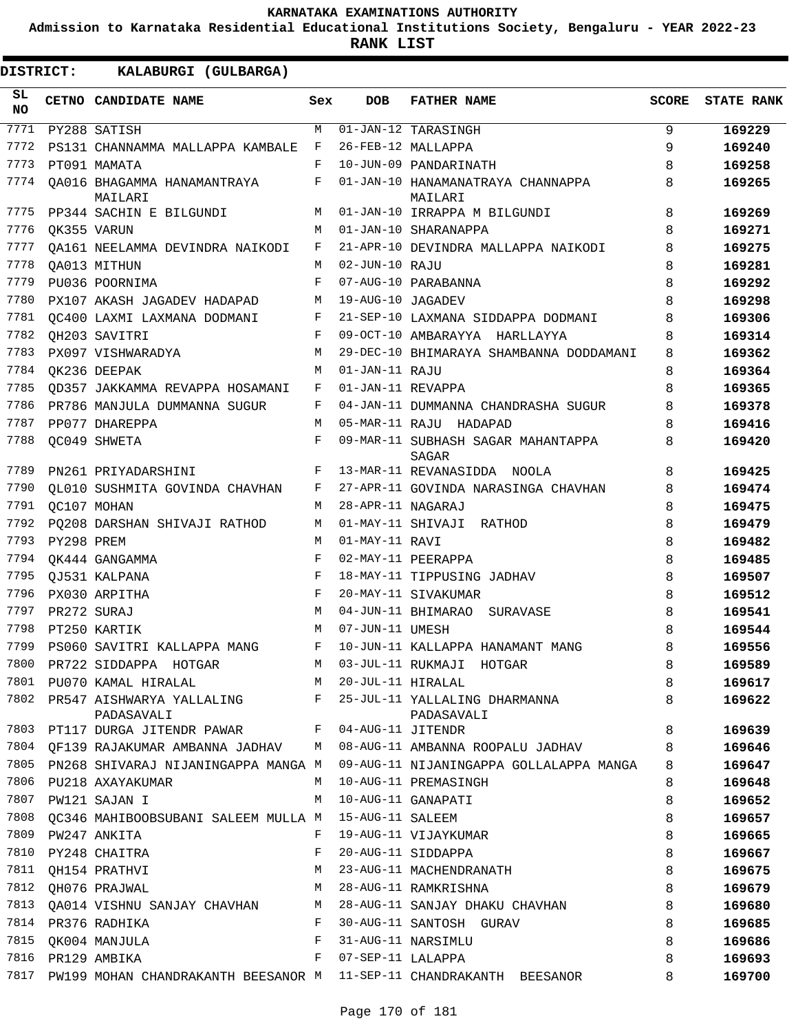**Admission to Karnataka Residential Educational Institutions Society, Bengaluru - YEAR 2022-23**

| <b>DISTRICT:</b> |            | KALABURGI (GULBARGA)                                             |     |                     |                                                                                                                                                        |              |                   |  |  |  |
|------------------|------------|------------------------------------------------------------------|-----|---------------------|--------------------------------------------------------------------------------------------------------------------------------------------------------|--------------|-------------------|--|--|--|
| SL.<br>NO        |            | CETNO CANDIDATE NAME                                             | Sex | <b>DOB</b>          | <b>FATHER NAME</b>                                                                                                                                     | <b>SCORE</b> | <b>STATE RANK</b> |  |  |  |
| 7771             |            | PY288 SATISH                                                     | M   |                     | 01-JAN-12 TARASINGH                                                                                                                                    | 9            | 169229            |  |  |  |
| 7772             |            | PS131 CHANNAMMA MALLAPPA KAMBALE                                 | F   |                     | 26-FEB-12 MALLAPPA                                                                                                                                     | 9            | 169240            |  |  |  |
| 7773             |            | PT091 MAMATA                                                     | F   |                     | 10-JUN-09 PANDARINATH                                                                                                                                  | 8            | 169258            |  |  |  |
| 7774             |            | OA016 BHAGAMMA HANAMANTRAYA<br>MAILARI                           | F   |                     | 01-JAN-10 HANAMANATRAYA CHANNAPPA<br>MAILARI                                                                                                           | 8            | 169265            |  |  |  |
| 7775             |            | PP344 SACHIN E BILGUNDI                                          | M   |                     | 01-JAN-10 IRRAPPA M BILGUNDI                                                                                                                           | 8            | 169269            |  |  |  |
| 7776             |            | QK355 VARUN                                                      | M   |                     | 01-JAN-10 SHARANAPPA                                                                                                                                   | 8            | 169271            |  |  |  |
| 7777             |            | QA161 NEELAMMA DEVINDRA NAIKODI                                  | F   |                     | 21-APR-10 DEVINDRA MALLAPPA NAIKODI                                                                                                                    | 8            | 169275            |  |  |  |
| 7778             |            | QA013 MITHUN                                                     | М   | 02-JUN-10 RAJU      |                                                                                                                                                        | 8            | 169281            |  |  |  |
| 7779             |            | PU036 POORNIMA                                                   | F   |                     | 07-AUG-10 PARABANNA                                                                                                                                    | 8            | 169292            |  |  |  |
| 7780             |            | PX107 AKASH JAGADEV HADAPAD                                      | М   | 19-AUG-10 JAGADEV   |                                                                                                                                                        | 8            | 169298            |  |  |  |
| 7781             |            | QC400 LAXMI LAXMANA DODMANI                                      | F   |                     | 21-SEP-10 LAXMANA SIDDAPPA DODMANI                                                                                                                     | 8            | 169306            |  |  |  |
| 7782             |            | QH203 SAVITRI                                                    | F   |                     | 09-OCT-10 AMBARAYYA HARLLAYYA                                                                                                                          | 8            | 169314            |  |  |  |
| 7783             |            | PX097 VISHWARADYA                                                | M   |                     | 29-DEC-10 BHIMARAYA SHAMBANNA DODDAMANI                                                                                                                | 8            | 169362            |  |  |  |
| 7784             |            | OK236 DEEPAK                                                     | М   | 01-JAN-11 RAJU      |                                                                                                                                                        | 8            | 169364            |  |  |  |
| 7785             |            | OD357 JAKKAMMA REVAPPA HOSAMANI                                  | F   | 01-JAN-11 REVAPPA   |                                                                                                                                                        | 8            | 169365            |  |  |  |
| 7786             |            | PR786 MANJULA DUMMANNA SUGUR                                     | F   |                     | 04-JAN-11 DUMMANNA CHANDRASHA SUGUR                                                                                                                    | 8            | 169378            |  |  |  |
| 7787             |            | PP077 DHAREPPA                                                   | M   |                     | 05-MAR-11 RAJU HADAPAD                                                                                                                                 | 8            | 169416            |  |  |  |
| 7788             |            | OC049 SHWETA                                                     | F   |                     | 09-MAR-11 SUBHASH SAGAR MAHANTAPPA<br>SAGAR                                                                                                            | 8            | 169420            |  |  |  |
| 7789             |            | PN261 PRIYADARSHINI                                              | F   |                     | 13-MAR-11 REVANASIDDA NOOLA                                                                                                                            | 8            | 169425            |  |  |  |
| 7790             |            | OL010 SUSHMITA GOVINDA CHAVHAN                                   | F   |                     | 27-APR-11 GOVINDA NARASINGA CHAVHAN                                                                                                                    | 8            | 169474            |  |  |  |
| 7791             |            | QC107 MOHAN                                                      | M   | 28-APR-11 NAGARAJ   |                                                                                                                                                        | 8            | 169475            |  |  |  |
| 7792             |            | PO208 DARSHAN SHIVAJI RATHOD                                     | М   |                     | 01-MAY-11 SHIVAJI RATHOD                                                                                                                               | 8            | 169479            |  |  |  |
| 7793             | PY298 PREM |                                                                  | М   | 01-MAY-11 RAVI      |                                                                                                                                                        | 8            | 169482            |  |  |  |
| 7794             |            | OK444 GANGAMMA                                                   | F   |                     | 02-MAY-11 PEERAPPA                                                                                                                                     | 8            | 169485            |  |  |  |
| 7795             |            | QJ531 KALPANA                                                    | F   |                     | 18-MAY-11 TIPPUSING JADHAV                                                                                                                             | 8            | 169507            |  |  |  |
| 7796             |            | PX030 ARPITHA                                                    | F   |                     | 20-MAY-11 SIVAKUMAR                                                                                                                                    | 8            | 169512            |  |  |  |
| 7797             |            | PR272 SURAJ                                                      | М   |                     | 04-JUN-11 BHIMARAO SURAVASE                                                                                                                            | 8            | 169541            |  |  |  |
| 7798             |            | PT250 KARTIK                                                     | М   | 07-JUN-11 UMESH     |                                                                                                                                                        | 8            | 169544            |  |  |  |
| 7799             |            | PS060 SAVITRI KALLAPPA MANG                                      |     |                     | F 10-JUN-11 KALLAPPA HANAMANT MANG                                                                                                                     | 8            | 169556            |  |  |  |
|                  |            |                                                                  |     |                     |                                                                                                                                                        | 8            | 169589            |  |  |  |
|                  |            |                                                                  |     |                     | 7800 PR722 SIDDAPPA HOTGAR         M 03-JUL-11 RUKMAJI HOTGAR<br>7801 PU070 KAMAL HIRALAL       M 20-JUL-11 HIRALAL                                    | 8            | 169617            |  |  |  |
|                  |            | PADASAVALI                                                       |     |                     | 7801 PU070 KAMAL HIRALAL                 M  20-JUL-11 HIRALAL<br>7802 PR547 AISHWARYA YALLALING         F  25-JUL-11 YALLALING DHARMANNA<br>PADASAVALI | 8            | 169622            |  |  |  |
|                  |            | FADASAVALL<br>7803 PT117 DURGA JITENDR PAWAR F 04-AUG-11 JITENDR |     |                     |                                                                                                                                                        | 8            | 169639            |  |  |  |
|                  |            |                                                                  |     |                     | 7804 QF139 RAJAKUMAR AMBANNA JADHAV     M  08-AUG-11 AMBANNA ROOPALU JADHAV                                                                            | 8            | 169646            |  |  |  |
| 7805             |            |                                                                  |     |                     | PN268 SHIVARAJ NIJANINGAPPA MANGA M 09-AUG-11 NIJANINGAPPA GOLLALAPPA MANGA                                                                            | 8            | 169647            |  |  |  |
|                  |            | 7806 PU218 AXAYAKUMAR                                            | M   |                     | 10-AUG-11 PREMASINGH                                                                                                                                   | 8            | 169648            |  |  |  |
|                  |            | 7807 PW121 SAJAN I                                               | M   | 10-AUG-11 GANAPATI  |                                                                                                                                                        | 8            | 169652            |  |  |  |
| 7808             |            | QC346 MAHIBOOBSUBANI SALEEM MULLA M 15-AUG-11 SALEEM             |     |                     |                                                                                                                                                        | 8            | 169657            |  |  |  |
|                  |            | 7809 PW247 ANKITA                                                |     |                     | F 19-AUG-11 VIJAYKUMAR                                                                                                                                 | 8            | 169665            |  |  |  |
|                  |            | 7810 PY248 CHAITRA                                               |     |                     | F 20-AUG-11 SIDDAPPA                                                                                                                                   | 8            | 169667            |  |  |  |
|                  |            | 7811 QH154 PRATHVI                                               |     |                     | M 23-AUG-11 MACHENDRANATH                                                                                                                              | 8            | 169675            |  |  |  |
|                  |            | 7812 QH076 PRAJWAL (March 28-AUG-11 RAMKRISHNA                   |     |                     |                                                                                                                                                        | 8            | 169679            |  |  |  |
| 7813             |            |                                                                  |     |                     | QA014 VISHNU SANJAY CHAVHAN M 28-AUG-11 SANJAY DHAKU CHAVHAN                                                                                           | 8            | 169680            |  |  |  |
|                  |            | $\mathbf{F}$<br>7814 PR376 RADHIKA                               |     |                     | 30-AUG-11 SANTOSH GURAV                                                                                                                                | 8            | 169685            |  |  |  |
| 7815             |            | OK004 MANJULA                                                    |     |                     | F 31-AUG-11 NARSIMLU                                                                                                                                   | 8            | 169686            |  |  |  |
| 7816             |            | PR129 AMBIKA                                                     |     | F 07-SEP-11 LALAPPA |                                                                                                                                                        | 8            | 169693            |  |  |  |
|                  |            |                                                                  |     |                     | 7817 PW199 MOHAN CHANDRAKANTH BEESANOR M 11-SEP-11 CHANDRAKANTH BEESANOR                                                                               | 8            | 169700            |  |  |  |
|                  |            |                                                                  |     |                     |                                                                                                                                                        |              |                   |  |  |  |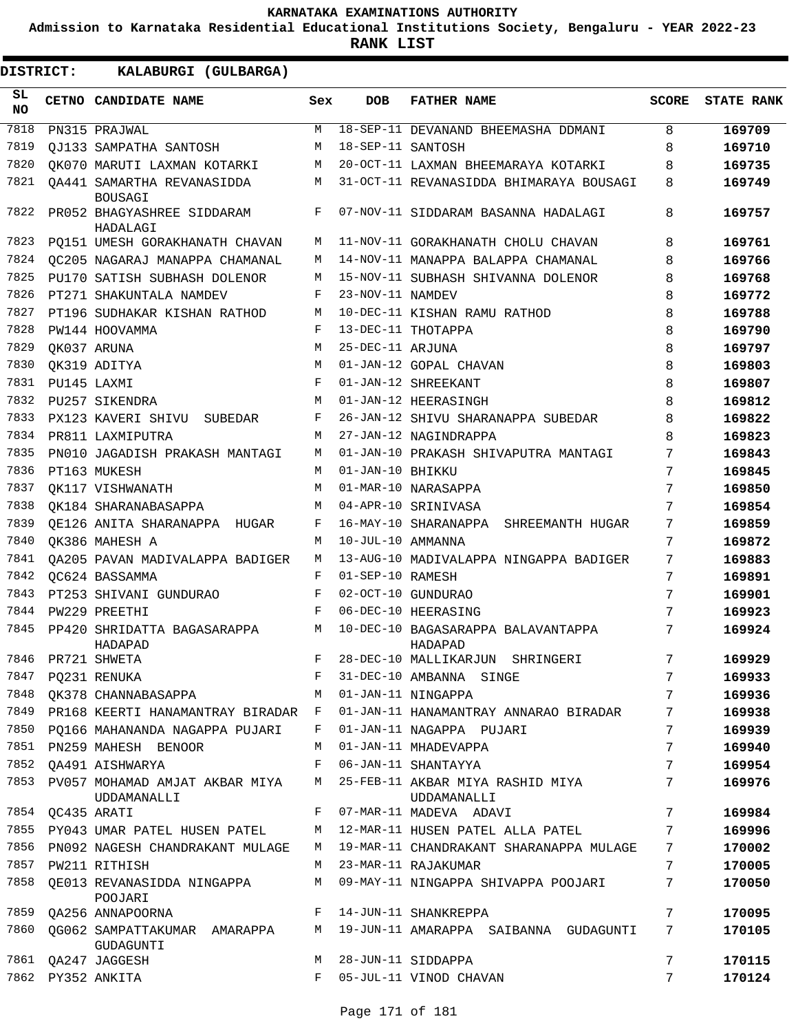**Admission to Karnataka Residential Educational Institutions Society, Bengaluru - YEAR 2022-23**

**RANK LIST**

| SL<br><b>NO</b> | CETNO CANDIDATE NAME                                 | Sex        | <b>DOB</b>        | <b>FATHER NAME</b>                              | <b>SCORE</b> | <b>STATE RANK</b> |
|-----------------|------------------------------------------------------|------------|-------------------|-------------------------------------------------|--------------|-------------------|
| 7818            | PN315 PRAJWAL                                        | M          |                   | 18-SEP-11 DEVANAND BHEEMASHA DDMANI             | 8            | 169709            |
| 7819            | OJ133 SAMPATHA SANTOSH                               | M          | 18-SEP-11 SANTOSH |                                                 | 8            | 169710            |
| 7820            | OK070 MARUTI LAXMAN KOTARKI                          | М          |                   | 20-OCT-11 LAXMAN BHEEMARAYA KOTARKI             | 8            | 169735            |
| 7821            | OA441 SAMARTHA REVANASIDDA<br><b>BOUSAGI</b>         | М          |                   | 31-OCT-11 REVANASIDDA BHIMARAYA BOUSAGI         | 8            | 169749            |
| 7822            | PR052 BHAGYASHREE SIDDARAM<br>HADALAGI               | F          |                   | 07-NOV-11 SIDDARAM BASANNA HADALAGI             | 8            | 169757            |
| 7823            | PO151 UMESH GORAKHANATH CHAVAN                       | М          |                   | 11-NOV-11 GORAKHANATH CHOLU CHAVAN              | 8            | 169761            |
| 7824            | OC205 NAGARAJ MANAPPA CHAMANAL                       | М          |                   | 14-NOV-11 MANAPPA BALAPPA CHAMANAL              | 8            | 169766            |
| 7825            | PU170 SATISH SUBHASH DOLENOR                         | М          |                   | 15-NOV-11 SUBHASH SHIVANNA DOLENOR              | 8            | 169768            |
| 7826            | PT271 SHAKUNTALA NAMDEV                              | F          | 23-NOV-11 NAMDEV  |                                                 | 8            | 169772            |
| 7827            | PT196 SUDHAKAR KISHAN RATHOD                         | M          |                   | 10-DEC-11 KISHAN RAMU RATHOD                    | 8            | 169788            |
| 7828            | PW144 HOOVAMMA                                       | F          |                   | 13-DEC-11 THOTAPPA                              | 8            | 169790            |
| 7829            | OK037 ARUNA                                          | M          | 25-DEC-11 ARJUNA  |                                                 | 8            | 169797            |
| 7830            | OK319 ADITYA                                         | M          |                   | 01-JAN-12 GOPAL CHAVAN                          | 8            | 169803            |
| 7831            | PU145 LAXMI                                          | F          |                   | 01-JAN-12 SHREEKANT                             | 8            | 169807            |
| 7832            | PU257 SIKENDRA                                       | M          |                   | 01-JAN-12 HEERASINGH                            | 8            | 169812            |
| 7833            | PX123 KAVERI SHIVU<br>SUBEDAR                        | F          |                   | 26-JAN-12 SHIVU SHARANAPPA SUBEDAR              | 8            | 169822            |
| 7834            | PR811 LAXMIPUTRA                                     | M          |                   | 27-JAN-12 NAGINDRAPPA                           | 8            | 169823            |
| 7835            | PN010 JAGADISH PRAKASH MANTAGI                       | М          |                   | 01-JAN-10 PRAKASH SHIVAPUTRA MANTAGI            | 7            | 169843            |
| 7836            | PT163 MUKESH                                         | М          | 01-JAN-10 BHIKKU  |                                                 | 7            | 169845            |
| 7837            | OK117 VISHWANATH                                     | M          |                   | 01-MAR-10 NARASAPPA                             | 7            | 169850            |
| 7838            | OK184 SHARANABASAPPA                                 | М          |                   | 04-APR-10 SRINIVASA                             | 7            | 169854            |
| 7839            | OE126 ANITA SHARANAPPA HUGAR                         | F          |                   | 16-MAY-10 SHARANAPPA<br>SHREEMANTH HUGAR        | 7            | 169859            |
| 7840            | OK386 MAHESH A                                       | М          | 10-JUL-10 AMMANNA |                                                 | 7            | 169872            |
| 7841            | OA205 PAVAN MADIVALAPPA BADIGER                      | М          |                   | 13-AUG-10 MADIVALAPPA NINGAPPA BADIGER          | 7            | 169883            |
| 7842            | OC624 BASSAMMA                                       | F          | 01-SEP-10 RAMESH  |                                                 | 7            | 169891            |
| 7843            | PT253 SHIVANI GUNDURAO                               | F          |                   | 02-OCT-10 GUNDURAO                              | 7            | 169901            |
| 7844            | PW229 PREETHI                                        | F          |                   | 06-DEC-10 HEERASING                             | 7            | 169923            |
| 7845            | PP420 SHRIDATTA BAGASARAPPA<br>HADAPAD               | М          |                   | 10-DEC-10 BAGASARAPPA BALAVANTAPPA<br>HADAPAD   | 7            | 169924            |
| 7846            | PR721 SHWETA                                         | $_{\rm F}$ |                   | 28-DEC-10 MALLIKARJUN<br>SHRINGERI              | 7            | 169929            |
| 7847            | PQ231 RENUKA                                         | F          |                   | 31-DEC-10 AMBANNA SINGE                         | 7            | 169933            |
| 7848            | QK378 CHANNABASAPPA                                  | М          |                   | 01-JAN-11 NINGAPPA                              | 7            | 169936            |
|                 | 7849 PR168 KEERTI HANAMANTRAY BIRADAR F              |            |                   | 01-JAN-11 HANAMANTRAY ANNARAO BIRADAR           | 7            | 169938            |
| 7850            | PQ166 MAHANANDA NAGAPPA PUJARI                       | F          |                   | 01-JAN-11 NAGAPPA PUJARI                        | 7            | 169939            |
| 7851            | PN259 MAHESH BENOOR                                  | М          |                   | 01-JAN-11 MHADEVAPPA                            | 7            | 169940            |
| 7852            | QA491 AISHWARYA                                      | F          |                   | 06-JAN-11 SHANTAYYA                             | 7            | 169954            |
| 7853            | PV057 MOHAMAD AMJAT AKBAR MIYA<br><b>UDDAMANALLI</b> | M          |                   | 25-FEB-11 AKBAR MIYA RASHID MIYA<br>UDDAMANALLI | 7            | 169976            |
| 7854            | OC435 ARATI                                          | F          |                   | 07-MAR-11 MADEVA ADAVI                          | 7            | 169984            |
|                 | 7855 PY043 UMAR PATEL HUSEN PATEL                    | М          |                   | 12-MAR-11 HUSEN PATEL ALLA PATEL                | 7            | 169996            |
| 7856            | PN092 NAGESH CHANDRAKANT MULAGE                      | М          |                   | 19-MAR-11 CHANDRAKANT SHARANAPPA MULAGE         | 7            | 170002            |
| 7857            | PW211 RITHISH                                        | M          |                   | 23-MAR-11 RAJAKUMAR                             | 7            | 170005            |
| 7858            | QE013 REVANASIDDA NINGAPPA<br>POOJARI                | М          |                   | 09-MAY-11 NINGAPPA SHIVAPPA POOJARI             | 7            | 170050            |
| 7859            | QA256 ANNAPOORNA                                     | $F$ –      |                   | 14-JUN-11 SHANKREPPA                            | 7            | 170095            |
| 7860            | QG062 SAMPATTAKUMAR AMARAPPA<br>GUDAGUNTI            | М          |                   | 19-JUN-11 AMARAPPA SAIBANNA GUDAGUNTI           | 7            | 170105            |
| 7861            | QA247 JAGGESH                                        | М          |                   | 28-JUN-11 SIDDAPPA                              | 7            | 170115            |
|                 | 7862 PY352 ANKITA                                    | F          |                   | 05-JUL-11 VINOD CHAVAN                          | 7            | 170124            |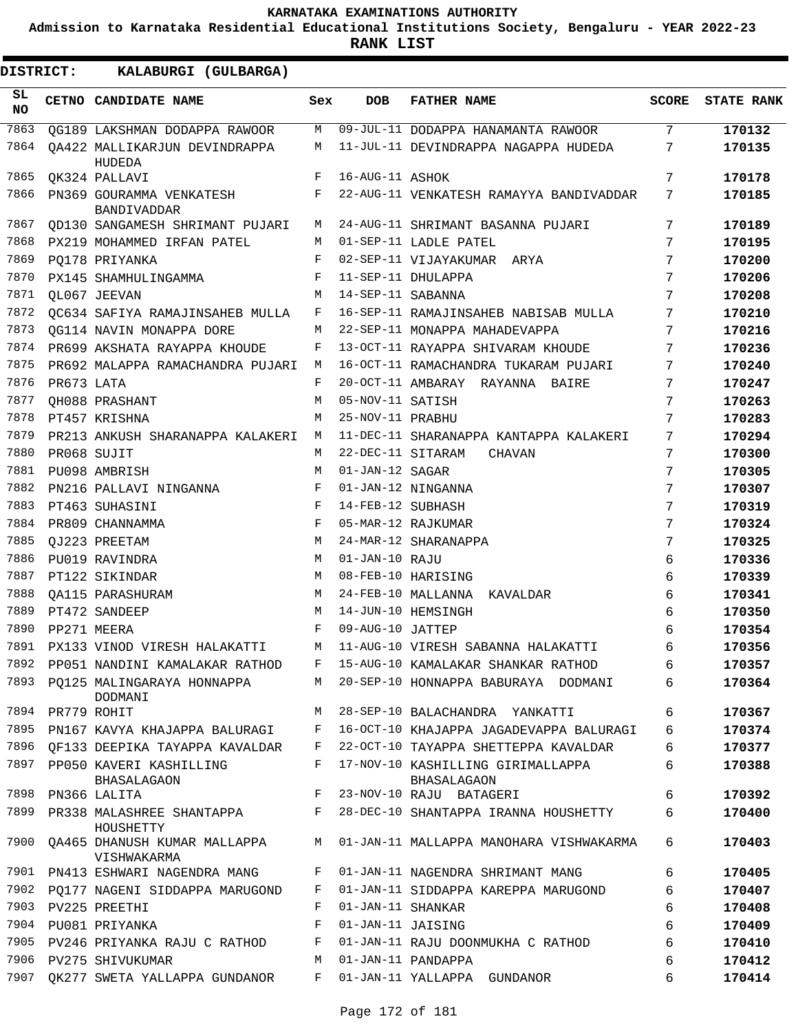**Admission to Karnataka Residential Educational Institutions Society, Bengaluru - YEAR 2022-23**

| DISTRICT:       |                  | KALABURGI (GULBARGA)                    |            |                   |                                                                          |              |                   |
|-----------------|------------------|-----------------------------------------|------------|-------------------|--------------------------------------------------------------------------|--------------|-------------------|
| SL<br><b>NO</b> |                  | CETNO CANDIDATE NAME                    | Sex        | <b>DOB</b>        | <b>FATHER NAME</b>                                                       | <b>SCORE</b> | <b>STATE RANK</b> |
| 7863            |                  | OG189 LAKSHMAN DODAPPA RAWOOR           | М          |                   | 09-JUL-11 DODAPPA HANAMANTA RAWOOR                                       | 7            | 170132            |
| 7864            |                  | OA422 MALLIKARJUN DEVINDRAPPA<br>HUDEDA | М          |                   | 11-JUL-11 DEVINDRAPPA NAGAPPA HUDEDA                                     | 7            | 170135            |
| 7865            |                  | OK324 PALLAVI                           | F          | 16-AUG-11 ASHOK   |                                                                          | 7            | 170178            |
| 7866            |                  | PN369 GOURAMMA VENKATESH<br>BANDIVADDAR | F          |                   | 22-AUG-11 VENKATESH RAMAYYA BANDIVADDAR                                  | 7            | 170185            |
| 7867            |                  | OD130 SANGAMESH SHRIMANT PUJARI         | M          |                   | 24-AUG-11 SHRIMANT BASANNA PUJARI                                        | 7            | 170189            |
| 7868            |                  | PX219 MOHAMMED IRFAN PATEL              | M          |                   | 01-SEP-11 LADLE PATEL                                                    | 7            | 170195            |
| 7869            |                  | PO178 PRIYANKA                          | F          |                   | 02-SEP-11 VIJAYAKUMAR ARYA                                               | 7            | 170200            |
| 7870            |                  | PX145 SHAMHULINGAMMA                    | F          |                   | 11-SEP-11 DHULAPPA                                                       | 7            | 170206            |
| 7871            |                  | OL067 JEEVAN                            | M          | 14-SEP-11 SABANNA |                                                                          | 7            | 170208            |
| 7872            |                  | QC634 SAFIYA RAMAJINSAHEB MULLA         | F          |                   | 16-SEP-11 RAMAJINSAHEB NABISAB MULLA                                     | 7            | 170210            |
| 7873            |                  | OG114 NAVIN MONAPPA DORE                | M          |                   | 22-SEP-11 MONAPPA MAHADEVAPPA                                            | 7            | 170216            |
| 7874            |                  | PR699 AKSHATA RAYAPPA KHOUDE            | F          |                   | 13-OCT-11 RAYAPPA SHIVARAM KHOUDE                                        | 7            | 170236            |
| 7875            |                  | PR692 MALAPPA RAMACHANDRA PUJARI        | M          |                   | 16-OCT-11 RAMACHANDRA TUKARAM PUJARI                                     | 7            | 170240            |
| 7876            | PR673 LATA       |                                         | F          |                   | 20-OCT-11 AMBARAY RAYANNA BAIRE                                          | 7            | 170247            |
| 7877            |                  | <b>QH088 PRASHANT</b>                   | M          | 05-NOV-11 SATISH  |                                                                          | 7            | 170263            |
| 7878            |                  | PT457 KRISHNA                           | M          | 25-NOV-11 PRABHU  |                                                                          | 7            | 170283            |
| 7879            |                  | PR213 ANKUSH SHARANAPPA KALAKERI        | M          |                   | 11-DEC-11 SHARANAPPA KANTAPPA KALAKERI                                   | 7            | 170294            |
| 7880            |                  | PR068 SUJIT                             | M          | 22-DEC-11 SITARAM | <b>CHAVAN</b>                                                            | 7            | 170300            |
| 7881            |                  | PU098 AMBRISH                           | M          | 01-JAN-12 SAGAR   |                                                                          | 7            | 170305            |
| 7882            |                  | PN216 PALLAVI NINGANNA                  | F          |                   | 01-JAN-12 NINGANNA                                                       | 7            | 170307            |
| 7883            |                  | PT463 SUHASINI                          | $_{\rm F}$ | 14-FEB-12 SUBHASH |                                                                          | 7            | 170319            |
| 7884            |                  | PR809 CHANNAMMA                         | F          |                   | 05-MAR-12 RAJKUMAR                                                       | 7            | 170324            |
| 7885            |                  | OJ223 PREETAM                           | M          |                   | 24-MAR-12 SHARANAPPA                                                     | 7            | 170325            |
| 7886            |                  | PU019 RAVINDRA                          | М          | 01-JAN-10 RAJU    |                                                                          | 6            | 170336            |
| 7887            |                  | PT122 SIKINDAR                          | M          |                   | 08-FEB-10 HARISING                                                       | 6            | 170339            |
| 7888            |                  | OA115 PARASHURAM                        | М          |                   | 24-FEB-10 MALLANNA KAVALDAR                                              | 6            | 170341            |
| 7889            |                  | PT472 SANDEEP                           | M          |                   | 14-JUN-10 HEMSINGH                                                       | 6            | 170350            |
| 7890            |                  | PP271 MEERA                             | F          | 09-AUG-10 JATTEP  |                                                                          | 6            | 170354            |
|                 |                  | 7891 PX133 VINOD VIRESH HALAKATTI       |            |                   | M 11-AUG-10 VIRESH SABANNA HALAKATTI                                     | 6            | 170356            |
|                 |                  |                                         |            |                   | 7892 PP051 NANDINI KAMALAKAR RATHOD F 15-AUG-10 KAMALAKAR SHANKAR RATHOD | 6            | 170357            |
|                 |                  | DODMANI                                 |            |                   | 7893 PO125 MALINGARAYA HONNAPPA M 20-SEP-10 HONNAPPA BABURAYA DODMANI    | 6            | 170364            |
|                 | 7894 PR779 ROHIT |                                         |            |                   | M 28-SEP-10 BALACHANDRA YANKATTI                                         | 6            | 170367            |
| 7895            |                  | PN167 KAVYA KHAJAPPA BALURAGI F         |            |                   | 16-OCT-10 KHAJAPPA JAGADEVAPPA BALURAGI                                  | 6            | 170374            |
| 7896            |                  | OF133 DEEPIKA TAYAPPA KAVALDAR F        |            |                   | 22-OCT-10 TAYAPPA SHETTEPPA KAVALDAR                                     | 6            | 170377            |
| 7897            |                  | PP050 KAVERI KASHILLING<br>BHASALAGAON  | F          |                   | 17-NOV-10 KASHILLING GIRIMALLAPPA<br><b>BHASALAGAON</b>                  | 6            | 170388            |
| 7898            |                  | PN366 LALITA                            | $F$ and    |                   | 23-NOV-10 RAJU BATAGERI                                                  | 6            | 170392            |
| 7899            |                  | HOUSHETTY                               |            |                   | PR338 MALASHREE SHANTAPPA F 28-DEC-10 SHANTAPPA IRANNA HOUSHETTY         | 6            | 170400            |
| 7900            |                  | VISHWAKARMA                             |            |                   | QA465 DHANUSH KUMAR MALLAPPA M 01-JAN-11 MALLAPPA MANOHARA VISHWAKARMA   | 6            | 170403            |
| 7901            |                  | PN413 ESHWARI NAGENDRA MANG             | F          |                   | 01-JAN-11 NAGENDRA SHRIMANT MANG                                         | 6            | 170405            |
| 7902            |                  | PQ177 NAGENI SIDDAPPA MARUGOND          | F          |                   | 01-JAN-11 SIDDAPPA KAREPPA MARUGOND                                      | 6            | 170407            |
|                 |                  | 7903 PV225 PREETHI                      | F          | 01-JAN-11 SHANKAR |                                                                          | 6            | 170408            |
|                 |                  | 7904 PU081 PRIYANKA                     | F          | 01-JAN-11 JAISING |                                                                          | 6            | 170409            |
| 7905            |                  | PV246 PRIYANKA RAJU C RATHOD            | F          |                   | 01-JAN-11 RAJU DOONMUKHA C RATHOD                                        | 6            | 170410            |
|                 |                  | 7906 PV275 SHIVUKUMAR                   | M          |                   | 01-JAN-11 PANDAPPA                                                       | 6            | 170412            |
| 7907            |                  | QK277 SWETA YALLAPPA GUNDANOR F         |            |                   | 01-JAN-11 YALLAPPA GUNDANOR                                              | 6            | 170414            |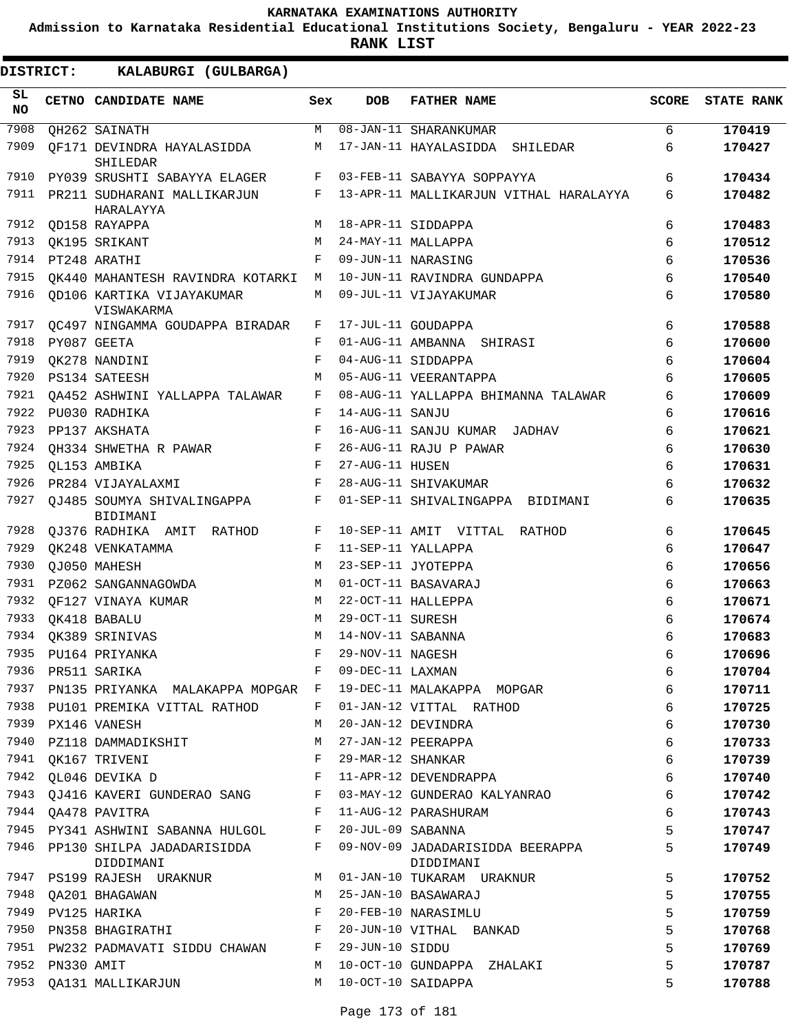**Admission to Karnataka Residential Educational Institutions Society, Bengaluru - YEAR 2022-23**

| DISTRICT:       |            | KALABURGI (GULBARGA)                                |              |                   |                                               |              |                   |
|-----------------|------------|-----------------------------------------------------|--------------|-------------------|-----------------------------------------------|--------------|-------------------|
| SL<br><b>NO</b> |            | CETNO CANDIDATE NAME                                | Sex          | <b>DOB</b>        | <b>FATHER NAME</b>                            | <b>SCORE</b> | <b>STATE RANK</b> |
| 7908            |            | OH262 SAINATH                                       | M            |                   | 08-JAN-11 SHARANKUMAR                         | 6            | 170419            |
| 7909            |            | OF171 DEVINDRA HAYALASIDDA<br><b>SHILEDAR</b>       | М            |                   | 17-JAN-11 HAYALASIDDA SHILEDAR                | 6            | 170427            |
| 7910            |            | PY039 SRUSHTI SABAYYA ELAGER                        | F            |                   | 03-FEB-11 SABAYYA SOPPAYYA                    | 6            | 170434            |
| 7911            |            | PR211 SUDHARANI MALLIKARJUN<br>HARALAYYA            | F            |                   | 13-APR-11 MALLIKARJUN VITHAL HARALAYYA        | 6            | 170482            |
| 7912            |            | <b>OD158 RAYAPPA</b>                                | M            |                   | 18-APR-11 SIDDAPPA                            | 6            | 170483            |
| 7913            |            | OK195 SRIKANT                                       | M            |                   | 24-MAY-11 MALLAPPA                            | 6            | 170512            |
| 7914            |            | PT248 ARATHI                                        | F            |                   | 09-JUN-11 NARASING                            | 6            | 170536            |
| 7915            |            | OK440 MAHANTESH RAVINDRA KOTARKI                    | M            |                   | 10-JUN-11 RAVINDRA GUNDAPPA                   | 6            | 170540            |
| 7916            |            | OD106 KARTIKA VIJAYAKUMAR<br>VISWAKARMA             | M            |                   | 09-JUL-11 VIJAYAKUMAR                         | 6            | 170580            |
| 7917            |            | QC497 NINGAMMA GOUDAPPA BIRADAR                     | F            |                   | 17-JUL-11 GOUDAPPA                            | 6            | 170588            |
| 7918            |            | PY087 GEETA                                         | F            |                   | 01-AUG-11 AMBANNA SHIRASI                     | 6            | 170600            |
| 7919            |            | QK278 NANDINI                                       | F            |                   | 04-AUG-11 SIDDAPPA                            | 6            | 170604            |
| 7920            |            | PS134 SATEESH                                       | M            |                   | 05-AUG-11 VEERANTAPPA                         | 6            | 170605            |
| 7921            |            | OA452 ASHWINI YALLAPPA TALAWAR                      | F            |                   | 08-AUG-11 YALLAPPA BHIMANNA TALAWAR           | 6            | 170609            |
| 7922            |            | PU030 RADHIKA                                       | F            | 14-AUG-11 SANJU   |                                               | 6            | 170616            |
| 7923            |            | PP137 AKSHATA                                       | F            |                   | 16-AUG-11 SANJU KUMAR JADHAV                  | 6            | 170621            |
| 7924            |            | OH334 SHWETHA R PAWAR                               | F            |                   | 26-AUG-11 RAJU P PAWAR                        | 6            | 170630            |
| 7925            |            | QL153 AMBIKA                                        | F            | 27-AUG-11 HUSEN   |                                               | 6            | 170631            |
| 7926            |            | PR284 VIJAYALAXMI                                   | F            |                   | 28-AUG-11 SHIVAKUMAR                          | 6            | 170632            |
| 7927            |            | QJ485 SOUMYA SHIVALINGAPPA<br>BIDIMANI              | F            |                   | 01-SEP-11 SHIVALINGAPPA BIDIMANI              | 6            | 170635            |
| 7928            |            | QJ376 RADHIKA AMIT RATHOD                           | F            |                   | 10-SEP-11 AMIT VITTAL RATHOD                  | 6            | 170645            |
| 7929            |            | OK248 VENKATAMMA                                    | F            |                   | 11-SEP-11 YALLAPPA                            | 6            | 170647            |
| 7930            |            | OJ050 MAHESH                                        | M            |                   | 23-SEP-11 JYOTEPPA                            | 6            | 170656            |
| 7931            |            | PZ062 SANGANNAGOWDA                                 | м            |                   | 01-OCT-11 BASAVARAJ                           | 6            | 170663            |
| 7932            |            | QF127 VINAYA KUMAR                                  | М            |                   | 22-OCT-11 HALLEPPA                            | 6            | 170671            |
| 7933            |            | QK418 BABALU                                        | M            | 29-OCT-11 SURESH  |                                               | 6            | 170674            |
|                 |            | 7934 QK389 SRINIVAS                                 | M            | 14-NOV-11 SABANNA |                                               | 6            | 170683            |
| 7935            |            | PU164 PRIYANKA                                      | F            | 29-NOV-11 NAGESH  |                                               | 6            | 170696            |
| 7936            |            | PR511 SARIKA                                        | F            | 09-DEC-11 LAXMAN  |                                               | 6            | 170704            |
| 7937            |            | PN135 PRIYANKA MALAKAPPA MOPGAR F                   |              |                   | 19-DEC-11 MALAKAPPA MOPGAR                    | 6            | 170711            |
|                 |            | 7938 PU101 PREMIKA VITTAL RATHOD                    | F            |                   | 01-JAN-12 VITTAL RATHOD                       | 6            | 170725            |
|                 |            | 7939 PX146 VANESH                                   | М            |                   | 20-JAN-12 DEVINDRA                            | 6            | 170730            |
| 7940            |            | PZ118 DAMMADIKSHIT                                  | M            |                   | 27-JAN-12 PEERAPPA                            | 6            | 170733            |
|                 |            | $\mathbf{F}$<br>7941 QK167 TRIVENI                  |              | 29-MAR-12 SHANKAR |                                               | 6            | 170739            |
|                 |            | 7942 QL046 DEVIKA D                                 | $\mathbb{F}$ |                   | 11-APR-12 DEVENDRAPPA                         | 6            | 170740            |
| 7943            |            | QJ416 KAVERI GUNDERAO SANG                          | F            |                   | 03-MAY-12 GUNDERAO KALYANRAO                  | 6            | 170742            |
|                 |            | 7944 QA478 PAVITRA<br>$\mathbf{F}$ and $\mathbf{F}$ |              |                   | 11-AUG-12 PARASHURAM                          | 6            | 170743            |
|                 |            | 7945 PY341 ASHWINI SABANNA HULGOL F                 |              | 20-JUL-09 SABANNA |                                               | 5            | 170747            |
|                 |            | 7946 PP130 SHILPA JADADARISIDDA F<br>DIDDIMANI      |              |                   | 09-NOV-09 JADADARISIDDA BEERAPPA<br>DIDDIMANI | 5            | 170749            |
|                 |            | 7947 PS199 RAJESH URAKNUR M                         |              |                   | 01-JAN-10 TUKARAM URAKNUR                     | 5            | 170752            |
| 7948            |            | QA201 BHAGAWAN                                      | M            |                   | 25-JAN-10 BASAWARAJ                           | 5            | 170755            |
| 7949            |            | PV125 HARIKA                                        | F            |                   | 20-FEB-10 NARASIMLU                           | 5            | 170759            |
|                 |            | 7950 PN358 BHAGIRATHI F                             |              |                   | 20-JUN-10 VITHAL BANKAD                       | 5            | 170768            |
|                 |            | 7951 PW232 PADMAVATI SIDDU CHAWAN F                 |              | 29-JUN-10 SIDDU   |                                               | 5            | 170769            |
| 7952            | PN330 AMIT |                                                     | M            |                   | 10-OCT-10 GUNDAPPA ZHALAKI                    | 5            | 170787            |
| 7953            |            | QA131 MALLIKARJUN                                   | M            |                   | 10-OCT-10 SAIDAPPA                            | 5            | 170788            |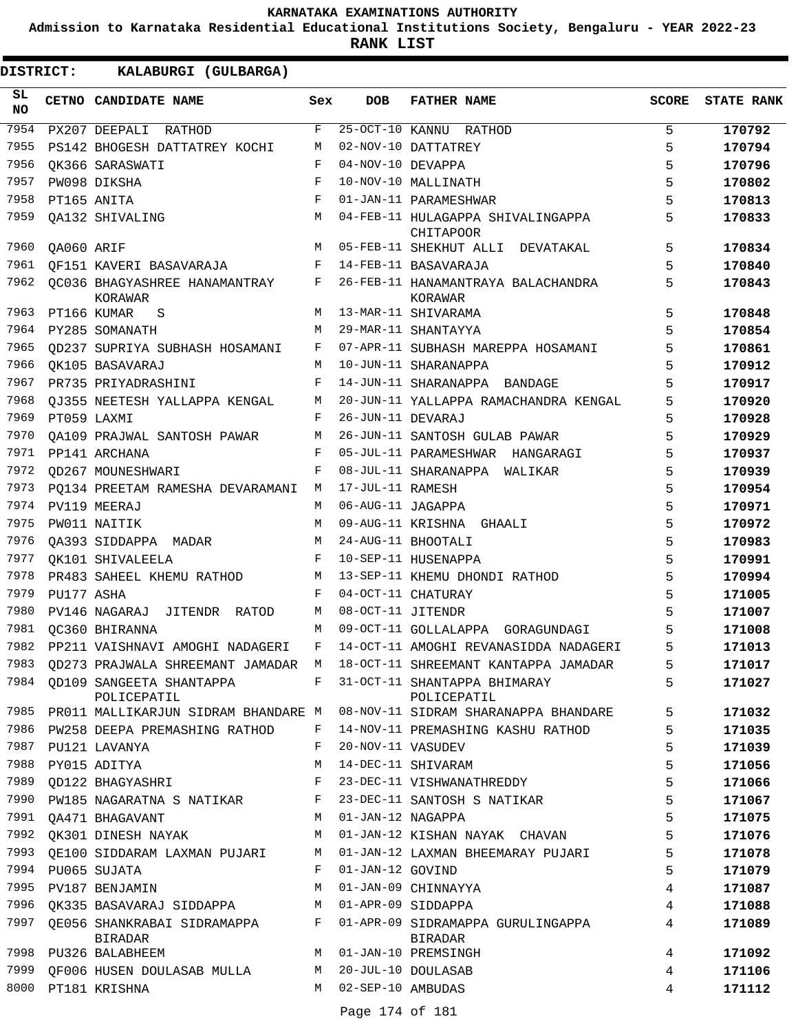**Admission to Karnataka Residential Educational Institutions Society, Bengaluru - YEAR 2022-23**

**RANK LIST**

| SL<br>NO |            | CETNO CANDIDATE NAME                                 | Sex        | <b>DOB</b>          | <b>FATHER NAME</b>                                                                                          | <b>SCORE</b>    | <b>STATE RANK</b> |
|----------|------------|------------------------------------------------------|------------|---------------------|-------------------------------------------------------------------------------------------------------------|-----------------|-------------------|
| 7954     |            | PX207 DEEPALI RATHOD                                 | F          |                     | 25-OCT-10 KANNU RATHOD                                                                                      | 5               | 170792            |
| 7955     |            | PS142 BHOGESH DATTATREY KOCHI                        | М          |                     | 02-NOV-10 DATTATREY                                                                                         | 5               | 170794            |
| 7956     |            | OK366 SARASWATI                                      | F          | 04-NOV-10 DEVAPPA   |                                                                                                             | 5               | 170796            |
| 7957     |            | PW098 DIKSHA                                         | F          |                     | 10-NOV-10 MALLINATH                                                                                         | 5               | 170802            |
| 7958     |            | PT165 ANITA                                          | $_{\rm F}$ |                     | 01-JAN-11 PARAMESHWAR                                                                                       | 5               | 170813            |
| 7959     |            | OA132 SHIVALING                                      | М          |                     | 04-FEB-11 HULAGAPPA SHIVALINGAPPA<br><b>CHITAPOOR</b>                                                       | 5               | 170833            |
| 7960     | QA060 ARIF |                                                      | M          |                     | 05-FEB-11 SHEKHUT ALLI DEVATAKAL                                                                            | 5               | 170834            |
| 7961     |            | OF151 KAVERI BASAVARAJA                              | F          |                     | 14-FEB-11 BASAVARAJA                                                                                        | 5               | 170840            |
| 7962     |            | OC036 BHAGYASHREE HANAMANTRAY<br>KORAWAR             | F          |                     | 26-FEB-11 HANAMANTRAYA BALACHANDRA<br>KORAWAR                                                               | 5               | 170843            |
| 7963     |            | PT166 KUMAR<br>S                                     | М          |                     | 13-MAR-11 SHIVARAMA                                                                                         | 5               | 170848            |
| 7964     |            | PY285 SOMANATH                                       | M          |                     | 29-MAR-11 SHANTAYYA                                                                                         | 5               | 170854            |
| 7965     |            | OD237 SUPRIYA SUBHASH HOSAMANI                       | F          |                     | 07-APR-11 SUBHASH MAREPPA HOSAMANI                                                                          | 5               | 170861            |
| 7966     |            | OK105 BASAVARAJ                                      | M          |                     | 10-JUN-11 SHARANAPPA                                                                                        | 5               | 170912            |
| 7967     |            | PR735 PRIYADRASHINI                                  | F          |                     | 14-JUN-11 SHARANAPPA BANDAGE                                                                                | 5               | 170917            |
| 7968     |            | OJ355 NEETESH YALLAPPA KENGAL                        | М          |                     | 20-JUN-11 YALLAPPA RAMACHANDRA KENGAL                                                                       | 5               | 170920            |
| 7969     |            | PT059 LAXMI                                          | F          | 26-JUN-11 DEVARAJ   |                                                                                                             | 5               | 170928            |
| 7970     |            | OA109 PRAJWAL SANTOSH PAWAR                          | М          |                     | 26-JUN-11 SANTOSH GULAB PAWAR                                                                               | 5               | 170929            |
| 7971     |            | PP141 ARCHANA                                        | F          |                     | 05-JUL-11 PARAMESHWAR HANGARAGI                                                                             | 5               | 170937            |
| 7972     |            | OD267 MOUNESHWARI                                    | F          |                     | 08-JUL-11 SHARANAPPA WALIKAR                                                                                | 5               | 170939            |
| 7973     |            | PQ134 PREETAM RAMESHA DEVARAMANI M                   |            | 17-JUL-11 RAMESH    |                                                                                                             | 5               | 170954            |
| 7974     |            | PV119 MEERAJ                                         | М          | 06-AUG-11 JAGAPPA   |                                                                                                             | 5               | 170971            |
| 7975     |            | PW011 NAITIK                                         | М          |                     | 09-AUG-11 KRISHNA GHAALI                                                                                    | 5               | 170972            |
| 7976     |            | QA393 SIDDAPPA MADAR                                 | М          |                     | 24-AUG-11 BHOOTALI                                                                                          | 5               | 170983            |
| 7977     |            | OK101 SHIVALEELA                                     | F          |                     | 10-SEP-11 HUSENAPPA                                                                                         | 5               | 170991            |
| 7978     |            | PR483 SAHEEL KHEMU RATHOD                            | M          |                     | 13-SEP-11 KHEMU DHONDI RATHOD                                                                               | 5               | 170994            |
| 7979     | PU177 ASHA |                                                      | F          |                     | 04-OCT-11 CHATURAY                                                                                          | 5               | 171005            |
| 7980     |            | PV146 NAGARAJ JITENDR RATOD                          | M          | 08-OCT-11 JITENDR   |                                                                                                             | 5               | 171007            |
| 7981     |            | OC360 BHIRANNA                                       | M          |                     | 09-OCT-11 GOLLALAPPA GORAGUNDAGI                                                                            | 5               | 171008            |
| 7982     |            | PP211 VAISHNAVI AMOGHI NADAGERI                      | F          |                     | 14-OCT-11 AMOGHI REVANASIDDA NADAGERI                                                                       | 5               | 171013            |
| 7983     |            | OD273 PRAJWALA SHREEMANT JAMADAR                     | M          |                     | 18-OCT-11 SHREEMANT KANTAPPA JAMADAR                                                                        | 5               | 171017            |
|          |            | POLICEPATIL                                          |            |                     | 7984 QD109 SANGEETA SHANTAPPA $F = 31-0$ CT-11 SHANTAPPA BHIMARAY<br>POLICEPATIL DOLICEPATIL<br>POLICEPATIL | 5 <sup>5</sup>  | 171027            |
|          |            |                                                      |            |                     | 7985 PR011 MALLIKARJUN SIDRAM BHANDARE M 08-NOV-11 SIDRAM SHARANAPPA BHANDARE                               | $5^{\circ}$     | 171032            |
|          |            |                                                      |            |                     | 7986 PW258 DEEPA PREMASHING RATHOD F 14-NOV-11 PREMASHING KASHU RATHOD                                      | 5               | 171035            |
|          |            | 7987 PU121 LAVANYA                                   | F          | 20-NOV-11 VASUDEV   |                                                                                                             | 5               | 171039            |
|          |            | 7988 PY015 ADITYA<br>M                               |            |                     | 14-DEC-11 SHIVARAM                                                                                          | 5               | 171056            |
|          |            | 7989 QD122 BHAGYASHRI F                              |            |                     | 23-DEC-11 VISHWANATHREDDY                                                                                   | 5               | 171066            |
|          |            |                                                      |            |                     | 7990 PW185 NAGARATNA S NATIKAR F 23-DEC-11 SANTOSH S NATIKAR                                                | 5               | 171067            |
|          |            | 7991 QA471 BHAGAVANT M 01-JAN-12 NAGAPPA             |            |                     |                                                                                                             | 5               | 171075            |
|          |            |                                                      |            |                     | 7992 QK301 DINESH NAYAK MARING MO1-JAN-12 KISHAN NAYAK CHAVAN                                               | 5               | 171076            |
|          |            |                                                      |            |                     | 7993 QE100 SIDDARAM LAXMAN PUJARI M 01-JAN-12 LAXMAN BHEEMARAY PUJARI                                       | 5               | 171078            |
|          |            | 7994 PU065 SUJATA                                    |            | F 01-JAN-12 GOVIND  |                                                                                                             | 5               | 171079            |
|          |            | 7995 PV187 BENJAMIN                                  |            |                     | M 01-JAN-09 CHINNAYYA                                                                                       | $\overline{4}$  | 171087            |
|          |            | 7996 QK335 BASAVARAJ SIDDAPPA M 01-APR-09 SIDDAPPA   |            |                     |                                                                                                             | $\overline{4}$  | 171088            |
|          |            | <b>BIRADAR</b>                                       |            |                     | 7997 QE056 SHANKRABAI SIDRAMAPPA F 01-APR-09 SIDRAMAPPA GURULINGAPPA<br>BIRADAR                             | $4\overline{ }$ | 171089            |
|          |            | 7998 PU326 BALABHEEM M 01-JAN-10 PREMSINGH           |            |                     |                                                                                                             | 4               | 171092            |
|          |            | 7999 QF006 HUSEN DOULASAB MULLA M 20-JUL-10 DOULASAB |            |                     |                                                                                                             | 4               | 171106            |
|          |            | 8000 PT181 KRISHNA                                   |            | M 02-SEP-10 AMBUDAS |                                                                                                             | 4               | 171112            |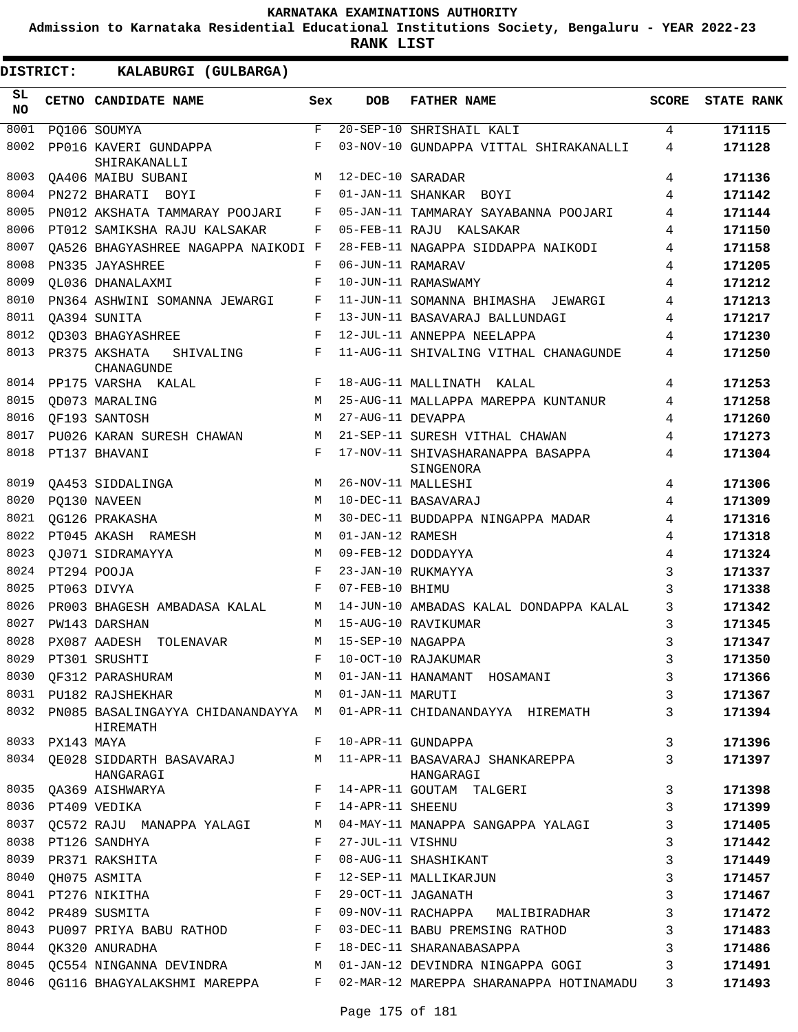**Admission to Karnataka Residential Educational Institutions Society, Bengaluru - YEAR 2022-23**

**RANK LIST**

| SL<br><b>NO</b> |                 | CETNO CANDIDATE NAME                                                          | Sex          | DOB               | <b>FATHER NAME</b>                                                       | <b>SCORE</b> | <b>STATE RANK</b> |
|-----------------|-----------------|-------------------------------------------------------------------------------|--------------|-------------------|--------------------------------------------------------------------------|--------------|-------------------|
| 8001            |                 | PQ106 SOUMYA                                                                  | F            |                   | 20-SEP-10 SHRISHAIL KALI                                                 | 4            | 171115            |
| 8002            |                 | PP016 KAVERI GUNDAPPA<br>SHIRAKANALLI                                         | F            |                   | 03-NOV-10 GUNDAPPA VITTAL SHIRAKANALLI                                   | 4            | 171128            |
| 8003            |                 | QA406 MAIBU SUBANI                                                            | М            | 12-DEC-10 SARADAR |                                                                          | 4            | 171136            |
| 8004            |                 | PN272 BHARATI BOYI                                                            | F            |                   | 01-JAN-11 SHANKAR BOYI                                                   | 4            | 171142            |
| 8005            |                 | PN012 AKSHATA TAMMARAY POOJARI                                                | F            |                   | 05-JAN-11 TAMMARAY SAYABANNA POOJARI                                     | 4            | 171144            |
| 8006            |                 | PT012 SAMIKSHA RAJU KALSAKAR                                                  | F            |                   | 05-FEB-11 RAJU KALSAKAR                                                  | 4            | 171150            |
| 8007            |                 | OA526 BHAGYASHREE NAGAPPA NAIKODI F                                           |              |                   | 28-FEB-11 NAGAPPA SIDDAPPA NAIKODI                                       | 4            | 171158            |
| 8008            |                 | PN335 JAYASHREE                                                               | F            | 06-JUN-11 RAMARAV |                                                                          | 4            | 171205            |
| 8009            |                 | OL036 DHANALAXMI                                                              | F            |                   | 10-JUN-11 RAMASWAMY                                                      | 4            | 171212            |
| 8010            |                 | PN364 ASHWINI SOMANNA JEWARGI                                                 | F            |                   | 11-JUN-11 SOMANNA BHIMASHA JEWARGI                                       | 4            | 171213            |
| 8011            |                 | OA394 SUNITA                                                                  | F            |                   | 13-JUN-11 BASAVARAJ BALLUNDAGI                                           | 4            | 171217            |
| 8012            |                 | <b>QD303 BHAGYASHREE</b>                                                      | F            |                   | 12-JUL-11 ANNEPPA NEELAPPA                                               | 4            | 171230            |
| 8013            |                 | PR375 AKSHATA<br>SHIVALING<br>CHANAGUNDE                                      | F            |                   | 11-AUG-11 SHIVALING VITHAL CHANAGUNDE                                    | 4            | 171250            |
| 8014            |                 | PP175 VARSHA KALAL                                                            | F            |                   | 18-AUG-11 MALLINATH KALAL                                                | 4            | 171253            |
| 8015            |                 | QD073 MARALING                                                                | M            |                   | 25-AUG-11 MALLAPPA MAREPPA KUNTANUR                                      | 4            | 171258            |
| 8016            |                 | OF193 SANTOSH                                                                 | M            | 27-AUG-11 DEVAPPA |                                                                          | 4            | 171260            |
| 8017            |                 | PU026 KARAN SURESH CHAWAN                                                     | М            |                   | 21-SEP-11 SURESH VITHAL CHAWAN                                           | 4            | 171273            |
| 8018            |                 | PT137 BHAVANI                                                                 | F            |                   | 17-NOV-11 SHIVASHARANAPPA BASAPPA<br>SINGENORA                           | 4            | 171304            |
| 8019            |                 | QA453 SIDDALINGA                                                              | M            |                   | 26-NOV-11 MALLESHI                                                       | 4            | 171306            |
| 8020            |                 | PQ130 NAVEEN                                                                  | M            |                   | 10-DEC-11 BASAVARAJ                                                      | 4            | 171309            |
| 8021            |                 | OG126 PRAKASHA                                                                | M            |                   | 30-DEC-11 BUDDAPPA NINGAPPA MADAR                                        | 4            | 171316            |
| 8022            |                 | PT045 AKASH RAMESH                                                            | M            | 01-JAN-12 RAMESH  |                                                                          | 4            | 171318            |
| 8023            |                 | OJ071 SIDRAMAYYA                                                              | M            |                   | 09-FEB-12 DODDAYYA                                                       | 4            | 171324            |
| 8024            |                 | PT294 POOJA                                                                   | F            |                   | 23-JAN-10 RUKMAYYA                                                       | 3            | 171337            |
| 8025            |                 | PT063 DIVYA                                                                   | F            | 07-FEB-10 BHIMU   |                                                                          | 3            | 171338            |
| 8026            |                 | PR003 BHAGESH AMBADASA KALAL                                                  | М            |                   | 14-JUN-10 AMBADAS KALAL DONDAPPA KALAL                                   | 3            | 171342            |
| 8027            |                 | PW143 DARSHAN                                                                 | M            |                   | 15-AUG-10 RAVIKUMAR                                                      | 3            | 171345            |
| 8028            |                 | PX087 AADESH<br>TOLENAVAR                                                     | М            | 15-SEP-10 NAGAPPA |                                                                          | 3            | 171347            |
| 8029            |                 | PT301 SRUSHTI                                                                 | F            |                   | 10-OCT-10 RAJAKUMAR                                                      | 3            | 171350            |
| 8030            |                 | QF312 PARASHURAM                                                              | M            |                   | 01-JAN-11 HANAMANT HOSAMANI                                              | 3            | 171366            |
|                 |                 | M 01-JAN-11 MARUTI<br>8031 PU182 RAJSHEKHAR                                   |              |                   |                                                                          | 3            | 171367            |
|                 |                 | HIREMATH                                                                      |              |                   | 8032 PN085 BASALINGAYYA CHIDANANDAYYA M 01-APR-11 CHIDANANDAYYA HIREMATH | 3            | 171394            |
|                 | 8033 PX143 MAYA |                                                                               | F            |                   | 10-APR-11 GUNDAPPA                                                       | 3            | 171396            |
|                 |                 | 8034 QE028 SIDDARTH BASAVARAJ M<br>HANGARAGI                                  |              |                   | 11-APR-11 BASAVARAJ SHANKAREPPA<br>HANGARAGI                             | 3            | 171397            |
|                 |                 | 8035 QA369 AISHWARYA                                                          |              |                   | F 14-APR-11 GOUTAM TALGERI                                               | 3            | 171398            |
|                 |                 | $\mathbb{F}^{\mathbb{Z}}$ . If $\mathbb{F}^{\mathbb{Z}}$<br>8036 PT409 VEDIKA |              | 14-APR-11 SHEENU  |                                                                          | 3            | 171399            |
|                 |                 | 8037 QC572 RAJU MANAPPA YALAGI M                                              |              |                   | 04-MAY-11 MANAPPA SANGAPPA YALAGI                                        | 3            | 171405            |
|                 |                 | 8038 PT126 SANDHYA                                                            | F            | 27-JUL-11 VISHNU  |                                                                          | 3            | 171442            |
| 8039            |                 | PR371 RAKSHITA                                                                | F            |                   | 08-AUG-11 SHASHIKANT                                                     | 3            | 171449            |
|                 |                 | 8040 QH075 ASMITA                                                             | $\mathbf{F}$ |                   | 12-SEP-11 MALLIKARJUN                                                    | 3            | 171457            |
|                 |                 | 8041 PT276 NIKITHA                                                            | F            |                   | 29-OCT-11 JAGANATH                                                       | 3            | 171467            |
|                 |                 | 8042 PR489 SUSMITA<br><b>Example 2</b> F                                      |              |                   | 09-NOV-11 RACHAPPA MALIBIRADHAR                                          | 3            | 171472            |
|                 |                 | 8043 PU097 PRIYA BABU RATHOD F                                                |              |                   | 03-DEC-11 BABU PREMSING RATHOD                                           | 3            | 171483            |
|                 |                 | $\mathbf{F}$ and $\mathbf{F}$<br>8044 QK320 ANURADHA                          |              |                   | 18-DEC-11 SHARANABASAPPA                                                 | 3            | 171486            |
|                 |                 | 8045 QC554 NINGANNA DEVINDRA M                                                |              |                   | 01-JAN-12 DEVINDRA NINGAPPA GOGI                                         | 3            | 171491            |
| 8046            |                 |                                                                               |              |                   | QG116 BHAGYALAKSHMI MAREPPA F 02-MAR-12 MAREPPA SHARANAPPA HOTINAMADU    | 3            | 171493            |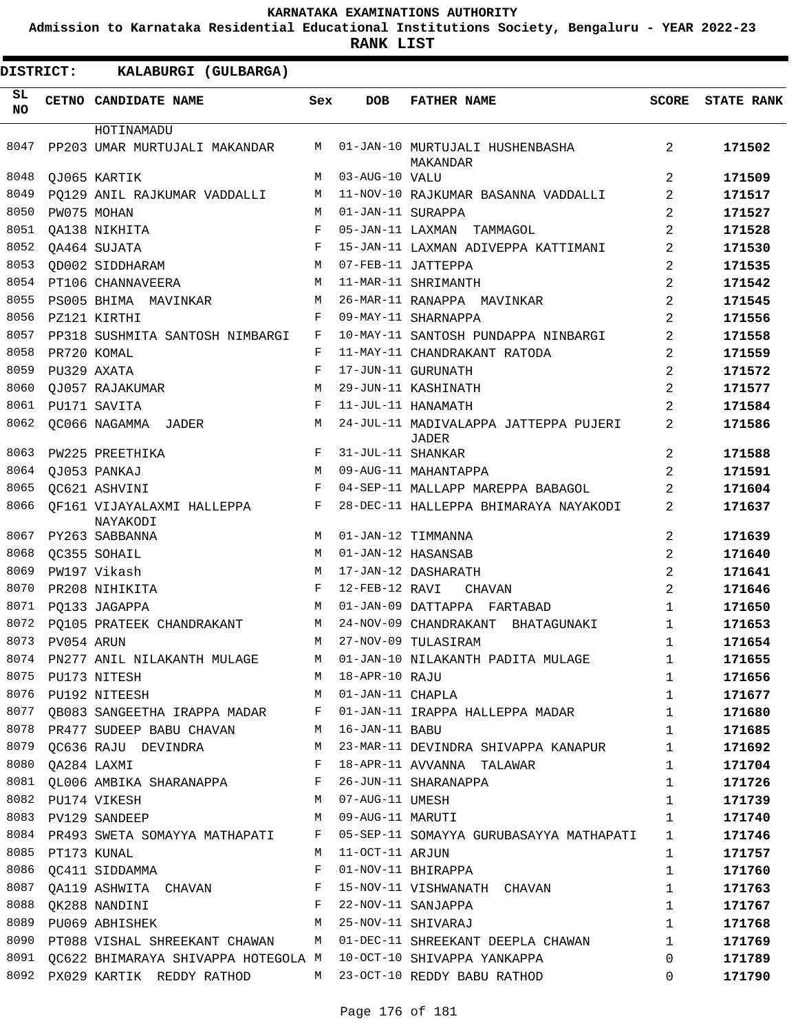**Admission to Karnataka Residential Educational Institutions Society, Bengaluru - YEAR 2022-23**

| <b>DISTRICT:</b> |                  | KALABURGI (GULBARGA)                                                                         |     |                    |                                                                              |                |                   |
|------------------|------------------|----------------------------------------------------------------------------------------------|-----|--------------------|------------------------------------------------------------------------------|----------------|-------------------|
| SL.<br><b>NO</b> |                  | CETNO CANDIDATE NAME                                                                         | Sex | <b>DOB</b>         | <b>FATHER NAME</b>                                                           | SCORE          | <b>STATE RANK</b> |
|                  |                  | HOTINAMADU                                                                                   |     |                    |                                                                              |                |                   |
| 8047             |                  | PP203 UMAR MURTUJALI MAKANDAR                                                                | M   |                    | 01-JAN-10 MURTUJALI HUSHENBASHA<br>MAKANDAR                                  | 2              | 171502            |
| 8048             |                  | QJ065 KARTIK                                                                                 | М   | 03-AUG-10 VALU     |                                                                              | 2              | 171509            |
| 8049             |                  | PO129 ANIL RAJKUMAR VADDALLI                                                                 | М   |                    | 11-NOV-10 RAJKUMAR BASANNA VADDALLI                                          | 2              | 171517            |
| 8050             |                  | PW075 MOHAN                                                                                  | M   | 01-JAN-11 SURAPPA  |                                                                              | 2              | 171527            |
| 8051             |                  | QA138 NIKHITA                                                                                | F   |                    | 05-JAN-11 LAXMAN TAMMAGOL                                                    | $\overline{2}$ | 171528            |
| 8052             |                  | QA464 SUJATA                                                                                 | F   |                    | 15-JAN-11 LAXMAN ADIVEPPA KATTIMANI                                          | 2              | 171530            |
| 8053             |                  | QD002 SIDDHARAM                                                                              | М   |                    | 07-FEB-11 JATTEPPA                                                           | 2              | 171535            |
| 8054             |                  | PT106 CHANNAVEERA                                                                            | M   |                    | 11-MAR-11 SHRIMANTH                                                          | $\overline{2}$ | 171542            |
| 8055             |                  | PS005 BHIMA MAVINKAR                                                                         | М   |                    | 26-MAR-11 RANAPPA MAVINKAR                                                   | $\overline{2}$ | 171545            |
| 8056             |                  | PZ121 KIRTHI                                                                                 | F   |                    | 09-MAY-11 SHARNAPPA                                                          | 2              | 171556            |
| 8057             |                  | PP318 SUSHMITA SANTOSH NIMBARGI                                                              | F   |                    | 10-MAY-11 SANTOSH PUNDAPPA NINBARGI                                          | 2              | 171558            |
| 8058             |                  | PR720 KOMAL                                                                                  | F   |                    | 11-MAY-11 CHANDRAKANT RATODA                                                 | 2              | 171559            |
| 8059             |                  | PU329 AXATA                                                                                  | F   |                    | 17-JUN-11 GURUNATH                                                           | $\overline{2}$ | 171572            |
| 8060             |                  | QJ057 RAJAKUMAR                                                                              | М   |                    | 29-JUN-11 KASHINATH                                                          | $\overline{2}$ | 171577            |
| 8061             |                  | PU171 SAVITA                                                                                 | F   |                    | 11-JUL-11 HANAMATH                                                           | 2              | 171584            |
| 8062             |                  | QC066 NAGAMMA JADER                                                                          | М   |                    | 24-JUL-11 MADIVALAPPA JATTEPPA PUJERI<br>JADER                               | 2              | 171586            |
| 8063             |                  | PW225 PREETHIKA                                                                              | F   | 31-JUL-11 SHANKAR  |                                                                              | 2              | 171588            |
| 8064             |                  | QJ053 PANKAJ                                                                                 | M   |                    | 09-AUG-11 MAHANTAPPA                                                         | 2              | 171591            |
| 8065             |                  | OC621 ASHVINI                                                                                | F   |                    | 04-SEP-11 MALLAPP MAREPPA BABAGOL                                            | 2              | 171604            |
| 8066             |                  | OF161 VIJAYALAXMI HALLEPPA<br>NAYAKODI                                                       | F   |                    | 28-DEC-11 HALLEPPA BHIMARAYA NAYAKODI                                        | 2              | 171637            |
| 8067             |                  | PY263 SABBANNA                                                                               | M   |                    | 01-JAN-12 TIMMANNA                                                           | 2              | 171639            |
| 8068             |                  | QC355 SOHAIL                                                                                 | M   | 01-JAN-12 HASANSAB |                                                                              | 2              | 171640            |
| 8069             |                  | PW197 Vikash                                                                                 | М   |                    | 17-JAN-12 DASHARATH                                                          | $\overline{a}$ | 171641            |
| 8070             |                  | PR208 NIHIKITA                                                                               | F   | 12-FEB-12 RAVI     | CHAVAN                                                                       | $\overline{2}$ | 171646            |
| 8071             |                  | PO133 JAGAPPA                                                                                | М   |                    | 01-JAN-09 DATTAPPA FARTABAD                                                  | $\mathbf{1}$   | 171650            |
| 8072             |                  | PO105 PRATEEK CHANDRAKANT                                                                    | М   |                    | 24-NOV-09 CHANDRAKANT<br>BHATAGUNAKI                                         | 1              | 171653            |
| 8073             | PV054 ARUN       |                                                                                              | M   |                    | 27-NOV-09 TULASIRAM                                                          | 1              | 171654            |
|                  |                  | 8074 PN277 ANIL NILAKANTH MULAGE                                                             |     |                    | M 01-JAN-10 NILAKANTH PADITA MULAGE                                          | 1              | 171655            |
|                  |                  | 8075 PU173 NITESH                                                                            |     | M 18-APR-10 RAJU   |                                                                              | $\mathbf{1}$   | 171656            |
|                  |                  | 8076 PU192 NITEESH<br>M 01-JAN-11 CHAPLA                                                     |     |                    |                                                                              | 1              | 171677            |
|                  |                  |                                                                                              |     |                    | 8077 QB083 SANGEETHA IRAPPA MADAR F 01-JAN-11 IRAPPA HALLEPPA MADAR          | $\mathbf{1}$   | 171680            |
|                  |                  | 8078 PR477 SUDEEP BABU CHAVAN M 16-JAN-11 BABU                                               |     |                    |                                                                              | $\mathbf{1}$   | 171685            |
| 8079             |                  |                                                                                              |     |                    | QC636 RAJU DEVINDRA             M   23-MAR-11 DEVINDRA SHIVAPPA KANAPUR      | 1              | 171692            |
|                  | 8080 QA284 LAXMI | <b>Example 20</b>                                                                            |     |                    | 18-APR-11 AVVANNA TALAWAR                                                    | $\mathbf{1}$   | 171704            |
|                  |                  | 8081 QL006 AMBIKA SHARANAPPA $F$ 26-JUN-11 SHARANAPPA<br>8082 PU174 VIKESH M 07-AUG-11 UMESH |     |                    |                                                                              | $\mathbf 1$    | 171726            |
|                  |                  |                                                                                              |     |                    |                                                                              | $\mathbf{1}$   | 171739            |
|                  |                  | 8083 PV129 SANDEEP<br>M 09-AUG-11 MARUTI                                                     |     |                    |                                                                              | $\mathbf{1}$   | 171740            |
|                  |                  |                                                                                              |     |                    | 8084 PR493 SWETA SOMAYYA MATHAPATI F 05-SEP-11 SOMAYYA GURUBASAYYA MATHAPATI | 1              | 171746            |
|                  | 8085 PT173 KUNAL |                                                                                              | M   | 11-OCT-11 ARJUN    |                                                                              | $\mathbf 1$    | 171757            |
|                  |                  | 8086 QC411 SIDDAMMA                                                                          | F   |                    | 01-NOV-11 BHIRAPPA                                                           | 1              | 171760            |
| 8087             |                  |                                                                                              |     |                    | QA119 ASHWITA CHAVAN F 15-NOV-11 VISHWANATH CHAVAN                           | $\mathbf 1$    | 171763            |
| 8088             |                  | $\mathbf{F}$ and $\mathbf{F}$ and $\mathbf{F}$<br>QK288 NANDINI                              |     |                    | 22-NOV-11 SANJAPPA                                                           | $\mathbf 1$    | 171767            |
|                  |                  | 8089 PU069 ABHISHEK                                                                          |     |                    | M 25-NOV-11 SHIVARAJ                                                         | $\mathbf{1}$   | 171768            |
|                  |                  |                                                                                              |     |                    | 8090 PT088 VISHAL SHREEKANT CHAWAN M 01-DEC-11 SHREEKANT DEEPLA CHAWAN       | $\mathbf{1}$   | 171769            |
|                  |                  |                                                                                              |     |                    | 8091 QC622 BHIMARAYA SHIVAPPA HOTEGOLA M 10-OCT-10 SHIVAPPA YANKAPPA         | $\Omega$       | 171789            |
|                  |                  |                                                                                              |     |                    | 8092 PX029 KARTIK REDDY RATHOD M 23-OCT-10 REDDY BABU RATHOD                 | $\Omega$       | 171790            |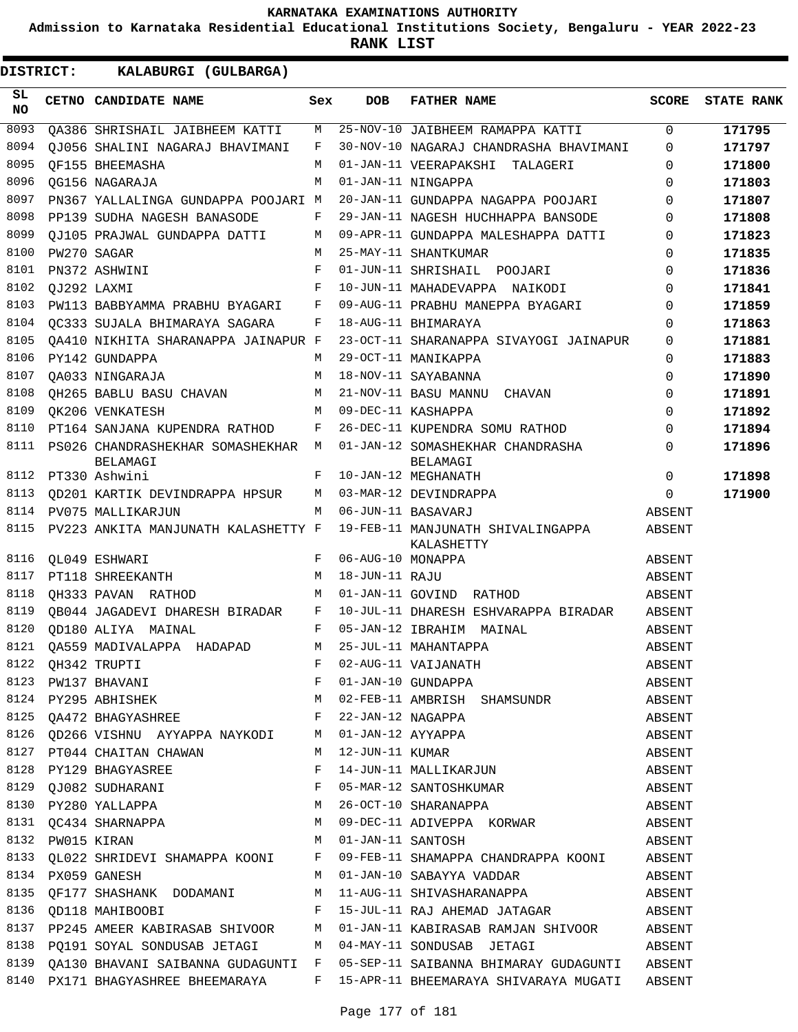**Admission to Karnataka Residential Educational Institutions Society, Bengaluru - YEAR 2022-23**

**RANK LIST**

 $\blacksquare$ 

| SL<br>NO | CETNO CANDIDATE NAME                                         | Sex | <b>DOB</b>         | <b>FATHER NAME</b>                                                                                                                                    | <b>SCORE</b> | <b>STATE RANK</b> |
|----------|--------------------------------------------------------------|-----|--------------------|-------------------------------------------------------------------------------------------------------------------------------------------------------|--------------|-------------------|
| 8093     | OA386 SHRISHAIL JAIBHEEM KATTI                               | М   |                    | 25-NOV-10 JAIBHEEM RAMAPPA KATTI                                                                                                                      | $\Omega$     | 171795            |
| 8094     | OJ056 SHALINI NAGARAJ BHAVIMANI                              | F   |                    | 30-NOV-10 NAGARAJ CHANDRASHA BHAVIMANI                                                                                                                | $\Omega$     | 171797            |
| 8095     | OF155 BHEEMASHA                                              | М   |                    | 01-JAN-11 VEERAPAKSHI TALAGERI                                                                                                                        | $\Omega$     | 171800            |
| 8096     | OG156 NAGARAJA                                               | M   |                    | 01-JAN-11 NINGAPPA                                                                                                                                    | $\Omega$     | 171803            |
| 8097     | PN367 YALLALINGA GUNDAPPA POOJARI M                          |     |                    | 20-JAN-11 GUNDAPPA NAGAPPA POOJARI                                                                                                                    | $\Omega$     | 171807            |
| 8098     | PP139 SUDHA NAGESH BANASODE                                  | F   |                    | 29-JAN-11 NAGESH HUCHHAPPA BANSODE                                                                                                                    | $\Omega$     | 171808            |
| 8099     | OJ105 PRAJWAL GUNDAPPA DATTI                                 | М   |                    | 09-APR-11 GUNDAPPA MALESHAPPA DATTI                                                                                                                   | $\Omega$     | 171823            |
| 8100     | PW270 SAGAR                                                  | M   |                    | 25-MAY-11 SHANTKUMAR                                                                                                                                  | $\Omega$     | 171835            |
| 8101     | PN372 ASHWINI                                                | F   |                    | 01-JUN-11 SHRISHAIL POOJARI                                                                                                                           | $\Omega$     | 171836            |
| 8102     | OJ292 LAXMI                                                  | F   |                    | 10-JUN-11 MAHADEVAPPA NAIKODI                                                                                                                         | $\Omega$     | 171841            |
| 8103     | PW113 BABBYAMMA PRABHU BYAGARI                               | F   |                    | 09-AUG-11 PRABHU MANEPPA BYAGARI                                                                                                                      | $\Omega$     | 171859            |
| 8104     | OC333 SUJALA BHIMARAYA SAGARA                                | F   |                    | 18-AUG-11 BHIMARAYA                                                                                                                                   | $\Omega$     | 171863            |
| 8105     | OA410 NIKHITA SHARANAPPA JAINAPUR F                          |     |                    | 23-OCT-11 SHARANAPPA SIVAYOGI JAINAPUR                                                                                                                | $\Omega$     | 171881            |
| 8106     | PY142 GUNDAPPA                                               | М   |                    | 29-OCT-11 MANIKAPPA                                                                                                                                   | $\Omega$     | 171883            |
| 8107     | QA033 NINGARAJA                                              | M   |                    | 18-NOV-11 SAYABANNA                                                                                                                                   | $\Omega$     | 171890            |
| 8108     | QH265 BABLU BASU CHAVAN                                      | M   |                    | 21-NOV-11 BASU MANNU CHAVAN                                                                                                                           | $\Omega$     | 171891            |
| 8109     | OK206 VENKATESH                                              | M   |                    | 09-DEC-11 KASHAPPA                                                                                                                                    | $\Omega$     | 171892            |
| 8110     | PT164 SANJANA KUPENDRA RATHOD                                | F   |                    | 26-DEC-11 KUPENDRA SOMU RATHOD                                                                                                                        | $\Omega$     | 171894            |
| 8111     | PS026 CHANDRASHEKHAR SOMASHEKHAR M                           |     |                    | 01-JAN-12 SOMASHEKHAR CHANDRASHA                                                                                                                      | $\Omega$     | 171896            |
|          | BELAMAGI                                                     |     |                    | BELAMAGI                                                                                                                                              |              |                   |
| 8112     | PT330 Ashwini                                                | F   |                    | 10-JAN-12 MEGHANATH                                                                                                                                   | $\Omega$     | 171898            |
| 8113     | QD201 KARTIK DEVINDRAPPA HPSUR                               | М   |                    | 03-MAR-12 DEVINDRAPPA                                                                                                                                 | $\Omega$     | 171900            |
| 8114     | PV075 MALLIKARJUN                                            | М   | 06-JUN-11 BASAVARJ |                                                                                                                                                       | ABSENT       |                   |
| 8115     | PV223 ANKITA MANJUNATH KALASHETTY F                          |     |                    | 19-FEB-11 MANJUNATH SHIVALINGAPPA<br>KALASHETTY                                                                                                       | ABSENT       |                   |
| 8116     | QL049 ESHWARI                                                | F   | 06-AUG-10 MONAPPA  |                                                                                                                                                       | ABSENT       |                   |
| 8117     | PT118 SHREEKANTH                                             | M   | 18-JUN-11 RAJU     |                                                                                                                                                       | ABSENT       |                   |
| 8118     | OH333 PAVAN RATHOD                                           | M   | 01-JAN-11 GOVIND   | RATHOD                                                                                                                                                | ABSENT       |                   |
| 8119     | QB044 JAGADEVI DHARESH BIRADAR                               | F   |                    | 10-JUL-11 DHARESH ESHVARAPPA BIRADAR                                                                                                                  | ABSENT       |                   |
| 8120     | OD180 ALIYA MAINAL                                           | F   |                    | 05-JAN-12 IBRAHIM MAINAL                                                                                                                              | ABSENT       |                   |
| 8121     | OA559 MADIVALAPPA HADAPAD                                    | М   |                    | 25-JUL-11 MAHANTAPPA                                                                                                                                  | ABSENT       |                   |
|          | 8122 QH342 TRUPTI                                            | F   |                    | 02-AUG-11 VAIJANATH                                                                                                                                   | ABSENT       |                   |
|          |                                                              |     |                    |                                                                                                                                                       | ABSENT       |                   |
|          |                                                              |     |                    |                                                                                                                                                       | ABSENT       |                   |
|          |                                                              |     |                    | 8125 QA472 BHAGYASHREE F 22-JAN-12 NAGAPPA                                                                                                            | ABSENT       |                   |
|          |                                                              |     |                    |                                                                                                                                                       | ABSENT       |                   |
|          |                                                              |     |                    |                                                                                                                                                       | ABSENT       |                   |
|          |                                                              |     |                    | 8126 QD266 VISHNU AYYAPPA NAYKODI M 01-JAN-12 AYYAPPA<br>8127 PT044 CHAITAN CHAWAN M 12-JUN-11 KUMAR<br>8128 PY129 BHAGYASREE F 14-JUN-11 MALLIKARJUN | ABSENT       |                   |
|          |                                                              |     |                    |                                                                                                                                                       |              |                   |
|          |                                                              |     |                    |                                                                                                                                                       |              |                   |
|          |                                                              |     |                    |                                                                                                                                                       |              |                   |
|          |                                                              |     |                    | 8132 PW015 KIRAN M 01-JAN-11 SANTOSH ABSENT                                                                                                           |              |                   |
|          |                                                              |     |                    | 8133 QL022 SHRIDEVI SHAMAPPA KOONI F 09-FEB-11 SHAMAPPA CHANDRAPPA KOONI ABSENT                                                                       |              |                   |
|          |                                                              |     |                    | 8134 PX059 GANESH M 01-JAN-10 SABAYYA VADDAR                                                                                                          | ABSENT       |                   |
|          |                                                              |     |                    | 8135 QF177 SHASHANK DODAMANI M 11-AUG-11 SHIVASHARANAPPA ABSENT                                                                                       |              |                   |
|          |                                                              |     |                    | 8136 QD118 MAHIBOOBI $F 15-JUL-11 RAJ AHEMAD JATAGAR$ ABSENT                                                                                          |              |                   |
|          |                                                              |     |                    | 8137 PP245 AMEER KABIRASAB SHIVOOR M 01-JAN-11 KABIRASAB RAMJAN SHIVOOR ABSENT                                                                        |              |                   |
|          | 8138 PQ191 SOYAL SONDUSAB JETAGI M 04-MAY-11 SONDUSAB JETAGI |     |                    |                                                                                                                                                       | ABSENT       |                   |
|          |                                                              |     |                    | 8139 QA130 BHAVANI SAIBANNA GUDAGUNTI F 05-SEP-11 SAIBANNA BHIMARAY GUDAGUNTI ABSENT                                                                  |              |                   |
|          |                                                              |     |                    | 8140 PX171 BHAGYASHREE BHEEMARAYA F 15-APR-11 BHEEMARAYA SHIVARAYA MUGATI ABSENT                                                                      |              |                   |
|          |                                                              |     |                    |                                                                                                                                                       |              |                   |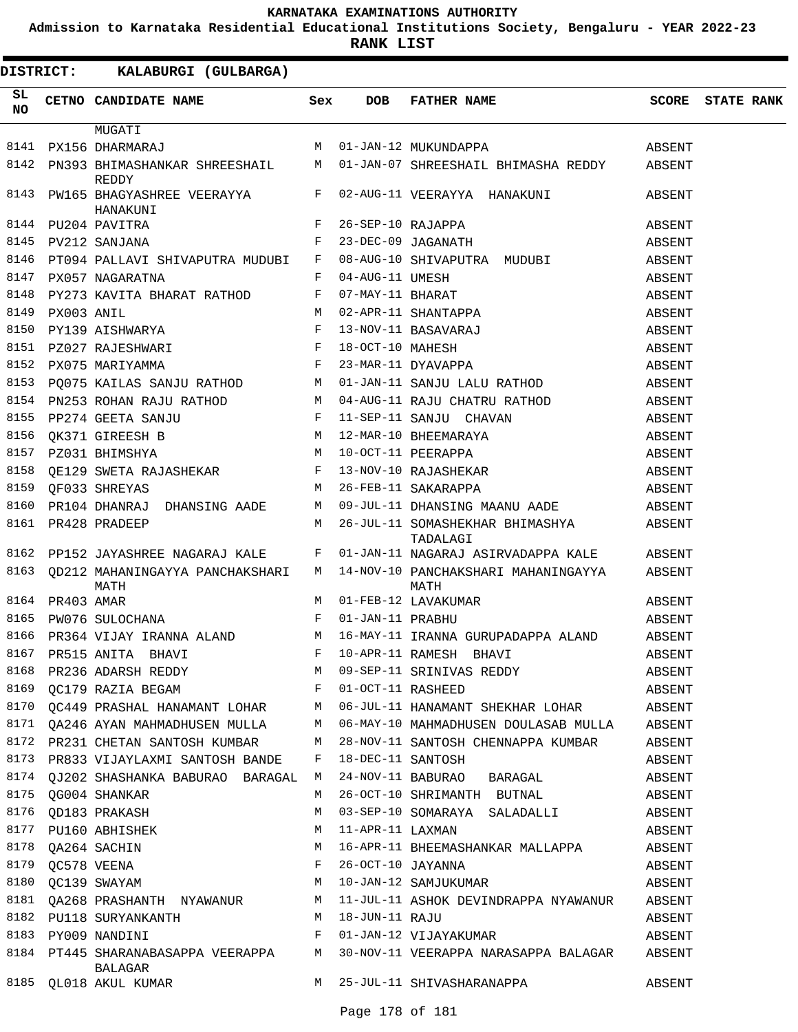**Admission to Karnataka Residential Educational Institutions Society, Bengaluru - YEAR 2022-23**

| <b>DISTRICT:</b> |            | KALABURGI (GULBARGA)                                                                                                                                                                                                                                  |              |                   |                                                                                                                                                                                                                                |        |                   |
|------------------|------------|-------------------------------------------------------------------------------------------------------------------------------------------------------------------------------------------------------------------------------------------------------|--------------|-------------------|--------------------------------------------------------------------------------------------------------------------------------------------------------------------------------------------------------------------------------|--------|-------------------|
| SL<br><b>NO</b>  |            | CETNO CANDIDATE NAME                                                                                                                                                                                                                                  | Sex          | <b>DOB</b>        | <b>FATHER NAME</b>                                                                                                                                                                                                             | SCORE  | <b>STATE RANK</b> |
|                  |            | MUGATI                                                                                                                                                                                                                                                |              |                   |                                                                                                                                                                                                                                |        |                   |
| 8141             |            | M 01-JAN-12 MUKUNDAPPA<br>PX156 DHARMARAJ                                                                                                                                                                                                             |              |                   |                                                                                                                                                                                                                                | ABSENT |                   |
| 8142             |            | PN393 BHIMASHANKAR SHREESHAIL M<br>REDDY                                                                                                                                                                                                              |              |                   | 01-JAN-07 SHREESHAIL BHIMASHA REDDY                                                                                                                                                                                            | ABSENT |                   |
| 8143             |            | PW165 BHAGYASHREE VEERAYYA F<br>HANAKUNI                                                                                                                                                                                                              |              |                   | 02-AUG-11 VEERAYYA HANAKUNI                                                                                                                                                                                                    | ABSENT |                   |
| 8144             |            | PU204 PAVITRA                                                                                                                                                                                                                                         | $F$ and      | 26-SEP-10 RAJAPPA |                                                                                                                                                                                                                                | ABSENT |                   |
| 8145             |            | PV212 SANJANA                                                                                                                                                                                                                                         | $\mathbf{F}$ |                   | 23-DEC-09 JAGANATH                                                                                                                                                                                                             | ABSENT |                   |
| 8146             |            | PT094 PALLAVI SHIVAPUTRA MUDUBI                                                                                                                                                                                                                       | F            |                   | 08-AUG-10 SHIVAPUTRA MUDUBI                                                                                                                                                                                                    | ABSENT |                   |
| 8147             |            | PX057 NAGARATNA                                                                                                                                                                                                                                       | F            | 04-AUG-11 UMESH   |                                                                                                                                                                                                                                | ABSENT |                   |
| 8148             |            | PY273 KAVITA BHARAT RATHOD                                                                                                                                                                                                                            | F            | 07-MAY-11 BHARAT  |                                                                                                                                                                                                                                | ABSENT |                   |
| 8149             | PX003 ANIL |                                                                                                                                                                                                                                                       | M            |                   | 02-APR-11 SHANTAPPA                                                                                                                                                                                                            | ABSENT |                   |
| 8150             |            | $\mathbb{F}$<br>PY139 AISHWARYA                                                                                                                                                                                                                       |              |                   | 13-NOV-11 BASAVARAJ                                                                                                                                                                                                            | ABSENT |                   |
| 8151             |            | PZ027 RAJESHWARI<br>$\mathbf{F}$ and the set of the set of the set of the set of the set of the set of the set of the set of the set of the set of the set of the set of the set of the set of the set of the set of the set of the set of the set of |              | 18-OCT-10 MAHESH  |                                                                                                                                                                                                                                | ABSENT |                   |
| 8152             |            | PX075 MARIYAMMA<br>$\mathbf{F}$ and the contract of the contract $\mathbf{F}$ and                                                                                                                                                                     |              |                   | 23-MAR-11 DYAVAPPA                                                                                                                                                                                                             | ABSENT |                   |
| 8153             |            | PQ075 KAILAS SANJU RATHOD M                                                                                                                                                                                                                           |              |                   | 01-JAN-11 SANJU LALU RATHOD                                                                                                                                                                                                    | ABSENT |                   |
| 8154             |            |                                                                                                                                                                                                                                                       |              |                   | PQU/5 KAILLAS SANUU ATIISEE<br>PN253 ROHAN RAJU RATHOD M 04-AUG-11 RAJU CHATRU RATHOD                                                                                                                                          | ABSENT |                   |
| 8155             |            | PP274 GEETA SANJU<br>$\mathbf{F}$ and $\mathbf{F}$ and $\mathbf{F}$                                                                                                                                                                                   |              |                   | 11-SEP-11 SANJU CHAVAN                                                                                                                                                                                                         | ABSENT |                   |
| 8156             |            | QK371 GIREESH B                                                                                                                                                                                                                                       |              |                   |                                                                                                                                                                                                                                | ABSENT |                   |
| 8157             |            | PZ031 BHIMSHYA                                                                                                                                                                                                                                        |              |                   | M 12-MAR-10 BHEEMARAYA<br>M 10-OCT-11 PEERAPPA                                                                                                                                                                                 | ABSENT |                   |
| 8158             |            | QE129 SWETA RAJASHEKAR F                                                                                                                                                                                                                              |              |                   | 13-NOV-10 RAJASHEKAR                                                                                                                                                                                                           | ABSENT |                   |
| 8159             |            | OF033 SHREYAS                                                                                                                                                                                                                                         | M            |                   | 26-FEB-11 SAKARAPPA                                                                                                                                                                                                            | ABSENT |                   |
| 8160             |            | PR104 DHANRAJ DHANSING AADE                                                                                                                                                                                                                           | M            |                   | 09-JUL-11 DHANSING MAANU AADE                                                                                                                                                                                                  | ABSENT |                   |
| 8161             |            | PR428 PRADEEP                                                                                                                                                                                                                                         | M            |                   | 26-JUL-11 SOMASHEKHAR BHIMASHYA<br>TADALAGI                                                                                                                                                                                    | ABSENT |                   |
| 8162             |            | PP152 JAYASHREE NAGARAJ KALE F                                                                                                                                                                                                                        |              |                   | 01-JAN-11 NAGARAJ ASIRVADAPPA KALE                                                                                                                                                                                             | ABSENT |                   |
| 8163             |            | QD212 MAHANINGAYYA PANCHAKSHARI<br>MATH                                                                                                                                                                                                               | M            |                   | 14-NOV-10 PANCHAKSHARI MAHANINGAYYA<br>MATH                                                                                                                                                                                    | ABSENT |                   |
| 8164             | PR403 AMAR |                                                                                                                                                                                                                                                       | M            |                   | 01-FEB-12 LAVAKUMAR                                                                                                                                                                                                            | ABSENT |                   |
| 8165             |            | PW076 SULOCHANA                                                                                                                                                                                                                                       | F            | 01-JAN-11 PRABHU  |                                                                                                                                                                                                                                | ABSENT |                   |
|                  |            |                                                                                                                                                                                                                                                       |              |                   | 8166 PR364 VIJAY IRANNA ALAND M 16-MAY-11 IRANNA GURUPADAPPA ALAND                                                                                                                                                             | ABSENT |                   |
| 8167             |            | PR515 ANITA BHAVI                                                                                                                                                                                                                                     | F            |                   | 10-APR-11 RAMESH BHAVI                                                                                                                                                                                                         | ABSENT |                   |
| 8168             |            | PR236 ADARSH REDDY M 09-SEP-11 SRINIVAS REDDY                                                                                                                                                                                                         |              |                   |                                                                                                                                                                                                                                | ABSENT |                   |
|                  |            |                                                                                                                                                                                                                                                       |              |                   | POSTAGES SERIES AND TRING ASSENT FOR SALE FOR STRING STRING AND TRING ASSENT ASSENT ASSENT ASSENT AND A SALE TO A SALE TO A SALE THE MANAGERY OCLUDE THE MANAGERY AND A SALE TO A SALE TO A SALE TO A SALE THAT A SALE TO A SA |        |                   |
|                  |            |                                                                                                                                                                                                                                                       |              |                   |                                                                                                                                                                                                                                |        |                   |
|                  |            | 8171 QA246 AYAN MAHMADHUSEN MULLA M                                                                                                                                                                                                                   |              |                   | 06-MAY-10 MAHMADHUSEN DOULASAB MULLA ABSENT                                                                                                                                                                                    |        |                   |
|                  |            | 8172 PR231 CHETAN SANTOSH KUMBAR M                                                                                                                                                                                                                    |              |                   | 28-NOV-11 SANTOSH CHENNAPPA KUMBAR ABSENT                                                                                                                                                                                      |        |                   |
|                  |            | 8173 PR833 VIJAYLAXMI SANTOSH BANDE F                                                                                                                                                                                                                 |              |                   | 18-DEC-11 SANTOSH                                                                                                                                                                                                              | ABSENT |                   |
|                  |            | 8174 QJ202 SHASHANKA BABURAO BARAGAL M                                                                                                                                                                                                                |              |                   | 24-NOV-11 BABURAO BARAGAL                                                                                                                                                                                                      | ABSENT |                   |
|                  |            | 8175 QG004 SHANKAR                                                                                                                                                                                                                                    | M            |                   | 26-OCT-10 SHRIMANTH BUTNAL                                                                                                                                                                                                     | ABSENT |                   |
| 8176             |            | OD183 PRAKASH                                                                                                                                                                                                                                         | М            |                   | 03-SEP-10 SOMARAYA SALADALLI                                                                                                                                                                                                   | ABSENT |                   |
|                  |            |                                                                                                                                                                                                                                                       |              |                   |                                                                                                                                                                                                                                | ABSENT |                   |
|                  |            |                                                                                                                                                                                                                                                       |              |                   | 16-APR-11 BHEEMASHANKAR MALLAPPA ABSENT                                                                                                                                                                                        |        |                   |
|                  |            |                                                                                                                                                                                                                                                       |              |                   |                                                                                                                                                                                                                                | ABSENT |                   |
|                  |            | 8177 PU160 ABHISHEK M 11-APR-11 LAXMAN<br>8178 QA264 SACHIN M 16-APR-11 BHEEMASHANKAR MALLAPPA<br>8179 QC578 VEENA F 26-OCT-10 JAYANNA<br>8180 QC139 SWAYAM M 10-JAN-12 SAMJUKUMAR                                                                    |              |                   |                                                                                                                                                                                                                                | ABSENT |                   |
|                  |            |                                                                                                                                                                                                                                                       |              |                   | 8181 QA268 PRASHANTH NYAWANUR M 11-JUL-11 ASHOK DEVINDRAPPA NYAWANUR ABSENT                                                                                                                                                    |        |                   |
|                  |            | 8182 PU118 SURYANKANTH M 18-JUN-11 RAJU                                                                                                                                                                                                               |              |                   |                                                                                                                                                                                                                                | ABSENT |                   |
|                  |            | $\mathbf{F}$ and $\mathbf{F}$ are the set of $\mathbf{F}$<br>8183 PY009 NANDINI                                                                                                                                                                       |              |                   | 01-JAN-12 VIJAYAKUMAR                                                                                                                                                                                                          | ABSENT |                   |
| 8184             |            | BALAGAR                                                                                                                                                                                                                                               |              |                   | PT445 SHARANABASAPPA VEERAPPA M 30-NOV-11 VEERAPPA NARASAPPA BALAGAR ABSENT                                                                                                                                                    |        |                   |
|                  |            | 8185 QL018 AKUL KUMAR                                                                                                                                                                                                                                 |              |                   | M 25-JUL-11 SHIVASHARANAPPA                                                                                                                                                                                                    | ABSENT |                   |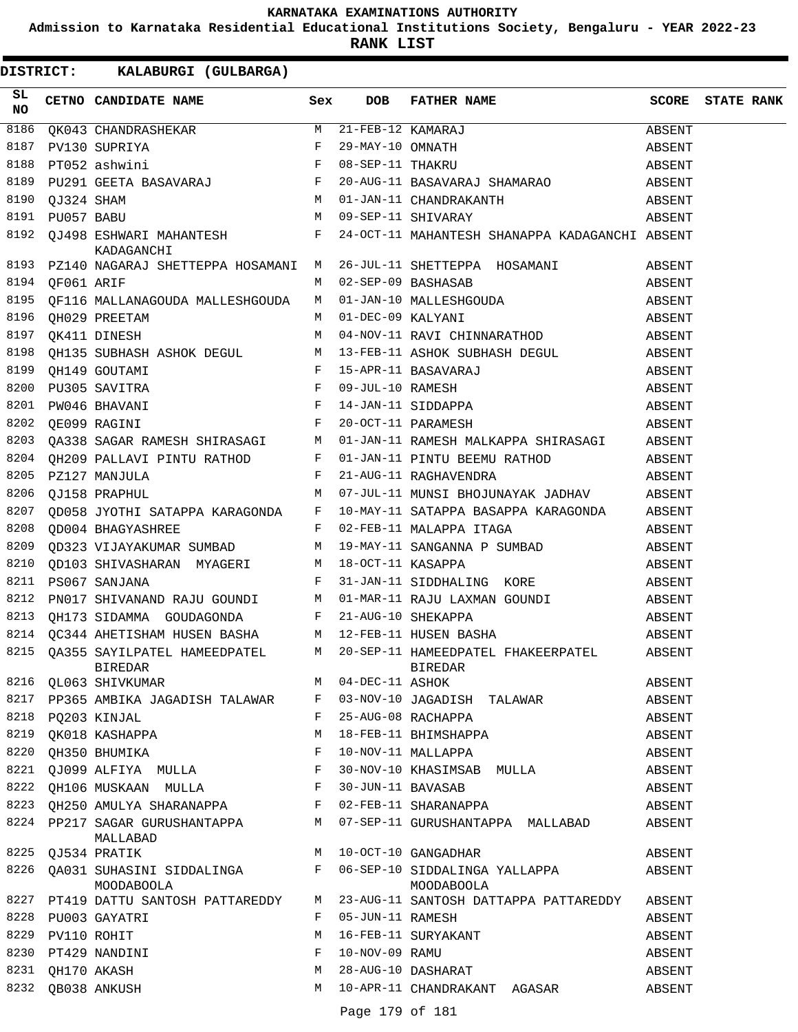**Admission to Karnataka Residential Educational Institutions Society, Bengaluru - YEAR 2022-23**

**RANK LIST**

**DISTRICT:** KK **KALABURGI (GULBARGA)**

| SL<br>NO |                 | CETNO CANDIDATE NAME Sex                |  | DOB FATHER NAME SCORE STATE RANK                                                                                                                                                                                                                                                                                                                                                                                                                 |        |  |
|----------|-----------------|-----------------------------------------|--|--------------------------------------------------------------------------------------------------------------------------------------------------------------------------------------------------------------------------------------------------------------------------------------------------------------------------------------------------------------------------------------------------------------------------------------------------|--------|--|
| 8186     |                 |                                         |  | $\begin{tabular}{l c c c c c c} \hline QK043 CHANDRASHEKAR & \multicolumn{3}{c}{M} & 21-FEB-12 KAMARAJ & \multicolumn{3}{c}{ABSENT} \\ \hline \multicolumn{3}{c}{\textbf{PV130 SUPRIYA}} & \multicolumn{3}{c}{\textbf{F}} & 29-MAY-10 OMNATH & \multicolumn{3}{c}{\textbf{AMARAJ}} & \multicolumn{3}{c}{\textbf{ABSENT}} \\ \hline \multicolumn{3}{c}{\textbf{F}} & 08-SEP-11 THAKRU & \multicolumn{3}{c}{\textbf{HAMARAO}} & \multic$           |        |  |
| 8187     |                 |                                         |  |                                                                                                                                                                                                                                                                                                                                                                                                                                                  |        |  |
| 8188     |                 |                                         |  |                                                                                                                                                                                                                                                                                                                                                                                                                                                  |        |  |
| 8189     |                 |                                         |  |                                                                                                                                                                                                                                                                                                                                                                                                                                                  |        |  |
| 8190     |                 |                                         |  |                                                                                                                                                                                                                                                                                                                                                                                                                                                  |        |  |
|          | 8191 PU057 BABU |                                         |  |                                                                                                                                                                                                                                                                                                                                                                                                                                                  |        |  |
|          |                 |                                         |  | 8192 QJ498 ESHWARI MAHANTESH $F = 24-0CT-11$ MAHANTESH SHANAPPA KADAGANCHI ABSENT KADAGANCHI                                                                                                                                                                                                                                                                                                                                                     |        |  |
|          |                 |                                         |  | 8193 PZ140 NAGARAJ SHETTEPPA HOSAMANI M 26-JUL-11 SHETTEPPA HOSAMANI ABSENT                                                                                                                                                                                                                                                                                                                                                                      |        |  |
|          |                 | M 02-SEP-09 BASHASAB                    |  |                                                                                                                                                                                                                                                                                                                                                                                                                                                  |        |  |
|          |                 |                                         |  |                                                                                                                                                                                                                                                                                                                                                                                                                                                  |        |  |
|          |                 |                                         |  |                                                                                                                                                                                                                                                                                                                                                                                                                                                  |        |  |
|          |                 |                                         |  | $\begin{tabular}{lllllllllllllllllllll} \end{tabular} \begin{tabular}{lllllllllllll} \multicolumn{4}{c}{{\small 8194}} & $\mathsf{QF061} $ ARIF$ & $\mathsf{M}$ & $02$--SEP$-$09 $ BASHASAB$ & \multicolumn{4}{c}{{\small 8195}} \\ \multicolumn{4}{c}{{\small 9F116}} & $\mathsf{MALLANAGOUDA}$ & $\mathsf{MALLESHGOUDA}$ & $\mathsf{M}$ & $01$--JAN$-$10 $ MALLESHGOUDA & \multicolumn{4}{c}{{\small 8196}} \\ \multicolumn{4}{c}{{\small 9H0$ |        |  |
|          |                 |                                         |  |                                                                                                                                                                                                                                                                                                                                                                                                                                                  |        |  |
|          |                 |                                         |  |                                                                                                                                                                                                                                                                                                                                                                                                                                                  |        |  |
|          |                 |                                         |  |                                                                                                                                                                                                                                                                                                                                                                                                                                                  |        |  |
|          |                 |                                         |  | 9198 QH135 SUBHASH ASHOK DEGUL M 13-FEB-11 ASHOK SUBHASH DEGUL ABSENT ASHON ARSENT F 15-APR-11 BASAVARAJ ABSENT ABSENT F 20-OCT-11 PARAMESH ABSENT CHEORY CHEORY ARE CHEORY ARE ABSENT F 20-OCT-11 PARAMESH ABSENT ABSENT CHEO                                                                                                                                                                                                                   |        |  |
|          |                 |                                         |  |                                                                                                                                                                                                                                                                                                                                                                                                                                                  |        |  |
|          |                 |                                         |  | 8203 QA338 SAGAR RAMESH SHIRASAGI M 01-JAN-11 RAMESH MALKAPPA SHIRASAGI ABSENT<br>8204 QH209 PALLAVI PINTU RATHOD F 01-JAN-11 PINTU BEEMU RATHOD ABSENT                                                                                                                                                                                                                                                                                          |        |  |
|          |                 |                                         |  |                                                                                                                                                                                                                                                                                                                                                                                                                                                  |        |  |
| 8205     |                 |                                         |  |                                                                                                                                                                                                                                                                                                                                                                                                                                                  |        |  |
| 8206     |                 |                                         |  | ROUTE A SERVE AND THE SERVE ASSESSED.<br>PZ127 MANJULA RESENT F 21-AUG-11 RAGHAVENDRA ABSENT<br>QJ158 PRAPHUL MUNI MUNISI BHOJUNAYAK JADHAV ABSENT                                                                                                                                                                                                                                                                                               |        |  |
|          |                 |                                         |  | 8207 QD058 JYOTHI SATAPPA KARAGONDA F 10-MAY-11 SATAPPA BASAPPA KARAGONDA ABSENT<br>8208 QD004 BHAGYASHREE F 02-FEB-11 MALAPPA ITAGA ABSENT                                                                                                                                                                                                                                                                                                      |        |  |
|          |                 |                                         |  |                                                                                                                                                                                                                                                                                                                                                                                                                                                  |        |  |
| 8209     |                 |                                         |  | QD323 VIJAYAKUMAR SUMBAD M 19-MAY-11 SANGANNA P SUMBAD ABSENT                                                                                                                                                                                                                                                                                                                                                                                    |        |  |
|          |                 |                                         |  |                                                                                                                                                                                                                                                                                                                                                                                                                                                  |        |  |
|          |                 |                                         |  | 8210 QD103 SHIVASHARAN MYAGERI M 18-OCT-11 KASAPPA ABSENT ABSENT PS067 SANJANA F 31-JAN-11 SIDDHALING KORE ABSENT                                                                                                                                                                                                                                                                                                                                |        |  |
| 8212     |                 |                                         |  | PN017 SHIVANAND RAJU GOUNDI M 01-MAR-11 RAJU LAXMAN GOUNDI ABSENT                                                                                                                                                                                                                                                                                                                                                                                |        |  |
|          |                 |                                         |  |                                                                                                                                                                                                                                                                                                                                                                                                                                                  |        |  |
|          |                 |                                         |  |                                                                                                                                                                                                                                                                                                                                                                                                                                                  |        |  |
|          |                 |                                         |  |                                                                                                                                                                                                                                                                                                                                                                                                                                                  |        |  |
|          |                 |                                         |  |                                                                                                                                                                                                                                                                                                                                                                                                                                                  |        |  |
|          |                 |                                         |  | 8217 PP365 AMBIKA JAGADISH TALAWAR F 03-NOV-10 JAGADISH TALAWAR                                                                                                                                                                                                                                                                                                                                                                                  | ABSENT |  |
|          |                 | 8218 PQ203 KINJAL                       |  | F 25-AUG-08 RACHAPPA                                                                                                                                                                                                                                                                                                                                                                                                                             | ABSENT |  |
|          |                 | 8219 QK018 KASHAPPA                     |  | M 18-FEB-11 BHIMSHAPPA                                                                                                                                                                                                                                                                                                                                                                                                                           | ABSENT |  |
|          |                 |                                         |  |                                                                                                                                                                                                                                                                                                                                                                                                                                                  | ABSENT |  |
|          |                 |                                         |  |                                                                                                                                                                                                                                                                                                                                                                                                                                                  | ABSENT |  |
|          |                 |                                         |  |                                                                                                                                                                                                                                                                                                                                                                                                                                                  | ABSENT |  |
|          |                 |                                         |  | 8223 QH250 AMULYA SHARANAPPA F 02-FEB-11 SHARANAPPA                                                                                                                                                                                                                                                                                                                                                                                              | ABSENT |  |
|          |                 | MALLABAD                                |  | 8224 PP217 SAGAR GURUSHANTAPPA M 07-SEP-11 GURUSHANTAPPA MALLABAD                                                                                                                                                                                                                                                                                                                                                                                | ABSENT |  |
|          |                 | 8225 QJ534 PRATIK M 10-OCT-10 GANGADHAR |  |                                                                                                                                                                                                                                                                                                                                                                                                                                                  | ABSENT |  |
|          |                 | MOODABOOLA                              |  | 8226 QA031 SUHASINI SIDDALINGA        F   06-SEP-10 SIDDALINGA YALLAPPA          ABSENT<br>MOODABOOLA                                                                                                                                                                                                                                                                                                                                            |        |  |
|          |                 |                                         |  | 8227 PT419 DATTU SANTOSH PATTAREDDY M 23-AUG-11 SANTOSH DATTAPPA PATTAREDDY ABSENT                                                                                                                                                                                                                                                                                                                                                               |        |  |
|          |                 | 8228 PU003 GAYATRI                      |  | F 05-JUN-11 RAMESH                                                                                                                                                                                                                                                                                                                                                                                                                               | ABSENT |  |
|          |                 | 8229 PV110 ROHIT<br>8230 PT429 NANDINI  |  | M 16-FEB-11 SURYAKANT                                                                                                                                                                                                                                                                                                                                                                                                                            | ABSENT |  |
|          |                 |                                         |  | F 10-NOV-09 RAMU<br>M 28-AUG-10 DASHARAT                                                                                                                                                                                                                                                                                                                                                                                                         | ABSENT |  |
|          |                 | 8231 QH170 AKASH<br>8232 QB038 ANKUSH   |  |                                                                                                                                                                                                                                                                                                                                                                                                                                                  | ABSENT |  |
|          |                 |                                         |  | M 10-APR-11 CHANDRAKANT AGASAR                                                                                                                                                                                                                                                                                                                                                                                                                   | ABSENT |  |

Page 179 of 181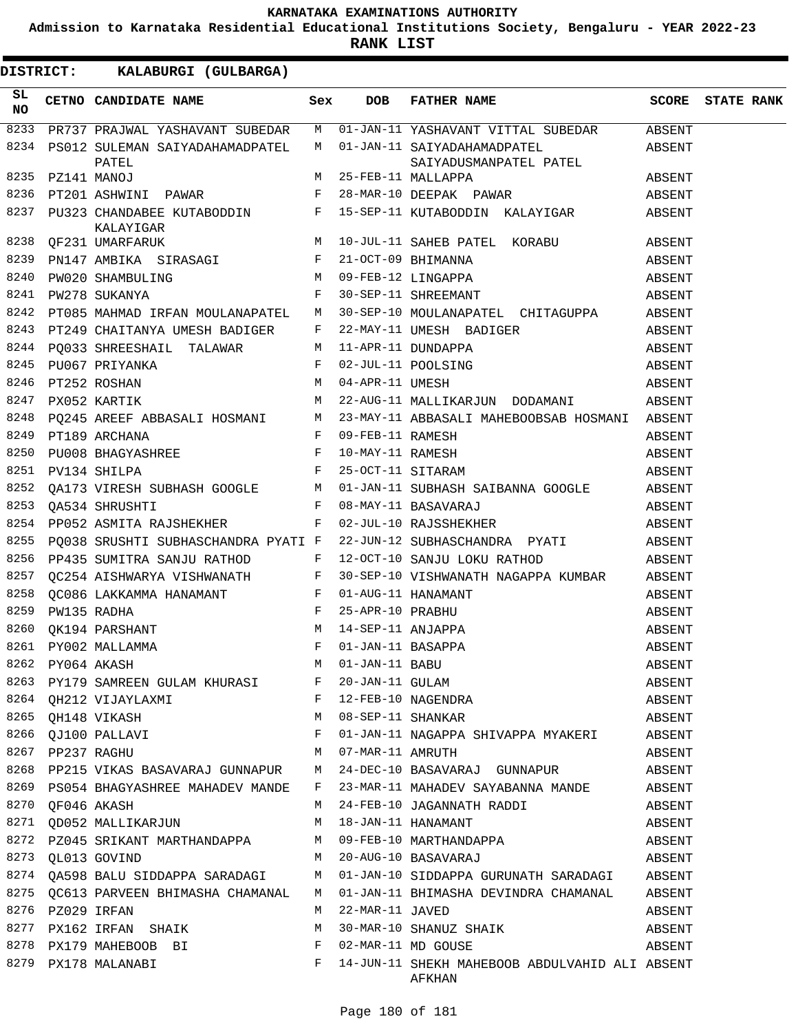**Admission to Karnataka Residential Educational Institutions Society, Bengaluru - YEAR 2022-23**

**RANK LIST**

| SL<br>NO. | CETNO CANDIDATE NAME Sex                                 | DOB | FATHER NAME                                                                                                                                                                                                                             | <b>SCORE</b> STATE RANK |  |
|-----------|----------------------------------------------------------|-----|-----------------------------------------------------------------------------------------------------------------------------------------------------------------------------------------------------------------------------------------|-------------------------|--|
| 8233      |                                                          |     | PR737 PRAJWAL YASHAVANT SUBEDAR M 01-JAN-11 YASHAVANT VITTAL SUBEDAR ABSENT                                                                                                                                                             |                         |  |
|           | PATEL                                                    |     | 8234 PS012 SULEMAN SAIYADAHAMADPATEL M 01-JAN-11 SAIYADAHAMADPATEL ABSENT<br>SAIYADUSMANPATEL PATEL                                                                                                                                     |                         |  |
| 8235      | PZ141 MANOJ                                              |     | SAIYADUSMANPAILL PAILL<br>M 25-FEB-11 MALLAPPA                                                                                                                                                                                          |                         |  |
| 8236      |                                                          |     | PT201 ASHWINI PAWAR     F   28-MAR-10 DEEPAK PAWAR     ABSENT                                                                                                                                                                           |                         |  |
|           |                                                          |     |                                                                                                                                                                                                                                         |                         |  |
|           |                                                          |     |                                                                                                                                                                                                                                         |                         |  |
|           |                                                          |     |                                                                                                                                                                                                                                         |                         |  |
|           |                                                          |     |                                                                                                                                                                                                                                         |                         |  |
|           |                                                          |     |                                                                                                                                                                                                                                         |                         |  |
|           |                                                          |     | 8242 PT085 MAHMAD IRFAN MOULANAPATEL M 30-SEP-10 MOULANAPATEL CHITAGUPPA ABSENT                                                                                                                                                         |                         |  |
|           |                                                          |     |                                                                                                                                                                                                                                         |                         |  |
|           |                                                          |     |                                                                                                                                                                                                                                         |                         |  |
|           |                                                          |     |                                                                                                                                                                                                                                         |                         |  |
|           |                                                          |     |                                                                                                                                                                                                                                         |                         |  |
|           |                                                          |     |                                                                                                                                                                                                                                         |                         |  |
| 8248      |                                                          |     |                                                                                                                                                                                                                                         |                         |  |
| 8249      |                                                          |     | PO245 AREEF ABBASALI HOSMANI M 23-MAY-11 ABBASALI MAHEBOOBSAB HOSMANI ABSENT<br>PT189 ARCHANA F 09-FEB-11 RAMESH ABSENT<br>PU134 SHILPA F 25-OCT-11 SITARAM ABSENT<br>QA173 VIRESH SUBHASH GOOGLE M 01-JAN-11 SUBHASH SAIBANNA GOOGLE A |                         |  |
| 8250      |                                                          |     |                                                                                                                                                                                                                                         |                         |  |
|           | 8251 PV134 SHILPA                                        |     |                                                                                                                                                                                                                                         |                         |  |
| 8252      |                                                          |     |                                                                                                                                                                                                                                         |                         |  |
| 8253      |                                                          |     |                                                                                                                                                                                                                                         |                         |  |
| 8254      |                                                          |     | PP052 ASMITA RAJSHEKHER F 02-JUL-10 RAJSSHEKHER ABSENT                                                                                                                                                                                  |                         |  |
|           |                                                          |     | 8255 PQ038 SRUSHTI SUBHASCHANDRA PYATI F 22-JUN-12 SUBHASCHANDRA PYATI ABSENT                                                                                                                                                           |                         |  |
| 8256      | PP435 SUMITRA SANJU RATHOD F 12-OCT-10 SANJU LOKU RATHOD |     | ABSENT                                                                                                                                                                                                                                  |                         |  |
|           |                                                          |     | 8257 QC254 AISHWARYA VISHWANATH F 30-SEP-10 VISHWANATH NAGAPPA KUMBAR ABSENT                                                                                                                                                            |                         |  |
|           |                                                          |     | 8257 QC254 ALSHWARYA VISHWANAHIR (CC254 ALSHWARYA VISHWANAHIR (CC254 ALSHWANAHIR F 01-AUG-11 HANAMANT F 25-APR-10 PRABHU F 25-APR-10 PRABHU F 25-APR-10 PRABHU F 25-APR-10 PRABHU F 25-APR-11 ANJAPPA 8261 PY002 MALLAMMA F 0           | ABSENT                  |  |
|           |                                                          |     |                                                                                                                                                                                                                                         | ABSENT                  |  |
|           |                                                          |     |                                                                                                                                                                                                                                         | ABSENT                  |  |
|           |                                                          |     |                                                                                                                                                                                                                                         | ABSENT                  |  |
|           |                                                          |     |                                                                                                                                                                                                                                         | ABSENT                  |  |
|           |                                                          |     |                                                                                                                                                                                                                                         | ABSENT                  |  |
|           |                                                          |     |                                                                                                                                                                                                                                         | ABSENT                  |  |
|           |                                                          |     | 8265 QH148 VIKASH $M$ 08-SEP-11 SHANKAR ABSENT                                                                                                                                                                                          |                         |  |
|           | 8266 QJ100 PALLAVI                                       |     | F 01-JAN-11 NAGAPPA SHIVAPPA MYAKERI ABSENT                                                                                                                                                                                             |                         |  |
|           | 8267 PP237 RAGHU M 07-MAR-11 AMRUTH                      |     |                                                                                                                                                                                                                                         | ABSENT                  |  |
|           |                                                          |     | 8268 PP215 VIKAS BASAVARAJ GUNNAPUR M 24-DEC-10 BASAVARAJ GUNNAPUR ABSENT                                                                                                                                                               |                         |  |
|           |                                                          |     | 8269 PS054 BHAGYASHREE MAHADEV MANDE F 23-MAR-11 MAHADEV SAYABANNA MANDE ABSENT                                                                                                                                                         |                         |  |
|           | 8270 QF046 AKASH                                         |     | M 24-FEB-10 JAGANNATH RADDI ABSENT                                                                                                                                                                                                      |                         |  |
|           |                                                          |     |                                                                                                                                                                                                                                         |                         |  |
|           |                                                          |     | 8271 QD052 MALLIKARJUN                         M   18-JAN-11 HANAMANT                           ABSENT<br>8272  PZ045 SRIKANT MARTHANDAPPA               M   09-FEB-10 MARTHANDAPPA                         ABSENT                      |                         |  |
|           |                                                          |     | 8273 QL013 GOVIND M 20-AUG-10 BASAVARAJ ABSENT                                                                                                                                                                                          |                         |  |
|           |                                                          |     | 8274 QA598 BALU SIDDAPPA SARADAGI M 01-JAN-10 SIDDAPPA GURUNATH SARADAGI ABSENT                                                                                                                                                         |                         |  |
|           |                                                          |     | 8275 QC613 PARVEEN BHIMASHA CHAMANAL M 01-JAN-11 BHIMASHA DEVINDRA CHAMANAL ABSENT                                                                                                                                                      |                         |  |
|           | 8276 PZ029 IRFAN                                         |     | M 22-MAR-11 JAVED<br>ABSENT                                                                                                                                                                                                             |                         |  |
|           |                                                          |     | 8277 PX162 IRFAN SHAIK M 30-MAR-10 SHANUZ SHAIK ABSENT                                                                                                                                                                                  |                         |  |
|           |                                                          |     | 8278 PX179 MAHEBOOB BI $F$ 02-MAR-11 MD GOUSE $\overline{F}$ ABSENT                                                                                                                                                                     |                         |  |
|           |                                                          |     | 8279 PX178 MALANABI $F \quad 14$ -JUN-11 SHEKH MAHEBOOB ABDULVAHID ALI ABSENT<br>AFKHAN                                                                                                                                                 |                         |  |